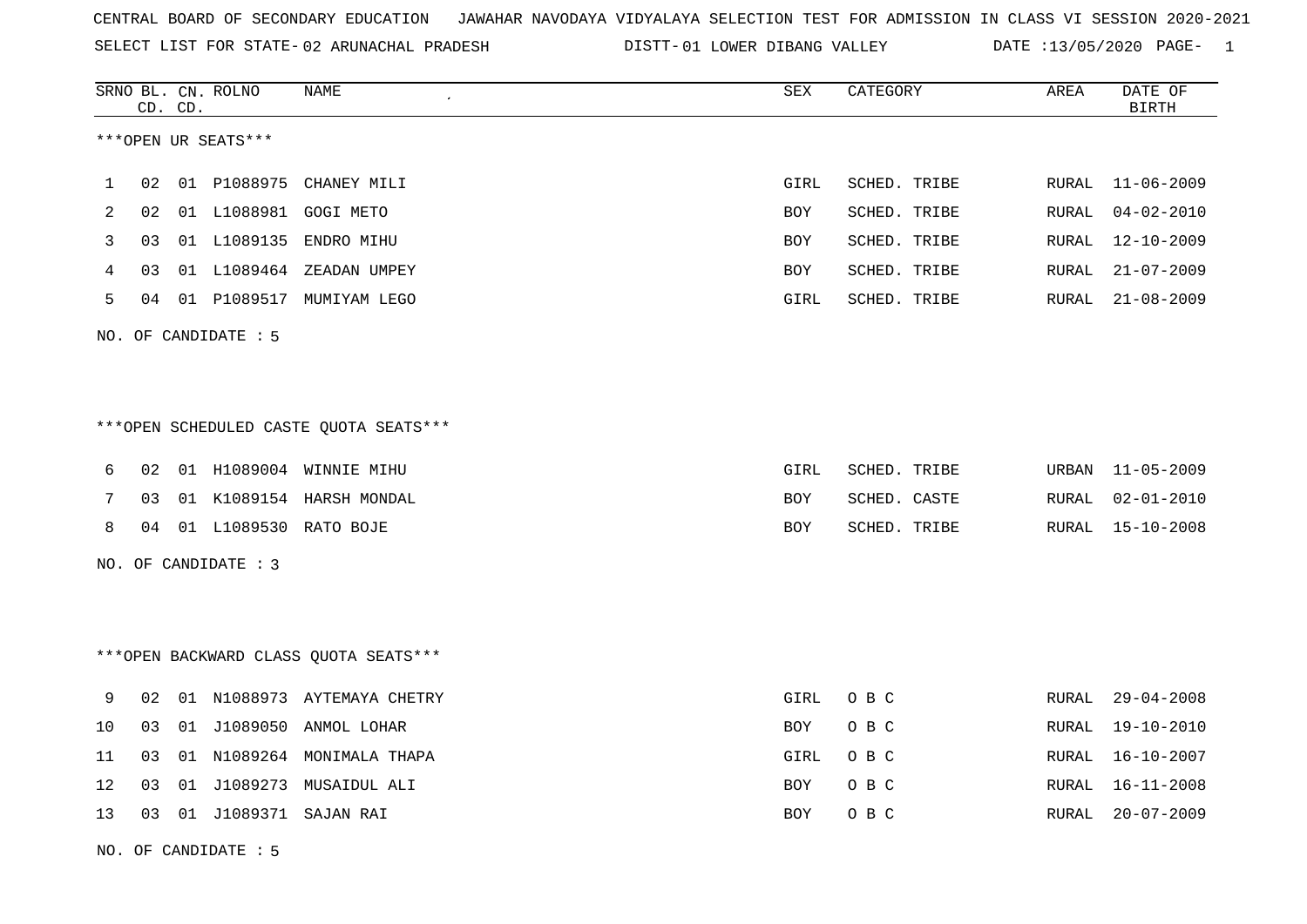SELECT LIST FOR STATE- DISTT- 02 ARUNACHAL PRADESH 01 LOWER DIBANG VALLEY DATE :13/05/2020 PAGE- 1

|    | CD. CD. |    | SRNO BL. CN. ROLNO   | NAME                                   | ${\tt SEX}$ | CATEGORY     | AREA         | DATE OF<br><b>BIRTH</b> |
|----|---------|----|----------------------|----------------------------------------|-------------|--------------|--------------|-------------------------|
|    |         |    | ***OPEN UR SEATS***  |                                        |             |              |              |                         |
| 1  | 02      |    | 01 P1088975          | CHANEY MILI                            | GIRL        | SCHED. TRIBE | <b>RURAL</b> | $11 - 06 - 2009$        |
| 2  | 02      |    |                      | 01 L1088981 GOGI METO                  | <b>BOY</b>  | SCHED. TRIBE | <b>RURAL</b> | $04 - 02 - 2010$        |
| 3  | 03      |    |                      | 01 L1089135 ENDRO MIHU                 | BOY         | SCHED. TRIBE | RURAL        | $12 - 10 - 2009$        |
| 4  | 03      |    |                      | 01 L1089464 ZEADAN UMPEY               | BOY         | SCHED. TRIBE | <b>RURAL</b> | $21 - 07 - 2009$        |
| 5  | 04      |    |                      | 01 P1089517 MUMIYAM LEGO               | GIRL        | SCHED. TRIBE | RURAL        | $21 - 08 - 2009$        |
|    |         |    | NO. OF CANDIDATE : 5 |                                        |             |              |              |                         |
|    |         |    |                      |                                        |             |              |              |                         |
|    |         |    |                      | ***OPEN SCHEDULED CASTE QUOTA SEATS*** |             |              |              |                         |
| 6  | 02      |    |                      | 01 H1089004 WINNIE MIHU                | GIRL        | SCHED. TRIBE | URBAN        | $11 - 05 - 2009$        |
| 7  | 03      | 01 |                      | K1089154 HARSH MONDAL                  | BOY         | SCHED. CASTE | RURAL        | $02 - 01 - 2010$        |
| 8  | 04      |    |                      | 01 L1089530 RATO BOJE                  | <b>BOY</b>  | SCHED. TRIBE | RURAL        | $15 - 10 - 2008$        |
|    |         |    | NO. OF CANDIDATE : 3 |                                        |             |              |              |                         |
|    |         |    |                      |                                        |             |              |              |                         |
|    |         |    |                      | *** OPEN BACKWARD CLASS QUOTA SEATS*** |             |              |              |                         |
| 9  | 02      |    |                      | 01 N1088973 AYTEMAYA CHETRY            | GIRL        | O B C        | RURAL        | $29 - 04 - 2008$        |
| 10 | 03      |    |                      | 01 J1089050 ANMOL LOHAR                | BOY         | O B C        | <b>RURAL</b> | $19 - 10 - 2010$        |
| 11 | 03      | 01 |                      | N1089264 MONIMALA THAPA                | GIRL        | O B C        | RURAL        | $16 - 10 - 2007$        |
| 12 | 03      | 01 | J1089273             | MUSAIDUL ALI                           | BOY         | O B C        | RURAL        | $16 - 11 - 2008$        |
| 13 | 03      |    |                      | 01 J1089371 SAJAN RAI                  | BOY         | O B C        | RURAL        | $20 - 07 - 2009$        |
|    |         |    |                      |                                        |             |              |              |                         |

NO. OF CANDIDATE : 5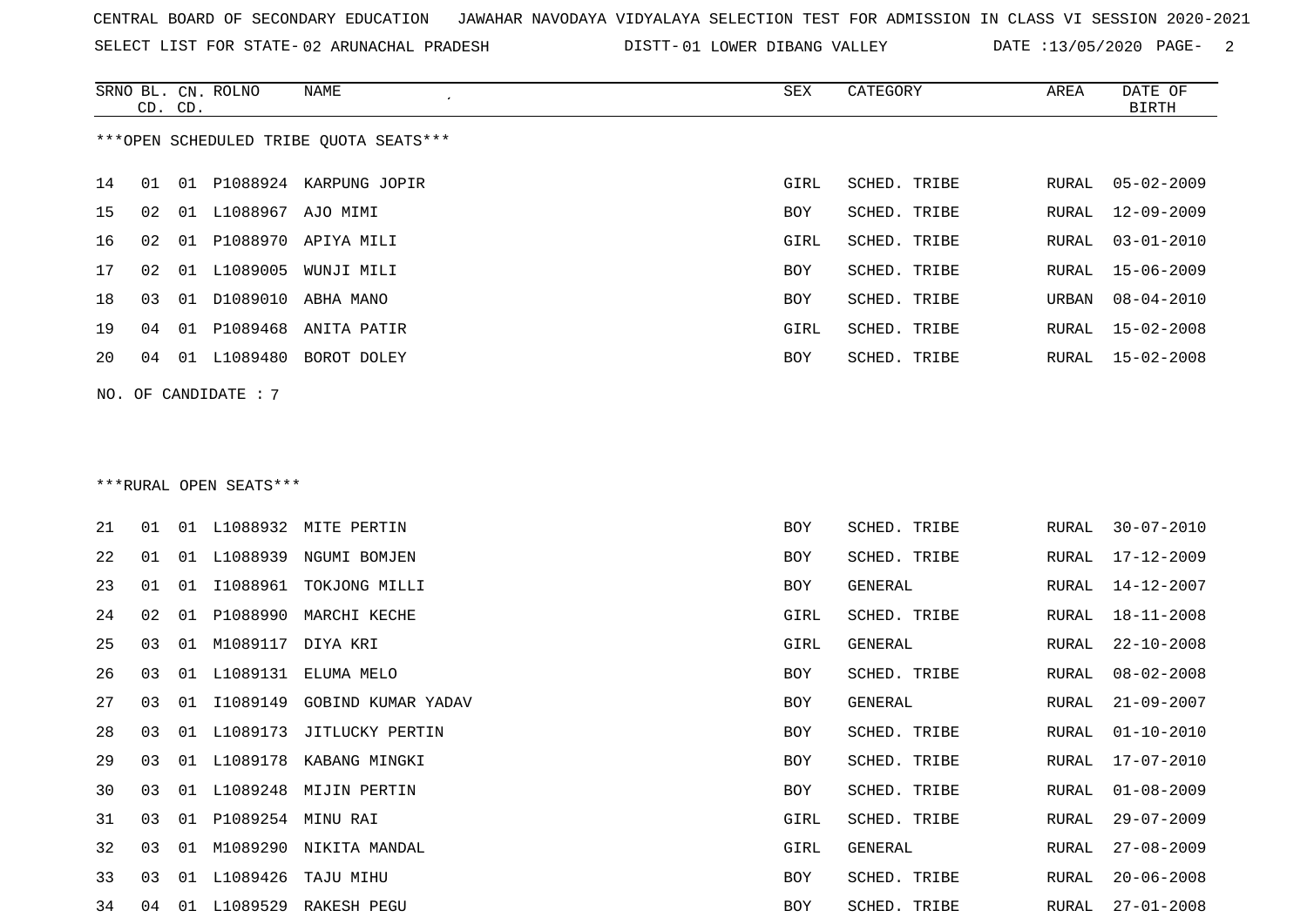SELECT LIST FOR STATE- DISTT- 02 ARUNACHAL PRADESH

01 LOWER DIBANG VALLEY DATE :13/05/2020 PAGE- 2

|    | CD. CD. |    | SRNO BL. CN. ROLNO     | NAME                                   | SEX  | CATEGORY     | AREA  | DATE OF<br><b>BIRTH</b> |
|----|---------|----|------------------------|----------------------------------------|------|--------------|-------|-------------------------|
|    |         |    |                        | ***OPEN SCHEDULED TRIBE QUOTA SEATS*** |      |              |       |                         |
| 14 | 01      |    |                        | 01 P1088924 KARPUNG JOPIR              | GIRL | SCHED. TRIBE | RURAL | $05 - 02 - 2009$        |
| 15 | 02      |    | 01 L1088967 AJO MIMI   |                                        | BOY  | SCHED. TRIBE | RURAL | $12 - 09 - 2009$        |
| 16 | 02      | 01 |                        | P1088970 APIYA MILI                    | GIRL | SCHED. TRIBE | RURAL | $03 - 01 - 2010$        |
| 17 | 02      | 01 | L1089005               | WUNJI MILI                             | BOY  | SCHED. TRIBE | RURAL | $15 - 06 - 2009$        |
| 18 | 03      | 01 | D1089010               | ABHA MANO                              | BOY  | SCHED. TRIBE | URBAN | $08 - 04 - 2010$        |
| 19 | 04      | 01 | P1089468               | ANITA PATIR                            | GIRL | SCHED. TRIBE | RURAL | $15 - 02 - 2008$        |
| 20 | 04      |    |                        | 01 L1089480 BOROT DOLEY                | BOY  | SCHED. TRIBE | RURAL | 15-02-2008              |
|    |         |    | NO. OF CANDIDATE : 7   |                                        |      |              |       |                         |
|    |         |    |                        |                                        |      |              |       |                         |
|    |         |    |                        |                                        |      |              |       |                         |
|    |         |    | ***RURAL OPEN SEATS*** |                                        |      |              |       |                         |
| 21 | 01      |    |                        | 01 L1088932 MITE PERTIN                | BOY  | SCHED. TRIBE | RURAL | $30 - 07 - 2010$        |
| 22 | 01      |    | 01 L1088939            | NGUMI BOMJEN                           | BOY  | SCHED. TRIBE | RURAL | 17-12-2009              |
| 23 | 01      | 01 | I1088961               | TOKJONG MILLI                          | BOY  | GENERAL      | RURAL | $14 - 12 - 2007$        |
| 24 | 02      | 01 | P1088990               | MARCHI KECHE                           | GIRL | SCHED. TRIBE | RURAL | $18 - 11 - 2008$        |
| 25 | 03      | 01 | M1089117               | DIYA KRI                               | GIRL | GENERAL      | RURAL | $22 - 10 - 2008$        |
| 26 | 03      | 01 |                        | L1089131 ELUMA MELO                    | BOY  | SCHED. TRIBE | RURAL | $08 - 02 - 2008$        |
| 27 | 03      | 01 | I1089149               | GOBIND KUMAR YADAV                     | BOY  | GENERAL      | RURAL | $21 - 09 - 2007$        |
| 28 | 03      | 01 |                        | L1089173 JITLUCKY PERTIN               | BOY  | SCHED. TRIBE | RURAL | $01 - 10 - 2010$        |
| 29 | 03      |    |                        | 01 L1089178 KABANG MINGKI              | BOY  | SCHED. TRIBE | RURAL | $17 - 07 - 2010$        |
| 30 | 03      |    |                        | 01 L1089248 MIJIN PERTIN               | BOY  | SCHED. TRIBE | RURAL | $01 - 08 - 2009$        |
| 31 | 03      |    | 01 P1089254 MINU RAI   |                                        | GIRL | SCHED. TRIBE | RURAL | $29 - 07 - 2009$        |
| 32 | 03      | 01 |                        | M1089290 NIKITA MANDAL                 | GIRL | GENERAL      | RURAL | $27 - 08 - 2009$        |
| 33 | 03      |    |                        | 01 L1089426 TAJU MIHU                  | BOY  | SCHED. TRIBE | RURAL | $20 - 06 - 2008$        |
| 34 | 04      |    |                        | 01 L1089529 RAKESH PEGU                | BOY  | SCHED. TRIBE | RURAL | $27 - 01 - 2008$        |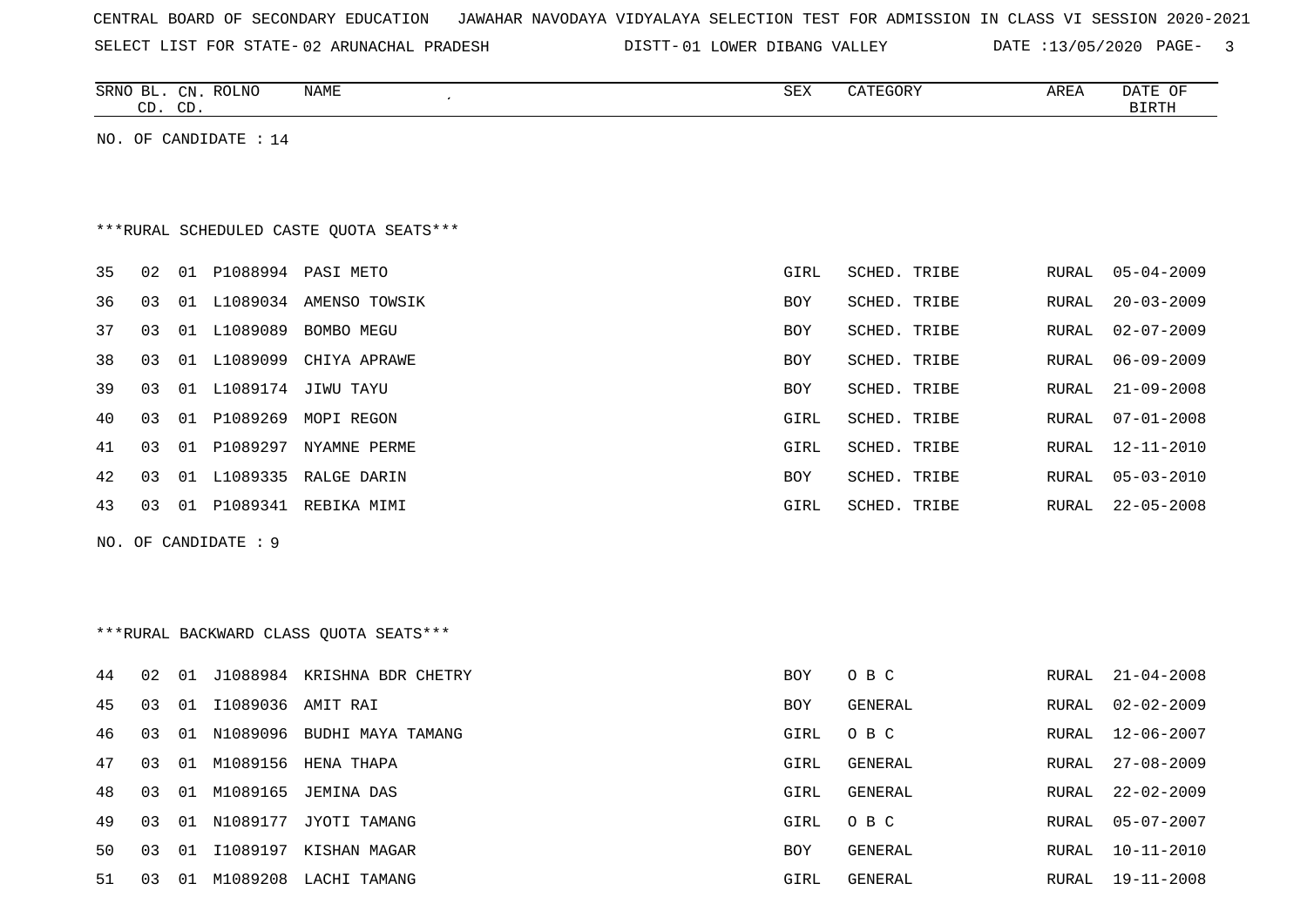SELECT LIST FOR STATE- DISTT- 02 ARUNACHAL PRADESH

01 LOWER DIBANG VALLEY DATE :13/05/2020 PAGE- 3

| ROLNC<br>SRNO<br>CN<br>൧      | <b>NAME</b> | $\Gamma$<br>∆∟∟ت | . | AREA | DATE<br>$\sim$ |
|-------------------------------|-------------|------------------|---|------|----------------|
| $\sim$<br>$\sim$<br>، س<br>ىب |             |                  |   |      | איפדפ          |

NO. OF CANDIDATE : 14

# \*\*\*RURAL SCHEDULED CASTE QUOTA SEATS\*\*\*

| 35 | 02 | 01    | P1088994 | PASI METO     | GIRL       | SCHED. TRIBE |       | RURAL 05-04-2009 |
|----|----|-------|----------|---------------|------------|--------------|-------|------------------|
| 36 | 03 | 01    | L1089034 | AMENSO TOWSIK | <b>BOY</b> | SCHED. TRIBE | RURAL | $20 - 03 - 2009$ |
| 37 | 03 | 01    | L1089089 | BOMBO MEGU    | <b>BOY</b> | SCHED. TRIBE | RURAL | 02-07-2009       |
| 38 | 03 | . O 1 | L1089099 | CHIYA APRAWE  | <b>BOY</b> | SCHED. TRIBE | RURAL | 06-09-2009       |
| 39 | 03 | 01    | L1089174 | JIWU TAYU     | <b>BOY</b> | SCHED. TRIBE | RURAL | 21-09-2008       |
| 40 | 03 | 01    | P1089269 | MOPI REGON    | GIRL       | SCHED. TRIBE | RURAL | 07-01-2008       |
| 41 | 03 | 01    | P1089297 | NYAMNE PERME  | GIRL       | SCHED. TRIBE | RURAL | 12-11-2010       |
| 42 | 03 | 01    | L1089335 | RALGE DARIN   | <b>BOY</b> | SCHED. TRIBE | RURAL | 05-03-2010       |
| 43 | 03 | 01    | P1089341 | REBIKA MIMI   | GIRL       | SCHED. TRIBE | RURAL | 22-05-2008       |
|    |    |       |          |               |            |              |       |                  |

NO. OF CANDIDATE : 9

### \*\*\*RURAL BACKWARD CLASS QUOTA SEATS\*\*\*

| 44 | 02 | . O 1 | J1088984 | KRISHNA BDR CHETRY  | <b>BOY</b> | O B C   | RURAL | $21 - 04 - 2008$ |
|----|----|-------|----------|---------------------|------------|---------|-------|------------------|
| 45 | 03 | 01    | I1089036 | AMIT RAI            | BOY        | GENERAL | RURAL | 02-02-2009       |
| 46 | 03 | -01   | N1089096 | BUDHI MAYA TAMANG   | GIRL       | O B C   | RURAL | 12-06-2007       |
| 47 | 03 | 01    | M1089156 | HENA THAPA          | GIRL       | GENERAL | RURAL | 27-08-2009       |
| 48 | 03 | 01    |          | M1089165 JEMINA DAS | GIRL       | GENERAL | RURAL | 22-02-2009       |
| 49 | 03 | O 1   | N1089177 | JYOTI TAMANG        | GIRL       | O B C   | RURAL | 05-07-2007       |
| 50 | 03 | O 1   | I1089197 | KISHAN MAGAR        | BOY        | GENERAL | RURAL | 10-11-2010       |
| 51 | 03 | 01    | M1089208 | LACHI TAMANG        | GIRL       | GENERAL | RURAL | 19-11-2008       |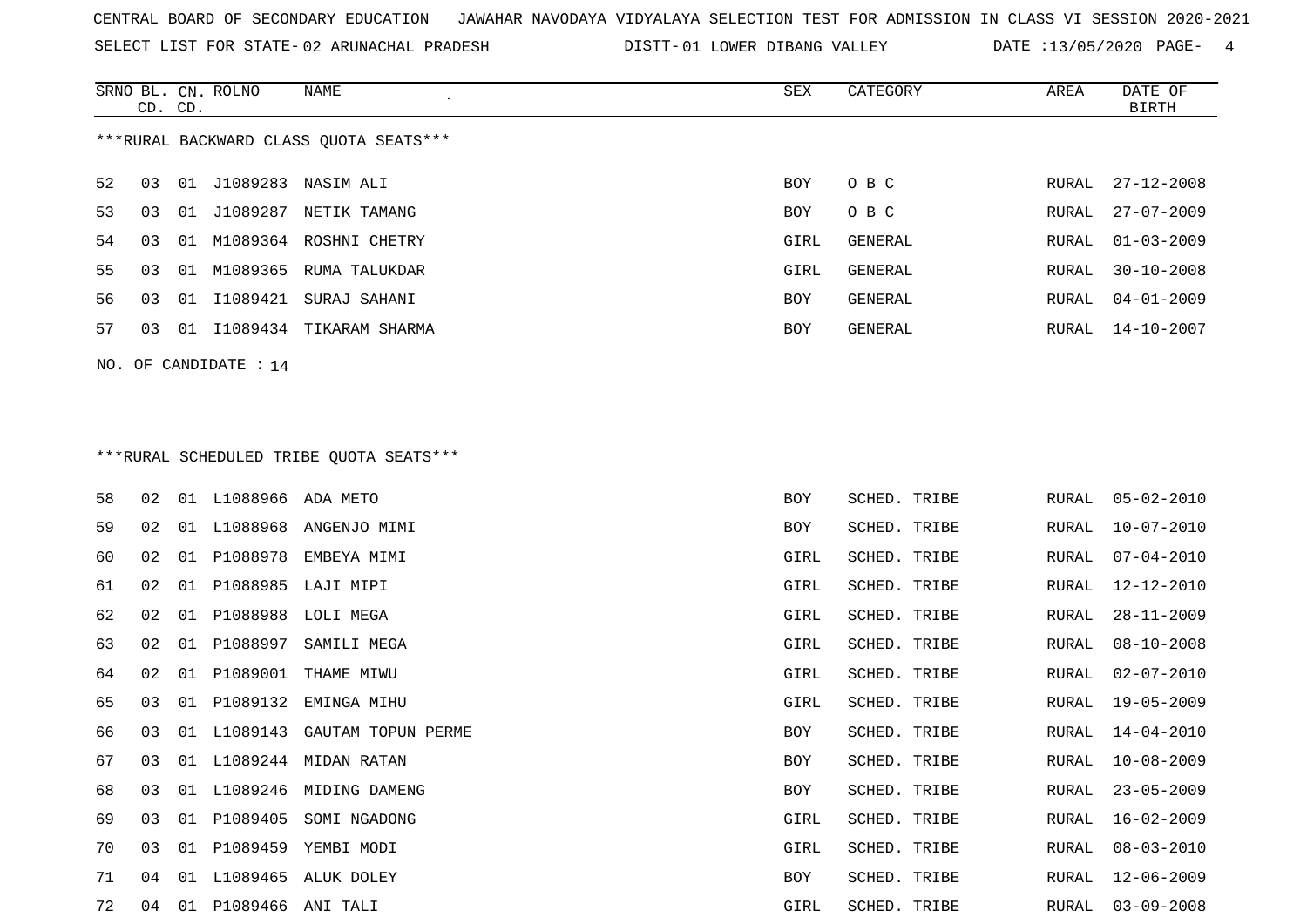SELECT LIST FOR STATE- DISTT- 02 ARUNACHAL PRADESH

01 LOWER DIBANG VALLEY DATE :13/05/2020 PAGE- 4

|    | CD. CD. |     | SRNO BL. CN. ROLNO | NAME                                   | SEX  | CATEGORY | AREA  | DATE OF<br>BIRTH |
|----|---------|-----|--------------------|----------------------------------------|------|----------|-------|------------------|
|    |         |     |                    | ***RURAL BACKWARD CLASS OUOTA SEATS*** |      |          |       |                  |
| 52 | 03      | 01  | J1089283           | NASIM ALI                              | BOY  | O B C    | RURAL | $27 - 12 - 2008$ |
| 53 | 03      | O 1 | J1089287           | NETIK TAMANG                           | BOY  | O B C    | RURAL | $27 - 07 - 2009$ |
| 54 | 03      | 01  | M1089364           | ROSHNI CHETRY                          | GIRL | GENERAL  | RURAL | $01 - 03 - 2009$ |
| 55 | 03      | 01  | M1089365           | RUMA TALUKDAR                          | GIRL | GENERAL  | RURAL | $30 - 10 - 2008$ |
| 56 | 03      | 01  | I1089421           | SURAJ SAHANI                           | BOY  | GENERAL  | RURAL | 04-01-2009       |
| 57 | 03      | 01  | I1089434           | TIKARAM SHARMA                         | BOY  | GENERAL  |       | RURAL 14-10-2007 |
|    |         |     |                    |                                        |      |          |       |                  |

NO. OF CANDIDATE : 14

## \*\*\*RURAL SCHEDULED TRIBE QUOTA SEATS\*\*\*

| 58 | 02 |    | 01 L1088966 ADA METO |                         | <b>BOY</b> | SCHED. TRIBE | RURAL | 05-02-2010       |
|----|----|----|----------------------|-------------------------|------------|--------------|-------|------------------|
| 59 | 02 | 01 |                      | L1088968 ANGENJO MIMI   | <b>BOY</b> | SCHED. TRIBE | RURAL | $10 - 07 - 2010$ |
| 60 | 02 | 01 |                      | P1088978 EMBEYA MIMI    | GIRL       | SCHED. TRIBE | RURAL | $07 - 04 - 2010$ |
| 61 | 02 | 01 |                      | P1088985 LAJI MIPI      | GIRL       | SCHED. TRIBE | RURAL | $12 - 12 - 2010$ |
| 62 | 02 | 01 |                      | P1088988 LOLI MEGA      | GIRL       | SCHED. TRIBE | RURAL | $28 - 11 - 2009$ |
| 63 | 02 | 01 | P1088997             | SAMILI MEGA             | GIRL       | SCHED. TRIBE | RURAL | $08 - 10 - 2008$ |
| 64 | 02 | 01 | P1089001             | THAME MIWU              | GIRL       | SCHED. TRIBE | RURAL | $02 - 07 - 2010$ |
| 65 | 03 | 01 |                      | P1089132 EMINGA MIHU    | GIRL       | SCHED. TRIBE | RURAL | 19-05-2009       |
| 66 | 03 | 01 | L1089143             | GAUTAM TOPUN PERME      | BOY        | SCHED. TRIBE | RURAL | $14 - 04 - 2010$ |
| 67 | 03 |    |                      | 01 L1089244 MIDAN RATAN | BOY        | SCHED. TRIBE | RURAL | $10 - 08 - 2009$ |
| 68 | 03 | 01 | L1089246             | MIDING DAMENG           | BOY        | SCHED. TRIBE | RURAL | $23 - 05 - 2009$ |
| 69 | 03 | 01 | P1089405             | SOMI NGADONG            | GIRL       | SCHED. TRIBE | RURAL | $16 - 02 - 2009$ |
| 70 | 03 | 01 | P1089459             | YEMBI MODI              | GIRL       | SCHED. TRIBE | RURAL | $08 - 03 - 2010$ |
| 71 | 04 |    |                      | 01 L1089465 ALUK DOLEY  | BOY        | SCHED. TRIBE | RURAL | $12 - 06 - 2009$ |
| 72 | 04 | 01 | P1089466 ANI TALI    |                         | GIRL       | SCHED. TRIBE | RURAL | $03 - 09 - 2008$ |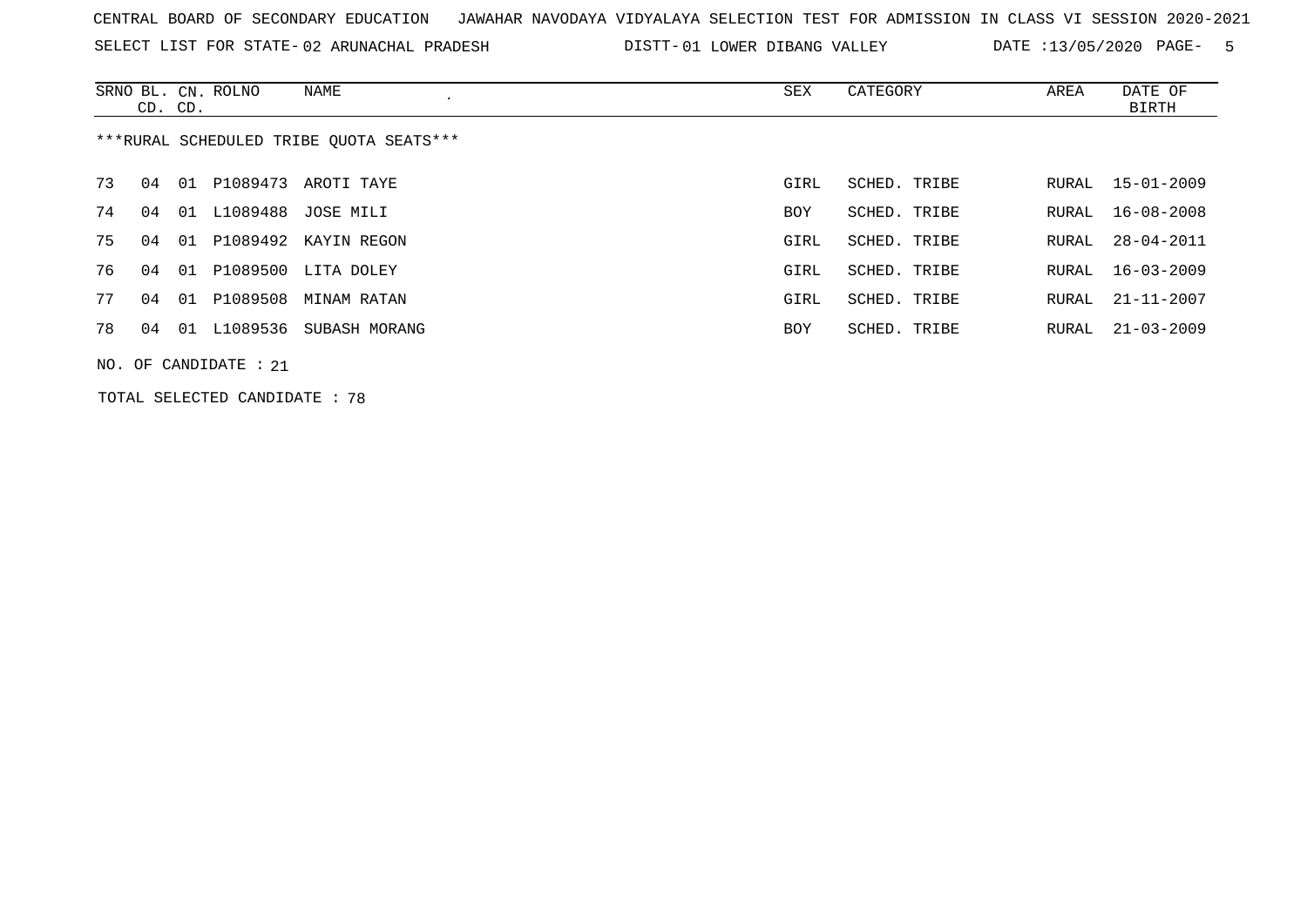SELECT LIST FOR STATE- DISTT- 02 ARUNACHAL PRADESH 01 LOWER DIBANG VALLEY DATE :13/05/2020 PAGE- 5

|    | CD. CD. |    | SRNO BL. CN. ROLNO      | NAME                                    | SEX        | CATEGORY     | AREA  | DATE OF<br>BIRTH |
|----|---------|----|-------------------------|-----------------------------------------|------------|--------------|-------|------------------|
|    |         |    |                         | ***RURAL SCHEDULED TRIBE OUOTA SEATS*** |            |              |       |                  |
| 73 | 04      |    |                         | 01 P1089473 AROTI TAYE                  | GIRL       | SCHED. TRIBE |       | RURAL 15-01-2009 |
| 74 | 04      |    |                         | 01 L1089488 JOSE MILI                   | <b>BOY</b> | SCHED. TRIBE | RURAL | 16-08-2008       |
| 75 | 04      | 01 | P1089492                | KAYIN REGON                             | GIRL       | SCHED. TRIBE | RURAL | $28 - 04 - 2011$ |
| 76 | 04      | 01 | P1089500                | LITA DOLEY                              | GIRL       | SCHED. TRIBE | RURAL | 16-03-2009       |
| 77 | 04      | 01 | P1089508                | MINAM RATAN                             | GIRL       | SCHED. TRIBE | RURAL | 21-11-2007       |
| 78 | 04      |    | 01 L1089536             | SUBASH MORANG                           | <b>BOY</b> | SCHED. TRIBE | RURAL | $21 - 03 - 2009$ |
|    |         |    | NO. OF CANDIDATE : $21$ |                                         |            |              |       |                  |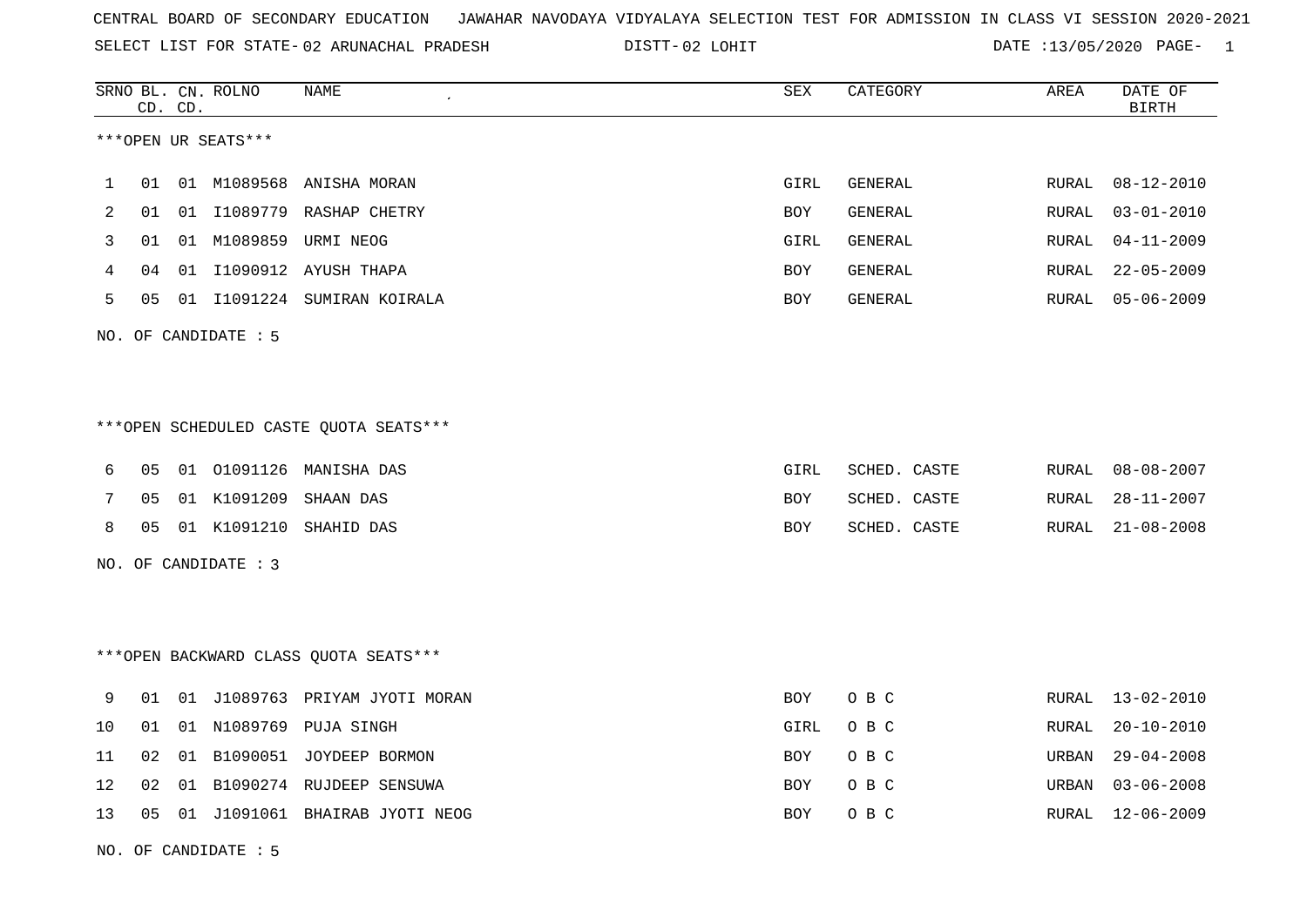SELECT LIST FOR STATE- DISTT- 02 ARUNACHAL PRADESH

02 LOHIT DATE :13/05/2020 PAGE- 1

|    |    | CD. CD. | SRNO BL. CN. ROLNO     | <b>NAME</b>                            | <b>SEX</b> | CATEGORY       | AREA         | DATE OF<br><b>BIRTH</b> |
|----|----|---------|------------------------|----------------------------------------|------------|----------------|--------------|-------------------------|
|    |    |         | ***OPEN UR SEATS***    |                                        |            |                |              |                         |
| 1  | 01 |         | 01 M1089568            | ANISHA MORAN                           | GIRL       | <b>GENERAL</b> | <b>RURAL</b> | $08 - 12 - 2010$        |
| 2  | 01 |         |                        | 01 I1089779 RASHAP CHETRY              | BOY        | GENERAL        | <b>RURAL</b> | $03 - 01 - 2010$        |
| 3  | 01 |         | 01 M1089859            | URMI NEOG                              | GIRL       | <b>GENERAL</b> | <b>RURAL</b> | $04 - 11 - 2009$        |
| 4  | 04 | 01      |                        | I1090912 AYUSH THAPA                   | <b>BOY</b> | GENERAL        | <b>RURAL</b> | $22 - 05 - 2009$        |
| 5  | 05 |         | 01 I1091224            | SUMIRAN KOIRALA                        | <b>BOY</b> | GENERAL        | RURAL        | $05 - 06 - 2009$        |
|    |    |         | NO. OF CANDIDATE $: 5$ |                                        |            |                |              |                         |
|    |    |         |                        |                                        |            |                |              |                         |
|    |    |         |                        | ***OPEN SCHEDULED CASTE QUOTA SEATS*** |            |                |              |                         |
|    |    |         |                        |                                        |            |                |              |                         |
| 6  | 05 | 01      | 01091126               | MANISHA DAS                            | GIRL       | SCHED. CASTE   | RURAL        | $08 - 08 - 2007$        |
| 7  | 05 | 01      | K1091209               | SHAAN DAS                              | <b>BOY</b> | SCHED. CASTE   | <b>RURAL</b> | $28 - 11 - 2007$        |
| 8  | 05 |         | 01 K1091210            | SHAHID DAS                             | BOY        | SCHED. CASTE   | RURAL        | $21 - 08 - 2008$        |
|    |    |         | NO. OF CANDIDATE : 3   |                                        |            |                |              |                         |
|    |    |         |                        |                                        |            |                |              |                         |
|    |    |         |                        |                                        |            |                |              |                         |
|    |    |         |                        | *** OPEN BACKWARD CLASS QUOTA SEATS*** |            |                |              |                         |
| 9  | 01 | 01      |                        | J1089763 PRIYAM JYOTI MORAN            | <b>BOY</b> | O B C          | RURAL        | 13-02-2010              |
| 10 | 01 | 01      |                        | N1089769 PUJA SINGH                    | GIRL       | O B C          | <b>RURAL</b> | $20 - 10 - 2010$        |
| 11 | 02 |         |                        | 01 B1090051 JOYDEEP BORMON             | BOY        | O B C          | <b>URBAN</b> | $29 - 04 - 2008$        |
| 12 | 02 | 01      |                        | B1090274 RUJDEEP SENSUWA               | BOY        | O B C          | <b>URBAN</b> | $03 - 06 - 2008$        |
| 13 | 05 | 01      |                        | J1091061 BHAIRAB JYOTI NEOG            | BOY        | O B C          | RURAL        | $12 - 06 - 2009$        |

NO. OF CANDIDATE : 5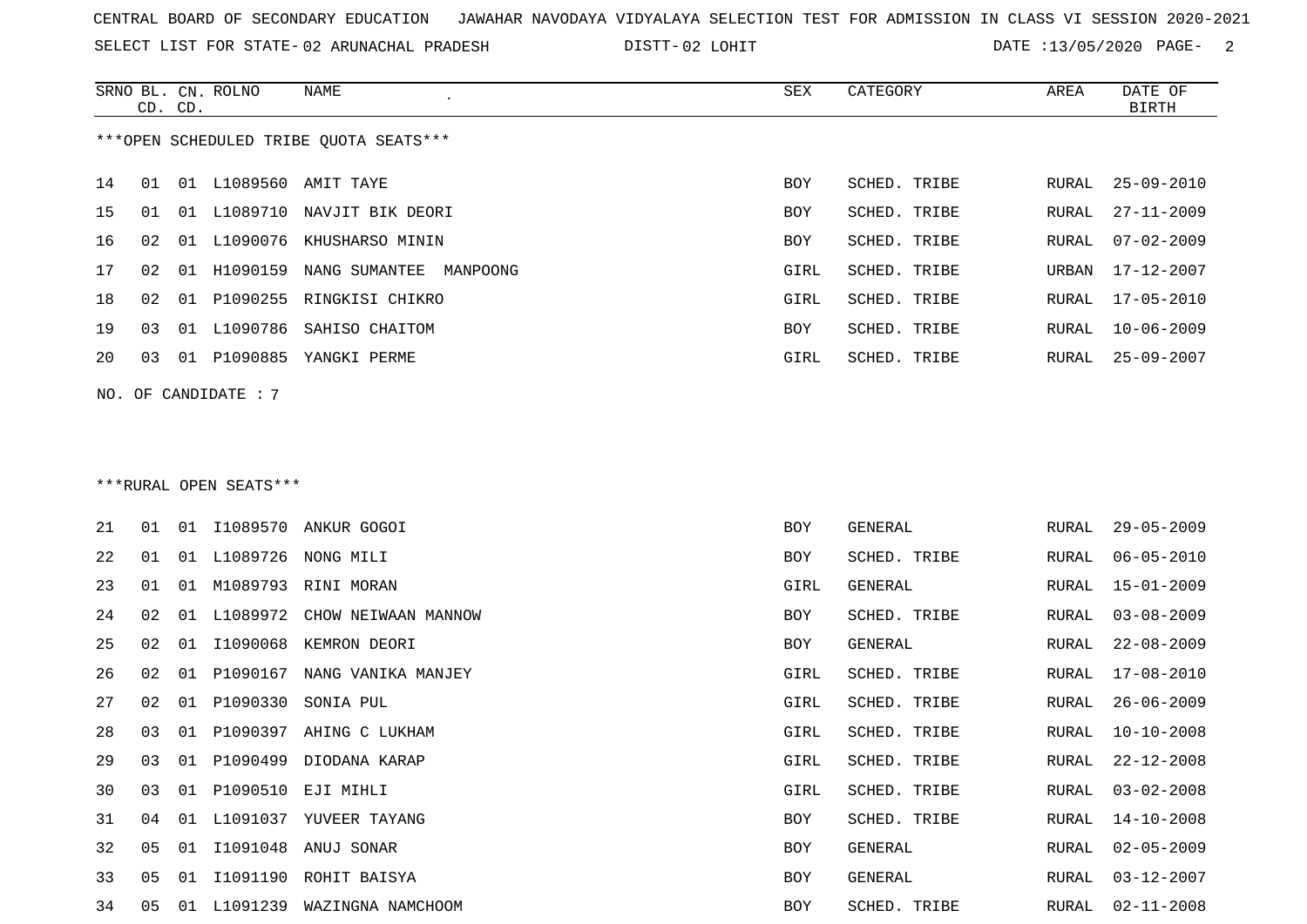SELECT LIST FOR STATE- DISTT- 02 ARUNACHAL PRADESH

DISTT-02 LOHIT DATE :13/05/2020 PAGE- 2

|               |    | CD. CD. | SRNO BL. CN. ROLNO     | NAME                                   | SEX          | CATEGORY        | AREA  | DATE OF<br><b>BIRTH</b> |
|---------------|----|---------|------------------------|----------------------------------------|--------------|-----------------|-------|-------------------------|
|               |    |         |                        | ***OPEN SCHEDULED TRIBE QUOTA SEATS*** |              |                 |       |                         |
| 14            | 01 |         |                        | 01 L1089560 AMIT TAYE                  | <b>BOY</b>   | SCHED. TRIBE    | RURAL | $25 - 09 - 2010$        |
| 15            | 01 |         | 01 L1089710            | NAVJIT BIK DEORI                       | <b>BOY</b>   | SCHED. TRIBE    | RURAL | $27 - 11 - 2009$        |
| 16            | 02 | 01      | L1090076               | KHUSHARSO MININ                        | <b>BOY</b>   | SCHED. TRIBE    | RURAL | $07 - 02 - 2009$        |
| 17            | 02 |         | 01 H1090159            | NANG SUMANTEE<br>MANPOONG              | GIRL         | SCHED. TRIBE    | URBAN | $17 - 12 - 2007$        |
| 18            | 02 | 01      | P1090255               | RINGKISI CHIKRO                        | GIRL         | SCHED. TRIBE    | RURAL | $17 - 05 - 2010$        |
| 19            | 03 | 01      | L1090786               | SAHISO CHAITOM                         | <b>BOY</b>   | SCHED. TRIBE    | RURAL | $10 - 06 - 2009$        |
| 20            | 03 |         | 01 P1090885            | YANGKI PERME                           | GIRL         | SCHED. TRIBE    | RURAL | $25 - 09 - 2007$        |
| NO.           |    |         | OF CANDIDATE : 7       |                                        |              |                 |       |                         |
|               |    |         | ***RURAL OPEN SEATS*** |                                        |              |                 |       |                         |
| 21            | 01 |         | 01 11089570            | ANKUR GOGOI                            | <b>BOY</b>   | GENERAL         | RURAL | $29 - 05 - 2009$        |
| $\cap$ $\cap$ |    |         |                        | $01$ $01$ $\tau$ 1000706 NONO MTT      | $T^{\prime}$ | $OMIDD$ $MDTDD$ |       | DIDAT OC OF OO10        |

| 21 | 01             | 01  |          | I1089570 ANKUR GOGOI         | BOY  | GENERAL      | RURAL | $29 - 05 - 2009$ |
|----|----------------|-----|----------|------------------------------|------|--------------|-------|------------------|
| 22 | 01             | 01  | L1089726 | NONG MILI                    | BOY  | SCHED. TRIBE | RURAL | 06-05-2010       |
| 23 | 01             | 01  | M1089793 | RINI MORAN                   | GIRL | GENERAL      | RURAL | $15 - 01 - 2009$ |
| 24 | 02             | 01  |          | L1089972 CHOW NEIWAAN MANNOW | BOY  | SCHED. TRIBE | RURAL | $03 - 08 - 2009$ |
| 25 | 02             | 01  | I1090068 | KEMRON DEORI                 | BOY  | GENERAL      | RURAL | $22 - 08 - 2009$ |
| 26 | 02             | 01  | P1090167 | NANG VANIKA MANJEY           | GIRL | SCHED. TRIBE | RURAL | 17-08-2010       |
| 27 | 02             | 01  | P1090330 | SONIA PUL                    | GIRL | SCHED. TRIBE | RURAL | $26 - 06 - 2009$ |
| 28 | 03             | 01  |          | P1090397 AHING C LUKHAM      | GIRL | SCHED. TRIBE | RURAL | $10 - 10 - 2008$ |
| 29 | 03             | O 1 | P1090499 | DIODANA KARAP                | GIRL | SCHED. TRIBE | RURAL | $22 - 12 - 2008$ |
| 30 | 03             | 01  | P1090510 | EJI MIHLI                    | GIRL | SCHED. TRIBE | RURAL | $03 - 02 - 2008$ |
| 31 | 04             | 01  | L1091037 | YUVEER TAYANG                | BOY  | SCHED. TRIBE | RURAL | $14 - 10 - 2008$ |
| 32 | 0 <sub>5</sub> | 01  | I1091048 | ANUJ SONAR                   | BOY  | GENERAL      | RURAL | $02 - 05 - 2009$ |
| 33 | 0 <sub>5</sub> | O 1 |          | I1091190 ROHIT BAISYA        | BOY  | GENERAL      | RURAL | $03 - 12 - 2007$ |
| 34 | 05             | 01  | L1091239 | WAZINGNA NAMCHOOM            | BOY  | SCHED. TRIBE | RURAL | 02-11-2008       |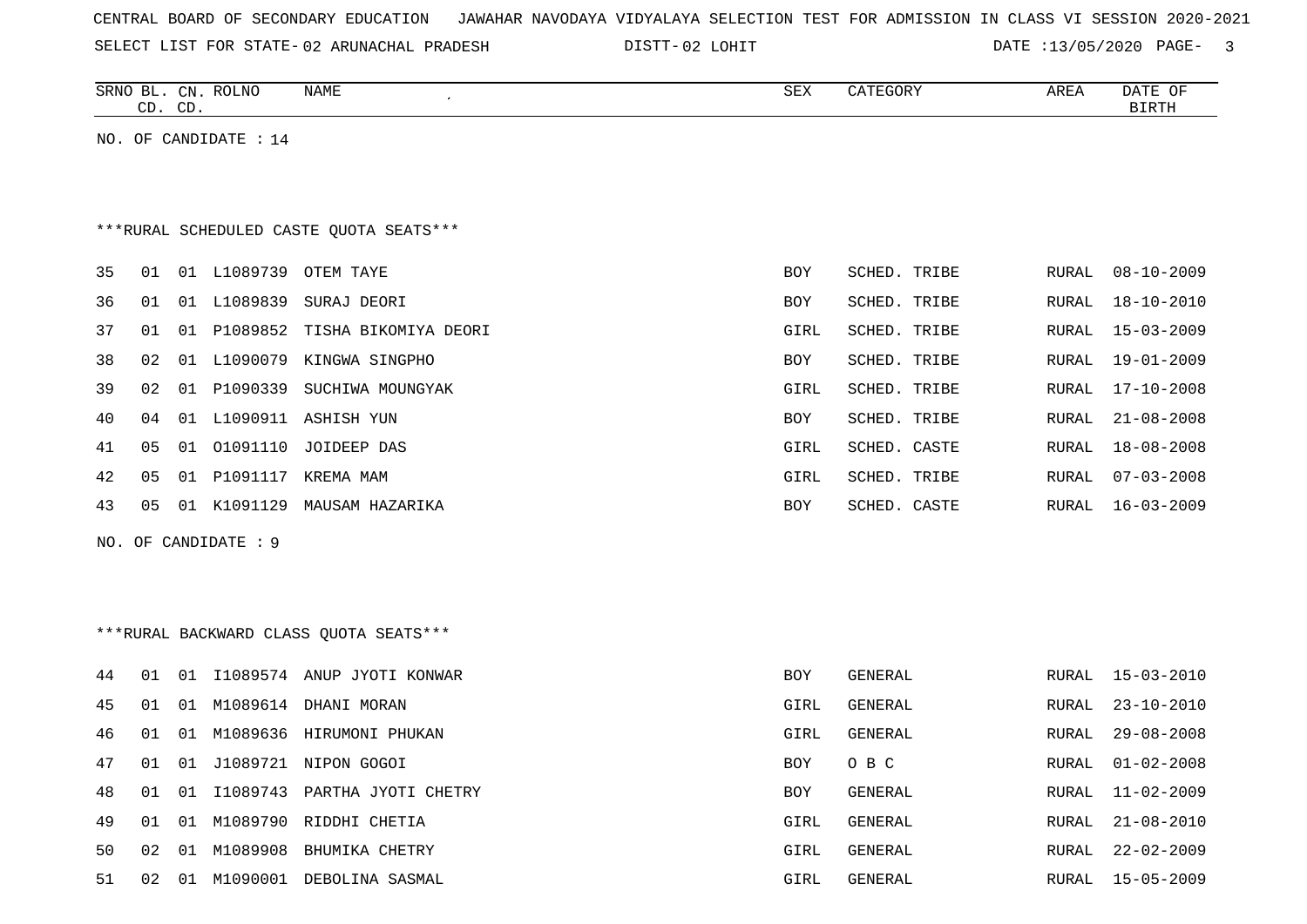| CENTRAL BOARD OF SECONDARY EDUCATION – JAWAHAR NAVODAYA VIDYALAYA SELECTION TEST FOR ADMISSION IN CLASS VI SESSION 2020-2021 |  |
|------------------------------------------------------------------------------------------------------------------------------|--|
|------------------------------------------------------------------------------------------------------------------------------|--|

SELECT LIST FOR STATE- DISTT- 02 ARUNACHAL PRADESH 02 LOHIT DATE :13/05/2020 PAGE- 3

| SRNO BL. CN. ROLNO<br><b>NAME</b><br>$\epsilon$<br>CD. CD. | SEX         | CATEGORY     | AREA  | DATE OF<br><b>BIRTH</b> |
|------------------------------------------------------------|-------------|--------------|-------|-------------------------|
| NO. OF CANDIDATE : 14                                      |             |              |       |                         |
|                                                            |             |              |       |                         |
| ***RURAL SCHEDULED CASTE QUOTA SEATS***                    |             |              |       |                         |
| 01 L1089739<br>35<br>OTEM TAYE<br>01                       | <b>BOY</b>  | SCHED. TRIBE | RURAL | $08 - 10 - 2009$        |
| L1089839<br>36<br>01<br>SURAJ DEORI<br>01                  | <b>BOY</b>  | SCHED. TRIBE | RURAL | $18 - 10 - 2010$        |
| P1089852<br>37<br>01<br>01<br>TISHA BIKOMIYA DEORI         | <b>GIRL</b> | SCHED. TRIBE | RURAL | $15 - 03 - 2009$        |
| 38<br>01 L1090079 KINGWA SINGPHO<br>02                     | BOY         | SCHED. TRIBE | RURAL | $19 - 01 - 2009$        |
| P1090339<br>39<br>02<br>01<br>SUCHIWA MOUNGYAK             | GIRL        | SCHED. TRIBE | RURAL | $17 - 10 - 2008$        |
| 40<br>04<br>01<br>L1090911 ASHISH YUN                      | <b>BOY</b>  | SCHED. TRIBE | RURAL | $21 - 08 - 2008$        |
| 05<br>01091110<br>JOIDEEP DAS<br>41<br>01                  | GIRL        | SCHED. CASTE | RURAL | $18 - 08 - 2008$        |
| 42<br>P1091117<br>05<br>KREMA MAM<br>01                    | GIRL        | SCHED. TRIBE | RURAL | $07 - 03 - 2008$        |
| K1091129<br>43<br>0 <sub>5</sub><br>01<br>MAUSAM HAZARIKA  | <b>BOY</b>  | SCHED. CASTE | RURAL | $16 - 03 - 2009$        |
| NO. OF CANDIDATE : 9                                       |             |              |       |                         |
|                                                            |             |              |       |                         |
|                                                            |             |              |       |                         |
| *** RURAL BACKWARD CLASS QUOTA SEATS***                    |             |              |       |                         |

| 44 | 01  | 01    | I1089574 | ANUP JYOTI KONWAR   | <b>BOY</b> | <b>GENERAL</b> |       | RURAL 15-03-2010 |
|----|-----|-------|----------|---------------------|------------|----------------|-------|------------------|
| 45 | 01  | 01    | M1089614 | DHANI MORAN         | GIRL       | GENERAL        |       | RURAL 23-10-2010 |
| 46 | 01  | O 1   | M1089636 | HIRUMONI PHUKAN     | GIRL       | GENERAL        |       | RURAL 29-08-2008 |
| 47 | O 1 | O 1   | J1089721 | NIPON GOGOI         | <b>BOY</b> | O B C          | RURAL | $01 - 02 - 2008$ |
| 48 | 01  | O 1   | I1089743 | PARTHA JYOTI CHETRY | <b>BOY</b> | GENERAL        |       | RURAL 11-02-2009 |
| 49 | O 1 | O 1   | M1089790 | RIDDHI CHETIA       | GIRL       | GENERAL        |       | RURAL 21-08-2010 |
| 50 | 02  | . O 1 | M1089908 | BHUMIKA CHETRY      | GIRL       | GENERAL        | RURAL | $22 - 02 - 2009$ |
| 51 | 02  | -01   | M1090001 | DEBOLINA SASMAL     | GIRL       | GENERAL        |       | RURAL 15-05-2009 |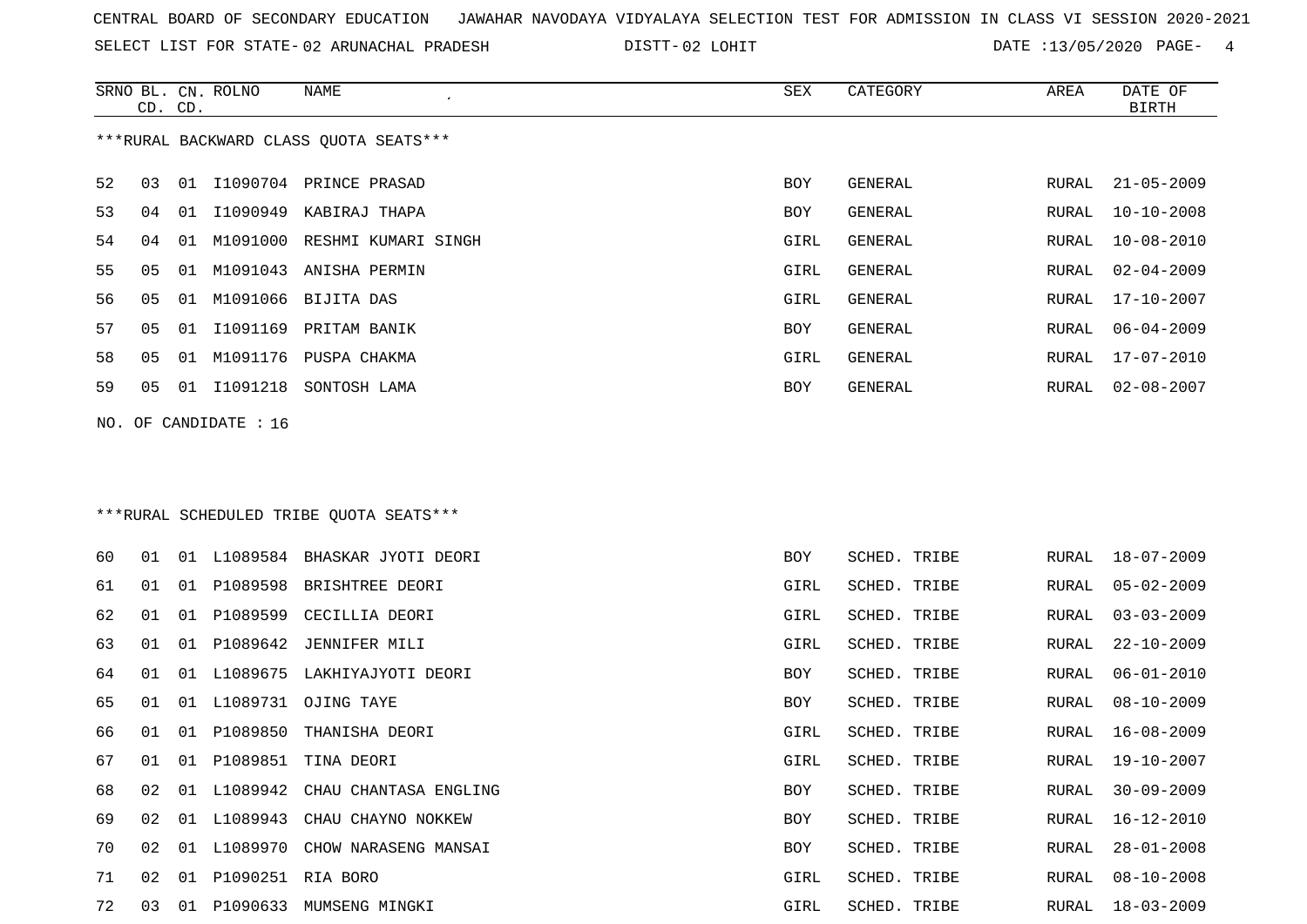SELECT LIST FOR STATE- DISTT- 02 ARUNACHAL PRADESH

02 LOHIT DATE :13/05/2020 PAGE- 4

|    | CD. CD. |    | SRNO BL. CN. ROLNO    | NAME<br>$\cdot$                         | SEX  | CATEGORY       | ${\tt AREA}$ | DATE OF<br><b>BIRTH</b> |
|----|---------|----|-----------------------|-----------------------------------------|------|----------------|--------------|-------------------------|
|    |         |    |                       | *** RURAL BACKWARD CLASS QUOTA SEATS*** |      |                |              |                         |
| 52 | 03      | 01 |                       | I1090704 PRINCE PRASAD                  | BOY  | GENERAL        | RURAL        | $21 - 05 - 2009$        |
| 53 | 04      | 01 | I1090949              | KABIRAJ THAPA                           | BOY  | <b>GENERAL</b> | RURAL        | $10 - 10 - 2008$        |
| 54 | 04      | 01 | M1091000              | RESHMI KUMARI SINGH                     | GIRL | GENERAL        | RURAL        | $10 - 08 - 2010$        |
| 55 | 05      | 01 | M1091043              | ANISHA PERMIN                           | GIRL | GENERAL        | RURAL        | $02 - 04 - 2009$        |
| 56 | 05      | 01 |                       | M1091066 BIJITA DAS                     | GIRL | GENERAL        | RURAL        | $17 - 10 - 2007$        |
| 57 | 05      | 01 | I1091169              | PRITAM BANIK                            | BOY  | GENERAL        | RURAL        | $06 - 04 - 2009$        |
| 58 | 05      | 01 |                       | M1091176 PUSPA CHAKMA                   | GIRL | GENERAL        | RURAL        | $17 - 07 - 2010$        |
| 59 | 05      | 01 | I1091218              | SONTOSH LAMA                            | BOY  | GENERAL        | RURAL        | $02 - 08 - 2007$        |
|    |         |    | NO. OF CANDIDATE : 16 |                                         |      |                |              |                         |
|    |         |    |                       |                                         |      |                |              |                         |
|    |         |    |                       | ***RURAL SCHEDULED TRIBE QUOTA SEATS*** |      |                |              |                         |
| 60 | 01      |    |                       | 01 L1089584 BHASKAR JYOTI DEORI         | BOY  | SCHED. TRIBE   | RURAL        | 18-07-2009              |
| 61 | 01      | 01 | P1089598              | BRISHTREE DEORI                         | GIRL | SCHED. TRIBE   | RURAL        | $05 - 02 - 2009$        |
| 62 | 01      | 01 |                       | P1089599 CECILLIA DEORI                 | GIRL | SCHED. TRIBE   | RURAL        | $03 - 03 - 2009$        |
| 63 | 01      | 01 | P1089642              | JENNIFER MILI                           | GIRL | SCHED. TRIBE   | RURAL        | $22 - 10 - 2009$        |
| 64 | 01      |    |                       | 01 L1089675 LAKHIYAJYOTI DEORI          | BOY  | SCHED. TRIBE   | RURAL        | $06 - 01 - 2010$        |
| 65 | 01      | 01 | L1089731              | OJING TAYE                              | BOY  | SCHED. TRIBE   | RURAL        | $08 - 10 - 2009$        |
| 66 | 01      | 01 | P1089850              | THANISHA DEORI                          | GIRL | SCHED. TRIBE   | RURAL        | $16 - 08 - 2009$        |
| 67 | 01      | 01 | P1089851              | TINA DEORI                              | GIRL | SCHED. TRIBE   | RURAL        | 19-10-2007              |
| 68 | 02      |    |                       | 01 L1089942 CHAU CHANTASA ENGLING       | BOY  | SCHED. TRIBE   | RURAL        | $30 - 09 - 2009$        |
| 69 | 02      | 01 |                       | L1089943 CHAU CHAYNO NOKKEW             | BOY  | SCHED. TRIBE   | RURAL        | 16-12-2010              |
| 70 | 02      |    |                       | 01 L1089970 CHOW NARASENG MANSAI        | BOY  | SCHED. TRIBE   | RURAL        | $28 - 01 - 2008$        |
| 71 | 02      |    | 01 P1090251 RIA BORO  |                                         | GIRL | SCHED. TRIBE   | RURAL        | $08 - 10 - 2008$        |
| 72 | 03      |    |                       | 01 P1090633 MUMSENG MINGKI              | GIRL | SCHED. TRIBE   |              | RURAL 18-03-2009        |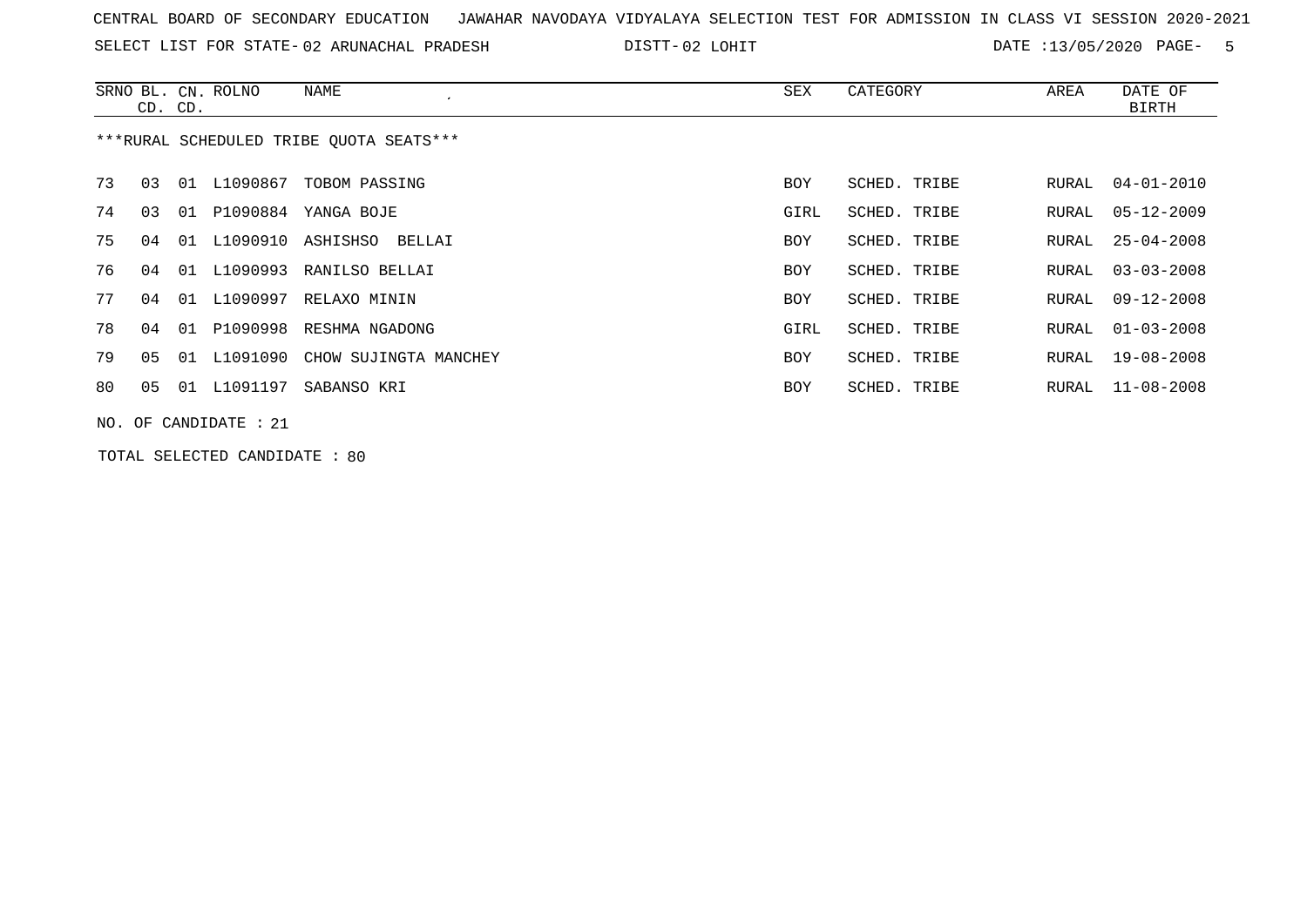SELECT LIST FOR STATE- DISTT- 02 ARUNACHAL PRADESH

02 LOHIT DATE :13/05/2020 PAGE- 5

|    |    | CD. CD. | SRNO BL. CN. ROLNO      | NAME                                    | SEX        | CATEGORY     | AREA  | DATE OF<br><b>BIRTH</b> |
|----|----|---------|-------------------------|-----------------------------------------|------------|--------------|-------|-------------------------|
|    |    |         |                         | ***RURAL SCHEDULED TRIBE OUOTA SEATS*** |            |              |       |                         |
| 73 | 03 |         | 01 L1090867             | TOBOM PASSING                           | <b>BOY</b> | SCHED. TRIBE | RURAL | $04 - 01 - 2010$        |
| 74 | 03 | 01      | P1090884                | YANGA BOJE                              | GIRL       | SCHED. TRIBE | RURAL | $05 - 12 - 2009$        |
| 75 | 04 | 01      | L1090910                | ASHISHSO BELLAI                         | <b>BOY</b> | SCHED. TRIBE | RURAL | $25 - 04 - 2008$        |
| 76 | 04 | 01      | L1090993                | RANILSO BELLAI                          | <b>BOY</b> | SCHED. TRIBE | RURAL | $03 - 03 - 2008$        |
| 77 | 04 | 01      | L1090997                | RELAXO MININ                            | <b>BOY</b> | SCHED. TRIBE | RURAL | $09 - 12 - 2008$        |
| 78 | 04 |         | 01 P1090998             | RESHMA NGADONG                          | GIRL       | SCHED. TRIBE | RURAL | $01 - 03 - 2008$        |
| 79 | 05 | 01      | L1091090                | CHOW SUJINGTA MANCHEY                   | BOY        | SCHED. TRIBE | RURAL | $19 - 08 - 2008$        |
| 80 | 05 |         | 01 L1091197             | SABANSO KRI                             | BOY        | SCHED. TRIBE | RURAL | $11 - 08 - 2008$        |
|    |    |         | NO. OF CANDIDATE : $21$ |                                         |            |              |       |                         |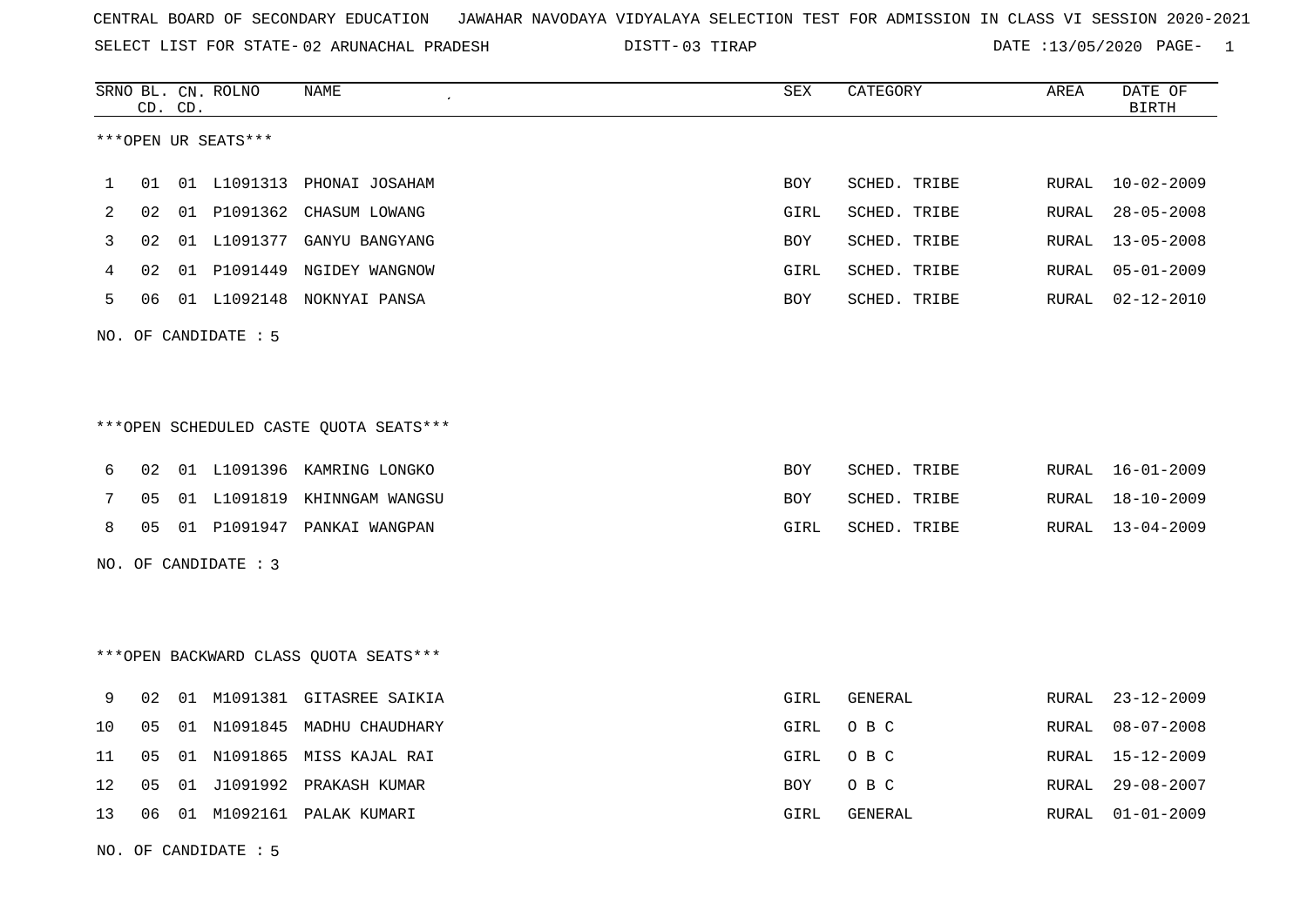SELECT LIST FOR STATE- DISTT- 02 ARUNACHAL PRADESH

03 TIRAP DATE :13/05/2020 PAGE- 1

|    |    | CD. CD. | SRNO BL. CN. ROLNO   | <b>NAME</b>                            | SEX        | CATEGORY       | AREA  | DATE OF<br><b>BIRTH</b> |
|----|----|---------|----------------------|----------------------------------------|------------|----------------|-------|-------------------------|
|    |    |         | ***OPEN UR SEATS***  |                                        |            |                |       |                         |
| 1  | 01 |         |                      | 01 L1091313 PHONAI JOSAHAM             | <b>BOY</b> | SCHED. TRIBE   | RURAL | $10 - 02 - 2009$        |
| 2  | 02 |         |                      | 01 P1091362 CHASUM LOWANG              | GIRL       | SCHED. TRIBE   | RURAL | $28 - 05 - 2008$        |
| 3  | 02 |         |                      | 01 L1091377 GANYU BANGYANG             | BOY        | SCHED. TRIBE   | RURAL | $13 - 05 - 2008$        |
| 4  | 02 |         |                      | 01 P1091449 NGIDEY WANGNOW             | GIRL       | SCHED. TRIBE   | RURAL | $05 - 01 - 2009$        |
| 5  | 06 |         |                      | 01 L1092148 NOKNYAI PANSA              | BOY        | SCHED. TRIBE   | RURAL | $02 - 12 - 2010$        |
|    |    |         | NO. OF CANDIDATE : 5 |                                        |            |                |       |                         |
|    |    |         |                      |                                        |            |                |       |                         |
|    |    |         |                      | ***OPEN SCHEDULED CASTE OUOTA SEATS*** |            |                |       |                         |
| 6  | 02 |         |                      | 01 L1091396 KAMRING LONGKO             | <b>BOY</b> | SCHED. TRIBE   | RURAL | $16 - 01 - 2009$        |
| 7  | 05 |         |                      | 01 L1091819 KHINNGAM WANGSU            | <b>BOY</b> | SCHED. TRIBE   | RURAL | $18 - 10 - 2009$        |
| 8  | 05 |         |                      | 01 P1091947 PANKAI WANGPAN             | GIRL       | SCHED. TRIBE   | RURAL | $13 - 04 - 2009$        |
|    |    |         | NO. OF CANDIDATE : 3 |                                        |            |                |       |                         |
|    |    |         |                      |                                        |            |                |       |                         |
|    |    |         |                      | *** OPEN BACKWARD CLASS QUOTA SEATS*** |            |                |       |                         |
| 9  | 02 |         |                      | 01 M1091381 GITASREE SAIKIA            | GIRL       | <b>GENERAL</b> | RURAL | $23 - 12 - 2009$        |
| 10 | 05 |         |                      | 01 N1091845 MADHU CHAUDHARY            | GIRL       | O B C          | RURAL | $08 - 07 - 2008$        |
| 11 | 05 |         |                      | 01 N1091865 MISS KAJAL RAI             | GIRL       | O B C          | RURAL | $15 - 12 - 2009$        |
| 12 | 05 |         |                      | 01 J1091992 PRAKASH KUMAR              | BOY        | O B C          | RURAL | $29 - 08 - 2007$        |
| 13 | 06 |         |                      | 01 M1092161 PALAK KUMARI               | GIRL       | GENERAL        | RURAL | $01 - 01 - 2009$        |
|    |    |         | NO. OF CANDIDATE: 5  |                                        |            |                |       |                         |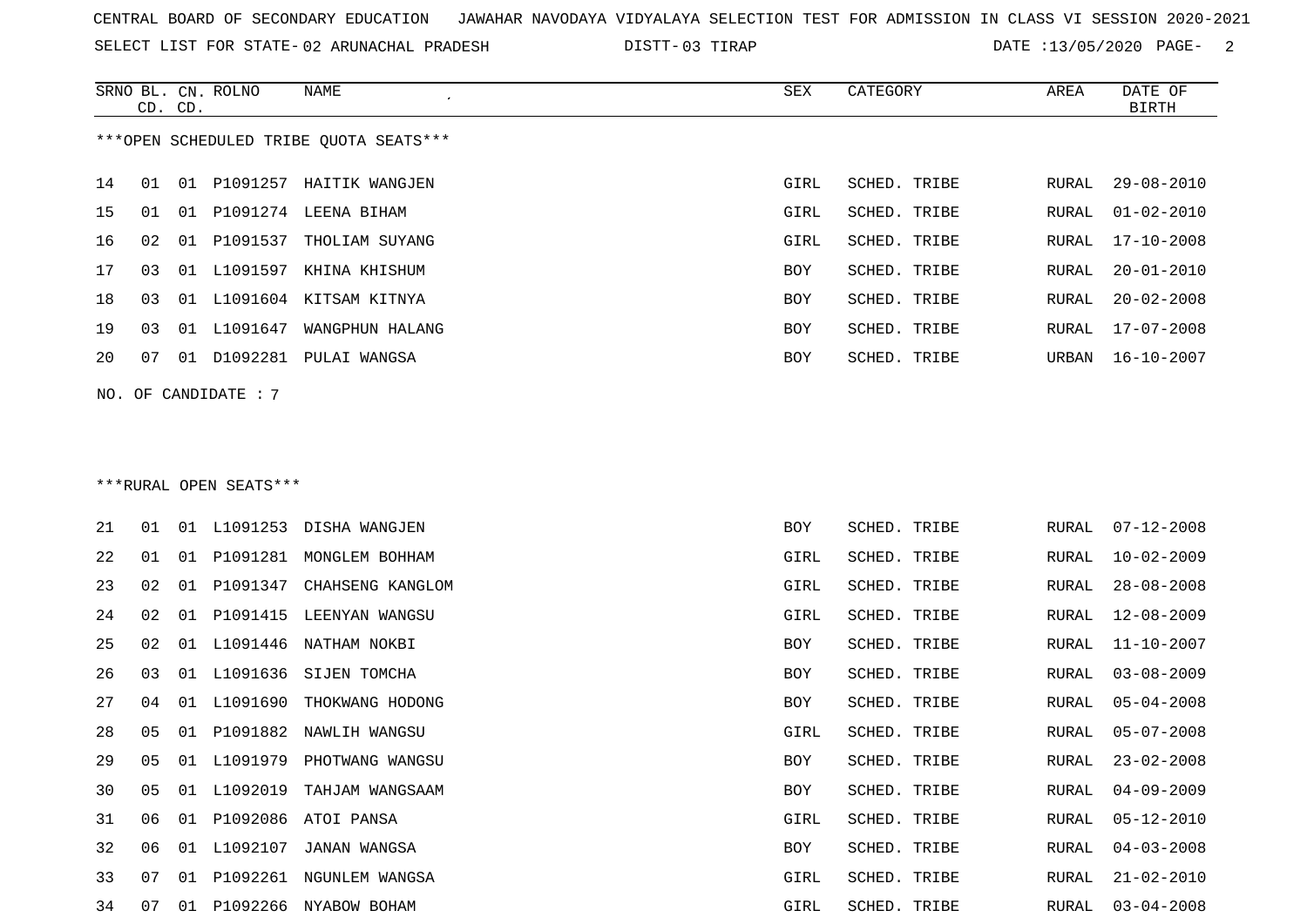SELECT LIST FOR STATE- DISTT- 02 ARUNACHAL PRADESH

03 TIRAP DATE :13/05/2020 PAGE- 2

RURAL 05-12-2010

RURAL 04-03-2008

RURAL 21-02-2010

|     |    | CD. CD. | SRNO BL. CN. ROLNO     | NAME<br>$\pmb{\cdot}$                  | ${\tt SEX}$ | CATEGORY     | AREA         | DATE OF<br><b>BIRTH</b> |
|-----|----|---------|------------------------|----------------------------------------|-------------|--------------|--------------|-------------------------|
|     |    |         |                        | ***OPEN SCHEDULED TRIBE QUOTA SEATS*** |             |              |              |                         |
|     |    |         |                        |                                        |             |              |              |                         |
| 14  | 01 | 01      |                        | P1091257 HAITIK WANGJEN                | GIRL        | SCHED. TRIBE | RURAL        | $29 - 08 - 2010$        |
| 15  | 01 | 01      |                        | P1091274 LEENA BIHAM                   | GIRL        | SCHED. TRIBE | RURAL        | $01 - 02 - 2010$        |
| 16  | 02 | 01      | P1091537               | THOLIAM SUYANG                         | GIRL        | SCHED. TRIBE | RURAL        | $17 - 10 - 2008$        |
| 17  | 03 | 01      | L1091597               | KHINA KHISHUM                          | BOY         | SCHED. TRIBE | RURAL        | $20 - 01 - 2010$        |
| 18  | 03 |         |                        | 01 L1091604 KITSAM KITNYA              | BOY         | SCHED. TRIBE | RURAL        | $20 - 02 - 2008$        |
| 19  | 03 | 01      | L1091647               | WANGPHUN HALANG                        | BOY         | SCHED. TRIBE | RURAL        | $17 - 07 - 2008$        |
| 20  | 07 |         |                        | 01 D1092281 PULAI WANGSA               | BOY         | SCHED. TRIBE | URBAN        | $16 - 10 - 2007$        |
| NO. |    |         | OF CANDIDATE : 7       |                                        |             |              |              |                         |
|     |    |         |                        |                                        |             |              |              |                         |
|     |    |         |                        |                                        |             |              |              |                         |
|     |    |         | ***RURAL OPEN SEATS*** |                                        |             |              |              |                         |
|     |    |         |                        |                                        |             |              |              |                         |
| 21  | 01 |         |                        | 01 L1091253 DISHA WANGJEN              | BOY         | SCHED. TRIBE | RURAL        | $07 - 12 - 2008$        |
| 22  | 01 | 01      | P1091281               | MONGLEM BOHHAM                         | GIRL        | SCHED. TRIBE | RURAL        | $10 - 02 - 2009$        |
| 23  | 02 | 01      |                        | P1091347 CHAHSENG KANGLOM              | GIRL        | SCHED. TRIBE | RURAL        | $28 - 08 - 2008$        |
| 24  | 02 | 01      | P1091415               | LEENYAN WANGSU                         | GIRL        | SCHED. TRIBE | RURAL        | $12 - 08 - 2009$        |
| 25  | 02 |         |                        | 01 L1091446 NATHAM NOKBI               | BOY         | SCHED. TRIBE | RURAL        | $11 - 10 - 2007$        |
| 26  | 03 | 01      | L1091636               | SIJEN TOMCHA                           | BOY         | SCHED. TRIBE | RURAL        | $03 - 08 - 2009$        |
| 27  | 04 |         | 01 L1091690            | THOKWANG HODONG                        | BOY         | SCHED. TRIBE | <b>RURAL</b> | $05 - 04 - 2008$        |
| 28  | 05 | 01      | P1091882               | NAWLIH WANGSU                          | GIRL        | SCHED. TRIBE | <b>RURAL</b> | $05 - 07 - 2008$        |
| 29  | 05 | 01      | L1091979               | PHOTWANG WANGSU                        | BOY         | SCHED. TRIBE | <b>RURAL</b> | $23 - 02 - 2008$        |
| 30  | 05 |         | 01 L1092019            | TAHJAM WANGSAAM                        | <b>BOY</b>  | SCHED. TRIBE | RURAL        | $04 - 09 - 2009$        |

34 07 01 P1092266 NYABOW BOHAM GIRL SCHED. TRIBE RURAL 03-04-2008

31 06 01 P1092086 ATOI PANSA GIRL SCHED. TRIBE RURAL OF PHONOGRAPH CHARL SCHED. TRIBE 32 06 01 L1092107 JANAN WANGSA BOY SCHED. TRIBE 33 07 01 P1092261 NGUNLEM WANGSA GIRL SCHED. TRIBE RURAL 2010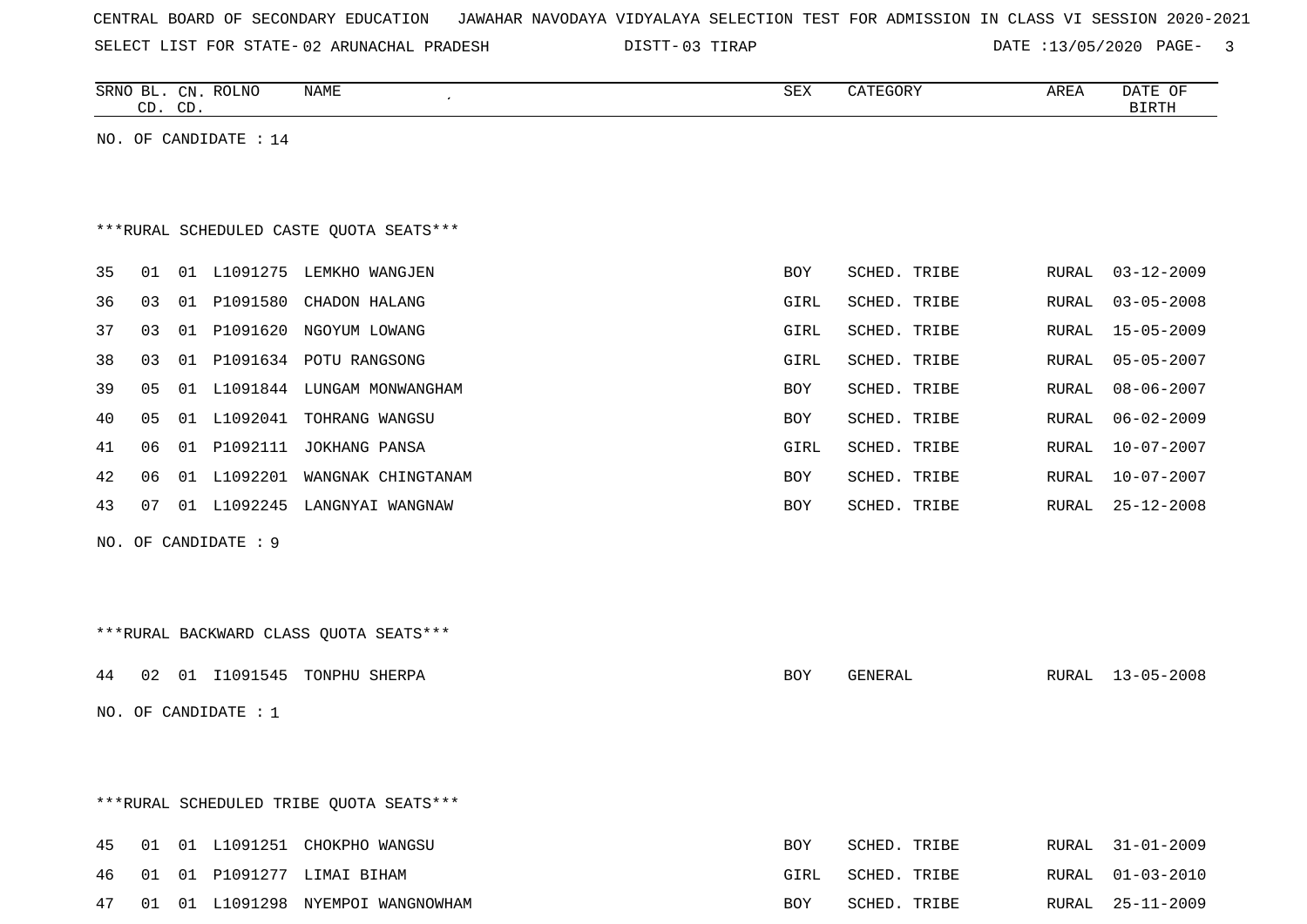| CENTRAL BOARD OF SECONDARY EDUCATION – JAWAHAR NAVODAYA VIDYALAYA SELECTION TEST FOR ADMISSION IN CLASS VI SESSION 2020-2021 |  |
|------------------------------------------------------------------------------------------------------------------------------|--|
|------------------------------------------------------------------------------------------------------------------------------|--|

SELECT LIST FOR STATE- DISTT- 02 ARUNACHAL PRADESH 03 TIRAP DATE :13/05/2020 PAGE- 3

| SRNO<br>ВL   | $\cap N^{\tau}$<br>لا اب | <b>ROLNO</b> | NAME | SEX | CATECORY<br>LUUKI | AREA | DATE<br>$\sim$ $\sim$<br>$\sqrt{1}$ |
|--------------|--------------------------|--------------|------|-----|-------------------|------|-------------------------------------|
| $\sim$<br>ىت | $\sim$<br>ັ              |              |      |     |                   |      | BIRTH                               |

NO. OF CANDIDATE : 14

## \*\*\*RURAL SCHEDULED CASTE QUOTA SEATS\*\*\*

| 35 | O 1 | 01  | L1091275 | LEMKHO WANGJEN     | <b>BOY</b> | SCHED. TRIBE | RURAL | $03 - 12 - 2009$ |
|----|-----|-----|----------|--------------------|------------|--------------|-------|------------------|
| 36 | 03  | 01  | P1091580 | CHADON HALANG      | GIRL       | SCHED. TRIBE | RURAL | $03 - 05 - 2008$ |
| 37 | 03  | 01  | P1091620 | NGOYUM LOWANG      | GIRL       | SCHED. TRIBE | RURAL | 15-05-2009       |
| 38 | 03  | 01  | P1091634 | POTU RANGSONG      | GIRL       | SCHED. TRIBE | RURAL | 05-05-2007       |
| 39 | 05  | 01  | L1091844 | LUNGAM MONWANGHAM  | <b>BOY</b> | SCHED. TRIBE | RURAL | $08 - 06 - 2007$ |
| 40 | 05  | 01  | L1092041 | TOHRANG WANGSU     | <b>BOY</b> | SCHED. TRIBE | RURAL | $06 - 02 - 2009$ |
| 41 | 06  | 01  | P1092111 | JOKHANG PANSA      | GIRL       | SCHED. TRIBE | RURAL | 10-07-2007       |
| 42 | 06  | O 1 | L1092201 | WANGNAK CHINGTANAM | <b>BOY</b> | SCHED. TRIBE | RURAL | $10 - 07 - 2007$ |
| 43 | 07  | 01  | L1092245 | LANGNYAI WANGNAW   | <b>BOY</b> | SCHED. TRIBE | RURAL | 25-12-2008       |
|    |     |     |          |                    |            |              |       |                  |

NO. OF CANDIDATE : 9

\*\*\*RURAL BACKWARD CLASS QUOTA SEATS\*\*\*

|  |                      | 44 02 01 I1091545 TONPHU SHERPA |  | BOY | GENERAL |  | RURAL 13-05-2008 |
|--|----------------------|---------------------------------|--|-----|---------|--|------------------|
|  | NO. OF CANDIDATE : 1 |                                 |  |     |         |  |                  |

\*\*\*RURAL SCHEDULED TRIBE QUOTA SEATS\*\*\*

|    |  | 45 01 01 L1091251 CHOKPHO WANGSU  | BOY  | SCHED. TRIBE |  | RURAL 31-01-2009 |
|----|--|-----------------------------------|------|--------------|--|------------------|
|    |  | 46 01 01 P1091277 LIMAI BIHAM     | GIRL | SCHED. TRIBE |  | RURAL 01-03-2010 |
| 47 |  | 01 01 L1091298 NYEMPOI WANGNOWHAM | BOY  | SCHED. TRIBE |  | RURAL 25-11-2009 |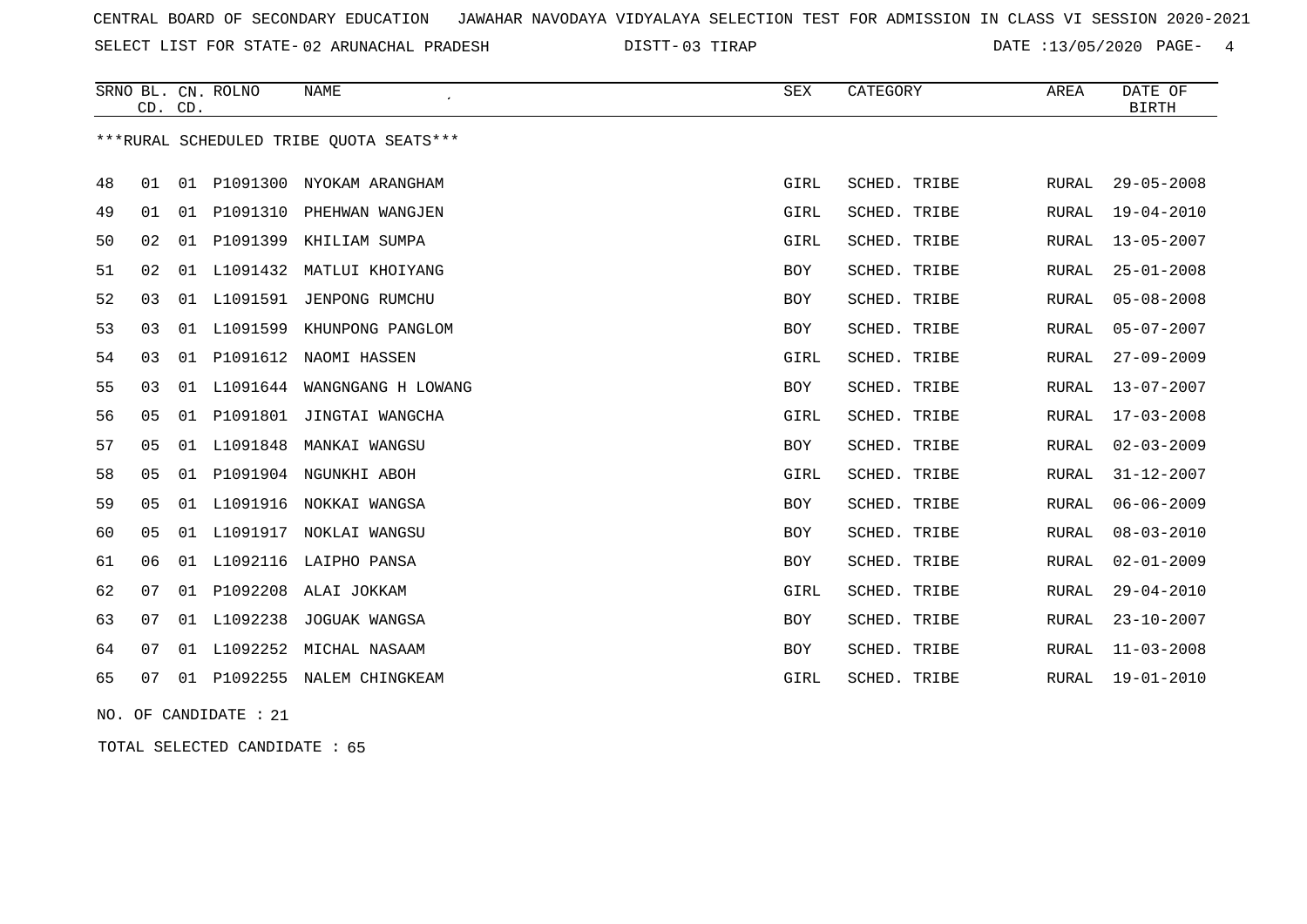SELECT LIST FOR STATE- DISTT- 02 ARUNACHAL PRADESH

03 TIRAP DATE :13/05/2020 PAGE- 4

|    | CD. CD. |    | SRNO BL. CN. ROLNO | NAME                                    | SEX         | CATEGORY     | AREA  | DATE OF<br><b>BIRTH</b> |
|----|---------|----|--------------------|-----------------------------------------|-------------|--------------|-------|-------------------------|
|    |         |    |                    | ***RURAL SCHEDULED TRIBE OUOTA SEATS*** |             |              |       |                         |
| 48 | 01      | 01 | P1091300           | NYOKAM ARANGHAM                         | <b>GIRL</b> | SCHED. TRIBE | RURAL | $29 - 05 - 2008$        |
| 49 | 01      | 01 | P1091310           | PHEHWAN WANGJEN                         | GIRL        | SCHED. TRIBE | RURAL | 19-04-2010              |
| 50 | 02      | 01 |                    | P1091399 KHILIAM SUMPA                  | GIRL        | SCHED. TRIBE | RURAL | $13 - 05 - 2007$        |
| 51 | 02      |    | 01 L1091432        | MATLUI KHOIYANG                         | BOY         | SCHED. TRIBE | RURAL | $25 - 01 - 2008$        |
| 52 | 03      | 01 | L1091591           | JENPONG RUMCHU                          | <b>BOY</b>  | SCHED. TRIBE | RURAL | $05 - 08 - 2008$        |
| 53 | 03      | 01 | L1091599           | KHUNPONG PANGLOM                        | BOY         | SCHED. TRIBE | RURAL | $05 - 07 - 2007$        |
| 54 | 03      |    |                    | 01 P1091612 NAOMI HASSEN                | GIRL        | SCHED. TRIBE | RURAL | $27 - 09 - 2009$        |
| 55 | 03      | 01 | L1091644           | WANGNGANG H LOWANG                      | BOY         | SCHED. TRIBE | RURAL | 13-07-2007              |
| 56 | 05      | 01 |                    | P1091801 JINGTAI WANGCHA                | GIRL        | SCHED. TRIBE | RURAL | $17 - 03 - 2008$        |
| 57 | 05      | 01 | L1091848           | MANKAI WANGSU                           | <b>BOY</b>  | SCHED. TRIBE | RURAL | $02 - 03 - 2009$        |
| 58 | 05      |    |                    | 01 P1091904 NGUNKHI ABOH                | GIRL        | SCHED. TRIBE | RURAL | $31 - 12 - 2007$        |
| 59 | 05      | 01 |                    | L1091916 NOKKAI WANGSA                  | BOY         | SCHED. TRIBE | RURAL | $06 - 06 - 2009$        |
| 60 | 05      |    |                    | 01 L1091917 NOKLAI WANGSU               | <b>BOY</b>  | SCHED. TRIBE | RURAL | $08 - 03 - 2010$        |
| 61 | 06      | 01 |                    | L1092116 LAIPHO PANSA                   | <b>BOY</b>  | SCHED. TRIBE | RURAL | $02 - 01 - 2009$        |
| 62 | 07      |    |                    | 01 P1092208 ALAI JOKKAM                 | GIRL        | SCHED. TRIBE | RURAL | $29 - 04 - 2010$        |
| 63 | 07      | 01 | L1092238           | JOGUAK WANGSA                           | <b>BOY</b>  | SCHED. TRIBE | RURAL | $23 - 10 - 2007$        |
| 64 | 07      | 01 | L1092252           | MICHAL NASAAM                           | BOY         | SCHED. TRIBE | RURAL | $11 - 03 - 2008$        |
| 65 | 07      | 01 | P1092255           | NALEM CHINGKEAM                         | <b>GIRL</b> | SCHED. TRIBE | RURAL | $19 - 01 - 2010$        |

NO. OF CANDIDATE : 21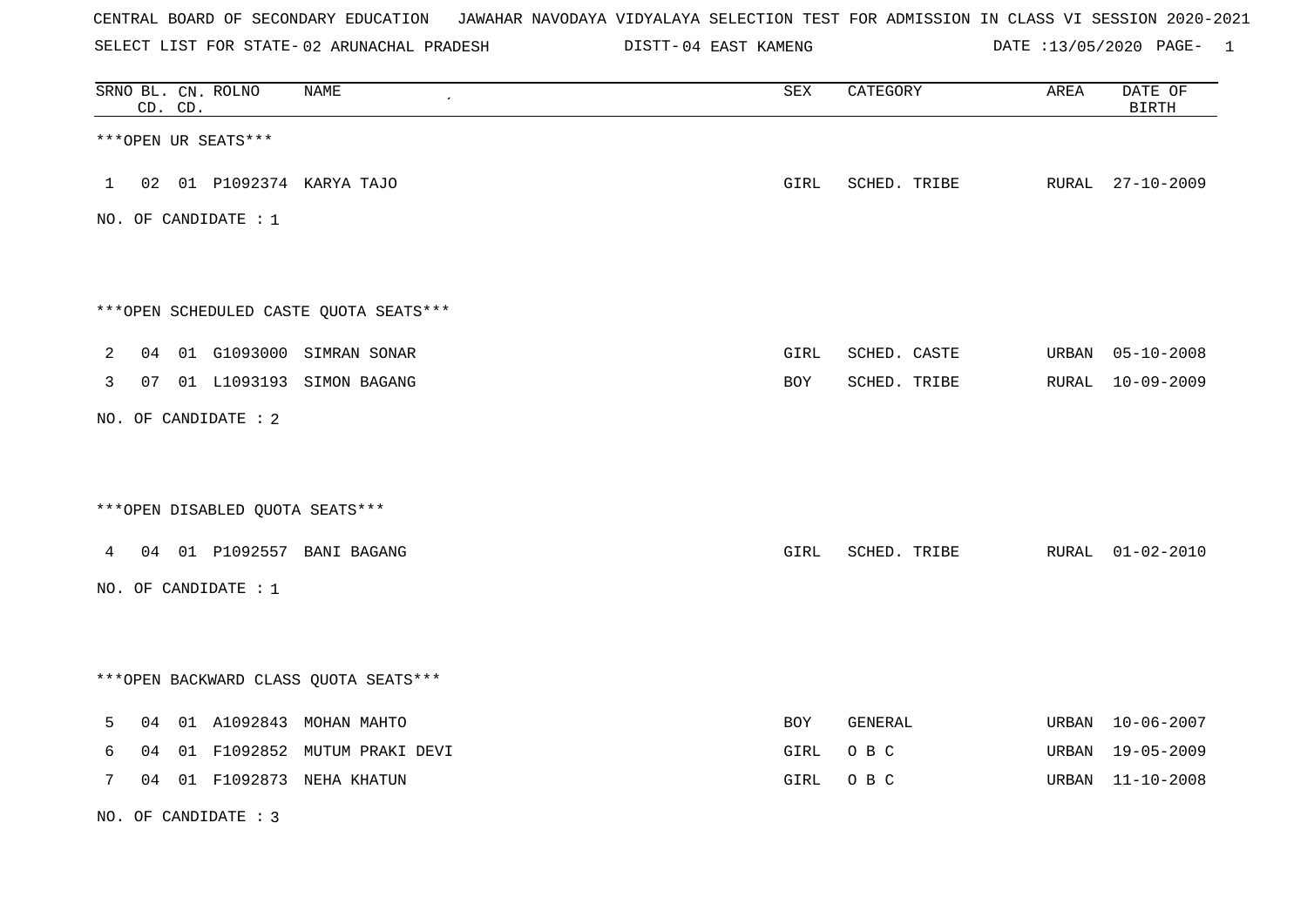SELECT LIST FOR STATE- DISTT- 02 ARUNACHAL PRADESH

04 EAST KAMENG DATE :13/05/2020 PAGE- 1

|                |    | CD. CD. | SRNO BL. CN. ROLNO     | NAME                                   | ${\tt SEX}$ | CATEGORY     | AREA  | DATE OF<br><b>BIRTH</b> |
|----------------|----|---------|------------------------|----------------------------------------|-------------|--------------|-------|-------------------------|
|                |    |         | ***OPEN UR SEATS***    |                                        |             |              |       |                         |
| $\mathbf{1}$   | 02 |         |                        | 01 P1092374 KARYA TAJO                 | GIRL        | SCHED. TRIBE |       | RURAL 27-10-2009        |
|                |    |         | NO. OF CANDIDATE : 1   |                                        |             |              |       |                         |
|                |    |         |                        | ***OPEN SCHEDULED CASTE QUOTA SEATS*** |             |              |       |                         |
| 2              |    |         |                        | 04 01 G1093000 SIMRAN SONAR            | GIRL        | SCHED. CASTE |       | URBAN 05-10-2008        |
| 3              |    |         |                        | 07 01 L1093193 SIMON BAGANG            | BOY         | SCHED. TRIBE |       | RURAL 10-09-2009        |
|                |    |         | NO. OF CANDIDATE : 2   |                                        |             |              |       |                         |
|                |    |         |                        | ***OPEN DISABLED QUOTA SEATS***        |             |              |       |                         |
| $\overline{4}$ |    |         |                        | 04  01  P1092557  BANI  BAGANG         | GIRL        | SCHED. TRIBE |       | RURAL 01-02-2010        |
|                |    |         | NO. OF CANDIDATE : $1$ |                                        |             |              |       |                         |
|                |    |         |                        | *** OPEN BACKWARD CLASS QUOTA SEATS*** |             |              |       |                         |
| 5              |    |         |                        | 04 01 A1092843 MOHAN MAHTO             | BOY         | GENERAL      | URBAN | 10-06-2007              |
| 6              |    |         | 04 01 F1092852         | MUTUM PRAKI DEVI                       | GIRL        | O B C        | URBAN | 19-05-2009              |
| 7              |    |         |                        | 04 01 F1092873 NEHA KHATUN             | GIRL        | O B C        | URBAN | 11-10-2008              |
|                |    |         | NO. OF CANDIDATE: 3    |                                        |             |              |       |                         |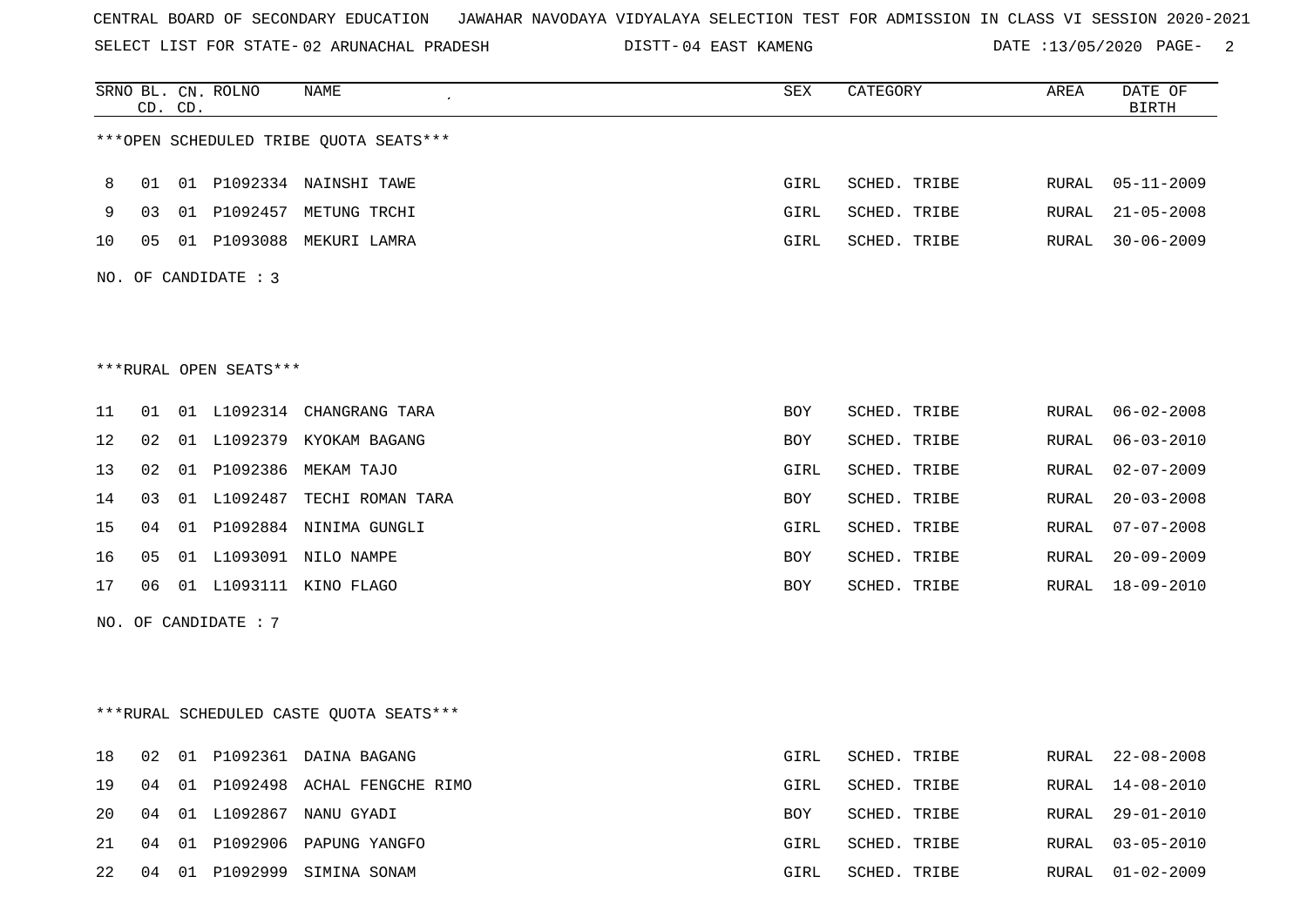SELECT LIST FOR STATE-02 ARUNACHAL PRADESH DISTT-04 EAST KAMENG DATE :13/05/2020 PAGE- 2

|    | SRNO BL. CN. ROLNO<br><b>NAME</b><br><b>SEX</b><br>CATEGORY<br>CD. CD. |  |                        |                                          |            |              | AREA  | DATE OF<br><b>BIRTH</b> |
|----|------------------------------------------------------------------------|--|------------------------|------------------------------------------|------------|--------------|-------|-------------------------|
|    |                                                                        |  |                        | ***OPEN SCHEDULED TRIBE QUOTA SEATS***   |            |              |       |                         |
|    |                                                                        |  |                        |                                          |            |              |       |                         |
| 8  | 01                                                                     |  |                        | 01 P1092334 NAINSHI TAWE                 | GIRL       | SCHED. TRIBE | RURAL | $05 - 11 - 2009$        |
| 9  | 03                                                                     |  |                        | 01 P1092457 METUNG TRCHI                 | GIRL       | SCHED. TRIBE | RURAL | $21 - 05 - 2008$        |
| 10 | 05                                                                     |  |                        | 01 P1093088 MEKURI LAMRA                 | GIRL       | SCHED. TRIBE | RURAL | $30 - 06 - 2009$        |
|    |                                                                        |  | NO. OF CANDIDATE : 3   |                                          |            |              |       |                         |
|    |                                                                        |  |                        |                                          |            |              |       |                         |
|    |                                                                        |  | ***RURAL OPEN SEATS*** |                                          |            |              |       |                         |
| 11 | 01                                                                     |  |                        | 01 L1092314 CHANGRANG TARA               | <b>BOY</b> | SCHED. TRIBE | RURAL | $06 - 02 - 2008$        |
| 12 | 02                                                                     |  |                        | 01 L1092379 KYOKAM BAGANG                | <b>BOY</b> | SCHED. TRIBE | RURAL | $06 - 03 - 2010$        |
| 13 | 02                                                                     |  |                        | 01 P1092386 MEKAM TAJO                   | GIRL       | SCHED. TRIBE | RURAL | $02 - 07 - 2009$        |
| 14 | 03                                                                     |  |                        | 01 L1092487 TECHI ROMAN TARA             | <b>BOY</b> | SCHED. TRIBE | RURAL | $20 - 03 - 2008$        |
| 15 | 04                                                                     |  |                        | 01 P1092884 NINIMA GUNGLI                | GIRL       | SCHED. TRIBE | RURAL | $07 - 07 - 2008$        |
| 16 | 05                                                                     |  |                        | 01 L1093091 NILO NAMPE                   | BOY        | SCHED. TRIBE | RURAL | $20 - 09 - 2009$        |
| 17 | 06                                                                     |  |                        | 01 L1093111 KINO FLAGO                   | BOY        | SCHED. TRIBE | RURAL | 18-09-2010              |
|    |                                                                        |  | NO. OF CANDIDATE : $7$ |                                          |            |              |       |                         |
|    |                                                                        |  |                        |                                          |            |              |       |                         |
|    |                                                                        |  |                        | *** RURAL SCHEDULED CASTE QUOTA SEATS*** |            |              |       |                         |
| 18 | 02                                                                     |  |                        | 01 P1092361 DAINA BAGANG                 | GIRL       | SCHED. TRIBE | RURAL | $22 - 08 - 2008$        |
| 19 | 04                                                                     |  |                        | 01 P1092498 ACHAL FENGCHE RIMO           | GIRL       | SCHED. TRIBE | RURAL | $14 - 08 - 2010$        |
| 20 | 04                                                                     |  |                        | 01 L1092867 NANU GYADI                   | BOY        | SCHED. TRIBE | RURAL | $29 - 01 - 2010$        |
| 21 | 04                                                                     |  |                        | 01 P1092906 PAPUNG YANGFO                | GIRL       | SCHED. TRIBE | RURAL | $03 - 05 - 2010$        |
| 22 | 04                                                                     |  |                        | 01 P1092999 SIMINA SONAM                 | GIRL       | SCHED. TRIBE | RURAL | $01 - 02 - 2009$        |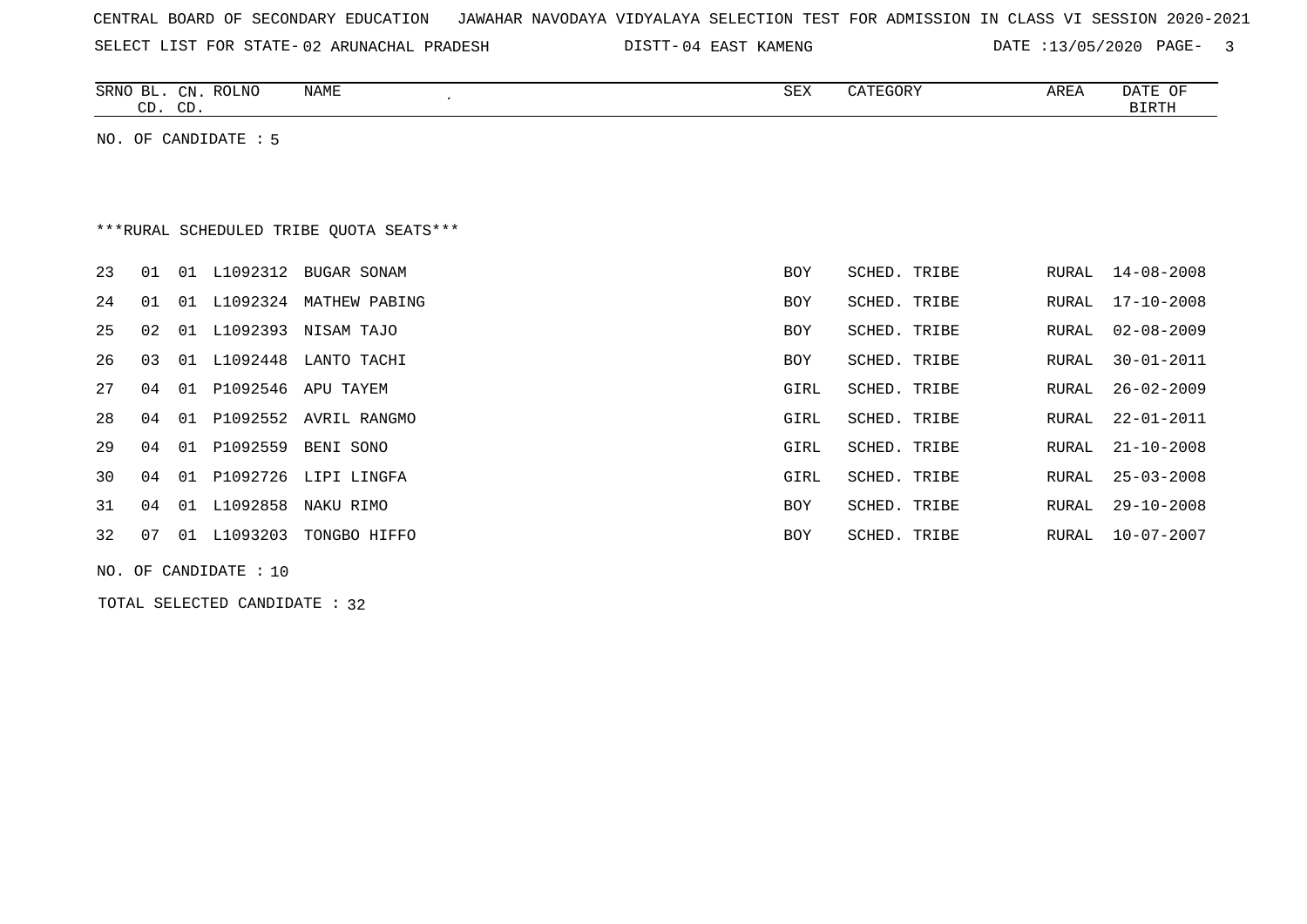| CENTRAL BOARD OF SECONDARY EDUCATION – JAWAHAR NAVODAYA VIDYALAYA SELECTION TEST FOR ADMISSION IN CLASS VI SESSION 2020-2021 |  |  |  |  |
|------------------------------------------------------------------------------------------------------------------------------|--|--|--|--|
|------------------------------------------------------------------------------------------------------------------------------|--|--|--|--|

SELECT LIST FOR STATE- DISTT- 02 ARUNACHAL PRADESH 04 EAST KAMENG DATE :13/05/2020 PAGE- 3

| SRNO<br>RL | $\text{CN}$  | ROLNO | NAME | CEV<br>つロマ | GORY | AREA | DATE<br>$\sim$ $\sim$<br>ັ∪ ⊧ |
|------------|--------------|-------|------|------------|------|------|-------------------------------|
| $\sim$     | $\cap$<br>ىب |       |      |            |      |      | וחים דם                       |
|            |              |       |      |            |      |      |                               |

NO. OF CANDIDATE : 5

# \*\*\*RURAL SCHEDULED TRIBE QUOTA SEATS\*\*\*

| 23 | 01 | O 1 | L1092312    | BUGAR SONAM               | <b>BOY</b> | SCHED. TRIBE | RURAL | $14 - 08 - 2008$ |
|----|----|-----|-------------|---------------------------|------------|--------------|-------|------------------|
| 24 | 01 |     | 01 L1092324 | MATHEW PABING             | <b>BOY</b> | SCHED. TRIBE |       | RURAL 17-10-2008 |
| 25 |    |     |             | 02 01 L1092393 NISAM TAJO | <b>BOY</b> | SCHED. TRIBE |       | RURAL 02-08-2009 |
| 26 | 03 |     |             | 01 L1092448 LANTO TACHI   | BOY        | SCHED. TRIBE |       | RURAL 30-01-2011 |
| 27 | 04 |     | 01 P1092546 | APU TAYEM                 | GIRL       | SCHED. TRIBE | RURAL | 26-02-2009       |
| 28 | 04 | 01  |             | P1092552 AVRIL RANGMO     | GIRL       | SCHED. TRIBE |       | RURAL 22-01-2011 |
| 29 | 04 |     | 01 P1092559 | BENI SONO                 | GIRL       | SCHED. TRIBE |       | RURAL 21-10-2008 |
| 30 | 04 |     |             | 01 P1092726 LIPI LINGFA   | GIRL       | SCHED. TRIBE |       | RURAL 25-03-2008 |
| 31 | 04 | 01  |             | L1092858 NAKU RIMO        | BOY        | SCHED. TRIBE |       | RURAL 29-10-2008 |
| 32 | 07 | 01  | L1093203    | TONGBO HIFFO              | <b>BOY</b> | SCHED. TRIBE | RURAL | $10 - 07 - 2007$ |
|    |    |     |             |                           |            |              |       |                  |

NO. OF CANDIDATE : 10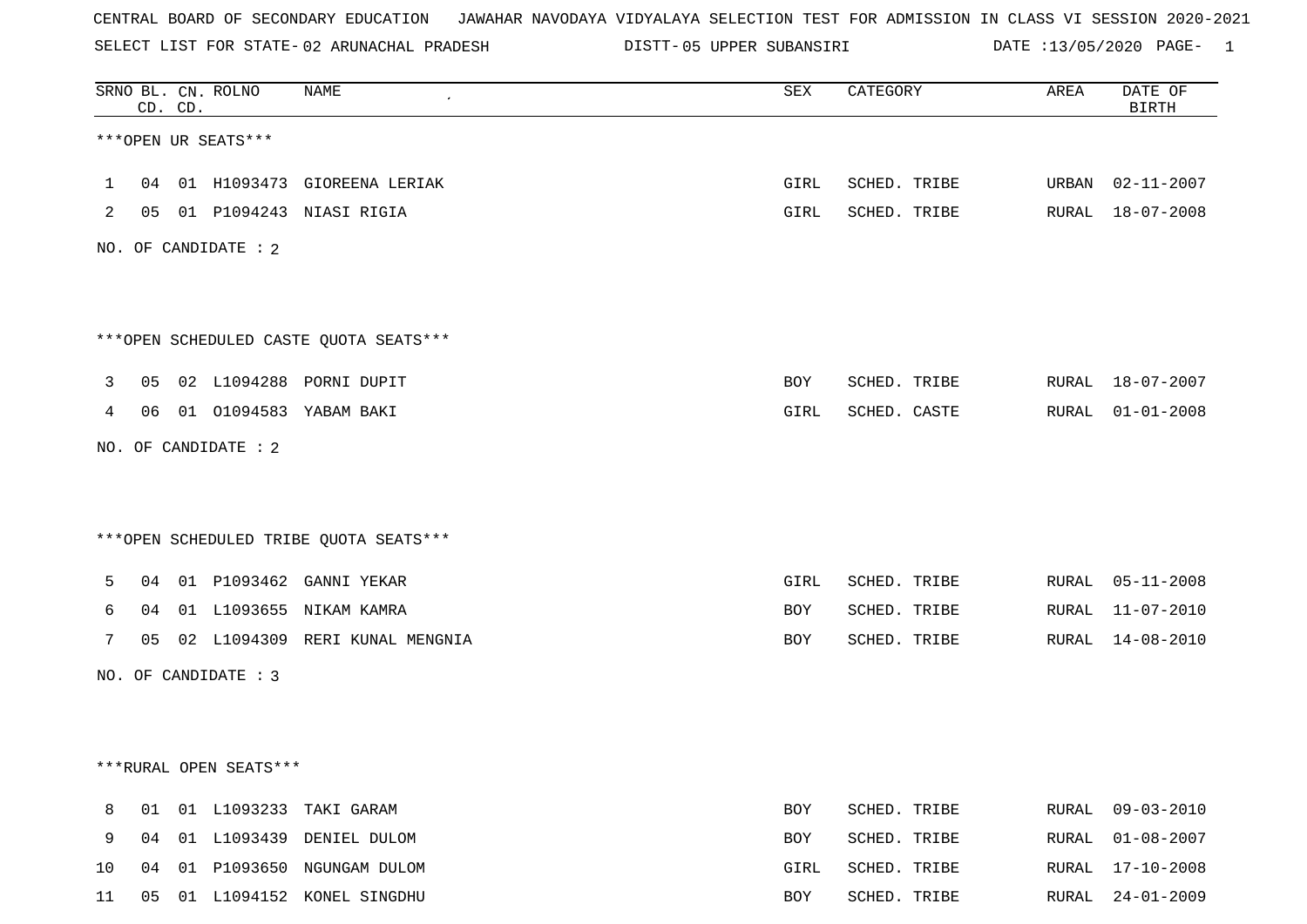SELECT LIST FOR STATE- DISTT- 02 ARUNACHAL PRADESH

05 UPPER SUBANSIRI DATE :13/05/2020 PAGE- 1

|   |    | CD. CD. | SRNO BL. CN. ROLNO     | NAME                                   | SEX        | CATEGORY     | AREA | DATE OF<br><b>BIRTH</b> |
|---|----|---------|------------------------|----------------------------------------|------------|--------------|------|-------------------------|
|   |    |         | ***OPEN UR SEATS***    |                                        |            |              |      |                         |
| 1 | 04 |         |                        | 01 H1093473 GIOREENA LERIAK            | GIRL       | SCHED. TRIBE |      | URBAN 02-11-2007        |
| 2 |    |         |                        | 05 01 P1094243 NIASI RIGIA             | GIRL       | SCHED. TRIBE |      | RURAL 18-07-2008        |
|   |    |         | NO. OF CANDIDATE : 2   |                                        |            |              |      |                         |
|   |    |         |                        | ***OPEN SCHEDULED CASTE OUOTA SEATS*** |            |              |      |                         |
|   |    |         |                        | 3 05 02 L1094288 PORNI DUPIT           | BOY        | SCHED. TRIBE |      | RURAL 18-07-2007        |
| 4 |    |         |                        | 06 01 01094583 YABAM BAKI              | GIRL       | SCHED. CASTE |      | RURAL 01-01-2008        |
|   |    |         | NO. OF CANDIDATE : 2   |                                        |            |              |      |                         |
|   |    |         |                        | ***OPEN SCHEDULED TRIBE QUOTA SEATS*** |            |              |      |                         |
| 5 |    |         |                        | 04 01 P1093462 GANNI YEKAR             | GIRL       | SCHED. TRIBE |      | RURAL 05-11-2008        |
| 6 | 04 |         |                        | 01 L1093655 NIKAM KAMRA                | BOY        | SCHED. TRIBE |      | RURAL 11-07-2010        |
| 7 |    |         |                        | 05 02 L1094309 RERI KUNAL MENGNIA      | BOY        | SCHED. TRIBE |      | RURAL 14-08-2010        |
|   |    |         | NO. OF CANDIDATE : 3   |                                        |            |              |      |                         |
|   |    |         | ***RURAL OPEN SEATS*** |                                        |            |              |      |                         |
| 8 |    |         |                        | 01 01 L1093233 TAKI GARAM              | <b>BOY</b> | SCHED. TRIBE |      | RURAL 09-03-2010        |
| 9 |    |         |                        | 04 01 L1093439 DENIEL DULOM            | <b>BOY</b> | SCHED. TRIBE |      | RURAL 01-08-2007        |
|   |    |         |                        | 10 04 01 P1093650 NGUNGAM DULOM        | GIRL       | SCHED. TRIBE |      | RURAL 17-10-2008        |

11 05 01 L1094152 KONEL SINGDHU BOY SCHED. TRIBE RURAL 24-01-2009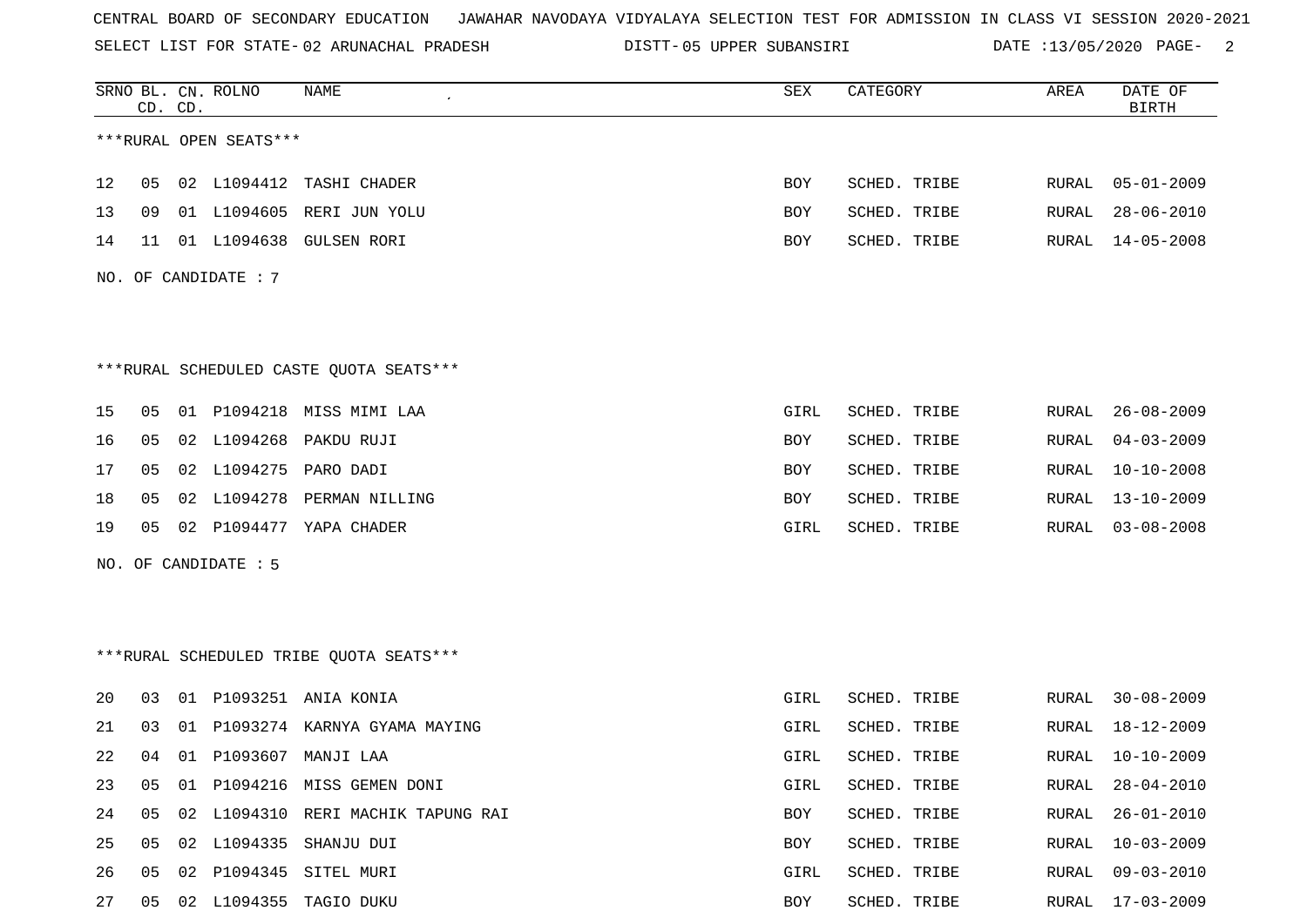SELECT LIST FOR STATE- DISTT- 02 ARUNACHAL PRADESH

05 UPPER SUBANSIRI DATE :13/05/2020 PAGE- 2

|    |    | CD. CD. | SRNO BL. CN. ROLNO     | NAME                                    | SEX        | CATEGORY     | AREA          | DATE OF<br><b>BIRTH</b> |
|----|----|---------|------------------------|-----------------------------------------|------------|--------------|---------------|-------------------------|
|    |    |         | ***RURAL OPEN SEATS*** |                                         |            |              |               |                         |
| 12 | 05 |         |                        | 02 L1094412 TASHI CHADER                | BOY        | SCHED. TRIBE | RURAL         | $05 - 01 - 2009$        |
| 13 | 09 |         |                        | 01 L1094605 RERI JUN YOLU               | BOY        | SCHED. TRIBE | RURAL         | $28 - 06 - 2010$        |
| 14 | 11 |         |                        | 01 L1094638 GULSEN RORI                 | BOY        | SCHED. TRIBE | RURAL         | $14 - 05 - 2008$        |
|    |    |         | NO. OF CANDIDATE : 7   |                                         |            |              |               |                         |
|    |    |         |                        |                                         |            |              |               |                         |
|    |    |         |                        | ***RURAL SCHEDULED CASTE QUOTA SEATS*** |            |              |               |                         |
| 15 | 05 |         |                        | 01 P1094218 MISS MIMI LAA               | GIRL       | SCHED. TRIBE | RURAL         | $26 - 08 - 2009$        |
| 16 | 05 |         |                        | 02 L1094268 PAKDU RUJI                  | BOY        | SCHED. TRIBE | RURAL         | $04 - 03 - 2009$        |
| 17 | 05 |         | 02 L1094275            | PARO DADI                               | BOY        | SCHED. TRIBE | RURAL         | $10 - 10 - 2008$        |
| 18 | 05 |         |                        | 02 L1094278 PERMAN NILLING              | <b>BOY</b> | SCHED. TRIBE | RURAL         | 13-10-2009              |
| 19 | 05 |         |                        | 02 P1094477 YAPA CHADER                 | GIRL       | SCHED. TRIBE | RURAL         | $03 - 08 - 2008$        |
|    |    |         | NO. OF CANDIDATE : 5   |                                         |            |              |               |                         |
|    |    |         |                        |                                         |            |              |               |                         |
|    |    |         |                        |                                         |            |              |               |                         |
|    |    |         |                        | ***RURAL SCHEDULED TRIBE QUOTA SEATS*** |            |              |               |                         |
| 20 | 03 |         |                        | 01 P1093251 ANIA KONIA                  | GIRL       | SCHED. TRIBE | RURAL         | $30 - 08 - 2009$        |
| 21 | 03 | 01      |                        | P1093274 KARNYA GYAMA MAYING            | GIRL       | SCHED. TRIBE | RURAL         | $18 - 12 - 2009$        |
| 22 |    |         |                        | 04  01  P1093607  MANJI LAA             | GIRL       | SCHED. TRIBE | RURAL         | $10 - 10 - 2009$        |
| 23 | 05 |         |                        | 01 P1094216 MISS GEMEN DONI             | GIRL       | SCHED. TRIBE | RURAL         | $28 - 04 - 2010$        |
| 24 | 05 |         |                        | 02 L1094310 RERI MACHIK TAPUNG RAI      | BOY        | SCHED. TRIBE | RURAL         | $26 - 01 - 2010$        |
| 25 | 05 |         |                        | 02 L1094335 SHANJU DUI                  | BOY        | SCHED. TRIBE | RURAL         | $10 - 03 - 2009$        |
| 26 | 05 |         |                        | 02 P1094345 SITEL MURI                  | GIRL       | SCHED. TRIBE | ${\tt RURAL}$ | $09 - 03 - 2010$        |
| 27 | 05 |         |                        | 02 L1094355 TAGIO DUKU                  | BOY        | SCHED. TRIBE | RURAL         | 17-03-2009              |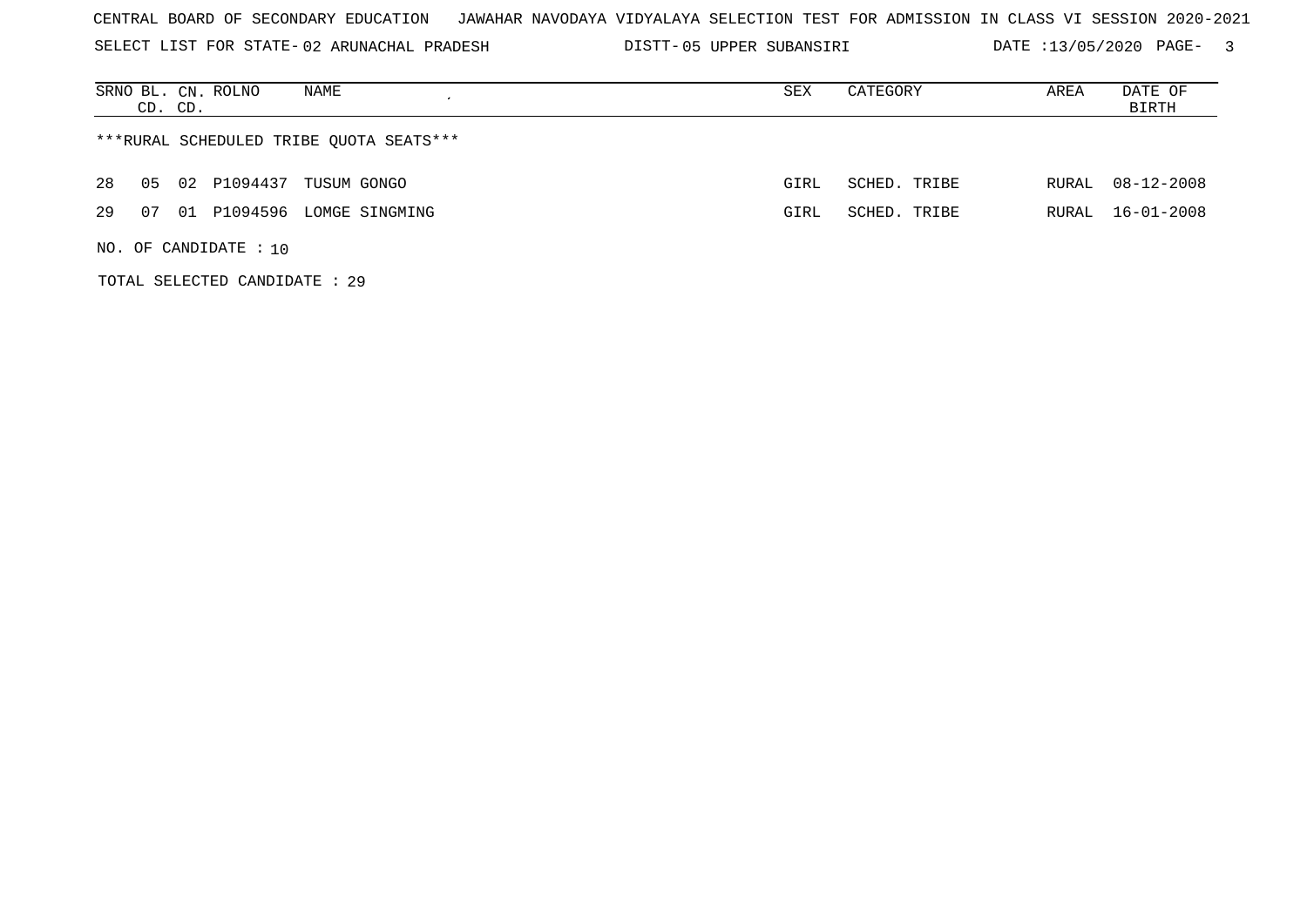SELECT LIST FOR STATE- DISTT- 02 ARUNACHAL PRADESH

05 UPPER SUBANSIRI DATE :13/05/2020 PAGE- 3

| SRNO BL. CN. ROLNO<br>NAME<br>CD. CD.      | SEX  | CATEGORY     | AREA  | DATE OF<br>BIRTH |
|--------------------------------------------|------|--------------|-------|------------------|
| ***RURAL SCHEDULED TRIBE OUOTA SEATS***    |      |              |       |                  |
| 02 P1094437 TUSUM GONGO<br>28<br>05        | GIRL | SCHED. TRIBE | RURAL | 08-12-2008       |
| P1094596 LOMGE SINGMING<br>29<br>07<br>O 1 | GIRL | SCHED. TRIBE |       | RURAL 16-01-2008 |
| $NO.$ OF CANDIDATE : 10                    |      |              |       |                  |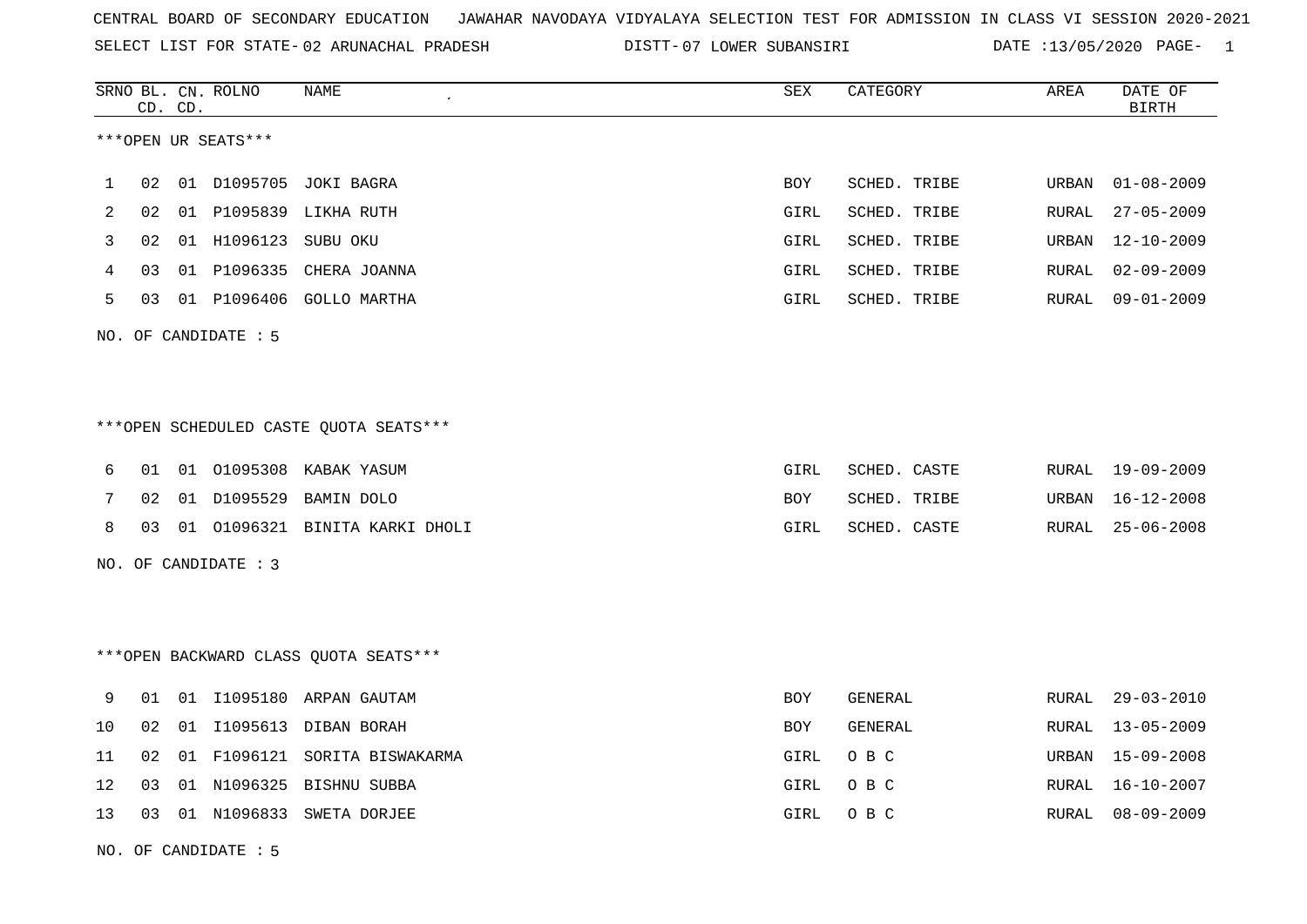SELECT LIST FOR STATE- DISTT- 02 ARUNACHAL PRADESH 07 LOWER SUBANSIRI DATE :13/05/2020 PAGE- 1

|    |    | CD. CD. | SRNO BL. CN. ROLNO   | NAME                                    | SEX        | CATEGORY       | AREA         | DATE OF<br><b>BIRTH</b> |
|----|----|---------|----------------------|-----------------------------------------|------------|----------------|--------------|-------------------------|
|    |    |         | ***OPEN UR SEATS***  |                                         |            |                |              |                         |
| 1  | 02 |         |                      | 01 D1095705 JOKI BAGRA                  | BOY        | SCHED. TRIBE   | URBAN        | $01 - 08 - 2009$        |
| 2  | 02 |         |                      | 01 P1095839 LIKHA RUTH                  | GIRL       | SCHED. TRIBE   | RURAL        | $27 - 05 - 2009$        |
| 3  | 02 |         | 01 H1096123          | SUBU OKU                                | GIRL       | SCHED. TRIBE   | URBAN        | $12 - 10 - 2009$        |
| 4  | 03 |         |                      | 01 P1096335 CHERA JOANNA                | GIRL       | SCHED. TRIBE   | RURAL        | $02 - 09 - 2009$        |
| 5  | 03 |         |                      | 01 P1096406 GOLLO MARTHA                | GIRL       | SCHED. TRIBE   | RURAL        | $09 - 01 - 2009$        |
|    |    |         | NO. OF CANDIDATE : 5 |                                         |            |                |              |                         |
|    |    |         |                      |                                         |            |                |              |                         |
|    |    |         |                      | ***OPEN SCHEDULED CASTE QUOTA SEATS***  |            |                |              |                         |
| 6  |    |         |                      | 01 01 01095308 KABAK YASUM              | GIRL       | SCHED. CASTE   |              | RURAL 19-09-2009        |
| 7  | 02 |         |                      | 01 D1095529 BAMIN DOLO                  | BOY        | SCHED. TRIBE   | URBAN        | $16 - 12 - 2008$        |
| 8  | 03 |         |                      | 01 01096321 BINITA KARKI DHOLI          | GIRL       | SCHED. CASTE   | RURAL        | $25 - 06 - 2008$        |
|    |    |         | NO. OF CANDIDATE : 3 |                                         |            |                |              |                         |
|    |    |         |                      |                                         |            |                |              |                         |
|    |    |         |                      | *** OPEN BACKWARD CLASS QUOTA SEATS *** |            |                |              |                         |
| 9  | 01 |         |                      | 01 I1095180 ARPAN GAUTAM                | BOY        | GENERAL        | RURAL        | $29 - 03 - 2010$        |
| 10 | 02 |         |                      | 01 I1095613 DIBAN BORAH                 | <b>BOY</b> | <b>GENERAL</b> | <b>RURAL</b> | $13 - 05 - 2009$        |
| 11 | 02 |         |                      | 01 F1096121 SORITA BISWAKARMA           | GIRL       | O B C          | URBAN        | $15 - 09 - 2008$        |
| 12 | 03 |         |                      | 01 N1096325 BISHNU SUBBA                | GIRL       | O B C          | RURAL        | $16 - 10 - 2007$        |
| 13 |    |         |                      | 03 01 N1096833 SWETA DORJEE             | GIRL       | O B C          | RURAL        | $08 - 09 - 2009$        |
|    |    |         | NO. OF CANDIDATE: 5  |                                         |            |                |              |                         |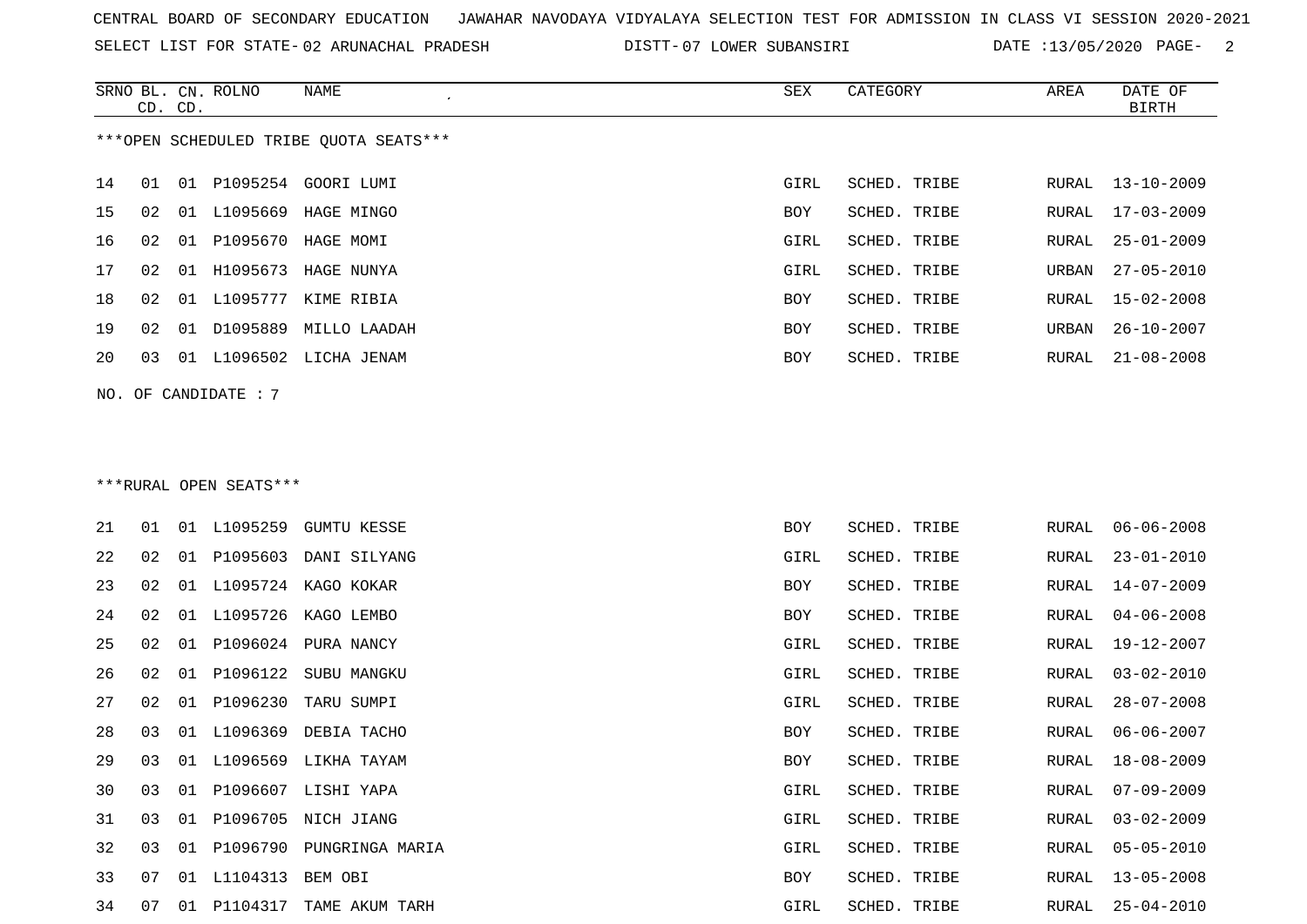SELECT LIST FOR STATE- DISTT- 02 ARUNACHAL PRADESH

07 LOWER SUBANSIRI DATE :13/05/2020 PAGE- 2

|    | CD. CD. |    | SRNO BL. CN. ROLNO     | NAME                                   | SEX  | CATEGORY     | AREA  | DATE OF<br><b>BIRTH</b> |
|----|---------|----|------------------------|----------------------------------------|------|--------------|-------|-------------------------|
|    |         |    |                        | ***OPEN SCHEDULED TRIBE QUOTA SEATS*** |      |              |       |                         |
| 14 | 01      |    |                        | 01 P1095254 GOORI LUMI                 | GIRL | SCHED. TRIBE | RURAL | $13 - 10 - 2009$        |
| 15 | 02      |    |                        | 01 L1095669 HAGE MINGO                 | BOY  | SCHED. TRIBE | RURAL | 17-03-2009              |
| 16 | 02      | 01 | P1095670               | HAGE MOMI                              | GIRL | SCHED. TRIBE | RURAL | $25 - 01 - 2009$        |
| 17 | 02      | 01 | H1095673               | HAGE NUNYA                             | GIRL | SCHED. TRIBE | URBAN | $27 - 05 - 2010$        |
| 18 | 02      | 01 | L1095777               | KIME RIBIA                             | BOY  | SCHED. TRIBE | RURAL | $15 - 02 - 2008$        |
| 19 | 02      | 01 | D1095889               | MILLO LAADAH                           | BOY  | SCHED. TRIBE | URBAN | $26 - 10 - 2007$        |
| 20 | 03      |    |                        | 01 L1096502 LICHA JENAM                | BOY  | SCHED. TRIBE | RURAL | $21 - 08 - 2008$        |
|    |         |    | NO. OF CANDIDATE : 7   |                                        |      |              |       |                         |
|    |         |    |                        |                                        |      |              |       |                         |
|    |         |    |                        |                                        |      |              |       |                         |
|    |         |    | ***RURAL OPEN SEATS*** |                                        |      |              |       |                         |
| 21 | 01      |    | 01 L1095259            | GUMTU KESSE                            | BOY  | SCHED. TRIBE | RURAL | $06 - 06 - 2008$        |
| 22 | 02      | 01 | P1095603               | DANI SILYANG                           | GIRL | SCHED. TRIBE | RURAL | $23 - 01 - 2010$        |
| 23 | 02      | 01 | L1095724               | KAGO KOKAR                             | BOY  | SCHED. TRIBE | RURAL | $14 - 07 - 2009$        |
| 24 | 02      | 01 | L1095726               | KAGO LEMBO                             | BOY  | SCHED. TRIBE | RURAL | $04 - 06 - 2008$        |
| 25 | 02      | 01 | P1096024               | PURA NANCY                             | GIRL | SCHED. TRIBE | RURAL | 19-12-2007              |
| 26 | 02      | 01 | P1096122               | SUBU MANGKU                            | GIRL | SCHED. TRIBE | RURAL | $03 - 02 - 2010$        |
| 27 | 02      | 01 | P1096230               | TARU SUMPI                             | GIRL | SCHED. TRIBE | RURAL | $28 - 07 - 2008$        |
| 28 | 03      | 01 | L1096369               | DEBIA TACHO                            | BOY  | SCHED. TRIBE | RURAL | $06 - 06 - 2007$        |
| 29 | 03      |    |                        | 01 L1096569 LIKHA TAYAM                | BOY  | SCHED. TRIBE | RURAL | 18-08-2009              |
| 30 | 03      | 01 |                        | P1096607 LISHI YAPA                    | GIRL | SCHED. TRIBE | RURAL | $07 - 09 - 2009$        |
| 31 | 03      | 01 |                        | P1096705 NICH JIANG                    | GIRL | SCHED. TRIBE | RURAL | $03 - 02 - 2009$        |
| 32 | 03      | 01 |                        | P1096790 PUNGRINGA MARIA               | GIRL | SCHED. TRIBE | RURAL | $05 - 05 - 2010$        |
| 33 | 07      |    | 01 L1104313 BEM OBI    |                                        | BOY  | SCHED. TRIBE | RURAL | 13-05-2008              |
| 34 | 07      |    |                        | 01 P1104317 TAME AKUM TARH             | GIRL | SCHED. TRIBE |       | RURAL 25-04-2010        |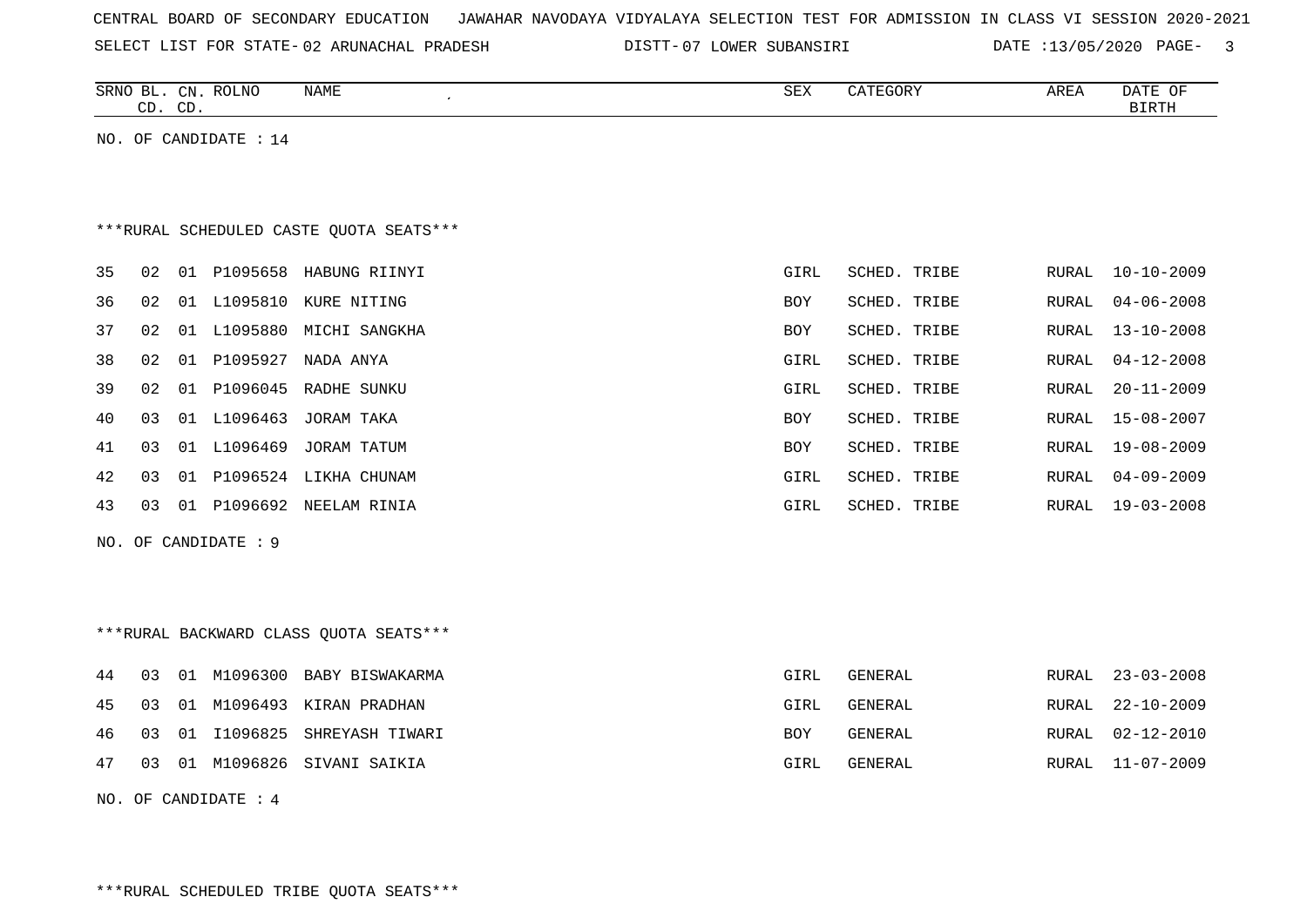| CENTRAL BOARD OF SECONDARY EDUCATION – JAWAHAR NAVODAYA VIDYALAYA SELECTION TEST FOR ADMISSION IN CLASS VI SESSION 2020-2021 |  |  |  |
|------------------------------------------------------------------------------------------------------------------------------|--|--|--|
|------------------------------------------------------------------------------------------------------------------------------|--|--|--|

SELECT LIST FOR STATE- DISTT- 02 ARUNACHAL PRADESH

07 LOWER SUBANSIRI DATE :13/05/2020 PAGE- 3

| ROLNC<br><b>SRNC</b><br>$\sim$ $\sim$<br>$\cap$<br>◡⊥୳ | NAME | SEX | $\sim$ $\sim$<br>$\mathbf{m}\cdot\mathbf{n}$<br>$\overline{\phantom{a}}$<br>$\sim$ | AREA | DATE<br>$\sim$ $\sim$<br>UF |
|--------------------------------------------------------|------|-----|------------------------------------------------------------------------------------|------|-----------------------------|
| $\sim$<br>$\sim$ $\sim$<br>$\sim$ $\sim$<br>ىب<br>ັບ   |      |     |                                                                                    |      | זרח רדו                     |

NO. OF CANDIDATE : 14

# \*\*\*RURAL SCHEDULED CASTE QUOTA SEATS\*\*\*

| 35 | 02 | 01    | P1095658 | HABUNG RIINYI         | GIRL       | SCHED. TRIBE | RURAL | 10-10-2009       |
|----|----|-------|----------|-----------------------|------------|--------------|-------|------------------|
| 36 | 02 | . O 1 | L1095810 | KURE NITING           | <b>BOY</b> | SCHED. TRIBE | RURAL | 04-06-2008       |
| 37 | 02 | 01    | L1095880 | MICHI SANGKHA         | <b>BOY</b> | SCHED. TRIBE | RURAL | 13-10-2008       |
| 38 | 02 | 01    | P1095927 | NADA ANYA             | GIRL       | SCHED. TRIBE | RURAL | 04-12-2008       |
| 39 | 02 | 01    |          | P1096045 RADHE SUNKU  | GIRL       | SCHED. TRIBE | RURAL | 20-11-2009       |
| 40 | 03 | 01    | L1096463 | JORAM TAKA            | <b>BOY</b> | SCHED. TRIBE |       | RURAL 15-08-2007 |
| 41 | 03 | 01    | L1096469 | JORAM TATUM           | <b>BOY</b> | SCHED. TRIBE | RURAL | 19-08-2009       |
| 42 | 03 | O 1   | P1096524 | LIKHA CHUNAM          | GIRL       | SCHED. TRIBE | RURAL | $04 - 09 - 2009$ |
| 43 | 03 | 01    |          | P1096692 NEELAM RINIA | GIRL       | SCHED. TRIBE | RURAL | 19-03-2008       |
|    |    |       |          |                       |            |              |       |                  |

NO. OF CANDIDATE : 9

\*\*\*RURAL BACKWARD CLASS QUOTA SEATS\*\*\*

|  |  | 44 03 01 M1096300 BABY BISWAKARMA | GIRL       | GENERAL | RURAL 23-03-2008 |
|--|--|-----------------------------------|------------|---------|------------------|
|  |  | 45 03 01 M1096493 KIRAN PRADHAN   | GIRL       | GENERAL | RURAL 22-10-2009 |
|  |  | 46 03 01 I1096825 SHREYASH TIWARI | <b>BOY</b> | GENERAL | RURAL 02-12-2010 |
|  |  | 47 03 01 M1096826 SIVANI SAIKIA   | GIRL       | GENERAL | RURAL 11-07-2009 |

NO. OF CANDIDATE : 4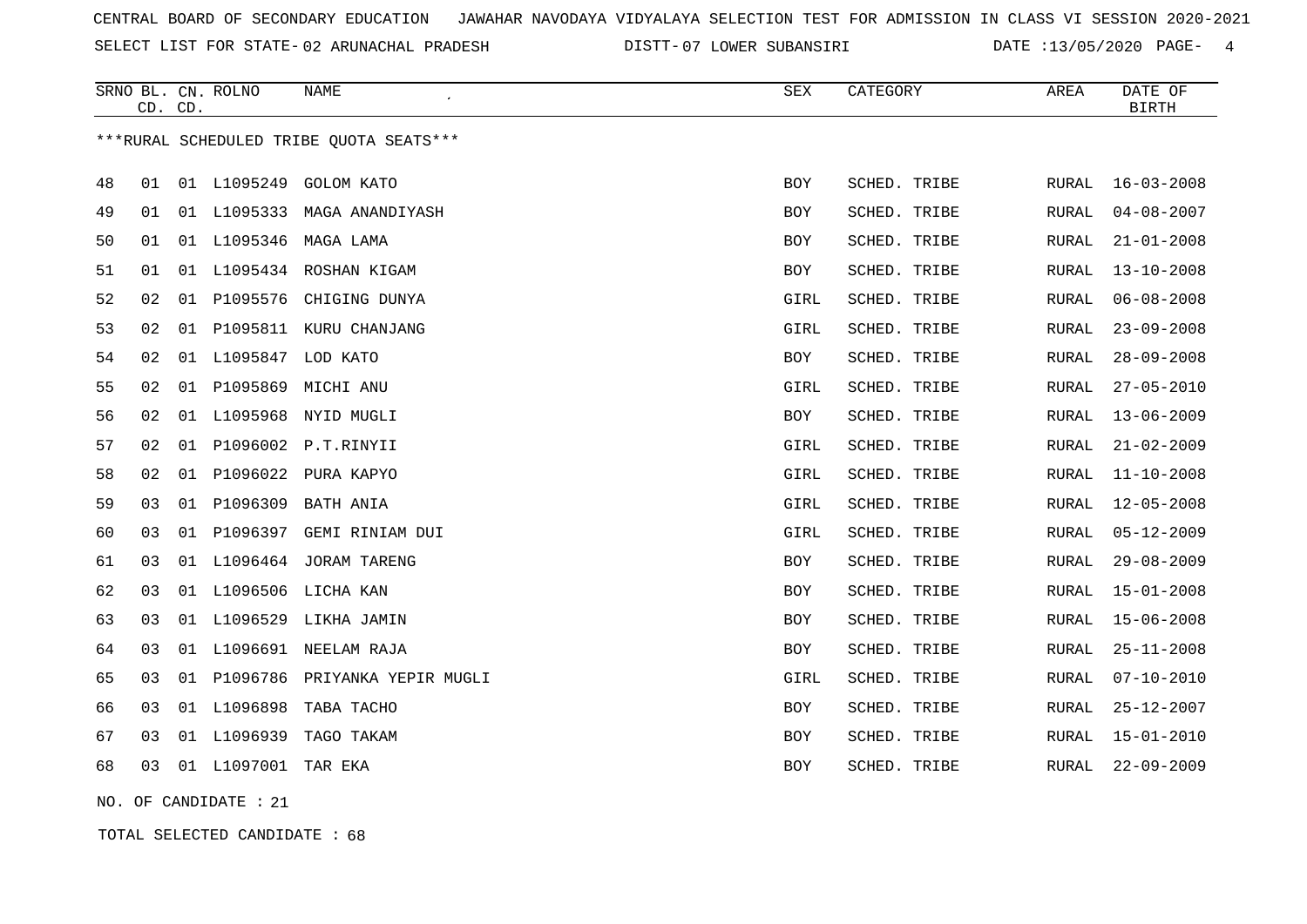SELECT LIST FOR STATE- DISTT- 02 ARUNACHAL PRADESH

07 LOWER SUBANSIRI DATE :13/05/2020 PAGE- 4

|    | CD. CD. | SRNO BL. CN. ROLNO   | <b>NAME</b>                             | <b>SEX</b> | CATEGORY     | AREA  | DATE OF<br><b>BIRTH</b> |
|----|---------|----------------------|-----------------------------------------|------------|--------------|-------|-------------------------|
|    |         |                      | ***RURAL SCHEDULED TRIBE QUOTA SEATS*** |            |              |       |                         |
| 48 | 01      | 01 L1095249          | <b>GOLOM KATO</b>                       | <b>BOY</b> | SCHED. TRIBE | RURAL | $16 - 03 - 2008$        |
| 49 | 01      |                      | 01 L1095333 MAGA ANANDIYASH             | BOY        | SCHED. TRIBE | RURAL | $04 - 08 - 2007$        |
| 50 | 01      |                      | 01 L1095346 MAGA LAMA                   | <b>BOY</b> | SCHED. TRIBE | RURAL | $21 - 01 - 2008$        |
| 51 | 01      |                      | 01 L1095434 ROSHAN KIGAM                | BOY        | SCHED. TRIBE | RURAL | $13 - 10 - 2008$        |
| 52 | 02      |                      | 01 P1095576 CHIGING DUNYA               | GIRL       | SCHED. TRIBE | RURAL | $06 - 08 - 2008$        |
| 53 | 02      |                      | 01 P1095811 KURU CHANJANG               | GIRL       | SCHED. TRIBE | RURAL | $23 - 09 - 2008$        |
| 54 | 02      | 01 L1095847 LOD KATO |                                         | <b>BOY</b> | SCHED. TRIBE | RURAL | $28 - 09 - 2008$        |
| 55 | 02      |                      | 01 P1095869 MICHI ANU                   | GIRL       | SCHED. TRIBE | RURAL | $27 - 05 - 2010$        |
| 56 | 02      |                      | 01 L1095968 NYID MUGLI                  | BOY        | SCHED. TRIBE | RURAL | $13 - 06 - 2009$        |
| 57 | 02      |                      | 01 P1096002 P.T.RINYII                  | GIRL       | SCHED. TRIBE | RURAL | $21 - 02 - 2009$        |
| 58 | 02      |                      | 01 P1096022 PURA KAPYO                  | GIRL       | SCHED. TRIBE | RURAL | $11 - 10 - 2008$        |
| 59 | 03      | 01 P1096309          | BATH ANIA                               | GIRL       | SCHED. TRIBE | RURAL | $12 - 05 - 2008$        |
| 60 | 03      | 01 P1096397          | GEMI RINIAM DUI                         | GIRL       | SCHED. TRIBE | RURAL | $05 - 12 - 2009$        |
| 61 | 03      |                      | 01 L1096464 JORAM TARENG                | BOY        | SCHED. TRIBE | RURAL | $29 - 08 - 2009$        |
| 62 | 03      |                      | 01 L1096506 LICHA KAN                   | BOY        | SCHED. TRIBE | RURAL | $15 - 01 - 2008$        |
| 63 | 03      |                      | 01 L1096529 LIKHA JAMIN                 | <b>BOY</b> | SCHED. TRIBE | RURAL | 15-06-2008              |
| 64 | 03      |                      | 01 L1096691 NEELAM RAJA                 | BOY        | SCHED. TRIBE | RURAL | $25 - 11 - 2008$        |
| 65 | 03      |                      | 01 P1096786 PRIYANKA YEPIR MUGLI        | GIRL       | SCHED. TRIBE | RURAL | $07 - 10 - 2010$        |
| 66 | 03      | 01 L1096898          | TABA TACHO                              | <b>BOY</b> | SCHED. TRIBE | RURAL | $25 - 12 - 2007$        |
| 67 | 03      | 01 L1096939          | TAGO TAKAM                              | BOY        | SCHED. TRIBE | RURAL | $15 - 01 - 2010$        |
| 68 | 03      | 01 L1097001 TAR EKA  |                                         | <b>BOY</b> | SCHED. TRIBE | RURAL | $22 - 09 - 2009$        |

NO. OF CANDIDATE : 21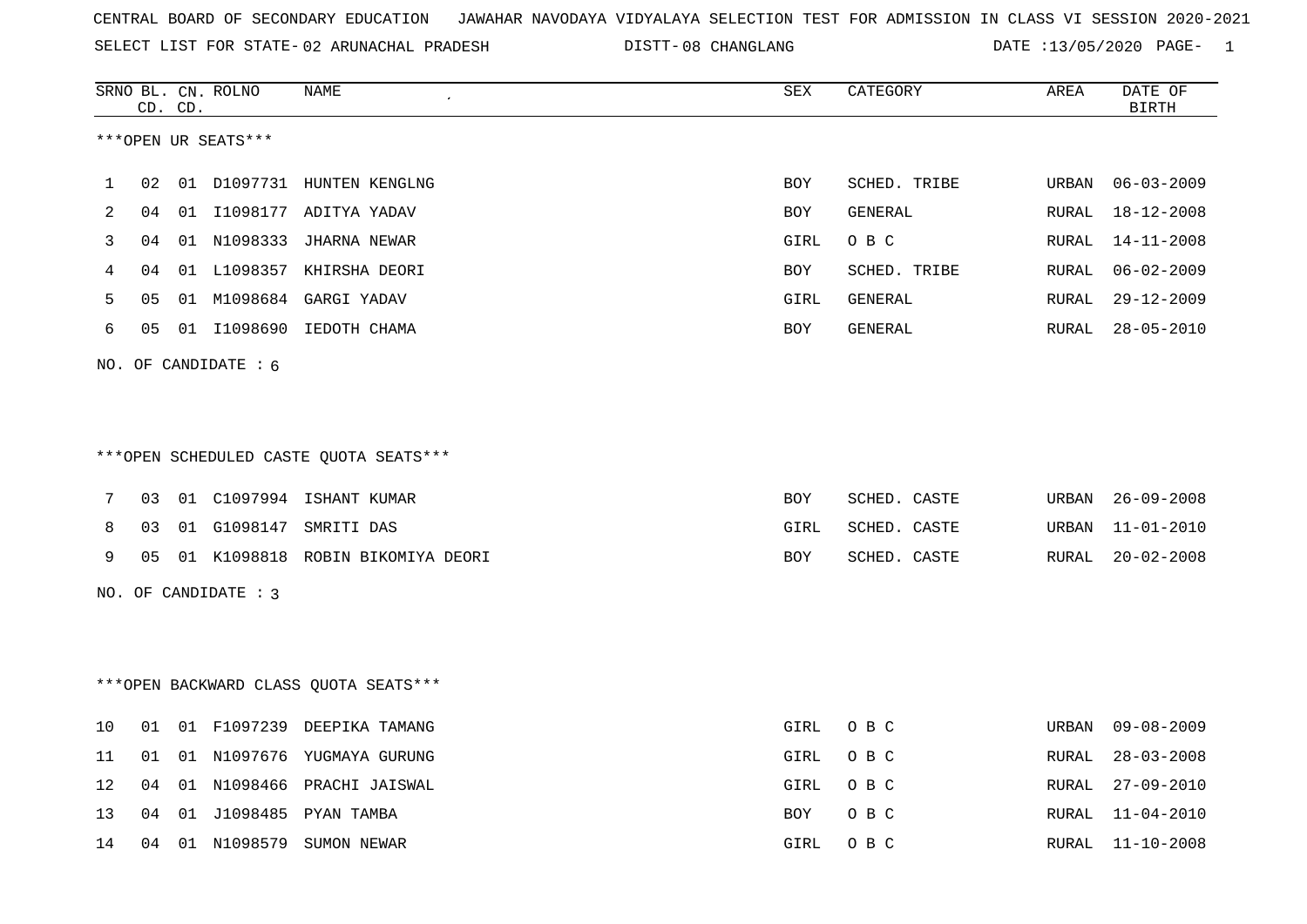SELECT LIST FOR STATE- DISTT- 02 ARUNACHAL PRADESH

08 CHANGLANG DATE :13/05/2020 PAGE- 1

|    |    | CD. CD. | SRNO BL. CN. ROLNO     | NAME                                    | SEX          | CATEGORY     | AREA  | DATE OF<br><b>BIRTH</b> |
|----|----|---------|------------------------|-----------------------------------------|--------------|--------------|-------|-------------------------|
|    |    |         | ***OPEN UR SEATS***    |                                         |              |              |       |                         |
| 1  | 02 |         |                        | 01 D1097731 HUNTEN KENGLNG              | <b>BOY</b>   | SCHED. TRIBE | URBAN | $06 - 03 - 2009$        |
| 2  | 04 |         |                        | 01 I1098177 ADITYA YADAV                | BOY          | GENERAL      | RURAL | $18 - 12 - 2008$        |
| 3  | 04 |         |                        | 01 N1098333 JHARNA NEWAR                | GIRL         | O B C        | RURAL | $14 - 11 - 2008$        |
| 4  | 04 |         |                        | 01 L1098357 KHIRSHA DEORI               | BOY          | SCHED. TRIBE | RURAL | $06 - 02 - 2009$        |
| 5  | 05 |         |                        | 01 M1098684 GARGI YADAV                 | GIRL         | GENERAL      | RURAL | $29 - 12 - 2009$        |
| 6  | 05 |         |                        | 01 I1098690 IEDOTH CHAMA                | $_{\rm BOY}$ | GENERAL      | RURAL | $28 - 05 - 2010$        |
|    |    |         | NO. OF CANDIDATE $: 6$ |                                         |              |              |       |                         |
|    |    |         |                        |                                         |              |              |       |                         |
|    |    |         |                        |                                         |              |              |       |                         |
|    |    |         |                        | ***OPEN SCHEDULED CASTE QUOTA SEATS***  |              |              |       |                         |
| 7  | 03 |         |                        | 01 C1097994 ISHANT KUMAR                | BOY          | SCHED. CASTE | URBAN | $26 - 09 - 2008$        |
| 8  | 03 |         |                        | 01 G1098147 SMRITI DAS                  | GIRL         | SCHED. CASTE | URBAN | $11 - 01 - 2010$        |
| 9  | 05 |         |                        | 01 K1098818 ROBIN BIKOMIYA DEORI        | BOY          | SCHED. CASTE | RURAL | $20 - 02 - 2008$        |
|    |    |         | NO. OF CANDIDATE : 3   |                                         |              |              |       |                         |
|    |    |         |                        |                                         |              |              |       |                         |
|    |    |         |                        |                                         |              |              |       |                         |
|    |    |         |                        | *** OPEN BACKWARD CLASS QUOTA SEATS *** |              |              |       |                         |
| 10 | 01 |         | 01 F1097239            | DEEPIKA TAMANG                          | GIRL         | O B C        | URBAN | $09 - 08 - 2009$        |
| 11 | 01 |         |                        | 01 N1097676 YUGMAYA GURUNG              | GIRL         | O B C        | RURAL | $28 - 03 - 2008$        |
| 12 | 04 |         |                        | 01 N1098466 PRACHI JAISWAL              | GIRL         | O B C        | RURAL | $27 - 09 - 2010$        |
| 13 | 04 |         |                        | 01 J1098485 PYAN TAMBA                  | BOY          | O B C        | RURAL | $11 - 04 - 2010$        |
| 14 | 04 |         |                        | 01 N1098579 SUMON NEWAR                 | GIRL         | O B C        | RURAL | $11 - 10 - 2008$        |
|    |    |         |                        |                                         |              |              |       |                         |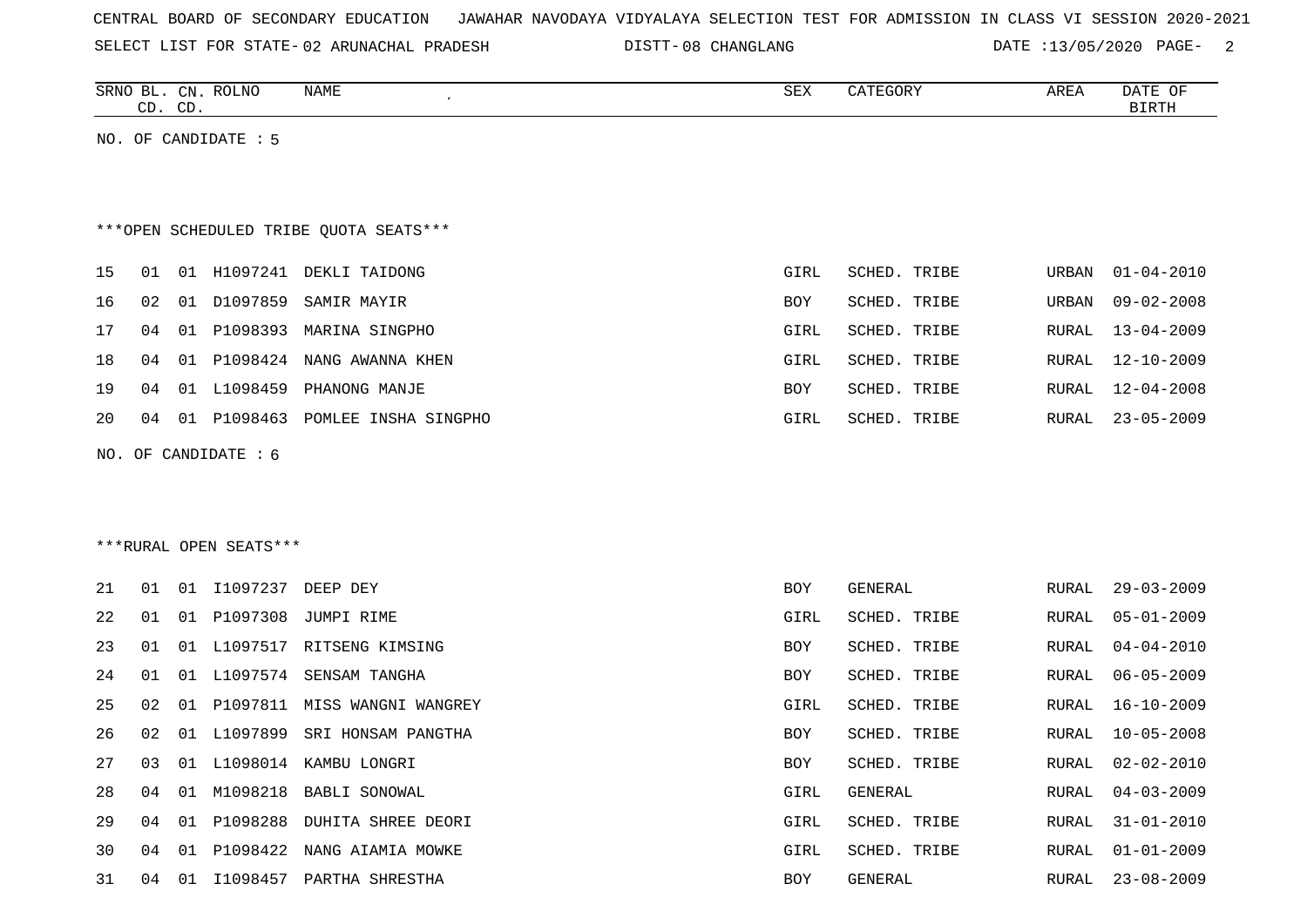| CENTRAL BOARD OF SECONDARY EDUCATION – JAWAHAR NAVODAYA VIDYALAYA SELECTION TEST FOR ADMISSION IN CLASS VI SESSION 2020-2021 |  |  |  |  |
|------------------------------------------------------------------------------------------------------------------------------|--|--|--|--|
|------------------------------------------------------------------------------------------------------------------------------|--|--|--|--|

SELECT LIST FOR STATE- DISTT- 02 ARUNACHAL PRADESH 08 CHANGLANG DATE :13/05/2020 PAGE- 2

| SRNO<br>ВL   | $\cap$ NT<br>◡ | <b>ROLNO</b> | NAME | CEV<br>Δ⊔Δ | ת מא<br>ARLI | $\sim$ $\sim$<br>DATE<br>ັ∪ ⊧ |
|--------------|----------------|--------------|------|------------|--------------|-------------------------------|
| $\sim$<br>-- | $\cap$<br>ັ    |              |      |            |              | <b>DIDE</b>                   |
|              |                |              |      |            |              |                               |

NO. OF CANDIDATE : 5

# \*\*\*OPEN SCHEDULED TRIBE QUOTA SEATS\*\*\*

| 16 02 01 D1097859<br>URBAN 09-02-2008<br>SAMIR MAYIR<br>SCHED. TRIBE<br><b>BOY</b><br>17 04 01 P1098393 MARINA SINGPHO<br>RURAL 13-04-2009<br>SCHED. TRIBE<br>GIRL<br>18 04 01 P1098424 NANG AWANNA KHEN<br>RURAL 12-10-2009<br>SCHED. TRIBE<br>GIRL<br>19 04 01 L1098459 PHANONG MANJE<br>RURAL 12-04-2008<br>SCHED. TRIBE<br>BOY<br>20 04 01 P1098463 POMLEE INSHA SINGPHO<br>RURAL 23-05-2009<br>SCHED. TRIBE<br>GIRL |  |  | 15 01 01 H1097241 DEKLI TAIDONG | GIRL | SCHED. TRIBE | URBAN 01-04-2010 |
|--------------------------------------------------------------------------------------------------------------------------------------------------------------------------------------------------------------------------------------------------------------------------------------------------------------------------------------------------------------------------------------------------------------------------|--|--|---------------------------------|------|--------------|------------------|
|                                                                                                                                                                                                                                                                                                                                                                                                                          |  |  |                                 |      |              |                  |
|                                                                                                                                                                                                                                                                                                                                                                                                                          |  |  |                                 |      |              |                  |
|                                                                                                                                                                                                                                                                                                                                                                                                                          |  |  |                                 |      |              |                  |
|                                                                                                                                                                                                                                                                                                                                                                                                                          |  |  |                                 |      |              |                  |
|                                                                                                                                                                                                                                                                                                                                                                                                                          |  |  |                                 |      |              |                  |

NO. OF CANDIDATE : 6

#### \*\*\*RURAL OPEN SEATS\*\*\*

| 2.1  | 01 | 01 | I1097237 DEEP DEY |                               | <b>BOY</b> | GENERAL      |       | RURAL 29-03-2009 |
|------|----|----|-------------------|-------------------------------|------------|--------------|-------|------------------|
| 22   | 01 |    |                   | 01 P1097308 JUMPI RIME        | GIRL       | SCHED. TRIBE |       | RURAL 05-01-2009 |
| 23   | 01 |    |                   | 01 L1097517 RITSENG KIMSING   | <b>BOY</b> | SCHED. TRIBE | RURAL | $04 - 04 - 2010$ |
| 24   | 01 |    |                   | 01 L1097574 SENSAM TANGHA     | <b>BOY</b> | SCHED. TRIBE |       | RURAL 06-05-2009 |
| 25   | 02 |    | 01 P1097811       | MISS WANGNI WANGREY           | GIRL       | SCHED. TRIBE |       | RURAL 16-10-2009 |
| 26   | 02 |    | 01 L1097899       | SRI HONSAM PANGTHA            | <b>BOY</b> | SCHED. TRIBE |       | RURAL 10-05-2008 |
| 27   | 03 |    |                   | 01 L1098014 KAMBU LONGRI      | <b>BOY</b> | SCHED. TRIBE | RURAL | 02-02-2010       |
| 28   | 04 | 01 |                   | M1098218 BABLI SONOWAL        | GIRL       | GENERAL      |       | RURAL 04-03-2009 |
| 29   | 04 | 01 |                   | P1098288 DUHITA SHREE DEORI   | GIRL       | SCHED. TRIBE | RURAL | $31 - 01 - 2010$ |
| 30 I | 04 |    |                   | 01 P1098422 NANG AIAMIA MOWKE | GIRL       | SCHED. TRIBE |       | RURAL 01-01-2009 |
| 31   | 04 | 01 | I1098457          | PARTHA SHRESTHA               | <b>BOY</b> | GENERAL      |       | RURAL 23-08-2009 |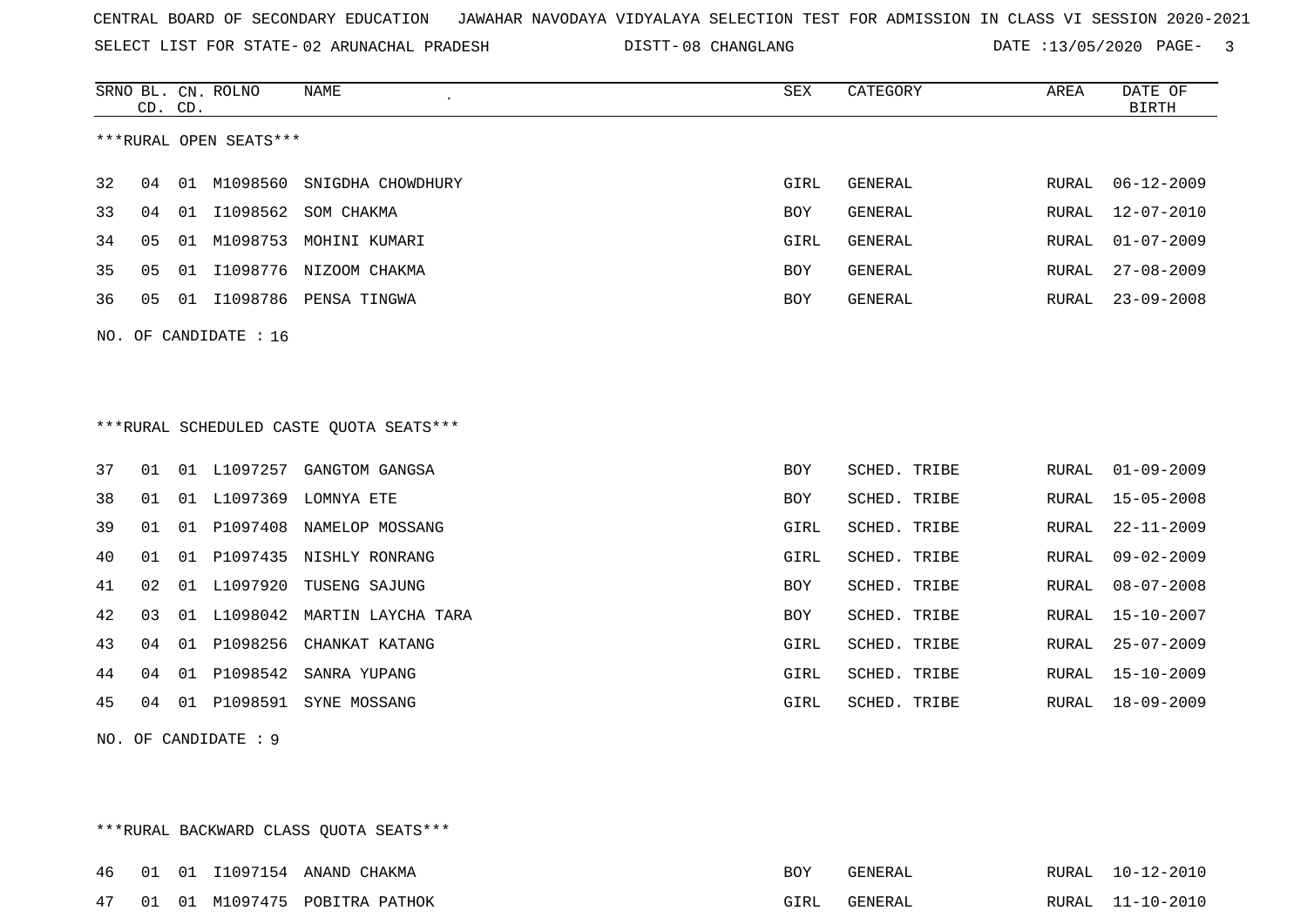SELECT LIST FOR STATE- DISTT- 02 ARUNACHAL PRADESH

08 CHANGLANG DATE :13/05/2020 PAGE- 3

|     | CD. CD. |    | SRNO BL. CN. ROLNO     | <b>NAME</b>                             | <b>SEX</b> | CATEGORY       | AREA         | DATE OF<br><b>BIRTH</b> |
|-----|---------|----|------------------------|-----------------------------------------|------------|----------------|--------------|-------------------------|
|     |         |    | ***RURAL OPEN SEATS*** |                                         |            |                |              |                         |
| 32  | 04      |    | 01 M1098560            | SNIGDHA CHOWDHURY                       | GIRL       | GENERAL        | RURAL        | $06 - 12 - 2009$        |
| 33  | 04      |    |                        | 01 I1098562 SOM CHAKMA                  | <b>BOY</b> | GENERAL        | <b>RURAL</b> | $12 - 07 - 2010$        |
| 34  | 05      |    | 01 M1098753            | MOHINI KUMARI                           | GIRL       | GENERAL        | RURAL        | $01 - 07 - 2009$        |
| 35  | 05      | 01 | I1098776               | NIZOOM CHAKMA                           | <b>BOY</b> | <b>GENERAL</b> | <b>RURAL</b> | $27 - 08 - 2009$        |
| 36  | 05      |    |                        | 01 I1098786 PENSA TINGWA                | <b>BOY</b> | GENERAL        | RURAL        | $23 - 09 - 2008$        |
| NO. |         |    | OF CANDIDATE : 16      |                                         |            |                |              |                         |
|     |         |    |                        | ***RURAL SCHEDULED CASTE QUOTA SEATS*** |            |                |              |                         |
| 37  | 01      |    | 01 L1097257            | GANGTOM GANGSA                          | <b>BOY</b> | SCHED. TRIBE   | RURAL        | $01 - 09 - 2009$        |
| 38  | 01      |    | 01 L1097369            | LOMNYA ETE                              | <b>BOY</b> | SCHED. TRIBE   | RURAL        | $15 - 05 - 2008$        |
| 39  | 01      |    |                        | 01 P1097408 NAMELOP MOSSANG             | GIRL       | SCHED. TRIBE   | RURAL        | $22 - 11 - 2009$        |
| 40  | 01      |    |                        | 01 P1097435 NISHLY RONRANG              | GIRL       | SCHED. TRIBE   | RURAL        | $09 - 02 - 2009$        |
| 41  | 02      |    | 01 L1097920            | TUSENG SAJUNG                           | <b>BOY</b> | SCHED. TRIBE   | <b>RURAL</b> | $08 - 07 - 2008$        |
| 42  | 03      |    | 01 L1098042            | MARTIN LAYCHA TARA                      | <b>BOY</b> | SCHED. TRIBE   | <b>RURAL</b> | $15 - 10 - 2007$        |
| 43  | 04      | 01 | P1098256               | CHANKAT KATANG                          | GIRL       | SCHED. TRIBE   | <b>RURAL</b> | $25 - 07 - 2009$        |
| 44  | 04      |    | 01 P1098542            | SANRA YUPANG                            | GIRL       | SCHED. TRIBE   | RURAL        | $15 - 10 - 2009$        |
| 45  | 04      |    | 01 P1098591            | SYNE MOSSANG                            | GIRL       | SCHED. TRIBE   | <b>RURAL</b> | $18 - 09 - 2009$        |

\*\*\*RURAL BACKWARD CLASS QUOTA SEATS\*\*\*

NO. OF CANDIDATE : 9

|  |  | 46 01 01 I1097154 ANAND CHAKMA   | <b>BOY</b> | GENERAL | RURAL 10-12-2010 |
|--|--|----------------------------------|------------|---------|------------------|
|  |  | 47 01 01 M1097475 POBITRA PATHOK | GIRL       | GENERAL | RURAL 11-10-2010 |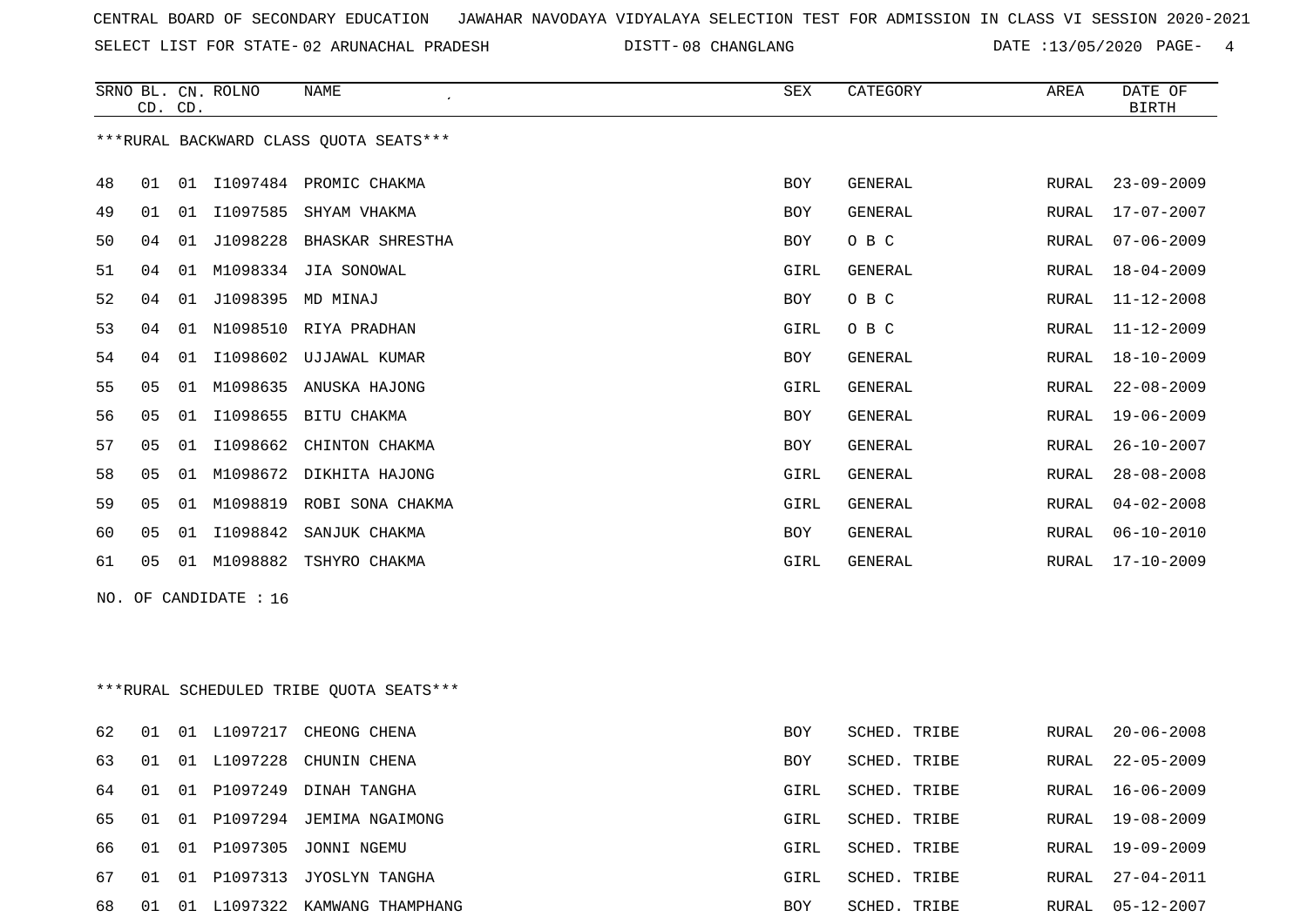SELECT LIST FOR STATE- DISTT- 02 ARUNACHAL PRADESH

DISTT-08 CHANGLANG **DATE** :13/05/2020 PAGE- 4

|    |         |    | SRNO BL. CN. ROLNO    | <b>NAME</b><br>$\cdot$                 | ${\tt SEX}$ | CATEGORY       | AREA         | DATE OF          |
|----|---------|----|-----------------------|----------------------------------------|-------------|----------------|--------------|------------------|
|    | CD. CD. |    |                       |                                        |             |                |              | <b>BIRTH</b>     |
|    |         |    |                       | ***RURAL BACKWARD CLASS OUOTA SEATS*** |             |                |              |                  |
|    |         |    |                       |                                        |             |                |              |                  |
| 48 | 01      | 01 |                       | I1097484 PROMIC CHAKMA                 | BOY         | GENERAL        | RURAL        | $23 - 09 - 2009$ |
| 49 | 01      | 01 | I1097585              | SHYAM VHAKMA                           | <b>BOY</b>  | GENERAL        | <b>RURAL</b> | $17 - 07 - 2007$ |
| 50 | 04      | 01 | J1098228              | BHASKAR SHRESTHA                       | BOY         | O B C          | RURAL        | $07 - 06 - 2009$ |
| 51 | 04      | 01 | M1098334              | JIA SONOWAL                            | GIRL        | <b>GENERAL</b> | RURAL        | $18 - 04 - 2009$ |
| 52 | 04      | 01 | J1098395              | MD MINAJ                               | BOY         | O B C          | RURAL        | $11 - 12 - 2008$ |
| 53 | 04      | 01 |                       | N1098510 RIYA PRADHAN                  | GIRL        | O B C          | RURAL        | $11 - 12 - 2009$ |
| 54 | 04      | 01 | I1098602              | UJJAWAL KUMAR                          | BOY         | GENERAL        | RURAL        | $18 - 10 - 2009$ |
| 55 | 05      | 01 |                       | M1098635 ANUSKA HAJONG                 | GIRL        | GENERAL        | RURAL        | $22 - 08 - 2009$ |
| 56 | 05      | 01 |                       | I1098655 BITU CHAKMA                   | BOY         | GENERAL        | RURAL        | $19 - 06 - 2009$ |
| 57 | 05      | 01 | I1098662              | CHINTON CHAKMA                         | <b>BOY</b>  | GENERAL        | RURAL        | $26 - 10 - 2007$ |
| 58 | 05      | 01 |                       | M1098672 DIKHITA HAJONG                | GIRL        | GENERAL        | RURAL        | $28 - 08 - 2008$ |
| 59 | 05      | 01 | M1098819              | ROBI SONA CHAKMA                       | GIRL        | <b>GENERAL</b> | <b>RURAL</b> | $04 - 02 - 2008$ |
| 60 | 05      | 01 | I1098842              | SANJUK CHAKMA                          | BOY         | <b>GENERAL</b> | RURAL        | $06 - 10 - 2010$ |
| 61 | 05      |    | 01 M1098882           | TSHYRO CHAKMA                          | GIRL        | <b>GENERAL</b> | RURAL        | $17 - 10 - 2009$ |
|    |         |    | NO. OF CANDIDATE : 16 |                                        |             |                |              |                  |
|    |         |    |                       |                                        |             |                |              |                  |
|    |         |    |                       |                                        |             |                |              |                  |
|    |         |    |                       |                                        |             |                |              |                  |

\*\*\*RURAL SCHEDULED TRIBE QUOTA SEATS\*\*\*

| 62  | 01  |    | 01 L1097217 | CHEONG CHENA                | <b>BOY</b> | SCHED. TRIBE |       | RURAL 20-06-2008 |
|-----|-----|----|-------------|-----------------------------|------------|--------------|-------|------------------|
| 63  | 01  | 01 |             | L1097228 CHUNIN CHENA       | <b>BOY</b> | SCHED. TRIBE | RURAL | 22-05-2009       |
| 64  | 01  |    | 01 P1097249 | DINAH TANGHA                | GIRL       | SCHED. TRIBE |       | RURAL 16-06-2009 |
| 65. | 01  |    |             | 01 P1097294 JEMIMA NGAIMONG | GIRL       | SCHED. TRIBE |       | RURAL 19-08-2009 |
| 66. | 01  |    | 01 P1097305 | JONNI NGEMU                 | GIRL       | SCHED. TRIBE | RURAL | 19-09-2009       |
| 67  | 01  | 01 |             | P1097313 JYOSLYN TANGHA     | GIRL       | SCHED. TRIBE | RURAL | 27-04-2011       |
| 68  | -01 | 01 |             | L1097322 KAMWANG THAMPHANG  | <b>BOY</b> | SCHED. TRIBE | RURAL | 05-12-2007       |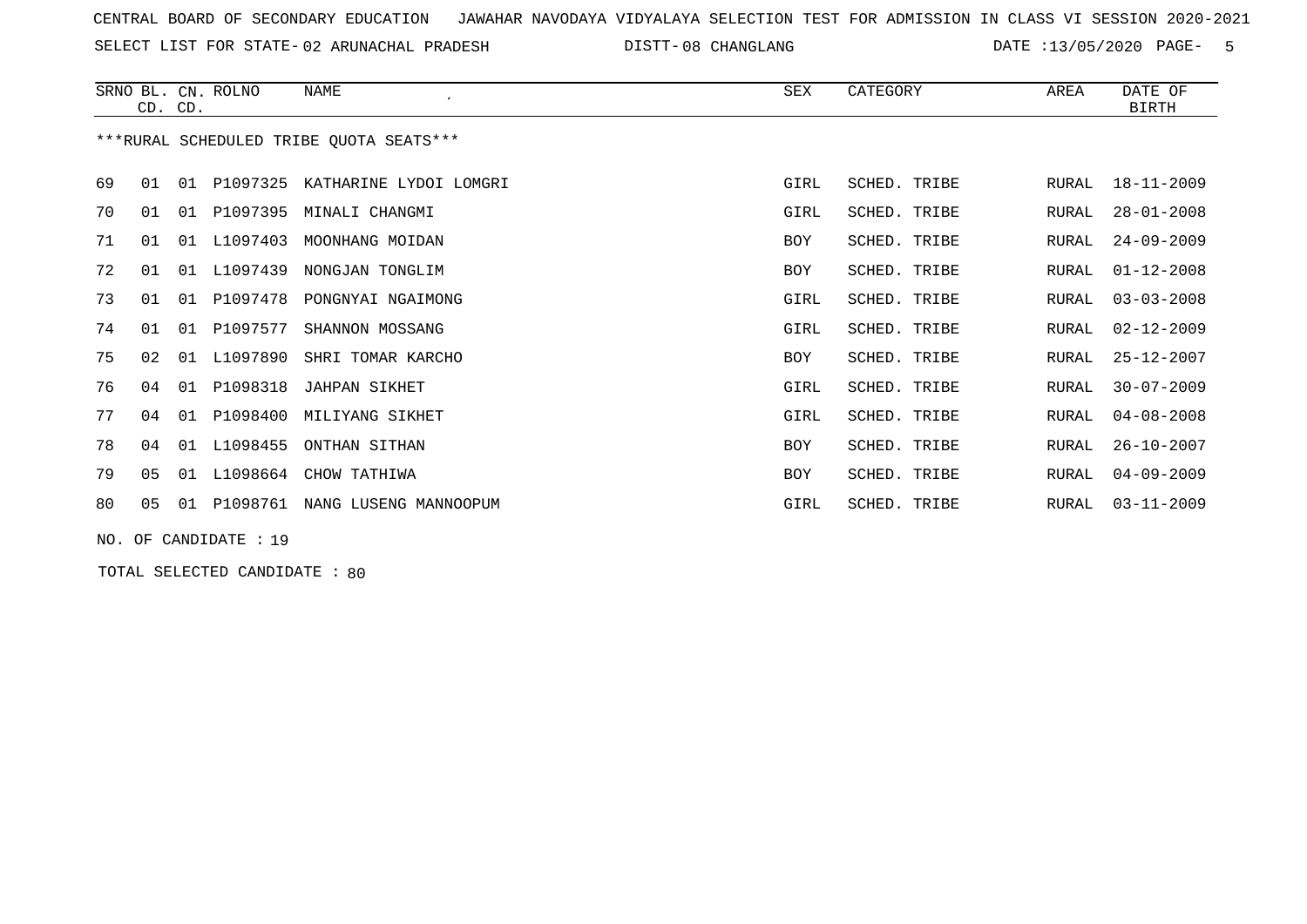SELECT LIST FOR STATE- DISTT- 02 ARUNACHAL PRADESH

08 CHANGLANG DATE :13/05/2020 PAGE- 5

|    | CD. CD. |    | SRNO BL. CN. ROLNO | NAME<br>$\cdot$                         | SEX        | CATEGORY     | AREA  | DATE OF<br><b>BIRTH</b> |
|----|---------|----|--------------------|-----------------------------------------|------------|--------------|-------|-------------------------|
|    |         |    |                    | ***RURAL SCHEDULED TRIBE OUOTA SEATS*** |            |              |       |                         |
| 69 | 01      |    |                    | 01 P1097325 KATHARINE LYDOI LOMGRI      | GIRL       | SCHED. TRIBE | RURAL | 18-11-2009              |
| 70 | 01      |    | 01 P1097395        | MINALI CHANGMI                          | GIRL       | SCHED. TRIBE | RURAL | $28 - 01 - 2008$        |
| 71 | 01      | 01 | L1097403           | MOONHANG MOIDAN                         | BOY        | SCHED. TRIBE | RURAL | $24 - 09 - 2009$        |
| 72 | 01      |    | 01 L1097439        | NONGJAN TONGLIM                         | BOY        | SCHED. TRIBE | RURAL | $01 - 12 - 2008$        |
| 73 | 01      | 01 | P1097478           | PONGNYAI NGAIMONG                       | GIRL       | SCHED. TRIBE | RURAL | $03 - 03 - 2008$        |
| 74 | 01      |    | 01 P1097577        | SHANNON MOSSANG                         | GIRL       | SCHED. TRIBE | RURAL | $02 - 12 - 2009$        |
| 75 | 02      | 01 | L1097890           | SHRI TOMAR KARCHO                       | BOY        | SCHED. TRIBE | RURAL | $25 - 12 - 2007$        |
| 76 | 04      | 01 | P1098318           | JAHPAN SIKHET                           | GIRL       | SCHED. TRIBE | RURAL | $30 - 07 - 2009$        |
| 77 | 04      |    |                    | 01 P1098400 MILIYANG SIKHET             | GIRL       | SCHED. TRIBE | RURAL | $04 - 08 - 2008$        |
| 78 | 04      | 01 | L1098455           | ONTHAN SITHAN                           | <b>BOY</b> | SCHED. TRIBE | RURAL | $26 - 10 - 2007$        |
| 79 | 05      | 01 |                    | L1098664 CHOW TATHIWA                   | BOY        | SCHED. TRIBE | RURAL | $04 - 09 - 2009$        |
| 80 | 05      |    | 01 P1098761        | NANG LUSENG MANNOOPUM                   | GIRL       | SCHED. TRIBE | RURAL | $03 - 11 - 2009$        |
|    |         |    |                    |                                         |            |              |       |                         |

NO. OF CANDIDATE : 19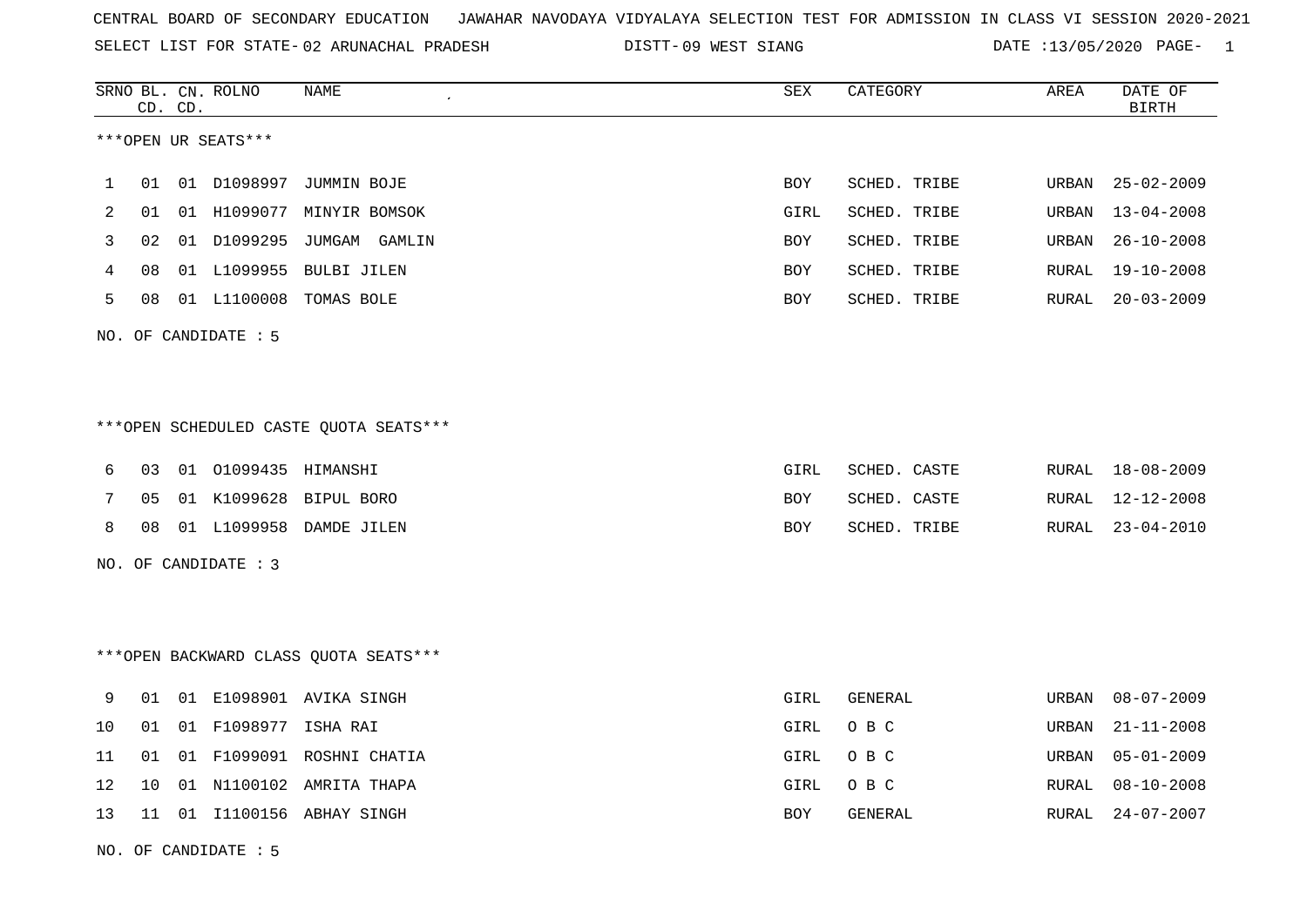SELECT LIST FOR STATE- DISTT- 02 ARUNACHAL PRADESH 09 WEST SIANG DATE :13/05/2020 PAGE- 1

|    |    | CD. CD. | SRNO BL. CN. ROLNO   | NAME                                   | <b>SEX</b> | CATEGORY     | AREA  | DATE OF<br><b>BIRTH</b> |
|----|----|---------|----------------------|----------------------------------------|------------|--------------|-------|-------------------------|
|    |    |         | ***OPEN UR SEATS***  |                                        |            |              |       |                         |
| 1  | 01 |         | 01 D1098997          | JUMMIN BOJE                            | <b>BOY</b> | SCHED. TRIBE | URBAN | $25 - 02 - 2009$        |
| 2  | 01 |         |                      | 01 H1099077 MINYIR BOMSOK              | GIRL       | SCHED. TRIBE | URBAN | $13 - 04 - 2008$        |
| 3  | 02 |         | 01 D1099295          | JUMGAM GAMLIN                          | <b>BOY</b> | SCHED. TRIBE | URBAN | $26 - 10 - 2008$        |
| 4  | 08 |         |                      | 01 L1099955 BULBI JILEN                | BOY        | SCHED. TRIBE | RURAL | $19 - 10 - 2008$        |
| 5  | 08 |         |                      | 01 L1100008 TOMAS BOLE                 | BOY        | SCHED. TRIBE | RURAL | $20 - 03 - 2009$        |
|    |    |         | NO. OF CANDIDATE : 5 |                                        |            |              |       |                         |
|    |    |         |                      |                                        |            |              |       |                         |
|    |    |         |                      | ***OPEN SCHEDULED CASTE QUOTA SEATS*** |            |              |       |                         |
| 6  | 03 |         | 01 01099435 HIMANSHI |                                        | GIRL       | SCHED. CASTE |       | RURAL 18-08-2009        |
| 7  | 05 |         |                      | 01 K1099628 BIPUL BORO                 | BOY        | SCHED. CASTE | RURAL | 12-12-2008              |
| 8  | 08 |         |                      | 01 L1099958 DAMDE JILEN                | <b>BOY</b> | SCHED. TRIBE | RURAL | $23 - 04 - 2010$        |
|    |    |         | NO. OF CANDIDATE : 3 |                                        |            |              |       |                         |
|    |    |         |                      |                                        |            |              |       |                         |
|    |    |         |                      | *** OPEN BACKWARD CLASS QUOTA SEATS*** |            |              |       |                         |
| 9  | 01 |         |                      | 01 E1098901 AVIKA SINGH                | GIRL       | GENERAL      | URBAN | $08 - 07 - 2009$        |
| 10 | 01 |         | 01 F1098977 ISHA RAI |                                        | GIRL       | O B C        | URBAN | $21 - 11 - 2008$        |
| 11 | 01 |         |                      | 01 F1099091 ROSHNI CHATIA              | GIRL       | O B C        | URBAN | $05 - 01 - 2009$        |
| 12 | 10 |         |                      | 01 N1100102 AMRITA THAPA               | GIRL       | O B C        | RURAL | $08 - 10 - 2008$        |
| 13 |    |         |                      | 11 01 I1100156 ABHAY SINGH             | BOY        | GENERAL      | RURAL | $24 - 07 - 2007$        |
|    |    |         | NO. OF CANDIDATE: 5  |                                        |            |              |       |                         |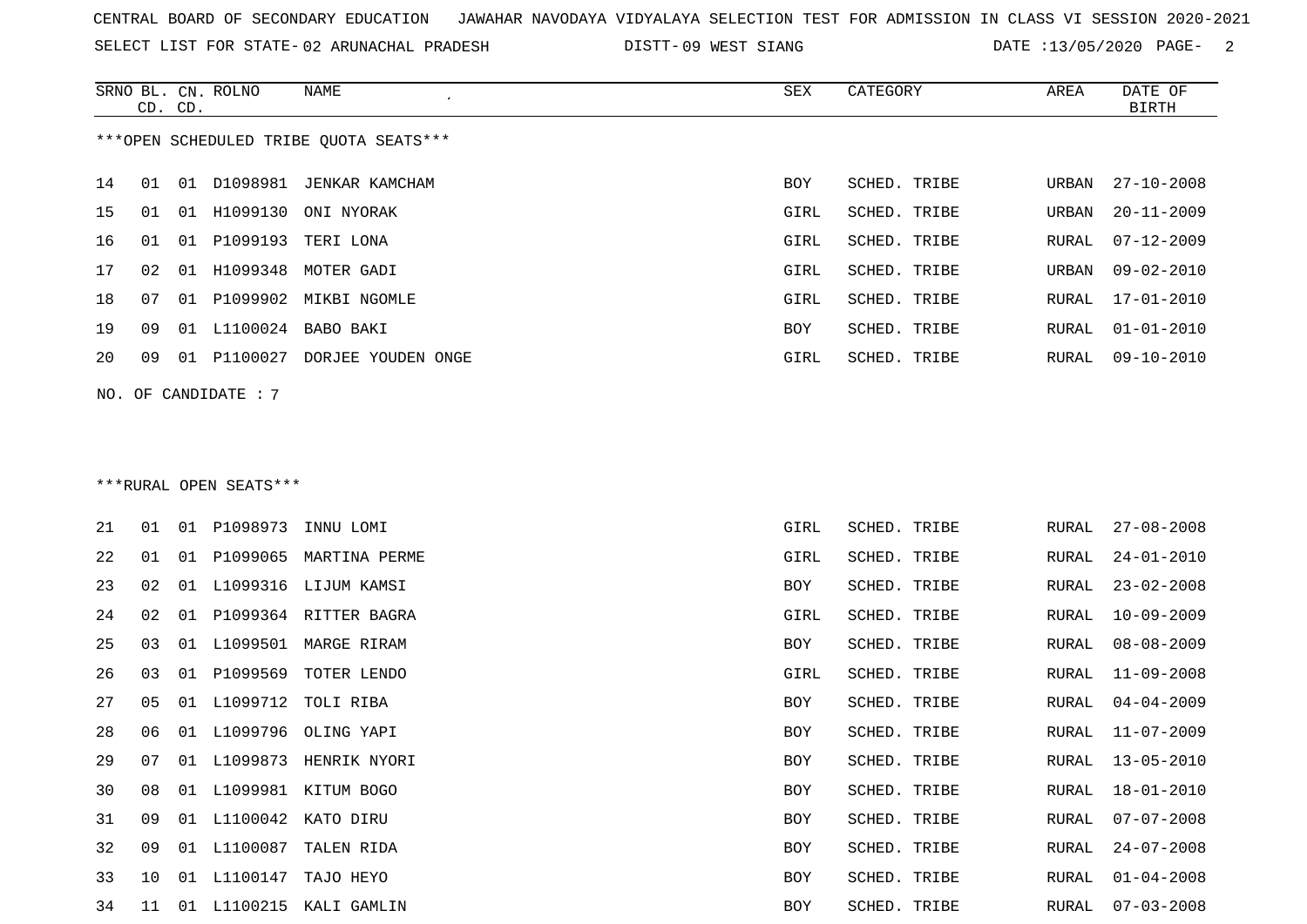SELECT LIST FOR STATE- DISTT- 02 ARUNACHAL PRADESH

09 WEST SIANG DATE :13/05/2020 PAGE- 2

|                                        |    | CD. CD. | SRNO BL. CN. ROLNO     | NAME<br>$\cdot$    | SEX        | CATEGORY     | AREA  | DATE OF<br><b>BIRTH</b> |  |
|----------------------------------------|----|---------|------------------------|--------------------|------------|--------------|-------|-------------------------|--|
| ***OPEN SCHEDULED TRIBE OUOTA SEATS*** |    |         |                        |                    |            |              |       |                         |  |
| 14                                     | 01 | O 1     | D1098981               | JENKAR KAMCHAM     | <b>BOY</b> | SCHED. TRIBE | URBAN | $27 - 10 - 2008$        |  |
| 15                                     | 01 | 01      | H1099130               | ONI NYORAK         | GIRL       | SCHED. TRIBE | URBAN | $20 - 11 - 2009$        |  |
| 16                                     | 01 | 01      | P1099193               | TERI LONA          | GIRL       | SCHED. TRIBE | RURAL | $07 - 12 - 2009$        |  |
| 17                                     | 02 | O 1     | H1099348               | MOTER GADI         | GIRL       | SCHED. TRIBE | URBAN | $09 - 02 - 2010$        |  |
| 18                                     | 07 | 01      | P1099902               | MIKBI NGOMLE       | GIRL       | SCHED. TRIBE |       | RURAL 17-01-2010        |  |
| 19                                     | 09 | O 1     | L1100024               | BABO BAKI          | <b>BOY</b> | SCHED. TRIBE | RURAL | $01 - 01 - 2010$        |  |
| 20                                     | 09 | O 1     | P1100027               | DORJEE YOUDEN ONGE | GIRL       | SCHED. TRIBE | RURAL | $09 - 10 - 2010$        |  |
|                                        |    |         | NO. OF CANDIDATE : $7$ |                    |            |              |       |                         |  |

### \*\*\*RURAL OPEN SEATS\*\*\*

| 21 | 01             | 01 | P1098973    | INNU LOMI              | GIRL | SCHED. TRIBE | RURAL | $27 - 08 - 2008$ |
|----|----------------|----|-------------|------------------------|------|--------------|-------|------------------|
| 22 | 01             | 01 |             | P1099065 MARTINA PERME | GIRL | SCHED. TRIBE | RURAL | $24 - 01 - 2010$ |
| 23 | 02             | 01 | L1099316    | LIJUM KAMSI            | BOY  | SCHED. TRIBE | RURAL | $23 - 02 - 2008$ |
| 24 | 02             | 01 |             | P1099364 RITTER BAGRA  | GIRL | SCHED. TRIBE | RURAL | $10 - 09 - 2009$ |
| 25 | 03             | 01 |             | L1099501 MARGE RIRAM   | BOY  | SCHED. TRIBE | RURAL | $08 - 08 - 2009$ |
| 26 | 03             | 01 | P1099569    | TOTER LENDO            | GIRL | SCHED. TRIBE | RURAL | $11 - 09 - 2008$ |
| 27 | 0 <sub>5</sub> | 01 |             | L1099712 TOLI RIBA     | BOY  | SCHED. TRIBE | RURAL | $04 - 04 - 2009$ |
| 28 | 06             | 01 |             | L1099796 OLING YAPI    | BOY  | SCHED. TRIBE | RURAL | $11 - 07 - 2009$ |
| 29 | 07             | 01 |             | L1099873 HENRIK NYORI  | BOY  | SCHED. TRIBE | RURAL | $13 - 05 - 2010$ |
| 30 | 08             | 01 | L1099981    | KITUM BOGO             | BOY  | SCHED. TRIBE | RURAL | $18 - 01 - 2010$ |
| 31 | 09             | 01 |             | L1100042 KATO DIRU     | BOY  | SCHED. TRIBE | RURAL | $07 - 07 - 2008$ |
| 32 | 09             | 01 | L1100087    | TALEN RIDA             | BOY  | SCHED. TRIBE | RURAL | $24 - 07 - 2008$ |
| 33 | 10             |    | 01 L1100147 | TAJO HEYO              | BOY  | SCHED. TRIBE | RURAL | $01 - 04 - 2008$ |
| 34 | 11             |    | 01 L1100215 | KALI GAMLIN            | BOY  | SCHED. TRIBE | RURAL | $07 - 03 - 2008$ |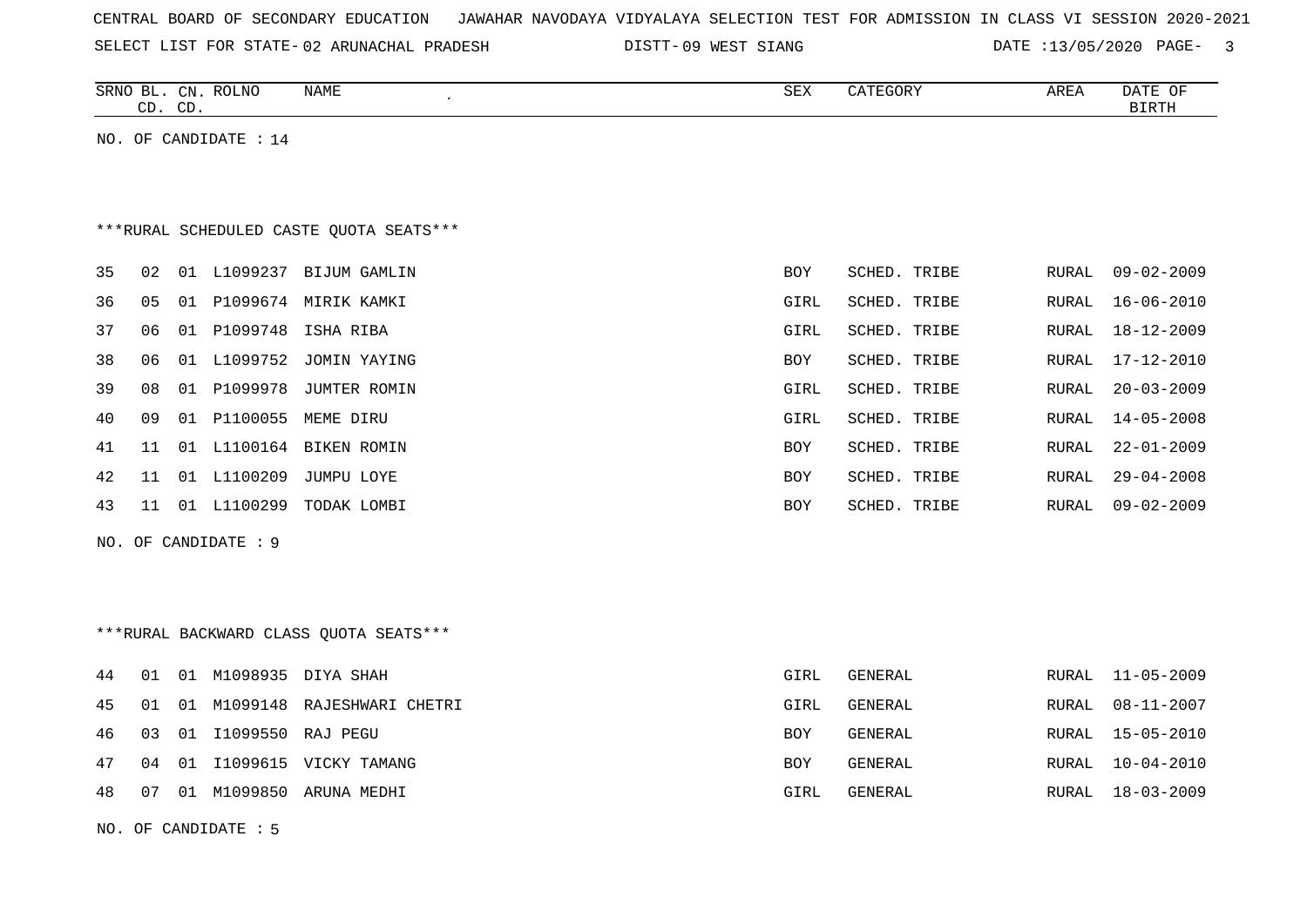| CENTRAL BOARD OF SECONDARY EDUCATION – JAWAHAR NAVODAYA VIDYALAYA SELECTION TEST FOR ADMISSION IN CLASS VI SESSION 2020-2021 |  |  |  |  |
|------------------------------------------------------------------------------------------------------------------------------|--|--|--|--|
|------------------------------------------------------------------------------------------------------------------------------|--|--|--|--|

SELECT LIST FOR STATE- DISTT- 02 ARUNACHAL PRADESH 09 WEST SIANG DATE :13/05/2020 PAGE- 3

| SRNO<br>NAME<br><b>ROLNO</b><br>CΝ<br>BГ | SEX | $5.5$ mm $0.0$ m $17$<br>. | AREA | <b>DATE</b><br>OF |
|------------------------------------------|-----|----------------------------|------|-------------------|
| $\sim$<br>$\sim$<br>ັ<br>ىب              |     |                            |      | ייחים דם          |

NO. OF CANDIDATE : 14

# \*\*\*RURAL SCHEDULED CASTE QUOTA SEATS\*\*\*

| 35 | 02 01 |    | L1099237         | BIJUM GAMLIN          | <b>BOY</b> | SCHED. TRIBE        | RURAL | 09-02-2009       |
|----|-------|----|------------------|-----------------------|------------|---------------------|-------|------------------|
| 36 | 05 01 |    | P1099674         | MIRIK KAMKI           | GIRL       | SCHED. TRIBE        | RURAL | $16 - 06 - 2010$ |
| 37 |       |    | 06  01  P1099748 | ISHA RIBA             | GIRL       | SCHED. TRIBE        | RURAL | 18-12-2009       |
| 38 | 06 01 |    |                  | L1099752 JOMIN YAYING | <b>BOY</b> | SCHED. TRIBE        |       | RURAL 17-12-2010 |
| 39 | 08 01 |    | P1099978         | JUMTER ROMIN          | GIRL       | SCHED. TRIBE        | RURAL | 20-03-2009       |
| 40 | 09    |    | 01 P1100055      | MEME DIRU             | GIRL       | SCHED. TRIBE        |       | RURAL 14-05-2008 |
| 41 |       |    | 11 01 L1100164   | BIKEN ROMIN           | <b>BOY</b> | <b>SCHED. TRIBE</b> |       | RURAL 22-01-2009 |
| 42 | 11    | 01 | L1100209         | JUMPU LOYE            | BOY        | <b>SCHED. TRIBE</b> | RURAL | 29-04-2008       |
| 43 | 11    | 01 | L1100299         | TODAK LOMBI           | <b>BOY</b> | SCHED. TRIBE        | RURAL | $09 - 02 - 2009$ |
|    |       |    |                  |                       |            |                     |       |                  |

NO. OF CANDIDATE : 9

# \*\*\*RURAL BACKWARD CLASS QUOTA SEATS\*\*\*

| 11-05-2009       |
|------------------|
| 08-11-2007       |
| RURAL 15-05-2010 |
| 10-04-2010       |
| 18-03-2009       |
|                  |

NO. OF CANDIDATE : 5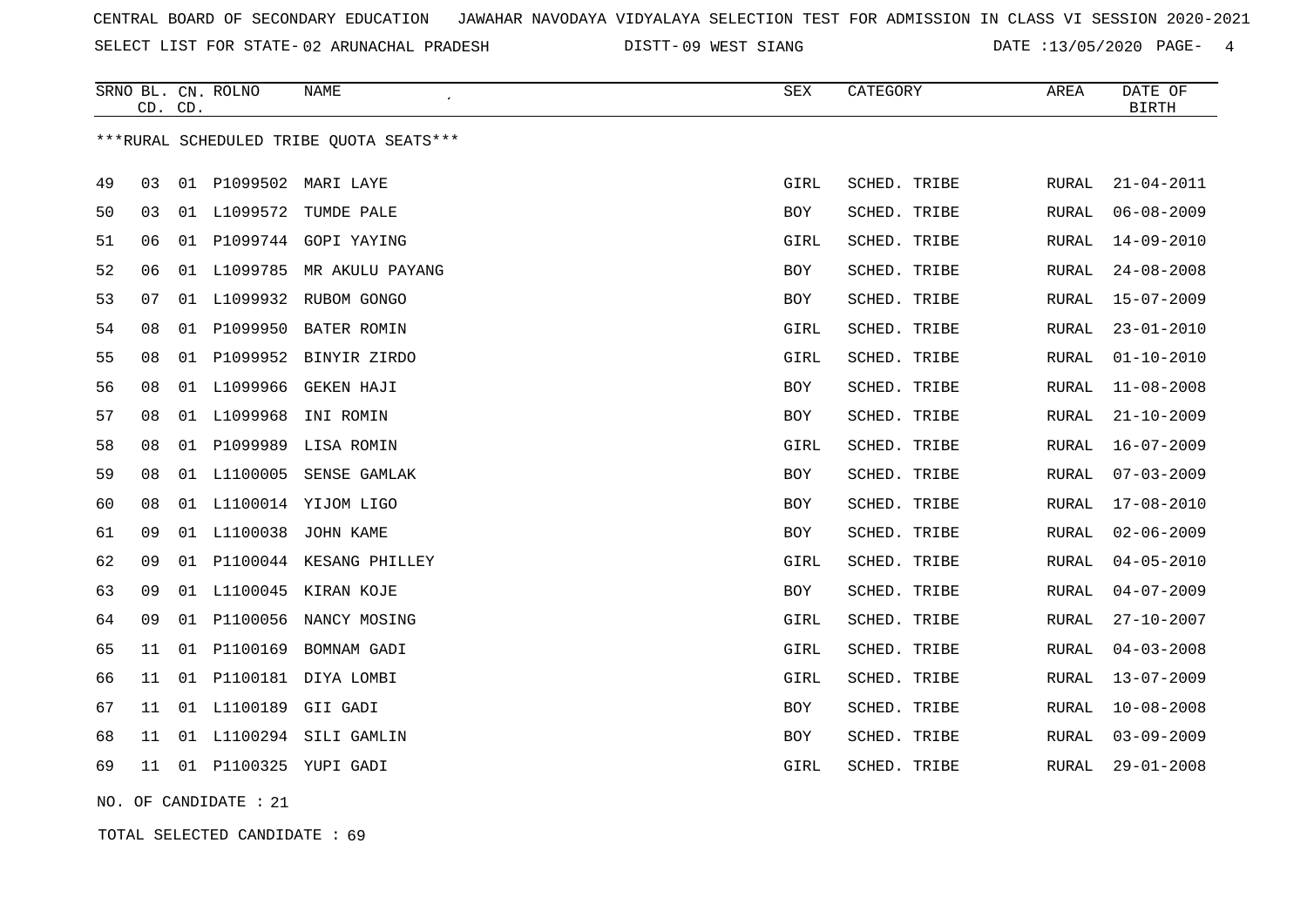SELECT LIST FOR STATE- DISTT- 02 ARUNACHAL PRADESH

09 WEST SIANG DATE :13/05/2020 PAGE- 4

|    | CD. CD. |    | SRNO BL. CN. ROLNO | <b>NAME</b>                             | <b>SEX</b> | CATEGORY     | AREA         | DATE OF<br><b>BIRTH</b> |
|----|---------|----|--------------------|-----------------------------------------|------------|--------------|--------------|-------------------------|
|    |         |    |                    | ***RURAL SCHEDULED TRIBE OUOTA SEATS*** |            |              |              |                         |
| 49 | 03      | 01 | P1099502           | MARI LAYE                               | GIRL       | SCHED. TRIBE | RURAL        | $21 - 04 - 2011$        |
| 50 | 03      | 01 | L1099572           | TUMDE PALE                              | BOY        | SCHED. TRIBE | RURAL        | $06 - 08 - 2009$        |
| 51 | 06      |    |                    | 01 P1099744 GOPI YAYING                 | GIRL       | SCHED. TRIBE | RURAL        | $14 - 09 - 2010$        |
| 52 | 06      | 01 | L1099785           | MR AKULU PAYANG                         | BOY        | SCHED. TRIBE | <b>RURAL</b> | $24 - 08 - 2008$        |
| 53 | 07      |    |                    | 01 L1099932 RUBOM GONGO                 | <b>BOY</b> | SCHED. TRIBE | RURAL        | $15 - 07 - 2009$        |
| 54 | 08      | 01 | P1099950           | BATER ROMIN                             | GIRL       | SCHED. TRIBE | RURAL        | $23 - 01 - 2010$        |
| 55 | 08      |    | 01 P1099952        | BINYIR ZIRDO                            | GIRL       | SCHED. TRIBE | RURAL        | $01 - 10 - 2010$        |
| 56 | 08      | 01 | L1099966           | GEKEN HAJI                              | <b>BOY</b> | SCHED. TRIBE | RURAL        | $11 - 08 - 2008$        |
| 57 | 08      |    | 01 L1099968        | INI ROMIN                               | BOY        | SCHED. TRIBE | RURAL        | $21 - 10 - 2009$        |
| 58 | 08      | 01 | P1099989           | LISA ROMIN                              | GIRL       | SCHED. TRIBE | RURAL        | $16 - 07 - 2009$        |
| 59 | 08      | 01 | L1100005           | SENSE GAMLAK                            | <b>BOY</b> | SCHED. TRIBE | RURAL        | $07 - 03 - 2009$        |
| 60 | 08      |    |                    | 01 L1100014 YIJOM LIGO                  | <b>BOY</b> | SCHED. TRIBE | RURAL        | $17 - 08 - 2010$        |
| 61 | 09      | 01 | L1100038           | JOHN KAME                               | BOY        | SCHED. TRIBE | RURAL        | $02 - 06 - 2009$        |
| 62 | 09      | 01 |                    | P1100044 KESANG PHILLEY                 | GIRL       | SCHED. TRIBE | RURAL        | $04 - 05 - 2010$        |
| 63 | 09      | 01 |                    | L1100045 KIRAN KOJE                     | <b>BOY</b> | SCHED. TRIBE | RURAL        | $04 - 07 - 2009$        |
| 64 | 09      | 01 |                    | P1100056 NANCY MOSING                   | GIRL       | SCHED. TRIBE | RURAL        | $27 - 10 - 2007$        |
| 65 | 11      | 01 | P1100169           | BOMNAM GADI                             | GIRL       | SCHED. TRIBE | <b>RURAL</b> | $04 - 03 - 2008$        |
| 66 | 11      | 01 |                    | P1100181 DIYA LOMBI                     | GIRL       | SCHED. TRIBE | RURAL        | $13 - 07 - 2009$        |
| 67 | 11      | 01 | L1100189           | GII GADI                                | <b>BOY</b> | SCHED. TRIBE | RURAL        | $10 - 08 - 2008$        |
| 68 | 11      |    |                    | 01 L1100294 SILI GAMLIN                 | <b>BOY</b> | SCHED. TRIBE | RURAL        | $03 - 09 - 2009$        |
| 69 | 11      |    |                    | 01 P1100325 YUPI GADI                   | GIRL       | SCHED. TRIBE | <b>RURAL</b> | $29 - 01 - 2008$        |
|    |         |    |                    |                                         |            |              |              |                         |

NO. OF CANDIDATE : 21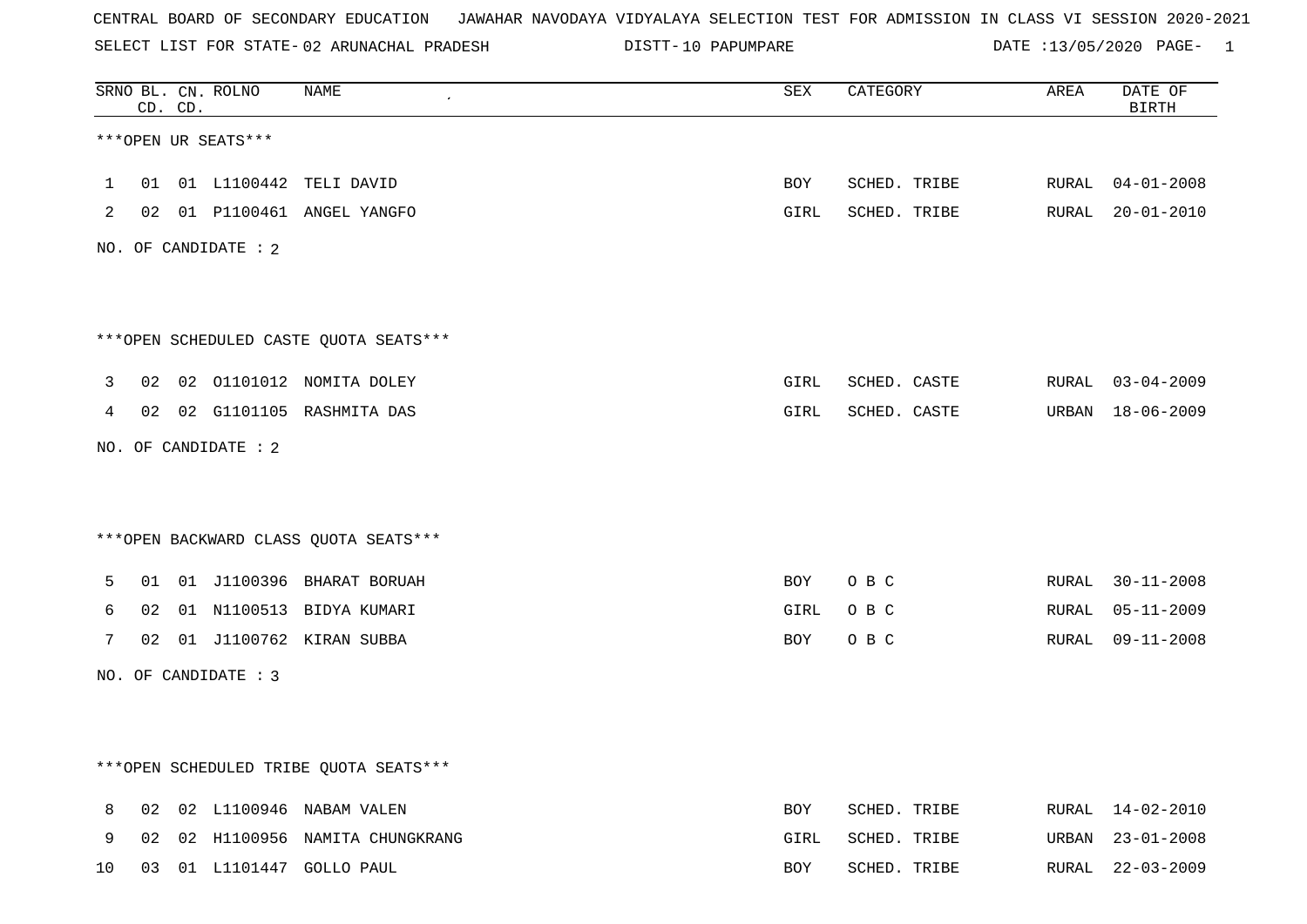SELECT LIST FOR STATE- DISTT- 02 ARUNACHAL PRADESH

DISTT-10 PAPUMPARE **10** DATE :13/05/2020 PAGE- 1

|    |    | CD. CD. | SRNO BL. CN. ROLNO   | <b>NAME</b>                             | ${\tt SEX}$ | CATEGORY     | AREA  | DATE OF<br><b>BIRTH</b> |
|----|----|---------|----------------------|-----------------------------------------|-------------|--------------|-------|-------------------------|
|    |    |         | ***OPEN UR SEATS***  |                                         |             |              |       |                         |
| 1  | 01 |         |                      | 01 L1100442 TELI DAVID                  | BOY         | SCHED. TRIBE |       | RURAL 04-01-2008        |
| 2  |    |         |                      | 02 01 P1100461 ANGEL YANGFO             | GIRL        | SCHED. TRIBE | RURAL | $20 - 01 - 2010$        |
|    |    |         | NO. OF CANDIDATE : 2 |                                         |             |              |       |                         |
|    |    |         |                      | *** OPEN SCHEDULED CASTE QUOTA SEATS*** |             |              |       |                         |
| 3  | 02 |         |                      | 02 01101012 NOMITA DOLEY                | GIRL        | SCHED. CASTE |       | RURAL 03-04-2009        |
| 4  |    |         |                      | 02 02 G1101105 RASHMITA DAS             | GIRL        | SCHED. CASTE |       | URBAN 18-06-2009        |
|    |    |         | NO. OF CANDIDATE : 2 |                                         |             |              |       |                         |
|    |    |         |                      | *** OPEN BACKWARD CLASS QUOTA SEATS***  |             |              |       |                         |
| 5  | 01 |         |                      | 01 J1100396 BHARAT BORUAH               | BOY         | O B C        |       | RURAL 30-11-2008        |
| 6  | 02 |         |                      | 01 N1100513 BIDYA KUMARI                | GIRL        | O B C        | RURAL | $05 - 11 - 2009$        |
| 7  |    |         |                      | 02 01 J1100762 KIRAN SUBBA              | BOY         | O B C        |       | RURAL 09-11-2008        |
|    |    |         | NO. OF CANDIDATE : 3 |                                         |             |              |       |                         |
|    |    |         |                      | ***OPEN SCHEDULED TRIBE QUOTA SEATS***  |             |              |       |                         |
| 8  | 02 |         |                      | 02 L1100946 NABAM VALEN                 | <b>BOY</b>  | SCHED. TRIBE |       | RURAL 14-02-2010        |
| 9  | 02 |         |                      | 02 H1100956 NAMITA CHUNGKRANG           | GIRL        | SCHED. TRIBE | URBAN | $23 - 01 - 2008$        |
| 10 | 03 |         |                      | 01 L1101447 GOLLO PAUL                  | <b>BOY</b>  | SCHED. TRIBE | RURAL | $22 - 03 - 2009$        |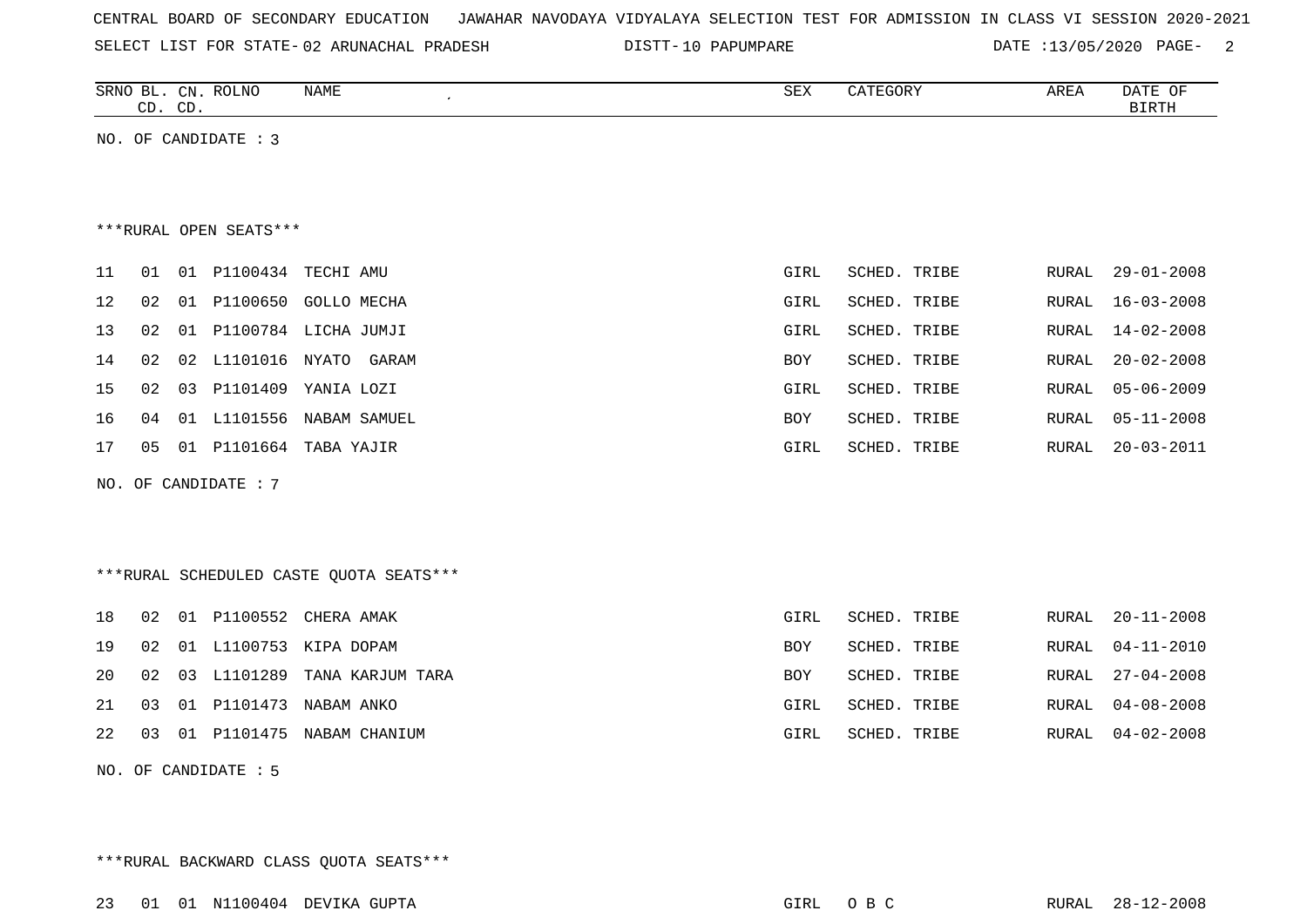| CENTRAL BOARD OF SECONDARY EDUCATION – JAWAHAR NAVODAYA VIDYALAYA SELECTION TEST FOR ADMISSION IN CLASS VI SESSION 2020-2021 |  |  |  |  |
|------------------------------------------------------------------------------------------------------------------------------|--|--|--|--|
|------------------------------------------------------------------------------------------------------------------------------|--|--|--|--|

SELECT LIST FOR STATE- DISTT- 02 ARUNACHAL PRADESH

DISTT-10 PAPUMPARE DATE :13/05/2020 PAGE- 2

| SRNO<br>$\overline{\phantom{a}}$<br>вц | ROLNC<br>$\text{CN}$ | NAME | $\Gamma$<br>∆∟∟د | GORY | AREA | DAME.<br>OF<br>DAIL |
|----------------------------------------|----------------------|------|------------------|------|------|---------------------|
| ⌒⊤<br>◡╜                               | CD                   |      |                  |      |      | וזיחת ד             |

NO. OF CANDIDATE : 3

#### \*\*\*RURAL OPEN SEATS\*\*\*

| 11              | 01 |    | 01 P1100434 | TECHI AMU                  | GIRL       | SCHED. TRIBE |       | RURAL 29-01-2008 |
|-----------------|----|----|-------------|----------------------------|------------|--------------|-------|------------------|
| 12 <sub>2</sub> | 02 |    |             | 01 P1100650 GOLLO MECHA    | GIRL       | SCHED. TRIBE | RURAL | 16-03-2008       |
| 13              | 02 |    | 01 P1100784 | LICHA JUMJI                | GIRL       | SCHED. TRIBE |       | RURAL 14-02-2008 |
| 14              |    |    |             | 02 02 L1101016 NYATO GARAM | <b>BOY</b> | SCHED. TRIBE | RURAL | 20-02-2008       |
| 15              | 02 | 03 | P1101409    | YANIA LOZI                 | GIRL       | SCHED. TRIBE |       | RURAL 05-06-2009 |
| 16              | 04 |    |             | 01 L1101556 NABAM SAMUEL   | <b>BOY</b> | SCHED. TRIBE |       | RURAL 05-11-2008 |
| 17              | 05 |    | 01 P1101664 | TABA YAJIR                 | GIRL       | SCHED. TRIBE | RURAL | 20-03-2011       |
|                 |    |    |             |                            |            |              |       |                  |

NO. OF CANDIDATE : 7

### \*\*\*RURAL SCHEDULED CASTE QUOTA SEATS\*\*\*

| 18 |  | 02 01 P1100552 CHERA AMAK       | GIRL | SCHED. TRIBE | RURAL 20-11-2008 |
|----|--|---------------------------------|------|--------------|------------------|
|    |  | 19 02 01 L1100753 KIPA DOPAM    | BOY  | SCHED. TRIBE | RURAL 04-11-2010 |
| 20 |  | 02 03 L1101289 TANA KARJUM TARA | BOY  | SCHED. TRIBE | RURAL 27-04-2008 |
|    |  | 21 03 01 P1101473 NABAM ANKO    | GIRL | SCHED. TRIBE | RURAL 04-08-2008 |
|    |  | 22 03 01 P1101475 NABAM CHANIUM | GIRL | SCHED. TRIBE | RURAL 04-02-2008 |
|    |  |                                 |      |              |                  |

NO. OF CANDIDATE : 5

\*\*\*RURAL BACKWARD CLASS QUOTA SEATS\*\*\*

23 01 01 N1100404 DEVIKA GUPTA GIRL O B C RURAL 28-12-2008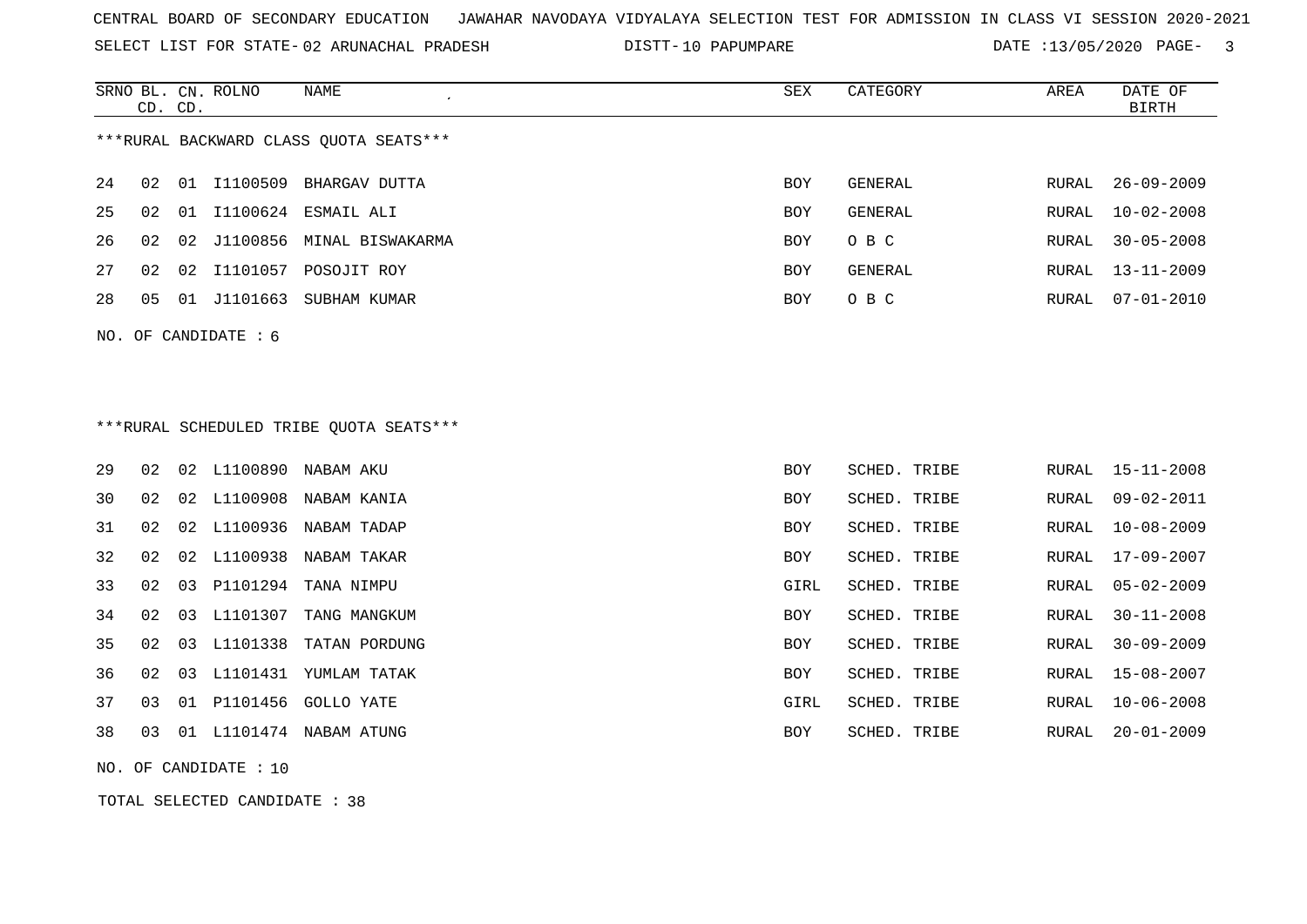SELECT LIST FOR STATE- DISTT- 02 ARUNACHAL PRADESH

DISTT-10 PAPUMPARE 2010 2010 DATE :13/05/2020 PAGE- 3

|                                         | CD. CD. |    | SRNO BL. CN. ROLNO | NAME                         | SEX        | CATEGORY | AREA  | DATE OF<br>BIRTH |  |
|-----------------------------------------|---------|----|--------------------|------------------------------|------------|----------|-------|------------------|--|
| *** RURAL BACKWARD CLASS QUOTA SEATS*** |         |    |                    |                              |            |          |       |                  |  |
| 24                                      | 02      |    |                    | 01 I1100509 BHARGAV DUTTA    | BOY        | GENERAL  | RURAL | 26-09-2009       |  |
| 25                                      | 02      |    |                    | 01 I1100624 ESMAIL ALI       | BOY        | GENERAL  | RURAL | $10 - 02 - 2008$ |  |
| 26                                      | 02      |    |                    | 02 J1100856 MINAL BISWAKARMA | <b>BOY</b> | O B C    | RURAL | $30 - 05 - 2008$ |  |
| 27                                      | 02      |    |                    | 02 I1101057 POSOJIT ROY      | <b>BOY</b> | GENERAL  | RURAL | 13-11-2009       |  |
| 28                                      | 05      | 01 |                    | J1101663 SUBHAM KUMAR        | BOY        | O B C    | RURAL | $07 - 01 - 2010$ |  |
| NO. OF CANDIDATE $: 6$                  |         |    |                    |                              |            |          |       |                  |  |
|                                         |         |    |                    |                              |            |          |       |                  |  |

\*\*\*RURAL SCHEDULED TRIBE QUOTA SEATS\*\*\*

| 29 | 02         |     | 02 L1100890 | NABAM AKU               | BOY        | SCHED. TRIBE |       | RURAL 15-11-2008 |
|----|------------|-----|-------------|-------------------------|------------|--------------|-------|------------------|
| 30 | 02         |     |             | 02 L1100908 NABAM KANIA | <b>BOY</b> | SCHED. TRIBE |       | RURAL 09-02-2011 |
| 31 | 02         |     |             | 02 L1100936 NABAM TADAP | <b>BOY</b> | SCHED. TRIBE |       | RURAL 10-08-2009 |
| 32 | 02         |     |             | 02 L1100938 NABAM TAKAR | <b>BOY</b> | SCHED. TRIBE |       | RURAL 17-09-2007 |
| 33 | $02 \t 03$ |     | P1101294    | TANA NIMPU              | GIRL       | SCHED. TRIBE |       | RURAL 05-02-2009 |
| 34 | 02         | 03  | L1101307    | TANG MANGKUM            | <b>BOY</b> | SCHED. TRIBE |       | RURAL 30-11-2008 |
| 35 | 02 03      |     | L1101338    | TATAN PORDUNG           | <b>BOY</b> | SCHED. TRIBE | RURAL | $30 - 09 - 2009$ |
| 36 | 02         | 03  | L1101431    | YUMLAM TATAK            | <b>BOY</b> | SCHED. TRIBE |       | RURAL 15-08-2007 |
| 37 | 03         | 01  |             | P1101456 GOLLO YATE     | GIRL       | SCHED. TRIBE |       | RURAL 10-06-2008 |
| 38 | 03         | O 1 | L1101474    | NABAM ATUNG             | BOY        | SCHED. TRIBE | RURAL | $20 - 01 - 2009$ |

NO. OF CANDIDATE : 10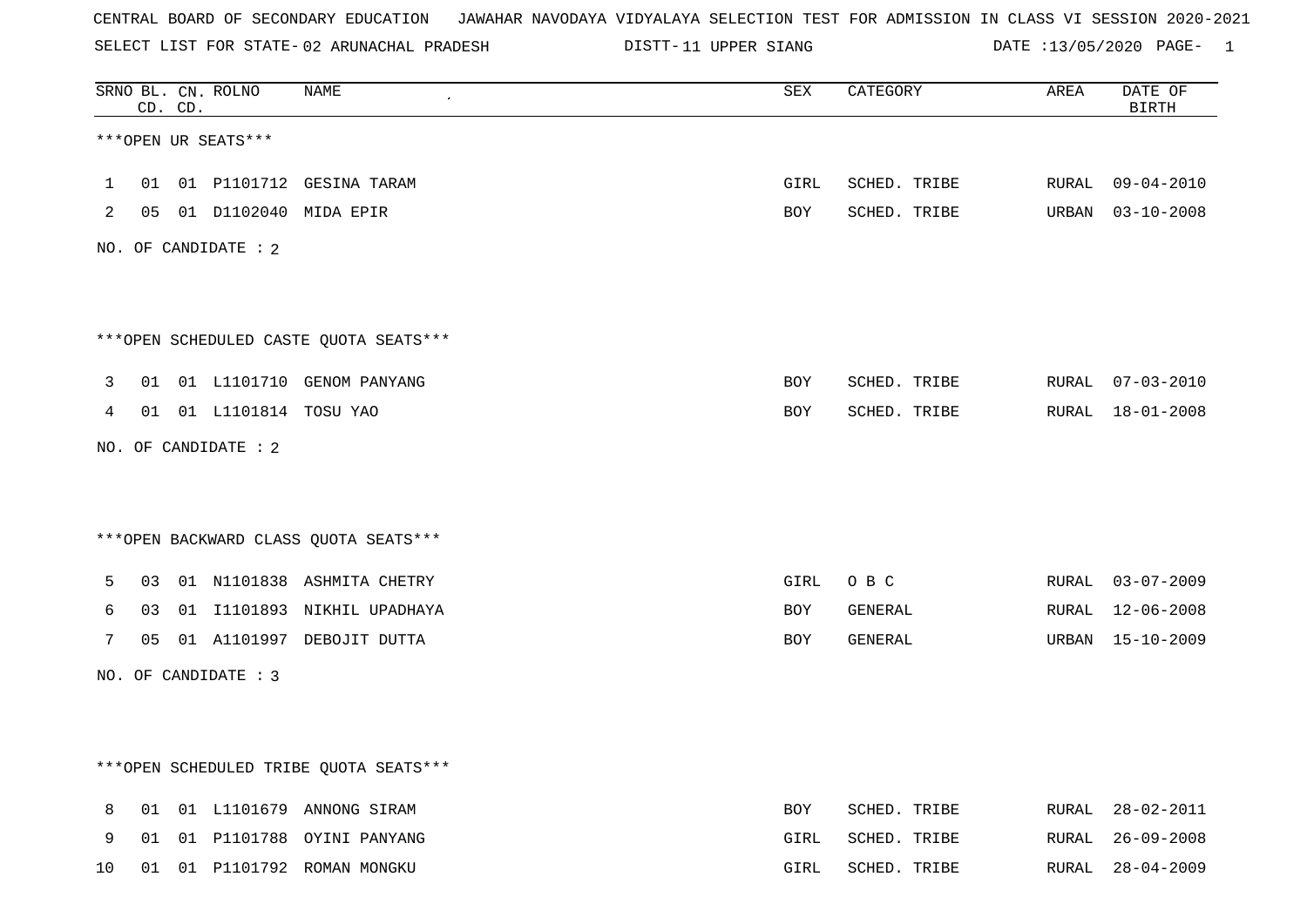SELECT LIST FOR STATE- DISTT- 02 ARUNACHAL PRADESH

11 UPPER SIANG DATE :13/05/2020 PAGE- 1

|   |    | CD. CD. | SRNO BL. CN. ROLNO      | NAME                                   | <b>SEX</b> | CATEGORY     | AREA  | DATE OF<br><b>BIRTH</b> |
|---|----|---------|-------------------------|----------------------------------------|------------|--------------|-------|-------------------------|
|   |    |         | ***OPEN UR SEATS***     |                                        |            |              |       |                         |
| 1 |    |         |                         | 01 01 P1101712 GESINA TARAM            | GIRL       | SCHED. TRIBE | RURAL | $09 - 04 - 2010$        |
| 2 |    |         |                         | 05 01 D1102040 MIDA EPIR               | BOY        | SCHED. TRIBE |       | URBAN 03-10-2008        |
|   |    |         | NO. OF CANDIDATE : 2    |                                        |            |              |       |                         |
|   |    |         |                         | ***OPEN SCHEDULED CASTE QUOTA SEATS*** |            |              |       |                         |
| 3 |    |         |                         | 01 01 L1101710 GENOM PANYANG           | BOY        | SCHED. TRIBE |       | RURAL 07-03-2010        |
| 4 |    |         | 01 01 L1101814 TOSU YAO |                                        | BOY        | SCHED. TRIBE |       | RURAL 18-01-2008        |
|   |    |         | NO. OF CANDIDATE : 2    |                                        |            |              |       |                         |
|   |    |         |                         | *** OPEN BACKWARD CLASS QUOTA SEATS*** |            |              |       |                         |
| 5 | 03 |         |                         | 01 N1101838 ASHMITA CHETRY             | GIRL       | O B C        |       | RURAL 03-07-2009        |
| 6 | 03 |         |                         | 01 I1101893 NIKHIL UPADHAYA            | BOY        | GENERAL      | RURAL | 12-06-2008              |
| 7 |    |         |                         | 05 01 A1101997 DEBOJIT DUTTA           | BOY        | GENERAL      |       | URBAN 15-10-2009        |
|   |    |         | NO. OF CANDIDATE : 3    |                                        |            |              |       |                         |
|   |    |         |                         |                                        |            |              |       |                         |
|   |    |         |                         | ***OPEN SCHEDULED TRIBE QUOTA SEATS*** |            |              |       |                         |
| 8 |    |         |                         | 01 01 L1101679 ANNONG SIRAM            | BOY        | SCHED. TRIBE |       | RURAL 28-02-2011        |
| 9 |    |         |                         | 01  01  P1101788  OYINI  PANYANG       | GIRL       | SCHED. TRIBE |       | RURAL 26-09-2008        |

10 01 01 P1101792 ROMAN MONGKU GIRL SCHED. TRIBE RURAL 28-04-2009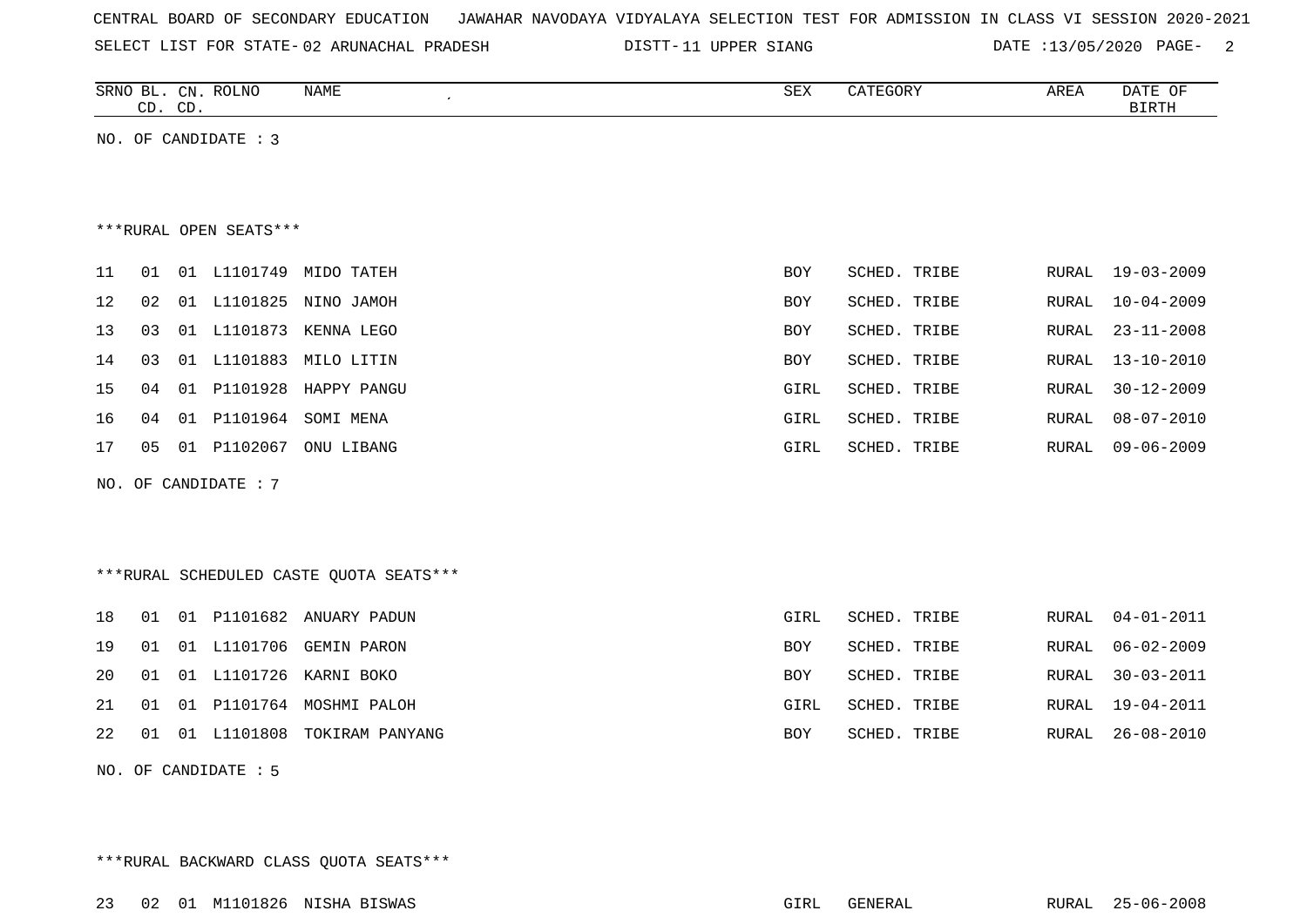| CENTRAL BOARD OF SECONDARY EDUCATION – JAWAHAR NAVODAYA VIDYALAYA SELECTION TEST FOR ADMISSION IN CLASS VI SESSION 2020-2021 |  |  |  |  |
|------------------------------------------------------------------------------------------------------------------------------|--|--|--|--|
|------------------------------------------------------------------------------------------------------------------------------|--|--|--|--|

11 UPPER SIANG DATE :13/05/2020 PAGE- 2

|    | CD. CD.              |    | SRNO BL. CN. ROLNO     | NAME<br>$\epsilon$ | SEX        | CATEGORY     | AREA  | DATE OF<br>BIRTH |  |  |  |
|----|----------------------|----|------------------------|--------------------|------------|--------------|-------|------------------|--|--|--|
|    | NO. OF CANDIDATE : 3 |    |                        |                    |            |              |       |                  |  |  |  |
|    |                      |    |                        |                    |            |              |       |                  |  |  |  |
|    |                      |    |                        |                    |            |              |       |                  |  |  |  |
|    |                      |    | ***RURAL OPEN SEATS*** |                    |            |              |       |                  |  |  |  |
| 11 | 01                   | 01 | L1101749               | MIDO TATEH         | BOY        | SCHED. TRIBE | RURAL | $19 - 03 - 2009$ |  |  |  |
| 12 | 02                   | 01 | L1101825               | NINO JAMOH         | BOY        | SCHED. TRIBE | RURAL | $10 - 04 - 2009$ |  |  |  |
| 13 | 03                   | 01 | L1101873               | KENNA LEGO         | <b>BOY</b> | SCHED. TRIBE | RURAL | $23 - 11 - 2008$ |  |  |  |
| 14 | 03                   | 01 | L1101883               | MILO LITIN         | BOY        | SCHED. TRIBE | RURAL | $13 - 10 - 2010$ |  |  |  |
| 15 | 04                   | 01 | P1101928               | HAPPY PANGU        | GIRL       | SCHED. TRIBE | RURAL | $30 - 12 - 2009$ |  |  |  |
| 16 | 04                   | 01 |                        | P1101964 SOMI MENA | GIRL       | SCHED. TRIBE | RURAL | $08 - 07 - 2010$ |  |  |  |
| 17 | 05                   | 01 | P1102067               | ONU LIBANG         | GIRL       | SCHED. TRIBE | RURAL | $09 - 06 - 2009$ |  |  |  |
|    |                      |    |                        |                    |            |              |       |                  |  |  |  |

NO. OF CANDIDATE : 7

\*\*\*RURAL SCHEDULED CASTE QUOTA SEATS\*\*\*

|  |  | 18  01  01  P1101682  ANUARY  PADUN | GIRL | SCHED. TRIBE | RURAL 04-01-2011 |
|--|--|-------------------------------------|------|--------------|------------------|
|  |  | 19 01 01 L1101706 GEMIN PARON       | BOY  | SCHED. TRIBE | RURAL 06-02-2009 |
|  |  | 20 01 01 L1101726 KARNI BOKO        | BOY  | SCHED. TRIBE | RURAL 30-03-2011 |
|  |  | 21 01 01 P1101764 MOSHMI PALOH      | GIRL | SCHED. TRIBE | RURAL 19-04-2011 |
|  |  | 22 01 01 L1101808 TOKIRAM PANYANG   | BOY  | SCHED. TRIBE | RURAL 26-08-2010 |

NO. OF CANDIDATE : 5

\*\*\*RURAL BACKWARD CLASS QUOTA SEATS\*\*\*

23 02 01 M1101826 NISHA BISWAS GIRL GENERAL RURAL 25-06-2008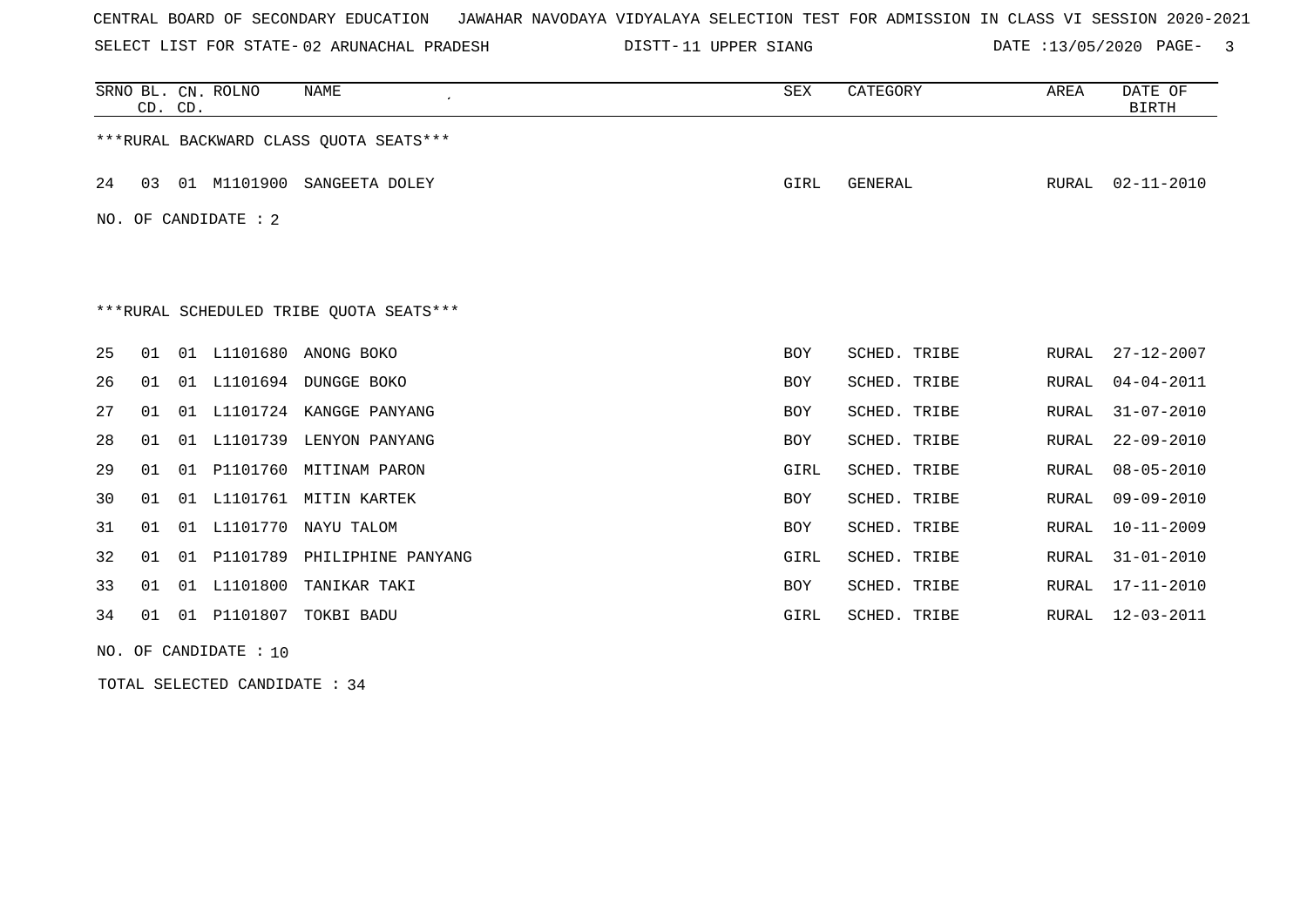SELECT LIST FOR STATE- DISTT- 02 ARUNACHAL PRADESH

11 UPPER SIANG DATE :13/05/2020 PAGE- 3

|                                         | CD. CD.              | SRNO BL. CN. ROLNO |             | <b>NAME</b><br>$\epsilon$               | <b>SEX</b> | CATEGORY     | AREA         | DATE OF<br><b>BIRTH</b> |  |  |  |
|-----------------------------------------|----------------------|--------------------|-------------|-----------------------------------------|------------|--------------|--------------|-------------------------|--|--|--|
|                                         |                      |                    |             | *** RURAL BACKWARD CLASS QUOTA SEATS*** |            |              |              |                         |  |  |  |
| 24                                      | 03                   |                    | 01 M1101900 | SANGEETA DOLEY                          | GIRL       | GENERAL      | RURAL        | $02 - 11 - 2010$        |  |  |  |
|                                         | NO. OF CANDIDATE : 2 |                    |             |                                         |            |              |              |                         |  |  |  |
|                                         |                      |                    |             |                                         |            |              |              |                         |  |  |  |
| ***RURAL SCHEDULED TRIBE QUOTA SEATS*** |                      |                    |             |                                         |            |              |              |                         |  |  |  |
|                                         |                      |                    |             |                                         |            |              |              |                         |  |  |  |
| 25                                      | 01                   | 01                 | L1101680    | ANONG BOKO                              | <b>BOY</b> | SCHED. TRIBE | RURAL        | $27 - 12 - 2007$        |  |  |  |
| 26                                      | 01                   | 01                 | L1101694    | DUNGGE BOKO                             | <b>BOY</b> | SCHED. TRIBE | RURAL        | $04 - 04 - 2011$        |  |  |  |
| 27                                      | 01                   | 01                 | L1101724    | KANGGE PANYANG                          | <b>BOY</b> | SCHED. TRIBE | RURAL        | $31 - 07 - 2010$        |  |  |  |
| 28                                      | 01                   | 01                 | L1101739    | LENYON PANYANG                          | <b>BOY</b> | SCHED. TRIBE | <b>RURAL</b> | $22 - 09 - 2010$        |  |  |  |
| 29                                      | 01                   | 01                 | P1101760    | MITINAM PARON                           | GIRL       | SCHED. TRIBE | RURAL        | $08 - 05 - 2010$        |  |  |  |
| 30                                      | 01                   | 01                 |             | L1101761 MITIN KARTEK                   | <b>BOY</b> | SCHED. TRIBE | RURAL        | $09 - 09 - 2010$        |  |  |  |
| 31                                      | 01                   | 01                 | L1101770    | NAYU TALOM                              | <b>BOY</b> | SCHED. TRIBE | RURAL        | $10 - 11 - 2009$        |  |  |  |
| 32                                      | 01                   | 01                 | P1101789    | PHILIPHINE PANYANG                      | GIRL       | SCHED. TRIBE | RURAL        | $31 - 01 - 2010$        |  |  |  |
| 33                                      | 01                   | 01                 | L1101800    | TANIKAR TAKI                            | <b>BOY</b> | SCHED. TRIBE | RURAL        | $17 - 11 - 2010$        |  |  |  |
| 34                                      | 01                   | 01                 | P1101807    | TOKBI BADU                              | GIRL       | SCHED. TRIBE | RURAL        | $12 - 03 - 2011$        |  |  |  |
|                                         |                      |                    |             |                                         |            |              |              |                         |  |  |  |

NO. OF CANDIDATE : 10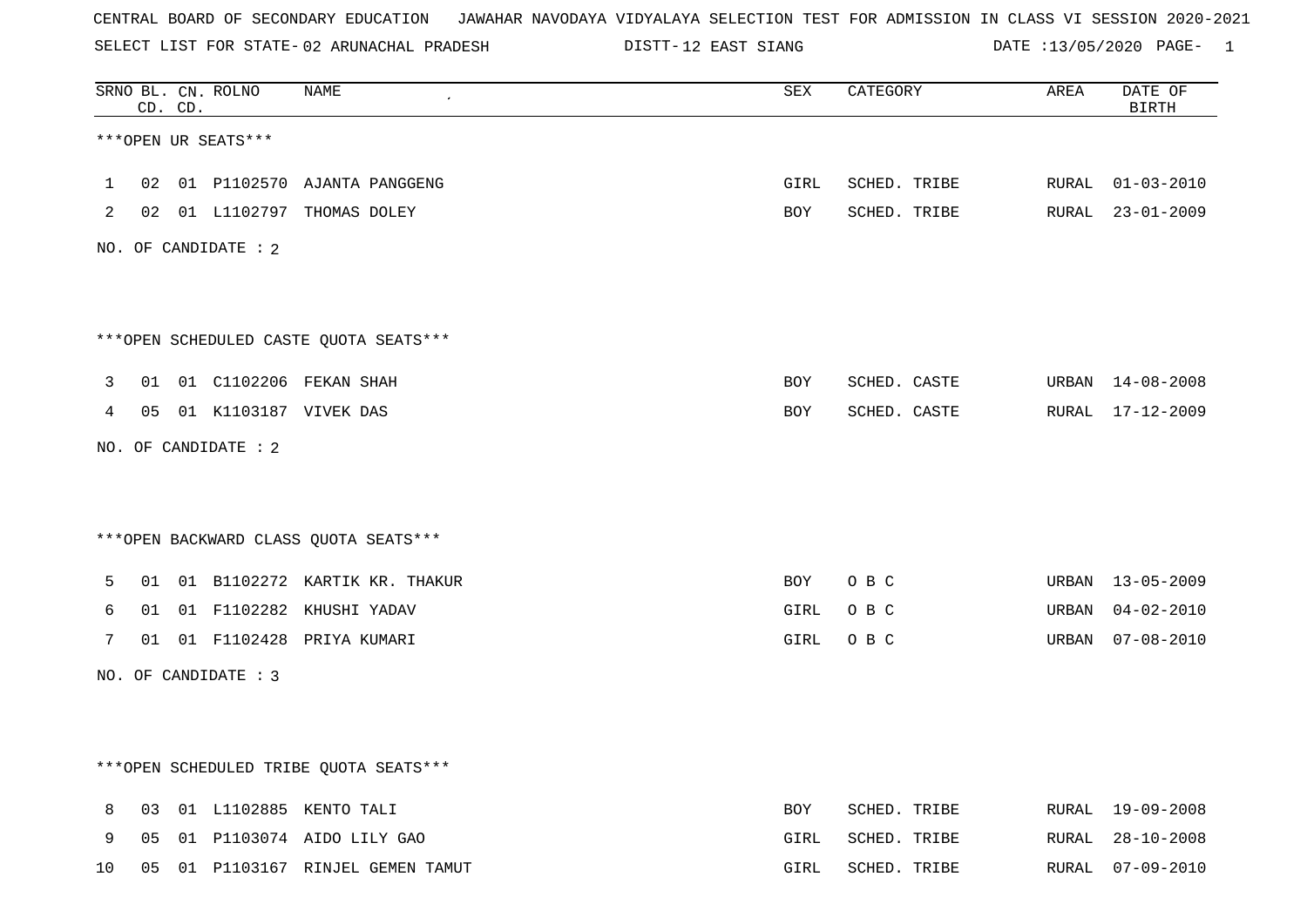SELECT LIST FOR STATE- DISTT- 02 ARUNACHAL PRADESH

12 EAST SIANG DATE :13/05/2020 PAGE- 1

| ***OPEN UR SEATS***<br>02<br>01 P1102570 AJANTA PANGGENG<br>SCHED. TRIBE<br>GIRL<br>RURAL<br>$\mathbf{1}$<br>02 01 L1102797 THOMAS DOLEY<br>SCHED. TRIBE<br>2<br>BOY<br>NO. OF CANDIDATE : 2 |                  |  |  |  |  |  |  |  |  |  |
|----------------------------------------------------------------------------------------------------------------------------------------------------------------------------------------------|------------------|--|--|--|--|--|--|--|--|--|
|                                                                                                                                                                                              |                  |  |  |  |  |  |  |  |  |  |
|                                                                                                                                                                                              | $01 - 03 - 2010$ |  |  |  |  |  |  |  |  |  |
|                                                                                                                                                                                              | RURAL 23-01-2009 |  |  |  |  |  |  |  |  |  |
|                                                                                                                                                                                              |                  |  |  |  |  |  |  |  |  |  |
|                                                                                                                                                                                              |                  |  |  |  |  |  |  |  |  |  |
| *** OPEN SCHEDULED CASTE QUOTA SEATS***                                                                                                                                                      |                  |  |  |  |  |  |  |  |  |  |
| 01 01 C1102206 FEKAN SHAH<br>SCHED. CASTE<br>BOY<br>3                                                                                                                                        | URBAN 14-08-2008 |  |  |  |  |  |  |  |  |  |
| 01 K1103187 VIVEK DAS<br>SCHED. CASTE<br>05<br>4<br>BOY                                                                                                                                      | RURAL 17-12-2009 |  |  |  |  |  |  |  |  |  |
| NO. OF CANDIDATE : 2                                                                                                                                                                         |                  |  |  |  |  |  |  |  |  |  |
|                                                                                                                                                                                              |                  |  |  |  |  |  |  |  |  |  |
| *** OPEN BACKWARD CLASS QUOTA SEATS***                                                                                                                                                       |                  |  |  |  |  |  |  |  |  |  |
| 01 B1102272 KARTIK KR. THAKUR<br>01<br>BOY<br>O B C<br>URBAN<br>5                                                                                                                            | 13-05-2009       |  |  |  |  |  |  |  |  |  |
| 01 F1102282 KHUSHI YADAV<br>O B C<br>6<br>01<br>GIRL<br>URBAN                                                                                                                                | $04 - 02 - 2010$ |  |  |  |  |  |  |  |  |  |
| 01 01 F1102428 PRIYA KUMARI<br>O B C<br>7<br>GIRL<br>URBAN                                                                                                                                   | $07 - 08 - 2010$ |  |  |  |  |  |  |  |  |  |
| NO. OF CANDIDATE : 3                                                                                                                                                                         |                  |  |  |  |  |  |  |  |  |  |
|                                                                                                                                                                                              |                  |  |  |  |  |  |  |  |  |  |
| *** OPEN SCHEDULED TRIBE QUOTA SEATS***                                                                                                                                                      |                  |  |  |  |  |  |  |  |  |  |
| 01 L1102885 KENTO TALI<br>SCHED. TRIBE<br>8<br>03<br>BOY<br>RURAL                                                                                                                            | 19-09-2008       |  |  |  |  |  |  |  |  |  |
| 9<br>05 01 P1103074 AIDO LILY GAO<br>SCHED. TRIBE<br>GIRL                                                                                                                                    | RURAL 28-10-2008 |  |  |  |  |  |  |  |  |  |

10 05 01 P1103167 RINJEL GEMEN TAMUT GIRL SCHED. TRIBE RURAL 07-09-2010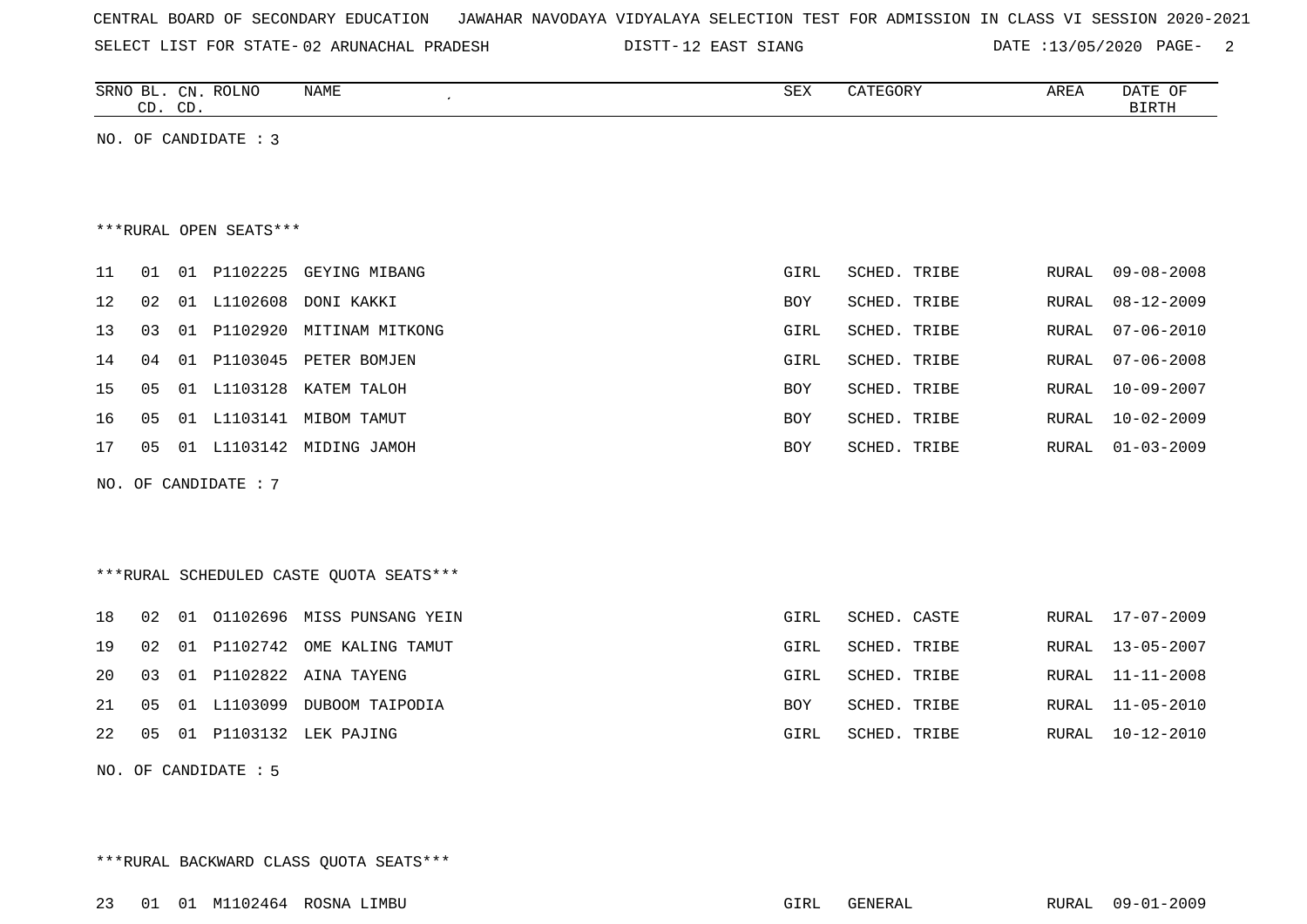| CENTRAL BOARD OF SECONDARY EDUCATION – JAWAHAR NAVODAYA VIDYALAYA SELECTION TEST FOR ADMISSION IN CLASS VI SESSION 2020-2021 |  |  |  |
|------------------------------------------------------------------------------------------------------------------------------|--|--|--|
|------------------------------------------------------------------------------------------------------------------------------|--|--|--|

12 EAST SIANG DATE :13/05/2020 PAGE- 2

| SRNO<br>BL<br>$\bigcap_{\mathbb{R}^n}$<br>◡⊥◥ | ROLNC<br>NAME | CDW<br>⊿בר | 7.777<br>JUK 1 | AREA | DATE<br>OF             |
|-----------------------------------------------|---------------|------------|----------------|------|------------------------|
| $\cap$<br>$\cap$<br>◡╜<br>. ب                 |               |            |                |      | יחים דם<br>ມ⊥⊥∖<br>. . |
|                                               |               |            |                |      |                        |

NO. OF CANDIDATE : 3

#### \*\*\*RURAL OPEN SEATS\*\*\*

| 11              | 01 | 01 |             | P1102225 GEYING MIBANG      | GIRL       | SCHED. TRIBE |       | RURAL 09-08-2008 |
|-----------------|----|----|-------------|-----------------------------|------------|--------------|-------|------------------|
| 12 <sub>2</sub> | 02 | 01 | L1102608    | DONI KAKKI                  | <b>BOY</b> | SCHED. TRIBE | RURAL | 08-12-2009       |
| 13              | 03 |    |             | 01 P1102920 MITINAM MITKONG | GIRL       | SCHED. TRIBE | RURAL | 07-06-2010       |
| 14              | 04 |    | 01 P1103045 | PETER BOMJEN                | GIRL       | SCHED. TRIBE | RURAL | 07-06-2008       |
| 15              | 05 |    |             | 01 L1103128 KATEM TALOH     | <b>BOY</b> | SCHED. TRIBE | RURAL | 10-09-2007       |
| 16              | 05 |    |             | 01 L1103141 MIBOM TAMUT     | <b>BOY</b> | SCHED. TRIBE | RURAL | $10 - 02 - 2009$ |
| 17              | 05 |    |             | 01 L1103142 MIDING JAMOH    | <b>BOY</b> | SCHED. TRIBE |       | RURAL 01-03-2009 |
|                 |    |    |             |                             |            |              |       |                  |

NO. OF CANDIDATE : 7

# \*\*\*RURAL SCHEDULED CASTE QUOTA SEATS\*\*\*

|  |  | 18 02 01 01102696 MISS PUNSANG YEIN | GIRL | SCHED. CASTE |  | RURAL 17-07-2009 |
|--|--|-------------------------------------|------|--------------|--|------------------|
|  |  | 19 02 01 P1102742 OME KALING TAMUT  | GIRL | SCHED. TRIBE |  | RURAL 13-05-2007 |
|  |  | 20 03 01 P1102822 AINA TAYENG       | GIRL | SCHED. TRIBE |  | RURAL 11-11-2008 |
|  |  | 21 05 01 L1103099 DUBOOM TAIPODIA   | BOY  | SCHED. TRIBE |  | RURAL 11-05-2010 |
|  |  | 22  05  01  P1103132  LEK  PAJING   | GIRL | SCHED. TRIBE |  | RURAL 10-12-2010 |

NO. OF CANDIDATE : 5

\*\*\*RURAL BACKWARD CLASS QUOTA SEATS\*\*\*

23 01 01 M1102464 ROSNA LIMBU GIRL GENERAL RURAL 09-01-2009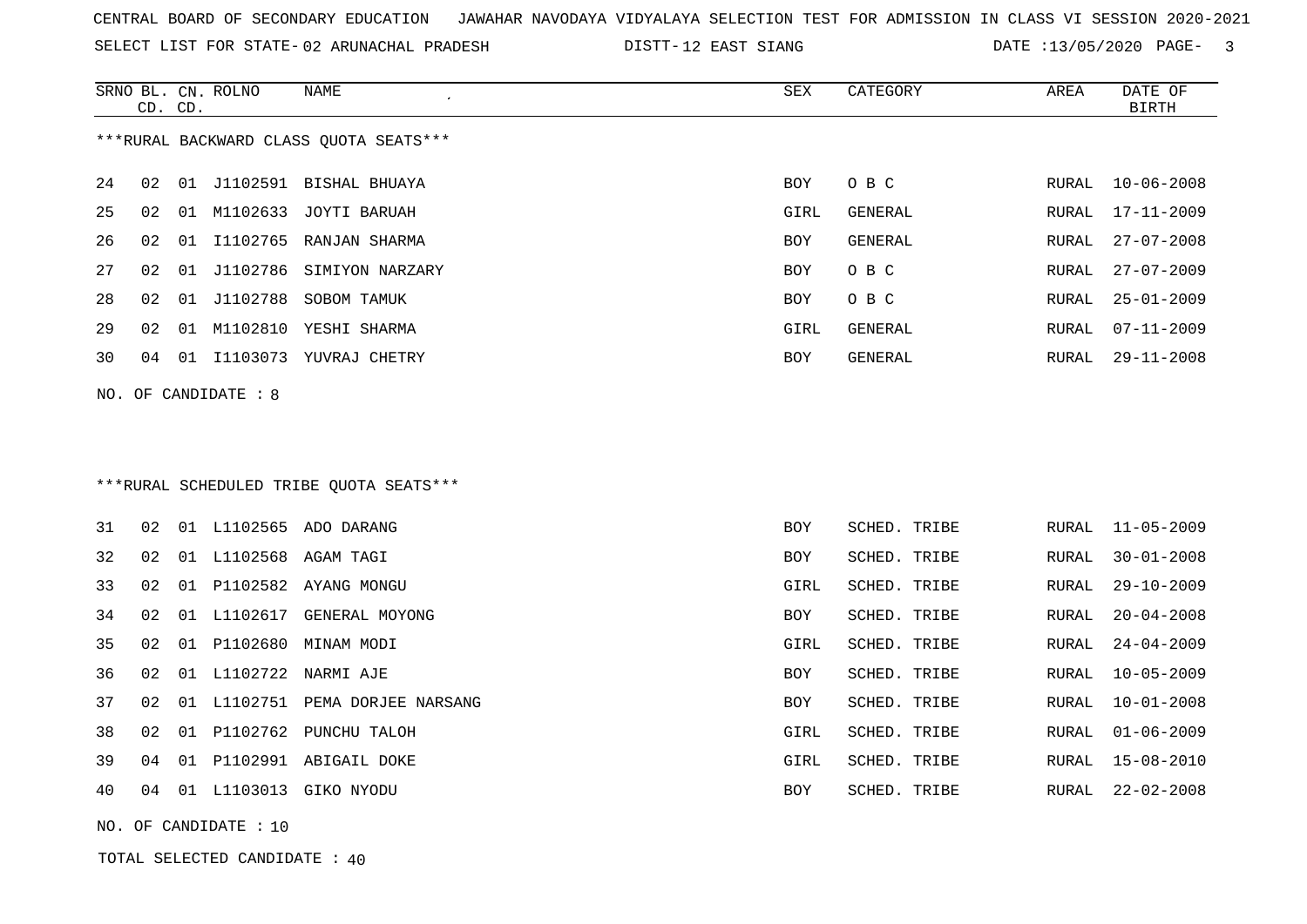| CENTRAL BOARD OF SECONDARY EDUCATION – JAWAHAR NAVODAYA VIDYALAYA SELECTION TEST FOR ADMISSION IN CLASS VI SESSION 2020-2021 |  |
|------------------------------------------------------------------------------------------------------------------------------|--|
|------------------------------------------------------------------------------------------------------------------------------|--|

SELECT LIST FOR STATE- DISTT- 02 ARUNACHAL PRADESH 12 EAST SIANG DATE :13/05/2020 PAGE- 3

|    | CD. CD. |    | SRNO BL. CN. ROLNO     | NAME                                    | SEX        | CATEGORY     | AREA  | DATE OF<br><b>BIRTH</b> |
|----|---------|----|------------------------|-----------------------------------------|------------|--------------|-------|-------------------------|
|    |         |    |                        | *** RURAL BACKWARD CLASS QUOTA SEATS*** |            |              |       |                         |
| 24 | 02      |    |                        | 01 J1102591 BISHAL BHUAYA               | <b>BOY</b> | O B C        | RURAL | $10 - 06 - 2008$        |
| 25 | 02      |    |                        | 01 M1102633 JOYTI BARUAH                | GIRL       | GENERAL      | RURAL | 17-11-2009              |
| 26 | 02      | 01 |                        | I1102765 RANJAN SHARMA                  | BOY        | GENERAL      | RURAL | $27 - 07 - 2008$        |
| 27 | 02      |    |                        | 01 J1102786 SIMIYON NARZARY             | BOY        | O B C        | RURAL | $27 - 07 - 2009$        |
| 28 | 02      |    |                        | 01 J1102788 SOBOM TAMUK                 | BOY        | O B C        | RURAL | $25 - 01 - 2009$        |
| 29 | 02      |    |                        | 01 M1102810 YESHI SHARMA                | GIRL       | GENERAL      | RURAL | $07 - 11 - 2009$        |
| 30 | 04      |    |                        | 01 I1103073 YUVRAJ CHETRY               | BOY        | GENERAL      | RURAL | $29 - 11 - 2008$        |
|    |         |    | NO. OF CANDIDATE $: 8$ |                                         |            |              |       |                         |
|    |         |    |                        | ***RURAL SCHEDULED TRIBE QUOTA SEATS*** |            |              |       |                         |
| 31 | 02      |    |                        | 01 L1102565 ADO DARANG                  | <b>BOY</b> | SCHED. TRIBE | RURAL | $11 - 05 - 2009$        |
| 32 | 02      |    |                        | 01 L1102568 AGAM TAGI                   | BOY        | SCHED. TRIBE | RURAL | $30 - 01 - 2008$        |
| 33 | 02      |    |                        | 01 P1102582 AYANG MONGU                 | GIRL       | SCHED. TRIBE | RURAL | $29 - 10 - 2009$        |
| 34 | 02      |    |                        | 01 L1102617 GENERAL MOYONG              | BOY        | SCHED. TRIBE | RURAL | $20 - 04 - 2008$        |
| 35 | 02      |    | 01 P1102680            | MINAM MODI                              | GIRL       | SCHED. TRIBE | RURAL | $24 - 04 - 2009$        |
| 36 | 02      |    |                        | 01 L1102722 NARMI AJE                   | BOY        | SCHED. TRIBE | RURAL | $10 - 05 - 2009$        |
| 37 | 02      |    |                        | 01 L1102751 PEMA DORJEE NARSANG         | BOY        | SCHED. TRIBE | RURAL | $10 - 01 - 2008$        |
| 38 | 02      |    |                        | 01 P1102762 PUNCHU TALOH                | GIRL       | SCHED. TRIBE | RURAL | $01 - 06 - 2009$        |
| 39 | 04      |    |                        | 01 P1102991 ABIGAIL DOKE                | GIRL       | SCHED. TRIBE | RURAL | $15 - 08 - 2010$        |
| 40 | 04      |    |                        | 01 L1103013 GIKO NYODU                  | BOY        | SCHED. TRIBE | RURAL | $22 - 02 - 2008$        |
|    |         |    | NO. OF CANDIDATE : 10  |                                         |            |              |       |                         |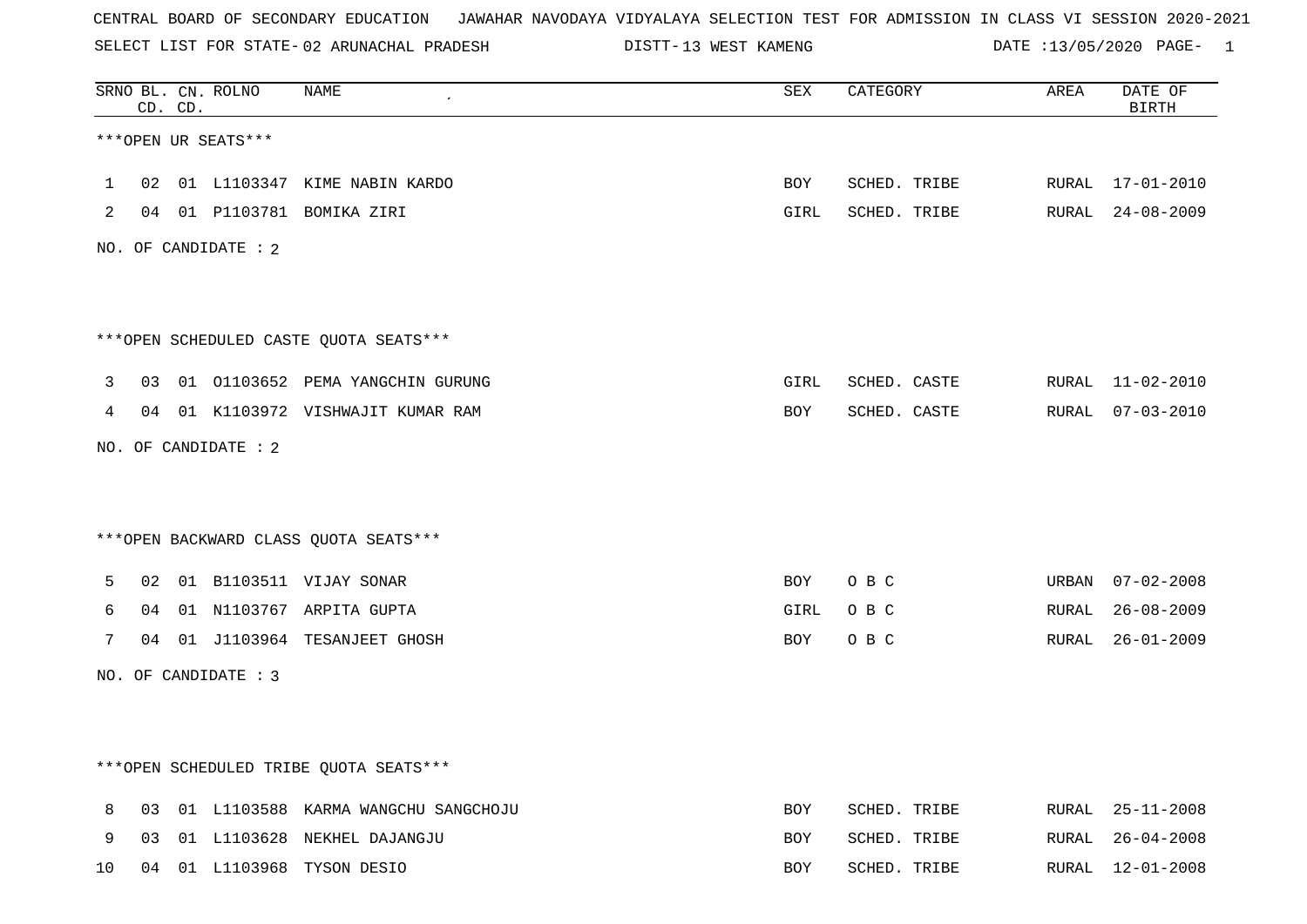SELECT LIST FOR STATE- DISTT- 02 ARUNACHAL PRADESH

13 WEST KAMENG DATE :13/05/2020 PAGE- 1

|                |    | CD. CD. | SRNO BL. CN. ROLNO   | NAME                                   | SEX        | CATEGORY     | AREA  | DATE OF<br><b>BIRTH</b> |
|----------------|----|---------|----------------------|----------------------------------------|------------|--------------|-------|-------------------------|
|                |    |         | ***OPEN UR SEATS***  |                                        |            |              |       |                         |
| $\mathbf 1$    | 02 |         |                      | 01 L1103347 KIME NABIN KARDO           | BOY        | SCHED. TRIBE | RURAL | 17-01-2010              |
| $\overline{2}$ |    |         |                      | 04 01 P1103781 BOMIKA ZIRI             | GIRL       | SCHED. TRIBE |       | RURAL 24-08-2009        |
|                |    |         | NO. OF CANDIDATE : 2 |                                        |            |              |       |                         |
|                |    |         |                      | ***OPEN SCHEDULED CASTE QUOTA SEATS*** |            |              |       |                         |
| 3              | 03 |         |                      | 01 01103652 PEMA YANGCHIN GURUNG       | GIRL       | SCHED. CASTE |       | RURAL 11-02-2010        |
| 4              |    |         |                      | 04 01 K1103972 VISHWAJIT KUMAR RAM     | <b>BOY</b> | SCHED. CASTE |       | RURAL 07-03-2010        |
|                |    |         | NO. OF CANDIDATE : 2 |                                        |            |              |       |                         |
|                |    |         |                      | *** OPEN BACKWARD CLASS QUOTA SEATS*** |            |              |       |                         |
| 5              | 02 |         |                      | 01 B1103511 VIJAY SONAR                | BOY        | O B C        |       | URBAN 07-02-2008        |
| 6              | 04 |         |                      | 01 N1103767 ARPITA GUPTA               | GIRL       | O B C        | RURAL | $26 - 08 - 2009$        |
| 7              |    |         |                      | 04 01 J1103964 TESANJEET GHOSH         | BOY        | O B C        |       | RURAL 26-01-2009        |
|                |    |         | NO. OF CANDIDATE : 3 |                                        |            |              |       |                         |
|                |    |         |                      |                                        |            |              |       |                         |
|                |    |         |                      | ***OPEN SCHEDULED TRIBE QUOTA SEATS*** |            |              |       |                         |
| 8              | 03 |         |                      | 01 L1103588 KARMA WANGCHU SANGCHOJU    | <b>BOY</b> | SCHED. TRIBE | RURAL | 25-11-2008              |
| 9              | 03 |         |                      | 01 L1103628 NEKHEL DAJANGJU            | BOY        | SCHED. TRIBE | RURAL | 26-04-2008              |
| 10             | 04 |         |                      | 01 L1103968 TYSON DESIO                | <b>BOY</b> | SCHED. TRIBE |       | RURAL 12-01-2008        |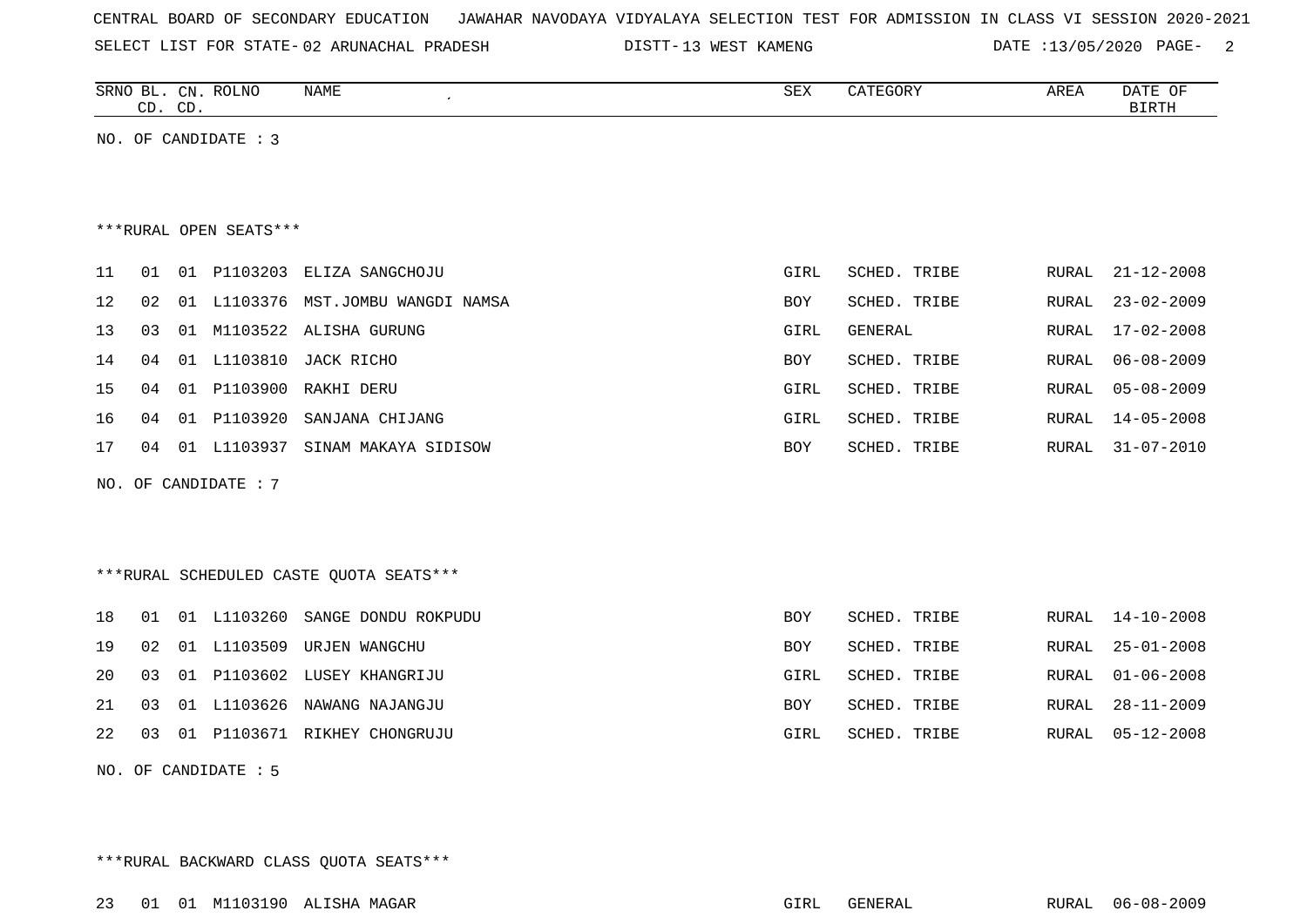| CENTRAL BOARD OF SECONDARY EDUCATION – JAWAHAR NAVODAYA VIDYALAYA SELECTION TEST FOR ADMISSION IN CLASS VI SESSION 2020-2021 |  |  |  |
|------------------------------------------------------------------------------------------------------------------------------|--|--|--|
|------------------------------------------------------------------------------------------------------------------------------|--|--|--|

DISTT-13 WEST KAMENG **DATE** :13/05/2020 PAGE- 2

| SRNO<br>BГ   | $D^{\sim}$<br>$\cap$ <sub>NT</sub><br>◡ェ៶ | <b>NAME</b><br><b>TATC</b><br>…∪LNO | SEX | AREA | ΟF<br>DAIL |  |
|--------------|-------------------------------------------|-------------------------------------|-----|------|------------|--|
| $\sim$<br>ىد | CD                                        |                                     |     |      | טייים דם   |  |
|              |                                           |                                     |     |      |            |  |

NO. OF CANDIDATE : 3

#### \*\*\*RURAL OPEN SEATS\*\*\*

| 11              |     |      |             | 01 01 P1103203 ELIZA SANGCHOJU        | GIRL       | SCHED. TRIBE |       | RURAL 21-12-2008 |
|-----------------|-----|------|-------------|---------------------------------------|------------|--------------|-------|------------------|
| 12              |     |      |             | 02 01 L1103376 MST.JOMBU WANGDI NAMSA | <b>BOY</b> | SCHED. TRIBE |       | RURAL 23-02-2009 |
| 13 <sup>7</sup> |     |      |             | 03 01 M1103522 ALISHA GURUNG          | GIRL       | GENERAL      |       | RURAL 17-02-2008 |
| 14              | 04  | 01   | L1103810    | JACK RICHO                            | <b>BOY</b> | SCHED. TRIBE |       | RURAL 06-08-2009 |
| 15              | 04  |      | 01 P1103900 | RAKHI DERU                            | GIRL       | SCHED. TRIBE |       | RURAL 05-08-2009 |
| 16              | 04  |      | 01 P1103920 | SANJANA CHIJANG                       | GIRL       | SCHED. TRIBE | RURAL | 14-05-2008       |
| 17              | በ 4 | . 01 | L1103937    | SINAM MAKAYA SIDISOW                  | BOY        | SCHED. TRIBE |       | RURAL 31-07-2010 |
|                 |     |      |             |                                       |            |              |       |                  |

NO. OF CANDIDATE : 7

# \*\*\*RURAL SCHEDULED CASTE QUOTA SEATS\*\*\*

|  |  | 18 01 01 L1103260 SANGE DONDU ROKPUDU | <b>BOY</b> | SCHED. TRIBE |  | RURAL 14-10-2008 |
|--|--|---------------------------------------|------------|--------------|--|------------------|
|  |  | 19 02 01 L1103509 URJEN WANGCHU       | BOY        | SCHED. TRIBE |  | RURAL 25-01-2008 |
|  |  | 20 03 01 P1103602 LUSEY KHANGRIJU     | GIRL       | SCHED. TRIBE |  | RURAL 01-06-2008 |
|  |  | 21 03 01 L1103626 NAWANG NAJANGJU     | <b>BOY</b> | SCHED. TRIBE |  | RURAL 28-11-2009 |
|  |  | 22 03 01 P1103671 RIKHEY CHONGRUJU    | GIRL       | SCHED. TRIBE |  | RURAL 05-12-2008 |
|  |  |                                       |            |              |  |                  |

NO. OF CANDIDATE : 5

\*\*\*RURAL BACKWARD CLASS QUOTA SEATS\*\*\*

23 01 01 M1103190 ALISHA MAGAR GIRL GENERAL RURAL 06-08-2009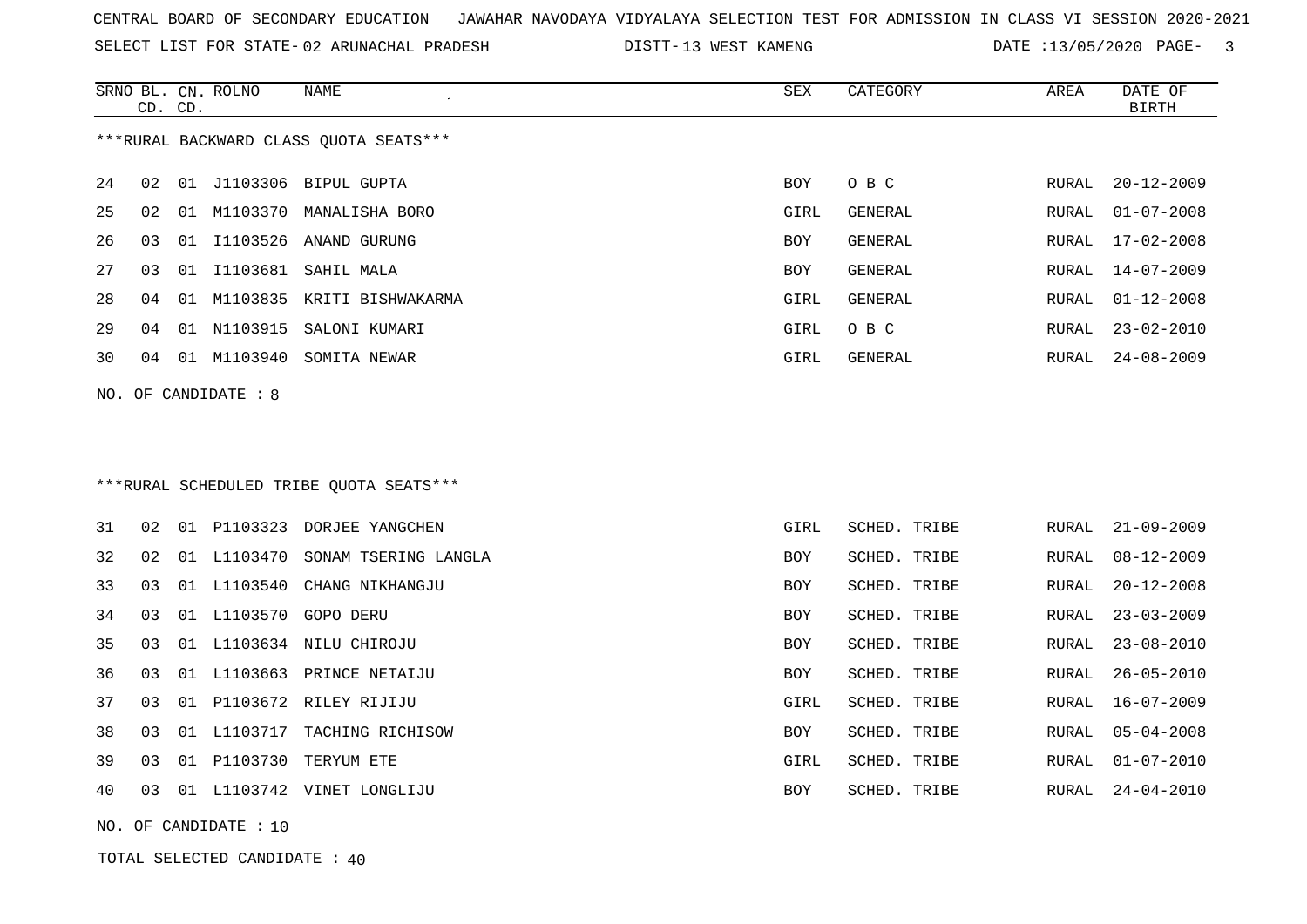|  |  |  |  | CENTRAL BOARD OF SECONDARY EDUCATION GJAWAHAR NAVODAYA VIDYALAYA SELECTION TEST FOR ADMISSION IN CLASS VI SESSION 2020-2021 |  |  |  |  |  |  |  |  |  |  |  |  |  |  |  |
|--|--|--|--|-----------------------------------------------------------------------------------------------------------------------------|--|--|--|--|--|--|--|--|--|--|--|--|--|--|--|
|--|--|--|--|-----------------------------------------------------------------------------------------------------------------------------|--|--|--|--|--|--|--|--|--|--|--|--|--|--|--|

DISTT-13 WEST KAMENG DATE :13/05/2020 PAGE- 3

|        | CD. CD. |    | SRNO BL. CN. ROLNO     | <b>NAME</b>                                                                                                                                                                                                                                                                                                                                                                          | <b>SEX</b>                  | CATEGORY       | AREA  | DATE OF<br><b>BIRTH</b> |
|--------|---------|----|------------------------|--------------------------------------------------------------------------------------------------------------------------------------------------------------------------------------------------------------------------------------------------------------------------------------------------------------------------------------------------------------------------------------|-----------------------------|----------------|-------|-------------------------|
|        |         |    |                        | *** RURAL BACKWARD CLASS QUOTA SEATS***                                                                                                                                                                                                                                                                                                                                              |                             |                |       |                         |
| 24     | 02      |    |                        | 01 J1103306 BIPUL GUPTA                                                                                                                                                                                                                                                                                                                                                              | BOY                         | O B C          | RURAL | $20 - 12 - 2009$        |
| 25     | 02      | 01 |                        | M1103370 MANALISHA BORO                                                                                                                                                                                                                                                                                                                                                              | GIRL                        | GENERAL        | RURAL | $01 - 07 - 2008$        |
| 26     | 03      | 01 | I1103526               | ANAND GURUNG                                                                                                                                                                                                                                                                                                                                                                         | <b>BOY</b>                  | GENERAL        | RURAL | $17 - 02 - 2008$        |
| 27     | 03      | 01 | I1103681               | SAHIL MALA                                                                                                                                                                                                                                                                                                                                                                           | <b>BOY</b>                  | <b>GENERAL</b> | RURAL | $14 - 07 - 2009$        |
| 28     | 04      | 01 |                        | M1103835 KRITI BISHWAKARMA                                                                                                                                                                                                                                                                                                                                                           | GIRL                        | <b>GENERAL</b> | RURAL | $01 - 12 - 2008$        |
| 29     | 04      |    | 01 N1103915            | SALONI KUMARI                                                                                                                                                                                                                                                                                                                                                                        | GIRL                        | O B C          | RURAL | $23 - 02 - 2010$        |
| 30     | 04      |    |                        | 01 M1103940 SOMITA NEWAR                                                                                                                                                                                                                                                                                                                                                             | <b>GIRL</b>                 | GENERAL        | RURAL | $24 - 08 - 2009$        |
|        |         |    | NO. OF CANDIDATE $: 8$ |                                                                                                                                                                                                                                                                                                                                                                                      |                             |                |       |                         |
|        |         |    |                        |                                                                                                                                                                                                                                                                                                                                                                                      |                             |                |       |                         |
|        |         |    |                        |                                                                                                                                                                                                                                                                                                                                                                                      |                             |                |       |                         |
|        |         |    |                        | ***RURAL SCHEDULED TRIBE QUOTA SEATS***                                                                                                                                                                                                                                                                                                                                              |                             |                |       |                         |
| 31     | 02      |    |                        | 01 P1103323 DORJEE YANGCHEN                                                                                                                                                                                                                                                                                                                                                          | <b>GIRL</b>                 | SCHED. TRIBE   | RURAL | $21 - 09 - 2009$        |
| 32     | 02      |    | 01 L1103470            | SONAM TSERING LANGLA                                                                                                                                                                                                                                                                                                                                                                 | <b>BOY</b>                  | SCHED. TRIBE   | RURAL | $08 - 12 - 2009$        |
| 33     | 03      | 01 | L1103540               | CHANG NIKHANGJU                                                                                                                                                                                                                                                                                                                                                                      | <b>BOY</b>                  | SCHED. TRIBE   | RURAL | $20 - 12 - 2008$        |
| 34     | 03      |    | 01 L1103570            | GOPO DERU                                                                                                                                                                                                                                                                                                                                                                            | <b>BOY</b>                  | SCHED. TRIBE   | RURAL | $23 - 03 - 2009$        |
| 35     | 03      |    |                        | 01 L1103634 NILU CHIROJU                                                                                                                                                                                                                                                                                                                                                             | BOY                         | SCHED. TRIBE   | RURAL | $23 - 08 - 2010$        |
| $\sim$ |         |    |                        | $\overline{a}$ $\overline{a}$ $\overline{a}$ $\overline{a}$ $\overline{a}$ $\overline{a}$ $\overline{a}$ $\overline{a}$ $\overline{a}$ $\overline{a}$ $\overline{a}$ $\overline{a}$ $\overline{a}$ $\overline{a}$ $\overline{a}$ $\overline{a}$ $\overline{a}$ $\overline{a}$ $\overline{a}$ $\overline{a}$ $\overline{a}$ $\overline{a}$ $\overline{a}$ $\overline{a}$ $\overline{$ | $\sim$ $\sim$ $\sim$ $\sim$ |                |       | proper of an ania       |

|  |  |                                    | BOY  | SCHED. TRIBE | RURAL 26-05-2010 |
|--|--|------------------------------------|------|--------------|------------------|
|  |  | 37 03 01 P1103672 RILEY RIJIJU     | GIRL | SCHED. TRIBE | RURAL 16-07-2009 |
|  |  | 38 03 01 L1103717 TACHING RICHISOW | BOY  | SCHED. TRIBE | RURAL 05-04-2008 |
|  |  | 39 03 01 P1103730 TERYUM ETE       | GIRL | SCHED. TRIBE | RURAL 01-07-2010 |
|  |  | 40 03 01 L1103742 VINET LONGLIJU   | BOY  | SCHED. TRIBE | RURAL 24-04-2010 |

NO. OF CANDIDATE : 10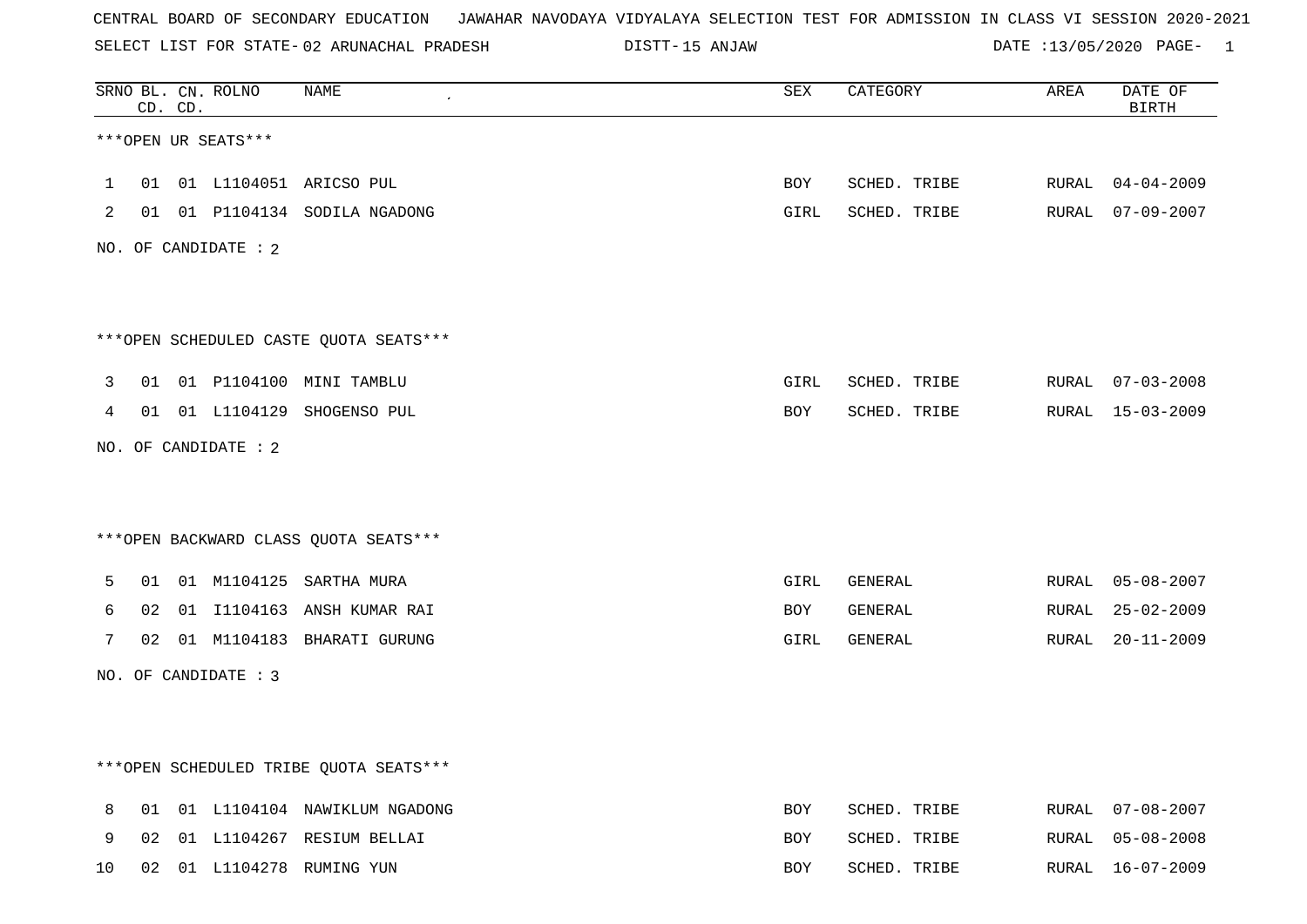15 ANJAW DATE :13/05/2020 PAGE- 1

|   |    | CD. CD. | SRNO BL. CN. ROLNO   | NAME                                    | SEX         | CATEGORY     | AREA  | DATE OF<br><b>BIRTH</b> |
|---|----|---------|----------------------|-----------------------------------------|-------------|--------------|-------|-------------------------|
|   |    |         | ***OPEN UR SEATS***  |                                         |             |              |       |                         |
| 1 | 01 |         |                      | 01 L1104051 ARICSO PUL                  | BOY         | SCHED. TRIBE | RURAL | $04 - 04 - 2009$        |
| 2 |    |         |                      | 01 01 P1104134 SODILA NGADONG           | GIRL        | SCHED. TRIBE | RURAL | $07 - 09 - 2007$        |
|   |    |         | NO. OF CANDIDATE : 2 |                                         |             |              |       |                         |
|   |    |         |                      |                                         |             |              |       |                         |
|   |    |         |                      | ***OPEN SCHEDULED CASTE QUOTA SEATS***  |             |              |       |                         |
| 3 | 01 |         |                      | 01 P1104100 MINI TAMBLU                 | <b>GIRL</b> | SCHED. TRIBE |       | RURAL 07-03-2008        |
| 4 | 01 |         |                      | 01 L1104129 SHOGENSO PUL                | BOY         | SCHED. TRIBE | RURAL | 15-03-2009              |
|   |    |         | NO. OF CANDIDATE : 2 |                                         |             |              |       |                         |
|   |    |         |                      |                                         |             |              |       |                         |
|   |    |         |                      | *** OPEN BACKWARD CLASS QUOTA SEATS *** |             |              |       |                         |
| 5 | 01 |         |                      | 01 M1104125 SARTHA MURA                 | <b>GIRL</b> | GENERAL      | RURAL | $05 - 08 - 2007$        |
| 6 | 02 |         |                      | 01 I1104163 ANSH KUMAR RAI              | BOY         | GENERAL      | RURAL | $25 - 02 - 2009$        |
| 7 | 02 |         |                      | 01 M1104183 BHARATI GURUNG              | GIRL        | GENERAL      | RURAL | $20 - 11 - 2009$        |
|   |    |         | NO. OF CANDIDATE : 3 |                                         |             |              |       |                         |
|   |    |         |                      |                                         |             |              |       |                         |
|   |    |         |                      | ***OPEN SCHEDULED TRIBE QUOTA SEATS***  |             |              |       |                         |
| 8 | 01 |         |                      | 01 L1104104 NAWIKLUM NGADONG            | BOY         | SCHED. TRIBE | RURAL | $07 - 08 - 2007$        |
| 9 |    |         |                      | 02 01 L1104267 RESIUM BELLAI            | BOY         | SCHED. TRIBE |       | RURAL 05-08-2008        |

10 02 01 L1104278 RUMING YUN BOY SCHED. TRIBE RURAL 16-07-2009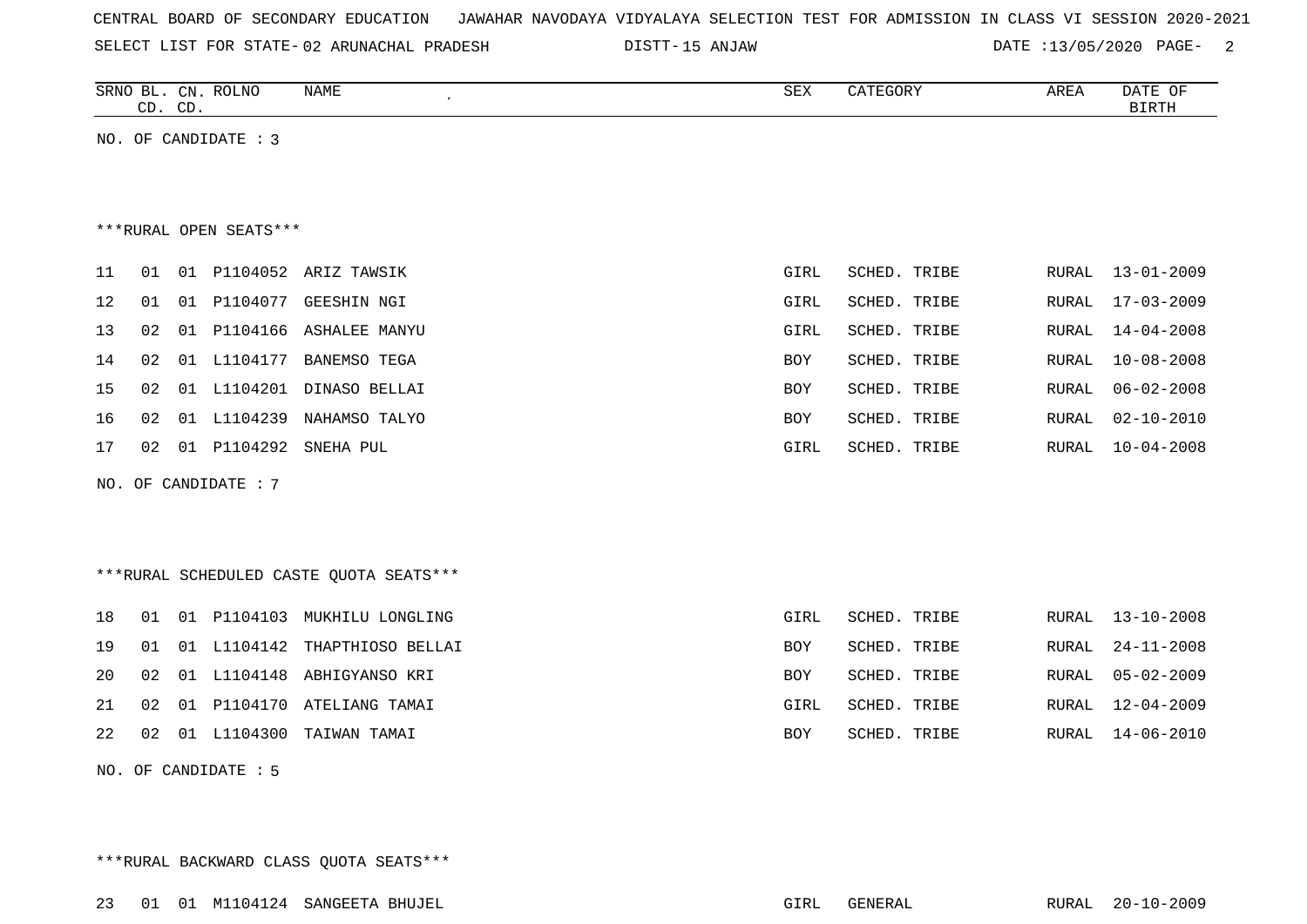| CENTRAL BOARD OF SECONDARY EDUCATION – JAWAHAR NAVODAYA VIDYALAYA SELECTION TEST FOR ADMISSION IN CLASS VI SESSION 2020-2021 |  |  |  |  |
|------------------------------------------------------------------------------------------------------------------------------|--|--|--|--|
|------------------------------------------------------------------------------------------------------------------------------|--|--|--|--|

15 ANJAW DATE :13/05/2020 PAGE- 2

|    | CD. CD. |    | SRNO BL. CN. ROLNO     | NAME<br>$\pmb{\cdot}$  | SEX        | CATEGORY     | AREA  | DATE OF<br>BIRTH |
|----|---------|----|------------------------|------------------------|------------|--------------|-------|------------------|
|    |         |    | NO. OF CANDIDATE : 3   |                        |            |              |       |                  |
|    |         |    |                        |                        |            |              |       |                  |
|    |         |    |                        |                        |            |              |       |                  |
|    |         |    | ***RURAL OPEN SEATS*** |                        |            |              |       |                  |
| 11 | 01      | 01 |                        | P1104052 ARIZ TAWSIK   | GIRL       | SCHED. TRIBE | RURAL | $13 - 01 - 2009$ |
| 12 | 01      | 01 | P1104077               | GEESHIN NGI            | GIRL       | SCHED. TRIBE | RURAL | $17 - 03 - 2009$ |
| 13 | 02      | 01 |                        | P1104166 ASHALEE MANYU | GIRL       | SCHED. TRIBE | RURAL | $14 - 04 - 2008$ |
| 14 | 02      | 01 | L1104177               | BANEMSO TEGA           | BOY        | SCHED. TRIBE | RURAL | $10 - 08 - 2008$ |
| 15 | 02      | 01 |                        | L1104201 DINASO BELLAI | <b>BOY</b> | SCHED. TRIBE | RURAL | $06 - 02 - 2008$ |
| 16 | 02      | 01 | L1104239               | NAHAMSO TALYO          | <b>BOY</b> | SCHED. TRIBE | RURAL | $02 - 10 - 2010$ |
| 17 | 02      | 01 | P1104292               | SNEHA PUL              | GIRL       | SCHED. TRIBE | RURAL | $10 - 04 - 2008$ |

NO. OF CANDIDATE : 7

\*\*\*RURAL SCHEDULED CASTE QUOTA SEATS\*\*\*

|  |  | 22 02 01 L1104300 TAIWAN TAMAI      | <b>BOY</b> | SCHED. TRIBE | RURAL 14-06-2010 |
|--|--|-------------------------------------|------------|--------------|------------------|
|  |  | 21 02 01 P1104170 ATELIANG TAMAI    | GIRL       | SCHED. TRIBE | RURAL 12-04-2009 |
|  |  | 20 02 01 L1104148 ABHIGYANSO KRI    | BOY        | SCHED. TRIBE | RURAL 05-02-2009 |
|  |  | 19 01 01 L1104142 THAPTHIOSO BELLAI | BOY        | SCHED. TRIBE | RURAL 24-11-2008 |
|  |  | 18 01 01 P1104103 MUKHILU LONGLING  | GIRL       | SCHED. TRIBE | RURAL 13-10-2008 |

NO. OF CANDIDATE : 5

\*\*\*RURAL BACKWARD CLASS QUOTA SEATS\*\*\*

23 01 01 M1104124 SANGEETA BHUJEL GIRL GENERAL RURAL 20-10-2009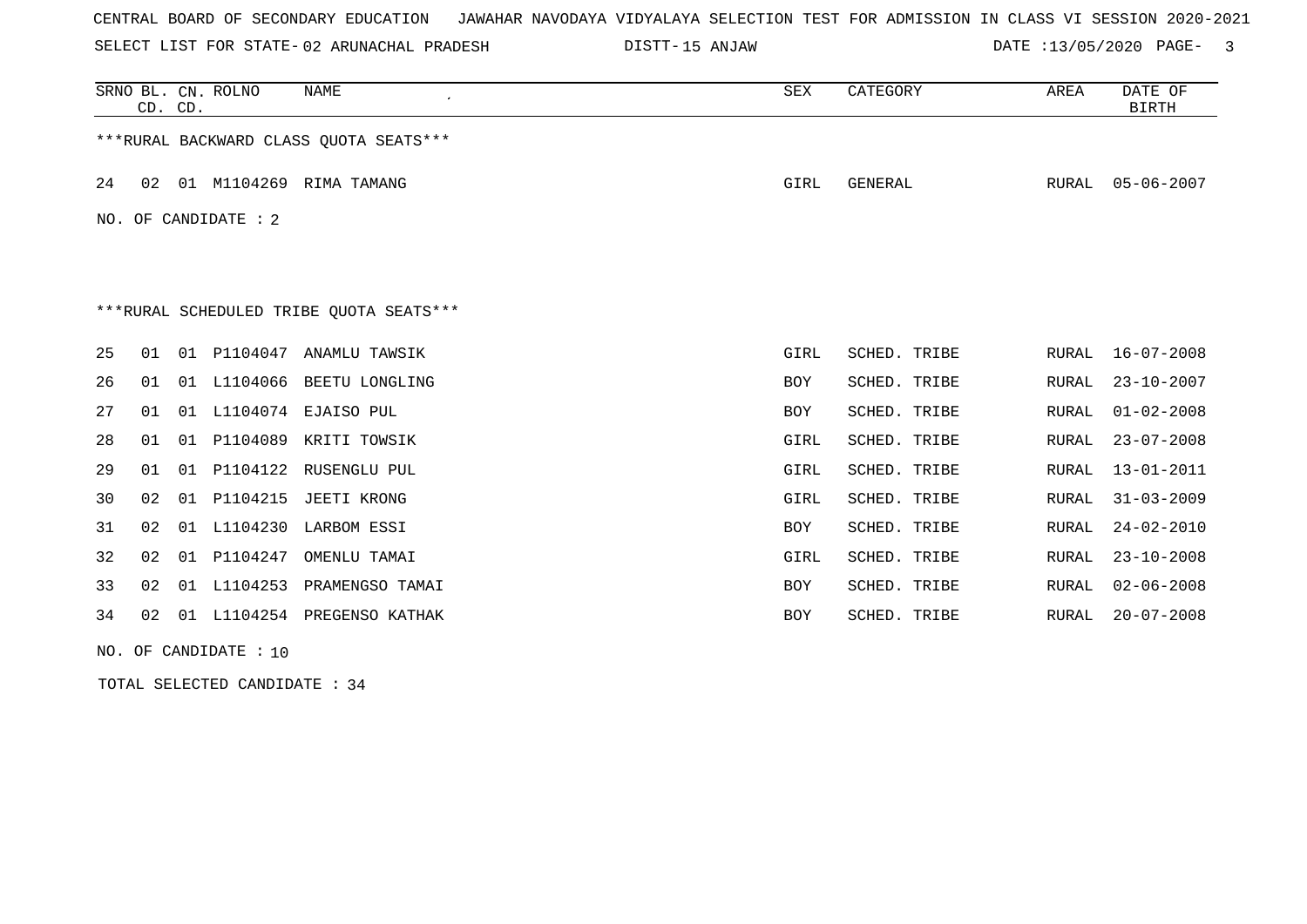SELECT LIST FOR STATE- DISTT- 02 ARUNACHAL PRADESH

15 ANJAW DATE :13/05/2020 PAGE- 3

|                      |                                         | CD. CD. | SRNO BL. CN. ROLNO | NAME                                   | SEX        | CATEGORY     | AREA  | DATE OF<br><b>BIRTH</b> |  |  |  |
|----------------------|-----------------------------------------|---------|--------------------|----------------------------------------|------------|--------------|-------|-------------------------|--|--|--|
|                      |                                         |         |                    | ***RURAL BACKWARD CLASS OUOTA SEATS*** |            |              |       |                         |  |  |  |
| 24                   | 02                                      |         |                    | 01 M1104269 RIMA TAMANG                | GIRL       | GENERAL      | RURAL | $05 - 06 - 2007$        |  |  |  |
| NO. OF CANDIDATE : 2 |                                         |         |                    |                                        |            |              |       |                         |  |  |  |
|                      |                                         |         |                    |                                        |            |              |       |                         |  |  |  |
|                      | ***RURAL SCHEDULED TRIBE OUOTA SEATS*** |         |                    |                                        |            |              |       |                         |  |  |  |
| 25                   | 01                                      |         |                    | 01 P1104047 ANAMLU TAWSIK              | GIRL       | SCHED. TRIBE | RURAL | $16 - 07 - 2008$        |  |  |  |
| 26                   | 01                                      |         |                    | 01 L1104066 BEETU LONGLING             | BOY        | SCHED. TRIBE | RURAL | $23 - 10 - 2007$        |  |  |  |
| 27                   | 01                                      |         |                    | 01 L1104074 EJAISO PUL                 | <b>BOY</b> | SCHED. TRIBE | RURAL | $01 - 02 - 2008$        |  |  |  |
| 28                   | 01                                      |         |                    | 01 P1104089 KRITI TOWSIK               | GIRL       | SCHED. TRIBE | RURAL | $23 - 07 - 2008$        |  |  |  |
| 29                   | 01                                      |         |                    | 01 P1104122 RUSENGLU PUL               | GIRL       | SCHED. TRIBE | RURAL | $13 - 01 - 2011$        |  |  |  |
| 30                   | 02                                      |         |                    | 01 P1104215 JEETI KRONG                | GIRL       | SCHED. TRIBE | RURAL | $31 - 03 - 2009$        |  |  |  |
| 31                   | 02                                      |         |                    | 01 L1104230 LARBOM ESSI                | BOY        | SCHED. TRIBE | RURAL | $24 - 02 - 2010$        |  |  |  |
| 32                   | 02                                      |         | 01 P1104247        | OMENLU TAMAI                           | GIRL       | SCHED. TRIBE | RURAL | $23 - 10 - 2008$        |  |  |  |
| 33                   | 02                                      |         |                    | 01 L1104253 PRAMENGSO TAMAI            | BOY        | SCHED. TRIBE | RURAL | $02 - 06 - 2008$        |  |  |  |
| 34                   | 02                                      |         |                    | 01 L1104254 PREGENSO KATHAK            | <b>BOY</b> | SCHED. TRIBE | RURAL | $20 - 07 - 2008$        |  |  |  |

NO. OF CANDIDATE : 10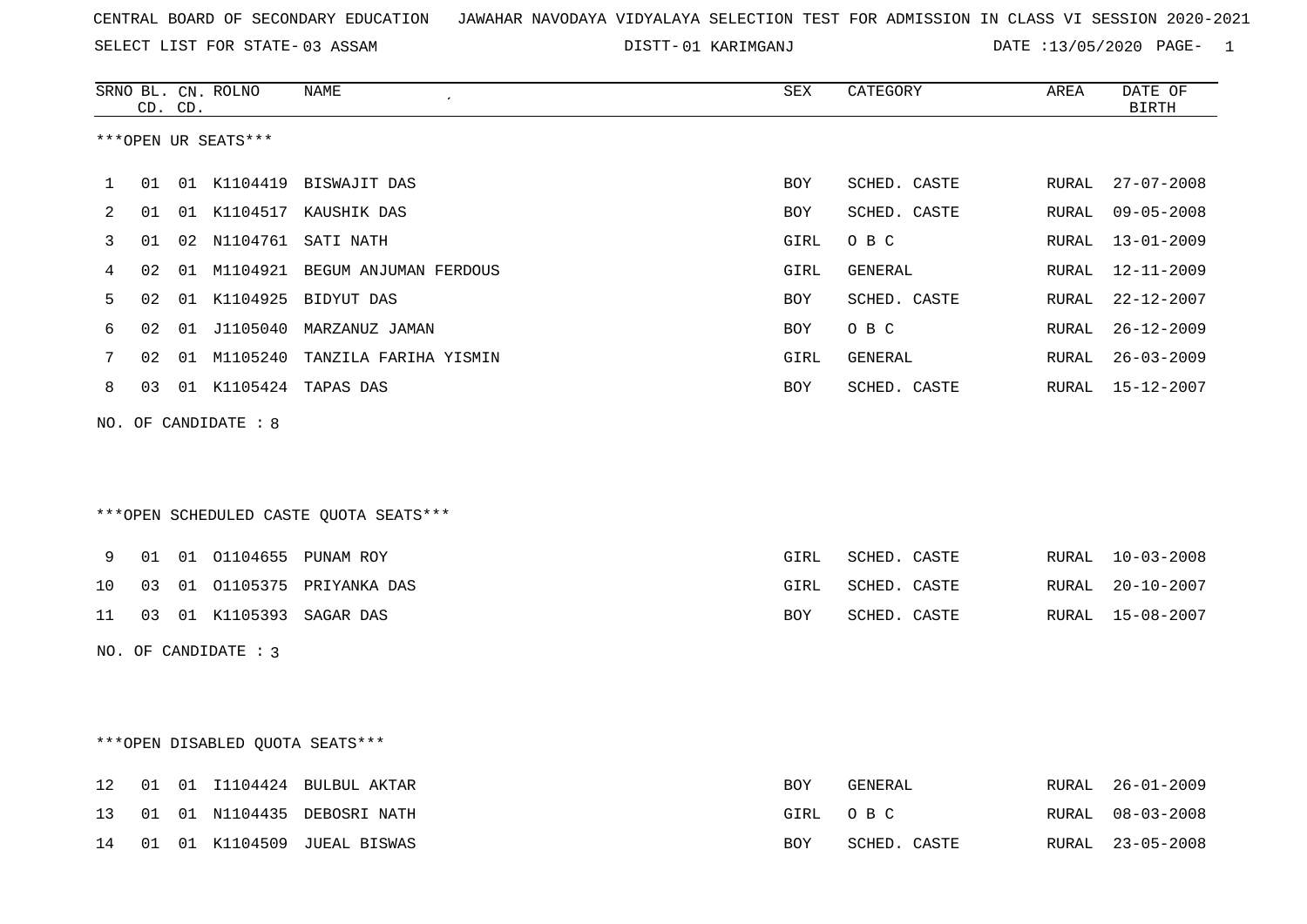SELECT LIST FOR STATE- DISTT- 03 ASSAM

01 KARIMGANJ DATE :13/05/2020 PAGE- 1

|    |    | CD. CD. | SRNO BL. CN. ROLNO   | NAME                                    | SEX        | CATEGORY     | AREA  | DATE OF<br><b>BIRTH</b> |
|----|----|---------|----------------------|-----------------------------------------|------------|--------------|-------|-------------------------|
|    |    |         | ***OPEN UR SEATS***  |                                         |            |              |       |                         |
| 1  | 01 |         |                      | 01 K1104419 BISWAJIT DAS                | BOY        | SCHED. CASTE | RURAL | $27 - 07 - 2008$        |
| 2  | 01 |         |                      | 01 K1104517 KAUSHIK DAS                 | <b>BOY</b> | SCHED. CASTE | RURAL | $09 - 05 - 2008$        |
| 3  | 01 |         |                      | 02 N1104761 SATI NATH                   | GIRL       | O B C        | RURAL | $13 - 01 - 2009$        |
| 4  | 02 |         |                      | 01 M1104921 BEGUM ANJUMAN FERDOUS       | GIRL       | GENERAL      | RURAL | $12 - 11 - 2009$        |
| 5  | 02 |         |                      | 01 K1104925 BIDYUT DAS                  | BOY        | SCHED. CASTE | RURAL | $22 - 12 - 2007$        |
| 6  | 02 |         |                      | 01 J1105040 MARZANUZ JAMAN              | <b>BOY</b> | O B C        | RURAL | $26 - 12 - 2009$        |
| 7  | 02 |         |                      | 01 M1105240 TANZILA FARIHA YISMIN       | GIRL       | GENERAL      | RURAL | $26 - 03 - 2009$        |
| 8  | 03 |         |                      | 01 K1105424 TAPAS DAS                   | BOY        | SCHED. CASTE |       | RURAL 15-12-2007        |
|    |    |         | NO. OF CANDIDATE : 8 |                                         |            |              |       |                         |
|    |    |         |                      |                                         |            |              |       |                         |
|    |    |         |                      | *** OPEN SCHEDULED CASTE QUOTA SEATS*** |            |              |       |                         |
| 9  | 01 |         |                      | 01 01104655 PUNAM ROY                   | GIRL       | SCHED. CASTE | RURAL | $10 - 03 - 2008$        |
| 10 | 03 |         |                      | 01 01105375 PRIYANKA DAS                | GIRL       | SCHED. CASTE | RURAL | $20 - 10 - 2007$        |
| 11 | 03 |         |                      | 01 K1105393 SAGAR DAS                   | BOY        | SCHED. CASTE | RURAL | 15-08-2007              |
|    |    |         |                      |                                         |            |              |       |                         |
|    |    |         | NO. OF CANDIDATE : 3 |                                         |            |              |       |                         |
|    |    |         |                      |                                         |            |              |       |                         |
|    |    |         |                      | ***OPEN DISABLED OUOTA SEATS***         |            |              |       |                         |
| 12 | 01 |         |                      | 01 I1104424 BULBUL AKTAR                | <b>BOY</b> | GENERAL      |       | RURAL 26-01-2009        |
| 13 | 01 |         |                      | 01 N1104435 DEBOSRI NATH                | GIRL       | O B C        | RURAL | $08 - 03 - 2008$        |

14 01 01 K1104509 JUEAL BISWAS BOY SCHED. CASTE RURAL 23-05-2008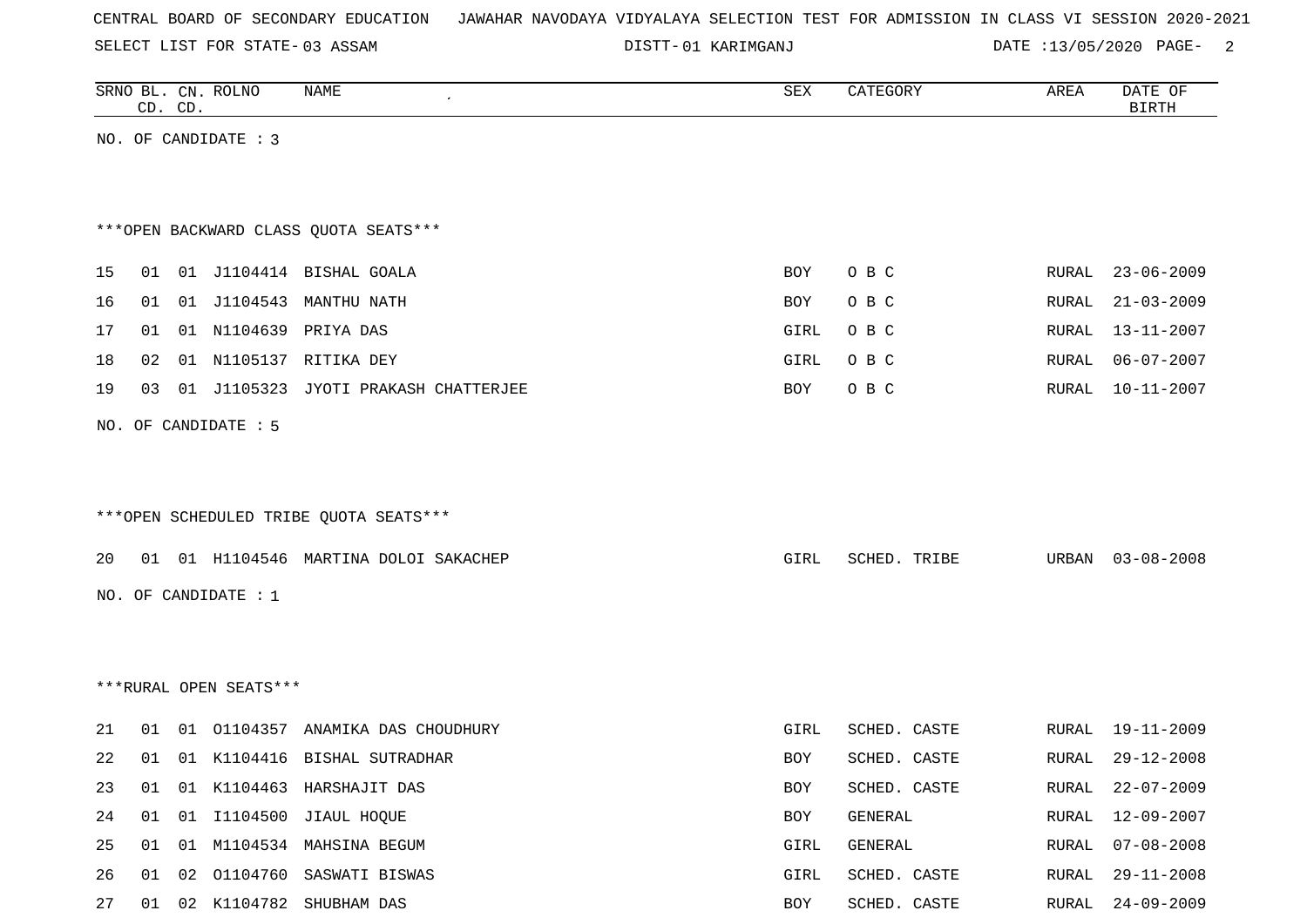SELECT LIST FOR STATE- DISTT- 03 ASSAM

01 KARIMGANJ DATE :13/05/2020 PAGE- 2

|    |    | CD. CD. | SRNO BL. CN. ROLNO     | NAME<br>$\pmb{\cdot}$                  | SEX  | CATEGORY     | AREA  | DATE OF<br><b>BIRTH</b> |
|----|----|---------|------------------------|----------------------------------------|------|--------------|-------|-------------------------|
|    |    |         | NO. OF CANDIDATE : 3   |                                        |      |              |       |                         |
|    |    |         |                        |                                        |      |              |       |                         |
|    |    |         |                        |                                        |      |              |       |                         |
|    |    |         |                        | *** OPEN BACKWARD CLASS QUOTA SEATS*** |      |              |       |                         |
| 15 |    |         |                        | 01 01 J1104414 BISHAL GOALA            | BOY  | O B C        |       | RURAL 23-06-2009        |
| 16 |    |         | 01  01  J1104543       | MANTHU NATH                            | BOY  | O B C        | RURAL | $21 - 03 - 2009$        |
| 17 | 01 |         |                        | 01 N1104639 PRIYA DAS                  | GIRL | O B C        | RURAL | 13-11-2007              |
| 18 | 02 |         |                        | 01 N1105137 RITIKA DEY                 | GIRL | O B C        |       | RURAL 06-07-2007        |
| 19 | 03 |         |                        | 01 J1105323 JYOTI PRAKASH CHATTERJEE   | BOY  | O B C        | RURAL | $10 - 11 - 2007$        |
|    |    |         | NO. OF CANDIDATE : 5   |                                        |      |              |       |                         |
|    |    |         |                        |                                        |      |              |       |                         |
|    |    |         |                        |                                        |      |              |       |                         |
|    |    |         |                        | ***OPEN SCHEDULED TRIBE QUOTA SEATS*** |      |              |       |                         |
|    |    |         |                        |                                        |      |              |       |                         |
| 20 |    |         |                        | 01 01 H1104546 MARTINA DOLOI SAKACHEP  | GIRL | SCHED. TRIBE |       | URBAN 03-08-2008        |
|    |    |         | NO. OF CANDIDATE : $1$ |                                        |      |              |       |                         |
|    |    |         |                        |                                        |      |              |       |                         |
|    |    |         |                        |                                        |      |              |       |                         |
|    |    |         | ***RURAL OPEN SEATS*** |                                        |      |              |       |                         |
| 21 | 01 |         |                        | 01 01104357 ANAMIKA DAS CHOUDHURY      | GIRL | SCHED. CASTE |       | RURAL 19-11-2009        |
| 22 | 01 |         |                        | 01 K1104416 BISHAL SUTRADHAR           | BOY  | SCHED. CASTE | RURAL | $29 - 12 - 2008$        |
| 23 |    |         |                        | 01 01 K1104463 HARSHAJIT DAS           | BOY  | SCHED. CASTE |       | RURAL 22-07-2009        |
| 24 |    |         |                        | 01 01 I1104500 JIAUL HOQUE             | BOY  | GENERAL      | RURAL | 12-09-2007              |
| 25 | 01 |         |                        | 01 M1104534 MAHSINA BEGUM              | GIRL | GENERAL      | RURAL | $07 - 08 - 2008$        |
| 26 |    |         |                        | 01 02 01104760 SASWATI BISWAS          | GIRL | SCHED. CASTE | RURAL | 29-11-2008              |
| 27 | 01 |         |                        | 02 K1104782 SHUBHAM DAS                | BOY  | SCHED. CASTE | RURAL | $24 - 09 - 2009$        |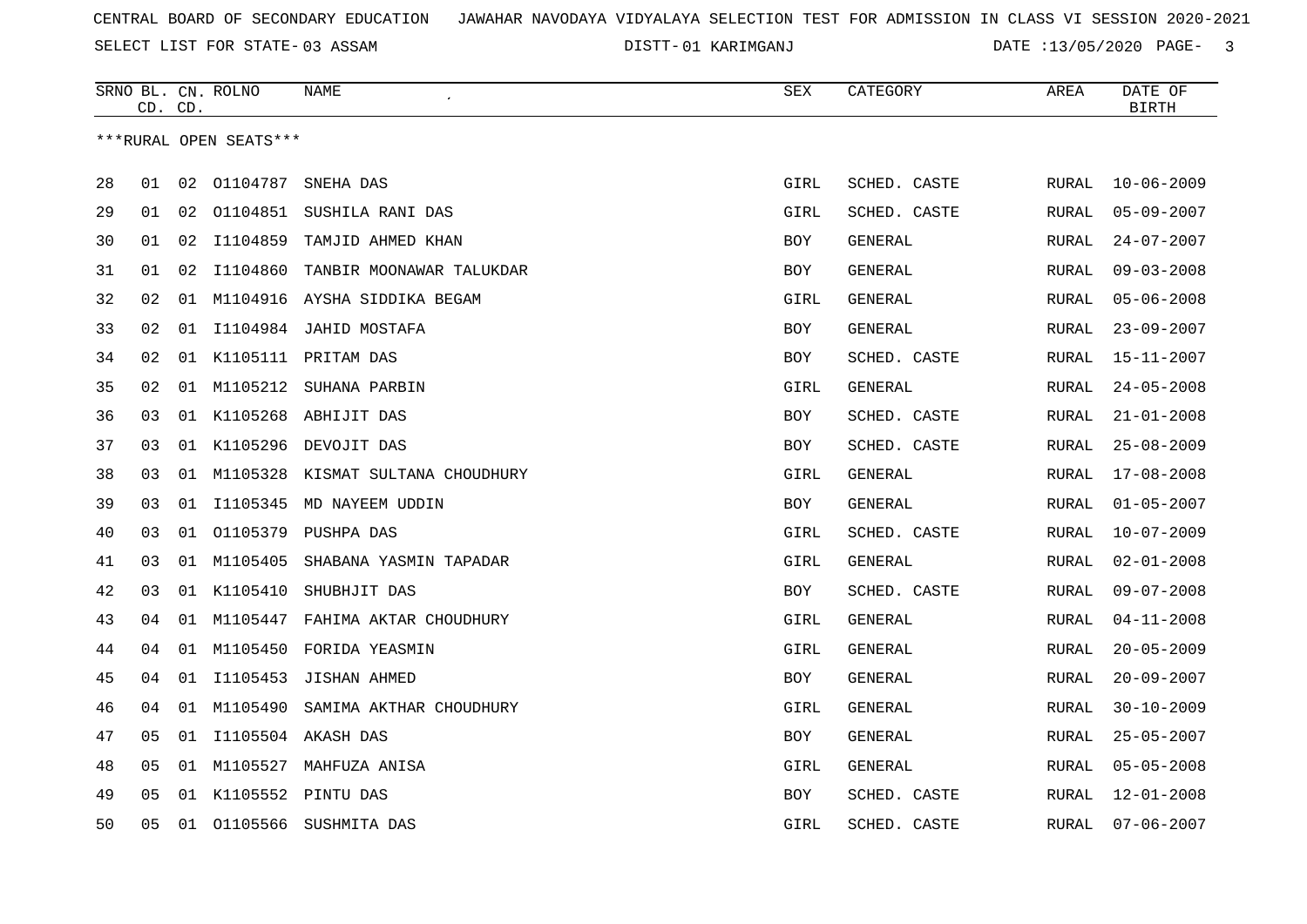SELECT LIST FOR STATE- DISTT- 03 ASSAM

01 KARIMGANJ DATE :13/05/2020 PAGE- 3

|    | CD. CD. |    | SRNO BL. CN. ROLNO     | NAME                                 | SEX  | CATEGORY     | AREA         | DATE OF<br><b>BIRTH</b> |
|----|---------|----|------------------------|--------------------------------------|------|--------------|--------------|-------------------------|
|    |         |    | ***RURAL OPEN SEATS*** |                                      |      |              |              |                         |
| 28 | 01      |    | 02 01104787            | SNEHA DAS                            | GIRL | SCHED. CASTE | RURAL        | $10 - 06 - 2009$        |
| 29 | 01      | 02 |                        | 01104851 SUSHILA RANI DAS            | GIRL | SCHED. CASTE | RURAL        | $05 - 09 - 2007$        |
| 30 | 01      | 02 | I1104859               | TAMJID AHMED KHAN                    | BOY  | GENERAL      | RURAL        | $24 - 07 - 2007$        |
| 31 | 01      | 02 | I1104860               | TANBIR MOONAWAR TALUKDAR             | BOY  | GENERAL      | RURAL        | $09 - 03 - 2008$        |
| 32 | 02      | 01 |                        | M1104916 AYSHA SIDDIKA BEGAM         | GIRL | GENERAL      | RURAL        | $05 - 06 - 2008$        |
| 33 | 02      | 01 |                        | I1104984 JAHID MOSTAFA               | BOY  | GENERAL      | RURAL        | $23 - 09 - 2007$        |
| 34 | 02      |    |                        | 01 K1105111 PRITAM DAS               | BOY  | SCHED. CASTE | RURAL        | $15 - 11 - 2007$        |
| 35 | 02      | 01 | M1105212               | SUHANA PARBIN                        | GIRL | GENERAL      | RURAL        | $24 - 05 - 2008$        |
| 36 | 03      |    |                        | 01 K1105268 ABHIJIT DAS              | BOY  | SCHED. CASTE | RURAL        | $21 - 01 - 2008$        |
| 37 | 03      |    |                        | 01 K1105296 DEVOJIT DAS              | BOY  | SCHED. CASTE | RURAL        | $25 - 08 - 2009$        |
| 38 | 03      |    |                        | 01 M1105328 KISMAT SULTANA CHOUDHURY | GIRL | GENERAL      | RURAL        | $17 - 08 - 2008$        |
| 39 | 03      | 01 | I1105345               | MD NAYEEM UDDIN                      | BOY  | GENERAL      | <b>RURAL</b> | $01 - 05 - 2007$        |
| 40 | 03      | 01 |                        | 01105379 PUSHPA DAS                  | GIRL | SCHED. CASTE | RURAL        | $10 - 07 - 2009$        |
| 41 | 03      | 01 | M1105405               | SHABANA YASMIN TAPADAR               | GIRL | GENERAL      | RURAL        | $02 - 01 - 2008$        |
| 42 | 03      |    | 01 K1105410            | SHUBHJIT DAS                         | BOY  | SCHED. CASTE | RURAL        | $09 - 07 - 2008$        |
| 43 | 04      | 01 |                        | M1105447 FAHIMA AKTAR CHOUDHURY      | GIRL | GENERAL      | RURAL        | $04 - 11 - 2008$        |
| 44 | 04      | 01 |                        | M1105450 FORIDA YEASMIN              | GIRL | GENERAL      | RURAL        | $20 - 05 - 2009$        |
| 45 | 04      |    |                        | 01 I1105453 JISHAN AHMED             | BOY  | GENERAL      | <b>RURAL</b> | $20 - 09 - 2007$        |
| 46 | 04      |    |                        | 01 M1105490 SAMIMA AKTHAR CHOUDHURY  | GIRL | GENERAL      | RURAL        | $30 - 10 - 2009$        |
| 47 | 05      |    |                        | 01 I1105504 AKASH DAS                | BOY  | GENERAL      | RURAL        | $25 - 05 - 2007$        |
| 48 | 05      | 01 |                        | M1105527 MAHFUZA ANISA               | GIRL | GENERAL      | RURAL        | $05 - 05 - 2008$        |
| 49 | 05      | 01 |                        | K1105552 PINTU DAS                   | BOY  | SCHED. CASTE | RURAL        | $12 - 01 - 2008$        |
| 50 | 05      | 01 | 01105566               | SUSHMITA DAS                         | GIRL | SCHED. CASTE | RURAL        | $07 - 06 - 2007$        |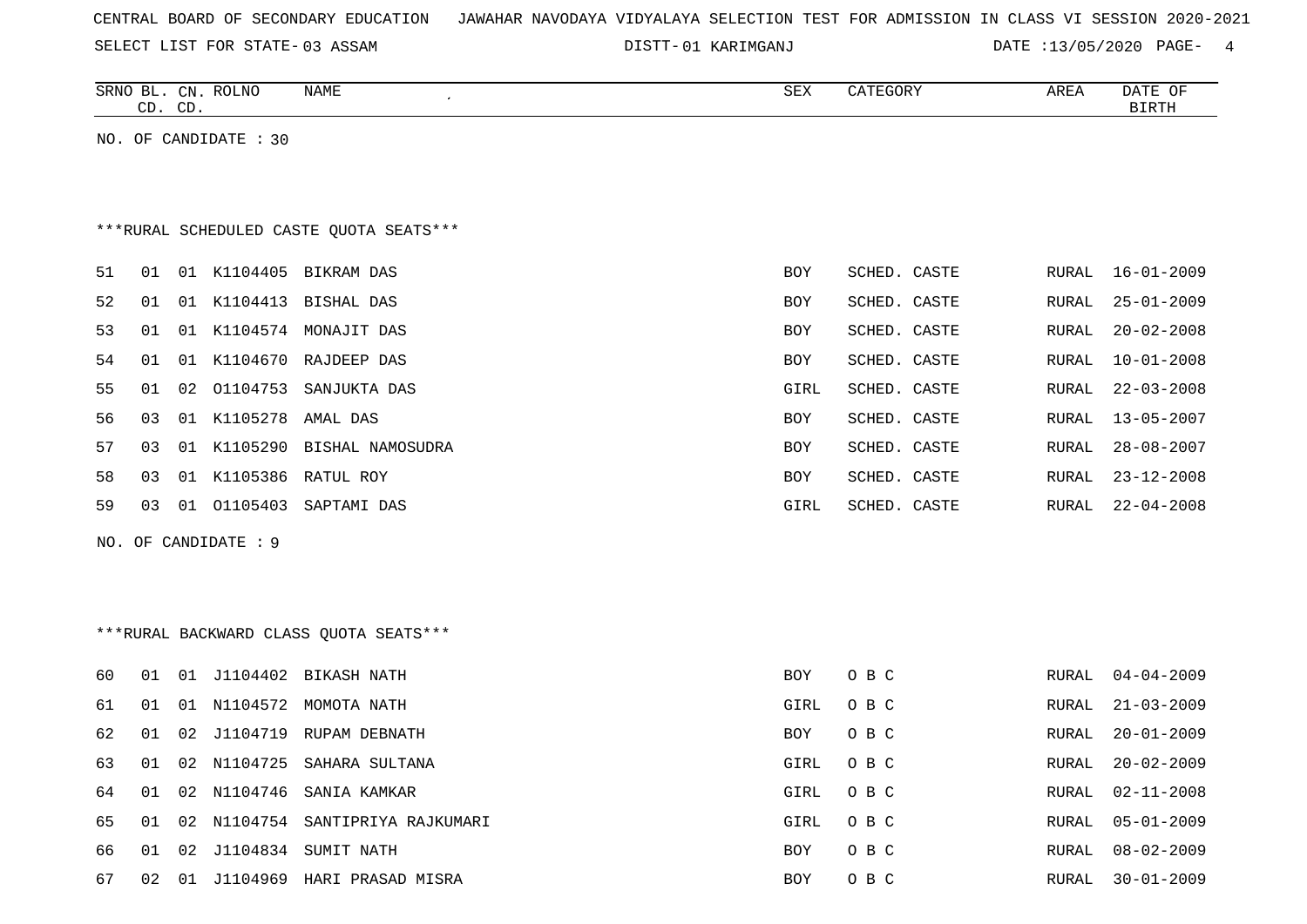SELECT LIST FOR STATE- DISTT- 03 ASSAM

01 KARIMGANJ DATE :13/05/2020 PAGE- 4

|    |    | CD. CD. | SRNO BL. CN. ROLNO    | NAME                                     | SEX        | CATEGORY     | AREA         | DATE OF<br><b>BIRTH</b> |
|----|----|---------|-----------------------|------------------------------------------|------------|--------------|--------------|-------------------------|
|    |    |         | NO. OF CANDIDATE : 30 |                                          |            |              |              |                         |
|    |    |         |                       |                                          |            |              |              |                         |
|    |    |         |                       |                                          |            |              |              |                         |
|    |    |         |                       | *** RURAL SCHEDULED CASTE QUOTA SEATS*** |            |              |              |                         |
| 51 | 01 |         |                       | 01 K1104405 BIKRAM DAS                   | <b>BOY</b> | SCHED. CASTE | RURAL        | $16 - 01 - 2009$        |
| 52 | 01 | 01      |                       | K1104413 BISHAL DAS                      | <b>BOY</b> | SCHED. CASTE | RURAL        | $25 - 01 - 2009$        |
| 53 | 01 | 01      | K1104574              | MONAJIT DAS                              | BOY        | SCHED. CASTE | RURAL        | $20 - 02 - 2008$        |
| 54 | 01 |         |                       | 01 K1104670 RAJDEEP DAS                  | <b>BOY</b> | SCHED. CASTE | RURAL        | $10 - 01 - 2008$        |
| 55 | 01 | 02      | 01104753              | SANJUKTA DAS                             | GIRL       | SCHED. CASTE | RURAL        | $22 - 03 - 2008$        |
| 56 | 03 |         | 01 K1105278           | AMAL DAS                                 | BOY        | SCHED. CASTE | RURAL        | $13 - 05 - 2007$        |
| 57 | 03 | 01      |                       | K1105290 BISHAL NAMOSUDRA                | BOY        | SCHED. CASTE | RURAL        | $28 - 08 - 2007$        |
| 58 | 03 |         |                       | 01 K1105386 RATUL ROY                    | BOY        | SCHED. CASTE | <b>RURAL</b> | $23 - 12 - 2008$        |
| 59 | 03 |         |                       | 01  01105403  SAPTAMI  DAS               | GIRL       | SCHED. CASTE | RURAL        | $22 - 04 - 2008$        |
|    |    |         | NO. OF CANDIDATE : 9  |                                          |            |              |              |                         |
|    |    |         |                       |                                          |            |              |              |                         |
|    |    |         |                       |                                          |            |              |              |                         |
|    |    |         |                       | ***RURAL BACKWARD CLASS OUOTA SEATS***   |            |              |              |                         |
| 60 | 01 | 01      |                       | J1104402 BIKASH NATH                     | <b>BOY</b> | O B C        | RURAL        | $04 - 04 - 2009$        |
| 61 | 01 | 01      | N1104572              | MOMOTA NATH                              | GIRL       | O B C        | RURAL        | $21 - 03 - 2009$        |
| 62 | 01 | 02      | J1104719              | RUPAM DEBNATH                            | BOY        | O B C        | RURAL        | $20 - 01 - 2009$        |
| 63 | 01 | 02      | N1104725              | SAHARA SULTANA                           | GIRL       | O B C        | RURAL        | $20 - 02 - 2009$        |
| 64 | 01 | 02      | N1104746              | SANIA KAMKAR                             | GIRL       | O B C        | RURAL        | $02 - 11 - 2008$        |
| 65 | 01 | 02      | N1104754              | SANTIPRIYA RAJKUMARI                     | GIRL       | O B C        | RURAL        | $05 - 01 - 2009$        |
| 66 | 01 | 02      |                       | J1104834 SUMIT NATH                      | <b>BOY</b> | O B C        | <b>RURAL</b> | $08 - 02 - 2009$        |
| 67 | 02 |         |                       | 01 J1104969 HARI PRASAD MISRA            | <b>BOY</b> | O B C        | RURAL        | $30 - 01 - 2009$        |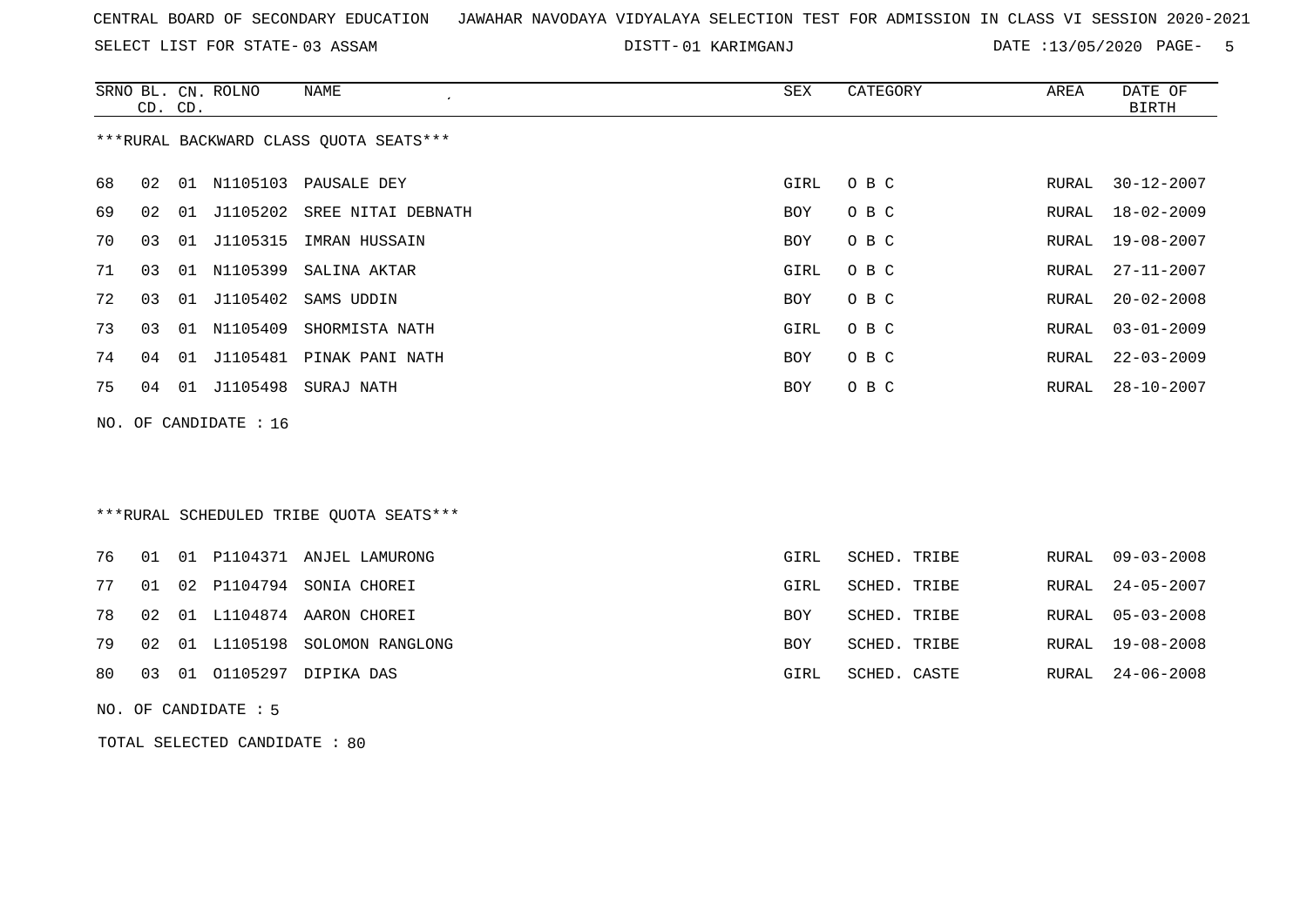SELECT LIST FOR STATE- DISTT- 03 ASSAM

01 KARIMGANJ DATE :13/05/2020 PAGE- 5

|    |    | CD. CD. | SRNO BL. CN. ROLNO    | NAME                                    | SEX        | CATEGORY     | <b>AREA</b>  | DATE OF<br><b>BIRTH</b> |
|----|----|---------|-----------------------|-----------------------------------------|------------|--------------|--------------|-------------------------|
|    |    |         |                       | ***RURAL BACKWARD CLASS OUOTA SEATS***  |            |              |              |                         |
| 68 | 02 |         | 01 N1105103           | PAUSALE DEY                             | GIRL       | O B C        | RURAL        | $30 - 12 - 2007$        |
| 69 | 02 | 01      | J1105202              | SREE NITAI DEBNATH                      | <b>BOY</b> | O B C        | <b>RURAL</b> | $18 - 02 - 2009$        |
| 70 | 03 | 01      | J1105315              | IMRAN HUSSAIN                           | <b>BOY</b> | O B C        | <b>RURAL</b> | $19 - 08 - 2007$        |
| 71 | 03 | 01      | N1105399              | SALINA AKTAR                            | GIRL       | O B C        | RURAL        | $27 - 11 - 2007$        |
| 72 | 03 | 01      | J1105402              | SAMS UDDIN                              | BOY        | O B C        | RURAL        | $20 - 02 - 2008$        |
| 73 | 03 |         | 01 N1105409           | SHORMISTA NATH                          | GIRL       | O B C        | RURAL        | $03 - 01 - 2009$        |
| 74 | 04 | 01      |                       | J1105481 PINAK PANI NATH                | <b>BOY</b> | O B C        | RURAL        | $22 - 03 - 2009$        |
| 75 | 04 |         | 01 J1105498           | SURAJ NATH                              | <b>BOY</b> | O B C        | <b>RURAL</b> | $28 - 10 - 2007$        |
|    |    |         | NO. OF CANDIDATE : 16 |                                         |            |              |              |                         |
|    |    |         |                       |                                         |            |              |              |                         |
|    |    |         |                       |                                         |            |              |              |                         |
|    |    |         |                       | ***RURAL SCHEDULED TRIBE QUOTA SEATS*** |            |              |              |                         |
|    |    |         |                       |                                         |            |              |              |                         |
| 76 | 01 | 01      |                       | P1104371 ANJEL LAMURONG                 | GIRL       | SCHED. TRIBE | RURAL        | $09 - 03 - 2008$        |
| 77 | 01 |         |                       | 02 P1104794 SONIA CHOREI                | GIRL       | SCHED. TRIBE | RURAL        | $24 - 05 - 2007$        |
| 78 | 02 |         |                       | 01 L1104874 AARON CHOREI                | <b>BOY</b> | SCHED. TRIBE | RURAL        | $05 - 03 - 2008$        |
| 79 | 02 |         | 01 L1105198           | SOLOMON RANGLONG                        | <b>BOY</b> | SCHED. TRIBE | RURAL        | $19 - 08 - 2008$        |
| 80 | 03 | 01      | 01105297              | DIPIKA DAS                              | GIRL       | SCHED. CASTE | RURAL        | $24 - 06 - 2008$        |

NO. OF CANDIDATE : 5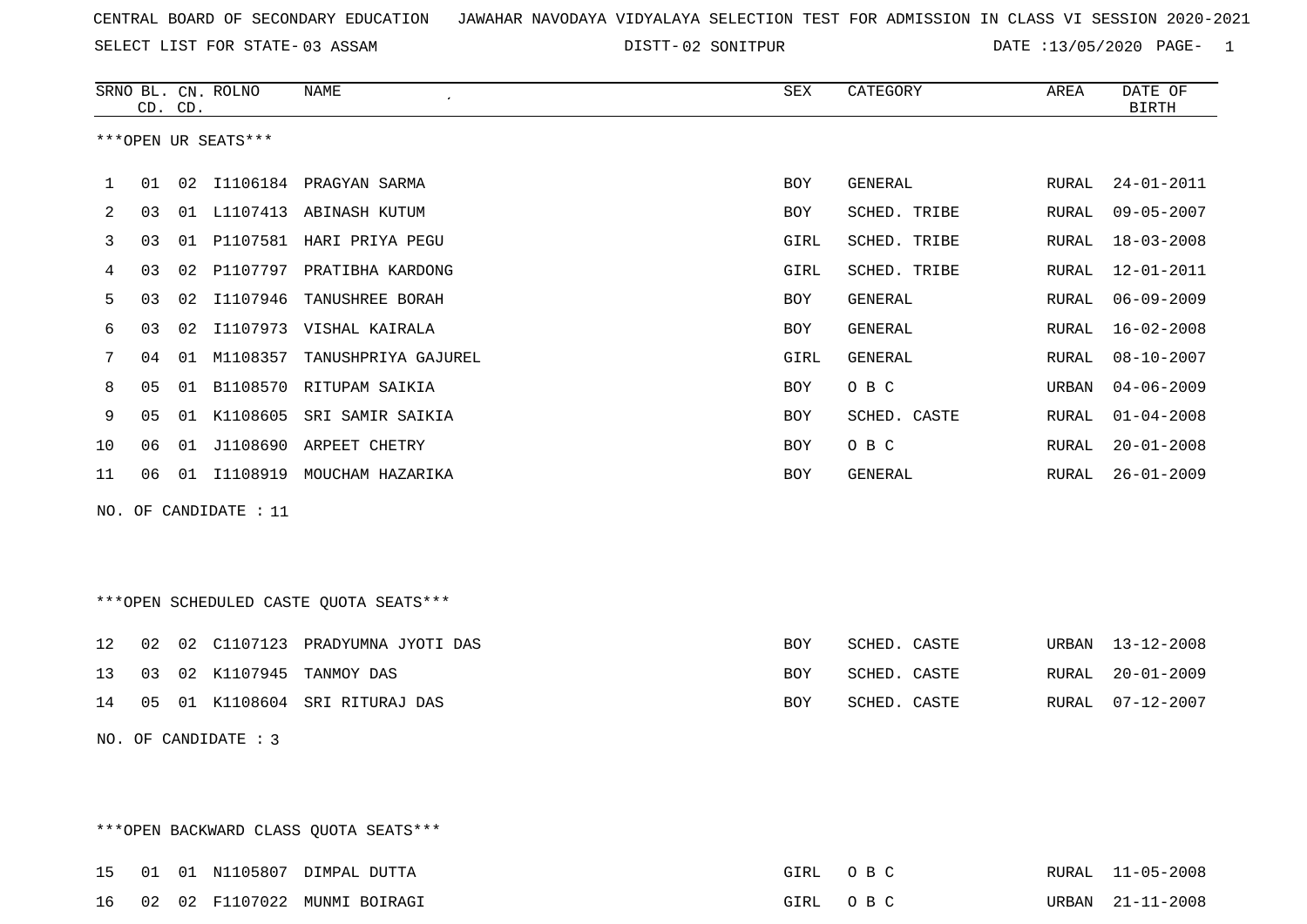SELECT LIST FOR STATE- DISTT- 03 ASSAM

02 SONITPUR DATE :13/05/2020 PAGE- 1

|    |    | CD. CD. | SRNO BL. CN. ROLNO    | NAME<br>$\pmb{\cdot}$                  | SEX  | CATEGORY     | AREA  | DATE OF<br>BIRTH |
|----|----|---------|-----------------------|----------------------------------------|------|--------------|-------|------------------|
|    |    |         | ***OPEN UR SEATS***   |                                        |      |              |       |                  |
| 1  | 01 |         |                       | 02 I1106184 PRAGYAN SARMA              | BOY  | GENERAL      | RURAL | $24 - 01 - 2011$ |
| 2  | 03 |         |                       | 01 L1107413 ABINASH KUTUM              | BOY  | SCHED. TRIBE | RURAL | $09 - 05 - 2007$ |
| 3  | 03 |         |                       | 01 P1107581 HARI PRIYA PEGU            | GIRL | SCHED. TRIBE | RURAL | $18 - 03 - 2008$ |
| 4  | 03 | 02      |                       | P1107797 PRATIBHA KARDONG              | GIRL | SCHED. TRIBE | RURAL | $12 - 01 - 2011$ |
| 5  | 03 |         |                       | 02 I1107946 TANUSHREE BORAH            | BOY  | GENERAL      | RURAL | $06 - 09 - 2009$ |
| 6  | 03 | 02      |                       | I1107973 VISHAL KAIRALA                | BOY  | GENERAL      | RURAL | $16 - 02 - 2008$ |
| 7  | 04 |         |                       | 01 M1108357 TANUSHPRIYA GAJUREL        | GIRL | GENERAL      | RURAL | $08 - 10 - 2007$ |
| 8  | 05 |         |                       | 01 B1108570 RITUPAM SAIKIA             | BOY  | O B C        | URBAN | $04 - 06 - 2009$ |
| 9  | 05 |         |                       | 01 K1108605 SRI SAMIR SAIKIA           | BOY  | SCHED. CASTE | RURAL | $01 - 04 - 2008$ |
| 10 | 06 |         |                       | 01 J1108690 ARPEET CHETRY              | BOY  | O B C        | RURAL | $20 - 01 - 2008$ |
| 11 | 06 |         |                       | 01 I1108919 MOUCHAM HAZARIKA           | BOY  | GENERAL      | RURAL | $26 - 01 - 2009$ |
|    |    |         | NO. OF CANDIDATE : 11 |                                        |      |              |       |                  |
|    |    |         |                       |                                        |      |              |       |                  |
|    |    |         |                       |                                        |      |              |       |                  |
|    |    |         |                       | ***OPEN SCHEDULED CASTE QUOTA SEATS*** |      |              |       |                  |
| 12 | 02 |         |                       | 02 C1107123 PRADYUMNA JYOTI DAS        | BOY  | SCHED. CASTE | URBAN | $13 - 12 - 2008$ |
| 13 | 03 |         |                       | 02 K1107945 TANMOY DAS                 | BOY  | SCHED. CASTE | RURAL | $20 - 01 - 2009$ |
| 14 | 05 |         |                       | 01 K1108604 SRI RITURAJ DAS            | BOY  | SCHED. CASTE | RURAL | $07 - 12 - 2007$ |
|    |    |         | NO. OF CANDIDATE : 3  |                                        |      |              |       |                  |
|    |    |         |                       |                                        |      |              |       |                  |
|    |    |         |                       |                                        |      |              |       |                  |

\*\*\*OPEN BACKWARD CLASS QUOTA SEATS\*\*\*

|  |  | 15 01 01 N1105807 DIMPAL DUTTA  | GIRL OBC | RURAL 11-05-2008 |
|--|--|---------------------------------|----------|------------------|
|  |  | 16 02 02 F1107022 MUNMI BOIRAGI | GIRL OBC | URBAN 21-11-2008 |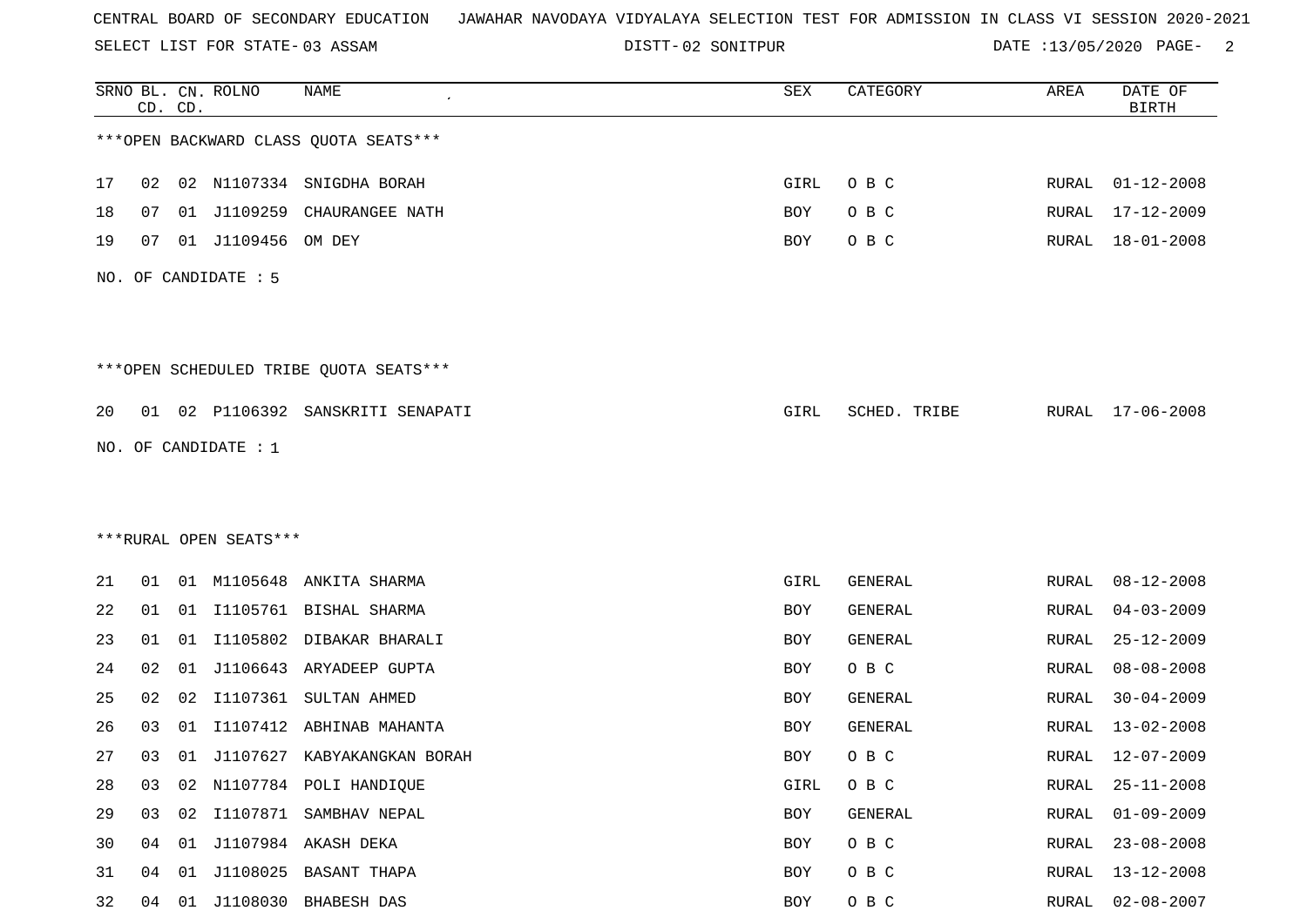SELECT LIST FOR STATE- DISTT- 03 ASSAM

02 SONITPUR DATE :13/05/2020 PAGE- 2

|    | CD. CD. |    | SRNO BL. CN. ROLNO     | NAME                                    | SEX  | CATEGORY       | AREA         | DATE OF<br><b>BIRTH</b> |
|----|---------|----|------------------------|-----------------------------------------|------|----------------|--------------|-------------------------|
|    |         |    |                        | *** OPEN BACKWARD CLASS QUOTA SEATS***  |      |                |              |                         |
| 17 | 02      |    |                        | 02 N1107334 SNIGDHA BORAH               | GIRL | O B C          | RURAL        | $01 - 12 - 2008$        |
| 18 | 07      | 01 | J1109259               | CHAURANGEE NATH                         | BOY  | O B C          | RURAL        | $17 - 12 - 2009$        |
| 19 | 07      |    | 01 J1109456            | OM DEY                                  | BOY  | O B C          | RURAL        | $18 - 01 - 2008$        |
|    |         |    | NO. OF CANDIDATE : 5   |                                         |      |                |              |                         |
|    |         |    |                        | *** OPEN SCHEDULED TRIBE QUOTA SEATS*** |      |                |              |                         |
| 20 | 01      |    |                        | 02 P1106392 SANSKRITI SENAPATI          | GIRL | SCHED. TRIBE   | RURAL        | 17-06-2008              |
|    |         |    | NO. OF CANDIDATE : 1   |                                         |      |                |              |                         |
|    |         |    |                        |                                         |      |                |              |                         |
|    |         |    |                        |                                         |      |                |              |                         |
|    |         |    | ***RURAL OPEN SEATS*** |                                         |      |                |              |                         |
| 21 | 01      |    |                        | 01 M1105648 ANKITA SHARMA               | GIRL | GENERAL        | RURAL        | $08 - 12 - 2008$        |
| 22 | 01      |    |                        | 01 I1105761 BISHAL SHARMA               | BOY  | GENERAL        | RURAL        | $04 - 03 - 2009$        |
| 23 | 01      | 01 |                        | I1105802 DIBAKAR BHARALI                | BOY  | GENERAL        | RURAL        | $25 - 12 - 2009$        |
| 24 | 02      | 01 |                        | J1106643 ARYADEEP GUPTA                 | BOY  | O B C          | RURAL        | $08 - 08 - 2008$        |
| 25 | 02      | 02 |                        | I1107361 SULTAN AHMED                   | BOY  | <b>GENERAL</b> | RURAL        | $30 - 04 - 2009$        |
| 26 | 03      | 01 | I1107412               | ABHINAB MAHANTA                         | BOY  | GENERAL        | RURAL        | $13 - 02 - 2008$        |
| 27 | 03      | 01 |                        | J1107627 KABYAKANGKAN BORAH             | BOY  | O B C          | RURAL        | 12-07-2009              |
| 28 | 03      | 02 |                        | N1107784 POLI HANDIQUE                  | GIRL | O B C          | <b>RURAL</b> | $25 - 11 - 2008$        |
| 29 | 03      | 02 |                        | I1107871 SAMBHAV NEPAL                  | BOY  | GENERAL        | <b>RURAL</b> | $01 - 09 - 2009$        |
| 30 | 04      | 01 |                        | J1107984 AKASH DEKA                     | BOY  | $O$ B $C$      | RURAL        | $23 - 08 - 2008$        |
| 31 | 04      | 01 |                        | J1108025 BASANT THAPA                   | BOY  | $O$ B $C$      | <b>RURAL</b> | $13 - 12 - 2008$        |
| 32 | 04      | 01 |                        | J1108030 BHABESH DAS                    | BOY  | $O$ B $C$      | <b>RURAL</b> | $02 - 08 - 2007$        |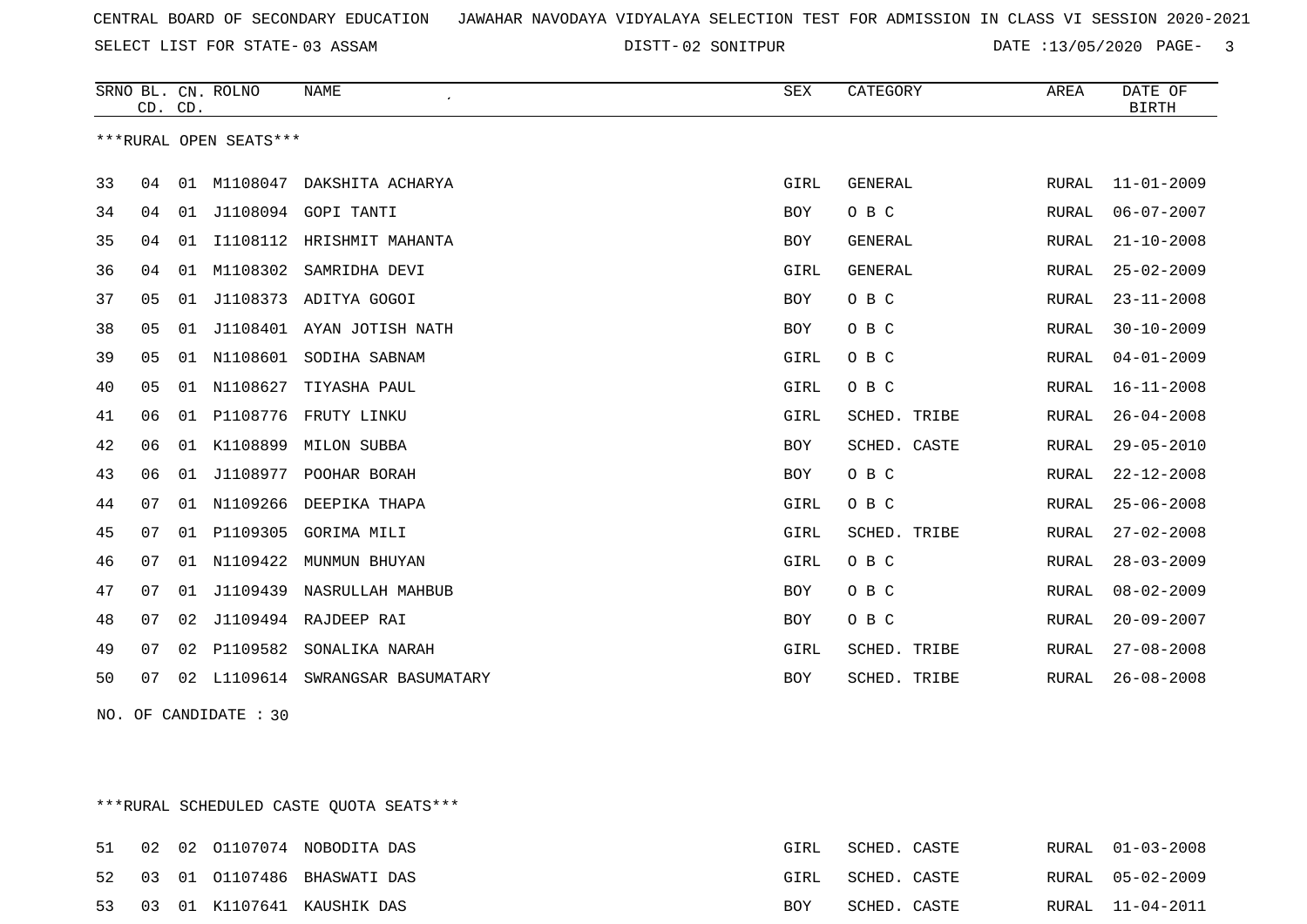SELECT LIST FOR STATE- DISTT- 03 ASSAM

02 SONITPUR DATE :13/05/2020 PAGE- 3

|    |    | CD. CD. | SRNO BL. CN. ROLNO     | <b>NAME</b>               | <b>SEX</b> | CATEGORY       | AREA  | DATE OF<br><b>BIRTH</b> |
|----|----|---------|------------------------|---------------------------|------------|----------------|-------|-------------------------|
|    |    |         | ***RURAL OPEN SEATS*** |                           |            |                |       |                         |
| 33 | 04 | 01      | M1108047               | DAKSHITA ACHARYA          | GIRL       | <b>GENERAL</b> | RURAL | $11 - 01 - 2009$        |
| 34 | 04 | 01      | J1108094               | GOPI TANTI                | BOY        | O B C          | RURAL | $06 - 07 - 2007$        |
| 35 | 04 | 01      | I1108112               | HRISHMIT MAHANTA          | <b>BOY</b> | <b>GENERAL</b> | RURAL | $21 - 10 - 2008$        |
| 36 | 04 | 01      | M1108302               | SAMRIDHA DEVI             | GIRL       | <b>GENERAL</b> | RURAL | $25 - 02 - 2009$        |
| 37 | 05 | 01      | J1108373               | ADITYA GOGOI              | BOY        | O B C          | RURAL | $23 - 11 - 2008$        |
| 38 | 05 | 01      |                        | J1108401 AYAN JOTISH NATH | BOY        | O B C          | RURAL | $30 - 10 - 2009$        |
| 39 | 05 |         | 01 N1108601            | SODIHA SABNAM             | GIRL       | O B C          | RURAL | $04 - 01 - 2009$        |
| 40 | 05 |         | 01 N1108627            | TIYASHA PAUL              | GIRL       | O B C          | RURAL | $16 - 11 - 2008$        |
| 41 | 06 | 01      | P1108776               | FRUTY LINKU               | GIRL       | SCHED. TRIBE   | RURAL | $26 - 04 - 2008$        |
| 42 | 06 | 01      | K1108899               | <b>MILON SUBBA</b>        | BOY        | SCHED. CASTE   | RURAL | $29 - 05 - 2010$        |
| 43 | 06 | 01      |                        | J1108977 POOHAR BORAH     | BOY        | O B C          | RURAL | $22 - 12 - 2008$        |
| 44 | 07 |         |                        | 01 N1109266 DEEPIKA THAPA | GIRL       | O B C          | RURAL | $25 - 06 - 2008$        |
| 45 | 07 |         | 01 P1109305            | GORIMA MILI               | GIRL       | SCHED. TRIBE   | RURAL | $27 - 02 - 2008$        |
| 46 | 07 | 01      | N1109422               | MUNMUN BHUYAN             | GIRL       | O B C          | RURAL | $28 - 03 - 2009$        |
| 47 | 07 | 01      | J1109439               | NASRULLAH MAHBUB          | BOY        | O B C          | RURAL | $08 - 02 - 2009$        |
| 48 | 07 | 02      |                        | J1109494 RAJDEEP RAI      | BOY        | O B C          | RURAL | $20 - 09 - 2007$        |
| 49 | 07 | 02      | P1109582               | SONALIKA NARAH            | GIRL       | SCHED. TRIBE   | RURAL | $27 - 08 - 2008$        |
| 50 | 07 | 02      | L1109614               | SWRANGSAR BASUMATARY      | BOY        | SCHED. TRIBE   | RURAL | $26 - 08 - 2008$        |

NO. OF CANDIDATE : 30

\*\*\*RURAL SCHEDULED CASTE QUOTA SEATS\*\*\*

|  |  | 51 02 02 01107074 NOBODITADAS      | GIRL | SCHED. CASTE |  | RURAL 01-03-2008 |
|--|--|------------------------------------|------|--------------|--|------------------|
|  |  | 52 03 01 01107486 BHASWATI DAS     | GIRL | SCHED. CASTE |  | RURAL 05-02-2009 |
|  |  | 53   03  01  K1107641  KAUSHIK DAS | BOY  | SCHED. CASTE |  | RURAL 11-04-2011 |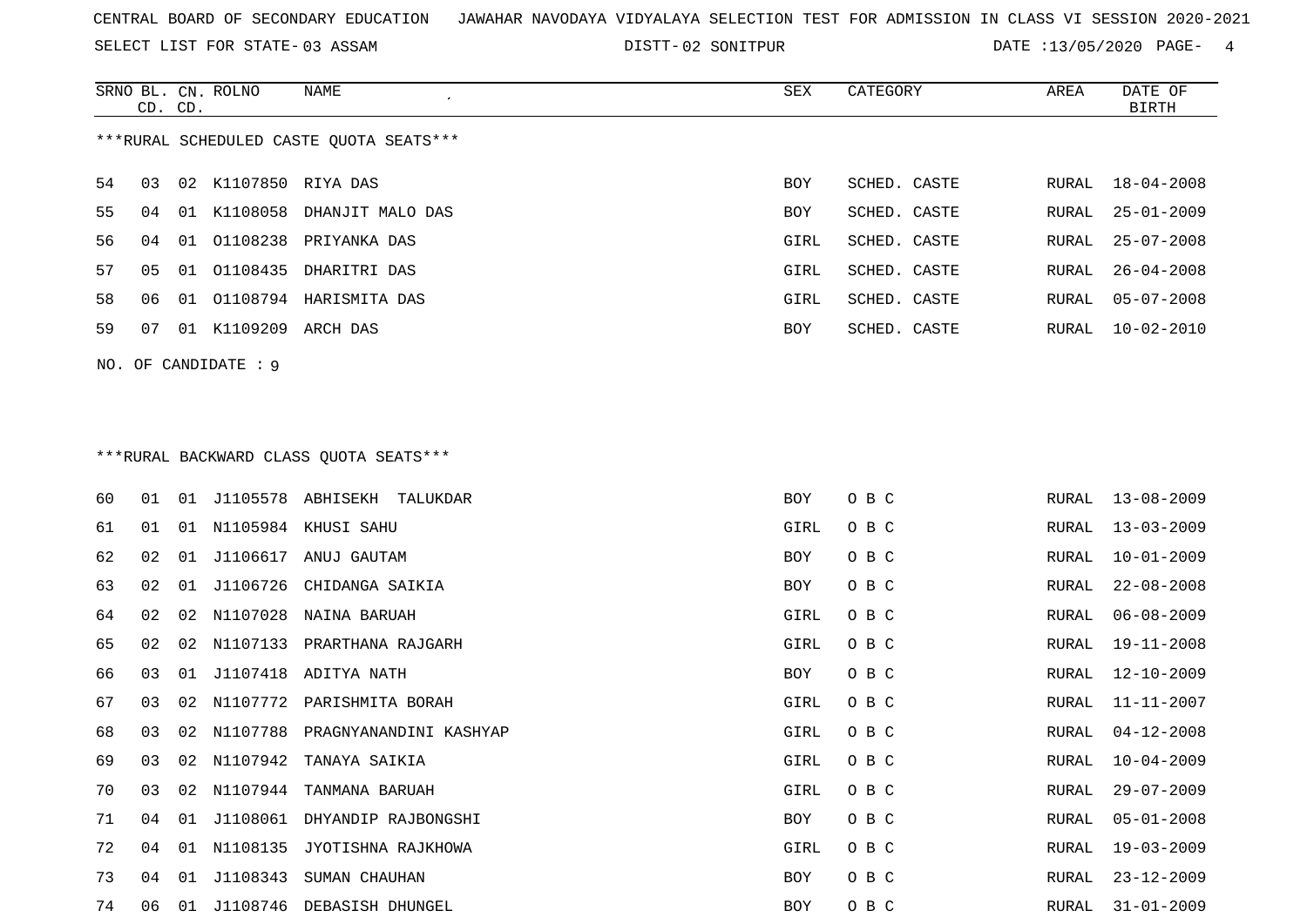SELECT LIST FOR STATE- DISTT- 03 ASSAM

DISTT-02 SONITPUR DATE :13/05/2020 PAGE- 4

|    | CD. CD.                                 |  | SRNO BL. CN. ROLNO   | NAME<br>$\epsilon$                                                                                    | SEX  | CATEGORY     | AREA  | DATE OF<br>BIRTH |  |  |  |
|----|-----------------------------------------|--|----------------------|-------------------------------------------------------------------------------------------------------|------|--------------|-------|------------------|--|--|--|
|    | ***RURAL SCHEDULED CASTE QUOTA SEATS*** |  |                      |                                                                                                       |      |              |       |                  |  |  |  |
| 54 | 03                                      |  | 02 K1107850 RIYA DAS |                                                                                                       | BOY  | SCHED. CASTE | RURAL | 18-04-2008       |  |  |  |
| 55 | 04                                      |  |                      | 01 K1108058 DHANJIT MALO DAS                                                                          | BOY  | SCHED. CASTE |       | RURAL 25-01-2009 |  |  |  |
| 56 | 04                                      |  |                      | 01 01108238 PRIYANKA DAS                                                                              | GIRL | SCHED. CASTE |       | RURAL 25-07-2008 |  |  |  |
| 57 | 05                                      |  |                      | 01 01108435 DHARITRI DAS                                                                              | GIRL | SCHED. CASTE | RURAL | 26-04-2008       |  |  |  |
| 58 | 06                                      |  |                      | 01 01108794 HARISMITA DAS                                                                             | GIRL | SCHED. CASTE | RURAL | $05 - 07 - 2008$ |  |  |  |
| 59 | 07                                      |  | 01 K1109209 ARCH DAS |                                                                                                       | BOY  | SCHED. CASTE |       | RURAL 10-02-2010 |  |  |  |
|    |                                         |  | NO. OF CANDIDATE : 9 |                                                                                                       |      |              |       |                  |  |  |  |
|    |                                         |  |                      |                                                                                                       |      |              |       |                  |  |  |  |
|    |                                         |  |                      |                                                                                                       |      |              |       |                  |  |  |  |
|    |                                         |  |                      | $\lambda$ , $\lambda$ are not all $\lambda$ are not all $\lambda$ are not all $\lambda$ and $\lambda$ |      |              |       |                  |  |  |  |

|  | ***RURAL BACKWARD CLASS OUOTA SEATS*** |  |  |  |
|--|----------------------------------------|--|--|--|
|--|----------------------------------------|--|--|--|

| 60 | 01 | 01 |             | J1105578 ABHISEKH TALUKDAR      | BOY        | O B C | RURAL | 13-08-2009       |
|----|----|----|-------------|---------------------------------|------------|-------|-------|------------------|
| 61 | 01 |    |             | 01 N1105984 KHUSI SAHU          | GIRL       | O B C | RURAL | $13 - 03 - 2009$ |
| 62 | 02 |    |             | 01 J1106617 ANUJ GAUTAM         | <b>BOY</b> | O B C | RURAL | 10-01-2009       |
| 63 | 02 | 01 | J1106726    | CHIDANGA SAIKIA                 | BOY        | O B C | RURAL | $22 - 08 - 2008$ |
| 64 | 02 |    | 02 N1107028 | NAINA BARUAH                    | GIRL       | O B C | RURAL | $06 - 08 - 2009$ |
| 65 | 02 | 02 | N1107133    | PRARTHANA RAJGARH               | GIRL       | O B C | RURAL | $19 - 11 - 2008$ |
| 66 | 03 | 01 |             | J1107418 ADITYA NATH            | BOY        | O B C | RURAL | 12-10-2009       |
| 67 | 03 | 02 |             | N1107772 PARISHMITA BORAH       | GIRL       | O B C | RURAL | $11 - 11 - 2007$ |
| 68 | 03 | 02 |             | N1107788 PRAGNYANANDINI KASHYAP | GIRL       | O B C | RURAL | $04 - 12 - 2008$ |
| 69 | 03 | 02 |             | N1107942 TANAYA SAIKIA          | GIRL       | O B C | RURAL | $10 - 04 - 2009$ |
| 70 | 03 | 02 | N1107944    | TANMANA BARUAH                  | GIRL       | O B C | RURAL | $29 - 07 - 2009$ |
| 71 | 04 | 01 |             | J1108061 DHYANDIP RAJBONGSHI    | BOY        | O B C | RURAL | $05 - 01 - 2008$ |
| 72 | 04 | 01 |             | N1108135 JYOTISHNA RAJKHOWA     | GIRL       | O B C | RURAL | $19 - 03 - 2009$ |
| 73 | 04 | 01 | J1108343    | SUMAN CHAUHAN                   | BOY        | O B C | RURAL | $23 - 12 - 2009$ |
| 74 | 06 | 01 |             | J1108746 DEBASISH DHUNGEL       | BOY        | O B C | RURAL | $31 - 01 - 2009$ |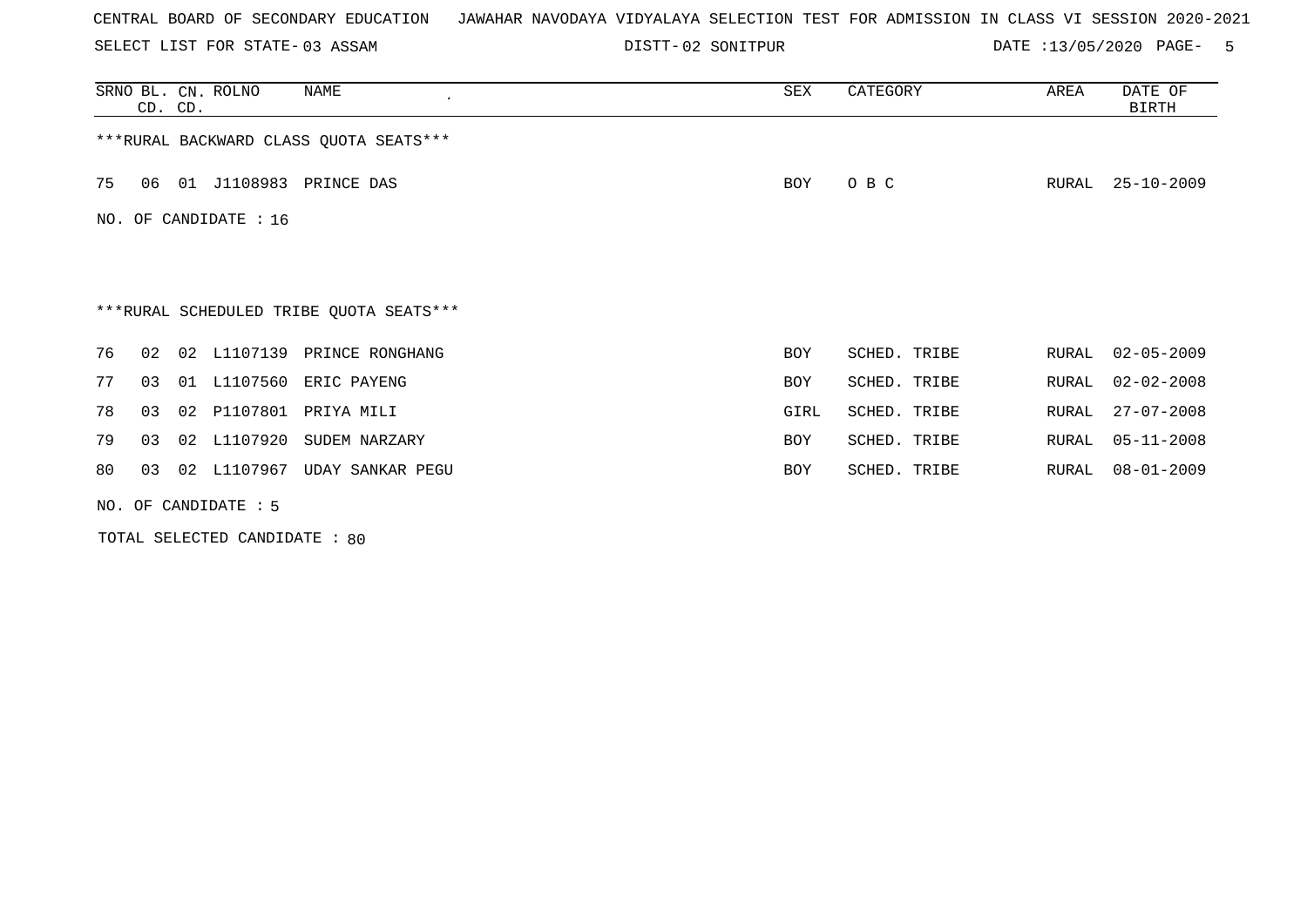SELECT LIST FOR STATE- DISTT- 03 ASSAM

02 SONITPUR DATE :13/05/2020 PAGE- 5

|          | CD. CD. | SRNO BL. CN. ROLNO   | NAME<br>$\cdot$                         | SEX        | CATEGORY     | AREA  | DATE OF<br><b>BIRTH</b> |
|----------|---------|----------------------|-----------------------------------------|------------|--------------|-------|-------------------------|
|          |         |                      | *** RURAL BACKWARD CLASS QUOTA SEATS*** |            |              |       |                         |
| 75<br>06 |         |                      | 01 J1108983 PRINCE DAS                  | BOY        | O B C        | RURAL | $25 - 10 - 2009$        |
| NO.      |         | OF CANDIDATE : 16    |                                         |            |              |       |                         |
|          |         |                      |                                         |            |              |       |                         |
|          |         |                      | ***RURAL SCHEDULED TRIBE QUOTA SEATS*** |            |              |       |                         |
| 76<br>02 |         |                      | 02 L1107139 PRINCE RONGHANG             | <b>BOY</b> | SCHED. TRIBE | RURAL | $02 - 05 - 2009$        |
| 77<br>03 |         | 01 L1107560          | ERIC PAYENG                             | BOY        | SCHED. TRIBE | RURAL | $02 - 02 - 2008$        |
| 78<br>03 |         |                      | 02 P1107801 PRIYA MILI                  | GIRL       | SCHED. TRIBE | RURAL | $27 - 07 - 2008$        |
| 79<br>03 |         | 02 L1107920          | SUDEM NARZARY                           | <b>BOY</b> | SCHED. TRIBE | RURAL | $05 - 11 - 2008$        |
| 80<br>03 |         | 02 L1107967          | UDAY SANKAR PEGU                        | <b>BOY</b> | SCHED. TRIBE | RURAL | $08 - 01 - 2009$        |
|          |         | NO. OF CANDIDATE : 5 |                                         |            |              |       |                         |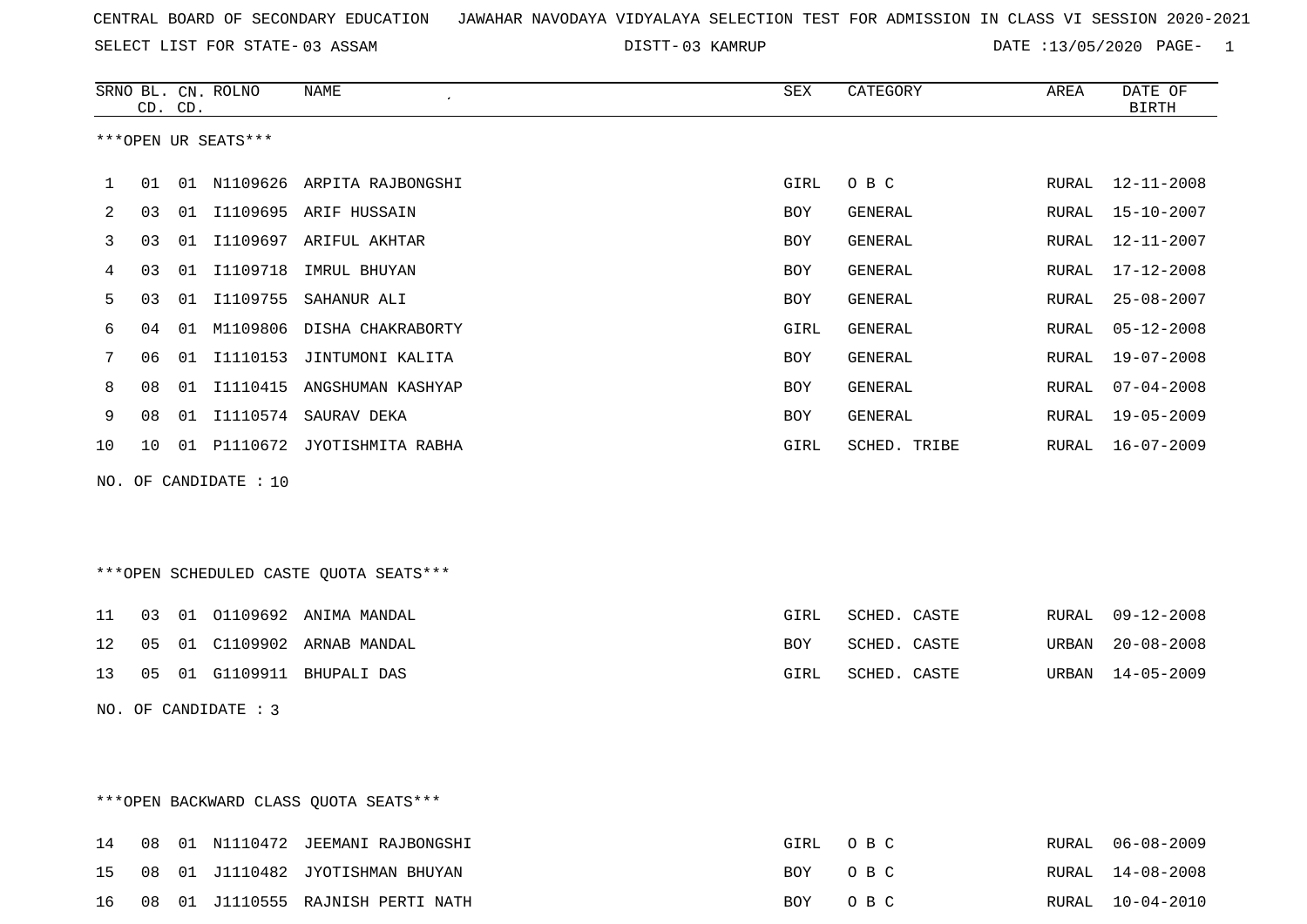SELECT LIST FOR STATE- DISTT- 03 ASSAM

03 KAMRUP DATE :13/05/2020 PAGE- 1

| SRNO BL. | CD. CD.             |    | CN. ROLNO | NAME<br>$\pmb{\cdot}$ | SEX  | CATEGORY     | AREA  | DATE OF<br><b>BIRTH</b> |  |  |
|----------|---------------------|----|-----------|-----------------------|------|--------------|-------|-------------------------|--|--|
|          | ***OPEN UR SEATS*** |    |           |                       |      |              |       |                         |  |  |
|          | 01                  | 01 | N1109626  | ARPITA RAJBONGSHI     | GIRL | O B C        | RURAL | 12-11-2008              |  |  |
| 2        | 0 <sub>3</sub>      | 01 | I1109695  | ARIF HUSSAIN          | BOY  | GENERAL      | RURAL | $15 - 10 - 2007$        |  |  |
| 3        | 03                  | 01 | I1109697  | ARIFUL AKHTAR         | BOY  | GENERAL      | RURAL | 12-11-2007              |  |  |
| 4        | 03                  | 01 | I1109718  | IMRUL BHUYAN          | BOY  | GENERAL      | RURAL | 17-12-2008              |  |  |
| 5        | 03                  | 01 | I1109755  | SAHANUR ALI           | BOY  | GENERAL      | RURAL | $25 - 08 - 2007$        |  |  |
| 6        | 04                  | 01 | M1109806  | DISHA CHAKRABORTY     | GIRL | GENERAL      | RURAL | $05 - 12 - 2008$        |  |  |
|          | 06                  | 01 | I1110153  | JINTUMONI KALITA      | BOY  | GENERAL      | RURAL | $19 - 07 - 2008$        |  |  |
| 8        | 08                  | 01 | I1110415  | ANGSHUMAN KASHYAP     | BOY  | GENERAL      | RURAL | $07 - 04 - 2008$        |  |  |
| 9        | 08                  | 01 | I1110574  | SAURAV DEKA           | BOY  | GENERAL      | RURAL | $19 - 05 - 2009$        |  |  |
| 10       | 10 <sup>°</sup>     | 01 | P1110672  | JYOTISHMITA RABHA     | GIRL | SCHED. TRIBE | RURAL | $16 - 07 - 2009$        |  |  |

NO. OF CANDIDATE : 10

\*\*\*OPEN SCHEDULED CASTE QUOTA SEATS\*\*\*

|  |  | 11 03 01 01109692 ANIMA MANDAL           |            | GIRL SCHED. CASTE |  | RURAL 09-12-2008 |
|--|--|------------------------------------------|------------|-------------------|--|------------------|
|  |  | 12   05   01   C1109902   ARNAB   MANDAL | <b>BOY</b> | SCHED. CASTE      |  | URBAN 20-08-2008 |
|  |  | 13 05 01 G1109911 BHUPALI DAS            | GIRL       | SCHED. CASTE      |  | URBAN 14-05-2009 |

NO. OF CANDIDATE : 3

\*\*\*OPEN BACKWARD CLASS QUOTA SEATS\*\*\*

|  |  | 14 08 01 N1110472 JEEMANI RAJBONGSHI | GIRL OBC | RURAL 06-08-2009 |
|--|--|--------------------------------------|----------|------------------|
|  |  | 15 08 01 J1110482 JYOTISHMAN BHUYAN  | BOY OBC  | RURAL 14-08-2008 |
|  |  | 16 08 01 J1110555 RAJNISH PERTI NATH | BOY OBC  | RURAL 10-04-2010 |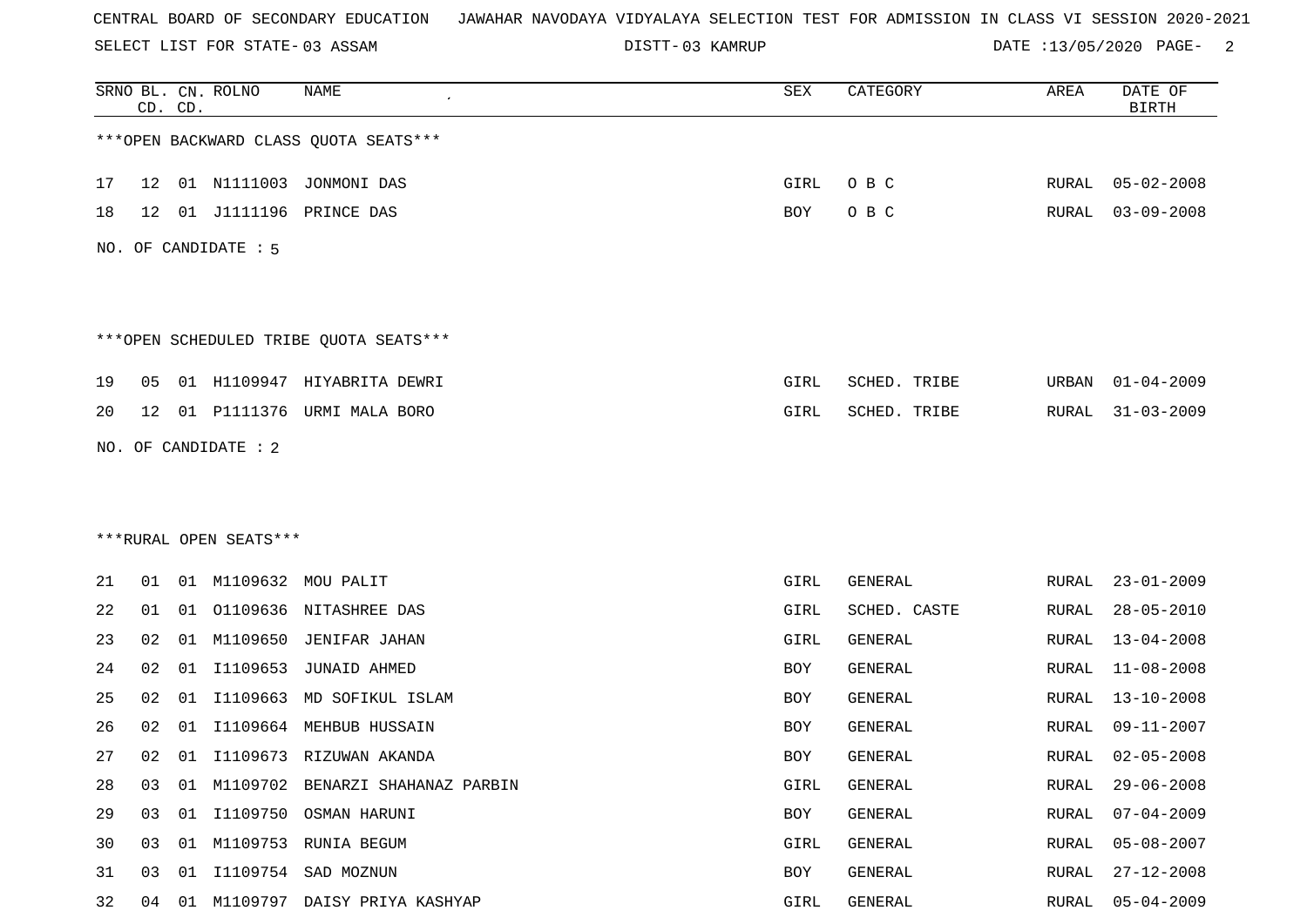SELECT LIST FOR STATE- DISTT- 03 ASSAM

03 KAMRUP DATE :13/05/2020 PAGE- 2

|    |    | CD. CD. | SRNO BL. CN. ROLNO     | NAME                                   | SEX        | CATEGORY       | AREA         | DATE OF<br><b>BIRTH</b> |
|----|----|---------|------------------------|----------------------------------------|------------|----------------|--------------|-------------------------|
|    |    |         |                        | *** OPEN BACKWARD CLASS QUOTA SEATS*** |            |                |              |                         |
| 17 | 12 |         |                        | 01 N1111003 JONMONI DAS                | GIRL       | O B C          | RURAL        | $05 - 02 - 2008$        |
| 18 | 12 |         |                        | 01 J1111196 PRINCE DAS                 | <b>BOY</b> | O B C          | RURAL        | $03 - 09 - 2008$        |
|    |    |         | NO. OF CANDIDATE : 5   |                                        |            |                |              |                         |
|    |    |         |                        | ***OPEN SCHEDULED TRIBE QUOTA SEATS*** |            |                |              |                         |
| 19 | 05 |         |                        | 01 H1109947 HIYABRITA DEWRI            | GIRL       | SCHED. TRIBE   | URBAN        | $01 - 04 - 2009$        |
| 20 | 12 |         |                        | 01 P1111376 URMI MALA BORO             | GIRL       | SCHED. TRIBE   | RURAL        | $31 - 03 - 2009$        |
|    |    |         | NO. OF CANDIDATE : 2   |                                        |            |                |              |                         |
|    |    |         |                        |                                        |            |                |              |                         |
|    |    |         |                        |                                        |            |                |              |                         |
|    |    |         | ***RURAL OPEN SEATS*** |                                        |            |                |              |                         |
| 21 | 01 |         |                        | 01 M1109632 MOU PALIT                  | GIRL       | GENERAL        | RURAL        | $23 - 01 - 2009$        |
| 22 | 01 |         |                        | 01 01109636 NITASHREE DAS              | GIRL       | SCHED. CASTE   | RURAL        | $28 - 05 - 2010$        |
| 23 | 02 | 01      | M1109650               | JENIFAR JAHAN                          | GIRL       | <b>GENERAL</b> | RURAL        | $13 - 04 - 2008$        |
| 24 | 02 | 01      | I1109653               | JUNAID AHMED                           | BOY        | <b>GENERAL</b> | RURAL        | $11 - 08 - 2008$        |
| 25 | 02 | 01      | I1109663               | MD SOFIKUL ISLAM                       | BOY        | <b>GENERAL</b> | RURAL        | $13 - 10 - 2008$        |
| 26 | 02 | 01      |                        | I1109664 MEHBUB HUSSAIN                | BOY        | GENERAL        | RURAL        | 09-11-2007              |
| 27 | 02 | 01      |                        | I1109673 RIZUWAN AKANDA                | BOY        | GENERAL        | RURAL        | $02 - 05 - 2008$        |
| 28 | 03 |         | 01 M1109702            | BENARZI SHAHANAZ PARBIN                | GIRL       | GENERAL        | <b>RURAL</b> | $29 - 06 - 2008$        |
| 29 | 03 |         |                        | 01 I1109750 OSMAN HARUNI               | BOY        | GENERAL        | RURAL        | $07 - 04 - 2009$        |
| 30 | 03 |         | 01 M1109753            | RUNIA BEGUM                            | GIRL       | GENERAL        | RURAL        | $05 - 08 - 2007$        |
| 31 | 03 | 01      |                        | I1109754 SAD MOZNUN                    | BOY        | GENERAL        | RURAL        | $27 - 12 - 2008$        |
| 32 | 04 | 01      |                        | M1109797 DAISY PRIYA KASHYAP           | GIRL       | GENERAL        | RURAL        | $05 - 04 - 2009$        |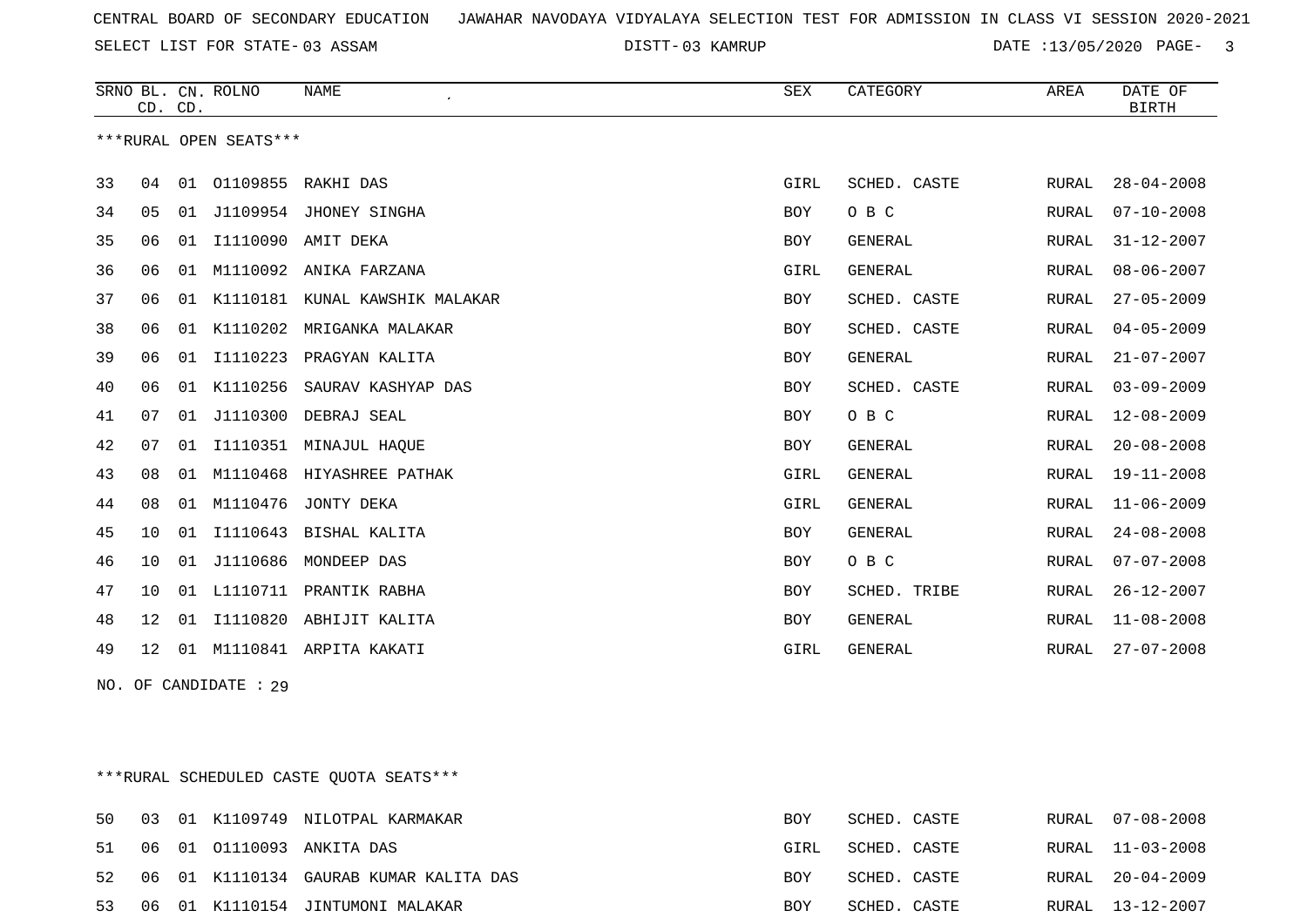SELECT LIST FOR STATE- DISTT- 03 ASSAM

03 KAMRUP DATE :13/05/2020 PAGE- 3

|    | CD. CD. |    | SRNO BL. CN. ROLNO     | <b>NAME</b>                  | <b>SEX</b> | CATEGORY       | AREA  | DATE OF<br><b>BIRTH</b> |
|----|---------|----|------------------------|------------------------------|------------|----------------|-------|-------------------------|
|    |         |    | ***RURAL OPEN SEATS*** |                              |            |                |       |                         |
| 33 | 04      | 01 |                        | 01109855 RAKHI DAS           | GIRL       | SCHED. CASTE   | RURAL | $28 - 04 - 2008$        |
| 34 | 05      | 01 | J1109954               | JHONEY SINGHA                | <b>BOY</b> | O B C          | RURAL | $07 - 10 - 2008$        |
| 35 | 06      | 01 | I1110090               | AMIT DEKA                    | <b>BOY</b> | <b>GENERAL</b> | RURAL | $31 - 12 - 2007$        |
| 36 | 06      | 01 | M1110092               | ANIKA FARZANA                | GIRL       | GENERAL        | RURAL | $08 - 06 - 2007$        |
| 37 | 06      | 01 | K1110181               | KUNAL KAWSHIK MALAKAR        | <b>BOY</b> | SCHED. CASTE   | RURAL | $27 - 05 - 2009$        |
| 38 | 06      |    |                        | 01 K1110202 MRIGANKA MALAKAR | <b>BOY</b> | SCHED. CASTE   | RURAL | $04 - 05 - 2009$        |
| 39 | 06      | 01 |                        | I1110223 PRAGYAN KALITA      | <b>BOY</b> | GENERAL        | RURAL | $21 - 07 - 2007$        |
| 40 | 06      | 01 | K1110256               | SAURAV KASHYAP DAS           | <b>BOY</b> | SCHED. CASTE   | RURAL | $03 - 09 - 2009$        |
| 41 | 07      | 01 | J1110300               | DEBRAJ SEAL                  | <b>BOY</b> | O B C          | RURAL | $12 - 08 - 2009$        |
| 42 | 07      | 01 |                        | I1110351 MINAJUL HAQUE       | <b>BOY</b> | <b>GENERAL</b> | RURAL | $20 - 08 - 2008$        |
| 43 | 08      | 01 | M1110468               | HIYASHREE PATHAK             | GIRL       | <b>GENERAL</b> | RURAL | $19 - 11 - 2008$        |
| 44 | 08      |    | 01 M1110476            | JONTY DEKA                   | GIRL       | <b>GENERAL</b> | RURAL | $11 - 06 - 2009$        |
| 45 | 10      | 01 |                        | I1110643 BISHAL KALITA       | <b>BOY</b> | GENERAL        | RURAL | $24 - 08 - 2008$        |
| 46 | 10      | 01 |                        | J1110686 MONDEEP DAS         | <b>BOY</b> | O B C          | RURAL | $07 - 07 - 2008$        |
| 47 | 10      |    |                        | 01 L1110711 PRANTIK RABHA    | <b>BOY</b> | SCHED. TRIBE   | RURAL | $26 - 12 - 2007$        |
| 48 | 12      | 01 | I1110820               | ABHIJIT KALITA               | <b>BOY</b> | GENERAL        | RURAL | $11 - 08 - 2008$        |
| 49 | 12      | 01 |                        | M1110841 ARPITA KAKATI       | GIRL       | <b>GENERAL</b> | RURAL | $27 - 07 - 2008$        |

NO. OF CANDIDATE : 29

\*\*\*RURAL SCHEDULED CASTE QUOTA SEATS\*\*\*

|  |  | 50 03 01 K1109749 NILOTPAL KARMAKAR       | BOY        | SCHED. CASTE |  | RURAL 07-08-2008 |
|--|--|-------------------------------------------|------------|--------------|--|------------------|
|  |  | 51 06 01 01110093 ANKITA DAS              | GIRL       | SCHED. CASTE |  | RURAL 11-03-2008 |
|  |  | 52 06 01 K1110134 GAURAB KUMAR KALITA DAS | <b>BOY</b> | SCHED. CASTE |  | RURAL 20-04-2009 |
|  |  | 53 06 01 K1110154 JINTUMONI MALAKAR       | BOY        | SCHED. CASTE |  | RURAL 13-12-2007 |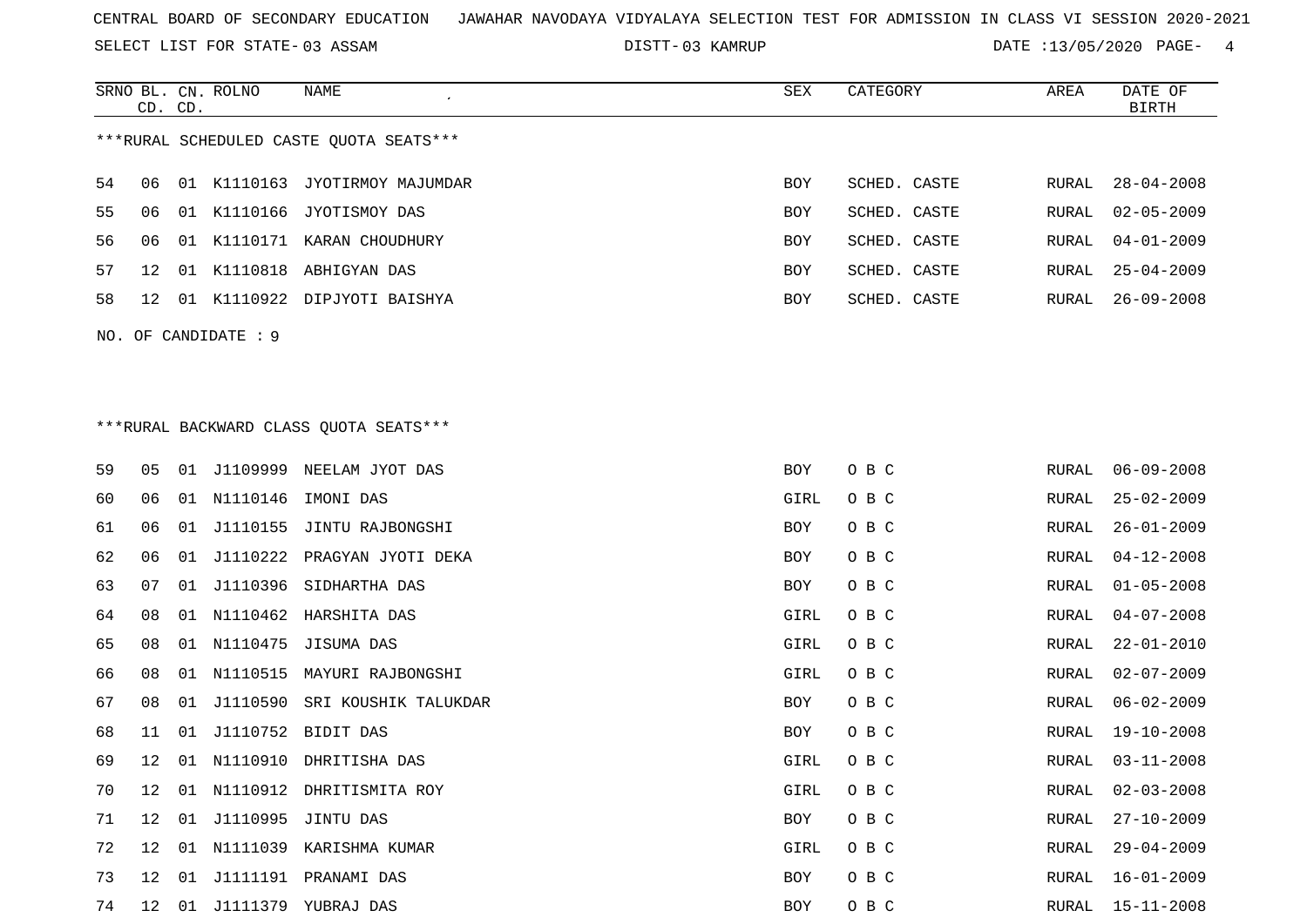SELECT LIST FOR STATE- DISTT- 03 ASSAM

SRNO BL. CN.

ROLNO NAME SEX CATEGORY AREA DATE OF

03 KAMRUP DATE :13/05/2020 PAGE- 4

|                      | CD. CD. |    |             |                                         |      |              |  |       | <b>BIRTH</b>     |
|----------------------|---------|----|-------------|-----------------------------------------|------|--------------|--|-------|------------------|
|                      |         |    |             | ***RURAL SCHEDULED CASTE QUOTA SEATS*** |      |              |  |       |                  |
| 54                   | 06      |    |             | 01 K1110163 JYOTIRMOY MAJUMDAR          | BOY  | SCHED. CASTE |  | RURAL | $28 - 04 - 2008$ |
| 55                   | 06      |    |             | 01 K1110166 JYOTISMOY DAS               | BOY  | SCHED. CASTE |  | RURAL | $02 - 05 - 2009$ |
| 56                   | 06      |    |             | 01 K1110171 KARAN CHOUDHURY             | BOY  | SCHED. CASTE |  | RURAL | $04 - 01 - 2009$ |
| 57                   | 12      |    |             | 01 K1110818 ABHIGYAN DAS                | BOY  | SCHED. CASTE |  | RURAL | $25 - 04 - 2009$ |
| 58                   | 12      |    |             | 01 K1110922 DIPJYOTI BAISHYA            | BOY  | SCHED. CASTE |  | RURAL | $26 - 09 - 2008$ |
| NO. OF CANDIDATE : 9 |         |    |             |                                         |      |              |  |       |                  |
|                      |         |    |             |                                         |      |              |  |       |                  |
|                      |         |    |             |                                         |      |              |  |       |                  |
|                      |         |    |             | *** RURAL BACKWARD CLASS QUOTA SEATS*** |      |              |  |       |                  |
| 59                   | 05      |    |             | 01 J1109999 NEELAM JYOT DAS             | BOY  | O B C        |  | RURAL | $06 - 09 - 2008$ |
| 60                   | 06      |    | 01 N1110146 | IMONI DAS                               | GIRL | O B C        |  | RURAL | $25 - 02 - 2009$ |
| 61                   | 06      | 01 |             | J1110155 JINTU RAJBONGSHI               | BOY  | O B C        |  | RURAL | $26 - 01 - 2009$ |
| 62                   | 06      | 01 |             | J1110222 PRAGYAN JYOTI DEKA             | BOY  | O B C        |  | RURAL | $04 - 12 - 2008$ |
| 63                   | 07      |    |             | 01 J1110396 SIDHARTHA DAS               | BOY  | O B C        |  | RURAL | $01 - 05 - 2008$ |
| 64                   | 08      |    |             | 01 N1110462 HARSHITA DAS                | GIRL | O B C        |  | RURAL | $04 - 07 - 2008$ |
| 65                   | 08      |    | 01 N1110475 | JISUMA DAS                              | GIRL | O B C        |  | RURAL | $22 - 01 - 2010$ |
| 66                   | 08      | 01 | N1110515    | MAYURI RAJBONGSHI                       | GIRL | O B C        |  | RURAL | $02 - 07 - 2009$ |
| 67                   | 08      | 01 | J1110590    | SRI KOUSHIK TALUKDAR                    | BOY  | O B C        |  | RURAL | $06 - 02 - 2009$ |
| 68                   | 11      | 01 | J1110752    | BIDIT DAS                               | BOY  | O B C        |  | RURAL | $19 - 10 - 2008$ |
| 69                   | 12      |    | 01 N1110910 | DHRITISHA DAS                           | GIRL | O B C        |  | RURAL | $03 - 11 - 2008$ |
| 70                   | 12      |    |             | 01 N1110912 DHRITISMITA ROY             | GIRL | O B C        |  | RURAL | $02 - 03 - 2008$ |
| 71                   |         |    |             | 12 01 J1110995 JINTU DAS                | BOY  | O B C        |  | RURAL | $27 - 10 - 2009$ |
| 72                   | 12      |    |             | 01 N1111039 KARISHMA KUMAR              | GIRL | O B C        |  | RURAL | $29 - 04 - 2009$ |
| 73                   | 12      | 01 |             | J1111191 PRANAMI DAS                    | BOY  | O B C        |  | RURAL | $16 - 01 - 2009$ |
| 74                   | 12      |    |             | 01 J1111379 YUBRAJ DAS                  | BOY  | O B C        |  | RURAL | $15 - 11 - 2008$ |
|                      |         |    |             |                                         |      |              |  |       |                  |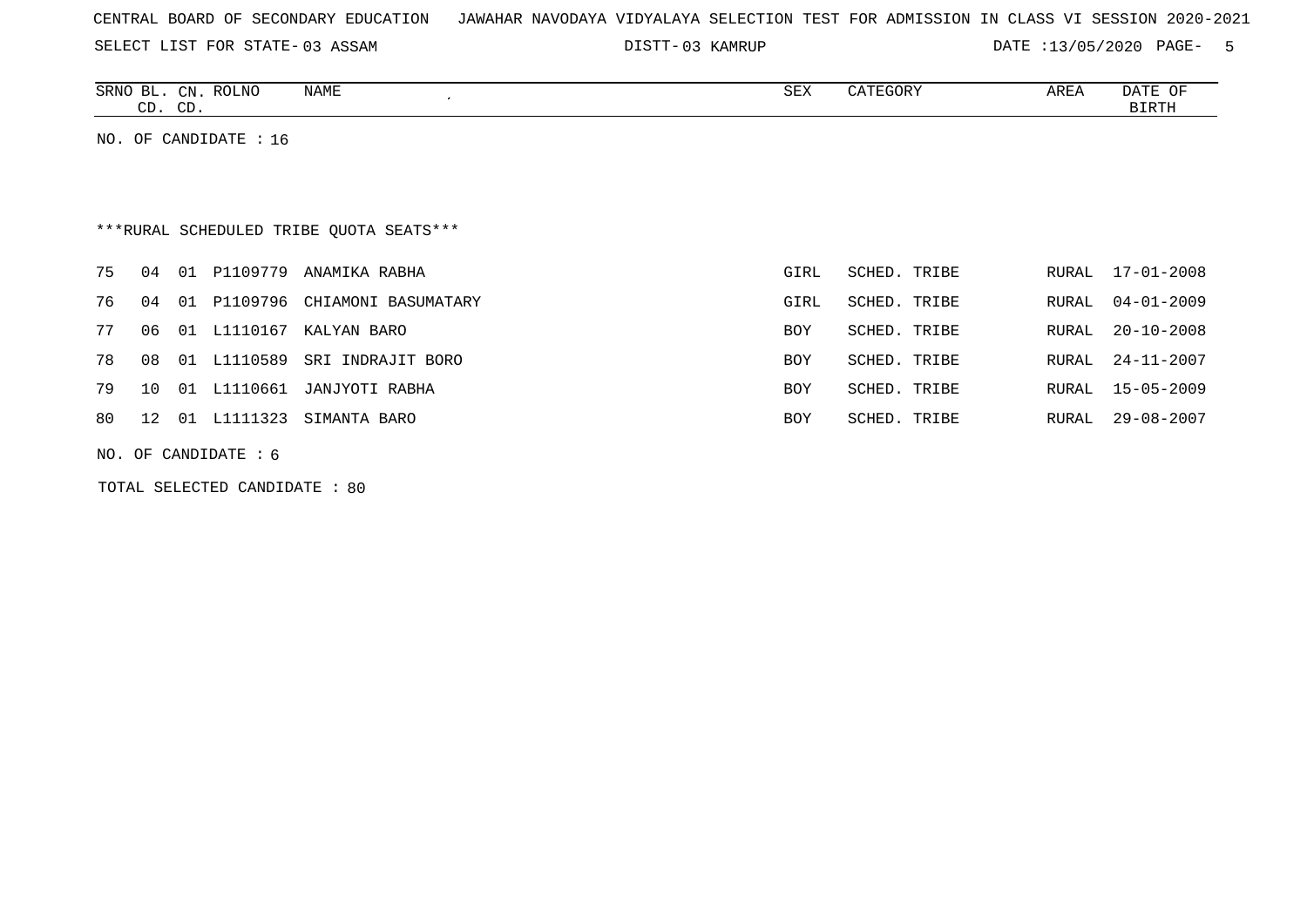SELECT LIST FOR STATE- DISTT- 03 ASSAM

03 KAMRUP DATE :13/05/2020 PAGE- 5

| SRNO<br>ᆸ      | CN           | ROLNO | NAME | $\cap$<br>Δ⊔Δ | LGOK 1 | AREA | DATF<br>$\cdot$ |
|----------------|--------------|-------|------|---------------|--------|------|-----------------|
| $\cap$ T<br>◡◡ | $\cap$<br>◡╜ |       |      |               |        |      | BIRTH           |

NO. OF CANDIDATE : 16

# \*\*\*RURAL SCHEDULED TRIBE QUOTA SEATS\*\*\*

|  | 75 04 01 P1109779 | ANAMIKA RABHA                         | GIRL       | SCHED. TRIBE | RURAL 17-01-2008 |
|--|-------------------|---------------------------------------|------------|--------------|------------------|
|  |                   | 76 04 01 P1109796 CHIAMONI BASUMATARY | GIRL       | SCHED. TRIBE | RURAL 04-01-2009 |
|  |                   | 77 06 01 L1110167 KALYAN BARO         | BOY        | SCHED. TRIBE | RURAL 20-10-2008 |
|  | 78 08 01 L1110589 | SRI INDRAJIT BORO                     | <b>BOY</b> | SCHED. TRIBE | RURAL 24-11-2007 |
|  |                   | 79 10 01 L1110661 JANJYOTI RABHA      | <b>BOY</b> | SCHED. TRIBE | RURAL 15-05-2009 |
|  |                   | 80 12 01 L1111323 SIMANTA BARO        | <b>BOY</b> | SCHED. TRIBE | RURAL 29-08-2007 |

NO. OF CANDIDATE : 6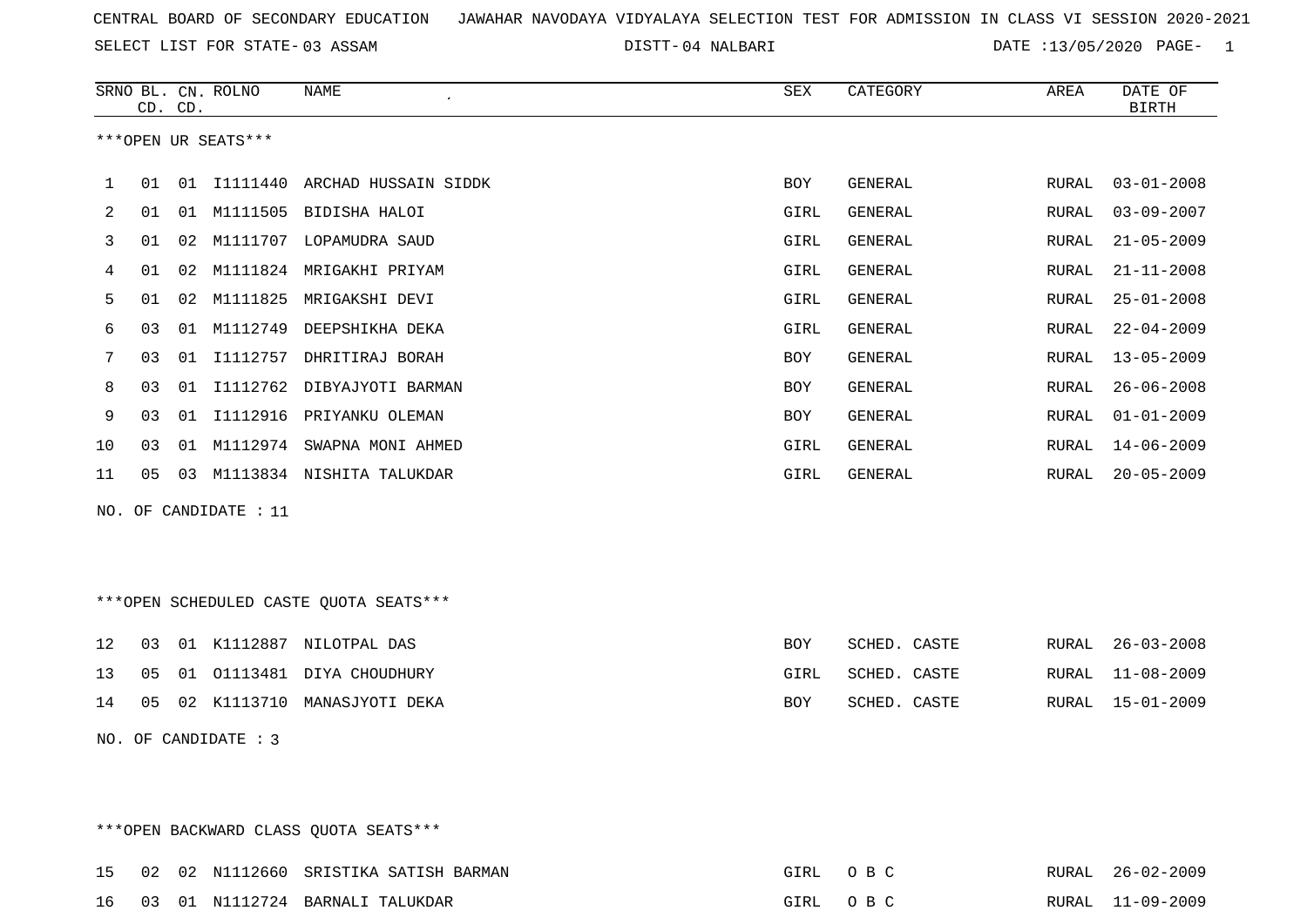SELECT LIST FOR STATE- DISTT- 03 ASSAM

04 NALBARI DATE :13/05/2020 PAGE- 1

|     |    | CD. CD. | SRNO BL. CN. ROLNO    | <b>NAME</b><br>$\pmb{\cdot}$           | <b>SEX</b> | CATEGORY       | AREA  | DATE OF<br><b>BIRTH</b> |
|-----|----|---------|-----------------------|----------------------------------------|------------|----------------|-------|-------------------------|
|     |    |         | ***OPEN UR SEATS***   |                                        |            |                |       |                         |
| 1   | 01 | 01      |                       | I1111440 ARCHAD HUSSAIN SIDDK          | BOY        | GENERAL        | RURAL | $03 - 01 - 2008$        |
| 2   | 01 | 01      |                       | M1111505 BIDISHA HALOI                 | GIRL       | GENERAL        | RURAL | $03 - 09 - 2007$        |
| 3   | 01 | 02      |                       | M1111707 LOPAMUDRA SAUD                | GIRL       | GENERAL        | RURAL | $21 - 05 - 2009$        |
| 4   | 01 | 02      |                       | M1111824 MRIGAKHI PRIYAM               | GIRL       | GENERAL        | RURAL | $21 - 11 - 2008$        |
| 5   | 01 | 02      | M1111825              | MRIGAKSHI DEVI                         | GIRL       | GENERAL        | RURAL | $25 - 01 - 2008$        |
| 6   | 03 | 01      | M1112749              | DEEPSHIKHA DEKA                        | GIRL       | GENERAL        | RURAL | $22 - 04 - 2009$        |
| 7   | 03 | 01      |                       | I1112757 DHRITIRAJ BORAH               | BOY        | GENERAL        | RURAL | $13 - 05 - 2009$        |
| 8   | 03 | 01      | I1112762              | DIBYAJYOTI BARMAN                      | <b>BOY</b> | <b>GENERAL</b> | RURAL | $26 - 06 - 2008$        |
| 9   | 03 |         |                       | 01 I1112916 PRIYANKU OLEMAN            | BOY        | GENERAL        | RURAL | $01 - 01 - 2009$        |
| 10  | 03 | 01      |                       | M1112974 SWAPNA MONI AHMED             | GIRL       | GENERAL        | RURAL | $14 - 06 - 2009$        |
| 11  | 05 |         |                       | 03 M1113834 NISHITA TALUKDAR           | GIRL       | GENERAL        | RURAL | $20 - 05 - 2009$        |
|     |    |         | NO. OF CANDIDATE : 11 |                                        |            |                |       |                         |
|     |    |         |                       |                                        |            |                |       |                         |
|     |    |         |                       | ***OPEN SCHEDULED CASTE QUOTA SEATS*** |            |                |       |                         |
| 12  | 03 |         |                       | 01 K1112887 NILOTPAL DAS               | BOY        | SCHED. CASTE   | RURAL | $26 - 03 - 2008$        |
| 13  | 05 | 01      | 01113481              | DIYA CHOUDHURY                         | GIRL       | SCHED. CASTE   | RURAL | $11 - 08 - 2009$        |
| 14  | 05 |         |                       | 02 K1113710 MANASJYOTI DEKA            | BOY        | SCHED. CASTE   | RURAL | 15-01-2009              |
| NO. |    |         | OF CANDIDATE : 3      |                                        |            |                |       |                         |
|     |    |         |                       |                                        |            |                |       |                         |

\*\*\*OPEN BACKWARD CLASS QUOTA SEATS\*\*\*

|  |  | 15 02 02 N1112660 SRISTIKA SATISH BARMAN | GIRL OBC | RURAL 26-02-2009 |
|--|--|------------------------------------------|----------|------------------|
|  |  | 16 03 01 N1112724 BARNALI TALUKDAR       | GIRL OBC | RURAL 11-09-2009 |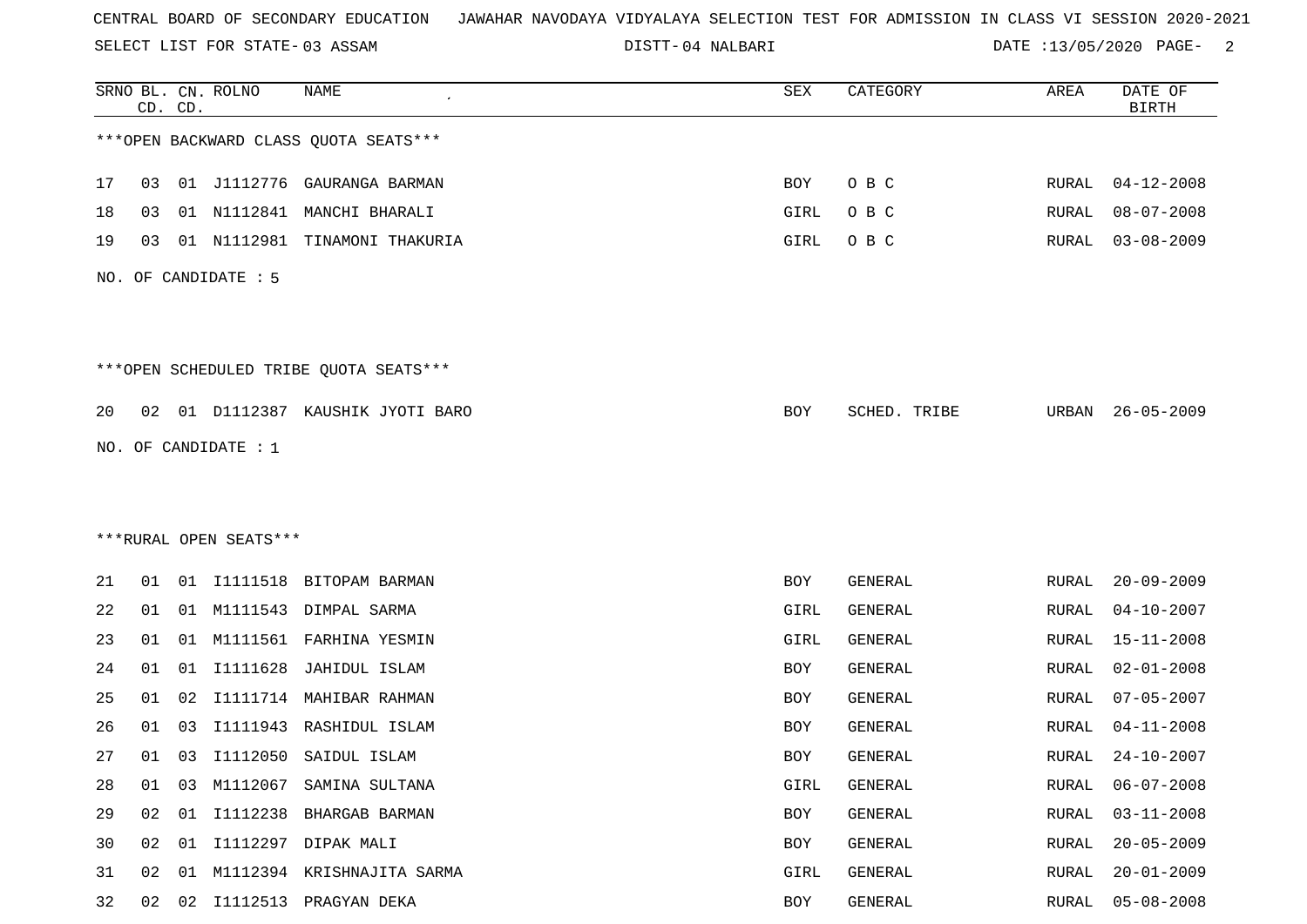SELECT LIST FOR STATE- DISTT- 03 ASSAM

04 NALBARI DATE :13/05/2020 PAGE- 2

|    |    | CD. CD. | SRNO BL. CN. ROLNO     | <b>NAME</b>                            | SEX  | CATEGORY     | AREA         | DATE OF<br><b>BIRTH</b> |
|----|----|---------|------------------------|----------------------------------------|------|--------------|--------------|-------------------------|
|    |    |         |                        | *** OPEN BACKWARD CLASS QUOTA SEATS*** |      |              |              |                         |
| 17 | 03 |         |                        | 01 J1112776 GAURANGA BARMAN            | BOY  | O B C        | RURAL        | $04 - 12 - 2008$        |
| 18 | 03 |         | 01 N1112841            | MANCHI BHARALI                         | GIRL | O B C        | RURAL        | $08 - 07 - 2008$        |
| 19 | 03 |         | 01 N1112981            | TINAMONI THAKURIA                      | GIRL | O B C        | RURAL        | $03 - 08 - 2009$        |
|    |    |         | NO. OF CANDIDATE : 5   |                                        |      |              |              |                         |
|    |    |         |                        | ***OPEN SCHEDULED TRIBE QUOTA SEATS*** |      |              |              |                         |
| 20 | 02 |         |                        | 01 D1112387 KAUSHIK JYOTI BARO         | BOY  | SCHED. TRIBE | URBAN        | $26 - 05 - 2009$        |
|    |    |         | NO. OF CANDIDATE : $1$ |                                        |      |              |              |                         |
|    |    |         |                        |                                        |      |              |              |                         |
|    |    |         |                        |                                        |      |              |              |                         |
|    |    |         | ***RURAL OPEN SEATS*** |                                        |      |              |              |                         |
| 21 | 01 |         |                        | 01 I1111518 BITOPAM BARMAN             | BOY  | GENERAL      | RURAL        | $20 - 09 - 2009$        |
| 22 | 01 |         |                        | 01 M1111543 DIMPAL SARMA               | GIRL | GENERAL      | RURAL        | $04 - 10 - 2007$        |
| 23 | 01 | 01      |                        | M1111561 FARHINA YESMIN                | GIRL | GENERAL      | RURAL        | $15 - 11 - 2008$        |
| 24 | 01 | 01      | I1111628               | JAHIDUL ISLAM                          | BOY  | GENERAL      | RURAL        | $02 - 01 - 2008$        |
| 25 | 01 | 02      | I1111714               | MAHIBAR RAHMAN                         | BOY  | GENERAL      | RURAL        | $07 - 05 - 2007$        |
| 26 | 01 | 03      | I1111943               | RASHIDUL ISLAM                         | BOY  | GENERAL      | RURAL        | $04 - 11 - 2008$        |
| 27 | 01 | 03      |                        | I1112050 SAIDUL ISLAM                  | BOY  | GENERAL      | RURAL        | $24 - 10 - 2007$        |
| 28 | 01 | 03      |                        | M1112067 SAMINA SULTANA                | GIRL | GENERAL      | RURAL        | $06 - 07 - 2008$        |
| 29 | 02 | 01      |                        | I1112238 BHARGAB BARMAN                | BOY  | GENERAL      | RURAL        | $03 - 11 - 2008$        |
| 30 | 02 |         |                        | 01 I1112297 DIPAK MALI                 | BOY  | GENERAL      | RURAL        | $20 - 05 - 2009$        |
| 31 | 02 | 01      |                        | M1112394 KRISHNAJITA SARMA             | GIRL | GENERAL      | <b>RURAL</b> | $20 - 01 - 2009$        |
| 32 | 02 | 02      |                        | I1112513 PRAGYAN DEKA                  | BOY  | GENERAL      | RURAL        | $05 - 08 - 2008$        |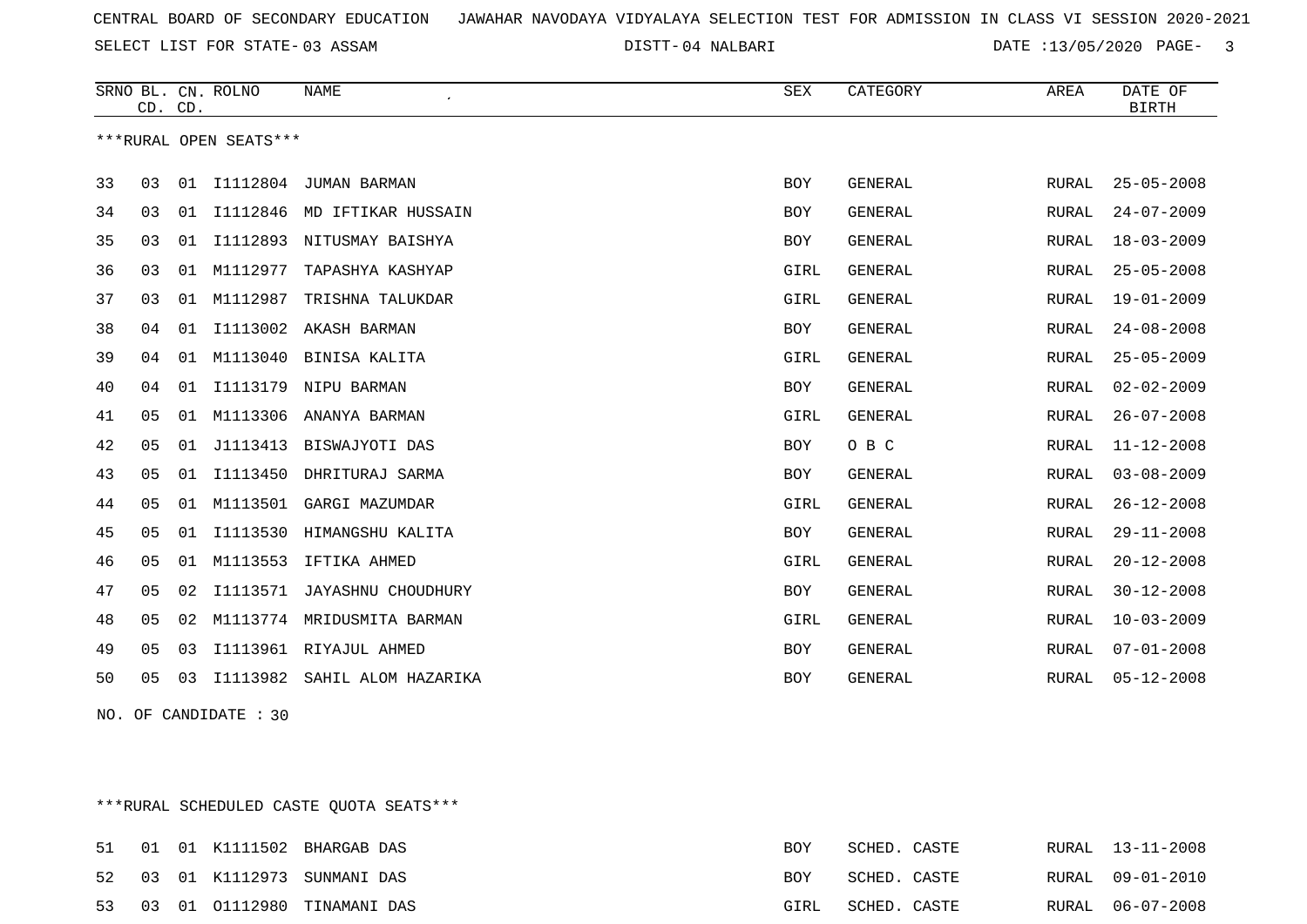SELECT LIST FOR STATE- DISTT- 03 ASSAM

04 NALBARI DATE :13/05/2020 PAGE- 3

|    | CD. CD. |                | SRNO BL. CN. ROLNO     | <b>NAME</b>                | <b>SEX</b> | CATEGORY       | AREA         | DATE OF<br><b>BIRTH</b> |
|----|---------|----------------|------------------------|----------------------------|------------|----------------|--------------|-------------------------|
|    |         |                | ***RURAL OPEN SEATS*** |                            |            |                |              |                         |
| 33 | 03      | 01             | I1112804               | JUMAN BARMAN               | <b>BOY</b> | <b>GENERAL</b> | RURAL        | $25 - 05 - 2008$        |
| 34 | 03      | 01             | I1112846               | MD IFTIKAR HUSSAIN         | <b>BOY</b> | <b>GENERAL</b> | RURAL        | $24 - 07 - 2009$        |
| 35 | 03      | 01             | I1112893               | NITUSMAY BAISHYA           | <b>BOY</b> | <b>GENERAL</b> | <b>RURAL</b> | $18 - 03 - 2009$        |
| 36 | 03      | 01             | M1112977               | TAPASHYA KASHYAP           | GIRL       | <b>GENERAL</b> | RURAL        | $25 - 05 - 2008$        |
| 37 | 03      | 01             | M1112987               | TRISHNA TALUKDAR           | GIRL       | <b>GENERAL</b> | <b>RURAL</b> | $19 - 01 - 2009$        |
| 38 | 04      | 01             | I1113002               | AKASH BARMAN               | <b>BOY</b> | <b>GENERAL</b> | <b>RURAL</b> | $24 - 08 - 2008$        |
| 39 | 04      | 01             | M1113040               | BINISA KALITA              | GIRL       | <b>GENERAL</b> | <b>RURAL</b> | $25 - 05 - 2009$        |
| 40 | 04      | 01             | I1113179               | NIPU BARMAN                | <b>BOY</b> | <b>GENERAL</b> | RURAL        | $02 - 02 - 2009$        |
| 41 | 05      | 01             | M1113306               | ANANYA BARMAN              | GIRL       | <b>GENERAL</b> | <b>RURAL</b> | $26 - 07 - 2008$        |
| 42 | 05      | 01             | J1113413               | BISWAJYOTI DAS             | <b>BOY</b> | O B C          | <b>RURAL</b> | $11 - 12 - 2008$        |
| 43 | 05      | 01             | I1113450               | DHRITURAJ SARMA            | <b>BOY</b> | <b>GENERAL</b> | <b>RURAL</b> | $03 - 08 - 2009$        |
| 44 | 05      | 01             | M1113501               | GARGI MAZUMDAR             | GIRL       | <b>GENERAL</b> | RURAL        | $26 - 12 - 2008$        |
| 45 | 05      | 01             | I1113530               | HIMANGSHU KALITA           | BOY        | <b>GENERAL</b> | <b>RURAL</b> | $29 - 11 - 2008$        |
| 46 | 05      | 01             | M1113553               | IFTIKA AHMED               | GIRL       | <b>GENERAL</b> | RURAL        | $20 - 12 - 2008$        |
| 47 | 05      | 02             | I1113571               | <b>JAYASHNU CHOUDHURY</b>  | <b>BOY</b> | <b>GENERAL</b> | <b>RURAL</b> | $30 - 12 - 2008$        |
| 48 | 05      | 02             |                        | M1113774 MRIDUSMITA BARMAN | GIRL       | <b>GENERAL</b> | <b>RURAL</b> | $10 - 03 - 2009$        |
| 49 | 05      | 03             | I1113961               | RIYAJUL AHMED              | <b>BOY</b> | <b>GENERAL</b> | RURAL        | $07 - 01 - 2008$        |
| 50 | 05      | 0 <sub>3</sub> | I1113982               | SAHIL ALOM HAZARIKA        | <b>BOY</b> | <b>GENERAL</b> | RURAL        | $05 - 12 - 2008$        |

NO. OF CANDIDATE : 30

\*\*\*RURAL SCHEDULED CASTE QUOTA SEATS\*\*\*

|  |  | 51 01 01 K1111502 BHARGAB DAS  | <b>BOY</b> | SCHED. CASTE |  | RURAL 13-11-2008 |
|--|--|--------------------------------|------------|--------------|--|------------------|
|  |  | 52 03 01 K1112973 SUNMANI DAS  | <b>BOY</b> | SCHED. CASTE |  | RURAL 09-01-2010 |
|  |  | 53 03 01 01112980 TINAMANI DAS | GIRL       | SCHED. CASTE |  | RURAL 06-07-2008 |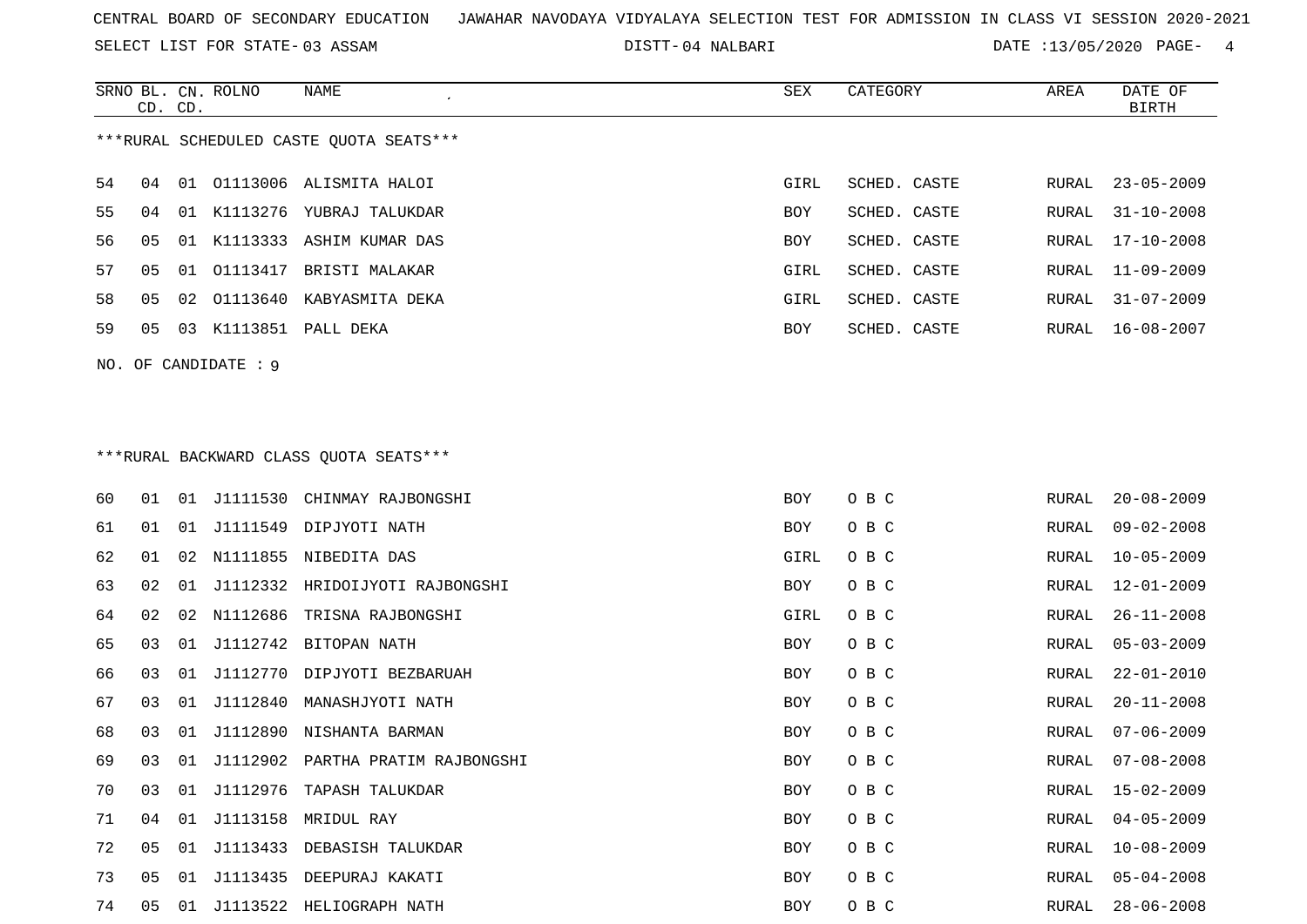SELECT LIST FOR STATE- DISTT- 03 ASSAM

04 NALBARI DATE :13/05/2020 PAGE- 4

|     |    | CD. CD. | SRNO BL. CN. ROLNO | <b>NAME</b><br>$\epsilon$               | <b>SEX</b> | CATEGORY     | AREA         | DATE OF<br><b>BIRTH</b> |
|-----|----|---------|--------------------|-----------------------------------------|------------|--------------|--------------|-------------------------|
|     |    |         |                    | ***RURAL SCHEDULED CASTE OUOTA SEATS*** |            |              |              |                         |
| 54  | 04 | 01      |                    | 01113006 ALISMITA HALOI                 | GIRL       | SCHED. CASTE | <b>RURAL</b> | $23 - 05 - 2009$        |
| 55  | 04 | 01      | K1113276           | YUBRAJ TALUKDAR                         | <b>BOY</b> | SCHED. CASTE | <b>RURAL</b> | $31 - 10 - 2008$        |
| 56  | 05 | 01      |                    | K1113333 ASHIM KUMAR DAS                | <b>BOY</b> | SCHED. CASTE | <b>RURAL</b> | $17 - 10 - 2008$        |
| 57  | 05 | 01      | 01113417           | BRISTI MALAKAR                          | GIRL       | SCHED. CASTE | <b>RURAL</b> | $11 - 09 - 2009$        |
| 58  | 05 | 02      | 01113640           | KABYASMITA DEKA                         | GIRL       | SCHED. CASTE | RURAL        | $31 - 07 - 2009$        |
| 59  | 05 | 03      | K1113851           | PALL DEKA                               | <b>BOY</b> | SCHED. CASTE | RURAL        | $16 - 08 - 2007$        |
| NO. |    |         | OF CANDIDATE : 9   |                                         |            |              |              |                         |
|     |    |         |                    |                                         |            |              |              |                         |
|     |    |         |                    |                                         |            |              |              |                         |
|     |    |         |                    | ***RURAL BACKWARD CLASS OUOTA SEATS***  |            |              |              |                         |
| 60  | 01 |         |                    | 01 J1111530 CHINMAY RAJBONGSHI          | <b>BOY</b> | O B C        | RURAL        | $20 - 08 - 2009$        |
| 61  | 01 | 01      | J1111549           | DIPJYOTI NATH                           | <b>BOY</b> | O B C        | <b>RURAL</b> | $09 - 02 - 2008$        |
| 62  | 01 | 02      |                    | N1111855 NIBEDITA DAS                   | GIRL       | O B C        | RURAL        | $10 - 05 - 2009$        |
| 63  | 02 | 01      |                    | J1112332 HRIDOIJYOTI RAJBONGSHI         | <b>BOY</b> | O B C        | RURAL        | $12 - 01 - 2009$        |
| 64  | 02 |         |                    | 02 N1112686 TRISNA RAJBONGSHI           | GIRL       | O B C        | RURAL        | $26 - 11 - 2008$        |

| ΘT | U T            |     |          | 01 JIIII549 DIPJYOTI NATH         | <b>BOX</b> | O B C |       | RURAL 09-02-2008 |
|----|----------------|-----|----------|-----------------------------------|------------|-------|-------|------------------|
| 62 | 01             | 02  |          | N1111855 NIBEDITA DAS             | GIRL       | O B C | RURAL | $10 - 05 - 2009$ |
| 63 | 02             | 01  | J1112332 | HRIDOIJYOTI RAJBONGSHI            | BOY        | O B C | RURAL | 12-01-2009       |
| 64 | 02             | 02  | N1112686 | TRISNA RAJBONGSHI                 | GIRL       | O B C | RURAL | $26 - 11 - 2008$ |
| 65 | 03             | 01  |          | J1112742 BITOPAN NATH             | BOY        | O B C | RURAL | $05 - 03 - 2009$ |
| 66 | 03             | 01  | J1112770 | DIPJYOTI BEZBARUAH                | BOY        | O B C | RURAL | $22 - 01 - 2010$ |
| 67 | 03             | 01  | J1112840 | MANASHJYOTI NATH                  | BOY        | O B C | RURAL | $20 - 11 - 2008$ |
| 68 | 03             | 01  | J1112890 | NISHANTA BARMAN                   | BOY        | O B C | RURAL | $07 - 06 - 2009$ |
| 69 | 03             | O 1 |          | J1112902 PARTHA PRATIM RAJBONGSHI | BOY        | O B C | RURAL | $07 - 08 - 2008$ |
| 70 | 03             | O 1 | J1112976 | TAPASH TALUKDAR                   | BOY        | O B C | RURAL | 15-02-2009       |
| 71 | 04             | 01  | J1113158 | MRIDUL RAY                        | BOY        | O B C | RURAL | $04 - 05 - 2009$ |
| 72 | 0.5            | 01  | J1113433 | DEBASISH TALUKDAR                 | BOY        | O B C | RURAL | $10 - 08 - 2009$ |
| 73 | 0 <sub>5</sub> | 01  | J1113435 | DEEPURAJ KAKATI                   | BOY        | O B C | RURAL | $05 - 04 - 2008$ |
| 74 | 05             | 01  | J1113522 | HELIOGRAPH NATH                   | BOY        | O B C | RURAL | $28 - 06 - 2008$ |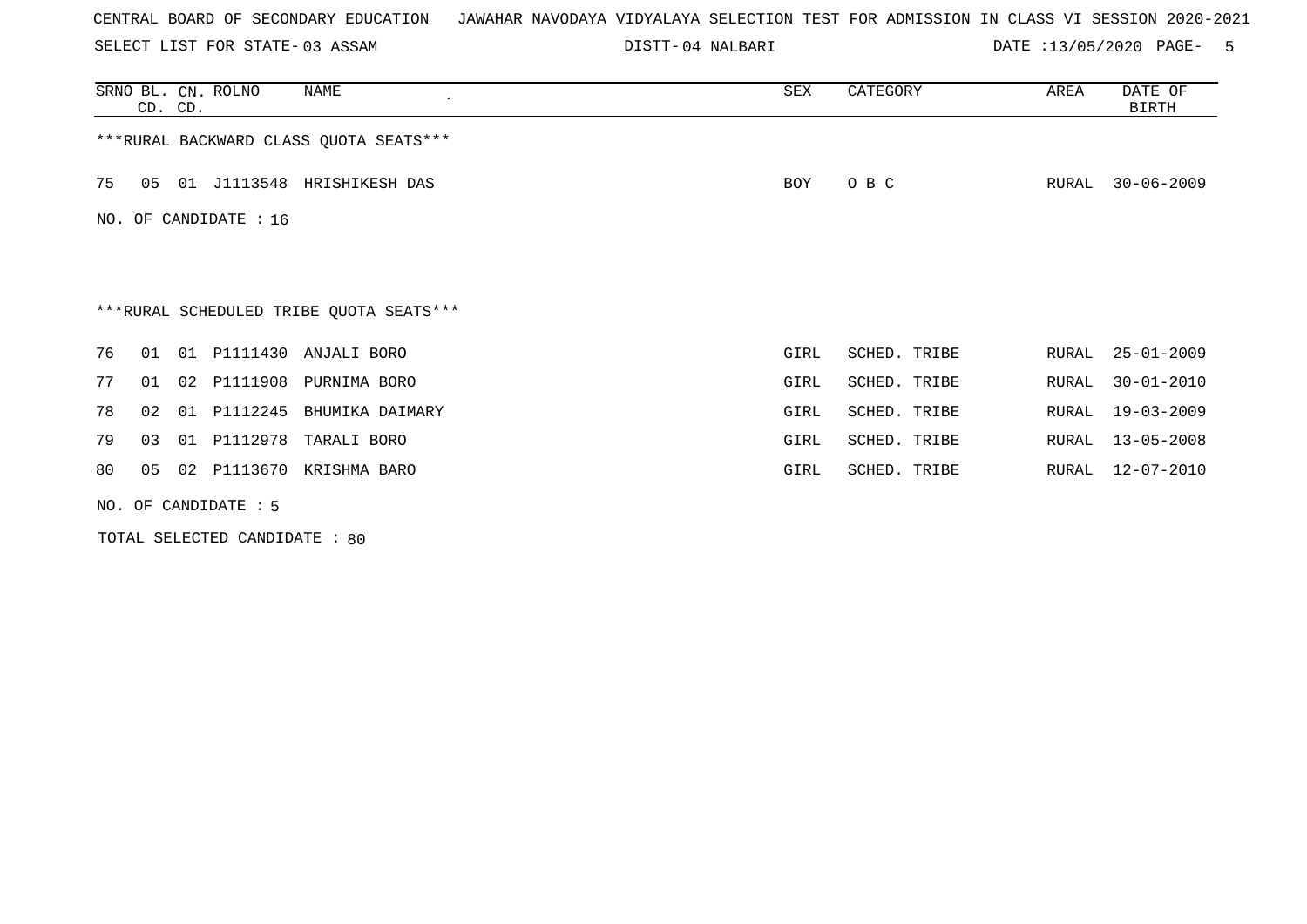SELECT LIST FOR STATE- DISTT- 03 ASSAM

04 NALBARI DATE :13/05/2020 PAGE- 5

|    | CD. CD. |    | SRNO BL. CN. ROLNO      | NAME                                    | SEX  | CATEGORY     | AREA  | DATE OF<br><b>BIRTH</b> |
|----|---------|----|-------------------------|-----------------------------------------|------|--------------|-------|-------------------------|
|    |         |    |                         | ***RURAL BACKWARD CLASS QUOTA SEATS***  |      |              |       |                         |
| 75 | 05      |    |                         | 01 J1113548 HRISHIKESH DAS              | BOY  | O B C        | RURAL | $30 - 06 - 2009$        |
|    |         |    | NO. OF CANDIDATE : $16$ |                                         |      |              |       |                         |
|    |         |    |                         |                                         |      |              |       |                         |
|    |         |    |                         | ***RURAL SCHEDULED TRIBE QUOTA SEATS*** |      |              |       |                         |
| 76 | 01      | 01 |                         | P1111430 ANJALI BORO                    | GIRL | SCHED. TRIBE | RURAL | $25 - 01 - 2009$        |
| 77 | 01      | 02 | P1111908                | PURNIMA BORO                            | GIRL | SCHED. TRIBE | RURAL | $30 - 01 - 2010$        |
| 78 | 02      | 01 |                         | P1112245 BHUMIKA DAIMARY                | GIRL | SCHED. TRIBE | RURAL | $19 - 03 - 2009$        |
| 79 | 03      | 01 | P1112978                | TARALI BORO                             | GIRL | SCHED. TRIBE | RURAL | $13 - 05 - 2008$        |
| 80 | 05      |    |                         | 02 P1113670 KRISHMA BARO                | GIRL | SCHED. TRIBE | RURAL | $12 - 07 - 2010$        |
|    |         |    | NO. OF CANDIDATE : 5    |                                         |      |              |       |                         |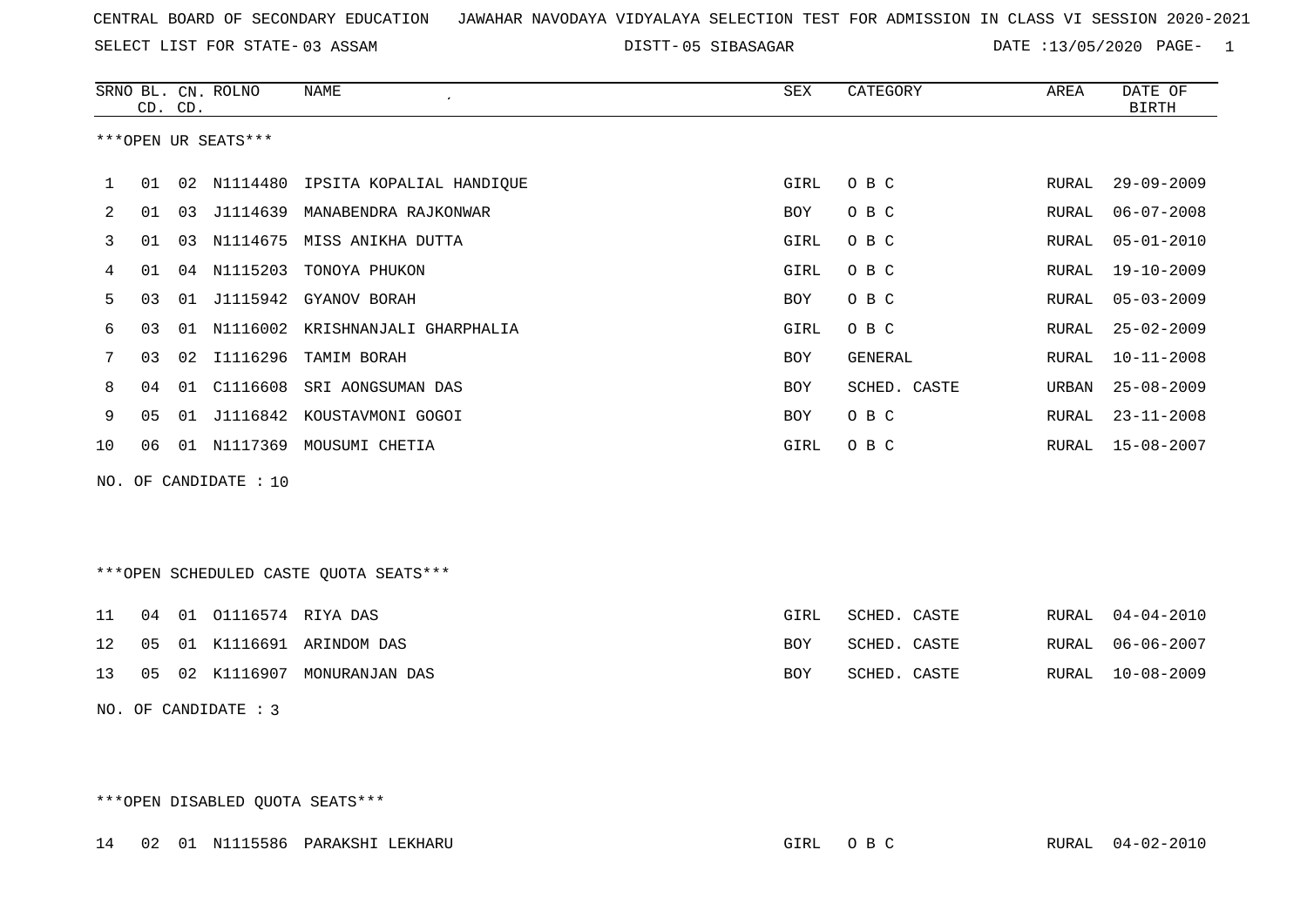SELECT LIST FOR STATE- DISTT- 03 ASSAM

05 SIBASAGAR DATE :13/05/2020 PAGE- 1

|    |    | CD. CD. | SRNO BL. CN. ROLNO    | NAME                                    | SEX        | CATEGORY       | <b>AREA</b> | DATE OF<br><b>BIRTH</b> |
|----|----|---------|-----------------------|-----------------------------------------|------------|----------------|-------------|-------------------------|
|    |    |         | ***OPEN UR SEATS***   |                                         |            |                |             |                         |
| 1  | 01 |         |                       | 02 N1114480 IPSITA KOPALIAL HANDIQUE    | GIRL       | O B C          | RURAL       | $29 - 09 - 2009$        |
| 2  | 01 |         |                       | 03 J1114639 MANABENDRA RAJKONWAR        | <b>BOY</b> | O B C          | RURAL       | $06 - 07 - 2008$        |
| 3  | 01 |         |                       | 03 N1114675 MISS ANIKHA DUTTA           | GIRL       | O B C          | RURAL       | $05 - 01 - 2010$        |
| 4  | 01 |         | 04 N1115203           | TONOYA PHUKON                           | GIRL       | O B C          | RURAL       | $19 - 10 - 2009$        |
| 5  | 03 | 01      | J1115942              | GYANOV BORAH                            | <b>BOY</b> | O B C          | RURAL       | $05 - 03 - 2009$        |
| 6  | 03 | 01      | N1116002              | KRISHNANJALI GHARPHALIA                 | GIRL       | O B C          | RURAL       | $25 - 02 - 2009$        |
| 7  | 03 | 02      | I1116296              | TAMIM BORAH                             | <b>BOY</b> | <b>GENERAL</b> | RURAL       | $10 - 11 - 2008$        |
| 8  | 04 | 01      | C1116608              | SRI AONGSUMAN DAS                       | <b>BOY</b> | SCHED. CASTE   | URBAN       | $25 - 08 - 2009$        |
| 9  | 05 | 01      |                       | J1116842 KOUSTAVMONI GOGOI              | BOY        | O B C          | RURAL       | $23 - 11 - 2008$        |
| 10 | 06 |         |                       | 01 N1117369 MOUSUMI CHETIA              | GIRL       | O B C          | RURAL       | $15 - 08 - 2007$        |
|    |    |         | NO. OF CANDIDATE : 10 |                                         |            |                |             |                         |
|    |    |         |                       | *** OPEN SCHEDULED CASTE QUOTA SEATS*** |            |                |             |                         |
| 11 | 04 | 01      | 01116574 RIYA DAS     |                                         | GIRL       | SCHED. CASTE   | RURAL       | $04 - 04 - 2010$        |
| 12 | 05 |         |                       | 01 K1116691 ARINDOM DAS                 | <b>BOY</b> | SCHED. CASTE   | RURAL       | $06 - 06 - 2007$        |

13 05 02 K1116907 MONURANJAN DAS BOY SCHED. CASTE RURAL 10-08-2009

NO. OF CANDIDATE : 3

\*\*\*OPEN DISABLED QUOTA SEATS\*\*\*

14 02 01 N1115586 PARAKSHI LEKHARU GIRL O B C RURAL 04-02-2010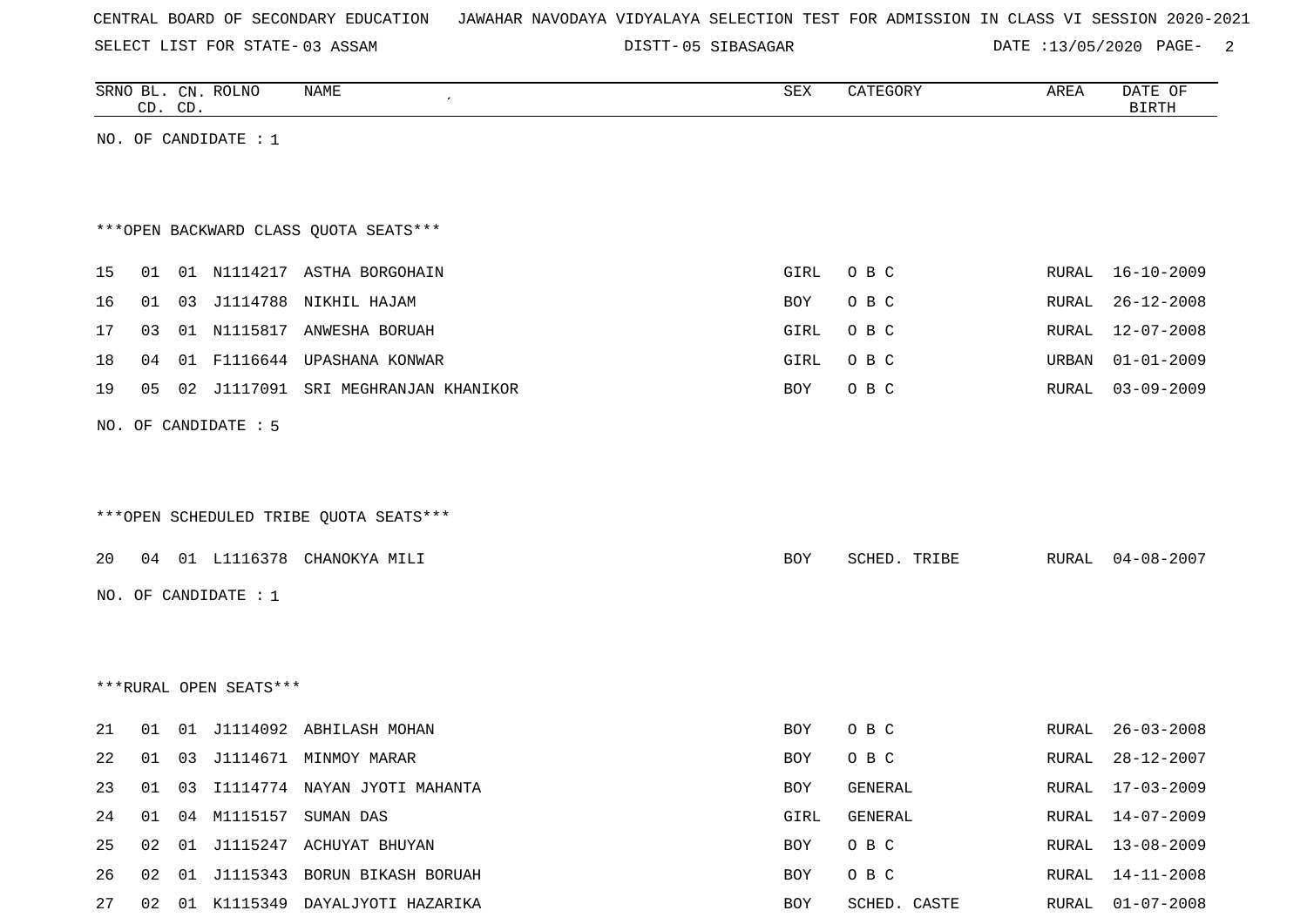SELECT LIST FOR STATE- DISTT- 03 ASSAM

05 SIBASAGAR DATE :13/05/2020 PAGE- 2

|    | CD. CD. |    | SRNO BL. CN. ROLNO     | NAME                                   | SEX        | CATEGORY     | AREA  | DATE OF<br><b>BIRTH</b> |
|----|---------|----|------------------------|----------------------------------------|------------|--------------|-------|-------------------------|
|    |         |    | NO. OF CANDIDATE : 1   |                                        |            |              |       |                         |
|    |         |    |                        |                                        |            |              |       |                         |
|    |         |    |                        | *** OPEN BACKWARD CLASS QUOTA SEATS*** |            |              |       |                         |
| 15 | 01      |    |                        | 01 N1114217 ASTHA BORGOHAIN            | GIRL       | O B C        | RURAL | 16-10-2009              |
| 16 | 01      |    | 03 J1114788            | NIKHIL HAJAM                           | BOY        | O B C        | RURAL | $26 - 12 - 2008$        |
| 17 | 03      |    |                        | 01 N1115817 ANWESHA BORUAH             | GIRL       | O B C        | RURAL | $12 - 07 - 2008$        |
| 18 | 04      |    |                        | 01 F1116644 UPASHANA KONWAR            | GIRL       | O B C        | URBAN | $01 - 01 - 2009$        |
| 19 | 05      |    |                        | 02 J1117091 SRI MEGHRANJAN KHANIKOR    | BOY        | O B C        | RURAL | $03 - 09 - 2009$        |
|    |         |    | NO. OF CANDIDATE : 5   |                                        |            |              |       |                         |
|    |         |    |                        |                                        |            |              |       |                         |
|    |         |    |                        |                                        |            |              |       |                         |
|    |         |    |                        | ***OPEN SCHEDULED TRIBE QUOTA SEATS*** |            |              |       |                         |
| 20 | 04      |    |                        | 01 L1116378 CHANOKYA MILI              | <b>BOY</b> | SCHED. TRIBE | RURAL | $04 - 08 - 2007$        |
|    |         |    | NO. OF CANDIDATE : $1$ |                                        |            |              |       |                         |
|    |         |    |                        |                                        |            |              |       |                         |
|    |         |    |                        |                                        |            |              |       |                         |
|    |         |    | ***RURAL OPEN SEATS*** |                                        |            |              |       |                         |
|    |         |    |                        |                                        |            |              |       |                         |
| 21 | 01      |    |                        | 01 J1114092 ABHILASH MOHAN             | BOY        | O B C        | RURAL | $26 - 03 - 2008$        |
| 22 | 01      | 03 | J1114671               | MINMOY MARAR                           | BOY        | O B C        | RURAL | $28 - 12 - 2007$        |
| 23 |         |    |                        | 01 03 I1114774 NAYAN JYOTI MAHANTA     | BOY        | GENERAL      |       | RURAL 17-03-2009        |
| 24 | 01      |    |                        | 04 M1115157 SUMAN DAS                  | GIRL       | GENERAL      |       | RURAL 14-07-2009        |
| 25 | 02      |    |                        | 01 J1115247 ACHUYAT BHUYAN             | BOY        | O B C        | RURAL | 13-08-2009              |
| 26 |         |    |                        | 02 01 J1115343 BORUN BIKASH BORUAH     | BOY        | O B C        |       | RURAL 14-11-2008        |

27 02 01 K1115349 DAYALJYOTI HAZARIKA **BOY SCHED. CASTE** RURAL 01-07-2008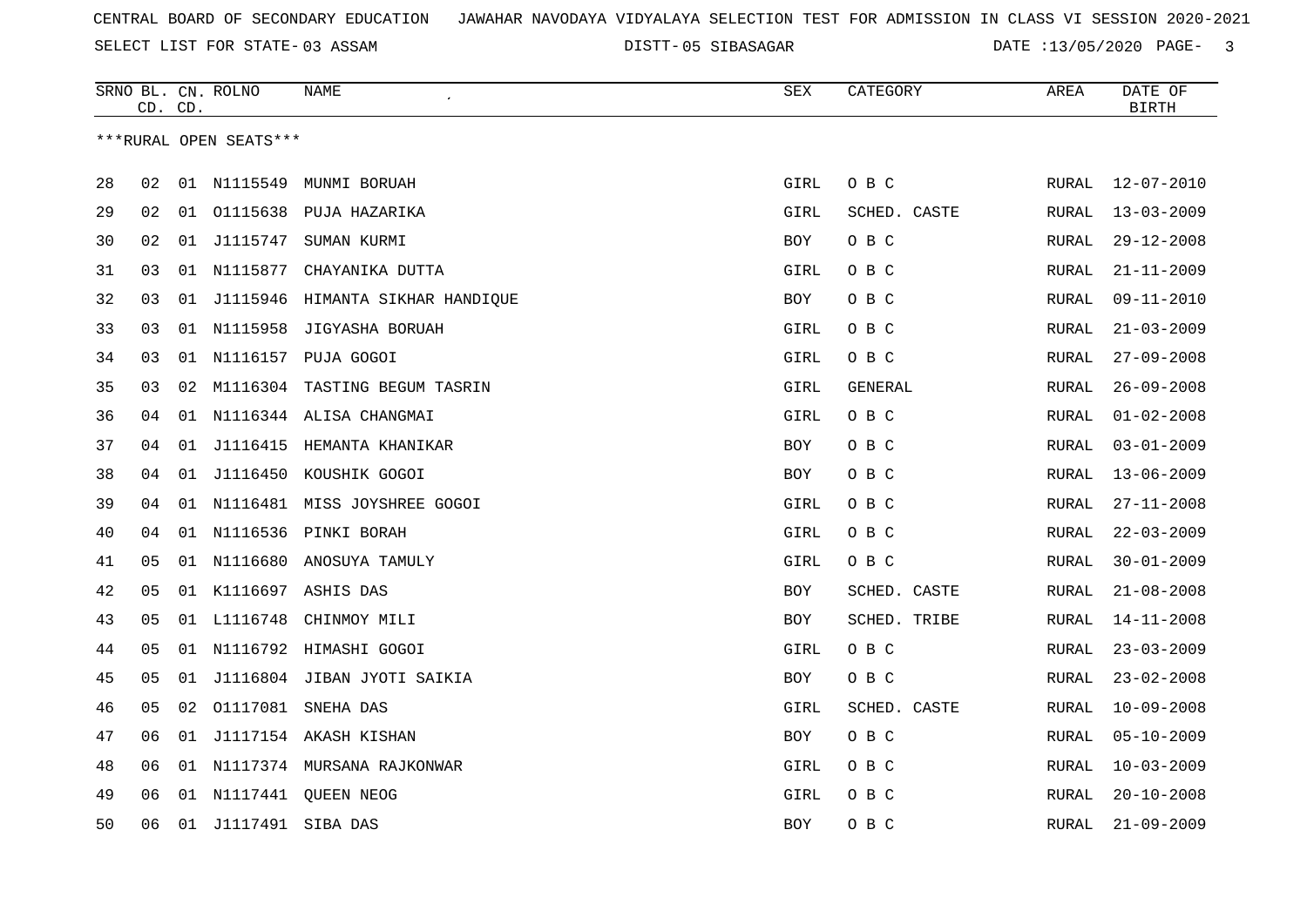SELECT LIST FOR STATE- DISTT- 03 ASSAM

05 SIBASAGAR DATE :13/05/2020 PAGE- 3

|    |    | CD. CD. | SRNO BL. CN. ROLNO     | NAME                             | SEX        | CATEGORY     | AREA          | DATE OF<br><b>BIRTH</b> |
|----|----|---------|------------------------|----------------------------------|------------|--------------|---------------|-------------------------|
|    |    |         | ***RURAL OPEN SEATS*** |                                  |            |              |               |                         |
| 28 | 02 |         | 01 N1115549            | MUNMI BORUAH                     | GIRL       | O B C        | RURAL         | $12 - 07 - 2010$        |
| 29 | 02 | 01      | 01115638               | PUJA HAZARIKA                    | GIRL       | SCHED. CASTE | RURAL         | $13 - 03 - 2009$        |
| 30 | 02 | 01      | J1115747               | SUMAN KURMI                      | BOY        | O B C        | RURAL         | $29 - 12 - 2008$        |
| 31 | 03 |         | 01 N1115877            | CHAYANIKA DUTTA                  | GIRL       | O B C        | ${\tt RURAL}$ | $21 - 11 - 2009$        |
| 32 | 03 | 01      |                        | J1115946 HIMANTA SIKHAR HANDIQUE | <b>BOY</b> | O B C        | RURAL         | $09 - 11 - 2010$        |
| 33 | 03 |         | 01 N1115958            | JIGYASHA BORUAH                  | GIRL       | O B C        | RURAL         | $21 - 03 - 2009$        |
| 34 | 03 | 01      | N1116157               | PUJA GOGOI                       | GIRL       | O B C        | RURAL         | $27 - 09 - 2008$        |
| 35 | 03 | 02      |                        | M1116304 TASTING BEGUM TASRIN    | GIRL       | GENERAL      | RURAL         | $26 - 09 - 2008$        |
| 36 | 04 |         |                        | 01 N1116344 ALISA CHANGMAI       | GIRL       | O B C        | RURAL         | $01 - 02 - 2008$        |
| 37 | 04 | 01      |                        | J1116415 HEMANTA KHANIKAR        | <b>BOY</b> | O B C        | <b>RURAL</b>  | $03 - 01 - 2009$        |
| 38 | 04 |         |                        | 01 J1116450 KOUSHIK GOGOI        | <b>BOY</b> | O B C        | <b>RURAL</b>  | $13 - 06 - 2009$        |
| 39 | 04 | 01      |                        | N1116481 MISS JOYSHREE GOGOI     | GIRL       | O B C        | RURAL         | $27 - 11 - 2008$        |
| 40 | 04 |         |                        | 01 N1116536 PINKI BORAH          | GIRL       | O B C        | RURAL         | $22 - 03 - 2009$        |
| 41 | 05 |         |                        | 01 N1116680 ANOSUYA TAMULY       | GIRL       | O B C        | RURAL         | $30 - 01 - 2009$        |
| 42 | 05 |         |                        | 01 K1116697 ASHIS DAS            | BOY        | SCHED. CASTE | RURAL         | $21 - 08 - 2008$        |
| 43 | 05 |         | 01 L1116748            | CHINMOY MILI                     | BOY        | SCHED. TRIBE | RURAL         | $14 - 11 - 2008$        |
| 44 | 05 |         |                        | 01 N1116792 HIMASHI GOGOI        | GIRL       | O B C        | <b>RURAL</b>  | $23 - 03 - 2009$        |
| 45 | 05 |         |                        | 01 J1116804 JIBAN JYOTI SAIKIA   | BOY        | O B C        | RURAL         | $23 - 02 - 2008$        |
| 46 | 05 | 02      |                        | 01117081 SNEHA DAS               | GIRL       | SCHED. CASTE | RURAL         | $10 - 09 - 2008$        |
| 47 | 06 | 01      |                        | J1117154 AKASH KISHAN            | BOY        | O B C        | RURAL         | $05 - 10 - 2009$        |
| 48 | 06 | 01      |                        | N1117374 MURSANA RAJKONWAR       | GIRL       | O B C        | RURAL         | $10 - 03 - 2009$        |
| 49 | 06 |         |                        | 01 N1117441 OUEEN NEOG           | GIRL       | O B C        | RURAL         | $20 - 10 - 2008$        |
| 50 | 06 |         | 01 J1117491 SIBA DAS   |                                  | <b>BOY</b> | O B C        | RURAL         | $21 - 09 - 2009$        |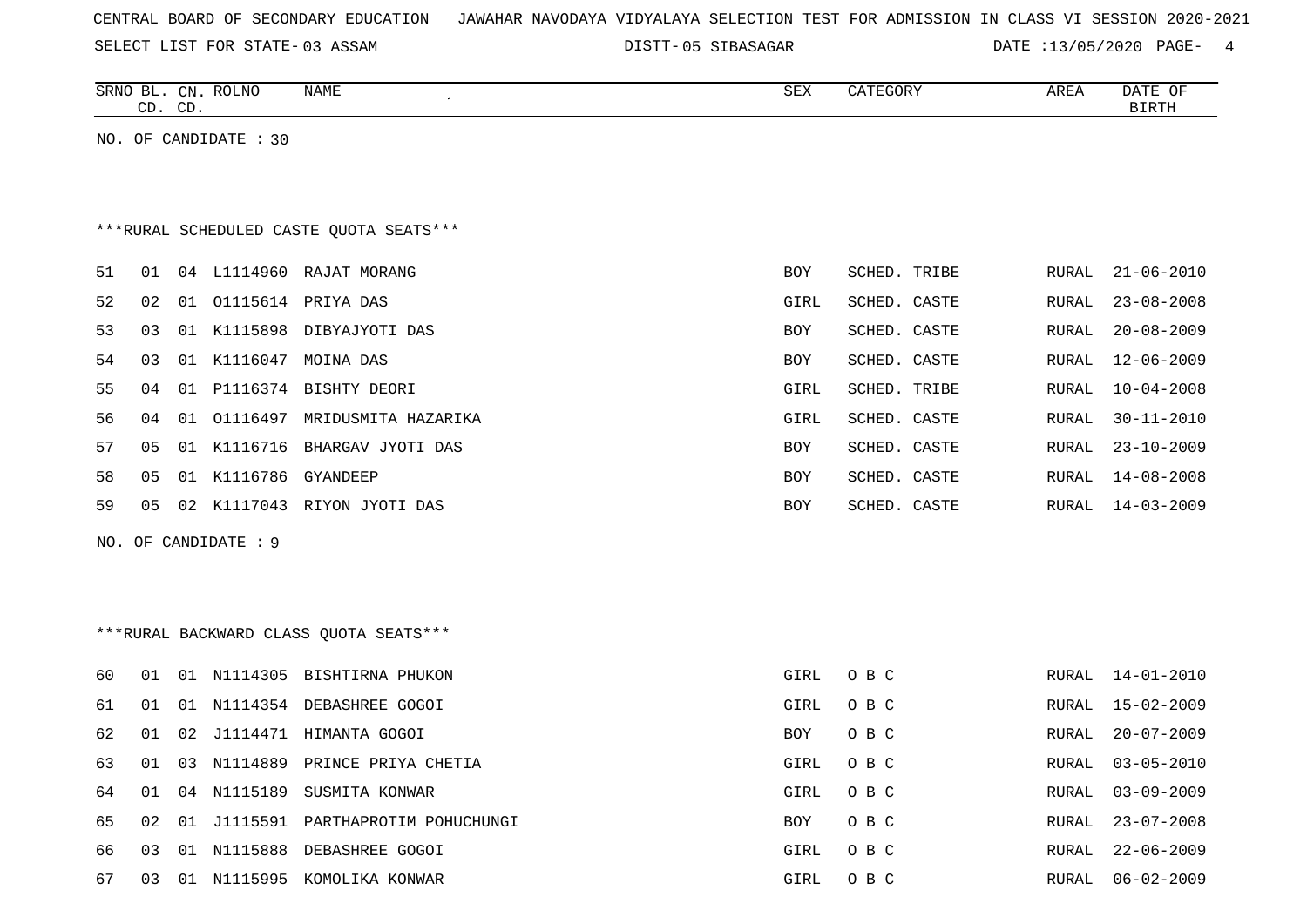| CENTRAL BOARD OF SECONDARY EDUCATION – JAWAHAR NAVODAYA VIDYALAYA SELECTION TEST FOR ADMISSION IN CLASS VI SESSION 2020-2021 |  |  |  |  |
|------------------------------------------------------------------------------------------------------------------------------|--|--|--|--|
|------------------------------------------------------------------------------------------------------------------------------|--|--|--|--|

SELECT LIST FOR STATE- DISTT- 03 ASSAM

05 SIBASAGAR DATE :13/05/2020 PAGE- 4

|                                         |    | CD. CD. | SRNO BL. CN. ROLNO    | <b>NAME</b><br>$\bullet$            | SEX        | CATEGORY     | AREA         | DATE OF<br><b>BIRTH</b> |
|-----------------------------------------|----|---------|-----------------------|-------------------------------------|------------|--------------|--------------|-------------------------|
|                                         |    |         | NO. OF CANDIDATE : 30 |                                     |            |              |              |                         |
|                                         |    |         |                       |                                     |            |              |              |                         |
|                                         |    |         |                       |                                     |            |              |              |                         |
| ***RURAL SCHEDULED CASTE QUOTA SEATS*** |    |         |                       |                                     |            |              |              |                         |
| 51                                      | 01 |         |                       | 04 L1114960 RAJAT MORANG            | <b>BOY</b> | SCHED. TRIBE | RURAL        | $21 - 06 - 2010$        |
| 52                                      | 02 |         |                       | 01 01115614 PRIYA DAS               | GIRL       | SCHED. CASTE | RURAL        | $23 - 08 - 2008$        |
| 53                                      | 03 |         |                       | 01 K1115898 DIBYAJYOTI DAS          | <b>BOY</b> | SCHED. CASTE | RURAL        | $20 - 08 - 2009$        |
| 54                                      | 03 |         | 01 K1116047           | MOINA DAS                           | BOY        | SCHED. CASTE | RURAL        | $12 - 06 - 2009$        |
| 55                                      | 04 |         |                       | 01 P1116374 BISHTY DEORI            | GIRL       | SCHED. TRIBE | <b>RURAL</b> | $10 - 04 - 2008$        |
| 56                                      | 04 |         | 01 01116497           | MRIDUSMITA HAZARIKA                 | GIRL       | SCHED. CASTE | RURAL        | $30 - 11 - 2010$        |
| 57                                      | 05 |         |                       | 01 K1116716 BHARGAV JYOTI DAS       | BOY        | SCHED. CASTE | RURAL        | $23 - 10 - 2009$        |
| 58                                      | 05 | 01      | K1116786 GYANDEEP     |                                     | BOY        | SCHED. CASTE | RURAL        | $14 - 08 - 2008$        |
| 59                                      | 05 |         |                       | 02 K1117043 RIYON JYOTI DAS         | BOY        | SCHED. CASTE | RURAL        | $14 - 03 - 2009$        |
| NO. OF CANDIDATE : 9                    |    |         |                       |                                     |            |              |              |                         |
|                                         |    |         |                       |                                     |            |              |              |                         |
|                                         |    |         |                       |                                     |            |              |              |                         |
| *** RURAL BACKWARD CLASS QUOTA SEATS*** |    |         |                       |                                     |            |              |              |                         |
| 60                                      | 01 |         |                       | 01 N1114305 BISHTIRNA PHUKON        | GIRL       | O B C        | RURAL        | $14 - 01 - 2010$        |
| 61                                      | 01 |         |                       | 01 N1114354 DEBASHREE GOGOI         | GIRL       | O B C        | RURAL        | $15 - 02 - 2009$        |
| 62                                      | 01 | 02      |                       | J1114471 HIMANTA GOGOI              | BOY        | O B C        | <b>RURAL</b> | $20 - 07 - 2009$        |
| 63                                      | 01 | 03      | N1114889              | PRINCE PRIYA CHETIA                 | GIRL       | O B C        | RURAL        | $03 - 05 - 2010$        |
| 64                                      | 01 |         | 04 N1115189           | SUSMITA KONWAR                      | GIRL       | O B C        | <b>RURAL</b> | $03 - 09 - 2009$        |
| 65                                      | 02 |         |                       | 01 J1115591 PARTHAPROTIM POHUCHUNGI | <b>BOY</b> | O B C        | RURAL        | $23 - 07 - 2008$        |

66 03 01 N1115888 DEBASHREE GOGOI GIRL O B C RURAL 22-06-2009 67 03 01 N1115995 KOMOLIKA KONWAR GIRL O B C RURAL 06-02-2009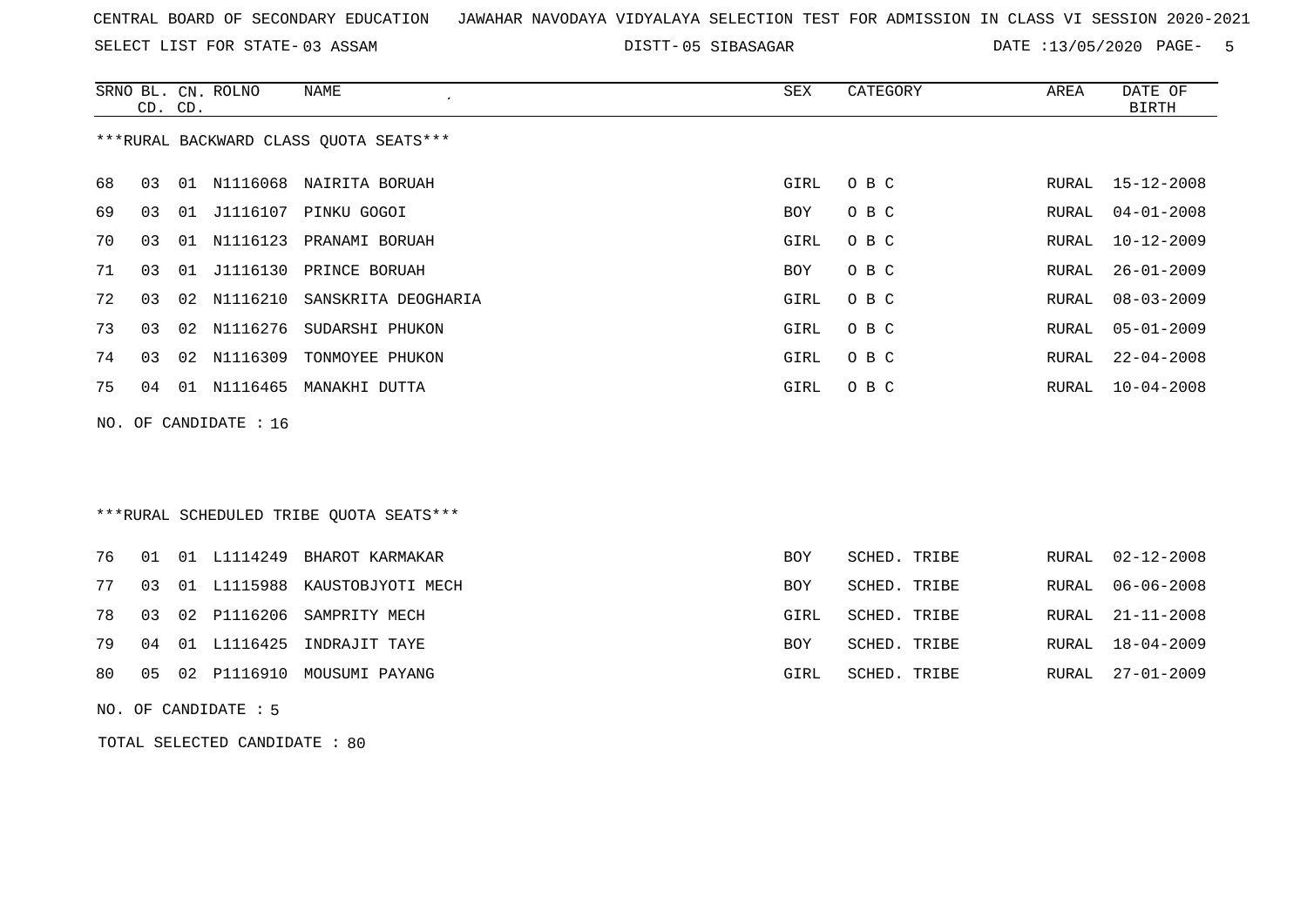SELECT LIST FOR STATE- DISTT- 03 ASSAM

05 SIBASAGAR DATE :13/05/2020 PAGE- 5

|    |    | CD. CD. | SRNO BL. CN. ROLNO    | <b>NAME</b><br>$\cdot$                  | <b>SEX</b> | CATEGORY     | <b>AREA</b>  | DATE OF<br><b>BIRTH</b> |
|----|----|---------|-----------------------|-----------------------------------------|------------|--------------|--------------|-------------------------|
|    |    |         |                       | ***RURAL BACKWARD CLASS OUOTA SEATS***  |            |              |              |                         |
| 68 | 03 |         |                       | 01 N1116068 NAIRITA BORUAH              | GIRL       | O B C        | RURAL        | 15-12-2008              |
| 69 | 03 | 01      | J1116107              | PINKU GOGOI                             | <b>BOY</b> | O B C        | RURAL        | $04 - 01 - 2008$        |
| 70 | 03 |         |                       | 01 N1116123 PRANAMI BORUAH              | GIRL       | O B C        | RURAL        | $10 - 12 - 2009$        |
| 71 | 03 |         |                       | 01 J1116130 PRINCE BORUAH               | BOY        | O B C        | RURAL        | $26 - 01 - 2009$        |
| 72 | 03 | 02      | N1116210              | SANSKRITA DEOGHARIA                     | GIRL       | O B C        | RURAL        | $08 - 03 - 2009$        |
| 73 | 03 | 02      | N1116276              | SUDARSHI PHUKON                         | GIRL       | O B C        | RURAL        | $05 - 01 - 2009$        |
| 74 | 03 | 02      | N1116309              | TONMOYEE PHUKON                         | GIRL       | O B C        | RURAL        | $22 - 04 - 2008$        |
| 75 | 04 |         | 01 N1116465           | MANAKHI DUTTA                           | GIRL       | O B C        | RURAL        | $10 - 04 - 2008$        |
|    |    |         | NO. OF CANDIDATE : 16 |                                         |            |              |              |                         |
|    |    |         |                       |                                         |            |              |              |                         |
|    |    |         |                       |                                         |            |              |              |                         |
|    |    |         |                       | ***RURAL SCHEDULED TRIBE QUOTA SEATS*** |            |              |              |                         |
| 76 | 01 |         | 01 L1114249           | BHAROT KARMAKAR                         | <b>BOY</b> | SCHED. TRIBE | RURAL        | $02 - 12 - 2008$        |
| 77 | 03 | 01      | L1115988              | KAUSTOBJYOTI MECH                       | <b>BOY</b> | SCHED. TRIBE | RURAL        | $06 - 06 - 2008$        |
| 78 | 03 | 02      | P1116206              | SAMPRITY MECH                           | GIRL       | SCHED. TRIBE | <b>RURAL</b> | $21 - 11 - 2008$        |
| 79 | 04 |         |                       | 01 L1116425 INDRAJIT TAYE               | <b>BOY</b> | SCHED. TRIBE | RURAL        | 18-04-2009              |

- 80 05 02 P1116910 MOUSUMI PAYANG GIRL SCHED. TRIBE RURAL SCHED. TRIBE RURAL 27-01-2009
- NO. OF CANDIDATE : 5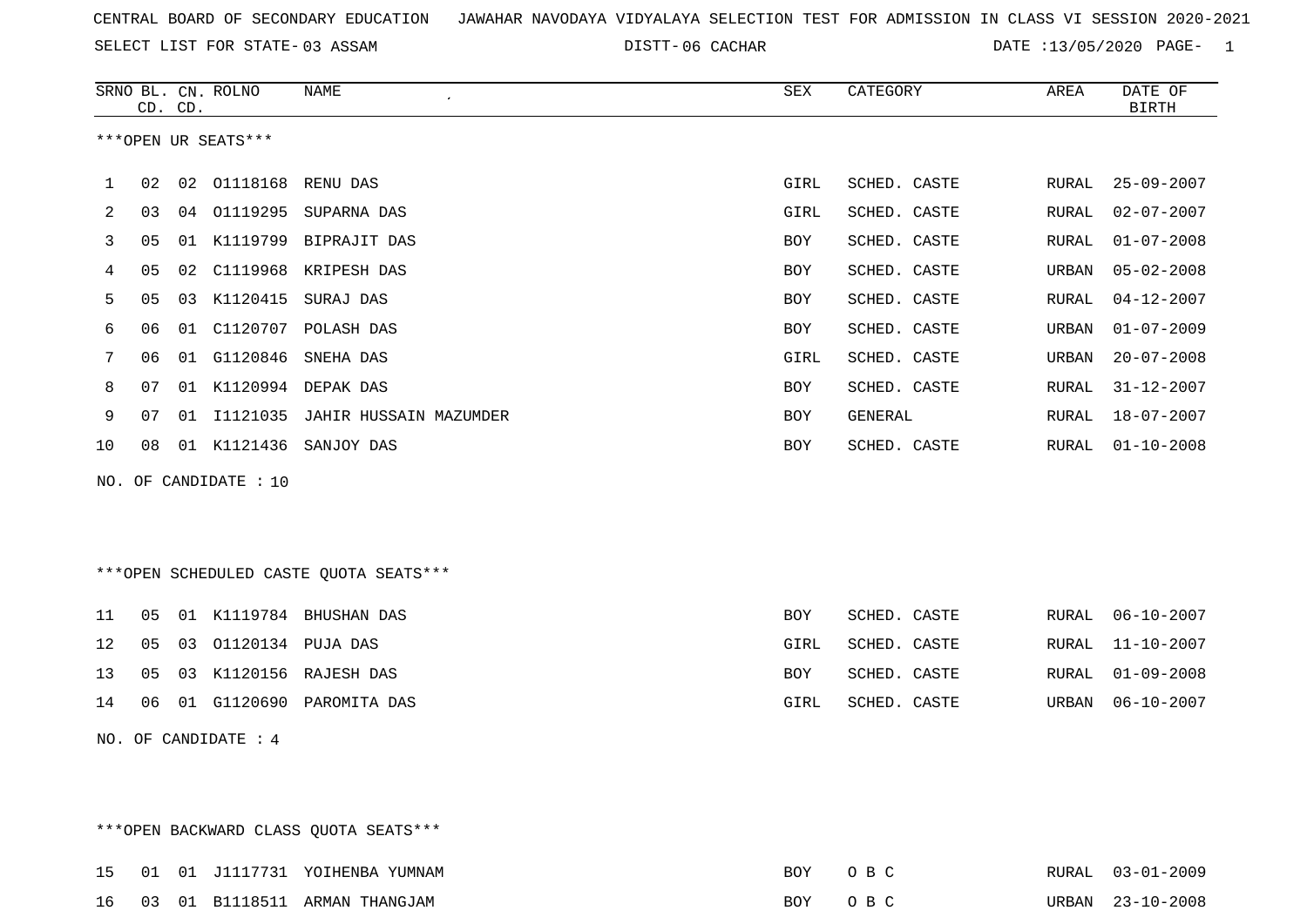06 CACHAR DATE :13/05/2020 PAGE- 1

|    | CD. CD.        |    | SRNO BL. CN. ROLNO  | NAME                   | <b>SEX</b> | CATEGORY     | AREA  | DATE OF<br>BIRTH |
|----|----------------|----|---------------------|------------------------|------------|--------------|-------|------------------|
|    |                |    | ***OPEN UR SEATS*** |                        |            |              |       |                  |
|    | 02             | 02 | 01118168 RENU DAS   |                        | GIRL       | SCHED. CASTE | RURAL | $25 - 09 - 2007$ |
| 2  | 03             | 04 | 01119295            | SUPARNA DAS            | GIRL       | SCHED. CASTE | RURAL | $02 - 07 - 2007$ |
| 3  | 0 <sub>5</sub> | 01 | K1119799            | BIPRAJIT DAS           | <b>BOY</b> | SCHED. CASTE | RURAL | $01 - 07 - 2008$ |
| 4  | 05             | 02 | C1119968            | KRIPESH DAS            | <b>BOY</b> | SCHED. CASTE | URBAN | $05 - 02 - 2008$ |
| 5  | 05             | 03 | K1120415            | SURAJ DAS              | BOY        | SCHED. CASTE | RURAL | 04-12-2007       |
| 6  | 06             | 01 | C1120707            | POLASH DAS             | <b>BOY</b> | SCHED. CASTE | URBAN | $01 - 07 - 2009$ |
|    | 06             | 01 | G1120846            | SNEHA DAS              | GIRL       | SCHED. CASTE | URBAN | $20 - 07 - 2008$ |
| 8  | 07             | 01 | K1120994            | DEPAK DAS              | <b>BOY</b> | SCHED. CASTE | RURAL | $31 - 12 - 2007$ |
| 9  | 07             | 01 | I1121035            | JAHIR HUSSAIN MAZUMDER | BOY        | GENERAL      | RURAL | 18-07-2007       |
| 10 | 08             | 01 | K1121436            | SANJOY DAS             | BOY        | SCHED. CASTE | RURAL | $01 - 10 - 2008$ |
|    |                |    |                     |                        |            |              |       |                  |

NO. OF CANDIDATE : 10

\*\*\*OPEN SCHEDULED CASTE QUOTA SEATS\*\*\*

|  |                                | 11  05  01  K1119784  BHUSHAN DAS | BOY        | SCHED. CASTE |  | RURAL 06-10-2007 |
|--|--------------------------------|-----------------------------------|------------|--------------|--|------------------|
|  | 12  05  03  01120134  PUJA DAS |                                   | GIRL       | SCHED. CASTE |  | RURAL 11-10-2007 |
|  |                                | 13 05 03 K1120156 RAJESH DAS      | <b>BOY</b> | SCHED. CASTE |  | RURAL 01-09-2008 |
|  |                                | 14 06 01 G1120690 PAROMITA DAS    | GIRL       | SCHED. CASTE |  | URBAN 06-10-2007 |

NO. OF CANDIDATE : 4

\*\*\*OPEN BACKWARD CLASS QUOTA SEATS\*\*\* 15 01 01 J1117731 YOIHENBA YUMNAM BOY O B C RURAL 03-01-2009 16 03 01 B1118511 ARMAN THANGJAM BOY O B C URBAN 23-10-2008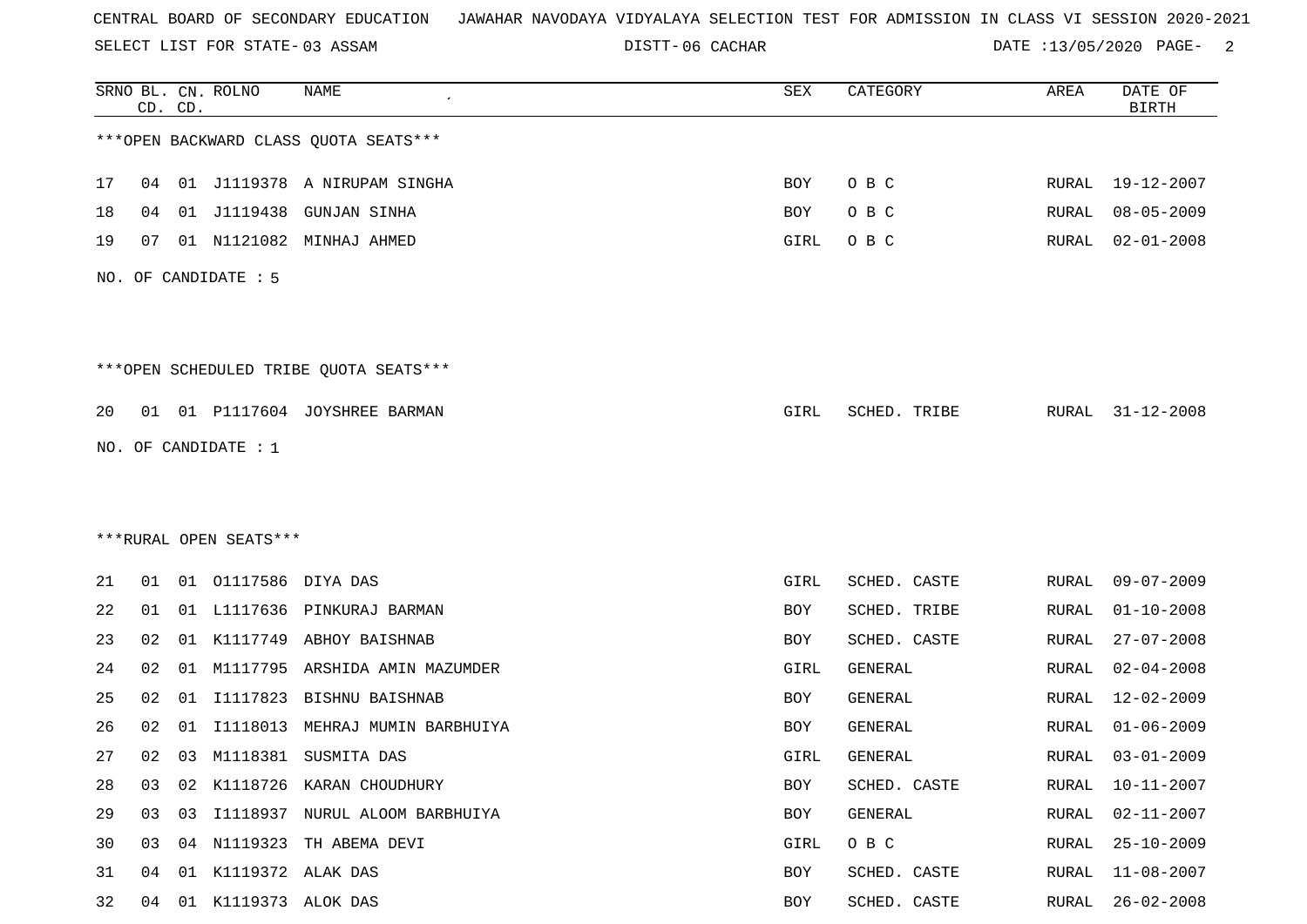SELECT LIST FOR STATE- DISTT- 03 ASSAM

DISTT-06 CACHAR **DATE** :13/05/2020 PAGE- 2

|    | CD. CD. |    | SRNO BL. CN. ROLNO     | <b>NAME</b>                            | <b>SEX</b> | CATEGORY     | AREA         | DATE OF<br><b>BIRTH</b> |
|----|---------|----|------------------------|----------------------------------------|------------|--------------|--------------|-------------------------|
|    |         |    |                        | *** OPEN BACKWARD CLASS QUOTA SEATS*** |            |              |              |                         |
| 17 |         |    |                        | 04 01 J1119378 A NIRUPAM SINGHA        | BOY        | O B C        |              | RURAL 19-12-2007        |
| 18 | 04      |    | 01 J1119438            | GUNJAN SINHA                           | BOY        | O B C        | RURAL        | $08 - 05 - 2009$        |
| 19 | 07      |    |                        | 01 N1121082 MINHAJ AHMED               | GIRL       | O B C        | RURAL        | $02 - 01 - 2008$        |
|    |         |    | NO. OF CANDIDATE : 5   |                                        |            |              |              |                         |
|    |         |    |                        |                                        |            |              |              |                         |
|    |         |    |                        | ***OPEN SCHEDULED TRIBE QUOTA SEATS*** |            |              |              |                         |
| 20 |         |    |                        | 01 01 P1117604 JOYSHREE BARMAN         | GIRL       | SCHED. TRIBE | RURAL        | $31 - 12 - 2008$        |
|    |         |    | NO. OF CANDIDATE : $1$ |                                        |            |              |              |                         |
|    |         |    |                        |                                        |            |              |              |                         |
|    |         |    |                        |                                        |            |              |              |                         |
|    |         |    | ***RURAL OPEN SEATS*** |                                        |            |              |              |                         |
| 21 | 01      |    | 01 01117586 DIYA DAS   |                                        | GIRL       | SCHED. CASTE | RURAL        | $09 - 07 - 2009$        |
| 22 | 01      |    |                        | 01 L1117636 PINKURAJ BARMAN            | BOY        | SCHED. TRIBE | RURAL        | $01 - 10 - 2008$        |
| 23 | 02      | 01 |                        | K1117749 ABHOY BAISHNAB                | BOY        | SCHED. CASTE | RURAL        | $27 - 07 - 2008$        |
| 24 | 02      | 01 |                        | M1117795 ARSHIDA AMIN MAZUMDER         | GIRL       | GENERAL      | RURAL        | $02 - 04 - 2008$        |
| 25 | 02      | 01 |                        | I1117823 BISHNU BAISHNAB               | BOY        | GENERAL      | RURAL        | 12-02-2009              |
| 26 | 02      | 01 | I1118013               | MEHRAJ MUMIN BARBHUIYA                 | BOY        | GENERAL      | RURAL        | $01 - 06 - 2009$        |
| 27 |         |    |                        | 02 03 M1118381 SUSMITA DAS             | GIRL       | GENERAL      | RURAL        | $03 - 01 - 2009$        |
| 28 | 03      |    |                        | 02 K1118726 KARAN CHOUDHURY            | BOY        | SCHED. CASTE | RURAL        | $10 - 11 - 2007$        |
| 29 | 03      |    |                        | 03 I1118937 NURUL ALOOM BARBHUIYA      | BOY        | GENERAL      | RURAL        | 02-11-2007              |
| 30 | 03      |    |                        | 04 N1119323 TH ABEMA DEVI              | GIRL       | O B C        | RURAL        | $25 - 10 - 2009$        |
| 31 | 04      | 01 |                        | K1119372 ALAK DAS                      | BOY        | SCHED. CASTE | RURAL        | $11 - 08 - 2007$        |
| 32 | 04      |    | 01 K1119373 ALOK DAS   |                                        | BOY        | SCHED. CASTE | <b>RURAL</b> | $26 - 02 - 2008$        |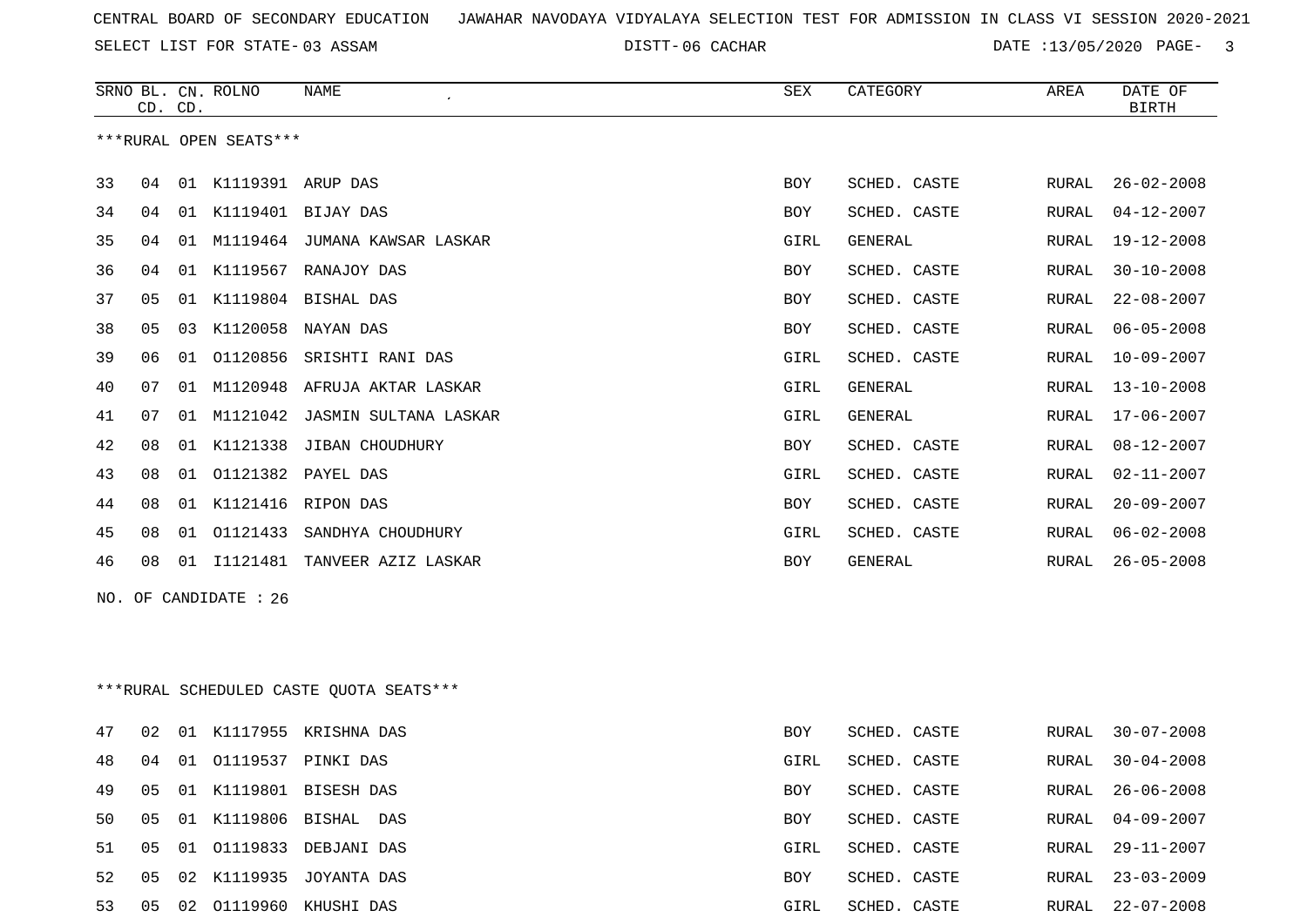06 CACHAR DATE :13/05/2020 PAGE- 3

|    | CD. CD. |    | SRNO BL. CN. ROLNO     | NAME                           | <b>SEX</b> | CATEGORY       | AREA         | DATE OF<br><b>BIRTH</b> |
|----|---------|----|------------------------|--------------------------------|------------|----------------|--------------|-------------------------|
|    |         |    | ***RURAL OPEN SEATS*** |                                |            |                |              |                         |
| 33 | 04      | 01 | K1119391 ARUP DAS      |                                | <b>BOY</b> | SCHED. CASTE   | RURAL        | $26 - 02 - 2008$        |
| 34 | 04      | 01 | K1119401               | BIJAY DAS                      | <b>BOY</b> | SCHED. CASTE   | RURAL        | $04 - 12 - 2007$        |
| 35 | 04      | 01 |                        | M1119464 JUMANA KAWSAR LASKAR  | GIRL       | GENERAL        | RURAL        | $19 - 12 - 2008$        |
| 36 | 04      | 01 | K1119567               | RANAJOY DAS                    | <b>BOY</b> | SCHED. CASTE   | RURAL        | $30 - 10 - 2008$        |
| 37 | 05      | 01 | K1119804               | BISHAL DAS                     | <b>BOY</b> | SCHED. CASTE   | RURAL        | $22 - 08 - 2007$        |
| 38 | 05      | 03 | K1120058               | NAYAN DAS                      | <b>BOY</b> | SCHED. CASTE   | RURAL        | $06 - 05 - 2008$        |
| 39 | 06      | 01 | 01120856               | SRISHTI RANI DAS               | GIRL       | SCHED. CASTE   | RURAL        | $10 - 09 - 2007$        |
| 40 | 07      | 01 | M1120948               | AFRUJA AKTAR LASKAR            | GIRL       | <b>GENERAL</b> | RURAL        | $13 - 10 - 2008$        |
| 41 | 07      | 01 |                        | M1121042 JASMIN SULTANA LASKAR | GIRL       | GENERAL        | RURAL        | $17 - 06 - 2007$        |
| 42 | 08      | 01 | K1121338               | JIBAN CHOUDHURY                | <b>BOY</b> | SCHED. CASTE   | RURAL        | $08 - 12 - 2007$        |
| 43 | 08      | 01 |                        | O1121382 PAYEL DAS             | GIRL       | SCHED. CASTE   | <b>RURAL</b> | $02 - 11 - 2007$        |
| 44 | 08      | 01 | K1121416               | RIPON DAS                      | <b>BOY</b> | SCHED. CASTE   | RURAL        | $20 - 09 - 2007$        |
| 45 | 08      | 01 | 01121433               | SANDHYA CHOUDHURY              | GIRL       | SCHED. CASTE   | RURAL        | $06 - 02 - 2008$        |
| 46 | 08      | 01 | I1121481               | TANVEER AZIZ LASKAR            | <b>BOY</b> | GENERAL        | RURAL        | $26 - 05 - 2008$        |
|    |         |    |                        |                                |            |                |              |                         |

NO. OF CANDIDATE : 26

\*\*\*RURAL SCHEDULED CASTE QUOTA SEATS\*\*\*

| 47  | 02 |             | 01 K1117955 KRISHNA DAS    | BOY        | SCHED. CASTE |       | RURAL 30-07-2008 |
|-----|----|-------------|----------------------------|------------|--------------|-------|------------------|
| 48. | 04 |             | 01 01119537 PINKI DAS      | GIRL       | SCHED. CASTE |       | RURAL 30-04-2008 |
| 49  |    |             | 05 01 K1119801 BISESH DAS  | <b>BOY</b> | SCHED. CASTE |       | RURAL 26-06-2008 |
| 50  |    |             | 05 01 K1119806 BISHAL DAS  | <b>BOY</b> | SCHED. CASTE |       | RURAL 04-09-2007 |
| 51  |    |             | 05 01 01119833 DEBJANI DAS | GIRL       | SCHED. CASTE |       | RURAL 29-11-2007 |
| 52  | 05 |             | 02 K1119935 JOYANTA DAS    | <b>BOY</b> | SCHED. CASTE |       | RURAL 23-03-2009 |
| 53  | 05 | 02 01119960 | KHUSHI DAS                 | GIRL       | SCHED. CASTE | RURAL | 22-07-2008       |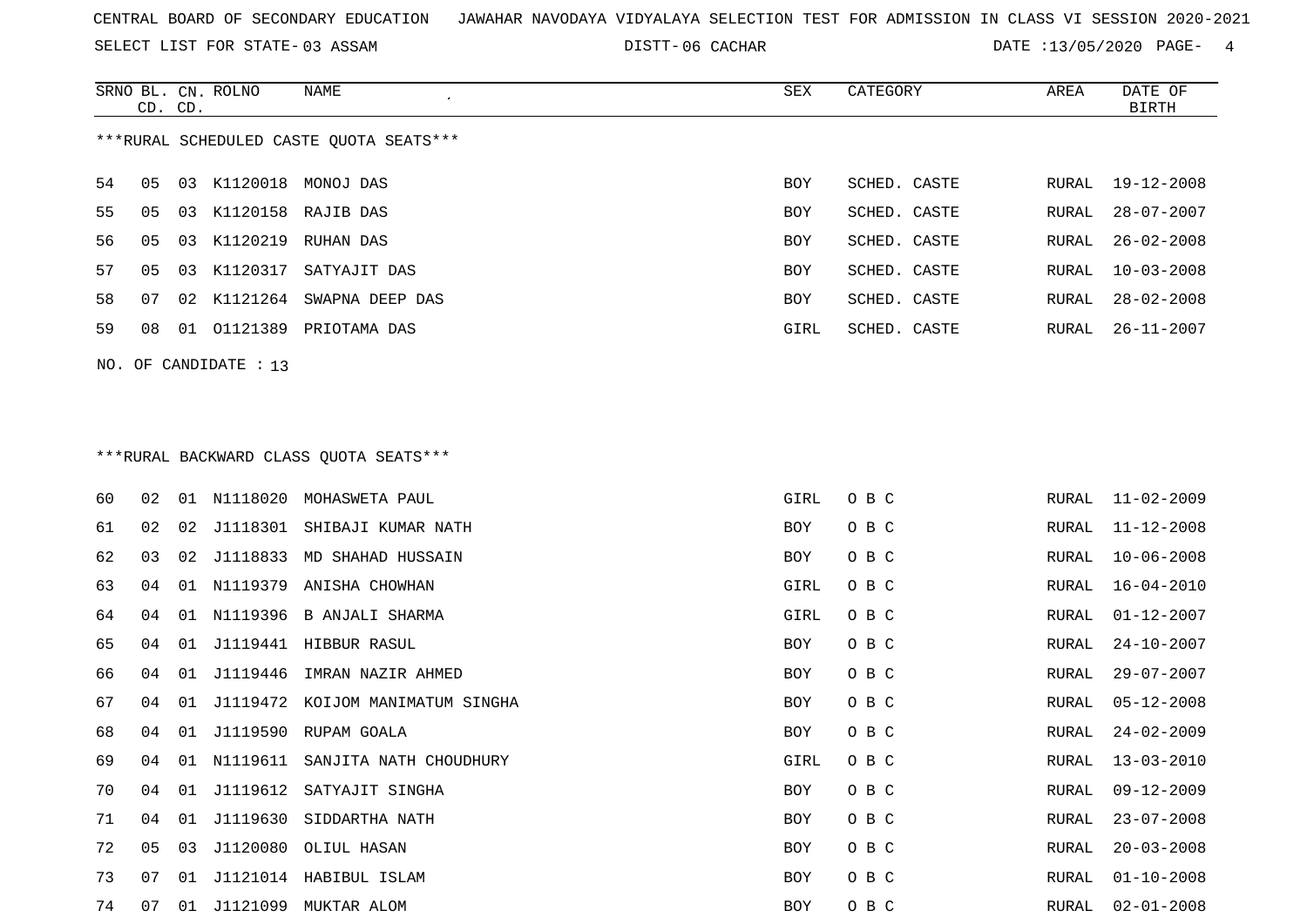SELECT LIST FOR STATE- DISTT- 03 ASSAM

06 CACHAR DATE :13/05/2020 PAGE- 4

|    |                                         | CD. CD. | SRNO BL. CN. ROLNO | NAME               | SEX        | CATEGORY     | AREA  | DATE OF<br>BIRTH |  |  |
|----|-----------------------------------------|---------|--------------------|--------------------|------------|--------------|-------|------------------|--|--|
|    | ***RURAL SCHEDULED CASTE OUOTA SEATS*** |         |                    |                    |            |              |       |                  |  |  |
| 54 | 05                                      | 03      |                    | K1120018 MONOJ DAS | <b>BOY</b> | SCHED. CASTE | RURAL | 19-12-2008       |  |  |
| 55 | 05                                      | 03      |                    | K1120158 RAJIB DAS | BOY        | SCHED. CASTE | RURAL | $28 - 07 - 2007$ |  |  |
| 56 | 05                                      | 03      | K1120219           | RUHAN DAS          | <b>BOY</b> | SCHED. CASTE | RURAL | $26 - 02 - 2008$ |  |  |
| 57 | 05                                      | 03      | K1120317           | SATYAJIT DAS       | BOY        | SCHED. CASTE | RURAL | $10 - 03 - 2008$ |  |  |
| 58 | 07                                      |         | 02 K1121264        | SWAPNA DEEP DAS    | BOY        | SCHED. CASTE | RURAL | $28 - 02 - 2008$ |  |  |
| 59 | 08                                      | 01      | 01121389           | PRIOTAMA DAS       | GIRL       | SCHED. CASTE | RURAL | 26-11-2007       |  |  |
|    | NO. OF CANDIDATE : 13                   |         |                    |                    |            |              |       |                  |  |  |

# \*\*\*RURAL BACKWARD CLASS QUOTA SEATS\*\*\*

| 60 | 02 |                 |          | 01 N1118020 MOHASWETA PAUL         | GIRL       | O B C | RURAL | 11-02-2009       |
|----|----|-----------------|----------|------------------------------------|------------|-------|-------|------------------|
| 61 | 02 | 02 <sub>o</sub> |          | J1118301 SHIBAJI KUMAR NATH        | <b>BOY</b> | O B C | RURAL | $11 - 12 - 2008$ |
| 62 | 03 | 02              |          | J1118833 MD SHAHAD HUSSAIN         | BOY        | O B C | RURAL | $10 - 06 - 2008$ |
| 63 | 04 | 01              |          | N1119379 ANISHA CHOWHAN            | GIRL       | O B C | RURAL | $16 - 04 - 2010$ |
| 64 | 04 |                 |          | 01 N1119396 B ANJALI SHARMA        | GIRL       | O B C | RURAL | $01 - 12 - 2007$ |
| 65 | 04 | 01              |          | J1119441 HIBBUR RASUL              | BOY        | O B C | RURAL | $24 - 10 - 2007$ |
| 66 | 04 | 01              | J1119446 | IMRAN NAZIR AHMED                  | BOY        | O B C | RURAL | $29 - 07 - 2007$ |
| 67 | 04 | 01              |          | J1119472 KOIJOM MANIMATUM SINGHA   | <b>BOY</b> | O B C | RURAL | $05 - 12 - 2008$ |
| 68 | 04 | 01              |          | J1119590 RUPAM GOALA               | BOY        | O B C | RURAL | $24 - 02 - 2009$ |
| 69 | 04 |                 |          | 01 N1119611 SANJITA NATH CHOUDHURY | GIRL       | O B C | RURAL | 13-03-2010       |
| 70 | 04 | 01              |          | J1119612 SATYAJIT SINGHA           | <b>BOY</b> | O B C | RURAL | $09 - 12 - 2009$ |
| 71 | 04 | 01              |          | J1119630 SIDDARTHA NATH            | BOY        | O B C | RURAL | $23 - 07 - 2008$ |
| 72 | 05 | 03              |          | J1120080 OLIUL HASAN               | BOY        | O B C | RURAL | $20 - 03 - 2008$ |
| 73 | 07 | 01              |          | J1121014 HABIBUL ISLAM             | BOY        | O B C | RURAL | $01 - 10 - 2008$ |
| 74 | 07 | 01              |          | J1121099 MUKTAR ALOM               | BOY        | O B C | RURAL | $02 - 01 - 2008$ |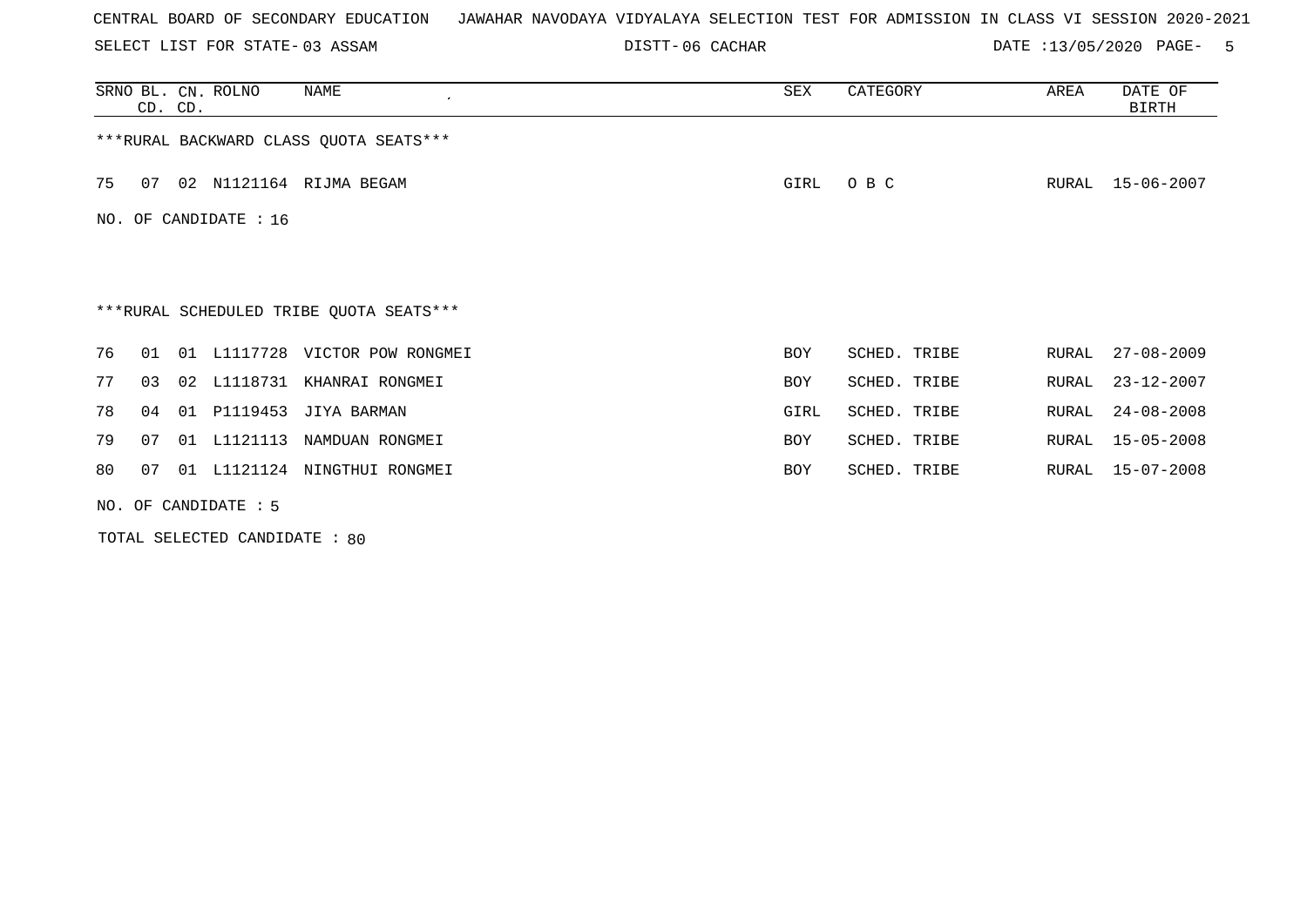SELECT LIST FOR STATE- DISTT- 03 ASSAM

06 CACHAR DATE :13/05/2020 PAGE- 5

|          | CD. CD. | SRNO BL. CN. ROLNO   | NAME<br>$\cdot$                         | SEX        | CATEGORY     | AREA  | DATE OF<br><b>BIRTH</b> |
|----------|---------|----------------------|-----------------------------------------|------------|--------------|-------|-------------------------|
|          |         |                      | *** RURAL BACKWARD CLASS QUOTA SEATS*** |            |              |       |                         |
| 75<br>07 |         |                      | 02 N1121164 RIJMA BEGAM                 | GIRL       | O B C        | RURAL | $15 - 06 - 2007$        |
| NO.      |         | OF CANDIDATE : 16    |                                         |            |              |       |                         |
|          |         |                      |                                         |            |              |       |                         |
|          |         |                      | ***RURAL SCHEDULED TRIBE QUOTA SEATS*** |            |              |       |                         |
| 76<br>01 |         |                      | 01 L1117728 VICTOR POW RONGMEI          | BOY        | SCHED. TRIBE | RURAL | $27 - 08 - 2009$        |
| 77<br>03 |         | 02 L1118731          | KHANRAI RONGMEI                         | <b>BOY</b> | SCHED. TRIBE | RURAL | $23 - 12 - 2007$        |
| 78<br>04 |         |                      | 01 P1119453 JIYA BARMAN                 | GIRL       | SCHED. TRIBE | RURAL | $24 - 08 - 2008$        |
| 79<br>07 |         | 01 L1121113          | NAMDUAN RONGMEI                         | <b>BOY</b> | SCHED. TRIBE | RURAL | $15 - 05 - 2008$        |
| 80<br>07 |         |                      | 01 L1121124 NINGTHUI RONGMEI            | <b>BOY</b> | SCHED. TRIBE | RURAL | 15-07-2008              |
|          |         | NO. OF CANDIDATE : 5 |                                         |            |              |       |                         |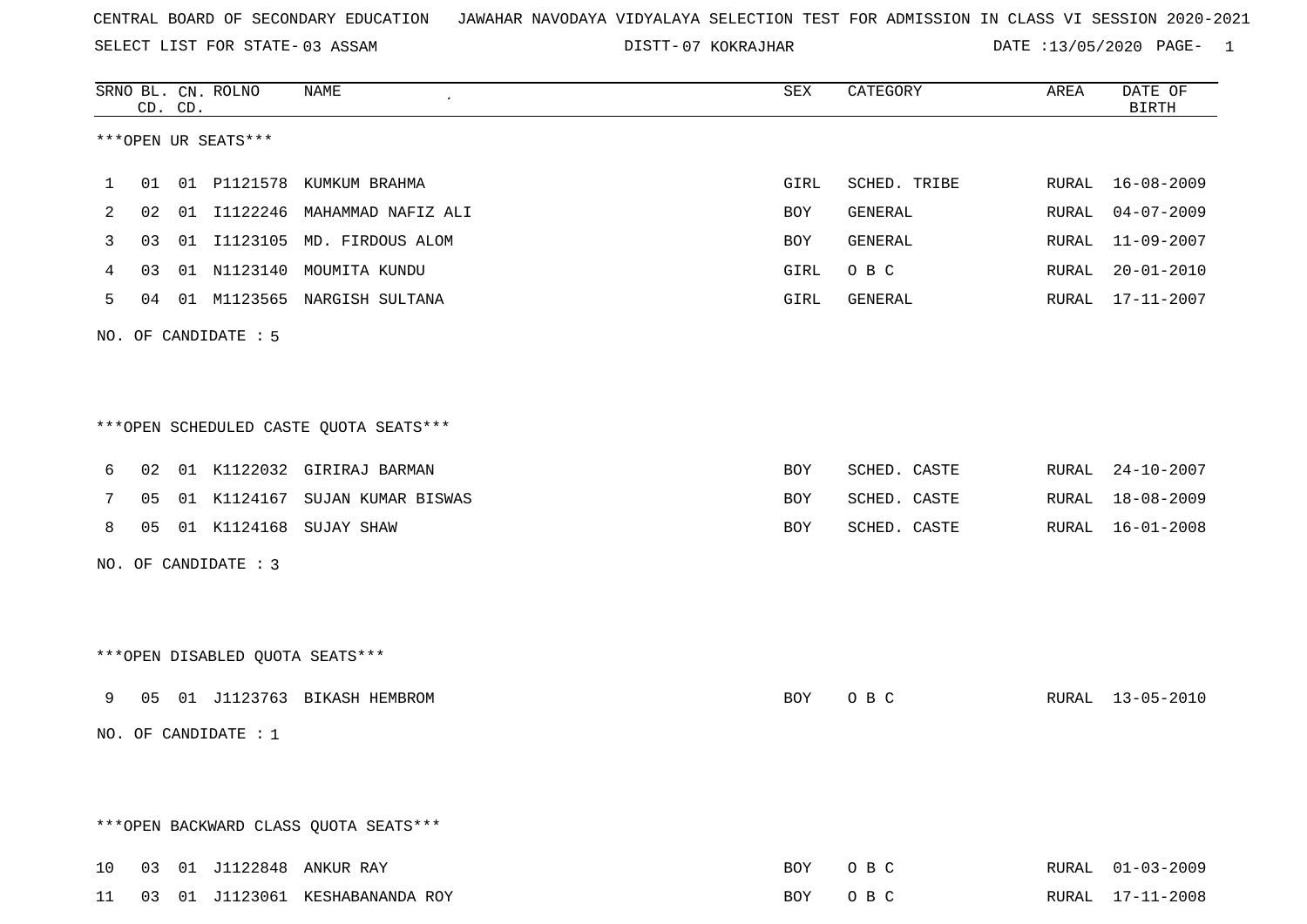SELECT LIST FOR STATE- DISTT- 03 ASSAM

DISTT-07 KOKRAJHAR DATE :13/05/2020 PAGE- 1

|    |    | CD. CD. | SRNO BL. CN. ROLNO   | NAME                                   | ${\tt SEX}$ | CATEGORY     | AREA  | DATE OF<br><b>BIRTH</b> |
|----|----|---------|----------------------|----------------------------------------|-------------|--------------|-------|-------------------------|
|    |    |         | ***OPEN UR SEATS***  |                                        |             |              |       |                         |
| ı  | 01 |         |                      | 01 P1121578 KUMKUM BRAHMA              | GIRL        | SCHED. TRIBE |       | RURAL 16-08-2009        |
| 2  | 02 | 01      | I1122246             | MAHAMMAD NAFIZ ALI                     | BOY         | GENERAL      | RURAL | $04 - 07 - 2009$        |
| 3  | 03 |         | 01 I1123105          | MD. FIRDOUS ALOM                       | BOY         | GENERAL      | RURAL | $11 - 09 - 2007$        |
| 4  | 03 |         |                      | 01 N1123140 MOUMITA KUNDU              | GIRL        | O B C        | RURAL | $20 - 01 - 2010$        |
| 5  | 04 |         |                      | 01 M1123565 NARGISH SULTANA            | GIRL        | GENERAL      | RURAL | 17-11-2007              |
|    |    |         | NO. OF CANDIDATE : 5 |                                        |             |              |       |                         |
|    |    |         |                      | ***OPEN SCHEDULED CASTE QUOTA SEATS*** |             |              |       |                         |
| 6  | 02 |         |                      | 01 K1122032 GIRIRAJ BARMAN             | BOY         | SCHED. CASTE | RURAL | $24 - 10 - 2007$        |
| 7  | 05 |         |                      | 01 K1124167 SUJAN KUMAR BISWAS         | BOY         | SCHED. CASTE | RURAL | 18-08-2009              |
| 8  | 05 |         | 01 K1124168          | SUJAY SHAW                             | BOY         | SCHED. CASTE | RURAL | $16 - 01 - 2008$        |
|    |    |         | NO. OF CANDIDATE : 3 |                                        |             |              |       |                         |
|    |    |         |                      | ***OPEN DISABLED QUOTA SEATS***        |             |              |       |                         |
| 9  |    |         |                      | 05 01 J1123763 BIKASH HEMBROM          | BOY         | O B C        |       | RURAL 13-05-2010        |
|    |    |         | NO. OF CANDIDATE : 1 |                                        |             |              |       |                         |
|    |    |         |                      | *** OPEN BACKWARD CLASS QUOTA SEATS*** |             |              |       |                         |
| 10 |    |         |                      | 03  01  J1122848  ANKUR  RAY           | BOY         | O B C        |       | RURAL 01-03-2009        |
| 11 |    |         |                      | 03 01 J1123061 KESHABANANDA ROY        | BOY         | O B C        |       | RURAL 17-11-2008        |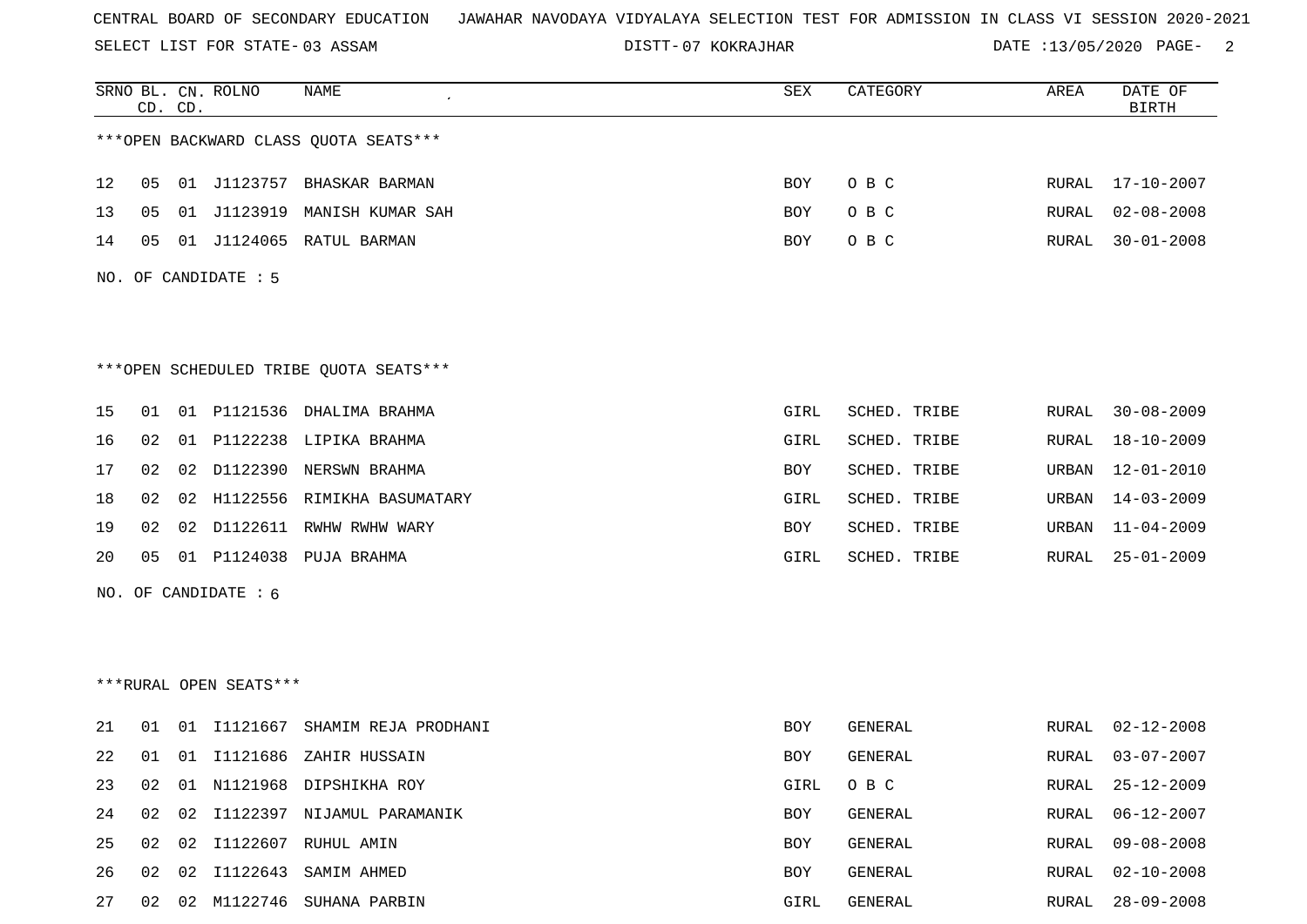SELECT LIST FOR STATE- DISTT- 03 ASSAM

07 KOKRAJHAR DATE :13/05/2020 PAGE- 2

|    |    | CD. CD. | SRNO BL. CN. ROLNO     | NAME                                   | SEX  | CATEGORY     | AREA         | DATE OF<br><b>BIRTH</b> |
|----|----|---------|------------------------|----------------------------------------|------|--------------|--------------|-------------------------|
|    |    |         |                        | *** OPEN BACKWARD CLASS QUOTA SEATS*** |      |              |              |                         |
| 12 | 05 |         |                        | 01 J1123757 BHASKAR BARMAN             | BOY  | O B C        | RURAL        | $17 - 10 - 2007$        |
| 13 | 05 |         | 01 J1123919            | MANISH KUMAR SAH                       | BOY  | O B C        | RURAL        | $02 - 08 - 2008$        |
| 14 | 05 |         |                        | 01 J1124065 RATUL BARMAN               | BOY  | O B C        | RURAL        | $30 - 01 - 2008$        |
|    |    |         | NO. OF CANDIDATE : 5   |                                        |      |              |              |                         |
|    |    |         |                        |                                        |      |              |              |                         |
|    |    |         |                        | ***OPEN SCHEDULED TRIBE QUOTA SEATS*** |      |              |              |                         |
| 15 | 01 |         |                        | 01 P1121536 DHALIMA BRAHMA             | GIRL | SCHED. TRIBE | RURAL        | $30 - 08 - 2009$        |
| 16 | 02 |         |                        | 01 P1122238 LIPIKA BRAHMA              | GIRL | SCHED. TRIBE | RURAL        | $18 - 10 - 2009$        |
| 17 | 02 | 02      |                        | D1122390 NERSWN BRAHMA                 | BOY  | SCHED. TRIBE | URBAN        | $12 - 01 - 2010$        |
| 18 | 02 |         |                        | 02 H1122556 RIMIKHA BASUMATARY         | GIRL | SCHED. TRIBE | URBAN        | $14 - 03 - 2009$        |
| 19 | 02 |         |                        | 02 D1122611 RWHW RWHW WARY             | BOY  | SCHED. TRIBE | URBAN        | $11 - 04 - 2009$        |
| 20 | 05 |         | 01 P1124038            | PUJA BRAHMA                            | GIRL | SCHED. TRIBE | RURAL        | $25 - 01 - 2009$        |
|    |    |         | NO. OF CANDIDATE : 6   |                                        |      |              |              |                         |
|    |    |         |                        |                                        |      |              |              |                         |
|    |    |         |                        |                                        |      |              |              |                         |
|    |    |         | ***RURAL OPEN SEATS*** |                                        |      |              |              |                         |
| 21 | 01 |         |                        | 01 I1121667 SHAMIM REJA PRODHANI       | BOY  | GENERAL      | RURAL        | $02 - 12 - 2008$        |
| 22 | 01 |         |                        | 01 I1121686 ZAHIR HUSSAIN              | BOY  | GENERAL      | RURAL        | $03 - 07 - 2007$        |
| 23 | 02 |         |                        | 01 N1121968 DIPSHIKHA ROY              | GIRL | O B C        | <b>RURAL</b> | $25 - 12 - 2009$        |
| 24 | 02 |         |                        | 02 I1122397 NIJAMUL PARAMANIK          | BOY  | GENERAL      | RURAL        | $06 - 12 - 2007$        |
| 25 | 02 |         |                        | 02 I1122607 RUHUL AMIN                 | BOY  | GENERAL      | RURAL        | $09 - 08 - 2008$        |
| 26 | 02 | 02      | I1122643               | SAMIM AHMED                            | BOY  | GENERAL      | RURAL        | $02 - 10 - 2008$        |
| 27 | 02 |         |                        | 02 M1122746 SUHANA PARBIN              | GIRL | GENERAL      | RURAL        | $28 - 09 - 2008$        |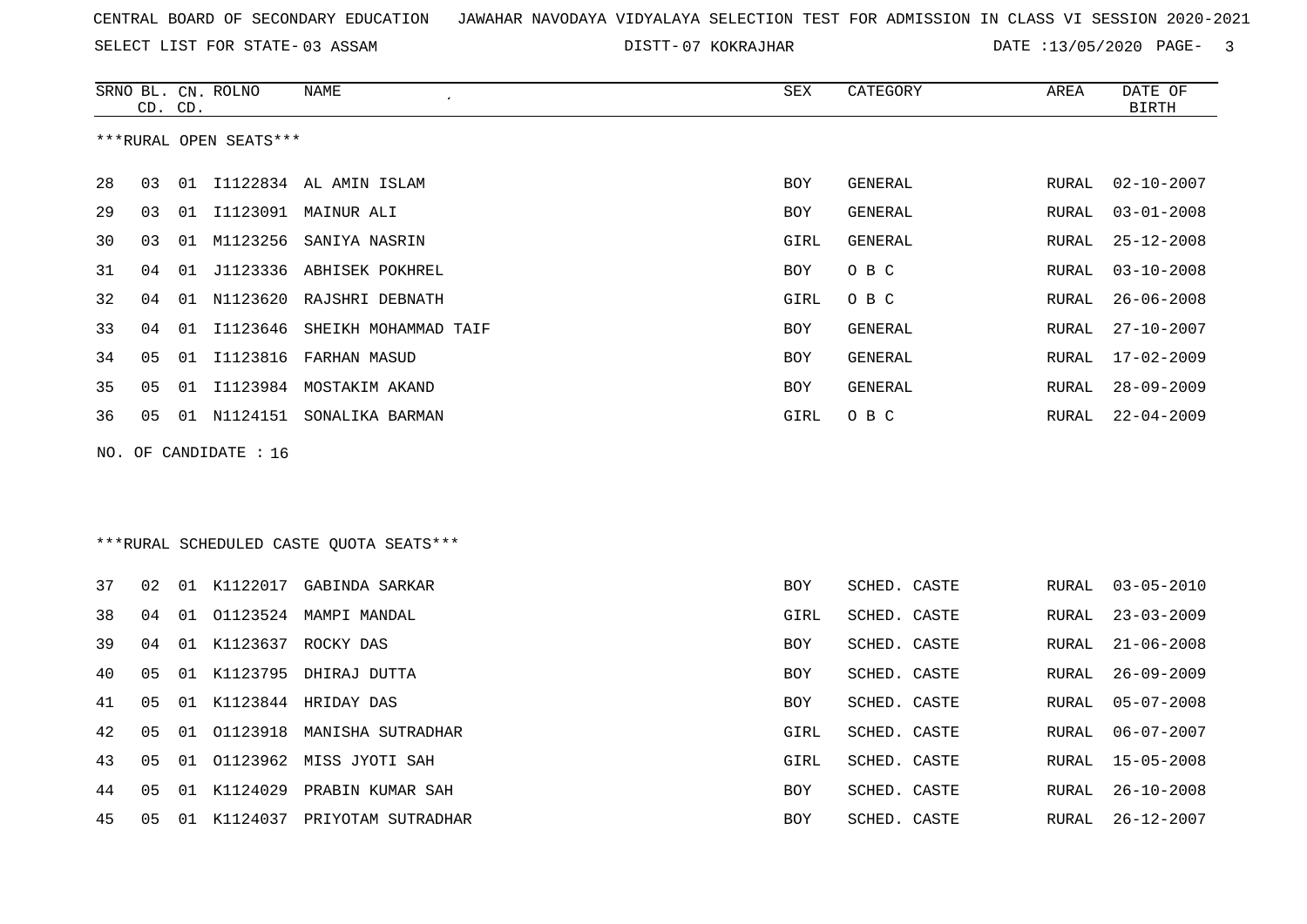SELECT LIST FOR STATE- DISTT- 03 ASSAM

DISTT-07 KOKRAJHAR DATE :13/05/2020 PAGE- 3

|    | CD. | CD. | SRNO BL. CN. ROLNO     | NAME                                    | SEX        | CATEGORY       | AREA         | DATE OF<br><b>BIRTH</b> |
|----|-----|-----|------------------------|-----------------------------------------|------------|----------------|--------------|-------------------------|
|    |     |     | ***RURAL OPEN SEATS*** |                                         |            |                |              |                         |
| 28 | 03  |     |                        | 01 I1122834 AL AMIN ISLAM               | BOY        | GENERAL        | RURAL        | $02 - 10 - 2007$        |
| 29 | 03  |     |                        | 01 I1123091 MAINUR ALI                  | BOY        | GENERAL        | RURAL        | $03 - 01 - 2008$        |
| 30 | 03  |     |                        | 01 M1123256 SANIYA NASRIN               | GIRL       | <b>GENERAL</b> | RURAL        | $25 - 12 - 2008$        |
| 31 | 04  | 01  | J1123336               | ABHISEK POKHREL                         | BOY        | O B C          | RURAL        | $03 - 10 - 2008$        |
| 32 | 04  | 01  |                        | N1123620 RAJSHRI DEBNATH                | GIRL       | O B C          | RURAL        | $26 - 06 - 2008$        |
| 33 | 04  | 01  | I1123646               | SHEIKH MOHAMMAD TAIF                    | BOY        | <b>GENERAL</b> | RURAL        | $27 - 10 - 2007$        |
| 34 | 05  | 01  |                        | I1123816 FARHAN MASUD                   | BOY        | GENERAL        | RURAL        | $17 - 02 - 2009$        |
| 35 | 05  | 01  |                        | I1123984 MOSTAKIM AKAND                 | BOY        | GENERAL        | RURAL        | $28 - 09 - 2009$        |
| 36 | 05  |     |                        | 01 N1124151 SONALIKA BARMAN             | GIRL       | O B C          | RURAL        | $22 - 04 - 2009$        |
|    |     |     | NO. OF CANDIDATE : 16  |                                         |            |                |              |                         |
|    |     |     |                        |                                         |            |                |              |                         |
|    |     |     |                        |                                         |            |                |              |                         |
|    |     |     |                        | ***RURAL SCHEDULED CASTE QUOTA SEATS*** |            |                |              |                         |
| 37 | 02  |     |                        | 01 K1122017 GABINDA SARKAR              | BOY        | SCHED. CASTE   | RURAL        | $03 - 05 - 2010$        |
| 38 | 04  | 01  |                        | 01123524 MAMPI MANDAL                   | GIRL       | SCHED. CASTE   | RURAL        | $23 - 03 - 2009$        |
| 39 | 04  |     |                        | 01 K1123637 ROCKY DAS                   | <b>BOY</b> | SCHED. CASTE   | RURAL        | $21 - 06 - 2008$        |
| 40 | 05  |     |                        | 01 K1123795 DHIRAJ DUTTA                | BOY        | SCHED. CASTE   | <b>RURAL</b> | $26 - 09 - 2009$        |
| 41 | 05  |     |                        | 01 K1123844 HRIDAY DAS                  | BOY        | SCHED. CASTE   | RURAL        | $05 - 07 - 2008$        |
| 42 | 05  | 01  | 01123918               | MANISHA SUTRADHAR                       | GIRL       | SCHED. CASTE   | <b>RURAL</b> | $06 - 07 - 2007$        |
| 43 | 05  | 01  |                        | 01123962 MISS JYOTI SAH                 | GIRL       | SCHED. CASTE   | RURAL        | $15 - 05 - 2008$        |
| 44 | 05  | 01  | K1124029               | PRABIN KUMAR SAH                        | BOY        | SCHED. CASTE   | RURAL        | $26 - 10 - 2008$        |
| 45 | 05  |     |                        | 01 K1124037 PRIYOTAM SUTRADHAR          | BOY        | SCHED. CASTE   | RURAL        | $26 - 12 - 2007$        |
|    |     |     |                        |                                         |            |                |              |                         |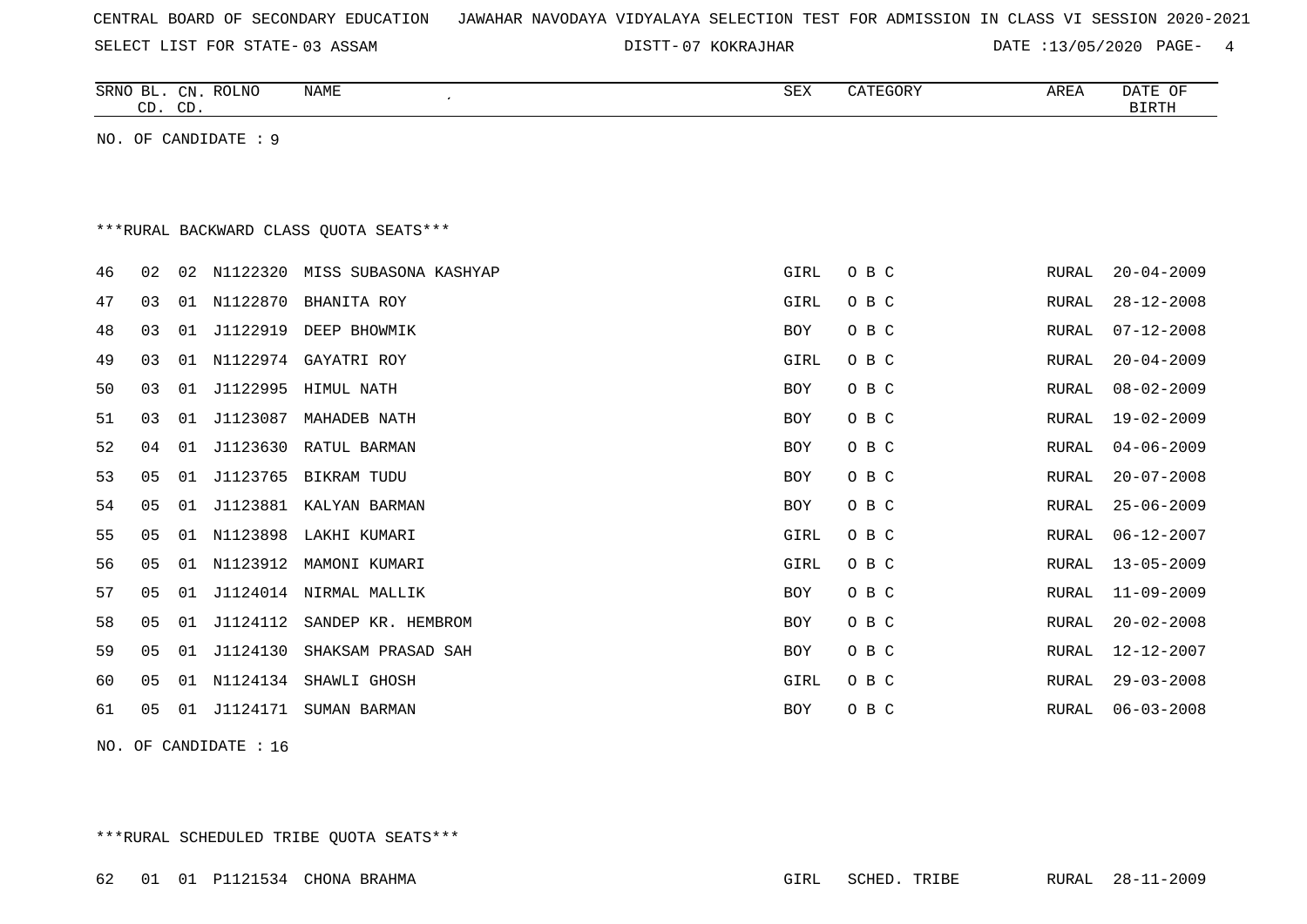SELECT LIST FOR STATE- DISTT- 03 ASSAM

DISTT-07 KOKRAJHAR DATE :13/05/2020 PAGE- 4

|    | CD. CD.        |    | SRNO BL. CN. ROLNO   | NAME                                    | SEX        | CATEGORY | AREA         | DATE OF<br><b>BIRTH</b> |
|----|----------------|----|----------------------|-----------------------------------------|------------|----------|--------------|-------------------------|
|    |                |    | NO. OF CANDIDATE : 9 |                                         |            |          |              |                         |
|    |                |    |                      |                                         |            |          |              |                         |
|    |                |    |                      |                                         |            |          |              |                         |
|    |                |    |                      | *** RURAL BACKWARD CLASS QUOTA SEATS*** |            |          |              |                         |
| 46 | 02             | 02 | N1122320             | MISS SUBASONA KASHYAP                   | GIRL       | O B C    | RURAL        | $20 - 04 - 2009$        |
| 47 | 03             | 01 | N1122870             | BHANITA ROY                             | GIRL       | O B C    | RURAL        | $28 - 12 - 2008$        |
| 48 | 03             | 01 | J1122919             | DEEP BHOWMIK                            | <b>BOY</b> | O B C    | <b>RURAL</b> | $07 - 12 - 2008$        |
| 49 | 03             | 01 | N1122974             | GAYATRI ROY                             | GIRL       | O B C    | <b>RURAL</b> | $20 - 04 - 2009$        |
| 50 | 03             | 01 | J1122995             | HIMUL NATH                              | <b>BOY</b> | O B C    | RURAL        | $08 - 02 - 2009$        |
| 51 | 03             | 01 | J1123087             | MAHADEB NATH                            | <b>BOY</b> | O B C    | <b>RURAL</b> | $19 - 02 - 2009$        |
| 52 | 04             | 01 | J1123630             | RATUL BARMAN                            | <b>BOY</b> | O B C    | <b>RURAL</b> | $04 - 06 - 2009$        |
| 53 | 05             | 01 | J1123765             | BIKRAM TUDU                             | <b>BOY</b> | O B C    | RURAL        | $20 - 07 - 2008$        |
| 54 | 0 <sub>5</sub> | 01 | J1123881             | KALYAN BARMAN                           | <b>BOY</b> | O B C    | RURAL        | $25 - 06 - 2009$        |
| 55 | 05             | 01 | N1123898             | LAKHI KUMARI                            | GIRL       | O B C    | <b>RURAL</b> | $06 - 12 - 2007$        |
| 56 | 05             | 01 | N1123912             | MAMONI KUMARI                           | GIRL       | O B C    | RURAL        | $13 - 05 - 2009$        |
| 57 | 05             | 01 | J1124014             | NIRMAL MALLIK                           | <b>BOY</b> | O B C    | RURAL        | $11 - 09 - 2009$        |
| 58 | 05             | 01 | J1124112             | SANDEP KR. HEMBROM                      | <b>BOY</b> | O B C    | <b>RURAL</b> | $20 - 02 - 2008$        |
| 59 | 05             | 01 | J1124130             | SHAKSAM PRASAD SAH                      | <b>BOY</b> | O B C    | <b>RURAL</b> | $12 - 12 - 2007$        |
| 60 | 05             | 01 | N1124134             | SHAWLI GHOSH                            | GIRL       | O B C    | RURAL        | $29 - 03 - 2008$        |
| 61 | 05             | 01 | J1124171             | SUMAN BARMAN                            | <b>BOY</b> | O B C    | <b>RURAL</b> | $06 - 03 - 2008$        |
|    |                |    |                      |                                         |            |          |              |                         |

NO. OF CANDIDATE : 16

\*\*\*RURAL SCHEDULED TRIBE QUOTA SEATS\*\*\*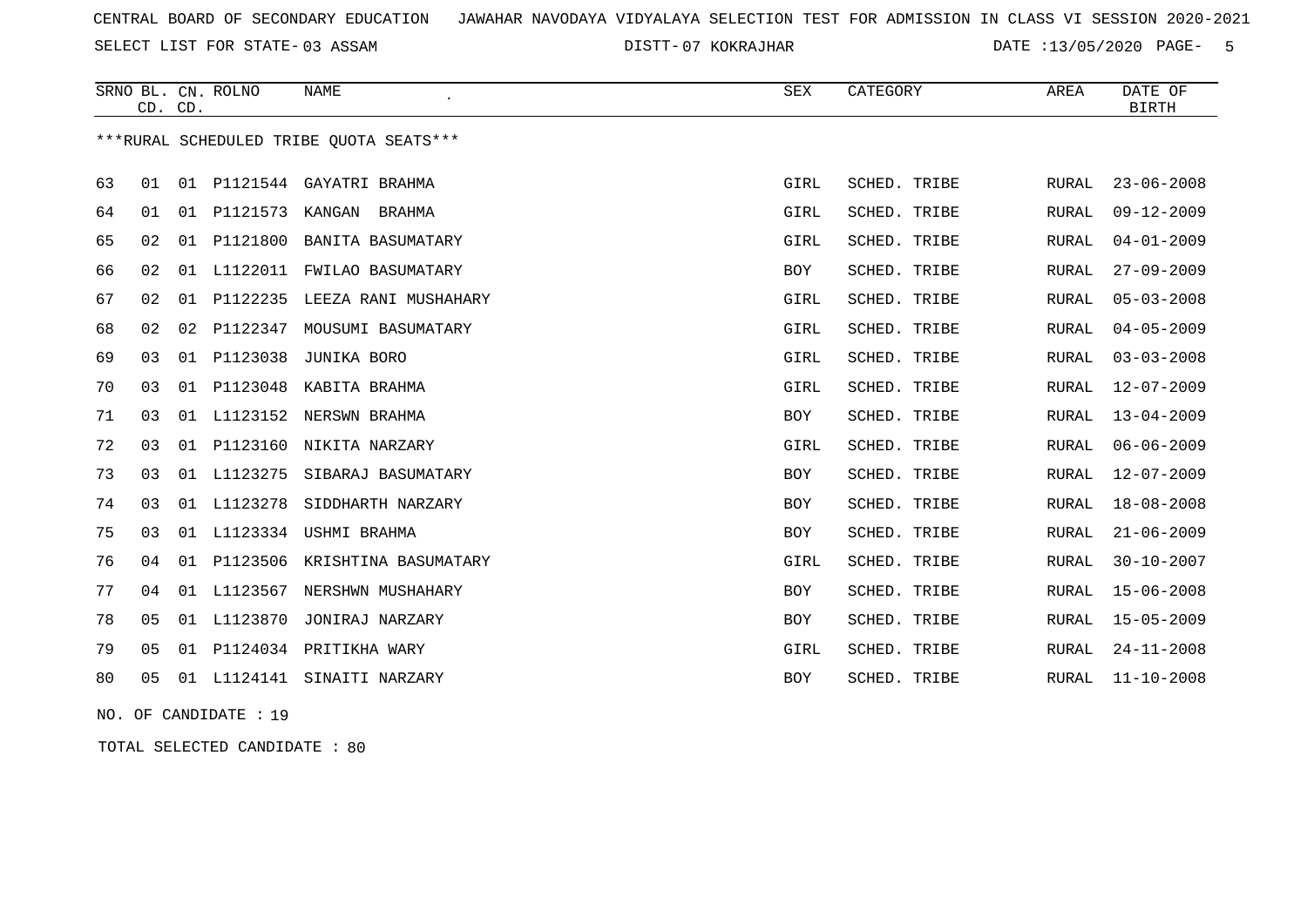SELECT LIST FOR STATE- DISTT- 03 ASSAM

07 KOKRAJHAR DATE :13/05/2020 PAGE- 5

|    | CD. CD.                                 |    | SRNO BL. CN. ROLNO | <b>NAME</b>                   | <b>SEX</b>  | CATEGORY     | AREA         | DATE OF<br><b>BIRTH</b> |  |  |  |  |
|----|-----------------------------------------|----|--------------------|-------------------------------|-------------|--------------|--------------|-------------------------|--|--|--|--|
|    | ***RURAL SCHEDULED TRIBE OUOTA SEATS*** |    |                    |                               |             |              |              |                         |  |  |  |  |
| 63 | 01                                      | 01 | P1121544           | GAYATRI BRAHMA                | <b>GIRL</b> | SCHED. TRIBE | RURAL        | $23 - 06 - 2008$        |  |  |  |  |
| 64 | 01                                      | 01 | P1121573           | KANGAN<br>BRAHMA              | <b>GIRL</b> | SCHED. TRIBE | RURAL        | $09 - 12 - 2009$        |  |  |  |  |
| 65 | 02                                      |    | 01 P1121800        | BANITA BASUMATARY             | GIRL        | SCHED. TRIBE | <b>RURAL</b> | $04 - 01 - 2009$        |  |  |  |  |
| 66 | 02                                      | 01 |                    | L1122011 FWILAO BASUMATARY    | <b>BOY</b>  | SCHED. TRIBE | RURAL        | $27 - 09 - 2009$        |  |  |  |  |
| 67 | 02                                      | 01 | P1122235           | LEEZA RANI MUSHAHARY          | <b>GIRL</b> | SCHED. TRIBE | <b>RURAL</b> | $05 - 03 - 2008$        |  |  |  |  |
| 68 | 02                                      | 02 | P1122347           | MOUSUMI BASUMATARY            | GIRL        | SCHED. TRIBE | RURAL        | $04 - 05 - 2009$        |  |  |  |  |
| 69 | 03                                      |    | 01 P1123038        | JUNIKA BORO                   | GIRL        | SCHED. TRIBE | RURAL        | $03 - 03 - 2008$        |  |  |  |  |
| 70 | 03                                      | 01 | P1123048           | KABITA BRAHMA                 | GIRL        | SCHED. TRIBE | RURAL        | $12 - 07 - 2009$        |  |  |  |  |
| 71 | 03                                      | 01 | L1123152           | NERSWN BRAHMA                 | <b>BOY</b>  | SCHED. TRIBE | RURAL        | $13 - 04 - 2009$        |  |  |  |  |
| 72 | 03                                      | 01 | P1123160           | NIKITA NARZARY                | GIRL        | SCHED. TRIBE | RURAL        | $06 - 06 - 2009$        |  |  |  |  |
| 73 | 03                                      | 01 | L1123275           | SIBARAJ BASUMATARY            | <b>BOY</b>  | SCHED. TRIBE | RURAL        | $12 - 07 - 2009$        |  |  |  |  |
| 74 | 03                                      | 01 | L1123278           | SIDDHARTH NARZARY             | <b>BOY</b>  | SCHED. TRIBE | <b>RURAL</b> | $18 - 08 - 2008$        |  |  |  |  |
| 75 | 03                                      | 01 | L1123334           | USHMI BRAHMA                  | <b>BOY</b>  | SCHED. TRIBE | RURAL        | $21 - 06 - 2009$        |  |  |  |  |
| 76 | 04                                      | 01 |                    | P1123506 KRISHTINA BASUMATARY | GIRL        | SCHED. TRIBE | RURAL        | $30 - 10 - 2007$        |  |  |  |  |
| 77 | 04                                      | 01 | L1123567           | NERSHWN MUSHAHARY             | <b>BOY</b>  | SCHED. TRIBE | RURAL        | $15 - 06 - 2008$        |  |  |  |  |
| 78 | 05                                      |    | 01 L1123870        | JONIRAJ NARZARY               | <b>BOY</b>  | SCHED. TRIBE | RURAL        | $15 - 05 - 2009$        |  |  |  |  |
| 79 | 05                                      | 01 | P1124034           | PRITIKHA WARY                 | GIRL        | SCHED. TRIBE | RURAL        | $24 - 11 - 2008$        |  |  |  |  |
| 80 | 05                                      |    |                    | 01 L1124141 SINAITI NARZARY   | <b>BOY</b>  | SCHED. TRIBE | RURAL        | $11 - 10 - 2008$        |  |  |  |  |
|    |                                         |    |                    |                               |             |              |              |                         |  |  |  |  |

NO. OF CANDIDATE : 19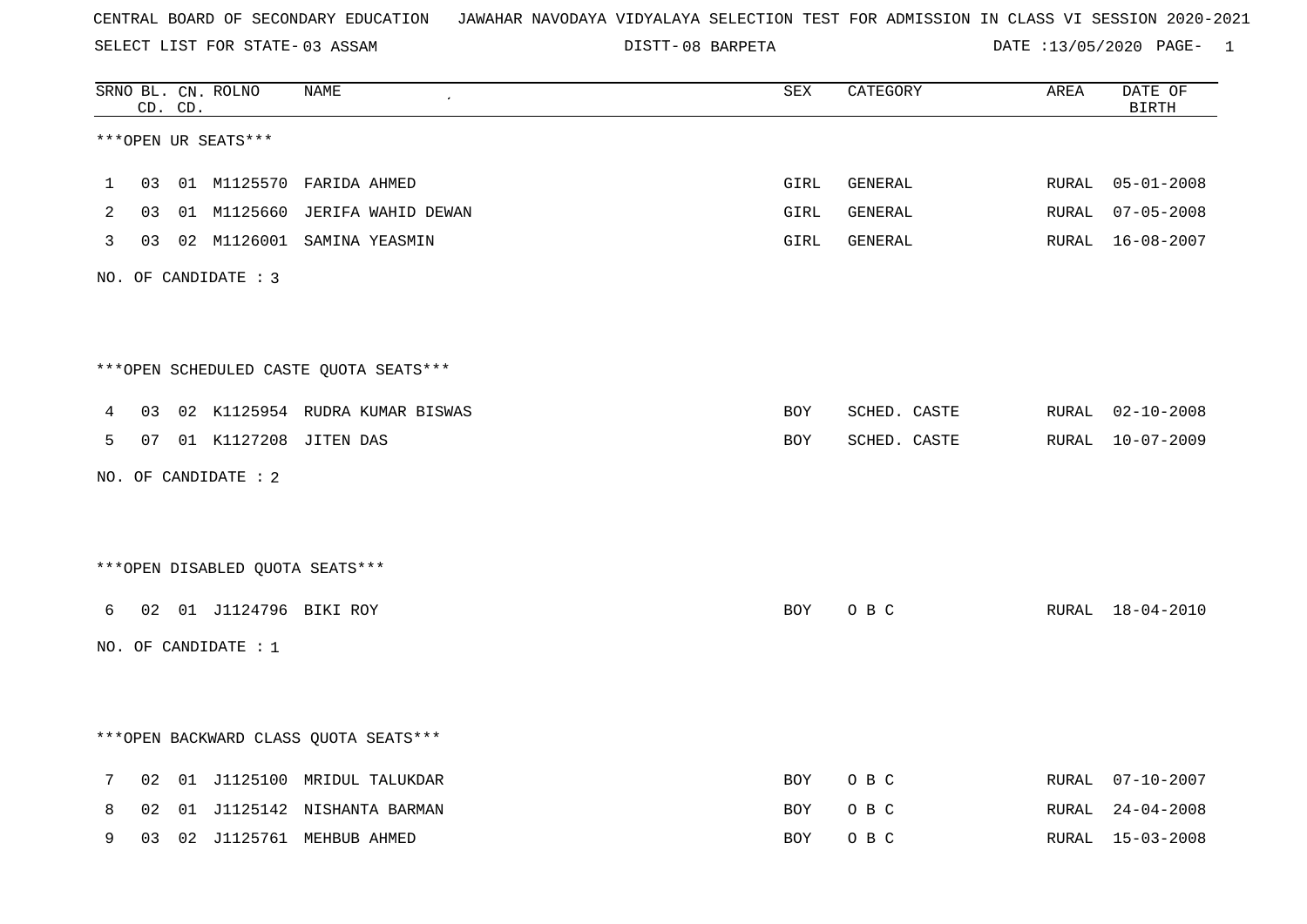SELECT LIST FOR STATE- DISTT- 03 ASSAM

08 BARPETA DATE :13/05/2020 PAGE- 1

|   | SRNO BL. CN. ROLNO<br>CD. CD. | NAME                                   | ${\tt SEX}$ | CATEGORY     | AREA  | DATE OF<br><b>BIRTH</b> |
|---|-------------------------------|----------------------------------------|-------------|--------------|-------|-------------------------|
|   | ***OPEN UR SEATS***           |                                        |             |              |       |                         |
| 1 |                               | 03 01 M1125570 FARIDA AHMED            | GIRL        | GENERAL      | RURAL | $05 - 01 - 2008$        |
| 2 |                               | 03 01 M1125660 JERIFA WAHID DEWAN      | GIRL        | GENERAL      | RURAL | $07 - 05 - 2008$        |
| 3 |                               | 03 02 M1126001 SAMINA YEASMIN          | GIRL        | GENERAL      |       | RURAL 16-08-2007        |
|   | NO. OF CANDIDATE : 3          |                                        |             |              |       |                         |
|   |                               | ***OPEN SCHEDULED CASTE QUOTA SEATS*** |             |              |       |                         |
| 4 |                               | 03 02 K1125954 RUDRA KUMAR BISWAS      | BOY         | SCHED. CASTE |       | RURAL 02-10-2008        |
| 5 |                               | 07 01 K1127208 JITEN DAS               | <b>BOY</b>  | SCHED. CASTE |       | RURAL 10-07-2009        |
|   | NO. OF CANDIDATE : 2          |                                        |             |              |       |                         |
|   |                               | ***OPEN DISABLED QUOTA SEATS***        |             |              |       |                         |
| 6 |                               | 02 01 J1124796 BIKI ROY                | BOY         | O B C        |       | RURAL 18-04-2010        |
|   | NO. OF CANDIDATE : 1          |                                        |             |              |       |                         |
|   |                               |                                        |             |              |       |                         |
|   |                               | *** OPEN BACKWARD CLASS QUOTA SEATS*** |             |              |       |                         |
| 7 |                               | 02 01 J1125100 MRIDUL TALUKDAR         | BOY         | O B C        |       | RURAL 07-10-2007        |
| 8 |                               | 02 01 J1125142 NISHANTA BARMAN         | <b>BOY</b>  | O B C        |       | RURAL 24-04-2008        |
| 9 |                               | 03 02 J1125761 MEHBUB AHMED            | BOY         | O B C        |       | RURAL 15-03-2008        |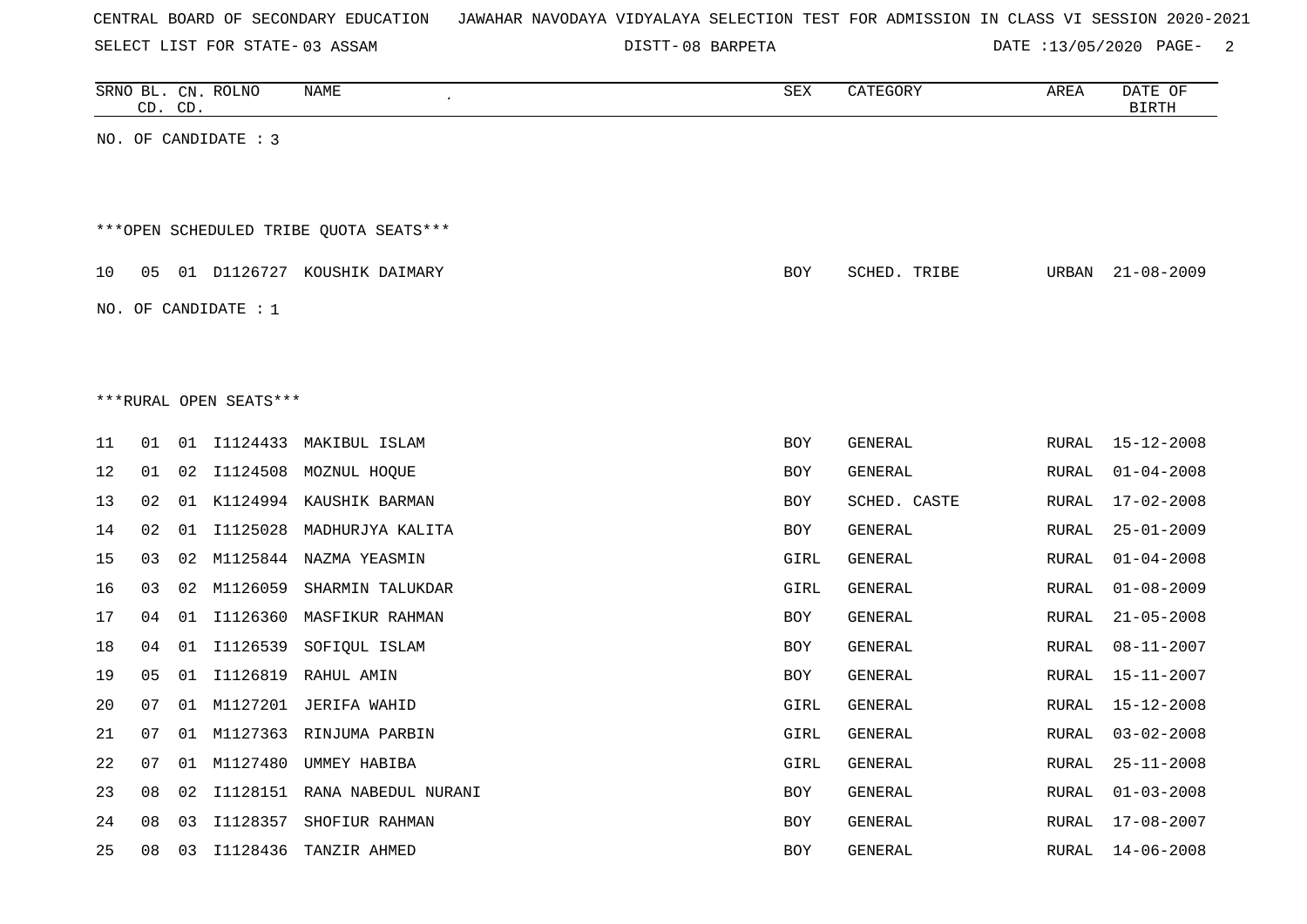|  |  | CENTRAL BOARD OF SECONDARY EDUCATION – JAWAHAR NAVODAYA VIDYALAYA SELECTION TEST FOR ADMISSION IN CLASS VI SESSION 2020-2021 |  |  |  |
|--|--|------------------------------------------------------------------------------------------------------------------------------|--|--|--|
|--|--|------------------------------------------------------------------------------------------------------------------------------|--|--|--|

08 BARPETA DATE :13/05/2020 PAGE- 2

|    |    | CD. CD. | SRNO BL. CN. ROLNO     | NAME<br>$\pmb{\cdot}$                  | SEX        | CATEGORY     | AREA         | DATE OF<br><b>BIRTH</b> |
|----|----|---------|------------------------|----------------------------------------|------------|--------------|--------------|-------------------------|
|    |    |         | NO. OF CANDIDATE : 3   |                                        |            |              |              |                         |
|    |    |         |                        |                                        |            |              |              |                         |
|    |    |         |                        |                                        |            |              |              |                         |
|    |    |         |                        | ***OPEN SCHEDULED TRIBE OUOTA SEATS*** |            |              |              |                         |
| 10 | 05 |         |                        | 01 D1126727 KOUSHIK DAIMARY            | BOY        | SCHED. TRIBE | URBAN        | $21 - 08 - 2009$        |
|    |    |         |                        |                                        |            |              |              |                         |
|    |    |         | NO. OF CANDIDATE : $1$ |                                        |            |              |              |                         |
|    |    |         |                        |                                        |            |              |              |                         |
|    |    |         |                        |                                        |            |              |              |                         |
|    |    |         | ***RURAL OPEN SEATS*** |                                        |            |              |              |                         |
| 11 | 01 |         |                        | 01 I1124433 MAKIBUL ISLAM              | <b>BOY</b> | GENERAL      | RURAL        | $15 - 12 - 2008$        |
| 12 | 01 |         |                        | 02 I1124508 MOZNUL HOOUE               | BOY        | GENERAL      | RURAL        | $01 - 04 - 2008$        |
| 13 | 02 |         |                        | 01 K1124994 KAUSHIK BARMAN             | <b>BOY</b> | SCHED. CASTE | <b>RURAL</b> | $17 - 02 - 2008$        |
| 14 | 02 |         |                        | 01 I1125028 MADHURJYA KALITA           | <b>BOY</b> | GENERAL      | <b>RURAL</b> | $25 - 01 - 2009$        |
| 15 | 03 | 02      |                        | M1125844 NAZMA YEASMIN                 | GIRL       | GENERAL      | RURAL        | $01 - 04 - 2008$        |
| 16 | 03 | 02      | M1126059               | SHARMIN TALUKDAR                       | GIRL       | GENERAL      | RURAL        | $01 - 08 - 2009$        |
| 17 | 04 |         |                        | 01 I1126360 MASFIKUR RAHMAN            | BOY        | GENERAL      | <b>RURAL</b> | $21 - 05 - 2008$        |
| 18 | 04 |         |                        | 01 I1126539 SOFIQUL ISLAM              | BOY        | GENERAL      | <b>RURAL</b> | $08 - 11 - 2007$        |
| 19 | 05 | 01      |                        | I1126819 RAHUL AMIN                    | BOY        | GENERAL      | RURAL        | $15 - 11 - 2007$        |
| 20 | 07 | 01      |                        | M1127201 JERIFA WAHID                  | GIRL       | GENERAL      | RURAL        | $15 - 12 - 2008$        |
| 21 | 07 |         |                        | 01 M1127363 RINJUMA PARBIN             | GIRL       | GENERAL      | <b>RURAL</b> | $03 - 02 - 2008$        |
| 22 | 07 |         | 01 M1127480            | UMMEY HABIBA                           | GIRL       | GENERAL      | <b>RURAL</b> | $25 - 11 - 2008$        |
| 23 | 08 | 02      |                        | I1128151 RANA NABEDUL NURANI           | BOY        | GENERAL      | RURAL        | $01 - 03 - 2008$        |
| 24 | 08 | 03      |                        | I1128357 SHOFIUR RAHMAN                | <b>BOY</b> | GENERAL      | RURAL        | 17-08-2007              |
| 25 | 08 | 03      | I1128436               | TANZIR AHMED                           | <b>BOY</b> | GENERAL      | RURAL        | $14 - 06 - 2008$        |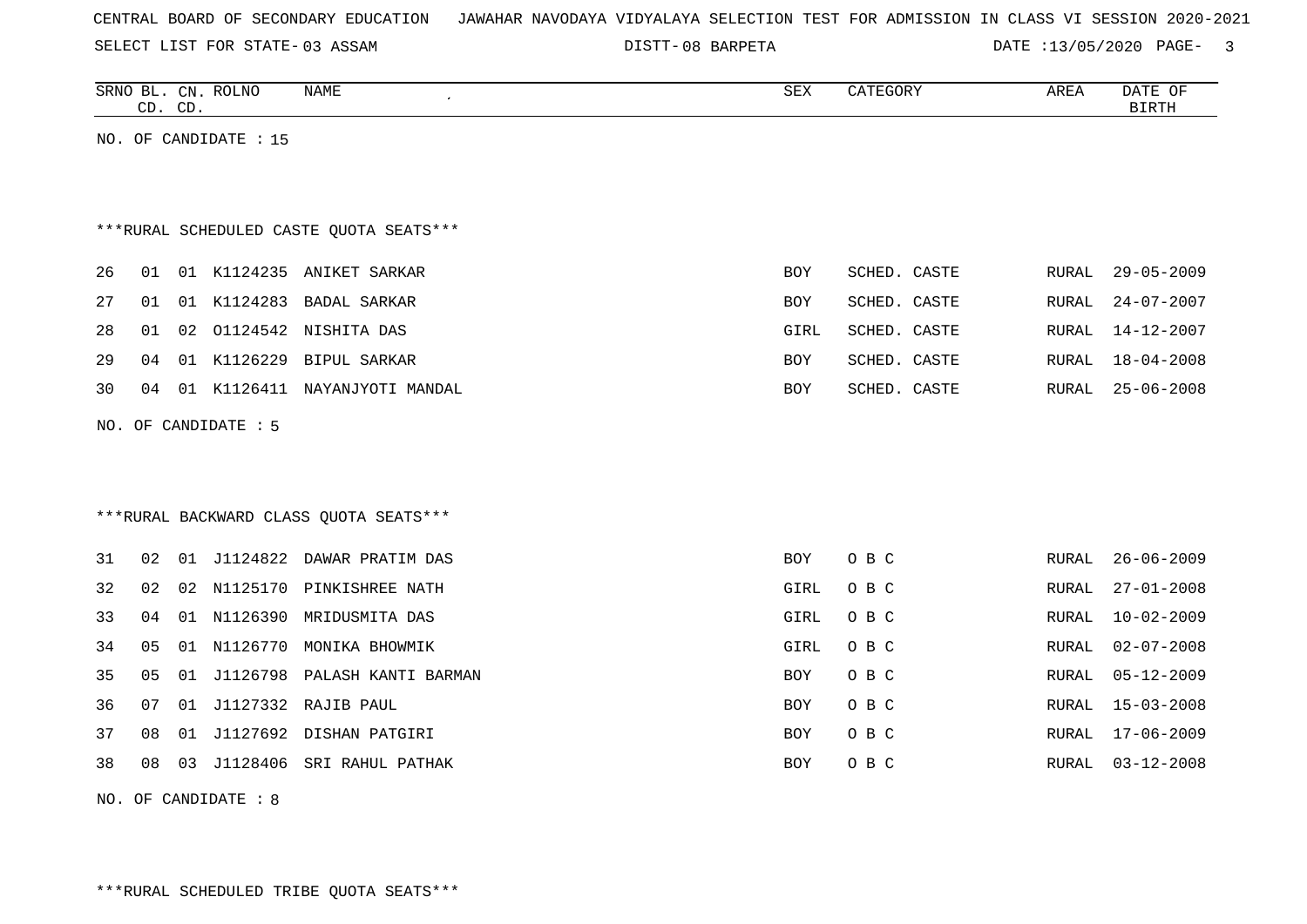|  |  |  | CENTRAL BOARD OF SECONDARY EDUCATION – JAWAHAR NAVODAYA VIDYALAYA SELECTION TEST FOR ADMISSION IN CLASS VI SESSION 2020-2021 |  |  |  |  |  |  |  |  |  |  |  |  |  |  |
|--|--|--|------------------------------------------------------------------------------------------------------------------------------|--|--|--|--|--|--|--|--|--|--|--|--|--|--|
|--|--|--|------------------------------------------------------------------------------------------------------------------------------|--|--|--|--|--|--|--|--|--|--|--|--|--|--|

08 BARPETA DATE :13/05/2020 PAGE- 3

|    | CD. CD. |    | SRNO BL. CN. ROLNO    | <b>NAME</b>                             | SEX        | CATEGORY     | AREA         | DATE OF<br><b>BIRTH</b> |
|----|---------|----|-----------------------|-----------------------------------------|------------|--------------|--------------|-------------------------|
|    |         |    | NO. OF CANDIDATE : 15 |                                         |            |              |              |                         |
|    |         |    |                       |                                         |            |              |              |                         |
|    |         |    |                       | ***RURAL SCHEDULED CASTE QUOTA SEATS*** |            |              |              |                         |
| 26 | 01      |    |                       | 01 K1124235 ANIKET SARKAR               | <b>BOY</b> | SCHED. CASTE | RURAL        | $29 - 05 - 2009$        |
| 27 | 01      |    |                       | 01 K1124283 BADAL SARKAR                | BOY        | SCHED. CASTE | RURAL        | $24 - 07 - 2007$        |
| 28 | 01      | 02 | 01124542              | NISHITA DAS                             | GIRL       | SCHED. CASTE | <b>RURAL</b> | $14 - 12 - 2007$        |
| 29 | 04      | 01 | K1126229              | BIPUL SARKAR                            | BOY        | SCHED. CASTE | <b>RURAL</b> | $18 - 04 - 2008$        |
| 30 | 04      | 01 | K1126411              | NAYANJYOTI MANDAL                       | BOY        | SCHED. CASTE | RURAL        | $25 - 06 - 2008$        |
|    |         |    | NO. OF CANDIDATE : 5  |                                         |            |              |              |                         |
|    |         |    |                       |                                         |            |              |              |                         |
|    |         |    |                       |                                         |            |              |              |                         |
|    |         |    |                       | ***RURAL BACKWARD CLASS OUOTA SEATS***  |            |              |              |                         |
| 31 | 02      | 01 | J1124822              | DAWAR PRATIM DAS                        | <b>BOY</b> | O B C        | RURAL        | $26 - 06 - 2009$        |
| 32 | 02      | 02 | N1125170              | PINKISHREE NATH                         | GIRL       | O B C        | RURAL        | $27 - 01 - 2008$        |
| 33 | 04      | 01 | N1126390              | MRIDUSMITA DAS                          | GIRL       | O B C        | RURAL        | $10 - 02 - 2009$        |
| 34 | 05      | 01 | N1126770              | MONIKA BHOWMIK                          | GIRL       | O B C        | RURAL        | $02 - 07 - 2008$        |
| 35 | 05      | 01 | J1126798              | PALASH KANTI BARMAN                     | BOY        | O B C        | RURAL        | $05 - 12 - 2009$        |
|    |         |    |                       |                                         |            |              |              |                         |

36 07 01 J1127332 RAJIB PAUL BOY O B C RURAL 15-03-2008 37 08 01 J1127692 DISHAN PATGIRI BOY O B C RURAL 17-06-2009 38 08 03 J1128406 SRI RAHUL PATHAK BOY O B C RURAL 03-12-2008

NO. OF CANDIDATE : 8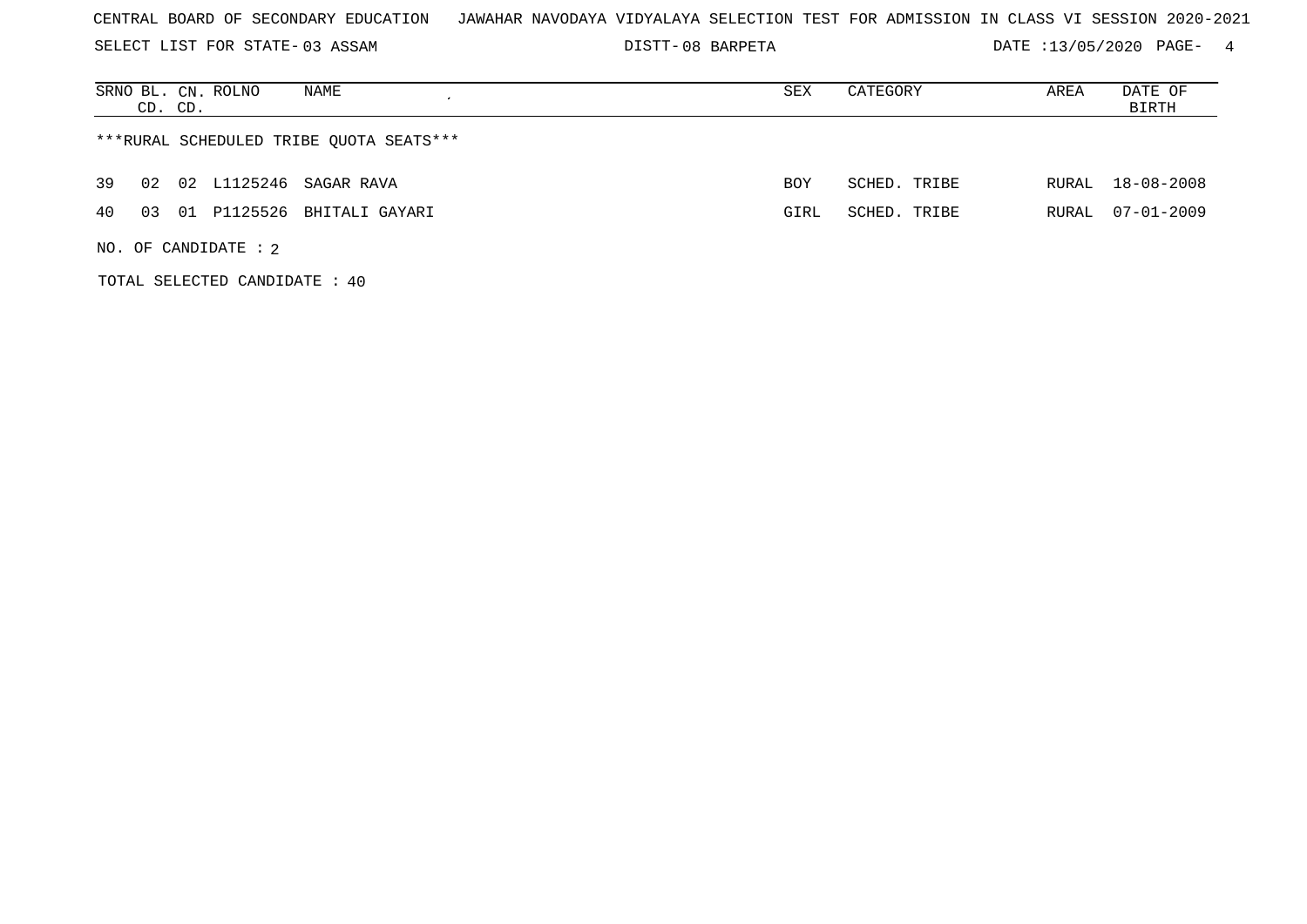SELECT LIST FOR STATE- DISTT- 03 ASSAM

08 BARPETA DATE :13/05/2020 PAGE- 4

| SRNO BL. CN. ROLNO<br>NAME<br>CD. CD.        | SEX        | CATEGORY     | AREA  | DATE OF<br>BIRTH |
|----------------------------------------------|------------|--------------|-------|------------------|
| ***RURAL SCHEDULED TRIBE QUOTA SEATS***      |            |              |       |                  |
| 02 L1125246 SAGAR RAVA<br>39<br>02           | <b>BOY</b> | SCHED. TRIBE | RURAL | 18-08-2008       |
| 40<br>P1125526 BHITALI GAYARI<br>03<br>. O 1 | GIRL       | SCHED. TRIBE |       | RURAL 07-01-2009 |
| NO. OF CANDIDATE : $2$                       |            |              |       |                  |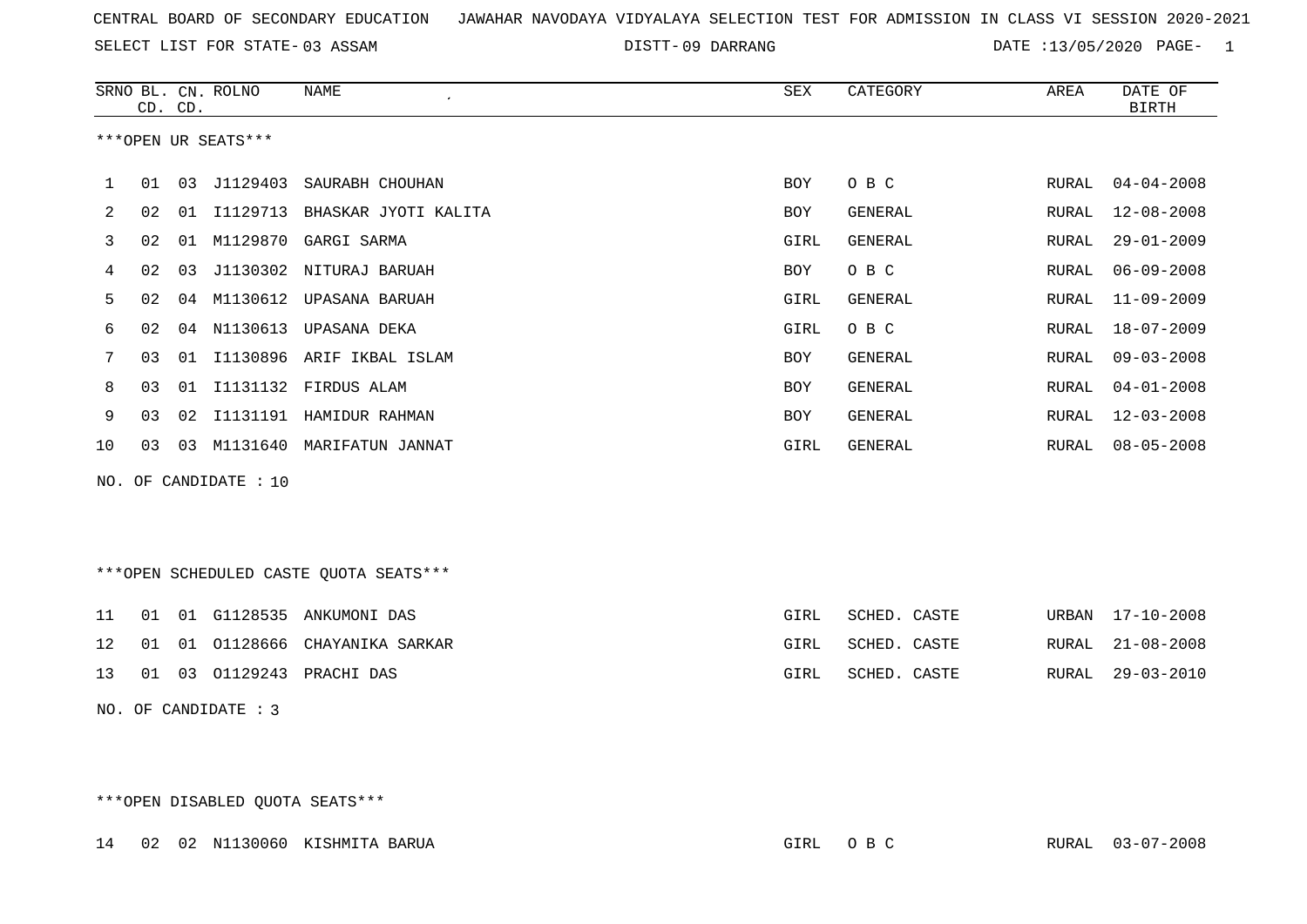SELECT LIST FOR STATE- DISTT- 03 ASSAM

09 DARRANG DATE :13/05/2020 PAGE- 1

|              | CD. CD.             |    | SRNO BL. CN. ROLNO    | NAME<br>$\cdot$           | SEX        | CATEGORY | AREA  | DATE OF<br>BIRTH |  |  |  |  |
|--------------|---------------------|----|-----------------------|---------------------------|------------|----------|-------|------------------|--|--|--|--|
|              | ***OPEN UR SEATS*** |    |                       |                           |            |          |       |                  |  |  |  |  |
| $\mathbf{1}$ | 01                  | 03 |                       | J1129403 SAURABH CHOUHAN  | BOY        | O B C    | RURAL | $04 - 04 - 2008$ |  |  |  |  |
| 2            | 02                  | 01 | I1129713              | BHASKAR JYOTI KALITA      | <b>BOY</b> | GENERAL  | RURAL | $12 - 08 - 2008$ |  |  |  |  |
| 3            | 02                  | 01 |                       | M1129870 GARGI SARMA      | GIRL       | GENERAL  | RURAL | $29 - 01 - 2009$ |  |  |  |  |
| 4            | 02                  | 03 |                       | J1130302 NITURAJ BARUAH   | <b>BOY</b> | O B C    | RURAL | $06 - 09 - 2008$ |  |  |  |  |
| 5            | 02                  | 04 |                       | M1130612 UPASANA BARUAH   | GIRL       | GENERAL  | RURAL | 11-09-2009       |  |  |  |  |
| 6            | 02                  | 04 | N1130613              | UPASANA DEKA              | GIRL       | O B C    | RURAL | $18 - 07 - 2009$ |  |  |  |  |
| 7            | 03                  | 01 |                       | I1130896 ARIF IKBAL ISLAM | <b>BOY</b> | GENERAL  | RURAL | $09 - 03 - 2008$ |  |  |  |  |
| 8            | 03                  | 01 |                       | I1131132 FIRDUS ALAM      | <b>BOY</b> | GENERAL  | RURAL | $04 - 01 - 2008$ |  |  |  |  |
| 9            | 03                  | 02 |                       | I1131191 HAMIDUR RAHMAN   | <b>BOY</b> | GENERAL  | RURAL | $12 - 03 - 2008$ |  |  |  |  |
| 10           | 03                  | 03 |                       | M1131640 MARIFATUN JANNAT | GIRL       | GENERAL  | RURAL | $08 - 05 - 2008$ |  |  |  |  |
|              |                     |    | NO. OF CANDIDATE : 10 |                           |            |          |       |                  |  |  |  |  |

\*\*\*OPEN SCHEDULED CASTE QUOTA SEATS\*\*\*

|  |  | 11 01 01 G1128535 ANKUMONI DAS     | GIRL | SCHED. CASTE |  | URBAN 17-10-2008 |
|--|--|------------------------------------|------|--------------|--|------------------|
|  |  | 12 01 01 01128666 CHAYANIKA SARKAR | GIRL | SCHED. CASTE |  | RURAL 21-08-2008 |
|  |  | 13 01 03 01129243 PRACHIDAS        | GIRL | SCHED. CASTE |  | RURAL 29-03-2010 |

NO. OF CANDIDATE : 3

\*\*\*OPEN DISABLED QUOTA SEATS\*\*\*

14 02 02 N1130060 KISHMITA BARUA GIRL O B C RURAL 03-07-2008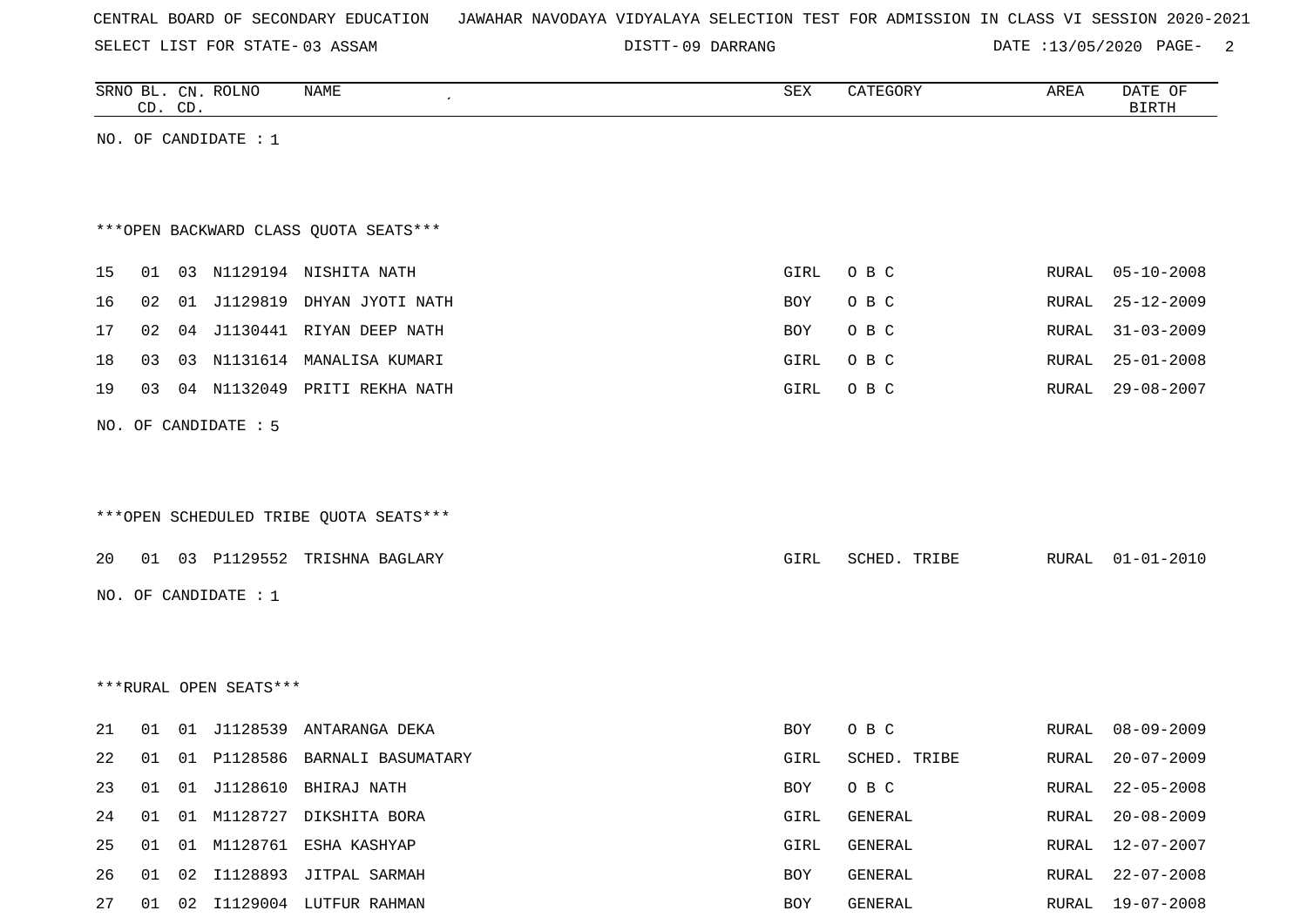SELECT LIST FOR STATE- DISTT- 03 ASSAM

09 DARRANG DATE :13/05/2020 PAGE- 2

|    |    | CD. CD. | SRNO BL. CN. ROLNO     | NAME                                   | SEX  | CATEGORY     | AREA  | DATE OF<br>BIRTH |
|----|----|---------|------------------------|----------------------------------------|------|--------------|-------|------------------|
|    |    |         | NO. OF CANDIDATE : $1$ |                                        |      |              |       |                  |
|    |    |         |                        |                                        |      |              |       |                  |
|    |    |         |                        |                                        |      |              |       |                  |
|    |    |         |                        | *** OPEN BACKWARD CLASS QUOTA SEATS*** |      |              |       |                  |
| 15 | 01 |         |                        | 03 N1129194 NISHITA NATH               | GIRL | O B C        | RURAL | $05 - 10 - 2008$ |
| 16 | 02 | 01      |                        | J1129819 DHYAN JYOTI NATH              | BOY  | O B C        | RURAL | $25 - 12 - 2009$ |
| 17 | 02 | 04      |                        | J1130441 RIYAN DEEP NATH               | BOY  | O B C        | RURAL | $31 - 03 - 2009$ |
| 18 | 03 |         |                        | 03 N1131614 MANALISA KUMARI            | GIRL | O B C        | RURAL | $25 - 01 - 2008$ |
| 19 | 03 |         |                        | 04 N1132049 PRITI REKHA NATH           | GIRL | O B C        | RURAL | $29 - 08 - 2007$ |
|    |    |         | NO. OF CANDIDATE : 5   |                                        |      |              |       |                  |
|    |    |         |                        |                                        |      |              |       |                  |
|    |    |         |                        |                                        |      |              |       |                  |
|    |    |         |                        | ***OPEN SCHEDULED TRIBE QUOTA SEATS*** |      |              |       |                  |
|    |    |         |                        |                                        |      |              |       |                  |
| 20 |    |         |                        | 01 03 P1129552 TRISHNA BAGLARY         | GIRL | SCHED. TRIBE | RURAL | $01 - 01 - 2010$ |
|    |    |         | NO. OF CANDIDATE : 1   |                                        |      |              |       |                  |
|    |    |         |                        |                                        |      |              |       |                  |
|    |    |         |                        |                                        |      |              |       |                  |
|    |    |         | ***RURAL OPEN SEATS*** |                                        |      |              |       |                  |
| 21 | 01 |         |                        | 01 J1128539 ANTARANGA DEKA             | BOY  | O B C        | RURAL | $08 - 09 - 2009$ |
| 22 | 01 |         |                        | 01 P1128586 BARNALI BASUMATARY         | GIRL | SCHED. TRIBE | RURAL | $20 - 07 - 2009$ |
| 23 | 01 | 01      | J1128610               | BHIRAJ NATH                            | BOY  | O B C        | RURAL | $22 - 05 - 2008$ |
| 24 | 01 |         |                        | 01 M1128727 DIKSHITA BORA              | GIRL | GENERAL      | RURAL | $20 - 08 - 2009$ |
| 25 | 01 | 01      |                        | M1128761 ESHA KASHYAP                  | GIRL | GENERAL      | RURAL | $12 - 07 - 2007$ |
| 26 |    |         |                        | 01 02 I1128893 JITPAL SARMAH           | BOY  | GENERAL      | RURAL | $22 - 07 - 2008$ |

27 01 02 I1129004 LUTFUR RAHMAN BOY GENERAL RURAL 19-07-2008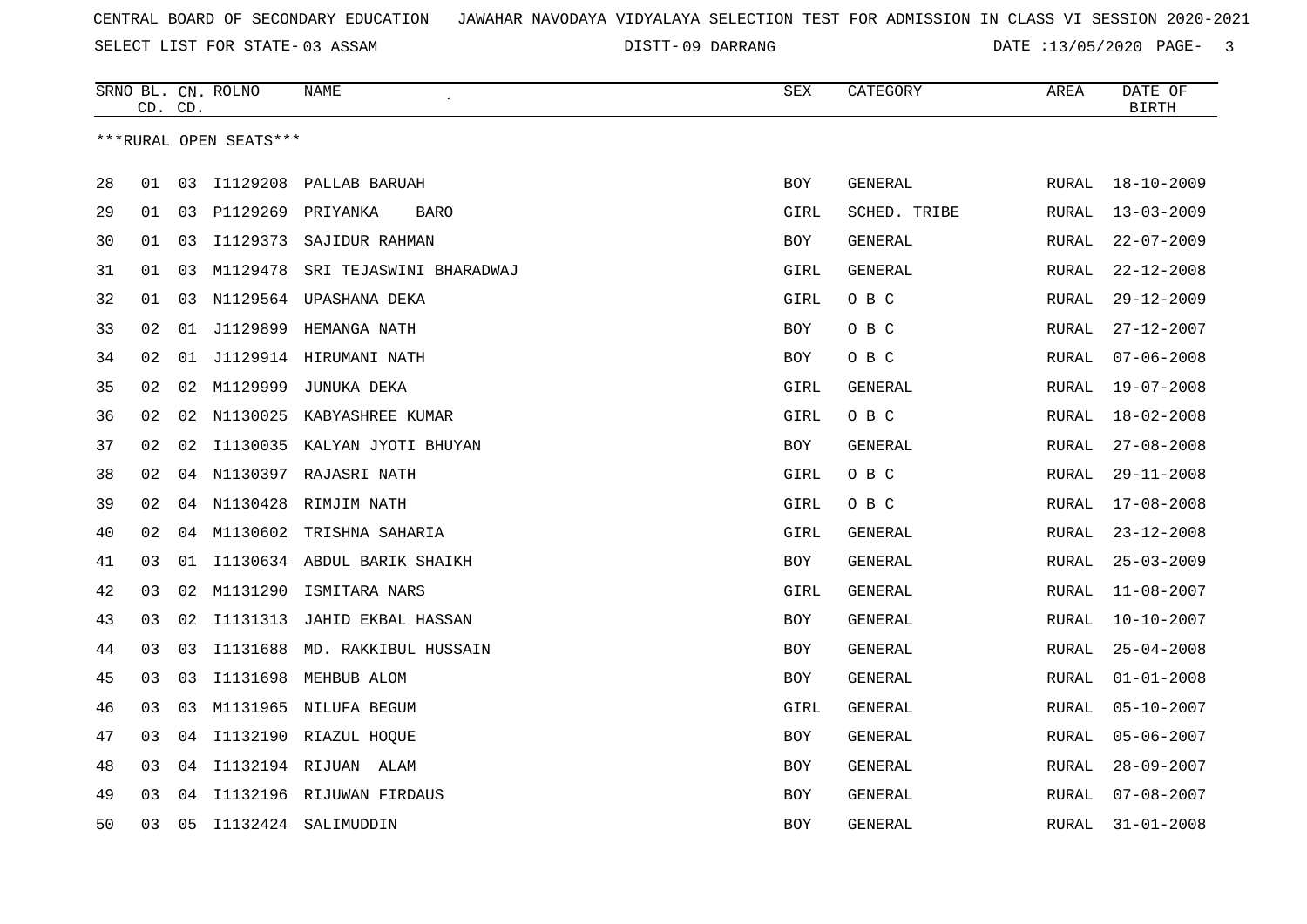09 DARRANG DATE :13/05/2020 PAGE- 3

|    |    | CD. CD. | SRNO BL. CN. ROLNO     | NAME<br>$\epsilon$          | <b>SEX</b> | CATEGORY       | AREA         | DATE OF<br><b>BIRTH</b> |
|----|----|---------|------------------------|-----------------------------|------------|----------------|--------------|-------------------------|
|    |    |         | ***RURAL OPEN SEATS*** |                             |            |                |              |                         |
|    |    |         |                        |                             |            |                |              |                         |
| 28 | 01 | 03      | I1129208               | PALLAB BARUAH               | BOY        | GENERAL        | RURAL        | $18 - 10 - 2009$        |
| 29 | 01 | 03      | P1129269               | PRIYANKA<br><b>BARO</b>     | GIRL       | SCHED. TRIBE   | RURAL        | $13 - 03 - 2009$        |
| 30 | 01 | 03      | I1129373               | SAJIDUR RAHMAN              | BOY        | GENERAL        | RURAL        | $22 - 07 - 2009$        |
| 31 | 01 | 03      | M1129478               | SRI TEJASWINI BHARADWAJ     | GIRL       | <b>GENERAL</b> | RURAL        | $22 - 12 - 2008$        |
| 32 | 01 | 03      | N1129564               | UPASHANA DEKA               | GIRL       | O B C          | <b>RURAL</b> | $29 - 12 - 2009$        |
| 33 | 02 | 01      | J1129899               | HEMANGA NATH                | BOY        | O B C          | RURAL        | $27 - 12 - 2007$        |
| 34 | 02 | 01      |                        | J1129914 HIRUMANI NATH      | BOY        | O B C          | RURAL        | $07 - 06 - 2008$        |
| 35 | 02 | 02      | M1129999               | JUNUKA DEKA                 | GIRL       | GENERAL        | <b>RURAL</b> | $19 - 07 - 2008$        |
| 36 | 02 | 02      | N1130025               | KABYASHREE KUMAR            | GIRL       | O B C          | <b>RURAL</b> | $18 - 02 - 2008$        |
| 37 | 02 | 02      | I1130035               | KALYAN JYOTI BHUYAN         | BOY        | GENERAL        | RURAL        | $27 - 08 - 2008$        |
| 38 | 02 | 04      |                        | N1130397 RAJASRI NATH       | GIRL       | O B C          | RURAL        | $29 - 11 - 2008$        |
| 39 | 02 | 04      | N1130428               | RIMJIM NATH                 | GIRL       | O B C          | <b>RURAL</b> | $17 - 08 - 2008$        |
| 40 | 02 |         |                        | 04 M1130602 TRISHNA SAHARIA | GIRL       | GENERAL        | RURAL        | $23 - 12 - 2008$        |
| 41 | 03 | 01      |                        | I1130634 ABDUL BARIK SHAIKH | BOY        | GENERAL        | <b>RURAL</b> | $25 - 03 - 2009$        |
| 42 | 03 | 02      | M1131290               | ISMITARA NARS               | GIRL       | GENERAL        | RURAL        | $11 - 08 - 2007$        |
| 43 | 03 | 02      | I1131313               | JAHID EKBAL HASSAN          | BOY        | GENERAL        | <b>RURAL</b> | $10 - 10 - 2007$        |
| 44 | 03 | 03      | I1131688               | MD. RAKKIBUL HUSSAIN        | BOY        | GENERAL        | <b>RURAL</b> | $25 - 04 - 2008$        |
| 45 | 03 | 03      | I1131698               | MEHBUB ALOM                 | BOY        | GENERAL        | RURAL        | $01 - 01 - 2008$        |
| 46 | 03 | 03      | M1131965               | NILUFA BEGUM                | GIRL       | GENERAL        | RURAL        | $05 - 10 - 2007$        |
| 47 | 03 | 04      |                        | I1132190 RIAZUL HOQUE       | BOY        | GENERAL        | RURAL        | $05 - 06 - 2007$        |
| 48 | 03 | 04      |                        | I1132194 RIJUAN ALAM        | BOY        | GENERAL        | RURAL        | $28 - 09 - 2007$        |
| 49 | 03 | 04      |                        | I1132196 RIJUWAN FIRDAUS    | BOY        | GENERAL        | RURAL        | $07 - 08 - 2007$        |
| 50 | 03 | 05      | I1132424               | SALIMUDDIN                  | <b>BOY</b> | GENERAL        | RURAL        | $31 - 01 - 2008$        |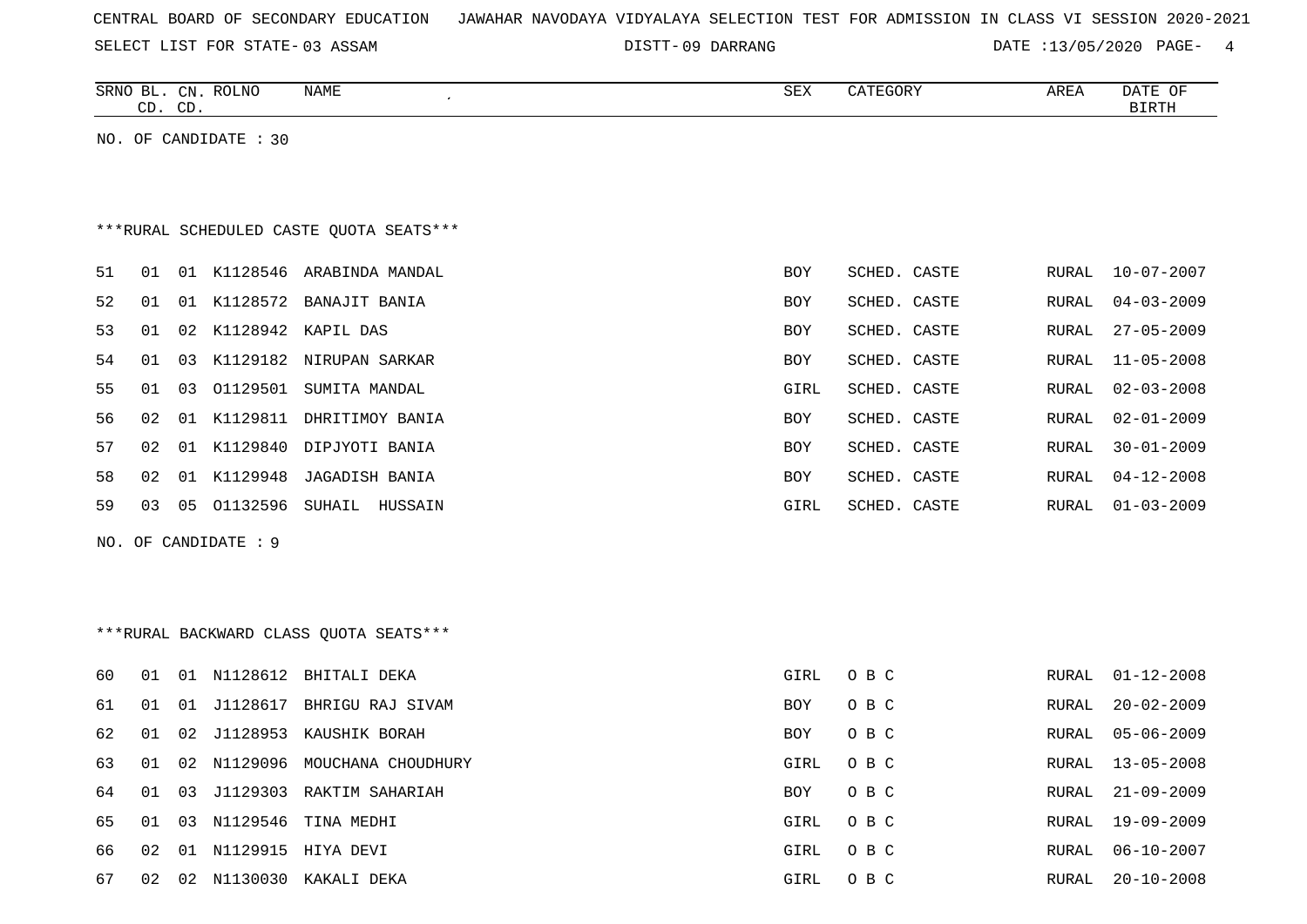|  |  | CENTRAL BOARD OF SECONDARY EDUCATION – JAWAHAR NAVODAYA VIDYALAYA SELECTION TEST FOR ADMISSION IN CLASS VI SESSION 2020-2021 |  |  |  |  |  |  |  |  |  |  |  |  |  |
|--|--|------------------------------------------------------------------------------------------------------------------------------|--|--|--|--|--|--|--|--|--|--|--|--|--|
|--|--|------------------------------------------------------------------------------------------------------------------------------|--|--|--|--|--|--|--|--|--|--|--|--|--|

DISTT-09 DARRANG 2000 DATE :13/05/2020 PAGE- 4

|    |    | CD. CD. | SRNO BL. CN. ROLNO    | NAME                                     | <b>SEX</b>  | CATEGORY     | AREA         | DATE OF<br>$\operatorname{BIRTH}$ |
|----|----|---------|-----------------------|------------------------------------------|-------------|--------------|--------------|-----------------------------------|
|    |    |         | NO. OF CANDIDATE : 30 |                                          |             |              |              |                                   |
|    |    |         |                       |                                          |             |              |              |                                   |
|    |    |         |                       |                                          |             |              |              |                                   |
|    |    |         |                       | *** RURAL SCHEDULED CASTE QUOTA SEATS*** |             |              |              |                                   |
| 51 | 01 |         |                       | 01 K1128546 ARABINDA MANDAL              | BOY         | SCHED. CASTE | RURAL        | $10 - 07 - 2007$                  |
| 52 | 01 |         |                       | 01 K1128572 BANAJIT BANIA                | BOY         | SCHED. CASTE | RURAL        | $04 - 03 - 2009$                  |
| 53 | 01 |         |                       | 02 K1128942 KAPIL DAS                    | BOY         | SCHED. CASTE | RURAL        | $27 - 05 - 2009$                  |
| 54 | 01 | 03      |                       | K1129182 NIRUPAN SARKAR                  | <b>BOY</b>  | SCHED. CASTE | RURAL        | $11 - 05 - 2008$                  |
| 55 | 01 | 03      |                       | 01129501 SUMITA MANDAL                   | GIRL        | SCHED. CASTE | <b>RURAL</b> | $02 - 03 - 2008$                  |
| 56 | 02 |         |                       | 01 K1129811 DHRITIMOY BANIA              | <b>BOY</b>  | SCHED. CASTE | RURAL        | $02 - 01 - 2009$                  |
| 57 | 02 |         |                       | 01 K1129840 DIPJYOTI BANIA               | BOY         | SCHED. CASTE | RURAL        | $30 - 01 - 2009$                  |
| 58 | 02 |         |                       | 01 K1129948 JAGADISH BANIA               | BOY         | SCHED. CASTE | RURAL        | $04 - 12 - 2008$                  |
| 59 | 03 |         |                       | 05 01132596 SUHAIL HUSSAIN               | GIRL        | SCHED. CASTE | RURAL        | $01 - 03 - 2009$                  |
|    |    |         | NO. OF CANDIDATE : 9  |                                          |             |              |              |                                   |
|    |    |         |                       |                                          |             |              |              |                                   |
|    |    |         |                       |                                          |             |              |              |                                   |
|    |    |         |                       | *** RURAL BACKWARD CLASS QUOTA SEATS***  |             |              |              |                                   |
|    |    |         |                       |                                          |             |              |              |                                   |
| 60 | 01 |         |                       | 01 N1128612 BHITALI DEKA                 | GIRL        | O B C        | <b>RURAL</b> | $01 - 12 - 2008$                  |
| 61 | 01 | 01      |                       | J1128617 BHRIGU RAJ SIVAM                | BOY         | O B C        | RURAL        | $20 - 02 - 2009$                  |
| 62 | 01 | 02      |                       | J1128953 KAUSHIK BORAH                   | <b>BOY</b>  | O B C        | RURAL        | $05 - 06 - 2009$                  |
| 63 | 01 |         |                       | 02 N1129096 MOUCHANA CHOUDHURY           | GIRL        | O B C        | RURAL        | $13 - 05 - 2008$                  |
| 64 | 01 | 03      |                       | J1129303 RAKTIM SAHARIAH                 | BOY         | O B C        | RURAL        | $21 - 09 - 2009$                  |
| 65 | 01 | 03      | N1129546              | TINA MEDHI                               | GIRL        | O B C        | <b>RURAL</b> | $19 - 09 - 2009$                  |
| 66 | 02 |         |                       | 01 N1129915 HIYA DEVI                    | GIRL        | O B C        | <b>RURAL</b> | $06 - 10 - 2007$                  |
| 67 | 02 |         |                       | 02 N1130030 KAKALI DEKA                  | <b>GIRL</b> | O B C        | RURAL        | $20 - 10 - 2008$                  |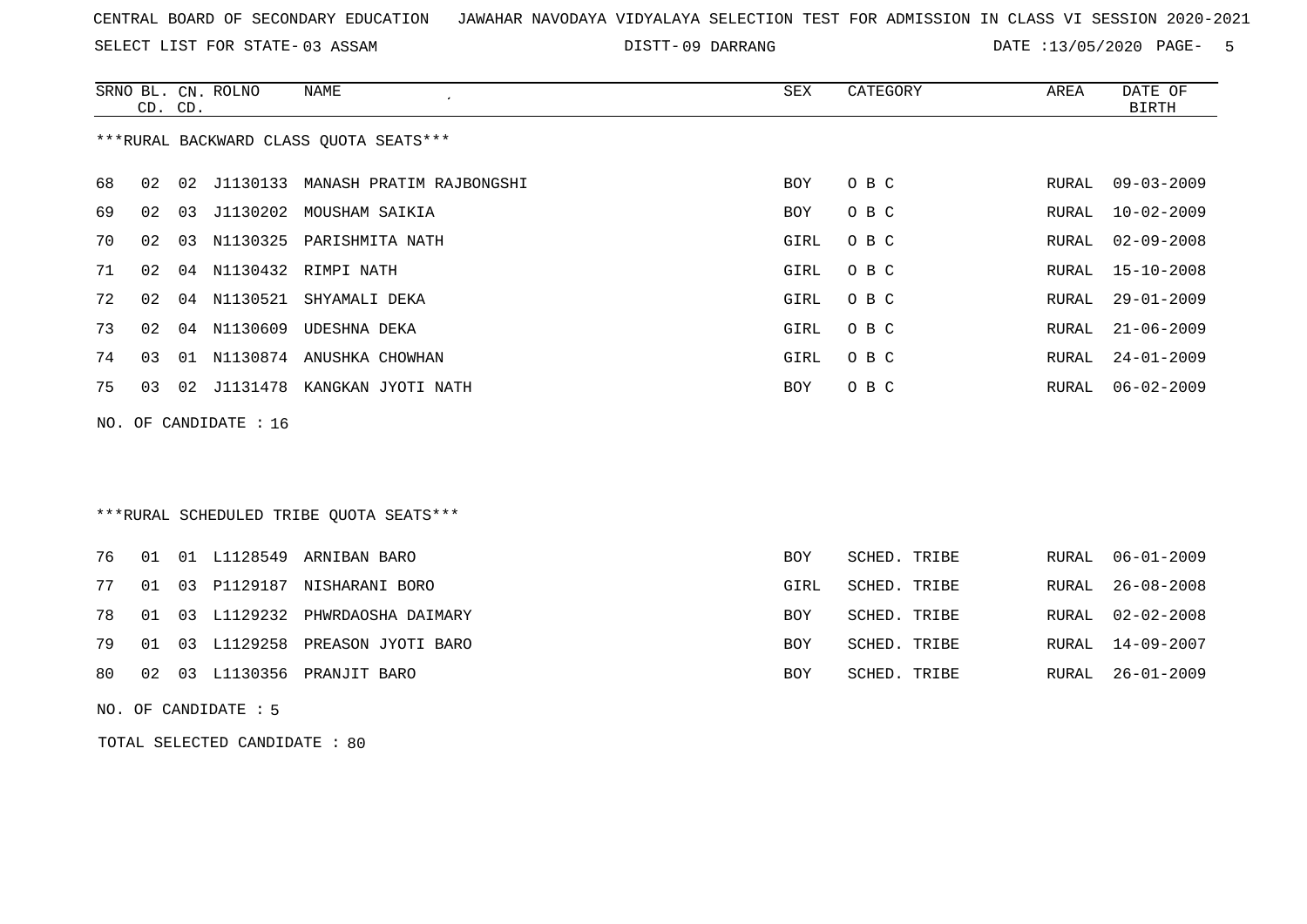SELECT LIST FOR STATE- DISTT- 03 ASSAM

09 DARRANG DATE :13/05/2020 PAGE- 5

|     |    | CD. CD. | SRNO BL. CN. ROLNO | NAME                                    | SEX        | CATEGORY     | AREA  | DATE OF<br><b>BIRTH</b> |
|-----|----|---------|--------------------|-----------------------------------------|------------|--------------|-------|-------------------------|
|     |    |         |                    | *** RURAL BACKWARD CLASS QUOTA SEATS*** |            |              |       |                         |
| 68  | 02 | 02      |                    | J1130133 MANASH PRATIM RAJBONGSHI       | <b>BOY</b> | O B C        | RURAL | $09 - 03 - 2009$        |
| 69  | 02 | 03      |                    | J1130202 MOUSHAM SAIKIA                 | <b>BOY</b> | O B C        | RURAL | $10 - 02 - 2009$        |
| 70  | 02 |         |                    | 03 N1130325 PARISHMITA NATH             | GIRL       | O B C        | RURAL | $02 - 09 - 2008$        |
| 71  | 02 |         |                    | 04 N1130432 RIMPI NATH                  | GIRL       | O B C        | RURAL | $15 - 10 - 2008$        |
| 72  | 02 |         | 04 N1130521        | SHYAMALI DEKA                           | GIRL       | O B C        | RURAL | $29 - 01 - 2009$        |
| 73  | 02 |         | 04 N1130609        | UDESHNA DEKA                            | GIRL       | O B C        | RURAL | $21 - 06 - 2009$        |
| 74  | 03 |         |                    | 01 N1130874 ANUSHKA CHOWHAN             | GIRL       | O B C        | RURAL | $24 - 01 - 2009$        |
| 75  | 03 | 02      | J1131478           | KANGKAN JYOTI NATH                      | <b>BOY</b> | O B C        | RURAL | $06 - 02 - 2009$        |
| NO. |    |         | OF CANDIDATE : 16  |                                         |            |              |       |                         |
|     |    |         |                    | ***RURAL SCHEDULED TRIBE OUOTA SEATS*** |            |              |       |                         |
| 76  | 01 |         | 01 L1128549        | ARNIBAN BARO                            | <b>BOY</b> | SCHED. TRIBE | RURAL | $06 - 01 - 2009$        |
| 77  | 01 | 03      | P1129187           | NISHARANI BORO                          | GIRL       | SCHED. TRIBE | RURAL | $26 - 08 - 2008$        |

78 01 03 L1129232 PHWRDAOSHA DAIMARY **BOY SCHED. TRIBE** RURAL 02-02-2008 79 01 03 L1129258 PREASON JYOTI BARO BOY SCHED. TRIBE ROY SCHED. TRIBE RURAL 14-09-2007 80 02 03 L1130356 PRANJIT BARO BOY SCHED. TRIBE RURAL 26-01-2009

NO. OF CANDIDATE : 5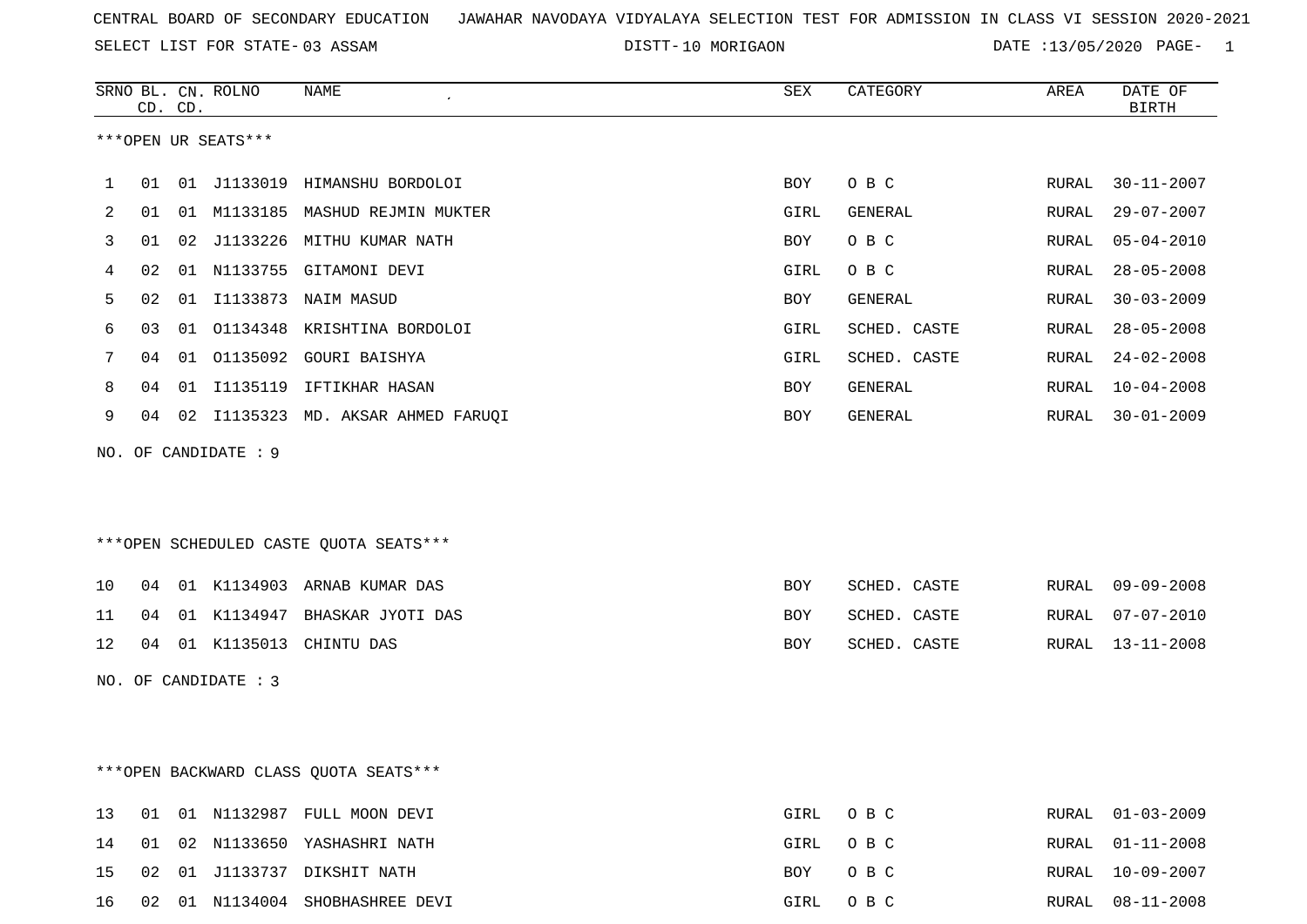DISTT-10 MORIGAON DATE :13/05/2020 PAGE- 1

|     |    | CD. CD. | SRNO BL. CN. ROLNO   | <b>NAME</b><br>$\epsilon$              | ${\tt SEX}$ | CATEGORY     | AREA          | DATE OF<br><b>BIRTH</b> |
|-----|----|---------|----------------------|----------------------------------------|-------------|--------------|---------------|-------------------------|
|     |    |         | ***OPEN UR SEATS***  |                                        |             |              |               |                         |
| 1   | 01 |         |                      | 01 J1133019 HIMANSHU BORDOLOI          | <b>BOY</b>  | O B C        | RURAL         | $30 - 11 - 2007$        |
| 2   | 01 |         |                      | 01 M1133185 MASHUD REJMIN MUKTER       | GIRL        | GENERAL      | RURAL         | $29 - 07 - 2007$        |
| 3   | 01 | 02      |                      | J1133226 MITHU KUMAR NATH              | <b>BOY</b>  | O B C        | RURAL         | $05 - 04 - 2010$        |
| 4   | 02 | 01      |                      | N1133755 GITAMONI DEVI                 | GIRL        | O B C        | RURAL         | $28 - 05 - 2008$        |
| 5   | 02 | 01      |                      | I1133873 NAIM MASUD                    | <b>BOY</b>  | GENERAL      | <b>RURAL</b>  | $30 - 03 - 2009$        |
| 6   | 03 |         |                      | 01 01134348 KRISHTINA BORDOLOI         | GIRL        | SCHED. CASTE | RURAL         | $28 - 05 - 2008$        |
| 7   | 04 | 01      | 01135092             | GOURI BAISHYA                          | GIRL        | SCHED. CASTE | RURAL         | $24 - 02 - 2008$        |
| 8   | 04 | 01      |                      | I1135119 IFTIKHAR HASAN                | <b>BOY</b>  | GENERAL      | ${\tt RURAL}$ | $10 - 04 - 2008$        |
| 9   | 04 | 02      |                      | I1135323 MD. AKSAR AHMED FARUQI        | <b>BOY</b>  | GENERAL      | RURAL         | $30 - 01 - 2009$        |
|     |    |         | NO. OF CANDIDATE : 9 |                                        |             |              |               |                         |
|     |    |         |                      |                                        |             |              |               |                         |
|     |    |         |                      |                                        |             |              |               |                         |
|     |    |         |                      | ***OPEN SCHEDULED CASTE QUOTA SEATS*** |             |              |               |                         |
| 10  | 04 |         |                      | 01 K1134903 ARNAB KUMAR DAS            | BOY         | SCHED. CASTE | RURAL         | $09 - 09 - 2008$        |
| 11  | 04 |         |                      | 01 K1134947 BHASKAR JYOTI DAS          | <b>BOY</b>  | SCHED. CASTE | RURAL         | $07 - 07 - 2010$        |
| 12  | 04 |         | 01 K1135013          | CHINTU DAS                             | BOY         | SCHED. CASTE | RURAL         | $13 - 11 - 2008$        |
| NO. |    |         | OF CANDIDATE : 3     |                                        |             |              |               |                         |
|     |    |         |                      |                                        |             |              |               |                         |
|     |    |         |                      |                                        |             |              |               |                         |
|     |    |         |                      |                                        |             |              |               |                         |

\*\*\*OPEN BACKWARD CLASS QUOTA SEATS\*\*\*

|  |  | 13 01 01 N1132987 FULL MOON DEVI   | GIRL OBC | RURAL 01-03-2009 |
|--|--|------------------------------------|----------|------------------|
|  |  | 14 01 02 N1133650 YASHASHRI NATH   | GIRL OBC | RURAL 01-11-2008 |
|  |  | 15 02 01 J1133737 DIKSHIT NATH     | BOY OBC  | RURAL 10-09-2007 |
|  |  | 16 02 01 N1134004 SHOBHASHREE DEVI | GIRL OBC | RURAL 08-11-2008 |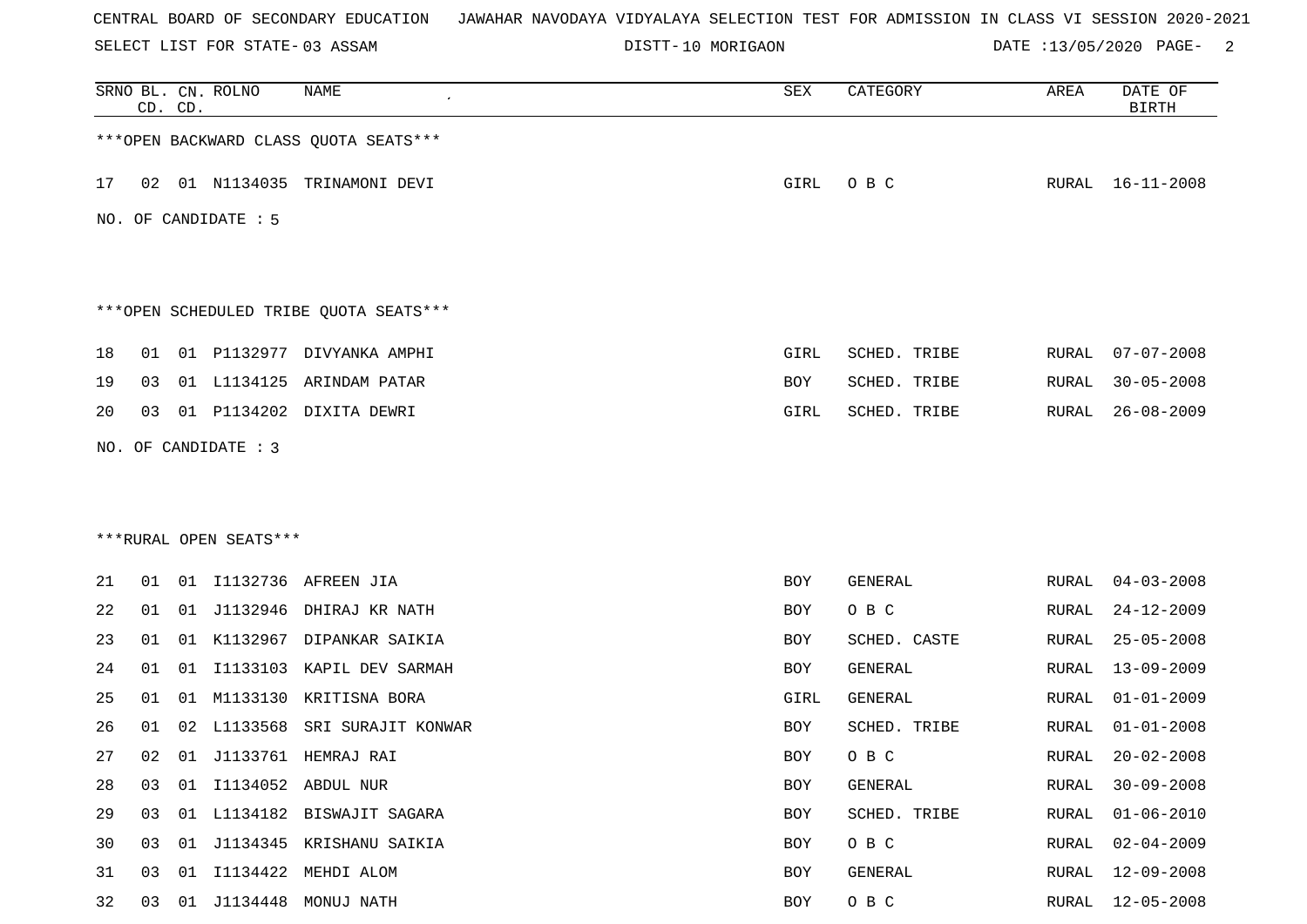SELECT LIST FOR STATE- DISTT- 03 ASSAM

DISTT-10 MORIGAON DATE :13/05/2020 PAGE- 2

|    |    | CD. CD. | SRNO BL. CN. ROLNO     | NAME                                   | SEX        | CATEGORY       | AREA          | DATE OF<br><b>BIRTH</b> |
|----|----|---------|------------------------|----------------------------------------|------------|----------------|---------------|-------------------------|
|    |    |         |                        | *** OPEN BACKWARD CLASS QUOTA SEATS*** |            |                |               |                         |
| 17 | 02 |         |                        | 01 N1134035 TRINAMONI DEVI             | GIRL       | O B C          | RURAL         | 16-11-2008              |
|    |    |         | NO. OF CANDIDATE : 5   |                                        |            |                |               |                         |
|    |    |         |                        | ***OPEN SCHEDULED TRIBE QUOTA SEATS*** |            |                |               |                         |
| 18 | 01 |         |                        | 01 P1132977 DIVYANKA AMPHI             | GIRL       | SCHED. TRIBE   | RURAL         | $07 - 07 - 2008$        |
| 19 | 03 |         |                        | 01 L1134125 ARINDAM PATAR              | BOY        | SCHED. TRIBE   | RURAL         | $30 - 05 - 2008$        |
| 20 | 03 |         |                        | 01 P1134202 DIXITA DEWRI               | GIRL       | SCHED. TRIBE   | RURAL         | $26 - 08 - 2009$        |
|    |    |         | NO. OF CANDIDATE : $3$ |                                        |            |                |               |                         |
|    |    |         |                        |                                        |            |                |               |                         |
|    |    |         | ***RURAL OPEN SEATS*** |                                        |            |                |               |                         |
|    |    |         |                        |                                        |            |                |               |                         |
| 21 | 01 |         |                        | 01 I1132736 AFREEN JIA                 | BOY        | GENERAL        | RURAL         | $04 - 03 - 2008$        |
| 22 | 01 |         | 01 J1132946            | DHIRAJ KR NATH                         | BOY        | O B C          | RURAL         | $24 - 12 - 2009$        |
| 23 | 01 | 01      | K1132967               | DIPANKAR SAIKIA                        | BOY        | SCHED. CASTE   | RURAL         | $25 - 05 - 2008$        |
| 24 | 01 |         |                        | 01 I1133103 KAPIL DEV SARMAH           | BOY        | <b>GENERAL</b> | RURAL         | $13 - 09 - 2009$        |
| 25 | 01 |         | 01 M1133130            | KRITISNA BORA                          | GIRL       | GENERAL        | RURAL         | $01 - 01 - 2009$        |
| 26 | 01 |         |                        | 02 L1133568 SRI SURAJIT KONWAR         | BOY        | SCHED. TRIBE   | RURAL         | $01 - 01 - 2008$        |
| 27 | 02 |         |                        | 01 J1133761 HEMRAJ RAI                 | BOY        | O B C          | RURAL         | $20 - 02 - 2008$        |
| 28 | 03 |         |                        | 01 I1134052 ABDUL NUR                  | <b>BOY</b> | GENERAL        | ${\tt RURAL}$ | $30 - 09 - 2008$        |
| 29 | 03 |         |                        | 01 L1134182 BISWAJIT SAGARA            | <b>BOY</b> | SCHED. TRIBE   | RURAL         | $01 - 06 - 2010$        |
| 30 | 03 | 01      |                        | J1134345 KRISHANU SAIKIA               | BOY        | O B C          | ${\tt RURAL}$ | $02 - 04 - 2009$        |
| 31 | 03 | 01      | I1134422               | MEHDI ALOM                             | BOY        | GENERAL        | RURAL         | $12 - 09 - 2008$        |
| 32 | 03 |         |                        | 01 J1134448 MONUJ NATH                 | BOY        | O B C          | RURAL         | $12 - 05 - 2008$        |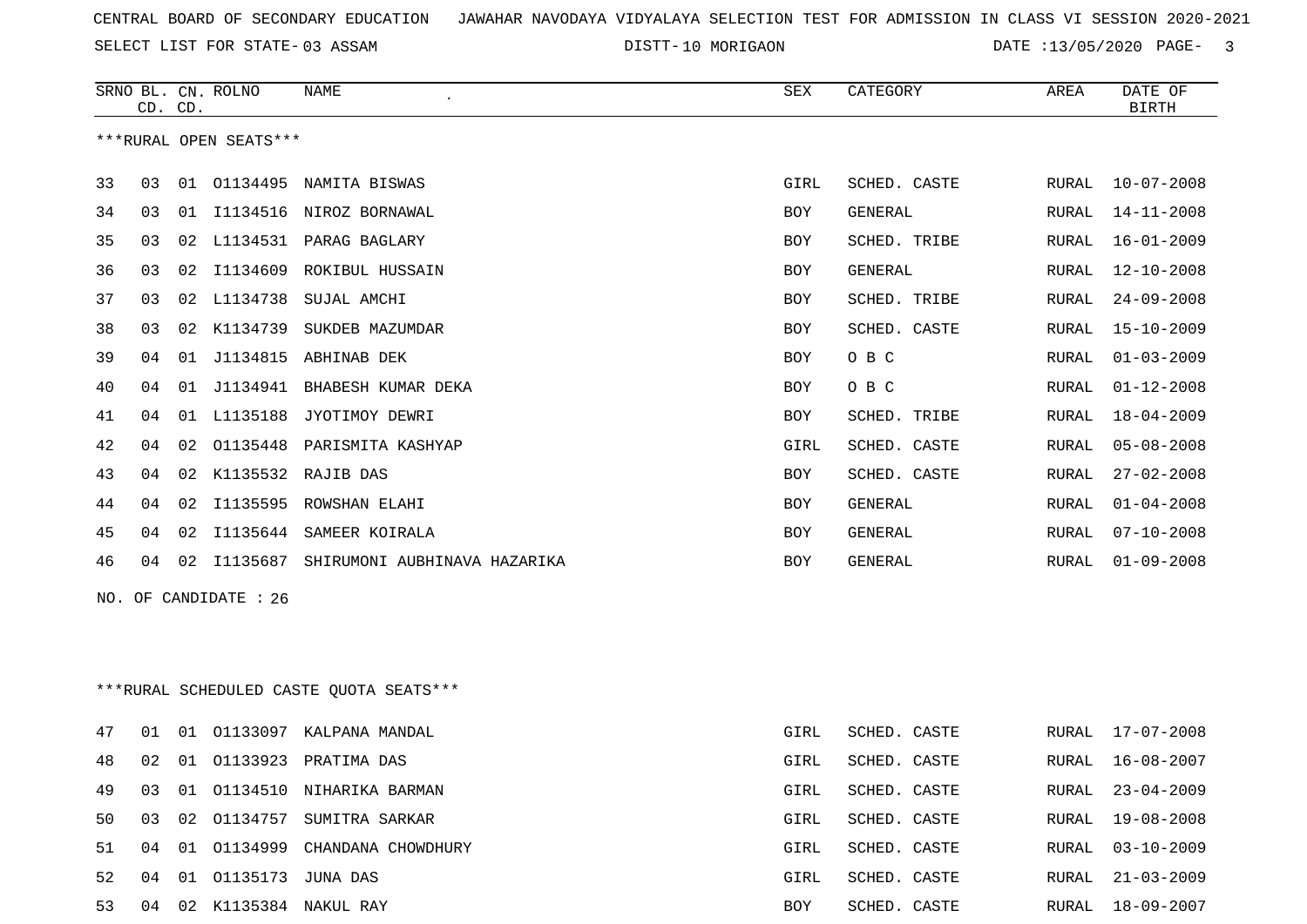SELECT LIST FOR STATE- DISTT- 03 ASSAM

DISTT-10 MORIGAON **DATE** :13/05/2020 PAGE- 3

|    | CD. CD. |    | SRNO BL. CN. ROLNO     | NAME                                    | SEX        | CATEGORY       | AREA         | DATE OF<br><b>BIRTH</b> |
|----|---------|----|------------------------|-----------------------------------------|------------|----------------|--------------|-------------------------|
|    |         |    | ***RURAL OPEN SEATS*** |                                         |            |                |              |                         |
|    |         |    |                        |                                         |            |                |              |                         |
| 33 | 03      |    |                        | 01 01134495 NAMITA BISWAS               | GIRL       | SCHED. CASTE   | RURAL        | $10 - 07 - 2008$        |
| 34 | 03      | 01 |                        | I1134516 NIROZ BORNAWAL                 | BOY        | GENERAL        | RURAL        | $14 - 11 - 2008$        |
| 35 | 03      |    |                        | 02 L1134531 PARAG BAGLARY               | BOY        | SCHED. TRIBE   | RURAL        | $16 - 01 - 2009$        |
| 36 | 03      | 02 | I1134609               | ROKIBUL HUSSAIN                         | BOY        | <b>GENERAL</b> | RURAL        | $12 - 10 - 2008$        |
| 37 | 03      |    |                        | 02 L1134738 SUJAL AMCHI                 | BOY        | SCHED. TRIBE   | <b>RURAL</b> | $24 - 09 - 2008$        |
| 38 | 03      | 02 | K1134739               | SUKDEB MAZUMDAR                         | BOY        | SCHED. CASTE   | RURAL        | $15 - 10 - 2009$        |
| 39 | 04      |    | 01 J1134815            | ABHINAB DEK                             | BOY        | O B C          | RURAL        | $01 - 03 - 2009$        |
| 40 | 04      |    |                        | 01 J1134941 BHABESH KUMAR DEKA          | BOY        | O B C          | RURAL        | $01 - 12 - 2008$        |
| 41 | 04      |    |                        | 01 L1135188 JYOTIMOY DEWRI              | BOY        | SCHED. TRIBE   | RURAL        | $18 - 04 - 2009$        |
| 42 | 04      | 02 |                        | 01135448 PARISMITA KASHYAP              | GIRL       | SCHED. CASTE   | RURAL        | $05 - 08 - 2008$        |
| 43 | 04      | 02 |                        | K1135532 RAJIB DAS                      | BOY        | SCHED. CASTE   | RURAL        | $27 - 02 - 2008$        |
| 44 | 04      | 02 |                        | I1135595 ROWSHAN ELAHI                  | <b>BOY</b> | <b>GENERAL</b> | RURAL        | $01 - 04 - 2008$        |
| 45 | 04      | 02 |                        | I1135644 SAMEER KOIRALA                 | BOY        | <b>GENERAL</b> | RURAL        | $07 - 10 - 2008$        |
| 46 | 04      | 02 | I1135687               | SHIRUMONI AUBHINAVA HAZARIKA            | BOY        | GENERAL        | RURAL        | $01 - 09 - 2008$        |
|    |         |    | NO. OF CANDIDATE : 26  |                                         |            |                |              |                         |
|    |         |    |                        |                                         |            |                |              |                         |
|    |         |    |                        |                                         |            |                |              |                         |
|    |         |    |                        | ***RURAL SCHEDULED CASTE QUOTA SEATS*** |            |                |              |                         |
|    |         |    |                        |                                         |            |                |              |                         |
| 47 | 01      |    |                        | 01 01133097 KALPANA MANDAL              | GIRL       | SCHED. CASTE   | RURAL        | 17-07-2008              |
| 48 | 02      |    |                        | 01 01133923 PRATIMA DAS                 | GIRL       | SCHED. CASTE   | RURAL        | $16 - 08 - 2007$        |
| 49 | 03      |    |                        | 01 01134510 NIHARIKA BARMAN             | GIRL       | SCHED. CASTE   | RURAL        | $23 - 04 - 2009$        |
| 50 | 03      |    |                        | 02 01134757 SUMITRA SARKAR              | GIRL       | SCHED. CASTE   | <b>RURAL</b> | $19 - 08 - 2008$        |
| 51 | 04      |    |                        | 01 01134999 CHANDANA CHOWDHURY          | GIRL       | SCHED. CASTE   | RURAL        | $03 - 10 - 2009$        |
| 52 | 04      |    | 01 01135173 JUNA DAS   |                                         | GIRL       | SCHED. CASTE   | RURAL        | $21 - 03 - 2009$        |
| 53 |         |    |                        | 04 02 K1135384 NAKUL RAY                | BOY        | SCHED. CASTE   | RURAL        | 18-09-2007              |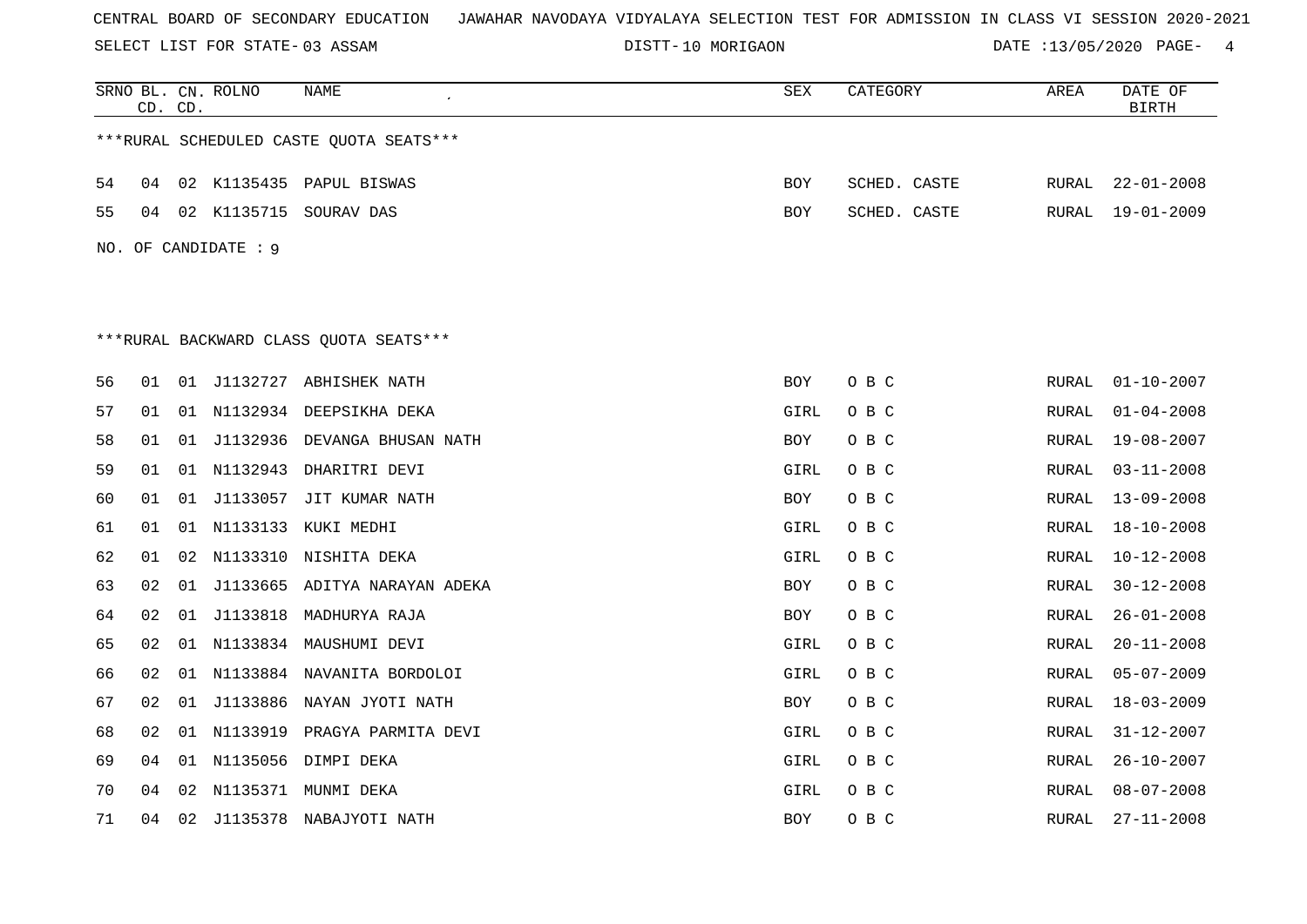SELECT LIST FOR STATE- DISTT- 03 ASSAM

DISTT-10 MORIGAON DATE :13/05/2020 PAGE- 4

|    |    | CD. CD. | SRNO BL. CN. ROLNO  | NAME<br>$\pmb{\cdot}$                   | SEX        | CATEGORY     | AREA  | DATE OF<br><b>BIRTH</b> |
|----|----|---------|---------------------|-----------------------------------------|------------|--------------|-------|-------------------------|
|    |    |         |                     | ***RURAL SCHEDULED CASTE QUOTA SEATS*** |            |              |       |                         |
|    |    |         |                     |                                         |            |              |       |                         |
| 54 | 04 |         |                     | 02 K1135435 PAPUL BISWAS                | <b>BOY</b> | SCHED. CASTE | RURAL | $22 - 01 - 2008$        |
| 55 | 04 |         |                     | 02 K1135715 SOURAV DAS                  | <b>BOY</b> | SCHED. CASTE | RURAL | 19-01-2009              |
|    |    |         | NO. OF CANDIDATE: 9 |                                         |            |              |       |                         |
|    |    |         |                     |                                         |            |              |       |                         |
|    |    |         |                     |                                         |            |              |       |                         |
|    |    |         |                     | ***RURAL BACKWARD CLASS OUOTA SEATS***  |            |              |       |                         |
| 56 | 01 |         |                     | 01 J1132727 ABHISHEK NATH               | <b>BOY</b> | O B C        | RURAL | $01 - 10 - 2007$        |
| 57 | 01 |         |                     | 01 N1132934 DEEPSIKHA DEKA              | GIRL       | O B C        | RURAL | $01 - 04 - 2008$        |
| 58 | 01 | 01      |                     | J1132936 DEVANGA BHUSAN NATH            | BOY        | O B C        | RURAL | $19 - 08 - 2007$        |
| 59 | 01 |         |                     | 01 N1132943 DHARITRI DEVI               | GIRL       | O B C        | RURAL | $03 - 11 - 2008$        |
| 60 | 01 | 01      |                     | J1133057 JIT KUMAR NATH                 | <b>BOY</b> | O B C        | RURAL | $13 - 09 - 2008$        |
| 61 | 01 |         |                     | 01 N1133133 KUKI MEDHI                  | GIRL       | O B C        | RURAL | $18 - 10 - 2008$        |
| 62 | 01 | 02      |                     | N1133310 NISHITA DEKA                   | GIRL       | O B C        | RURAL | $10 - 12 - 2008$        |
| 63 | 02 |         |                     | 01 J1133665 ADITYA NARAYAN ADEKA        | BOY        | O B C        | RURAL | $30 - 12 - 2008$        |
| 64 | 02 | 01      |                     | J1133818 MADHURYA RAJA                  | BOY        | O B C        | RURAL | $26 - 01 - 2008$        |
| 65 | 02 |         |                     | 01 N1133834 MAUSHUMI DEVI               | GIRL       | O B C        | RURAL | $20 - 11 - 2008$        |
| 66 | 02 |         |                     | 01 N1133884 NAVANITA BORDOLOI           | GIRL       | O B C        | RURAL | $05 - 07 - 2009$        |
| 67 | 02 | 01      |                     | J1133886 NAYAN JYOTI NATH               | <b>BOY</b> | O B C        | RURAL | $18 - 03 - 2009$        |
| 68 | 02 |         |                     | 01 N1133919 PRAGYA PARMITA DEVI         | GIRL       | O B C        | RURAL | $31 - 12 - 2007$        |
| 69 | 04 |         |                     | 01 N1135056 DIMPI DEKA                  | GIRL       | O B C        | RURAL | $26 - 10 - 2007$        |
| 70 | 04 |         |                     | 02 N1135371 MUNMI DEKA                  | GIRL       | O B C        | RURAL | $08 - 07 - 2008$        |
| 71 | 04 |         |                     | 02 J1135378 NABAJYOTI NATH              | <b>BOY</b> | O B C        | RURAL | $27 - 11 - 2008$        |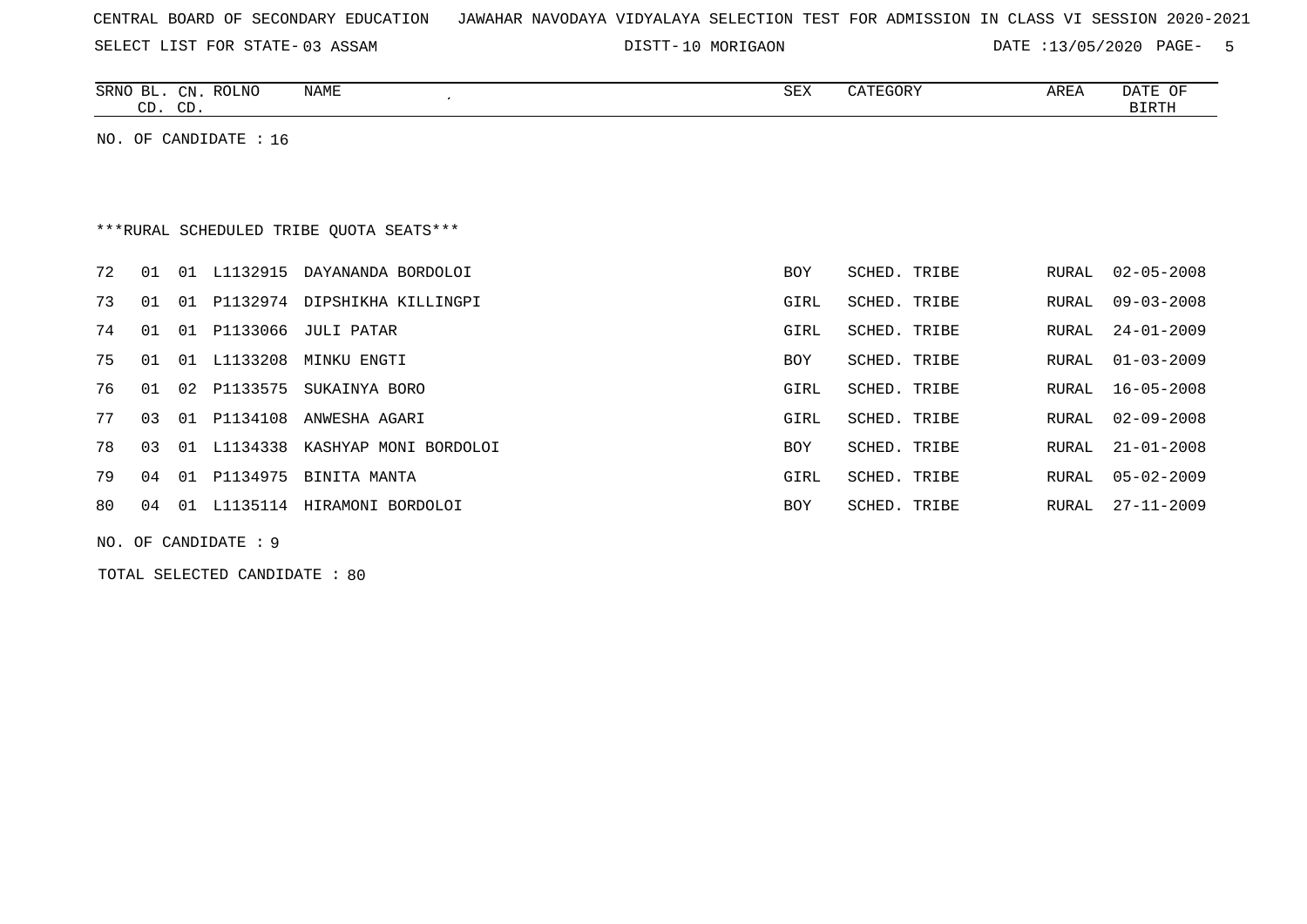SELECT LIST FOR STATE- DISTT- 03 ASSAM

DISTT-10 MORIGAON **DATE** :13/05/2020 PAGE- 5

| ROLNO<br>SRNO<br>BL.<br><b>CN</b> | NAME | SEX | CATEGORY | AREA | <b>DATE</b><br>OF |
|-----------------------------------|------|-----|----------|------|-------------------|
| $\cap$<br>$CD$ .<br>◡             |      |     |          |      | <b>BIRTH</b>      |
| — ∧דר                             |      |     |          |      |                   |

NO. OF CANDIDATE : 16

# \*\*\*RURAL SCHEDULED TRIBE QUOTA SEATS\*\*\*

| 72 | 01    | 01           | L1132915           | DAYANANDA BORDOLOI           | <b>BOY</b> | SCHED. TRIBE |       | RURAL 02-05-2008 |
|----|-------|--------------|--------------------|------------------------------|------------|--------------|-------|------------------|
| 73 | 01 01 |              |                    | P1132974 DIPSHIKHA KILLINGPI | GIRL       | SCHED. TRIBE |       | RURAL 09-03-2008 |
| 74 |       |              | 01   01   P1133066 | JULI PATAR                   | GIRL       | SCHED. TRIBE |       | RURAL 24-01-2009 |
| 75 |       |              | 01 01 L1133208     | MINKU ENGTI                  | <b>BOY</b> | SCHED. TRIBE |       | RURAL 01-03-2009 |
| 76 | 01    |              | 02 P1133575        | SUKAINYA BORO                | GIRL       | SCHED. TRIBE | RURAL | 16-05-2008       |
| 77 | 03    | $\bigcirc$ 1 | P1134108           | ANWESHA AGARI                | GIRL       | SCHED. TRIBE |       | RURAL 02-09-2008 |
| 78 |       |              | 03 01 L1134338     | KASHYAP MONI BORDOLOI        | <b>BOY</b> | SCHED. TRIBE | RURAL | $21 - 01 - 2008$ |
| 79 | 04    | 01           | P1134975           | BINITA MANTA                 | GIRL       | SCHED. TRIBE |       | RURAL 05-02-2009 |
| 80 | 04    | 01           | L1135114           | HIRAMONI BORDOLOI            | <b>BOY</b> | SCHED. TRIBE | RURAL | $27 - 11 - 2009$ |

NO. OF CANDIDATE : 9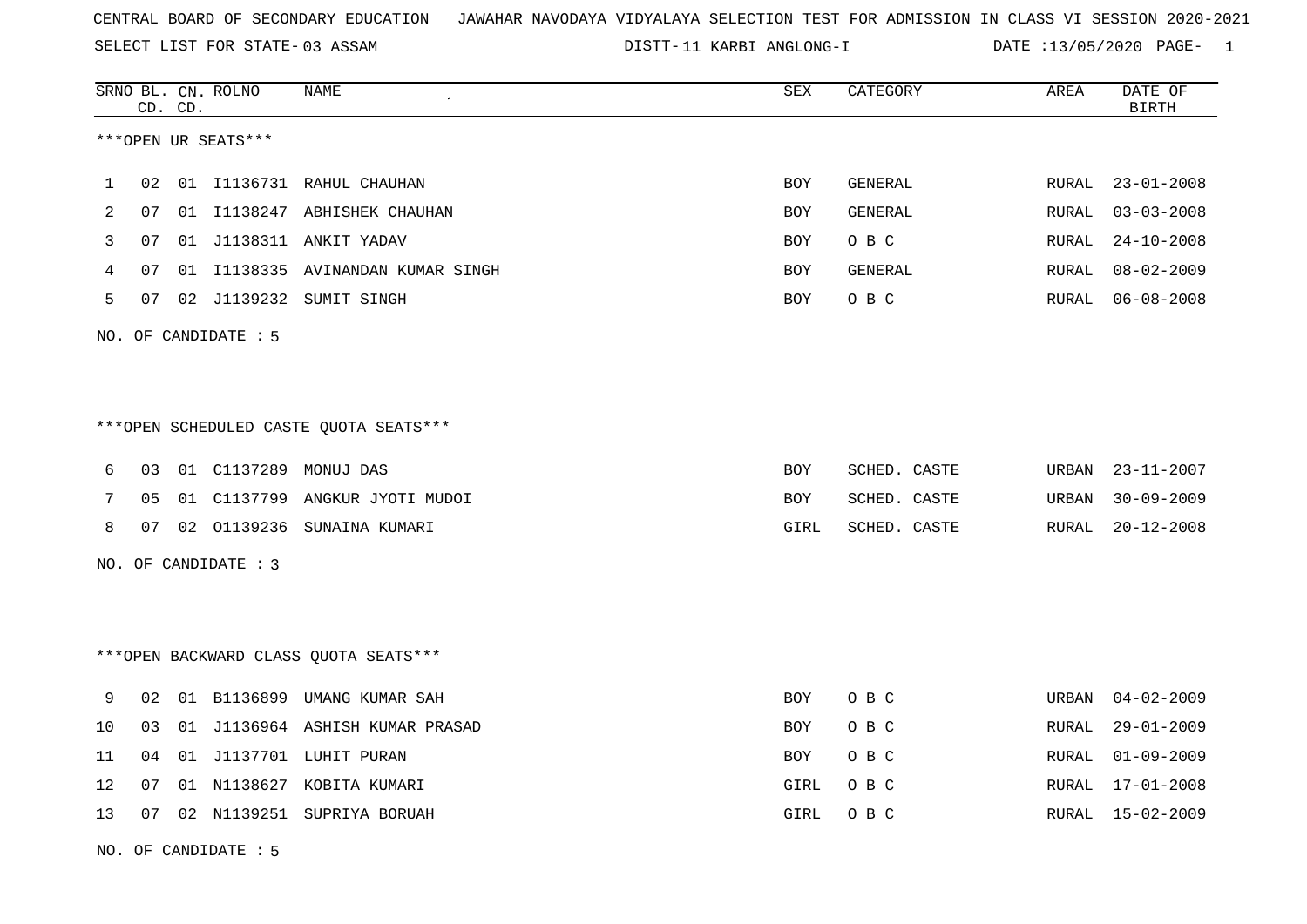SELECT LIST FOR STATE- DISTT- 03 ASSAM

DISTT-11 KARBI ANGLONG-I DATE :13/05/2020 PAGE- 1

|    |    | CD. CD. | SRNO BL. CN. ROLNO   | NAME                                   | ${\tt SEX}$ | CATEGORY       | AREA         | DATE OF<br><b>BIRTH</b> |
|----|----|---------|----------------------|----------------------------------------|-------------|----------------|--------------|-------------------------|
|    |    |         | ***OPEN UR SEATS***  |                                        |             |                |              |                         |
| 1  | 02 |         |                      | 01 I1136731 RAHUL CHAUHAN              | <b>BOY</b>  | <b>GENERAL</b> | <b>RURAL</b> | $23 - 01 - 2008$        |
| 2  | 07 |         |                      | 01 I1138247 ABHISHEK CHAUHAN           | <b>BOY</b>  | GENERAL        | RURAL        | $03 - 03 - 2008$        |
| 3  | 07 |         |                      | 01 J1138311 ANKIT YADAV                | <b>BOY</b>  | O B C          | RURAL        | $24 - 10 - 2008$        |
| 4  | 07 | 01      |                      | I1138335 AVINANDAN KUMAR SINGH         | <b>BOY</b>  | GENERAL        | RURAL        | $08 - 02 - 2009$        |
| 5  | 07 |         |                      | 02 J1139232 SUMIT SINGH                | BOY         | O B C          | RURAL        | $06 - 08 - 2008$        |
|    |    |         | NO. OF CANDIDATE : 5 |                                        |             |                |              |                         |
|    |    |         |                      |                                        |             |                |              |                         |
|    |    |         |                      | ***OPEN SCHEDULED CASTE QUOTA SEATS*** |             |                |              |                         |
| 6  | 03 |         | 01 C1137289          | MONUJ DAS                              | BOY         | SCHED. CASTE   | URBAN        | $23 - 11 - 2007$        |
| 7  | 05 |         |                      | 01 C1137799 ANGKUR JYOTI MUDOI         | BOY         | SCHED. CASTE   | URBAN        | $30 - 09 - 2009$        |
| 8  | 07 |         |                      | 02 01139236 SUNAINA KUMARI             | GIRL        | SCHED. CASTE   | RURAL        | $20 - 12 - 2008$        |
|    |    |         | NO. OF CANDIDATE : 3 |                                        |             |                |              |                         |
|    |    |         |                      |                                        |             |                |              |                         |
|    |    |         |                      | *** OPEN BACKWARD CLASS QUOTA SEATS*** |             |                |              |                         |
| 9  | 02 |         |                      | 01 B1136899 UMANG KUMAR SAH            | BOY         | O B C          | URBAN        | $04 - 02 - 2009$        |
| 10 | 03 | 01      |                      | J1136964 ASHISH KUMAR PRASAD           | BOY         | O B C          | RURAL        | $29 - 01 - 2009$        |
| 11 | 04 |         |                      | 01 J1137701 LUHIT PURAN                | BOY         | O B C          | RURAL        | $01 - 09 - 2009$        |
| 12 | 07 | 01      |                      | N1138627 KOBITA KUMARI                 | GIRL        | O B C          | RURAL        | $17 - 01 - 2008$        |
| 13 | 07 |         |                      | 02 N1139251 SUPRIYA BORUAH             | GIRL        | O B C          | RURAL        | 15-02-2009              |
|    |    |         |                      |                                        |             |                |              |                         |

NO. OF CANDIDATE : 5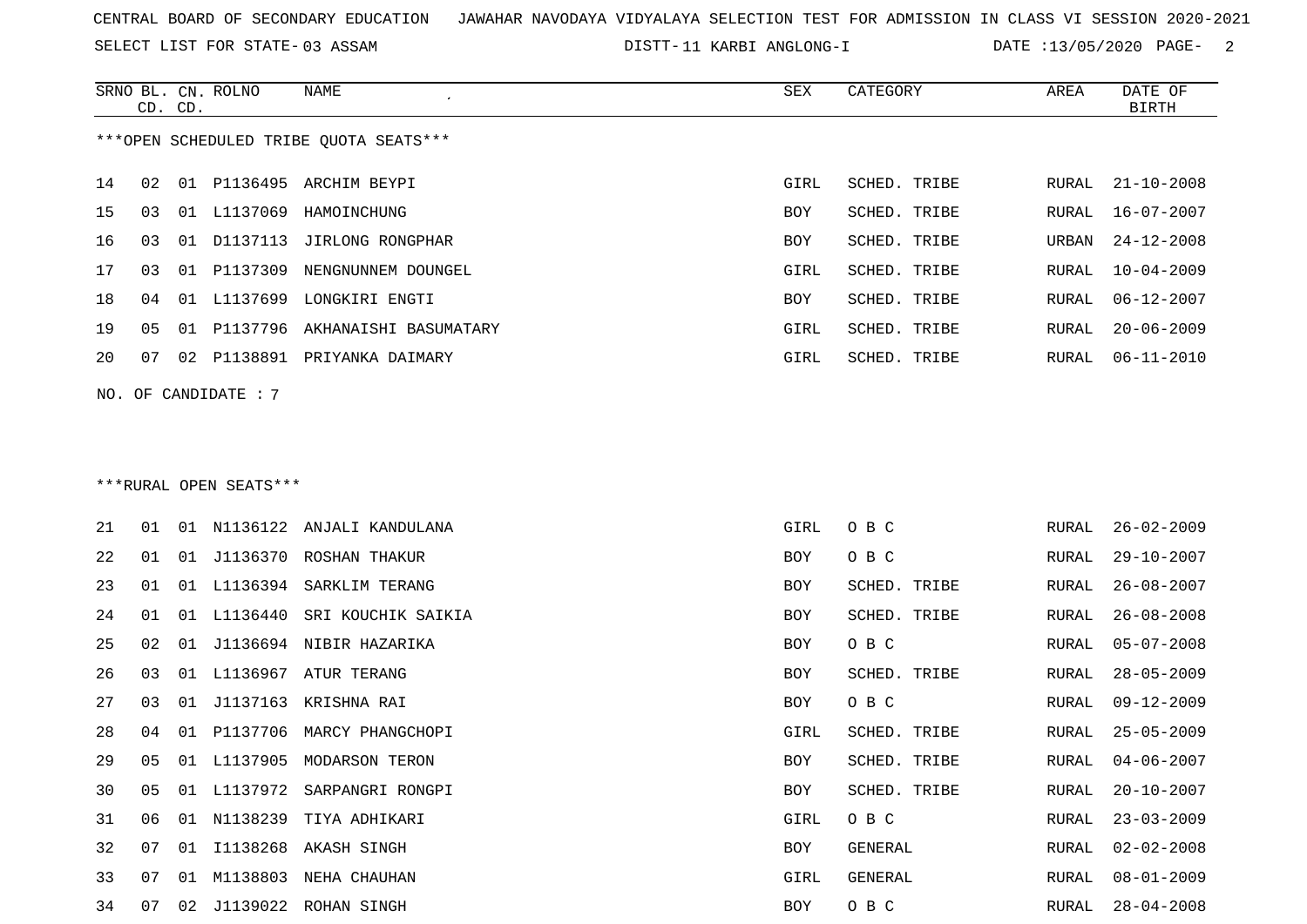SELECT LIST FOR STATE- DISTT- 03 ASSAM

DISTT-11 KARBI ANGLONG-I DATE :13/05/2020 PAGE- 2

|    |    |         | SRNO BL. CN. ROLNO  | NAME<br>$\pmb{\cdot}$                  | SEX  | CATEGORY     | AREA  | DATE OF          |
|----|----|---------|---------------------|----------------------------------------|------|--------------|-------|------------------|
|    |    | CD. CD. |                     |                                        |      |              |       | <b>BIRTH</b>     |
|    |    |         |                     | ***OPEN SCHEDULED TRIBE QUOTA SEATS*** |      |              |       |                  |
| 14 | 02 |         |                     | 01 P1136495 ARCHIM BEYPI               | GIRL | SCHED. TRIBE | RURAL | $21 - 10 - 2008$ |
| 15 | 03 | 01      |                     | L1137069 HAMOINCHUNG                   | BOY  | SCHED. TRIBE | RURAL | $16 - 07 - 2007$ |
| 16 | 03 | 01      | D1137113            | JIRLONG RONGPHAR                       | BOY  | SCHED. TRIBE | URBAN | $24 - 12 - 2008$ |
| 17 | 03 | 01      | P1137309            | NENGNUNNEM DOUNGEL                     | GIRL | SCHED. TRIBE | RURAL | $10 - 04 - 2009$ |
| 18 | 04 | 01      | L1137699            | LONGKIRI ENGTI                         | BOY  | SCHED. TRIBE | RURAL | $06 - 12 - 2007$ |
| 19 | 05 | 01      |                     | P1137796 AKHANAISHI BASUMATARY         | GIRL | SCHED. TRIBE | RURAL | $20 - 06 - 2009$ |
| 20 | 07 | 02      | P1138891            | PRIYANKA DAIMARY                       | GIRL | SCHED. TRIBE | RURAL | $06 - 11 - 2010$ |
|    |    |         | NO. OF CANDIDATE: 7 |                                        |      |              |       |                  |
|    |    |         |                     |                                        |      |              |       |                  |

#### \*\*\*RURAL OPEN SEATS\*\*\*

| 21 | 01             | 01 |          | N1136122 ANJALI KANDULANA | GIRL | O B C        | RURAL | $26 - 02 - 2009$ |
|----|----------------|----|----------|---------------------------|------|--------------|-------|------------------|
| 22 | 01             | 01 |          | J1136370 ROSHAN THAKUR    | BOY  | O B C        | RURAL | 29-10-2007       |
| 23 | 01             | 01 |          | L1136394 SARKLIM TERANG   | BOY  | SCHED. TRIBE | RURAL | $26 - 08 - 2007$ |
| 24 | 01             | 01 | L1136440 | SRI KOUCHIK SAIKIA        | BOY  | SCHED. TRIBE | RURAL | $26 - 08 - 2008$ |
| 25 | 02             | 01 |          | J1136694 NIBIR HAZARIKA   | BOY  | O B C        | RURAL | $05 - 07 - 2008$ |
| 26 | 03             | 01 |          | L1136967 ATUR TERANG      | BOY  | SCHED. TRIBE | RURAL | $28 - 05 - 2009$ |
| 27 | 03             | 01 | J1137163 | KRISHNA RAI               | BOY  | O B C        | RURAL | $09 - 12 - 2009$ |
| 28 | 04             | 01 | P1137706 | MARCY PHANGCHOPI          | GIRL | SCHED. TRIBE | RURAL | $25 - 05 - 2009$ |
| 29 | 05             | 01 | L1137905 | MODARSON TERON            | BOY  | SCHED. TRIBE | RURAL | $04 - 06 - 2007$ |
| 30 | 0 <sub>5</sub> | 01 | L1137972 | SARPANGRI RONGPI          | BOY  | SCHED. TRIBE | RURAL | $20 - 10 - 2007$ |
| 31 | 06             | 01 | N1138239 | TIYA ADHIKARI             | GIRL | O B C        | RURAL | $23 - 03 - 2009$ |
| 32 | 07             | 01 | I1138268 | AKASH SINGH               | BOY  | GENERAL      | RURAL | $02 - 02 - 2008$ |
| 33 | 07             | 01 | M1138803 | NEHA CHAUHAN              | GIRL | GENERAL      | RURAL | $08 - 01 - 2009$ |
| 34 | 07             | 02 | J1139022 | ROHAN SINGH               | BOY  | O B C        | RURAL | $28 - 04 - 2008$ |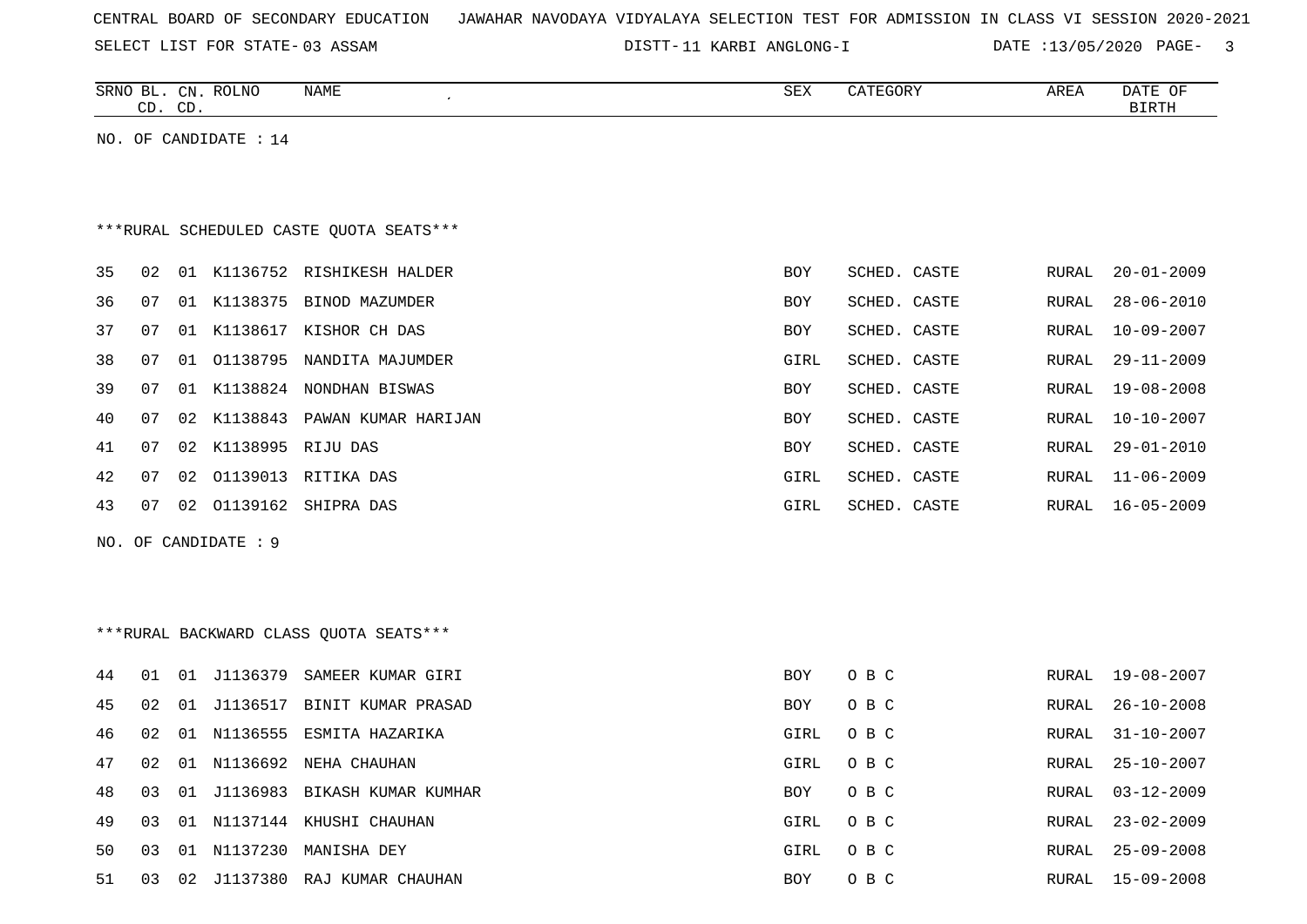|  |  |  |  |  |  | CENTRAL BOARD OF SECONDARY EDUCATION – JAWAHAR NAVODAYA VIDYALAYA SELECTION TEST FOR ADMISSION IN CLASS VI SESSION 2020-2021 |  |  |  |  |  |  |  |  |  |  |  |  |
|--|--|--|--|--|--|------------------------------------------------------------------------------------------------------------------------------|--|--|--|--|--|--|--|--|--|--|--|--|
|--|--|--|--|--|--|------------------------------------------------------------------------------------------------------------------------------|--|--|--|--|--|--|--|--|--|--|--|--|

DISTT-11 KARBI ANGLONG-I DATE :13/05/2020 PAGE- 3

|    |    | CD. CD. | SRNO BL. CN. ROLNO      | NAME                                     | ${\tt SEX}$ | CATEGORY     | AREA  | DATE OF<br>$\operatorname{BIRTH}$ |
|----|----|---------|-------------------------|------------------------------------------|-------------|--------------|-------|-----------------------------------|
|    |    |         | NO. OF CANDIDATE : $14$ |                                          |             |              |       |                                   |
|    |    |         |                         |                                          |             |              |       |                                   |
|    |    |         |                         |                                          |             |              |       |                                   |
|    |    |         |                         | *** RURAL SCHEDULED CASTE QUOTA SEATS*** |             |              |       |                                   |
| 35 | 02 |         |                         | 01 K1136752 RISHIKESH HALDER             | BOY         | SCHED. CASTE | RURAL | $20 - 01 - 2009$                  |
| 36 | 07 |         | 01 K1138375             | BINOD MAZUMDER                           | BOY         | SCHED. CASTE | RURAL | $28 - 06 - 2010$                  |
| 37 | 07 |         |                         | 01 K1138617 KISHOR CH DAS                | BOY         | SCHED. CASTE | RURAL | $10 - 09 - 2007$                  |
| 38 | 07 | 01      |                         | 01138795 NANDITA MAJUMDER                | GIRL        | SCHED. CASTE | RURAL | $29 - 11 - 2009$                  |
| 39 | 07 |         |                         | 01 K1138824 NONDHAN BISWAS               | BOY         | SCHED. CASTE | RURAL | $19 - 08 - 2008$                  |
| 40 | 07 | 02      |                         | K1138843 PAWAN KUMAR HARIJAN             | <b>BOY</b>  | SCHED. CASTE | RURAL | $10 - 10 - 2007$                  |
| 41 | 07 | 02      | K1138995 RIJU DAS       |                                          | BOY         | SCHED. CASTE | RURAL | $29 - 01 - 2010$                  |
| 42 | 07 | 02      |                         | 01139013 RITIKA DAS                      | GIRL        | SCHED. CASTE | RURAL | $11 - 06 - 2009$                  |
| 43 | 07 | 02      |                         | 01139162 SHIPRA DAS                      | GIRL        | SCHED. CASTE | RURAL | $16 - 05 - 2009$                  |
|    |    |         | NO. OF CANDIDATE : 9    |                                          |             |              |       |                                   |
|    |    |         |                         |                                          |             |              |       |                                   |
|    |    |         |                         |                                          |             |              |       |                                   |
|    |    |         |                         | *** RURAL BACKWARD CLASS QUOTA SEATS***  |             |              |       |                                   |
| 44 | 01 |         |                         | 01 J1136379 SAMEER KUMAR GIRI            | <b>BOY</b>  | O B C        | RURAL | $19 - 08 - 2007$                  |
| 45 | 02 | 01      | J1136517                | BINIT KUMAR PRASAD                       | <b>BOY</b>  | O B C        | RURAL | $26 - 10 - 2008$                  |
| 46 | 02 |         |                         | 01 N1136555 ESMITA HAZARIKA              | GIRL        | O B C        | RURAL | $31 - 10 - 2007$                  |
| 47 | 02 |         |                         | 01 N1136692 NEHA CHAUHAN                 | GIRL        | O B C        | RURAL | $25 - 10 - 2007$                  |
| 48 | 03 | 01      |                         | J1136983 BIKASH KUMAR KUMHAR             | BOY         | O B C        | RURAL | $03 - 12 - 2009$                  |
| 49 | 03 |         |                         | 01 N1137144 KHUSHI CHAUHAN               | GIRL        | O B C        | RURAL | $23 - 02 - 2009$                  |
| 50 | 03 |         | 01 N1137230             | MANISHA DEY                              | GIRL        | O B C        | RURAL | $25 - 09 - 2008$                  |
| 51 | 03 |         |                         | 02 J1137380 RAJ KUMAR CHAUHAN            | BOY         | O B C        | RURAL | $15 - 09 - 2008$                  |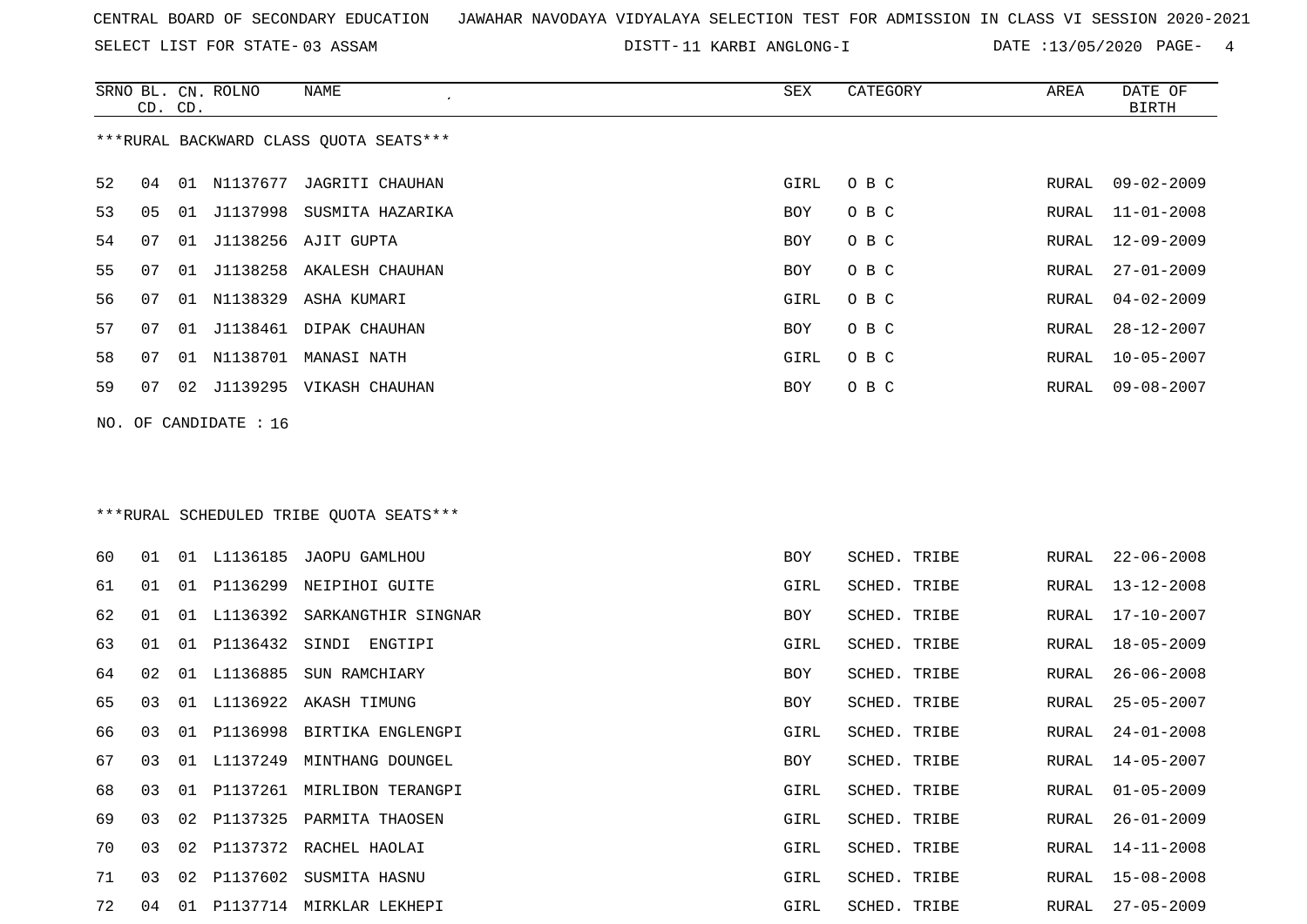SELECT LIST FOR STATE- DISTT- 03 ASSAM

DISTT-11 KARBI ANGLONG-I DATE :13/05/2020 PAGE- 4

|    | CD. CD. |    | SRNO BL. CN. ROLNO    | NAME                                    | SEX  | CATEGORY     | AREA  | DATE OF<br><b>BIRTH</b> |
|----|---------|----|-----------------------|-----------------------------------------|------|--------------|-------|-------------------------|
|    |         |    |                       | ***RURAL BACKWARD CLASS OUOTA SEATS***  |      |              |       |                         |
| 52 | 04      |    |                       | 01 N1137677 JAGRITI CHAUHAN             | GIRL | O B C        | RURAL | $09 - 02 - 2009$        |
| 53 | 05      |    |                       | 01 J1137998 SUSMITA HAZARIKA            | BOY  | O B C        | RURAL | $11 - 01 - 2008$        |
| 54 | 07      | 01 |                       | J1138256 AJIT GUPTA                     | BOY  | O B C        | RURAL | $12 - 09 - 2009$        |
| 55 | 07      | 01 | J1138258              | AKALESH CHAUHAN                         | BOY  | O B C        | RURAL | $27 - 01 - 2009$        |
| 56 | 07      | 01 | N1138329              | ASHA KUMARI                             | GIRL | O B C        | RURAL | $04 - 02 - 2009$        |
| 57 | 07      | 01 |                       | J1138461 DIPAK CHAUHAN                  | BOY  | O B C        | RURAL | $28 - 12 - 2007$        |
| 58 | 07      | 01 |                       | N1138701 MANASI NATH                    | GIRL | O B C        | RURAL | $10 - 05 - 2007$        |
| 59 | 07      | 02 |                       | J1139295 VIKASH CHAUHAN                 | BOY  | O B C        | RURAL | $09 - 08 - 2007$        |
|    |         |    | NO. OF CANDIDATE : 16 |                                         |      |              |       |                         |
|    |         |    |                       | ***RURAL SCHEDULED TRIBE QUOTA SEATS*** |      |              |       |                         |
| 60 | 01      |    |                       | 01 L1136185 JAOPU GAMLHOU               | BOY  | SCHED. TRIBE | RURAL | $22 - 06 - 2008$        |
| 61 | 01      | 01 | P1136299              | NEIPIHOI GUITE                          | GIRL | SCHED. TRIBE | RURAL | $13 - 12 - 2008$        |
| 62 | 01      | 01 | L1136392              | SARKANGTHIR SINGNAR                     | BOY  | SCHED. TRIBE | RURAL | $17 - 10 - 2007$        |
| 63 | 01      | 01 | P1136432              | SINDI ENGTIPI                           | GIRL | SCHED. TRIBE | RURAL | $18 - 05 - 2009$        |
| 64 | 02      |    | 01 L1136885           | SUN RAMCHIARY                           | BOY  | SCHED. TRIBE | RURAL | $26 - 06 - 2008$        |
| 65 | 03      | 01 | L1136922              | AKASH TIMUNG                            | BOY  | SCHED. TRIBE | RURAL | $25 - 05 - 2007$        |
| 66 | 03      | 01 |                       | P1136998 BIRTIKA ENGLENGPI              | GIRL | SCHED. TRIBE | RURAL | $24 - 01 - 2008$        |
| 67 | 03      |    | 01 L1137249           | MINTHANG DOUNGEL                        | BOY  | SCHED. TRIBE | RURAL | $14 - 05 - 2007$        |
| 68 | 03      |    |                       | 01 P1137261 MIRLIBON TERANGPI           | GIRL | SCHED. TRIBE | RURAL | $01 - 05 - 2009$        |
| 69 | 03      | 02 |                       | P1137325 PARMITA THAOSEN                | GIRL | SCHED. TRIBE | RURAL | $26 - 01 - 2009$        |
| 70 | 03      | 02 |                       | P1137372 RACHEL HAOLAI                  | GIRL | SCHED. TRIBE | RURAL | $14 - 11 - 2008$        |
| 71 | 03      | 02 |                       | P1137602 SUSMITA HASNU                  | GIRL | SCHED. TRIBE | RURAL | $15 - 08 - 2008$        |
| 72 | 04      |    |                       | 01 P1137714 MIRKLAR LEKHEPI             | GIRL | SCHED. TRIBE | RURAL | $27 - 05 - 2009$        |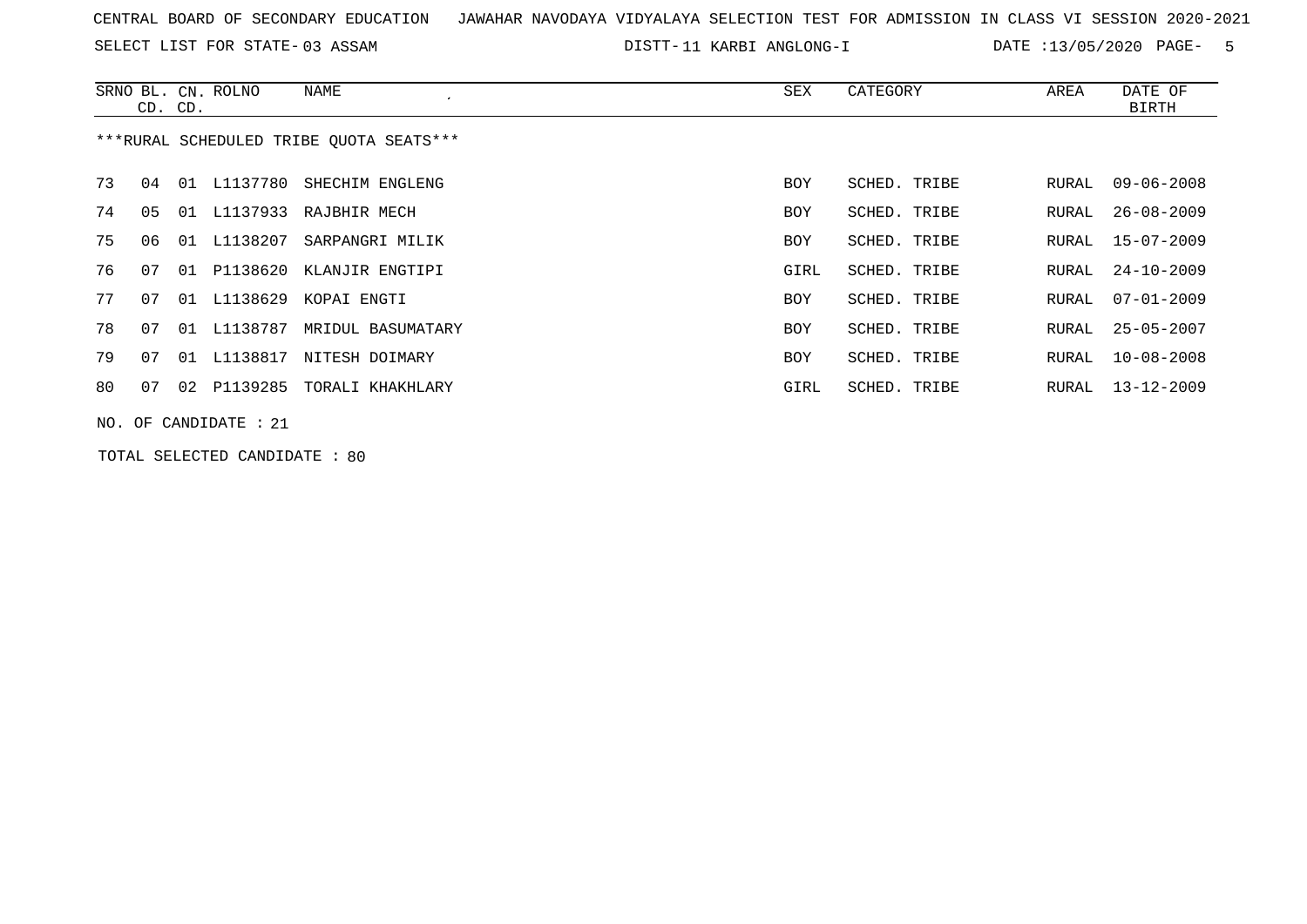| CENTRAL BOARD OF SECONDARY EDUCATION  JAWAHAR NAVODAYA VIDYALAYA SELECTION TEST FOR ADMISSION IN CLASS VI SESSION 2020-2021 |  |  |  |  |  |  |  |  |  |  |  |  |  |  |  |  |  |  |  |
|-----------------------------------------------------------------------------------------------------------------------------|--|--|--|--|--|--|--|--|--|--|--|--|--|--|--|--|--|--|--|
|-----------------------------------------------------------------------------------------------------------------------------|--|--|--|--|--|--|--|--|--|--|--|--|--|--|--|--|--|--|--|

11 KARBI ANGLONG-I DATE :13/05/2020 PAGE- 5

|    | CD. CD. |     | SRNO BL. CN. ROLNO    | NAME                                    | SEX  | CATEGORY     | AREA  | DATE OF<br>BIRTH |
|----|---------|-----|-----------------------|-----------------------------------------|------|--------------|-------|------------------|
|    |         |     |                       | ***RURAL SCHEDULED TRIBE OUOTA SEATS*** |      |              |       |                  |
| 73 | 04      | 01  | L1137780              | SHECHIM ENGLENG                         | BOY  | SCHED. TRIBE | RURAL | $09 - 06 - 2008$ |
| 74 | 05      | O 1 | L1137933              | RAJBHIR MECH                            | BOY  | SCHED. TRIBE | RURAL | $26 - 08 - 2009$ |
| 75 | 06      | 01  | L1138207              | SARPANGRI MILIK                         | BOY  | SCHED. TRIBE | RURAL | 15-07-2009       |
| 76 | 07      | 01  | P1138620              | KLANJIR ENGTIPI                         | GIRL | SCHED. TRIBE | RURAL | 24-10-2009       |
| 77 | 07      | 01  | L1138629              | KOPAI ENGTI                             | BOY  | SCHED. TRIBE | RURAL | 07-01-2009       |
| 78 | 07      |     | 01 L1138787           | MRIDUL BASUMATARY                       | BOY  | SCHED. TRIBE | RURAL | 25-05-2007       |
| 79 | 07      | 01  | L1138817              | NITESH DOIMARY                          | BOY  | SCHED. TRIBE | RURAL | $10 - 08 - 2008$ |
| 80 | 07      |     | 02 P1139285           | TORALI KHAKHLARY                        | GIRL | SCHED. TRIBE | RURAL | 13-12-2009       |
|    |         |     | NO. OF CANDIDATE : 21 |                                         |      |              |       |                  |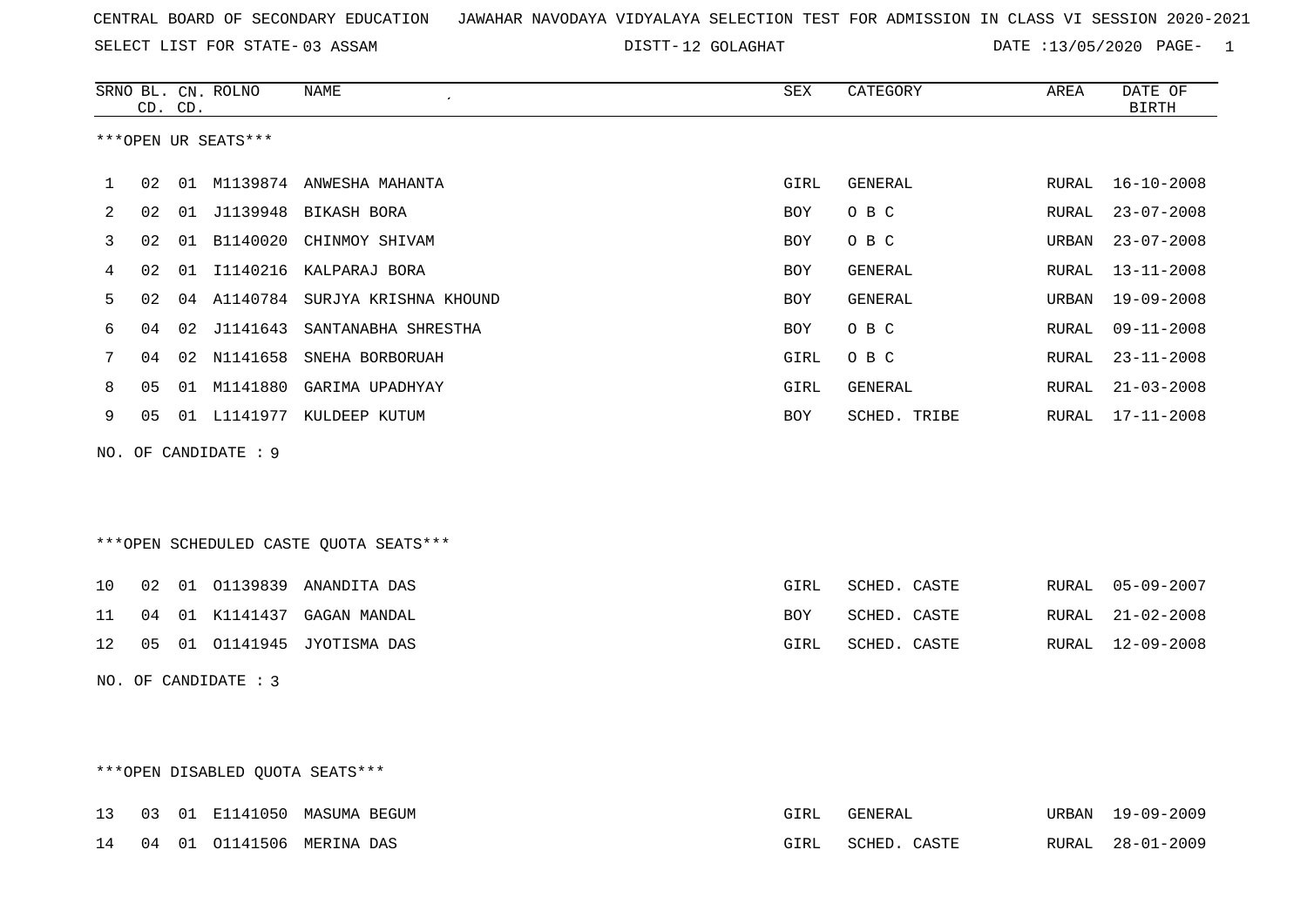SELECT LIST FOR STATE- DISTT- 03 ASSAM

\*\*\*OPEN DISABLED QUOTA SEATS\*\*\*

DISTT-12 GOLAGHAT DATE :13/05/2020 PAGE- 1

|             | CD. CD. | SRNO BL. CN. ROLNO   | NAME                                   | SEX  | CATEGORY     | AREA  | DATE OF<br><b>BIRTH</b> |
|-------------|---------|----------------------|----------------------------------------|------|--------------|-------|-------------------------|
|             |         | ***OPEN UR SEATS***  |                                        |      |              |       |                         |
| $\mathbf 1$ | 02      |                      | 01 M1139874 ANWESHA MAHANTA            | GIRL | GENERAL      | RURAL | $16 - 10 - 2008$        |
| 2           | 02      |                      | 01 J1139948 BIKASH BORA                | BOY  | O B C        | RURAL | $23 - 07 - 2008$        |
| 3           | 02      |                      | 01 B1140020 CHINMOY SHIVAM             | BOY  | O B C        | URBAN | $23 - 07 - 2008$        |
| 4           | 02      |                      | 01 I1140216 KALPARAJ BORA              | BOY  | GENERAL      | RURAL | $13 - 11 - 2008$        |
| 5           | 02      |                      | 04 A1140784 SURJYA KRISHNA KHOUND      | BOY  | GENERAL      | URBAN | $19 - 09 - 2008$        |
| 6           | 04      |                      | 02 J1141643 SANTANABHA SHRESTHA        | BOY  | O B C        | RURAL | $09 - 11 - 2008$        |
| 7           | 04      |                      | 02 N1141658 SNEHA BORBORUAH            | GIRL | O B C        | RURAL | $23 - 11 - 2008$        |
| 8           | 05      |                      | 01 M1141880 GARIMA UPADHYAY            | GIRL | GENERAL      | RURAL | $21 - 03 - 2008$        |
| 9           | 05      |                      | 01 L1141977 KULDEEP KUTUM              | BOY  | SCHED. TRIBE |       | RURAL 17-11-2008        |
|             |         | NO. OF CANDIDATE : 9 |                                        |      |              |       |                         |
|             |         |                      |                                        |      |              |       |                         |
|             |         |                      |                                        |      |              |       |                         |
|             |         |                      | ***OPEN SCHEDULED CASTE QUOTA SEATS*** |      |              |       |                         |
| 10          | 02      |                      | 01 01139839 ANANDITA DAS               | GIRL | SCHED. CASTE | RURAL | $05 - 09 - 2007$        |
| 11          | 04      |                      | 01 K1141437 GAGAN MANDAL               | BOY  | SCHED. CASTE | RURAL | $21 - 02 - 2008$        |
| 12          | 05      |                      | 01 01141945 JYOTISMA DAS               | GIRL | SCHED. CASTE | RURAL | $12 - 09 - 2008$        |
|             |         | NO. OF CANDIDATE : 3 |                                        |      |              |       |                         |
|             |         |                      |                                        |      |              |       |                         |
|             |         |                      |                                        |      |              |       |                         |
|             |         |                      |                                        |      |              |       |                         |

# 13 03 01 E1141050 MASUMA BEGUM GIRL GENERAL URBAN 19-09-2009 14 04 01 O1141506 MERINA DAS GIRL SCHED. CASTE RURAL 28-01-2009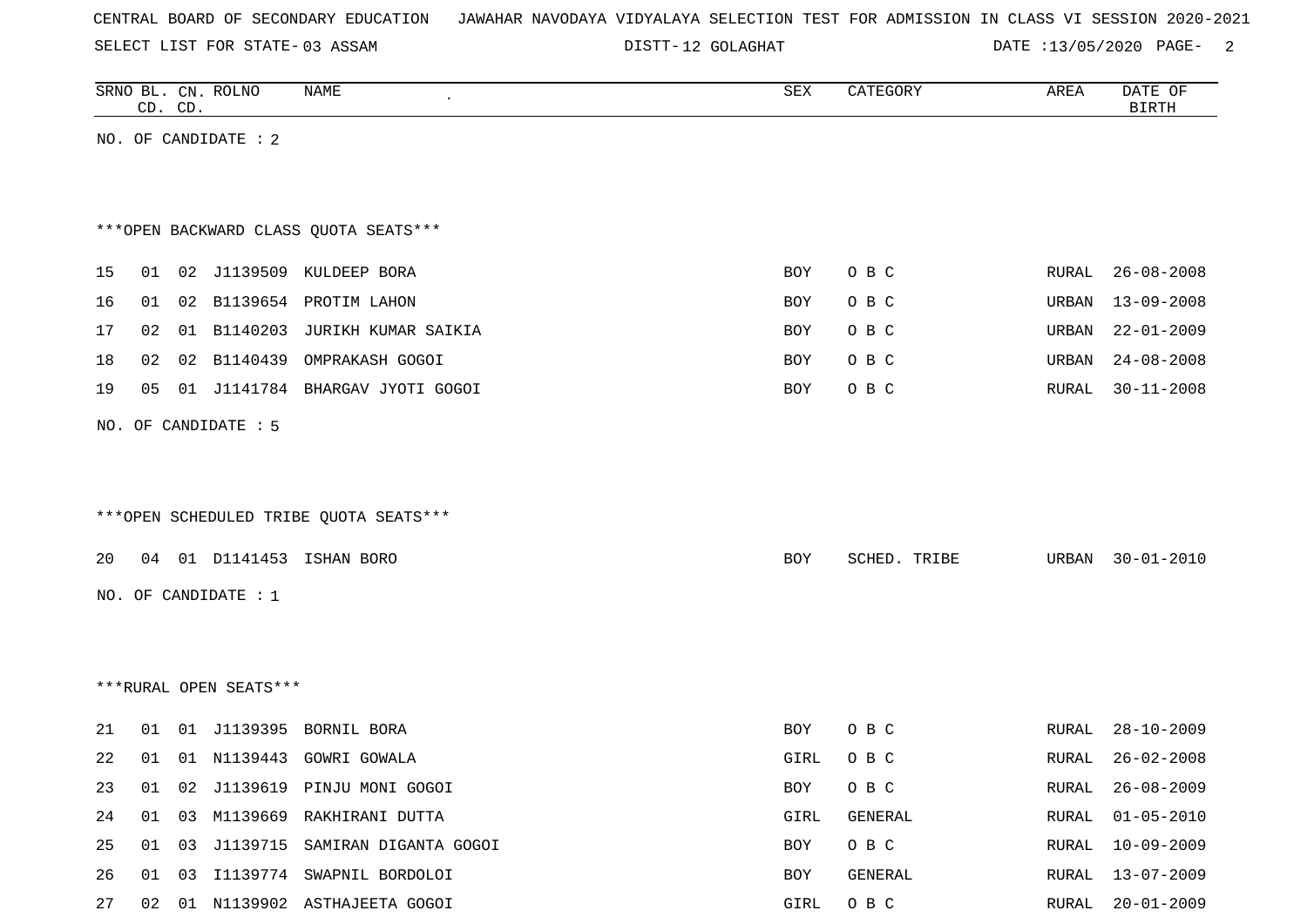SELECT LIST FOR STATE- DISTT- 03 ASSAM

DISTT-12 GOLAGHAT DATE :13/05/2020 PAGE- 2

|    | CD. CD. |       | SRNO BL. CN. ROLNO     | NAME                                   | SEX        | CATEGORY     | AREA  | DATE OF<br><b>BIRTH</b> |
|----|---------|-------|------------------------|----------------------------------------|------------|--------------|-------|-------------------------|
|    |         |       | NO. OF CANDIDATE : 2   |                                        |            |              |       |                         |
|    |         |       |                        |                                        |            |              |       |                         |
|    |         |       |                        |                                        |            |              |       |                         |
|    |         |       |                        | *** OPEN BACKWARD CLASS QUOTA SEATS*** |            |              |       |                         |
|    |         |       |                        |                                        |            |              |       |                         |
| 15 | 01      |       |                        | 02 J1139509 KULDEEP BORA               | BOY        | O B C        | RURAL | $26 - 08 - 2008$        |
| 16 | 01      |       |                        | 02 B1139654 PROTIM LAHON               | BOY        | O B C        | URBAN | $13 - 09 - 2008$        |
| 17 | 02      |       |                        | 01 B1140203 JURIKH KUMAR SAIKIA        | BOY        | O B C        | URBAN | $22 - 01 - 2009$        |
| 18 | 02      | 02    | B1140439               | OMPRAKASH GOGOI                        | BOY        | O B C        | URBAN | $24 - 08 - 2008$        |
| 19 | 05      |       |                        | 01 J1141784 BHARGAV JYOTI GOGOI        | <b>BOY</b> | O B C        | RURAL | $30 - 11 - 2008$        |
|    |         |       | NO. OF CANDIDATE : 5   |                                        |            |              |       |                         |
|    |         |       |                        |                                        |            |              |       |                         |
|    |         |       |                        |                                        |            |              |       |                         |
|    |         |       |                        | ***OPEN SCHEDULED TRIBE QUOTA SEATS*** |            |              |       |                         |
|    |         |       |                        |                                        |            |              |       |                         |
| 20 |         |       |                        | 04 01 D1141453 ISHAN BORO              | <b>BOY</b> | SCHED. TRIBE | URBAN | $30 - 01 - 2010$        |
|    |         |       | NO. OF CANDIDATE : 1   |                                        |            |              |       |                         |
|    |         |       |                        |                                        |            |              |       |                         |
|    |         |       |                        |                                        |            |              |       |                         |
|    |         |       | ***RURAL OPEN SEATS*** |                                        |            |              |       |                         |
|    |         |       |                        |                                        |            |              |       |                         |
| 21 | 01      |       |                        | 01 J1139395 BORNIL BORA                | BOY        | O B C        | RURAL | $28 - 10 - 2009$        |
| 22 | 01      |       |                        | 01 N1139443 GOWRI GOWALA               | GIRL       | O B C        | RURAL | $26 - 02 - 2008$        |
| 23 |         |       |                        | 01  02  J1139619  PINJU  MONI  GOGOI   | BOY        | O B C        |       | RURAL 26-08-2009        |
| 24 |         | 01 03 |                        | M1139669 RAKHIRANI DUTTA               | GIRL       | GENERAL      | RURAL | $01 - 05 - 2010$        |
| 25 |         | 01 03 |                        | J1139715 SAMIRAN DIGANTA GOGOI         | BOY        | O B C        | RURAL | 10-09-2009              |
| 26 |         | 01 03 |                        | I1139774 SWAPNIL BORDOLOI              | BOY        | GENERAL      | RURAL | 13-07-2009              |
| 27 |         |       |                        | 02 01 N1139902 ASTHAJEETA GOGOI        | GIRL       | O B C        | RURAL | $20 - 01 - 2009$        |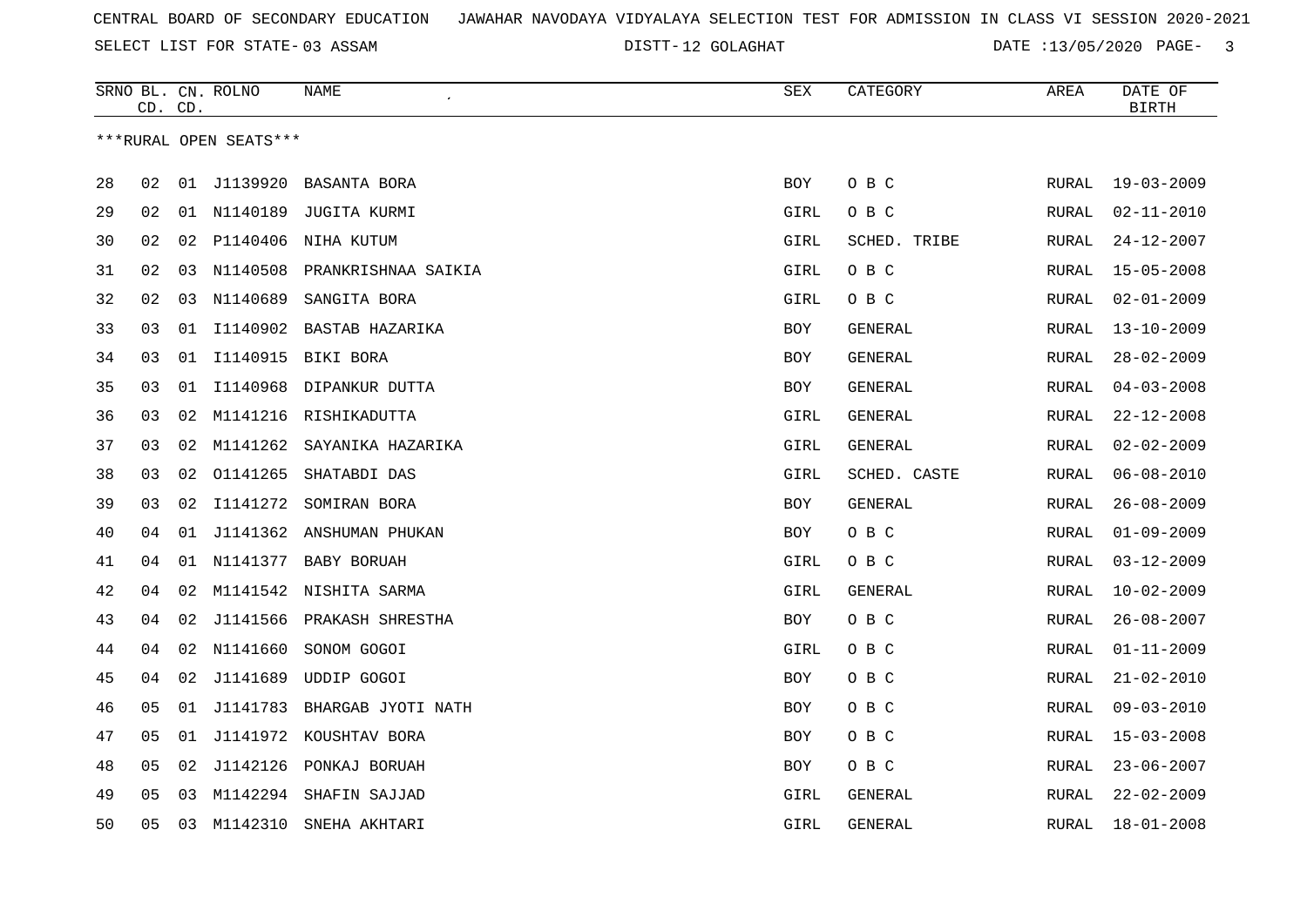DISTT-12 GOLAGHAT DATE :13/05/2020 PAGE- 3

|    |    | CD. CD. | SRNO BL. CN. ROLNO     | NAME                      | SEX  | CATEGORY       | AREA         | DATE OF<br><b>BIRTH</b> |
|----|----|---------|------------------------|---------------------------|------|----------------|--------------|-------------------------|
|    |    |         | ***RURAL OPEN SEATS*** |                           |      |                |              |                         |
|    |    |         |                        |                           |      |                |              |                         |
| 28 | 02 | 01      | J1139920               | BASANTA BORA              | BOY  | O B C          | RURAL        | $19 - 03 - 2009$        |
| 29 | 02 |         | 01 N1140189            | <b>JUGITA KURMI</b>       | GIRL | O B C          | RURAL        | $02 - 11 - 2010$        |
| 30 | 02 | 02      | P1140406               | NIHA KUTUM                | GIRL | SCHED. TRIBE   | RURAL        | $24 - 12 - 2007$        |
| 31 | 02 | 03      | N1140508               | PRANKRISHNAA SAIKIA       | GIRL | O B C          | RURAL        | $15 - 05 - 2008$        |
| 32 | 02 | 03      | N1140689               | SANGITA BORA              | GIRL | O B C          | RURAL        | $02 - 01 - 2009$        |
| 33 | 03 | 01      | I1140902               | BASTAB HAZARIKA           | BOY  | GENERAL        | RURAL        | $13 - 10 - 2009$        |
| 34 | 03 |         |                        | 01 I1140915 BIKI BORA     | BOY  | GENERAL        | RURAL        | $28 - 02 - 2009$        |
| 35 | 03 |         | 01 I1140968            | DIPANKUR DUTTA            | BOY  | GENERAL        | RURAL        | $04 - 03 - 2008$        |
| 36 | 03 |         |                        | 02 M1141216 RISHIKADUTTA  | GIRL | <b>GENERAL</b> | <b>RURAL</b> | $22 - 12 - 2008$        |
| 37 | 03 | 02      | M1141262               | SAYANIKA HAZARIKA         | GIRL | GENERAL        | <b>RURAL</b> | $02 - 02 - 2009$        |
| 38 | 03 | 02      | 01141265               | SHATABDI DAS              | GIRL | SCHED. CASTE   | <b>RURAL</b> | $06 - 08 - 2010$        |
| 39 | 03 | 02      | I1141272               | SOMIRAN BORA              | BOY  | GENERAL        | RURAL        | $26 - 08 - 2009$        |
| 40 | 04 | 01      |                        | J1141362 ANSHUMAN PHUKAN  | BOY  | O B C          | RURAL        | $01 - 09 - 2009$        |
| 41 | 04 | 01      |                        | N1141377 BABY BORUAH      | GIRL | O B C          | RURAL        | $03 - 12 - 2009$        |
| 42 | 04 | 02      |                        | M1141542 NISHITA SARMA    | GIRL | <b>GENERAL</b> | RURAL        | $10 - 02 - 2009$        |
| 43 | 04 | 02      |                        | J1141566 PRAKASH SHRESTHA | BOY  | O B C          | <b>RURAL</b> | $26 - 08 - 2007$        |
| 44 | 04 |         | 02 N1141660            | SONOM GOGOI               | GIRL | O B C          | <b>RURAL</b> | $01 - 11 - 2009$        |
| 45 | 04 | 02      | J1141689               | UDDIP GOGOI               | BOY  | O B C          | <b>RURAL</b> | $21 - 02 - 2010$        |
| 46 | 05 | 01      | J1141783               | BHARGAB JYOTI NATH        | BOY  | O B C          | RURAL        | $09 - 03 - 2010$        |
| 47 | 05 | 01      |                        | J1141972 KOUSHTAV BORA    | BOY  | O B C          | RURAL        | $15 - 03 - 2008$        |
| 48 | 05 | 02      | J1142126               | PONKAJ BORUAH             | BOY  | O B C          | RURAL        | $23 - 06 - 2007$        |
| 49 | 05 | 03      |                        | M1142294 SHAFIN SAJJAD    | GIRL | GENERAL        | RURAL        | $22 - 02 - 2009$        |
| 50 | 05 | 03      | M1142310               | SNEHA AKHTARI             | GIRL | GENERAL        | RURAL        | $18 - 01 - 2008$        |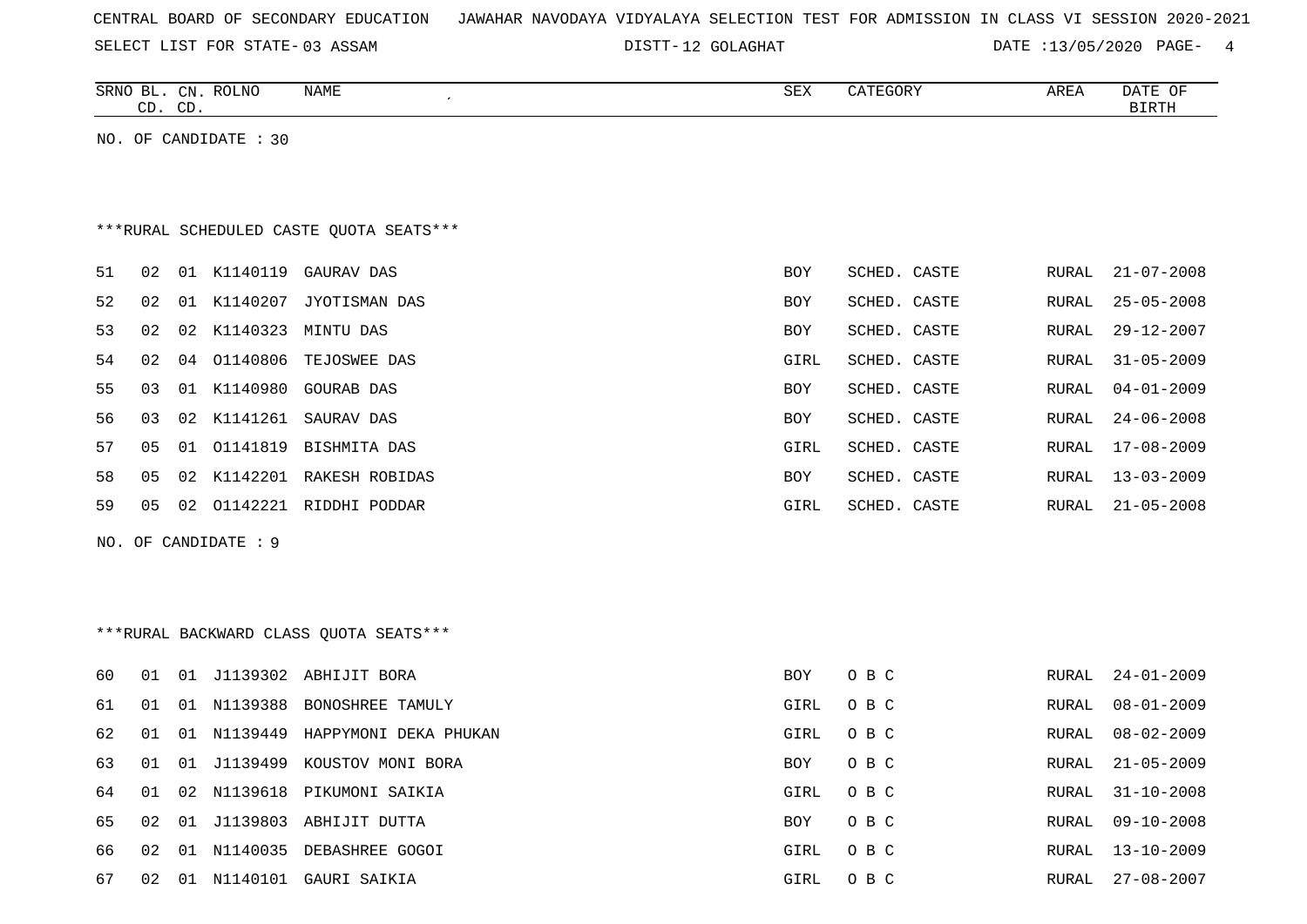| CENTRAL BOARD OF SECONDARY EDUCATION – JAWAHAR NAVODAYA VIDYALAYA SELECTION TEST FOR ADMISSION IN CLASS VI SESSION 2020-2021 |  |  |  |  |
|------------------------------------------------------------------------------------------------------------------------------|--|--|--|--|
|------------------------------------------------------------------------------------------------------------------------------|--|--|--|--|

DISTT-12 GOLAGHAT DATE :13/05/2020 PAGE- 4

|    |    | CD. CD. | SRNO BL. CN. ROLNO    | NAME<br>$\pmb{\cdot}$                    | <b>SEX</b> | CATEGORY     | AREA         | DATE OF<br><b>BIRTH</b> |
|----|----|---------|-----------------------|------------------------------------------|------------|--------------|--------------|-------------------------|
|    |    |         | NO. OF CANDIDATE : 30 |                                          |            |              |              |                         |
|    |    |         |                       |                                          |            |              |              |                         |
|    |    |         |                       |                                          |            |              |              |                         |
|    |    |         |                       | *** RURAL SCHEDULED CASTE QUOTA SEATS*** |            |              |              |                         |
| 51 | 02 |         | 01 K1140119           | GAURAV DAS                               | <b>BOY</b> | SCHED. CASTE | RURAL        | $21 - 07 - 2008$        |
| 52 | 02 |         |                       | 01 K1140207 JYOTISMAN DAS                | BOY        | SCHED. CASTE | RURAL        | $25 - 05 - 2008$        |
| 53 | 02 |         |                       | 02 K1140323 MINTU DAS                    | BOY        | SCHED. CASTE | RURAL        | $29 - 12 - 2007$        |
| 54 | 02 |         |                       | 04 01140806 TEJOSWEE DAS                 | GIRL       | SCHED. CASTE | RURAL        | $31 - 05 - 2009$        |
| 55 | 03 |         | 01 K1140980           | GOURAB DAS                               | BOY        | SCHED. CASTE | RURAL        | $04 - 01 - 2009$        |
| 56 | 03 |         |                       | 02 K1141261 SAURAV DAS                   | <b>BOY</b> | SCHED. CASTE | <b>RURAL</b> | $24 - 06 - 2008$        |
| 57 | 05 | 01      |                       | 01141819 BISHMITA DAS                    | GIRL       | SCHED. CASTE | <b>RURAL</b> | $17 - 08 - 2009$        |
| 58 | 05 | 02      |                       | K1142201 RAKESH ROBIDAS                  | BOY        | SCHED. CASTE | RURAL        | $13 - 03 - 2009$        |
| 59 | 05 |         |                       | 02 01142221 RIDDHI PODDAR                | GIRL       | SCHED. CASTE | RURAL        | $21 - 05 - 2008$        |
|    |    |         | NO. OF CANDIDATE : 9  |                                          |            |              |              |                         |
|    |    |         |                       |                                          |            |              |              |                         |
|    |    |         |                       |                                          |            |              |              |                         |
|    |    |         |                       | *** RURAL BACKWARD CLASS QUOTA SEATS***  |            |              |              |                         |
|    |    |         |                       |                                          |            |              |              |                         |
| 60 | 01 |         |                       | 01 J1139302 ABHIJIT BORA                 | <b>BOY</b> | O B C        | RURAL        | $24 - 01 - 2009$        |
| 61 | 01 |         |                       | 01 N1139388 BONOSHREE TAMULY             | GIRL       | O B C        | RURAL        | $08 - 01 - 2009$        |
| 62 | 01 |         |                       | 01 N1139449 HAPPYMONI DEKA PHUKAN        | GIRL       | O B C        | <b>RURAL</b> | $08 - 02 - 2009$        |
| 63 | 01 | 01      |                       | J1139499 KOUSTOV MONI BORA               | <b>BOY</b> | O B C        | <b>RURAL</b> | $21 - 05 - 2009$        |
| 64 | 01 |         |                       | 02 N1139618 PIKUMONI SAIKIA              | GIRL       | O B C        | RURAL        | $31 - 10 - 2008$        |
| 65 | 02 |         |                       | 01 J1139803 ABHIJIT DUTTA                | <b>BOY</b> | O B C        | <b>RURAL</b> | $09 - 10 - 2008$        |
| 66 | 02 |         |                       | 01 N1140035 DEBASHREE GOGOI              | GIRL       | O B C        | <b>RURAL</b> | $13 - 10 - 2009$        |

67 02 01 N1140101 GAURI SAIKIA GIRL O B C RURAL 27-08-2007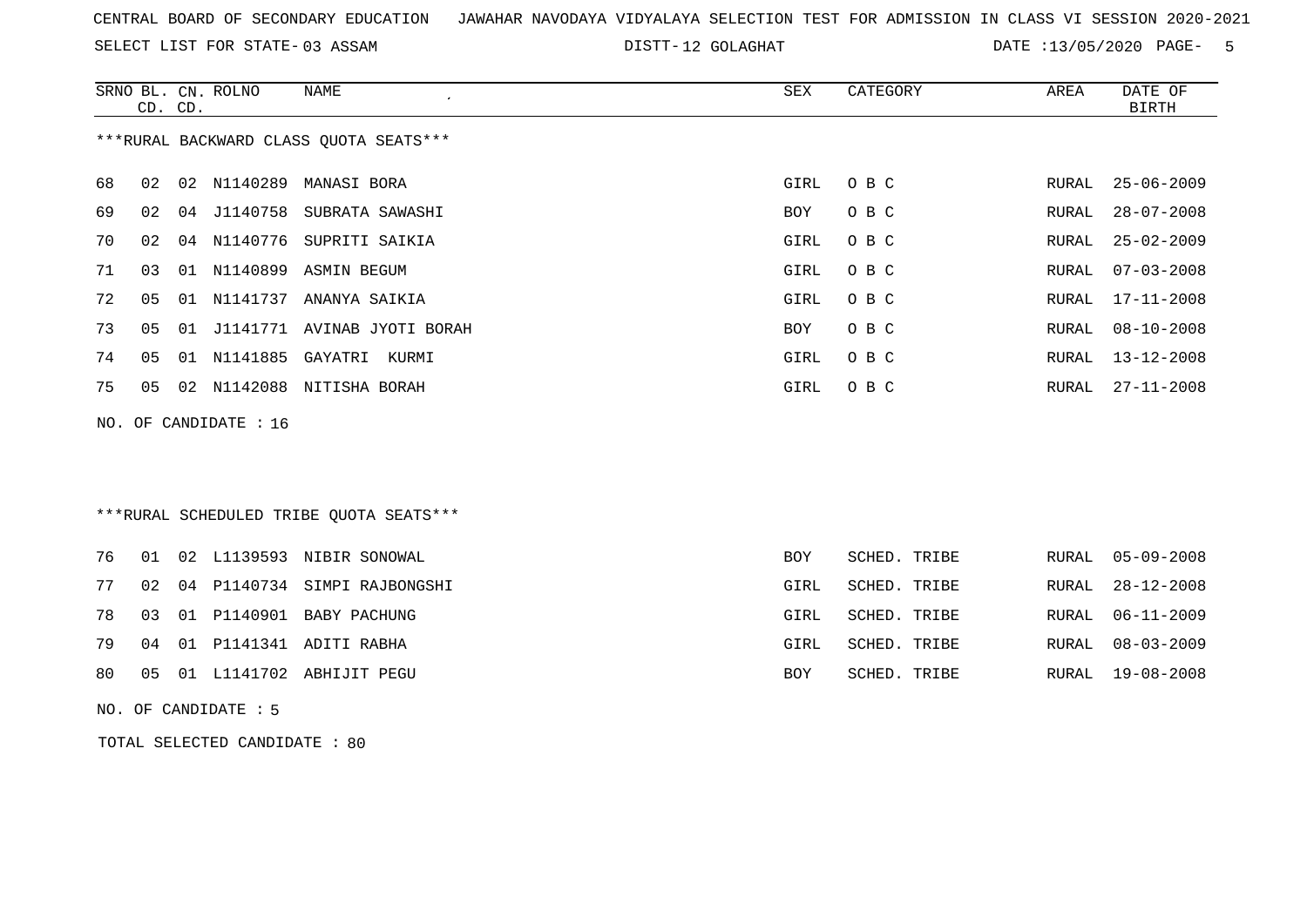SELECT LIST FOR STATE- DISTT- 03 ASSAM

DISTT-12 GOLAGHAT DATE :13/05/2020 PAGE- 5

|    | CD. CD. | SRNO BL. CN. ROLNO    | NAME                                    | SEX        | CATEGORY     | AREA  | DATE OF<br><b>BIRTH</b> |
|----|---------|-----------------------|-----------------------------------------|------------|--------------|-------|-------------------------|
|    |         |                       | *** RURAL BACKWARD CLASS QUOTA SEATS*** |            |              |       |                         |
| 68 | 02      |                       | 02 N1140289 MANASI BORA                 | GIRL       | O B C        | RURAL | $25 - 06 - 2009$        |
| 69 | 02      |                       | 04 J1140758 SUBRATA SAWASHI             | BOY        | O B C        | RURAL | $28 - 07 - 2008$        |
| 70 | 02      |                       | 04 N1140776 SUPRITI SAIKIA              | GIRL       | O B C        | RURAL | $25 - 02 - 2009$        |
| 71 | 03      |                       | 01 N1140899 ASMIN BEGUM                 | GIRL       | O B C        | RURAL | $07 - 03 - 2008$        |
| 72 | 05      |                       | 01 N1141737 ANANYA SAIKIA               | GIRL       | O B C        | RURAL | $17 - 11 - 2008$        |
| 73 | 05      |                       | 01 J1141771 AVINAB JYOTI BORAH          | BOY        | O B C        | RURAL | $08 - 10 - 2008$        |
| 74 | 05      |                       | 01 N1141885 GAYATRI KURMI               | GIRL       | O B C        | RURAL | $13 - 12 - 2008$        |
| 75 | 05      |                       | 02 N1142088 NITISHA BORAH               | GIRL       | O B C        | RURAL | $27 - 11 - 2008$        |
|    |         | NO. OF CANDIDATE : 16 |                                         |            |              |       |                         |
|    |         |                       |                                         |            |              |       |                         |
|    |         |                       |                                         |            |              |       |                         |
|    |         |                       | ***RURAL SCHEDULED TRIBE QUOTA SEATS*** |            |              |       |                         |
| 76 | 01      |                       | 02 L1139593 NIBIR SONOWAL               | <b>BOY</b> | SCHED. TRIBE | RURAL | $05 - 09 - 2008$        |
| 77 | 02      |                       | 04 P1140734 SIMPI RAJBONGSHI            | GIRL       | SCHED. TRIBE | RURAL | $28 - 12 - 2008$        |
| 78 | 03      |                       | 01 P1140901 BABY PACHUNG                | GIRL       | SCHED. TRIBE | RURAL | $06 - 11 - 2009$        |

79 04 01 P1141341 ADITI RABHA GIRL SCHED. TRIBE RURAL 08-03-2009 80 05 01 L1141702 ABHIJIT PEGU BOY SCHED. TRIBE RURAL 19-08-2008

NO. OF CANDIDATE : 5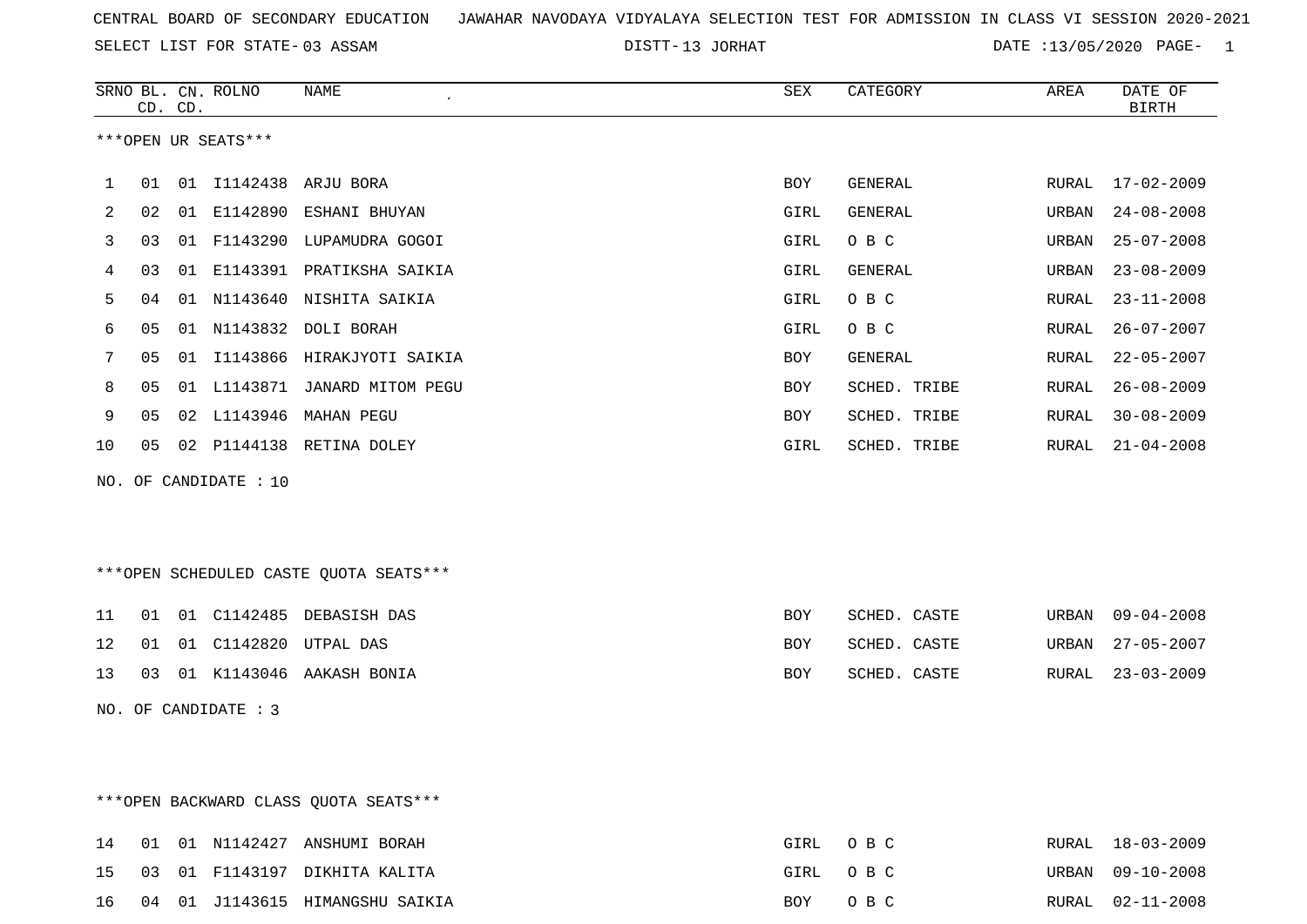SELECT LIST FOR STATE- DISTT- 03 ASSAM

DISTT-13 JORHAT DATE :13/05/2020 PAGE- 1

|                          |                | CD. CD. | SRNO BL. CN. ROLNO | NAME<br>$\mathcal{L}_{\mathcal{L}}$ | SEX  | CATEGORY     | AREA  | DATE OF<br><b>BIRTH</b> |  |
|--------------------------|----------------|---------|--------------------|-------------------------------------|------|--------------|-------|-------------------------|--|
| ***OPEN UR SEATS***      |                |         |                    |                                     |      |              |       |                         |  |
| $\mathbf{1}$             | 01             |         |                    | 01 I1142438 ARJU BORA               | BOY  | GENERAL      | RURAL | $17 - 02 - 2009$        |  |
| 2                        | 02             | 01      |                    | E1142890 ESHANI BHUYAN              | GIRL | GENERAL      | URBAN | $24 - 08 - 2008$        |  |
| 3                        | 03             | 01      |                    | F1143290 LUPAMUDRA GOGOI            | GIRL | O B C        | URBAN | $25 - 07 - 2008$        |  |
| 4                        | 03             | 01      |                    | E1143391 PRATIKSHA SAIKIA           | GIRL | GENERAL      | URBAN | $23 - 08 - 2009$        |  |
| 5                        | 04             |         |                    | 01 N1143640 NISHITA SAIKIA          | GIRL | O B C        | RURAL | $23 - 11 - 2008$        |  |
| 6                        | 05             | 01      |                    | N1143832 DOLI BORAH                 | GIRL | O B C        | RURAL | $26 - 07 - 2007$        |  |
| 7                        | 05             |         |                    | 01 I1143866 HIRAKJYOTI SAIKIA       | BOY  | GENERAL      | RURAL | $22 - 05 - 2007$        |  |
| 8                        | 0 <sub>5</sub> |         | 01 L1143871        | JANARD MITOM PEGU                   | BOY  | SCHED. TRIBE | RURAL | $26 - 08 - 2009$        |  |
| 9                        | 05             |         |                    | 02 L1143946 MAHAN PEGU              | BOY  | SCHED. TRIBE | RURAL | $30 - 08 - 2009$        |  |
| 10                       | 0 <sub>5</sub> |         |                    | 02 P1144138 RETINA DOLEY            | GIRL | SCHED. TRIBE | RURAL | $21 - 04 - 2008$        |  |
| OF CANDIDATE : 10<br>NO. |                |         |                    |                                     |      |              |       |                         |  |
|                          |                |         |                    |                                     |      |              |       |                         |  |
|                          |                |         |                    |                                     |      |              |       |                         |  |

\*\*\*OPEN SCHEDULED CASTE QUOTA SEATS\*\*\*

|  |  | 11 01 01 C1142485 DEBASISH DAS | BOY | SCHED. CASTE |  | URBAN 09-04-2008 |
|--|--|--------------------------------|-----|--------------|--|------------------|
|  |  | 12 01 01 C1142820 UTPAL DAS    | BOY | SCHED. CASTE |  | URBAN 27-05-2007 |
|  |  | 13 03 01 K1143046 AAKASH BONIA | BOY | SCHED. CASTE |  | RURAL 23-03-2009 |
|  |  |                                |     |              |  |                  |

NO. OF CANDIDATE : 3

\*\*\*OPEN BACKWARD CLASS QUOTA SEATS\*\*\*

|  |  |                                    | GIRL OBC | RURAL 18-03-2009 |
|--|--|------------------------------------|----------|------------------|
|  |  | 15 03 01 F1143197 DIKHITA KALITA   | GIRL OBC | URBAN 09-10-2008 |
|  |  | 16 04 01 J1143615 HIMANGSHU SAIKIA | BOY OBC  | RURAL 02-11-2008 |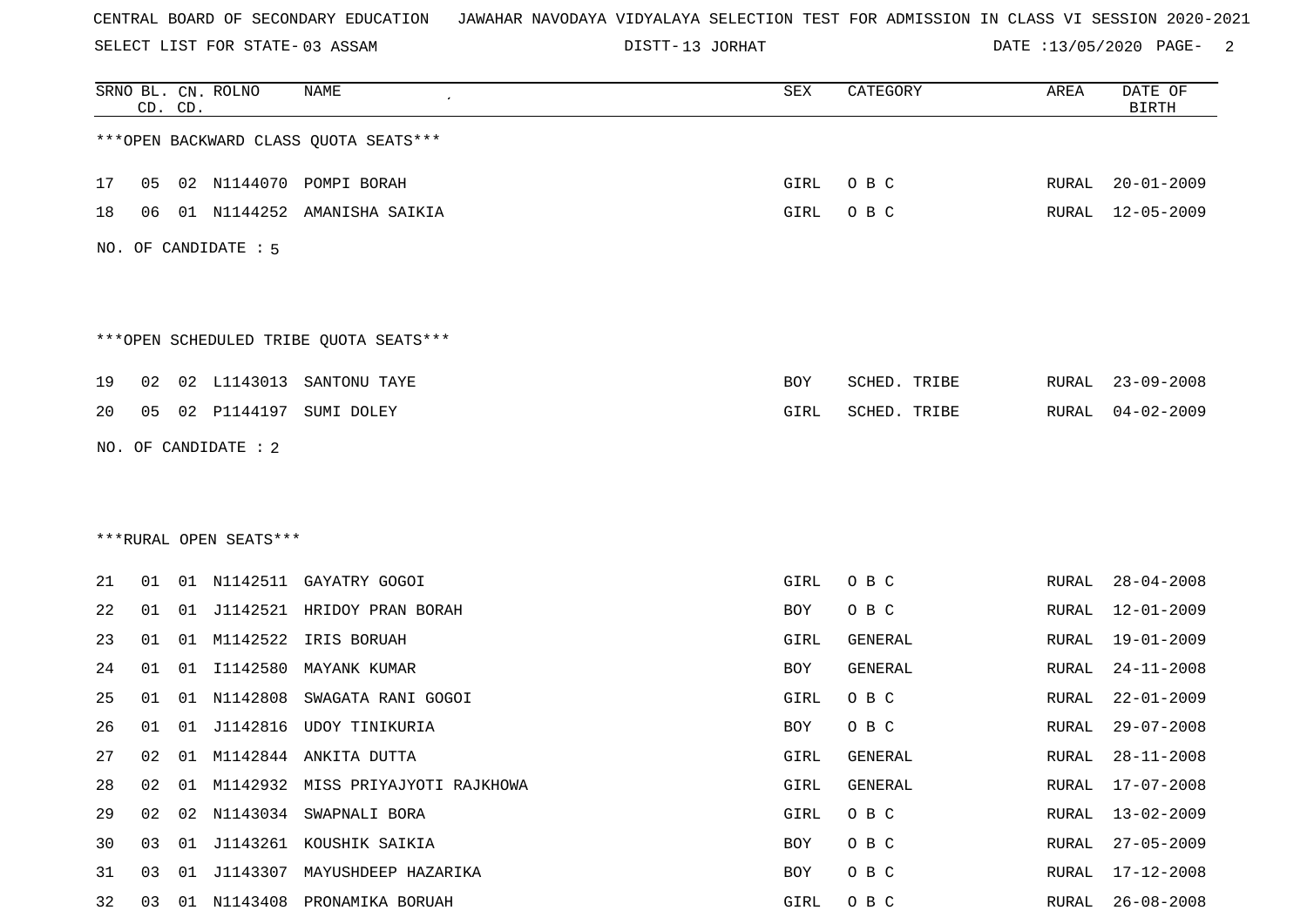SELECT LIST FOR STATE- DISTT- 03 ASSAM

DISTT-13 JORHAT DATE :13/05/2020 PAGE- 2

|    |    | CD. CD. | SRNO BL. CN. ROLNO     | NAME                                   | SEX        | CATEGORY     | AREA         | DATE OF<br><b>BIRTH</b> |
|----|----|---------|------------------------|----------------------------------------|------------|--------------|--------------|-------------------------|
|    |    |         |                        | *** OPEN BACKWARD CLASS QUOTA SEATS*** |            |              |              |                         |
| 17 | 05 |         |                        | 02 N1144070 POMPI BORAH                | GIRL       | O B C        | RURAL        | $20 - 01 - 2009$        |
| 18 | 06 |         |                        | 01 N1144252 AMANISHA SAIKIA            | GIRL       | O B C        | RURAL        | 12-05-2009              |
|    |    |         | NO. OF CANDIDATE : 5   |                                        |            |              |              |                         |
|    |    |         |                        |                                        |            |              |              |                         |
|    |    |         |                        | ***OPEN SCHEDULED TRIBE QUOTA SEATS*** |            |              |              |                         |
| 19 | 02 |         | 02 L1143013            | SANTONU TAYE                           | <b>BOY</b> | SCHED. TRIBE | RURAL        | $23 - 09 - 2008$        |
| 20 | 05 |         | 02 P1144197            | SUMI DOLEY                             | GIRL       | SCHED. TRIBE | RURAL        | $04 - 02 - 2009$        |
|    |    |         | NO. OF CANDIDATE : 2   |                                        |            |              |              |                         |
|    |    |         |                        |                                        |            |              |              |                         |
|    |    |         |                        |                                        |            |              |              |                         |
|    |    |         | ***RURAL OPEN SEATS*** |                                        |            |              |              |                         |
| 21 | 01 |         |                        | 01 N1142511 GAYATRY GOGOI              | GIRL       | O B C        | RURAL        | $28 - 04 - 2008$        |
| 22 | 01 |         |                        | 01 J1142521 HRIDOY PRAN BORAH          | BOY        | O B C        | RURAL        | $12 - 01 - 2009$        |
| 23 | 01 |         | 01 M1142522            | IRIS BORUAH                            | GIRL       | GENERAL      | <b>RURAL</b> | $19 - 01 - 2009$        |
| 24 | 01 | 01      | I1142580               | MAYANK KUMAR                           | BOY        | GENERAL      | <b>RURAL</b> | $24 - 11 - 2008$        |
| 25 | 01 |         | 01 N1142808            | SWAGATA RANI GOGOI                     | GIRL       | O B C        | RURAL        | $22 - 01 - 2009$        |
| 26 | 01 | 01      |                        | J1142816 UDOY TINIKURIA                | BOY        | O B C        | RURAL        | $29 - 07 - 2008$        |
| 27 | 02 |         |                        | 01 M1142844 ANKITA DUTTA               | GIRL       | GENERAL      | RURAL        | $28 - 11 - 2008$        |
| 28 | 02 |         |                        | 01 M1142932 MISS PRIYAJYOTI RAJKHOWA   | GIRL       | GENERAL      | RURAL        | $17 - 07 - 2008$        |
| 29 | 02 |         |                        | 02 N1143034 SWAPNALI BORA              | GIRL       | O B C        | RURAL        | $13 - 02 - 2009$        |
| 30 | 03 |         |                        | 01 J1143261 KOUSHIK SAIKIA             | BOY        | O B C        | RURAL        | $27 - 05 - 2009$        |
| 31 | 03 | 01      | J1143307               | MAYUSHDEEP HAZARIKA                    | BOY        | O B C        | <b>RURAL</b> | $17 - 12 - 2008$        |
| 32 | 03 |         |                        | 01 N1143408 PRONAMIKA BORUAH           | GIRL       | O B C        | RURAL        | $26 - 08 - 2008$        |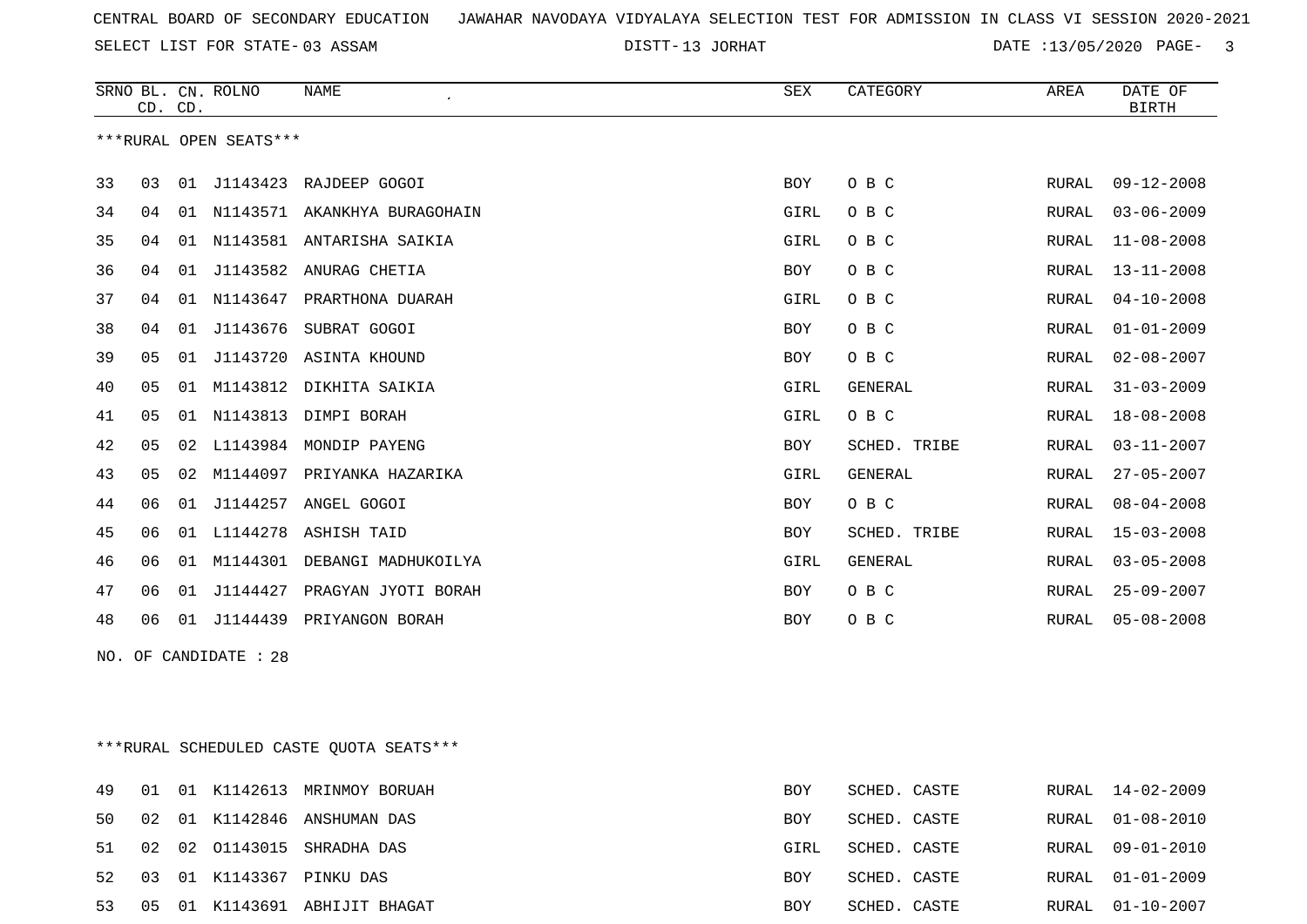SELECT LIST FOR STATE- DISTT- 03 ASSAM

13 JORHAT DATE :13/05/2020 PAGE- 3

|     | CD. CD. |    | SRNO BL. CN. ROLNO     | NAME<br>$\lambda$                       | <b>SEX</b> | CATEGORY     | AREA         | DATE OF<br><b>BIRTH</b> |
|-----|---------|----|------------------------|-----------------------------------------|------------|--------------|--------------|-------------------------|
|     |         |    | ***RURAL OPEN SEATS*** |                                         |            |              |              |                         |
|     |         |    |                        |                                         |            |              |              |                         |
| 33  | 03      |    |                        | 01 J1143423 RAJDEEP GOGOI               | BOY        | O B C        | RURAL        | $09 - 12 - 2008$        |
| 34  | 04      |    |                        | 01 N1143571 AKANKHYA BURAGOHAIN         | GIRL       | O B C        | RURAL        | $03 - 06 - 2009$        |
| 35  | 04      |    |                        | 01 N1143581 ANTARISHA SAIKIA            | GIRL       | O B C        | RURAL        | $11 - 08 - 2008$        |
| 36  | 04      |    |                        | 01 J1143582 ANURAG CHETIA               | BOY        | O B C        | RURAL        | $13 - 11 - 2008$        |
| 37  | 04      |    |                        | 01 N1143647 PRARTHONA DUARAH            | GIRL       | O B C        | <b>RURAL</b> | $04 - 10 - 2008$        |
| 38  | 04      |    |                        | 01 J1143676 SUBRAT GOGOI                | <b>BOY</b> | O B C        | <b>RURAL</b> | $01 - 01 - 2009$        |
| 39  | 05      |    |                        | 01 J1143720 ASINTA KHOUND               | <b>BOY</b> | O B C        | RURAL        | $02 - 08 - 2007$        |
| 40  | 05      | 01 |                        | M1143812 DIKHITA SAIKIA                 | GIRL       | GENERAL      | RURAL        | $31 - 03 - 2009$        |
| 41  | 05      |    |                        | 01 N1143813 DIMPI BORAH                 | GIRL       | O B C        | RURAL        | $18 - 08 - 2008$        |
| 42  | 05      |    |                        | 02 L1143984 MONDIP PAYENG               | <b>BOY</b> | SCHED. TRIBE | RURAL        | $03 - 11 - 2007$        |
| 43  | 05      | 02 |                        | M1144097 PRIYANKA HAZARIKA              | GIRL       | GENERAL      | RURAL        | $27 - 05 - 2007$        |
| 44  | 06      | 01 |                        | J1144257 ANGEL GOGOI                    | BOY        | O B C        | RURAL        | $08 - 04 - 2008$        |
| 45  | 06      |    |                        | 01 L1144278 ASHISH TAID                 | <b>BOY</b> | SCHED. TRIBE | RURAL        | $15 - 03 - 2008$        |
| 46  | 06      |    |                        | 01 M1144301 DEBANGI MADHUKOILYA         | GIRL       | GENERAL      | RURAL        | $03 - 05 - 2008$        |
| 47  | 06      | 01 |                        | J1144427 PRAGYAN JYOTI BORAH            | BOY        | O B C        | RURAL        | $25 - 09 - 2007$        |
| 48  | 06      |    |                        | 01 J1144439 PRIYANGON BORAH             | <b>BOY</b> | O B C        | RURAL        | $05 - 08 - 2008$        |
| NO. |         |    | OF CANDIDATE : 28      |                                         |            |              |              |                         |
|     |         |    |                        |                                         |            |              |              |                         |
|     |         |    |                        |                                         |            |              |              |                         |
|     |         |    |                        | ***RURAL SCHEDULED CASTE QUOTA SEATS*** |            |              |              |                         |

|  |  | 49 01 01 K1142613 MRINMOY BORUAH | BOY        | SCHED. CASTE |  | RURAL 14-02-2009 |
|--|--|----------------------------------|------------|--------------|--|------------------|
|  |  | 50 02 01 K1142846 ANSHUMAN DAS   | <b>BOY</b> | SCHED. CASTE |  | RURAL 01-08-2010 |
|  |  | 51 02 02 01143015 SHRADHA DAS    | GIRL       | SCHED. CASTE |  | RURAL 09-01-2010 |
|  |  | 52 03 01 K1143367 PINKU DAS      | <b>BOY</b> | SCHED. CASTE |  | RURAL 01-01-2009 |
|  |  | 53 05 01 K1143691 ABHIJIT BHAGAT | <b>BOY</b> | SCHED. CASTE |  | RURAL 01-10-2007 |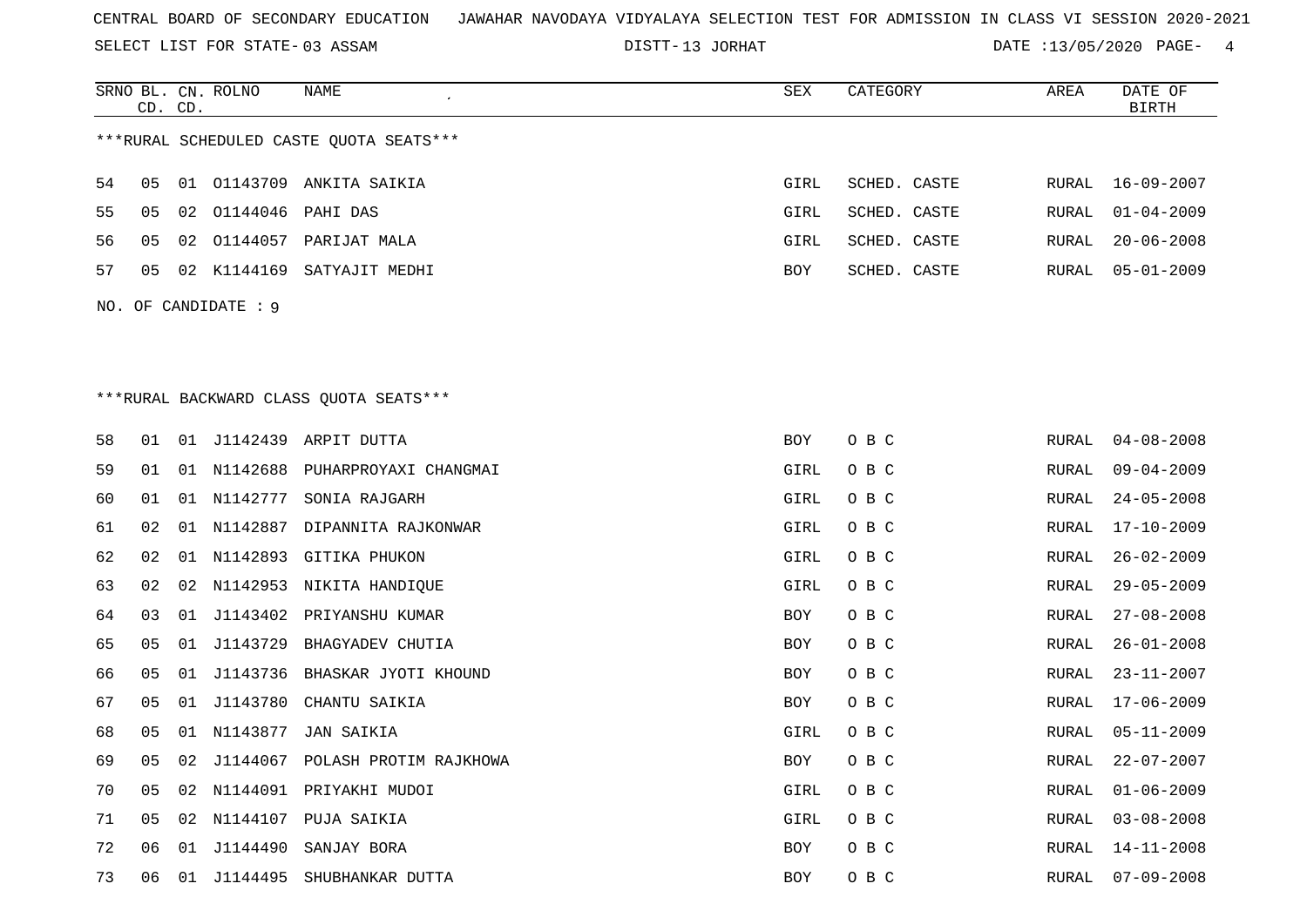SELECT LIST FOR STATE- DISTT- 03 ASSAM

DISTT-13 JORHAT DATE :13/05/2020 PAGE- 4

|    |    | CD. CD. | SRNO BL. CN. ROLNO   | NAME<br>$\bullet$                        | SEX        | CATEGORY     | AREA          | DATE OF<br><b>BIRTH</b> |
|----|----|---------|----------------------|------------------------------------------|------------|--------------|---------------|-------------------------|
|    |    |         |                      | *** RURAL SCHEDULED CASTE QUOTA SEATS*** |            |              |               |                         |
| 54 | 05 |         |                      | 01 01143709 ANKITA SAIKIA                | GIRL       | SCHED. CASTE | RURAL         | $16 - 09 - 2007$        |
| 55 | 05 | 02      |                      | 01144046 PAHI DAS                        | GIRL       | SCHED. CASTE | RURAL         | $01 - 04 - 2009$        |
| 56 | 05 | 02      |                      | 01144057 PARIJAT MALA                    | GIRL       | SCHED. CASTE | RURAL         | $20 - 06 - 2008$        |
| 57 | 05 |         | 02 K1144169          | SATYAJIT MEDHI                           | BOY        | SCHED. CASTE | RURAL         | $05 - 01 - 2009$        |
|    |    |         | NO. OF CANDIDATE : 9 |                                          |            |              |               |                         |
|    |    |         |                      |                                          |            |              |               |                         |
|    |    |         |                      |                                          |            |              |               |                         |
|    |    |         |                      | ***RURAL BACKWARD CLASS QUOTA SEATS***   |            |              |               |                         |
|    |    |         |                      |                                          |            |              |               |                         |
| 58 | 01 |         |                      | 01 J1142439 ARPIT DUTTA                  | BOY        | O B C        | <b>RURAL</b>  | $04 - 08 - 2008$        |
| 59 | 01 |         | 01 N1142688          | PUHARPROYAXI CHANGMAI                    | GIRL       | O B C        | RURAL         | $09 - 04 - 2009$        |
| 60 | 01 |         |                      | 01 N1142777 SONIA RAJGARH                | GIRL       | O B C        | RURAL         | $24 - 05 - 2008$        |
| 61 | 02 | 01      |                      | N1142887 DIPANNITA RAJKONWAR             | GIRL       | O B C        | RURAL         | $17 - 10 - 2009$        |
| 62 | 02 |         |                      | 01 N1142893 GITIKA PHUKON                | GIRL       | O B C        | <b>RURAL</b>  | $26 - 02 - 2009$        |
| 63 | 02 |         |                      | 02 N1142953 NIKITA HANDIQUE              | GIRL       | O B C        | RURAL         | $29 - 05 - 2009$        |
| 64 | 03 |         |                      | 01 J1143402 PRIYANSHU KUMAR              | <b>BOY</b> | O B C        | RURAL         | $27 - 08 - 2008$        |
| 65 | 05 |         | 01 J1143729          | BHAGYADEV CHUTIA                         | <b>BOY</b> | O B C        | RURAL         | $26 - 01 - 2008$        |
| 66 | 05 |         |                      | 01 J1143736 BHASKAR JYOTI KHOUND         | BOY        | O B C        | RURAL         | $23 - 11 - 2007$        |
| 67 | 05 |         | 01 J1143780          | CHANTU SAIKIA                            | BOY        | O B C        | RURAL         | $17 - 06 - 2009$        |
| 68 | 05 |         | 01 N1143877          | JAN SAIKIA                               | GIRL       | O B C        | RURAL         | $05 - 11 - 2009$        |
| 69 | 05 |         |                      | 02 J1144067 POLASH PROTIM RAJKHOWA       | <b>BOY</b> | O B C        | RURAL         | $22 - 07 - 2007$        |
| 70 | 05 | 02      |                      | N1144091 PRIYAKHI MUDOI                  | GIRL       | O B C        | RURAL         | $01 - 06 - 2009$        |
| 71 | 05 |         |                      | 02 N1144107 PUJA SAIKIA                  | GIRL       | O B C        | RURAL         | $03 - 08 - 2008$        |
| 72 | 06 |         | 01 J1144490          | SANJAY BORA                              | <b>BOY</b> | O B C        | RURAL         | $14 - 11 - 2008$        |
| 73 | 06 |         | 01 J1144495          | SHUBHANKAR DUTTA                         | <b>BOY</b> | O B C        | ${\tt RURAL}$ | $07 - 09 - 2008$        |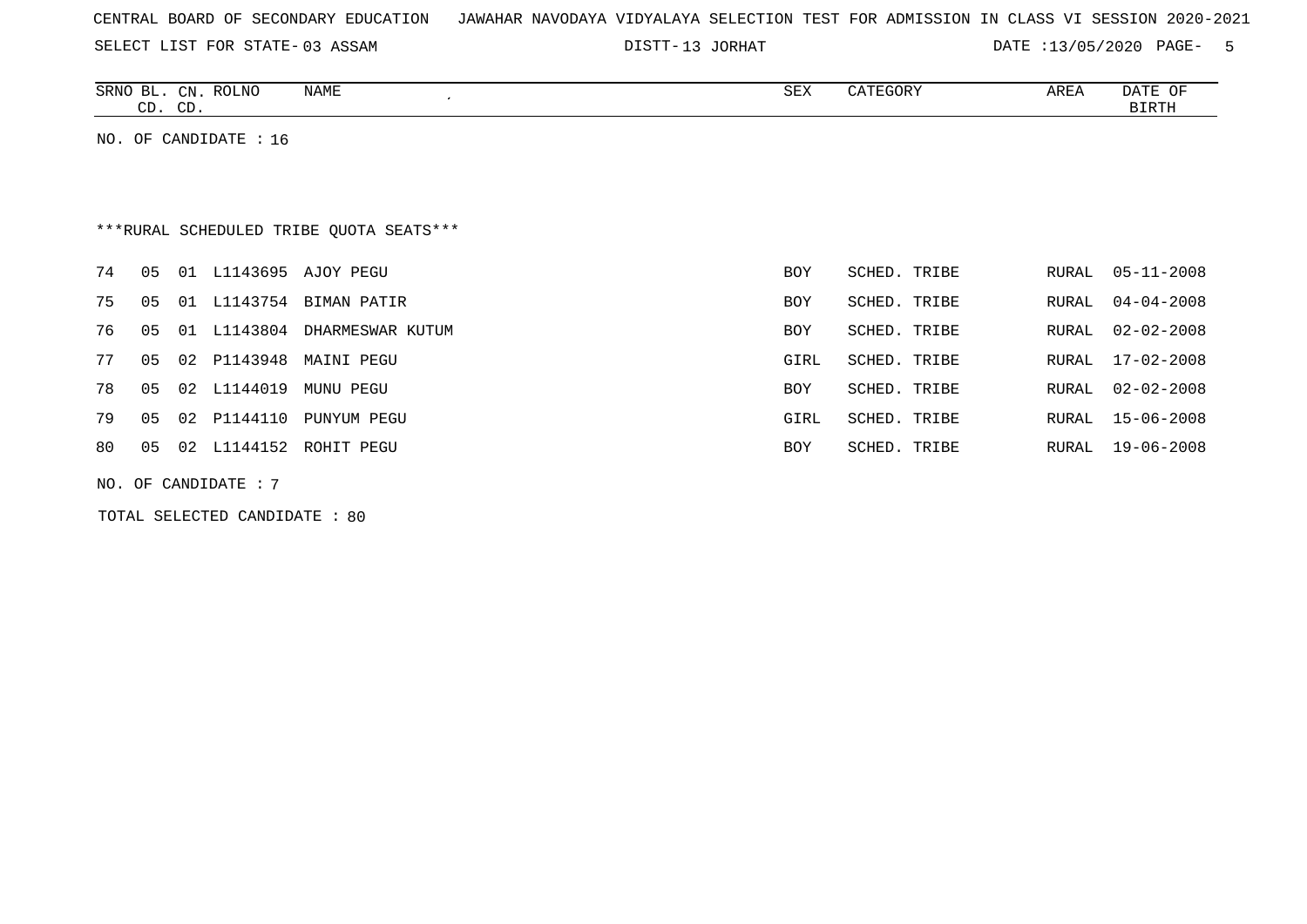SELECT LIST FOR STATE- DISTT- 03 ASSAM

DISTT-13 JORHAT DATE :13/05/2020 PAGE- 5

| SRNO        | CΝ           | <b>ROLNO</b> | <b>NAME</b> | C <sub>0</sub><br>つロマ | TGOKI | AREA | DATF<br>$\cup$ |
|-------------|--------------|--------------|-------------|-----------------------|-------|------|----------------|
| $\sim$<br>ے | $\sim$<br>ັບ |              |             |                       |       |      | BIRTH          |

NO. OF CANDIDATE : 16

# \*\*\*RURAL SCHEDULED TRIBE QUOTA SEATS\*\*\*

| 74 | 05 | 01    |             | L1143695 AJOY PEGU      | <b>BOY</b> | SCHED. TRIBE |       | RURAL 05-11-2008 |
|----|----|-------|-------------|-------------------------|------------|--------------|-------|------------------|
| 75 | 05 | . O 1 | L1143754    | BIMAN PATIR             | <b>BOY</b> | SCHED. TRIBE | RURAL | $04 - 04 - 2008$ |
| 76 | 05 | 01    | L1143804    | DHARMESWAR KUTUM        | <b>BOY</b> | SCHED. TRIBE | RURAL | 02-02-2008       |
| 77 | 05 |       | 02 P1143948 | MAINI PEGU              | GIRL       | SCHED. TRIBE | RURAL | 17-02-2008       |
| 78 | 05 |       | 02 L1144019 | MUNU PEGU               | <b>BOY</b> | SCHED. TRIBE | RURAL | $02 - 02 - 2008$ |
| 79 | 05 |       |             | 02 P1144110 PUNYUM PEGU | GIRL       | SCHED. TRIBE |       | RURAL 15-06-2008 |
| 80 | 05 | 02    |             | L1144152 ROHIT PEGU     | <b>BOY</b> | SCHED. TRIBE |       | RURAL 19-06-2008 |
|    |    |       |             |                         |            |              |       |                  |

NO. OF CANDIDATE : 7

TOTAL SELECTED CANDIDATE : 80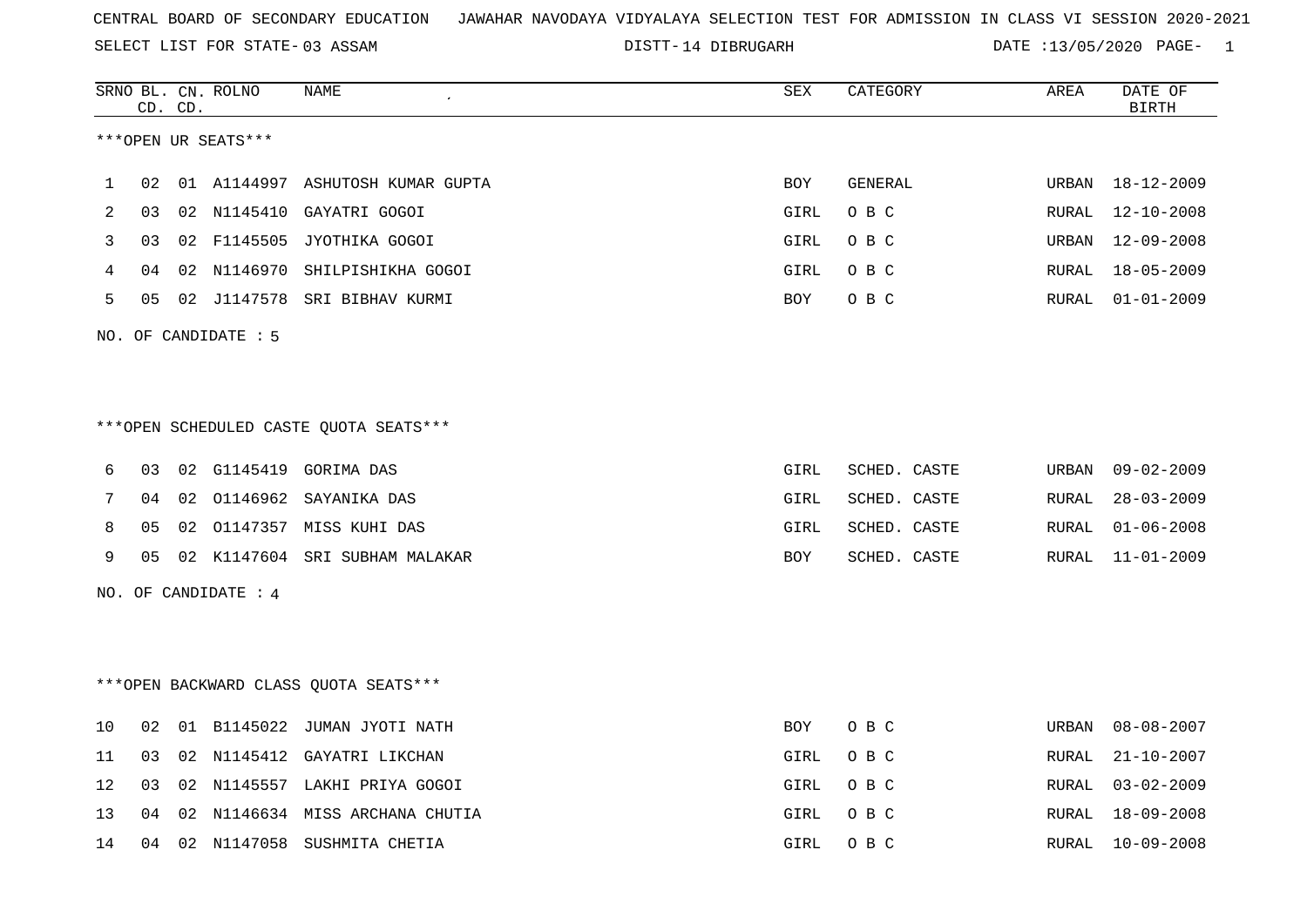SELECT LIST FOR STATE- DISTT- 03 ASSAM

DISTT-14 DIBRUGARH DATE :13/05/2020 PAGE- 1

|    |    | CD. CD. | SRNO BL. CN. ROLNO   | <b>NAME</b>                            | <b>SEX</b> | CATEGORY       | AREA  | DATE OF<br>BIRTH |
|----|----|---------|----------------------|----------------------------------------|------------|----------------|-------|------------------|
|    |    |         | ***OPEN UR SEATS***  |                                        |            |                |       |                  |
| 1  | 02 |         |                      | 01 A1144997 ASHUTOSH KUMAR GUPTA       | <b>BOY</b> | <b>GENERAL</b> | URBAN | 18-12-2009       |
| 2  | 03 |         |                      | 02 N1145410 GAYATRI GOGOI              | GIRL       | O B C          | RURAL | $12 - 10 - 2008$ |
| 3  | 03 |         |                      | 02 F1145505 JYOTHIKA GOGOI             | GIRL       | O B C          | URBAN | 12-09-2008       |
| 4  | 04 |         |                      | 02 N1146970 SHILPISHIKHA GOGOI         | GIRL       | O B C          | RURAL | $18 - 05 - 2009$ |
| 5  | 05 |         |                      | 02 J1147578 SRI BIBHAV KURMI           | BOY        | O B C          | RURAL | $01 - 01 - 2009$ |
|    |    |         | NO. OF CANDIDATE : 5 |                                        |            |                |       |                  |
|    |    |         |                      |                                        |            |                |       |                  |
|    |    |         |                      |                                        |            |                |       |                  |
|    |    |         |                      | ***OPEN SCHEDULED CASTE OUOTA SEATS*** |            |                |       |                  |
| 6  | 03 |         |                      | 02 G1145419 GORIMA DAS                 | GIRL       | SCHED. CASTE   | URBAN | $09 - 02 - 2009$ |
| 7  | 04 |         |                      | 02 01146962 SAYANIKA DAS               | GIRL       | SCHED. CASTE   | RURAL | $28 - 03 - 2009$ |
| 8  | 05 |         |                      | 02 01147357 MISS KUHI DAS              | GIRL       | SCHED. CASTE   | RURAL | $01 - 06 - 2008$ |
| 9  | 05 |         |                      | 02 K1147604 SRI SUBHAM MALAKAR         | BOY        | SCHED. CASTE   | RURAL | 11-01-2009       |
|    |    |         | NO. OF CANDIDATE : 4 |                                        |            |                |       |                  |
|    |    |         |                      |                                        |            |                |       |                  |
|    |    |         |                      |                                        |            |                |       |                  |
|    |    |         |                      | *** OPEN BACKWARD CLASS QUOTA SEATS*** |            |                |       |                  |
| 10 | 02 |         |                      | 01 B1145022 JUMAN JYOTI NATH           | BOY        | O B C          | URBAN | $08 - 08 - 2007$ |
| 11 | 03 |         |                      | 02 N1145412 GAYATRI LIKCHAN            | GIRL       | O B C          | RURAL | $21 - 10 - 2007$ |
| 12 | 03 |         |                      | 02 N1145557 LAKHI PRIYA GOGOI          | GIRL       | O B C          | RURAL | $03 - 02 - 2009$ |
| 13 | 04 |         |                      | 02 N1146634 MISS ARCHANA CHUTIA        | GIRL       | O B C          | RURAL | $18 - 09 - 2008$ |
| 14 | 04 |         |                      | 02 N1147058 SUSHMITA CHETIA            | GIRL       | O B C          | RURAL | $10 - 09 - 2008$ |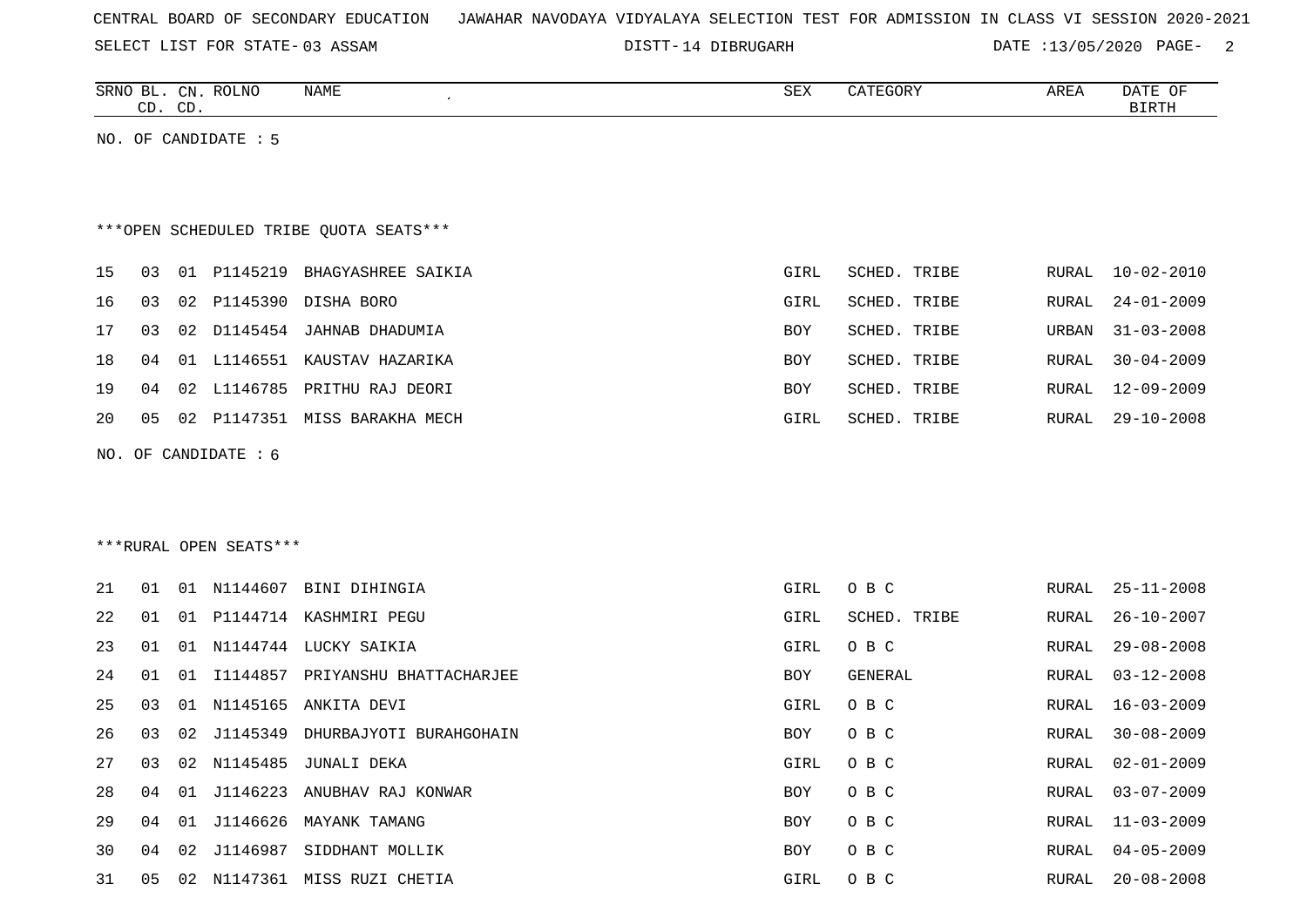SELECT LIST FOR STATE- DISTT- 03 ASSAM

DISTT-14 DIBRUGARH DATE :13/05/2020 PAGE- 2

| SRNO<br>BL   | $\cap$ NT<br>سد | <b>ROLNO</b> | NAME | $\alpha$ EIV<br>∿ים כי | $\alpha$ <sup>n</sup> $\alpha$ $\alpha$<br>GOK 1 | AREA | namm<br>∩≖<br>⊔∟<br>- U.P<br>А⊥ Е |
|--------------|-----------------|--------------|------|------------------------|--------------------------------------------------|------|-----------------------------------|
| $\sim$<br>ىت | CD              |              |      |                        |                                                  |      | יוחים דם<br>ת⊥ת⊥ם                 |

NO. OF CANDIDATE : 5

## \*\*\*OPEN SCHEDULED TRIBE QUOTA SEATS\*\*\*

|  |                   | 15 03 01 P1145219 BHAGYASHREE SAIKIA | GIRL       | SCHED. TRIBE |       | RURAL 10-02-2010 |
|--|-------------------|--------------------------------------|------------|--------------|-------|------------------|
|  |                   | 16 03 02 P1145390 DISHA BORO         | GIRL       | SCHED. TRIBE |       | RURAL 24-01-2009 |
|  | 17 03 02 D1145454 | JAHNAB DHADUMIA                      | <b>BOY</b> | SCHED. TRIBE | URBAN | 31-03-2008       |
|  |                   | 18 04 01 L1146551 KAUSTAV HAZARIKA   | BOY        | SCHED. TRIBE |       | RURAL 30-04-2009 |
|  |                   | 19 04 02 L1146785 PRITHU RAJ DEORI   | BOY        | SCHED. TRIBE | RURAL | 12-09-2009       |
|  | 20 05 02 P1147351 | MISS BARAKHA MECH                    | GIRL       | SCHED. TRIBE | RURAL | 29-10-2008       |

NO. OF CANDIDATE : 6

#### \*\*\*RURAL OPEN SEATS\*\*\*

| 2.1 | O 1 | O 1 | N1144607    | BINI DIHINGIA           | GIRL | O B C        | RURAL | $25 - 11 - 2008$ |
|-----|-----|-----|-------------|-------------------------|------|--------------|-------|------------------|
| 22  | 01  | 01  | P1144714    | KASHMIRI PEGU           | GIRL | SCHED. TRIBE | RURAL | 26-10-2007       |
| 23  | 01  | O 1 | N1144744    | LUCKY SAIKIA            | GIRL | O B C        | RURAL | 29-08-2008       |
| 24  | 01  | 01  | I1144857    | PRIYANSHU BHATTACHARJEE | BOY  | GENERAL      |       | RURAL 03-12-2008 |
| 25  | 03  | 01  | N1145165    | ANKITA DEVI             | GIRL | O B C        | RURAL | 16-03-2009       |
| 26  | 03  |     | 02 J1145349 | DHURBAJYOTI BURAHGOHAIN | BOY  | O B C        | RURAL | 30-08-2009       |
| 27  | 03  |     | 02 N1145485 | JUNALI DEKA             | GIRL | O B C        | RURAL | 02-01-2009       |
| 28  | 04  | 01  | J1146223    | ANUBHAV RAJ KONWAR      | BOY  | O B C        |       | RURAL 03-07-2009 |
| 29  | 04  | 01  | J1146626    | MAYANK TAMANG           | BOY  | O B C        | RURAL | $11 - 03 - 2009$ |
| 30  | 04  | 02  | J1146987    | SIDDHANT MOLLIK         | BOY  | O B C        | RURAL | $04 - 05 - 2009$ |
| 31  | 05  |     | 02 N1147361 | MISS RUZI CHETIA        | GIRL | O B C        | RURAL | $20 - 08 - 2008$ |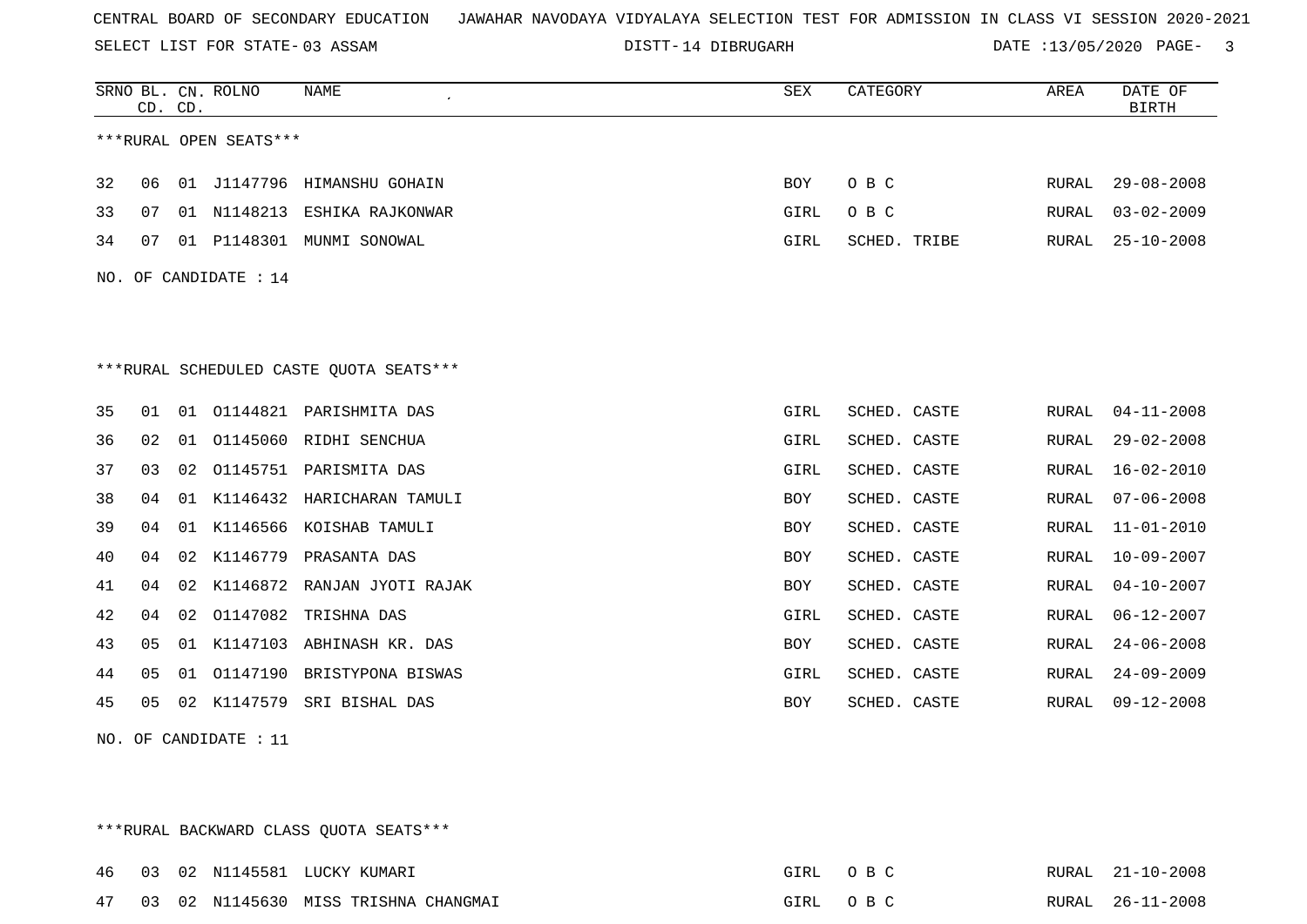SELECT LIST FOR STATE- DISTT- 03 ASSAM

DISTT-14 DIBRUGARH DATE :13/05/2020 PAGE- 3

|    | CD. CD. |    | SRNO BL. CN. ROLNO     | NAME<br>$\epsilon$                       | ${\tt SEX}$ | CATEGORY     | AREA         | DATE OF<br><b>BIRTH</b> |
|----|---------|----|------------------------|------------------------------------------|-------------|--------------|--------------|-------------------------|
|    |         |    | ***RURAL OPEN SEATS*** |                                          |             |              |              |                         |
| 32 | 06      | 01 |                        | J1147796 HIMANSHU GOHAIN                 | <b>BOY</b>  | O B C        | RURAL        | $29 - 08 - 2008$        |
| 33 | 07      | 01 | N1148213               | ESHIKA RAJKONWAR                         | GIRL        | O B C        | RURAL        | $03 - 02 - 2009$        |
| 34 | 07      |    |                        | 01 P1148301 MUNMI SONOWAL                | GIRL        | SCHED. TRIBE | RURAL        | $25 - 10 - 2008$        |
|    |         |    | NO. OF CANDIDATE : 14  |                                          |             |              |              |                         |
|    |         |    |                        |                                          |             |              |              |                         |
|    |         |    |                        |                                          |             |              |              |                         |
|    |         |    |                        | *** RURAL SCHEDULED CASTE QUOTA SEATS*** |             |              |              |                         |
| 35 | 01      |    |                        | 01 01144821 PARISHMITA DAS               | GIRL        | SCHED. CASTE | RURAL        | $04 - 11 - 2008$        |
| 36 | 02      | 01 |                        | 01145060 RIDHI SENCHUA                   | GIRL        | SCHED. CASTE | <b>RURAL</b> | $29 - 02 - 2008$        |
| 37 | 03      | 02 | 01145751               | PARISMITA DAS                            | GIRL        | SCHED. CASTE | RURAL        | $16 - 02 - 2010$        |
| 38 | 04      | 01 | K1146432               | HARICHARAN TAMULI                        | BOY         | SCHED. CASTE | RURAL        | $07 - 06 - 2008$        |
| 39 | 04      | 01 |                        | K1146566 KOISHAB TAMULI                  | <b>BOY</b>  | SCHED. CASTE | RURAL        | $11 - 01 - 2010$        |
| 40 | 04      | 02 | K1146779               | PRASANTA DAS                             | <b>BOY</b>  | SCHED. CASTE | RURAL        | $10 - 09 - 2007$        |
| 41 | 04      | 02 | K1146872               | RANJAN JYOTI RAJAK                       | BOY         | SCHED. CASTE | RURAL        | $04 - 10 - 2007$        |
| 42 | 04      | 02 | 01147082               | TRISHNA DAS                              | GIRL        | SCHED. CASTE | RURAL        | $06 - 12 - 2007$        |
| 43 | 05      | 01 | K1147103               | ABHINASH KR. DAS                         | <b>BOY</b>  | SCHED. CASTE | <b>RURAL</b> | $24 - 06 - 2008$        |
| 44 | 05      | 01 | 01147190               | BRISTYPONA BISWAS                        | GIRL        | SCHED. CASTE | RURAL        | $24 - 09 - 2009$        |
| 45 | 05      | 02 |                        | K1147579 SRI BISHAL DAS                  | <b>BOY</b>  | SCHED. CASTE | RURAL        | $09 - 12 - 2008$        |
|    |         |    |                        |                                          |             |              |              |                         |

NO. OF CANDIDATE : 11

\*\*\*RURAL BACKWARD CLASS QUOTA SEATS\*\*\*

|  |  | 46 03 02 N1145581 LUCKY KUMARI          | GIRL OBC | RURAL 21-10-2008 |
|--|--|-----------------------------------------|----------|------------------|
|  |  | 47 03 02 N1145630 MISS TRISHNA CHANGMAI | GIRL OBC | RURAL 26-11-2008 |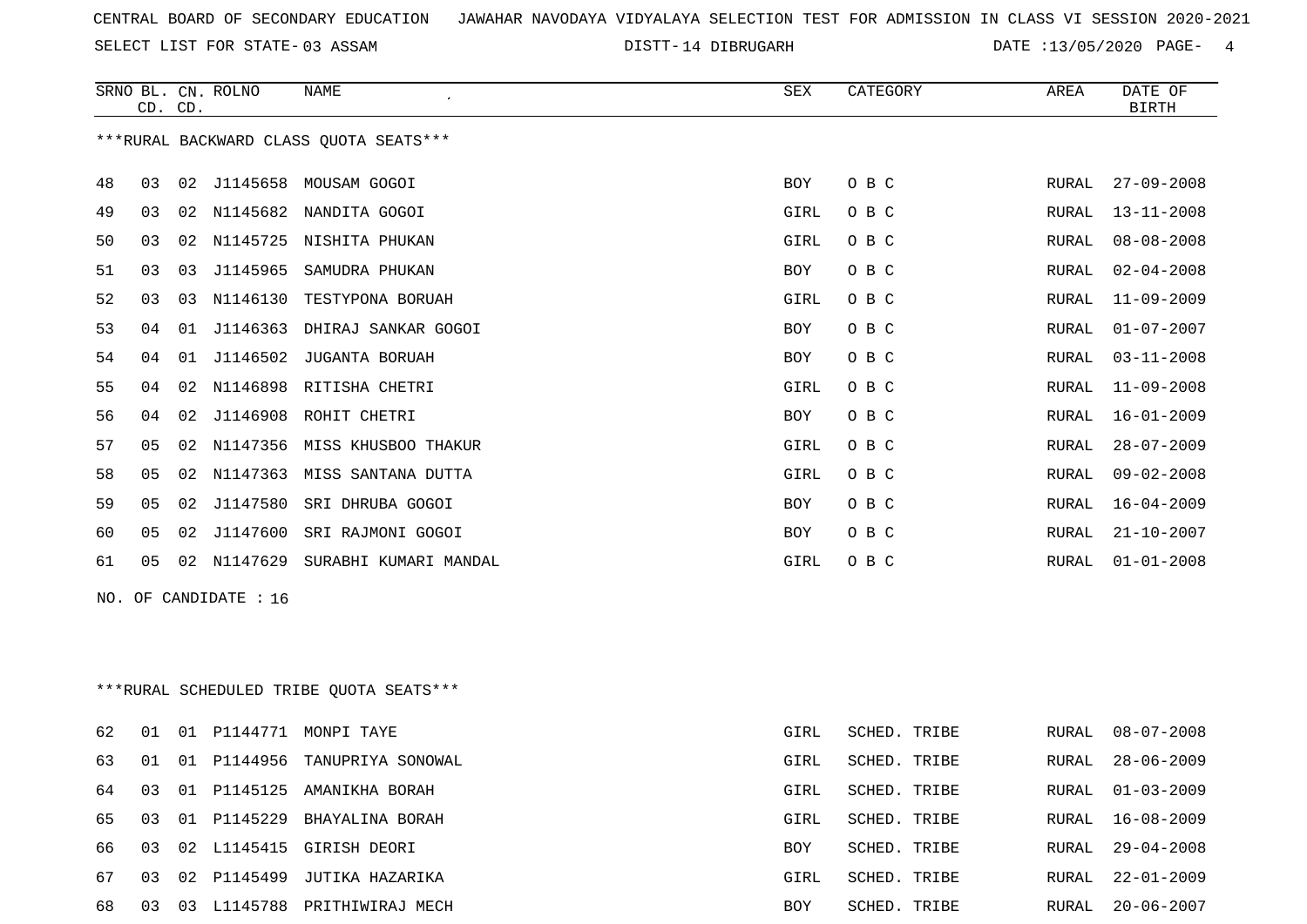SELECT LIST FOR STATE- DISTT- 03 ASSAM

DISTT-14 DIBRUGARH DATE :13/05/2020 PAGE- 4

|               | CD. CD. |    | SRNO BL. CN. ROLNO    | <b>NAME</b>                                         | ${\tt SEX}$          | CATEGORY     | AREA         | DATE OF<br><b>BIRTH</b> |
|---------------|---------|----|-----------------------|-----------------------------------------------------|----------------------|--------------|--------------|-------------------------|
|               |         |    |                       | *** RURAL BACKWARD CLASS QUOTA SEATS***             |                      |              |              |                         |
| 48            | 03      | 02 |                       | J1145658 MOUSAM GOGOI                               | BOY                  | O B C        | RURAL        | $27 - 09 - 2008$        |
| 49            | 03      | 02 | N1145682              | NANDITA GOGOI                                       | GIRL                 | O B C        | RURAL        | $13 - 11 - 2008$        |
| 50            | 03      | 02 |                       | N1145725 NISHITA PHUKAN                             | GIRL                 | O B C        | RURAL        | $08 - 08 - 2008$        |
| 51            | 03      | 03 | J1145965              | SAMUDRA PHUKAN                                      | BOY                  | O B C        | <b>RURAL</b> | $02 - 04 - 2008$        |
| 52            | 03      | 03 | N1146130              | TESTYPONA BORUAH                                    | GIRL                 | O B C        | <b>RURAL</b> | $11 - 09 - 2009$        |
| 53            | 04      | 01 | J1146363              | DHIRAJ SANKAR GOGOI                                 | BOY                  | O B C        | <b>RURAL</b> | $01 - 07 - 2007$        |
| 54            | 04      | 01 | J1146502              | <b>JUGANTA BORUAH</b>                               | BOY                  | O B C        | RURAL        | $03 - 11 - 2008$        |
| 55            | 04      | 02 | N1146898              | RITISHA CHETRI                                      | GIRL                 | O B C        | RURAL        | $11 - 09 - 2008$        |
| 56            | 04      | 02 |                       | J1146908 ROHIT CHETRI                               | BOY                  | O B C        | RURAL        | $16 - 01 - 2009$        |
| 57            | 05      | 02 | N1147356              | MISS KHUSBOO THAKUR                                 | GIRL                 | O B C        | RURAL        | $28 - 07 - 2009$        |
| 58            | 05      | 02 |                       | N1147363 MISS SANTANA DUTTA                         | GIRL                 | O B C        | RURAL        | $09 - 02 - 2008$        |
| 59            | 05      | 02 | J1147580              | SRI DHRUBA GOGOI                                    | BOY                  | O B C        | RURAL        | $16 - 04 - 2009$        |
| 60            | 05      | 02 | J1147600              | SRI RAJMONI GOGOI                                   | BOY                  | O B C        | RURAL        | $21 - 10 - 2007$        |
| 61            | 05      |    |                       | 02 N1147629 SURABHI KUMARI MANDAL                   | GIRL                 | O B C        | RURAL        | $01 - 01 - 2008$        |
|               |         |    | NO. OF CANDIDATE : 16 |                                                     |                      |              |              |                         |
|               |         |    |                       |                                                     |                      |              |              |                         |
|               |         |    |                       |                                                     |                      |              |              |                         |
|               |         |    |                       | ***RURAL SCHEDULED TRIBE QUOTA SEATS***             |                      |              |              |                         |
| 62            | 01      |    |                       | 01 P1144771 MONPI TAYE                              | GIRL                 | SCHED. TRIBE | RURAL        | $08 - 07 - 2008$        |
| $\sim$ $\sim$ |         |    |                       | $01 \quad 01 \quad 011144056$ manitippinal contount | $\alpha$ $\pi$ $\pi$ |              | T            | 20.05.2000              |

| 62 | - 01  |    |          | 01 PI144771 MONPI TAYE      | GIRL.      | SCHED. TRIBE |       | RURAL 08-07-2008 |
|----|-------|----|----------|-----------------------------|------------|--------------|-------|------------------|
| 63 | 01    | 01 |          | P1144956 TANUPRIYA SONOWAL  | GIRL       | SCHED. TRIBE | RURAL | 28-06-2009       |
| 64 | 03    |    |          | 01 P1145125 AMANIKHA BORAH  | GIRL       | SCHED. TRIBE | RURAL | 01-03-2009       |
| 65 | 03    | 01 | P1145229 | BHAYALINA BORAH             | GIRL       | SCHED. TRIBE | RURAL | 16-08-2009       |
| 66 | 03    |    |          | 02 L1145415 GIRISH DEORI    | <b>BOY</b> | SCHED. TRIBE | RURAL | 29-04-2008       |
| 67 | 03    |    |          | 02 P1145499 JUTIKA HAZARIKA | GIRL       | SCHED. TRIBE | RURAL | 22-01-2009       |
| 68 | - 0.3 | 03 | L1145788 | PRITHIWIRAJ MECH            | BOY        | SCHED. TRIBE | RURAL | 20-06-2007       |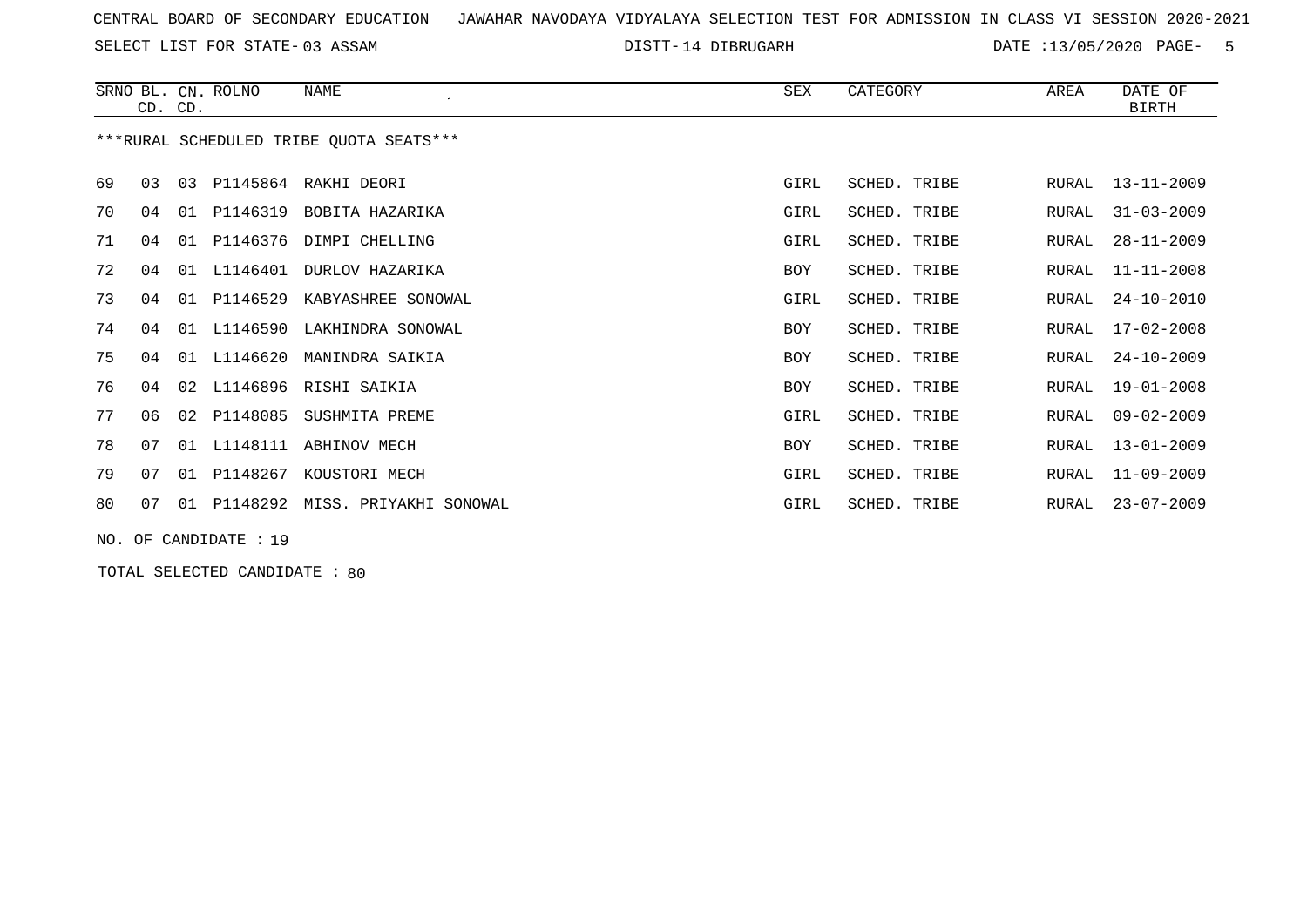SELECT LIST FOR STATE- DISTT- 03 ASSAM

14 DIBRUGARH DATE :13/05/2020 PAGE- 5

|    | CD. CD.                                 |    | SRNO BL. CN. ROLNO | NAME<br>$\cdot$        | SEX        | CATEGORY     | AREA  | DATE OF<br>BIRTH |  |  |  |  |
|----|-----------------------------------------|----|--------------------|------------------------|------------|--------------|-------|------------------|--|--|--|--|
|    | ***RURAL SCHEDULED TRIBE QUOTA SEATS*** |    |                    |                        |            |              |       |                  |  |  |  |  |
| 69 | 03                                      | 03 |                    | P1145864 RAKHI DEORI   | GIRL       | SCHED. TRIBE | RURAL | 13-11-2009       |  |  |  |  |
| 70 | 04                                      | 01 | P1146319           | BOBITA HAZARIKA        | GIRL       | SCHED. TRIBE | RURAL | $31 - 03 - 2009$ |  |  |  |  |
| 71 | 04                                      | 01 | P1146376           | DIMPI CHELLING         | GIRL       | SCHED. TRIBE | RURAL | $28 - 11 - 2009$ |  |  |  |  |
| 72 | 04                                      | 01 | L1146401           | DURLOV HAZARIKA        | <b>BOY</b> | SCHED. TRIBE | RURAL | $11 - 11 - 2008$ |  |  |  |  |
| 73 | 04                                      | 01 | P1146529           | KABYASHREE SONOWAL     | GIRL       | SCHED. TRIBE | RURAL | $24 - 10 - 2010$ |  |  |  |  |
| 74 | 04                                      |    | 01 L1146590        | LAKHINDRA SONOWAL      | BOY        | SCHED. TRIBE | RURAL | 17-02-2008       |  |  |  |  |
| 75 | 04                                      | 01 | L1146620           | MANINDRA SAIKIA        | BOY        | SCHED. TRIBE | RURAL | $24 - 10 - 2009$ |  |  |  |  |
| 76 | 04                                      | 02 | L1146896           | RISHI SAIKIA           | BOY        | SCHED. TRIBE | RURAL | $19 - 01 - 2008$ |  |  |  |  |
| 77 | 06                                      | 02 | P1148085           | SUSHMITA PREME         | GIRL       | SCHED. TRIBE | RURAL | 09-02-2009       |  |  |  |  |
| 78 | 07                                      | 01 | L1148111           | ABHINOV MECH           | BOY        | SCHED. TRIBE | RURAL | $13 - 01 - 2009$ |  |  |  |  |
| 79 | 07                                      | 01 | P1148267           | KOUSTORI MECH          | GIRL       | SCHED. TRIBE | RURAL | 11-09-2009       |  |  |  |  |
| 80 | 07                                      | 01 | P1148292           | MISS. PRIYAKHI SONOWAL | GIRL       | SCHED. TRIBE | RURAL | $23 - 07 - 2009$ |  |  |  |  |

NO. OF CANDIDATE : 19

TOTAL SELECTED CANDIDATE : 80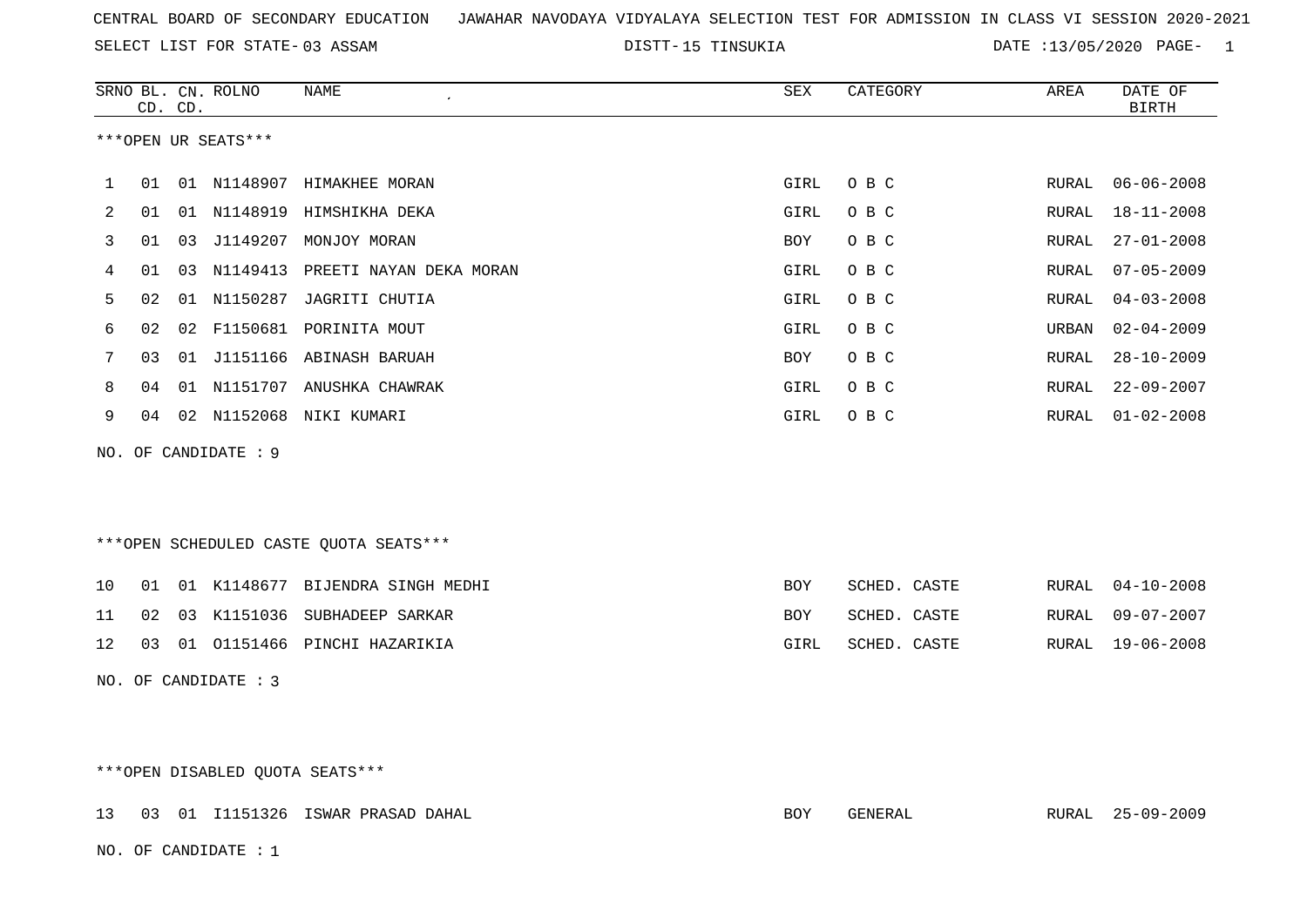SELECT LIST FOR STATE- DISTT- 03 ASSAM

15 TINSUKIA DATE :13/05/2020 PAGE- 1

|     |    | CD. CD. | SRNO BL. CN. ROLNO   | NAME                                   | ${\tt SEX}$ | CATEGORY     | AREA  | DATE OF<br><b>BIRTH</b> |
|-----|----|---------|----------------------|----------------------------------------|-------------|--------------|-------|-------------------------|
|     |    |         | ***OPEN UR SEATS***  |                                        |             |              |       |                         |
| 1   | 01 |         |                      | 01 N1148907 HIMAKHEE MORAN             | GIRL        | O B C        | RURAL | $06 - 06 - 2008$        |
| 2   | 01 |         |                      | 01 N1148919 HIMSHIKHA DEKA             | GIRL        | O B C        | RURAL | $18 - 11 - 2008$        |
| 3   | 01 | 03      | J1149207             | MONJOY MORAN                           | BOY         | O B C        | RURAL | $27 - 01 - 2008$        |
| 4   | 01 | 03      |                      | N1149413 PREETI NAYAN DEKA MORAN       | GIRL        | O B C        | RURAL | $07 - 05 - 2009$        |
| 5   | 02 |         | 01 N1150287          | JAGRITI CHUTIA                         | GIRL        | O B C        | RURAL | $04 - 03 - 2008$        |
| 6   | 02 |         |                      | 02 F1150681 PORINITA MOUT              | GIRL        | O B C        | URBAN | $02 - 04 - 2009$        |
| 7   | 03 |         |                      | 01 J1151166 ABINASH BARUAH             | BOY         | O B C        | RURAL | $28 - 10 - 2009$        |
| 8   | 04 |         |                      | 01 N1151707 ANUSHKA CHAWRAK            | GIRL        | O B C        | RURAL | $22 - 09 - 2007$        |
| 9   |    |         |                      | 04 02 N1152068 NIKI KUMARI             | GIRL        | O B C        | RURAL | $01 - 02 - 2008$        |
| NO. |    |         | OF CANDIDATE : 9     |                                        |             |              |       |                         |
|     |    |         |                      |                                        |             |              |       |                         |
|     |    |         |                      | ***OPEN SCHEDULED CASTE QUOTA SEATS*** |             |              |       |                         |
| 10  | 01 |         |                      | 01 K1148677 BIJENDRA SINGH MEDHI       | <b>BOY</b>  | SCHED. CASTE | RURAL | $04 - 10 - 2008$        |
| 11  | 02 | 03      |                      | K1151036 SUBHADEEP SARKAR              | BOY         | SCHED. CASTE | RURAL | $09 - 07 - 2007$        |
| 12  | 03 |         |                      | 01 01151466 PINCHI HAZARIKIA           | GIRL        | SCHED. CASTE | RURAL | $19 - 06 - 2008$        |
|     |    |         | NO. OF CANDIDATE : 3 |                                        |             |              |       |                         |

\*\*\*OPEN DISABLED QUOTA SEATS\*\*\*

|  |                        | 13 03 01 I1151326 ISWAR PRASAD DAHAL |  | BOY | GENERAL | RURAL | 25-09-2009 |
|--|------------------------|--------------------------------------|--|-----|---------|-------|------------|
|  | NO. OF CANDIDATE : $1$ |                                      |  |     |         |       |            |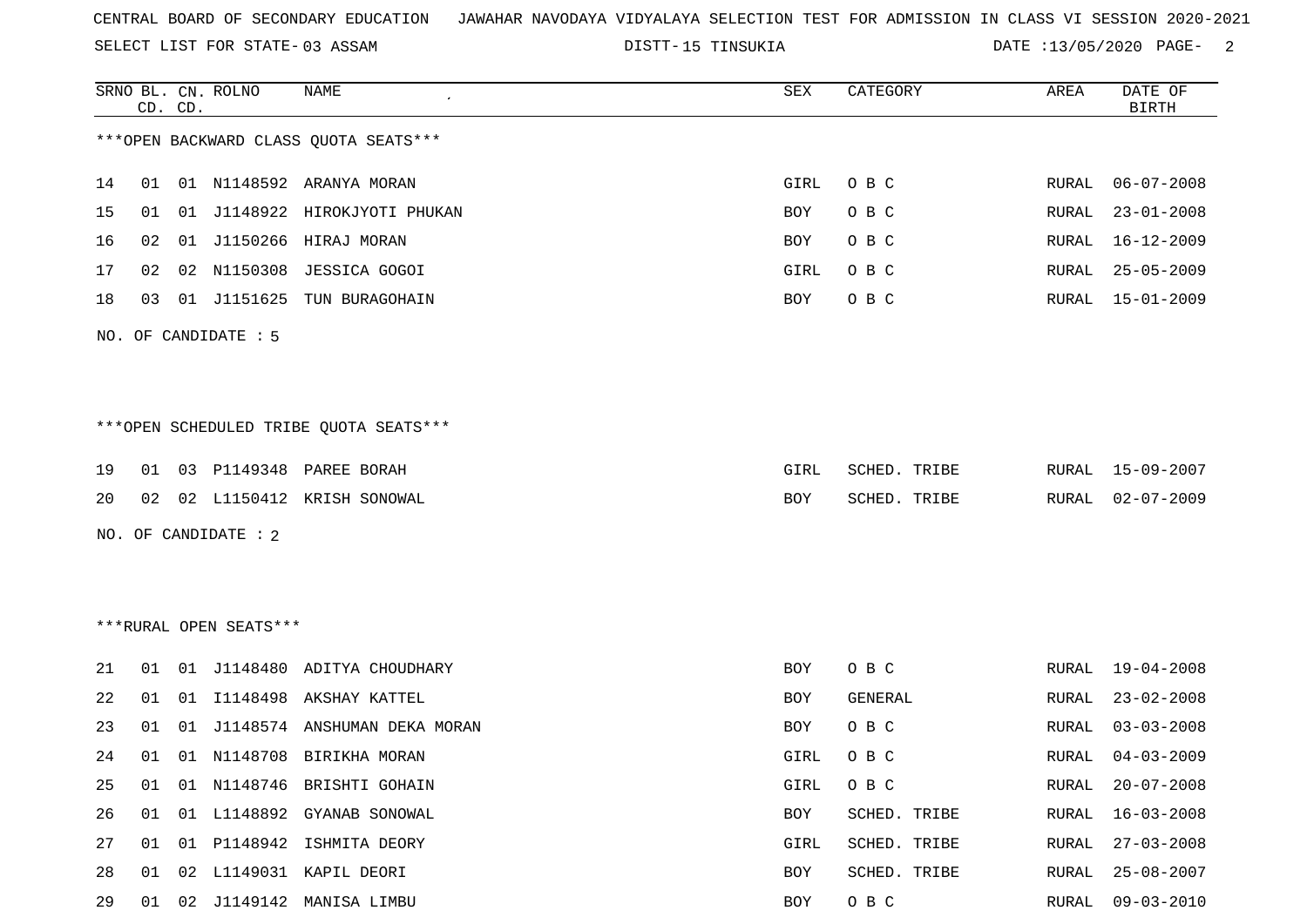SELECT LIST FOR STATE- DISTT- 03 ASSAM

15 TINSUKIA DATE :13/05/2020 PAGE- 2

|    |    | CD. CD. | SRNO BL. CN. ROLNO     | NAME                                   | SEX  | CATEGORY       | AREA          | DATE OF<br><b>BIRTH</b> |
|----|----|---------|------------------------|----------------------------------------|------|----------------|---------------|-------------------------|
|    |    |         |                        | *** OPEN BACKWARD CLASS QUOTA SEATS*** |      |                |               |                         |
| 14 | 01 |         |                        | 01 N1148592 ARANYA MORAN               | GIRL | O B C          | RURAL         | $06 - 07 - 2008$        |
| 15 | 01 | 01      | J1148922               | HIROKJYOTI PHUKAN                      | BOY  | O B C          | ${\tt RURAL}$ | $23 - 01 - 2008$        |
| 16 | 02 | 01      | J1150266               | HIRAJ MORAN                            | BOY  | O B C          | RURAL         | $16 - 12 - 2009$        |
| 17 | 02 | 02      | N1150308               | JESSICA GOGOI                          | GIRL | O B C          | RURAL         | $25 - 05 - 2009$        |
| 18 | 03 |         |                        | 01 J1151625 TUN BURAGOHAIN             | BOY  | O B C          | RURAL         | 15-01-2009              |
|    |    |         | NO. OF CANDIDATE : 5   |                                        |      |                |               |                         |
|    |    |         |                        |                                        |      |                |               |                         |
|    |    |         |                        |                                        |      |                |               |                         |
|    |    |         |                        | ***OPEN SCHEDULED TRIBE QUOTA SEATS*** |      |                |               |                         |
| 19 | 01 |         |                        | 03 P1149348 PAREE BORAH                | GIRL | SCHED. TRIBE   | RURAL         | $15 - 09 - 2007$        |
| 20 | 02 |         |                        | 02 L1150412 KRISH SONOWAL              | BOY  | SCHED. TRIBE   | RURAL         | $02 - 07 - 2009$        |
|    |    |         | NO. OF CANDIDATE : 2   |                                        |      |                |               |                         |
|    |    |         |                        |                                        |      |                |               |                         |
|    |    |         |                        |                                        |      |                |               |                         |
|    |    |         | ***RURAL OPEN SEATS*** |                                        |      |                |               |                         |
| 21 | 01 | 01      |                        | J1148480 ADITYA CHOUDHARY              | BOY  | O B C          | RURAL         | 19-04-2008              |
| 22 | 01 | 01      | I1148498               | AKSHAY KATTEL                          | BOY  | <b>GENERAL</b> | RURAL         | $23 - 02 - 2008$        |
| 23 | 01 | 01      |                        | J1148574 ANSHUMAN DEKA MORAN           | BOY  | O B C          | RURAL         | $03 - 03 - 2008$        |
| 24 | 01 |         |                        | 01 N1148708 BIRIKHA MORAN              | GIRL | O B C          | RURAL         | $04 - 03 - 2009$        |
| 25 | 01 | 01      |                        | N1148746 BRISHTI GOHAIN                | GIRL | O B C          | RURAL         | $20 - 07 - 2008$        |
| 26 | 01 |         |                        | 01 L1148892 GYANAB SONOWAL             | BOY  | SCHED. TRIBE   | RURAL         | $16 - 03 - 2008$        |
| 27 | 01 |         | 01 P1148942            | ISHMITA DEORY                          | GIRL | SCHED. TRIBE   | RURAL         | $27 - 03 - 2008$        |
| 28 | 01 | 02      |                        | L1149031 KAPIL DEORI                   | BOY  | SCHED. TRIBE   | RURAL         | $25 - 08 - 2007$        |
| 29 | 01 | 02      |                        | J1149142 MANISA LIMBU                  | BOY  | O B C          | RURAL         | $09 - 03 - 2010$        |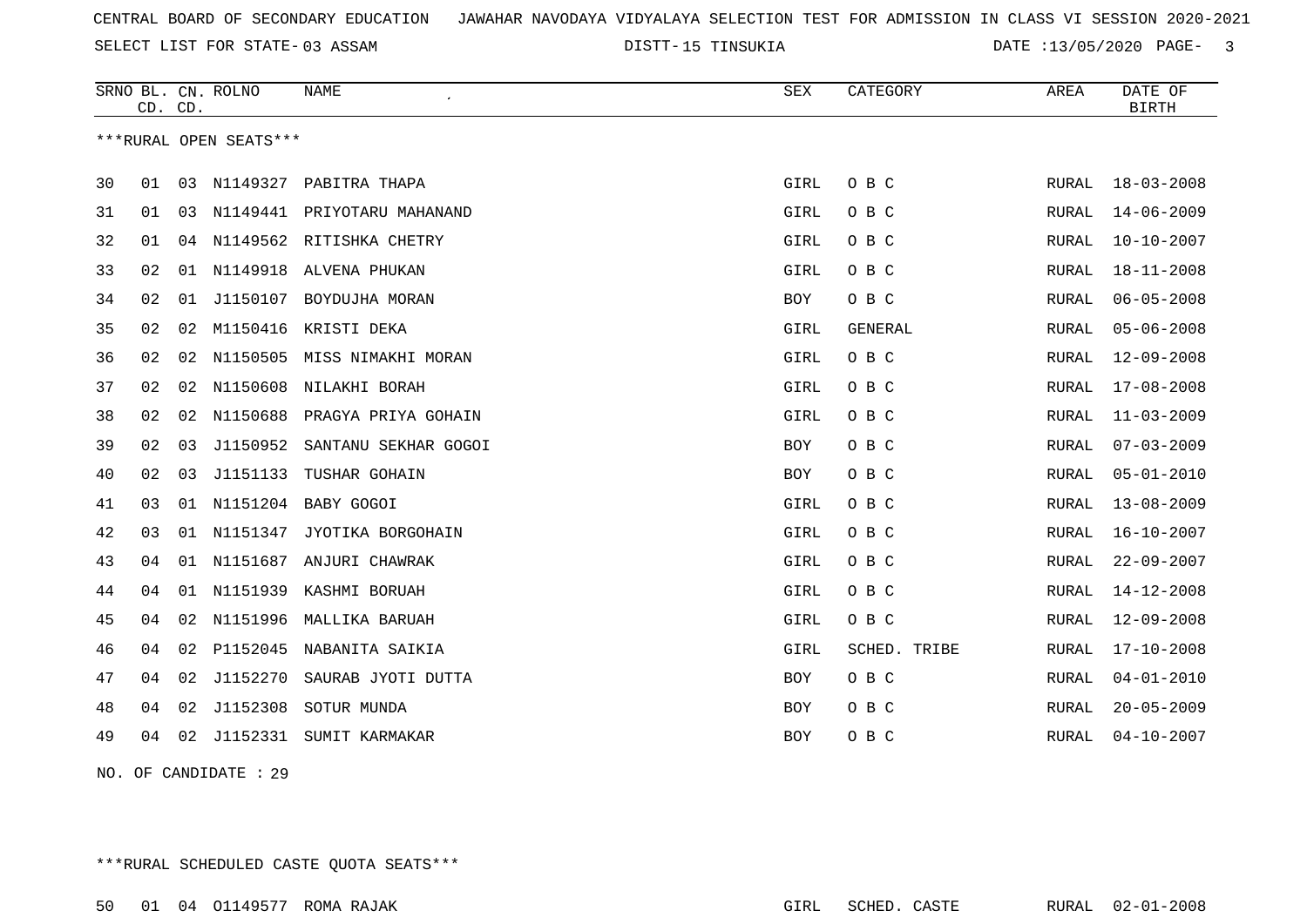SELECT LIST FOR STATE- DISTT- 03 ASSAM

15 TINSUKIA DATE :13/05/2020 PAGE- 3

|    | CD. CD. |    | SRNO BL. CN. ROLNO     | <b>NAME</b>                  | SEX        | CATEGORY     | AREA  | DATE OF<br><b>BIRTH</b> |
|----|---------|----|------------------------|------------------------------|------------|--------------|-------|-------------------------|
|    |         |    | ***RURAL OPEN SEATS*** |                              |            |              |       |                         |
| 30 | 01      | 03 |                        | N1149327 PABITRA THAPA       | GIRL       | O B C        | RURAL | $18 - 03 - 2008$        |
| 31 | 01      | 03 | N1149441               | PRIYOTARU MAHANAND           | GIRL       | O B C        | RURAL | $14 - 06 - 2009$        |
| 32 | 01      | 04 |                        | N1149562 RITISHKA CHETRY     | GIRL       | O B C        | RURAL | $10 - 10 - 2007$        |
| 33 | 02      | 01 | N1149918               | ALVENA PHUKAN                | GIRL       | O B C        | RURAL | 18-11-2008              |
| 34 | 02      | 01 | J1150107               | BOYDUJHA MORAN               | <b>BOY</b> | O B C        | RURAL | $06 - 05 - 2008$        |
| 35 | 02      | 02 |                        | M1150416 KRISTI DEKA         | GIRL       | GENERAL      | RURAL | $05 - 06 - 2008$        |
| 36 | 02      | 02 | N1150505               | MISS NIMAKHI MORAN           | GIRL       | O B C        | RURAL | $12 - 09 - 2008$        |
| 37 | 02      | 02 | N1150608               | NILAKHI BORAH                | GIRL       | O B C        | RURAL | $17 - 08 - 2008$        |
| 38 | 02      | 02 |                        | N1150688 PRAGYA PRIYA GOHAIN | GIRL       | O B C        | RURAL | $11 - 03 - 2009$        |
| 39 | 02      | 03 | J1150952               | SANTANU SEKHAR GOGOI         | BOY        | O B C        | RURAL | $07 - 03 - 2009$        |
| 40 | 02      | 03 | J1151133               | TUSHAR GOHAIN                | <b>BOY</b> | O B C        | RURAL | $05 - 01 - 2010$        |
| 41 | 03      | 01 | N1151204               | BABY GOGOI                   | GIRL       | O B C        | RURAL | $13 - 08 - 2009$        |
| 42 | 03      | 01 | N1151347               | JYOTIKA BORGOHAIN            | GIRL       | O B C        | RURAL | $16 - 10 - 2007$        |
| 43 | 04      | 01 |                        | N1151687 ANJURI CHAWRAK      | GIRL       | O B C        | RURAL | $22 - 09 - 2007$        |
| 44 | 04      | 01 | N1151939               | KASHMI BORUAH                | GIRL       | O B C        | RURAL | $14 - 12 - 2008$        |
| 45 | 04      | 02 | N1151996               | MALLIKA BARUAH               | GIRL       | O B C        | RURAL | $12 - 09 - 2008$        |
| 46 | 04      | 02 | P1152045               | NABANITA SAIKIA              | GIRL       | SCHED. TRIBE | RURAL | $17 - 10 - 2008$        |
| 47 | 04      | 02 | J1152270               | SAURAB JYOTI DUTTA           | BOY        | O B C        | RURAL | $04 - 01 - 2010$        |
| 48 | 04      | 02 | J1152308               | SOTUR MUNDA                  | <b>BOY</b> | O B C        | RURAL | $20 - 05 - 2009$        |
| 49 | 04      | 02 |                        | J1152331 SUMIT KARMAKAR      | <b>BOY</b> | O B C        | RURAL | $04 - 10 - 2007$        |
|    |         |    |                        |                              |            |              |       |                         |

NO. OF CANDIDATE : 29

\*\*\*RURAL SCHEDULED CASTE QUOTA SEATS\*\*\*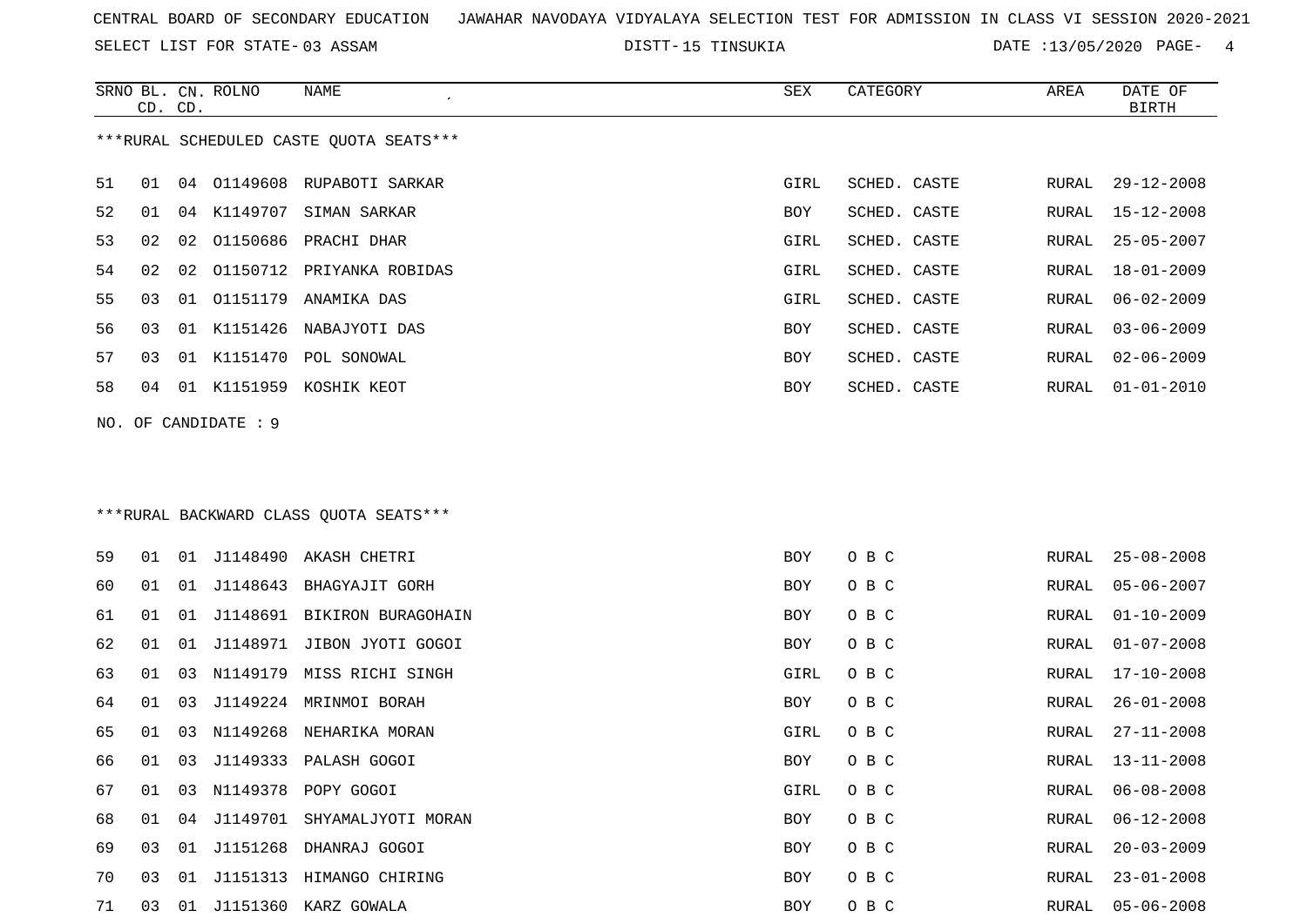SELECT LIST FOR STATE- DISTT- 03 ASSAM

SRNO BL. CN.

ROLNO NAME SEX CATEGORY AREA DATE OF

15 TINSUKIA DATE :13/05/2020 PAGE- 4

| *** RURAL SCHEDULED CASTE QUOTA SEATS***<br>51<br>04 01149608 RUPABOTI SARKAR<br>SCHED. CASTE<br>$29 - 12 - 2008$<br>01<br>GIRL<br>RURAL<br>52<br>K1149707<br>SCHED. CASTE<br>04<br>SIMAN SARKAR<br>BOY<br>15-12-2008<br>01<br>RURAL<br>53<br>01150686 PRACHI DHAR<br>$25 - 05 - 2007$<br>02<br>02<br>GIRL<br>SCHED. CASTE<br>RURAL<br>54<br>02<br>01150712 PRIYANKA ROBIDAS<br>SCHED. CASTE<br>$18 - 01 - 2009$<br>02<br>GIRL<br>RURAL<br>55<br>01 01151179 ANAMIKA DAS<br>03<br>GIRL<br>SCHED. CASTE<br>RURAL<br>$06 - 02 - 2009$<br>56<br>01 K1151426 NABAJYOTI DAS<br>$03 - 06 - 2009$<br>03<br>BOY<br>SCHED. CASTE<br>RURAL<br>57<br>01 K1151470 POL SONOWAL<br>03<br>BOY<br>SCHED. CASTE<br>RURAL<br>$02 - 06 - 2009$<br>58<br>01 K1151959 KOSHIK KEOT<br>$01 - 01 - 2010$<br>04<br>BOY<br>SCHED. CASTE<br>RURAL<br>NO. OF CANDIDATE : 9<br>*** RURAL BACKWARD CLASS QUOTA SEATS***<br>59<br>01 J1148490 AKASH CHETRI<br>O B C<br>$25 - 08 - 2008$<br>BOY<br>RURAL<br>01<br>60<br>J1148643<br>BHAGYAJIT GORH<br>O B C<br>$05 - 06 - 2007$<br>01<br>01<br>BOY<br>RURAL<br>61<br>O B C<br>01<br>01<br>J1148691 BIKIRON BURAGOHAIN<br>$01 - 10 - 2009$<br>BOY<br>RURAL<br>62<br>J1148971 JIBON JYOTI GOGOI<br>O B C<br>$01 - 07 - 2008$<br>01<br>01<br>BOY<br>RURAL<br>63<br>N1149179 MISS RICHI SINGH<br>O B C<br>03<br>GIRL<br>RURAL<br>$17 - 10 - 2008$<br>01<br>64<br>J1149224<br>O B C<br>$26 - 01 - 2008$<br>01<br>03<br>MRINMOI BORAH<br>BOY<br>RURAL<br>65<br>N1149268<br>O B C<br>01<br>03<br>NEHARIKA MORAN<br>GIRL<br>RURAL<br>$27 - 11 - 2008$<br>66<br>J1149333 PALASH GOGOI<br>01<br>03<br>BOY<br>O B C<br>RURAL<br>13-11-2008<br>67<br>03 N1149378 POPY GOGOI<br>$06 - 08 - 2008$<br>01<br>GIRL<br>O B C<br>RURAL<br>01 04 J1149701 SHYAMALJYOTI MORAN<br>68<br><b>BOY</b><br>O B C<br>RURAL<br>$06 - 12 - 2008$<br>69<br>01 J1151268 DHANRAJ GOGOI<br>O B C<br>$20 - 03 - 2009$<br>03<br>BOY<br>RURAL<br>70<br>01 J1151313 HIMANGO CHIRING<br><b>BOY</b><br>O B C<br>$23 - 01 - 2008$<br>03<br>RURAL<br>71<br>01 J1151360 KARZ GOWALA<br>O B C<br>$05 - 06 - 2008$<br>03<br><b>BOY</b><br>RURAL | CD. CD. |  |  |  | <b>BIRTH</b> |
|--------------------------------------------------------------------------------------------------------------------------------------------------------------------------------------------------------------------------------------------------------------------------------------------------------------------------------------------------------------------------------------------------------------------------------------------------------------------------------------------------------------------------------------------------------------------------------------------------------------------------------------------------------------------------------------------------------------------------------------------------------------------------------------------------------------------------------------------------------------------------------------------------------------------------------------------------------------------------------------------------------------------------------------------------------------------------------------------------------------------------------------------------------------------------------------------------------------------------------------------------------------------------------------------------------------------------------------------------------------------------------------------------------------------------------------------------------------------------------------------------------------------------------------------------------------------------------------------------------------------------------------------------------------------------------------------------------------------------------------------------------------------------------------------------------------------------------------------------------------------------------------------------------------------------------------------------------------------------------------------------------------------------------------------------------------------------------------------------------------------|---------|--|--|--|--------------|
|                                                                                                                                                                                                                                                                                                                                                                                                                                                                                                                                                                                                                                                                                                                                                                                                                                                                                                                                                                                                                                                                                                                                                                                                                                                                                                                                                                                                                                                                                                                                                                                                                                                                                                                                                                                                                                                                                                                                                                                                                                                                                                                    |         |  |  |  |              |
|                                                                                                                                                                                                                                                                                                                                                                                                                                                                                                                                                                                                                                                                                                                                                                                                                                                                                                                                                                                                                                                                                                                                                                                                                                                                                                                                                                                                                                                                                                                                                                                                                                                                                                                                                                                                                                                                                                                                                                                                                                                                                                                    |         |  |  |  |              |
|                                                                                                                                                                                                                                                                                                                                                                                                                                                                                                                                                                                                                                                                                                                                                                                                                                                                                                                                                                                                                                                                                                                                                                                                                                                                                                                                                                                                                                                                                                                                                                                                                                                                                                                                                                                                                                                                                                                                                                                                                                                                                                                    |         |  |  |  |              |
|                                                                                                                                                                                                                                                                                                                                                                                                                                                                                                                                                                                                                                                                                                                                                                                                                                                                                                                                                                                                                                                                                                                                                                                                                                                                                                                                                                                                                                                                                                                                                                                                                                                                                                                                                                                                                                                                                                                                                                                                                                                                                                                    |         |  |  |  |              |
|                                                                                                                                                                                                                                                                                                                                                                                                                                                                                                                                                                                                                                                                                                                                                                                                                                                                                                                                                                                                                                                                                                                                                                                                                                                                                                                                                                                                                                                                                                                                                                                                                                                                                                                                                                                                                                                                                                                                                                                                                                                                                                                    |         |  |  |  |              |
|                                                                                                                                                                                                                                                                                                                                                                                                                                                                                                                                                                                                                                                                                                                                                                                                                                                                                                                                                                                                                                                                                                                                                                                                                                                                                                                                                                                                                                                                                                                                                                                                                                                                                                                                                                                                                                                                                                                                                                                                                                                                                                                    |         |  |  |  |              |
|                                                                                                                                                                                                                                                                                                                                                                                                                                                                                                                                                                                                                                                                                                                                                                                                                                                                                                                                                                                                                                                                                                                                                                                                                                                                                                                                                                                                                                                                                                                                                                                                                                                                                                                                                                                                                                                                                                                                                                                                                                                                                                                    |         |  |  |  |              |
|                                                                                                                                                                                                                                                                                                                                                                                                                                                                                                                                                                                                                                                                                                                                                                                                                                                                                                                                                                                                                                                                                                                                                                                                                                                                                                                                                                                                                                                                                                                                                                                                                                                                                                                                                                                                                                                                                                                                                                                                                                                                                                                    |         |  |  |  |              |
|                                                                                                                                                                                                                                                                                                                                                                                                                                                                                                                                                                                                                                                                                                                                                                                                                                                                                                                                                                                                                                                                                                                                                                                                                                                                                                                                                                                                                                                                                                                                                                                                                                                                                                                                                                                                                                                                                                                                                                                                                                                                                                                    |         |  |  |  |              |
|                                                                                                                                                                                                                                                                                                                                                                                                                                                                                                                                                                                                                                                                                                                                                                                                                                                                                                                                                                                                                                                                                                                                                                                                                                                                                                                                                                                                                                                                                                                                                                                                                                                                                                                                                                                                                                                                                                                                                                                                                                                                                                                    |         |  |  |  |              |
|                                                                                                                                                                                                                                                                                                                                                                                                                                                                                                                                                                                                                                                                                                                                                                                                                                                                                                                                                                                                                                                                                                                                                                                                                                                                                                                                                                                                                                                                                                                                                                                                                                                                                                                                                                                                                                                                                                                                                                                                                                                                                                                    |         |  |  |  |              |
|                                                                                                                                                                                                                                                                                                                                                                                                                                                                                                                                                                                                                                                                                                                                                                                                                                                                                                                                                                                                                                                                                                                                                                                                                                                                                                                                                                                                                                                                                                                                                                                                                                                                                                                                                                                                                                                                                                                                                                                                                                                                                                                    |         |  |  |  |              |
|                                                                                                                                                                                                                                                                                                                                                                                                                                                                                                                                                                                                                                                                                                                                                                                                                                                                                                                                                                                                                                                                                                                                                                                                                                                                                                                                                                                                                                                                                                                                                                                                                                                                                                                                                                                                                                                                                                                                                                                                                                                                                                                    |         |  |  |  |              |
|                                                                                                                                                                                                                                                                                                                                                                                                                                                                                                                                                                                                                                                                                                                                                                                                                                                                                                                                                                                                                                                                                                                                                                                                                                                                                                                                                                                                                                                                                                                                                                                                                                                                                                                                                                                                                                                                                                                                                                                                                                                                                                                    |         |  |  |  |              |
|                                                                                                                                                                                                                                                                                                                                                                                                                                                                                                                                                                                                                                                                                                                                                                                                                                                                                                                                                                                                                                                                                                                                                                                                                                                                                                                                                                                                                                                                                                                                                                                                                                                                                                                                                                                                                                                                                                                                                                                                                                                                                                                    |         |  |  |  |              |
|                                                                                                                                                                                                                                                                                                                                                                                                                                                                                                                                                                                                                                                                                                                                                                                                                                                                                                                                                                                                                                                                                                                                                                                                                                                                                                                                                                                                                                                                                                                                                                                                                                                                                                                                                                                                                                                                                                                                                                                                                                                                                                                    |         |  |  |  |              |
|                                                                                                                                                                                                                                                                                                                                                                                                                                                                                                                                                                                                                                                                                                                                                                                                                                                                                                                                                                                                                                                                                                                                                                                                                                                                                                                                                                                                                                                                                                                                                                                                                                                                                                                                                                                                                                                                                                                                                                                                                                                                                                                    |         |  |  |  |              |
|                                                                                                                                                                                                                                                                                                                                                                                                                                                                                                                                                                                                                                                                                                                                                                                                                                                                                                                                                                                                                                                                                                                                                                                                                                                                                                                                                                                                                                                                                                                                                                                                                                                                                                                                                                                                                                                                                                                                                                                                                                                                                                                    |         |  |  |  |              |
|                                                                                                                                                                                                                                                                                                                                                                                                                                                                                                                                                                                                                                                                                                                                                                                                                                                                                                                                                                                                                                                                                                                                                                                                                                                                                                                                                                                                                                                                                                                                                                                                                                                                                                                                                                                                                                                                                                                                                                                                                                                                                                                    |         |  |  |  |              |
|                                                                                                                                                                                                                                                                                                                                                                                                                                                                                                                                                                                                                                                                                                                                                                                                                                                                                                                                                                                                                                                                                                                                                                                                                                                                                                                                                                                                                                                                                                                                                                                                                                                                                                                                                                                                                                                                                                                                                                                                                                                                                                                    |         |  |  |  |              |
|                                                                                                                                                                                                                                                                                                                                                                                                                                                                                                                                                                                                                                                                                                                                                                                                                                                                                                                                                                                                                                                                                                                                                                                                                                                                                                                                                                                                                                                                                                                                                                                                                                                                                                                                                                                                                                                                                                                                                                                                                                                                                                                    |         |  |  |  |              |
|                                                                                                                                                                                                                                                                                                                                                                                                                                                                                                                                                                                                                                                                                                                                                                                                                                                                                                                                                                                                                                                                                                                                                                                                                                                                                                                                                                                                                                                                                                                                                                                                                                                                                                                                                                                                                                                                                                                                                                                                                                                                                                                    |         |  |  |  |              |
|                                                                                                                                                                                                                                                                                                                                                                                                                                                                                                                                                                                                                                                                                                                                                                                                                                                                                                                                                                                                                                                                                                                                                                                                                                                                                                                                                                                                                                                                                                                                                                                                                                                                                                                                                                                                                                                                                                                                                                                                                                                                                                                    |         |  |  |  |              |
|                                                                                                                                                                                                                                                                                                                                                                                                                                                                                                                                                                                                                                                                                                                                                                                                                                                                                                                                                                                                                                                                                                                                                                                                                                                                                                                                                                                                                                                                                                                                                                                                                                                                                                                                                                                                                                                                                                                                                                                                                                                                                                                    |         |  |  |  |              |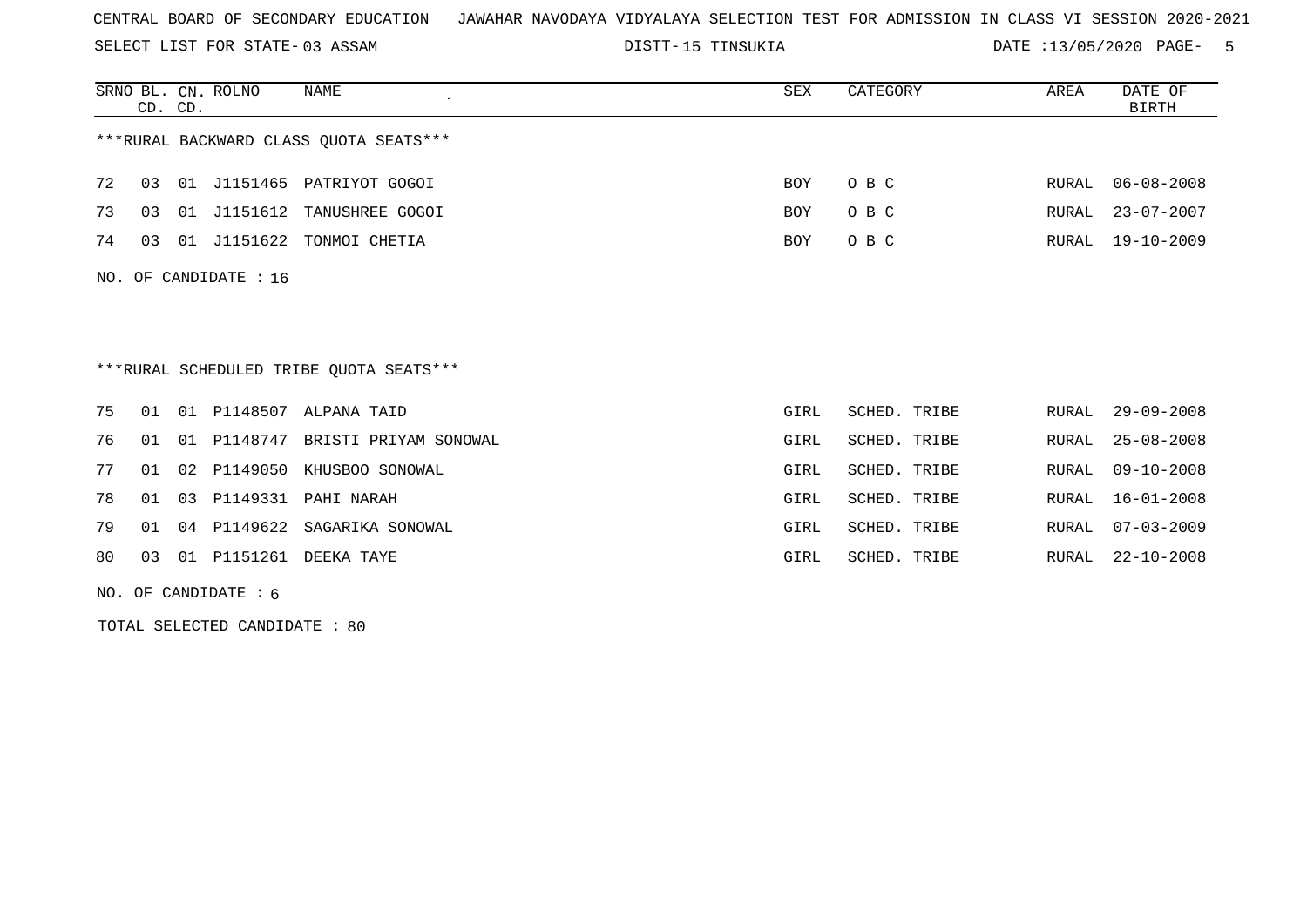SELECT LIST FOR STATE- DISTT- 03 ASSAM

15 TINSUKIA DATE :13/05/2020 PAGE- 5

|    |    | CD. CD. | SRNO BL. CN. ROLNO    | NAME<br>$\cdot$                         | SEX        | CATEGORY     | AREA  | DATE OF<br><b>BIRTH</b> |
|----|----|---------|-----------------------|-----------------------------------------|------------|--------------|-------|-------------------------|
|    |    |         |                       | *** RURAL BACKWARD CLASS QUOTA SEATS*** |            |              |       |                         |
| 72 | 03 |         |                       | 01 J1151465 PATRIYOT GOGOI              | <b>BOY</b> | O B C        | RURAL | $06 - 08 - 2008$        |
| 73 | 03 |         |                       | 01 J1151612 TANUSHREE GOGOI             | <b>BOY</b> | O B C        | RURAL | $23 - 07 - 2007$        |
| 74 | 03 | 01      | J1151622              | TONMOI CHETIA                           | <b>BOY</b> | O B C        | RURAL | $19 - 10 - 2009$        |
|    |    |         | NO. OF CANDIDATE : 16 |                                         |            |              |       |                         |
|    |    |         |                       |                                         |            |              |       |                         |
|    |    |         |                       |                                         |            |              |       |                         |
|    |    |         |                       | ***RURAL SCHEDULED TRIBE OUOTA SEATS*** |            |              |       |                         |
| 75 | 01 |         |                       | 01 P1148507 ALPANA TAID                 | GIRL       | SCHED. TRIBE | RURAL | $29 - 09 - 2008$        |
| 76 | 01 |         |                       | 01 P1148747 BRISTI PRIYAM SONOWAL       | GIRL       | SCHED. TRIBE | RURAL | $25 - 08 - 2008$        |
| 77 | 01 | 02      | P1149050              | KHUSBOO SONOWAL                         | GIRL       | SCHED. TRIBE | RURAL | $09 - 10 - 2008$        |
| 78 | 01 | 03      | P1149331              | PAHI NARAH                              | GIRL       | SCHED. TRIBE | RURAL | $16 - 01 - 2008$        |
| 79 | 01 | 04      | P1149622              | SAGARIKA SONOWAL                        | GIRL       | SCHED. TRIBE | RURAL | $07 - 03 - 2009$        |
| 80 | 03 | 01      | P1151261              | DEEKA TAYE                              | GIRL       | SCHED. TRIBE | RURAL | $22 - 10 - 2008$        |
|    |    |         |                       |                                         |            |              |       |                         |

NO. OF CANDIDATE : 6

TOTAL SELECTED CANDIDATE : 80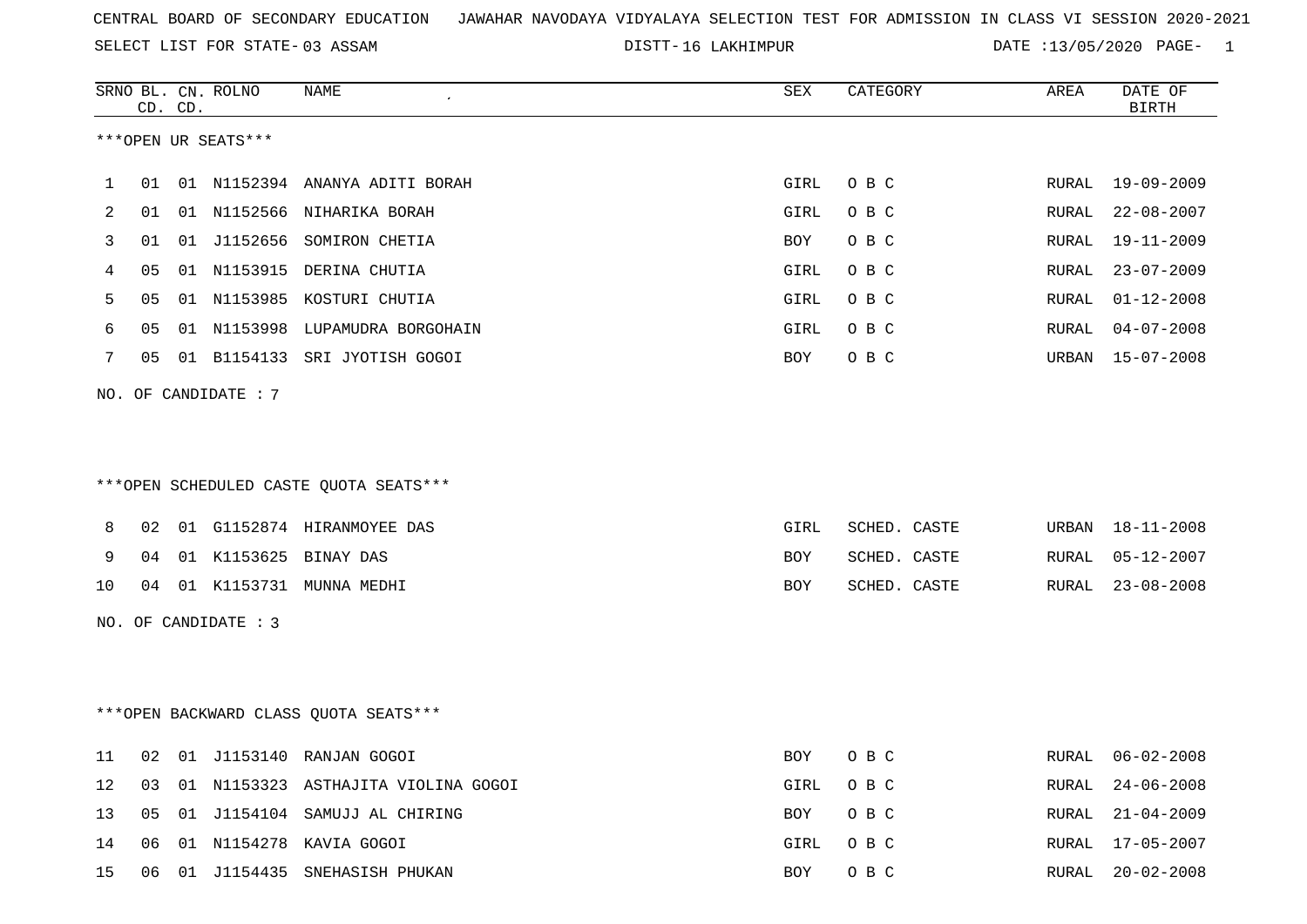SELECT LIST FOR STATE- DISTT- 03 ASSAM

DISTT-16 LAKHIMPUR **DATE** :13/05/2020 PAGE- 1

| ***OPEN UR SEATS***                                                       | 19-09-2009       |
|---------------------------------------------------------------------------|------------------|
|                                                                           |                  |
|                                                                           |                  |
| 01 N1152394 ANANYA ADITI BORAH<br>O B C<br>GIRL<br>RURAL<br>1<br>01       |                  |
| 2<br>01<br>01 N1152566 NIHARIKA BORAH<br>O B C<br>GIRL<br>RURAL           | $22 - 08 - 2007$ |
| 01<br>01 J1152656 SOMIRON CHETIA<br>O B C<br>3<br>BOY<br>RURAL            | $19 - 11 - 2009$ |
| 01 N1153915 DERINA CHUTIA<br>O B C<br>05<br>GIRL<br>RURAL<br>4            | $23 - 07 - 2009$ |
| 05<br>01 N1153985 KOSTURI CHUTIA<br>GIRL<br>O B C<br>5<br>RURAL           | $01 - 12 - 2008$ |
| 01 N1153998 LUPAMUDRA BORGOHAIN<br>O B C<br>6<br>05<br>GIRL<br>RURAL      | $04 - 07 - 2008$ |
| 7<br>05<br>01 B1154133 SRI JYOTISH GOGOI<br>BOY<br>O B C<br>URBAN         | $15 - 07 - 2008$ |
| OF CANDIDATE : 7<br>NO.                                                   |                  |
|                                                                           |                  |
|                                                                           |                  |
| ***OPEN SCHEDULED CASTE QUOTA SEATS***                                    |                  |
|                                                                           |                  |
| 01 G1152874 HIRANMOYEE DAS<br>GIRL<br>SCHED. CASTE<br>URBAN<br>8<br>02    | $18 - 11 - 2008$ |
| 01 K1153625<br>9<br>BINAY DAS<br>SCHED. CASTE<br>04<br>BOY<br>RURAL       | $05 - 12 - 2007$ |
| 01 K1153731 MUNNA MEDHI<br>SCHED. CASTE<br>10<br>BOY<br>RURAL<br>04       | $23 - 08 - 2008$ |
| NO. OF CANDIDATE : 3                                                      |                  |
|                                                                           |                  |
|                                                                           |                  |
| *** OPEN BACKWARD CLASS QUOTA SEATS***                                    |                  |
|                                                                           |                  |
| 01 J1153140 RANJAN GOGOI<br>O B C<br>RURAL<br>02<br>BOY<br>11             | $06 - 02 - 2008$ |
| 01 N1153323 ASTHAJITA VIOLINA GOGOI<br>O B C<br>12<br>03<br>GIRL<br>RURAL | $24 - 06 - 2008$ |
| 13<br>01 J1154104 SAMUJJ AL CHIRING<br>BOY<br>O B C<br>05<br>RURAL        | $21 - 04 - 2009$ |
| 01 N1154278 KAVIA GOGOI<br>O B C<br>14<br>06<br>GIRL<br>RURAL             | $17 - 05 - 2007$ |
| O B C<br>15<br>01 J1154435 SNEHASISH PHUKAN<br>BOY<br>06<br>RURAL         | $20 - 02 - 2008$ |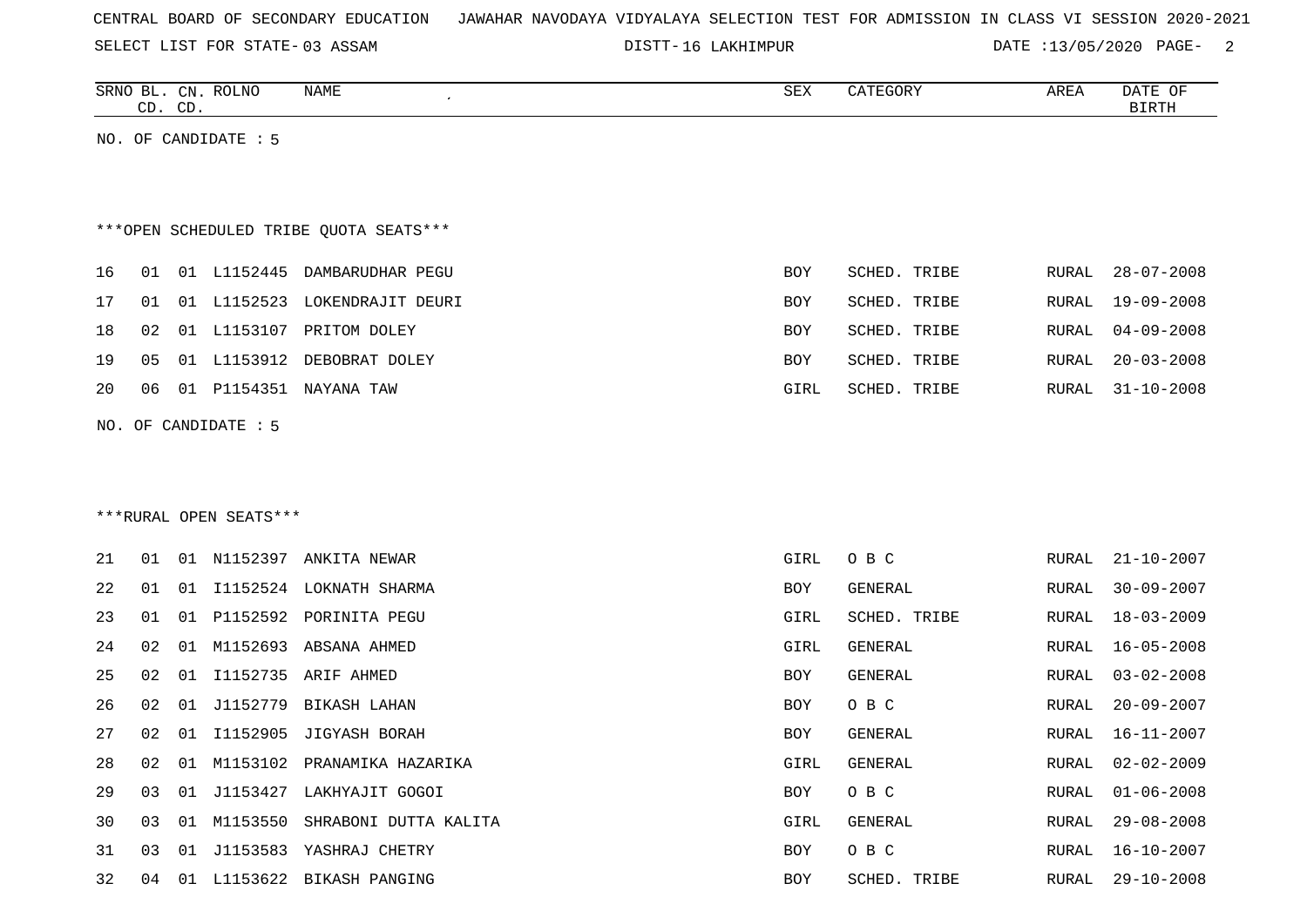SELECT LIST FOR STATE- DISTT- 03 ASSAM

DISTT-16 LAKHIMPUR DATE :13/05/2020 PAGE- 2

| <b>AREA</b><br>DATE |
|---------------------|
|                     |
| 3 I RTH             |
|                     |
|                     |

NO. OF CANDIDATE : 5

# \*\*\*OPEN SCHEDULED TRIBE QUOTA SEATS\*\*\*

|  |  | 16 01 01 L1152445 DAMBARUDHAR PEGU  | BOY        | SCHED. TRIBE | RURAL 28-07-2008 |
|--|--|-------------------------------------|------------|--------------|------------------|
|  |  | 17 01 01 L1152523 LOKENDRAJIT DEURI | <b>BOY</b> | SCHED. TRIBE | RURAL 19-09-2008 |
|  |  | 18 02 01 L1153107 PRITOM DOLEY      | <b>BOY</b> | SCHED. TRIBE | RURAL 04-09-2008 |
|  |  | 19 05 01 L1153912 DEBOBRAT DOLEY    | <b>BOY</b> | SCHED. TRIBE | RURAL 20-03-2008 |
|  |  | 20  06  01  P1154351  NAYANA  TAW   | GIRL       | SCHED. TRIBE | RURAL 31-10-2008 |

NO. OF CANDIDATE : 5

## \*\*\*RURAL OPEN SEATS\*\*\*

| 21 | 01             | 01  | N1152397 | ANKITA NEWAR            | GIRL | O B C        | RURAL | $21 - 10 - 2007$ |
|----|----------------|-----|----------|-------------------------|------|--------------|-------|------------------|
| 22 | 01             | 01  | I1152524 | LOKNATH SHARMA          | BOY  | GENERAL      | RURAL | $30 - 09 - 2007$ |
| 23 | 01             | 01  | P1152592 | PORINITA PEGU           | GIRL | SCHED. TRIBE | RURAL | 18-03-2009       |
| 24 | 02             | 01  | M1152693 | ABSANA AHMED            | GIRL | GENERAL      | RURAL | $16 - 05 - 2008$ |
| 25 | 02             | 01  | I1152735 | ARIF AHMED              | BOY  | GENERAL      | RURAL | $03 - 02 - 2008$ |
| 26 | 02             | 01  | J1152779 | BIKASH LAHAN            | BOY  | O B C        | RURAL | $20 - 09 - 2007$ |
| 27 | 02             | 01  | I1152905 | JIGYASH BORAH           | BOY  | GENERAL      | RURAL | 16-11-2007       |
| 28 | 02             | 01  | M1153102 | PRANAMIKA HAZARIKA      | GIRL | GENERAL      | RURAL | $02 - 02 - 2009$ |
| 29 | 03             | 01  | J1153427 | LAKHYAJIT GOGOI         | BOY  | O B C        | RURAL | $01 - 06 - 2008$ |
| 30 | 03             | 01  | M1153550 | SHRABONI DUTTA KALITA   | GIRL | GENERAL      | RURAL | $29 - 08 - 2008$ |
| 31 | 0 <sub>3</sub> | O 1 | J1153583 | YASHRAJ CHETRY          | BOY  | O B C        | RURAL | $16 - 10 - 2007$ |
| 32 | 04             | 01  |          | L1153622 BIKASH PANGING | BOY  | SCHED. TRIBE | RURAL | 29-10-2008       |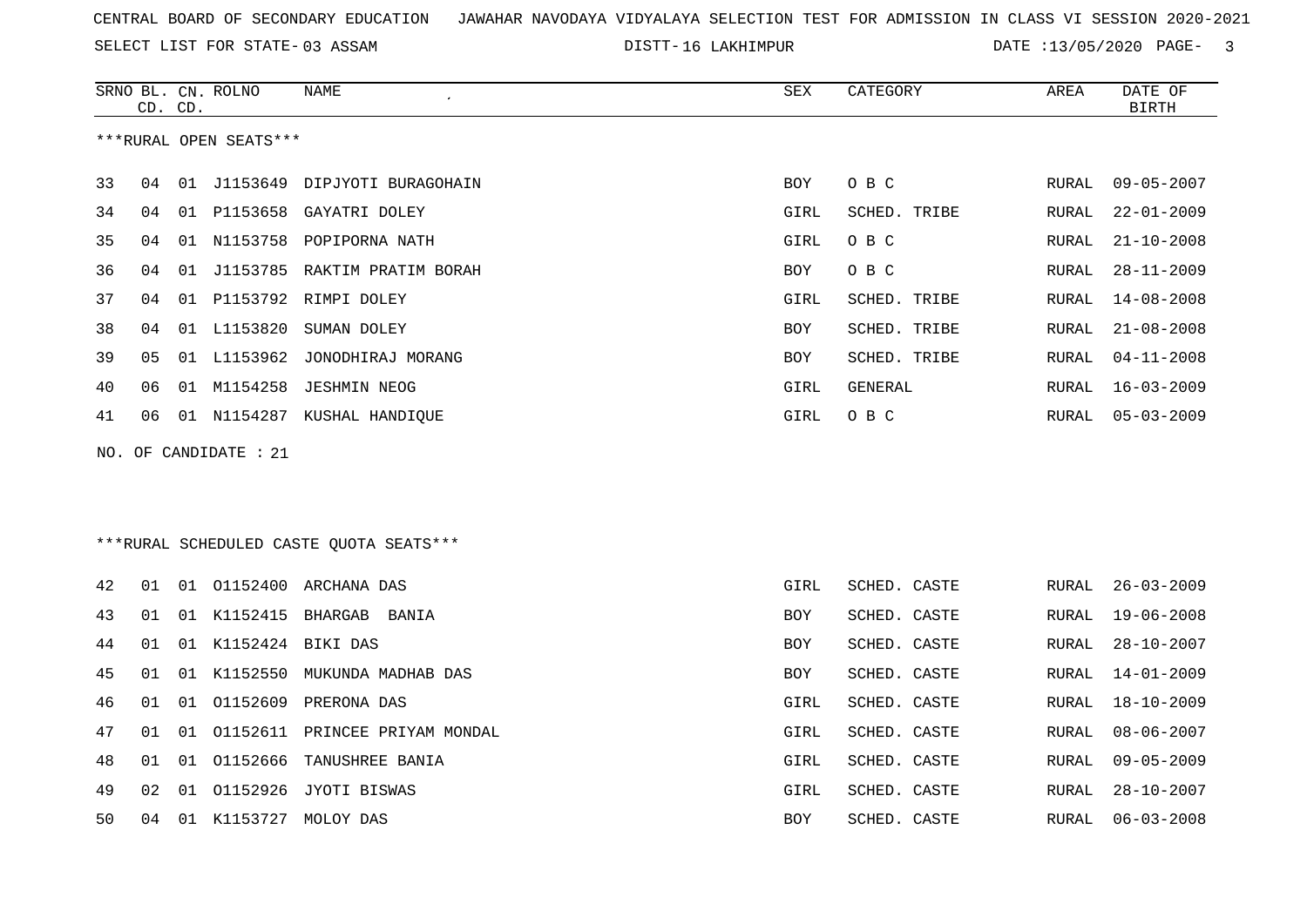SELECT LIST FOR STATE- DISTT- 03 ASSAM

DISTT-16 LAKHIMPUR **DATE** :13/05/2020 PAGE- 3

|    |    | CD. CD. | SRNO BL. CN. ROLNO      | NAME                                     | <b>SEX</b> | CATEGORY     | AREA  | DATE OF<br><b>BIRTH</b> |
|----|----|---------|-------------------------|------------------------------------------|------------|--------------|-------|-------------------------|
|    |    |         | ***RURAL OPEN SEATS***  |                                          |            |              |       |                         |
|    |    |         |                         |                                          |            |              |       |                         |
| 33 | 04 |         |                         | 01 J1153649 DIPJYOTI BURAGOHAIN          | BOY        | O B C        | RURAL | $09 - 05 - 2007$        |
| 34 | 04 |         |                         | 01 P1153658 GAYATRI DOLEY                | GIRL       | SCHED. TRIBE | RURAL | $22 - 01 - 2009$        |
| 35 | 04 |         |                         | 01 N1153758 POPIPORNA NATH               | GIRL       | O B C        | RURAL | $21 - 10 - 2008$        |
| 36 | 04 |         |                         | 01 J1153785 RAKTIM PRATIM BORAH          | <b>BOY</b> | O B C        | RURAL | $28 - 11 - 2009$        |
| 37 | 04 |         |                         | 01 P1153792 RIMPI DOLEY                  | GIRL       | SCHED. TRIBE | RURAL | $14 - 08 - 2008$        |
| 38 | 04 |         | 01 L1153820             | SUMAN DOLEY                              | BOY        | SCHED. TRIBE | RURAL | $21 - 08 - 2008$        |
| 39 | 05 |         |                         | 01 L1153962 JONODHIRAJ MORANG            | BOY        | SCHED. TRIBE | RURAL | $04 - 11 - 2008$        |
| 40 | 06 |         |                         | 01 M1154258 JESHMIN NEOG                 | GIRL       | GENERAL      | RURAL | $16 - 03 - 2009$        |
| 41 | 06 |         |                         | 01 N1154287 KUSHAL HANDIQUE              | GIRL       | O B C        | RURAL | $05 - 03 - 2009$        |
|    |    |         | NO. OF CANDIDATE : $21$ |                                          |            |              |       |                         |
|    |    |         |                         |                                          |            |              |       |                         |
|    |    |         |                         |                                          |            |              |       |                         |
|    |    |         |                         | *** RURAL SCHEDULED CASTE QUOTA SEATS*** |            |              |       |                         |
|    |    |         |                         |                                          |            |              |       |                         |
| 42 | 01 | 01      |                         | 01152400 ARCHANA DAS                     | GIRL       | SCHED. CASTE | RURAL | $26 - 03 - 2009$        |
| 43 | 01 |         |                         | 01 K1152415 BHARGAB BANIA                | <b>BOY</b> | SCHED. CASTE | RURAL | $19 - 06 - 2008$        |
| 44 | 01 |         | 01 K1152424 BIKI DAS    |                                          | BOY        | SCHED. CASTE | RURAL | $28 - 10 - 2007$        |
| 45 | 01 |         |                         | 01 K1152550 MUKUNDA MADHAB DAS           | BOY        | SCHED. CASTE | RURAL | $14 - 01 - 2009$        |
| 46 | 01 | 01      |                         | 01152609 PRERONA DAS                     | GIRL       | SCHED. CASTE | RURAL | $18 - 10 - 2009$        |
| 47 | 01 | 01      |                         | 01152611 PRINCEE PRIYAM MONDAL           | GIRL       | SCHED. CASTE | RURAL | $08 - 06 - 2007$        |
| 48 | 01 |         |                         | 01 01152666 TANUSHREE BANIA              | GIRL       | SCHED. CASTE | RURAL | $09 - 05 - 2009$        |
| 49 | 02 | 01      |                         | 01152926 JYOTI BISWAS                    | GIRL       | SCHED. CASTE | RURAL | $28 - 10 - 2007$        |
| 50 | 04 |         |                         | 01 K1153727 MOLOY DAS                    | BOY        | SCHED. CASTE | RURAL | $06 - 03 - 2008$        |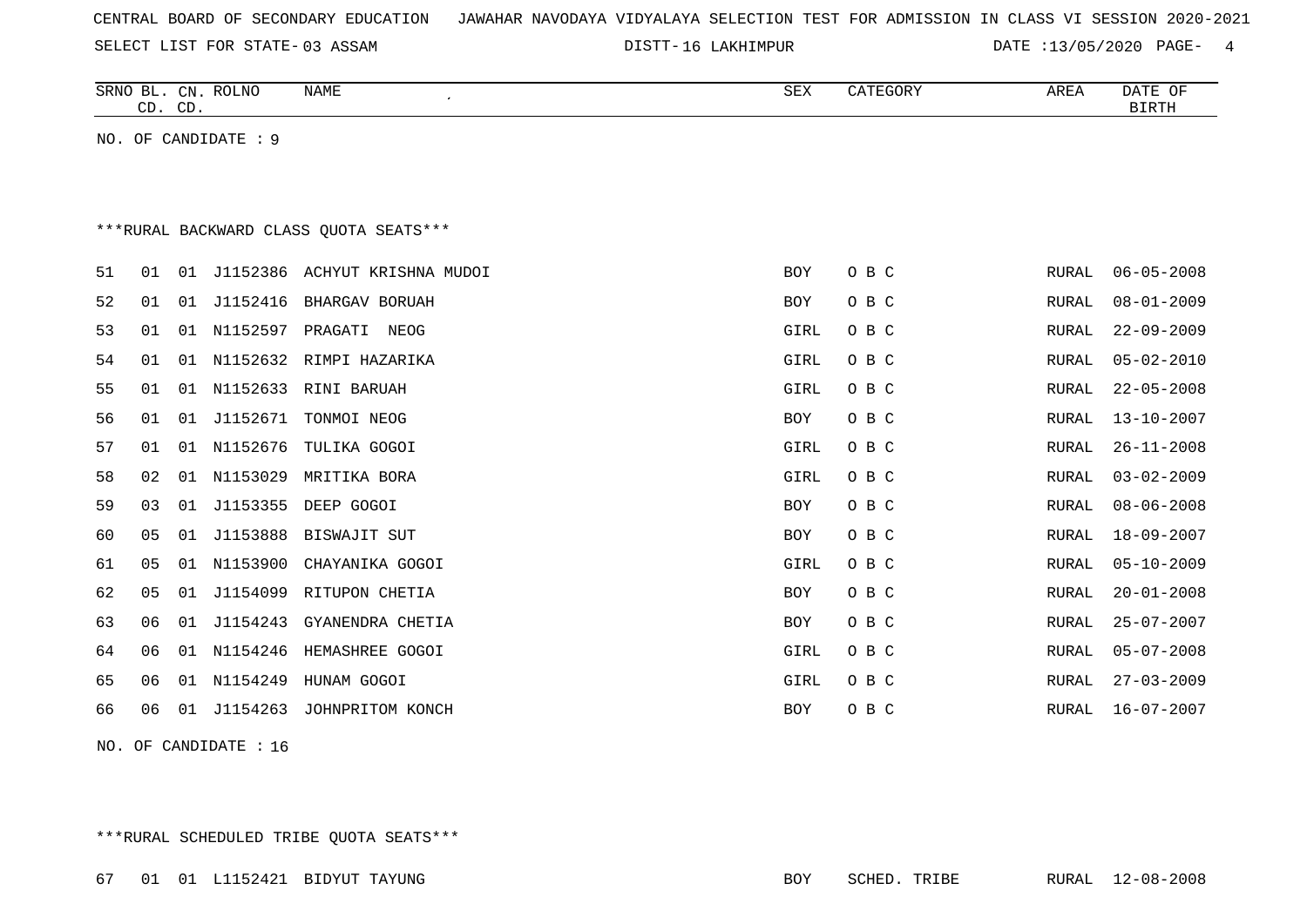SELECT LIST FOR STATE- DISTT- 03 ASSAM

DISTT-16 LAKHIMPUR DATE :13/05/2020 PAGE- 4

|                                         | CD. CD. |    | SRNO BL. CN. ROLNO   | NAME                          | <b>SEX</b> | CATEGORY | AREA  | DATE OF<br><b>BIRTH</b> |  |
|-----------------------------------------|---------|----|----------------------|-------------------------------|------------|----------|-------|-------------------------|--|
|                                         |         |    | NO. OF CANDIDATE : 9 |                               |            |          |       |                         |  |
|                                         |         |    |                      |                               |            |          |       |                         |  |
|                                         |         |    |                      |                               |            |          |       |                         |  |
| *** RURAL BACKWARD CLASS QUOTA SEATS*** |         |    |                      |                               |            |          |       |                         |  |
| 51                                      | 01      | 01 |                      | J1152386 ACHYUT KRISHNA MUDOI | BOY        | O B C    | RURAL | $06 - 05 - 2008$        |  |
| 52                                      | 01      | 01 | J1152416             | BHARGAV BORUAH                | BOY        | O B C    | RURAL | $08 - 01 - 2009$        |  |
| 53                                      | 01      | 01 | N1152597             | PRAGATI<br>NEOG               | GIRL       | O B C    | RURAL | $22 - 09 - 2009$        |  |
| 54                                      | 01      | 01 | N1152632             | RIMPI HAZARIKA                | GIRL       | O B C    | RURAL | $05 - 02 - 2010$        |  |
| 55                                      | 01      | 01 | N1152633             | RINI BARUAH                   | GIRL       | O B C    | RURAL | $22 - 05 - 2008$        |  |
| 56                                      | 01      | 01 | J1152671             | TONMOI NEOG                   | BOY        | O B C    | RURAL | $13 - 10 - 2007$        |  |
| 57                                      | 01      | 01 | N1152676             | TULIKA GOGOI                  | GIRL       | O B C    | RURAL | $26 - 11 - 2008$        |  |
| 58                                      | 02      | 01 | N1153029             | MRITIKA BORA                  | GIRL       | O B C    | RURAL | $03 - 02 - 2009$        |  |
| 59                                      | 03      | 01 | J1153355             | DEEP GOGOI                    | <b>BOY</b> | O B C    | RURAL | $08 - 06 - 2008$        |  |
| 60                                      | 05      | 01 | J1153888             | BISWAJIT SUT                  | BOY        | O B C    | RURAL | $18 - 09 - 2007$        |  |
| 61                                      | 05      | 01 | N1153900             | CHAYANIKA GOGOI               | GIRL       | O B C    | RURAL | $05 - 10 - 2009$        |  |
| 62                                      | 05      | 01 | J1154099             | RITUPON CHETIA                | BOY        | O B C    | RURAL | $20 - 01 - 2008$        |  |
| 63                                      | 06      | 01 | J1154243             | GYANENDRA CHETIA              | BOY        | O B C    | RURAL | $25 - 07 - 2007$        |  |
| 64                                      | 06      | 01 | N1154246             | HEMASHREE GOGOI               | GIRL       | O B C    | RURAL | $05 - 07 - 2008$        |  |
| 65                                      | 06      | 01 | N1154249             | HUNAM GOGOI                   | GIRL       | O B C    | RURAL | $27 - 03 - 2009$        |  |
| 66                                      | 06      | 01 | J1154263             | JOHNPRITOM KONCH              | BOY        | O B C    | RURAL | $16 - 07 - 2007$        |  |
|                                         |         |    |                      |                               |            |          |       |                         |  |

NO. OF CANDIDATE : 16

\*\*\*RURAL SCHEDULED TRIBE QUOTA SEATS\*\*\*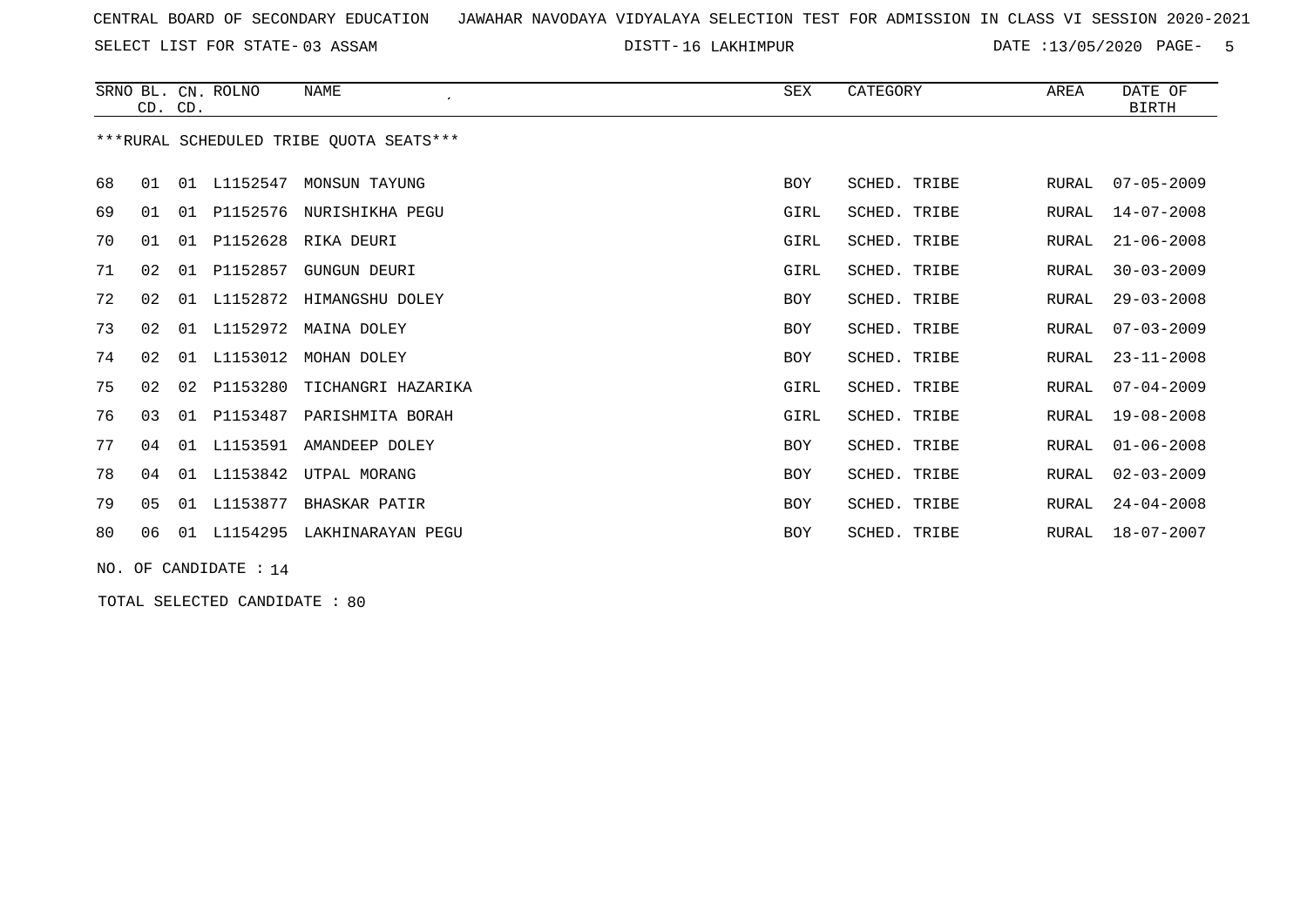SELECT LIST FOR STATE- DISTT- 03 ASSAM

16 LAKHIMPUR DATE :13/05/2020 PAGE- 5

|    | CD. CD. |    | SRNO BL. CN. ROLNO | <b>NAME</b>                             | SEX        | CATEGORY     | AREA         | DATE OF<br><b>BIRTH</b> |
|----|---------|----|--------------------|-----------------------------------------|------------|--------------|--------------|-------------------------|
|    |         |    |                    | ***RURAL SCHEDULED TRIBE OUOTA SEATS*** |            |              |              |                         |
| 68 | 01      |    | 01 L1152547        | MONSUN TAYUNG                           | <b>BOY</b> | SCHED. TRIBE | RURAL        | $07 - 05 - 2009$        |
| 69 | 01      | 01 | P1152576           | NURISHIKHA PEGU                         | GIRL       | SCHED. TRIBE | RURAL        | $14 - 07 - 2008$        |
| 70 | 01      | 01 | P1152628           | RIKA DEURI                              | GIRL       | SCHED. TRIBE | RURAL        | $21 - 06 - 2008$        |
| 71 | 02      | 01 | P1152857           | GUNGUN DEURI                            | GIRL       | SCHED. TRIBE | <b>RURAL</b> | $30 - 03 - 2009$        |
| 72 | 02      | 01 | L1152872           | HIMANGSHU DOLEY                         | <b>BOY</b> | SCHED. TRIBE | RURAL        | $29 - 03 - 2008$        |
| 73 | 02      | 01 | L1152972           | MAINA DOLEY                             | <b>BOY</b> | SCHED. TRIBE | <b>RURAL</b> | $07 - 03 - 2009$        |
| 74 | 02      | 01 |                    | L1153012 MOHAN DOLEY                    | <b>BOY</b> | SCHED. TRIBE | RURAL        | $23 - 11 - 2008$        |
| 75 | 02      | 02 | P1153280           | TICHANGRI HAZARIKA                      | GIRL       | SCHED. TRIBE | RURAL        | $07 - 04 - 2009$        |
| 76 | 03      | 01 | P1153487           | PARISHMITA BORAH                        | GIRL       | SCHED. TRIBE | <b>RURAL</b> | $19 - 08 - 2008$        |
| 77 | 04      | 01 | L1153591           | AMANDEEP DOLEY                          | <b>BOY</b> | SCHED. TRIBE | RURAL        | $01 - 06 - 2008$        |
| 78 | 04      | 01 | L1153842           | UTPAL MORANG                            | <b>BOY</b> | SCHED. TRIBE | RURAL        | $02 - 03 - 2009$        |
| 79 | 05      | 01 | L1153877           | BHASKAR PATIR                           | <b>BOY</b> | SCHED. TRIBE | RURAL        | $24 - 04 - 2008$        |
| 80 | 06      | 01 | L1154295           | LAKHINARAYAN PEGU                       | <b>BOY</b> | SCHED. TRIBE | RURAL        | $18 - 07 - 2007$        |

NO. OF CANDIDATE : 14

TOTAL SELECTED CANDIDATE : 80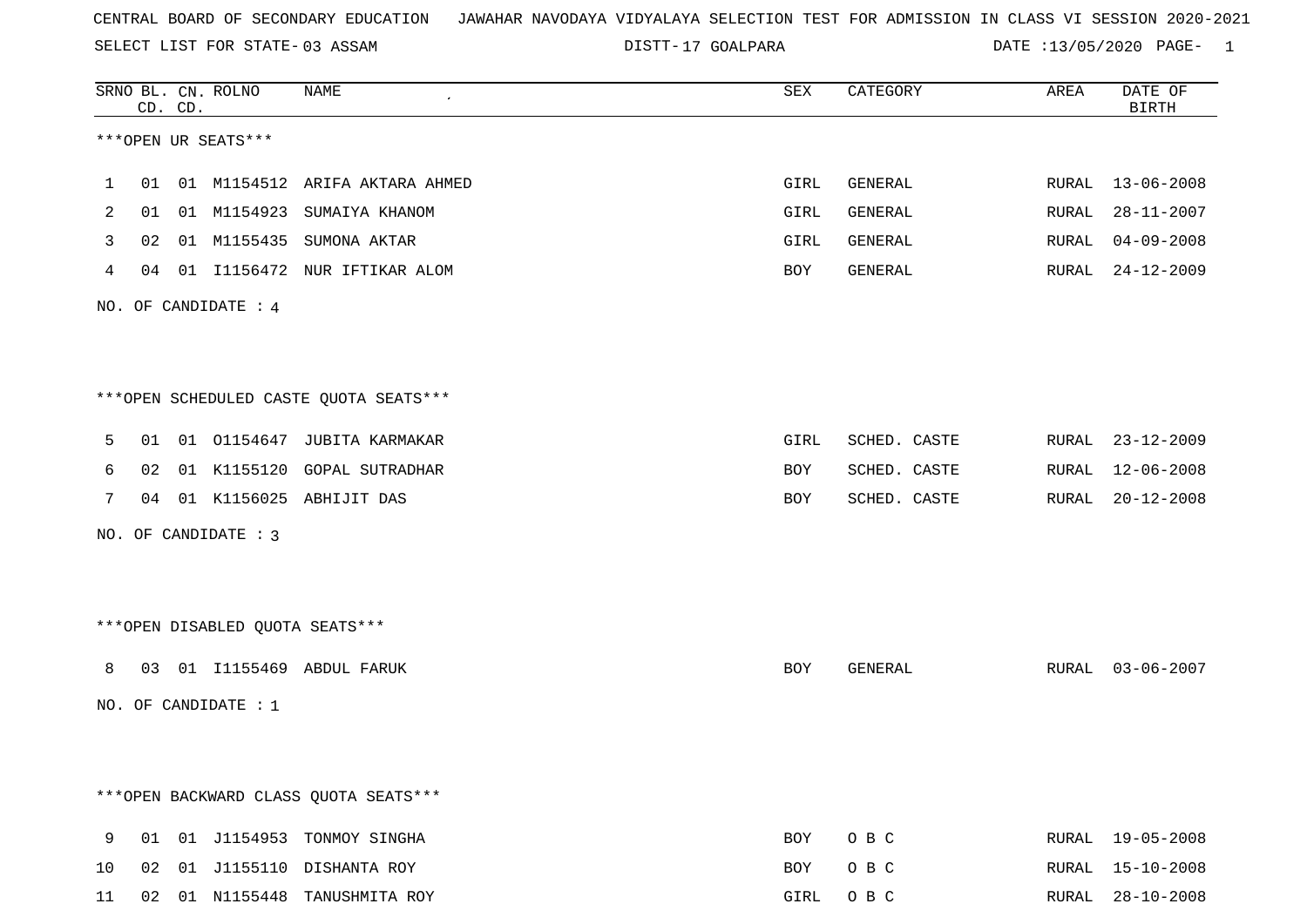SELECT LIST FOR STATE- DISTT- 03 ASSAM

17 GOALPARA DATE :13/05/2020 PAGE- 1

|    |    | CD. CD. | SRNO BL. CN. ROLNO     | NAME                                   | SEX  | CATEGORY     | AREA  | DATE OF<br><b>BIRTH</b> |
|----|----|---------|------------------------|----------------------------------------|------|--------------|-------|-------------------------|
|    |    |         | ***OPEN UR SEATS***    |                                        |      |              |       |                         |
| 1  |    |         |                        | 01 01 M1154512 ARIFA AKTARA AHMED      | GIRL | GENERAL      |       | RURAL 13-06-2008        |
| 2  |    |         |                        | 01 01 M1154923 SUMAIYA KHANOM          | GIRL | GENERAL      | RURAL | 28-11-2007              |
| 3  | 02 |         |                        | 01 M1155435 SUMONA AKTAR               | GIRL | GENERAL      | RURAL | $04 - 09 - 2008$        |
| 4  |    |         |                        | 04 01 I1156472 NUR IFTIKAR ALOM        | BOY  | GENERAL      |       | RURAL 24-12-2009        |
|    |    |         | NO. OF CANDIDATE : 4   |                                        |      |              |       |                         |
|    |    |         |                        |                                        |      |              |       |                         |
|    |    |         |                        | ***OPEN SCHEDULED CASTE QUOTA SEATS*** |      |              |       |                         |
| 5  |    |         |                        | 01 01 01154647 JUBITA KARMAKAR         | GIRL | SCHED. CASTE |       | RURAL 23-12-2009        |
| 6  |    |         |                        | 02 01 K1155120 GOPAL SUTRADHAR         | BOY  | SCHED. CASTE | RURAL | 12-06-2008              |
| 7  |    |         |                        | 04 01 K1156025 ABHIJIT DAS             | BOY  | SCHED. CASTE | RURAL | $20 - 12 - 2008$        |
|    |    |         | NO. OF CANDIDATE : 3   |                                        |      |              |       |                         |
|    |    |         |                        |                                        |      |              |       |                         |
|    |    |         |                        | ***OPEN DISABLED QUOTA SEATS***        |      |              |       |                         |
| 8  |    |         |                        | 03 01 I1155469 ABDUL FARUK             | BOY  | GENERAL      |       | RURAL 03-06-2007        |
|    |    |         | NO. OF CANDIDATE : $1$ |                                        |      |              |       |                         |
|    |    |         |                        |                                        |      |              |       |                         |
|    |    |         |                        | *** OPEN BACKWARD CLASS QUOTA SEATS*** |      |              |       |                         |
| 9  | 01 |         |                        | 01 J1154953 TONMOY SINGHA              | BOY  | O B C        | RURAL | 19-05-2008              |
| 10 |    |         |                        | 02 01 J1155110 DISHANTA ROY            | BOY  | O B C        | RURAL | $15 - 10 - 2008$        |
| 11 |    |         |                        | 02 01 N1155448 TANUSHMITA ROY          | GIRL | O B C        |       | RURAL 28-10-2008        |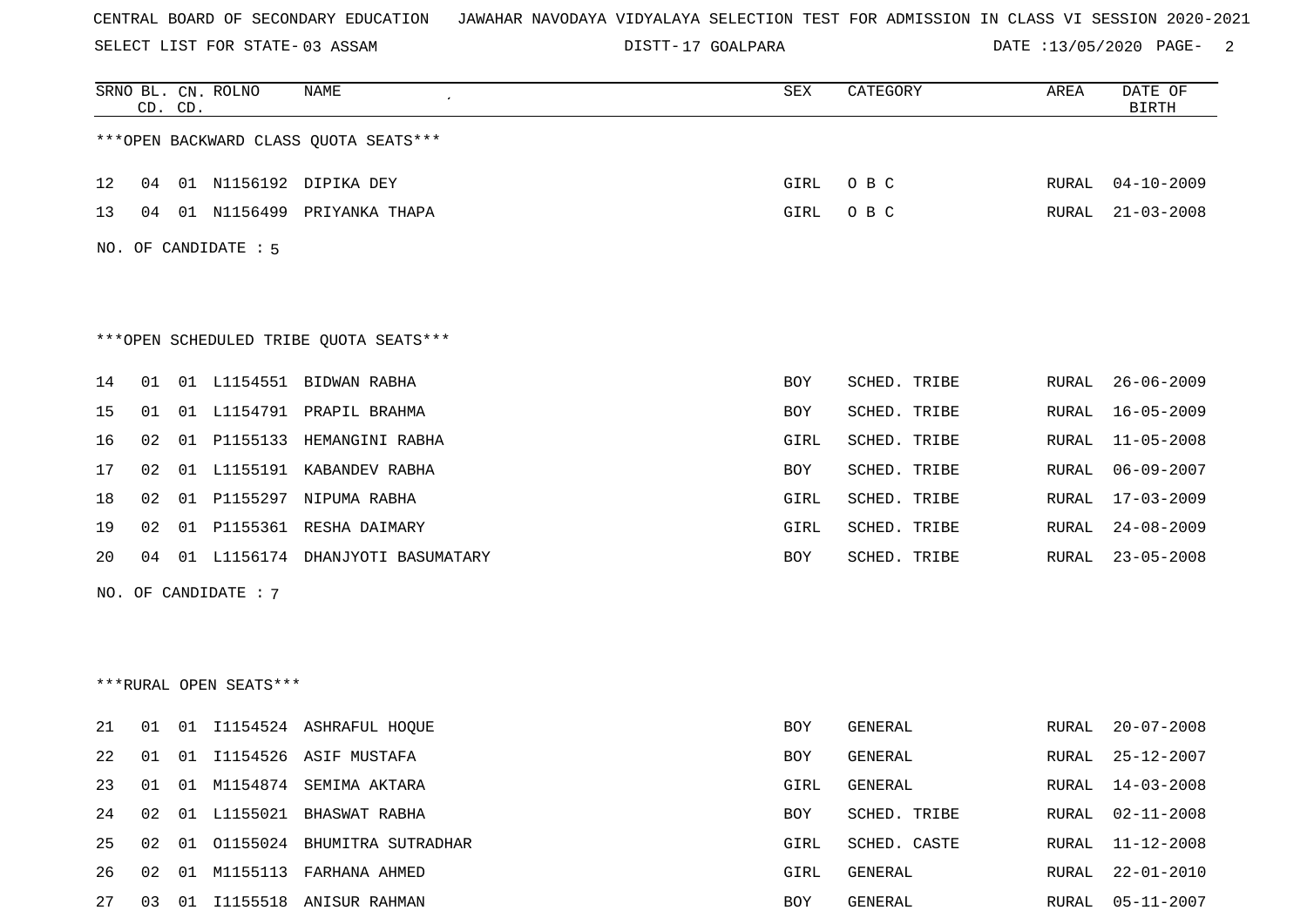SELECT LIST FOR STATE- DISTT- 03 ASSAM

17 GOALPARA DATE :13/05/2020 PAGE- 2

|    |    | CD. CD. | SRNO BL. CN. ROLNO     | <b>NAME</b>                            | ${\tt SEX}$ | CATEGORY     | AREA         | DATE OF<br><b>BIRTH</b> |
|----|----|---------|------------------------|----------------------------------------|-------------|--------------|--------------|-------------------------|
|    |    |         |                        | *** OPEN BACKWARD CLASS QUOTA SEATS*** |             |              |              |                         |
| 12 | 04 |         |                        | 01 N1156192 DIPIKA DEY                 | GIRL        | O B C        | RURAL        | $04 - 10 - 2009$        |
| 13 | 04 |         | 01 N1156499            | PRIYANKA THAPA                         | GIRL        | O B C        | <b>RURAL</b> | $21 - 03 - 2008$        |
|    |    |         | NO. OF CANDIDATE : 5   |                                        |             |              |              |                         |
|    |    |         |                        | ***OPEN SCHEDULED TRIBE QUOTA SEATS*** |             |              |              |                         |
| 14 | 01 |         |                        | 01 L1154551 BIDWAN RABHA               | <b>BOY</b>  | SCHED. TRIBE | <b>RURAL</b> | $26 - 06 - 2009$        |
| 15 | 01 |         |                        | 01 L1154791 PRAPIL BRAHMA              | BOY         | SCHED. TRIBE | <b>RURAL</b> | $16 - 05 - 2009$        |
| 16 | 02 |         |                        | 01 P1155133 HEMANGINI RABHA            | GIRL        | SCHED. TRIBE | RURAL        | $11 - 05 - 2008$        |
| 17 | 02 | 01      |                        | L1155191 KABANDEV RABHA                | BOY         | SCHED. TRIBE | <b>RURAL</b> | $06 - 09 - 2007$        |
| 18 | 02 |         |                        | 01 P1155297 NIPUMA RABHA               | GIRL        | SCHED. TRIBE | <b>RURAL</b> | $17 - 03 - 2009$        |
| 19 | 02 |         |                        | 01 P1155361 RESHA DAIMARY              | GIRL        | SCHED. TRIBE | RURAL        | $24 - 08 - 2009$        |
| 20 | 04 | 01      |                        | L1156174 DHANJYOTI BASUMATARY          | BOY         | SCHED. TRIBE | RURAL        | $23 - 05 - 2008$        |
|    |    |         | NO. OF CANDIDATE : 7   |                                        |             |              |              |                         |
|    |    |         |                        |                                        |             |              |              |                         |
|    |    |         |                        |                                        |             |              |              |                         |
|    |    |         | ***RURAL OPEN SEATS*** |                                        |             |              |              |                         |
| 21 | 01 |         |                        | 01 I1154524 ASHRAFUL HOQUE             | BOY         | GENERAL      | RURAL        | $20 - 07 - 2008$        |
| 22 | 01 |         |                        | 01 I1154526 ASIF MUSTAFA               | BOY         | GENERAL      | RURAL        | $25 - 12 - 2007$        |
| 23 | 01 | 01      |                        | M1154874 SEMIMA AKTARA                 | GIRL        | GENERAL      | <b>RURAL</b> | $14 - 03 - 2008$        |
| 24 | 02 |         |                        | 01 L1155021 BHASWAT RABHA              | BOY         | SCHED. TRIBE | <b>RURAL</b> | $02 - 11 - 2008$        |
| 25 | 02 | 01      |                        | 01155024 BHUMITRA SUTRADHAR            | GIRL        | SCHED. CASTE | <b>RURAL</b> | $11 - 12 - 2008$        |
| 26 | 02 | 01      |                        | M1155113 FARHANA AHMED                 | GIRL        | GENERAL      | <b>RURAL</b> | $22 - 01 - 2010$        |
| 27 | 03 | 01      |                        | I1155518 ANISUR RAHMAN                 | BOY         | GENERAL      | RURAL        | $05 - 11 - 2007$        |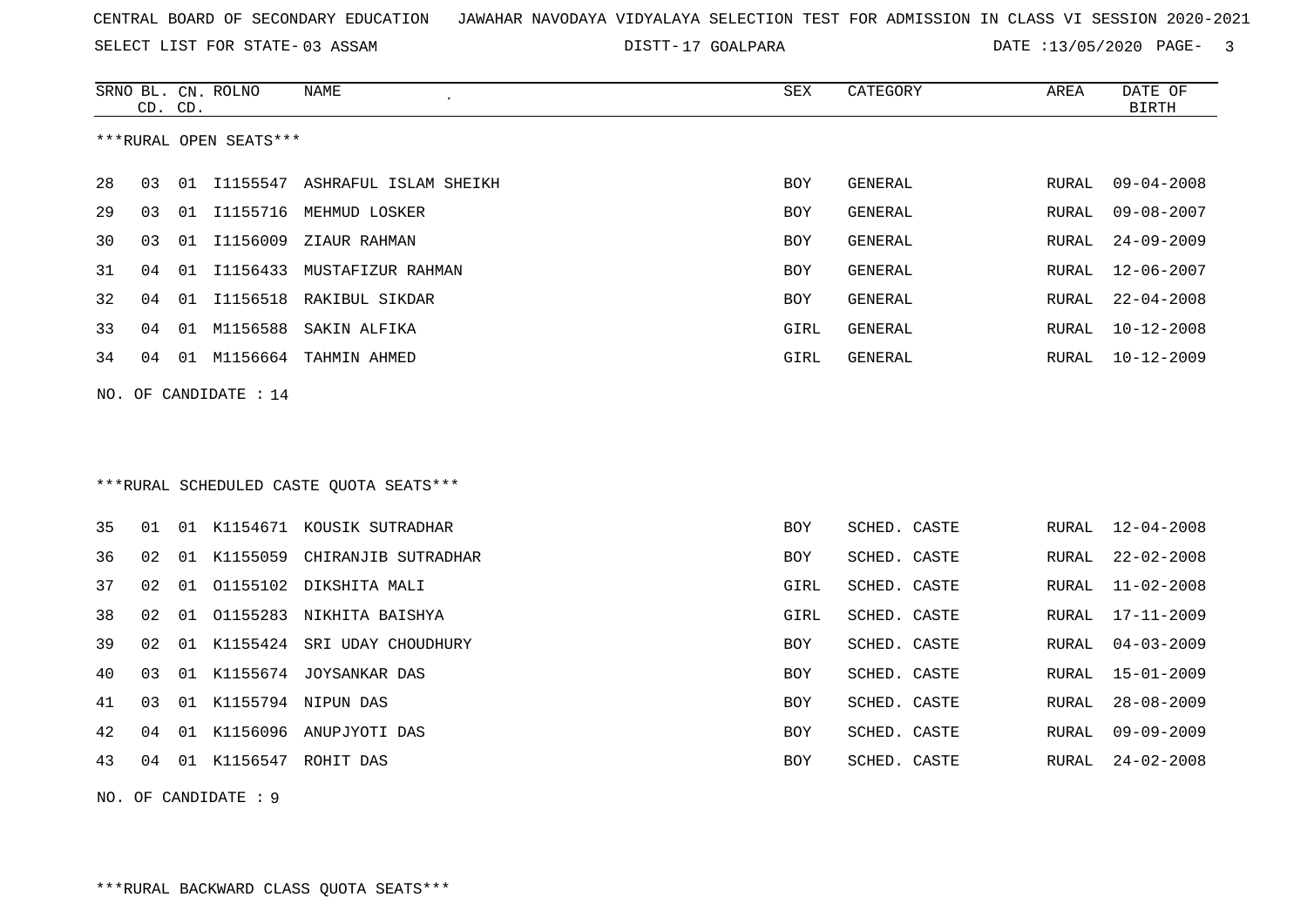SELECT LIST FOR STATE- DISTT- 03 ASSAM

17 GOALPARA DATE :13/05/2020 PAGE- 3

|    | CD. CD.              |    | SRNO BL. CN. ROLNO     | NAME                                    | SEX        | CATEGORY       | AREA         | DATE OF<br><b>BIRTH</b> |  |  |
|----|----------------------|----|------------------------|-----------------------------------------|------------|----------------|--------------|-------------------------|--|--|
|    |                      |    | ***RURAL OPEN SEATS*** |                                         |            |                |              |                         |  |  |
| 28 | 03                   |    |                        | 01 I1155547 ASHRAFUL ISLAM SHEIKH       | <b>BOY</b> | GENERAL        | RURAL        | $09 - 04 - 2008$        |  |  |
| 29 | 03                   |    |                        | 01 I1155716 MEHMUD LOSKER               | BOY        | <b>GENERAL</b> | RURAL        | $09 - 08 - 2007$        |  |  |
| 30 | 03                   |    | 01 I1156009            | ZIAUR RAHMAN                            | <b>BOY</b> | GENERAL        | RURAL        | $24 - 09 - 2009$        |  |  |
| 31 | 04                   |    |                        | 01 I1156433 MUSTAFIZUR RAHMAN           | <b>BOY</b> | GENERAL        | RURAL        | $12 - 06 - 2007$        |  |  |
| 32 | 04                   |    |                        | 01 I1156518 RAKIBUL SIKDAR              | BOY        | GENERAL        | RURAL        | $22 - 04 - 2008$        |  |  |
| 33 | 04                   |    |                        | 01 M1156588 SAKIN ALFIKA                | GIRL       | GENERAL        | RURAL        | $10 - 12 - 2008$        |  |  |
| 34 | 04                   |    |                        | 01 M1156664 TAHMIN AHMED                | GIRL       | <b>GENERAL</b> | RURAL        | $10 - 12 - 2009$        |  |  |
|    |                      |    |                        |                                         |            |                |              |                         |  |  |
|    |                      |    | NO. OF CANDIDATE : 14  |                                         |            |                |              |                         |  |  |
|    |                      |    |                        |                                         |            |                |              |                         |  |  |
|    |                      |    |                        |                                         |            |                |              |                         |  |  |
|    |                      |    |                        | ***RURAL SCHEDULED CASTE QUOTA SEATS*** |            |                |              |                         |  |  |
| 35 | 01                   |    |                        | 01 K1154671 KOUSIK SUTRADHAR            | BOY        | SCHED. CASTE   | RURAL        | $12 - 04 - 2008$        |  |  |
| 36 | 02                   |    |                        | 01 K1155059 CHIRANJIB SUTRADHAR         | BOY        | SCHED. CASTE   | RURAL        | $22 - 02 - 2008$        |  |  |
| 37 | 02                   | 01 |                        | 01155102 DIKSHITA MALI                  | GIRL       | SCHED. CASTE   | RURAL        | $11 - 02 - 2008$        |  |  |
| 38 | 02                   |    |                        | 01 01155283 NIKHITA BAISHYA             | GIRL       | SCHED. CASTE   | RURAL        | $17 - 11 - 2009$        |  |  |
| 39 | 02                   |    |                        | 01 K1155424 SRI UDAY CHOUDHURY          | <b>BOY</b> | SCHED. CASTE   | <b>RURAL</b> | $04 - 03 - 2009$        |  |  |
| 40 | 03                   |    |                        | 01 K1155674 JOYSANKAR DAS               | BOY        | SCHED. CASTE   | RURAL        | $15 - 01 - 2009$        |  |  |
| 41 | 03                   |    |                        | 01 K1155794 NIPUN DAS                   | <b>BOY</b> | SCHED. CASTE   | RURAL        | $28 - 08 - 2009$        |  |  |
| 42 | 04                   |    |                        | 01 K1156096 ANUPJYOTI DAS               | <b>BOY</b> | SCHED. CASTE   | RURAL        | $09 - 09 - 2009$        |  |  |
| 43 | 04                   |    |                        | 01 K1156547 ROHIT DAS                   | <b>BOY</b> | SCHED. CASTE   | <b>RURAL</b> | $24 - 02 - 2008$        |  |  |
|    | NO. OF CANDIDATE : 9 |    |                        |                                         |            |                |              |                         |  |  |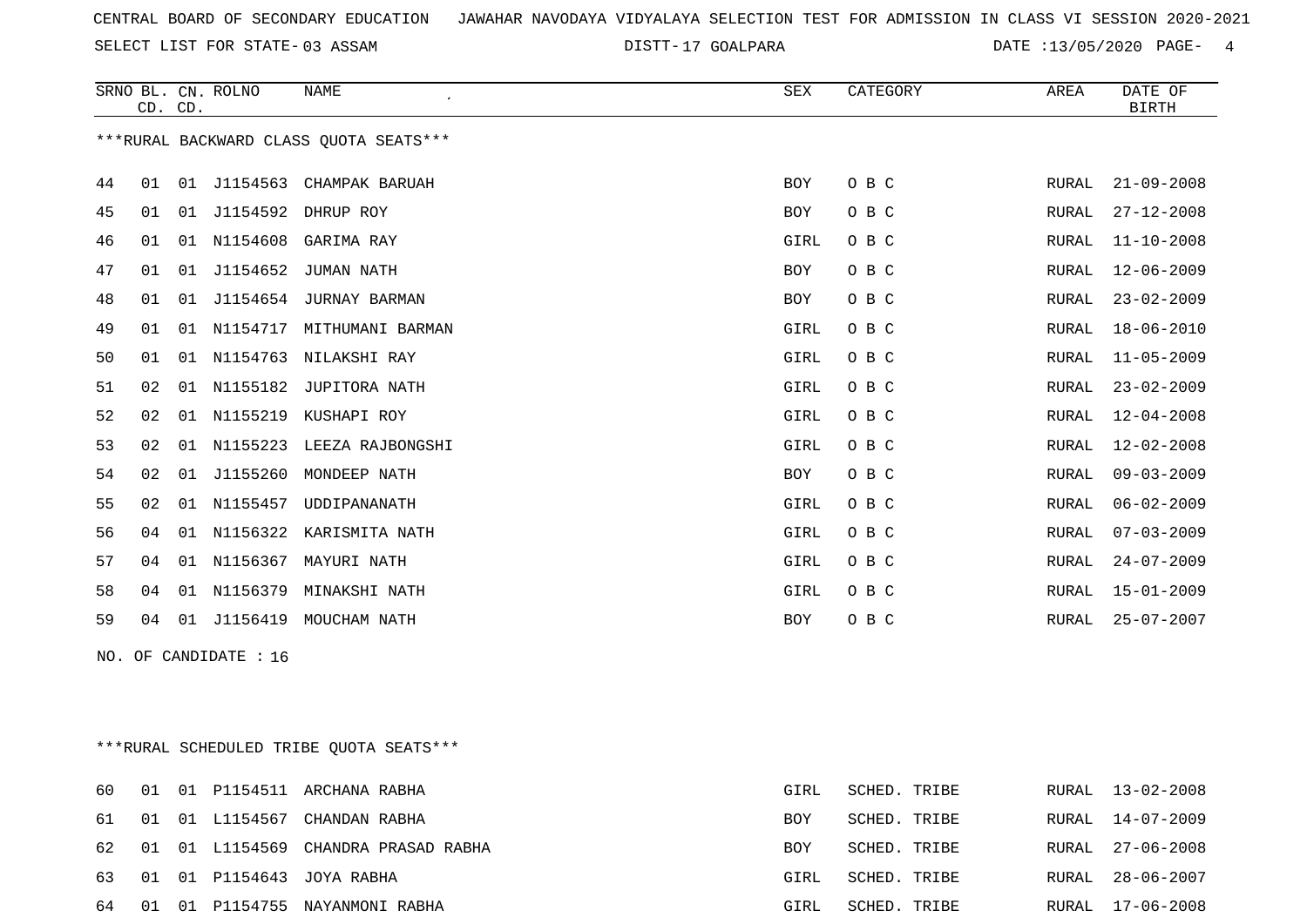SELECT LIST FOR STATE- DISTT- 03 ASSAM

DISTT-17 GOALPARA **DATE** :13/05/2020 PAGE- 4

|    | CD. CD.               |    | SRNO BL. CN. ROLNO | NAME                                   | <b>SEX</b> | CATEGORY | AREA  | DATE OF<br><b>BIRTH</b> |  |
|----|-----------------------|----|--------------------|----------------------------------------|------------|----------|-------|-------------------------|--|
|    |                       |    |                    | ***RURAL BACKWARD CLASS OUOTA SEATS*** |            |          |       |                         |  |
|    |                       |    |                    |                                        |            |          |       |                         |  |
| 44 | 01                    | 01 | J1154563           | CHAMPAK BARUAH                         | BOY        | O B C    | RURAL | $21 - 09 - 2008$        |  |
| 45 | 01                    | 01 | J1154592           | DHRUP ROY                              | <b>BOY</b> | O B C    | RURAL | $27 - 12 - 2008$        |  |
| 46 | 01                    |    | 01 N1154608        | GARIMA RAY                             | GIRL       | O B C    | RURAL | $11 - 10 - 2008$        |  |
| 47 | 01                    | 01 | J1154652           | JUMAN NATH                             | BOY        | O B C    | RURAL | $12 - 06 - 2009$        |  |
| 48 | 01                    | 01 | J1154654           | JURNAY BARMAN                          | BOY        | O B C    | RURAL | $23 - 02 - 2009$        |  |
| 49 | 01                    |    | 01 N1154717        | MITHUMANI BARMAN                       | GIRL       | O B C    | RURAL | $18 - 06 - 2010$        |  |
| 50 | 01                    |    |                    | 01 N1154763 NILAKSHI RAY               | GIRL       | O B C    | RURAL | $11 - 05 - 2009$        |  |
| 51 | 02                    |    |                    | 01 N1155182 JUPITORA NATH              | GIRL       | O B C    | RURAL | $23 - 02 - 2009$        |  |
| 52 | 02                    |    |                    | 01 N1155219 KUSHAPI ROY                | GIRL       | O B C    | RURAL | $12 - 04 - 2008$        |  |
| 53 | 02                    | 01 |                    | N1155223 LEEZA RAJBONGSHI              | GIRL       | O B C    | RURAL | $12 - 02 - 2008$        |  |
| 54 | 02                    | 01 | J1155260           | MONDEEP NATH                           | BOY        | O B C    | RURAL | $09 - 03 - 2009$        |  |
| 55 | 02                    | 01 | N1155457           | UDDIPANANATH                           | GIRL       | O B C    | RURAL | $06 - 02 - 2009$        |  |
| 56 | 04                    | 01 | N1156322           | KARISMITA NATH                         | GIRL       | O B C    | RURAL | $07 - 03 - 2009$        |  |
| 57 | 04                    |    | 01 N1156367        | MAYURI NATH                            | GIRL       | O B C    | RURAL | $24 - 07 - 2009$        |  |
| 58 | 04                    |    | 01 N1156379        | MINAKSHI NATH                          | GIRL       | O B C    | RURAL | $15 - 01 - 2009$        |  |
| 59 | 04                    |    |                    | 01 J1156419 MOUCHAM NATH               | <b>BOY</b> | O B C    | RURAL | $25 - 07 - 2007$        |  |
|    | NO. OF CANDIDATE : 16 |    |                    |                                        |            |          |       |                         |  |

\*\*\*RURAL SCHEDULED TRIBE QUOTA SEATS\*\*\*

|  |  | 60 01 01 P1154511 ARCHANA RABHA        | GIRL | SCHED. TRIBE | RURAL 13-02-2008 |
|--|--|----------------------------------------|------|--------------|------------------|
|  |  | 61 01 01 L1154567 CHANDAN RABHA        | BOY  | SCHED. TRIBE | RURAL 14-07-2009 |
|  |  | 62 01 01 L1154569 CHANDRA PRASAD RABHA | BOY  | SCHED. TRIBE | RURAL 27-06-2008 |
|  |  | 63 01 01 P1154643 JOYA RABHA           | GIRL | SCHED. TRIBE | RURAL 28-06-2007 |
|  |  | 64 01 01 P1154755 NAYANMONI RABHA      | GIRL | SCHED. TRIBE | RURAL 17-06-2008 |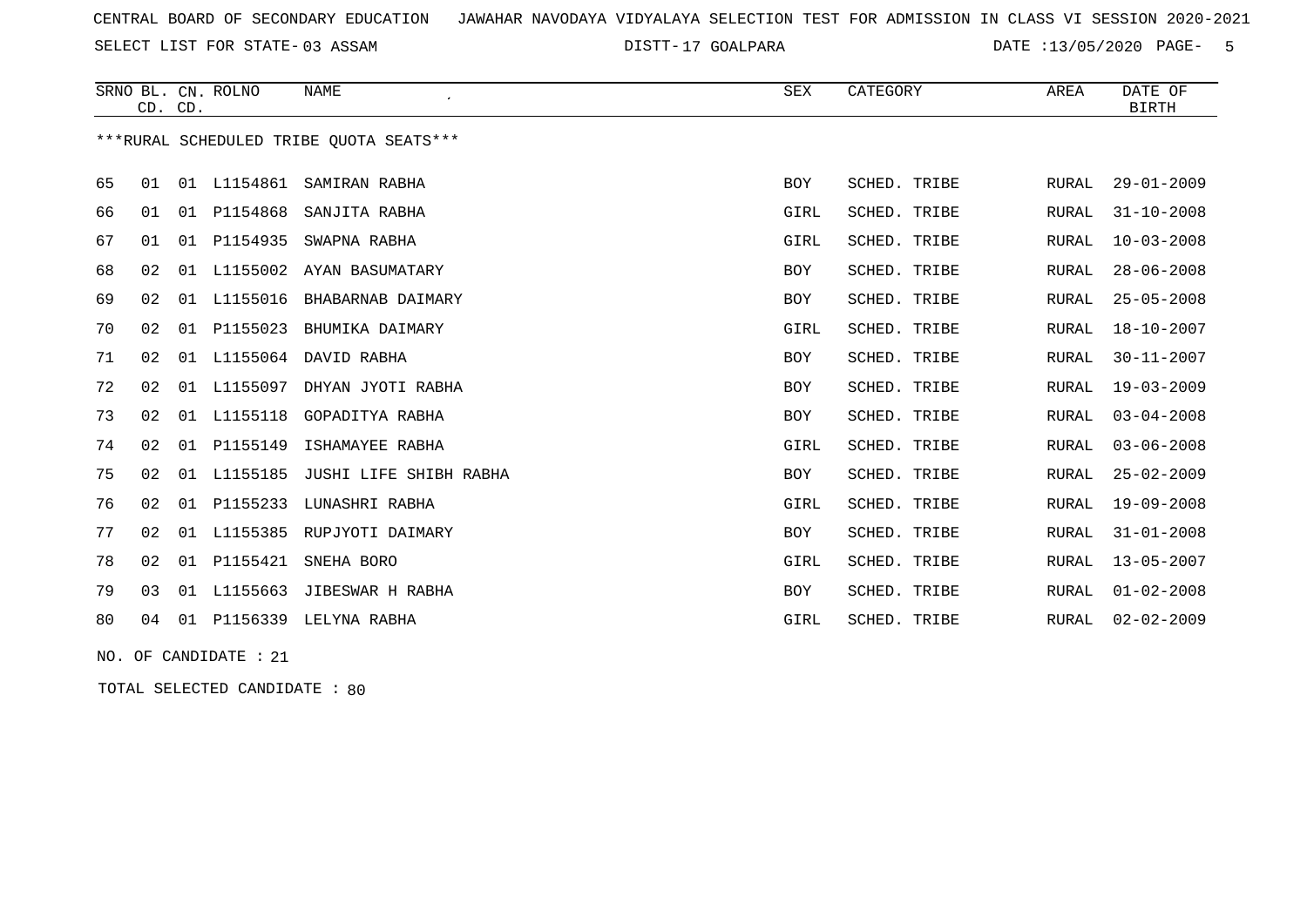SELECT LIST FOR STATE- DISTT- 03 ASSAM

17 GOALPARA DATE :13/05/2020 PAGE- 5

|    | CD. CD.               |    | SRNO BL. CN. ROLNO | <b>NAME</b><br>$\epsilon$               | <b>SEX</b> | CATEGORY     | AREA         | DATE OF<br><b>BIRTH</b> |  |
|----|-----------------------|----|--------------------|-----------------------------------------|------------|--------------|--------------|-------------------------|--|
|    |                       |    |                    | ***RURAL SCHEDULED TRIBE QUOTA SEATS*** |            |              |              |                         |  |
| 65 | 01                    |    | 01 L1154861        | SAMIRAN RABHA                           | <b>BOY</b> | SCHED. TRIBE | RURAL        | $29 - 01 - 2009$        |  |
| 66 | 01                    |    | 01 P1154868        | SANJITA RABHA                           | GIRL       | SCHED. TRIBE | RURAL        | $31 - 10 - 2008$        |  |
| 67 | 01                    |    | 01 P1154935        | SWAPNA RABHA                            | GIRL       | SCHED. TRIBE | RURAL        | $10 - 03 - 2008$        |  |
| 68 | 02                    | 01 | L1155002           | AYAN BASUMATARY                         | BOY        | SCHED. TRIBE | <b>RURAL</b> | $28 - 06 - 2008$        |  |
| 69 | 02                    | 01 | L1155016           | BHABARNAB DAIMARY                       | BOY        | SCHED. TRIBE | <b>RURAL</b> | $25 - 05 - 2008$        |  |
| 70 | 02                    | 01 | P1155023           | BHUMIKA DAIMARY                         | GIRL       | SCHED. TRIBE | <b>RURAL</b> | $18 - 10 - 2007$        |  |
| 71 | 02                    |    |                    | 01 L1155064 DAVID RABHA                 | BOY        | SCHED. TRIBE | <b>RURAL</b> | $30 - 11 - 2007$        |  |
| 72 | 02                    |    | 01 L1155097        | DHYAN JYOTI RABHA                       | <b>BOY</b> | SCHED. TRIBE | <b>RURAL</b> | $19 - 03 - 2009$        |  |
| 73 | 02                    |    |                    | 01 L1155118 GOPADITYA RABHA             | BOY        | SCHED. TRIBE | <b>RURAL</b> | $03 - 04 - 2008$        |  |
| 74 | 02                    | 01 | P1155149           | ISHAMAYEE RABHA                         | GIRL       | SCHED. TRIBE | <b>RURAL</b> | $03 - 06 - 2008$        |  |
| 75 | 02                    | 01 | L1155185           | JUSHI LIFE SHIBH RABHA                  | BOY        | SCHED. TRIBE | <b>RURAL</b> | $25 - 02 - 2009$        |  |
| 76 | 02                    | 01 | P1155233           | LUNASHRI RABHA                          | GIRL       | SCHED. TRIBE | <b>RURAL</b> | $19 - 09 - 2008$        |  |
| 77 | 02                    | 01 |                    | L1155385 RUPJYOTI DAIMARY               | BOY        | SCHED. TRIBE | <b>RURAL</b> | $31 - 01 - 2008$        |  |
| 78 | 02                    | 01 | P1155421           | SNEHA BORO                              | GIRL       | SCHED. TRIBE | <b>RURAL</b> | $13 - 05 - 2007$        |  |
| 79 | 03                    | 01 | L1155663           | JIBESWAR H RABHA                        | <b>BOY</b> | SCHED. TRIBE | <b>RURAL</b> | $01 - 02 - 2008$        |  |
| 80 |                       |    |                    | 04 01 P1156339 LELYNA RABHA             | GIRL       | SCHED. TRIBE | RURAL        | $02 - 02 - 2009$        |  |
|    | NO. OF CANDIDATE : 21 |    |                    |                                         |            |              |              |                         |  |

TOTAL SELECTED CANDIDATE : 80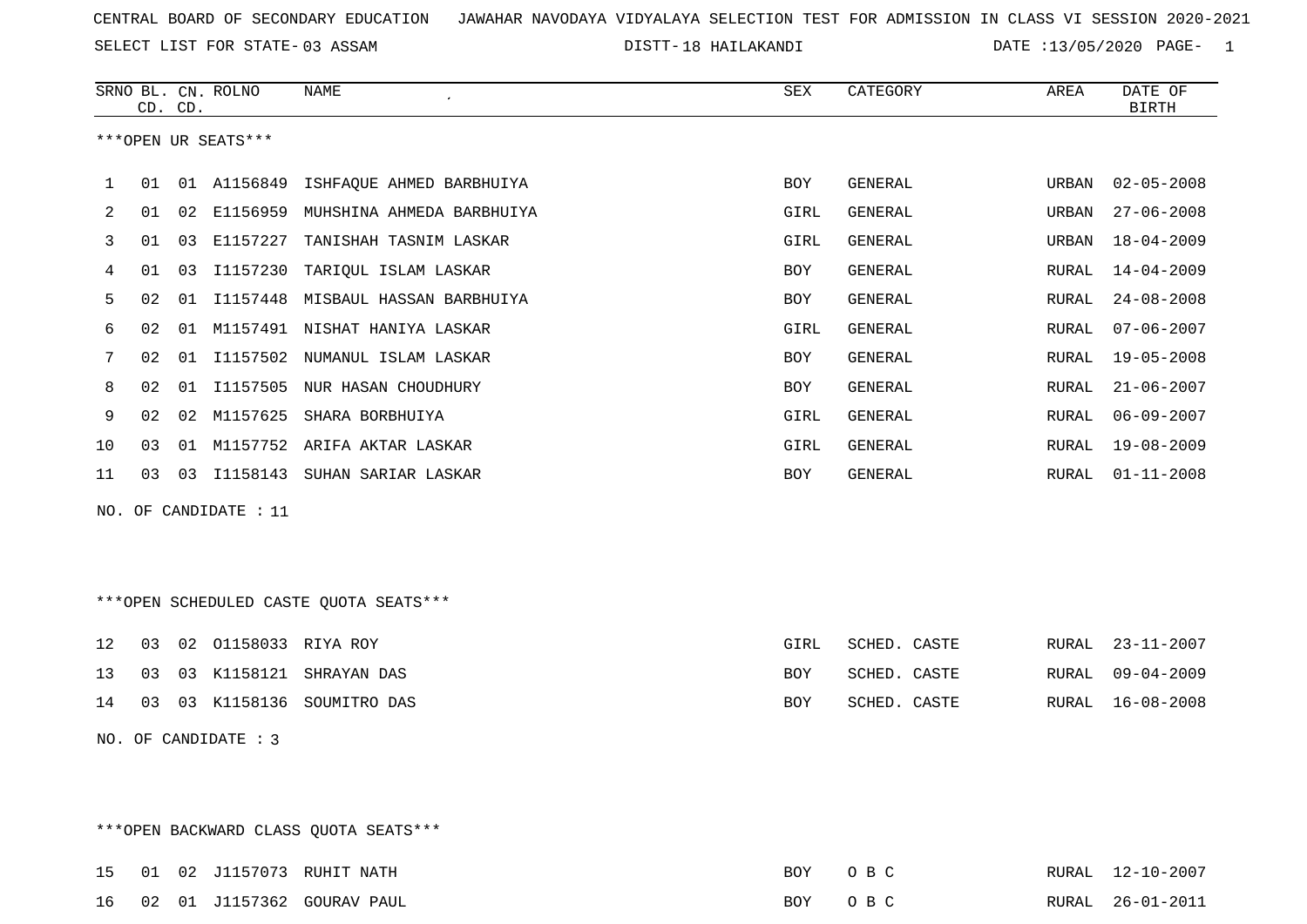SELECT LIST FOR STATE- DISTT- 03 ASSAM

18 HAILAKANDI DATE :13/05/2020 PAGE- 1

|    |    | CD. CD. | SRNO BL. CN. ROLNO      | NAME<br>$\epsilon$                     | ${\tt SEX}$ | CATEGORY     | AREA  | DATE OF<br>BIRTH |
|----|----|---------|-------------------------|----------------------------------------|-------------|--------------|-------|------------------|
|    |    |         | ***OPEN UR SEATS***     |                                        |             |              |       |                  |
| 1  | 01 |         |                         | 01 A1156849 ISHFAQUE AHMED BARBHUIYA   | BOY         | GENERAL      | URBAN | $02 - 05 - 2008$ |
| 2  | 01 |         | 02 E1156959             | MUHSHINA AHMEDA BARBHUIYA              | GIRL        | GENERAL      | URBAN | $27 - 06 - 2008$ |
| 3  | 01 | 03      | E1157227                | TANISHAH TASNIM LASKAR                 | GIRL        | GENERAL      | URBAN | $18 - 04 - 2009$ |
| 4  | 01 | 03      | I1157230                | TARIQUL ISLAM LASKAR                   | <b>BOY</b>  | GENERAL      | RURAL | $14 - 04 - 2009$ |
| 5  | 02 | 01      | I1157448                | MISBAUL HASSAN BARBHUIYA               | <b>BOY</b>  | GENERAL      | RURAL | $24 - 08 - 2008$ |
| 6  | 02 | 01      |                         | M1157491 NISHAT HANIYA LASKAR          | GIRL        | GENERAL      | RURAL | $07 - 06 - 2007$ |
| 7  | 02 | 01      |                         | I1157502 NUMANUL ISLAM LASKAR          | BOY         | GENERAL      | RURAL | $19 - 05 - 2008$ |
| 8  | 02 | 01      |                         | I1157505 NUR HASAN CHOUDHURY           | <b>BOY</b>  | GENERAL      | RURAL | $21 - 06 - 2007$ |
| 9  | 02 |         |                         | 02 M1157625 SHARA BORBHUIYA            | GIRL        | GENERAL      | RURAL | $06 - 09 - 2007$ |
| 10 | 03 |         |                         | 01 M1157752 ARIFA AKTAR LASKAR         | GIRL        | GENERAL      | RURAL | $19 - 08 - 2009$ |
| 11 | 03 |         |                         | 03 I1158143 SUHAN SARIAR LASKAR        | BOY         | GENERAL      | RURAL | $01 - 11 - 2008$ |
|    |    |         | NO. OF CANDIDATE : $11$ |                                        |             |              |       |                  |
|    |    |         |                         |                                        |             |              |       |                  |
|    |    |         |                         |                                        |             |              |       |                  |
|    |    |         |                         | ***OPEN SCHEDULED CASTE QUOTA SEATS*** |             |              |       |                  |
| 12 | 03 |         | 02 01158033 RIYA ROY    |                                        | GIRL        | SCHED. CASTE | RURAL | $23 - 11 - 2007$ |
| 13 | 03 |         |                         | 03 K1158121 SHRAYAN DAS                | BOY         | SCHED. CASTE | RURAL | $09 - 04 - 2009$ |
| 14 |    |         |                         | 03 03 K1158136 SOUMITRO DAS            | <b>BOY</b>  | SCHED. CASTE | RURAL | $16 - 08 - 2008$ |
|    |    |         | NO. OF CANDIDATE : 3    |                                        |             |              |       |                  |
|    |    |         |                         |                                        |             |              |       |                  |
|    |    |         |                         |                                        |             |              |       |                  |

\*\*\*OPEN BACKWARD CLASS QUOTA SEATS\*\*\*

|  |  | 15 01 02 J1157073 RUHIT NATH  | <b>BOY</b> | O R C | RURAL 12-10-2007 |
|--|--|-------------------------------|------------|-------|------------------|
|  |  | 16 02 01 J1157362 GOURAV PAUL | BOY        | O R C | RURAL 26-01-2011 |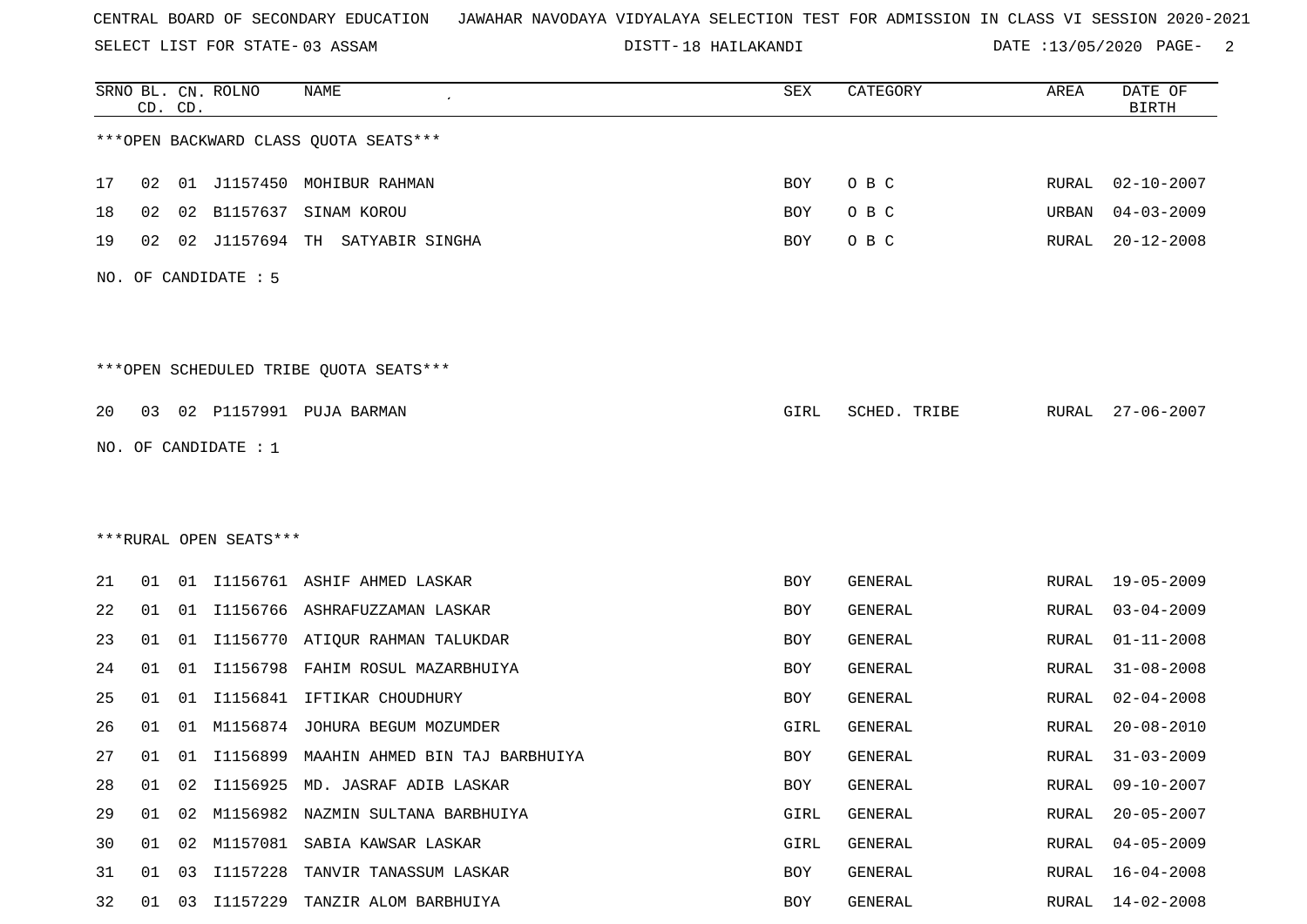SELECT LIST FOR STATE- DISTT- 03 ASSAM

18 HAILAKANDI DATE :13/05/2020 PAGE- 2

|    |    | CD. CD. | SRNO BL. CN. ROLNO     | NAME                                    | SEX        | CATEGORY       | AREA         | DATE OF<br><b>BIRTH</b> |
|----|----|---------|------------------------|-----------------------------------------|------------|----------------|--------------|-------------------------|
|    |    |         |                        | *** OPEN BACKWARD CLASS QUOTA SEATS***  |            |                |              |                         |
| 17 | 02 |         |                        | 01 J1157450 MOHIBUR RAHMAN              | <b>BOY</b> | O B C          | RURAL        | $02 - 10 - 2007$        |
| 18 | 02 | 02      | B1157637               | SINAM KOROU                             | BOY        | O B C          | URBAN        | $04 - 03 - 2009$        |
| 19 | 02 | 02      |                        | J1157694 TH SATYABIR SINGHA             | BOY        | O B C          | RURAL        | $20 - 12 - 2008$        |
|    |    |         | NO. OF CANDIDATE : 5   |                                         |            |                |              |                         |
|    |    |         |                        | *** OPEN SCHEDULED TRIBE QUOTA SEATS*** |            |                |              |                         |
| 20 | 03 |         |                        | 02 P1157991 PUJA BARMAN                 | GIRL       | SCHED. TRIBE   | RURAL        | $27 - 06 - 2007$        |
|    |    |         | NO. OF CANDIDATE : 1   |                                         |            |                |              |                         |
|    |    |         |                        |                                         |            |                |              |                         |
|    |    |         |                        |                                         |            |                |              |                         |
|    |    |         | ***RURAL OPEN SEATS*** |                                         |            |                |              |                         |
| 21 | 01 |         |                        | 01 I1156761 ASHIF AHMED LASKAR          | BOY        | <b>GENERAL</b> | RURAL        | $19 - 05 - 2009$        |
| 22 | 01 |         |                        | 01 I1156766 ASHRAFUZZAMAN LASKAR        | BOY        | GENERAL        | RURAL        | $03 - 04 - 2009$        |
| 23 | 01 | 01      |                        | I1156770 ATIQUR RAHMAN TALUKDAR         | BOY        | GENERAL        | RURAL        | $01 - 11 - 2008$        |
| 24 | 01 | 01      | I1156798               | FAHIM ROSUL MAZARBHUIYA                 | BOY        | GENERAL        | RURAL        | $31 - 08 - 2008$        |
| 25 | 01 | 01      |                        | I1156841 IFTIKAR CHOUDHURY              | BOY        | GENERAL        | RURAL        | $02 - 04 - 2008$        |
| 26 | 01 | 01      | M1156874               | JOHURA BEGUM MOZUMDER                   | GIRL       | GENERAL        | RURAL        | $20 - 08 - 2010$        |
| 27 | 01 | 01      |                        | I1156899 MAAHIN AHMED BIN TAJ BARBHUIYA | BOY        | GENERAL        | RURAL        | $31 - 03 - 2009$        |
| 28 | 01 | 02      |                        | I1156925 MD. JASRAF ADIB LASKAR         | BOY        | GENERAL        | <b>RURAL</b> | $09 - 10 - 2007$        |
| 29 | 01 | 02      |                        | M1156982 NAZMIN SULTANA BARBHUIYA       | GIRL       | GENERAL        | RURAL        | $20 - 05 - 2007$        |
| 30 | 01 | 02      |                        | M1157081 SABIA KAWSAR LASKAR            | GIRL       | GENERAL        | RURAL        | $04 - 05 - 2009$        |
| 31 | 01 | 03      | I1157228               | TANVIR TANASSUM LASKAR                  | BOY        | GENERAL        | RURAL        | $16 - 04 - 2008$        |
| 32 | 01 | 03      |                        | I1157229 TANZIR ALOM BARBHUIYA          | BOY        | GENERAL        | <b>RURAL</b> | $14 - 02 - 2008$        |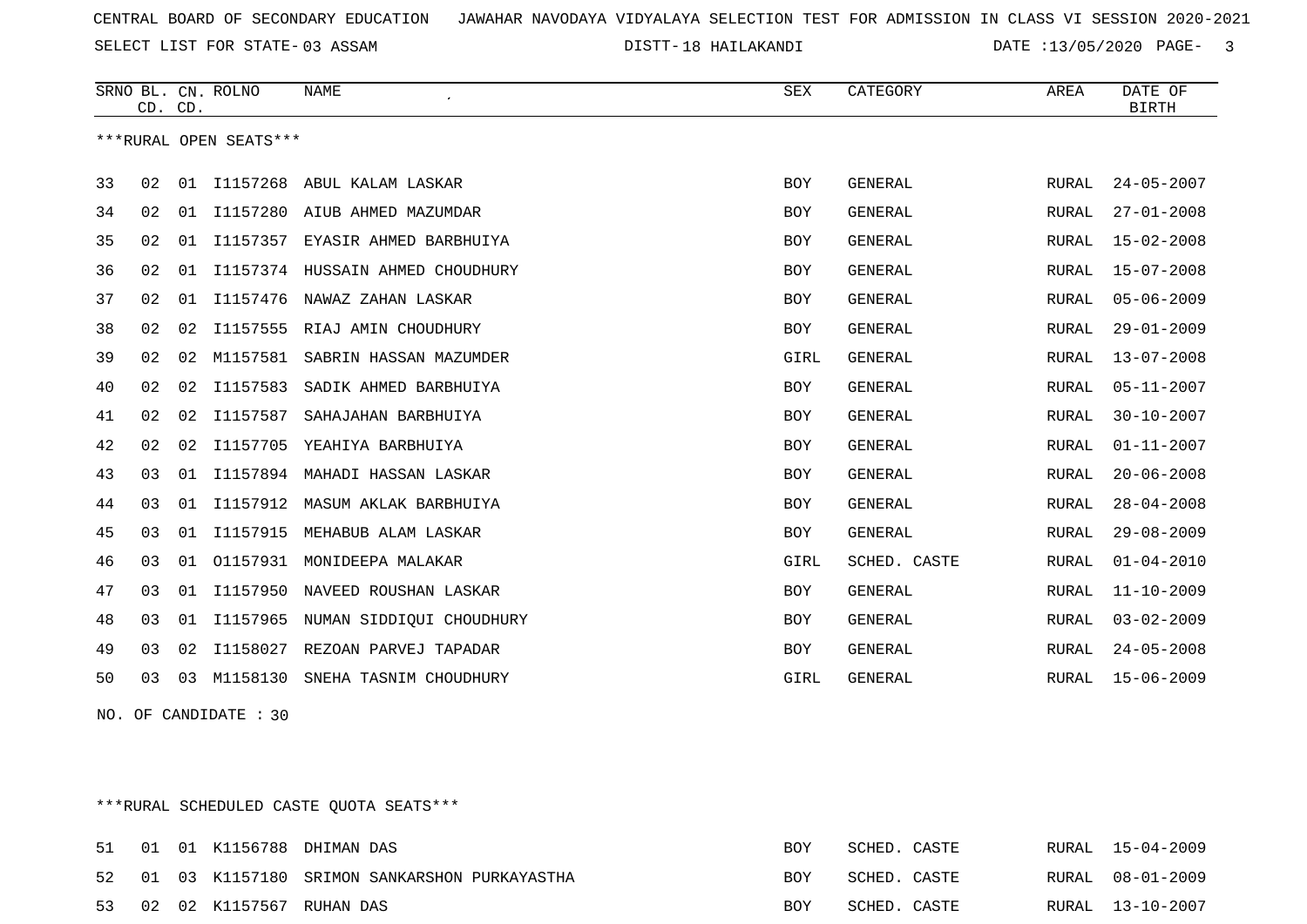SELECT LIST FOR STATE- DISTT- 03 ASSAM

18 HAILAKANDI DATE :13/05/2020 PAGE- 3

|    | CD. CD. |    | SRNO BL. CN. ROLNO     | <b>NAME</b>                       | SEX        | CATEGORY       | AREA  | DATE OF<br><b>BIRTH</b> |
|----|---------|----|------------------------|-----------------------------------|------------|----------------|-------|-------------------------|
|    |         |    | ***RURAL OPEN SEATS*** |                                   |            |                |       |                         |
| 33 | 02      | 01 | I1157268               | ABUL KALAM LASKAR                 | <b>BOY</b> | GENERAL        | RURAL | $24 - 05 - 2007$        |
| 34 | 02      | 01 | I1157280               | AIUB AHMED MAZUMDAR               | <b>BOY</b> | <b>GENERAL</b> | RURAL | $27 - 01 - 2008$        |
| 35 | 02      | 01 | I1157357               | EYASIR AHMED BARBHUIYA            | <b>BOY</b> | <b>GENERAL</b> | RURAL | $15 - 02 - 2008$        |
| 36 | 02      | 01 |                        | I1157374 HUSSAIN AHMED CHOUDHURY  | <b>BOY</b> | <b>GENERAL</b> | RURAL | $15 - 07 - 2008$        |
| 37 | 02      | 01 | I1157476               | NAWAZ ZAHAN LASKAR                | <b>BOY</b> | <b>GENERAL</b> | RURAL | $05 - 06 - 2009$        |
| 38 | 02      | 02 | I1157555               | RIAJ AMIN CHOUDHURY               | <b>BOY</b> | <b>GENERAL</b> | RURAL | $29 - 01 - 2009$        |
| 39 | 02      | 02 | M1157581               | SABRIN HASSAN MAZUMDER            | GIRL       | <b>GENERAL</b> | RURAL | $13 - 07 - 2008$        |
| 40 | 02      | 02 | I1157583               | SADIK AHMED BARBHUIYA             | <b>BOY</b> | <b>GENERAL</b> | RURAL | $05 - 11 - 2007$        |
| 41 | 02      | 02 | I1157587               | SAHAJAHAN BARBHUIYA               | <b>BOY</b> | <b>GENERAL</b> | RURAL | $30 - 10 - 2007$        |
| 42 | 02      | 02 | I1157705               | YEAHIYA BARBHUIYA                 | <b>BOY</b> | GENERAL        | RURAL | $01 - 11 - 2007$        |
| 43 | 03      | 01 | I1157894               | MAHADI HASSAN LASKAR              | <b>BOY</b> | <b>GENERAL</b> | RURAL | $20 - 06 - 2008$        |
| 44 | 03      | 01 | I1157912               | MASUM AKLAK BARBHUIYA             | <b>BOY</b> | <b>GENERAL</b> | RURAL | $28 - 04 - 2008$        |
| 45 | 03      | 01 | I1157915               | MEHABUB ALAM LASKAR               | <b>BOY</b> | <b>GENERAL</b> | RURAL | $29 - 08 - 2009$        |
| 46 | 03      | 01 | 01157931               | MONIDEEPA MALAKAR                 | GIRL       | SCHED. CASTE   | RURAL | $01 - 04 - 2010$        |
| 47 | 03      | 01 | I1157950               | NAVEED ROUSHAN LASKAR             | <b>BOY</b> | <b>GENERAL</b> | RURAL | $11 - 10 - 2009$        |
| 48 | 03      | 01 |                        | I1157965 NUMAN SIDDIQUI CHOUDHURY | <b>BOY</b> | <b>GENERAL</b> | RURAL | $03 - 02 - 2009$        |
| 49 | 03      | 02 |                        | I1158027 REZOAN PARVEJ TAPADAR    | <b>BOY</b> | <b>GENERAL</b> | RURAL | $24 - 05 - 2008$        |
| 50 | 03      | 03 | M1158130               | SNEHA TASNIM CHOUDHURY            | GIRL       | <b>GENERAL</b> | RURAL | $15 - 06 - 2009$        |

NO. OF CANDIDATE : 30

\*\*\*RURAL SCHEDULED CASTE QUOTA SEATS\*\*\*

| 51 |  | 01 01 K1156788 DHIMAN DAS                       | BOY        | SCHED. CASTE |  | RURAL 15-04-2009 |
|----|--|-------------------------------------------------|------------|--------------|--|------------------|
|    |  | 52 01 03 K1157180 SRIMON SANKARSHON PURKAYASTHA | BOY        | SCHED. CASTE |  | RURAL 08-01-2009 |
| 53 |  | 02 02 K1157567 RUHAN DAS                        | <b>BOY</b> | SCHED. CASTE |  | RURAL 13-10-2007 |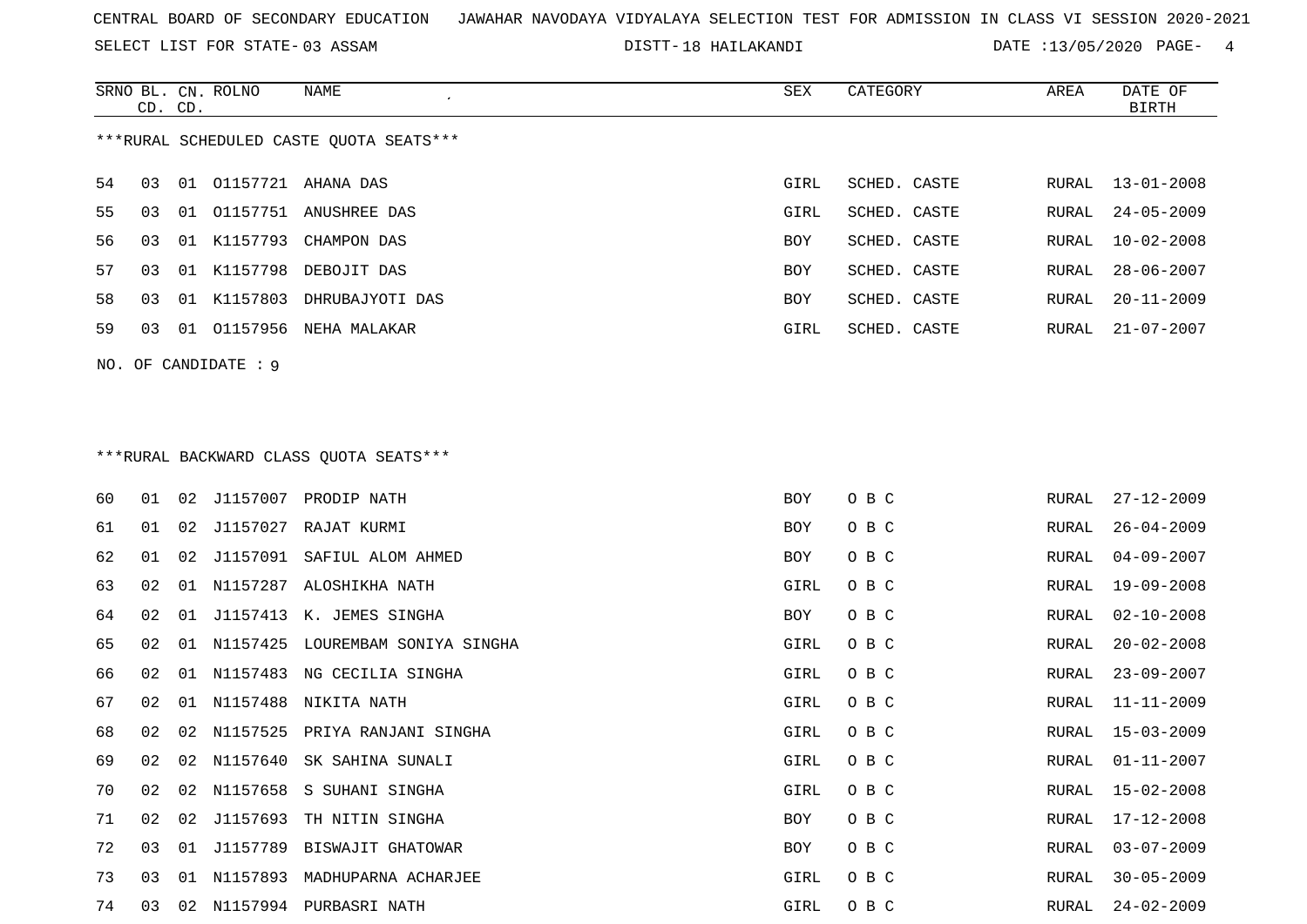SELECT LIST FOR STATE- DISTT- 03 ASSAM

SRNO BL. CN.

ROLNO NAME SEX CATEGORY AREA DATE OF

18 HAILAKANDI DATE :13/05/2020 PAGE- 4

| ***RURAL SCHEDULED CASTE QUOTA SEATS***<br>54<br>01157721 AHANA DAS<br>03<br>01<br>GIRL<br>SCHED. CASTE<br>RURAL<br>13-01-2008<br>55<br>01157751 ANUSHREE DAS<br>01<br>GIRL<br>SCHED. CASTE<br>$24 - 05 - 2009$<br>03<br>RURAL<br>56<br>01 K1157793 CHAMPON DAS<br>03<br>BOY<br>SCHED. CASTE<br>RURAL<br>$10 - 02 - 2008$<br>57<br>01 K1157798<br>DEBOJIT DAS<br>$28 - 06 - 2007$<br>BOY<br>SCHED. CASTE<br>RURAL<br>03<br>58<br>01 K1157803 DHRUBAJYOTI DAS<br>BOY<br>SCHED. CASTE<br>RURAL<br>$20 - 11 - 2009$<br>03<br>59<br>01157956 NEHA MALAKAR<br>SCHED. CASTE<br>$21 - 07 - 2007$<br>03<br>01<br>GIRL<br>RURAL<br>NO. OF CANDIDATE : 9<br>*** RURAL BACKWARD CLASS QUOTA SEATS***<br>60<br>J1157007 PRODIP NATH<br>O B C<br>02<br>BOY<br>RURAL<br>$27 - 12 - 2009$<br>01<br>61<br>J1157027 RAJAT KURMI<br>02<br>O B C<br>$26 - 04 - 2009$<br>01<br>BOY<br>RURAL<br>62<br>J1157091 SAFIUL ALOM AHMED<br>O B C<br>$04 - 09 - 2007$<br>01<br>02<br>BOY<br>RURAL<br>63<br>01 N1157287 ALOSHIKHA NATH<br>O B C<br>$19 - 09 - 2008$<br>02<br>GIRL<br>RURAL<br>64<br>O B C<br>02<br>01 J1157413 K. JEMES SINGHA<br>BOY<br>RURAL<br>$02 - 10 - 2008$<br>65<br>N1157425 LOUREMBAM SONIYA SINGHA<br>O B C<br>$20 - 02 - 2008$<br>02<br>01<br>GIRL<br>RURAL<br>66<br>N1157483 NG CECILIA SINGHA<br>02<br>01<br>GIRL<br>O B C<br>RURAL<br>$23 - 09 - 2007$<br>67<br>N1157488<br>O B C<br>02<br>NIKITA NATH<br>GIRL<br>$11 - 11 - 2009$<br>01<br>RURAL<br>68<br>02<br>02<br>N1157525<br>PRIYA RANJANI SINGHA<br>GIRL<br>O B C<br>$15 - 03 - 2009$<br>RURAL<br>69<br>O B C<br>02<br>N1157640<br>SK SAHINA SUNALI<br>GIRL<br>$01 - 11 - 2007$<br>02<br>RURAL<br>70<br>02<br>02 N1157658 S SUHANI SINGHA<br>GIRL<br>O B C<br>$15 - 02 - 2008$<br>RURAL<br>71<br>02 02 J1157693 TH NITIN SINGHA<br>BOY<br>O B C<br>RURAL 17-12-2008<br>72<br>03<br>01 J1157789 BISWAJIT GHATOWAR<br>BOY<br>O B C<br>RURAL<br>$03 - 07 - 2009$<br>73<br>01 N1157893 MADHUPARNA ACHARJEE<br>GIRL<br>O B C<br>RURAL<br>$30 - 05 - 2009$<br>03<br>74<br>02 N1157994 PURBASRI NATH<br>O B C<br>$24 - 02 - 2009$<br>03<br>GIRL<br>RURAL | CD. CD. |  |  |  | <b>BIRTH</b> |
|----------------------------------------------------------------------------------------------------------------------------------------------------------------------------------------------------------------------------------------------------------------------------------------------------------------------------------------------------------------------------------------------------------------------------------------------------------------------------------------------------------------------------------------------------------------------------------------------------------------------------------------------------------------------------------------------------------------------------------------------------------------------------------------------------------------------------------------------------------------------------------------------------------------------------------------------------------------------------------------------------------------------------------------------------------------------------------------------------------------------------------------------------------------------------------------------------------------------------------------------------------------------------------------------------------------------------------------------------------------------------------------------------------------------------------------------------------------------------------------------------------------------------------------------------------------------------------------------------------------------------------------------------------------------------------------------------------------------------------------------------------------------------------------------------------------------------------------------------------------------------------------------------------------------------------------------------------------------------------------------------------------------------------------------------------------------------------------------------------|---------|--|--|--|--------------|
|                                                                                                                                                                                                                                                                                                                                                                                                                                                                                                                                                                                                                                                                                                                                                                                                                                                                                                                                                                                                                                                                                                                                                                                                                                                                                                                                                                                                                                                                                                                                                                                                                                                                                                                                                                                                                                                                                                                                                                                                                                                                                                          |         |  |  |  |              |
|                                                                                                                                                                                                                                                                                                                                                                                                                                                                                                                                                                                                                                                                                                                                                                                                                                                                                                                                                                                                                                                                                                                                                                                                                                                                                                                                                                                                                                                                                                                                                                                                                                                                                                                                                                                                                                                                                                                                                                                                                                                                                                          |         |  |  |  |              |
|                                                                                                                                                                                                                                                                                                                                                                                                                                                                                                                                                                                                                                                                                                                                                                                                                                                                                                                                                                                                                                                                                                                                                                                                                                                                                                                                                                                                                                                                                                                                                                                                                                                                                                                                                                                                                                                                                                                                                                                                                                                                                                          |         |  |  |  |              |
|                                                                                                                                                                                                                                                                                                                                                                                                                                                                                                                                                                                                                                                                                                                                                                                                                                                                                                                                                                                                                                                                                                                                                                                                                                                                                                                                                                                                                                                                                                                                                                                                                                                                                                                                                                                                                                                                                                                                                                                                                                                                                                          |         |  |  |  |              |
|                                                                                                                                                                                                                                                                                                                                                                                                                                                                                                                                                                                                                                                                                                                                                                                                                                                                                                                                                                                                                                                                                                                                                                                                                                                                                                                                                                                                                                                                                                                                                                                                                                                                                                                                                                                                                                                                                                                                                                                                                                                                                                          |         |  |  |  |              |
|                                                                                                                                                                                                                                                                                                                                                                                                                                                                                                                                                                                                                                                                                                                                                                                                                                                                                                                                                                                                                                                                                                                                                                                                                                                                                                                                                                                                                                                                                                                                                                                                                                                                                                                                                                                                                                                                                                                                                                                                                                                                                                          |         |  |  |  |              |
|                                                                                                                                                                                                                                                                                                                                                                                                                                                                                                                                                                                                                                                                                                                                                                                                                                                                                                                                                                                                                                                                                                                                                                                                                                                                                                                                                                                                                                                                                                                                                                                                                                                                                                                                                                                                                                                                                                                                                                                                                                                                                                          |         |  |  |  |              |
|                                                                                                                                                                                                                                                                                                                                                                                                                                                                                                                                                                                                                                                                                                                                                                                                                                                                                                                                                                                                                                                                                                                                                                                                                                                                                                                                                                                                                                                                                                                                                                                                                                                                                                                                                                                                                                                                                                                                                                                                                                                                                                          |         |  |  |  |              |
|                                                                                                                                                                                                                                                                                                                                                                                                                                                                                                                                                                                                                                                                                                                                                                                                                                                                                                                                                                                                                                                                                                                                                                                                                                                                                                                                                                                                                                                                                                                                                                                                                                                                                                                                                                                                                                                                                                                                                                                                                                                                                                          |         |  |  |  |              |
|                                                                                                                                                                                                                                                                                                                                                                                                                                                                                                                                                                                                                                                                                                                                                                                                                                                                                                                                                                                                                                                                                                                                                                                                                                                                                                                                                                                                                                                                                                                                                                                                                                                                                                                                                                                                                                                                                                                                                                                                                                                                                                          |         |  |  |  |              |
|                                                                                                                                                                                                                                                                                                                                                                                                                                                                                                                                                                                                                                                                                                                                                                                                                                                                                                                                                                                                                                                                                                                                                                                                                                                                                                                                                                                                                                                                                                                                                                                                                                                                                                                                                                                                                                                                                                                                                                                                                                                                                                          |         |  |  |  |              |
|                                                                                                                                                                                                                                                                                                                                                                                                                                                                                                                                                                                                                                                                                                                                                                                                                                                                                                                                                                                                                                                                                                                                                                                                                                                                                                                                                                                                                                                                                                                                                                                                                                                                                                                                                                                                                                                                                                                                                                                                                                                                                                          |         |  |  |  |              |
|                                                                                                                                                                                                                                                                                                                                                                                                                                                                                                                                                                                                                                                                                                                                                                                                                                                                                                                                                                                                                                                                                                                                                                                                                                                                                                                                                                                                                                                                                                                                                                                                                                                                                                                                                                                                                                                                                                                                                                                                                                                                                                          |         |  |  |  |              |
|                                                                                                                                                                                                                                                                                                                                                                                                                                                                                                                                                                                                                                                                                                                                                                                                                                                                                                                                                                                                                                                                                                                                                                                                                                                                                                                                                                                                                                                                                                                                                                                                                                                                                                                                                                                                                                                                                                                                                                                                                                                                                                          |         |  |  |  |              |
|                                                                                                                                                                                                                                                                                                                                                                                                                                                                                                                                                                                                                                                                                                                                                                                                                                                                                                                                                                                                                                                                                                                                                                                                                                                                                                                                                                                                                                                                                                                                                                                                                                                                                                                                                                                                                                                                                                                                                                                                                                                                                                          |         |  |  |  |              |
|                                                                                                                                                                                                                                                                                                                                                                                                                                                                                                                                                                                                                                                                                                                                                                                                                                                                                                                                                                                                                                                                                                                                                                                                                                                                                                                                                                                                                                                                                                                                                                                                                                                                                                                                                                                                                                                                                                                                                                                                                                                                                                          |         |  |  |  |              |
|                                                                                                                                                                                                                                                                                                                                                                                                                                                                                                                                                                                                                                                                                                                                                                                                                                                                                                                                                                                                                                                                                                                                                                                                                                                                                                                                                                                                                                                                                                                                                                                                                                                                                                                                                                                                                                                                                                                                                                                                                                                                                                          |         |  |  |  |              |
|                                                                                                                                                                                                                                                                                                                                                                                                                                                                                                                                                                                                                                                                                                                                                                                                                                                                                                                                                                                                                                                                                                                                                                                                                                                                                                                                                                                                                                                                                                                                                                                                                                                                                                                                                                                                                                                                                                                                                                                                                                                                                                          |         |  |  |  |              |
|                                                                                                                                                                                                                                                                                                                                                                                                                                                                                                                                                                                                                                                                                                                                                                                                                                                                                                                                                                                                                                                                                                                                                                                                                                                                                                                                                                                                                                                                                                                                                                                                                                                                                                                                                                                                                                                                                                                                                                                                                                                                                                          |         |  |  |  |              |
|                                                                                                                                                                                                                                                                                                                                                                                                                                                                                                                                                                                                                                                                                                                                                                                                                                                                                                                                                                                                                                                                                                                                                                                                                                                                                                                                                                                                                                                                                                                                                                                                                                                                                                                                                                                                                                                                                                                                                                                                                                                                                                          |         |  |  |  |              |
|                                                                                                                                                                                                                                                                                                                                                                                                                                                                                                                                                                                                                                                                                                                                                                                                                                                                                                                                                                                                                                                                                                                                                                                                                                                                                                                                                                                                                                                                                                                                                                                                                                                                                                                                                                                                                                                                                                                                                                                                                                                                                                          |         |  |  |  |              |
|                                                                                                                                                                                                                                                                                                                                                                                                                                                                                                                                                                                                                                                                                                                                                                                                                                                                                                                                                                                                                                                                                                                                                                                                                                                                                                                                                                                                                                                                                                                                                                                                                                                                                                                                                                                                                                                                                                                                                                                                                                                                                                          |         |  |  |  |              |
|                                                                                                                                                                                                                                                                                                                                                                                                                                                                                                                                                                                                                                                                                                                                                                                                                                                                                                                                                                                                                                                                                                                                                                                                                                                                                                                                                                                                                                                                                                                                                                                                                                                                                                                                                                                                                                                                                                                                                                                                                                                                                                          |         |  |  |  |              |
|                                                                                                                                                                                                                                                                                                                                                                                                                                                                                                                                                                                                                                                                                                                                                                                                                                                                                                                                                                                                                                                                                                                                                                                                                                                                                                                                                                                                                                                                                                                                                                                                                                                                                                                                                                                                                                                                                                                                                                                                                                                                                                          |         |  |  |  |              |
|                                                                                                                                                                                                                                                                                                                                                                                                                                                                                                                                                                                                                                                                                                                                                                                                                                                                                                                                                                                                                                                                                                                                                                                                                                                                                                                                                                                                                                                                                                                                                                                                                                                                                                                                                                                                                                                                                                                                                                                                                                                                                                          |         |  |  |  |              |
|                                                                                                                                                                                                                                                                                                                                                                                                                                                                                                                                                                                                                                                                                                                                                                                                                                                                                                                                                                                                                                                                                                                                                                                                                                                                                                                                                                                                                                                                                                                                                                                                                                                                                                                                                                                                                                                                                                                                                                                                                                                                                                          |         |  |  |  |              |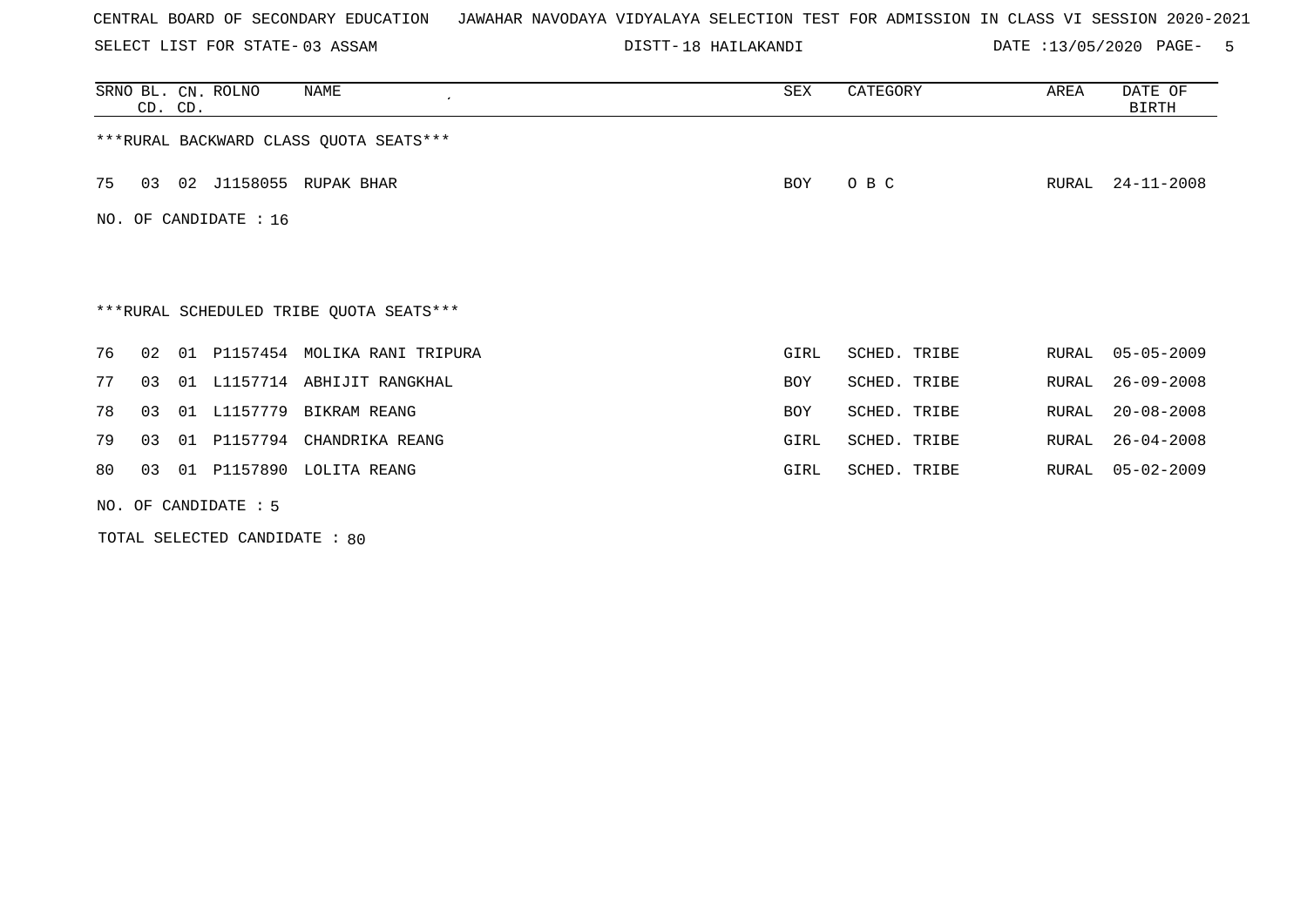SELECT LIST FOR STATE- DISTT- 03 ASSAM

18 HAILAKANDI DATE :13/05/2020 PAGE- 5

|     | CD. CD. | SRNO BL. CN. ROLNO     | NAME                                    | SEX        | CATEGORY     | AREA  | DATE OF<br>BIRTH |
|-----|---------|------------------------|-----------------------------------------|------------|--------------|-------|------------------|
|     |         |                        | *** RURAL BACKWARD CLASS QUOTA SEATS*** |            |              |       |                  |
| 75  | 03      |                        | 02 J1158055 RUPAK BHAR                  | BOY        | O B C        | RURAL | 24-11-2008       |
| NO. |         | OF CANDIDATE : 16      |                                         |            |              |       |                  |
|     |         |                        |                                         |            |              |       |                  |
|     |         |                        | ***RURAL SCHEDULED TRIBE QUOTA SEATS*** |            |              |       |                  |
| 76  | 02      |                        | 01 P1157454 MOLIKA RANI TRIPURA         | GIRL       | SCHED. TRIBE | RURAL | $05 - 05 - 2009$ |
| 77  | 03      |                        | 01 L1157714 ABHIJIT RANGKHAL            | <b>BOY</b> | SCHED. TRIBE | RURAL | $26 - 09 - 2008$ |
| 78  | 03      |                        | 01 L1157779 BIKRAM REANG                | BOY        | SCHED. TRIBE | RURAL | $20 - 08 - 2008$ |
| 79  | 03      | 01 P1157794            | CHANDRIKA REANG                         | GIRL       | SCHED. TRIBE | RURAL | $26 - 04 - 2008$ |
| 80  | 03      |                        | 01 P1157890 LOLITA REANG                | GIRL       | SCHED. TRIBE | RURAL | $05 - 02 - 2009$ |
|     |         | NO. OF CANDIDATE $: 5$ |                                         |            |              |       |                  |

TOTAL SELECTED CANDIDATE : 80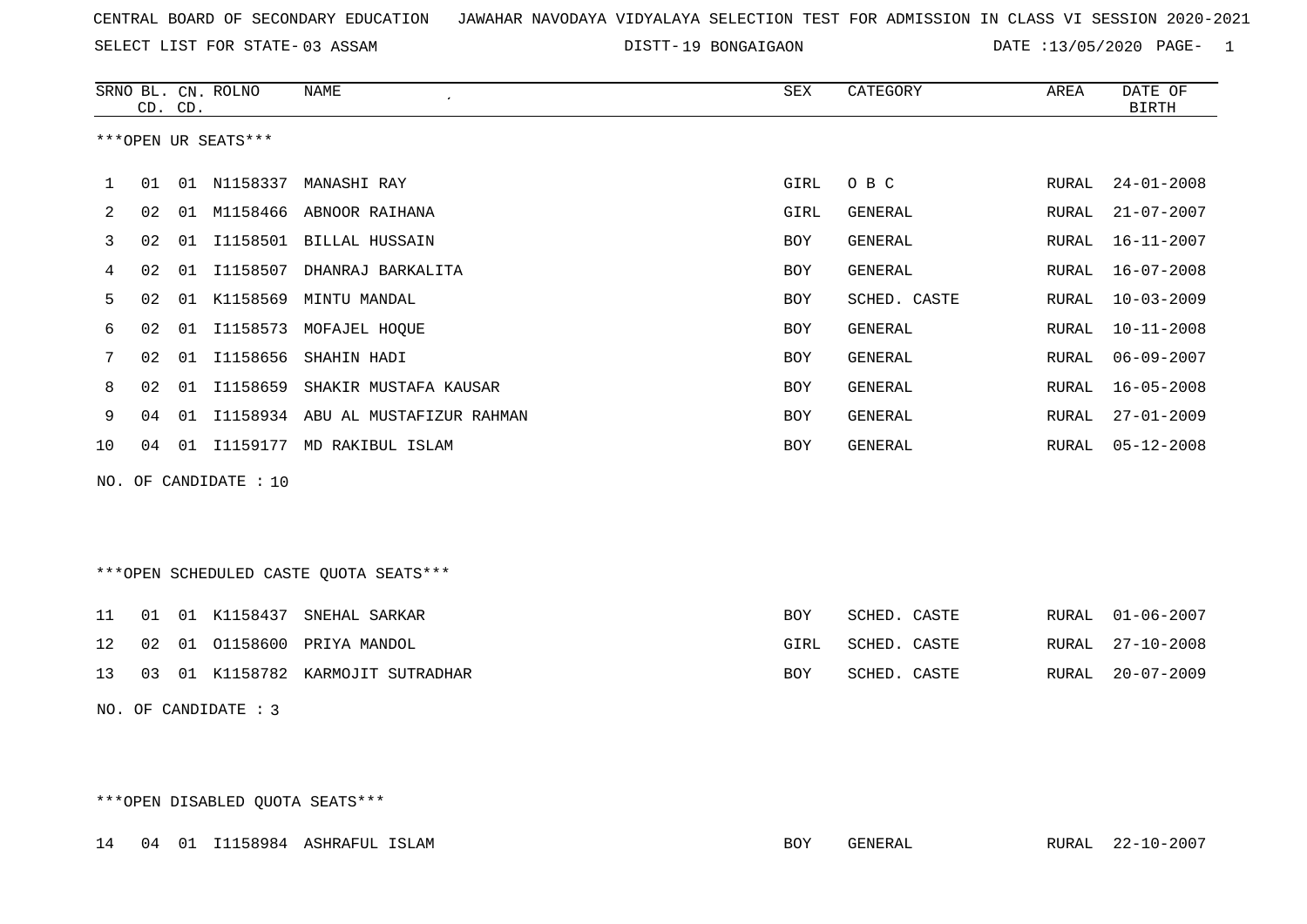SELECT LIST FOR STATE- DISTT- 03 ASSAM

DISTT-19 BONGAIGAON DATE :13/05/2020 PAGE- 1

|     |    |         | SRNO BL. CN. ROLNO  | <b>NAME</b>                            | SEX        | CATEGORY       | AREA         | DATE OF          |
|-----|----|---------|---------------------|----------------------------------------|------------|----------------|--------------|------------------|
|     |    | CD. CD. |                     |                                        |            |                |              | <b>BIRTH</b>     |
|     |    |         | ***OPEN UR SEATS*** |                                        |            |                |              |                  |
|     |    |         |                     |                                        |            |                |              |                  |
| 1   | 01 |         | 01 N1158337         | MANASHI RAY                            | GIRL       | O B C          | RURAL        | $24 - 01 - 2008$ |
| 2   | 02 | 01      | M1158466            | ABNOOR RAIHANA                         | GIRL       | GENERAL        | RURAL        | $21 - 07 - 2007$ |
| 3   | 02 | 01      |                     | I1158501 BILLAL HUSSAIN                | <b>BOY</b> | <b>GENERAL</b> | RURAL        | $16 - 11 - 2007$ |
| 4   | 02 | 01      | I1158507            | DHANRAJ BARKALITA                      | <b>BOY</b> | GENERAL        | RURAL        | $16 - 07 - 2008$ |
| 5   | 02 | 01      | K1158569            | MINTU MANDAL                           | <b>BOY</b> | SCHED. CASTE   | RURAL        | $10 - 03 - 2009$ |
| 6   | 02 | 01      |                     | I1158573 MOFAJEL HOQUE                 | <b>BOY</b> | <b>GENERAL</b> | RURAL        | $10 - 11 - 2008$ |
| 7   | 02 | 01      |                     | I1158656 SHAHIN HADI                   | <b>BOY</b> | <b>GENERAL</b> | RURAL        | $06 - 09 - 2007$ |
| 8   | 02 | 01      | I1158659            | SHAKIR MUSTAFA KAUSAR                  | <b>BOY</b> | <b>GENERAL</b> | RURAL        | $16 - 05 - 2008$ |
| 9   | 04 | 01      |                     | I1158934 ABU AL MUSTAFIZUR RAHMAN      | <b>BOY</b> | <b>GENERAL</b> | RURAL        | $27 - 01 - 2009$ |
| 10  | 04 | 01      |                     | I1159177 MD RAKIBUL ISLAM              | <b>BOY</b> | GENERAL        | RURAL        | $05 - 12 - 2008$ |
| NO. |    |         | OF CANDIDATE : 10   |                                        |            |                |              |                  |
|     |    |         |                     |                                        |            |                |              |                  |
|     |    |         |                     |                                        |            |                |              |                  |
|     |    |         |                     | ***OPEN SCHEDULED CASTE OUOTA SEATS*** |            |                |              |                  |
|     |    |         |                     |                                        |            |                |              |                  |
| 11  | 01 |         | 01 K1158437         | SNEHAL SARKAR                          | <b>BOY</b> | SCHED. CASTE   | RURAL        | $01 - 06 - 2007$ |
| 12  | 02 |         | 01 01158600         | PRIYA MANDOL                           | GIRL       | SCHED. CASTE   | <b>RURAL</b> | $27 - 10 - 2008$ |
| 13  | 03 | 01      | K1158782            | KARMOJIT SUTRADHAR                     | <b>BOY</b> | SCHED. CASTE   | RURAL        | $20 - 07 - 2009$ |
|     |    |         |                     |                                        |            |                |              |                  |

NO. OF CANDIDATE : 3

\*\*\*OPEN DISABLED QUOTA SEATS\*\*\*

14 04 01 I1158984 ASHRAFUL ISLAM BOY GENERAL RURAL 22-10-2007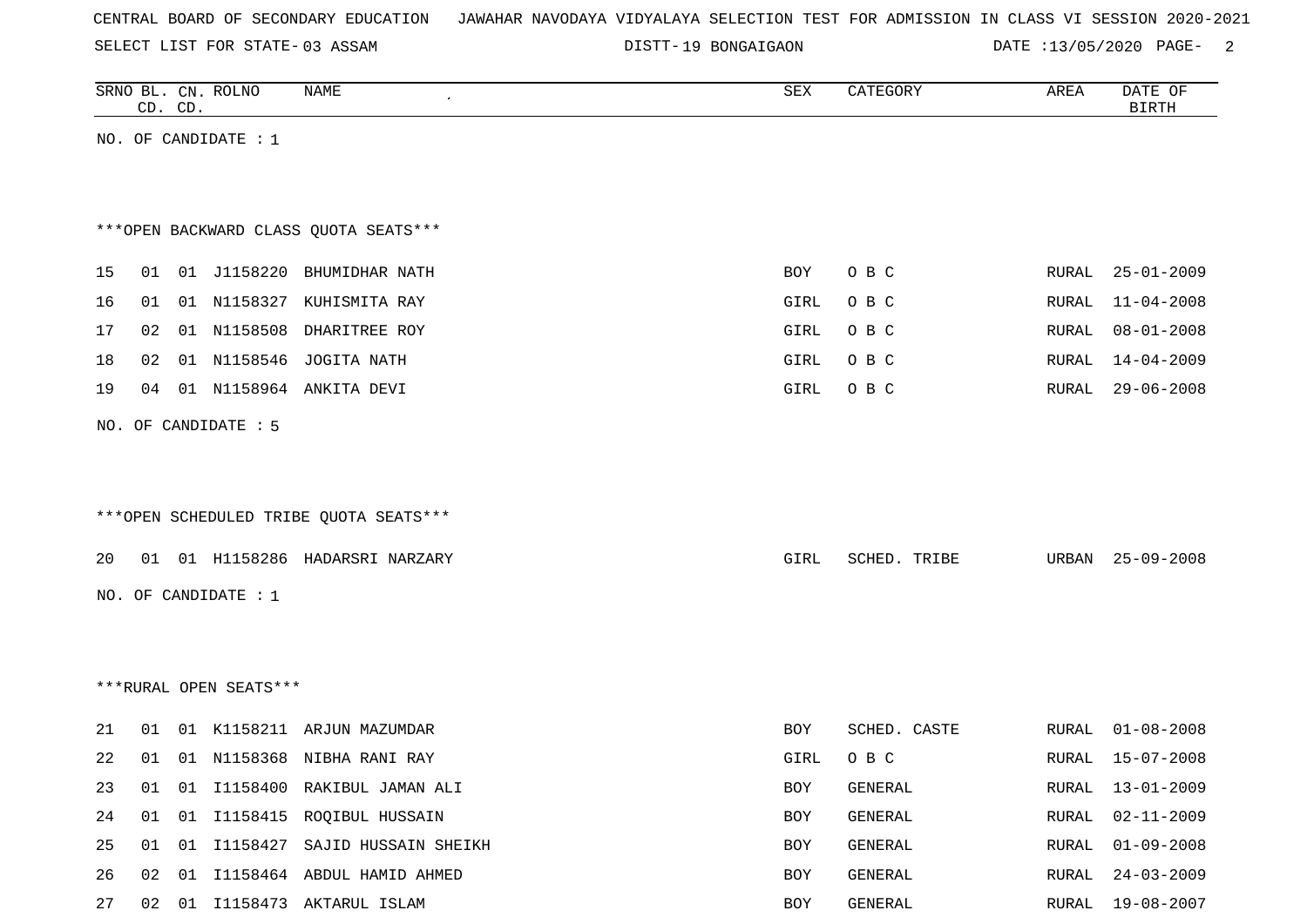|  |  | CENTRAL BOARD OF SECONDARY EDUCATION – JAWAHAR NAVODAYA VIDYALAYA SELECTION TEST FOR ADMISSION IN CLASS VI SESSION 2020-2021 |  |  |  |  |  |  |  |
|--|--|------------------------------------------------------------------------------------------------------------------------------|--|--|--|--|--|--|--|

SELECT LIST FOR STATE- DISTT- 03 ASSAM

19 BONGAIGAON DATE :13/05/2020 PAGE- 2

|    | CD. CD. |    | SRNO BL. CN. ROLNO     | <b>NAME</b>                             | SEX  | CATEGORY     | AREA  | DATE OF<br><b>BIRTH</b> |
|----|---------|----|------------------------|-----------------------------------------|------|--------------|-------|-------------------------|
|    |         |    | NO. OF CANDIDATE : 1   |                                         |      |              |       |                         |
|    |         |    |                        |                                         |      |              |       |                         |
|    |         |    |                        |                                         |      |              |       |                         |
|    |         |    |                        | *** OPEN BACKWARD CLASS QUOTA SEATS***  |      |              |       |                         |
| 15 | 01      |    | 01 J1158220            | BHUMIDHAR NATH                          | BOY  | O B C        | RURAL | $25 - 01 - 2009$        |
| 16 | 01      |    | 01 N1158327            | KUHISMITA RAY                           | GIRL | O B C        | RURAL | $11 - 04 - 2008$        |
| 17 | 02      |    |                        | 01 N1158508 DHARITREE ROY               | GIRL | O B C        | RURAL | $08 - 01 - 2008$        |
| 18 | 02      |    | 01 N1158546            | JOGITA NATH                             | GIRL | O B C        | RURAL | $14 - 04 - 2009$        |
| 19 | 04      |    |                        | 01 N1158964 ANKITA DEVI                 | GIRL | O B C        | RURAL | $29 - 06 - 2008$        |
|    |         |    | NO. OF CANDIDATE : 5   |                                         |      |              |       |                         |
|    |         |    |                        |                                         |      |              |       |                         |
|    |         |    |                        |                                         |      |              |       |                         |
|    |         |    |                        | *** OPEN SCHEDULED TRIBE QUOTA SEATS*** |      |              |       |                         |
| 20 |         |    |                        | 01 01 H1158286 HADARSRI NARZARY         | GIRL | SCHED. TRIBE | URBAN | $25 - 09 - 2008$        |
|    |         |    |                        |                                         |      |              |       |                         |
|    |         |    | NO. OF CANDIDATE : $1$ |                                         |      |              |       |                         |
|    |         |    |                        |                                         |      |              |       |                         |
|    |         |    |                        |                                         |      |              |       |                         |
|    |         |    | ***RURAL OPEN SEATS*** |                                         |      |              |       |                         |
| 21 | 01      |    |                        | 01 K1158211 ARJUN MAZUMDAR              | BOY  | SCHED. CASTE | RURAL | $01 - 08 - 2008$        |
| 22 |         |    |                        | 01  01  N1158368  NIBHA  RANI  RAY      | GIRL | O B C        | RURAL | $15 - 07 - 2008$        |
| 23 | 01      |    |                        | 01 I1158400 RAKIBUL JAMAN ALI           | BOY  | GENERAL      | RURAL | $13 - 01 - 2009$        |
| 24 | 01      | 01 |                        | I1158415 ROQIBUL HUSSAIN                | BOY  | GENERAL      | RURAL | $02 - 11 - 2009$        |
| 25 | 01      | 01 |                        | I1158427 SAJID HUSSAIN SHEIKH           | BOY  | GENERAL      | RURAL | $01 - 09 - 2008$        |
| 26 | 02      | 01 |                        | I1158464 ABDUL HAMID AHMED              | BOY  | GENERAL      | RURAL | $24 - 03 - 2009$        |
| 27 | 02      |    |                        | 01 I1158473 AKTARUL ISLAM               | BOY  | GENERAL      | RURAL | 19-08-2007              |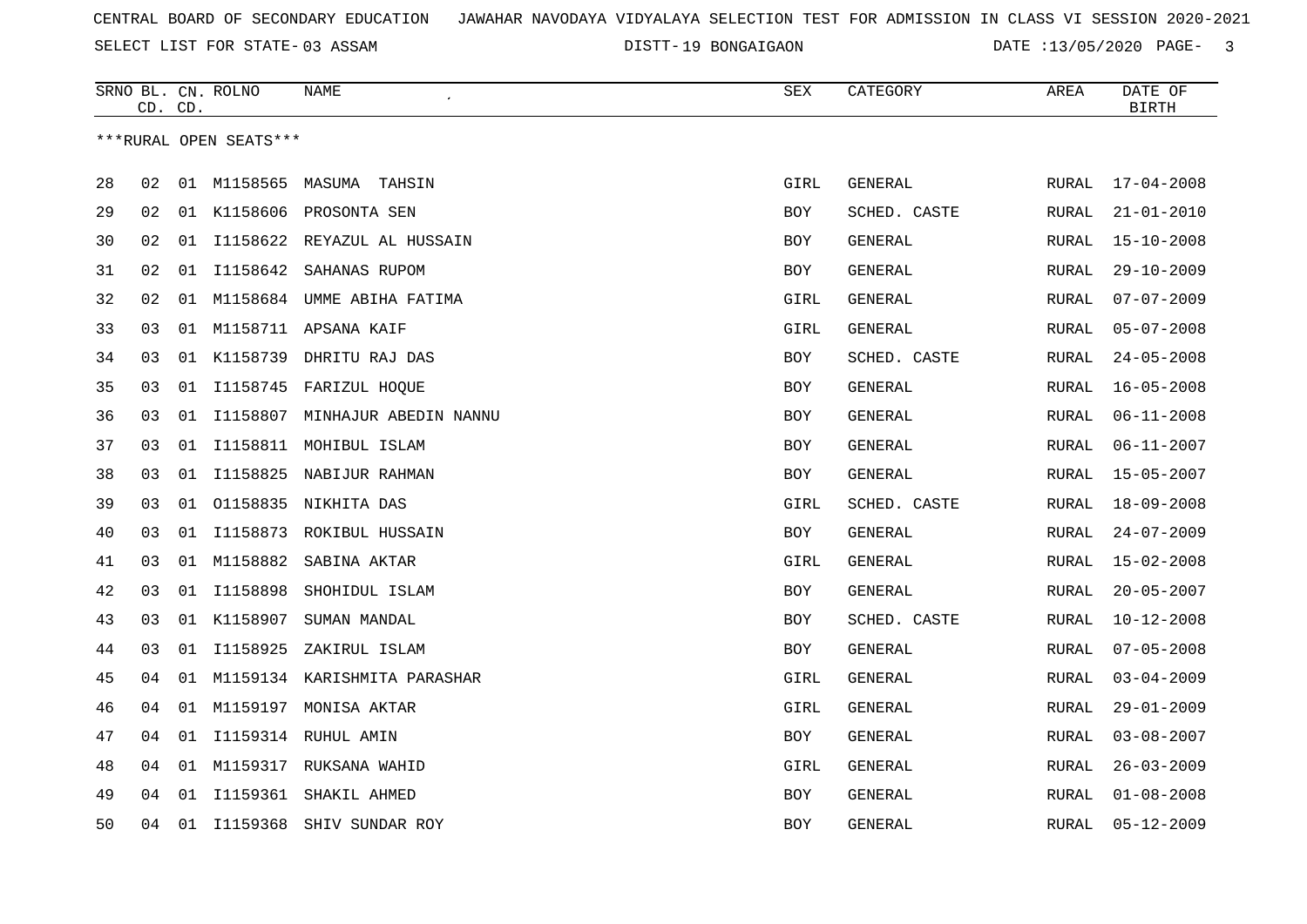SELECT LIST FOR STATE- DISTT- 03 ASSAM

19 BONGAIGAON DATE :13/05/2020 PAGE- 3

|    |    | CD. CD. | SRNO BL. CN. ROLNO     | NAME                              | <b>SEX</b> | CATEGORY       | AREA         | DATE OF<br><b>BIRTH</b> |
|----|----|---------|------------------------|-----------------------------------|------------|----------------|--------------|-------------------------|
|    |    |         | ***RURAL OPEN SEATS*** |                                   |            |                |              |                         |
|    |    |         |                        |                                   |            |                |              |                         |
| 28 | 02 |         |                        | 01 M1158565 MASUMA TAHSIN         | GIRL       | <b>GENERAL</b> | RURAL        | $17 - 04 - 2008$        |
| 29 | 02 |         |                        | 01 K1158606 PROSONTA SEN          | <b>BOY</b> | SCHED. CASTE   | RURAL        | $21 - 01 - 2010$        |
| 30 | 02 | 01      |                        | I1158622 REYAZUL AL HUSSAIN       | <b>BOY</b> | GENERAL        | RURAL        | $15 - 10 - 2008$        |
| 31 | 02 | 01      |                        | I1158642 SAHANAS RUPOM            | BOY        | GENERAL        | RURAL        | $29 - 10 - 2009$        |
| 32 | 02 | 01      |                        | M1158684 UMME ABIHA FATIMA        | GIRL       | GENERAL        | RURAL        | $07 - 07 - 2009$        |
| 33 | 03 | 01      |                        | M1158711 APSANA KAIF              | GIRL       | GENERAL        | RURAL        | $05 - 07 - 2008$        |
| 34 | 03 | 01      |                        | K1158739 DHRITU RAJ DAS           | <b>BOY</b> | SCHED. CASTE   | RURAL        | $24 - 05 - 2008$        |
| 35 | 03 |         |                        | 01 I1158745 FARIZUL HOQUE         | BOY        | GENERAL        | RURAL        | $16 - 05 - 2008$        |
| 36 | 03 |         |                        | 01 I1158807 MINHAJUR ABEDIN NANNU | BOY        | GENERAL        | RURAL        | $06 - 11 - 2008$        |
| 37 | 03 |         |                        | 01 I1158811 MOHIBUL ISLAM         | <b>BOY</b> | GENERAL        | RURAL        | $06 - 11 - 2007$        |
| 38 | 03 | 01      |                        | I1158825 NABIJUR RAHMAN           | <b>BOY</b> | GENERAL        | RURAL        | $15 - 05 - 2007$        |
| 39 | 03 | 01      | 01158835               | NIKHITA DAS                       | GIRL       | SCHED. CASTE   | RURAL        | $18 - 09 - 2008$        |
| 40 | 03 | 01      |                        | I1158873 ROKIBUL HUSSAIN          | BOY        | GENERAL        | RURAL        | $24 - 07 - 2009$        |
| 41 | 03 | 01      | M1158882               | SABINA AKTAR                      | GIRL       | GENERAL        | RURAL        | $15 - 02 - 2008$        |
| 42 | 03 |         | 01 I1158898            | SHOHIDUL ISLAM                    | <b>BOY</b> | GENERAL        | RURAL        | $20 - 05 - 2007$        |
| 43 | 03 | 01      | K1158907               | SUMAN MANDAL                      | <b>BOY</b> | SCHED. CASTE   | RURAL        | $10 - 12 - 2008$        |
| 44 | 03 | 01      | I1158925               | ZAKIRUL ISLAM                     | <b>BOY</b> | GENERAL        | <b>RURAL</b> | $07 - 05 - 2008$        |
| 45 | 04 | 01      |                        | M1159134 KARISHMITA PARASHAR      | GIRL       | GENERAL        | RURAL        | $03 - 04 - 2009$        |
| 46 | 04 | 01      | M1159197               | MONISA AKTAR                      | GIRL       | GENERAL        | RURAL        | $29 - 01 - 2009$        |
| 47 | 04 | 01      |                        | I1159314 RUHUL AMIN               | BOY        | GENERAL        | RURAL        | $03 - 08 - 2007$        |
| 48 | 04 | 01      | M1159317               | RUKSANA WAHID                     | GIRL       | GENERAL        | <b>RURAL</b> | $26 - 03 - 2009$        |
| 49 | 04 | 01      | I1159361               | SHAKIL AHMED                      | <b>BOY</b> | GENERAL        | RURAL        | $01 - 08 - 2008$        |
| 50 | 04 |         | 01 I1159368            | SHIV SUNDAR ROY                   | <b>BOY</b> | GENERAL        | RURAL        | $05 - 12 - 2009$        |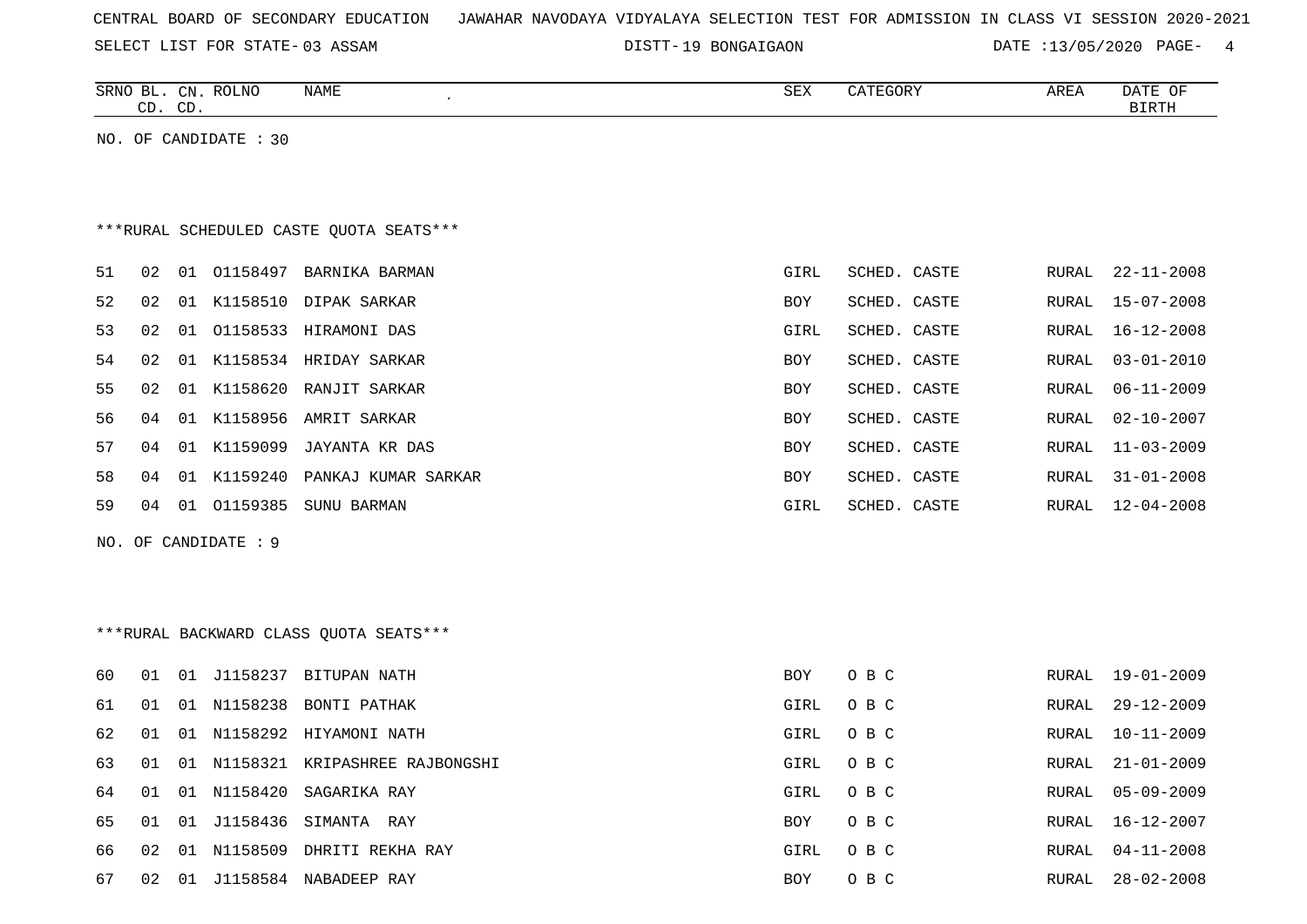| CENTRAL BOARD OF SECONDARY EDUCATION – JAWAHAR NAVODAYA VIDYALAYA SELECTION TEST FOR ADMISSION IN CLASS VI SESSION 2020-2021 |  |  |  |  |  |  |  |
|------------------------------------------------------------------------------------------------------------------------------|--|--|--|--|--|--|--|
|------------------------------------------------------------------------------------------------------------------------------|--|--|--|--|--|--|--|

SELECT LIST FOR STATE- DISTT- 03 ASSAM

DISTT-19 BONGAIGAON DATE :13/05/2020 PAGE- 4

|    | SRNO BL. CN. ROLNO<br>CD. CD. |             | NAME                                    | SEX         | CATEGORY     | AREA          | DATE OF<br><b>BIRTH</b> |
|----|-------------------------------|-------------|-----------------------------------------|-------------|--------------|---------------|-------------------------|
|    | NO. OF CANDIDATE : 30         |             |                                         |             |              |               |                         |
|    |                               |             |                                         |             |              |               |                         |
|    |                               |             |                                         |             |              |               |                         |
|    |                               |             | ***RURAL SCHEDULED CASTE OUOTA SEATS*** |             |              |               |                         |
| 51 | 02                            |             | 01 01158497 BARNIKA BARMAN              | GIRL        | SCHED. CASTE | RURAL         | $22 - 11 - 2008$        |
| 52 | 02                            |             | 01 K1158510 DIPAK SARKAR                | BOY         | SCHED. CASTE | RURAL         | $15 - 07 - 2008$        |
| 53 | 02                            |             | 01 01158533 HIRAMONI DAS                | GIRL        | SCHED. CASTE | RURAL         | $16 - 12 - 2008$        |
| 54 | 02                            |             | 01 K1158534 HRIDAY SARKAR               | <b>BOY</b>  | SCHED. CASTE | RURAL         | $03 - 01 - 2010$        |
| 55 | 02                            | 01 K1158620 | RANJIT SARKAR                           | <b>BOY</b>  | SCHED. CASTE | <b>RURAL</b>  | $06 - 11 - 2009$        |
| 56 | 04<br>01                      |             | K1158956 AMRIT SARKAR                   | BOY         | SCHED. CASTE | ${\tt RURAL}$ | $02 - 10 - 2007$        |
| 57 | 01<br>04                      | K1159099    | JAYANTA KR DAS                          | BOY         | SCHED. CASTE | RURAL         | $11 - 03 - 2009$        |
| 58 | 04<br>01                      | K1159240    | PANKAJ KUMAR SARKAR                     | BOY         | SCHED. CASTE | RURAL         | $31 - 01 - 2008$        |
| 59 | 04                            |             | 01  01159385  SUNU  BARMAN              | GIRL        | SCHED. CASTE | RURAL         | $12 - 04 - 2008$        |
|    | NO. OF CANDIDATE : 9          |             |                                         |             |              |               |                         |
|    |                               |             |                                         |             |              |               |                         |
|    |                               |             |                                         |             |              |               |                         |
|    |                               |             | *** RURAL BACKWARD CLASS QUOTA SEATS*** |             |              |               |                         |
|    |                               |             |                                         |             |              |               |                         |
| 60 | 01                            |             | 01 J1158237 BITUPAN NATH                | BOY         | O B C        | RURAL         | $19 - 01 - 2009$        |
| 61 | 01                            |             | 01 N1158238 BONTI PATHAK                | GIRL        | O B C        | RURAL         | $29 - 12 - 2009$        |
| 62 | 01                            |             | 01 N1158292 HIYAMONI NATH               | GIRL        | O B C        | RURAL         | $10 - 11 - 2009$        |
| 63 | 01                            |             | 01 N1158321 KRIPASHREE RAJBONGSHI       | GIRL        | O B C        | RURAL         | $21 - 01 - 2009$        |
| 64 | 01                            | 01 N1158420 | SAGARIKA RAY                            | GIRL        | O B C        | RURAL         | $05 - 09 - 2009$        |
| 65 | 01                            |             | 01 J1158436 SIMANTA RAY                 | BOY         | O B C        | RURAL         | $16 - 12 - 2007$        |
| 66 | 02                            |             | 01 N1158509 DHRITI REKHA RAY            | <b>GIRL</b> | O B C        | RURAL         | $04 - 11 - 2008$        |

67 02 01 J1158584 NABADEEP RAY 67 CHOOSE CONFIDENTIAL 28-02-2008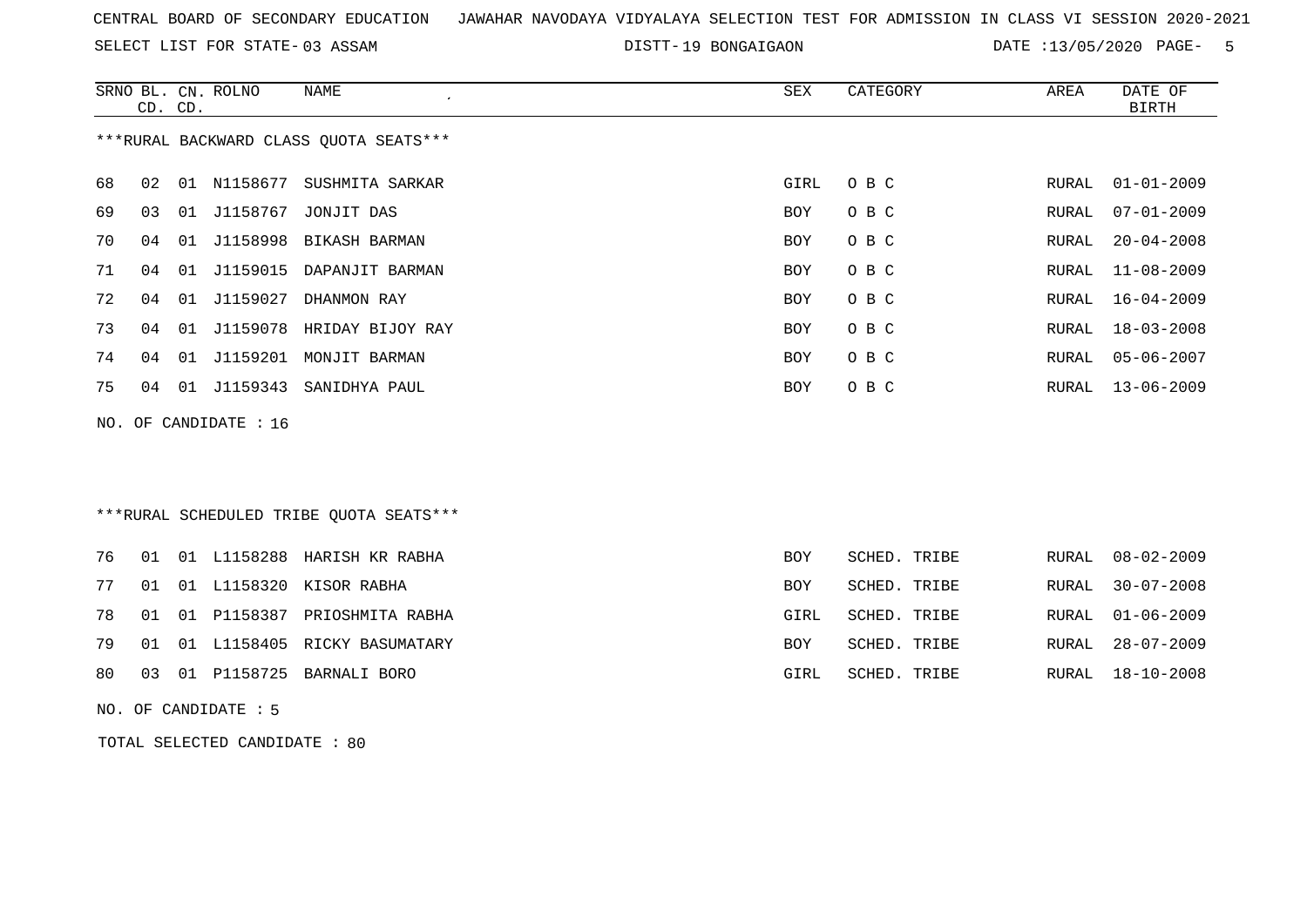SELECT LIST FOR STATE- DISTT- 03 ASSAM

DISTT-19 BONGAIGAON DATE :13/05/2020 PAGE- 5

|     |    | CD. CD. | SRNO BL. CN. ROLNO | <b>NAME</b>                             | <b>SEX</b> | CATEGORY     | AREA  | DATE OF<br><b>BIRTH</b> |
|-----|----|---------|--------------------|-----------------------------------------|------------|--------------|-------|-------------------------|
|     |    |         |                    | *** RURAL BACKWARD CLASS QUOTA SEATS*** |            |              |       |                         |
| 68  | 02 |         | 01 N1158677        | SUSHMITA SARKAR                         | GIRL       | O B C        | RURAL | $01 - 01 - 2009$        |
| 69  | 03 |         | 01 J1158767        | JONJIT DAS                              | <b>BOY</b> | O B C        | RURAL | $07 - 01 - 2009$        |
| 70  | 04 |         |                    | 01 J1158998 BIKASH BARMAN               | <b>BOY</b> | O B C        | RURAL | $20 - 04 - 2008$        |
| 71  | 04 | 01      | J1159015           | DAPANJIT BARMAN                         | <b>BOY</b> | O B C        | RURAL | $11 - 08 - 2009$        |
| 72  | 04 | 01      | J1159027           | DHANMON RAY                             | <b>BOY</b> | O B C        | RURAL | $16 - 04 - 2009$        |
| 73  | 04 | 01      | J1159078           | HRIDAY BIJOY RAY                        | <b>BOY</b> | O B C        | RURAL | $18 - 03 - 2008$        |
| 74  | 04 | 01      | J1159201           | MONJIT BARMAN                           | <b>BOY</b> | O B C        | RURAL | $05 - 06 - 2007$        |
| 75  | 04 |         | 01 J1159343        | SANIDHYA PAUL                           | <b>BOY</b> | O B C        | RURAL | $13 - 06 - 2009$        |
| NO. |    |         | OF CANDIDATE : 16  |                                         |            |              |       |                         |
|     |    |         |                    |                                         |            |              |       |                         |
|     |    |         |                    | ***RURAL SCHEDULED TRIBE QUOTA SEATS*** |            |              |       |                         |
| 76  | 01 |         | 01 L1158288        | HARISH KR RABHA                         | <b>BOY</b> | SCHED. TRIBE | RURAL | $08 - 02 - 2009$        |
| 77  | 01 |         | 01 L1158320        | KISOR RABHA                             | <b>BOY</b> | SCHED. TRIBE | RURAL | $30 - 07 - 2008$        |
| 78  | 01 |         | 01 P1158387        | PRIOSHMITA RABHA                        | GIRL       | SCHED. TRIBE | RURAL | $01 - 06 - 2009$        |
| 79  | 01 |         |                    | 01 L1158405 RICKY BASUMATARY            | <b>BOY</b> | SCHED. TRIBE | RURAL | $28 - 07 - 2009$        |

80 03 01 P1158725 BARNALI BORO GIRL SCHED. TRIBE RURAL 18-10-2008

NO. OF CANDIDATE : 5

TOTAL SELECTED CANDIDATE : 80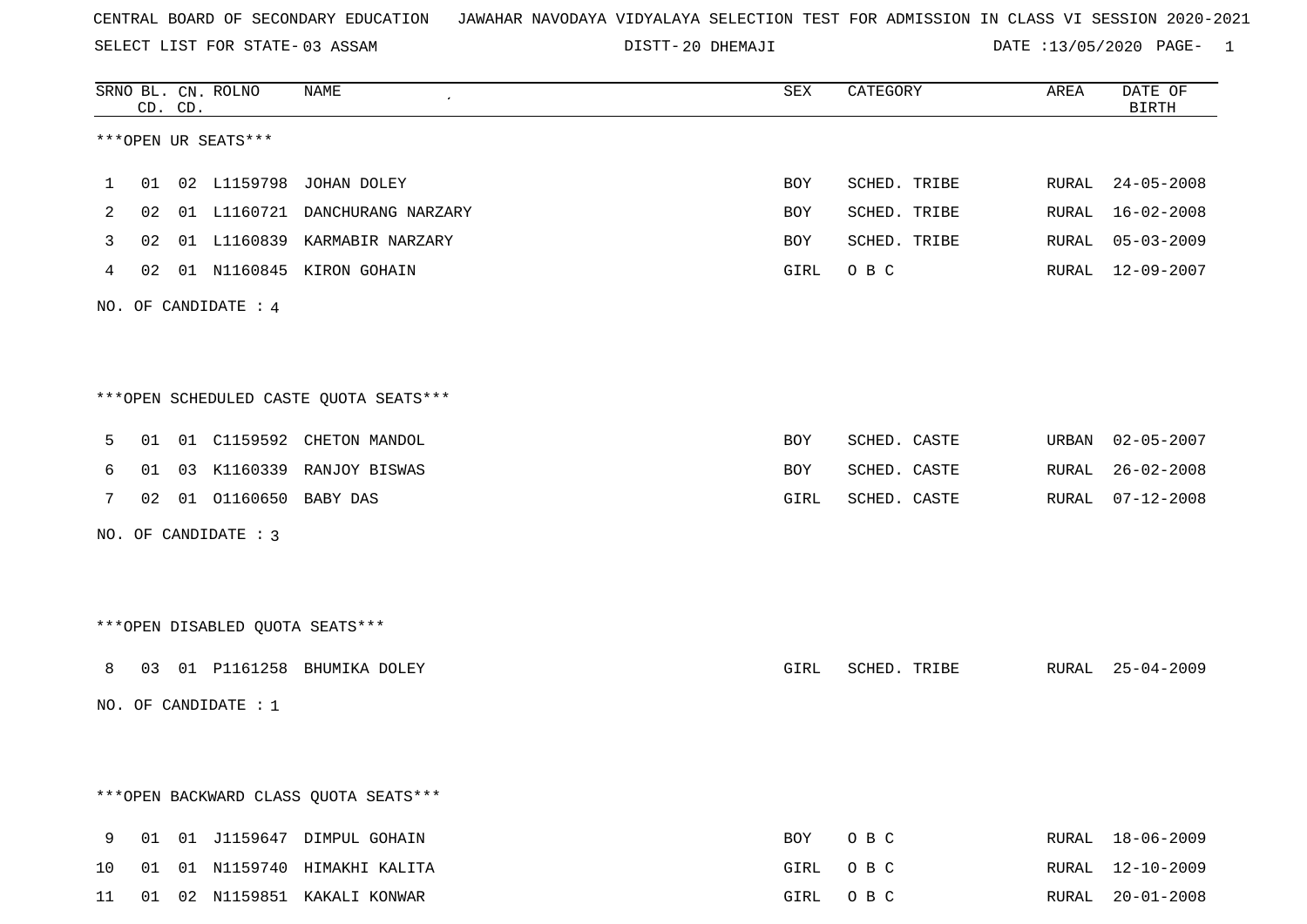SELECT LIST FOR STATE- DISTT- 03 ASSAM

20 DHEMAJI DATE :13/05/2020 PAGE- 1

|    |    | CD. CD. | SRNO BL. CN. ROLNO   | NAME                                   | ${\tt SEX}$ | CATEGORY     | AREA  | DATE OF<br><b>BIRTH</b> |
|----|----|---------|----------------------|----------------------------------------|-------------|--------------|-------|-------------------------|
|    |    |         | ***OPEN UR SEATS***  |                                        |             |              |       |                         |
| 1  | 01 |         |                      | 02 L1159798 JOHAN DOLEY                | BOY         | SCHED. TRIBE | RURAL | $24 - 05 - 2008$        |
| 2  | 02 |         | 01 L1160721          | DANCHURANG NARZARY                     | BOY         | SCHED. TRIBE | RURAL | $16 - 02 - 2008$        |
| 3  | 02 |         | 01 L1160839          | KARMABIR NARZARY                       | BOY         | SCHED. TRIBE | RURAL | $05 - 03 - 2009$        |
| 4  | 02 |         |                      | 01 N1160845 KIRON GOHAIN               | GIRL        | O B C        | RURAL | 12-09-2007              |
|    |    |         | NO. OF CANDIDATE : 4 |                                        |             |              |       |                         |
|    |    |         |                      |                                        |             |              |       |                         |
|    |    |         |                      | ***OPEN SCHEDULED CASTE QUOTA SEATS*** |             |              |       |                         |
| 5  | 01 |         |                      | 01 C1159592 CHETON MANDOL              | BOY         | SCHED. CASTE | URBAN | $02 - 05 - 2007$        |
| 6  | 01 |         | 03 K1160339          | RANJOY BISWAS                          | BOY         | SCHED. CASTE | RURAL | $26 - 02 - 2008$        |
| 7  | 02 |         | 01 01160650 BABY DAS |                                        | GIRL        | SCHED. CASTE | RURAL | $07 - 12 - 2008$        |
|    |    |         | NO. OF CANDIDATE : 3 |                                        |             |              |       |                         |
|    |    |         |                      |                                        |             |              |       |                         |
|    |    |         |                      | ***OPEN DISABLED QUOTA SEATS***        |             |              |       |                         |
| 8  | 03 |         |                      | 01 P1161258 BHUMIKA DOLEY              | GIRL        | SCHED. TRIBE |       | RURAL 25-04-2009        |
|    |    |         | NO. OF CANDIDATE : 1 |                                        |             |              |       |                         |
|    |    |         |                      |                                        |             |              |       |                         |
|    |    |         |                      | *** OPEN BACKWARD CLASS QUOTA SEATS*** |             |              |       |                         |
| 9  | 01 |         |                      | 01 J1159647 DIMPUL GOHAIN              | BOY         | O B C        |       | RURAL 18-06-2009        |
| 10 | 01 |         |                      | 01 N1159740 HIMAKHI KALITA             | GIRL        | O B C        | RURAL | 12-10-2009              |
| 11 |    |         |                      | 01 02 N1159851 KAKALI KONWAR           | GIRL        | O B C        |       | RURAL 20-01-2008        |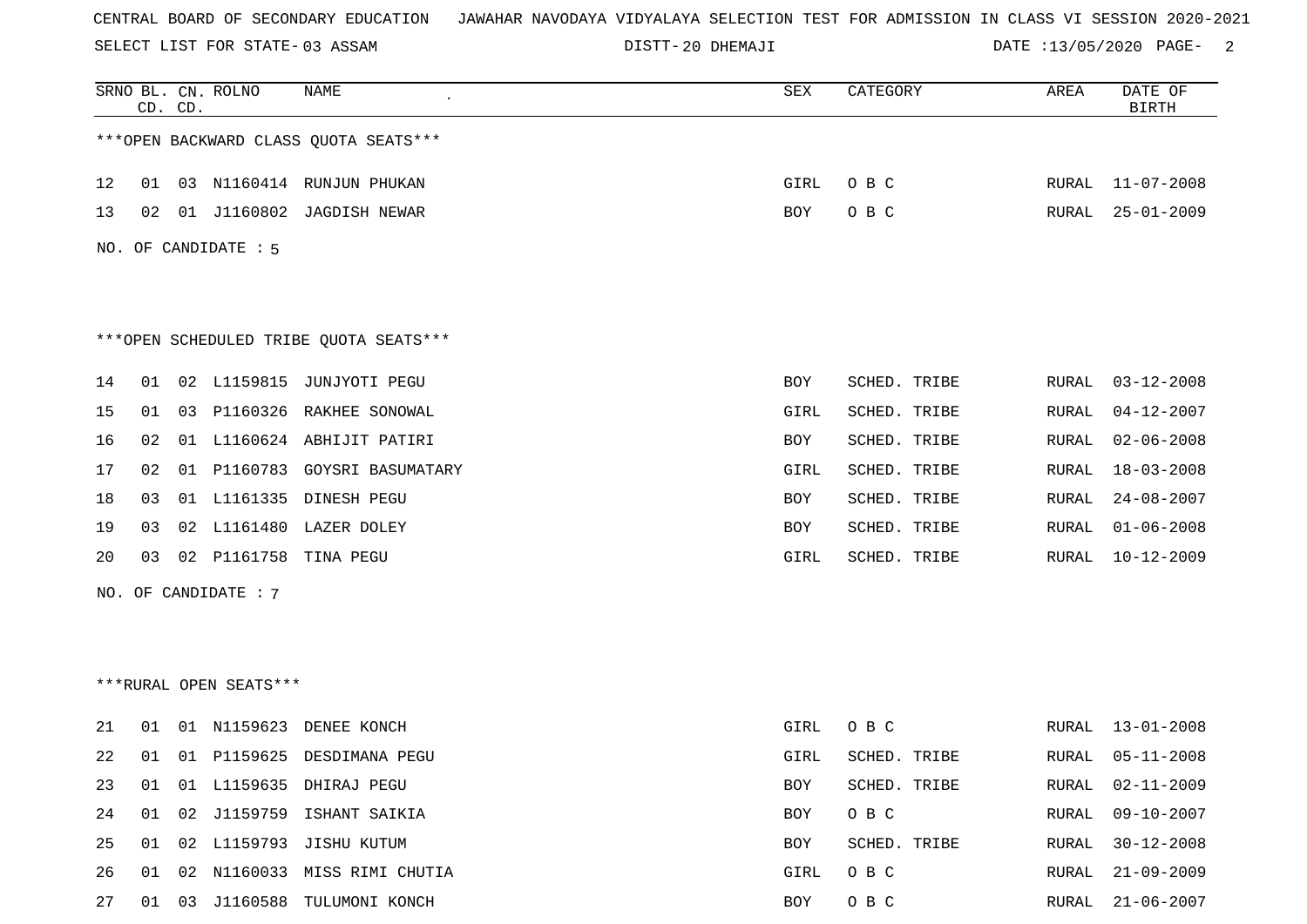SELECT LIST FOR STATE- DISTT- 03 ASSAM

20 DHEMAJI DATE :13/05/2020 PAGE- 2

|                                        |    | CD. CD. | SRNO BL. CN. ROLNO | NAME                                   | SEX  | CATEGORY     | AREA  | DATE OF<br><b>BIRTH</b> |  |  |  |  |
|----------------------------------------|----|---------|--------------------|----------------------------------------|------|--------------|-------|-------------------------|--|--|--|--|
|                                        |    |         |                    | *** OPEN BACKWARD CLASS QUOTA SEATS*** |      |              |       |                         |  |  |  |  |
| 12                                     | 01 |         |                    | 03 N1160414 RUNJUN PHUKAN              | GIRL | O B C        | RURAL | $11 - 07 - 2008$        |  |  |  |  |
| 13                                     | 02 |         | 01 J1160802        | JAGDISH NEWAR                          | BOY  | O B C        | RURAL | $25 - 01 - 2009$        |  |  |  |  |
| NO. OF CANDIDATE : 5                   |    |         |                    |                                        |      |              |       |                         |  |  |  |  |
|                                        |    |         |                    |                                        |      |              |       |                         |  |  |  |  |
| ***OPEN SCHEDULED TRIBE QUOTA SEATS*** |    |         |                    |                                        |      |              |       |                         |  |  |  |  |
| 14                                     | 01 |         |                    | 02 L1159815 JUNJYOTI PEGU              | BOY  | SCHED. TRIBE | RURAL | $03 - 12 - 2008$        |  |  |  |  |
| 15                                     | 01 | 03      |                    | P1160326 RAKHEE SONOWAL                | GIRL | SCHED. TRIBE | RURAL | $04 - 12 - 2007$        |  |  |  |  |
| 16                                     | 02 |         |                    | 01 L1160624 ABHIJIT PATIRI             | BOY  | SCHED. TRIBE | RURAL | $02 - 06 - 2008$        |  |  |  |  |
| 17                                     | 02 |         |                    | 01 P1160783 GOYSRI BASUMATARY          | GIRL | SCHED. TRIBE | RURAL | $18 - 03 - 2008$        |  |  |  |  |
| 18                                     | 03 |         |                    | 01 L1161335 DINESH PEGU                | BOY  | SCHED. TRIBE | RURAL | $24 - 08 - 2007$        |  |  |  |  |
| 19                                     | 03 |         |                    | 02 L1161480 LAZER DOLEY                | BOY  | SCHED. TRIBE | RURAL | $01 - 06 - 2008$        |  |  |  |  |
| 20                                     | 03 | 02      | P1161758           | TINA PEGU                              | GIRL | SCHED. TRIBE | RURAL | $10 - 12 - 2009$        |  |  |  |  |
| NO. OF CANDIDATE : 7                   |    |         |                    |                                        |      |              |       |                         |  |  |  |  |
|                                        |    |         |                    |                                        |      |              |       |                         |  |  |  |  |
|                                        |    |         |                    |                                        |      |              |       |                         |  |  |  |  |
| ***RURAL OPEN SEATS***                 |    |         |                    |                                        |      |              |       |                         |  |  |  |  |
| 21                                     | 01 |         | 01 N1159623        | DENEE KONCH                            | GIRL | O B C        | RURAL | 13-01-2008              |  |  |  |  |
| 22                                     | 01 |         |                    | 01 P1159625 DESDIMANA PEGU             | GIRL | SCHED. TRIBE | RURAL | $05 - 11 - 2008$        |  |  |  |  |
| 23                                     | 01 |         |                    | 01 L1159635 DHIRAJ PEGU                | BOY  | SCHED. TRIBE | RURAL | $02 - 11 - 2009$        |  |  |  |  |
| 24                                     | 01 |         |                    | 02 J1159759 ISHANT SAIKIA              | BOY  | O B C        | RURAL | $09 - 10 - 2007$        |  |  |  |  |
| 25                                     | 01 |         |                    | 02 L1159793 JISHU KUTUM                | BOY  | SCHED. TRIBE | RURAL | $30 - 12 - 2008$        |  |  |  |  |
| 26                                     | 01 | 02      |                    | N1160033 MISS RIMI CHUTIA              | GIRL | O B C        | RURAL | $21 - 09 - 2009$        |  |  |  |  |
| 27                                     | 01 |         |                    | 03 J1160588 TULUMONI KONCH             | BOY  | O B C        | RURAL | $21 - 06 - 2007$        |  |  |  |  |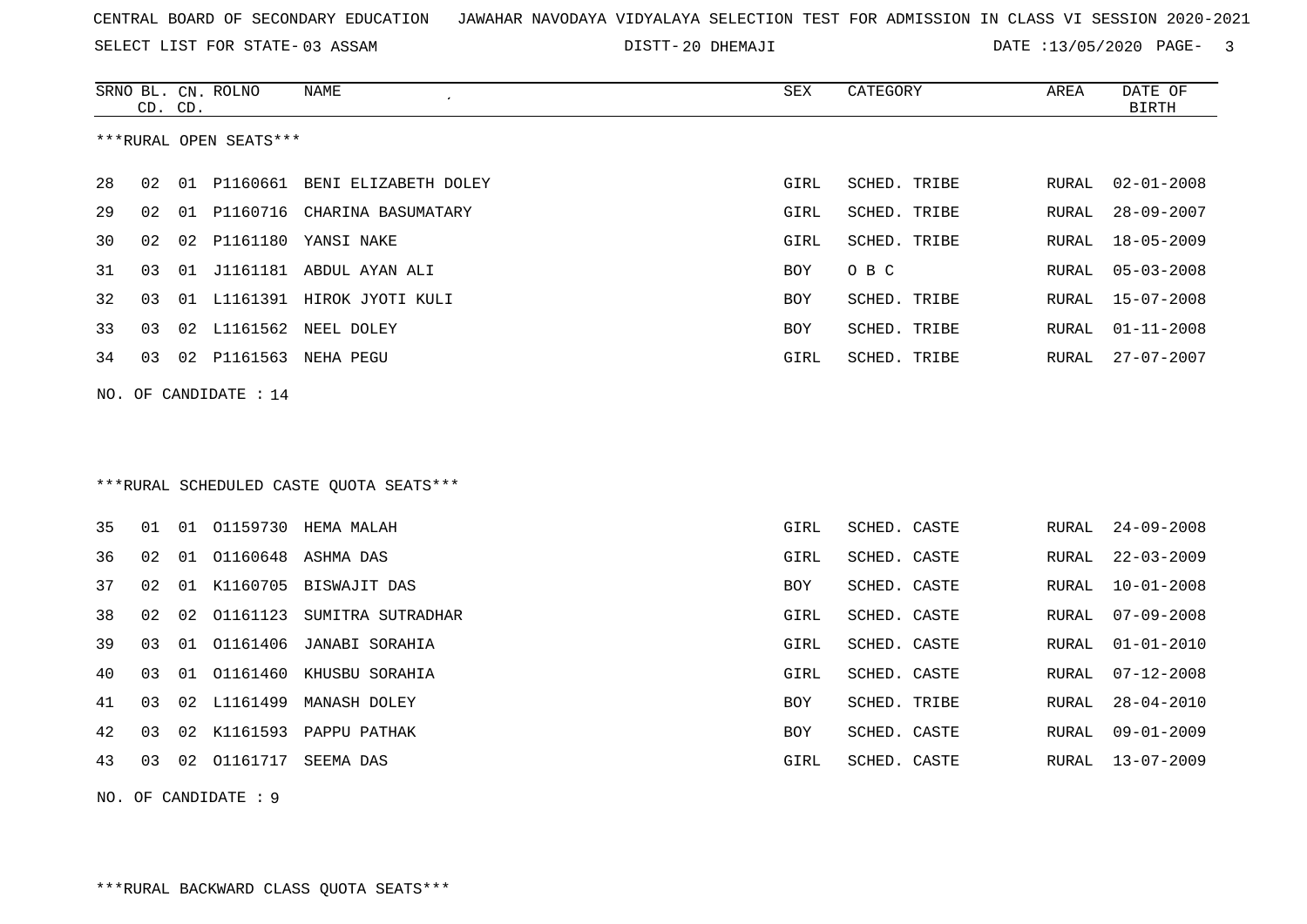20 DHEMAJI DATE :13/05/2020 PAGE- 3

|    |    | CD. CD. | SRNO BL. CN. ROLNO     | NAME                                     | <b>SEX</b> | CATEGORY     | AREA  | DATE OF<br><b>BIRTH</b> |
|----|----|---------|------------------------|------------------------------------------|------------|--------------|-------|-------------------------|
|    |    |         | ***RURAL OPEN SEATS*** |                                          |            |              |       |                         |
| 28 | 02 |         | 01 P1160661            | BENI ELIZABETH DOLEY                     | GIRL       | SCHED. TRIBE | RURAL | $02 - 01 - 2008$        |
| 29 | 02 |         |                        | 01 P1160716 CHARINA BASUMATARY           | GIRL       | SCHED. TRIBE | RURAL | $28 - 09 - 2007$        |
| 30 | 02 | 02      |                        | P1161180 YANSI NAKE                      | GIRL       | SCHED. TRIBE | RURAL | $18 - 05 - 2009$        |
| 31 | 03 | 01      |                        | J1161181 ABDUL AYAN ALI                  | <b>BOY</b> | O B C        | RURAL | $05 - 03 - 2008$        |
| 32 | 03 | 01      |                        | L1161391 HIROK JYOTI KULI                | BOY        | SCHED. TRIBE | RURAL | $15 - 07 - 2008$        |
| 33 | 03 |         |                        | 02 L1161562 NEEL DOLEY                   | <b>BOY</b> | SCHED. TRIBE | RURAL | $01 - 11 - 2008$        |
| 34 | 03 |         |                        | 02 P1161563 NEHA PEGU                    | GIRL       | SCHED. TRIBE | RURAL | $27 - 07 - 2007$        |
|    |    |         | NO. OF CANDIDATE : 14  |                                          |            |              |       |                         |
|    |    |         |                        |                                          |            |              |       |                         |
|    |    |         |                        |                                          |            |              |       |                         |
|    |    |         |                        | *** RURAL SCHEDULED CASTE QUOTA SEATS*** |            |              |       |                         |
| 35 | 01 | 01      |                        | O1159730 HEMA MALAH                      | GIRL       | SCHED. CASTE | RURAL | $24 - 09 - 2008$        |
| 36 | 02 | 01      |                        | 01160648 ASHMA DAS                       | GIRL       | SCHED. CASTE | RURAL | $22 - 03 - 2009$        |
| 37 | 02 | 01      |                        | K1160705 BISWAJIT DAS                    | <b>BOY</b> | SCHED. CASTE | RURAL | $10 - 01 - 2008$        |
| 38 | 02 | 02      |                        | 01161123 SUMITRA SUTRADHAR               | GIRL       | SCHED. CASTE | RURAL | $07 - 09 - 2008$        |
| 39 | 03 | 01      | 01161406               | JANABI SORAHIA                           | GIRL       | SCHED. CASTE | RURAL | $01 - 01 - 2010$        |
| 40 | 03 | 01      |                        | 01161460 KHUSBU SORAHIA                  | GIRL       | SCHED. CASTE | RURAL | $07 - 12 - 2008$        |
| 41 | 03 | 02      | L1161499               | MANASH DOLEY                             | BOY        | SCHED. TRIBE | RURAL | $28 - 04 - 2010$        |
| 42 | 03 | 02      |                        | K1161593 PAPPU PATHAK                    | BOY        | SCHED. CASTE | RURAL | $09 - 01 - 2009$        |
| 43 | 03 | 02      |                        | O1161717 SEEMA DAS                       | GIRL       | SCHED. CASTE | RURAL | $13 - 07 - 2009$        |
|    |    |         | NO. OF CANDIDATE : 9   |                                          |            |              |       |                         |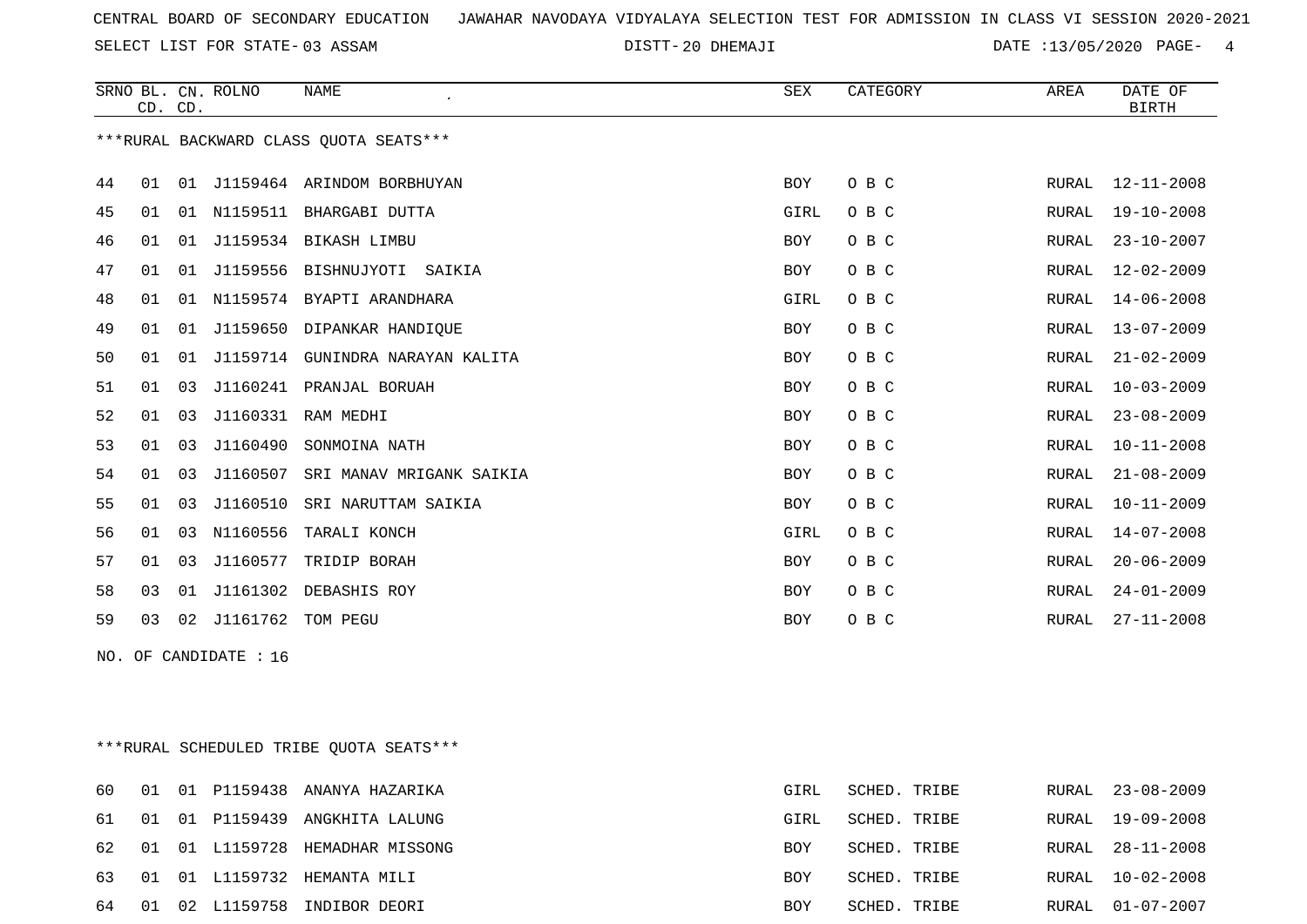SELECT LIST FOR STATE- DISTT- 03 ASSAM

20 DHEMAJI DATE :13/05/2020 PAGE- 4

|    |    | CD. CD.        | SRNO BL. CN. ROLNO | <b>NAME</b>                            | SEX        | CATEGORY | AREA  | DATE OF<br><b>BIRTH</b> |
|----|----|----------------|--------------------|----------------------------------------|------------|----------|-------|-------------------------|
|    |    |                |                    | ***RURAL BACKWARD CLASS OUOTA SEATS*** |            |          |       |                         |
| 44 | 01 | 01             |                    | J1159464 ARINDOM BORBHUYAN             | <b>BOY</b> | O B C    | RURAL | $12 - 11 - 2008$        |
| 45 | 01 |                |                    | 01 N1159511 BHARGABI DUTTA             | GIRL       | O B C    | RURAL | $19 - 10 - 2008$        |
| 46 | 01 | 01             |                    | J1159534 BIKASH LIMBU                  | <b>BOY</b> | O B C    | RURAL | $23 - 10 - 2007$        |
| 47 | 01 | 01             |                    | J1159556 BISHNUJYOTI SAIKIA            | <b>BOY</b> | O B C    | RURAL | $12 - 02 - 2009$        |
| 48 | 01 |                |                    | 01 N1159574 BYAPTI ARANDHARA           | GIRL       | O B C    | RURAL | $14 - 06 - 2008$        |
| 49 | 01 | 01             |                    | J1159650 DIPANKAR HANDIQUE             | BOY        | O B C    | RURAL | $13 - 07 - 2009$        |
| 50 | 01 | 01             | J1159714           | GUNINDRA NARAYAN KALITA                | BOY        | O B C    | RURAL | $21 - 02 - 2009$        |
| 51 | 01 | 0 <sub>3</sub> | J1160241           | PRANJAL BORUAH                         | <b>BOY</b> | O B C    | RURAL | $10 - 03 - 2009$        |
| 52 | 01 | 03             | J1160331           | RAM MEDHI                              | <b>BOY</b> | O B C    | RURAL | $23 - 08 - 2009$        |
| 53 | 01 | 03             | J1160490           | SONMOINA NATH                          | BOY        | O B C    | RURAL | $10 - 11 - 2008$        |
| 54 | 01 | 03             | J1160507           | SRI MANAV MRIGANK SAIKIA               | BOY        | O B C    | RURAL | $21 - 08 - 2009$        |
| 55 | 01 | 03             | J1160510           | SRI NARUTTAM SAIKIA                    | BOY        | O B C    | RURAL | $10 - 11 - 2009$        |
| 56 | 01 | 03             | N1160556           | TARALI KONCH                           | GIRL       | O B C    | RURAL | $14 - 07 - 2008$        |
| 57 | 01 | 03             | J1160577           | TRIDIP BORAH                           | <b>BOY</b> | O B C    | RURAL | $20 - 06 - 2009$        |
| 58 | 03 | 01             |                    | J1161302 DEBASHIS ROY                  | <b>BOY</b> | O B C    | RURAL | $24 - 01 - 2009$        |
| 59 | 03 | 02             | J1161762           | TOM PEGU                               | BOY        | O B C    | RURAL | $27 - 11 - 2008$        |
|    |    |                |                    |                                        |            |          |       |                         |

NO. OF CANDIDATE : 16

\*\*\*RURAL SCHEDULED TRIBE QUOTA SEATS\*\*\*

| 60    |  | 01 01 P1159438 ANANYA HAZARIKA     | GIRL | SCHED. TRIBE |       | RURAL 23-08-2009 |
|-------|--|------------------------------------|------|--------------|-------|------------------|
|       |  | 61 01 01 P1159439 ANGKHITA LALUNG  | GIRL | SCHED. TRIBE |       | RURAL 19-09-2008 |
|       |  | 62 01 01 L1159728 HEMADHAR MISSONG | BOY  | SCHED. TRIBE |       | RURAL 28-11-2008 |
|       |  | 63 01 01 L1159732 HEMANTA MILI     | BOY  | SCHED. TRIBE | RURAL | 10-02-2008       |
| 64 01 |  | 02 L1159758 INDIBOR DEORI          | BOY  | SCHED. TRIBE |       | RURAL 01-07-2007 |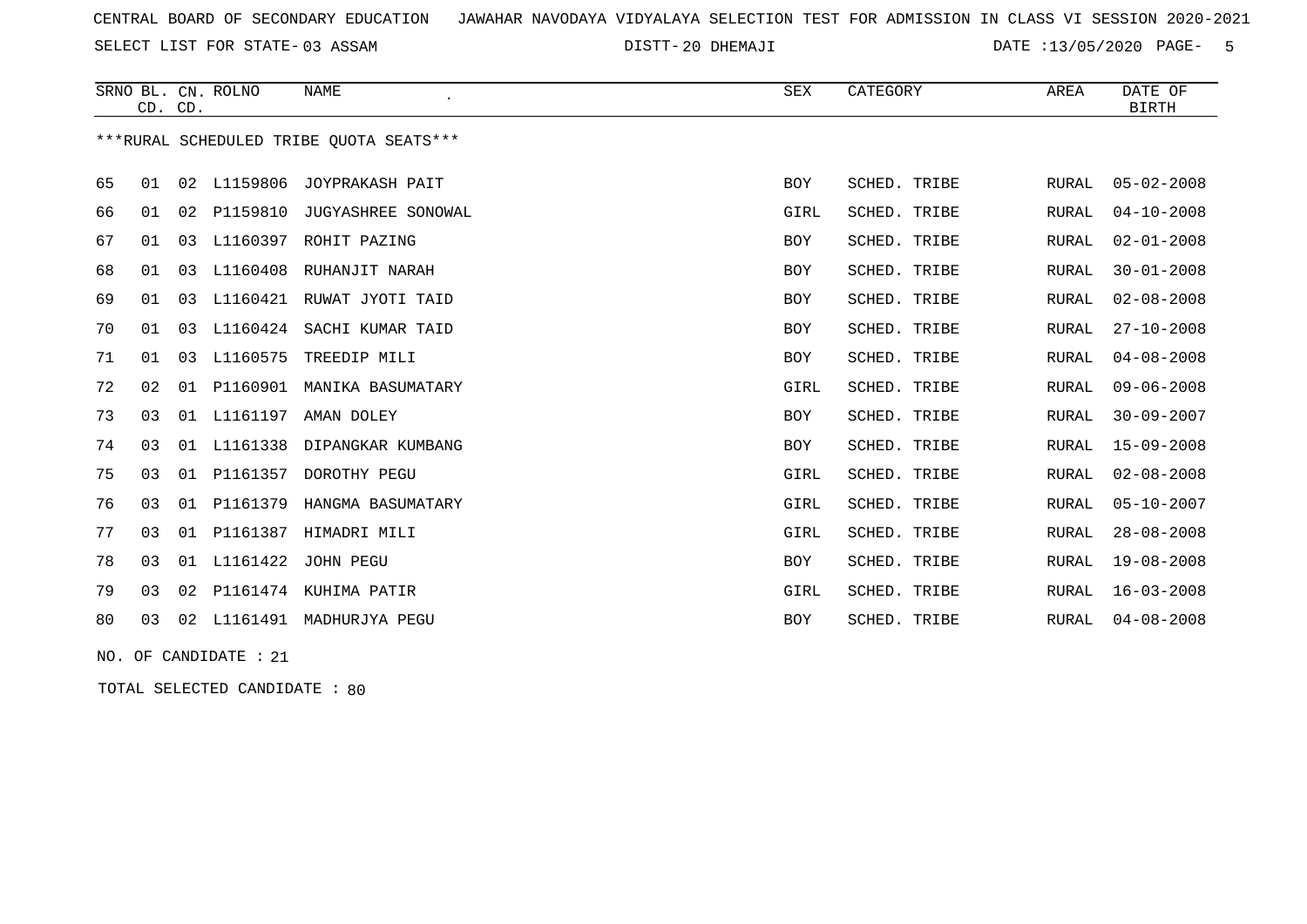SELECT LIST FOR STATE- DISTT- 03 ASSAM

20 DHEMAJI DATE :13/05/2020 PAGE- 5

|         |               | CD. CD. | SRNO BL. CN. ROLNO | <b>NAME</b>                             | SEX        | CATEGORY     | AREA         | DATE OF<br><b>BIRTH</b> |
|---------|---------------|---------|--------------------|-----------------------------------------|------------|--------------|--------------|-------------------------|
|         |               |         |                    | ***RURAL SCHEDULED TRIBE OUOTA SEATS*** |            |              |              |                         |
| 65      | 01            |         | 02 L1159806        | JOYPRAKASH PAIT                         | <b>BOY</b> | SCHED. TRIBE | RURAL        | $05 - 02 - 2008$        |
| 66      | 01            | 02      | P1159810           | JUGYASHREE SONOWAL                      | GIRL       | SCHED. TRIBE | <b>RURAL</b> | $04 - 10 - 2008$        |
| 67      | 01            |         |                    | 03 L1160397 ROHIT PAZING                | BOY        | SCHED. TRIBE | <b>RURAL</b> | $02 - 01 - 2008$        |
| 68      | 01            |         |                    | 03 L1160408 RUHANJIT NARAH              | BOY        | SCHED. TRIBE | RURAL        | $30 - 01 - 2008$        |
| 69      | 01            | 03      |                    | L1160421 RUWAT JYOTI TAID               | BOY        | SCHED. TRIBE | <b>RURAL</b> | $02 - 08 - 2008$        |
| 70      | 01            | 03      | L1160424           | SACHI KUMAR TAID                        | <b>BOY</b> | SCHED. TRIBE | RURAL        | $27 - 10 - 2008$        |
| 71      | 01            | 03      | L1160575           | TREEDIP MILI                            | BOY        | SCHED. TRIBE | <b>RURAL</b> | $04 - 08 - 2008$        |
| 72      | 02            |         | 01 P1160901        | MANIKA BASUMATARY                       | GIRL       | SCHED. TRIBE | <b>RURAL</b> | $09 - 06 - 2008$        |
| 73      | 03            | 01      | L1161197           | AMAN DOLEY                              | <b>BOY</b> | SCHED. TRIBE | <b>RURAL</b> | $30 - 09 - 2007$        |
| 74      | 03            |         | 01 L1161338        | DIPANGKAR KUMBANG                       | BOY        | SCHED. TRIBE | <b>RURAL</b> | $15 - 09 - 2008$        |
| 75      | 03            | 01      | P1161357           | DOROTHY PEGU                            | GIRL       | SCHED. TRIBE | <b>RURAL</b> | $02 - 08 - 2008$        |
| 76      | 03            |         |                    | 01 P1161379 HANGMA BASUMATARY           | GIRL       | SCHED. TRIBE | <b>RURAL</b> | $05 - 10 - 2007$        |
| 77      | 03            |         |                    | 01 P1161387 HIMADRI MILI                | GIRL       | SCHED. TRIBE | <b>RURAL</b> | $28 - 08 - 2008$        |
| 78      | 03            |         | 01 L1161422        | JOHN PEGU                               | <b>BOY</b> | SCHED. TRIBE | RURAL        | $19 - 08 - 2008$        |
| 79      | 03            | 02      |                    | P1161474 KUHIMA PATIR                   | GIRL       | SCHED. TRIBE | <b>RURAL</b> | $16 - 03 - 2008$        |
| 80      | 03            | 02      |                    | L1161491 MADHURJYA PEGU                 | <b>BOY</b> | SCHED. TRIBE | RURAL        | $04 - 08 - 2008$        |
| $- - -$ | $\sim$ $\sim$ |         |                    |                                         |            |              |              |                         |

NO. OF CANDIDATE : 21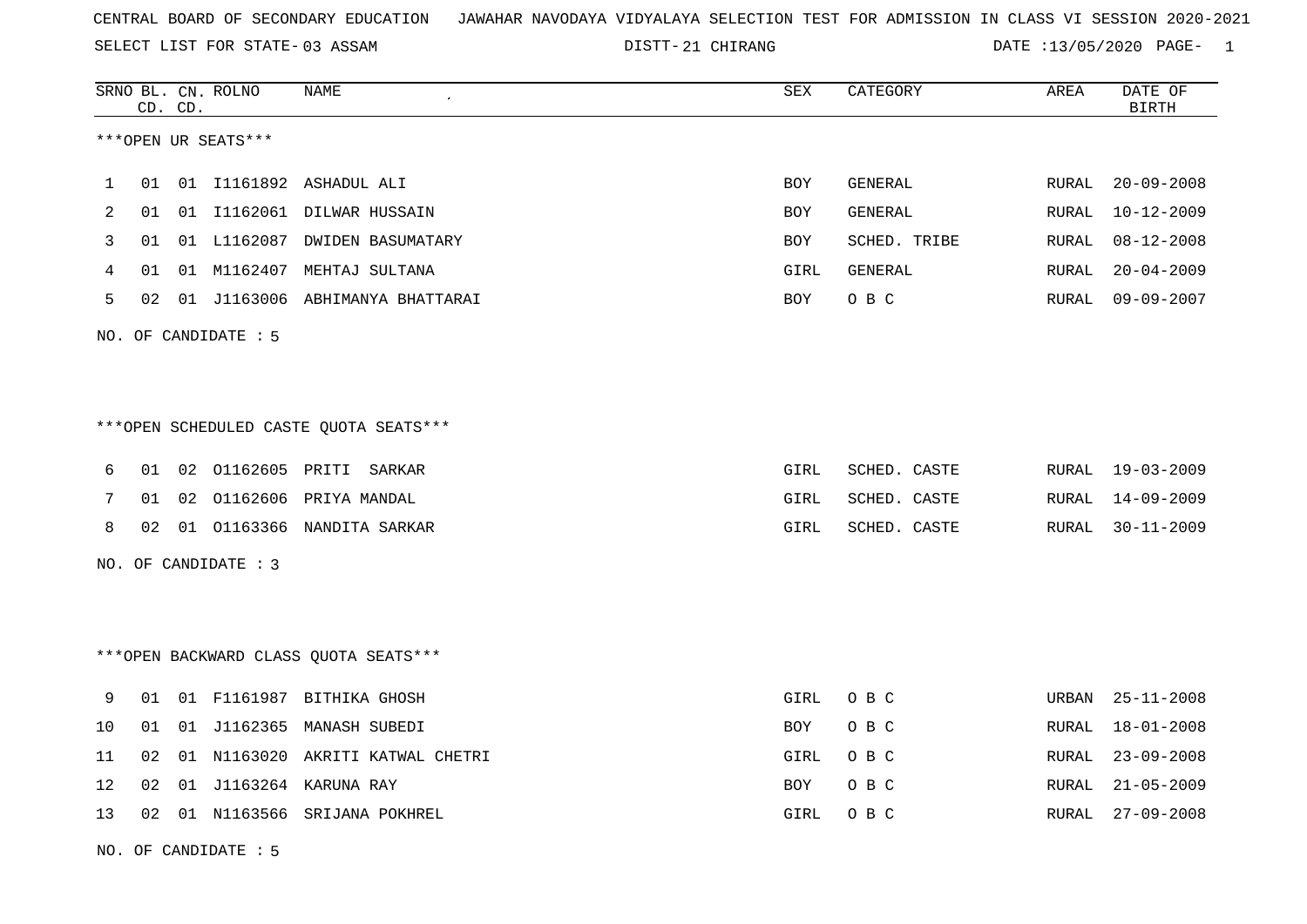SELECT LIST FOR STATE- DISTT- 03 ASSAM

21 CHIRANG DATE :13/05/2020 PAGE- 1

|    |    | CD. CD. | SRNO BL. CN. ROLNO     | NAME                                    | <b>SEX</b> | CATEGORY     | AREA  | DATE OF<br><b>BIRTH</b> |
|----|----|---------|------------------------|-----------------------------------------|------------|--------------|-------|-------------------------|
|    |    |         | ***OPEN UR SEATS***    |                                         |            |              |       |                         |
| 1  | 01 |         |                        | 01 I1161892 ASHADUL ALI                 | <b>BOY</b> | GENERAL      | RURAL | $20 - 09 - 2008$        |
| 2  | 01 |         |                        | 01 I1162061 DILWAR HUSSAIN              | <b>BOY</b> | GENERAL      | RURAL | $10 - 12 - 2009$        |
| 3  | 01 |         |                        | 01 L1162087 DWIDEN BASUMATARY           | <b>BOY</b> | SCHED. TRIBE | RURAL | $08 - 12 - 2008$        |
| 4  | 01 |         |                        | 01 M1162407 MEHTAJ SULTANA              | GIRL       | GENERAL      | RURAL | $20 - 04 - 2009$        |
| 5  | 02 |         |                        | 01 J1163006 ABHIMANYA BHATTARAI         | BOY        | O B C        | RURAL | $09 - 09 - 2007$        |
|    |    |         | NO. OF CANDIDATE $: 5$ |                                         |            |              |       |                         |
|    |    |         |                        |                                         |            |              |       |                         |
|    |    |         |                        |                                         |            |              |       |                         |
|    |    |         |                        | ***OPEN SCHEDULED CASTE QUOTA SEATS***  |            |              |       |                         |
| 6  | 01 |         |                        | 02 01162605 PRITI SARKAR                | GIRL       | SCHED. CASTE | RURAL | 19-03-2009              |
| 7  | 01 |         |                        | 02 01162606 PRIYA MANDAL                | GIRL       | SCHED. CASTE | RURAL | $14 - 09 - 2009$        |
| 8  | 02 |         |                        | 01 01163366 NANDITA SARKAR              | GIRL       | SCHED. CASTE | RURAL | $30 - 11 - 2009$        |
|    |    |         | NO. OF CANDIDATE : 3   |                                         |            |              |       |                         |
|    |    |         |                        |                                         |            |              |       |                         |
|    |    |         |                        |                                         |            |              |       |                         |
|    |    |         |                        | *** OPEN BACKWARD CLASS QUOTA SEATS *** |            |              |       |                         |
| 9  | 01 |         |                        | 01 F1161987 BITHIKA GHOSH               | GIRL       | O B C        | URBAN | $25 - 11 - 2008$        |
| 10 | 01 |         |                        | 01 J1162365 MANASH SUBEDI               | BOY        | O B C        | RURAL | $18 - 01 - 2008$        |
| 11 | 02 |         |                        | 01 N1163020 AKRITI KATWAL CHETRI        | GIRL       | O B C        | RURAL | $23 - 09 - 2008$        |
| 12 | 02 |         |                        | 01 J1163264 KARUNA RAY                  | BOY        | O B C        | RURAL | $21 - 05 - 2009$        |
| 13 | 02 |         |                        | 01 N1163566 SRIJANA POKHREL             | GIRL       | O B C        | RURAL | $27 - 09 - 2008$        |
|    |    |         |                        |                                         |            |              |       |                         |

NO. OF CANDIDATE : 5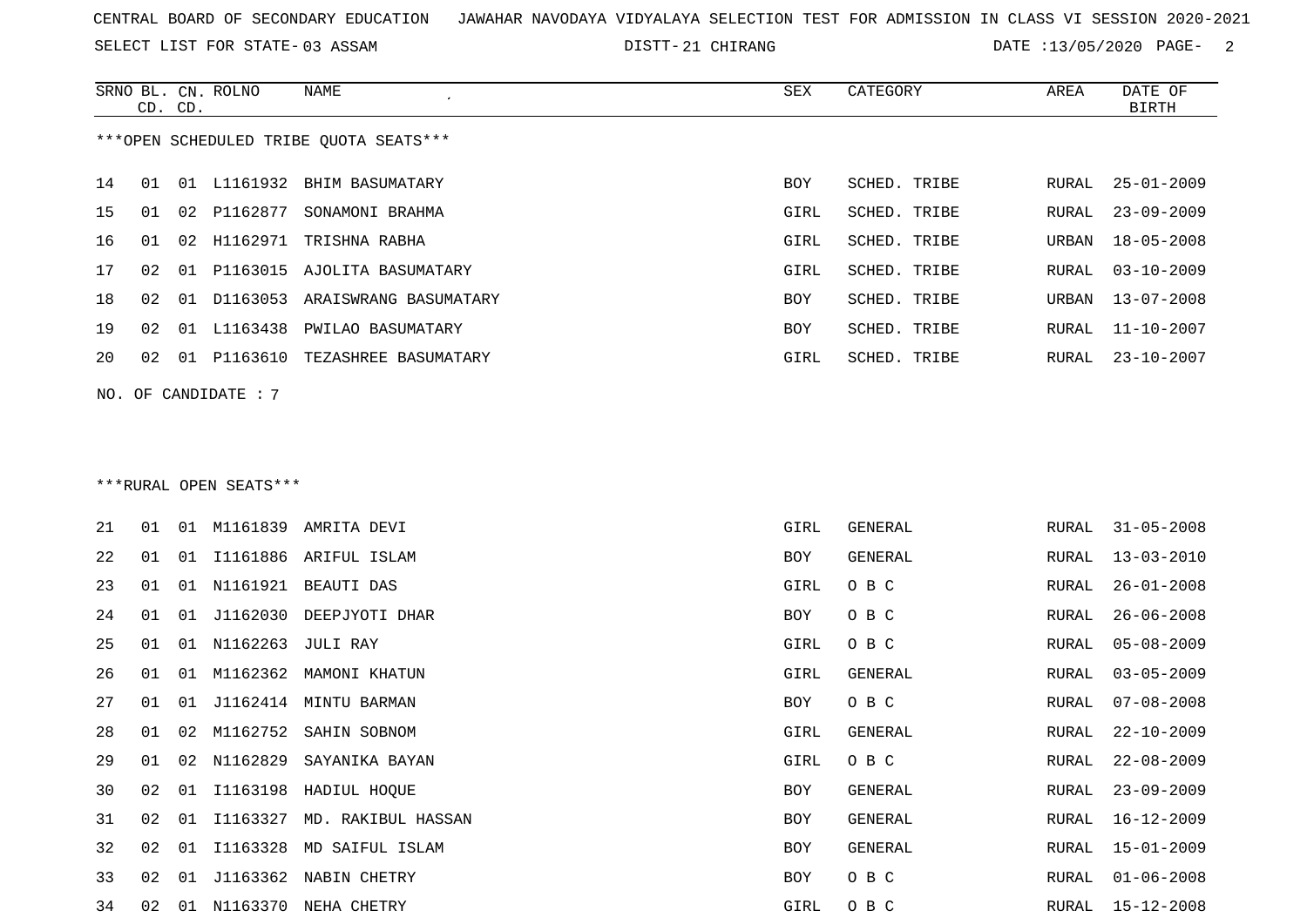SELECT LIST FOR STATE- DISTT- 03 ASSAM

DISTT-21 CHIRANG 2 DATE :13/05/2020 PAGE- 2

|    | CD. CD. |    | SRNO BL. CN. ROLNO | NAME                                   | SEX        | CATEGORY     | AREA  | DATE OF<br>BIRTH |
|----|---------|----|--------------------|----------------------------------------|------------|--------------|-------|------------------|
|    |         |    |                    | ***OPEN SCHEDULED TRIBE OUOTA SEATS*** |            |              |       |                  |
| 14 | 01      |    |                    | 01 L1161932 BHIM BASUMATARY            | BOY        | SCHED. TRIBE | RURAL | $25 - 01 - 2009$ |
| 15 | 01      | 02 | P1162877           | SONAMONI BRAHMA                        | GIRL       | SCHED. TRIBE | RURAL | $23 - 09 - 2009$ |
| 16 | 01      | 02 |                    | H1162971 TRISHNA RABHA                 | GIRL       | SCHED. TRIBE | URBAN | $18 - 05 - 2008$ |
| 17 | 02.     | 01 | P1163015           | AJOLITA BASUMATARY                     | GIRL       | SCHED. TRIBE | RURAL | $03 - 10 - 2009$ |
| 18 | 02      | 01 | D1163053           | ARAISWRANG BASUMATARY                  | <b>BOY</b> | SCHED. TRIBE | URBAN | 13-07-2008       |
| 19 | 02      | 01 | L1163438           | PWILAO BASUMATARY                      | BOY        | SCHED. TRIBE | RURAL | 11-10-2007       |
| 20 | 02      | 01 | P1163610           | TEZASHREE BASUMATARY                   | GIRL       | SCHED. TRIBE | RURAL | $23 - 10 - 2007$ |
|    |         |    |                    |                                        |            |              |       |                  |

NO. OF CANDIDATE : 7

### \*\*\*RURAL OPEN SEATS\*\*\*

| 21 | 01 | 01 |          | M1161839 AMRITA DEVI     | GIRL | GENERAL | RURAL | $31 - 05 - 2008$ |
|----|----|----|----------|--------------------------|------|---------|-------|------------------|
| 22 | 01 | 01 |          | I1161886 ARIFUL ISLAM    | BOY  | GENERAL | RURAL | 13-03-2010       |
| 23 | 01 | 01 | N1161921 | BEAUTI DAS               | GIRL | O B C   | RURAL | $26 - 01 - 2008$ |
| 24 | 01 | 01 | J1162030 | DEEPJYOTI DHAR           | BOY  | O B C   | RURAL | $26 - 06 - 2008$ |
| 25 | 01 | 01 | N1162263 | JULI RAY                 | GIRL | O B C   | RURAL | $05 - 08 - 2009$ |
| 26 | 01 | 01 |          | M1162362 MAMONI KHATUN   | GIRL | GENERAL | RURAL | $03 - 05 - 2009$ |
| 27 | 01 | 01 | J1162414 | MINTU BARMAN             | BOY  | O B C   | RURAL | $07 - 08 - 2008$ |
| 28 | 01 | 02 |          | M1162752 SAHIN SOBNOM    | GIRL | GENERAL | RURAL | $22 - 10 - 2009$ |
| 29 | 01 | 02 | N1162829 | SAYANIKA BAYAN           | GIRL | O B C   | RURAL | $22 - 08 - 2009$ |
| 30 | 02 | 01 | I1163198 | HADIUL HOQUE             | BOY  | GENERAL | RURAL | $23 - 09 - 2009$ |
| 31 | 02 | 01 | I1163327 | MD. RAKIBUL HASSAN       | BOY  | GENERAL | RURAL | $16 - 12 - 2009$ |
| 32 | 02 | 01 |          | I1163328 MD SAIFUL ISLAM | BOY  | GENERAL | RURAL | 15-01-2009       |
| 33 | 02 | 01 |          | J1163362 NABIN CHETRY    | BOY  | O B C   | RURAL | $01 - 06 - 2008$ |
| 34 | 02 | 01 | N1163370 | NEHA CHETRY              | GIRL | O B C   | RURAL | 15-12-2008       |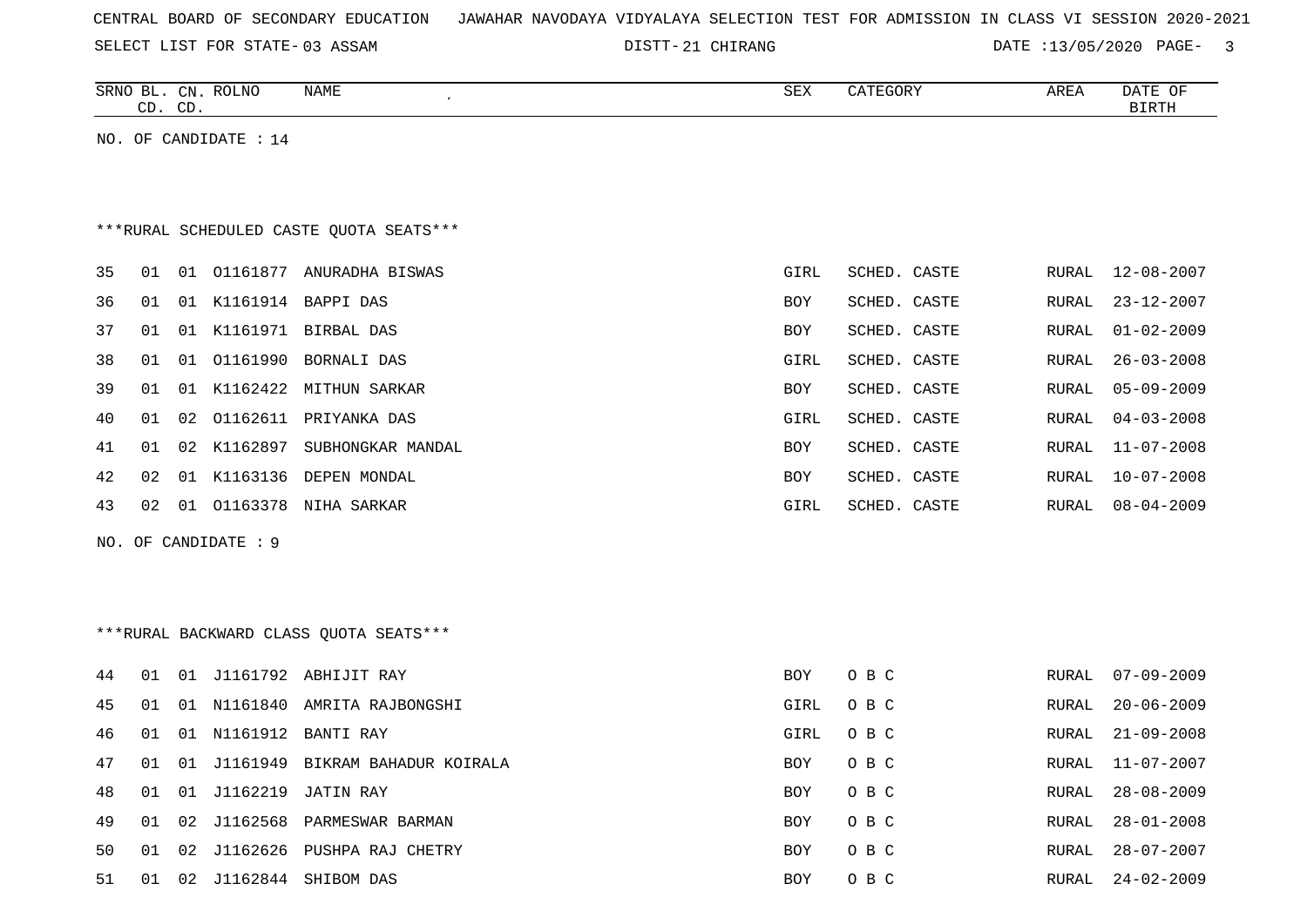|  |  |  |  | CENTRAL BOARD OF SECONDARY EDUCATION GUANAHAR NAVODAYA VIDYALAYA SELECTION TEST FOR ADMISSION IN CLASS VI SESSION 2020-2021 |  |  |  |  |  |  |  |  |  |  |  |  |  |
|--|--|--|--|-----------------------------------------------------------------------------------------------------------------------------|--|--|--|--|--|--|--|--|--|--|--|--|--|
|--|--|--|--|-----------------------------------------------------------------------------------------------------------------------------|--|--|--|--|--|--|--|--|--|--|--|--|--|

DISTT-21 CHIRANG 2008 2010 DATE :13/05/2020 PAGE-

|    |    | CD. CD. | SRNO BL. CN. ROLNO      | <b>NAME</b>                             | ${\tt SEX}$ | CATEGORY     | AREA         | DATE OF<br><b>BIRTH</b> |
|----|----|---------|-------------------------|-----------------------------------------|-------------|--------------|--------------|-------------------------|
|    |    |         | NO. OF CANDIDATE : $14$ |                                         |             |              |              |                         |
|    |    |         |                         |                                         |             |              |              |                         |
|    |    |         |                         |                                         |             |              |              |                         |
|    |    |         |                         | ***RURAL SCHEDULED CASTE OUOTA SEATS*** |             |              |              |                         |
| 35 | 01 | 01      |                         | 01161877 ANURADHA BISWAS                | GIRL        | SCHED. CASTE | RURAL        | $12 - 08 - 2007$        |
| 36 | 01 |         |                         | 01 K1161914 BAPPI DAS                   | <b>BOY</b>  | SCHED. CASTE | RURAL        | $23 - 12 - 2007$        |
| 37 | 01 |         |                         | 01 K1161971 BIRBAL DAS                  | BOY         | SCHED. CASTE | RURAL        | $01 - 02 - 2009$        |
| 38 | 01 |         |                         | 01 01161990 BORNALI DAS                 | GIRL        | SCHED. CASTE | <b>RURAL</b> | $26 - 03 - 2008$        |
| 39 | 01 |         |                         | 01 K1162422 MITHUN SARKAR               | BOY         | SCHED. CASTE | RURAL        | $05 - 09 - 2009$        |
| 40 | 01 | 02      |                         | 01162611 PRIYANKA DAS                   | GIRL        | SCHED. CASTE | <b>RURAL</b> | $04 - 03 - 2008$        |
| 41 | 01 |         |                         | 02 K1162897 SUBHONGKAR MANDAL           | <b>BOY</b>  | SCHED. CASTE | <b>RURAL</b> | $11 - 07 - 2008$        |
| 42 | 02 |         |                         | 01 K1163136 DEPEN MONDAL                | BOY         | SCHED. CASTE | RURAL        | $10 - 07 - 2008$        |
| 43 | 02 |         |                         | 01  01163378  NIHA SARKAR               | GIRL        | SCHED. CASTE | RURAL        | $08 - 04 - 2009$        |
|    |    |         | NO. OF CANDIDATE : 9    |                                         |             |              |              |                         |
|    |    |         |                         |                                         |             |              |              |                         |
|    |    |         |                         |                                         |             |              |              |                         |
|    |    |         |                         | ***RURAL BACKWARD CLASS QUOTA SEATS***  |             |              |              |                         |
|    |    |         |                         |                                         |             |              |              |                         |
| 44 | 01 |         |                         | 01 J1161792 ABHIJIT RAY                 | BOY         | O B C        | RURAL        | $07 - 09 - 2009$        |
| 45 | 01 |         |                         | 01 N1161840 AMRITA RAJBONGSHI           | GIRL        | O B C        | RURAL        | $20 - 06 - 2009$        |
| 46 | 01 |         |                         | 01 N1161912 BANTI RAY                   | GIRL        | O B C        | RURAL        | $21 - 09 - 2008$        |
| 47 | 01 |         |                         | 01 J1161949 BIKRAM BAHADUR KOIRALA      | BOY         | O B C        | RURAL        | $11 - 07 - 2007$        |
| 48 | 01 |         | 01 J1162219             | <b>JATIN RAY</b>                        | <b>BOY</b>  | O B C        | RURAL        | $28 - 08 - 2009$        |
| 49 | 01 | 02      | J1162568                | PARMESWAR BARMAN                        | <b>BOY</b>  | O B C        | RURAL        | $28 - 01 - 2008$        |
| 50 | 01 | 02      |                         | J1162626 PUSHPA RAJ CHETRY              | <b>BOY</b>  | O B C        | <b>RURAL</b> | $28 - 07 - 2007$        |

51 01 02 J1162844 SHIBOM DAS BOY O B C RURAL 24-02-2009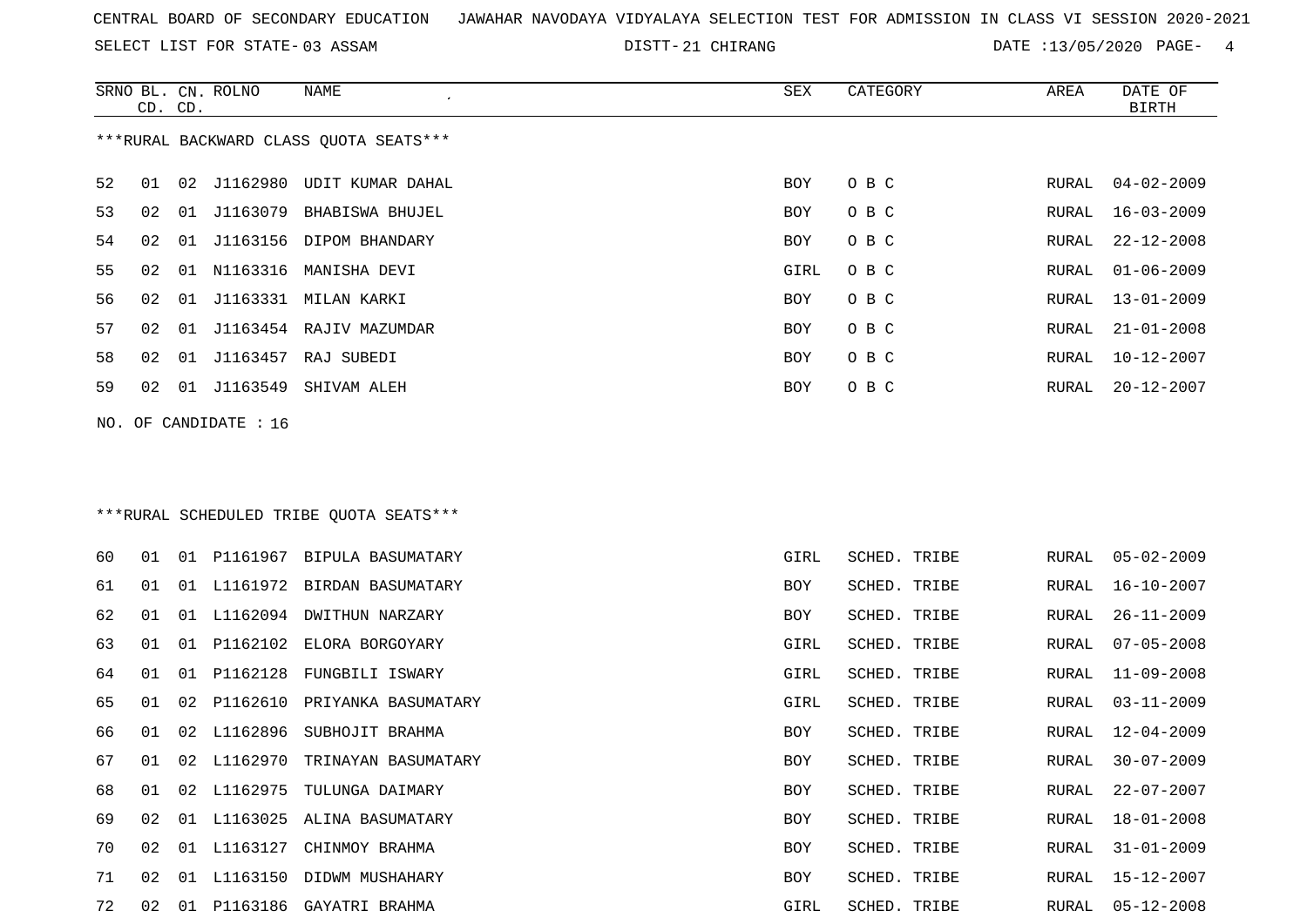SELECT LIST FOR STATE- DISTT- 03 ASSAM

SRNO BL. CN.

ROLNO NAME SEX CATEGORY AREA DATE OF

DISTT-21 CHIRANG 2020 DATE :13/05/2020 PAGE- 4

|    | CD. CD. |    |                       |                                         |      |              |       | <b>BIRTH</b>     |
|----|---------|----|-----------------------|-----------------------------------------|------|--------------|-------|------------------|
|    |         |    |                       | ***RURAL BACKWARD CLASS QUOTA SEATS***  |      |              |       |                  |
| 52 | 01      | 02 | J1162980              | UDIT KUMAR DAHAL                        | BOY  | O B C        | RURAL | $04 - 02 - 2009$ |
| 53 | 02      | 01 | J1163079              | BHABISWA BHUJEL                         | BOY  | O B C        | RURAL | $16 - 03 - 2009$ |
| 54 | 02      | 01 |                       | J1163156 DIPOM BHANDARY                 | BOY  | O B C        | RURAL | $22 - 12 - 2008$ |
| 55 | 02      | 01 | N1163316              | MANISHA DEVI                            | GIRL | O B C        | RURAL | $01 - 06 - 2009$ |
| 56 | 02      | 01 |                       | J1163331 MILAN KARKI                    | BOY  | O B C        | RURAL | $13 - 01 - 2009$ |
| 57 | 02      | 01 |                       | J1163454 RAJIV MAZUMDAR                 | BOY  | O B C        | RURAL | $21 - 01 - 2008$ |
| 58 | 02      |    |                       | 01 J1163457 RAJ SUBEDI                  | BOY  | O B C        | RURAL | $10 - 12 - 2007$ |
| 59 | 02      |    |                       | 01 J1163549 SHIVAM ALEH                 | BOY  | O B C        | RURAL | $20 - 12 - 2007$ |
|    |         |    | NO. OF CANDIDATE : 16 |                                         |      |              |       |                  |
|    |         |    |                       |                                         |      |              |       |                  |
|    |         |    |                       | ***RURAL SCHEDULED TRIBE QUOTA SEATS*** |      |              |       |                  |
| 60 | 01      |    |                       | 01 P1161967 BIPULA BASUMATARY           | GIRL | SCHED. TRIBE | RURAL | $05 - 02 - 2009$ |
| 61 | 01      | 01 |                       | L1161972 BIRDAN BASUMATARY              | BOY  | SCHED. TRIBE | RURAL | 16-10-2007       |
| 62 | 01      | 01 |                       | L1162094 DWITHUN NARZARY                | BOY  | SCHED. TRIBE | RURAL | $26 - 11 - 2009$ |
| 63 | 01      | 01 | P1162102              | ELORA BORGOYARY                         | GIRL | SCHED. TRIBE | RURAL | $07 - 05 - 2008$ |
| 64 | 01      | 01 | P1162128              | FUNGBILI ISWARY                         | GIRL | SCHED. TRIBE | RURAL | $11 - 09 - 2008$ |
| 65 | 01      | 02 | P1162610              | PRIYANKA BASUMATARY                     | GIRL | SCHED. TRIBE | RURAL | $03 - 11 - 2009$ |
| 66 | 01      | 02 | L1162896              | SUBHOJIT BRAHMA                         | BOY  | SCHED. TRIBE | RURAL | $12 - 04 - 2009$ |
| 67 | 01      | 02 | L1162970              | TRINAYAN BASUMATARY                     | BOY  | SCHED. TRIBE | RURAL | $30 - 07 - 2009$ |
| 68 | 01      | 02 | L1162975              | TULUNGA DAIMARY                         | BOY  | SCHED. TRIBE | RURAL | $22 - 07 - 2007$ |
| 69 | 02      |    |                       | 01 L1163025 ALINA BASUMATARY            | BOY  | SCHED. TRIBE |       | RURAL 18-01-2008 |
| 70 | 02      |    |                       | 01 L1163127 CHINMOY BRAHMA              | BOY  | SCHED. TRIBE | RURAL | $31 - 01 - 2009$ |
| 71 | 02      |    |                       | 01 L1163150 DIDWM MUSHAHARY             | BOY  | SCHED. TRIBE | RURAL | 15-12-2007       |
| 72 |         |    |                       | 02 01 P1163186 GAYATRI BRAHMA           | GIRL | SCHED. TRIBE |       | RURAL 05-12-2008 |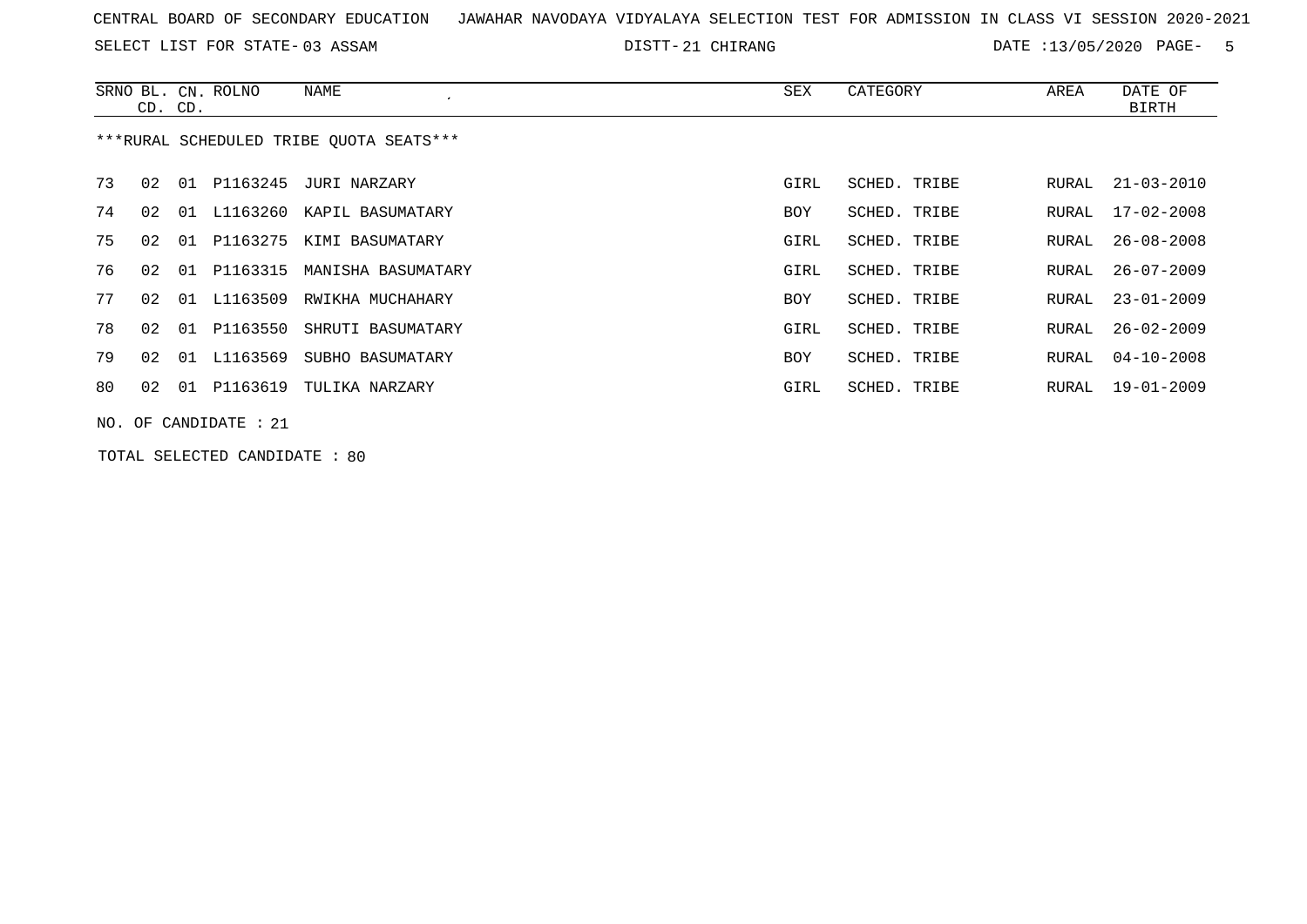SELECT LIST FOR STATE- DISTT- 03 ASSAM

21 CHIRANG DATE :13/05/2020 PAGE- 5

|    | CD. CD. |    | SRNO BL. CN. ROLNO      | NAME<br>$\cdot$                         | SEX        | CATEGORY     | AREA  | DATE OF<br>BIRTH |
|----|---------|----|-------------------------|-----------------------------------------|------------|--------------|-------|------------------|
|    |         |    |                         | ***RURAL SCHEDULED TRIBE OUOTA SEATS*** |            |              |       |                  |
| 73 | 02      | 01 |                         | P1163245 JURI NARZARY                   | GIRL       | SCHED. TRIBE | RURAL | $21 - 03 - 2010$ |
| 74 | 02      | 01 |                         | L1163260 KAPIL BASUMATARY               | <b>BOY</b> | SCHED. TRIBE | RURAL | $17 - 02 - 2008$ |
| 75 | 02      | 01 |                         | P1163275 KIMI BASUMATARY                | GIRL       | SCHED. TRIBE | RURAL | $26 - 08 - 2008$ |
| 76 | 02      | 01 | P1163315                | MANISHA BASUMATARY                      | GIRL       | SCHED. TRIBE | RURAL | $26 - 07 - 2009$ |
| 77 | 02      |    |                         | 01 L1163509 RWIKHA MUCHAHARY            | <b>BOY</b> | SCHED. TRIBE | RURAL | $23 - 01 - 2009$ |
| 78 | 02      | 01 | P1163550                | SHRUTI BASUMATARY                       | GIRL       | SCHED. TRIBE | RURAL | $26 - 02 - 2009$ |
| 79 | 02      | 01 | L1163569                | SUBHO BASUMATARY                        | <b>BOY</b> | SCHED. TRIBE | RURAL | $04 - 10 - 2008$ |
| 80 | 02      | 01 |                         | P1163619 TULIKA NARZARY                 | GIRL       | SCHED. TRIBE | RURAL | 19-01-2009       |
|    |         |    | NO. OF CANDIDATE : $21$ |                                         |            |              |       |                  |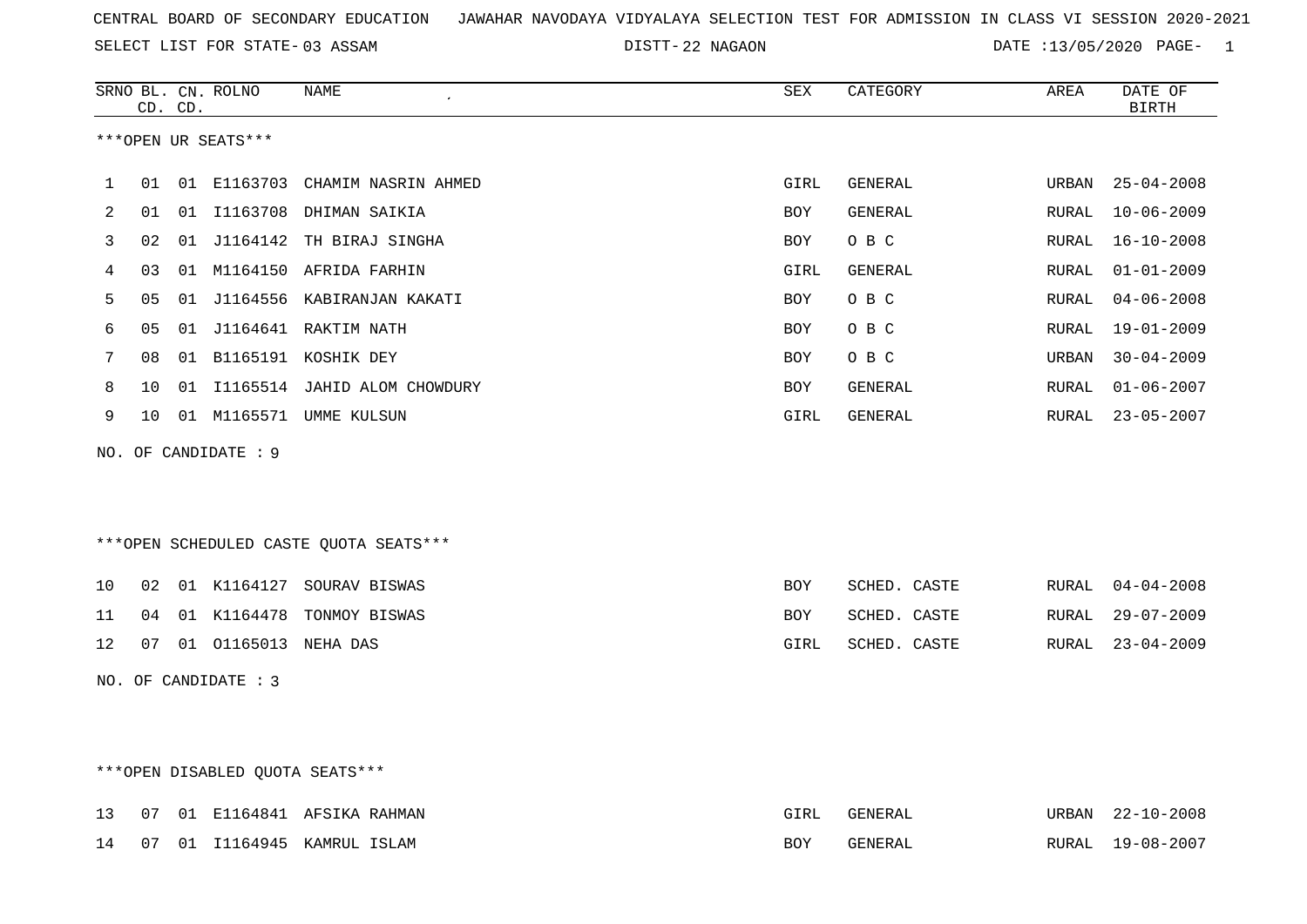22 NAGAON DATE :13/05/2020 PAGE- 1

|              | CD. CD. | SRNO BL. CN. ROLNO   | NAME<br>$\pmb{\cdot}$                  | SEX        | CATEGORY       | AREA         | DATE OF<br><b>BIRTH</b> |
|--------------|---------|----------------------|----------------------------------------|------------|----------------|--------------|-------------------------|
|              |         | ***OPEN UR SEATS***  |                                        |            |                |              |                         |
| $\mathbf{1}$ |         |                      | 01 01 E1163703 CHAMIM NASRIN AHMED     | GIRL       | GENERAL        | URBAN        | $25 - 04 - 2008$        |
| 2            | 01      | 01 11163708          | DHIMAN SAIKIA                          | BOY        | GENERAL        | <b>RURAL</b> | $10 - 06 - 2009$        |
| 3            | 02      |                      | 01 J1164142 TH BIRAJ SINGHA            | BOY        | O B C          | <b>RURAL</b> | $16 - 10 - 2008$        |
| 4            | 03      |                      | 01 M1164150 AFRIDA FARHIN              | GIRL       | <b>GENERAL</b> | RURAL        | $01 - 01 - 2009$        |
| 5            | 05      |                      | 01 J1164556 KABIRANJAN KAKATI          | <b>BOY</b> | O B C          | RURAL        | $04 - 06 - 2008$        |
| 6            | 05      |                      | 01 J1164641 RAKTIM NATH                | <b>BOY</b> | O B C          | RURAL        | $19 - 01 - 2009$        |
| 7            | 08      |                      | 01 B1165191 KOSHIK DEY                 | <b>BOY</b> | O B C          | URBAN        | $30 - 04 - 2009$        |
| 8            | 10      |                      | 01 I1165514 JAHID ALOM CHOWDURY        | BOY        | GENERAL        | <b>RURAL</b> | $01 - 06 - 2007$        |
| 9            | 10      |                      | 01 M1165571 UMME KULSUN                | GIRL       | GENERAL        | RURAL        | $23 - 05 - 2007$        |
|              |         | NO. OF CANDIDATE: 9  |                                        |            |                |              |                         |
|              |         |                      |                                        |            |                |              |                         |
|              |         |                      |                                        |            |                |              |                         |
|              |         |                      | ***OPEN SCHEDULED CASTE QUOTA SEATS*** |            |                |              |                         |
| 10           | 02      |                      | 01 K1164127 SOURAV BISWAS              | BOY        | SCHED. CASTE   | RURAL        | $04 - 04 - 2008$        |
| 11           | 04      |                      | 01 K1164478 TONMOY BISWAS              | <b>BOY</b> | SCHED. CASTE   | RURAL        | $29 - 07 - 2009$        |
| 12           | 07      | 01 01165013          | NEHA DAS                               | GIRL       | SCHED. CASTE   | RURAL        | $23 - 04 - 2009$        |
|              |         | NO. OF CANDIDATE : 3 |                                        |            |                |              |                         |
|              |         |                      |                                        |            |                |              |                         |
|              |         |                      |                                        |            |                |              |                         |

## \*\*\*OPEN DISABLED QUOTA SEATS\*\*\*

|  |  | 13 07 01 E1164841 AFSIKA RAHMAN | GIRL | GENERAL | URBAN 22-10-2008 |
|--|--|---------------------------------|------|---------|------------------|
|  |  | 14 07 01 I1164945 KAMRUL ISLAM  | BOY  | GENERAL | RURAL 19-08-2007 |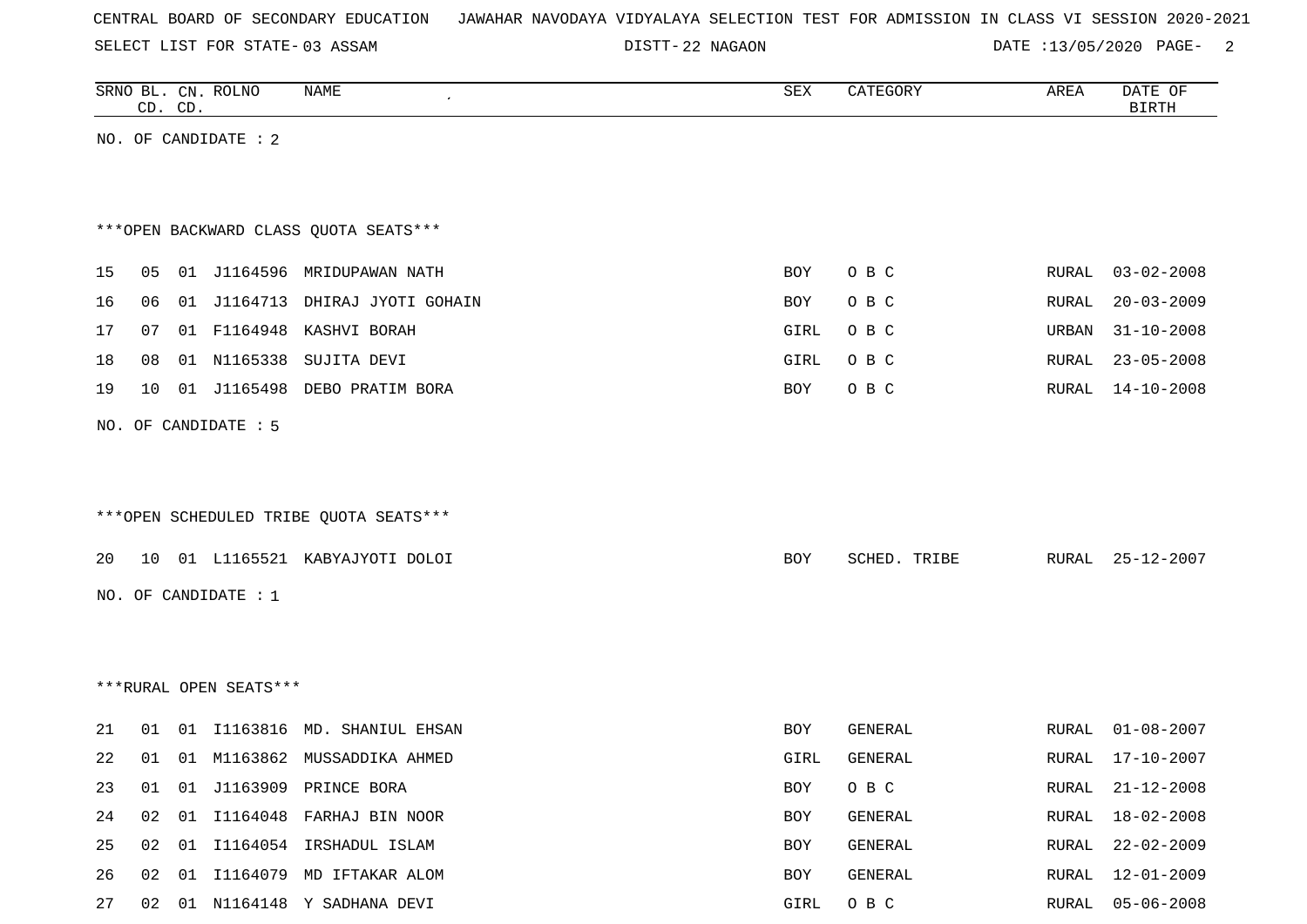SELECT LIST FOR STATE- DISTT- 03 ASSAM

22 NAGAON DATE :13/05/2020 PAGE- 2

|    |    | CD. CD. | SRNO BL. CN. ROLNO     | <b>NAME</b>                            | SEX  | CATEGORY     | AREA          | DATE OF<br><b>BIRTH</b> |
|----|----|---------|------------------------|----------------------------------------|------|--------------|---------------|-------------------------|
|    |    |         | NO. OF CANDIDATE : 2   |                                        |      |              |               |                         |
|    |    |         |                        |                                        |      |              |               |                         |
|    |    |         |                        |                                        |      |              |               |                         |
|    |    |         |                        | *** OPEN BACKWARD CLASS QUOTA SEATS*** |      |              |               |                         |
| 15 | 05 | 01      |                        | J1164596 MRIDUPAWAN NATH               | BOY  | O B C        | RURAL         | $03 - 02 - 2008$        |
| 16 | 06 | 01      | J1164713               | DHIRAJ JYOTI GOHAIN                    | BOY  | O B C        | RURAL         | $20 - 03 - 2009$        |
| 17 | 07 |         |                        | 01 F1164948 KASHVI BORAH               | GIRL | O B C        | URBAN         | $31 - 10 - 2008$        |
| 18 | 08 | 01      | N1165338               | SUJITA DEVI                            | GIRL | O B C        | ${\tt RURAL}$ | $23 - 05 - 2008$        |
| 19 | 10 | 01      | J1165498               | DEBO PRATIM BORA                       | BOY  | O B C        | RURAL         | $14 - 10 - 2008$        |
|    |    |         |                        |                                        |      |              |               |                         |
|    |    |         | NO. OF CANDIDATE : 5   |                                        |      |              |               |                         |
|    |    |         |                        |                                        |      |              |               |                         |
|    |    |         |                        |                                        |      |              |               |                         |
|    |    |         |                        | ***OPEN SCHEDULED TRIBE QUOTA SEATS*** |      |              |               |                         |
| 20 |    |         |                        | 10 01 L1165521 KABYAJYOTI DOLOI        | BOY  | SCHED. TRIBE | RURAL         | $25 - 12 - 2007$        |
|    |    |         | NO. OF CANDIDATE : $1$ |                                        |      |              |               |                         |
|    |    |         |                        |                                        |      |              |               |                         |
|    |    |         |                        |                                        |      |              |               |                         |
|    |    |         |                        |                                        |      |              |               |                         |
|    |    |         | ***RURAL OPEN SEATS*** |                                        |      |              |               |                         |
| 21 | 01 | 01      |                        | I1163816 MD. SHANIUL EHSAN             | BOY  | GENERAL      | RURAL         | $01 - 08 - 2007$        |
| 22 | 01 |         |                        | 01 M1163862 MUSSADDIKA AHMED           | GIRL | GENERAL      | RURAL         | 17-10-2007              |
| 23 |    |         |                        | 01 01 J1163909 PRINCE BORA             | BOY  | O B C        |               | RURAL 21-12-2008        |
| 24 |    |         |                        | 02 01 I1164048 FARHAJ BIN NOOR         | BOY  | GENERAL      | RURAL         | $18 - 02 - 2008$        |
| 25 |    |         |                        | 02 01 I1164054 IRSHADUL ISLAM          | BOY  | GENERAL      | RURAL         | $22 - 02 - 2009$        |
| 26 |    |         |                        | 02 01 I1164079 MD IFTAKAR ALOM         | BOY  | GENERAL      |               | RURAL 12-01-2009        |
| 27 |    |         |                        | 02 01 N1164148 Y SADHANA DEVI          | GIRL | O B C        |               | RURAL 05-06-2008        |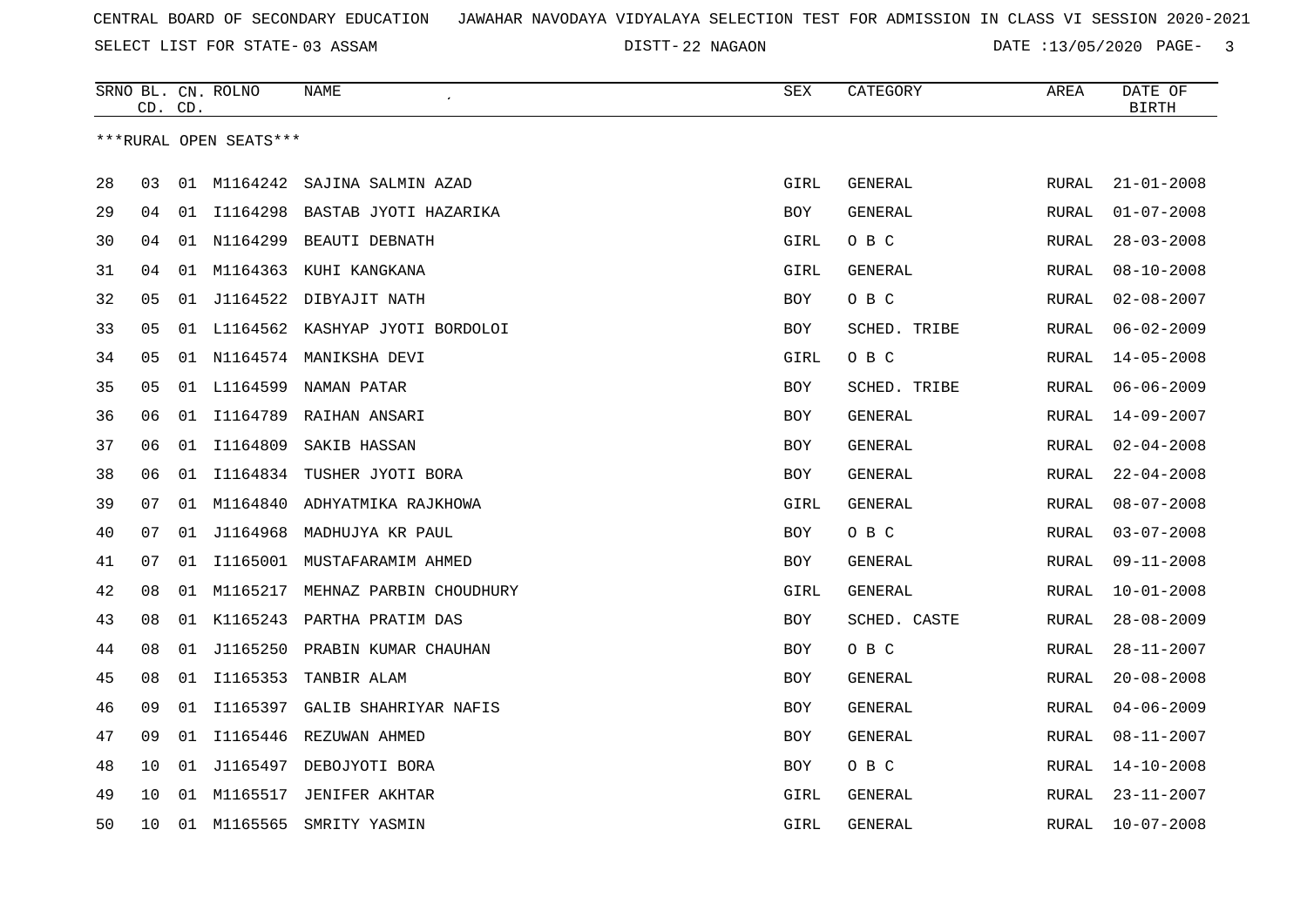SELECT LIST FOR STATE- DISTT- 03 ASSAM

DISTT-22 NAGAON **DATE** :13/05/2020 PAGE- 3

|    | SRNO BL. CN. ROLNO<br>CD. CD. |    |                        | NAME                            | SEX         | CATEGORY     | AREA         | DATE OF<br><b>BIRTH</b> |  |  |
|----|-------------------------------|----|------------------------|---------------------------------|-------------|--------------|--------------|-------------------------|--|--|
|    |                               |    | ***RURAL OPEN SEATS*** |                                 |             |              |              |                         |  |  |
|    |                               |    |                        |                                 |             |              |              |                         |  |  |
| 28 | 03                            |    | 01 M1164242            | SAJINA SALMIN AZAD              | GIRL        | GENERAL      | <b>RURAL</b> | $21 - 01 - 2008$        |  |  |
| 29 | 04                            | 01 |                        | I1164298 BASTAB JYOTI HAZARIKA  | BOY         | GENERAL      | RURAL        | $01 - 07 - 2008$        |  |  |
| 30 | 04                            | 01 | N1164299               | BEAUTI DEBNATH                  | GIRL        | O B C        | RURAL        | $28 - 03 - 2008$        |  |  |
| 31 | 04                            |    |                        | 01 M1164363 KUHI KANGKANA       | GIRL        | GENERAL      | RURAL        | $08 - 10 - 2008$        |  |  |
| 32 | 05                            | 01 |                        | J1164522 DIBYAJIT NATH          | <b>BOY</b>  | O B C        | RURAL        | $02 - 08 - 2007$        |  |  |
| 33 | 05                            | 01 |                        | L1164562 KASHYAP JYOTI BORDOLOI | BOY         | SCHED. TRIBE | RURAL        | $06 - 02 - 2009$        |  |  |
| 34 | 05                            |    |                        | 01 N1164574 MANIKSHA DEVI       | GIRL        | O B C        | RURAL        | $14 - 05 - 2008$        |  |  |
| 35 | 05                            |    | 01 L1164599            | NAMAN PATAR                     | <b>BOY</b>  | SCHED. TRIBE | RURAL        | $06 - 06 - 2009$        |  |  |
| 36 | 06                            |    |                        | 01 I1164789 RAIHAN ANSARI       | BOY         | GENERAL      | RURAL        | $14 - 09 - 2007$        |  |  |
| 37 | 06                            | 01 | I1164809               | SAKIB HASSAN                    | <b>BOY</b>  | GENERAL      | RURAL        | $02 - 04 - 2008$        |  |  |
| 38 | 06                            | 01 |                        | I1164834 TUSHER JYOTI BORA      | BOY         | GENERAL      | RURAL        | $22 - 04 - 2008$        |  |  |
| 39 | 07                            | 01 | M1164840               | ADHYATMIKA RAJKHOWA             | <b>GIRL</b> | GENERAL      | <b>RURAL</b> | $08 - 07 - 2008$        |  |  |
| 40 | 07                            | 01 | J1164968               | MADHUJYA KR PAUL                | BOY         | O B C        | <b>RURAL</b> | $03 - 07 - 2008$        |  |  |
| 41 | 07                            | 01 |                        | I1165001 MUSTAFARAMIM AHMED     | BOY         | GENERAL      | RURAL        | $09 - 11 - 2008$        |  |  |
| 42 | 08                            | 01 | M1165217               | MEHNAZ PARBIN CHOUDHURY         | GIRL        | GENERAL      | RURAL        | $10 - 01 - 2008$        |  |  |
| 43 | 08                            | 01 |                        | K1165243 PARTHA PRATIM DAS      | <b>BOY</b>  | SCHED. CASTE | RURAL        | $28 - 08 - 2009$        |  |  |
| 44 | 08                            | 01 |                        | J1165250 PRABIN KUMAR CHAUHAN   | <b>BOY</b>  | O B C        | <b>RURAL</b> | $28 - 11 - 2007$        |  |  |
| 45 | 08                            |    | 01 I1165353            | TANBIR ALAM                     | BOY         | GENERAL      | RURAL        | $20 - 08 - 2008$        |  |  |
| 46 | 09                            | 01 | I1165397               | GALIB SHAHRIYAR NAFIS           | BOY         | GENERAL      | RURAL        | $04 - 06 - 2009$        |  |  |
| 47 | 09                            | 01 |                        | I1165446 REZUWAN AHMED          | <b>BOY</b>  | GENERAL      | RURAL        | $08 - 11 - 2007$        |  |  |
| 48 | 10                            | 01 | J1165497               | DEBOJYOTI BORA                  | BOY         | O B C        | <b>RURAL</b> | $14 - 10 - 2008$        |  |  |
| 49 | 10                            | 01 | M1165517               | JENIFER AKHTAR                  | GIRL        | GENERAL      | RURAL        | $23 - 11 - 2007$        |  |  |
| 50 | 10                            | 01 | M1165565               | SMRITY YASMIN                   | GIRL        | GENERAL      | RURAL        | $10 - 07 - 2008$        |  |  |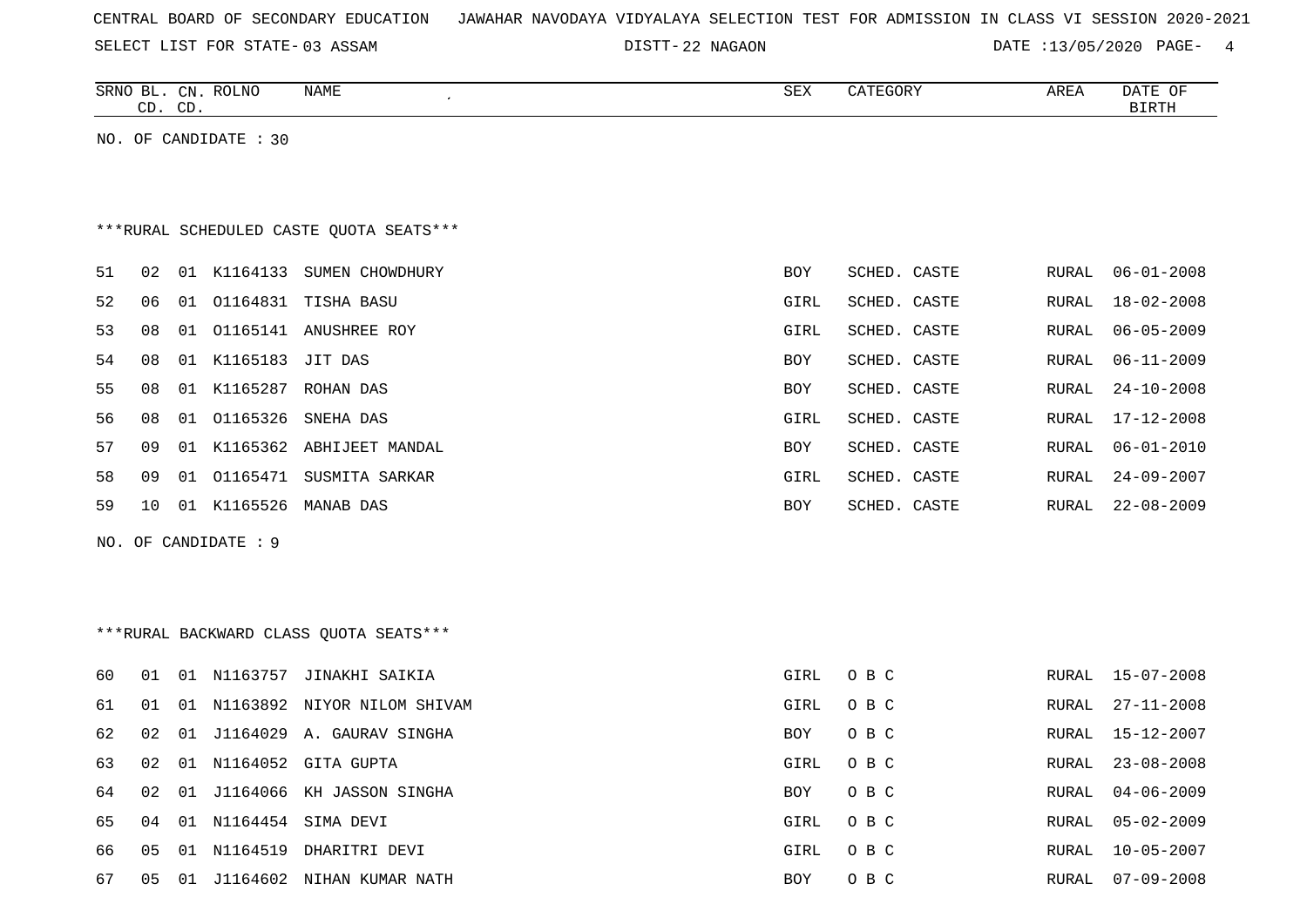| CENTRAL BOARD OF SECONDARY EDUCATION – JAWAHAR NAVODAYA VIDYALAYA SELECTION TEST FOR ADMISSION IN CLASS VI SESSION 2020-2021 |  |  |  |  |
|------------------------------------------------------------------------------------------------------------------------------|--|--|--|--|
|------------------------------------------------------------------------------------------------------------------------------|--|--|--|--|

DISTT-22 NAGAON **DATE** :13/05/2020 PAGE- 4

|    |    | CD. CD. | SRNO BL. CN. ROLNO    | NAME                                     | SEX        | CATEGORY     | AREA         | DATE OF<br><b>BIRTH</b> |
|----|----|---------|-----------------------|------------------------------------------|------------|--------------|--------------|-------------------------|
|    |    |         | NO. OF CANDIDATE : 30 |                                          |            |              |              |                         |
|    |    |         |                       |                                          |            |              |              |                         |
|    |    |         |                       |                                          |            |              |              |                         |
|    |    |         |                       | *** RURAL SCHEDULED CASTE QUOTA SEATS*** |            |              |              |                         |
| 51 | 02 |         |                       | 01 K1164133 SUMEN CHOWDHURY              | BOY        | SCHED. CASTE | RURAL        | $06 - 01 - 2008$        |
| 52 | 06 | 01      |                       | 01164831 TISHA BASU                      | GIRL       | SCHED. CASTE | <b>RURAL</b> | $18 - 02 - 2008$        |
| 53 | 08 | 01      |                       | 01165141 ANUSHREE ROY                    | GIRL       | SCHED. CASTE | RURAL        | $06 - 05 - 2009$        |
| 54 | 08 |         | 01 K1165183 JIT DAS   |                                          | <b>BOY</b> | SCHED. CASTE | RURAL        | $06 - 11 - 2009$        |
| 55 | 08 |         |                       | 01 K1165287 ROHAN DAS                    | BOY        | SCHED. CASTE | RURAL        | $24 - 10 - 2008$        |
| 56 | 08 | 01      | 01165326              | SNEHA DAS                                | GIRL       | SCHED. CASTE | RURAL        | $17 - 12 - 2008$        |
| 57 | 09 |         |                       | 01 K1165362 ABHIJEET MANDAL              | BOY        | SCHED. CASTE | RURAL        | $06 - 01 - 2010$        |
| 58 | 09 |         |                       | 01 01165471 SUSMITA SARKAR               | GIRL       | SCHED. CASTE | RURAL        | $24 - 09 - 2007$        |
| 59 | 10 |         |                       | 01 K1165526 MANAB DAS                    | BOY        | SCHED. CASTE | RURAL        | $22 - 08 - 2009$        |
|    |    |         | NO. OF CANDIDATE : 9  |                                          |            |              |              |                         |
|    |    |         |                       |                                          |            |              |              |                         |
|    |    |         |                       |                                          |            |              |              |                         |
|    |    |         |                       | *** RURAL BACKWARD CLASS QUOTA SEATS***  |            |              |              |                         |
| 60 | 01 |         |                       | 01 N1163757 JINAKHI SAIKIA               | GIRL       | O B C        | RURAL        | $15 - 07 - 2008$        |
| 61 | 01 |         |                       | 01 N1163892 NIYOR NILOM SHIVAM           | GIRL       | O B C        | RURAL        | $27 - 11 - 2008$        |
| 62 | 02 |         |                       | 01 J1164029 A. GAURAV SINGHA             | <b>BOY</b> | O B C        | <b>RURAL</b> | $15 - 12 - 2007$        |
| 63 | 02 |         |                       | 01 N1164052 GITA GUPTA                   | GIRL       | O B C        | RURAL        | $23 - 08 - 2008$        |
| 64 | 02 |         |                       | 01 J1164066 KH JASSON SINGHA             | <b>BOY</b> | O B C        | RURAL        | $04 - 06 - 2009$        |
| 65 | 04 |         |                       | 01 N1164454 SIMA DEVI                    | GIRL       | O B C        | RURAL        | $05 - 02 - 2009$        |

66 05 01 N1164519 DHARITRI DEVI GIRL O B C RURAL 10-05-2007 67 05 01 J1164602 NIHAN KUMAR NATH BOY O B C RURAL 07-09-2008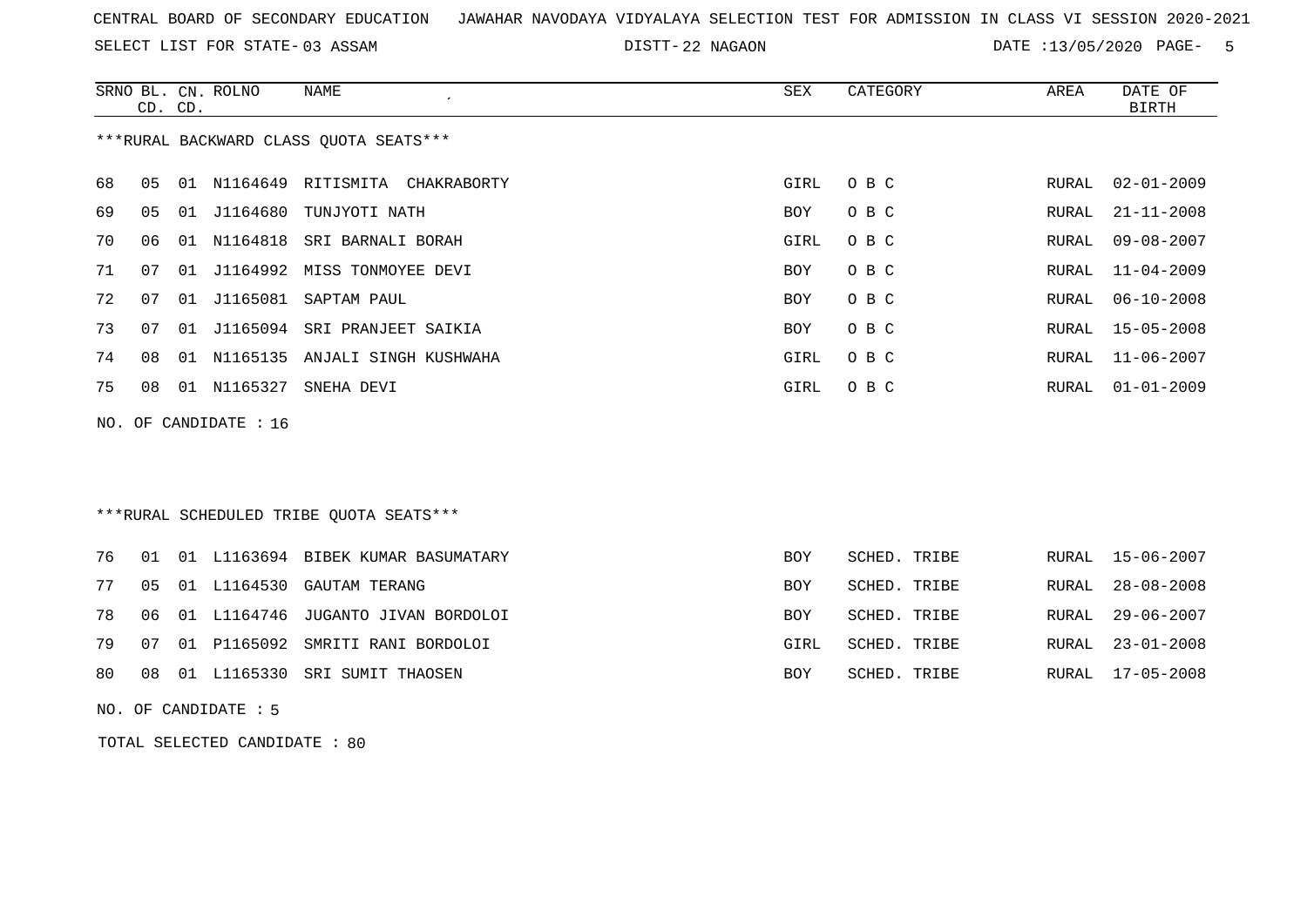SELECT LIST FOR STATE- DISTT- 03 ASSAM

22 NAGAON DATE :13/05/2020 PAGE- 5

SCHED. TRIBE RURAL 29-06-2007

SCHED. TRIBE RURAL 23-01-2008

SCHED. TRIBE RURAL 17-05-2008

|     |    | CD. CD. | SRNO BL. CN. ROLNO | <b>NAME</b>                             | SEX        | CATEGORY     | AREA  | DATE OF<br><b>BIRTH</b> |
|-----|----|---------|--------------------|-----------------------------------------|------------|--------------|-------|-------------------------|
|     |    |         |                    | ***RURAL BACKWARD CLASS OUOTA SEATS***  |            |              |       |                         |
| 68  | 05 |         |                    | 01 N1164649 RITISMITA CHAKRABORTY       | GIRL       | O B C        | RURAL | $02 - 01 - 2009$        |
| 69  | 05 | 01      | J1164680           | TUNJYOTI NATH                           | BOY        | O B C        | RURAL | $21 - 11 - 2008$        |
| 70  | 06 | 01      | N1164818           | SRI BARNALI BORAH                       | GIRL       | O B C        | RURAL | $09 - 08 - 2007$        |
| 71  | 07 | 01      |                    | J1164992 MISS TONMOYEE DEVI             | BOY        | O B C        | RURAL | $11 - 04 - 2009$        |
| 72  | 07 | 01      |                    | J1165081 SAPTAM PAUL                    | <b>BOY</b> | O B C        | RURAL | $06 - 10 - 2008$        |
| 73  | 07 | 01      |                    | J1165094 SRI PRANJEET SAIKIA            | BOY        | O B C        | RURAL | $15 - 05 - 2008$        |
| 74  | 08 | 01      |                    | N1165135 ANJALI SINGH KUSHWAHA          | GIRL       | O B C        | RURAL | $11 - 06 - 2007$        |
| 75  | 08 |         | 01 N1165327        | SNEHA DEVI                              | GIRL       | O B C        | RURAL | $01 - 01 - 2009$        |
| NO. |    |         | OF CANDIDATE : 16  |                                         |            |              |       |                         |
|     |    |         |                    |                                         |            |              |       |                         |
|     |    |         |                    | ***RURAL SCHEDULED TRIBE QUOTA SEATS*** |            |              |       |                         |
| 76  | 01 |         |                    | 01 L1163694 BIBEK KUMAR BASUMATARY      | <b>BOY</b> | SCHED. TRIBE | RURAL | 15-06-2007              |

77 05 01 L1164530 GAUTAM TERANG BOY SCHED. TRIBE RURAL 28-08-2008

78 06 01 L1164746 JUGANTO JIVAN BORDOLOI STATE ROY STATE ROY

79 07 01 P1165092 SMRITI RANI BORDOLOI SCHED. TRIBE GIRL SCHED. TRIBE RURAL 23-01-2008

80 08 01 L1165330 SRI SUMIT THAOSEN BOY SCHED. TRIBE ROY

NO. OF CANDIDATE : 5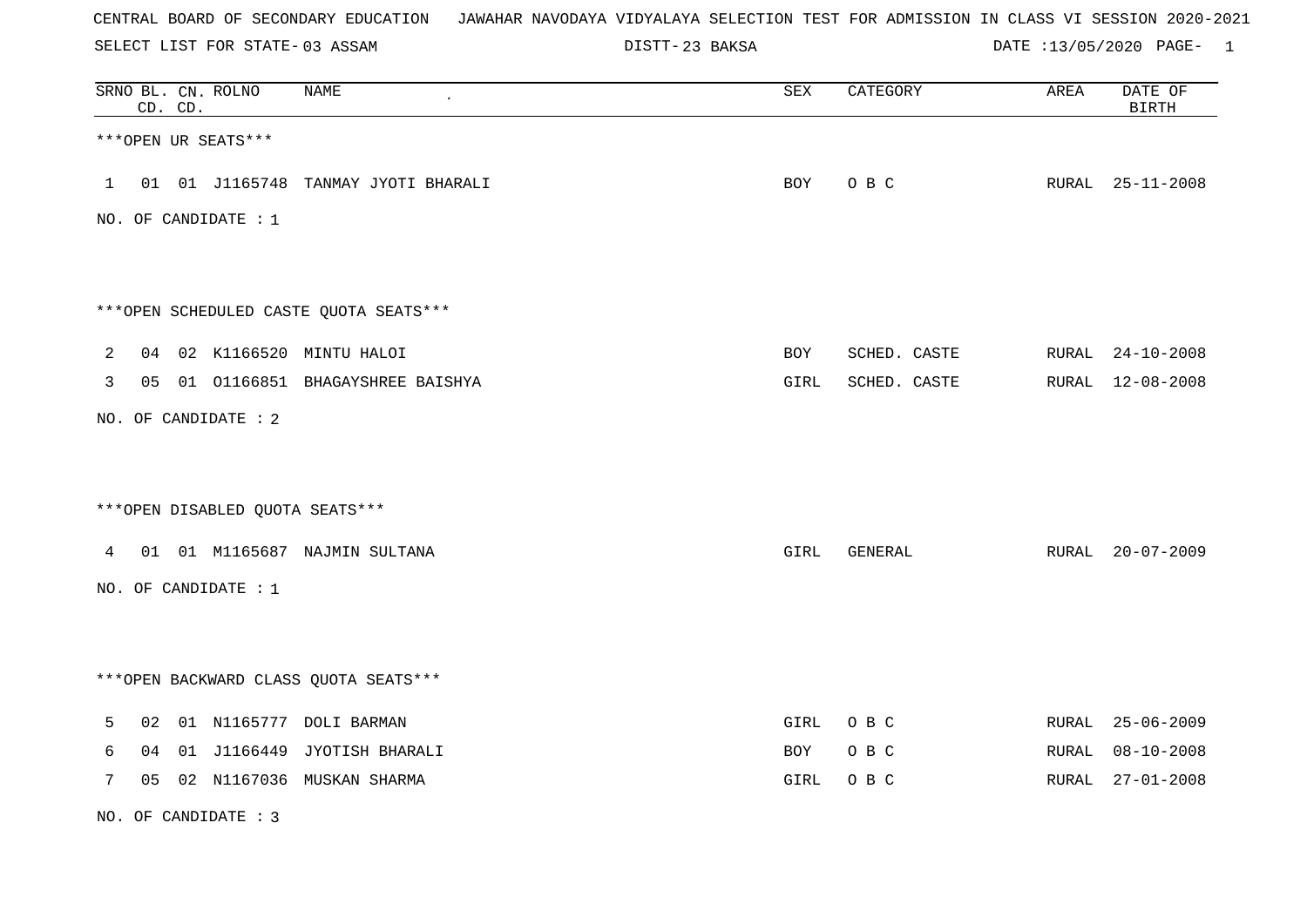| CENTRAL BOARD OF SECONDARY EDUCATION – JAWAHAR NAVODAYA VIDYALAYA SELECTION TEST FOR ADMISSION IN CLASS VI SESSION 2020-2021 |  |  |  |  |  |
|------------------------------------------------------------------------------------------------------------------------------|--|--|--|--|--|
|------------------------------------------------------------------------------------------------------------------------------|--|--|--|--|--|

DISTT-23 BAKSA DATE :13/05/2020 PAGE- 1

|   |    | CD. CD. | SRNO BL. CN. ROLNO   | <b>NAME</b>                            | ${\tt SEX}$ | CATEGORY     | AREA  | DATE OF<br><b>BIRTH</b> |
|---|----|---------|----------------------|----------------------------------------|-------------|--------------|-------|-------------------------|
|   |    |         | ***OPEN UR SEATS***  |                                        |             |              |       |                         |
|   |    |         |                      | 1 01 01 J1165748 TANMAY JYOTI BHARALI  | BOY         | O B C        |       | RURAL 25-11-2008        |
|   |    |         | NO. OF CANDIDATE : 1 |                                        |             |              |       |                         |
|   |    |         |                      |                                        |             |              |       |                         |
|   |    |         |                      | ***OPEN SCHEDULED CASTE QUOTA SEATS*** |             |              |       |                         |
| 2 |    |         |                      | 04 02 K1166520 MINTU HALOI             | BOY         | SCHED. CASTE | RURAL | $24 - 10 - 2008$        |
| 3 |    |         |                      | 05 01 01166851 BHAGAYSHREE BAISHYA     | GIRL        | SCHED. CASTE |       | RURAL 12-08-2008        |
|   |    |         | NO. OF CANDIDATE : 2 |                                        |             |              |       |                         |
|   |    |         |                      |                                        |             |              |       |                         |
|   |    |         |                      | ***OPEN DISABLED QUOTA SEATS***        |             |              |       |                         |
|   |    |         |                      | 4 01 01 M1165687 NAJMIN SULTANA        | GIRL        | GENERAL      |       | RURAL 20-07-2009        |
|   |    |         | NO. OF CANDIDATE : 1 |                                        |             |              |       |                         |
|   |    |         |                      |                                        |             |              |       |                         |
|   |    |         |                      | *** OPEN BACKWARD CLASS QUOTA SEATS*** |             |              |       |                         |
| 5 | 02 |         |                      | 01 N1165777 DOLI BARMAN                | GIRL        | O B C        | RURAL | $25 - 06 - 2009$        |
| 6 | 04 |         |                      | 01 J1166449 JYOTISH BHARALI            | BOY         | O B C        | RURAL | $08 - 10 - 2008$        |
| 7 | 05 |         |                      | 02 N1167036 MUSKAN SHARMA              | GIRL        | O B C        | RURAL | $27 - 01 - 2008$        |

NO. OF CANDIDATE : 3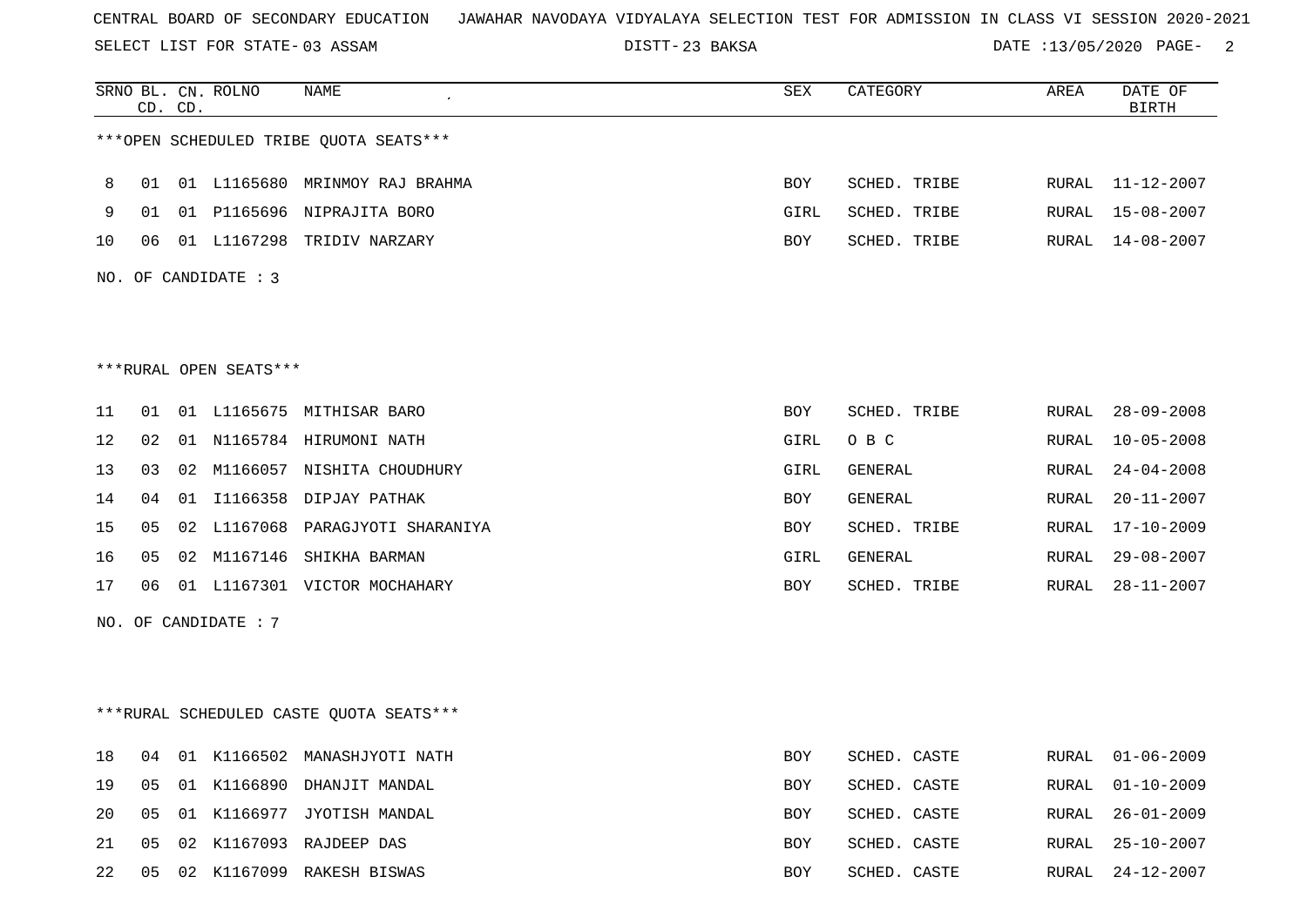SELECT LIST FOR STATE- DISTT- 03 ASSAM

23 BAKSA DATE :13/05/2020 PAGE- 2

|    |    | CD. CD. | SRNO BL. CN. ROLNO     | NAME                                    | SEX        | CATEGORY     | AREA  | DATE OF<br><b>BIRTH</b> |
|----|----|---------|------------------------|-----------------------------------------|------------|--------------|-------|-------------------------|
|    |    |         |                        | ***OPEN SCHEDULED TRIBE QUOTA SEATS***  |            |              |       |                         |
| 8  | 01 |         |                        | 01 L1165680 MRINMOY RAJ BRAHMA          | BOY        | SCHED. TRIBE | RURAL | 11-12-2007              |
| 9  | 01 |         |                        | 01 P1165696 NIPRAJITA BORO              | GIRL       | SCHED. TRIBE | RURAL | $15 - 08 - 2007$        |
| 10 | 06 |         |                        | 01 L1167298 TRIDIV NARZARY              | BOY        | SCHED. TRIBE | RURAL | 14-08-2007              |
|    |    |         | NO. OF CANDIDATE : 3   |                                         |            |              |       |                         |
|    |    |         |                        |                                         |            |              |       |                         |
|    |    |         |                        |                                         |            |              |       |                         |
|    |    |         | ***RURAL OPEN SEATS*** |                                         |            |              |       |                         |
| 11 | 01 |         |                        | 01 L1165675 MITHISAR BARO               | BOY        | SCHED. TRIBE | RURAL | $28 - 09 - 2008$        |
| 12 | 02 |         |                        | 01 N1165784 HIRUMONI NATH               | GIRL       | O B C        | RURAL | $10 - 05 - 2008$        |
| 13 | 03 |         |                        | 02 M1166057 NISHITA CHOUDHURY           | GIRL       | GENERAL      | RURAL | $24 - 04 - 2008$        |
| 14 | 04 |         |                        | 01 I1166358 DIPJAY PATHAK               | BOY        | GENERAL      | RURAL | $20 - 11 - 2007$        |
| 15 | 05 |         |                        | 02 L1167068 PARAGJYOTI SHARANIYA        | <b>BOY</b> | SCHED. TRIBE | RURAL | $17 - 10 - 2009$        |
|    |    |         |                        |                                         |            |              |       |                         |
| 16 | 05 |         |                        | 02 M1167146 SHIKHA BARMAN               | GIRL       | GENERAL      | RURAL | $29 - 08 - 2007$        |
| 17 | 06 |         |                        | 01 L1167301 VICTOR MOCHAHARY            | <b>BOY</b> | SCHED. TRIBE | RURAL | $28 - 11 - 2007$        |
|    |    |         | NO. OF CANDIDATE : $7$ |                                         |            |              |       |                         |
|    |    |         |                        |                                         |            |              |       |                         |
|    |    |         |                        |                                         |            |              |       |                         |
|    |    |         |                        | ***RURAL SCHEDULED CASTE QUOTA SEATS*** |            |              |       |                         |
| 18 | 04 |         |                        | 01 K1166502 MANASHJYOTI NATH            | BOY        | SCHED. CASTE | RURAL | $01 - 06 - 2009$        |
| 19 | 05 |         |                        | 01 K1166890 DHANJIT MANDAL              | <b>BOY</b> | SCHED. CASTE | RURAL | $01 - 10 - 2009$        |
| 20 | 05 |         |                        | 01 K1166977 JYOTISH MANDAL              | <b>BOY</b> | SCHED. CASTE | RURAL | $26 - 01 - 2009$        |
| 21 | 05 |         |                        | 02 K1167093 RAJDEEP DAS                 | <b>BOY</b> | SCHED. CASTE | RURAL | $25 - 10 - 2007$        |

22 05 02 K1167099 RAKESH BISWAS BOY SCHED. CASTE RURAL 24-12-2007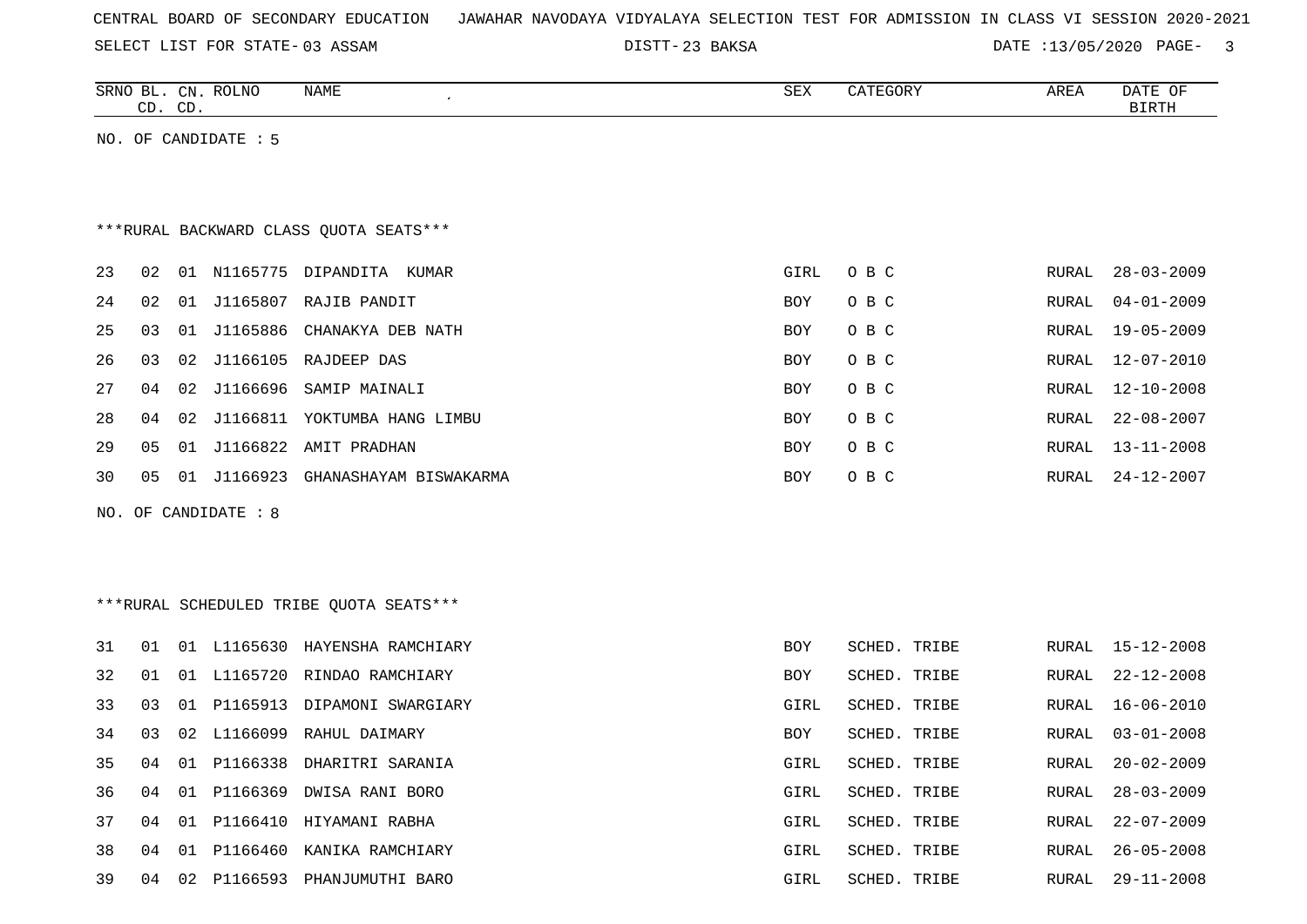|  |  |  |  | CENTRAL BOARD OF SECONDARY EDUCATION – JAWAHAR NAVODAYA VIDYALAYA SELECTION TEST FOR ADMISSION IN CLASS VI SESSION 2020-2021 |  |  |  |  |  |  |  |  |  |  |  |  |  |
|--|--|--|--|------------------------------------------------------------------------------------------------------------------------------|--|--|--|--|--|--|--|--|--|--|--|--|--|
|--|--|--|--|------------------------------------------------------------------------------------------------------------------------------|--|--|--|--|--|--|--|--|--|--|--|--|--|

23 BAKSA DATE :13/05/2020 PAGE- 3

|    | SRNO BL. CN. ROLNO<br>CD. CD. |    |                      | NAME                                     | SEX        | CATEGORY     | AREA         | DATE OF<br>BIRTH |
|----|-------------------------------|----|----------------------|------------------------------------------|------------|--------------|--------------|------------------|
|    |                               |    | NO. OF CANDIDATE : 5 |                                          |            |              |              |                  |
|    |                               |    |                      |                                          |            |              |              |                  |
|    |                               |    |                      |                                          |            |              |              |                  |
|    |                               |    |                      | ***RURAL BACKWARD CLASS QUOTA SEATS***   |            |              |              |                  |
| 23 | 02                            |    |                      | 01 N1165775 DIPANDITA KUMAR              | GIRL       | O B C        | RURAL        | $28 - 03 - 2009$ |
| 24 | 02                            | 01 |                      | J1165807 RAJIB PANDIT                    | <b>BOY</b> | O B C        | RURAL        | $04 - 01 - 2009$ |
| 25 | 03                            | 01 |                      | J1165886 CHANAKYA DEB NATH               | <b>BOY</b> | O B C        | RURAL        | $19 - 05 - 2009$ |
| 26 | 03                            | 02 |                      | J1166105 RAJDEEP DAS                     | <b>BOY</b> | O B C        | RURAL        | $12 - 07 - 2010$ |
| 27 | 04                            | 02 | J1166696             | SAMIP MAINALI                            | BOY        | O B C        | RURAL        | $12 - 10 - 2008$ |
| 28 | 04                            | 02 |                      | J1166811 YOKTUMBA HANG LIMBU             | <b>BOY</b> | O B C        | RURAL        | $22 - 08 - 2007$ |
| 29 | 05                            | 01 |                      | J1166822 AMIT PRADHAN                    | <b>BOY</b> | O B C        | RURAL        | $13 - 11 - 2008$ |
| 30 | 05                            |    |                      | 01 J1166923 GHANASHAYAM BISWAKARMA       | BOY        | O B C        | RURAL        | $24 - 12 - 2007$ |
|    |                               |    | NO. OF CANDIDATE : 8 |                                          |            |              |              |                  |
|    |                               |    |                      |                                          |            |              |              |                  |
|    |                               |    |                      |                                          |            |              |              |                  |
|    |                               |    |                      | *** RURAL SCHEDULED TRIBE QUOTA SEATS*** |            |              |              |                  |
|    |                               |    |                      |                                          |            |              |              |                  |
| 31 | 01                            |    |                      | 01 L1165630 HAYENSHA RAMCHIARY           | <b>BOY</b> | SCHED. TRIBE | RURAL        | $15 - 12 - 2008$ |
| 32 | 01                            |    |                      | 01 L1165720 RINDAO RAMCHIARY             | <b>BOY</b> | SCHED. TRIBE | RURAL        | $22 - 12 - 2008$ |
| 33 | 03                            | 01 |                      | P1165913 DIPAMONI SWARGIARY              | GIRL       | SCHED. TRIBE | RURAL        | $16 - 06 - 2010$ |
| 34 | 03                            | 02 |                      | L1166099 RAHUL DAIMARY                   | BOY        | SCHED. TRIBE | <b>RURAL</b> | $03 - 01 - 2008$ |
| 35 | 04                            | 01 |                      | P1166338 DHARITRI SARANIA                | GIRL       | SCHED. TRIBE | RURAL        | $20 - 02 - 2009$ |
| 36 | 04                            | 01 |                      | P1166369 DWISA RANI BORO                 | GIRL       | SCHED. TRIBE | RURAL        | $28 - 03 - 2009$ |
| 37 | 04                            | 01 |                      | P1166410 HIYAMANI RABHA                  | GIRL       | SCHED. TRIBE | RURAL        | $22 - 07 - 2009$ |
| 38 | 04                            | 01 |                      | P1166460 KANIKA RAMCHIARY                | GIRL       | SCHED. TRIBE | RURAL        | $26 - 05 - 2008$ |
| 39 | 04                            | 02 |                      | P1166593 PHANJUMUTHI BARO                | GIRL       | SCHED. TRIBE | <b>RURAL</b> | $29 - 11 - 2008$ |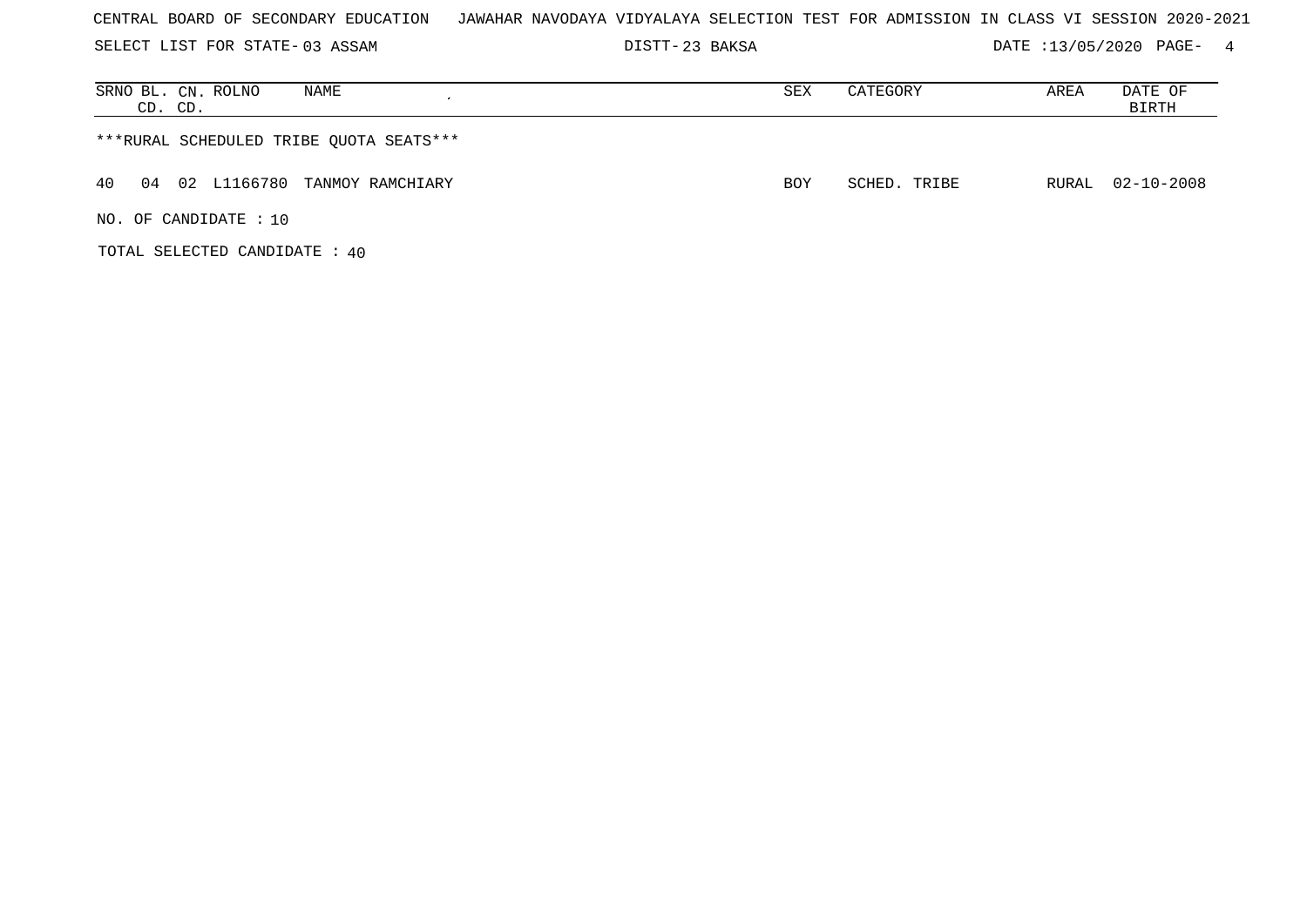|  |  |  |  | CENTRAL BOARD OF SECONDARY EDUCATION – JAWAHAR NAVODAYA VIDYALAYA SELECTION TEST FOR ADMISSION IN CLASS VI SESSION 2020-2021 |  |  |  |  |  |  |  |  |  |  |  |  |  |  |  |
|--|--|--|--|------------------------------------------------------------------------------------------------------------------------------|--|--|--|--|--|--|--|--|--|--|--|--|--|--|--|
|--|--|--|--|------------------------------------------------------------------------------------------------------------------------------|--|--|--|--|--|--|--|--|--|--|--|--|--|--|--|

DISTT-23 BAKSA 2020 DATE :13/05/2020 PAGE- 4

| SRNO BL. CN. ROLNO<br>NAME<br>CD. CD.    | SEX        | CATEGORY     | AREA | DATE OF<br>BIRTH |
|------------------------------------------|------------|--------------|------|------------------|
| ***RURAL SCHEDULED TRIBE QUOTA SEATS***  |            |              |      |                  |
| 40<br>02 L1166780 TANMOY RAMCHIARY<br>04 | <b>BOY</b> | SCHED. TRIBE |      | RURAL 02-10-2008 |
| NO. OF CANDIDATE: 10                     |            |              |      |                  |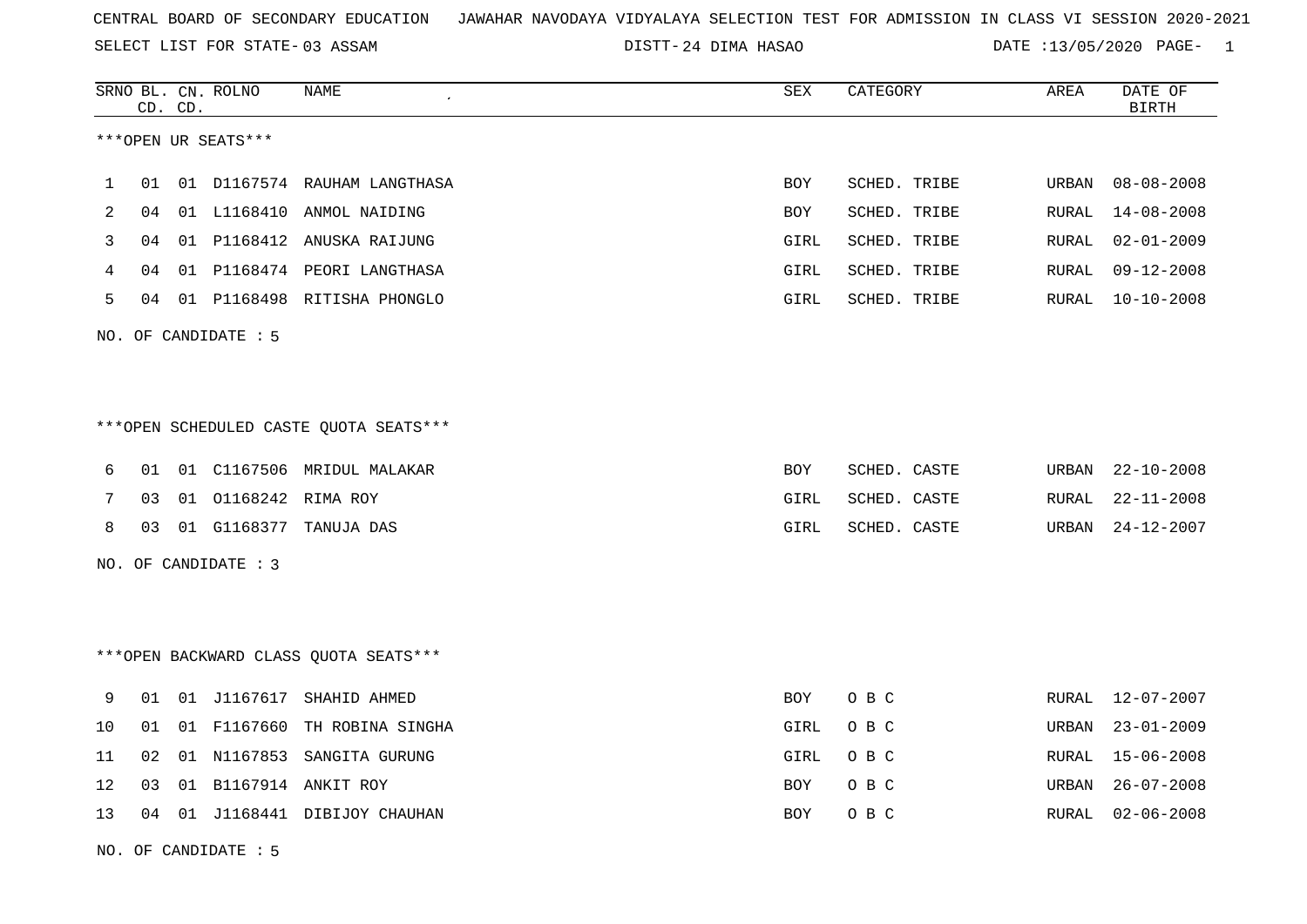SELECT LIST FOR STATE- DISTT- 03 ASSAM

24 DIMA HASAO DATE :13/05/2020 PAGE- 1

|    | CD. CD. |    | SRNO BL. CN. ROLNO   | NAME                                   | ${\tt SEX}$ | CATEGORY     | AREA         | DATE OF<br><b>BIRTH</b> |
|----|---------|----|----------------------|----------------------------------------|-------------|--------------|--------------|-------------------------|
|    |         |    | ***OPEN UR SEATS***  |                                        |             |              |              |                         |
| 1  | 01      |    | 01 D1167574          | RAUHAM LANGTHASA                       | BOY         | SCHED. TRIBE | URBAN        | $08 - 08 - 2008$        |
| 2  | 04      |    |                      | 01 L1168410 ANMOL NAIDING              | BOY         | SCHED. TRIBE | RURAL        | $14 - 08 - 2008$        |
| 3  | 04      |    |                      | 01 P1168412 ANUSKA RAIJUNG             | GIRL        | SCHED. TRIBE | <b>RURAL</b> | $02 - 01 - 2009$        |
| 4  | 04      |    |                      | 01 P1168474 PEORI LANGTHASA            | GIRL        | SCHED. TRIBE | RURAL        | $09 - 12 - 2008$        |
| 5  | 04      |    |                      | 01 P1168498 RITISHA PHONGLO            | GIRL        | SCHED. TRIBE | RURAL        | $10 - 10 - 2008$        |
|    |         |    | NO. OF CANDIDATE : 5 |                                        |             |              |              |                         |
|    |         |    |                      |                                        |             |              |              |                         |
|    |         |    |                      | ***OPEN SCHEDULED CASTE QUOTA SEATS*** |             |              |              |                         |
| 6  | 01      |    |                      | 01 C1167506 MRIDUL MALAKAR             | <b>BOY</b>  | SCHED. CASTE | URBAN        | $22 - 10 - 2008$        |
| 7  | 03      |    | 01 01168242 RIMA ROY |                                        | GIRL        | SCHED. CASTE | RURAL        | $22 - 11 - 2008$        |
| 8  |         |    |                      | 03 01 G1168377 TANUJA DAS              | GIRL        | SCHED. CASTE | URBAN        | $24 - 12 - 2007$        |
|    |         |    | NO. OF CANDIDATE : 3 |                                        |             |              |              |                         |
|    |         |    |                      |                                        |             |              |              |                         |
|    |         |    |                      | *** OPEN BACKWARD CLASS QUOTA SEATS*** |             |              |              |                         |
| 9  | 01      |    |                      | 01 J1167617 SHAHID AHMED               | BOY         | O B C        | RURAL        | 12-07-2007              |
| 10 | 01      |    | 01 F1167660          | TH ROBINA SINGHA                       | GIRL        | O B C        | URBAN        | $23 - 01 - 2009$        |
| 11 | 02      |    |                      | 01 N1167853 SANGITA GURUNG             | GIRL        | O B C        | RURAL        | $15 - 06 - 2008$        |
| 12 | 03      | 01 |                      | B1167914 ANKIT ROY                     | <b>BOY</b>  | O B C        | URBAN        | $26 - 07 - 2008$        |
| 13 |         |    |                      | 04 01 J1168441 DIBIJOY CHAUHAN         | BOY         | O B C        | RURAL        | $02 - 06 - 2008$        |
|    |         |    |                      |                                        |             |              |              |                         |

NO. OF CANDIDATE : 5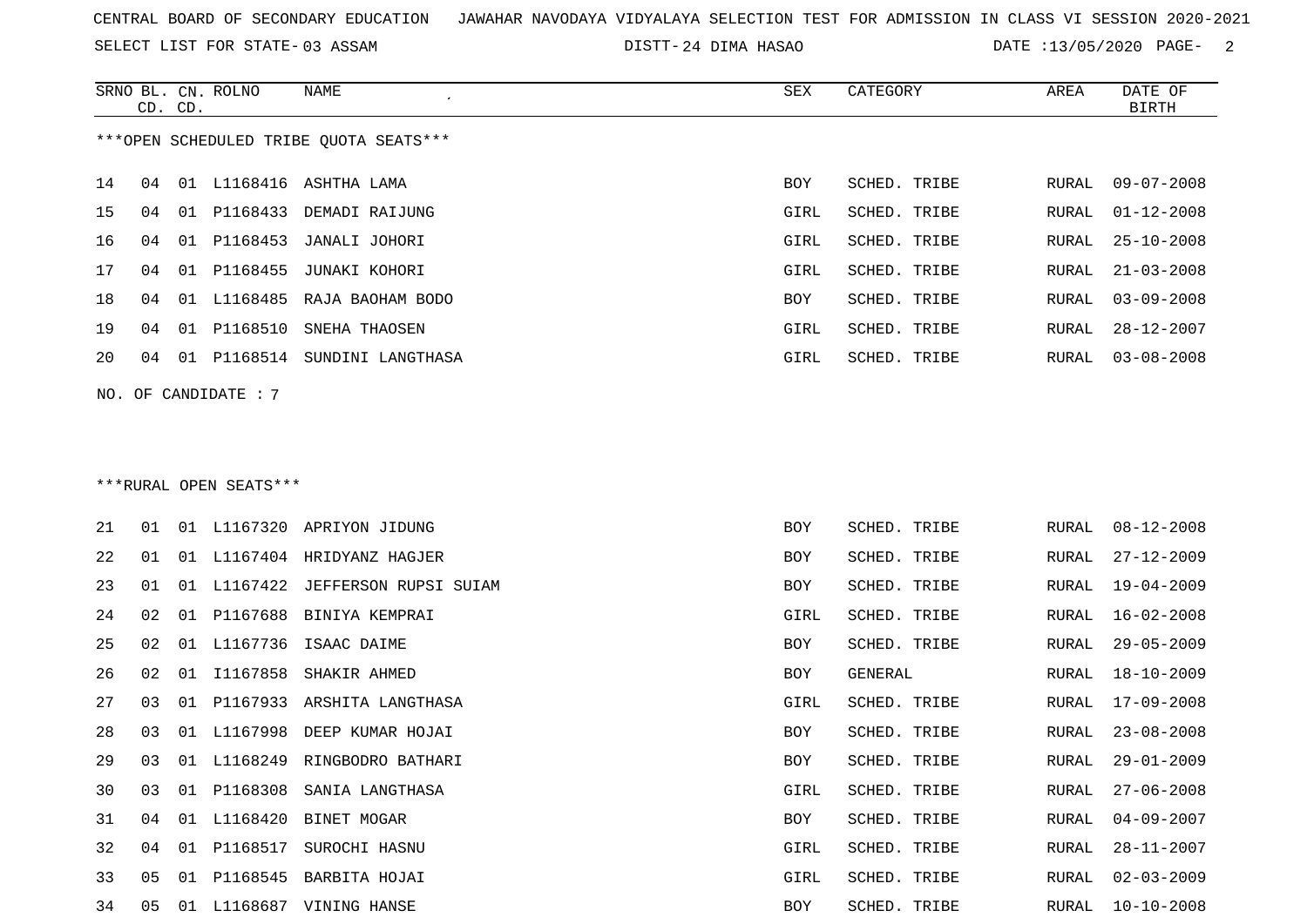SELECT LIST FOR STATE- DISTT- 03 ASSAM

24 DIMA HASAO DATE :13/05/2020 PAGE- 2

|    | CD. CD. |    | SRNO BL. CN. ROLNO     | NAME                                   | <b>SEX</b> | CATEGORY     | AREA         | DATE OF<br>BIRTH |
|----|---------|----|------------------------|----------------------------------------|------------|--------------|--------------|------------------|
|    |         |    |                        | ***OPEN SCHEDULED TRIBE QUOTA SEATS*** |            |              |              |                  |
| 14 | 04      |    |                        | 01 L1168416 ASHTHA LAMA                | BOY        | SCHED. TRIBE | RURAL        | $09 - 07 - 2008$ |
| 15 | 04      |    |                        | 01 P1168433 DEMADI RAIJUNG             | GIRL       | SCHED. TRIBE | <b>RURAL</b> | $01 - 12 - 2008$ |
| 16 | 04      |    |                        | 01 P1168453 JANALI JOHORI              | GIRL       | SCHED. TRIBE | RURAL        | $25 - 10 - 2008$ |
| 17 | 04      | 01 |                        | P1168455 JUNAKI KOHORI                 | GIRL       | SCHED. TRIBE | RURAL        | $21 - 03 - 2008$ |
| 18 | 04      |    |                        | 01 L1168485 RAJA BAOHAM BODO           | BOY        | SCHED. TRIBE | RURAL        | $03 - 09 - 2008$ |
| 19 | 04      |    | 01 P1168510            | SNEHA THAOSEN                          | GIRL       | SCHED. TRIBE | RURAL        | $28 - 12 - 2007$ |
| 20 |         |    |                        | 04 01 P1168514 SUNDINI LANGTHASA       | GIRL       | SCHED. TRIBE | RURAL        | $03 - 08 - 2008$ |
|    |         |    | NO. OF CANDIDATE : 7   |                                        |            |              |              |                  |
|    |         |    | ***RURAL OPEN SEATS*** |                                        |            |              |              |                  |
| 21 | 01      |    |                        | 01 L1167320 APRIYON JIDUNG             | BOY        | SCHED. TRIBE | RURAL        | $08 - 12 - 2008$ |
| 22 | 01      |    |                        | 01 L1167404 HRIDYANZ HAGJER            | BOY        | SCHED. TRIBE | RURAL        | $27 - 12 - 2009$ |
| 23 | 01      |    |                        | 01 L1167422 JEFFERSON RUPSI SUIAM      | BOY        | SCHED. TRIBE | RURAL        | 19-04-2009       |
| 24 | 02      |    |                        | 01 P1167688 BINIYA KEMPRAI             | GIRL       | SCHED. TRIBE | RURAL        | $16 - 02 - 2008$ |
| 25 | 02      | 01 | L1167736               | ISAAC DAIME                            | <b>BOY</b> | SCHED. TRIBE | RURAL        | $29 - 05 - 2009$ |
| 26 | 02      |    | 01 11167858            | SHAKIR AHMED                           | BOY        | GENERAL      | RURAL        | $18 - 10 - 2009$ |
| 27 | 03      | 01 |                        | P1167933 ARSHITA LANGTHASA             | GIRL       | SCHED. TRIBE | RURAL        | 17-09-2008       |
| 28 | 03      |    | 01 L1167998            | DEEP KUMAR HOJAI                       | BOY        | SCHED. TRIBE | RURAL        | $23 - 08 - 2008$ |
| 29 | 03      |    | 01 L1168249            | RINGBODRO BATHARI                      | <b>BOY</b> | SCHED. TRIBE | RURAL        | $29 - 01 - 2009$ |
| 30 | 03      | 01 | P1168308               | SANIA LANGTHASA                        | GIRL       | SCHED. TRIBE | RURAL        | $27 - 06 - 2008$ |
| 31 | 04      |    |                        | 01 L1168420 BINET MOGAR                | BOY        | SCHED. TRIBE | RURAL        | $04 - 09 - 2007$ |
| 32 | 04      |    | 01 P1168517            | SUROCHI HASNU                          | GIRL       | SCHED. TRIBE | <b>RURAL</b> | $28 - 11 - 2007$ |

 05 01 P1168545 BARBITA HOJAI GIRL SCHED. TRIBE RURAL 02-03-2009 05 01 L1168687 VINING HANSE BOY SCHED. TRIBE RURAL 10-10-2008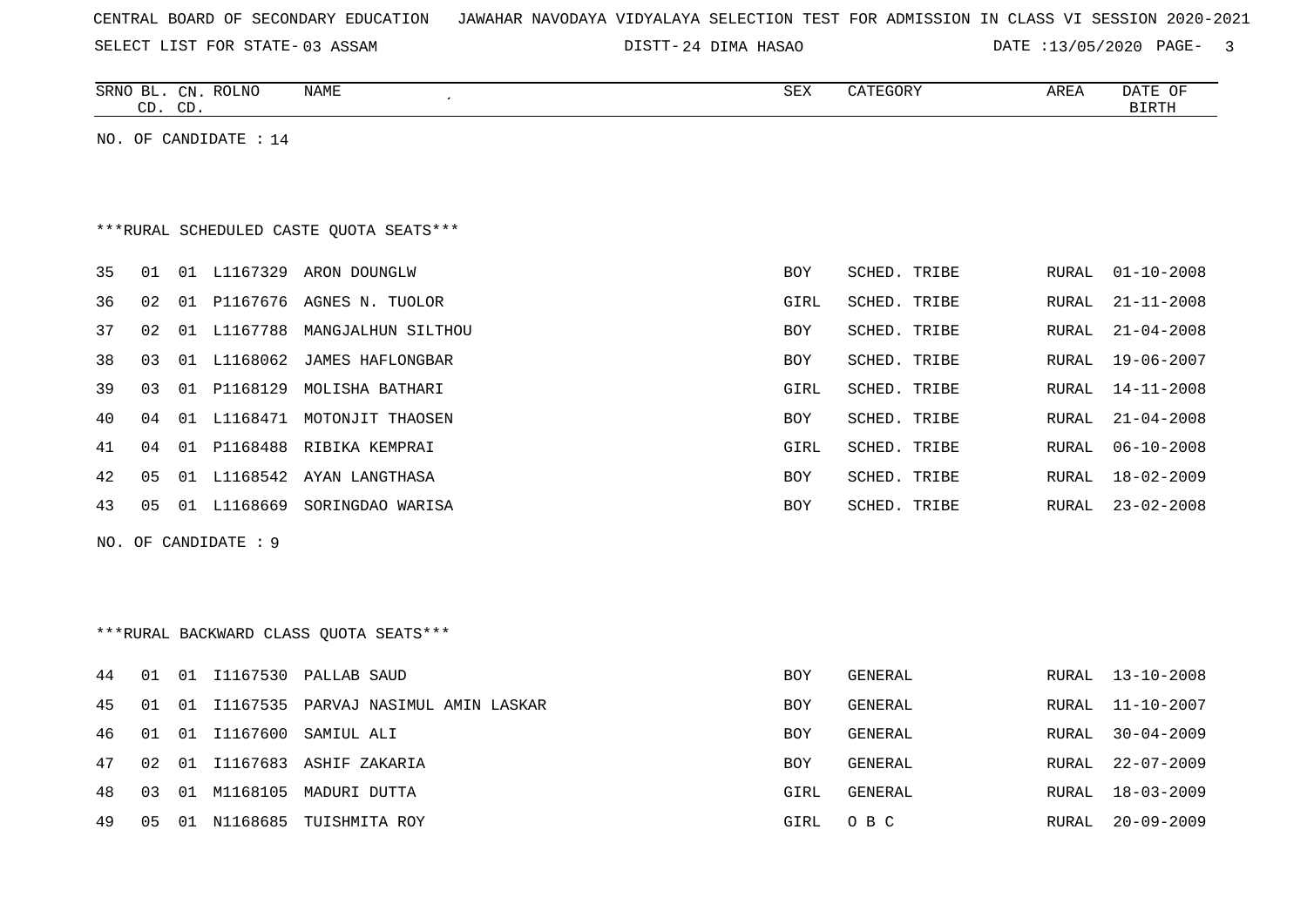| CENTRAL BOARD OF SECONDARY EDUCATION – JAWAHAR NAVODAYA VIDYALAYA SELECTION TEST FOR ADMISSION IN CLASS VI SESSION 2020-2021 |  |  |  |  |  |  |  |  |  |  |  |  |  |  |  |
|------------------------------------------------------------------------------------------------------------------------------|--|--|--|--|--|--|--|--|--|--|--|--|--|--|--|
|------------------------------------------------------------------------------------------------------------------------------|--|--|--|--|--|--|--|--|--|--|--|--|--|--|--|

SELECT LIST FOR STATE-03 ASSAM

DISTT-24 DIMA HASAO 2007 DATE :13/05/2020 PAGE-

|     |                | CD. CD. | SRNO BL. CN. ROLNO  | <b>NAME</b><br>$\epsilon$               | <b>SEX</b> | CATEGORY     | AREA  | DATE OF<br><b>BIRTH</b> |
|-----|----------------|---------|---------------------|-----------------------------------------|------------|--------------|-------|-------------------------|
| NO. |                |         | OF CANDIDATE : 14   |                                         |            |              |       |                         |
|     |                |         |                     |                                         |            |              |       |                         |
|     |                |         |                     |                                         |            |              |       |                         |
|     |                |         |                     | ***RURAL SCHEDULED CASTE QUOTA SEATS*** |            |              |       |                         |
| 35  | 01             | 01      | L1167329            | ARON DOUNGLW                            | <b>BOY</b> | SCHED. TRIBE | RURAL | $01 - 10 - 2008$        |
| 36  | 02             | 01      | P1167676            | AGNES N. TUOLOR                         | GIRL       | SCHED. TRIBE | RURAL | $21 - 11 - 2008$        |
| 37  | 02             | 01      | L1167788            | MANGJALHUN SILTHOU                      | <b>BOY</b> | SCHED. TRIBE | RURAL | $21 - 04 - 2008$        |
| 38  | 03             | 01      |                     | L1168062 JAMES HAFLONGBAR               | <b>BOY</b> | SCHED. TRIBE | RURAL | $19 - 06 - 2007$        |
| 39  | 03             | 01      | P1168129            | MOLISHA BATHARI                         | GIRL       | SCHED. TRIBE | RURAL | $14 - 11 - 2008$        |
| 40  | 04             | 01      | L1168471            | MOTONJIT THAOSEN                        | <b>BOY</b> | SCHED. TRIBE | RURAL | $21 - 04 - 2008$        |
| 41  | 04             | 01      | P1168488            | RIBIKA KEMPRAI                          | GIRL       | SCHED. TRIBE | RURAL | $06 - 10 - 2008$        |
| 42  | 05             | 01      |                     | L1168542 AYAN LANGTHASA                 | <b>BOY</b> | SCHED. TRIBE | RURAL | $18 - 02 - 2009$        |
| 43  | 0 <sub>5</sub> | 01      | L1168669            | SORINGDAO WARISA                        | <b>BOY</b> | SCHED. TRIBE | RURAL | $23 - 02 - 2008$        |
|     |                |         | NO. OF CANDIDATE: 9 |                                         |            |              |       |                         |

# \*\*\*RURAL BACKWARD CLASS QUOTA SEATS\*\*\*

| 44  | 01 |       |          | 01 I1167530 PALLAB SAUD                | BOY  | GENERAL |       | RURAL 13-10-2008 |
|-----|----|-------|----------|----------------------------------------|------|---------|-------|------------------|
| 45  | 01 |       |          | 01 I1167535 PARVAJ NASIMUL AMIN LASKAR | BOY  | GENERAL | RURAL | 11-10-2007       |
| 46  | 01 |       |          | 01 I1167600 SAMIUL ALI                 | BOY  | GENERAL | RURAL | 30-04-2009       |
| 47  | 02 | 01    | I1167683 | ASHIF ZAKARIA                          | BOY  | GENERAL | RURAL | 22-07-2009       |
| 48. | 03 |       |          | 01 M1168105 MADURI DUTTA               | GIRL | GENERAL | RURAL | 18-03-2009       |
| 49  | 05 | . O 1 | N1168685 | TUISHMITA ROY                          | GIRL | O B C   | RURAL | $20 - 09 - 2009$ |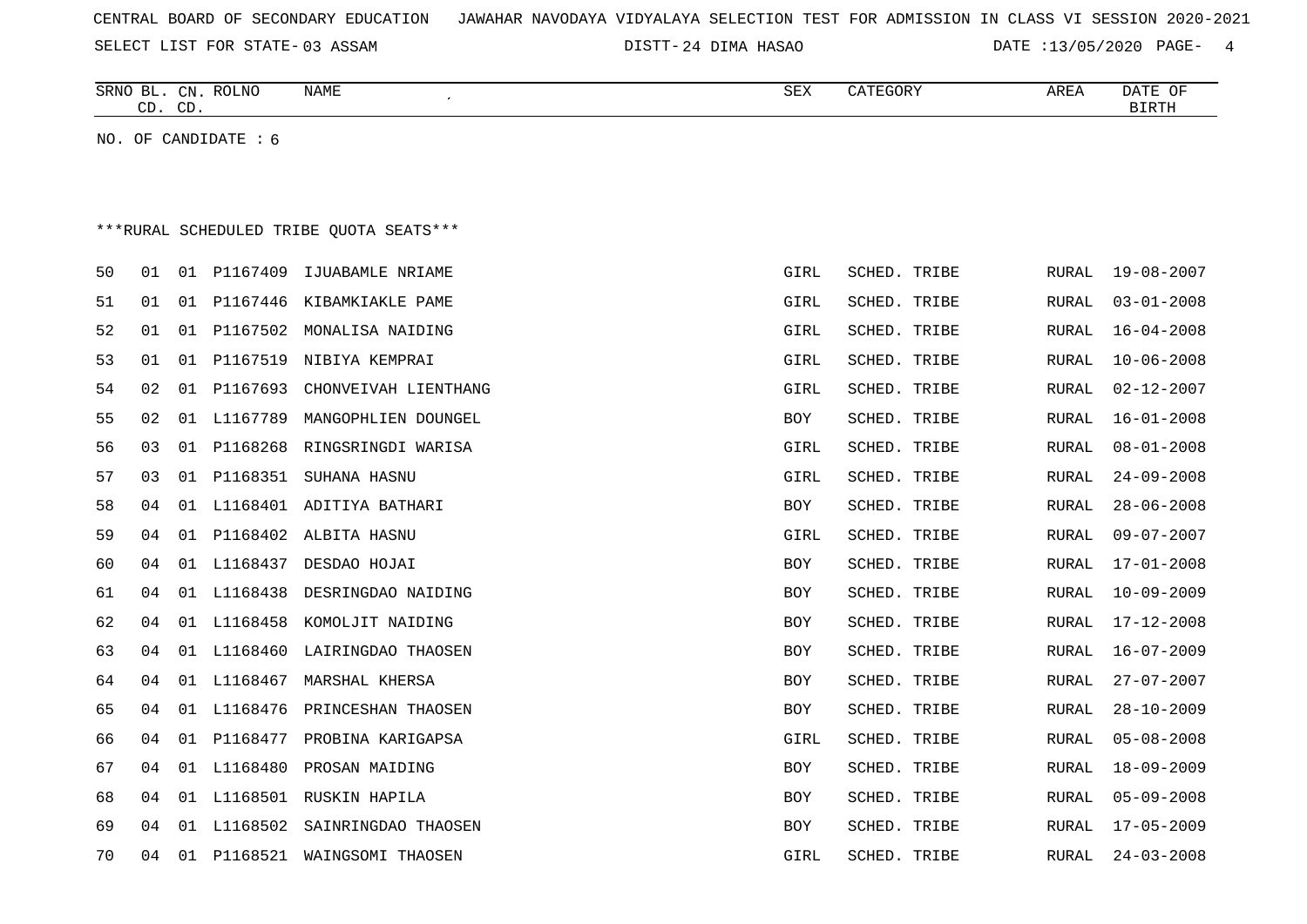|  |  |  |  | CENTRAL BOARD OF SECONDARY EDUCATION – JAWAHAR NAVODAYA VIDYALAYA SELECTION TEST FOR ADMISSION IN CLASS VI SESSION 2020-2021 |  |  |  |  |  |  |  |  |  |  |  |  |  |
|--|--|--|--|------------------------------------------------------------------------------------------------------------------------------|--|--|--|--|--|--|--|--|--|--|--|--|--|
|--|--|--|--|------------------------------------------------------------------------------------------------------------------------------|--|--|--|--|--|--|--|--|--|--|--|--|--|

DISTT-24 DIMA HASAO DATE :13/05/2020 PAGE- 4

| SRNO<br>BL   | $\text{CN}$ | <b>ROLNO</b> | NAME | SEX | $\alpha$ <sup>n</sup> $\beta$ | AREA | DATE OF      |
|--------------|-------------|--------------|------|-----|-------------------------------|------|--------------|
| $\cap$<br>ىب | $\cap$<br>ັ |              |      |     |                               |      | <b>BIRTH</b> |
|              |             |              |      |     |                               |      |              |

NO. OF CANDIDATE : 6

|    |    |             | ***RURAL SCHEDULED TRIBE QUOTA SEATS*** |            |              |       |                  |
|----|----|-------------|-----------------------------------------|------------|--------------|-------|------------------|
| 50 | 01 |             | 01 P1167409 IJUABAMLE NRIAME            | GIRL       | SCHED. TRIBE |       | RURAL 19-08-2007 |
| 51 | 01 |             | 01 P1167446 KIBAMKIAKLE PAME            | GIRL       | SCHED. TRIBE | RURAL | $03 - 01 - 2008$ |
| 52 | 01 |             | 01 P1167502 MONALISA NAIDING            | GIRL       | SCHED. TRIBE | RURAL | $16 - 04 - 2008$ |
| 53 | 01 |             | 01 P1167519 NIBIYA KEMPRAI              | GIRL       | SCHED. TRIBE | RURAL | $10 - 06 - 2008$ |
| 54 | 02 |             | 01 P1167693 CHONVEIVAH LIENTHANG        | GIRL       | SCHED. TRIBE | RURAL | $02 - 12 - 2007$ |
| 55 | 02 | 01 L1167789 | MANGOPHLIEN DOUNGEL                     | BOY        | SCHED. TRIBE | RURAL | $16 - 01 - 2008$ |
| 56 | 03 |             | 01 P1168268 RINGSRINGDI WARISA          | GIRL       | SCHED. TRIBE | RURAL | $08 - 01 - 2008$ |
| 57 | 03 |             | 01 P1168351 SUHANA HASNU                | GIRL       | SCHED. TRIBE | RURAL | $24 - 09 - 2008$ |
| 58 | 04 |             | 01 L1168401 ADITIYA BATHARI             | BOY        | SCHED. TRIBE | RURAL | $28 - 06 - 2008$ |
| 59 | 04 |             | 01 P1168402 ALBITA HASNU                | GIRL       | SCHED. TRIBE | RURAL | $09 - 07 - 2007$ |
| 60 | 04 |             | 01 L1168437 DESDAO HOJAI                | BOY        | SCHED. TRIBE | RURAL | $17 - 01 - 2008$ |
| 61 | 04 |             | 01 L1168438 DESRINGDAO NAIDING          | <b>BOY</b> | SCHED. TRIBE | RURAL | $10 - 09 - 2009$ |
| 62 | 04 |             | 01 L1168458 KOMOLJIT NAIDING            | <b>BOY</b> | SCHED. TRIBE | RURAL | 17-12-2008       |
| 63 | 04 |             | 01 L1168460 LAIRINGDAO THAOSEN          | BOY        | SCHED. TRIBE | RURAL | $16 - 07 - 2009$ |
| 64 | 04 |             | 01 L1168467 MARSHAL KHERSA              | <b>BOY</b> | SCHED. TRIBE | RURAL | $27 - 07 - 2007$ |
| 65 | 04 |             | 01 L1168476 PRINCESHAN THAOSEN          | BOY        | SCHED. TRIBE | RURAL | $28 - 10 - 2009$ |
| 66 | 04 | 01 P1168477 | PROBINA KARIGAPSA                       | GIRL       | SCHED. TRIBE | RURAL | $05 - 08 - 2008$ |
| 67 | 04 |             | 01 L1168480 PROSAN MAIDING              | BOY        | SCHED. TRIBE | RURAL | $18 - 09 - 2009$ |
| 68 | 04 |             | 01 L1168501 RUSKIN HAPILA               | <b>BOY</b> | SCHED. TRIBE | RURAL | $05 - 09 - 2008$ |
| 69 | 04 |             | 01 L1168502 SAINRINGDAO THAOSEN         | BOY        | SCHED. TRIBE | RURAL | $17 - 05 - 2009$ |
| 70 | 04 |             | 01 P1168521 WAINGSOMI THAOSEN           | GIRL       | SCHED. TRIBE | RURAL | $24 - 03 - 2008$ |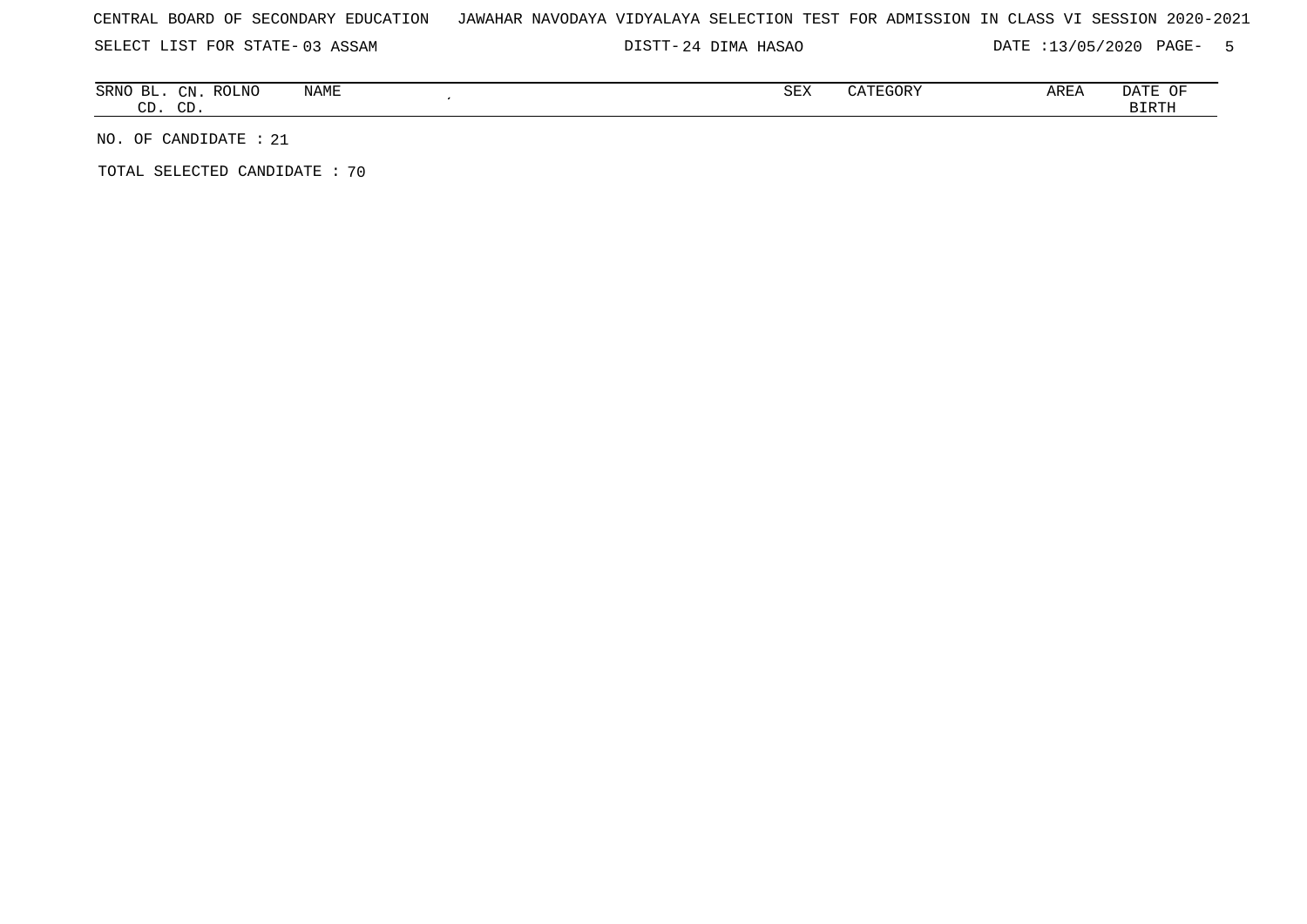24 DIMA HASAO DATE :13/05/2020 PAGE- 5

| SRNO<br>BL   | CΝ          | ROLNO | NAME | CHU<br>אם⊂ | $\alpha$<br>. | AREA | ᆩᅐᅲ<br>ΟF<br>DAII |
|--------------|-------------|-------|------|------------|---------------|------|-------------------|
| $\cap$<br>ىب | $\cap$<br>◡ |       |      |            |               |      | ־יחסד מ           |

NO. OF CANDIDATE : 21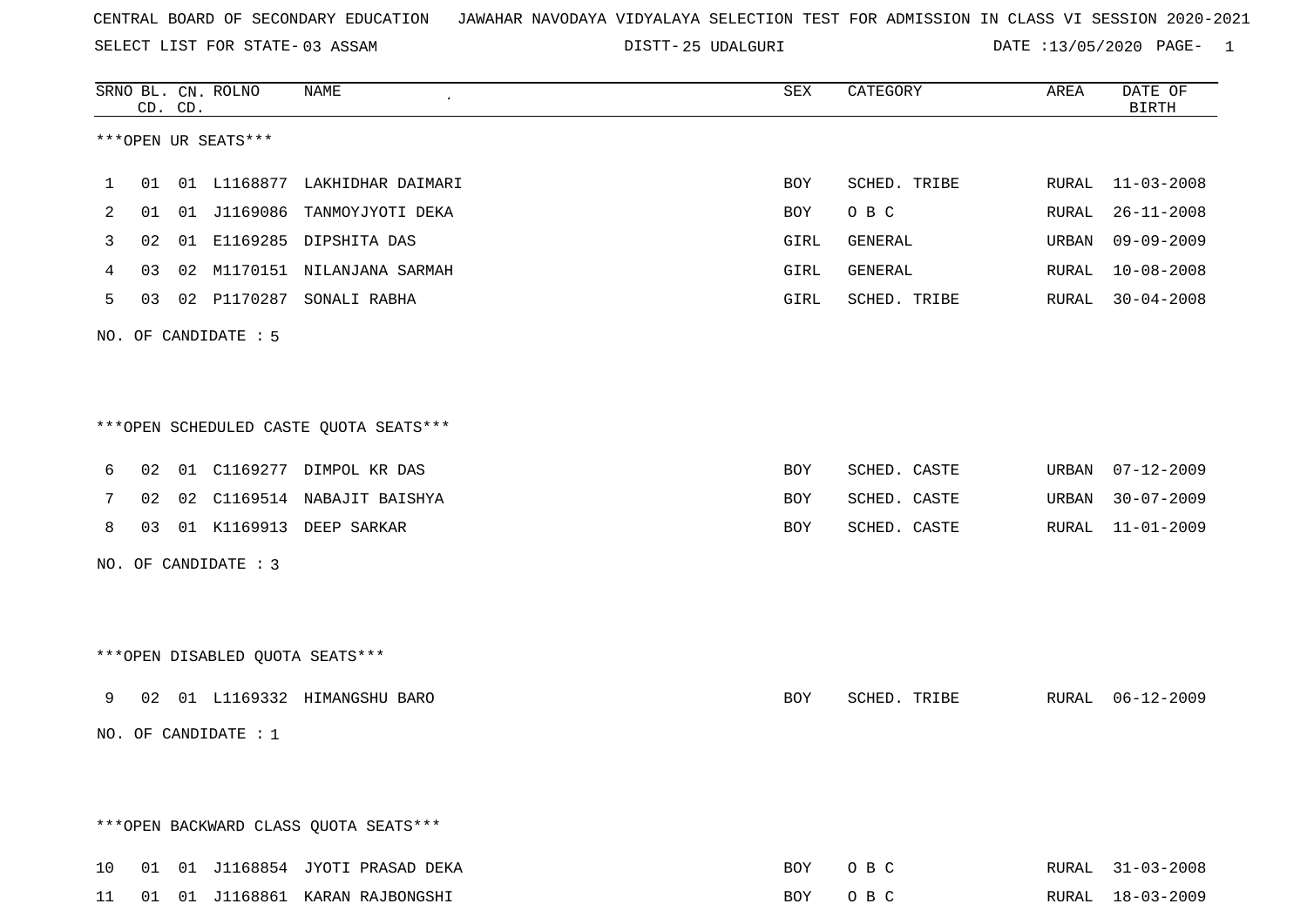SELECT LIST FOR STATE- DISTT- 03 ASSAM

25 UDALGURI DATE :13/05/2020 PAGE- 1

|    |    | CD. CD. | SRNO BL. CN. ROLNO   | NAME                                   | ${\tt SEX}$ | CATEGORY     | AREA  | DATE OF<br><b>BIRTH</b> |
|----|----|---------|----------------------|----------------------------------------|-------------|--------------|-------|-------------------------|
|    |    |         | ***OPEN UR SEATS***  |                                        |             |              |       |                         |
| 1  | 01 |         |                      | 01 L1168877 LAKHIDHAR DAIMARI          | BOY         | SCHED. TRIBE | RURAL | 11-03-2008              |
| 2  | 01 |         | 01 J1169086          | TANMOYJYOTI DEKA                       | BOY         | O B C        | RURAL | $26 - 11 - 2008$        |
| 3  | 02 | 01      |                      | E1169285 DIPSHITA DAS                  | GIRL        | GENERAL      | URBAN | 09-09-2009              |
| 4  | 03 | 02      |                      | M1170151 NILANJANA SARMAH              | GIRL        | GENERAL      | RURAL | $10 - 08 - 2008$        |
| 5  | 03 |         |                      | 02 P1170287 SONALI RABHA               | GIRL        | SCHED. TRIBE | RURAL | $30 - 04 - 2008$        |
|    |    |         | NO. OF CANDIDATE : 5 |                                        |             |              |       |                         |
|    |    |         |                      | ***OPEN SCHEDULED CASTE QUOTA SEATS*** |             |              |       |                         |
| 6  |    |         |                      | 02 01 C1169277 DIMPOL KR DAS           | BOY         | SCHED. CASTE | URBAN | 07-12-2009              |
| 7  | 02 |         |                      | 02 C1169514 NABAJIT BAISHYA            | BOY         | SCHED. CASTE | URBAN | $30 - 07 - 2009$        |
| 8  | 03 |         |                      | 01 K1169913 DEEP SARKAR                | BOY         | SCHED. CASTE | RURAL | $11 - 01 - 2009$        |
|    |    |         | NO. OF CANDIDATE : 3 |                                        |             |              |       |                         |
|    |    |         |                      | ***OPEN DISABLED QUOTA SEATS***        |             |              |       |                         |
| 9  | 02 |         |                      | 01 L1169332 HIMANGSHU BARO             | BOY         | SCHED. TRIBE |       | RURAL 06-12-2009        |
|    |    |         | NO. OF CANDIDATE : 1 |                                        |             |              |       |                         |
|    |    |         |                      | *** OPEN BACKWARD CLASS QUOTA SEATS*** |             |              |       |                         |
| 10 |    |         |                      | 01 01 J1168854 JYOTI PRASAD DEKA       | BOY         | O B C        |       | RURAL 31-03-2008        |
|    |    |         |                      | 11 01 01 J1168861 KARAN RAJBONGSHI     | BOY         | O B C        |       | RURAL 18-03-2009        |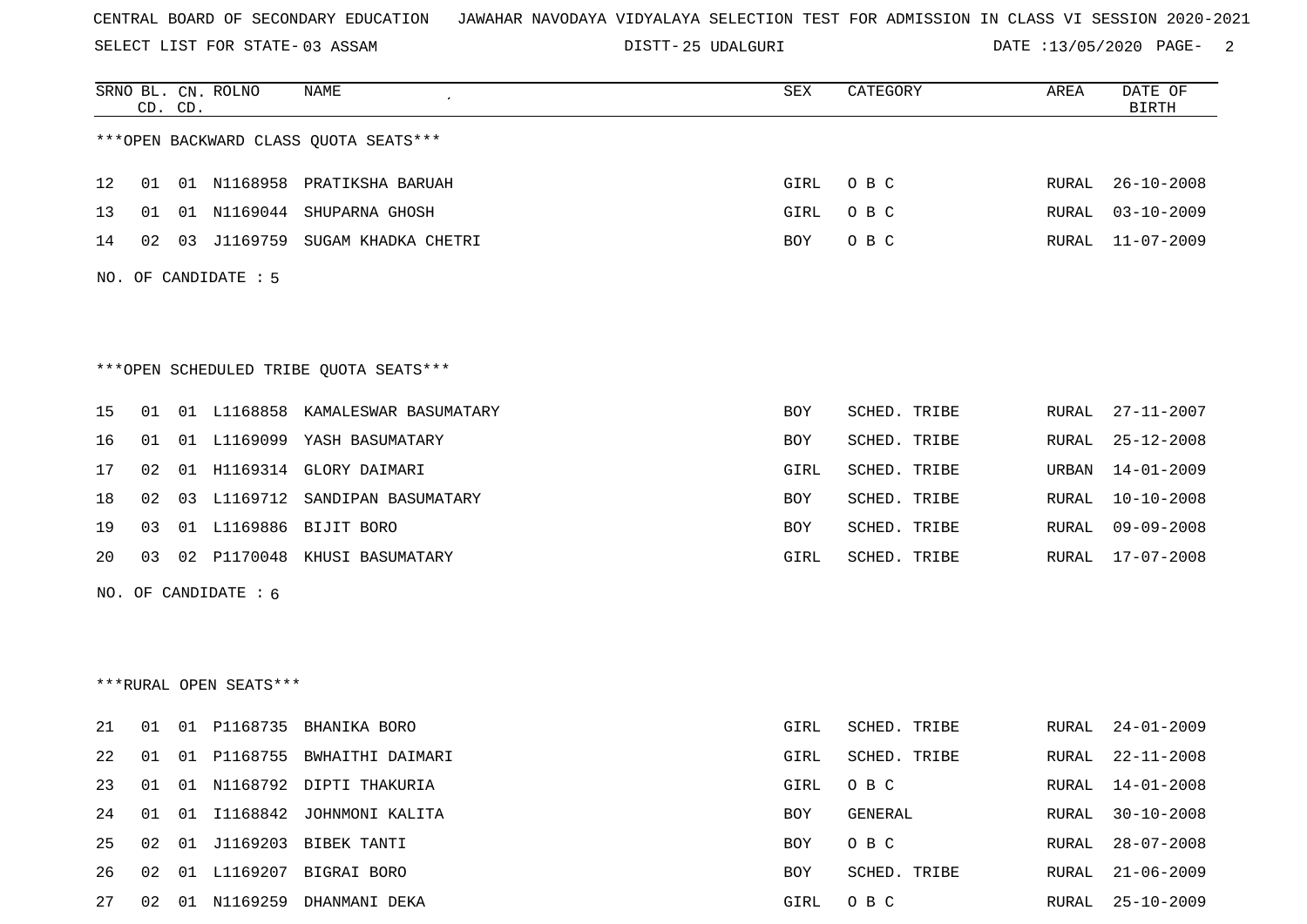SELECT LIST FOR STATE- DISTT- 03 ASSAM

25 UDALGURI DATE :13/05/2020 PAGE- 2

|    | CD. CD. |    | SRNO BL. CN. ROLNO     | <b>NAME</b>                            | <b>SEX</b> | CATEGORY     | AREA  | DATE OF<br><b>BIRTH</b> |
|----|---------|----|------------------------|----------------------------------------|------------|--------------|-------|-------------------------|
|    |         |    |                        | *** OPEN BACKWARD CLASS QUOTA SEATS*** |            |              |       |                         |
| 12 | 01      |    |                        | 01 N1168958 PRATIKSHA BARUAH           | GIRL       | O B C        | RURAL | $26 - 10 - 2008$        |
| 13 | 01      |    |                        | 01 N1169044 SHUPARNA GHOSH             | GIRL       | O B C        | RURAL | $03 - 10 - 2009$        |
| 14 | 02      |    |                        | 03 J1169759 SUGAM KHADKA CHETRI        | BOY        | O B C        | RURAL | $11 - 07 - 2009$        |
|    |         |    | NO. OF CANDIDATE : 5   |                                        |            |              |       |                         |
|    |         |    |                        |                                        |            |              |       |                         |
|    |         |    |                        | ***OPEN SCHEDULED TRIBE QUOTA SEATS*** |            |              |       |                         |
| 15 | 01      |    |                        | 01 L1168858 KAMALESWAR BASUMATARY      | BOY        | SCHED. TRIBE | RURAL | $27 - 11 - 2007$        |
| 16 | 01      |    |                        | 01 L1169099 YASH BASUMATARY            | BOY        | SCHED. TRIBE | RURAL | $25 - 12 - 2008$        |
| 17 | 02      | 01 |                        | H1169314 GLORY DAIMARI                 | GIRL       | SCHED. TRIBE | URBAN | $14 - 01 - 2009$        |
| 18 | 02      |    |                        | 03 L1169712 SANDIPAN BASUMATARY        | BOY        | SCHED. TRIBE | RURAL | $10 - 10 - 2008$        |
| 19 | 03      |    |                        | 01 L1169886 BIJIT BORO                 | BOY        | SCHED. TRIBE | RURAL | $09 - 09 - 2008$        |
| 20 | 03      |    |                        | 02 P1170048 KHUSI BASUMATARY           | GIRL       | SCHED. TRIBE | RURAL | $17 - 07 - 2008$        |
|    |         |    | NO. OF CANDIDATE : $6$ |                                        |            |              |       |                         |
|    |         |    |                        |                                        |            |              |       |                         |
|    |         |    |                        |                                        |            |              |       |                         |
|    |         |    | ***RURAL OPEN SEATS*** |                                        |            |              |       |                         |
| 21 | 01      |    |                        | 01 P1168735 BHANIKA BORO               | GIRL       | SCHED. TRIBE | RURAL | $24 - 01 - 2009$        |
| 22 | 01      |    |                        | 01 P1168755 BWHAITHI DAIMARI           | GIRL       | SCHED. TRIBE | RURAL | $22 - 11 - 2008$        |
| 23 | 01      |    |                        | 01 N1168792 DIPTI THAKURIA             | GIRL       | O B C        | RURAL | $14 - 01 - 2008$        |
| 24 | 01      |    |                        | 01 I1168842 JOHNMONI KALITA            | BOY        | GENERAL      | RURAL | $30 - 10 - 2008$        |
| 25 | 02      |    |                        | 01 J1169203 BIBEK TANTI                | BOY        | O B C        | RURAL | $28 - 07 - 2008$        |
| 26 | 02      |    |                        | 01 L1169207 BIGRAI BORO                | BOY        | SCHED. TRIBE | RURAL | $21 - 06 - 2009$        |
| 27 | 02      |    |                        | 01 N1169259 DHANMANI DEKA              | GIRL       | O B C        | RURAL | $25 - 10 - 2009$        |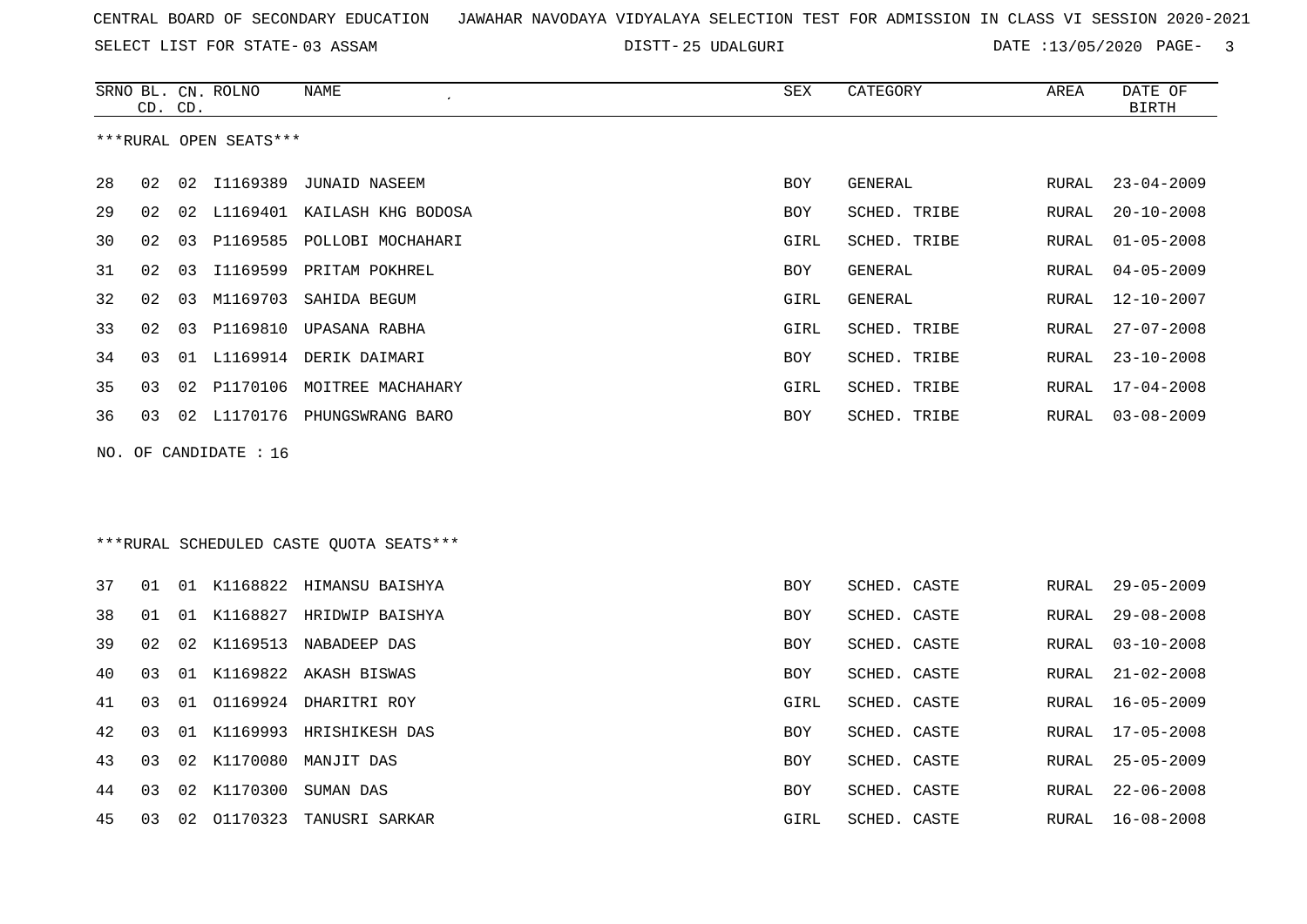SELECT LIST FOR STATE- DISTT- 03 ASSAM

25 UDALGURI DATE :13/05/2020 PAGE- 3

|    | CD. CD. |    | SRNO BL. CN. ROLNO     | NAME                                    | SEX        | CATEGORY     | AREA  | DATE OF<br><b>BIRTH</b> |
|----|---------|----|------------------------|-----------------------------------------|------------|--------------|-------|-------------------------|
|    |         |    | ***RURAL OPEN SEATS*** |                                         |            |              |       |                         |
| 28 | 02      |    |                        | 02 I1169389 JUNAID NASEEM               | <b>BOY</b> | GENERAL      | RURAL | $23 - 04 - 2009$        |
| 29 | 02      |    |                        | 02 L1169401 KAILASH KHG BODOSA          | <b>BOY</b> | SCHED. TRIBE | RURAL | $20 - 10 - 2008$        |
| 30 | 02      | 03 |                        | P1169585 POLLOBI MOCHAHARI              | GIRL       | SCHED. TRIBE | RURAL | $01 - 05 - 2008$        |
| 31 | 02      | 03 |                        | I1169599 PRITAM POKHREL                 | <b>BOY</b> | GENERAL      | RURAL | $04 - 05 - 2009$        |
| 32 | 02      | 03 |                        | M1169703 SAHIDA BEGUM                   | GIRL       | GENERAL      | RURAL | $12 - 10 - 2007$        |
| 33 | 02      | 03 |                        | P1169810 UPASANA RABHA                  | GIRL       | SCHED. TRIBE | RURAL | $27 - 07 - 2008$        |
| 34 | 03      |    |                        | 01 L1169914 DERIK DAIMARI               | BOY        | SCHED. TRIBE | RURAL | $23 - 10 - 2008$        |
| 35 | 03      | 02 |                        | P1170106 MOITREE MACHAHARY              | GIRL       | SCHED. TRIBE | RURAL | $17 - 04 - 2008$        |
| 36 | 03      |    |                        | 02 L1170176 PHUNGSWRANG BARO            | <b>BOY</b> | SCHED. TRIBE | RURAL | $03 - 08 - 2009$        |
|    |         |    | NO. OF CANDIDATE : 16  |                                         |            |              |       |                         |
|    |         |    |                        |                                         |            |              |       |                         |
|    |         |    |                        |                                         |            |              |       |                         |
|    |         |    |                        | ***RURAL SCHEDULED CASTE OUOTA SEATS*** |            |              |       |                         |
| 37 | 01      |    |                        | 01 K1168822 HIMANSU BAISHYA             | <b>BOY</b> | SCHED. CASTE | RURAL | $29 - 05 - 2009$        |
| 38 | 01      | 01 |                        | K1168827 HRIDWIP BAISHYA                | BOY        | SCHED. CASTE | RURAL | $29 - 08 - 2008$        |
| 39 | 02      | 02 | K1169513               | NABADEEP DAS                            | BOY        | SCHED. CASTE | RURAL | $03 - 10 - 2008$        |
| 40 | 03      | 01 |                        | K1169822 AKASH BISWAS                   | BOY        | SCHED. CASTE | RURAL | $21 - 02 - 2008$        |
| 41 | 03      | 01 |                        | 01169924 DHARITRI ROY                   | GIRL       | SCHED. CASTE | RURAL | $16 - 05 - 2009$        |
| 42 | 03      | 01 |                        | K1169993 HRISHIKESH DAS                 | BOY        | SCHED. CASTE | RURAL | $17 - 05 - 2008$        |
| 43 | 03      | 02 | K1170080               | MANJIT DAS                              | <b>BOY</b> | SCHED. CASTE | RURAL | $25 - 05 - 2009$        |
| 44 | 03      | 02 | K1170300               | SUMAN DAS                               | BOY        | SCHED. CASTE | RURAL | $22 - 06 - 2008$        |
| 45 | 03      | 02 |                        | 01170323 TANUSRI SARKAR                 | GIRL       | SCHED. CASTE | RURAL | 16-08-2008              |
|    |         |    |                        |                                         |            |              |       |                         |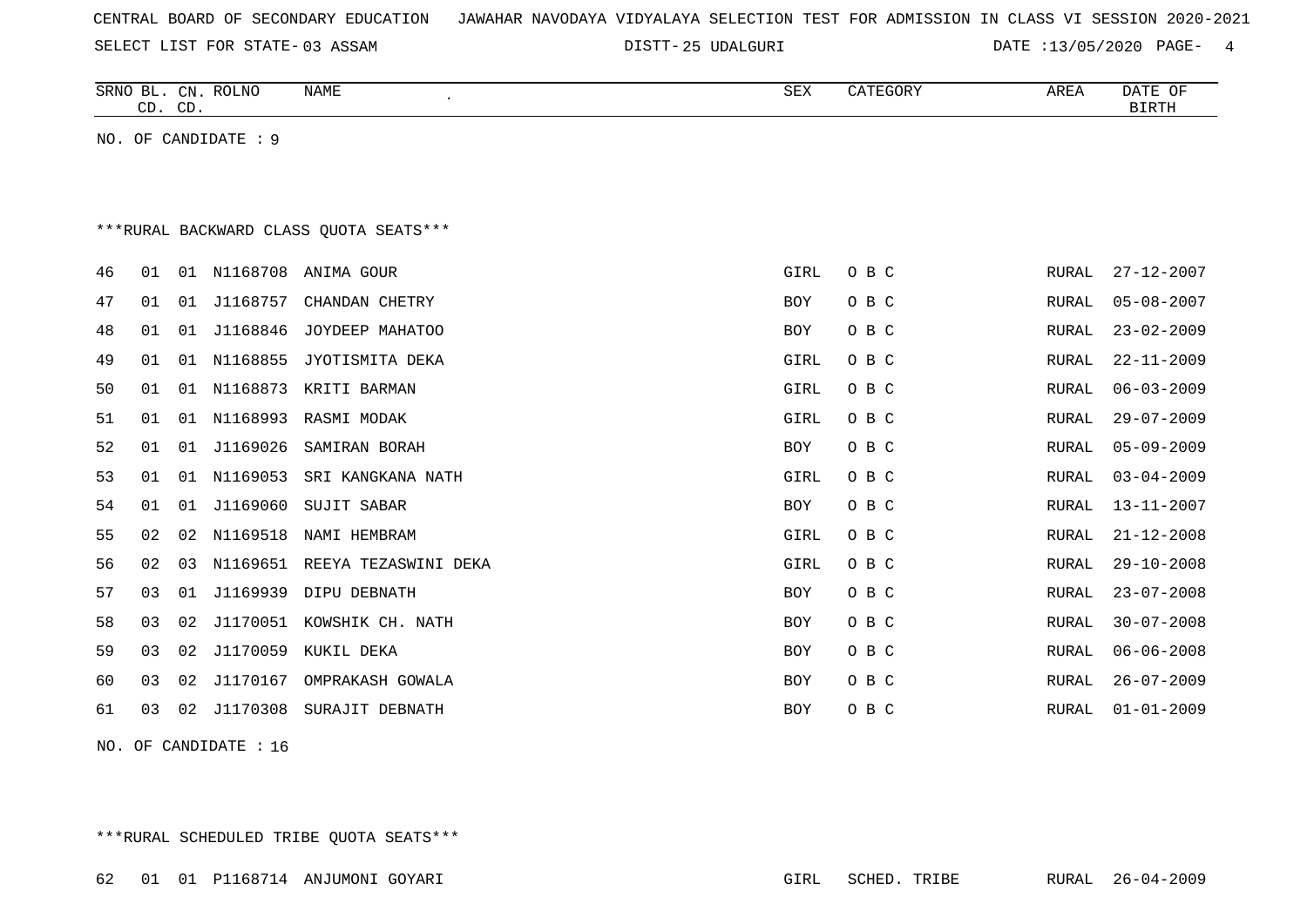SELECT LIST FOR STATE- DISTT- 03 ASSAM

25 UDALGURI DATE :13/05/2020 PAGE- 4

|    | CD. CD. |    | SRNO BL. CN. ROLNO   | NAME                                    | ${\tt SEX}$ | CATEGORY | AREA         | DATE OF<br><b>BIRTH</b> |
|----|---------|----|----------------------|-----------------------------------------|-------------|----------|--------------|-------------------------|
|    |         |    | NO. OF CANDIDATE : 9 |                                         |             |          |              |                         |
|    |         |    |                      |                                         |             |          |              |                         |
|    |         |    |                      |                                         |             |          |              |                         |
|    |         |    |                      | *** RURAL BACKWARD CLASS QUOTA SEATS*** |             |          |              |                         |
| 46 | 01      | 01 | N1168708             | ANIMA GOUR                              | GIRL        | O B C    | RURAL        | $27 - 12 - 2007$        |
| 47 | 01      | 01 | J1168757             | CHANDAN CHETRY                          | BOY         | O B C    | RURAL        | $05 - 08 - 2007$        |
| 48 | 01      | 01 | J1168846             | JOYDEEP MAHATOO                         | BOY         | O B C    | RURAL        | $23 - 02 - 2009$        |
| 49 | 01      | 01 | N1168855             | JYOTISMITA DEKA                         | GIRL        | O B C    | RURAL        | $22 - 11 - 2009$        |
| 50 | 01      | 01 | N1168873             | KRITI BARMAN                            | GIRL        | O B C    | RURAL        | $06 - 03 - 2009$        |
| 51 | 01      | 01 | N1168993             | RASMI MODAK                             | GIRL        | O B C    | <b>RURAL</b> | $29 - 07 - 2009$        |
| 52 | 01      | 01 | J1169026             | SAMIRAN BORAH                           | BOY         | O B C    | RURAL        | $05 - 09 - 2009$        |
| 53 | 01      | 01 | N1169053             | SRI KANGKANA NATH                       | GIRL        | O B C    | RURAL        | $03 - 04 - 2009$        |
| 54 | 01      | 01 | J1169060             | SUJIT SABAR                             | BOY         | O B C    | RURAL        | $13 - 11 - 2007$        |
| 55 | 02      | 02 | N1169518             | NAMI HEMBRAM                            | GIRL        | O B C    | RURAL        | $21 - 12 - 2008$        |
| 56 | 02      | 03 | N1169651             | REEYA TEZASWINI DEKA                    | GIRL        | O B C    | RURAL        | $29 - 10 - 2008$        |
| 57 | 03      | 01 | J1169939             | DIPU DEBNATH                            | <b>BOY</b>  | O B C    | RURAL        | $23 - 07 - 2008$        |
| 58 | 03      | 02 | J1170051             | KOWSHIK CH. NATH                        | BOY         | O B C    | RURAL        | $30 - 07 - 2008$        |
| 59 | 03      | 02 | J1170059             | KUKIL DEKA                              | BOY         | O B C    | <b>RURAL</b> | $06 - 06 - 2008$        |
| 60 | 03      | 02 | J1170167             | OMPRAKASH GOWALA                        | BOY         | O B C    | RURAL        | $26 - 07 - 2009$        |
| 61 | 03      | 02 | J1170308             | SURAJIT DEBNATH                         | BOY         | O B C    | <b>RURAL</b> | $01 - 01 - 2009$        |
|    |         |    |                      |                                         |             |          |              |                         |

NO. OF CANDIDATE : 16

\*\*\*RURAL SCHEDULED TRIBE QUOTA SEATS\*\*\*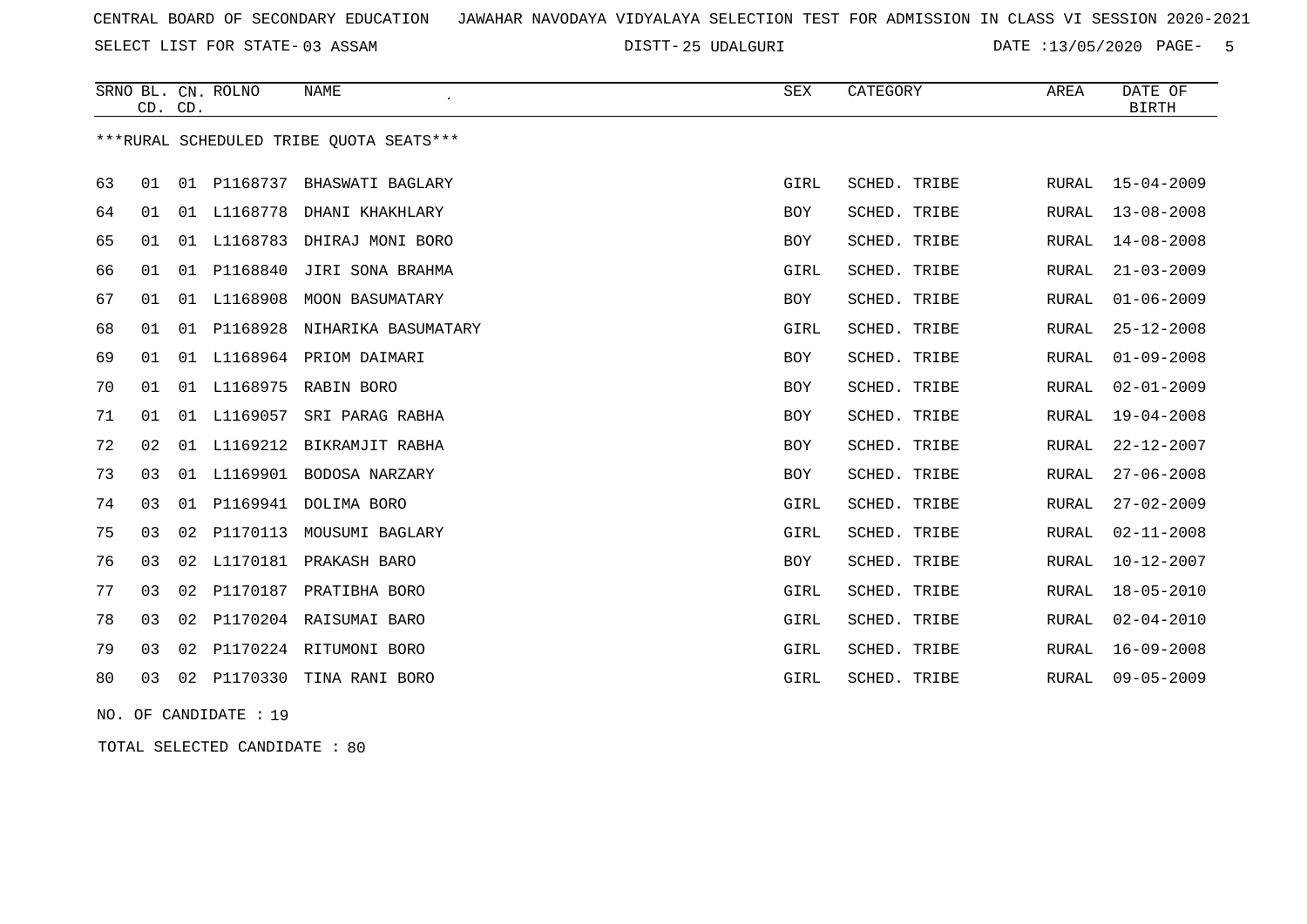SELECT LIST FOR STATE- DISTT- 03 ASSAM

25 UDALGURI DATE :13/05/2020 PAGE- 5

|    |    | CD. CD. | SRNO BL. CN. ROLNO | <b>NAME</b>                              | <b>SEX</b>  | CATEGORY     | AREA         | DATE OF<br>$\operatorname{BIRTH}$ |
|----|----|---------|--------------------|------------------------------------------|-------------|--------------|--------------|-----------------------------------|
|    |    |         |                    | *** RURAL SCHEDULED TRIBE QUOTA SEATS*** |             |              |              |                                   |
| 63 | 01 | 01      | P1168737           | BHASWATI BAGLARY                         | GIRL        | SCHED. TRIBE | RURAL        | $15 - 04 - 2009$                  |
| 64 | 01 |         |                    | 01 L1168778 DHANI KHAKHLARY              | BOY         | SCHED. TRIBE | RURAL        | $13 - 08 - 2008$                  |
| 65 | 01 |         |                    | 01 L1168783 DHIRAJ MONI BORO             | <b>BOY</b>  | SCHED. TRIBE | RURAL        | $14 - 08 - 2008$                  |
| 66 | 01 |         |                    | 01 P1168840 JIRI SONA BRAHMA             | GIRL        | SCHED. TRIBE | RURAL        | $21 - 03 - 2009$                  |
| 67 | 01 | 01      | L1168908           | MOON BASUMATARY                          | BOY         | SCHED. TRIBE | RURAL        | $01 - 06 - 2009$                  |
| 68 | 01 | 01      | P1168928           | NIHARIKA BASUMATARY                      | GIRL        | SCHED. TRIBE | RURAL        | $25 - 12 - 2008$                  |
| 69 | 01 |         |                    | 01 L1168964 PRIOM DAIMARI                | BOY         | SCHED. TRIBE | RURAL        | $01 - 09 - 2008$                  |
| 70 | 01 |         |                    | 01 L1168975 RABIN BORO                   | BOY         | SCHED. TRIBE | RURAL        | $02 - 01 - 2009$                  |
| 71 | 01 | 01      | L1169057           | SRI PARAG RABHA                          | <b>BOY</b>  | SCHED. TRIBE | RURAL        | $19 - 04 - 2008$                  |
| 72 | 02 | 01      | L1169212           | BIKRAMJIT RABHA                          | <b>BOY</b>  | SCHED. TRIBE | RURAL        | $22 - 12 - 2007$                  |
| 73 | 03 | 01      |                    | L1169901 BODOSA NARZARY                  | <b>BOY</b>  | SCHED. TRIBE | RURAL        | $27 - 06 - 2008$                  |
| 74 | 03 | 01      | P1169941           | DOLIMA BORO                              | GIRL        | SCHED. TRIBE | RURAL        | $27 - 02 - 2009$                  |
| 75 | 03 | 02      | P1170113           | MOUSUMI BAGLARY                          | <b>GIRL</b> | SCHED. TRIBE | <b>RURAL</b> | $02 - 11 - 2008$                  |
| 76 | 03 | 02      | L1170181           | PRAKASH BARO                             | BOY         | SCHED. TRIBE | RURAL        | $10 - 12 - 2007$                  |
| 77 | 03 | 02      | P1170187           | PRATIBHA BORO                            | GIRL        | SCHED. TRIBE | RURAL        | $18 - 05 - 2010$                  |
| 78 | 03 | 02      |                    | P1170204 RAISUMAI BARO                   | <b>GIRL</b> | SCHED. TRIBE | RURAL        | $02 - 04 - 2010$                  |
| 79 | 03 | 02      |                    | P1170224 RITUMONI BORO                   | GIRL        | SCHED. TRIBE | RURAL        | $16 - 09 - 2008$                  |
| 80 | 03 | 02      | P1170330           | TINA RANI BORO                           | GIRL        | SCHED. TRIBE | RURAL        | $09 - 05 - 2009$                  |

NO. OF CANDIDATE : 19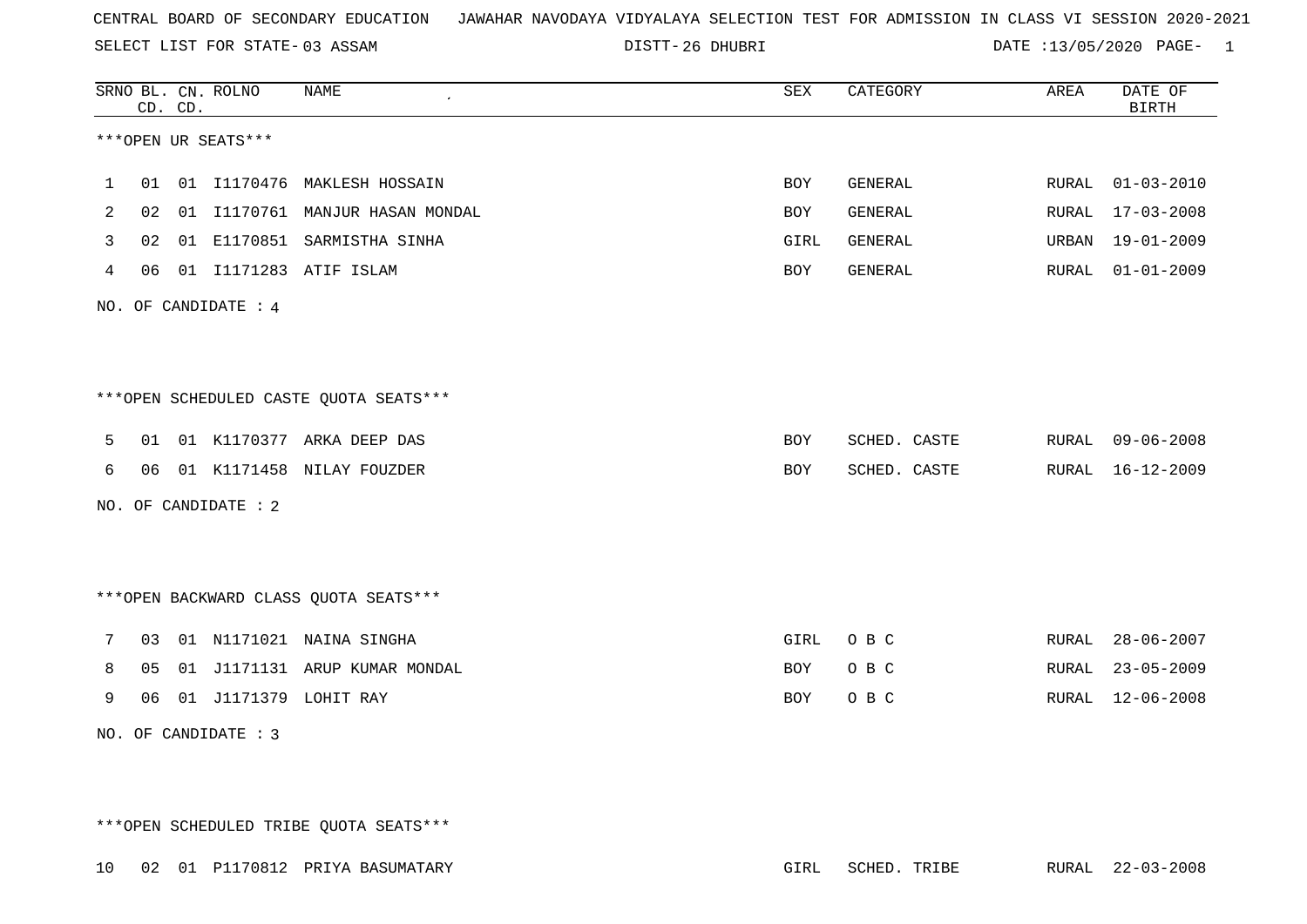SELECT LIST FOR STATE- DISTT- 03 ASSAM

26 DHUBRI DATE :13/05/2020 PAGE- 1

|              |    | CD. CD. | SRNO BL. CN. ROLNO   | <b>NAME</b>                             | <b>SEX</b> | CATEGORY     | AREA          | DATE OF<br><b>BIRTH</b> |
|--------------|----|---------|----------------------|-----------------------------------------|------------|--------------|---------------|-------------------------|
|              |    |         | ***OPEN UR SEATS***  |                                         |            |              |               |                         |
| $\mathbf{1}$ |    |         |                      | 01 01 I1170476 MAKLESH HOSSAIN          | <b>BOY</b> | GENERAL      |               | RURAL 01-03-2010        |
| 2            | 02 |         |                      | 01 I1170761 MANJUR HASAN MONDAL         | BOY        | GENERAL      | RURAL         | $17 - 03 - 2008$        |
| 3            | 02 |         |                      | 01 E1170851 SARMISTHA SINHA             | GIRL       | GENERAL      | URBAN         | $19 - 01 - 2009$        |
| 4            | 06 |         |                      | 01 I1171283 ATIF ISLAM                  | <b>BOY</b> | GENERAL      | RURAL         | $01 - 01 - 2009$        |
|              |    |         | NO. OF CANDIDATE : 4 |                                         |            |              |               |                         |
|              |    |         |                      |                                         |            |              |               |                         |
|              |    |         |                      | ***OPEN SCHEDULED CASTE QUOTA SEATS***  |            |              |               |                         |
| 5            | 01 |         |                      | 01 K1170377 ARKA DEEP DAS               | <b>BOY</b> | SCHED. CASTE | RURAL         | $09 - 06 - 2008$        |
| 6            | 06 |         |                      | 01 K1171458 NILAY FOUZDER               | BOY        | SCHED. CASTE | ${\tt RURAL}$ | $16 - 12 - 2009$        |
|              |    |         | NO. OF CANDIDATE : 2 |                                         |            |              |               |                         |
|              |    |         |                      |                                         |            |              |               |                         |
|              |    |         |                      | *** OPEN BACKWARD CLASS QUOTA SEATS *** |            |              |               |                         |
| 7            | 03 |         |                      | 01 N1171021 NAINA SINGHA                | GIRL       | O B C        | RURAL         | $28 - 06 - 2007$        |
| 8            | 05 |         |                      | 01 J1171131 ARUP KUMAR MONDAL           | BOY        | O B C        | RURAL         | $23 - 05 - 2009$        |
| 9            | 06 |         |                      | 01 J1171379 LOHIT RAY                   | BOY        | O B C        | RURAL         | $12 - 06 - 2008$        |
|              |    |         | NO. OF CANDIDATE : 3 |                                         |            |              |               |                         |

\*\*\*OPEN SCHEDULED TRIBE QUOTA SEATS\*\*\*

10 02 01 P1170812 PRIYA BASUMATARY GIRL SCHED. TRIBE RURAL 22-03-2008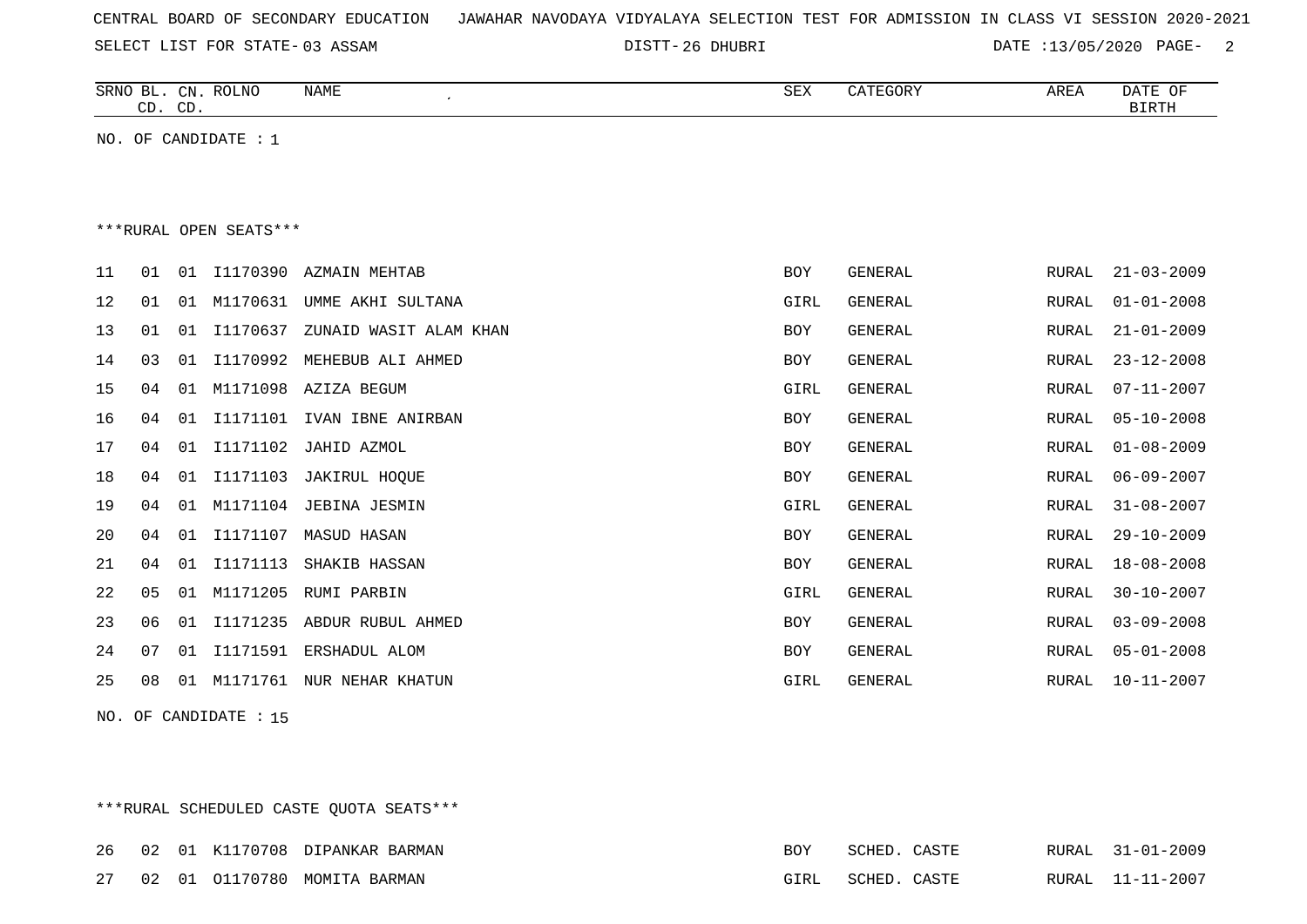| CENTRAL BOARD OF SECONDARY EDUCATION – JAWAHAR NAVODAYA VIDYALAYA SELECTION TEST FOR ADMISSION IN CLASS VI SESSION 2020-2021 |  |  |  |  |
|------------------------------------------------------------------------------------------------------------------------------|--|--|--|--|
|------------------------------------------------------------------------------------------------------------------------------|--|--|--|--|

26 DHUBRI DATE :13/05/2020 PAGE- 2

| SRNO<br>$\sim$<br>⊐ப | CN | ROLNO | NAME | $\cap$<br>つロマ | $\bigcap$<br>$\sim$<br>$\overline{\phantom{a}}$ | AREA | <b>DATE</b><br>OF. |
|----------------------|----|-------|------|---------------|-------------------------------------------------|------|--------------------|
| $\sim$<br>ىت         | CD |       |      |               |                                                 |      | ∡TDT"<br>⊷         |

NO. OF CANDIDATE : 1

#### \*\*\*RURAL OPEN SEATS\*\*\*

| 11 | 01             | 01 |          | I1170390 AZMAIN MEHTAB | <b>BOY</b> | GENERAL | RURAL | $21 - 03 - 2009$ |
|----|----------------|----|----------|------------------------|------------|---------|-------|------------------|
| 12 | 01             | 01 | M1170631 | UMME AKHI SULTANA      | GIRL       | GENERAL | RURAL | $01 - 01 - 2008$ |
| 13 | 01             | 01 | I1170637 | ZUNAID WASIT ALAM KHAN | <b>BOY</b> | GENERAL | RURAL | $21 - 01 - 2009$ |
| 14 | 03             | 01 | I1170992 | MEHEBUB ALI AHMED      | <b>BOY</b> | GENERAL | RURAL | $23 - 12 - 2008$ |
| 15 | 04             | 01 | M1171098 | AZIZA BEGUM            | GIRL       | GENERAL | RURAL | $07 - 11 - 2007$ |
| 16 | 04             | 01 | I1171101 | IVAN IBNE ANIRBAN      | <b>BOY</b> | GENERAL | RURAL | $05 - 10 - 2008$ |
| 17 | 04             | 01 |          | I1171102 JAHID AZMOL   | <b>BOY</b> | GENERAL | RURAL | $01 - 08 - 2009$ |
| 18 | 04             | 01 | I1171103 | JAKIRUL HOQUE          | <b>BOY</b> | GENERAL | RURAL | $06 - 09 - 2007$ |
| 19 | 04             | 01 |          | M1171104 JEBINA JESMIN | GIRL       | GENERAL | RURAL | $31 - 08 - 2007$ |
| 20 | 04             | 01 | I1171107 | MASUD HASAN            | <b>BOY</b> | GENERAL | RURAL | $29 - 10 - 2009$ |
| 21 | 04             | 01 | I1171113 | SHAKIB HASSAN          | <b>BOY</b> | GENERAL | RURAL | $18 - 08 - 2008$ |
| 22 | 0 <sub>5</sub> | 01 | M1171205 | RUMI PARBIN            | GIRL       | GENERAL | RURAL | $30 - 10 - 2007$ |
| 23 | 06             | 01 | I1171235 | ABDUR RUBUL AHMED      | <b>BOY</b> | GENERAL | RURAL | $03 - 09 - 2008$ |
| 24 | 07             | 01 | I1171591 | ERSHADUL ALOM          | <b>BOY</b> | GENERAL | RURAL | $05 - 01 - 2008$ |
| 25 | 08             | 01 | M1171761 | NUR NEHAR KHATUN       | GIRL       | GENERAL | RURAL | $10 - 11 - 2007$ |
|    |                |    |          |                        |            |         |       |                  |

NO. OF CANDIDATE : 15

\*\*\*RURAL SCHEDULED CASTE QUOTA SEATS\*\*\*

|  |  | 26 02 01 K1170708 DIPANKAR BARMAN | BOY. | SCHED. CASTE |  | RURAL 31-01-2009 |
|--|--|-----------------------------------|------|--------------|--|------------------|
|  |  | 27 02 01 01170780 MOMITA BARMAN   | GIRL | SCHED. CASTE |  | RURAL 11-11-2007 |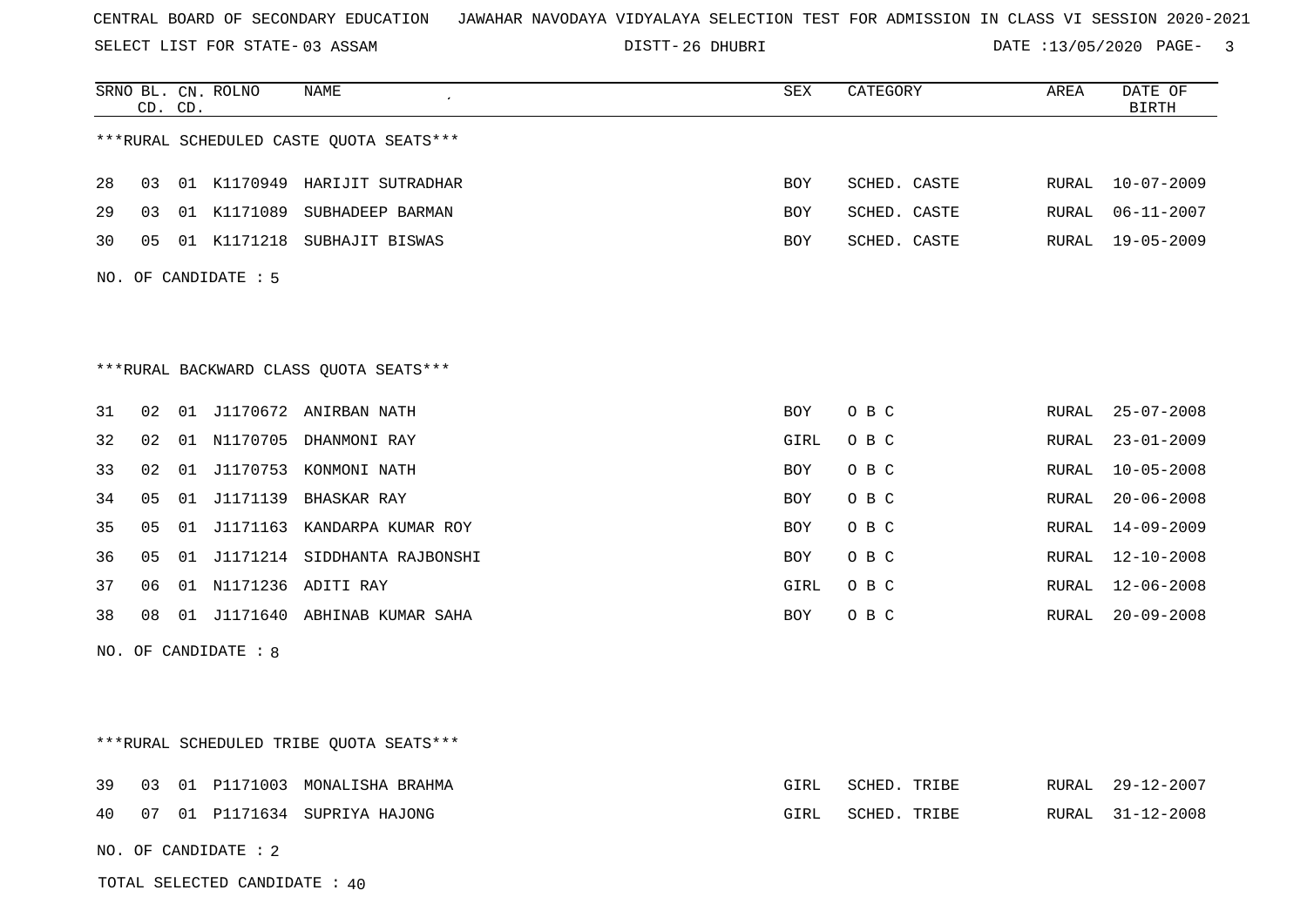SELECT LIST FOR STATE- DISTT- 03 ASSAM

26 DHUBRI DATE :13/05/2020 PAGE- 3

|    |    | CD. CD. | SRNO BL. CN. ROLNO   | NAME                                     | <b>SEX</b> | CATEGORY     | AREA         | DATE OF<br><b>BIRTH</b> |
|----|----|---------|----------------------|------------------------------------------|------------|--------------|--------------|-------------------------|
|    |    |         |                      | *** RURAL SCHEDULED CASTE QUOTA SEATS*** |            |              |              |                         |
| 28 | 03 |         |                      | 01 K1170949 HARIJIT SUTRADHAR            | <b>BOY</b> | SCHED. CASTE | RURAL        | $10 - 07 - 2009$        |
| 29 | 03 |         |                      | 01 K1171089 SUBHADEEP BARMAN             | <b>BOY</b> | SCHED. CASTE | RURAL        | $06 - 11 - 2007$        |
| 30 | 05 |         |                      | 01 K1171218 SUBHAJIT BISWAS              | <b>BOY</b> | SCHED. CASTE | RURAL        | $19 - 05 - 2009$        |
|    |    |         | NO. OF CANDIDATE: 5  |                                          |            |              |              |                         |
|    |    |         |                      |                                          |            |              |              |                         |
|    |    |         |                      |                                          |            |              |              |                         |
|    |    |         |                      | ***RURAL BACKWARD CLASS QUOTA SEATS***   |            |              |              |                         |
| 31 | 02 |         |                      | 01 J1170672 ANIRBAN NATH                 | BOY        | O B C        | RURAL        | $25 - 07 - 2008$        |
| 32 | 02 |         |                      | 01 N1170705 DHANMONI RAY                 | GIRL       | O B C        | RURAL        | $23 - 01 - 2009$        |
| 33 | 02 |         |                      | 01 J1170753 KONMONI NATH                 | <b>BOY</b> | O B C        | RURAL        | $10 - 05 - 2008$        |
| 34 | 05 |         |                      | 01 J1171139 BHASKAR RAY                  | <b>BOY</b> | O B C        | RURAL        | $20 - 06 - 2008$        |
| 35 | 05 |         |                      | 01 J1171163 KANDARPA KUMAR ROY           | BOY        | O B C        | RURAL        | $14 - 09 - 2009$        |
| 36 | 05 |         |                      | 01 J1171214 SIDDHANTA RAJBONSHI          | <b>BOY</b> | O B C        | RURAL        | $12 - 10 - 2008$        |
| 37 | 06 |         |                      | 01 N1171236 ADITI RAY                    | GIRL       | O B C        | RURAL        | $12 - 06 - 2008$        |
| 38 | 08 |         |                      | 01 J1171640 ABHINAB KUMAR SAHA           | BOY        | O B C        | <b>RURAL</b> | $20 - 09 - 2008$        |
|    |    |         | NO. OF CANDIDATE : 8 |                                          |            |              |              |                         |
|    |    |         |                      |                                          |            |              |              |                         |
|    |    |         |                      |                                          |            |              |              |                         |
|    |    |         |                      | *** RURAL SCHEDULED TRIBE QUOTA SEATS*** |            |              |              |                         |
| 39 | 03 |         |                      | 01 P1171003 MONALISHA BRAHMA             | GIRL       | SCHED. TRIBE | RURAL        | $29 - 12 - 2007$        |
| 40 | 07 |         |                      | 01 P1171634 SUPRIYA HAJONG               | GIRL       | SCHED. TRIBE | RURAL        | $31 - 12 - 2008$        |
|    |    |         | NO. OF CANDIDATE : 2 |                                          |            |              |              |                         |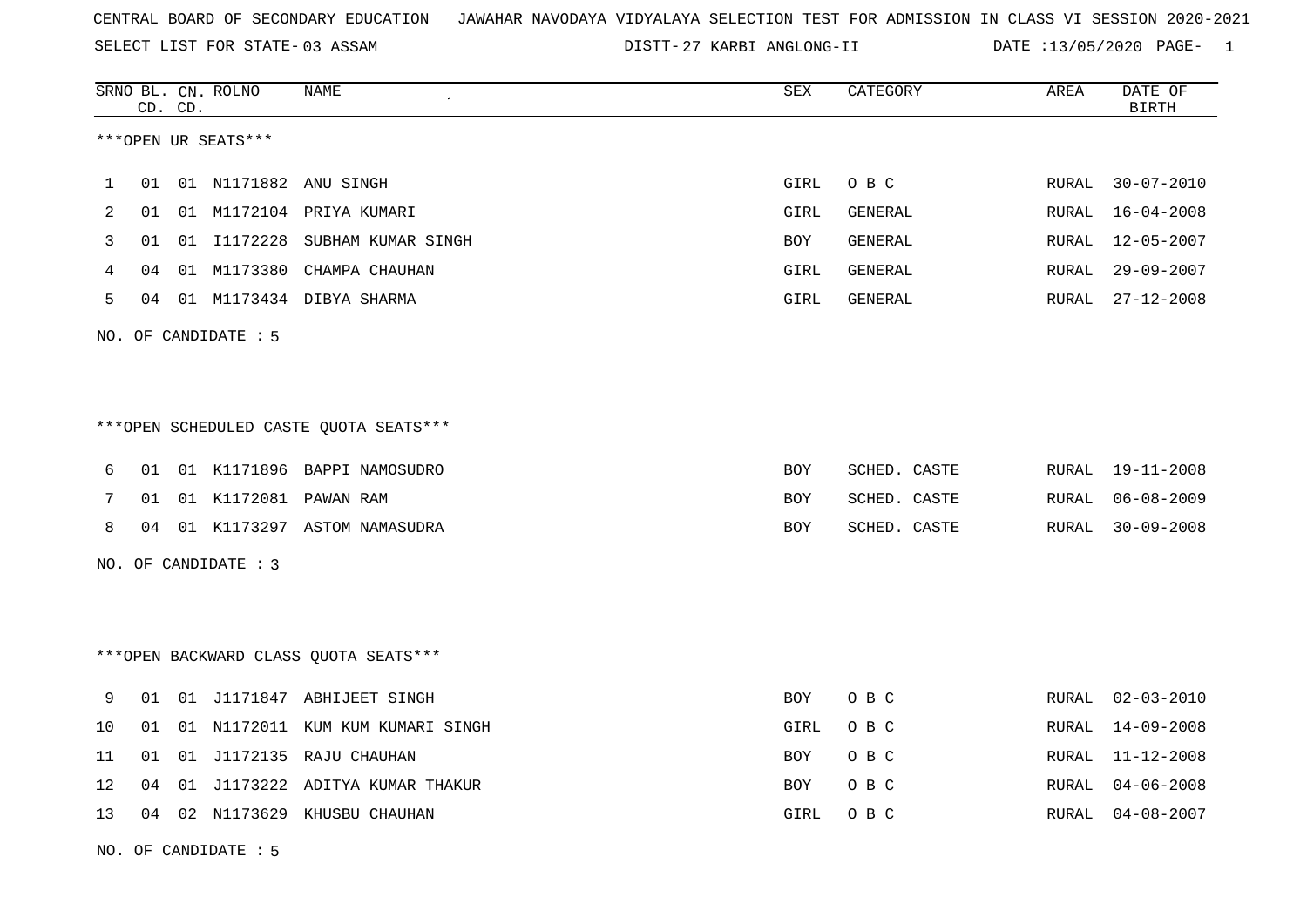SELECT LIST FOR STATE- DISTT- 03 ASSAM

DISTT-27 KARBI ANGLONG-II DATE :13/05/2020 PAGE- 1

|    |    | CD. CD. | SRNO BL. CN. ROLNO   | <b>NAME</b>                            | ${\tt SEX}$ | CATEGORY       | AREA          | DATE OF<br><b>BIRTH</b> |
|----|----|---------|----------------------|----------------------------------------|-------------|----------------|---------------|-------------------------|
|    |    |         | ***OPEN UR SEATS***  |                                        |             |                |               |                         |
| 1  | 01 |         |                      | 01 N1171882 ANU SINGH                  | GIRL        | O B C          | RURAL         | $30 - 07 - 2010$        |
| 2  | 01 |         |                      | 01 M1172104 PRIYA KUMARI               | GIRL        | GENERAL        | RURAL         | $16 - 04 - 2008$        |
| 3  | 01 | 01      | I1172228             | SUBHAM KUMAR SINGH                     | BOY         | <b>GENERAL</b> | RURAL         | $12 - 05 - 2007$        |
| 4  | 04 |         |                      | 01 M1173380 CHAMPA CHAUHAN             | GIRL        | GENERAL        | RURAL         | $29 - 09 - 2007$        |
| 5  | 04 |         |                      | 01 M1173434 DIBYA SHARMA               | GIRL        | GENERAL        | RURAL         | $27 - 12 - 2008$        |
|    |    |         | NO. OF CANDIDATE: 5  |                                        |             |                |               |                         |
|    |    |         |                      |                                        |             |                |               |                         |
|    |    |         |                      | ***OPEN SCHEDULED CASTE QUOTA SEATS*** |             |                |               |                         |
| 6  | 01 |         |                      | 01 K1171896 BAPPI NAMOSUDRO            | <b>BOY</b>  | SCHED. CASTE   | RURAL         | $19 - 11 - 2008$        |
| 7  | 01 |         |                      | 01 K1172081 PAWAN RAM                  | BOY         | SCHED. CASTE   | RURAL         | $06 - 08 - 2009$        |
| 8  | 04 |         |                      | 01 K1173297 ASTOM NAMASUDRA            | BOY         | SCHED. CASTE   | RURAL         | $30 - 09 - 2008$        |
|    |    |         | NO. OF CANDIDATE : 3 |                                        |             |                |               |                         |
|    |    |         |                      |                                        |             |                |               |                         |
|    |    |         |                      | *** OPEN BACKWARD CLASS QUOTA SEATS*** |             |                |               |                         |
| 9  | 01 |         |                      | 01 J1171847 ABHIJEET SINGH             | <b>BOY</b>  | O B C          | ${\tt RURAL}$ | $02 - 03 - 2010$        |
| 10 | 01 | 01      |                      | N1172011 KUM KUM KUMARI SINGH          | GIRL        | O B C          | RURAL         | $14 - 09 - 2008$        |
| 11 | 01 | 01      |                      | J1172135 RAJU CHAUHAN                  | BOY         | O B C          | RURAL         | $11 - 12 - 2008$        |
| 12 | 04 | 01      |                      | J1173222 ADITYA KUMAR THAKUR           | BOY         | O B C          | RURAL         | $04 - 06 - 2008$        |
| 13 | 04 |         |                      | 02 N1173629 KHUSBU CHAUHAN             | GIRL        | O B C          | RURAL         | 04-08-2007              |
|    |    |         |                      |                                        |             |                |               |                         |

NO. OF CANDIDATE : 5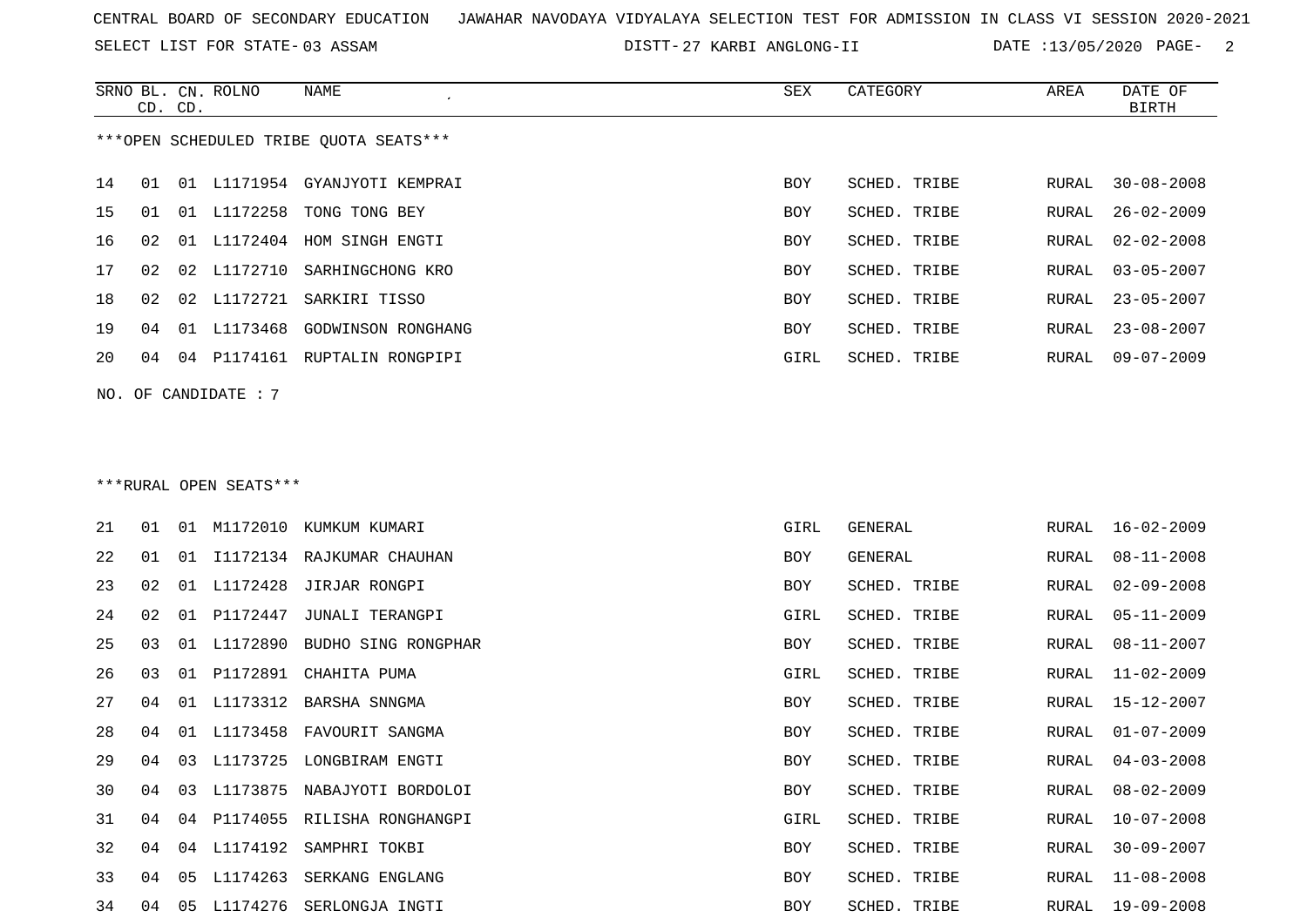SELECT LIST FOR STATE- DISTT- 03 ASSAM

27 KARBI ANGLONG-II DATE :13/05/2020 PAGE- 2

|    | CD. CD. |    | SRNO BL. CN. ROLNO     | NAME                                   | SEX        | CATEGORY     | AREA  | DATE OF<br><b>BIRTH</b> |
|----|---------|----|------------------------|----------------------------------------|------------|--------------|-------|-------------------------|
|    |         |    |                        | ***OPEN SCHEDULED TRIBE QUOTA SEATS*** |            |              |       |                         |
| 14 | 01      |    |                        | 01 L1171954 GYANJYOTI KEMPRAI          | <b>BOY</b> | SCHED. TRIBE | RURAL | $30 - 08 - 2008$        |
| 15 | 01      |    | 01 L1172258            | TONG TONG BEY                          | BOY        | SCHED. TRIBE | RURAL | $26 - 02 - 2009$        |
| 16 | 02      |    |                        | 01 L1172404 HOM SINGH ENGTI            | <b>BOY</b> | SCHED. TRIBE | RURAL | $02 - 02 - 2008$        |
| 17 | 02      |    |                        | 02 L1172710 SARHINGCHONG KRO           | <b>BOY</b> | SCHED. TRIBE | RURAL | $03 - 05 - 2007$        |
| 18 | 02      |    |                        | 02 L1172721 SARKIRI TISSO              | <b>BOY</b> | SCHED. TRIBE | RURAL | $23 - 05 - 2007$        |
| 19 | 04      |    |                        | 01 L1173468 GODWINSON RONGHANG         | BOY        | SCHED. TRIBE | RURAL | $23 - 08 - 2007$        |
| 20 | 04      |    |                        | 04 P1174161 RUPTALIN RONGPIPI          | GIRL       | SCHED. TRIBE | RURAL | $09 - 07 - 2009$        |
|    |         |    | NO. OF CANDIDATE : $7$ |                                        |            |              |       |                         |
|    |         |    | ***RURAL OPEN SEATS*** |                                        |            |              |       |                         |
| 21 | 01      |    |                        | 01 M1172010 KUMKUM KUMARI              | GIRL       | GENERAL      | RURAL | $16 - 02 - 2009$        |
| 22 | 01      |    |                        | 01 I1172134 RAJKUMAR CHAUHAN           | BOY        | GENERAL      | RURAL | $08 - 11 - 2008$        |
| 23 | 02      |    | 01 L1172428            | JIRJAR RONGPI                          | BOY        | SCHED. TRIBE | RURAL | $02 - 09 - 2008$        |
| 24 | 02      |    | 01 P1172447            | JUNALI TERANGPI                        | GIRL       | SCHED. TRIBE | RURAL | $05 - 11 - 2009$        |
| 25 | 03      |    | 01 L1172890            | BUDHO SING RONGPHAR                    | <b>BOY</b> | SCHED. TRIBE | RURAL | $08 - 11 - 2007$        |
| 26 | 03      |    | 01 P1172891            | CHAHITA PUMA                           | GIRL       | SCHED. TRIBE | RURAL | $11 - 02 - 2009$        |
| 27 | 04      |    |                        | 01 L1173312 BARSHA SNNGMA              | BOY        | SCHED. TRIBE | RURAL | $15 - 12 - 2007$        |
| 28 | 04      |    | 01 L1173458            | FAVOURIT SANGMA                        | BOY        | SCHED. TRIBE | RURAL | $01 - 07 - 2009$        |
| 29 | 04      | 03 |                        | L1173725 LONGBIRAM ENGTI               | BOY        | SCHED. TRIBE | RURAL | $04 - 03 - 2008$        |
| 30 | 04      |    |                        | 03 L1173875 NABAJYOTI BORDOLOI         | BOY        | SCHED. TRIBE | RURAL | $08 - 02 - 2009$        |
| 31 | 04      | 04 |                        | P1174055 RILISHA RONGHANGPI            | GIRL       | SCHED. TRIBE | RURAL | $10 - 07 - 2008$        |
| 32 | 04      |    |                        | 04 L1174192 SAMPHRI TOKBI              | <b>BOY</b> | SCHED. TRIBE | RURAL | $30 - 09 - 2007$        |

 04 05 L1174263 SERKANG ENGLANG BOY SCHED. TRIBE RURAL 11-08-2008 04 05 L1174276 SERLONGJA INGTI BOY SCHED. TRIBE RURAL 19-09-2008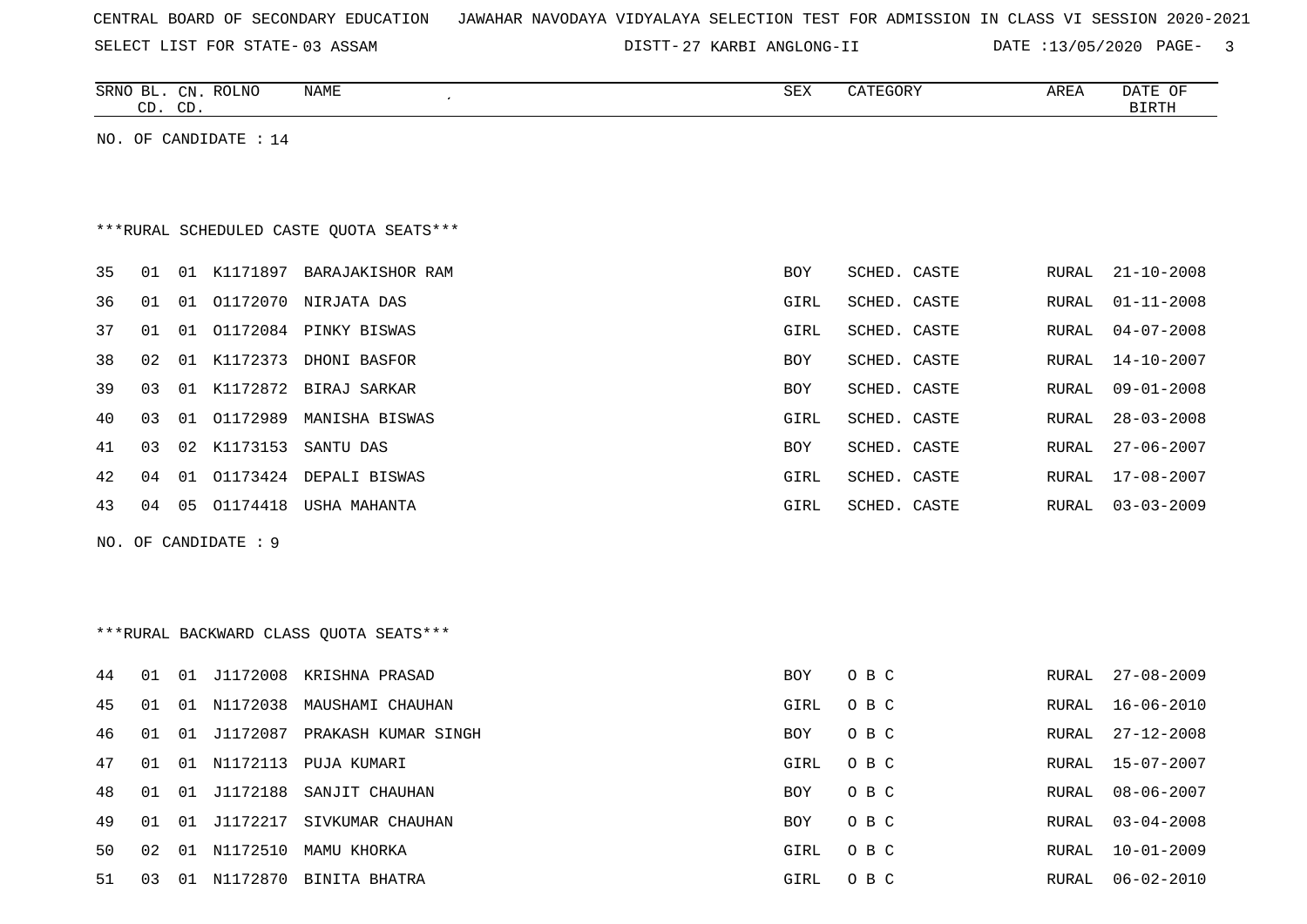|  | CENTRAL BOARD OF SECONDARY EDUCATION – JAWAHAR NAVODAYA VIDYALAYA SELECTION TEST FOR ADMISSION IN CLASS VI SESSION 2020-2021 |  |  |
|--|------------------------------------------------------------------------------------------------------------------------------|--|--|
|--|------------------------------------------------------------------------------------------------------------------------------|--|--|

27 KARBI ANGLONG-II DATE :13/05/2020 PAGE- 3

|    |    | CD. CD. | SRNO BL. CN. ROLNO    | NAME<br>$\epsilon$                      | SEX        | CATEGORY     | AREA         | DATE OF<br><b>BIRTH</b> |
|----|----|---------|-----------------------|-----------------------------------------|------------|--------------|--------------|-------------------------|
|    |    |         | NO. OF CANDIDATE : 14 |                                         |            |              |              |                         |
|    |    |         |                       |                                         |            |              |              |                         |
|    |    |         |                       |                                         |            |              |              |                         |
|    |    |         |                       | ***RURAL SCHEDULED CASTE QUOTA SEATS*** |            |              |              |                         |
| 35 | 01 |         |                       | 01 K1171897 BARAJAKISHOR RAM            | <b>BOY</b> | SCHED. CASTE | RURAL        | $21 - 10 - 2008$        |
| 36 | 01 |         |                       | 01 01172070 NIRJATA DAS                 | GIRL       | SCHED. CASTE | RURAL        | $01 - 11 - 2008$        |
| 37 | 01 |         |                       | 01 01172084 PINKY BISWAS                | GIRL       | SCHED. CASTE | RURAL        | $04 - 07 - 2008$        |
| 38 | 02 |         |                       | 01 K1172373 DHONI BASFOR                | BOY        | SCHED. CASTE | RURAL        | $14 - 10 - 2007$        |
| 39 | 03 |         |                       | 01 K1172872 BIRAJ SARKAR                | BOY        | SCHED. CASTE | RURAL        | $09 - 01 - 2008$        |
| 40 | 03 | 01      |                       | 01172989 MANISHA BISWAS                 | GIRL       | SCHED. CASTE | RURAL        | $28 - 03 - 2008$        |
| 41 | 03 |         |                       | 02 K1173153 SANTU DAS                   | BOY        | SCHED. CASTE | RURAL        | $27 - 06 - 2007$        |
| 42 | 04 |         |                       | 01 01173424 DEPALI BISWAS               | GIRL       | SCHED. CASTE | RURAL        | 17-08-2007              |
| 43 | 04 | 05      | 01174418              | USHA MAHANTA                            | GIRL       | SCHED. CASTE | RURAL        | $03 - 03 - 2009$        |
|    |    |         | NO. OF CANDIDATE : 9  |                                         |            |              |              |                         |
|    |    |         |                       |                                         |            |              |              |                         |
|    |    |         |                       |                                         |            |              |              |                         |
|    |    |         |                       | *** RURAL BACKWARD CLASS QUOTA SEATS*** |            |              |              |                         |
| 44 | 01 |         |                       | 01 J1172008 KRISHNA PRASAD              | BOY        | O B C        | RURAL        | 27-08-2009              |
| 45 | 01 | 01      |                       | N1172038 MAUSHAMI CHAUHAN               | GIRL       | O B C        | RURAL        | $16 - 06 - 2010$        |
| 46 | 01 |         |                       | 01 J1172087 PRAKASH KUMAR SINGH         | BOY        | O B C        | RURAL        | $27 - 12 - 2008$        |
| 47 | 01 |         |                       | 01 N1172113 PUJA KUMARI                 | GIRL       | O B C        | RURAL        | $15 - 07 - 2007$        |
| 48 | 01 | 01      | J1172188              | SANJIT CHAUHAN                          | BOY        | O B C        | <b>RURAL</b> | $08 - 06 - 2007$        |
| 49 | 01 |         |                       | 01 J1172217 SIVKUMAR CHAUHAN            | <b>BOY</b> | O B C        | RURAL        | $03 - 04 - 2008$        |
| 50 | 02 |         |                       | 01 N1172510 MAMU KHORKA                 | GIRL       | O B C        | <b>RURAL</b> | $10 - 01 - 2009$        |
| 51 | 03 |         |                       | 01 N1172870 BINITA BHATRA               | GIRL       | O B C        | RURAL        | $06 - 02 - 2010$        |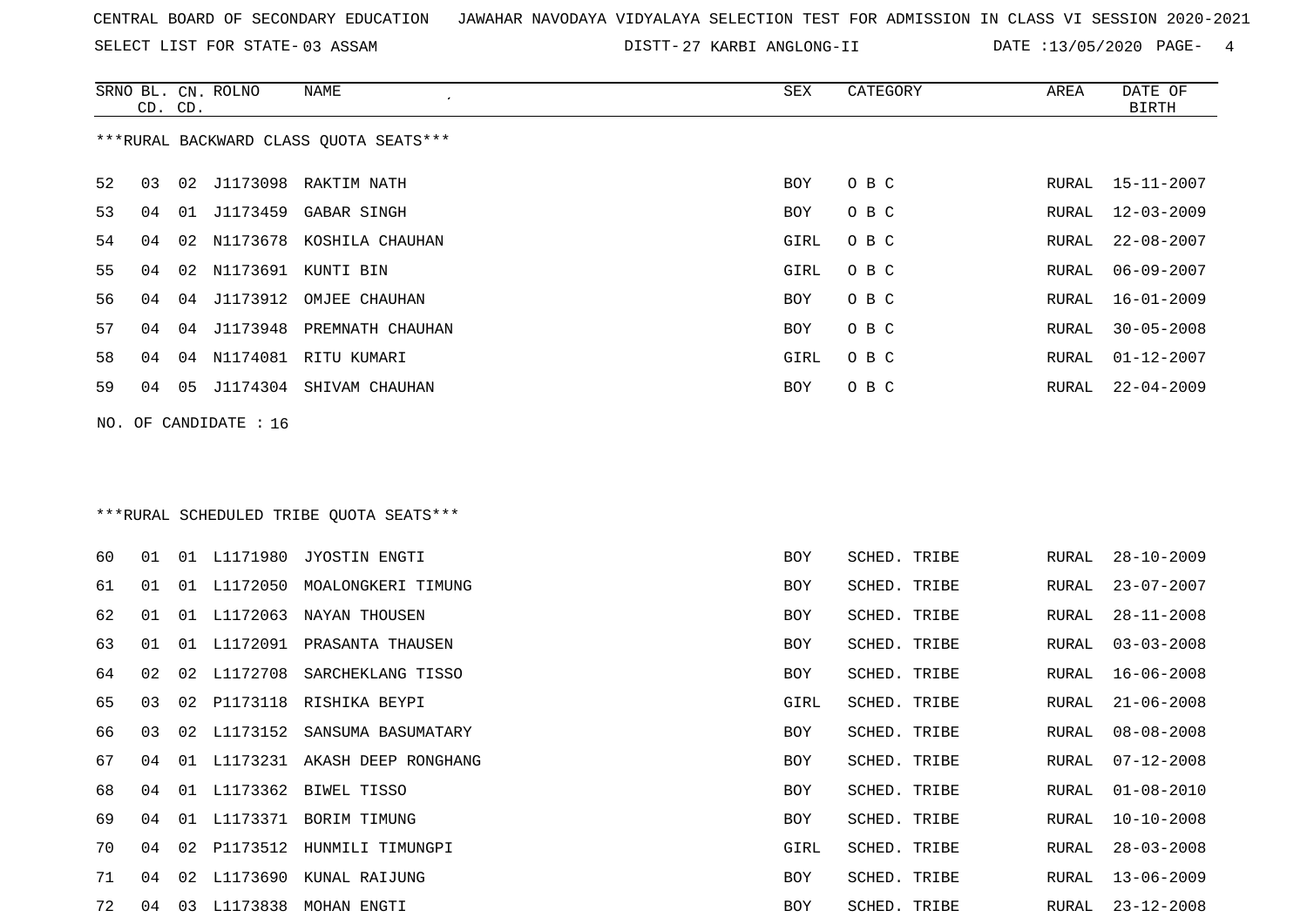SELECT LIST FOR STATE- DISTT- 03 ASSAM

27 KARBI ANGLONG-II DATE :13/05/2020 PAGE- 4

|                                         | CD. CD. |    | SRNO BL. CN. ROLNO    | NAME                                    | SEX        | CATEGORY     | AREA  | DATE OF<br><b>BIRTH</b> |  |  |
|-----------------------------------------|---------|----|-----------------------|-----------------------------------------|------------|--------------|-------|-------------------------|--|--|
| *** RURAL BACKWARD CLASS QUOTA SEATS*** |         |    |                       |                                         |            |              |       |                         |  |  |
| 52                                      | 03      |    |                       | 02 J1173098 RAKTIM NATH                 | <b>BOY</b> | O B C        | RURAL | 15-11-2007              |  |  |
| 53                                      | 04      | 01 |                       | J1173459 GABAR SINGH                    | BOY        | O B C        | RURAL | $12 - 03 - 2009$        |  |  |
| 54                                      | 04      | 02 | N1173678              | KOSHILA CHAUHAN                         | GIRL       | O B C        | RURAL | $22 - 08 - 2007$        |  |  |
| 55                                      | 04      | 02 |                       | N1173691 KUNTI BIN                      | GIRL       | O B C        | RURAL | $06 - 09 - 2007$        |  |  |
| 56                                      | 04      | 04 |                       | J1173912 OMJEE CHAUHAN                  | BOY        | O B C        | RURAL | $16 - 01 - 2009$        |  |  |
| 57                                      | 04      | 04 | J1173948              | PREMNATH CHAUHAN                        | BOY        | O B C        | RURAL | $30 - 05 - 2008$        |  |  |
| 58                                      | 04      |    |                       | 04 N1174081 RITU KUMARI                 | GIRL       | O B C        | RURAL | $01 - 12 - 2007$        |  |  |
| 59                                      | 04      | 05 |                       | J1174304 SHIVAM CHAUHAN                 | <b>BOY</b> | O B C        | RURAL | $22 - 04 - 2009$        |  |  |
|                                         |         |    | NO. OF CANDIDATE : 16 |                                         |            |              |       |                         |  |  |
|                                         |         |    |                       |                                         |            |              |       |                         |  |  |
|                                         |         |    |                       |                                         |            |              |       |                         |  |  |
|                                         |         |    |                       | ***RURAL SCHEDULED TRIBE QUOTA SEATS*** |            |              |       |                         |  |  |
| 60                                      | 01      |    | 01 L1171980           | JYOSTIN ENGTI                           | BOY        | SCHED. TRIBE | RURAL | $28 - 10 - 2009$        |  |  |
| 61                                      | 01      | 01 | L1172050              | MOALONGKERI TIMUNG                      | BOY        | SCHED. TRIBE | RURAL | $23 - 07 - 2007$        |  |  |
| 62                                      | 01      | 01 | L1172063              | NAYAN THOUSEN                           | BOY        | SCHED. TRIBE | RURAL | $28 - 11 - 2008$        |  |  |
| 63                                      | 01      | 01 | L1172091              | PRASANTA THAUSEN                        | <b>BOY</b> | SCHED. TRIBE | RURAL | $03 - 03 - 2008$        |  |  |
| 64                                      | 02      | 02 | L1172708              | SARCHEKLANG TISSO                       | BOY        | SCHED. TRIBE | RURAL | $16 - 06 - 2008$        |  |  |
| 65                                      | 03      | 02 | P1173118              | RISHIKA BEYPI                           | GIRL       | SCHED. TRIBE | RURAL | $21 - 06 - 2008$        |  |  |
| 66                                      | 03      |    |                       | 02 L1173152 SANSUMA BASUMATARY          | BOY        | SCHED. TRIBE | RURAL | $08 - 08 - 2008$        |  |  |
| 67                                      | 04      |    |                       | 01 L1173231 AKASH DEEP RONGHANG         | BOY        | SCHED. TRIBE | RURAL | $07 - 12 - 2008$        |  |  |
| 68                                      | 04      |    |                       | 01 L1173362 BIWEL TISSO                 | <b>BOY</b> | SCHED. TRIBE | RURAL | $01 - 08 - 2010$        |  |  |
| 69                                      | 04      |    |                       | 01 L1173371 BORIM TIMUNG                | BOY        | SCHED. TRIBE | RURAL | $10 - 10 - 2008$        |  |  |
| 70                                      | 04      | 02 |                       | P1173512 HUNMILI TIMUNGPI               | GIRL       | SCHED. TRIBE | RURAL | $28 - 03 - 2008$        |  |  |
| 71                                      | 04      | 02 |                       | L1173690 KUNAL RAIJUNG                  | BOY        | SCHED. TRIBE | RURAL | $13 - 06 - 2009$        |  |  |
| 72                                      |         |    |                       | 04 03 L1173838 MOHAN ENGTI              | BOY        | SCHED. TRIBE | RURAL | $23 - 12 - 2008$        |  |  |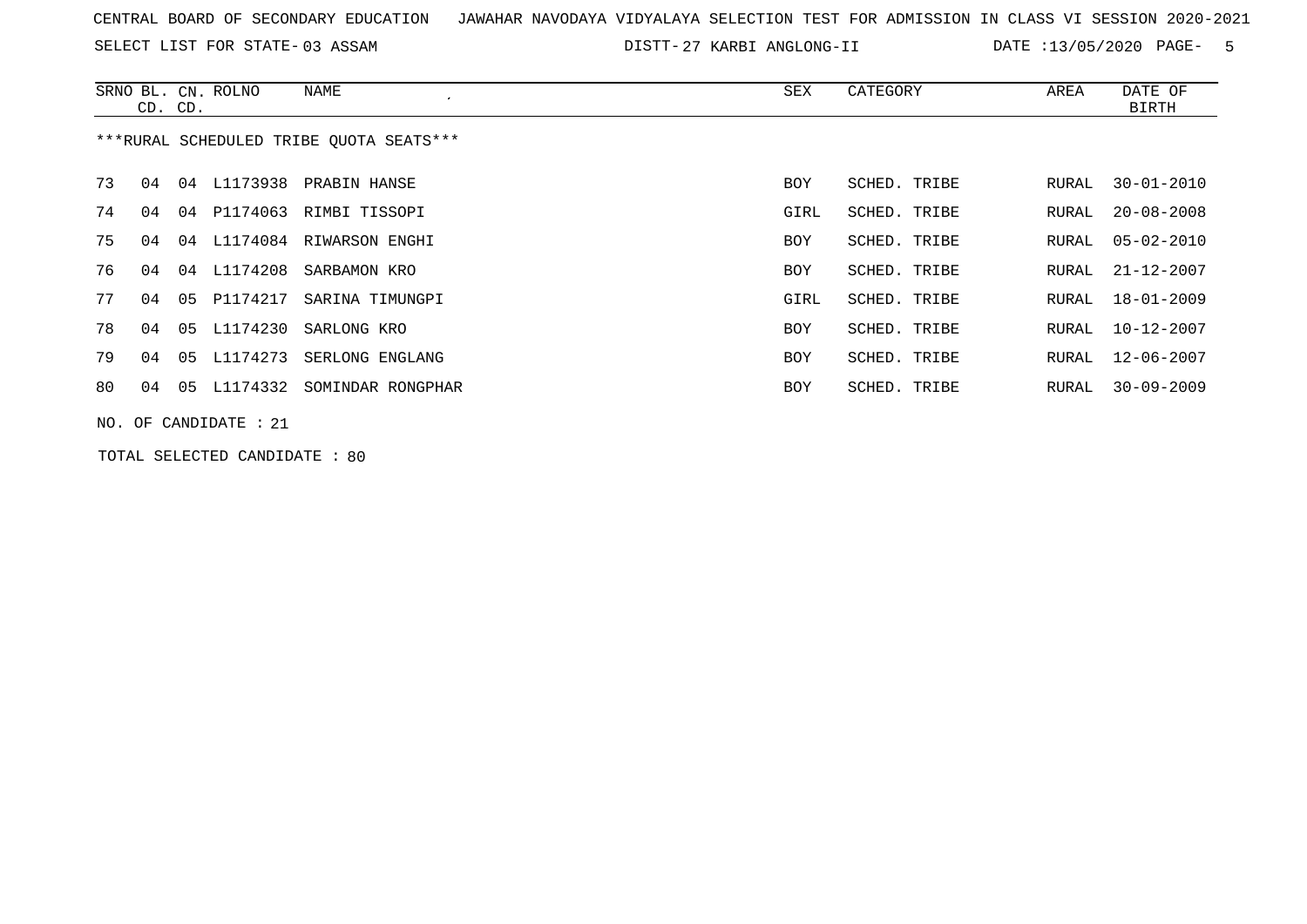|  | CENTRAL BOARD OF SECONDARY EDUCATION GJAWAHAR NAVODAYA VIDYALAYA SELECTION TEST FOR ADMISSION IN CLASS VI SESSION 2020-2021 |  |  |  |  |
|--|-----------------------------------------------------------------------------------------------------------------------------|--|--|--|--|
|--|-----------------------------------------------------------------------------------------------------------------------------|--|--|--|--|

27 KARBI ANGLONG-II DATE :13/05/2020 PAGE- 5

|                                         | CD. CD. |    | SRNO BL. CN. ROLNO | NAME                      | SEX  | CATEGORY     | AREA  | DATE OF<br>BIRTH |  |  |
|-----------------------------------------|---------|----|--------------------|---------------------------|------|--------------|-------|------------------|--|--|
| ***RURAL SCHEDULED TRIBE OUOTA SEATS*** |         |    |                    |                           |      |              |       |                  |  |  |
| 73                                      | 04      | 04 |                    | L1173938 PRABIN HANSE     | BOY  | SCHED. TRIBE | RURAL | $30 - 01 - 2010$ |  |  |
| 74                                      | 04      |    |                    | 04 P1174063 RIMBI TISSOPI | GIRL | SCHED. TRIBE | RURAL | $20 - 08 - 2008$ |  |  |
| 75                                      | 04      | 04 |                    | L1174084 RIWARSON ENGHI   | BOY  | SCHED. TRIBE | RURAL | 05-02-2010       |  |  |
| 76                                      | 04      |    |                    | 04 L1174208 SARBAMON KRO  | BOY  | SCHED. TRIBE | RURAL | $21 - 12 - 2007$ |  |  |
| 77                                      | 04      | 05 | P1174217           | SARINA TIMUNGPI           | GIRL | SCHED. TRIBE | RURAL | 18-01-2009       |  |  |
| 78                                      | 04      |    |                    | 05 L1174230 SARLONG KRO   | BOY  | SCHED. TRIBE | RURAL | $10 - 12 - 2007$ |  |  |
| 79                                      | 04      | 05 | L1174273           | SERLONG ENGLANG           | BOY  | SCHED. TRIBE | RURAL | 12-06-2007       |  |  |
| 80                                      | 04      | 05 | L1174332           | SOMINDAR RONGPHAR         | BOY  | SCHED. TRIBE | RURAL | $30 - 09 - 2009$ |  |  |
| NO. OF CANDIDATE : $21$                 |         |    |                    |                           |      |              |       |                  |  |  |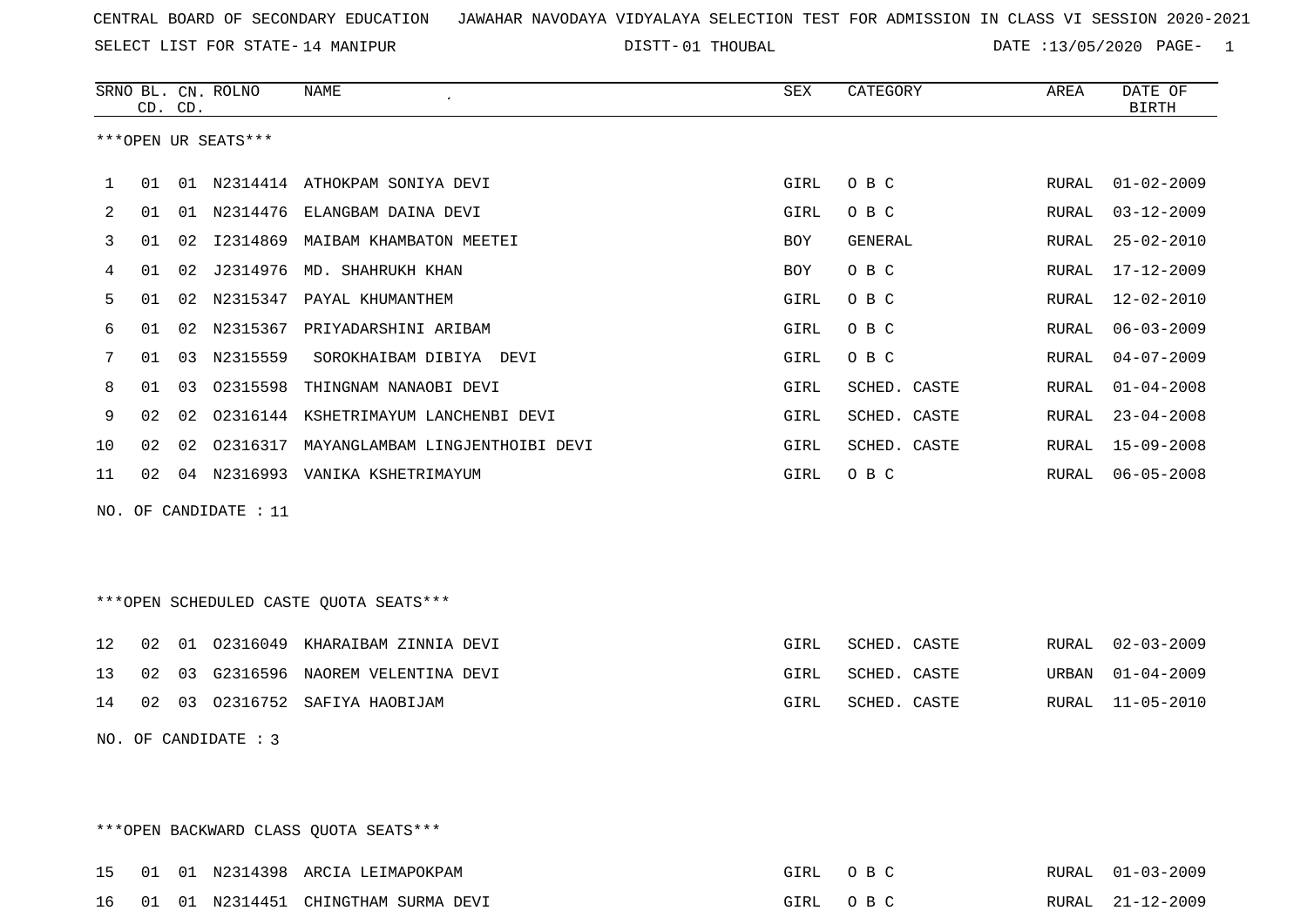SELECT LIST FOR STATE- DISTT- 14 MANIPUR

01 THOUBAL DATE :13/05/2020 PAGE- 1

|                                        |    | CD. CD. | SRNO BL. CN. ROLNO | <b>NAME</b>                          | <b>SEX</b> | CATEGORY     | AREA         | DATE OF<br><b>BIRTH</b> |  |  |
|----------------------------------------|----|---------|--------------------|--------------------------------------|------------|--------------|--------------|-------------------------|--|--|
| ***OPEN UR SEATS***                    |    |         |                    |                                      |            |              |              |                         |  |  |
|                                        |    |         |                    |                                      |            |              |              |                         |  |  |
| 1                                      | 01 |         |                    | 01 N2314414 ATHOKPAM SONIYA DEVI     | GIRL       | O B C        | RURAL        | $01 - 02 - 2009$        |  |  |
| 2                                      | 01 |         | 01 N2314476        | ELANGBAM DAINA DEVI                  | GIRL       | O B C        | <b>RURAL</b> | $03 - 12 - 2009$        |  |  |
| 3                                      | 01 | 02      |                    | 12314869 MAIBAM KHAMBATON MEETEI     | BOY        | GENERAL      | RURAL        | $25 - 02 - 2010$        |  |  |
| 4                                      | 01 | 02      |                    | J2314976 MD. SHAHRUKH KHAN           | BOY        | O B C        | RURAL        | $17 - 12 - 2009$        |  |  |
| 5                                      | 01 | 02      | N2315347           | PAYAL KHUMANTHEM                     | GIRL       | O B C        | <b>RURAL</b> | $12 - 02 - 2010$        |  |  |
| 6                                      | 01 |         |                    | 02 N2315367 PRIYADARSHINI ARIBAM     | GIRL       | O B C        | RURAL        | $06 - 03 - 2009$        |  |  |
| 7                                      | 01 | 03      | N2315559           | SOROKHAIBAM DIBIYA DEVI              | GIRL       | O B C        | RURAL        | $04 - 07 - 2009$        |  |  |
| 8                                      | 01 | 03      | 02315598           | THINGNAM NANAOBI DEVI                | GIRL       | SCHED. CASTE | <b>RURAL</b> | $01 - 04 - 2008$        |  |  |
| 9                                      | 02 | 02      |                    | 02316144 KSHETRIMAYUM LANCHENBI DEVI | GIRL       | SCHED. CASTE | RURAL        | $23 - 04 - 2008$        |  |  |
| 10                                     | 02 | 02      | 02316317           | MAYANGLAMBAM LINGJENTHOIBI DEVI      | GIRL       | SCHED. CASTE | RURAL        | $15 - 09 - 2008$        |  |  |
| 11                                     | 02 |         |                    | 04 N2316993 VANIKA KSHETRIMAYUM      | GIRL       | O B C        | RURAL        | $06 - 05 - 2008$        |  |  |
| OF CANDIDATE : 11<br>NO.               |    |         |                    |                                      |            |              |              |                         |  |  |
|                                        |    |         |                    |                                      |            |              |              |                         |  |  |
|                                        |    |         |                    |                                      |            |              |              |                         |  |  |
| ***OPEN SCHEDULED CASTE QUOTA SEATS*** |    |         |                    |                                      |            |              |              |                         |  |  |
|                                        |    |         |                    |                                      |            |              |              |                         |  |  |
| 12                                     | 02 | 01      | 02316049           | KHARAIBAM ZINNIA DEVI                | GIRL       | SCHED. CASTE | RURAL        | $02 - 03 - 2009$        |  |  |
| 13                                     | 02 | 03      |                    | G2316596 NAOREM VELENTINA DEVI       | GIRL       | SCHED. CASTE | URBAN        | $01 - 04 - 2009$        |  |  |
| 14                                     | 02 | 03      |                    | 02316752 SAFIYA HAOBIJAM             | GIRL       | SCHED. CASTE | RURAL        | $11 - 05 - 2010$        |  |  |
| OF CANDIDATE : 3<br>NO.                |    |         |                    |                                      |            |              |              |                         |  |  |

\*\*\*OPEN BACKWARD CLASS QUOTA SEATS\*\*\*

|  |  | 15 01 01 N2314398 ARCIA LEIMAPOKPAM    | GIRL OBC | RURAL 01-03-2009 |
|--|--|----------------------------------------|----------|------------------|
|  |  | 16 01 01 N2314451 CHINGTHAM SURMA DEVI | GIRL OBC | RURAL 21-12-2009 |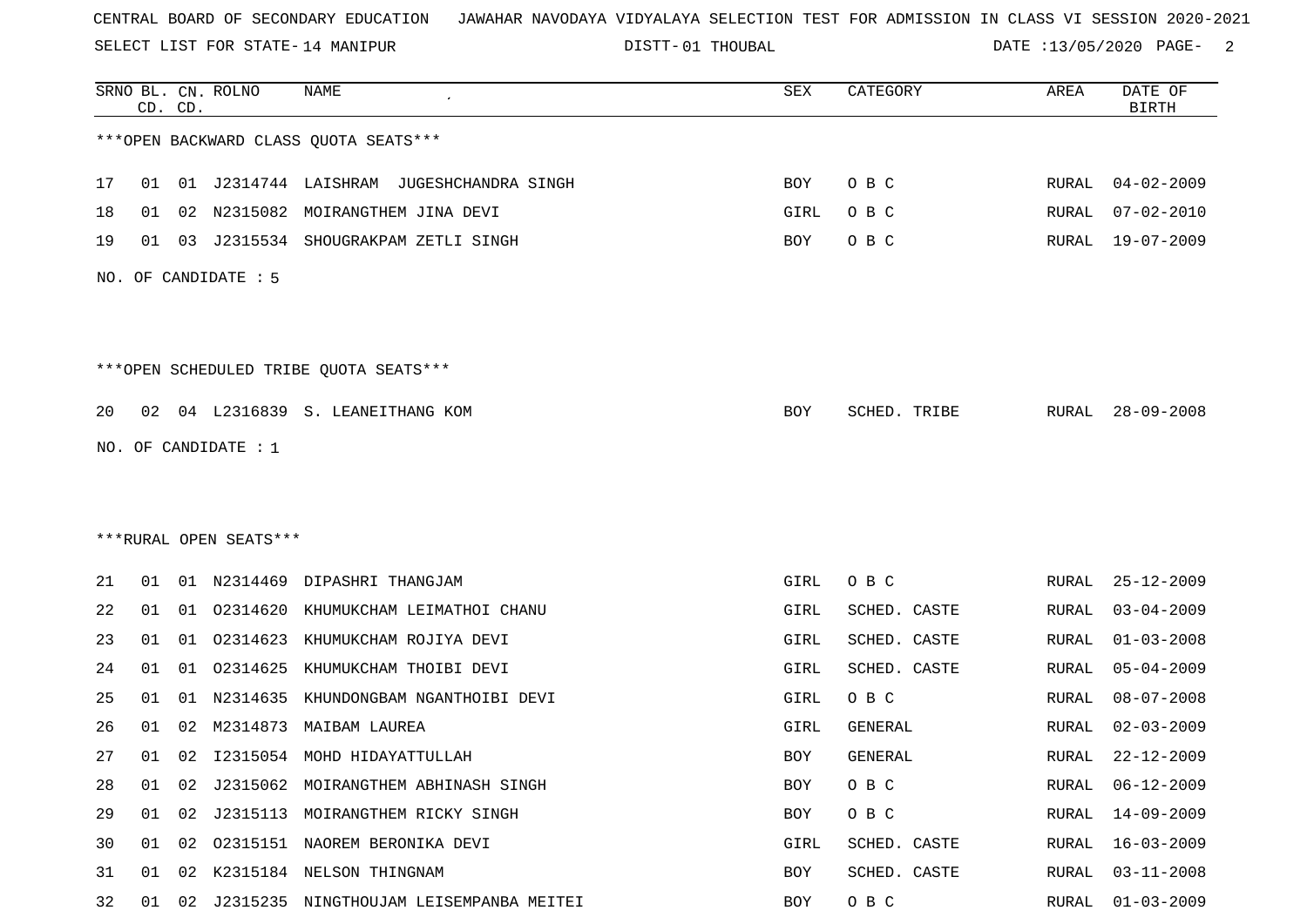SELECT LIST FOR STATE- DISTT- 14 MANIPUR

01 THOUBAL DATE :13/05/2020 PAGE- 2

|    |    | CD. CD. | SRNO BL. CN. ROLNO     | NAME                                     | SEX        | CATEGORY     | AREA         | DATE OF<br><b>BIRTH</b> |
|----|----|---------|------------------------|------------------------------------------|------------|--------------|--------------|-------------------------|
|    |    |         |                        | *** OPEN BACKWARD CLASS QUOTA SEATS***   |            |              |              |                         |
| 17 | 01 |         |                        | 01 J2314744 LAISHRAM JUGESHCHANDRA SINGH | BOY        | O B C        | RURAL        | $04 - 02 - 2009$        |
| 18 | 01 |         | 02 N2315082            | MOIRANGTHEM JINA DEVI                    | GIRL       | O B C        | RURAL        | $07 - 02 - 2010$        |
| 19 | 01 | 03      |                        | J2315534 SHOUGRAKPAM ZETLI SINGH         | BOY        | O B C        | RURAL        | 19-07-2009              |
|    |    |         | NO. OF CANDIDATE : 5   |                                          |            |              |              |                         |
|    |    |         |                        | ***OPEN SCHEDULED TRIBE QUOTA SEATS***   |            |              |              |                         |
| 20 |    |         |                        | 02 04 L2316839 S. LEANEITHANG KOM        | BOY        | SCHED. TRIBE | RURAL        | $28 - 09 - 2008$        |
|    |    |         | NO. OF CANDIDATE : $1$ |                                          |            |              |              |                         |
|    |    |         |                        |                                          |            |              |              |                         |
|    |    |         |                        |                                          |            |              |              |                         |
|    |    |         | ***RURAL OPEN SEATS*** |                                          |            |              |              |                         |
| 21 | 01 |         |                        | 01 N2314469 DIPASHRI THANGJAM            | GIRL       | O B C        | RURAL        | $25 - 12 - 2009$        |
| 22 | 01 |         |                        | 01 02314620 KHUMUKCHAM LEIMATHOI CHANU   | GIRL       | SCHED. CASTE | RURAL        | $03 - 04 - 2009$        |
| 23 | 01 |         | 01 02314623            | KHUMUKCHAM ROJIYA DEVI                   | GIRL       | SCHED. CASTE | RURAL        | $01 - 03 - 2008$        |
| 24 | 01 | 01      | 02314625               | KHUMUKCHAM THOIBI DEVI                   | GIRL       | SCHED. CASTE | RURAL        | $05 - 04 - 2009$        |
| 25 | 01 | 01      | N2314635               | KHUNDONGBAM NGANTHOIBI DEVI              | GIRL       | O B C        | RURAL        | $08 - 07 - 2008$        |
| 26 | 01 | 02      | M2314873               | MAIBAM LAUREA                            | GIRL       | GENERAL      | RURAL        | $02 - 03 - 2009$        |
| 27 | 01 |         |                        | 02 I2315054 MOHD HIDAYATTULLAH           | BOY        | GENERAL      | RURAL        | $22 - 12 - 2009$        |
| 28 | 01 | 02      |                        | J2315062 MOIRANGTHEM ABHINASH SINGH      | <b>BOY</b> | O B C        | RURAL        | $06 - 12 - 2009$        |
| 29 | 01 | 02      |                        | J2315113 MOIRANGTHEM RICKY SINGH         | BOY        | O B C        | RURAL        | $14 - 09 - 2009$        |
| 30 | 01 |         |                        | 02 02315151 NAOREM BERONIKA DEVI         | GIRL       | SCHED. CASTE | RURAL        | $16 - 03 - 2009$        |
| 31 | 01 | 02      |                        | K2315184 NELSON THINGNAM                 | BOY        | SCHED. CASTE | <b>RURAL</b> | $03 - 11 - 2008$        |
| 32 | 01 | 02      |                        | J2315235 NINGTHOUJAM LEISEMPANBA MEITEI  | BOY        | O B C        | RURAL        | $01 - 03 - 2009$        |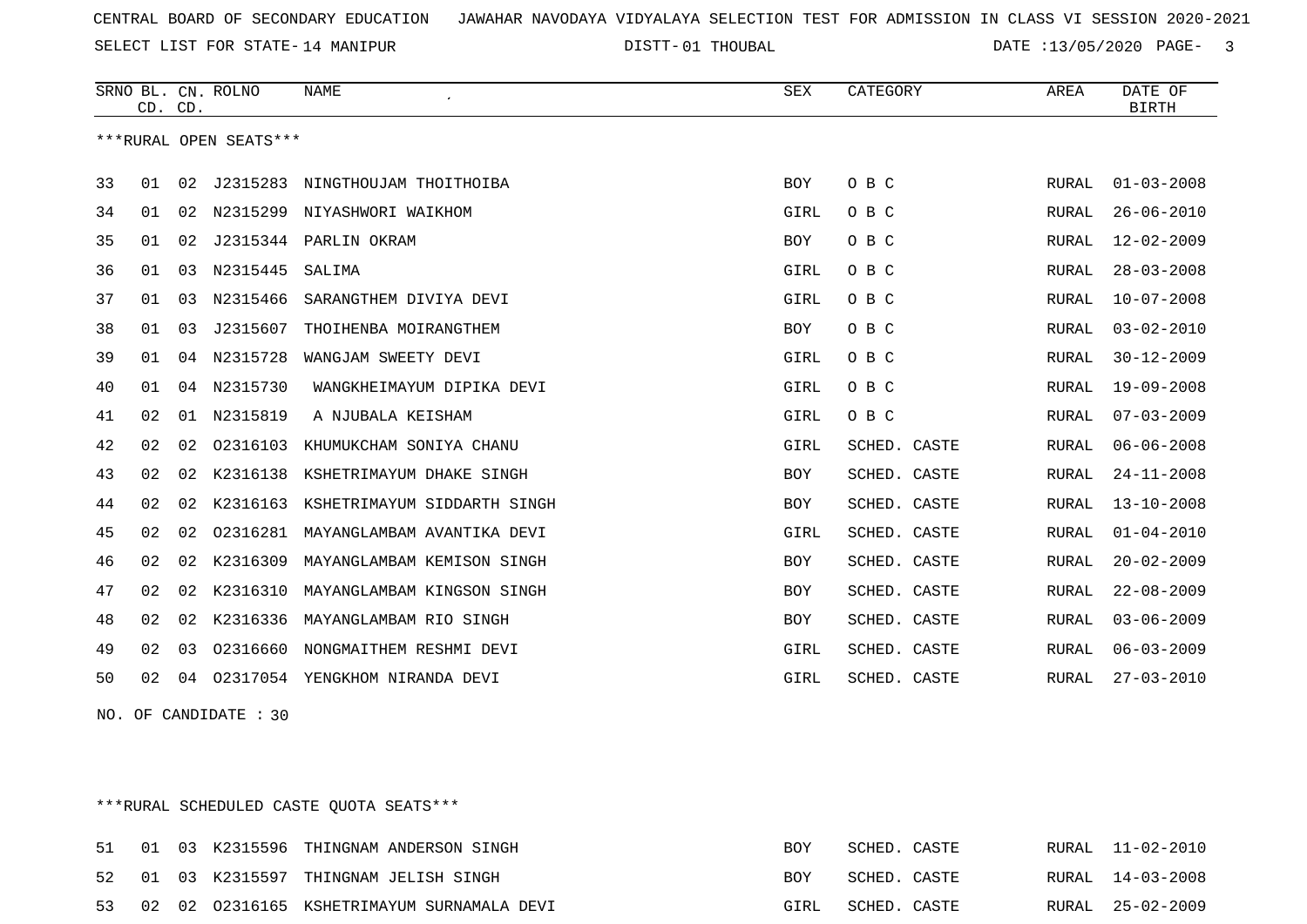SELECT LIST FOR STATE- DISTT- 14 MANIPUR

01 THOUBAL DATE :13/05/2020 PAGE- 3

|    | CD. CD. |    | SRNO BL. CN. ROLNO     | NAME                        | SEX        | CATEGORY     | AREA         | DATE OF<br><b>BIRTH</b> |
|----|---------|----|------------------------|-----------------------------|------------|--------------|--------------|-------------------------|
|    |         |    | ***RURAL OPEN SEATS*** |                             |            |              |              |                         |
| 33 | 01      | 02 | J2315283               | NINGTHOUJAM THOITHOIBA      | <b>BOY</b> | O B C        | RURAL        | $01 - 03 - 2008$        |
| 34 | 01      | 02 | N2315299               | NIYASHWORI WAIKHOM          | GIRL       | O B C        | RURAL        | $26 - 06 - 2010$        |
| 35 | 01      | 02 |                        | J2315344 PARLIN OKRAM       | <b>BOY</b> | O B C        | RURAL        | $12 - 02 - 2009$        |
| 36 | 01      | 03 | N2315445               | SALIMA                      | GIRL       | O B C        | RURAL        | $28 - 03 - 2008$        |
| 37 | 01      | 03 | N2315466               | SARANGTHEM DIVIYA DEVI      | GIRL       | O B C        | RURAL        | $10 - 07 - 2008$        |
| 38 | 01      | 03 | J2315607               | THOIHENBA MOIRANGTHEM       | BOY        | O B C        | RURAL        | $03 - 02 - 2010$        |
| 39 | 01      | 04 | N2315728               | WANGJAM SWEETY DEVI         | GIRL       | O B C        | <b>RURAL</b> | $30 - 12 - 2009$        |
| 40 | 01      |    | 04 N2315730            | WANGKHEIMAYUM DIPIKA DEVI   | GIRL       | O B C        | <b>RURAL</b> | $19 - 09 - 2008$        |
| 41 | 02      | 01 | N2315819               | A NJUBALA KEISHAM           | GIRL       | O B C        | RURAL        | $07 - 03 - 2009$        |
| 42 | 02      | 02 | 02316103               | KHUMUKCHAM SONIYA CHANU     | GIRL       | SCHED. CASTE | RURAL        | $06 - 06 - 2008$        |
| 43 | 02      | 02 | K2316138               | KSHETRIMAYUM DHAKE SINGH    | <b>BOY</b> | SCHED. CASTE | RURAL        | $24 - 11 - 2008$        |
| 44 | 02      | 02 | K2316163               | KSHETRIMAYUM SIDDARTH SINGH | BOY        | SCHED. CASTE | RURAL        | $13 - 10 - 2008$        |
| 45 | 02      | 02 | 02316281               | MAYANGLAMBAM AVANTIKA DEVI  | GIRL       | SCHED. CASTE | RURAL        | $01 - 04 - 2010$        |
| 46 | 02      | 02 | K2316309               | MAYANGLAMBAM KEMISON SINGH  | <b>BOY</b> | SCHED. CASTE | <b>RURAL</b> | $20 - 02 - 2009$        |
| 47 | 02      | 02 | K2316310               | MAYANGLAMBAM KINGSON SINGH  | BOY        | SCHED. CASTE | RURAL        | $22 - 08 - 2009$        |
| 48 | 02      | 02 | K2316336               | MAYANGLAMBAM RIO SINGH      | BOY        | SCHED. CASTE | RURAL        | $03 - 06 - 2009$        |
| 49 | 02      | 03 | 02316660               | NONGMAITHEM RESHMI DEVI     | GIRL       | SCHED. CASTE | RURAL        | $06 - 03 - 2009$        |
| 50 | 02      | 04 | 02317054               | YENGKHOM NIRANDA DEVI       | GIRL       | SCHED. CASTE | RURAL        | $27 - 03 - 2010$        |

NO. OF CANDIDATE : 30

\*\*\*RURAL SCHEDULED CASTE QUOTA SEATS\*\*\*

|  |  | 51 01 03 K2315596 THINGNAM ANDERSON SINGH     | BOY        | SCHED. CASTE |  | RURAL 11-02-2010 |
|--|--|-----------------------------------------------|------------|--------------|--|------------------|
|  |  | 52 01 03 K2315597 THINGNAM JELISH SINGH       | <b>BOY</b> | SCHED. CASTE |  | RURAL 14-03-2008 |
|  |  | 53 02 02 02316165 KSHETRIMAYUM SURNAMALA DEVI | GIRL       | SCHED. CASTE |  | RURAL 25-02-2009 |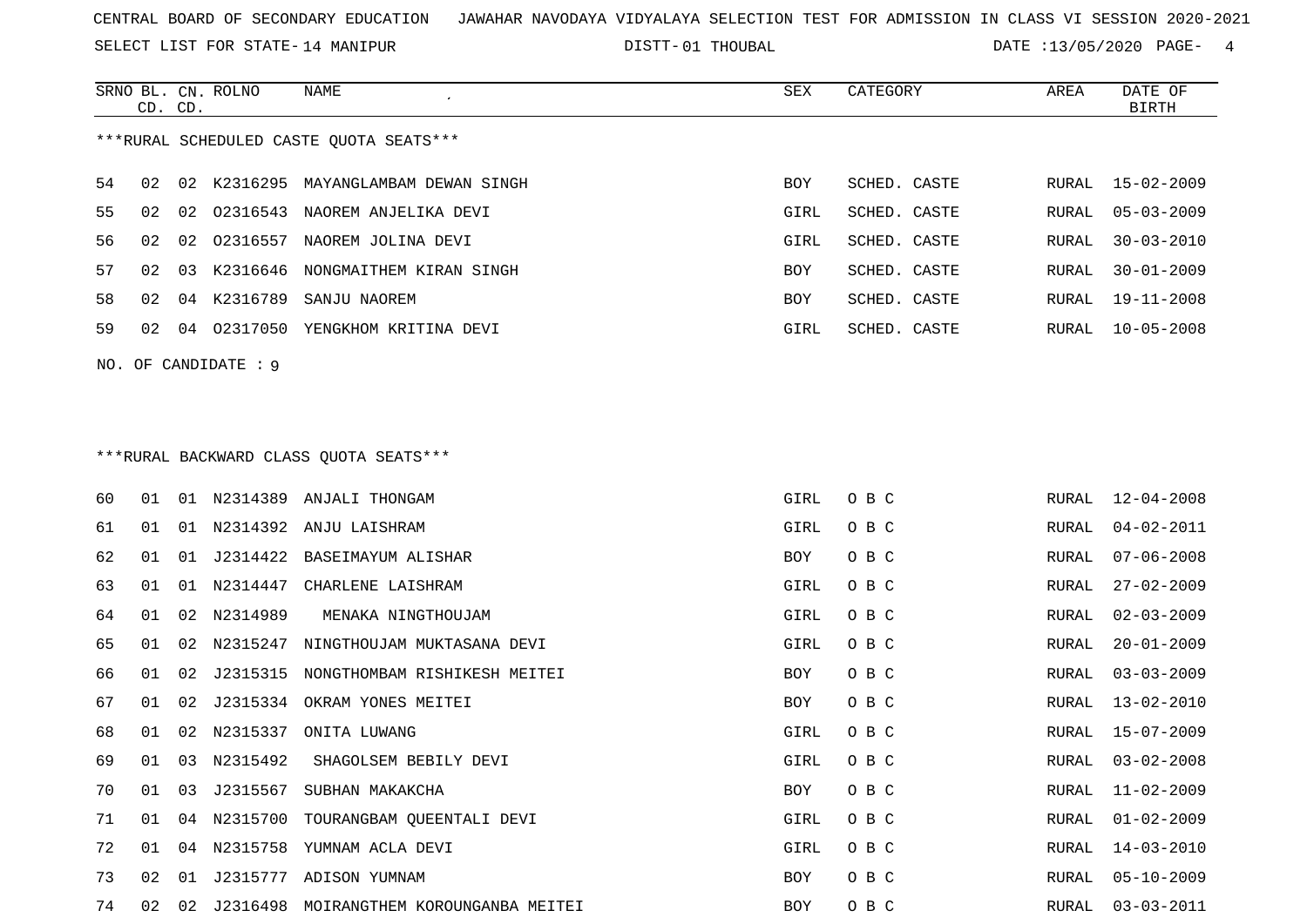SELECT LIST FOR STATE- DISTT- 14 MANIPUR

01 THOUBAL DATE :13/05/2020 PAGE- 4

|    | CD. CD. |    | SRNO BL. CN. ROLNO     | NAME<br>$\cdot$                            | SEX  | CATEGORY     | AREA  | DATE OF<br><b>BIRTH</b> |
|----|---------|----|------------------------|--------------------------------------------|------|--------------|-------|-------------------------|
|    |         |    |                        | *** RURAL SCHEDULED CASTE QUOTA SEATS***   |      |              |       |                         |
| 54 | 02      | 02 | K2316295               | MAYANGLAMBAM DEWAN SINGH                   | BOY  | SCHED. CASTE | RURAL | 15-02-2009              |
| 55 | 02      | 02 | 02316543               | NAOREM ANJELIKA DEVI                       | GIRL | SCHED. CASTE | RURAL | $05 - 03 - 2009$        |
| 56 | 02      | 02 | 02316557               | NAOREM JOLINA DEVI                         | GIRL | SCHED. CASTE | RURAL | $30 - 03 - 2010$        |
| 57 | 02      | 03 | K2316646               | NONGMAITHEM KIRAN SINGH                    | BOY  | SCHED. CASTE | RURAL | $30 - 01 - 2009$        |
| 58 | 02      |    | 04 K2316789            | SANJU NAOREM                               | BOY  | SCHED. CASTE | RURAL | 19-11-2008              |
| 59 | 02      |    | 04 02317050            | YENGKHOM KRITINA DEVI                      | GIRL | SCHED. CASTE | RURAL | $10 - 05 - 2008$        |
|    |         |    | NO. OF CANDIDATE $: 9$ |                                            |      |              |       |                         |
|    |         |    |                        |                                            |      |              |       |                         |
|    |         |    |                        | *** RURAL BACKWARD CLASS QUOTA SEATS***    |      |              |       |                         |
| 60 | 01      |    |                        | 01 N2314389 ANJALI THONGAM                 | GIRL | O B C        | RURAL | $12 - 04 - 2008$        |
| 61 | 01      | 01 | N2314392               | ANJU LAISHRAM                              | GIRL | O B C        | RURAL | $04 - 02 - 2011$        |
| 62 | 01      | 01 | J2314422               | BASEIMAYUM ALISHAR                         | BOY  | O B C        | RURAL | $07 - 06 - 2008$        |
| 63 | 01      | 01 | N2314447               | CHARLENE LAISHRAM                          | GIRL | O B C        | RURAL | $27 - 02 - 2009$        |
| 64 | 01      | 02 | N2314989               | MENAKA NINGTHOUJAM                         | GIRL | O B C        | RURAL | $02 - 03 - 2009$        |
| 65 | 01      | 02 | N2315247               | NINGTHOUJAM MUKTASANA DEVI                 | GIRL | O B C        | RURAL | $20 - 01 - 2009$        |
| 66 | 01      | 02 | J2315315               | NONGTHOMBAM RISHIKESH MEITEI               | BOY  | O B C        | RURAL | $03 - 03 - 2009$        |
| 67 | 01      | 02 | J2315334               | OKRAM YONES MEITEI                         | BOY  | O B C        | RURAL | $13 - 02 - 2010$        |
| 68 | 01      | 02 | N2315337               | ONITA LUWANG                               | GIRL | O B C        | RURAL | $15 - 07 - 2009$        |
| 69 | 01      |    | 03 N2315492            | SHAGOLSEM BEBILY DEVI                      | GIRL | O B C        | RURAL | $03 - 02 - 2008$        |
| 70 | 01      |    |                        | 03 J2315567 SUBHAN MAKAKCHA                | BOY  | O B C        | RURAL | $11 - 02 - 2009$        |
| 71 | 01      |    |                        | 04 N2315700 TOURANGBAM QUEENTALI DEVI      | GIRL | O B C        | RURAL | $01 - 02 - 2009$        |
| 72 | 01      |    |                        | 04 N2315758 YUMNAM ACLA DEVI               | GIRL | O B C        | RURAL | $14 - 03 - 2010$        |
| 73 | 02      |    |                        | 01 J2315777 ADISON YUMNAM                  | BOY  | O B C        | RURAL | $05 - 10 - 2009$        |
| 74 | 02      |    |                        | 02 J2316498 MOIRANGTHEM KOROUNGANBA MEITEI | BOY  | O B C        | RURAL | $03 - 03 - 2011$        |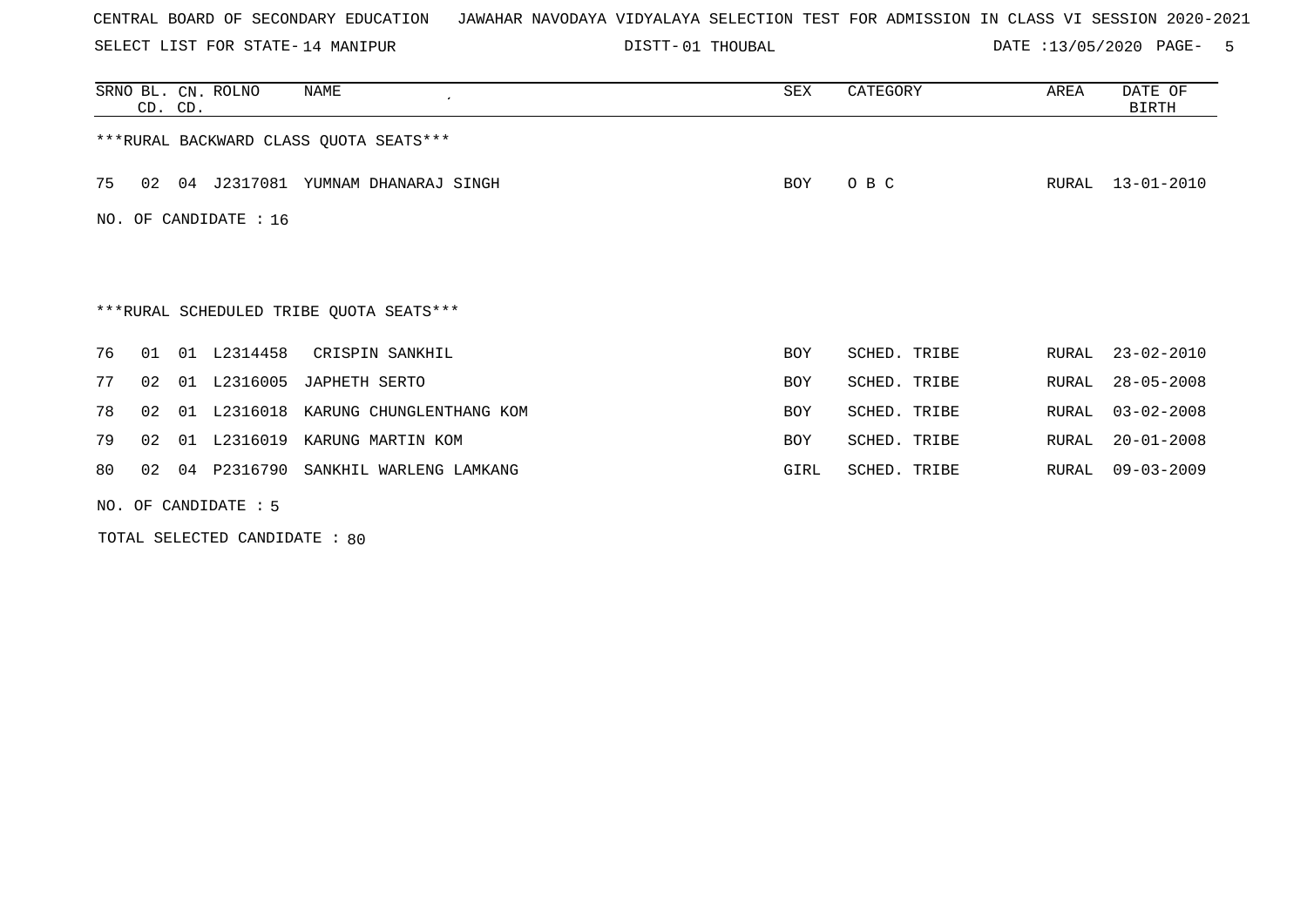SELECT LIST FOR STATE- DISTT- 14 MANIPUR

01 THOUBAL DATE :13/05/2020 PAGE- 5

|    | CD. CD. |    | SRNO BL. CN. ROLNO     | NAME                                    | SEX        | CATEGORY     | AREA  | DATE OF<br><b>BIRTH</b> |
|----|---------|----|------------------------|-----------------------------------------|------------|--------------|-------|-------------------------|
|    |         |    |                        | *** RURAL BACKWARD CLASS QUOTA SEATS*** |            |              |       |                         |
| 75 | 02      |    |                        | 04 J2317081 YUMNAM DHANARAJ SINGH       | BOY        | O B C        | RURAL | 13-01-2010              |
|    |         |    | NO. OF CANDIDATE : 16  |                                         |            |              |       |                         |
|    |         |    |                        |                                         |            |              |       |                         |
|    |         |    |                        | ***RURAL SCHEDULED TRIBE QUOTA SEATS*** |            |              |       |                         |
| 76 | 01      |    | 01 L2314458            | CRISPIN SANKHIL                         | <b>BOY</b> | SCHED. TRIBE | RURAL | $23 - 02 - 2010$        |
| 77 | 02      | 01 | L2316005               | JAPHETH SERTO                           | <b>BOY</b> | SCHED. TRIBE | RURAL | $28 - 05 - 2008$        |
| 78 | 02      |    |                        | 01 L2316018 KARUNG CHUNGLENTHANG KOM    | <b>BOY</b> | SCHED. TRIBE | RURAL | $03 - 02 - 2008$        |
| 79 | 02      | 01 | L2316019               | KARUNG MARTIN KOM                       | <b>BOY</b> | SCHED. TRIBE | RURAL | $20 - 01 - 2008$        |
| 80 | 02      |    |                        | 04 P2316790 SANKHIL WARLENG LAMKANG     | GIRL       | SCHED. TRIBE | RURAL | $09 - 03 - 2009$        |
|    |         |    | NO. OF CANDIDATE $: 5$ |                                         |            |              |       |                         |

TOTAL SELECTED CANDIDATE : 80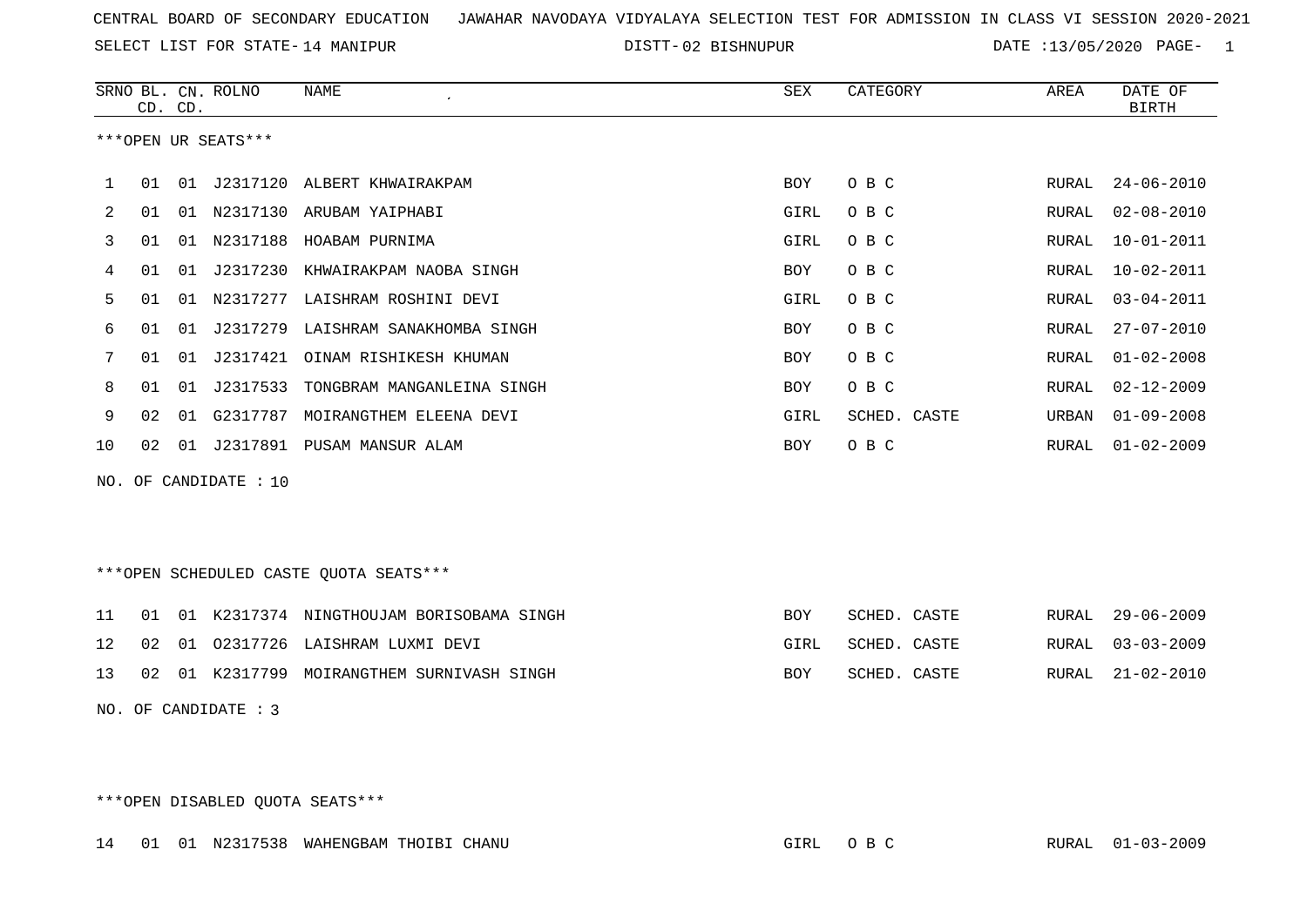SELECT LIST FOR STATE- DISTT- 14 MANIPUR

02 BISHNUPUR DATE :13/05/2020 PAGE- 1

|     | CD. CD. |    | SRNO BL. CN. ROLNO  | <b>NAME</b>                              | <b>SEX</b> | CATEGORY     | AREA         | DATE OF<br><b>BIRTH</b> |
|-----|---------|----|---------------------|------------------------------------------|------------|--------------|--------------|-------------------------|
|     |         |    | ***OPEN UR SEATS*** |                                          |            |              |              |                         |
| 1   | 01      | 01 |                     | J2317120 ALBERT KHWAIRAKPAM              | BOY        | O B C        | RURAL        | $24 - 06 - 2010$        |
| 2   | 01      |    |                     | 01 N2317130 ARUBAM YAIPHABI              | GIRL       | O B C        | RURAL        | $02 - 08 - 2010$        |
| 3   | 01      | 01 | N2317188            | HOABAM PURNIMA                           | GIRL       | O B C        | RURAL        | $10 - 01 - 2011$        |
| 4   | 01      | 01 | J2317230            | KHWAIRAKPAM NAOBA SINGH                  | BOY        | O B C        | RURAL        | $10 - 02 - 2011$        |
| 5   | 01      | 01 | N2317277            | LAISHRAM ROSHINI DEVI                    | GIRL       | O B C        | RURAL        | $03 - 04 - 2011$        |
| 6   | 01      | 01 | J2317279            | LAISHRAM SANAKHOMBA SINGH                | <b>BOY</b> | O B C        | RURAL        | $27 - 07 - 2010$        |
| 7   | 01      | 01 | J2317421            | OINAM RISHIKESH KHUMAN                   | BOY        | O B C        | RURAL        | $01 - 02 - 2008$        |
| 8   | 01      | 01 | J2317533            | TONGBRAM MANGANLEINA SINGH               | BOY        | O B C        | RURAL        | $02 - 12 - 2009$        |
| 9   | 02      |    | 01 G2317787         | MOIRANGTHEM ELEENA DEVI                  | GIRL       | SCHED. CASTE | URBAN        | $01 - 09 - 2008$        |
| 10  | 02      | 01 |                     | J2317891 PUSAM MANSUR ALAM               | BOY        | O B C        | RURAL        | $01 - 02 - 2009$        |
| NO. |         |    | OF CANDIDATE : 10   |                                          |            |              |              |                         |
|     |         |    |                     | ***OPEN SCHEDULED CASTE OUOTA SEATS***   |            |              |              |                         |
| 11  | 01      |    |                     | 01 K2317374 NINGTHOUJAM BORISOBAMA SINGH | <b>BOY</b> | SCHED. CASTE | RURAL        | $29 - 06 - 2009$        |
| 12  | 02      | 01 | 02317726            | LAISHRAM LUXMI DEVI                      | GIRL       | SCHED. CASTE | RURAL        | $03 - 03 - 2009$        |
| 13  | 02      | 01 | K2317799            | MOIRANGTHEM SURNIVASH SINGH              | BOY        | SCHED. CASTE | <b>RURAL</b> | $21 - 02 - 2010$        |

NO. OF CANDIDATE : 3

\*\*\*OPEN DISABLED QUOTA SEATS\*\*\*

14 01 01 N2317538 WAHENGBAM THOIBI CHANU GIRL O B C RURAL 01-03-2009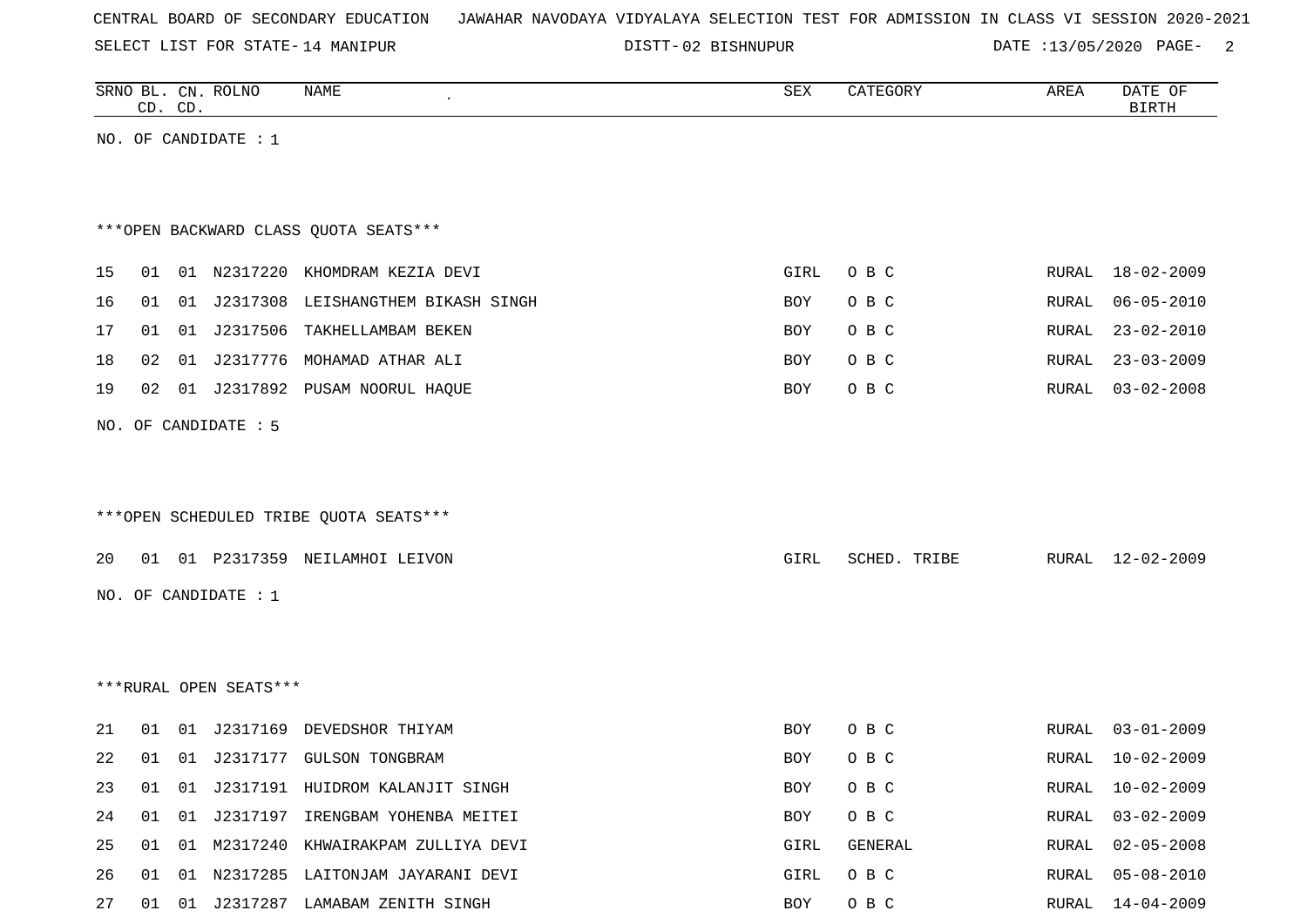SELECT LIST FOR STATE- DISTT- 14 MANIPUR

02 BISHNUPUR DATE :13/05/2020 PAGE- 2

|    |    | CD. CD. | SRNO BL. CN. ROLNO     | NAME                                    | SEX        | CATEGORY     | AREA  | DATE OF<br><b>BIRTH</b> |
|----|----|---------|------------------------|-----------------------------------------|------------|--------------|-------|-------------------------|
|    |    |         | NO. OF CANDIDATE : $1$ |                                         |            |              |       |                         |
|    |    |         |                        |                                         |            |              |       |                         |
|    |    |         |                        |                                         |            |              |       |                         |
|    |    |         |                        | *** OPEN BACKWARD CLASS QUOTA SEATS***  |            |              |       |                         |
| 15 | 01 |         |                        | 01 N2317220 KHOMDRAM KEZIA DEVI         | GIRL       | O B C        |       | RURAL 18-02-2009        |
| 16 | 01 |         | 01 J2317308            | LEISHANGTHEM BIKASH SINGH               | BOY        | O B C        | RURAL | $06 - 05 - 2010$        |
| 17 | 01 |         | 01 J2317506            | TAKHELLAMBAM BEKEN                      | <b>BOY</b> | O B C        | RURAL | $23 - 02 - 2010$        |
| 18 | 02 |         |                        | 01 J2317776 MOHAMAD ATHAR ALI           | <b>BOY</b> | O B C        | RURAL | $23 - 03 - 2009$        |
| 19 | 02 |         |                        | 01 J2317892 PUSAM NOORUL HAQUE          | <b>BOY</b> | O B C        | RURAL | $03 - 02 - 2008$        |
|    |    |         | NO. OF CANDIDATE : 5   |                                         |            |              |       |                         |
|    |    |         |                        |                                         |            |              |       |                         |
|    |    |         |                        |                                         |            |              |       |                         |
|    |    |         |                        | ***OPEN SCHEDULED TRIBE QUOTA SEATS***  |            |              |       |                         |
|    |    |         |                        |                                         |            |              |       |                         |
| 20 |    |         |                        | 01 01 P2317359 NEILAMHOI LEIVON         | GIRL       | SCHED. TRIBE | RURAL | $12 - 02 - 2009$        |
|    |    |         | NO. OF CANDIDATE : 1   |                                         |            |              |       |                         |
|    |    |         |                        |                                         |            |              |       |                         |
|    |    |         |                        |                                         |            |              |       |                         |
|    |    |         | ***RURAL OPEN SEATS*** |                                         |            |              |       |                         |
| 21 | 01 |         |                        | 01 J2317169 DEVEDSHOR THIYAM            | BOY        | O B C        | RURAL | $03 - 01 - 2009$        |
| 22 | 01 | 01      |                        | J2317177 GULSON TONGBRAM                | BOY        | O B C        | RURAL | $10 - 02 - 2009$        |
| 23 |    |         |                        | 01 01 J2317191 HUIDROM KALANJIT SINGH   | BOY        | O B C        |       | RURAL 10-02-2009        |
| 24 |    |         |                        | 01 01 J2317197 IRENGBAM YOHENBA MEITEI  | BOY        | O B C        | RURAL | $03 - 02 - 2009$        |
| 25 |    |         |                        | 01 01 M2317240 KHWAIRAKPAM ZULLIYA DEVI | GIRL       | GENERAL      | RURAL | $02 - 05 - 2008$        |
| 26 |    |         |                        | 01 01 N2317285 LAITONJAM JAYARANI DEVI  | GIRL       | O B C        | RURAL | 05-08-2010              |
| 27 |    |         |                        | 01 01 J2317287 LAMABAM ZENITH SINGH     | BOY        | O B C        |       | RURAL 14-04-2009        |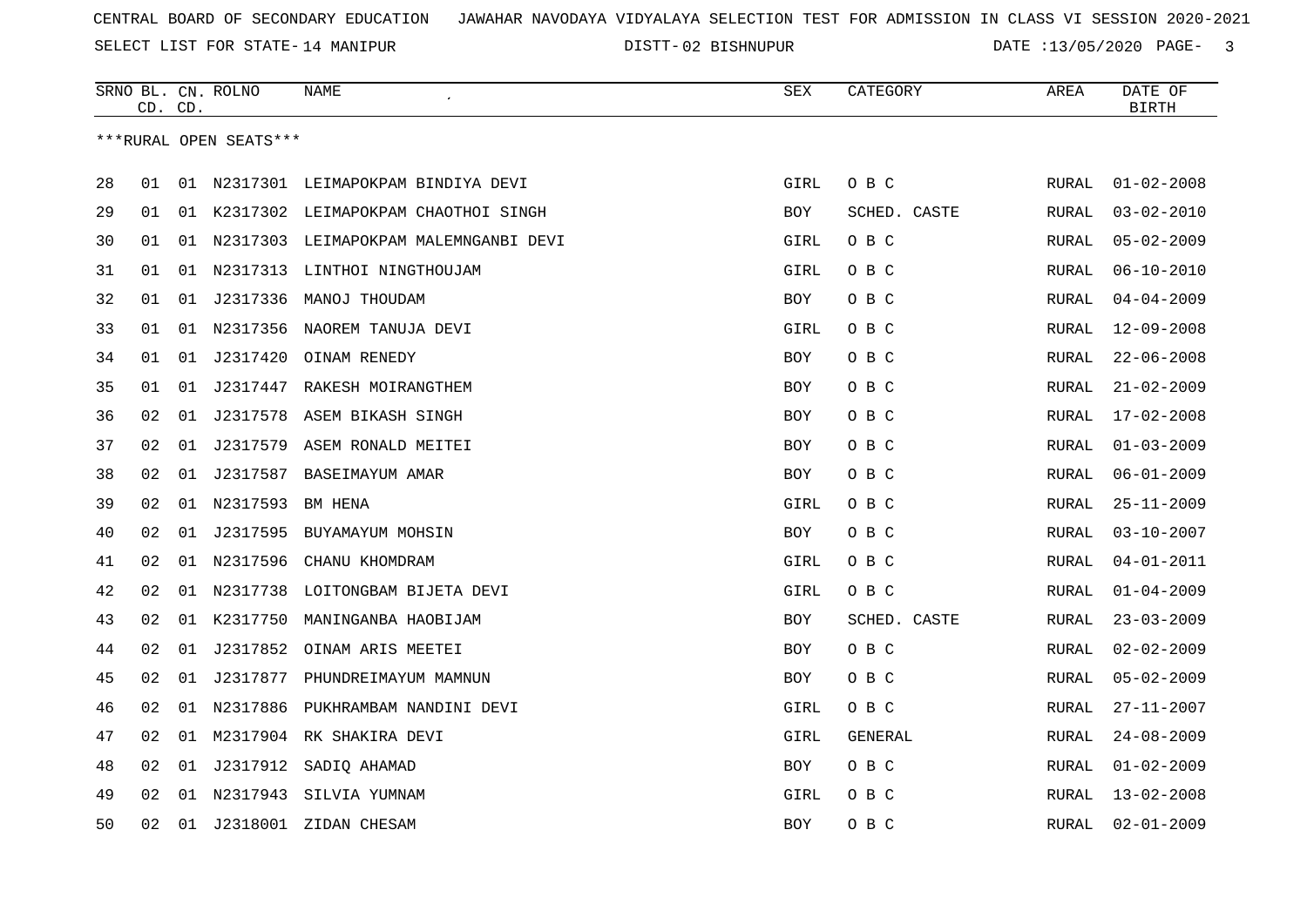SELECT LIST FOR STATE- DISTT- 14 MANIPUR

02 BISHNUPUR DATE :13/05/2020 PAGE- 3

|    | CD. CD. |    | SRNO BL. CN. ROLNO     | NAME                                   | SEX        | CATEGORY     | AREA         | DATE OF<br><b>BIRTH</b> |
|----|---------|----|------------------------|----------------------------------------|------------|--------------|--------------|-------------------------|
|    |         |    | ***RURAL OPEN SEATS*** |                                        |            |              |              |                         |
| 28 | 01      |    |                        | 01 N2317301 LEIMAPOKPAM BINDIYA DEVI   | GIRL       | O B C        | RURAL        | $01 - 02 - 2008$        |
| 29 | 01      |    |                        | 01 K2317302 LEIMAPOKPAM CHAOTHOI SINGH | BOY        | SCHED. CASTE | RURAL        | $03 - 02 - 2010$        |
| 30 | 01      | 01 |                        | N2317303 LEIMAPOKPAM MALEMNGANBI DEVI  | GIRL       | O B C        | RURAL        | $05 - 02 - 2009$        |
| 31 | 01      |    |                        | 01 N2317313 LINTHOI NINGTHOUJAM        | GIRL       | O B C        | RURAL        | $06 - 10 - 2010$        |
| 32 | 01      | 01 |                        | J2317336 MANOJ THOUDAM                 | <b>BOY</b> | O B C        | RURAL        | $04 - 04 - 2009$        |
| 33 | 01      |    |                        | 01 N2317356 NAOREM TANUJA DEVI         | GIRL       | O B C        | RURAL        | $12 - 09 - 2008$        |
| 34 | 01      | 01 | J2317420               | OINAM RENEDY                           | <b>BOY</b> | O B C        | RURAL        | $22 - 06 - 2008$        |
| 35 | 01      | 01 |                        | J2317447 RAKESH MOIRANGTHEM            | <b>BOY</b> | O B C        | RURAL        | $21 - 02 - 2009$        |
| 36 | 02      |    |                        | 01 J2317578 ASEM BIKASH SINGH          | BOY        | O B C        | RURAL        | $17 - 02 - 2008$        |
| 37 | 02      | 01 |                        | J2317579 ASEM RONALD MEITEI            | BOY        | O B C        | RURAL        | $01 - 03 - 2009$        |
| 38 | 02      | 01 |                        | J2317587 BASEIMAYUM AMAR               | BOY        | O B C        | RURAL        | $06 - 01 - 2009$        |
| 39 | 02      | 01 | N2317593               | BM HENA                                | GIRL       | O B C        | RURAL        | $25 - 11 - 2009$        |
| 40 | 02      |    |                        | 01 J2317595 BUYAMAYUM MOHSIN           | BOY        | O B C        | RURAL        | $03 - 10 - 2007$        |
| 41 | 02      |    | 01 N2317596            | CHANU KHOMDRAM                         | GIRL       | O B C        | RURAL        | $04 - 01 - 2011$        |
| 42 | 02      |    |                        | 01 N2317738 LOITONGBAM BIJETA DEVI     | GIRL       | O B C        | RURAL        | $01 - 04 - 2009$        |
| 43 | 02      | 01 | K2317750               | MANINGANBA HAOBIJAM                    | BOY        | SCHED. CASTE | RURAL        | $23 - 03 - 2009$        |
| 44 | 02      | 01 | J2317852               | OINAM ARIS MEETEI                      | BOY        | O B C        | RURAL        | $02 - 02 - 2009$        |
| 45 | 02      |    |                        | 01 J2317877 PHUNDREIMAYUM MAMNUN       | BOY        | O B C        | RURAL        | $05 - 02 - 2009$        |
| 46 | 02      |    |                        | 01 N2317886 PUKHRAMBAM NANDINI DEVI    | GIRL       | O B C        | RURAL        | $27 - 11 - 2007$        |
| 47 | 02      | 01 |                        | M2317904 RK SHAKIRA DEVI               | GIRL       | GENERAL      | RURAL        | $24 - 08 - 2009$        |
| 48 | 02      | 01 | J2317912               | SADIQ AHAMAD                           | BOY        | O B C        | RURAL        | $01 - 02 - 2009$        |
| 49 | 02      |    |                        | 01 N2317943 SILVIA YUMNAM              | GIRL       | O B C        | RURAL        | $13 - 02 - 2008$        |
| 50 | 02      |    |                        | 01 J2318001 ZIDAN CHESAM               | <b>BOY</b> | O B C        | <b>RURAL</b> | $02 - 01 - 2009$        |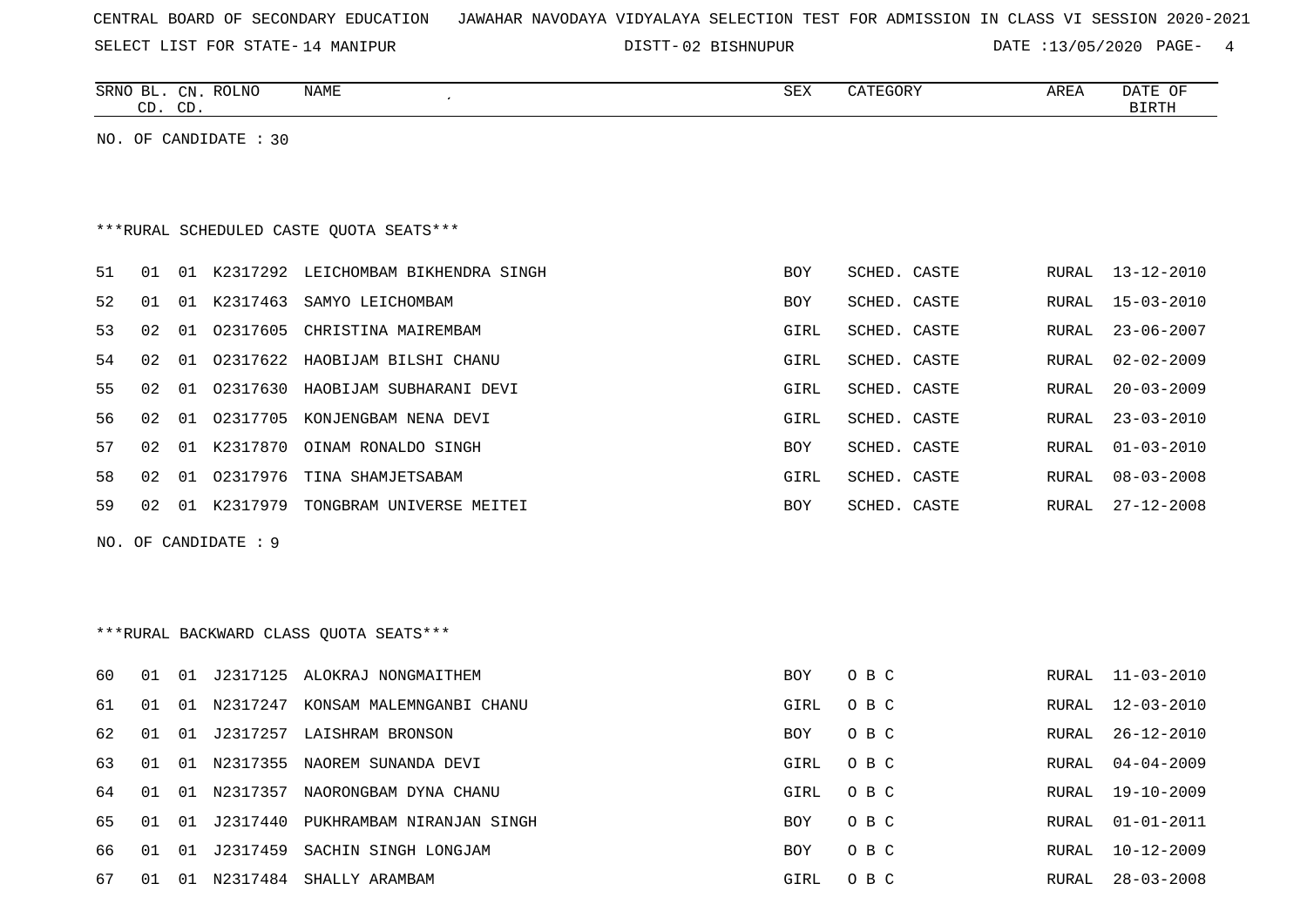SELECT LIST FOR STATE- DISTT- 14 MANIPUR

02 BISHNUPUR DATE :13/05/2020 PAGE- 4

|    |    | CD. CD. | SRNO BL. CN. ROLNO    | NAME                                     | SEX        | CATEGORY     | AREA         | DATE OF<br><b>BIRTH</b> |
|----|----|---------|-----------------------|------------------------------------------|------------|--------------|--------------|-------------------------|
|    |    |         | NO. OF CANDIDATE : 30 |                                          |            |              |              |                         |
|    |    |         |                       |                                          |            |              |              |                         |
|    |    |         |                       |                                          |            |              |              |                         |
|    |    |         |                       | *** RURAL SCHEDULED CASTE QUOTA SEATS*** |            |              |              |                         |
|    |    |         |                       |                                          |            |              |              |                         |
| 51 | 01 |         |                       | 01 K2317292 LEICHOMBAM BIKHENDRA SINGH   | BOY        | SCHED. CASTE | RURAL        | 13-12-2010              |
| 52 | 01 |         | 01 K2317463           | SAMYO LEICHOMBAM                         | <b>BOY</b> | SCHED. CASTE | RURAL        | $15 - 03 - 2010$        |
| 53 | 02 | 01      | 02317605              | CHRISTINA MAIREMBAM                      | GIRL       | SCHED. CASTE | RURAL        | $23 - 06 - 2007$        |
| 54 | 02 | 01      | 02317622              | HAOBIJAM BILSHI CHANU                    | GIRL       | SCHED. CASTE | RURAL        | $02 - 02 - 2009$        |
| 55 | 02 | 01      |                       | 02317630 HAOBIJAM SUBHARANI DEVI         | GIRL       | SCHED. CASTE | RURAL        | $20 - 03 - 2009$        |
| 56 | 02 | 01      |                       | 02317705 KONJENGBAM NENA DEVI            | GIRL       | SCHED. CASTE | <b>RURAL</b> | $23 - 03 - 2010$        |
| 57 | 02 | 01      | K2317870              | OINAM RONALDO SINGH                      | BOY        | SCHED. CASTE | RURAL        | $01 - 03 - 2010$        |
| 58 | 02 | 01      |                       | 02317976 TINA SHAMJETSABAM               | GIRL       | SCHED. CASTE | RURAL        | $08 - 03 - 2008$        |
| 59 | 02 | 01      |                       | K2317979 TONGBRAM UNIVERSE MEITEI        | <b>BOY</b> | SCHED. CASTE | RURAL        | $27 - 12 - 2008$        |
|    |    |         | NO. OF CANDIDATE : 9  |                                          |            |              |              |                         |
|    |    |         |                       |                                          |            |              |              |                         |
|    |    |         |                       |                                          |            |              |              |                         |
|    |    |         |                       | *** RURAL BACKWARD CLASS QUOTA SEATS***  |            |              |              |                         |
|    |    |         |                       |                                          |            |              |              |                         |
| 60 | 01 |         |                       | 01 J2317125 ALOKRAJ NONGMAITHEM          | <b>BOY</b> | O B C        | RURAL        | $11 - 03 - 2010$        |
| 61 | 01 | 01      |                       | N2317247 KONSAM MALEMNGANBI CHANU        | GIRL       | O B C        | RURAL        | $12 - 03 - 2010$        |
| 62 | 01 | 01      |                       | J2317257 LAISHRAM BRONSON                | <b>BOY</b> | O B C        | RURAL        | $26 - 12 - 2010$        |
| 63 | 01 | 01      |                       | N2317355 NAOREM SUNANDA DEVI             | GIRL       | O B C        | RURAL        | $04 - 04 - 2009$        |
| 64 | 01 | 01      |                       | N2317357 NAORONGBAM DYNA CHANU           | GIRL       | O B C        | RURAL        | $19 - 10 - 2009$        |
| 65 | 01 | 01      | J2317440              | PUKHRAMBAM NIRANJAN SINGH                | BOY        | O B C        | RURAL        | $01 - 01 - 2011$        |
| 66 | 01 | 01      |                       | J2317459 SACHIN SINGH LONGJAM            | BOY        | O B C        | RURAL        | $10 - 12 - 2009$        |
| 67 | 01 |         |                       | 01 N2317484 SHALLY ARAMBAM               | GIRL       | O B C        | RURAL        | $28 - 03 - 2008$        |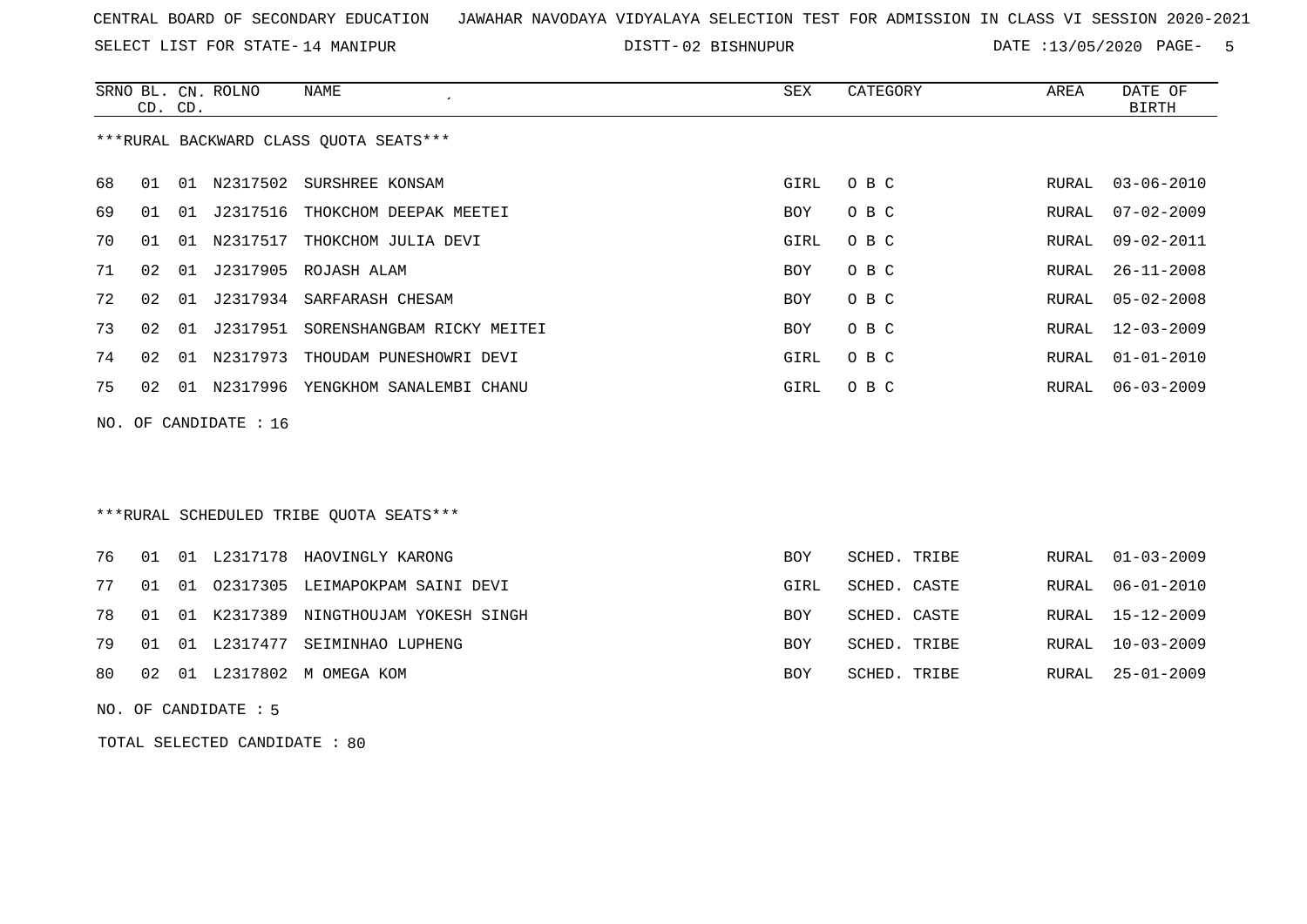SELECT LIST FOR STATE- DISTT- 14 MANIPUR

02 BISHNUPUR DATE :13/05/2020 PAGE- 5

|                                        |    | CD. CD. | SRNO BL. CN. ROLNO      | NAME                              | SEX        | CATEGORY | AREA  | DATE OF<br>BIRTH |  |
|----------------------------------------|----|---------|-------------------------|-----------------------------------|------------|----------|-------|------------------|--|
| ***RURAL BACKWARD CLASS QUOTA SEATS*** |    |         |                         |                                   |            |          |       |                  |  |
| 68                                     | 01 | 01      | N2317502                | SURSHREE KONSAM                   | GIRL       | O B C    | RURAL | 03-06-2010       |  |
| 69                                     | 01 | 01      | J2317516                | THOKCHOM DEEPAK MEETEI            | BOY        | O B C    | RURAL | 07-02-2009       |  |
| 70                                     | 01 | 01      | N2317517                | THOKCHOM JULIA DEVI               | GIRL       | O B C    | RURAL | 09-02-2011       |  |
| 71                                     | 02 | 01      | J2317905                | ROJASH ALAM                       | BOY        | O B C    | RURAL | $26 - 11 - 2008$ |  |
| 72                                     | 02 | 01      |                         | J2317934 SARFARASH CHESAM         | <b>BOY</b> | O B C    | RURAL | $05 - 02 - 2008$ |  |
| 73                                     | 02 | 01      | J2317951                | SORENSHANGBAM RICKY MEITEI        | <b>BOY</b> | O B C    | RURAL | $12 - 03 - 2009$ |  |
| 74                                     | 02 | 01      | N2317973                | THOUDAM PUNESHOWRI DEVI           | GIRL       | O B C    | RURAL | $01 - 01 - 2010$ |  |
| 75                                     | 02 | 01      |                         | N2317996 YENGKHOM SANALEMBI CHANU | GIRL       | O B C    | RURAL | $06 - 03 - 2009$ |  |
|                                        |    |         | NO. OF CANDIDATE : $16$ |                                   |            |          |       |                  |  |

# \*\*\*RURAL SCHEDULED TRIBE QUOTA SEATS\*\*\*

| 77 01 01 02317305 LEIMAPOKPAM SAINI DEVI<br>SCHED. CASTE<br>GIRL  | RURAL 01-03-2009 |
|-------------------------------------------------------------------|------------------|
|                                                                   | RURAL 06-01-2010 |
| 78 01 01 K2317389 NINGTHOUJAM YOKESH SINGH<br>SCHED. CASTE<br>BOY | RURAL 15-12-2009 |
| 79 01 01 L2317477 SEIMINHAO LUPHENG<br>SCHED. TRIBE<br>BOY        | RURAL 10-03-2009 |
| 80 02 01 L2317802 M OMEGA KOM<br>SCHED. TRIBE<br>BOY              | RURAL 25-01-2009 |

NO. OF CANDIDATE : 5

TOTAL SELECTED CANDIDATE : 80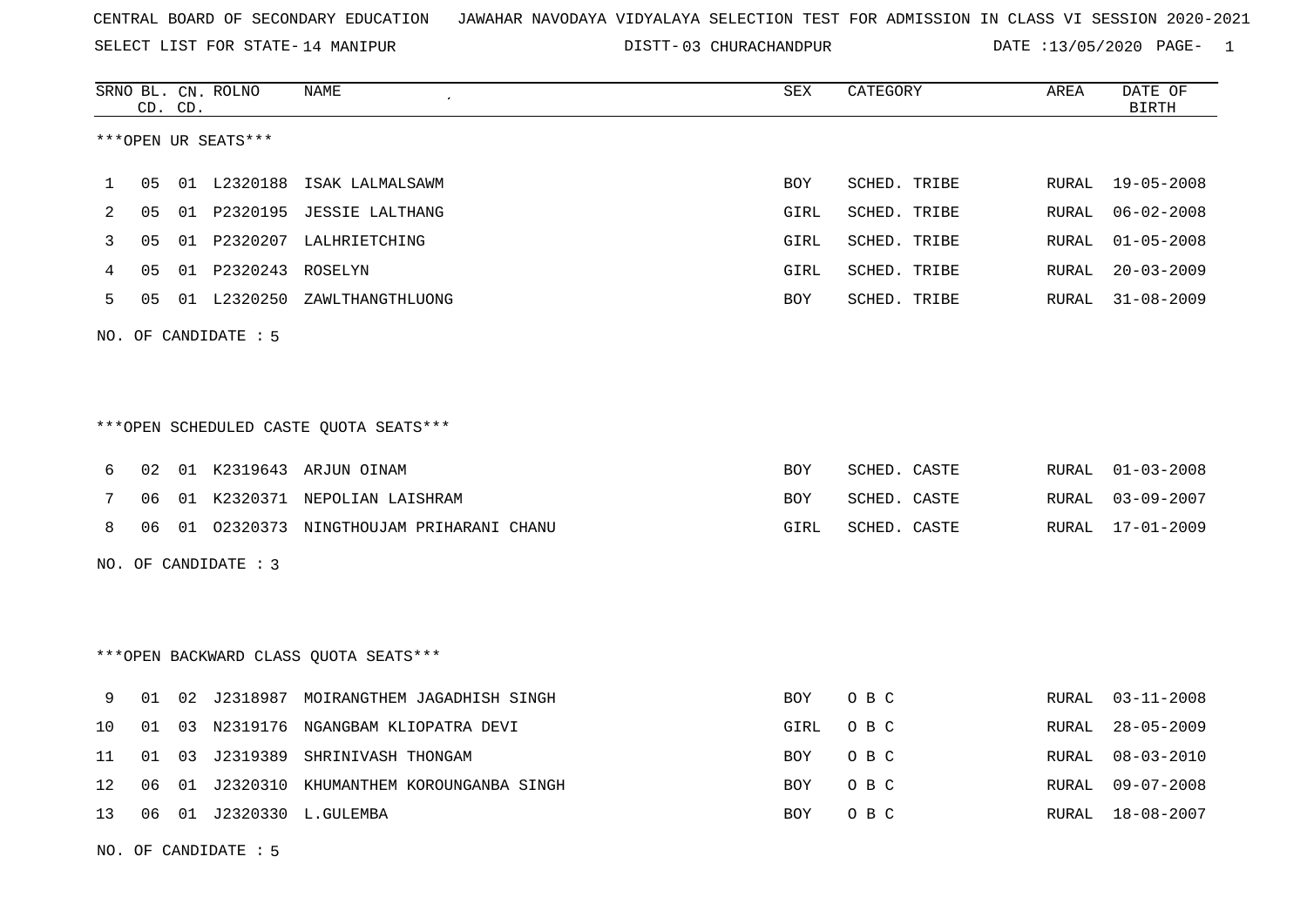SELECT LIST FOR STATE- DISTT- 14 MANIPUR

03 CHURACHANDPUR DATE :13/05/2020 PAGE- 1

|    |    | CD. CD. | SRNO BL. CN. ROLNO   | <b>NAME</b>                             | <b>SEX</b> | CATEGORY     | AREA         | DATE OF<br><b>BIRTH</b> |
|----|----|---------|----------------------|-----------------------------------------|------------|--------------|--------------|-------------------------|
|    |    |         | ***OPEN UR SEATS***  |                                         |            |              |              |                         |
| 1  | 05 |         | 01 L2320188          | ISAK LALMALSAWM                         | <b>BOY</b> | SCHED. TRIBE | <b>RURAL</b> | $19 - 05 - 2008$        |
| 2  | 05 |         |                      | 01 P2320195 JESSIE LALTHANG             | GIRL       | SCHED. TRIBE | <b>RURAL</b> | $06 - 02 - 2008$        |
| 3  | 05 |         |                      | 01 P2320207 LALHRIETCHING               | GIRL       | SCHED. TRIBE | <b>RURAL</b> | $01 - 05 - 2008$        |
| 4  | 05 |         | 01 P2320243 ROSELYN  |                                         | GIRL       | SCHED. TRIBE | RURAL        | $20 - 03 - 2009$        |
| 5  | 05 |         | 01 L2320250          | ZAWLTHANGTHLUONG                        | BOY        | SCHED. TRIBE | RURAL        | $31 - 08 - 2009$        |
|    |    |         | NO. OF CANDIDATE : 5 |                                         |            |              |              |                         |
|    |    |         |                      |                                         |            |              |              |                         |
|    |    |         |                      | ***OPEN SCHEDULED CASTE QUOTA SEATS***  |            |              |              |                         |
| 6  | 02 |         |                      | 01 K2319643 ARJUN OINAM                 | <b>BOY</b> | SCHED. CASTE | RURAL        | $01 - 03 - 2008$        |
| 7  | 06 |         |                      | 01 K2320371 NEPOLIAN LAISHRAM           | BOY        | SCHED. CASTE | RURAL        | $03 - 09 - 2007$        |
| 8  | 06 |         |                      | 01 02320373 NINGTHOUJAM PRIHARANI CHANU | GIRL       | SCHED. CASTE | RURAL        | 17-01-2009              |
|    |    |         | NO. OF CANDIDATE : 3 |                                         |            |              |              |                         |
|    |    |         |                      |                                         |            |              |              |                         |
|    |    |         |                      | *** OPEN BACKWARD CLASS QUOTA SEATS***  |            |              |              |                         |
| 9  | 01 | 02      | J2318987             | MOIRANGTHEM JAGADHISH SINGH             | <b>BOY</b> | O B C        | <b>RURAL</b> | $03 - 11 - 2008$        |
| 10 | 01 | 03      | N2319176             | NGANGBAM KLIOPATRA DEVI                 | GIRL       | O B C        | <b>RURAL</b> | $28 - 05 - 2009$        |
| 11 | 01 | 03      | J2319389             | SHRINIVASH THONGAM                      | <b>BOY</b> | O B C        | <b>RURAL</b> | $08 - 03 - 2010$        |
| 12 | 06 | 01      | J2320310             | KHUMANTHEM KOROUNGANBA SINGH            | BOY        | O B C        | <b>RURAL</b> | $09 - 07 - 2008$        |
| 13 | 06 | 01      |                      | J2320330 L.GULEMBA                      | BOY        | O B C        | RURAL        | 18-08-2007              |

NO. OF CANDIDATE : 5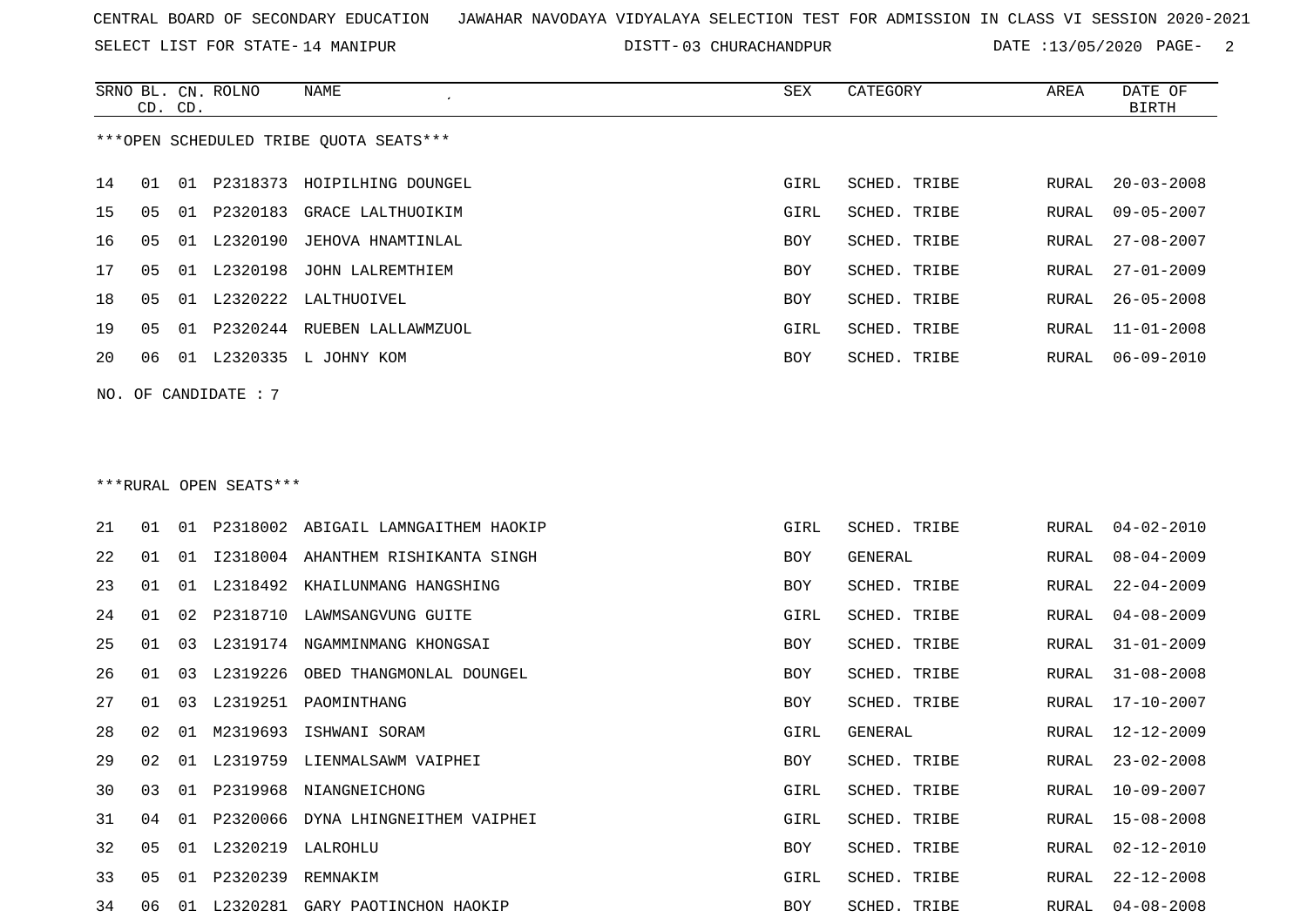SELECT LIST FOR STATE- DISTT- 14 MANIPUR

03 CHURACHANDPUR DATE :13/05/2020 PAGE- 2

|     |                | CD. CD. | SRNO BL. CN. ROLNO     | NAME                                   | SEX        | CATEGORY       | AREA  | DATE OF<br><b>BIRTH</b> |
|-----|----------------|---------|------------------------|----------------------------------------|------------|----------------|-------|-------------------------|
|     |                |         |                        | ***OPEN SCHEDULED TRIBE QUOTA SEATS*** |            |                |       |                         |
| 14  | 01             |         |                        | 01 P2318373 HOIPILHING DOUNGEL         | GIRL       | SCHED. TRIBE   | RURAL | $20 - 03 - 2008$        |
| 15  | 05             | 01      | P2320183               | GRACE LALTHUOIKIM                      | GIRL       | SCHED. TRIBE   | RURAL | $09 - 05 - 2007$        |
| 16  | 05             |         | 01 L2320190            | JEHOVA HNAMTINLAL                      | <b>BOY</b> | SCHED. TRIBE   | RURAL | $27 - 08 - 2007$        |
| 17  | 0 <sub>5</sub> |         | 01 L2320198            | JOHN LALREMTHIEM                       | BOY        | SCHED. TRIBE   | RURAL | $27 - 01 - 2009$        |
| 18  | 0 <sub>5</sub> |         |                        | 01 L2320222 LALTHUOIVEL                | <b>BOY</b> | SCHED. TRIBE   | RURAL | $26 - 05 - 2008$        |
| 19  | 05             | 01      |                        | P2320244 RUEBEN LALLAWMZUOL            | GIRL       | SCHED. TRIBE   | RURAL | $11 - 01 - 2008$        |
| 20  | 06             |         |                        | 01 L2320335 L JOHNY KOM                | BOY        | SCHED. TRIBE   | RURAL | $06 - 09 - 2010$        |
| NO. |                |         | OF CANDIDATE : 7       |                                        |            |                |       |                         |
|     |                |         |                        |                                        |            |                |       |                         |
|     |                |         |                        |                                        |            |                |       |                         |
|     |                |         | ***RURAL OPEN SEATS*** |                                        |            |                |       |                         |
| 21  | 01             |         |                        | 01 P2318002 ABIGAIL LAMNGAITHEM HAOKIP | GIRL       | SCHED. TRIBE   | RURAL | $04 - 02 - 2010$        |
| 22  | 01             | 01      |                        | I2318004 AHANTHEM RISHIKANTA SINGH     | <b>BOY</b> | <b>GENERAL</b> | RURAL | $08 - 04 - 2009$        |
| 23  | 01             |         |                        | 01 L2318492 KHAILUNMANG HANGSHING      | <b>BOY</b> | SCHED. TRIBE   | RURAL | $22 - 04 - 2009$        |
| 24  | 01             | 02      |                        | P2318710 LAWMSANGVUNG GUITE            | GIRL       | SCHED. TRIBE   | RURAL | $04 - 08 - 2009$        |
| 25  | 01             | 03      |                        | L2319174 NGAMMINMANG KHONGSAI          | <b>BOY</b> | SCHED. TRIBE   | RURAL | $31 - 01 - 2009$        |
| 26  | 01             | 03      | L2319226               | OBED THANGMONLAL DOUNGEL               | <b>BOY</b> | SCHED. TRIBE   | RURAL | $31 - 08 - 2008$        |
|     |                |         |                        |                                        |            |                |       |                         |

| 27  | -01 | 03   | L2319251 | PAOMINTHANG               | <b>BOY</b> | SCHED. TRIBE | RURAL | 17-10-2007       |
|-----|-----|------|----------|---------------------------|------------|--------------|-------|------------------|
| 28. | 02  | - 01 | M2319693 | ISHWANI SORAM             | GIRL       | GENERAL      | RURAL | $12 - 12 - 2009$ |
| 29. | 02  | -01  | L2319759 | LIENMALSAWM VAIPHEI       | <b>BOY</b> | SCHED. TRIBE |       | RURAL 23-02-2008 |
| 30  | 03  | 01   | P2319968 | NIANGNEICHONG             | GIRL       | SCHED. TRIBE | RURAL | 10-09-2007       |
| 31  | 04  | 01   | P2320066 | DYNA LHINGNEITHEM VAIPHEI | GIRL       | SCHED. TRIBE | RURAL | 15-08-2008       |
| 32  | 05  | 01   | L2320219 | LALROHLU                  | <b>BOY</b> | SCHED. TRIBE | RURAL | 02-12-2010       |
| 33  | 05  | 01   | P2320239 | REMNAKIM                  | GIRL       | SCHED. TRIBE | RURAL | $22 - 12 - 2008$ |
| 34  | 06  | 01   | L2320281 | GARY PAOTINCHON HAOKIP    | <b>BOY</b> | SCHED. TRIBE |       | RURAL 04-08-2008 |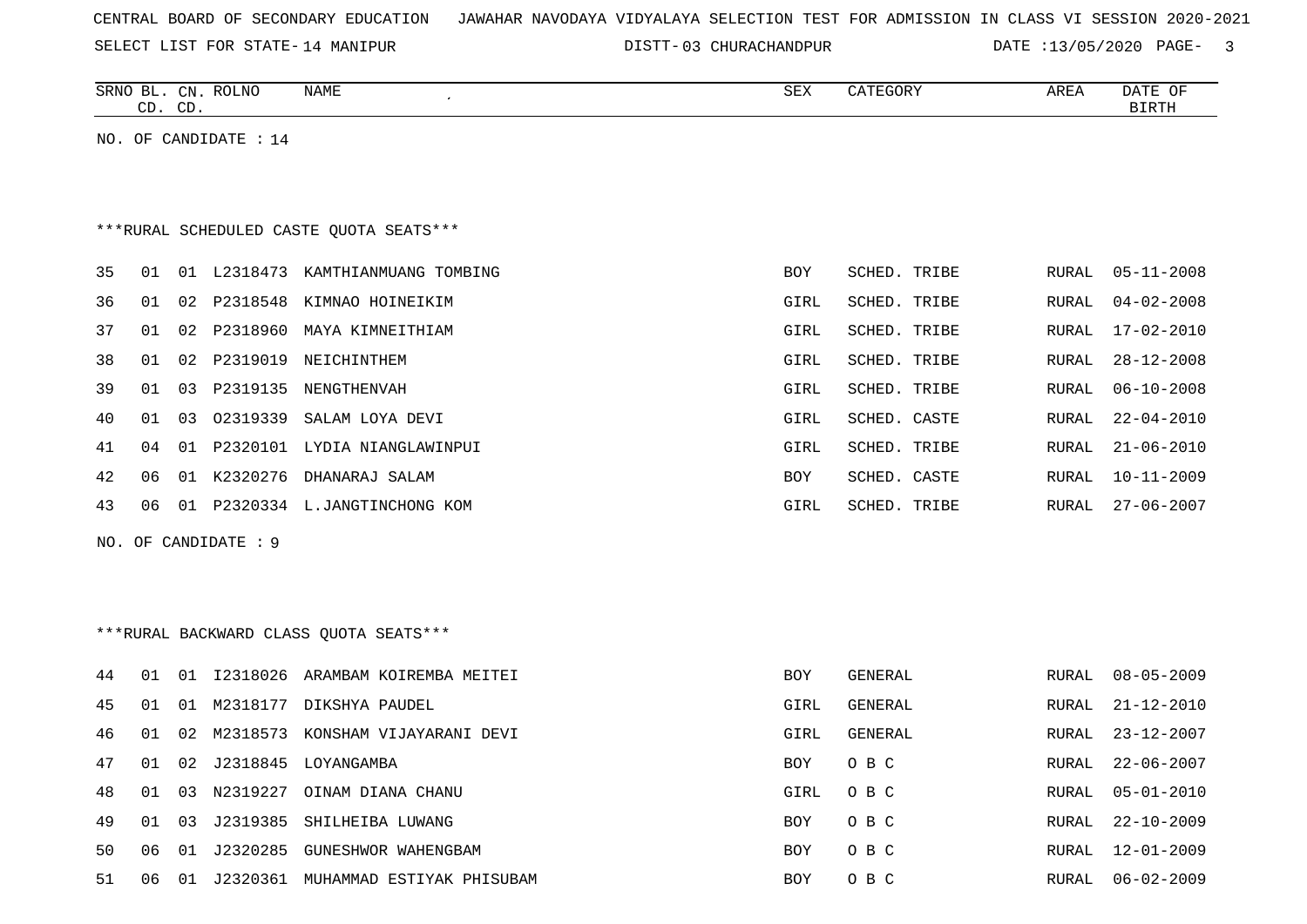|  |  |  | CENTRAL BOARD OF SECONDARY EDUCATION – JAWAHAR NAVODAYA VIDYALAYA SELECTION TEST FOR ADMISSION IN CLASS VI SESSION 2020-2021 |  |  |  |  |  |  |  |  |  |  |  |  |  |  |  |
|--|--|--|------------------------------------------------------------------------------------------------------------------------------|--|--|--|--|--|--|--|--|--|--|--|--|--|--|--|
|--|--|--|------------------------------------------------------------------------------------------------------------------------------|--|--|--|--|--|--|--|--|--|--|--|--|--|--|--|

SELECT LIST FOR STATE-14 MANIPUR CONTROL CONTROLLER TO DISTT-03 CHURACHANDPUR

DATE :13/05/2020 PAGE- 3

|    |    | CD. CD. | SRNO BL. CN. ROLNO      | <b>NAME</b>                             | SEX        | CATEGORY     | AREA         | DATE OF<br><b>BIRTH</b> |
|----|----|---------|-------------------------|-----------------------------------------|------------|--------------|--------------|-------------------------|
|    |    |         | NO. OF CANDIDATE : $14$ |                                         |            |              |              |                         |
|    |    |         |                         |                                         |            |              |              |                         |
|    |    |         |                         |                                         |            |              |              |                         |
|    |    |         |                         | ***RURAL SCHEDULED CASTE QUOTA SEATS*** |            |              |              |                         |
| 35 | 01 |         |                         | 01 L2318473 KAMTHIANMUANG TOMBING       | <b>BOY</b> | SCHED. TRIBE | RURAL        | $05 - 11 - 2008$        |
| 36 | 01 |         |                         | 02 P2318548 KIMNAO HOINEIKIM            | GIRL       | SCHED. TRIBE | RURAL        | $04 - 02 - 2008$        |
| 37 | 01 |         |                         | 02 P2318960 MAYA KIMNEITHIAM            | GIRL       | SCHED. TRIBE | RURAL        | $17 - 02 - 2010$        |
| 38 | 01 | 02      | P2319019                | NEICHINTHEM                             | GIRL       | SCHED. TRIBE | RURAL        | $28 - 12 - 2008$        |
| 39 | 01 | 03      | P2319135                | NENGTHENVAH                             | GIRL       | SCHED. TRIBE | RURAL        | $06 - 10 - 2008$        |
| 40 | 01 | 03      |                         | 02319339 SALAM LOYA DEVI                | GIRL       | SCHED. CASTE | <b>RURAL</b> | $22 - 04 - 2010$        |
| 41 | 04 |         |                         | 01 P2320101 LYDIA NIANGLAWINPUI         | GIRL       | SCHED. TRIBE | RURAL        | $21 - 06 - 2010$        |
| 42 | 06 |         |                         | 01 K2320276 DHANARAJ SALAM              | BOY        | SCHED. CASTE | RURAL        | $10 - 11 - 2009$        |
| 43 | 06 |         |                         | 01 P2320334 L.JANGTINCHONG KOM          | GIRL       | SCHED. TRIBE | RURAL        | $27 - 06 - 2007$        |
|    |    |         | NO. OF CANDIDATE : 9    |                                         |            |              |              |                         |
|    |    |         |                         |                                         |            |              |              |                         |
|    |    |         |                         |                                         |            |              |              |                         |
|    |    |         |                         | ***RURAL BACKWARD CLASS QUOTA SEATS***  |            |              |              |                         |
| 44 | 01 |         |                         | 01 I2318026 ARAMBAM KOIREMBA MEITEI     | BOY        | GENERAL      | RURAL        | $08 - 05 - 2009$        |
| 45 | 01 | 01      |                         | M2318177 DIKSHYA PAUDEL                 | GIRL       | GENERAL      | RURAL        | $21 - 12 - 2010$        |
| 46 | 01 | 02      |                         | M2318573 KONSHAM VIJAYARANI DEVI        | GIRL       | GENERAL      | RURAL        | $23 - 12 - 2007$        |
| 47 | 01 |         |                         | 02 J2318845 LOYANGAMBA                  | <b>BOY</b> | O B C        | RURAL        | $22 - 06 - 2007$        |
| 48 | 01 | 03      | N2319227                | OINAM DIANA CHANU                       | GIRL       | O B C        | RURAL        | $05 - 01 - 2010$        |
| 49 | 01 | 03      | J2319385                | SHILHEIBA LUWANG                        | <b>BOY</b> | O B C        | RURAL        | $22 - 10 - 2009$        |
| 50 | 06 |         |                         | 01 J2320285 GUNESHWOR WAHENGBAM         | <b>BOY</b> | O B C        | <b>RURAL</b> | $12 - 01 - 2009$        |
| 51 | 06 | 01      |                         | J2320361 MUHAMMAD ESTIYAK PHISUBAM      | <b>BOY</b> | O B C        | RURAL        | $06 - 02 - 2009$        |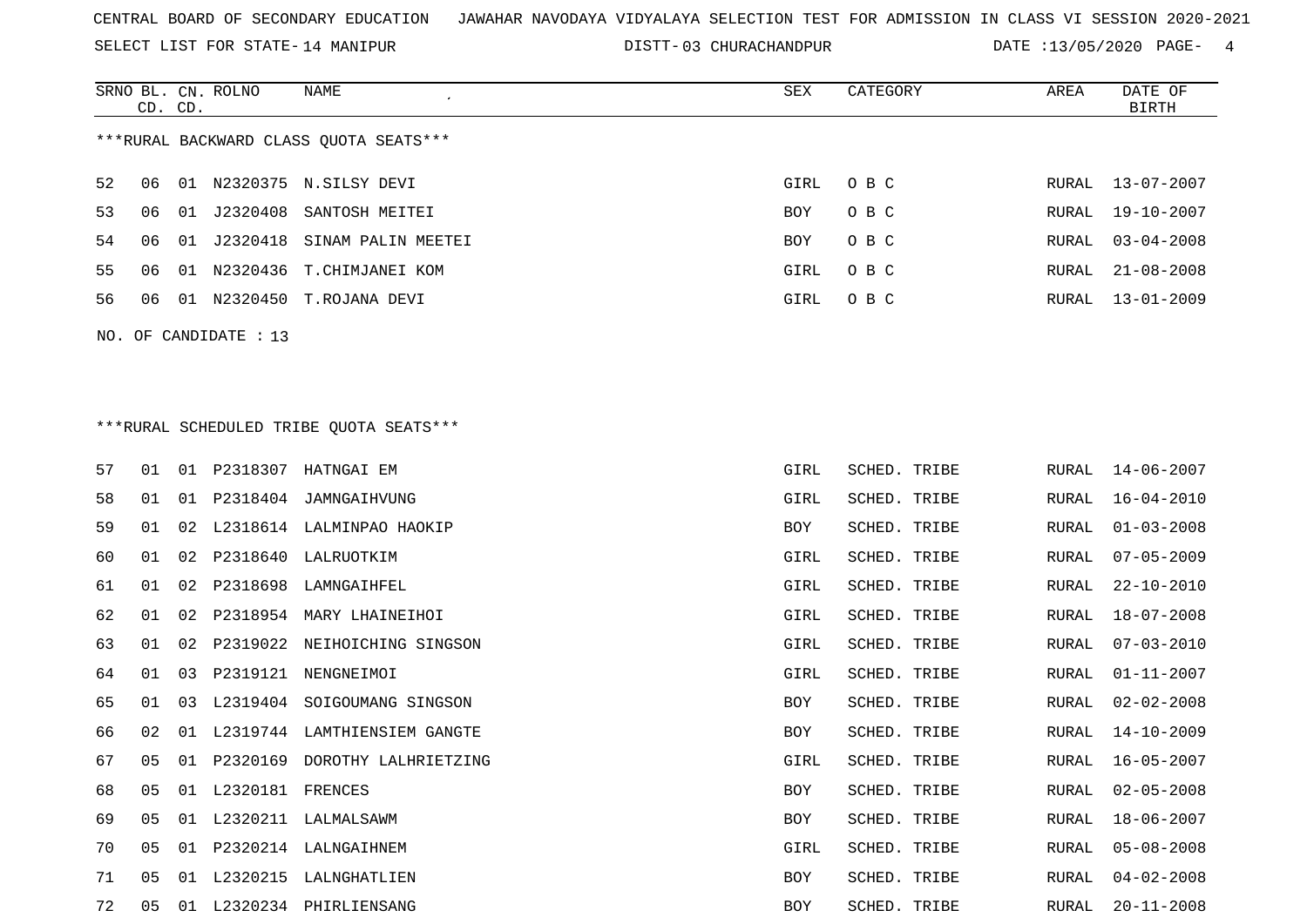SELECT LIST FOR STATE- DISTT- 14 MANIPUR

DISTT-03 CHURACHANDPUR DATE :13/05/2020 PAGE- 4

|    | CD. CD. | SRNO BL. CN. ROLNO    | NAME<br>$\cdot$                        | SEX  | CATEGORY | AREA  | DATE OF<br>BIRTH |
|----|---------|-----------------------|----------------------------------------|------|----------|-------|------------------|
|    |         |                       | ***RURAL BACKWARD CLASS OUOTA SEATS*** |      |          |       |                  |
| 52 | 06      |                       | 01 N2320375 N.SILSY DEVI               | GIRL | O B C    | RURAL | 13-07-2007       |
| 53 | 06      |                       | 01 J2320408 SANTOSH MEITEI             | BOY  | O B C    | RURAL | 19-10-2007       |
| 54 | 06      |                       | 01 J2320418 SINAM PALIN MEETEI         | BOY  | O B C    | RURAL | $03 - 04 - 2008$ |
| 55 | 06      |                       | 01 N2320436 T.CHIMJANEI KOM            | GIRL | O B C    | RURAL | 21-08-2008       |
| 56 | 06      |                       | 01 N2320450 T.ROJANA DEVI              | GIRL | O B C    | RURAL | $13 - 01 - 2009$ |
|    |         | NO. OF CANDIDATE : 13 |                                        |      |          |       |                  |
|    |         |                       |                                        |      |          |       |                  |
|    |         |                       |                                        |      |          |       |                  |

\*\*\*RURAL SCHEDULED TRIBE QUOTA SEATS\*\*\*

| 57 | 01             |    |                  | 01 P2318307 HATNGAI EM       | GIRL | SCHED. TRIBE | RURAL | $14 - 06 - 2007$ |
|----|----------------|----|------------------|------------------------------|------|--------------|-------|------------------|
| 58 | 01             | 01 |                  | P2318404 JAMNGAIHVUNG        | GIRL | SCHED. TRIBE | RURAL | $16 - 04 - 2010$ |
| 59 | 01             | 02 |                  | L2318614 LALMINPAO HAOKIP    | BOY  | SCHED. TRIBE | RURAL | $01 - 03 - 2008$ |
| 60 | 01             | 02 |                  | P2318640 LALRUOTKIM          | GIRL | SCHED. TRIBE | RURAL | $07 - 05 - 2009$ |
| 61 | 01             | 02 | P2318698         | LAMNGAIHFEL                  | GIRL | SCHED. TRIBE | RURAL | $22 - 10 - 2010$ |
| 62 | 01             | 02 |                  | P2318954 MARY LHAINEIHOI     | GIRL | SCHED. TRIBE | RURAL | 18-07-2008       |
| 63 | 01             | 02 |                  | P2319022 NEIHOICHING SINGSON | GIRL | SCHED. TRIBE | RURAL | $07 - 03 - 2010$ |
| 64 | 01             | 03 | P2319121         | NENGNEIMOI                   | GIRL | SCHED. TRIBE | RURAL | $01 - 11 - 2007$ |
| 65 | 01             | 03 |                  | L2319404 SOIGOUMANG SINGSON  | BOY  | SCHED. TRIBE | RURAL | $02 - 02 - 2008$ |
| 66 | 02             | 01 | L2319744         | LAMTHIENSIEM GANGTE          | BOY  | SCHED. TRIBE | RURAL | $14 - 10 - 2009$ |
| 67 | 05             | 01 | P2320169         | DOROTHY LALHRIETZING         | GIRL | SCHED. TRIBE | RURAL | $16 - 05 - 2007$ |
| 68 | 05             | 01 | L2320181 FRENCES |                              | BOY  | SCHED. TRIBE | RURAL | $02 - 05 - 2008$ |
| 69 | 0 <sub>5</sub> | 01 |                  | L2320211 LALMALSAWM          | BOY  | SCHED. TRIBE | RURAL | $18 - 06 - 2007$ |
| 70 | 05             | 01 |                  | P2320214 LALNGAIHNEM         | GIRL | SCHED. TRIBE | RURAL | $05 - 08 - 2008$ |
| 71 | 0 <sub>5</sub> | 01 | L2320215         | LALNGHATLIEN                 | BOY  | SCHED. TRIBE | RURAL | $04 - 02 - 2008$ |
| 72 | 05             | 01 |                  | L2320234 PHIRLIENSANG        | BOY  | SCHED. TRIBE | RURAL | $20 - 11 - 2008$ |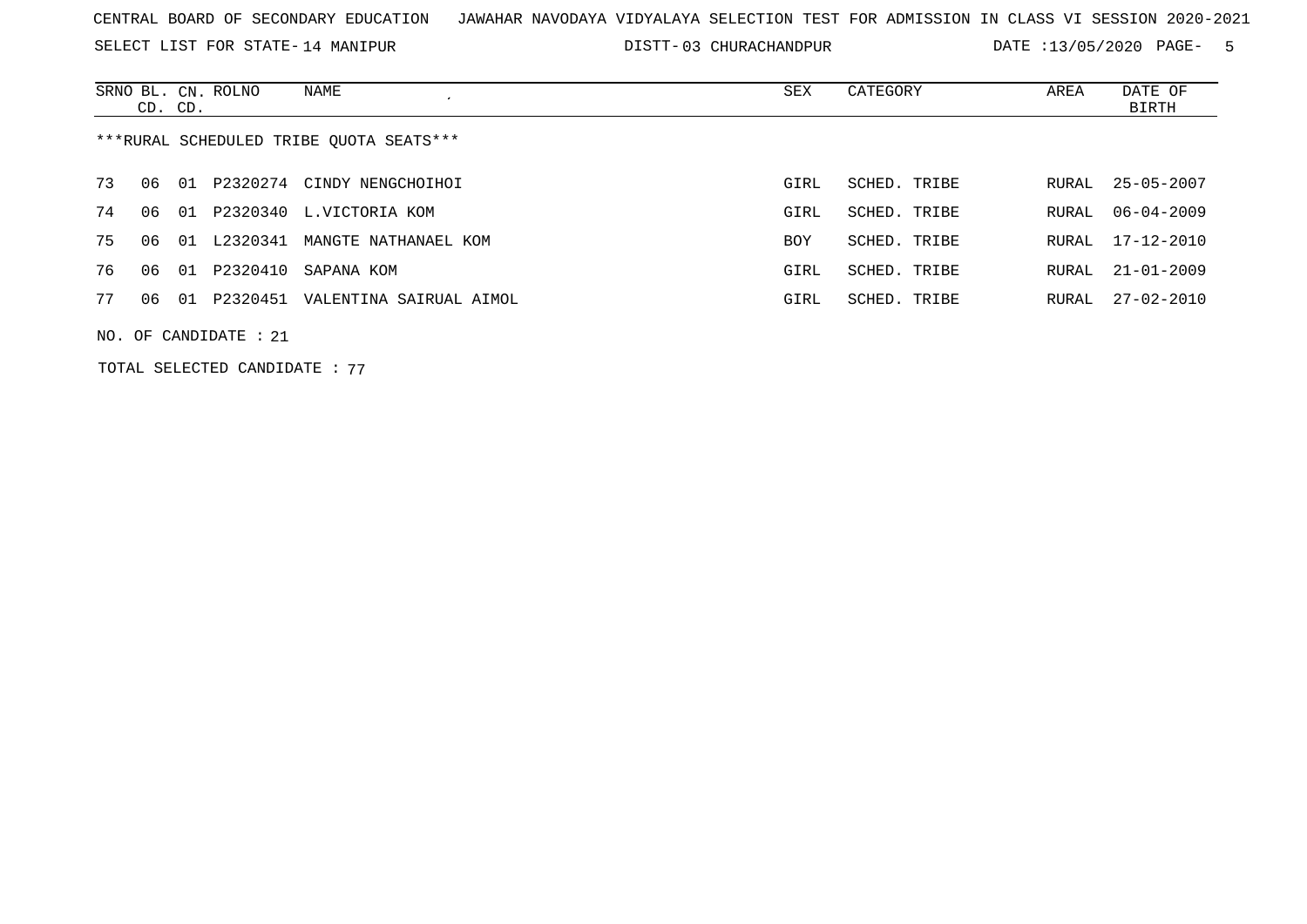SELECT LIST FOR STATE- DISTT- 14 MANIPUR

DISTT-03 CHURACHANDPUR DATE :13/05/2020 PAGE- 5

|    | CD. CD. |    | SRNO BL. CN. ROLNO      | NAME                                    | SEX  | CATEGORY     | AREA  | DATE OF<br>BIRTH |
|----|---------|----|-------------------------|-----------------------------------------|------|--------------|-------|------------------|
|    |         |    |                         | ***RURAL SCHEDULED TRIBE OUOTA SEATS*** |      |              |       |                  |
| 73 | 06      | 01 |                         | P2320274 CINDY NENGCHOIHOI              | GIRL | SCHED. TRIBE |       | RURAL 25-05-2007 |
| 74 | 06      |    |                         | 01 P2320340 L.VICTORIA KOM              | GIRL | SCHED. TRIBE | RURAL | $06 - 04 - 2009$ |
| 75 | 06      |    | 01 L2320341             | MANGTE NATHANAEL KOM                    | BOY  | SCHED. TRIBE | RURAL | 17-12-2010       |
| 76 | 06      |    |                         | 01 P2320410 SAPANA KOM                  | GIRL | SCHED. TRIBE | RURAL | 21-01-2009       |
| 77 |         |    |                         | 01 P2320451 VALENTINA SAIRUAL AIMOL     | GIRL | SCHED. TRIBE | RURAL | $27 - 02 - 2010$ |
|    |         |    | NO. OF CANDIDATE : $21$ |                                         |      |              |       |                  |

TOTAL SELECTED CANDIDATE : 77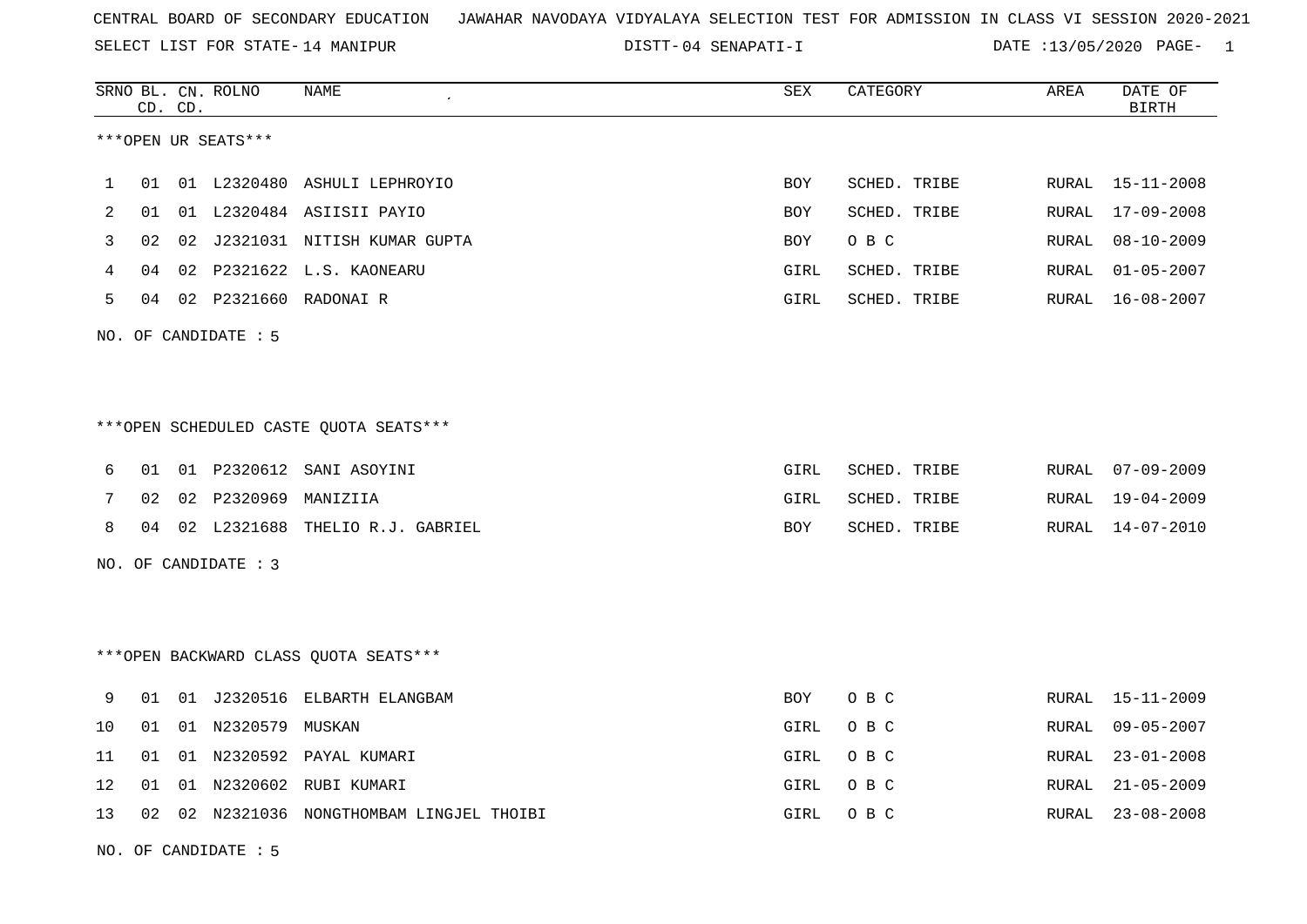SELECT LIST FOR STATE- DISTT- 14 MANIPUR

04 SENAPATI-I DATE :13/05/2020 PAGE- 1

|    |    | CD. CD. | SRNO BL. CN. ROLNO   | <b>NAME</b>                            | <b>SEX</b> | CATEGORY     | AREA         | DATE OF<br><b>BIRTH</b> |
|----|----|---------|----------------------|----------------------------------------|------------|--------------|--------------|-------------------------|
|    |    |         | ***OPEN UR SEATS***  |                                        |            |              |              |                         |
| 1  | 01 |         | 01 L2320480          | ASHULI LEPHROYIO                       | BOY        | SCHED. TRIBE | <b>RURAL</b> | 15-11-2008              |
| 2  | 01 |         |                      | 01 L2320484 ASIISII PAYIO              | BOY        | SCHED. TRIBE | RURAL        | $17 - 09 - 2008$        |
| 3  | 02 |         |                      | 02 J2321031 NITISH KUMAR GUPTA         | BOY        | O B C        | RURAL        | $08 - 10 - 2009$        |
| 4  | 04 |         |                      | 02 P2321622 L.S. KAONEARU              | GIRL       | SCHED. TRIBE | RURAL        | $01 - 05 - 2007$        |
| 5  | 04 |         | 02 P2321660          | RADONAI R                              | GIRL       | SCHED. TRIBE | RURAL        | $16 - 08 - 2007$        |
|    |    |         | NO. OF CANDIDATE : 5 |                                        |            |              |              |                         |
|    |    |         |                      |                                        |            |              |              |                         |
|    |    |         |                      | ***OPEN SCHEDULED CASTE QUOTA SEATS*** |            |              |              |                         |
| 6  | 01 |         |                      | 01 P2320612 SANI ASOYINI               | GIRL       | SCHED. TRIBE | RURAL        | $07 - 09 - 2009$        |
| 7  | 02 | 02      | P2320969             | MANIZIIA                               | GIRL       | SCHED. TRIBE | RURAL        | 19-04-2009              |
| 8  | 04 |         |                      | 02 L2321688 THELIO R.J. GABRIEL        | BOY        | SCHED. TRIBE | RURAL        | 14-07-2010              |
|    |    |         | NO. OF CANDIDATE : 3 |                                        |            |              |              |                         |
|    |    |         |                      |                                        |            |              |              |                         |
|    |    |         |                      | *** OPEN BACKWARD CLASS QUOTA SEATS*** |            |              |              |                         |
| 9  | 01 |         |                      | 01 J2320516 ELBARTH ELANGBAM           | BOY        | O B C        | RURAL        | 15-11-2009              |
| 10 | 01 |         | 01 N2320579 MUSKAN   |                                        | GIRL       | O B C        | RURAL        | $09 - 05 - 2007$        |
| 11 | 01 |         |                      | 01 N2320592 PAYAL KUMARI               | GIRL       | O B C        | RURAL        | $23 - 01 - 2008$        |
| 12 | 01 |         | 01 N2320602          | RUBI KUMARI                            | GIRL       | O B C        | <b>RURAL</b> | $21 - 05 - 2009$        |
| 13 | 02 |         |                      | 02 N2321036 NONGTHOMBAM LINGJEL THOIBI | GIRL       | O B C        | RURAL        | $23 - 08 - 2008$        |

NO. OF CANDIDATE : 5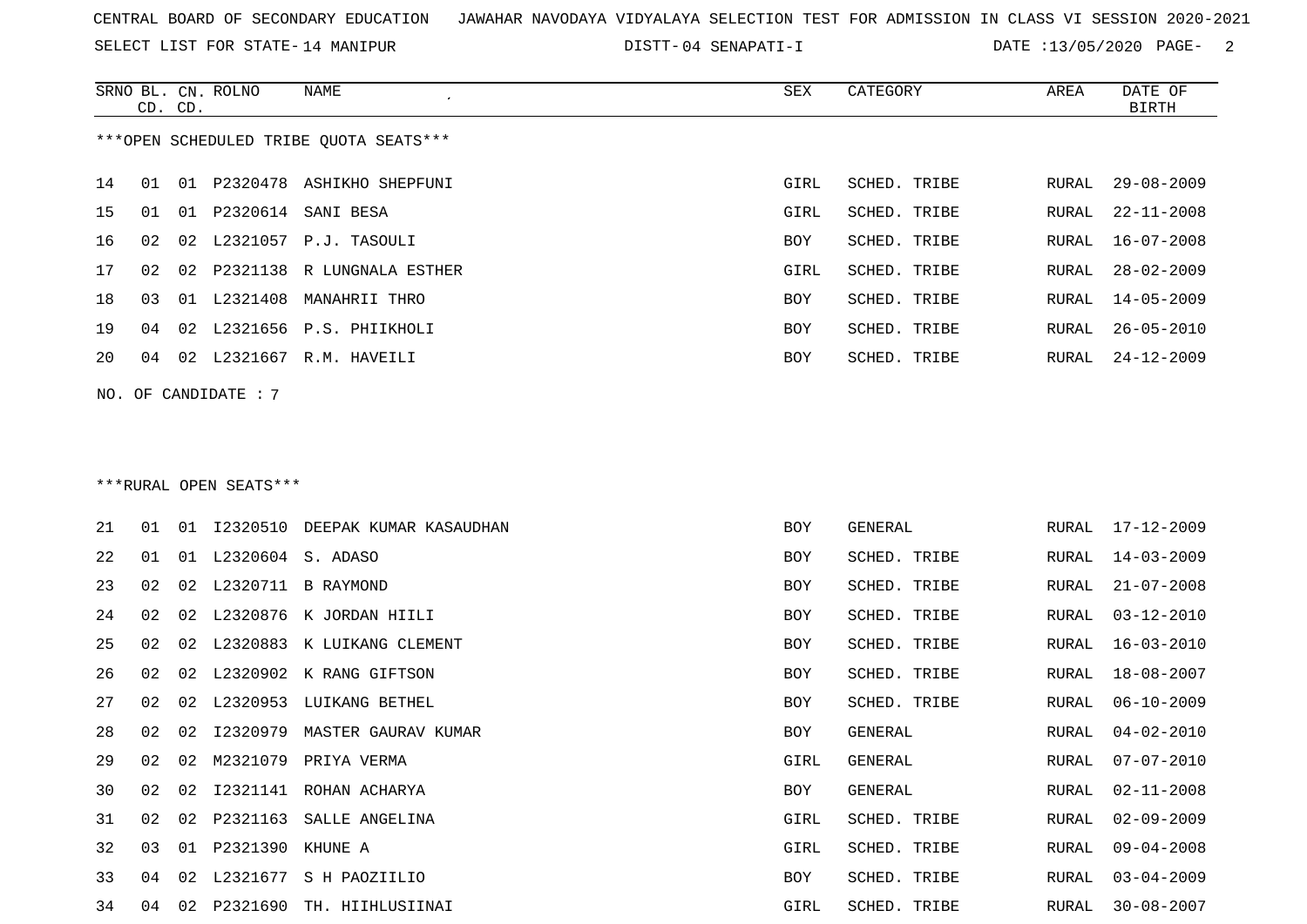SELECT LIST FOR STATE- DISTT- 14 MANIPUR

04 SENAPATI-I DATE :13/05/2020 PAGE- 2

|        |    | CD. CD. | SRNO BL. CN. ROLNO     | <b>NAME</b><br>$\epsilon$              | ${\tt SEX}$ | CATEGORY     | <b>AREA</b> | DATE OF<br><b>BIRTH</b> |
|--------|----|---------|------------------------|----------------------------------------|-------------|--------------|-------------|-------------------------|
|        |    |         |                        | ***OPEN SCHEDULED TRIBE QUOTA SEATS*** |             |              |             |                         |
| 14     | 01 | 01      |                        | P2320478 ASHIKHO SHEPFUNI              | GIRL        | SCHED. TRIBE | RURAL       | $29 - 08 - 2009$        |
| 15     | 01 |         |                        | 01 P2320614 SANI BESA                  | GIRL        | SCHED. TRIBE | RURAL       | $22 - 11 - 2008$        |
| 16     | 02 |         |                        | 02 L2321057 P.J. TASOULI               | <b>BOY</b>  | SCHED. TRIBE | RURAL       | $16 - 07 - 2008$        |
| 17     | 02 | 02      |                        | P2321138 R LUNGNALA ESTHER             | GIRL        | SCHED. TRIBE | RURAL       | $28 - 02 - 2009$        |
| 18     | 03 |         | 01 L2321408            | MANAHRII THRO                          | <b>BOY</b>  | SCHED. TRIBE | RURAL       | $14 - 05 - 2009$        |
| 19     | 04 | 02      |                        | L2321656 P.S. PHIIKHOLI                | <b>BOY</b>  | SCHED. TRIBE | RURAL       | $26 - 05 - 2010$        |
| 20     | 04 |         |                        | 02 L2321667 R.M. HAVEILI               | <b>BOY</b>  | SCHED. TRIBE | RURAL       | $24 - 12 - 2009$        |
| NO.    |    |         | OF CANDIDATE : 7       |                                        |             |              |             |                         |
|        |    |         |                        |                                        |             |              |             |                         |
|        |    |         |                        |                                        |             |              |             |                         |
|        |    |         | ***RURAL OPEN SEATS*** |                                        |             |              |             |                         |
| 21     | 01 | 01      |                        | 12320510 DEEPAK KUMAR KASAUDHAN        | <b>BOY</b>  | GENERAL      | RURAL       | 17-12-2009              |
| 22     | 01 | 01      |                        | L2320604 S. ADASO                      | <b>BOY</b>  | SCHED. TRIBE | RURAL       | $14 - 03 - 2009$        |
| $23 -$ |    |         |                        | 02 02 12320711 B RAYMOND               | <b>ROY</b>  | SCHED TRIBE  |             | RURAL 21-07-2008        |

| $4 +$ | UI | ∪⊥ |                   | IZ3ZU5IU DEEPAK KUMAR KASAUDHAN | BUY  | GENERAL      |       | KURAL I/-IZ-ZUUY |
|-------|----|----|-------------------|---------------------------------|------|--------------|-------|------------------|
| 22    | 01 | 01 | L2320604 S. ADASO |                                 | BOY  | SCHED. TRIBE |       | RURAL 14-03-2009 |
| 23    | 02 | 02 |                   | L2320711 B RAYMOND              | BOY  | SCHED. TRIBE | RURAL | $21 - 07 - 2008$ |
| 24    | 02 | 02 |                   | L2320876 K JORDAN HIILI         | BOY  | SCHED. TRIBE | RURAL | $03 - 12 - 2010$ |
| 25    | 02 | 02 |                   | L2320883 K LUIKANG CLEMENT      | BOY  | SCHED. TRIBE | RURAL | 16-03-2010       |
| 26    | 02 | 02 |                   | L2320902 K RANG GIFTSON         | BOY  | SCHED. TRIBE | RURAL | 18-08-2007       |
| 27    | 02 |    |                   | 02 L2320953 LUIKANG BETHEL      | BOY  | SCHED. TRIBE | RURAL | $06 - 10 - 2009$ |
| 28    | 02 | 02 |                   | 12320979 MASTER GAURAV KUMAR    | BOY  | GENERAL      | RURAL | $04 - 02 - 2010$ |
| 29    | 02 | 02 |                   | M2321079 PRIYA VERMA            | GIRL | GENERAL      | RURAL | $07 - 07 - 2010$ |
| 30    | 02 | 02 |                   | 12321141 ROHAN ACHARYA          | BOY  | GENERAL      | RURAL | $02 - 11 - 2008$ |
| 31    | 02 | 02 |                   | P2321163 SALLE ANGELINA         | GIRL | SCHED. TRIBE | RURAL | $02 - 09 - 2009$ |
| 32    | 03 | 01 | P2321390 KHUNE A  |                                 | GIRL | SCHED. TRIBE | RURAL | $09 - 04 - 2008$ |
| 33    | 04 | 02 |                   | L2321677 S H PAOZIILIO          | BOY  | SCHED. TRIBE | RURAL | $03 - 04 - 2009$ |
| 34    | 04 | 02 | P2321690          | TH. HIIHLUSIINAI                | GIRL | SCHED. TRIBE | RURAL | $30 - 08 - 2007$ |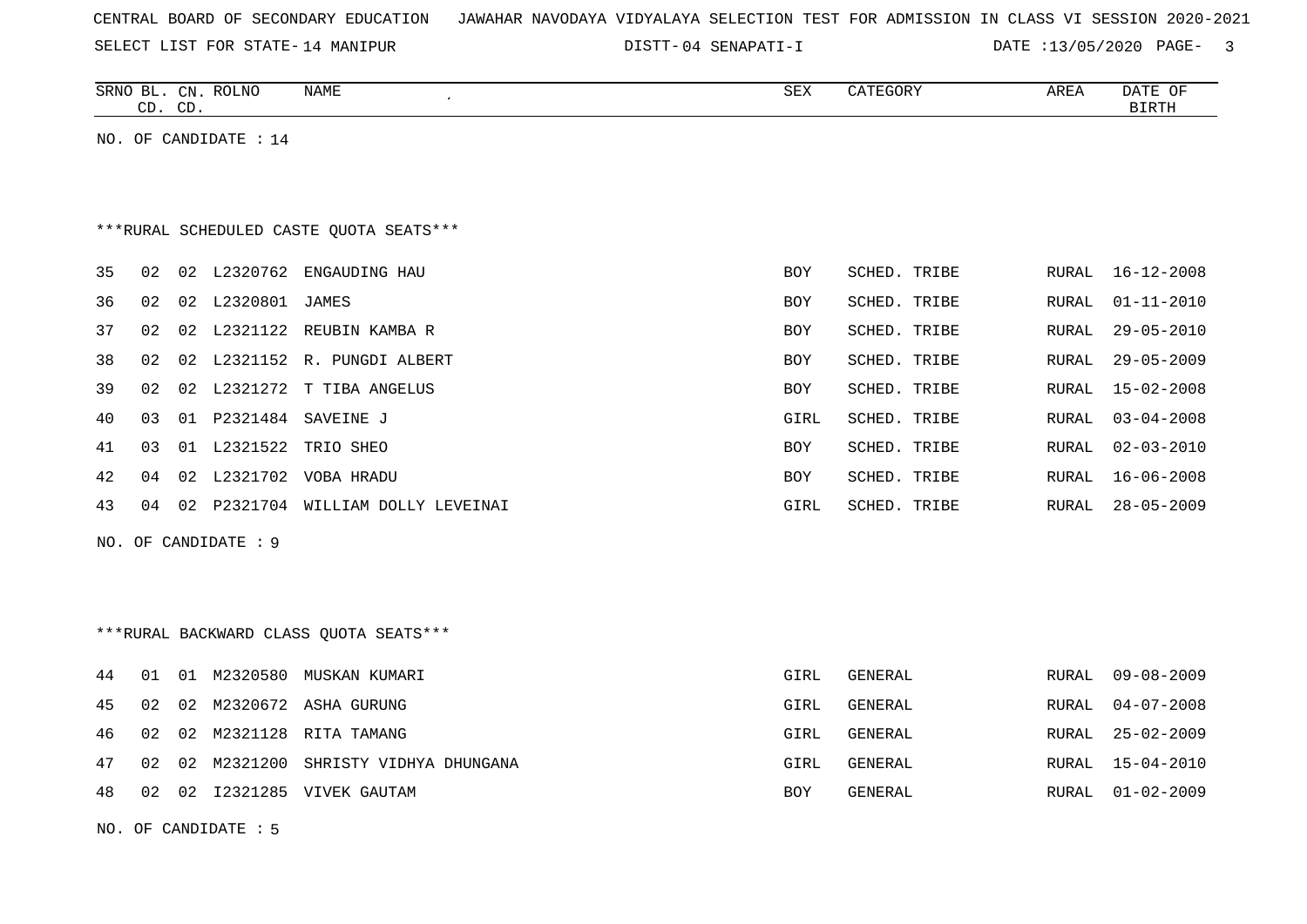|  |  | CENTRAL BOARD OF SECONDARY EDUCATION – JAWAHAR NAVODAYA VIDYALAYA SELECTION TEST FOR ADMISSION IN CLASS VI SESSION 2020-2021 |  |  |  |  |  |  |  |
|--|--|------------------------------------------------------------------------------------------------------------------------------|--|--|--|--|--|--|--|
|  |  |                                                                                                                              |  |  |  |  |  |  |  |

SELECT LIST FOR STATE- DISTT- 14 MANIPUR 04 SENAPATI-I DATE :13/05/2020 PAGE- 3

NO. OF CANDIDATE : 5

|    |    | CD. CD. | SRNO BL. CN. ROLNO    | NAME                                    | ${\tt SEX}$ | CATEGORY     | AREA          | DATE OF<br><b>BIRTH</b> |
|----|----|---------|-----------------------|-----------------------------------------|-------------|--------------|---------------|-------------------------|
|    |    |         | NO. OF CANDIDATE : 14 |                                         |             |              |               |                         |
|    |    |         |                       |                                         |             |              |               |                         |
|    |    |         |                       |                                         |             |              |               |                         |
|    |    |         |                       | ***RURAL SCHEDULED CASTE QUOTA SEATS*** |             |              |               |                         |
| 35 | 02 |         |                       | 02 L2320762 ENGAUDING HAU               | BOY         | SCHED. TRIBE | RURAL         | 16-12-2008              |
| 36 | 02 |         | 02 L2320801 JAMES     |                                         | BOY         | SCHED. TRIBE | RURAL         | $01 - 11 - 2010$        |
| 37 | 02 |         |                       | 02 L2321122 REUBIN KAMBA R              | BOY         | SCHED. TRIBE | ${\tt RURAL}$ | $29 - 05 - 2010$        |
| 38 | 02 |         |                       | 02 L2321152 R. PUNGDI ALBERT            | BOY         | SCHED. TRIBE | RURAL         | $29 - 05 - 2009$        |
| 39 | 02 |         |                       | 02 L2321272 T TIBA ANGELUS              | BOY         | SCHED. TRIBE | RURAL         | $15 - 02 - 2008$        |
| 40 | 03 |         |                       | 01 P2321484 SAVEINE J                   | GIRL        | SCHED. TRIBE | RURAL         | $03 - 04 - 2008$        |
| 41 | 03 |         |                       | 01 L2321522 TRIO SHEO                   | <b>BOY</b>  | SCHED. TRIBE | RURAL         | $02 - 03 - 2010$        |
| 42 | 04 |         |                       | 02 L2321702 VOBA HRADU                  | BOY         | SCHED. TRIBE | RURAL         | $16 - 06 - 2008$        |
| 43 | 04 |         |                       | 02 P2321704 WILLIAM DOLLY LEVEINAI      | GIRL        | SCHED. TRIBE | RURAL         | $28 - 05 - 2009$        |
|    |    |         | NO. OF CANDIDATE : 9  |                                         |             |              |               |                         |
|    |    |         |                       |                                         |             |              |               |                         |
|    |    |         |                       |                                         |             |              |               |                         |
|    |    |         |                       | *** RURAL BACKWARD CLASS QUOTA SEATS*** |             |              |               |                         |
| 44 | 01 |         |                       | 01 M2320580 MUSKAN KUMARI               | GIRL        | GENERAL      | RURAL         | $09 - 08 - 2009$        |
| 45 | 02 |         |                       | 02 M2320672 ASHA GURUNG                 | GIRL        | GENERAL      | RURAL         | $04 - 07 - 2008$        |
| 46 | 02 |         |                       | 02 M2321128 RITA TAMANG                 | GIRL        | GENERAL      | RURAL         | $25 - 02 - 2009$        |
| 47 | 02 |         |                       | 02 M2321200 SHRISTY VIDHYA DHUNGANA     | GIRL        | GENERAL      | RURAL         | $15 - 04 - 2010$        |
| 48 | 02 |         |                       | 02 I2321285 VIVEK GAUTAM                | BOY         | GENERAL      | RURAL         | $01 - 02 - 2009$        |
|    |    |         |                       |                                         |             |              |               |                         |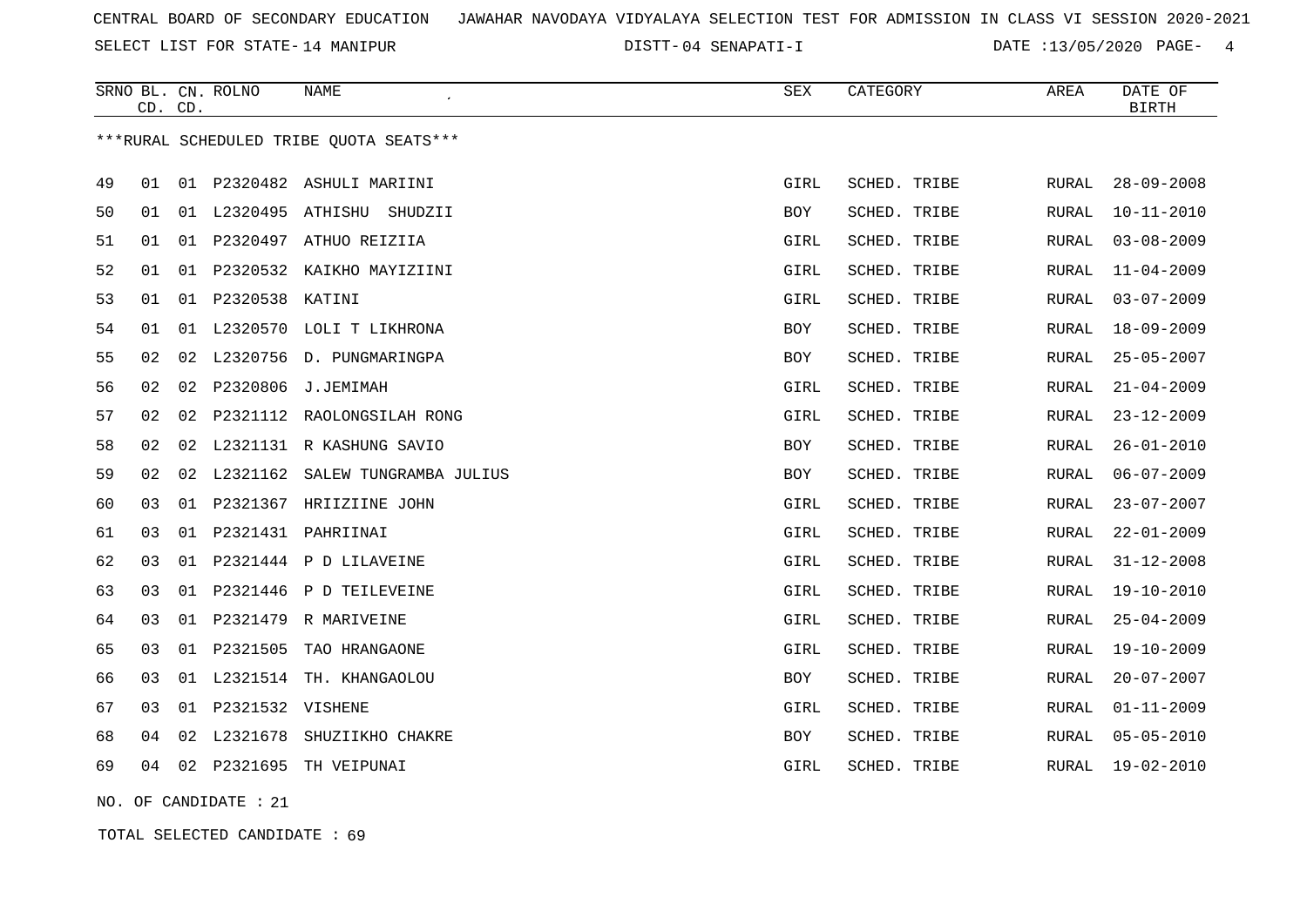SELECT LIST FOR STATE- DISTT- 14 MANIPUR

04 SENAPATI-I DATE :13/05/2020 PAGE- 4

| ***RURAL SCHEDULED TRIBE QUOTA SEATS***<br>P2320482 ASHULI MARIINI<br>49<br>01<br>01<br>GIRL<br>01 L2320495 ATHISHU SHUDZII<br>50<br><b>BOY</b><br>01<br>51<br>01 P2320497 ATHUO REIZIIA<br>01<br>GIRL<br>52<br>P2320532 KAIKHO MAYIZIINI<br>01<br>GIRL<br>01<br>53<br>01 P2320538 KATINI<br>01<br>GIRL | CATEGORY<br>AREA             | DATE OF<br><b>BIRTH</b> |
|---------------------------------------------------------------------------------------------------------------------------------------------------------------------------------------------------------------------------------------------------------------------------------------------------------|------------------------------|-------------------------|
|                                                                                                                                                                                                                                                                                                         |                              |                         |
|                                                                                                                                                                                                                                                                                                         | SCHED. TRIBE<br>RURAL        | $28 - 09 - 2008$        |
|                                                                                                                                                                                                                                                                                                         | SCHED. TRIBE<br>RURAL        | $10 - 11 - 2010$        |
|                                                                                                                                                                                                                                                                                                         | SCHED. TRIBE<br>RURAL        | $03 - 08 - 2009$        |
|                                                                                                                                                                                                                                                                                                         | SCHED. TRIBE<br><b>RURAL</b> | $11 - 04 - 2009$        |
|                                                                                                                                                                                                                                                                                                         | SCHED. TRIBE<br>RURAL        | $03 - 07 - 2009$        |
| 54<br>L2320570 LOLI T LIKHRONA<br>01<br>01<br>BOY                                                                                                                                                                                                                                                       | SCHED. TRIBE<br>RURAL        | $18 - 09 - 2009$        |
| 55<br>L2320756 D. PUNGMARINGPA<br>02<br>02<br>BOY                                                                                                                                                                                                                                                       | SCHED. TRIBE<br>RURAL        | $25 - 05 - 2007$        |
| 56<br>02<br>02<br>P2320806 J.JEMIMAH<br>GIRL                                                                                                                                                                                                                                                            | SCHED. TRIBE<br>RURAL        | $21 - 04 - 2009$        |
| 57<br>02<br>P2321112 RAOLONGSILAH RONG<br>02<br>GIRL                                                                                                                                                                                                                                                    | SCHED. TRIBE<br>RURAL        | $23 - 12 - 2009$        |
| 58<br>L2321131 R KASHUNG SAVIO<br>02<br>02<br><b>BOY</b>                                                                                                                                                                                                                                                | SCHED. TRIBE<br>RURAL        | $26 - 01 - 2010$        |
| 59<br>02<br>L2321162<br>SALEW TUNGRAMBA JULIUS<br>02<br><b>BOY</b>                                                                                                                                                                                                                                      | SCHED. TRIBE<br>RURAL        | $06 - 07 - 2009$        |
| 60<br>P2321367 HRIIZIINE JOHN<br>03<br>01<br>GIRL                                                                                                                                                                                                                                                       | SCHED. TRIBE<br>RURAL        | $23 - 07 - 2007$        |
| 61<br>03<br>P2321431 PAHRIINAI<br>01<br>GIRL                                                                                                                                                                                                                                                            | SCHED. TRIBE<br>RURAL        | $22 - 01 - 2009$        |
| 62<br>01 P2321444 P D LILAVEINE<br>03<br>GIRL                                                                                                                                                                                                                                                           | SCHED. TRIBE<br>RURAL        | $31 - 12 - 2008$        |
| P2321446 P D TEILEVEINE<br>63<br>03<br>01<br>GIRL                                                                                                                                                                                                                                                       | SCHED. TRIBE<br><b>RURAL</b> | $19 - 10 - 2010$        |
| 64<br>03<br>P2321479 R MARIVEINE<br>01<br>GIRL                                                                                                                                                                                                                                                          | SCHED. TRIBE<br>RURAL        | $25 - 04 - 2009$        |
| 65<br>P2321505<br>03<br>01<br>TAO HRANGAONE<br>GIRL                                                                                                                                                                                                                                                     | SCHED. TRIBE<br>RURAL        | $19 - 10 - 2009$        |
| 66<br>03<br>01 L2321514 TH. KHANGAOLOU<br>BOY                                                                                                                                                                                                                                                           | SCHED. TRIBE<br>RURAL        | $20 - 07 - 2007$        |
| P2321532 VISHENE<br>67<br>03<br>GIRL<br>01                                                                                                                                                                                                                                                              | SCHED. TRIBE<br>RURAL        | $01 - 11 - 2009$        |
| 68<br>L2321678 SHUZIIKHO CHAKRE<br>04<br>02<br>BOY                                                                                                                                                                                                                                                      | SCHED. TRIBE<br>RURAL        | $05 - 05 - 2010$        |
| 69<br>04<br>02 P2321695 TH VEIPUNAI<br>GIRL                                                                                                                                                                                                                                                             | SCHED. TRIBE<br>RURAL        | 19-02-2010              |

NO. OF CANDIDATE : 21

TOTAL SELECTED CANDIDATE : 69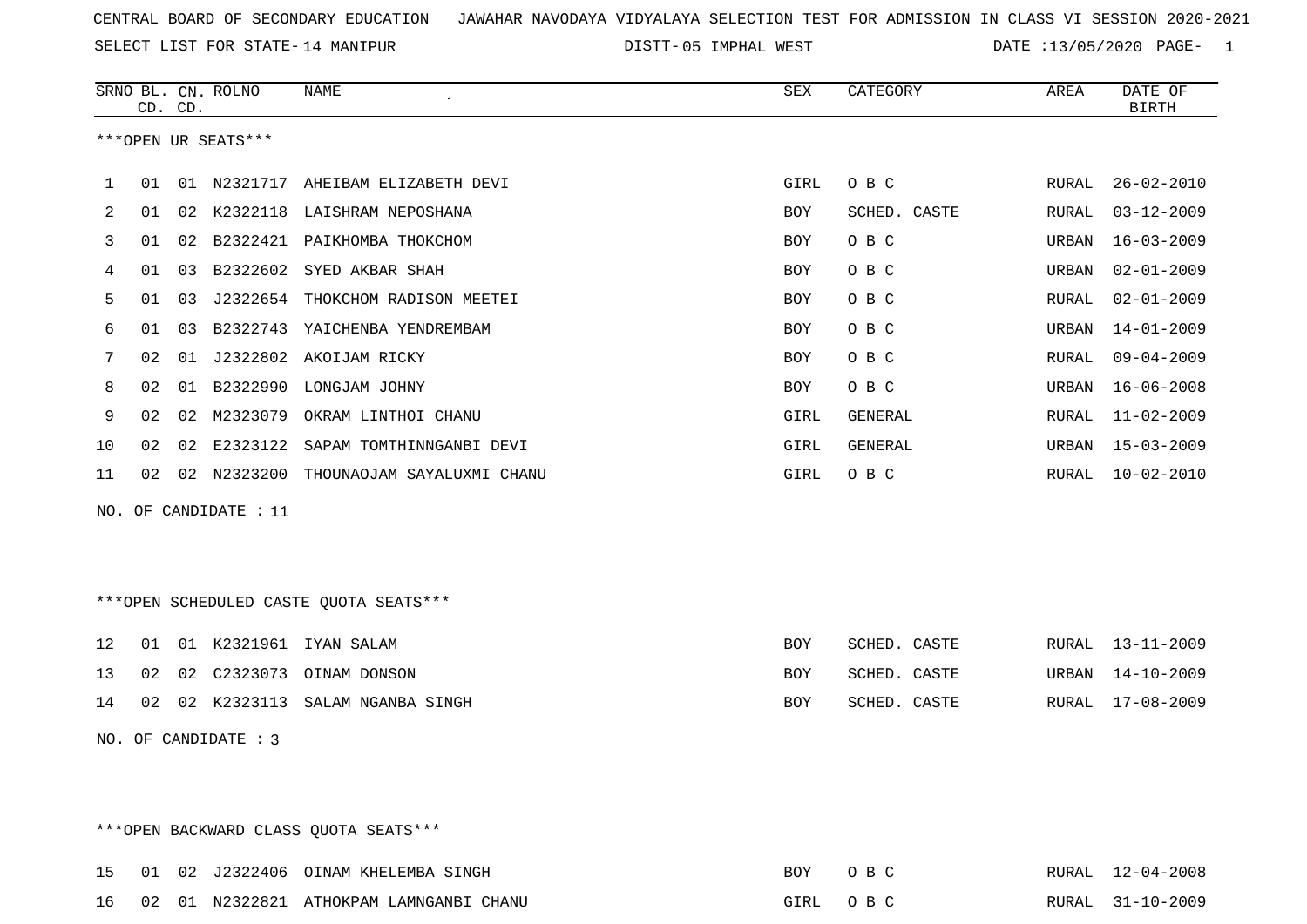SELECT LIST FOR STATE- DISTT- 14 MANIPUR

05 IMPHAL WEST DATE :13/05/2020 PAGE- 1

|     |    | CD. CD. | SRNO BL. CN. ROLNO     | NAME                                   | <b>SEX</b> | CATEGORY       | AREA  | DATE OF<br><b>BIRTH</b> |
|-----|----|---------|------------------------|----------------------------------------|------------|----------------|-------|-------------------------|
|     |    |         | ***OPEN UR SEATS***    |                                        |            |                |       |                         |
| 1   | 01 |         |                        | 01 N2321717 AHEIBAM ELIZABETH DEVI     | GIRL       | O B C          | RURAL | $26 - 02 - 2010$        |
| 2   | 01 |         |                        | 02 K2322118 LAISHRAM NEPOSHANA         | <b>BOY</b> | SCHED. CASTE   | RURAL | $03 - 12 - 2009$        |
| 3   | 01 | 02      |                        | B2322421 PAIKHOMBA THOKCHOM            | <b>BOY</b> | O B C          | URBAN | $16 - 03 - 2009$        |
| 4   | 01 | 03      | B2322602               | SYED AKBAR SHAH                        | BOY        | O B C          | URBAN | $02 - 01 - 2009$        |
| 5   | 01 | 03      |                        | J2322654 THOKCHOM RADISON MEETEI       | BOY        | O B C          | RURAL | $02 - 01 - 2009$        |
| 6   | 01 | 03      |                        | B2322743 YAICHENBA YENDREMBAM          | BOY        | O B C          | URBAN | $14 - 01 - 2009$        |
| 7   | 02 | 01      |                        | J2322802 AKOIJAM RICKY                 | <b>BOY</b> | O B C          | RURAL | $09 - 04 - 2009$        |
| 8   | 02 | 01      |                        | B2322990 LONGJAM JOHNY                 | BOY        | O B C          | URBAN | $16 - 06 - 2008$        |
| 9   | 02 | 02      |                        | M2323079 OKRAM LINTHOI CHANU           | GIRL       | <b>GENERAL</b> | RURAL | $11 - 02 - 2009$        |
| 10  | 02 | 02      |                        | E2323122 SAPAM TOMTHINNGANBI DEVI      | GIRL       | <b>GENERAL</b> | URBAN | $15 - 03 - 2009$        |
| 11  | 02 |         |                        | 02 N2323200 THOUNAOJAM SAYALUXMI CHANU | GIRL       | O B C          | RURAL | $10 - 02 - 2010$        |
| NO. |    |         | OF CANDIDATE : 11      |                                        |            |                |       |                         |
|     |    |         |                        |                                        |            |                |       |                         |
|     |    |         |                        |                                        |            |                |       |                         |
|     |    |         |                        | ***OPEN SCHEDULED CASTE QUOTA SEATS*** |            |                |       |                         |
| 12  | 01 |         |                        | 01 K2321961 IYAN SALAM                 | BOY        | SCHED. CASTE   | RURAL | $13 - 11 - 2009$        |
| 13  | 02 | 02      | C2323073               | OINAM DONSON                           | BOY        | SCHED. CASTE   | URBAN | $14 - 10 - 2009$        |
| 14  | 02 |         |                        | 02 K2323113 SALAM NGANBA SINGH         | <b>BOY</b> | SCHED. CASTE   | RURAL | $17 - 08 - 2009$        |
|     |    |         | NO. OF CANDIDATE : $3$ |                                        |            |                |       |                         |
|     |    |         |                        |                                        |            |                |       |                         |
|     |    |         |                        |                                        |            |                |       |                         |

\*\*\*OPEN BACKWARD CLASS QUOTA SEATS\*\*\*

|  |  | 15 01 02 J2322406 OINAM KHELEMBA SINGH     | BOY OBC  | RURAL 12-04-2008 |
|--|--|--------------------------------------------|----------|------------------|
|  |  | 16 02 01 N2322821 ATHOKPAM LAMNGANBI CHANU | GIRL OBC | RURAL 31-10-2009 |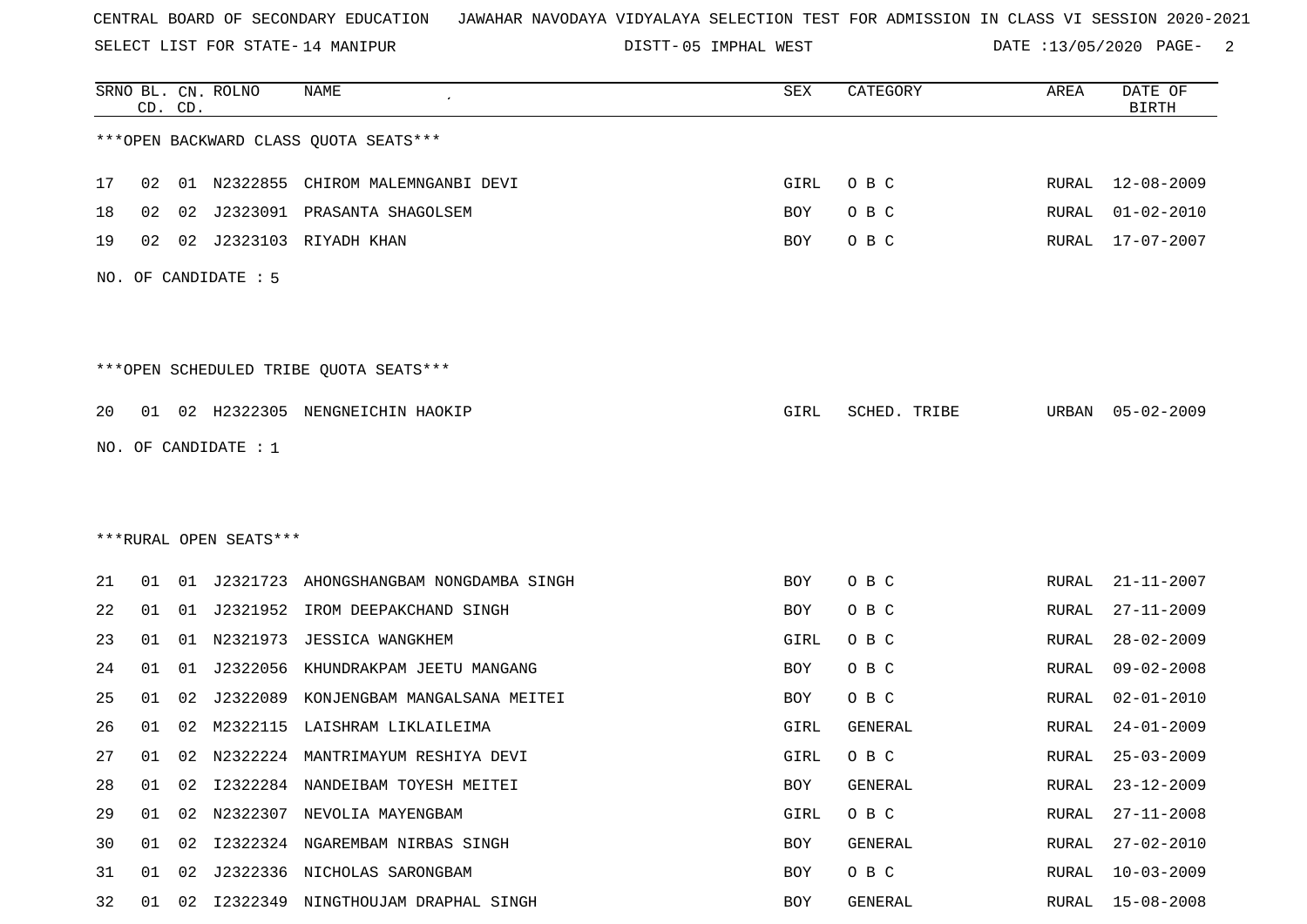SELECT LIST FOR STATE- DISTT- 14 MANIPUR

05 IMPHAL WEST DATE :13/05/2020 PAGE- 2

|    | CD. CD. |    | SRNO BL. CN. ROLNO     | <b>NAME</b>                             | SEX  | CATEGORY       | AREA  | DATE OF<br><b>BIRTH</b> |
|----|---------|----|------------------------|-----------------------------------------|------|----------------|-------|-------------------------|
|    |         |    |                        | *** OPEN BACKWARD CLASS QUOTA SEATS***  |      |                |       |                         |
| 17 | 02      |    |                        | 01 N2322855 CHIROM MALEMNGANBI DEVI     | GIRL | O B C          | RURAL | 12-08-2009              |
| 18 | 02      | 02 | J2323091               | PRASANTA SHAGOLSEM                      | BOY  | O B C          | RURAL | $01 - 02 - 2010$        |
| 19 | 02      | 02 |                        | J2323103 RIYADH KHAN                    | BOY  | O B C          | RURAL | $17 - 07 - 2007$        |
|    |         |    | NO. OF CANDIDATE : 5   |                                         |      |                |       |                         |
|    |         |    |                        | *** OPEN SCHEDULED TRIBE QUOTA SEATS*** |      |                |       |                         |
| 20 | 01      |    |                        | 02 H2322305 NENGNEICHIN HAOKIP          | GIRL | SCHED. TRIBE   | URBAN | $05 - 02 - 2009$        |
|    |         |    | NO. OF CANDIDATE : $1$ |                                         |      |                |       |                         |
|    |         |    |                        |                                         |      |                |       |                         |
|    |         |    |                        |                                         |      |                |       |                         |
|    |         |    | ***RURAL OPEN SEATS*** |                                         |      |                |       |                         |
| 21 | 01      |    | 01 J2321723            | AHONGSHANGBAM NONGDAMBA SINGH           | BOY  | O B C          | RURAL | $21 - 11 - 2007$        |
| 22 | 01      |    |                        | 01 J2321952 IROM DEEPAKCHAND SINGH      | BOY  | O B C          | RURAL | $27 - 11 - 2009$        |
| 23 | 01      | 01 | N2321973               | JESSICA WANGKHEM                        | GIRL | O B C          | RURAL | $28 - 02 - 2009$        |
| 24 | 01      | 01 | J2322056               | KHUNDRAKPAM JEETU MANGANG               | BOY  | O B C          | RURAL | $09 - 02 - 2008$        |
| 25 | 01      | 02 | J2322089               | KONJENGBAM MANGALSANA MEITEI            | BOY  | O B C          | RURAL | $02 - 01 - 2010$        |
| 26 | 01      | 02 | M2322115               | LAISHRAM LIKLAILEIMA                    | GIRL | <b>GENERAL</b> | RURAL | $24 - 01 - 2009$        |
| 27 | 01      |    |                        | 02 N2322224 MANTRIMAYUM RESHIYA DEVI    | GIRL | O B C          | RURAL | $25 - 03 - 2009$        |
| 28 | 01      | 02 |                        | I2322284 NANDEIBAM TOYESH MEITEI        | BOY  | GENERAL        | RURAL | $23 - 12 - 2009$        |
| 29 | 01      |    |                        | 02 N2322307 NEVOLIA MAYENGBAM           | GIRL | O B C          | RURAL | $27 - 11 - 2008$        |
| 30 | 01      |    |                        | 02 I2322324 NGAREMBAM NIRBAS SINGH      | BOY  | GENERAL        | RURAL | $27 - 02 - 2010$        |
| 31 | 01      | 02 |                        | J2322336 NICHOLAS SARONGBAM             | BOY  | O B C          | RURAL | $10 - 03 - 2009$        |
| 32 | 01      |    |                        | 02 I2322349 NINGTHOUJAM DRAPHAL SINGH   | BOY  | GENERAL        |       | RURAL 15-08-2008        |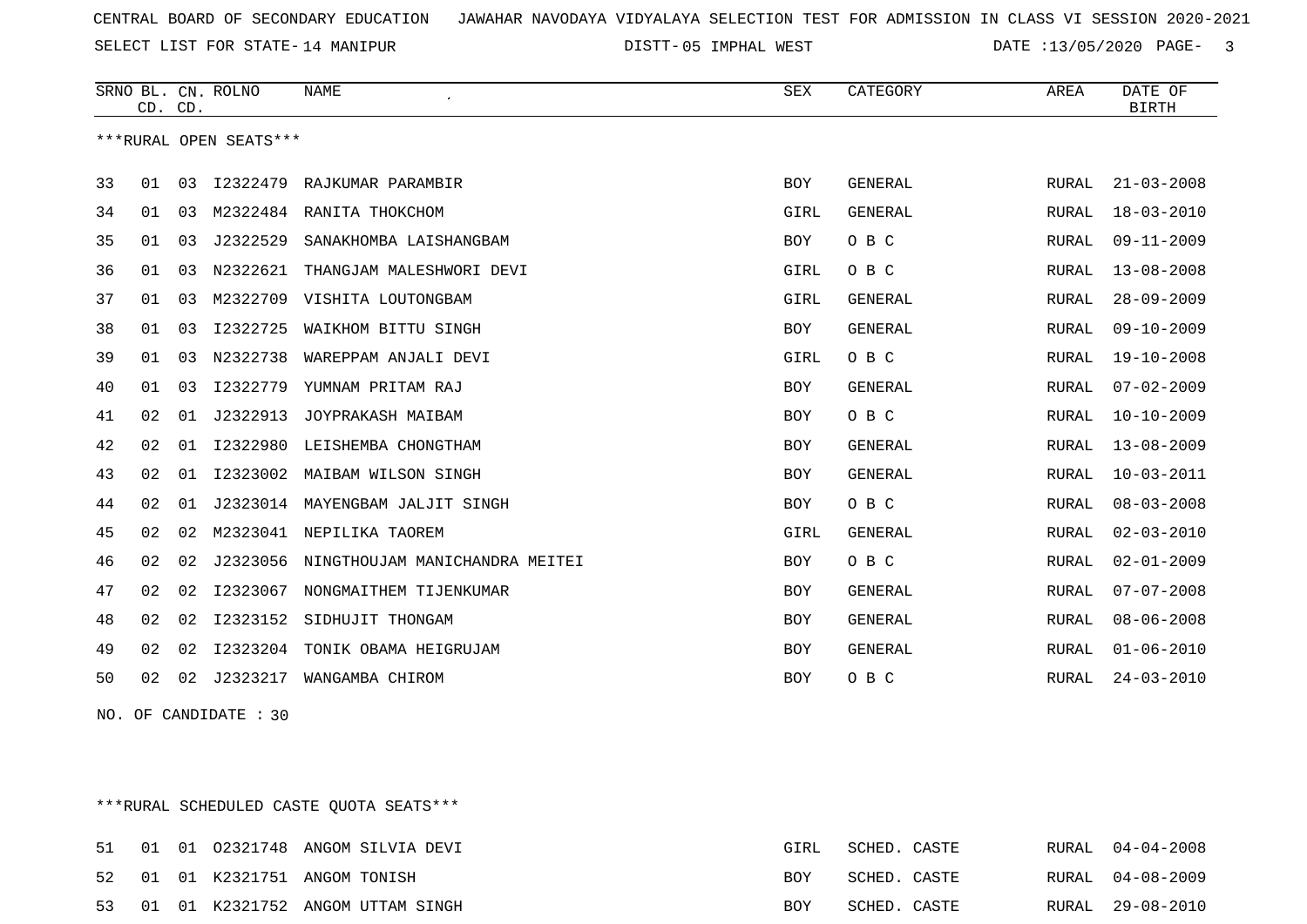SELECT LIST FOR STATE- DISTT- 14 MANIPUR

05 IMPHAL WEST DATE :13/05/2020 PAGE- 3

|    | CD. CD. |    | SRNO BL. CN. ROLNO     | <b>NAME</b>                    | ${\tt SEX}$ | CATEGORY       | AREA         | DATE OF<br><b>BIRTH</b> |
|----|---------|----|------------------------|--------------------------------|-------------|----------------|--------------|-------------------------|
|    |         |    | ***RURAL OPEN SEATS*** |                                |             |                |              |                         |
| 33 | 01      | 03 | I2322479               | RAJKUMAR PARAMBIR              | <b>BOY</b>  | <b>GENERAL</b> | RURAL        | $21 - 03 - 2008$        |
| 34 | 01      | 03 | M2322484               | RANITA THOKCHOM                | GIRL        | <b>GENERAL</b> | RURAL        | $18 - 03 - 2010$        |
| 35 | 01      | 03 | J2322529               | SANAKHOMBA LAISHANGBAM         | BOY         | O B C          | RURAL        | $09 - 11 - 2009$        |
| 36 | 01      | 03 | N2322621               | THANGJAM MALESHWORI DEVI       | GIRL        | O B C          | RURAL        | $13 - 08 - 2008$        |
| 37 | 01      | 03 | M2322709               | VISHITA LOUTONGBAM             | GIRL        | <b>GENERAL</b> | <b>RURAL</b> | $28 - 09 - 2009$        |
| 38 | 01      | 03 | I2322725               | WAIKHOM BITTU SINGH            | BOY         | <b>GENERAL</b> | RURAL        | $09 - 10 - 2009$        |
| 39 | 01      | 03 | N2322738               | WAREPPAM ANJALI DEVI           | GIRL        | O B C          | RURAL        | $19 - 10 - 2008$        |
| 40 | 01      | 03 | I2322779               | YUMNAM PRITAM RAJ              | BOY         | <b>GENERAL</b> | RURAL        | $07 - 02 - 2009$        |
| 41 | 02      | 01 | J2322913               | JOYPRAKASH MAIBAM              | BOY         | O B C          | <b>RURAL</b> | $10 - 10 - 2009$        |
| 42 | 02      | 01 | I2322980               | LEISHEMBA CHONGTHAM            | BOY         | <b>GENERAL</b> | RURAL        | $13 - 08 - 2009$        |
| 43 | 02      | 01 | I2323002               | MAIBAM WILSON SINGH            | BOY         | GENERAL        | <b>RURAL</b> | $10 - 03 - 2011$        |
| 44 | 02      | 01 | J2323014               | MAYENGBAM JALJIT SINGH         | <b>BOY</b>  | O B C          | RURAL        | $08 - 03 - 2008$        |
| 45 | 02      | 02 | M2323041               | NEPILIKA TAOREM                | GIRL        | GENERAL        | RURAL        | $02 - 03 - 2010$        |
| 46 | 02      | 02 | J2323056               | NINGTHOUJAM MANICHANDRA MEITEI | BOY         | O B C          | RURAL        | $02 - 01 - 2009$        |
| 47 | 02      | 02 | I2323067               | NONGMAITHEM TIJENKUMAR         | BOY         | <b>GENERAL</b> | <b>RURAL</b> | $07 - 07 - 2008$        |
| 48 | 02      | 02 | I2323152               | SIDHUJIT THONGAM               | <b>BOY</b>  | <b>GENERAL</b> | RURAL        | $08 - 06 - 2008$        |
| 49 | 02      | 02 | I2323204               | TONIK OBAMA HEIGRUJAM          | BOY         | GENERAL        | RURAL        | $01 - 06 - 2010$        |
| 50 | 02      | 02 | J2323217               | WANGAMBA CHIROM                | BOY         | O B C          | RURAL        | $24 - 03 - 2010$        |
|    |         |    |                        |                                |             |                |              |                         |

NO. OF CANDIDATE : 30

\*\*\*RURAL SCHEDULED CASTE QUOTA SEATS\*\*\*

| 51 |  | 01 01 02321748 ANGOM SILVIA DEVI    | GIRL       | SCHED. CASTE | RURAL 04-04-2008 |
|----|--|-------------------------------------|------------|--------------|------------------|
|    |  | 52 01 01 K2321751 ANGOM TONISH      | BOY        | SCHED. CASTE | RURAL 04-08-2009 |
|    |  | 53 01 01 K2321752 ANGOM UTTAM SINGH | <b>BOY</b> | SCHED. CASTE | RURAL 29-08-2010 |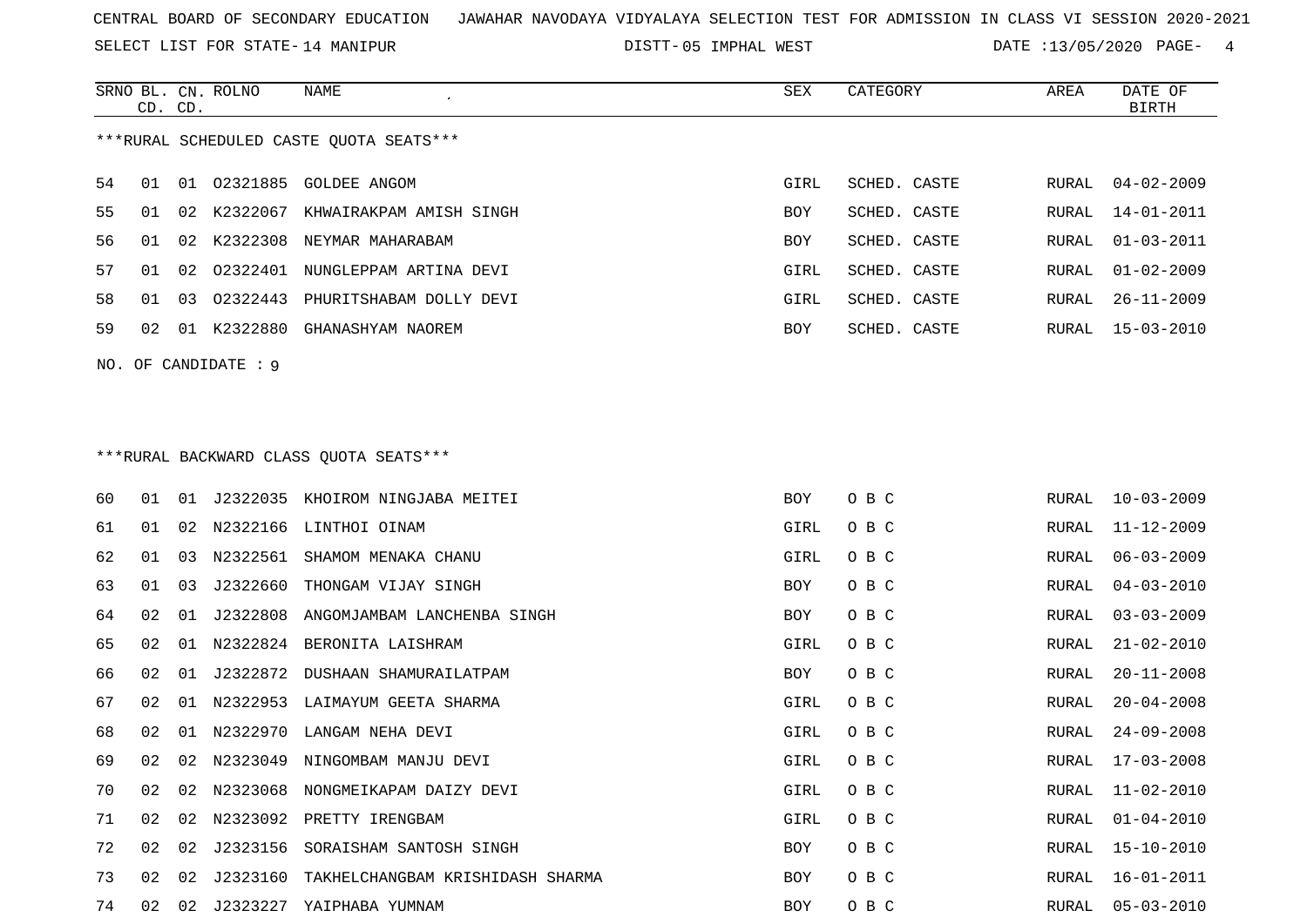SELECT LIST FOR STATE- DISTT- 14 MANIPUR

05 IMPHAL WEST DATE :13/05/2020 PAGE- 4

RURAL 11-02-2010

RURAL 15-10-2010

|    |    | CD. CD. | SRNO BL. CN. ROLNO   | NAME                                    | SEX        | CATEGORY     | AREA          | DATE OF<br><b>BIRTH</b> |
|----|----|---------|----------------------|-----------------------------------------|------------|--------------|---------------|-------------------------|
|    |    |         |                      | ***RURAL SCHEDULED CASTE QUOTA SEATS*** |            |              |               |                         |
| 54 | 01 |         |                      | 01 02321885 GOLDEE ANGOM                | GIRL       | SCHED. CASTE | RURAL         | $04 - 02 - 2009$        |
| 55 | 01 | 02      |                      | K2322067 KHWAIRAKPAM AMISH SINGH        | BOY        | SCHED. CASTE | RURAL         | $14 - 01 - 2011$        |
| 56 | 01 | 02      | K2322308             | NEYMAR MAHARABAM                        | <b>BOY</b> | SCHED. CASTE | ${\tt RURAL}$ | $01 - 03 - 2011$        |
| 57 | 01 | 02      | 02322401             | NUNGLEPPAM ARTINA DEVI                  | GIRL       | SCHED. CASTE | RURAL         | $01 - 02 - 2009$        |
| 58 | 01 | 03      | 02322443             | PHURITSHABAM DOLLY DEVI                 | GIRL       | SCHED. CASTE | <b>RURAL</b>  | $26 - 11 - 2009$        |
| 59 | 02 |         | 01 K2322880          | GHANASHYAM NAOREM                       | BOY        | SCHED. CASTE | RURAL         | $15 - 03 - 2010$        |
|    |    |         | NO. OF CANDIDATE : 9 |                                         |            |              |               |                         |
|    |    |         |                      |                                         |            |              |               |                         |
|    |    |         |                      |                                         |            |              |               |                         |
|    |    |         |                      | *** RURAL BACKWARD CLASS QUOTA SEATS*** |            |              |               |                         |
| 60 | 01 | 01      |                      | J2322035 KHOIROM NINGJABA MEITEI        | <b>BOY</b> | O B C        | RURAL         | $10 - 03 - 2009$        |
| 61 | 01 | 02      |                      | N2322166 LINTHOI OINAM                  | GIRL       | O B C        | RURAL         | $11 - 12 - 2009$        |
| 62 | 01 | 03      | N2322561             | SHAMOM MENAKA CHANU                     | GIRL       | O B C        | <b>RURAL</b>  | $06 - 03 - 2009$        |
| 63 | 01 | 03      | J2322660             | THONGAM VIJAY SINGH                     | <b>BOY</b> | O B C        | <b>RURAL</b>  | $04 - 03 - 2010$        |
| 64 | 02 | 01      | J2322808             | ANGOMJAMBAM LANCHENBA SINGH             | BOY        | O B C        | RURAL         | $03 - 03 - 2009$        |
| 65 | 02 | 01      | N2322824             | BERONITA LAISHRAM                       | GIRL       | O B C        | <b>RURAL</b>  | $21 - 02 - 2010$        |
| 66 | 02 | 01      | J2322872             | DUSHAAN SHAMURAILATPAM                  | <b>BOY</b> | O B C        | RURAL         | $20 - 11 - 2008$        |
| 67 | 02 | 01      | N2322953             | LAIMAYUM GEETA SHARMA                   | GIRL       | O B C        | RURAL         | $20 - 04 - 2008$        |
| 68 | 02 | 01      | N2322970             | LANGAM NEHA DEVI                        | GIRL       | O B C        | RURAL         | $24 - 09 - 2008$        |
| 69 | 02 | 02      | N2323049             | NINGOMBAM MANJU DEVI                    | GIRL       | O B C        | <b>RURAL</b>  | $17 - 03 - 2008$        |

69 02 02 N2323049 NINGOMBAM MANJU DEVI GIRL O B C RURAL 17-03-200870 02 02 N2323068 NONGMEIKAPAM DAIZY DEVI GALAL GURL O B C 71 02 02 N2323092 PRETTY IRENGBAM GIRL O B C RURAL 01-04-2010 72 02 02 J2323156 SORAISHAM SANTOSH SINGH BOY O B C 73 02 02 J2323160 TAKHELCHANGBAM KRISHIDASH SHARMA 1980 ENDY O B C RURAL 16-01-2011

74 02 02 J2323227 YAIPHABA YUMNAM BOY O B C RURAL 05-03-2010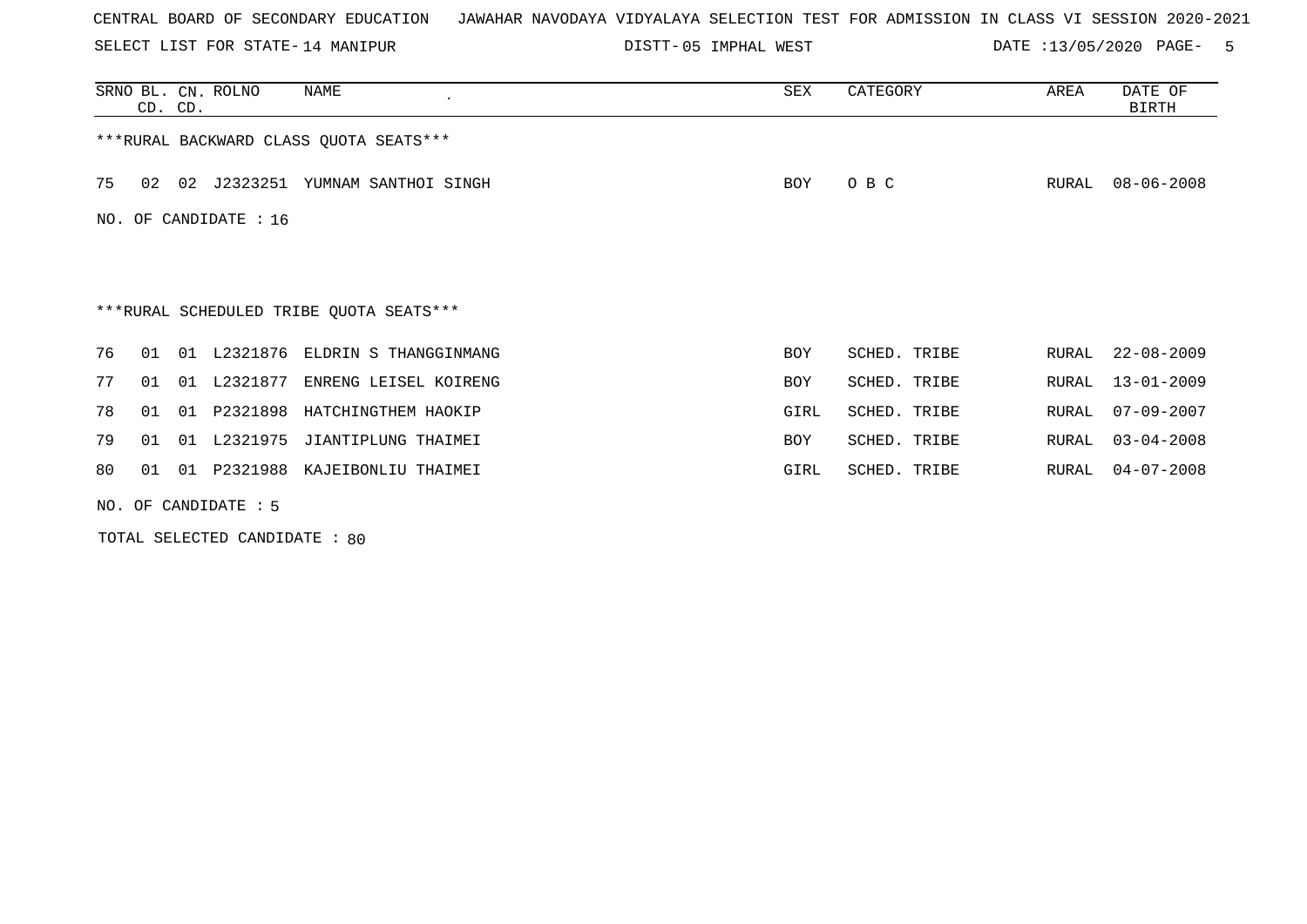SELECT LIST FOR STATE- DISTT- 14 MANIPUR

05 IMPHAL WEST DATE :13/05/2020 PAGE- 5

|    |    | CD. CD. | SRNO BL. CN. ROLNO    | NAME                                    | SEX        | CATEGORY     | AREA  | DATE OF<br><b>BIRTH</b> |
|----|----|---------|-----------------------|-----------------------------------------|------------|--------------|-------|-------------------------|
|    |    |         |                       | *** RURAL BACKWARD CLASS QUOTA SEATS*** |            |              |       |                         |
| 75 | 02 |         | 02 J2323251           | YUMNAM SANTHOI SINGH                    | BOY        | O B C        | RURAL | $08 - 06 - 2008$        |
|    |    |         | NO. OF CANDIDATE : 16 |                                         |            |              |       |                         |
|    |    |         |                       |                                         |            |              |       |                         |
|    |    |         |                       | ***RURAL SCHEDULED TRIBE QUOTA SEATS*** |            |              |       |                         |
| 76 | 01 |         |                       | 01 L2321876 ELDRIN S THANGGINMANG       | <b>BOY</b> | SCHED. TRIBE | RURAL | $22 - 08 - 2009$        |
| 77 | 01 | 01      | L2321877              | ENRENG LEISEL KOIRENG                   | BOY        | SCHED. TRIBE | RURAL | $13 - 01 - 2009$        |
| 78 | 01 | 01      |                       | P2321898 HATCHINGTHEM HAOKIP            | GIRL       | SCHED. TRIBE | RURAL | $07 - 09 - 2007$        |
| 79 | 01 | 01      | L2321975              | JIANTIPLUNG THAIMEI                     | <b>BOY</b> | SCHED. TRIBE | RURAL | $03 - 04 - 2008$        |
| 80 | 01 |         |                       | 01 P2321988 KAJEIBONLIU THAIMEI         | GIRL       | SCHED. TRIBE | RURAL | $04 - 07 - 2008$        |
|    |    |         | NO. OF CANDIDATE : 5  |                                         |            |              |       |                         |

TOTAL SELECTED CANDIDATE : 80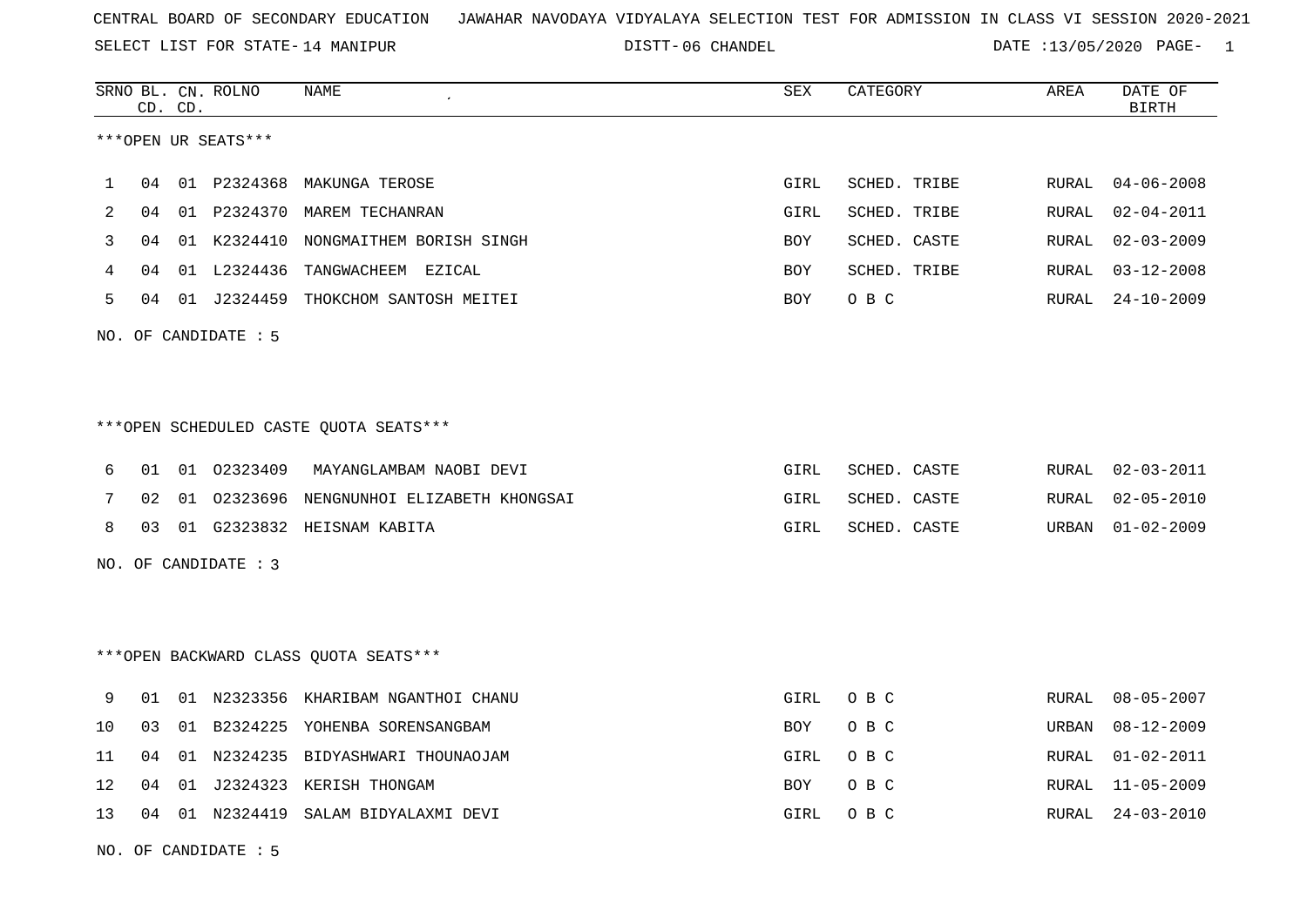SELECT LIST FOR STATE- DISTT- 14 MANIPUR

NO. OF CANDIDATE : 5

06 CHANDEL DATE :13/05/2020 PAGE- 1

|    |    | CD. CD. | SRNO BL. CN. ROLNO   | <b>NAME</b>                             | SEX        | CATEGORY     | AREA  | DATE OF<br><b>BIRTH</b> |
|----|----|---------|----------------------|-----------------------------------------|------------|--------------|-------|-------------------------|
|    |    |         | ***OPEN UR SEATS***  |                                         |            |              |       |                         |
| 1  | 04 |         | 01 P2324368          | MAKUNGA TEROSE                          | GIRL       | SCHED. TRIBE | RURAL | $04 - 06 - 2008$        |
| 2  | 04 |         | 01 P2324370          | MAREM TECHANRAN                         | GIRL       | SCHED. TRIBE | RURAL | $02 - 04 - 2011$        |
| 3  | 04 |         | 01 K2324410          | NONGMAITHEM BORISH SINGH                | BOY        | SCHED. CASTE | RURAL | $02 - 03 - 2009$        |
| 4  | 04 |         | 01 L2324436          | TANGWACHEEM EZICAL                      | <b>BOY</b> | SCHED. TRIBE | RURAL | $03 - 12 - 2008$        |
| 5  | 04 |         | 01 J2324459          | THOKCHOM SANTOSH MEITEI                 | BOY        | O B C        | RURAL | $24 - 10 - 2009$        |
|    |    |         | NO. OF CANDIDATE : 5 |                                         |            |              |       |                         |
|    |    |         |                      |                                         |            |              |       |                         |
|    |    |         |                      |                                         |            |              |       |                         |
|    |    |         |                      | ***OPEN SCHEDULED CASTE OUOTA SEATS***  |            |              |       |                         |
| 6  | 01 |         | 01 02323409          | MAYANGLAMBAM NAOBI DEVI                 | GIRL       | SCHED. CASTE | RURAL | $02 - 03 - 2011$        |
| 7  | 02 |         | 01 02323696          | NENGNUNHOI ELIZABETH KHONGSAI           | GIRL       | SCHED. CASTE | RURAL | $02 - 05 - 2010$        |
| 8  | 03 |         |                      | 01 G2323832 HEISNAM KABITA              | GIRL       | SCHED. CASTE | URBAN | $01 - 02 - 2009$        |
|    |    |         | NO. OF CANDIDATE : 3 |                                         |            |              |       |                         |
|    |    |         |                      |                                         |            |              |       |                         |
|    |    |         |                      |                                         |            |              |       |                         |
|    |    |         |                      | *** OPEN BACKWARD CLASS QUOTA SEATS *** |            |              |       |                         |
| 9  | 01 |         |                      | 01 N2323356 KHARIBAM NGANTHOI CHANU     | GIRL       | O B C        | RURAL | $08 - 05 - 2007$        |
| 10 | 03 |         | 01 B2324225          | YOHENBA SORENSANGBAM                    | BOY        | O B C        | URBAN | $08 - 12 - 2009$        |
| 11 | 04 |         |                      | 01 N2324235 BIDYASHWARI THOUNAOJAM      | GIRL       | O B C        | RURAL | $01 - 02 - 2011$        |
| 12 | 04 | 01      | J2324323             | KERISH THONGAM                          | BOY        | O B C        | RURAL | $11 - 05 - 2009$        |
| 13 | 04 |         |                      | 01 N2324419 SALAM BIDYALAXMI DEVI       | GIRL       | O B C        | RURAL | 24-03-2010              |
|    |    |         |                      |                                         |            |              |       |                         |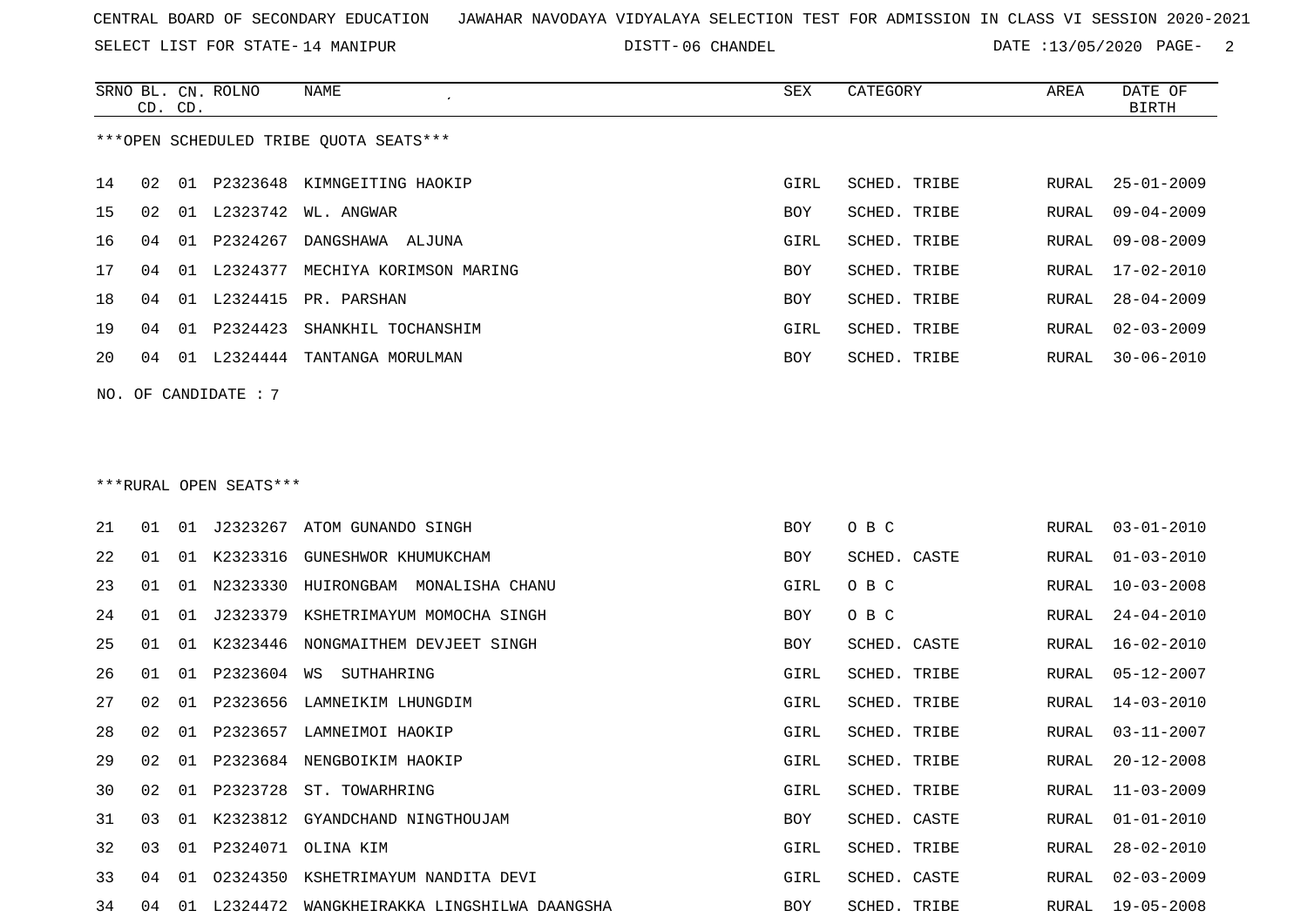SELECT LIST FOR STATE- DISTT- 14 MANIPUR

06 CHANDEL DATE :13/05/2020 PAGE- 2

|    |    | CD. CD. | SRNO BL. CN. ROLNO     | <b>NAME</b>                            | <b>SEX</b> | CATEGORY     | AREA  | DATE OF<br><b>BIRTH</b> |
|----|----|---------|------------------------|----------------------------------------|------------|--------------|-------|-------------------------|
|    |    |         |                        | ***OPEN SCHEDULED TRIBE OUOTA SEATS*** |            |              |       |                         |
| 14 | 02 |         |                        | 01 P2323648 KIMNGEITING HAOKIP         | GIRL       | SCHED. TRIBE | RURAL | $25 - 01 - 2009$        |
| 15 | 02 | 01      | L2323742               | WL. ANGWAR                             | BOY        | SCHED. TRIBE | RURAL | $09 - 04 - 2009$        |
| 16 | 04 | 01      | P2324267               | DANGSHAWA ALJUNA                       | GIRL       | SCHED. TRIBE | RURAL | $09 - 08 - 2009$        |
| 17 | 04 | 01      | L2324377               | MECHIYA KORIMSON MARING                | <b>BOY</b> | SCHED. TRIBE | RURAL | $17 - 02 - 2010$        |
| 18 | 04 |         | 01 L2324415            | PR. PARSHAN                            | BOY        | SCHED. TRIBE | RURAL | $28 - 04 - 2009$        |
| 19 | 04 |         | 01 P2324423            | SHANKHIL TOCHANSHIM                    | GIRL       | SCHED. TRIBE | RURAL | $02 - 03 - 2009$        |
| 20 | 04 | 01      | L2324444               | TANTANGA MORULMAN                      | BOY        | SCHED. TRIBE | RURAL | $30 - 06 - 2010$        |
|    |    |         | NO. OF CANDIDATE: 7    |                                        |            |              |       |                         |
|    |    |         |                        |                                        |            |              |       |                         |
|    |    |         | ***RURAL OPEN SEATS*** |                                        |            |              |       |                         |
| 21 | 01 | 01      | J2323267               | ATOM GUNANDO SINGH                     | BOY        | O B C        | RURAL | $03 - 01 - 2010$        |
| 22 | 01 | 01      | K2323316               | GUNESHWOR KHUMUKCHAM                   | BOY        | SCHED. CASTE | RURAL | $01 - 03 - 2010$        |

| 21 | 01 | 01  |          | J2323267 ATOM GUNANDO SINGH       | <b>BOY</b> | O B C        |       | RURAL 03-01-2010 |
|----|----|-----|----------|-----------------------------------|------------|--------------|-------|------------------|
| 22 | 01 | 01  | K2323316 | GUNESHWOR KHUMUKCHAM              | BOY        | SCHED. CASTE | RURAL | $01 - 03 - 2010$ |
| 23 | 01 | 01  | N2323330 | HUIRONGBAM<br>MONALISHA CHANU     | GIRL       | O B C        | RURAL | $10 - 03 - 2008$ |
| 24 | 01 | O 1 | 72323379 | KSHETRIMAYUM MOMOCHA SINGH        | BOY        | O B C        | RURAL | $24 - 04 - 2010$ |
| 25 | 01 | 01  | K2323446 | NONGMAITHEM DEVJEET SINGH         | <b>BOY</b> | SCHED. CASTE | RURAL | 16-02-2010       |
| 26 | 01 | 01  | P2323604 | WS<br>SUTHAHRING                  | GIRL       | SCHED. TRIBE | RURAL | $05 - 12 - 2007$ |
| 27 | 02 | 01  | P2323656 | LAMNEIKIM LHUNGDIM                | GIRL       | SCHED. TRIBE | RURAL | 14-03-2010       |
| 28 | 02 | 01  | P2323657 | LAMNEIMOI HAOKIP                  | GIRL       | SCHED. TRIBE | RURAL | $03 - 11 - 2007$ |
| 29 | 02 | 01  | P2323684 | NENGBOIKIM HAOKIP                 | GIRL       | SCHED. TRIBE | RURAL | $20 - 12 - 2008$ |
| 30 | 02 | 01  |          | P2323728 ST. TOWARHRING           | GIRL       | SCHED. TRIBE | RURAL | $11 - 03 - 2009$ |
| 31 | 03 | 01  | K2323812 | GYANDCHAND NINGTHOUJAM            | BOY        | SCHED. CASTE | RURAL | $01 - 01 - 2010$ |
| 32 | 03 | 01  | P2324071 | OLINA KIM                         | GIRL       | SCHED. TRIBE | RURAL | $28 - 02 - 2010$ |
| 33 | 04 | 01  | 02324350 | KSHETRIMAYUM NANDITA DEVI         | GIRL       | SCHED. CASTE | RURAL | $02 - 03 - 2009$ |
| 34 | 04 | 01  | L2324472 | WANGKHEIRAKKA LINGSHILWA DAANGSHA | <b>BOY</b> | SCHED. TRIBE | RURAL | 19-05-2008       |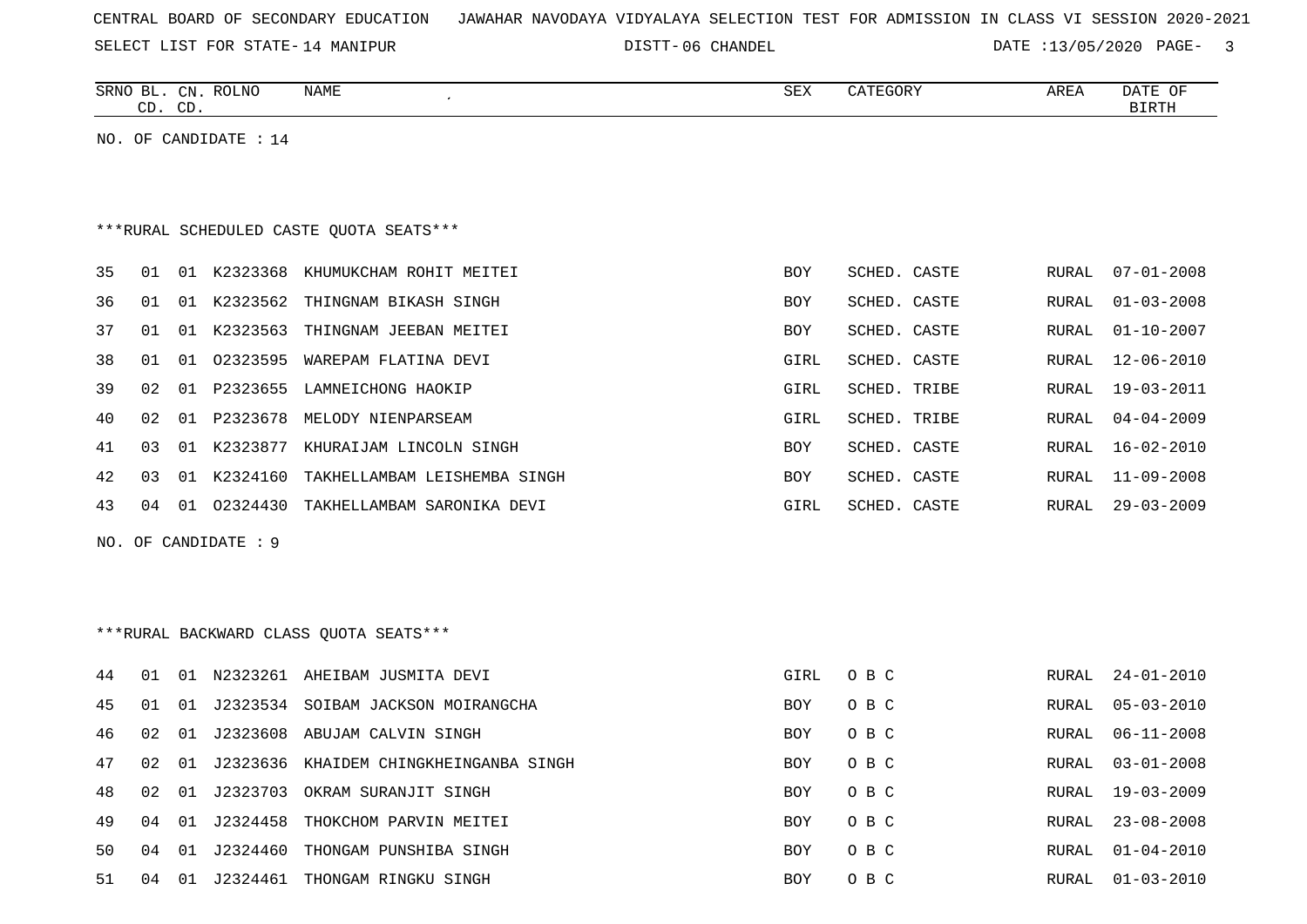SELECT LIST FOR STATE- DISTT- 14 MANIPUR

06 CHANDEL DATE :13/05/2020 PAGE- 3

|    |                 | CD. CD. | SRNO BL. CN. ROLNO    | NAME                                      | SEX        | CATEGORY     | AREA         | DATE OF<br>BIRTH |
|----|-----------------|---------|-----------------------|-------------------------------------------|------------|--------------|--------------|------------------|
|    |                 |         | NO. OF CANDIDATE : 14 |                                           |            |              |              |                  |
|    |                 |         |                       |                                           |            |              |              |                  |
|    |                 |         |                       |                                           |            |              |              |                  |
|    |                 |         |                       | ***RURAL SCHEDULED CASTE QUOTA SEATS***   |            |              |              |                  |
| 35 | 01              |         |                       | 01 K2323368 KHUMUKCHAM ROHIT MEITEI       | <b>BOY</b> | SCHED. CASTE | RURAL        | $07 - 01 - 2008$ |
| 36 | 01              |         |                       | 01 K2323562 THINGNAM BIKASH SINGH         | BOY        | SCHED. CASTE | RURAL        | $01 - 03 - 2008$ |
| 37 | 01              |         | 01 K2323563           | THINGNAM JEEBAN MEITEI                    | <b>BOY</b> | SCHED. CASTE | <b>RURAL</b> | $01 - 10 - 2007$ |
| 38 | 01              |         |                       | 01 02323595 WAREPAM FLATINA DEVI          | GIRL       | SCHED. CASTE | <b>RURAL</b> | $12 - 06 - 2010$ |
| 39 | 02              |         | 01 P2323655           | LAMNEICHONG HAOKIP                        | GIRL       | SCHED. TRIBE | RURAL        | 19-03-2011       |
| 40 | 02 <sub>o</sub> |         |                       | 01 P2323678 MELODY NIENPARSEAM            | GIRL       | SCHED. TRIBE | <b>RURAL</b> | $04 - 04 - 2009$ |
| 41 | 03              |         |                       | 01 K2323877 KHURAIJAM LINCOLN SINGH       | <b>BOY</b> | SCHED. CASTE | <b>RURAL</b> | $16 - 02 - 2010$ |
| 42 | 03              |         | 01 K2324160           | TAKHELLAMBAM LEISHEMBA SINGH              | BOY        | SCHED. CASTE | RURAL        | $11 - 09 - 2008$ |
| 43 |                 |         |                       | 04 01 02324430 TAKHELLAMBAM SARONIKA DEVI | GIRL       | SCHED. CASTE | RURAL        | $29 - 03 - 2009$ |
|    |                 |         | NO. OF CANDIDATE : 9  |                                           |            |              |              |                  |
|    |                 |         |                       |                                           |            |              |              |                  |
|    |                 |         |                       |                                           |            |              |              |                  |
|    |                 |         |                       | *** RURAL BACKWARD CLASS QUOTA SEATS***   |            |              |              |                  |
|    |                 |         |                       |                                           |            |              |              |                  |
| 44 | 01              |         |                       | 01 N2323261 AHEIBAM JUSMITA DEVI          | GIRL       | O B C        | RURAL        | $24 - 01 - 2010$ |
| 45 | 01              | 01      |                       | J2323534 SOIBAM JACKSON MOIRANGCHA        | <b>BOY</b> | O B C        | RURAL        | $05 - 03 - 2010$ |
| 46 | 02              |         |                       | 01 J2323608 ABUJAM CALVIN SINGH           | <b>BOY</b> | O B C        | RURAL        | $06 - 11 - 2008$ |
| 47 | 02              | 01      | J2323636              | KHAIDEM CHINGKHEINGANBA SINGH             | BOY        | O B C        | RURAL        | $03 - 01 - 2008$ |
| 48 | 02              | 01      | J2323703              | OKRAM SURANJIT SINGH                      | <b>BOY</b> | O B C        | RURAL        | $19 - 03 - 2009$ |
| 49 | 04              | 01      | J2324458              | THOKCHOM PARVIN MEITEI                    | <b>BOY</b> | O B C        | RURAL        | $23 - 08 - 2008$ |
| 50 | 04              | 01      | J2324460              | THONGAM PUNSHIBA SINGH                    | <b>BOY</b> | O B C        | RURAL        | $01 - 04 - 2010$ |

51 04 01 J2324461 THONGAM RINGKU SINGH BOY O B C RURAL 01-03-2010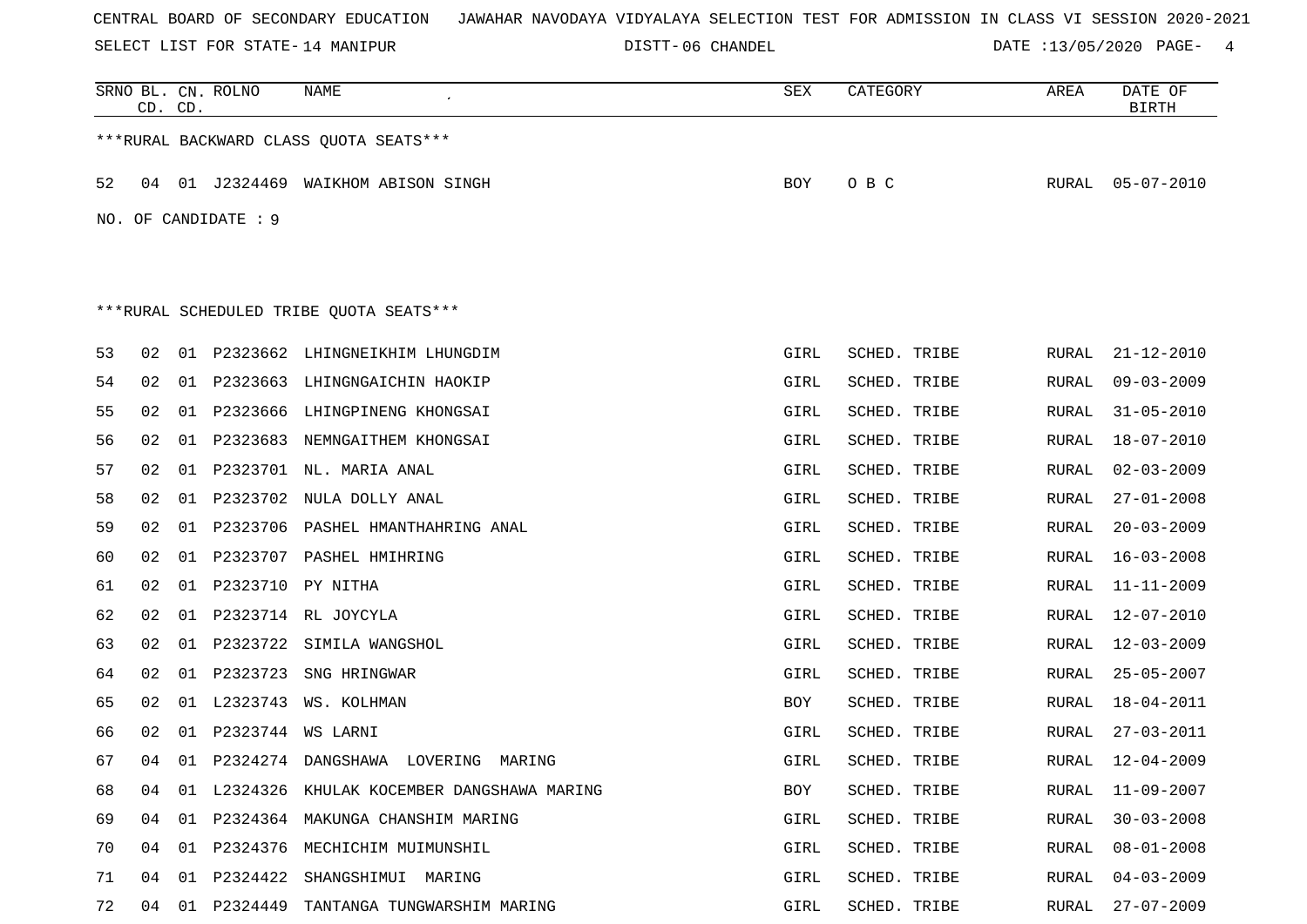SELECT LIST FOR STATE- DISTT- 14 MANIPUR

DISTT-06 CHANDEL 2008 2020 DATE :13/05/2020 PAGE- 4

|    |    | CD. CD. | SRNO BL. CN. ROLNO   | NAME<br>$\bullet$                         | SEX        | CATEGORY     | ${\tt AREA}$  | DATE OF<br><b>BIRTH</b> |
|----|----|---------|----------------------|-------------------------------------------|------------|--------------|---------------|-------------------------|
|    |    |         |                      | *** RURAL BACKWARD CLASS QUOTA SEATS***   |            |              |               |                         |
| 52 | 04 | 01      | J2324469             | WAIKHOM ABISON SINGH                      | <b>BOY</b> | O B C        | RURAL         | $05 - 07 - 2010$        |
|    |    |         | NO. OF CANDIDATE : 9 |                                           |            |              |               |                         |
|    |    |         |                      | ***RURAL SCHEDULED TRIBE QUOTA SEATS***   |            |              |               |                         |
| 53 | 02 | 01      |                      | P2323662 LHINGNEIKHIM LHUNGDIM            | GIRL       | SCHED. TRIBE | RURAL         | $21 - 12 - 2010$        |
| 54 | 02 | 01      | P2323663             | LHINGNGAICHIN HAOKIP                      | GIRL       | SCHED. TRIBE | RURAL         | $09 - 03 - 2009$        |
| 55 | 02 | 01      |                      | P2323666 LHINGPINENG KHONGSAI             | GIRL       | SCHED. TRIBE | RURAL         | $31 - 05 - 2010$        |
| 56 | 02 | 01      | P2323683             | NEMNGAITHEM KHONGSAI                      | GIRL       | SCHED. TRIBE | RURAL         | $18 - 07 - 2010$        |
| 57 | 02 | 01      |                      | P2323701 NL. MARIA ANAL                   | GIRL       | SCHED. TRIBE | ${\tt RURAL}$ | $02 - 03 - 2009$        |
| 58 | 02 | 01      | P2323702             | NULA DOLLY ANAL                           | GIRL       | SCHED. TRIBE | RURAL         | $27 - 01 - 2008$        |
| 59 | 02 | 01      | P2323706             | PASHEL HMANTHAHRING ANAL                  | GIRL       | SCHED. TRIBE | RURAL         | $20 - 03 - 2009$        |
| 60 | 02 | 01      | P2323707             | PASHEL HMIHRING                           | GIRL       | SCHED. TRIBE | RURAL         | $16 - 03 - 2008$        |
| 61 | 02 | 01      | P2323710             | PY NITHA                                  | GIRL       | SCHED. TRIBE | RURAL         | $11 - 11 - 2009$        |
| 62 | 02 | 01      |                      | P2323714 RL JOYCYLA                       | GIRL       | SCHED. TRIBE | RURAL         | 12-07-2010              |
| 63 | 02 | 01      | P2323722             | SIMILA WANGSHOL                           | GIRL       | SCHED. TRIBE | RURAL         | $12 - 03 - 2009$        |
| 64 | 02 | 01      | P2323723             | SNG HRINGWAR                              | GIRL       | SCHED. TRIBE | RURAL         | $25 - 05 - 2007$        |
| 65 | 02 | 01      | L2323743             | WS. KOLHMAN                               | BOY        | SCHED. TRIBE | RURAL         | $18 - 04 - 2011$        |
| 66 | 02 | 01      | P2323744             | WS LARNI                                  | GIRL       | SCHED. TRIBE | RURAL         | $27 - 03 - 2011$        |
| 67 | 04 | 01      | P2324274             | DANGSHAWA<br>LOVERING<br>MARING           | GIRL       | SCHED. TRIBE | RURAL         | $12 - 04 - 2009$        |
| 68 | 04 | 01      |                      | L2324326 KHULAK KOCEMBER DANGSHAWA MARING | BOY        | SCHED. TRIBE | RURAL         | $11 - 09 - 2007$        |
| 69 | 04 | 01      |                      | P2324364 MAKUNGA CHANSHIM MARING          | GIRL       | SCHED. TRIBE | RURAL         | $30 - 03 - 2008$        |
| 70 | 04 |         |                      | 01 P2324376 MECHICHIM MUIMUNSHIL          | GIRL       | SCHED. TRIBE | RURAL         | $08 - 01 - 2008$        |
| 71 | 04 |         | 01 P2324422          | SHANGSHIMUI MARING                        | GIRL       | SCHED. TRIBE | RURAL         | $04 - 03 - 2009$        |
| 72 | 04 |         |                      | 01 P2324449 TANTANGA TUNGWARSHIM MARING   | GIRL       | SCHED. TRIBE | RURAL         | $27 - 07 - 2009$        |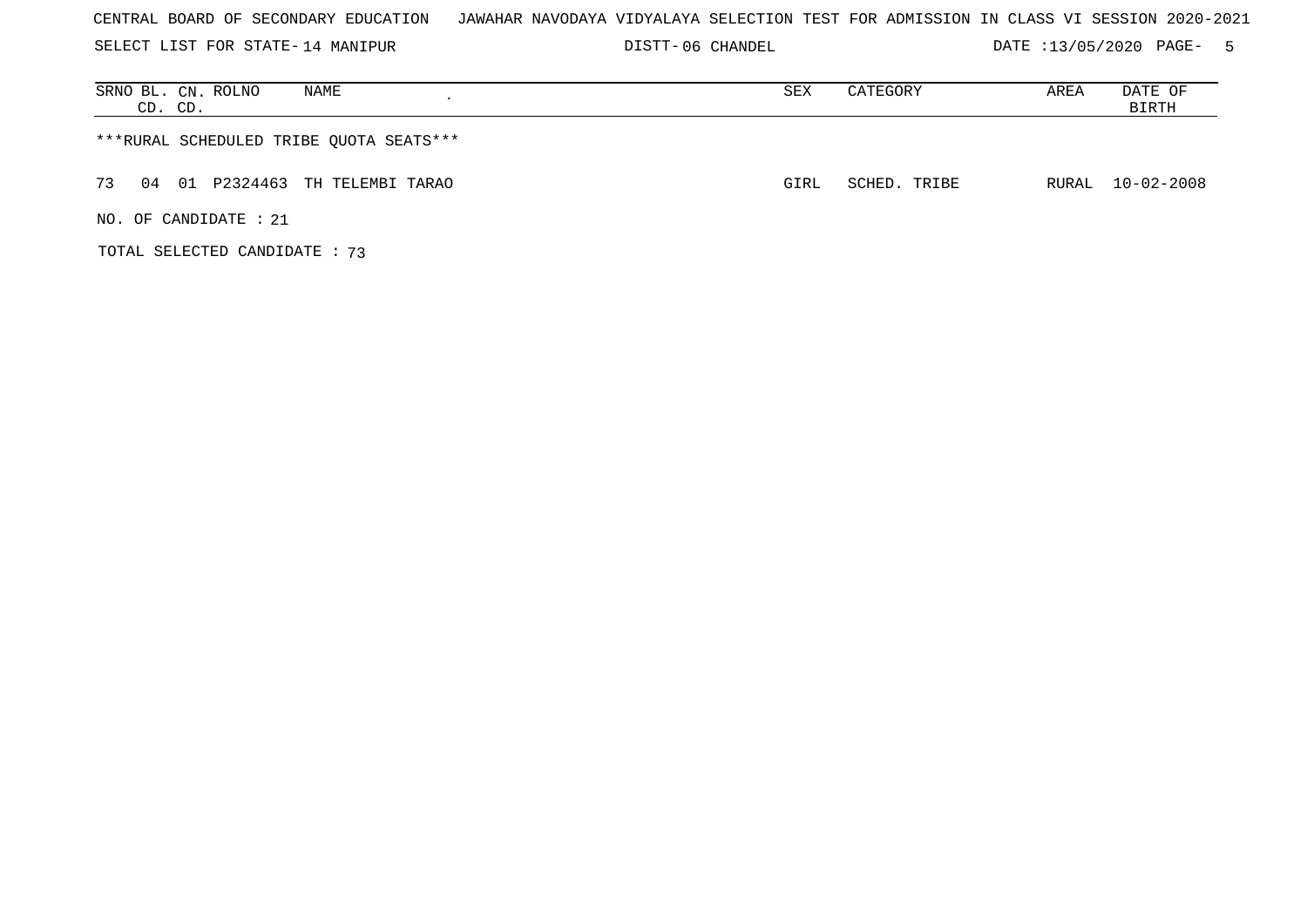| CENTRAL BOARD OF SECONDARY EDUCATION – JAWAHAR NAVODAYA VIDYALAYA SELECTION TEST FOR ADMISSION IN CLASS VI SESSION 2020-2021 |  |  |  |  |  |  |  |
|------------------------------------------------------------------------------------------------------------------------------|--|--|--|--|--|--|--|
|------------------------------------------------------------------------------------------------------------------------------|--|--|--|--|--|--|--|

SELECT LIST FOR STATE- DISTT- 14 MANIPUR

DISTT-06 CHANDEL 2000 DATE :13/05/2020 PAGE- 5

| NAME<br>SRNO BL. CN. ROLNO<br>CD. CD.    | SEX  | CATEGORY     | AREA  | DATE OF<br>BIRTH |
|------------------------------------------|------|--------------|-------|------------------|
| ***RURAL SCHEDULED TRIBE QUOTA SEATS***  |      |              |       |                  |
| 01 P2324463 TH TELEMBI TARAO<br>73<br>04 | GIRL | SCHED. TRIBE | RURAL | $10 - 02 - 2008$ |
| NO. OF CANDIDATE : $21$                  |      |              |       |                  |
| TOTAL SELECTED CANDIDATE: 73             |      |              |       |                  |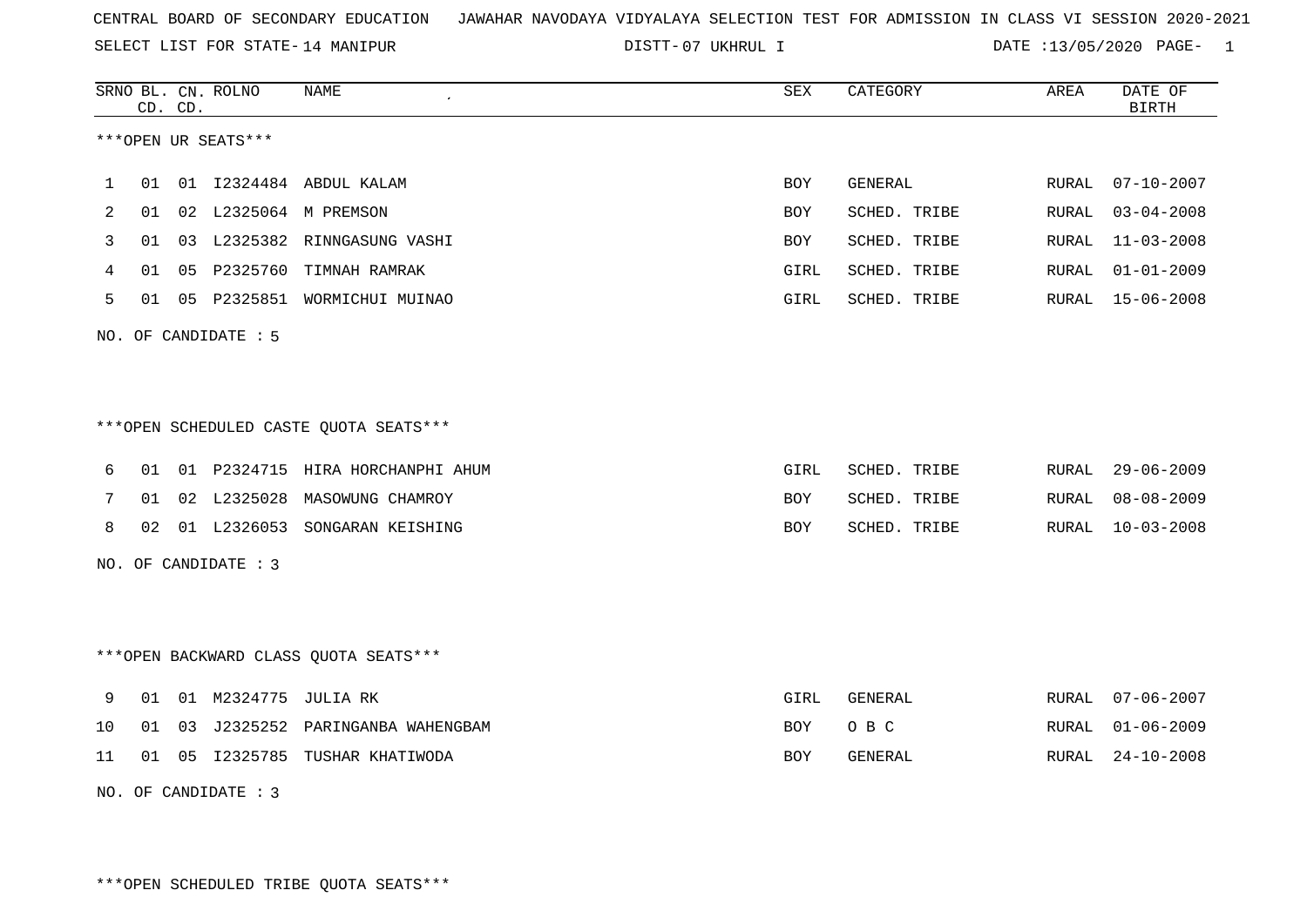SELECT LIST FOR STATE- DISTT- 14 MANIPUR

07 UKHRUL I DATE :13/05/2020 PAGE- 1

|    |    | CD. CD. | SRNO BL. CN. ROLNO   | NAME                                    | <b>SEX</b> | CATEGORY     | AREA  | DATE OF<br><b>BIRTH</b> |
|----|----|---------|----------------------|-----------------------------------------|------------|--------------|-------|-------------------------|
|    |    |         | ***OPEN UR SEATS***  |                                         |            |              |       |                         |
| 1  | 01 |         |                      | 01 I2324484 ABDUL KALAM                 | <b>BOY</b> | GENERAL      | RURAL | $07 - 10 - 2007$        |
| 2  | 01 |         |                      | 02 L2325064 M PREMSON                   | BOY        | SCHED. TRIBE | RURAL | $03 - 04 - 2008$        |
| 3  | 01 |         |                      | 03 L2325382 RINNGASUNG VASHI            | BOY        | SCHED. TRIBE | RURAL | $11 - 03 - 2008$        |
| 4  | 01 | 05      |                      | P2325760 TIMNAH RAMRAK                  | GIRL       | SCHED. TRIBE | RURAL | $01 - 01 - 2009$        |
| 5  |    |         |                      | 01 05 P2325851 WORMICHUI MUINAO         | GIRL       | SCHED. TRIBE | RURAL | $15 - 06 - 2008$        |
|    |    |         | NO. OF CANDIDATE : 5 |                                         |            |              |       |                         |
|    |    |         |                      |                                         |            |              |       |                         |
|    |    |         |                      |                                         |            |              |       |                         |
|    |    |         |                      | ***OPEN SCHEDULED CASTE QUOTA SEATS***  |            |              |       |                         |
| 6  | 01 |         |                      | 01 P2324715 HIRA HORCHANPHI AHUM        | GIRL       | SCHED. TRIBE | RURAL | $29 - 06 - 2009$        |
| 7  | 01 |         | 02 L2325028          | MASOWUNG CHAMROY                        | BOY        | SCHED. TRIBE | RURAL | $08 - 08 - 2009$        |
| 8  |    |         |                      | 02 01 L2326053 SONGARAN KEISHING        | BOY        | SCHED. TRIBE | RURAL | $10 - 03 - 2008$        |
|    |    |         | NO. OF CANDIDATE : 3 |                                         |            |              |       |                         |
|    |    |         |                      |                                         |            |              |       |                         |
|    |    |         |                      |                                         |            |              |       |                         |
|    |    |         |                      | *** OPEN BACKWARD CLASS QUOTA SEATS *** |            |              |       |                         |
| 9  | 01 |         | 01 M2324775 JULIA RK |                                         | GIRL       | GENERAL      | RURAL | $07 - 06 - 2007$        |
| 10 | 01 | 03      |                      | J2325252 PARINGANBA WAHENGBAM           | BOY        | O B C        | RURAL | $01 - 06 - 2009$        |
| 11 | 01 |         |                      | 05 I2325785 TUSHAR KHATIWODA            | BOY        | GENERAL      | RURAL | $24 - 10 - 2008$        |
|    |    |         | NO. OF CANDIDATE: 3  |                                         |            |              |       |                         |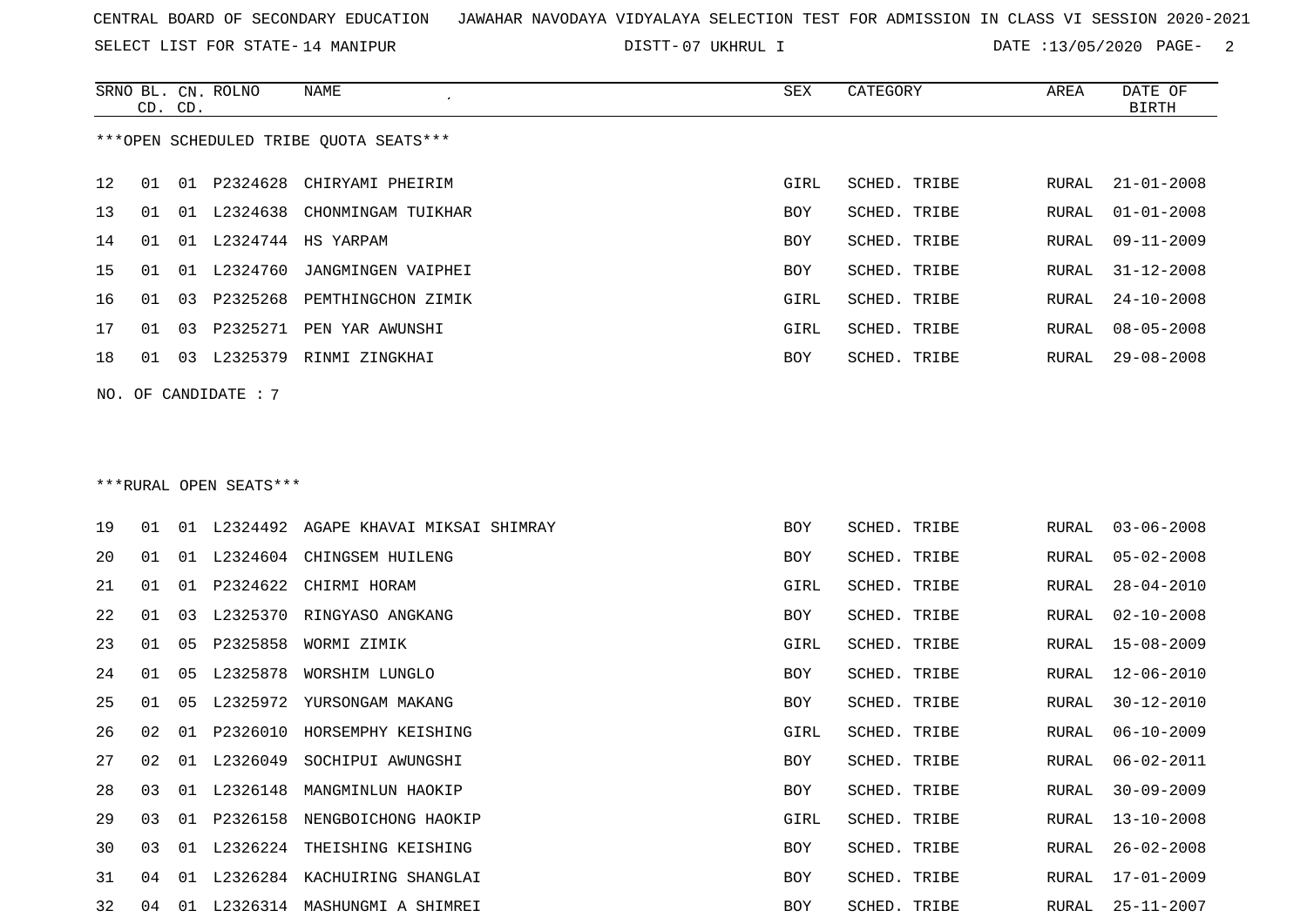SELECT LIST FOR STATE- DISTT- 14 MANIPUR

07 UKHRUL I DATE :13/05/2020 PAGE- 2

|          |    | CD. CD. | SRNO BL. CN. ROLNO     | <b>NAME</b><br><b>SEX</b>               |            | CATEGORY            | AREA         | DATE OF<br><b>BIRTH</b>  |
|----------|----|---------|------------------------|-----------------------------------------|------------|---------------------|--------------|--------------------------|
|          |    |         |                        | ***OPEN SCHEDULED TRIBE OUOTA SEATS***  |            |                     |              |                          |
| 12       | 01 |         | 01 P2324628            | CHIRYAMI PHEIRIM                        | GIRL       | <b>SCHED. TRIBE</b> | RURAL        | $21 - 01 - 2008$         |
| 13       | 01 | 01      | L2324638               | CHONMINGAM TUIKHAR                      | <b>BOY</b> | SCHED. TRIBE        | RURAL        | $01 - 01 - 2008$         |
| 14       | 01 | 01      | L2324744               | HS YARPAM                               | <b>BOY</b> | SCHED. TRIBE        | <b>RURAL</b> | $09 - 11 - 2009$         |
| 15       | 01 |         | 01 L2324760            | JANGMINGEN VAIPHEI                      | <b>BOY</b> | SCHED. TRIBE        | RURAL        | $31 - 12 - 2008$         |
| 16       | 01 | 03      | P2325268               | PEMTHINGCHON ZIMIK                      | GIRL       | SCHED. TRIBE        | RURAL        | $24 - 10 - 2008$         |
| 17       | 01 | 03      |                        | P2325271 PEN YAR AWUNSHI                | GIRL       | SCHED. TRIBE        | RURAL        | $08 - 05 - 2008$         |
| 18       | 01 |         |                        | 03 L2325379 RINMI ZINGKHAI              | <b>BOY</b> | <b>SCHED. TRIBE</b> | RURAL        | $29 - 08 - 2008$         |
|          |    |         | NO. OF CANDIDATE : 7   |                                         |            |                     |              |                          |
|          |    |         |                        |                                         |            |                     |              |                          |
|          |    |         |                        |                                         |            |                     |              |                          |
|          |    |         | ***RURAL OPEN SEATS*** |                                         |            |                     |              |                          |
| 19       | 01 |         |                        | 01 L2324492 AGAPE KHAVAI MIKSAI SHIMRAY | <b>BOY</b> | SCHED. TRIBE        | RURAL        | $03 - 06 - 2008$         |
| 20       | 01 | 01      | L2324604               | CHINGSEM HUILENG                        | <b>BOY</b> | SCHED. TRIBE        | RURAL        | $05 - 02 - 2008$         |
| 21       | 01 | 01      | P2324622               | CHIRMI HORAM                            | GIRL       | SCHED. TRIBE        | RURAL        | $28 - 04 - 2010$         |
| 22       | 01 | 03      |                        | L2325370 RINGYASO ANGKANG               | <b>BOY</b> | SCHED. TRIBE        | RURAL        | $02 - 10 - 2008$         |
| 23       | 01 | 05      | P2325858               | WORMI ZIMIK                             | GIRL       | SCHED. TRIBE        | RURAL        | $15 - 08 - 2009$         |
| $\Omega$ |    |         |                        | 01 OF TOPOEORO MODELITM TIMOTO          | ⊽רת        | COURD TRE           |              | <u>חומר אח כו</u> זגמזזמ |

| 24 | U T | - 0.5 |          | LYRRAS NORSHIM PAMGTO | <b>BOY</b> | SCHED. IKIBE | RURAL | LZ-06-ZUIU       |
|----|-----|-------|----------|-----------------------|------------|--------------|-------|------------------|
| 25 | 01  | 05    | L2325972 | YURSONGAM MAKANG      | <b>BOY</b> | SCHED. TRIBE | RURAL | $30 - 12 - 2010$ |
| 26 | 02  | O 1   | P2326010 | HORSEMPHY KEISHING    | GIRL       | SCHED. TRIBE | RURAL | 06-10-2009       |
| 27 | 02  | . N 1 | L2326049 | SOCHIPUI AWUNGSHI     | <b>BOY</b> | SCHED. TRIBE | RURAL | 06-02-2011       |
| 28 | 03  | . N 1 | L2326148 | MANGMINLUN HAOKIP     | BOY        | SCHED. TRIBE | RURAL | $30 - 09 - 2009$ |
| 29 | 03  | . O 1 | P2326158 | NENGBOICHONG HAOKIP   | GIRL       | SCHED, TRIBE | RURAL | 13-10-2008       |
| 30 | 03  | . N 1 | L2326224 | THEISHING KEISHING    | <b>BOY</b> | SCHED. TRIBE | RURAL | $26 - 02 - 2008$ |
| 31 | 04  | . N 1 | L2326284 | KACHUIRING SHANGLAI   | BOY        | SCHED. TRIBE | RURAL | $17 - 01 - 2009$ |
| 32 | 04  | -01   | L2326314 | MASHUNGMI A SHIMREI   | <b>BOY</b> | SCHED. TRIBE | RURAL | $25 - 11 - 2007$ |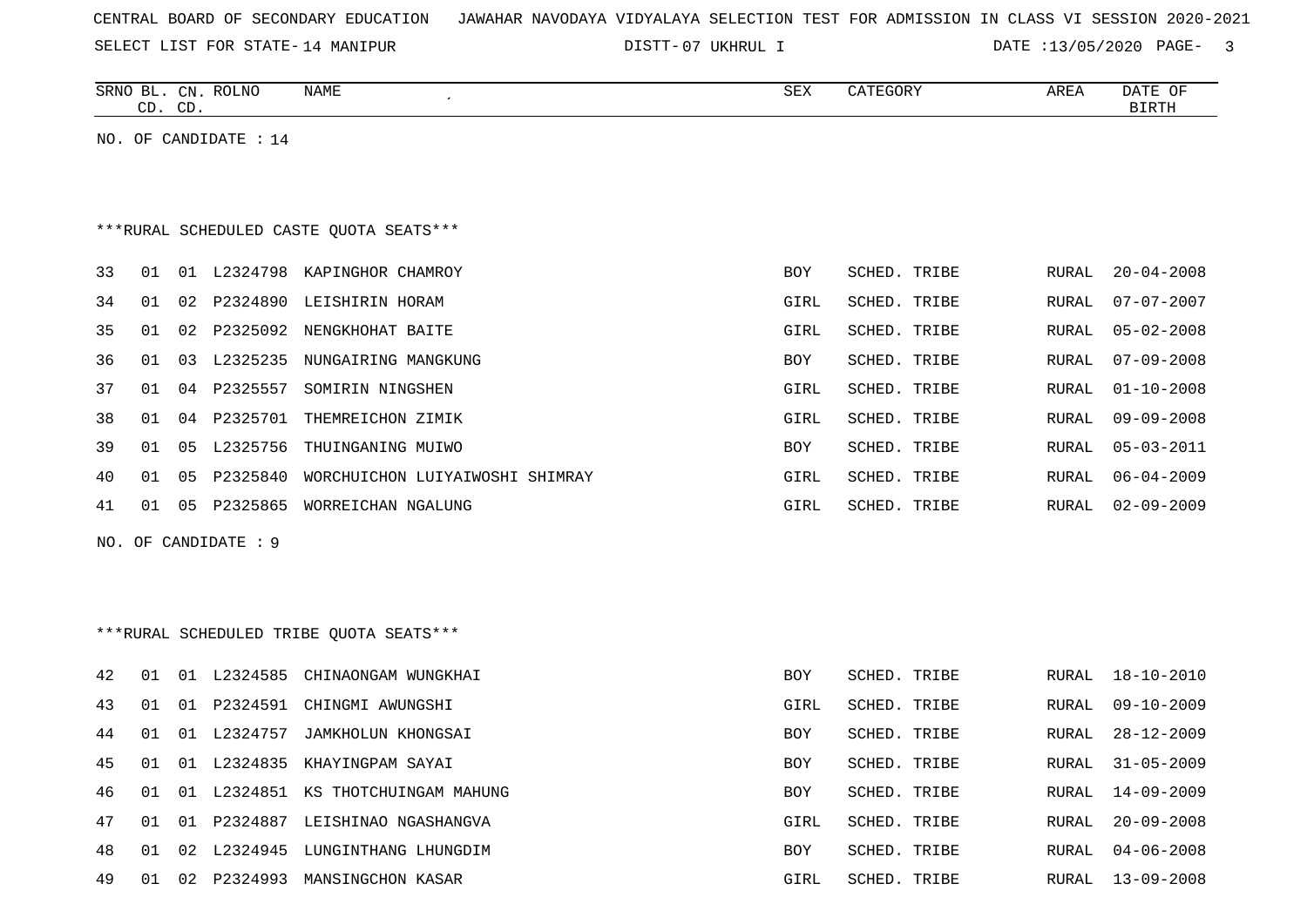| CENTRAL BOARD OF SECONDARY EDUCATION – JAWAHAR NAVODAYA VIDYALAYA SELECTION TEST FOR ADMISSION IN CLASS VI SESSION 2020-2021 |  |  |  |  |  |  |  |  |  |  |  |  |  |  |  |  |  |  |  |
|------------------------------------------------------------------------------------------------------------------------------|--|--|--|--|--|--|--|--|--|--|--|--|--|--|--|--|--|--|--|
|------------------------------------------------------------------------------------------------------------------------------|--|--|--|--|--|--|--|--|--|--|--|--|--|--|--|--|--|--|--|

SELECT LIST FOR STATE- DISTT- 14 MANIPUR

DISTT-07 UKHRUL I DATE :13/05/2020 PAGE- 3

|    |    | CD. CD. | SRNO BL. CN. ROLNO    | <b>NAME</b><br>$\pmb{\cdot}$            | <b>SEX</b> | CATEGORY     | AREA         | DATE OF<br><b>BIRTH</b> |
|----|----|---------|-----------------------|-----------------------------------------|------------|--------------|--------------|-------------------------|
|    |    |         | NO. OF CANDIDATE : 14 |                                         |            |              |              |                         |
|    |    |         |                       |                                         |            |              |              |                         |
|    |    |         |                       |                                         |            |              |              |                         |
|    |    |         |                       | ***RURAL SCHEDULED CASTE OUOTA SEATS*** |            |              |              |                         |
|    |    |         |                       |                                         |            |              |              |                         |
| 33 | 01 |         |                       | 01 L2324798 KAPINGHOR CHAMROY           | <b>BOY</b> | SCHED. TRIBE | RURAL        | $20 - 04 - 2008$        |
| 34 | 01 | 02      | P2324890              | LEISHIRIN HORAM                         | GIRL       | SCHED. TRIBE | RURAL        | $07 - 07 - 2007$        |
| 35 | 01 | 02      | P2325092              | NENGKHOHAT BAITE                        | GIRL       | SCHED. TRIBE | RURAL        | $05 - 02 - 2008$        |
| 36 | 01 | 03      | L2325235              | NUNGAIRING MANGKUNG                     | <b>BOY</b> | SCHED. TRIBE | RURAL        | $07 - 09 - 2008$        |
| 37 | 01 | 04      | P2325557              | SOMIRIN NINGSHEN                        | GIRL       | SCHED. TRIBE | RURAL        | $01 - 10 - 2008$        |
| 38 | 01 | 04      | P2325701              | THEMREICHON ZIMIK                       | GIRL       | SCHED. TRIBE | RURAL        | $09 - 09 - 2008$        |
| 39 | 01 | 05      | L2325756              | THUINGANING MUIWO                       | BOY        | SCHED. TRIBE | RURAL        | $05 - 03 - 2011$        |
| 40 | 01 | 05      | P2325840              | WORCHUICHON LUIYAIWOSHI SHIMRAY         | GIRL       | SCHED. TRIBE | RURAL        | $06 - 04 - 2009$        |
| 41 | 01 | 05      | P2325865              | WORREICHAN NGALUNG                      | GIRL       | SCHED. TRIBE | RURAL        | $02 - 09 - 2009$        |
|    |    |         | NO. OF CANDIDATE : 9  |                                         |            |              |              |                         |
|    |    |         |                       |                                         |            |              |              |                         |
|    |    |         |                       |                                         |            |              |              |                         |
|    |    |         |                       | ***RURAL SCHEDULED TRIBE QUOTA SEATS*** |            |              |              |                         |
|    |    |         |                       |                                         |            |              |              |                         |
| 42 | 01 |         | 01 L2324585           | CHINAONGAM WUNGKHAI                     | BOY        | SCHED. TRIBE | RURAL        | $18 - 10 - 2010$        |
| 43 | 01 |         | 01 P2324591           | CHINGMI AWUNGSHI                        | GIRL       | SCHED. TRIBE | RURAL        | $09 - 10 - 2009$        |
| 44 | 01 |         | 01 L2324757           | JAMKHOLUN KHONGSAI                      | BOY        | SCHED. TRIBE | RURAL        | $28 - 12 - 2009$        |
| 45 | 01 |         | 01 L2324835           | KHAYINGPAM SAYAI                        | BOY        | SCHED. TRIBE | RURAL        | $31 - 05 - 2009$        |
| 46 | 01 |         |                       | 01 L2324851 KS THOTCHUINGAM MAHUNG      | BOY        | SCHED. TRIBE | RURAL        | 14-09-2009              |
| 47 | 01 |         |                       | 01 P2324887 LEISHINAO NGASHANGVA        | GIRL       | SCHED. TRIBE | <b>RURAL</b> | $20 - 09 - 2008$        |
| 48 | 01 |         |                       | 02 L2324945 LUNGINTHANG LHUNGDIM        | <b>BOY</b> | SCHED. TRIBE | RURAL        | $04 - 06 - 2008$        |

49 01 02 P2324993 MANSINGCHON KASAR GIRL SCHED. TRIBE RURAL 13-09-2008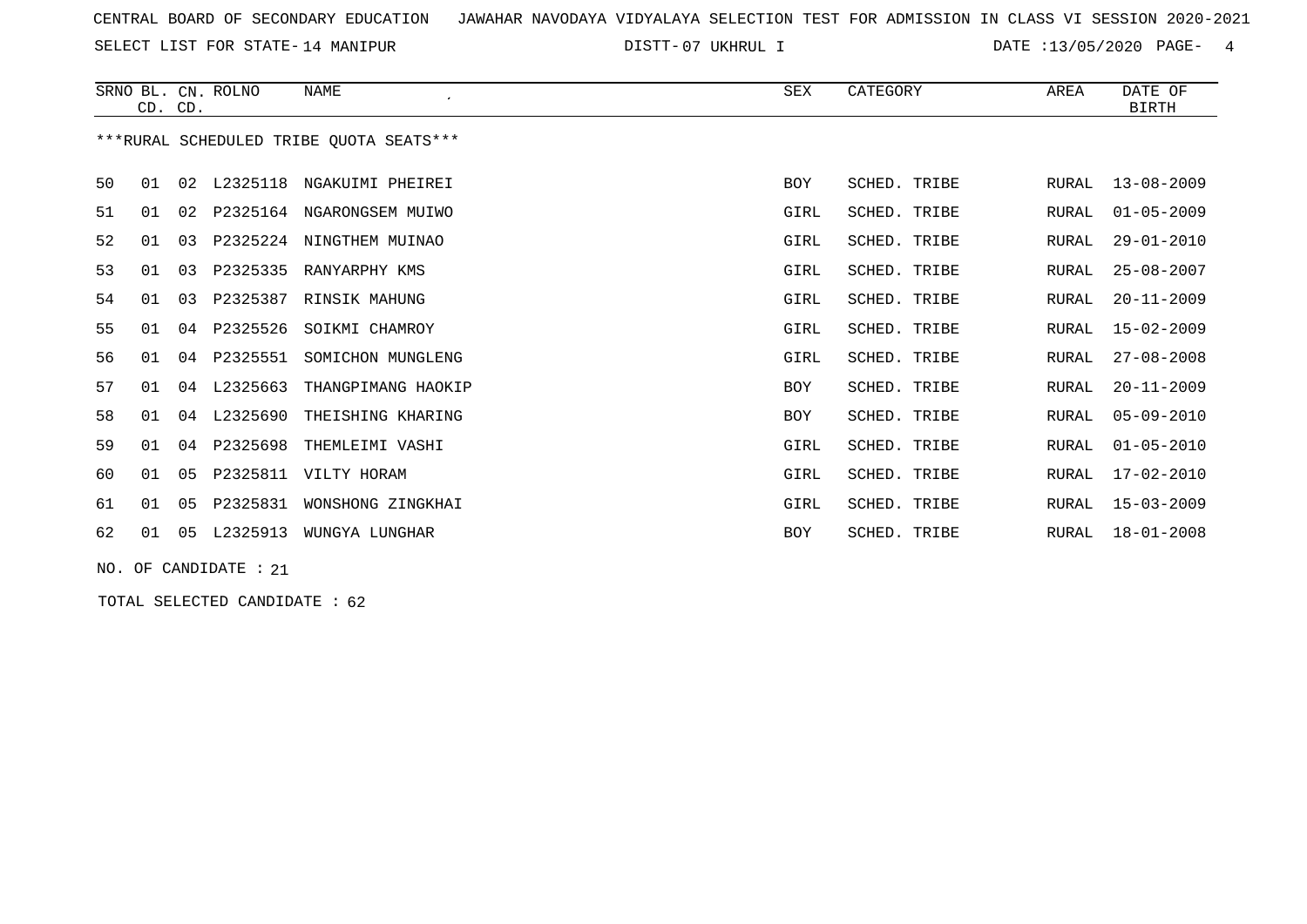SELECT LIST FOR STATE- DISTT- 14 MANIPUR

07 UKHRUL I DATE :13/05/2020 PAGE- 4

| SRNO BL. CN. ROLNO<br>CD. CD. |    |                | <b>NAME</b><br>SEX    |                                         | CATEGORY   | AREA         | DATE OF<br><b>BIRTH</b> |                  |
|-------------------------------|----|----------------|-----------------------|-----------------------------------------|------------|--------------|-------------------------|------------------|
|                               |    |                |                       | ***RURAL SCHEDULED TRIBE QUOTA SEATS*** |            |              |                         |                  |
| 50                            | 01 | 02             | L2325118              | NGAKUIMI PHEIREI                        | <b>BOY</b> | SCHED. TRIBE | RURAL                   | $13 - 08 - 2009$ |
| 51                            | 01 | 02             | P2325164              | NGARONGSEM MUIWO                        | GIRL       | SCHED. TRIBE | RURAL                   | $01 - 05 - 2009$ |
| 52                            | 01 | 0 <sub>3</sub> | P2325224              | NINGTHEM MUINAO                         | GIRL       | SCHED. TRIBE | RURAL                   | $29 - 01 - 2010$ |
| 53                            | 01 | 03             | P2325335              | RANYARPHY KMS                           | GIRL       | SCHED. TRIBE | RURAL                   | $25 - 08 - 2007$ |
| 54                            | 01 | 03             | P2325387              | RINSIK MAHUNG                           | GIRL       | SCHED. TRIBE | RURAL                   | $20 - 11 - 2009$ |
| 55                            | 01 | 04             | P2325526              | SOIKMI CHAMROY                          | GIRL       | SCHED. TRIBE | RURAL                   | $15 - 02 - 2009$ |
| 56                            | 01 | 04             | P2325551              | SOMICHON MUNGLENG                       | GIRL       | SCHED. TRIBE | <b>RURAL</b>            | $27 - 08 - 2008$ |
| 57                            | 01 | 04             | L2325663              | THANGPIMANG HAOKIP                      | <b>BOY</b> | SCHED. TRIBE | RURAL                   | $20 - 11 - 2009$ |
| 58                            | 01 | 04             | L2325690              | THEISHING KHARING                       | BOY        | SCHED. TRIBE | RURAL                   | $05 - 09 - 2010$ |
| 59                            | 01 | 04             | P2325698              | THEMLEIMI VASHI                         | GIRL       | SCHED. TRIBE | RURAL                   | $01 - 05 - 2010$ |
| 60                            | 01 | 05             | P2325811              | VILTY HORAM                             | GIRL       | SCHED. TRIBE | RURAL                   | 17-02-2010       |
| 61                            | 01 | 05             | P2325831              | WONSHONG ZINGKHAI                       | GIRL       | SCHED. TRIBE | RURAL                   | $15 - 03 - 2009$ |
| 62                            | 01 |                | 05 L2325913           | WUNGYA LUNGHAR                          | <b>BOY</b> | SCHED. TRIBE | RURAL                   | $18 - 01 - 2008$ |
|                               |    |                | NO. OF CANDIDATE : 21 |                                         |            |              |                         |                  |

TOTAL SELECTED CANDIDATE : 62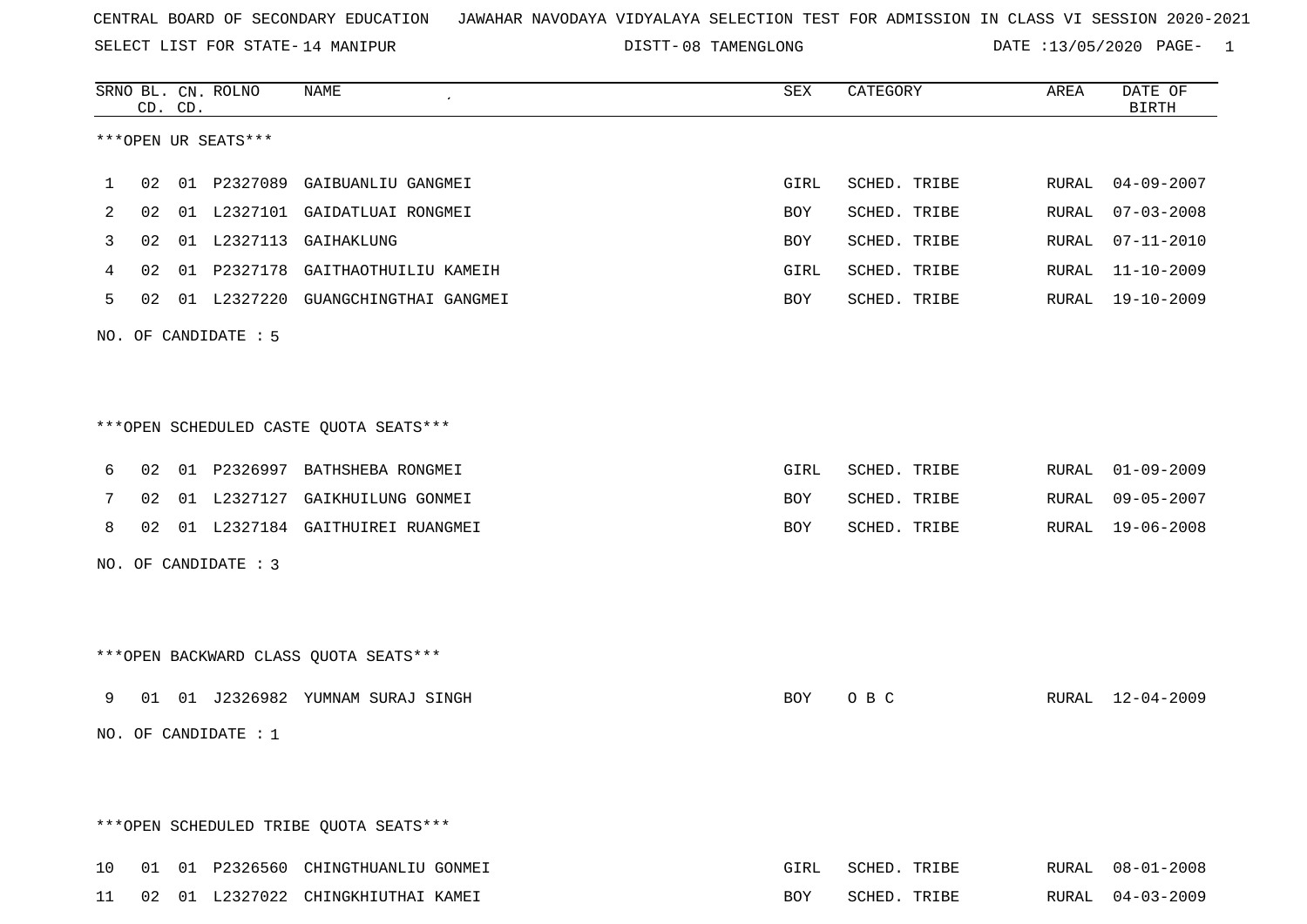SELECT LIST FOR STATE- DISTT- 14 MANIPUR

08 TAMENGLONG DATE :13/05/2020 PAGE- 1

|    |    | CD. CD. | SRNO BL. CN. ROLNO     | NAME                                   | SEX  | CATEGORY     | AREA  | DATE OF<br><b>BIRTH</b> |
|----|----|---------|------------------------|----------------------------------------|------|--------------|-------|-------------------------|
|    |    |         | ***OPEN UR SEATS***    |                                        |      |              |       |                         |
| 1  | 02 |         |                        | 01 P2327089 GAIBUANLIU GANGMEI         | GIRL | SCHED. TRIBE | RURAL | 04-09-2007              |
| 2  | 02 |         | 01 L2327101            | GAIDATLUAI RONGMEI                     | BOY  | SCHED. TRIBE | RURAL | $07 - 03 - 2008$        |
| 3  | 02 |         | 01 L2327113            | GAIHAKLUNG                             | BOY  | SCHED. TRIBE | RURAL | 07-11-2010              |
| 4  | 02 |         | 01 P2327178            | GAITHAOTHUILIU KAMEIH                  | GIRL | SCHED. TRIBE | RURAL | $11 - 10 - 2009$        |
| 5  | 02 |         | 01 L2327220            | GUANGCHINGTHAI GANGMEI                 | BOY  | SCHED. TRIBE | RURAL | $19 - 10 - 2009$        |
|    |    |         | NO. OF CANDIDATE : 5   |                                        |      |              |       |                         |
|    |    |         |                        | ***OPEN SCHEDULED CASTE QUOTA SEATS*** |      |              |       |                         |
| 6  | 02 |         |                        | 01 P2326997 BATHSHEBA RONGMEI          | GIRL | SCHED. TRIBE | RURAL | $01 - 09 - 2009$        |
| 7  | 02 |         |                        | 01 L2327127 GAIKHUILUNG GONMEI         | BOY  | SCHED. TRIBE | RURAL | $09 - 05 - 2007$        |
| 8  | 02 |         |                        | 01 L2327184 GAITHUIREI RUANGMEI        | BOY  | SCHED. TRIBE | RURAL | $19 - 06 - 2008$        |
|    |    |         | NO. OF CANDIDATE : 3   |                                        |      |              |       |                         |
|    |    |         |                        | *** OPEN BACKWARD CLASS QUOTA SEATS*** |      |              |       |                         |
| 9  | 01 |         |                        | 01 J2326982 YUMNAM SURAJ SINGH         | BOY  | O B C        |       | RURAL 12-04-2009        |
|    |    |         | NO. OF CANDIDATE $: 1$ |                                        |      |              |       |                         |
|    |    |         |                        | ***OPEN SCHEDULED TRIBE QUOTA SEATS*** |      |              |       |                         |
| 10 |    |         |                        | 01 01 P2326560 CHINGTHUANLIU GONMEI    | GIRL | SCHED. TRIBE |       | RURAL 08-01-2008        |
| 11 |    |         |                        | 02 01 L2327022 CHINGKHIUTHAI KAMEI     | BOY  | SCHED. TRIBE |       | RURAL 04-03-2009        |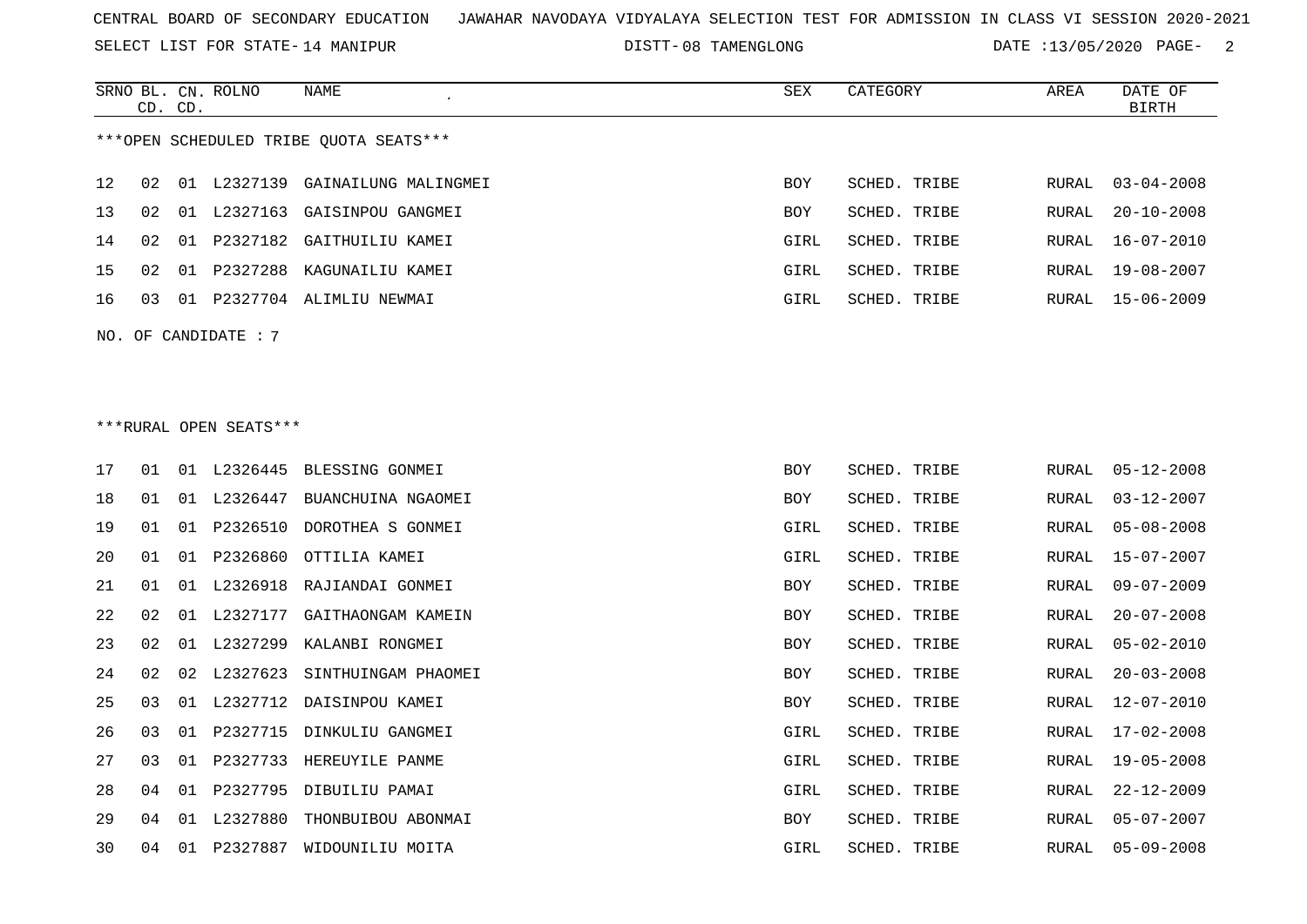SELECT LIST FOR STATE- DISTT- 14 MANIPUR

DISTT-08 TAMENGLONG **DATE** :13/05/2020 PAGE- 2

|    | CD. CD. |    | SRNO BL. CN. ROLNO     | NAME                                   | ${\tt SEX}$ | CATEGORY     | AREA         | DATE OF<br><b>BIRTH</b> |
|----|---------|----|------------------------|----------------------------------------|-------------|--------------|--------------|-------------------------|
|    |         |    |                        | ***OPEN SCHEDULED TRIBE QUOTA SEATS*** |             |              |              |                         |
| 12 | 02      |    |                        | 01 L2327139 GAINAILUNG MALINGMEI       | BOY         | SCHED. TRIBE | RURAL        | $03 - 04 - 2008$        |
| 13 | 02      |    |                        | 01 L2327163 GAISINPOU GANGMEI          | BOY         | SCHED. TRIBE | RURAL        | $20 - 10 - 2008$        |
| 14 | 02      |    |                        | 01 P2327182 GAITHUILIU KAMEI           | GIRL        | SCHED. TRIBE | <b>RURAL</b> | $16 - 07 - 2010$        |
| 15 | 02      |    |                        | 01 P2327288 KAGUNAILIU KAMEI           | GIRL        | SCHED. TRIBE | RURAL        | 19-08-2007              |
| 16 | 03      |    |                        | 01 P2327704 ALIMLIU NEWMAI             | GIRL        | SCHED. TRIBE | RURAL        | $15 - 06 - 2009$        |
|    |         |    | NO. OF CANDIDATE: 7    |                                        |             |              |              |                         |
|    |         |    |                        |                                        |             |              |              |                         |
|    |         |    |                        |                                        |             |              |              |                         |
|    |         |    | ***RURAL OPEN SEATS*** |                                        |             |              |              |                         |
| 17 | 01      |    |                        | 01 L2326445 BLESSING GONMEI            | BOY         | SCHED. TRIBE | RURAL        | $05 - 12 - 2008$        |
| 18 | 01      |    |                        | 01 L2326447 BUANCHUINA NGAOMEI         | BOY         | SCHED. TRIBE | RURAL        | $03 - 12 - 2007$        |
| 19 | 01      |    |                        | 01 P2326510 DOROTHEA S GONMEI          | GIRL        | SCHED. TRIBE | RURAL        | $05 - 08 - 2008$        |
| 20 | 01      | 01 | P2326860               | OTTILIA KAMEI                          | GIRL        | SCHED. TRIBE | <b>RURAL</b> | $15 - 07 - 2007$        |
| 21 | 01      |    | 01 L2326918            | RAJIANDAI GONMEI                       | BOY         | SCHED. TRIBE | RURAL        | $09 - 07 - 2009$        |
| 22 | 02      |    |                        | 01 L2327177 GAITHAONGAM KAMEIN         | BOY         | SCHED. TRIBE | <b>RURAL</b> | $20 - 07 - 2008$        |
| 23 | 02      |    | 01 L2327299            | KALANBI RONGMEI                        | BOY         | SCHED. TRIBE | RURAL        | $05 - 02 - 2010$        |
| 24 | 02      | 02 |                        | L2327623 SINTHUINGAM PHAOMEI           | BOY         | SCHED. TRIBE | <b>RURAL</b> | $20 - 03 - 2008$        |
| 25 | 03      |    | 01 L2327712            | DAISINPOU KAMEI                        | BOY         | SCHED. TRIBE | <b>RURAL</b> | $12 - 07 - 2010$        |
| 26 | 03      |    |                        | 01 P2327715 DINKULIU GANGMEI           | GIRL        | SCHED. TRIBE | <b>RURAL</b> | 17-02-2008              |
| 27 | 03      |    |                        | 01 P2327733 HEREUYILE PANME            | GIRL        | SCHED. TRIBE | RURAL        | $19 - 05 - 2008$        |
| 28 | 04      | 01 | P2327795               | DIBUILIU PAMAI                         | GIRL        | SCHED. TRIBE | <b>RURAL</b> | $22 - 12 - 2009$        |
| 29 | 04      |    | 01 L2327880            | THONBUIBOU ABONMAI                     | BOY         | SCHED. TRIBE | RURAL        | $05 - 07 - 2007$        |
| 30 | 04      |    |                        | 01 P2327887 WIDOUNILIU MOITA           | GIRL        | SCHED. TRIBE | <b>RURAL</b> | $05 - 09 - 2008$        |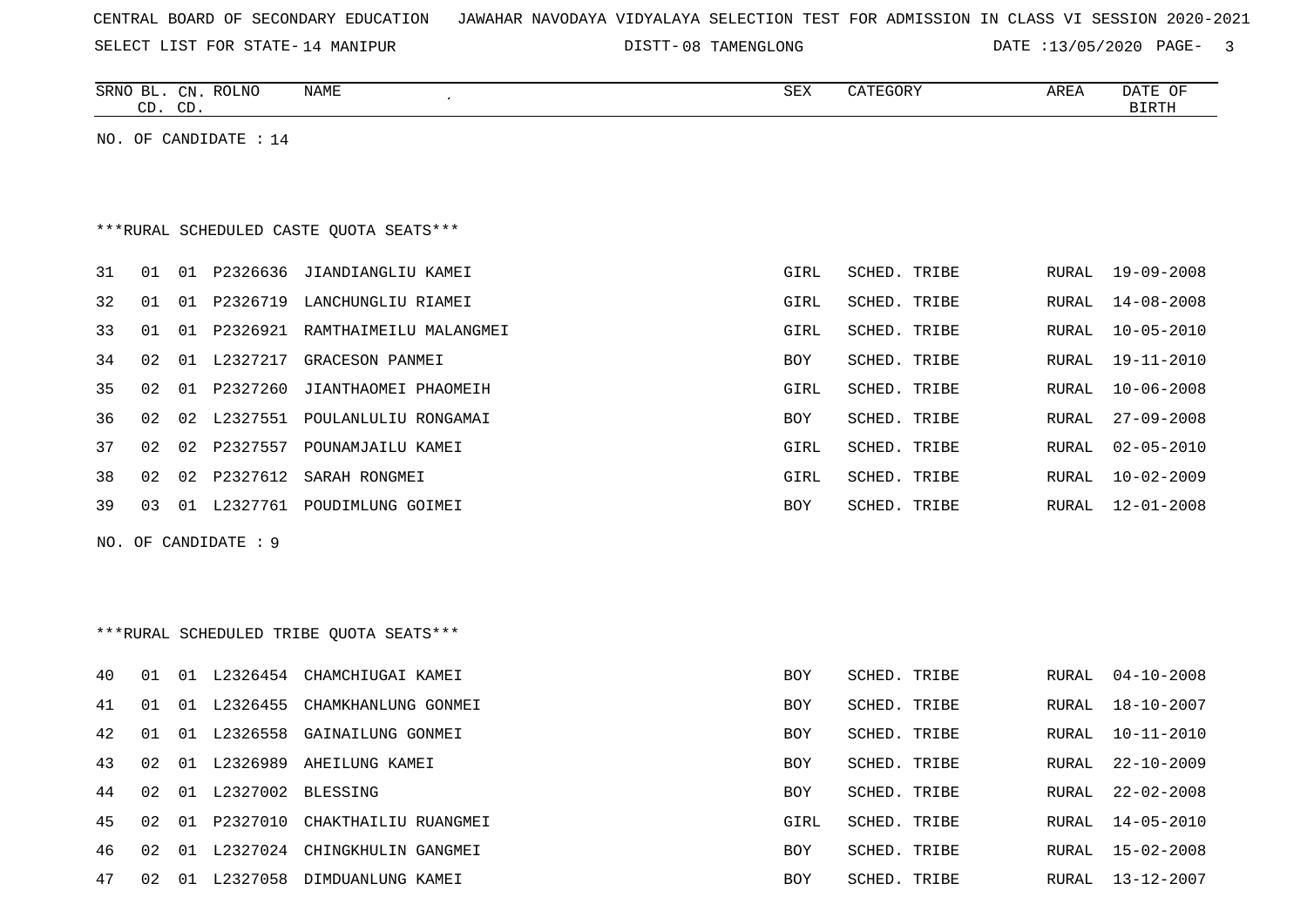| CENTRAL BOARD OF SECONDARY EDUCATION – JAWAHAR NAVODAYA VIDYALAYA SELECTION TEST FOR ADMISSION IN CLASS VI SESSION 2020-2021 |  |  |  |  |  |  |  |  |  |  |  |  |  |  |  |  |  |  |  |
|------------------------------------------------------------------------------------------------------------------------------|--|--|--|--|--|--|--|--|--|--|--|--|--|--|--|--|--|--|--|
|------------------------------------------------------------------------------------------------------------------------------|--|--|--|--|--|--|--|--|--|--|--|--|--|--|--|--|--|--|--|

SELECT LIST FOR STATE- DISTT- 14 MANIPUR

08 TAMENGLONG DATE :13/05/2020 PAGE- 3

SCHED. TRIBE RURAL 14-05-2010

SCHED. TRIBE RURAL 15-02-2008

| <b>SEX</b><br>SRNO BL. CN. ROLNO<br><b>NAME</b><br>CATEGORY |    |    |             |                                    |            |              |       | DATE OF          |  |  |  |  |  |
|-------------------------------------------------------------|----|----|-------------|------------------------------------|------------|--------------|-------|------------------|--|--|--|--|--|
| CD. CD.                                                     |    |    |             |                                    |            |              | AREA  | <b>BIRTH</b>     |  |  |  |  |  |
| NO. OF CANDIDATE : $14$                                     |    |    |             |                                    |            |              |       |                  |  |  |  |  |  |
|                                                             |    |    |             |                                    |            |              |       |                  |  |  |  |  |  |
| ***RURAL SCHEDULED CASTE OUOTA SEATS***                     |    |    |             |                                    |            |              |       |                  |  |  |  |  |  |
| 31                                                          | 01 |    |             | 01 P2326636 JIANDIANGLIU KAMEI     | GIRL       | SCHED. TRIBE |       | RURAL 19-09-2008 |  |  |  |  |  |
| 32                                                          | 01 |    |             | 01 P2326719 LANCHUNGLIU RIAMEI     | GIRL       | SCHED. TRIBE | RURAL | $14 - 08 - 2008$ |  |  |  |  |  |
| 33                                                          | 01 |    |             | 01 P2326921 RAMTHAIMEILU MALANGMEI | GIRL       | SCHED. TRIBE | RURAL | $10 - 05 - 2010$ |  |  |  |  |  |
| 34                                                          | 02 |    | 01 L2327217 | GRACESON PANMEI                    | <b>BOY</b> | SCHED. TRIBE | RURAL | 19-11-2010       |  |  |  |  |  |
| 35                                                          | 02 | 01 | P2327260    | JIANTHAOMEI PHAOMEIH               | GIRL       | SCHED. TRIBE | RURAL | $10 - 06 - 2008$ |  |  |  |  |  |
| 36                                                          | 02 | 02 |             | L2327551 POULANLULIU RONGAMAI      | <b>BOY</b> | SCHED. TRIBE | RURAL | $27 - 09 - 2008$ |  |  |  |  |  |
| 37                                                          | 02 | 02 |             | P2327557 POUNAMJAILU KAMEI         | GIRL       | SCHED. TRIBE | RURAL | $02 - 05 - 2010$ |  |  |  |  |  |
| 38                                                          | 02 | 02 | P2327612    | SARAH RONGMEI                      | GIRL       | SCHED. TRIBE | RURAL | $10 - 02 - 2009$ |  |  |  |  |  |
| 39                                                          | 03 |    |             | 01 L2327761 POUDIMLUNG GOIMEI      | BOY        | SCHED. TRIBE | RURAL | $12 - 01 - 2008$ |  |  |  |  |  |
| OF CANDIDATE : 9<br>NO.                                     |    |    |             |                                    |            |              |       |                  |  |  |  |  |  |
|                                                             |    |    |             |                                    |            |              |       |                  |  |  |  |  |  |
|                                                             |    |    |             |                                    |            |              |       |                  |  |  |  |  |  |
| ***RURAL SCHEDULED TRIBE QUOTA SEATS***                     |    |    |             |                                    |            |              |       |                  |  |  |  |  |  |
| 40                                                          | 01 |    | 01 L2326454 | CHAMCHIUGAI KAMEI                  | <b>BOY</b> | SCHED. TRIBE | RURAL | $04 - 10 - 2008$ |  |  |  |  |  |
| 41                                                          | 01 |    | 01 L2326455 | CHAMKHANLUNG GONMEI                | <b>BOY</b> | SCHED. TRIBE | RURAL | $18 - 10 - 2007$ |  |  |  |  |  |
| 42                                                          | 01 |    | 01 L2326558 | GAINAILUNG GONMEI                  | <b>BOY</b> | SCHED. TRIBE | RURAL | $10 - 11 - 2010$ |  |  |  |  |  |
| 43                                                          | 02 |    |             | 01 L2326989 AHEILUNG KAMEI         | <b>BOY</b> | SCHED. TRIBE | RURAL | $22 - 10 - 2009$ |  |  |  |  |  |
|                                                             |    |    |             |                                    |            |              |       |                  |  |  |  |  |  |

44 02 01 L2327002 BLESSING BOY SCHED. TRIBE RURAL 22-02-2008

47 02 01 L2327058 DIMDUANLUNG KAMEI BOY SCHED. TRIBE RURAL 13-12-2007

45 02 01 P2327010 CHAKTHAILIU RUANGMEI SCHED. TRIBE RURAL SCHED. TRIBE RURAL 14-05-2010

46 02 01 L2327024 CHINGKHULIN GANGMEI BOY SCHED. TRIBE ROY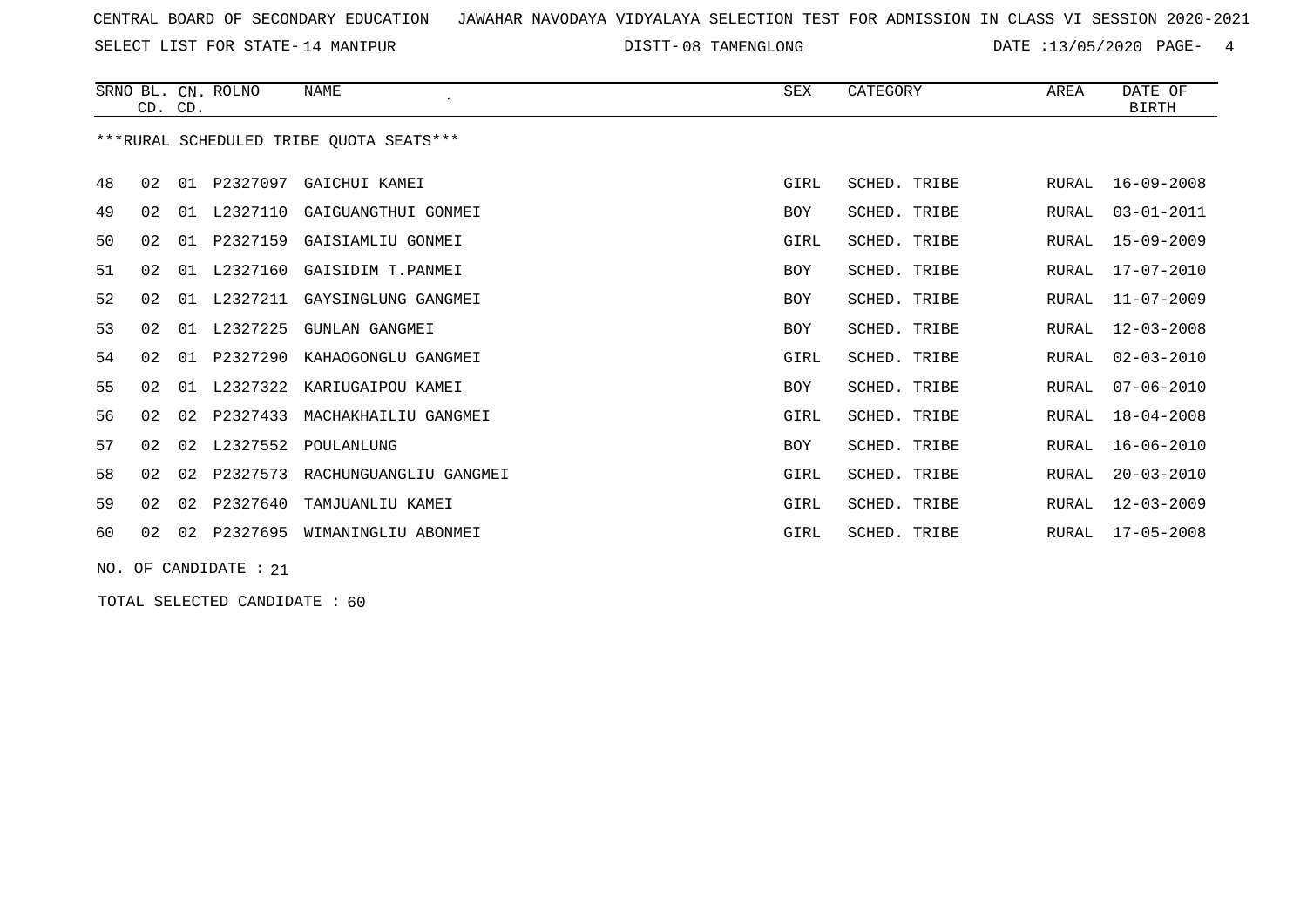SELECT LIST FOR STATE- DISTT- 14 MANIPUR

DISTT-08 TAMENGLONG  $\overline{DATE}$  :13/05/2020 PAGE- 4

|                                         |    | CD. CD. | SRNO BL. CN. ROLNO | NAME                   | SEX        | CATEGORY            | AREA  | DATE OF<br><b>BIRTH</b> |  |  |  |  |
|-----------------------------------------|----|---------|--------------------|------------------------|------------|---------------------|-------|-------------------------|--|--|--|--|
| ***RURAL SCHEDULED TRIBE OUOTA SEATS*** |    |         |                    |                        |            |                     |       |                         |  |  |  |  |
| 48                                      | 02 | 01      | P2327097           | GAICHUI KAMEI          | GIRL       | SCHED. TRIBE        | RURAL | $16 - 09 - 2008$        |  |  |  |  |
| 49                                      | 02 | 01      | L2327110           | GAIGUANGTHUI GONMEI    | <b>BOY</b> | SCHED. TRIBE        | RURAL | $03 - 01 - 2011$        |  |  |  |  |
| 50                                      | 02 | 01      | P2327159           | GAISIAMLIU GONMEI      | GIRL       | SCHED. TRIBE        | RURAL | $15 - 09 - 2009$        |  |  |  |  |
| 51                                      | 02 | 01      | L2327160           | GAISIDIM T.PANMEI      | BOY        | SCHED. TRIBE        | RURAL | 17-07-2010              |  |  |  |  |
| 52                                      | 02 | 01      | L2327211           | GAYSINGLUNG GANGMEI    | BOY        | SCHED. TRIBE        | RURAL | 11-07-2009              |  |  |  |  |
| 53                                      | 02 | 01      | L2327225           | <b>GUNLAN GANGMEI</b>  | <b>BOY</b> | <b>SCHED. TRIBE</b> | RURAL | $12 - 03 - 2008$        |  |  |  |  |
| 54                                      | 02 | 01      | P2327290           | KAHAOGONGLU GANGMEI    | GIRL       | SCHED. TRIBE        | RURAL | $02 - 03 - 2010$        |  |  |  |  |
| 55                                      | 02 | 01      | L2327322           | KARIUGAIPOU KAMEI      | BOY        | SCHED. TRIBE        | RURAL | $07 - 06 - 2010$        |  |  |  |  |
| 56                                      | 02 | 02      | P2327433           | MACHAKHAILIU GANGMEI   | GIRL       | SCHED. TRIBE        | RURAL | $18 - 04 - 2008$        |  |  |  |  |
| 57                                      | 02 | 02      | L2327552           | POULANLUNG             | <b>BOY</b> | <b>SCHED. TRIBE</b> | RURAL | $16 - 06 - 2010$        |  |  |  |  |
| 58                                      | 02 | 02      | P2327573           | RACHUNGUANGLIU GANGMEI | GIRL       | SCHED. TRIBE        | RURAL | $20 - 03 - 2010$        |  |  |  |  |
| 59                                      | 02 | 02      | P2327640           | TAMJUANLIU KAMEI       | GIRL       | SCHED. TRIBE        | RURAL | $12 - 03 - 2009$        |  |  |  |  |
| 60                                      | 02 | 02      | P2327695           | WIMANINGLIU ABONMEI    | GIRL       | SCHED. TRIBE        | RURAL | $17 - 05 - 2008$        |  |  |  |  |
| NO. OF CANDIDATE : 21                   |    |         |                    |                        |            |                     |       |                         |  |  |  |  |

TOTAL SELECTED CANDIDATE : 60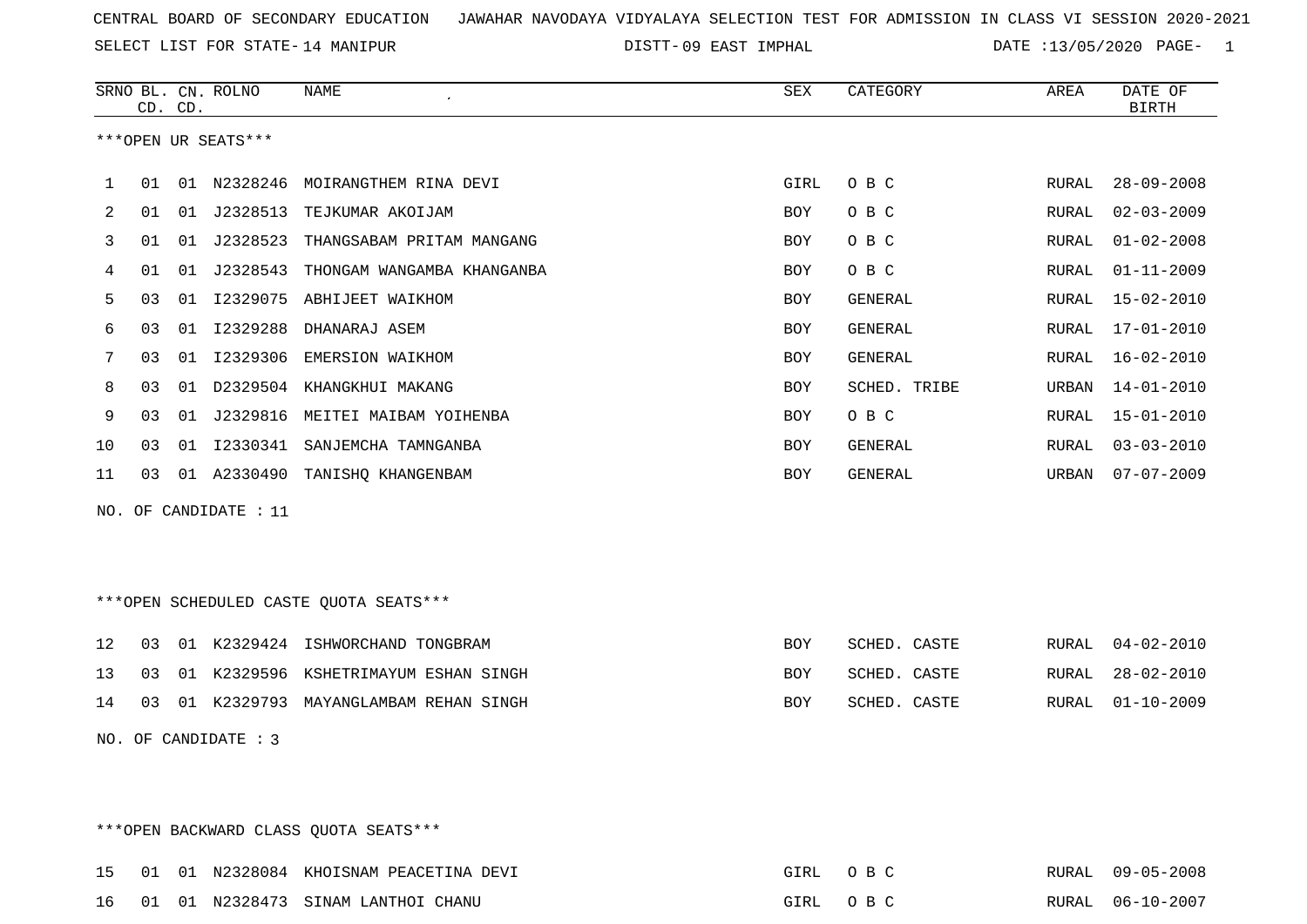SELECT LIST FOR STATE- DISTT- 14 MANIPUR

09 EAST IMPHAL DATE :13/05/2020 PAGE- 1

|    |    | CD. CD. | SRNO BL. CN. ROLNO    | <b>NAME</b>                            | ${\tt SEX}$ | CATEGORY       | AREA          | DATE OF<br><b>BIRTH</b> |
|----|----|---------|-----------------------|----------------------------------------|-------------|----------------|---------------|-------------------------|
|    |    |         | ***OPEN UR SEATS***   |                                        |             |                |               |                         |
| 1  | 01 |         |                       | 01 N2328246 MOIRANGTHEM RINA DEVI      | GIRL        | O B C          | RURAL         | $28 - 09 - 2008$        |
| 2  | 01 | 01      | J2328513              | TEJKUMAR AKOIJAM                       | BOY         | O B C          | RURAL         | $02 - 03 - 2009$        |
| 3  | 01 | 01      | J2328523              | THANGSABAM PRITAM MANGANG              | <b>BOY</b>  | O B C          | RURAL         | $01 - 02 - 2008$        |
| 4  | 01 | 01      | J2328543              | THONGAM WANGAMBA KHANGANBA             | BOY         | O B C          | RURAL         | $01 - 11 - 2009$        |
| 5  | 03 |         |                       | 01 I2329075 ABHIJEET WAIKHOM           | <b>BOY</b>  | <b>GENERAL</b> | RURAL         | $15 - 02 - 2010$        |
| 6  | 03 | 01      | I2329288              | DHANARAJ ASEM                          | <b>BOY</b>  | <b>GENERAL</b> | RURAL         | $17 - 01 - 2010$        |
| 7  | 03 |         |                       | 01 I2329306 EMERSION WAIKHOM           | <b>BOY</b>  | GENERAL        | RURAL         | $16 - 02 - 2010$        |
| 8  | 03 | 01      | D2329504              | KHANGKHUI MAKANG                       | <b>BOY</b>  | SCHED. TRIBE   | URBAN         | $14 - 01 - 2010$        |
| 9  | 03 | 01      | J2329816              | MEITEI MAIBAM YOIHENBA                 | <b>BOY</b>  | O B C          | RURAL         | $15 - 01 - 2010$        |
| 10 | 03 |         | 01 12330341           | SANJEMCHA TAMNGANBA                    | BOY         | GENERAL        | RURAL         | $03 - 03 - 2010$        |
| 11 | 03 |         |                       | 01 A2330490 TANISHQ KHANGENBAM         | BOY         | GENERAL        | URBAN         | $07 - 07 - 2009$        |
|    |    |         | NO. OF CANDIDATE : 11 |                                        |             |                |               |                         |
|    |    |         |                       |                                        |             |                |               |                         |
|    |    |         |                       | ***OPEN SCHEDULED CASTE QUOTA SEATS*** |             |                |               |                         |
| 12 | 03 |         |                       | 01 K2329424 ISHWORCHAND TONGBRAM       | BOY         | SCHED. CASTE   | RURAL         | $04 - 02 - 2010$        |
| 13 | 03 |         |                       | 01 K2329596 KSHETRIMAYUM ESHAN SINGH   | <b>BOY</b>  | SCHED. CASTE   | RURAL         | $28 - 02 - 2010$        |
| 14 | 03 |         |                       | 01 K2329793 MAYANGLAMBAM REHAN SINGH   | <b>BOY</b>  | SCHED. CASTE   | ${\tt RURAL}$ | $01 - 10 - 2009$        |
|    |    |         | NO. OF CANDIDATE : 3  |                                        |             |                |               |                         |

\*\*\*OPEN BACKWARD CLASS QUOTA SEATS\*\*\*

|  |  | 15 01 01 N2328084 KHOISNAM PEACETINA DEVI | GIRL | O R C | <b>RURAL</b> | 09-05-2008       |
|--|--|-------------------------------------------|------|-------|--------------|------------------|
|  |  | 16 01 01 N2328473 SINAM LANTHOI CHANU     | GIRL | OR C  |              | RURAL 06-10-2007 |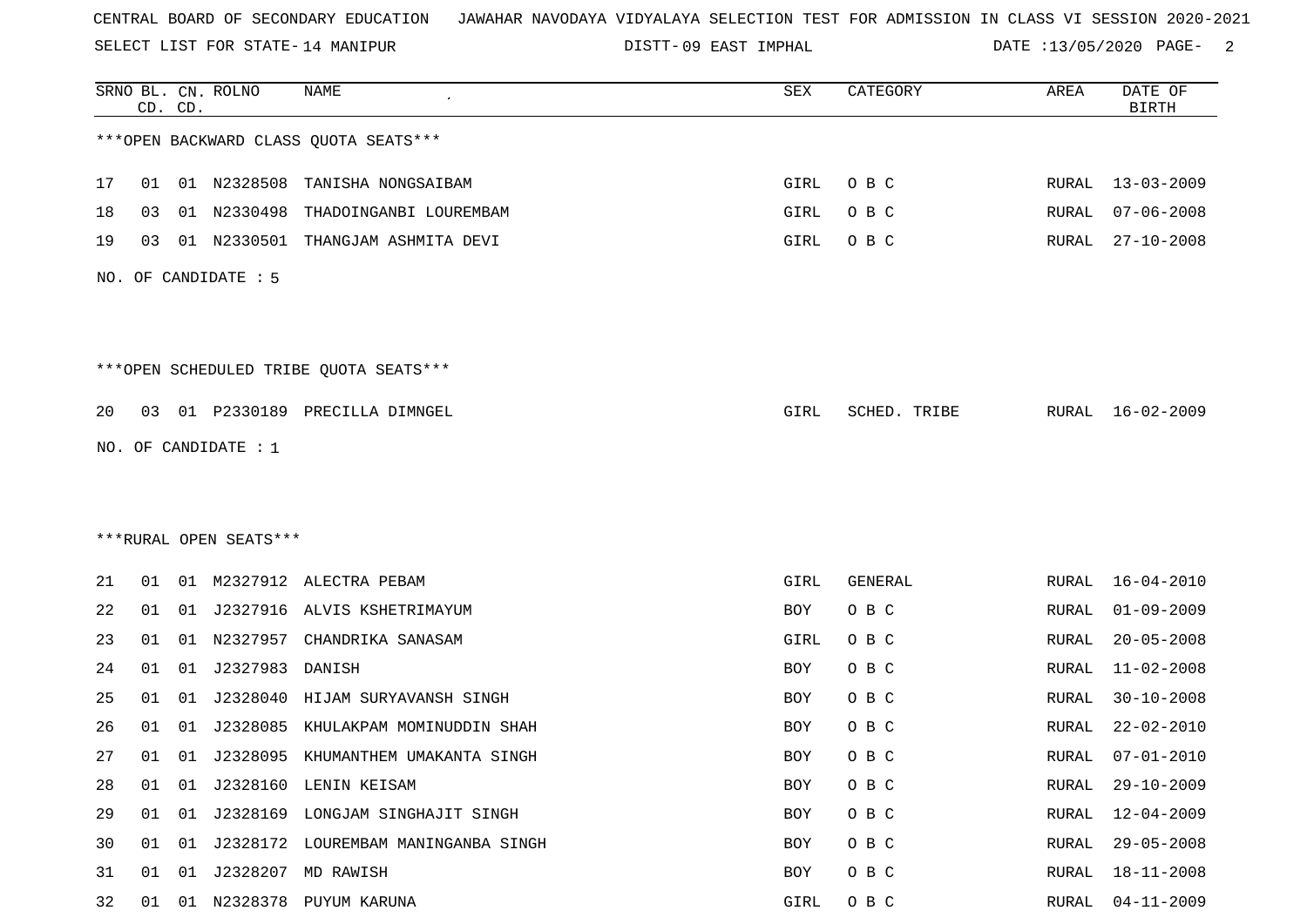SELECT LIST FOR STATE- DISTT- 14 MANIPUR

09 EAST IMPHAL DATE :13/05/2020 PAGE- 2

|    |    | CD. CD. | SRNO BL. CN. ROLNO     | <b>NAME</b>                             | SEX  | CATEGORY     | AREA         | DATE OF<br><b>BIRTH</b> |
|----|----|---------|------------------------|-----------------------------------------|------|--------------|--------------|-------------------------|
|    |    |         |                        | *** OPEN BACKWARD CLASS QUOTA SEATS***  |      |              |              |                         |
| 17 | 01 |         | 01 N2328508            | TANISHA NONGSAIBAM                      | GIRL | O B C        | RURAL        | 13-03-2009              |
| 18 | 03 |         | 01 N2330498            | THADOINGANBI LOUREMBAM                  | GIRL | O B C        | RURAL        | $07 - 06 - 2008$        |
| 19 | 03 |         |                        | 01 N2330501 THANGJAM ASHMITA DEVI       | GIRL | O B C        | RURAL        | $27 - 10 - 2008$        |
|    |    |         | NO. OF CANDIDATE : 5   |                                         |      |              |              |                         |
|    |    |         |                        | *** OPEN SCHEDULED TRIBE QUOTA SEATS*** |      |              |              |                         |
| 20 | 03 |         |                        | 01 P2330189 PRECILLA DIMNGEL            | GIRL | SCHED. TRIBE |              | RURAL 16-02-2009        |
|    |    |         | NO. OF CANDIDATE : 1   |                                         |      |              |              |                         |
|    |    |         |                        |                                         |      |              |              |                         |
|    |    |         |                        |                                         |      |              |              |                         |
|    |    |         | ***RURAL OPEN SEATS*** |                                         |      |              |              |                         |
| 21 | 01 |         |                        | 01 M2327912 ALECTRA PEBAM               | GIRL | GENERAL      | RURAL        | $16 - 04 - 2010$        |
| 22 | 01 |         |                        | 01 J2327916 ALVIS KSHETRIMAYUM          | BOY  | O B C        | RURAL        | $01 - 09 - 2009$        |
| 23 | 01 | 01      | N2327957               | CHANDRIKA SANASAM                       | GIRL | O B C        | <b>RURAL</b> | $20 - 05 - 2008$        |
| 24 | 01 | 01      | J2327983               | DANISH                                  | BOY  | O B C        | RURAL        | $11 - 02 - 2008$        |
| 25 | 01 | 01      | J2328040               | HIJAM SURYAVANSH SINGH                  | BOY  | O B C        | <b>RURAL</b> | $30 - 10 - 2008$        |
| 26 | 01 | 01      | J2328085               | KHULAKPAM MOMINUDDIN SHAH               | BOY  | O B C        | RURAL        | $22 - 02 - 2010$        |
| 27 | 01 | 01      |                        | J2328095 KHUMANTHEM UMAKANTA SINGH      | BOY  | O B C        | RURAL        | $07 - 01 - 2010$        |
| 28 | 01 | 01      |                        | J2328160 LENIN KEISAM                   | BOY  | O B C        | <b>RURAL</b> | $29 - 10 - 2009$        |
| 29 | 01 | 01      |                        | J2328169 LONGJAM SINGHAJIT SINGH        | BOY  | O B C        | RURAL        | $12 - 04 - 2009$        |
| 30 | 01 | 01      |                        | J2328172 LOUREMBAM MANINGANBA SINGH     | BOY  | O B C        | RURAL        | $29 - 05 - 2008$        |
| 31 | 01 | 01      | J2328207               | MD RAWISH                               | BOY  | O B C        | <b>RURAL</b> | $18 - 11 - 2008$        |
| 32 | 01 | 01      |                        | N2328378 PUYUM KARUNA                   | GIRL | O B C        | <b>RURAL</b> | $04 - 11 - 2009$        |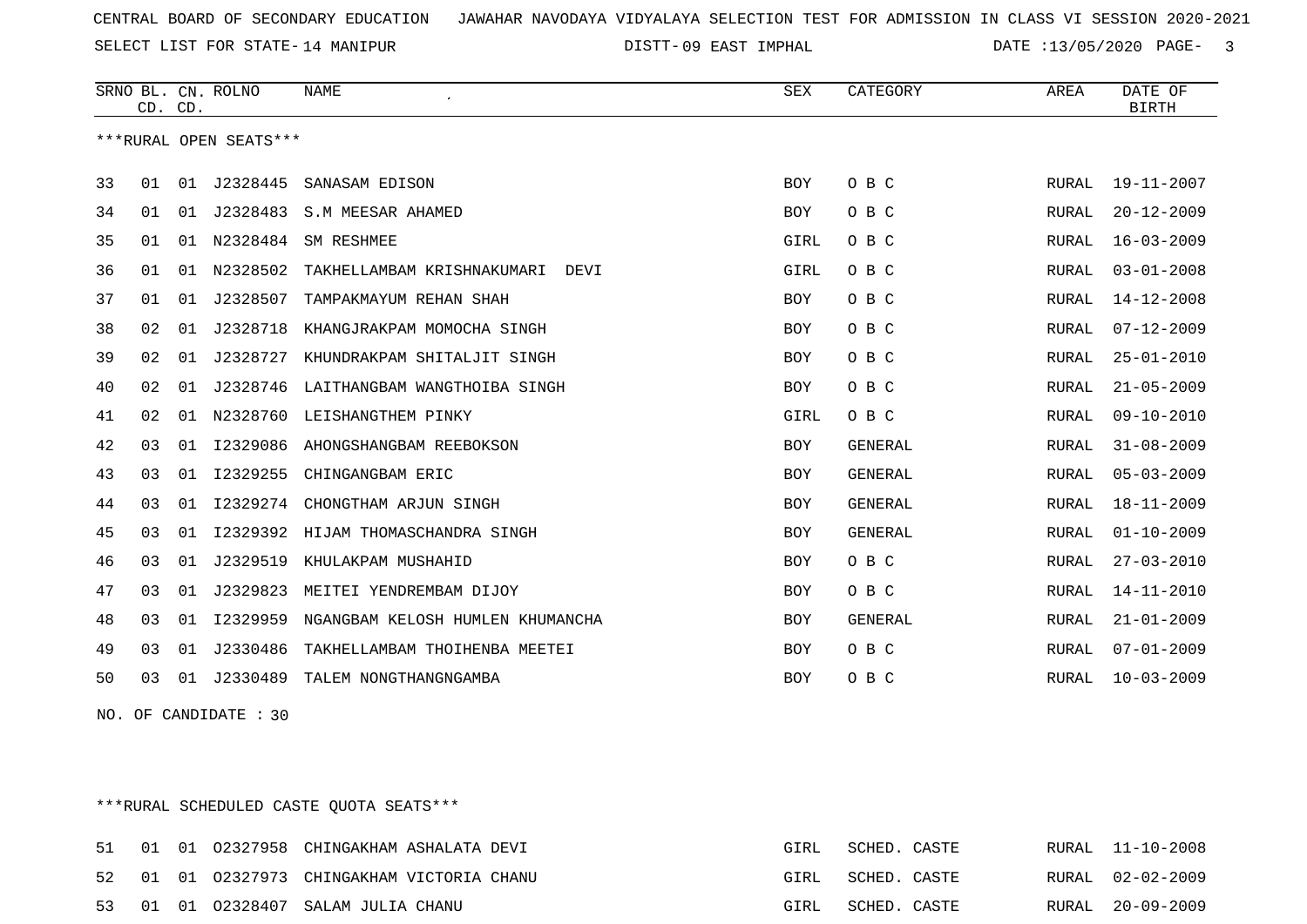SELECT LIST FOR STATE- DISTT- 14 MANIPUR

09 EAST IMPHAL DATE :13/05/2020 PAGE- 3

|    | CD. CD. |    | SRNO BL. CN. ROLNO     | <b>NAME</b>                        | <b>SEX</b> | CATEGORY       | AREA         | DATE OF<br><b>BIRTH</b> |
|----|---------|----|------------------------|------------------------------------|------------|----------------|--------------|-------------------------|
|    |         |    | ***RURAL OPEN SEATS*** |                                    |            |                |              |                         |
| 33 | 01      | 01 | J2328445               | SANASAM EDISON                     | <b>BOY</b> | O B C          | RURAL        | $19 - 11 - 2007$        |
| 34 | 01      | 01 | J2328483               | S.M MEESAR AHAMED                  | BOY        | O B C          | RURAL        | $20 - 12 - 2009$        |
| 35 | 01      | 01 | N2328484               | SM RESHMEE                         | GIRL       | O B C          | <b>RURAL</b> | $16 - 03 - 2009$        |
| 36 | 01      | 01 | N2328502               | TAKHELLAMBAM KRISHNAKUMARI<br>DEVI | GIRL       | O B C          | RURAL        | $03 - 01 - 2008$        |
| 37 | 01      | 01 | J2328507               | TAMPAKMAYUM REHAN SHAH             | <b>BOY</b> | O B C          | <b>RURAL</b> | $14 - 12 - 2008$        |
| 38 | 02      | 01 | J2328718               | KHANGJRAKPAM MOMOCHA SINGH         | BOY        | O B C          | RURAL        | $07 - 12 - 2009$        |
| 39 | 02      | 01 | J2328727               | KHUNDRAKPAM SHITALJIT SINGH        | <b>BOY</b> | O B C          | <b>RURAL</b> | $25 - 01 - 2010$        |
| 40 | 02      | 01 | J2328746               | LAITHANGBAM WANGTHOIBA SINGH       | BOY        | O B C          | RURAL        | $21 - 05 - 2009$        |
| 41 | 02      | 01 | N2328760               | LEISHANGTHEM PINKY                 | GIRL       | O B C          | RURAL        | $09 - 10 - 2010$        |
| 42 | 03      | 01 | I2329086               | AHONGSHANGBAM REEBOKSON            | BOY        | <b>GENERAL</b> | <b>RURAL</b> | $31 - 08 - 2009$        |
| 43 | 03      | 01 | I2329255               | CHINGANGBAM ERIC                   | <b>BOY</b> | <b>GENERAL</b> | RURAL        | $05 - 03 - 2009$        |
| 44 | 03      | 01 | I2329274               | CHONGTHAM ARJUN SINGH              | <b>BOY</b> | GENERAL        | RURAL        | $18 - 11 - 2009$        |
| 45 | 03      | 01 | I2329392               | HIJAM THOMASCHANDRA SINGH          | <b>BOY</b> | <b>GENERAL</b> | <b>RURAL</b> | $01 - 10 - 2009$        |
| 46 | 03      | 01 | J2329519               | KHULAKPAM MUSHAHID                 | BOY        | O B C          | <b>RURAL</b> | $27 - 03 - 2010$        |
| 47 | 03      | 01 | J2329823               | MEITEI YENDREMBAM DIJOY            | BOY        | O B C          | RURAL        | $14 - 11 - 2010$        |
| 48 | 03      | 01 | I2329959               | NGANGBAM KELOSH HUMLEN KHUMANCHA   | BOY        | GENERAL        | RURAL        | $21 - 01 - 2009$        |
| 49 | 03      | 01 | J2330486               | TAKHELLAMBAM THOIHENBA MEETEI      | BOY        | O B C          | <b>RURAL</b> | $07 - 01 - 2009$        |
| 50 | 03      | 01 | J2330489               | TALEM NONGTHANGNGAMBA              | <b>BOY</b> | O B C          | <b>RURAL</b> | $10 - 03 - 2009$        |

NO. OF CANDIDATE : 30

\*\*\*RURAL SCHEDULED CASTE QUOTA SEATS\*\*\*

| 51 |  | 01 01 02327958 CHINGAKHAM ASHALATA DEVI     | GIRL | SCHED. CASTE | RURAL 11-10-2008 |
|----|--|---------------------------------------------|------|--------------|------------------|
|    |  | 52 01 01 02327973 CHINGAKHAM VICTORIA CHANU | GIRL | SCHED. CASTE | RURAL 02-02-2009 |
|    |  | 53 01 01 02328407 SALAM JULIA CHANU         | GIRL | SCHED. CASTE | RURAL 20-09-2009 |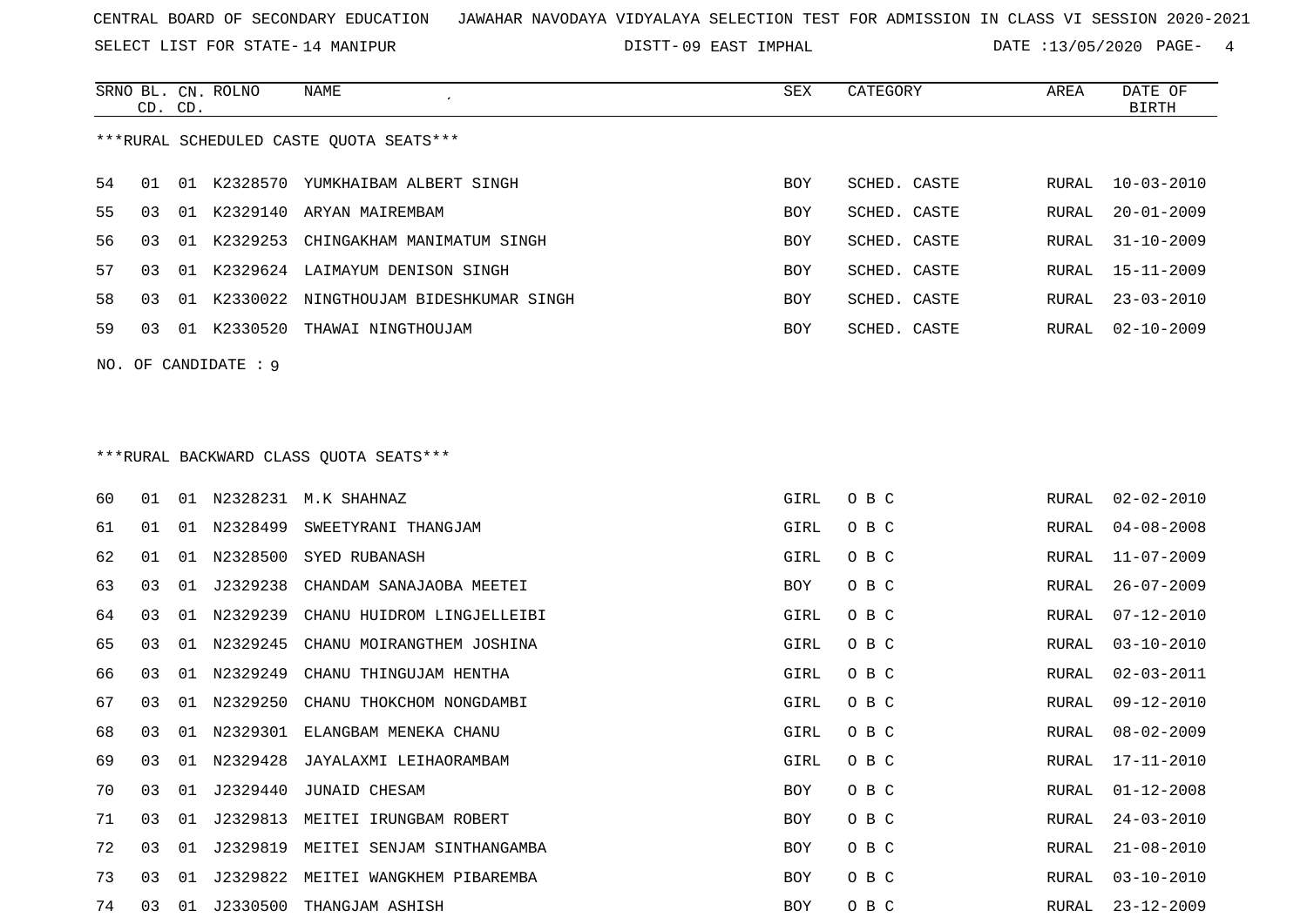SELECT LIST FOR STATE- DISTT- 14 MANIPUR

DISTT-09 EAST IMPHAL DATE :13/05/2020 PAGE- 4

|                                         | SRNO BL. CN. ROLNO<br>CD. CD. |       |                      | NAME<br>$\cdot$                     | SEX        | CATEGORY     | AREA  | DATE OF<br>BIRTH |
|-----------------------------------------|-------------------------------|-------|----------------------|-------------------------------------|------------|--------------|-------|------------------|
| ***RURAL SCHEDULED CASTE OUOTA SEATS*** |                               |       |                      |                                     |            |              |       |                  |
| 54                                      | 01                            |       | 01 K2328570          | YUMKHAIBAM ALBERT SINGH             | <b>BOY</b> | SCHED. CASTE | RURAL | $10 - 03 - 2010$ |
| 55                                      | 0.3                           | O 1   | K2329140             | ARYAN MAIREMBAM                     | <b>BOY</b> | SCHED. CASTE | RURAL | $20 - 01 - 2009$ |
| 56                                      | 03                            | 01    |                      | K2329253 CHINGAKHAM MANIMATUM SINGH | <b>BOY</b> | SCHED. CASTE | RURAL | $31 - 10 - 2009$ |
| 57                                      | 0.3                           | 01    | K2329624             | LAIMAYUM DENISON SINGH              | <b>BOY</b> | SCHED. CASTE | RURAL | $15 - 11 - 2009$ |
| 58                                      | 0.3                           | . N 1 | K2330022             | NINGTHOUJAM BIDESHKUMAR SINGH       | <b>BOY</b> | SCHED. CASTE | RURAL | $23 - 03 - 2010$ |
| 59                                      | 03                            | 01    | K2330520             | THAWAI NINGTHOUJAM                  | <b>BOY</b> | SCHED. CASTE | RURAL | $02 - 10 - 2009$ |
|                                         |                               |       | NO. OF CANDIDATE : 9 |                                     |            |              |       |                  |

## \*\*\*RURAL BACKWARD CLASS QUOTA SEATS\*\*\*

| 60 | 01             | 01 |             | N2328231 M.K SHAHNAZ                | GIRL       | O B C | RURAL | $02 - 02 - 2010$ |
|----|----------------|----|-------------|-------------------------------------|------------|-------|-------|------------------|
| 61 | 01             |    | 01 N2328499 | SWEETYRANI THANGJAM                 | GIRL       | O B C | RURAL | $04 - 08 - 2008$ |
| 62 | 01             |    |             | 01 N2328500 SYED RUBANASH           | GIRL       | O B C | RURAL | 11-07-2009       |
| 63 | 03             | 01 | J2329238    | CHANDAM SANAJAOBA MEETEI            | <b>BOY</b> | O B C | RURAL | $26 - 07 - 2009$ |
| 64 | 03             | 01 | N2329239    | CHANU HUIDROM LINGJELLEIBI          | GIRL       | O B C | RURAL | $07 - 12 - 2010$ |
| 65 | 0 <sub>3</sub> | 01 | N2329245    | CHANU MOIRANGTHEM JOSHINA           | GIRL       | O B C | RURAL | $03 - 10 - 2010$ |
| 66 | 03             |    | 01 N2329249 | CHANU THINGUJAM HENTHA              | GIRL       | O B C | RURAL | $02 - 03 - 2011$ |
| 67 | 03             |    | 01 N2329250 | CHANU THOKCHOM NONGDAMBI            | GIRL       | O B C | RURAL | 09-12-2010       |
| 68 | 03             |    | 01 N2329301 | ELANGBAM MENEKA CHANU               | GIRL       | O B C | RURAL | $08 - 02 - 2009$ |
| 69 | 03             |    |             | 01 N2329428 JAYALAXMI LEIHAORAMBAM  | GIRL       | O B C | RURAL | 17-11-2010       |
| 70 | 03             | 01 | J2329440    | JUNAID CHESAM                       | <b>BOY</b> | O B C | RURAL | $01 - 12 - 2008$ |
| 71 | 03             | 01 |             | J2329813 MEITEI IRUNGBAM ROBERT     | BOY        | O B C | RURAL | $24 - 03 - 2010$ |
| 72 | 03             | 01 |             | J2329819 MEITEI SENJAM SINTHANGAMBA | BOY        | O B C | RURAL | $21 - 08 - 2010$ |
| 73 | 03             | 01 |             | J2329822 MEITEI WANGKHEM PIBAREMBA  | <b>BOY</b> | O B C | RURAL | $03 - 10 - 2010$ |
| 74 | 03             | 01 | J2330500    | THANGJAM ASHISH                     | BOY        | O B C | RURAL | $23 - 12 - 2009$ |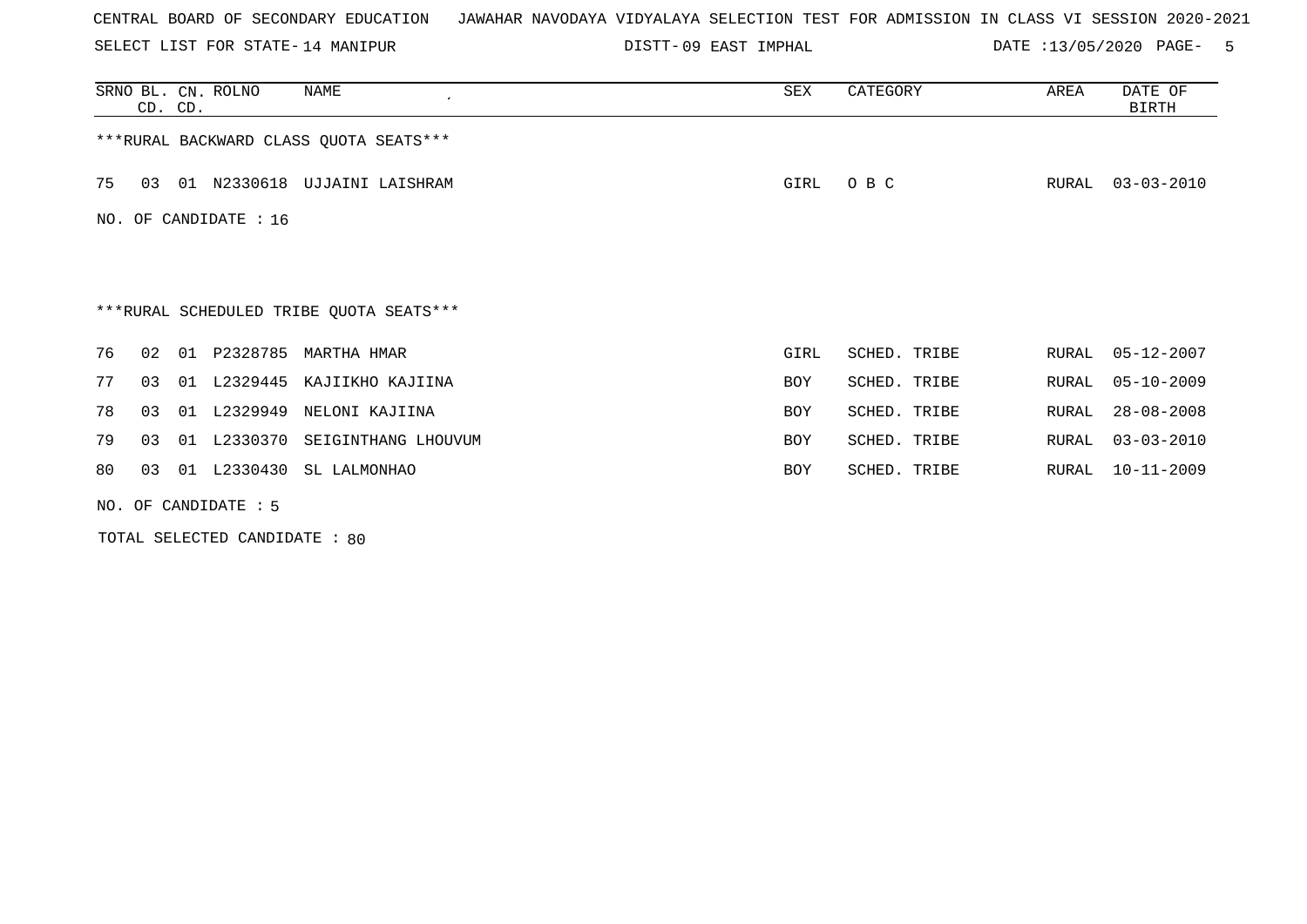SELECT LIST FOR STATE- DISTT- 14 MANIPUR

DISTT-09 EAST IMPHAL **DATE** :13/05/2020 PAGE- 5

|     | CD. CD. |    | SRNO BL. CN. ROLNO   | NAME<br>$\epsilon$                      | SEX        | CATEGORY     | AREA  | DATE OF<br><b>BIRTH</b> |
|-----|---------|----|----------------------|-----------------------------------------|------------|--------------|-------|-------------------------|
|     |         |    |                      | *** RURAL BACKWARD CLASS QUOTA SEATS*** |            |              |       |                         |
| 75  | 03      |    |                      | 01 N2330618 UJJAINI LAISHRAM            | GIRL       | O B C        | RURAL | $03 - 03 - 2010$        |
| NO. |         |    | OF CANDIDATE : 16    |                                         |            |              |       |                         |
|     |         |    |                      |                                         |            |              |       |                         |
|     |         |    |                      | ***RURAL SCHEDULED TRIBE QUOTA SEATS*** |            |              |       |                         |
| 76  | 02      | 01 |                      | P2328785 MARTHA HMAR                    | GIRL       | SCHED. TRIBE | RURAL | $05 - 12 - 2007$        |
| 77  | 03      | 01 | L2329445             | KAJIIKHO KAJIINA                        | BOY        | SCHED. TRIBE | RURAL | $05 - 10 - 2009$        |
| 78  | 03      | 01 | L2329949             | NELONI KAJIINA                          | <b>BOY</b> | SCHED. TRIBE | RURAL | $28 - 08 - 2008$        |
| 79  | 03      | 01 | L2330370             | SEIGINTHANG LHOUVUM                     | <b>BOY</b> | SCHED. TRIBE | RURAL | $03 - 03 - 2010$        |
| 80  | 03      | 01 | L2330430             | SL LALMONHAO                            | <b>BOY</b> | SCHED. TRIBE | RURAL | $10 - 11 - 2009$        |
|     |         |    | NO. OF CANDIDATE : 5 |                                         |            |              |       |                         |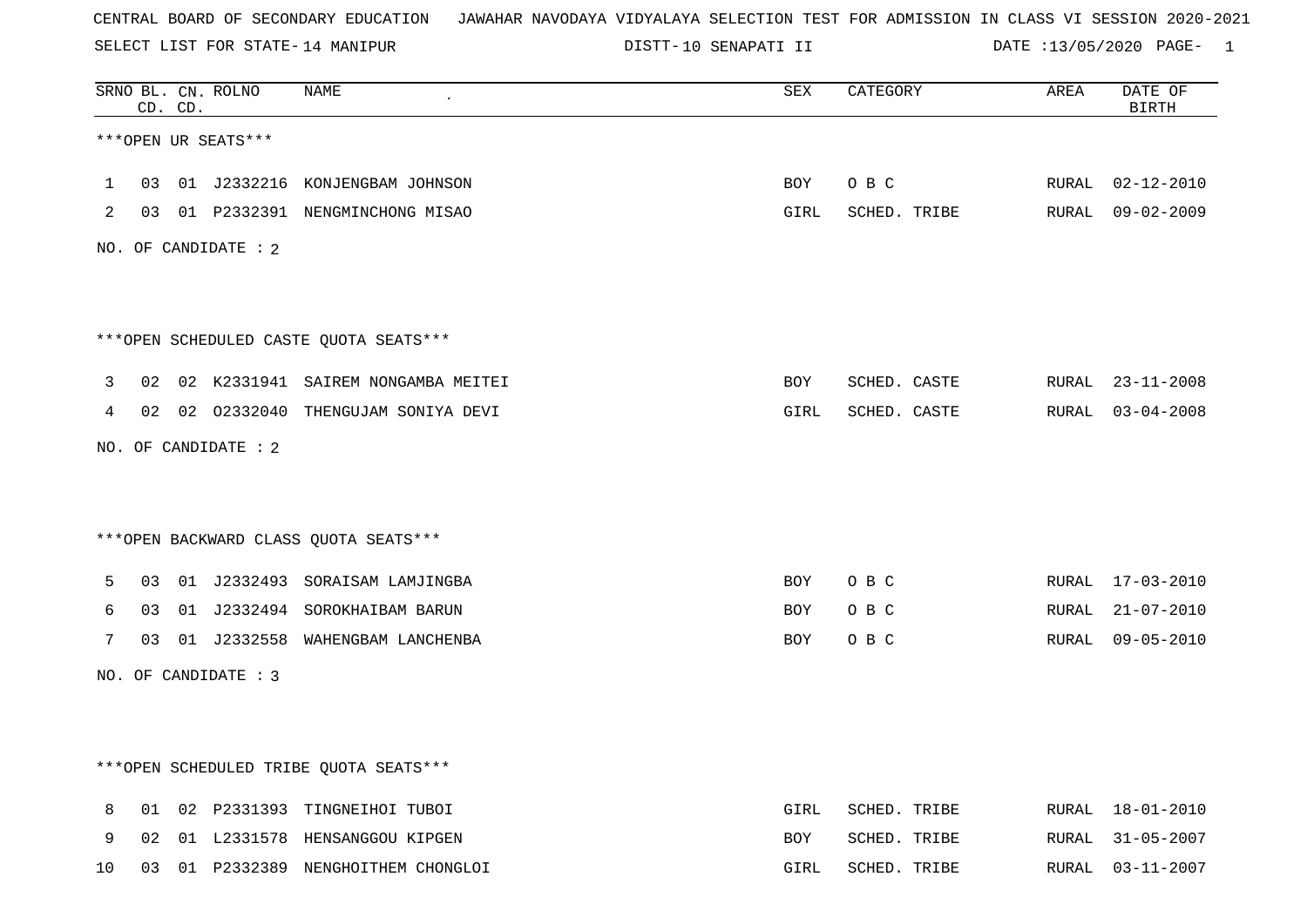SELECT LIST FOR STATE- DISTT- 14 MANIPUR

10 SENAPATI II DATE :13/05/2020 PAGE- 1

|              |     | CD. CD. | SRNO BL. CN. ROLNO   | NAME                                    | <b>SEX</b> | CATEGORY     | AREA  | DATE OF<br><b>BIRTH</b> |
|--------------|-----|---------|----------------------|-----------------------------------------|------------|--------------|-------|-------------------------|
|              |     |         | ***OPEN UR SEATS***  |                                         |            |              |       |                         |
| $\mathbf{1}$ | 03  |         |                      | 01 J2332216 KONJENGBAM JOHNSON          | BOY        | O B C        |       | RURAL 02-12-2010        |
| 2            |     |         |                      | 03 01 P2332391 NENGMINCHONG MISAO       | GIRL       | SCHED. TRIBE |       | RURAL 09-02-2009        |
|              |     |         | NO. OF CANDIDATE : 2 |                                         |            |              |       |                         |
|              |     |         |                      |                                         |            |              |       |                         |
|              |     |         |                      | *** OPEN SCHEDULED CASTE QUOTA SEATS*** |            |              |       |                         |
| 3            | 02  |         |                      | 02 K2331941 SAIREM NONGAMBA MEITEI      | BOY        | SCHED. CASTE |       | RURAL 23-11-2008        |
| 4            |     |         |                      | 02 02 02332040 THENGUJAM SONIYA DEVI    | GIRL       | SCHED. CASTE |       | RURAL 03-04-2008        |
|              |     |         | NO. OF CANDIDATE : 2 |                                         |            |              |       |                         |
|              |     |         |                      |                                         |            |              |       |                         |
|              |     |         |                      | *** OPEN BACKWARD CLASS QUOTA SEATS***  |            |              |       |                         |
| 5            | 03  |         |                      | 01 J2332493 SORAISAM LAMJINGBA          | BOY        | O B C        |       | RURAL 17-03-2010        |
| 6            | 03  |         |                      | 01 J2332494 SOROKHAIBAM BARUN           | BOY        | O B C        | RURAL | $21 - 07 - 2010$        |
| 7            | 0.3 |         |                      | 01 J2332558 WAHENGBAM LANCHENBA         | BOY        | O B C        |       | RURAL 09-05-2010        |
|              |     |         | NO. OF CANDIDATE : 3 |                                         |            |              |       |                         |
|              |     |         |                      |                                         |            |              |       |                         |
|              |     |         |                      |                                         |            |              |       |                         |
|              |     |         |                      | ***OPEN SCHEDULED TRIBE QUOTA SEATS***  |            |              |       |                         |
| 8            |     |         |                      | 01 02 P2331393 TINGNEIHOI TUBOI         | GIRL       | SCHED. TRIBE |       | RURAL 18-01-2010        |
| 9            | 02  |         |                      | 01 L2331578 HENSANGGOU KIPGEN           | BOY        | SCHED. TRIBE | RURAL | $31 - 05 - 2007$        |
| 10           | 03  |         |                      | 01 P2332389 NENGHOITHEM CHONGLOI        | GIRL       | SCHED. TRIBE | RURAL | $03 - 11 - 2007$        |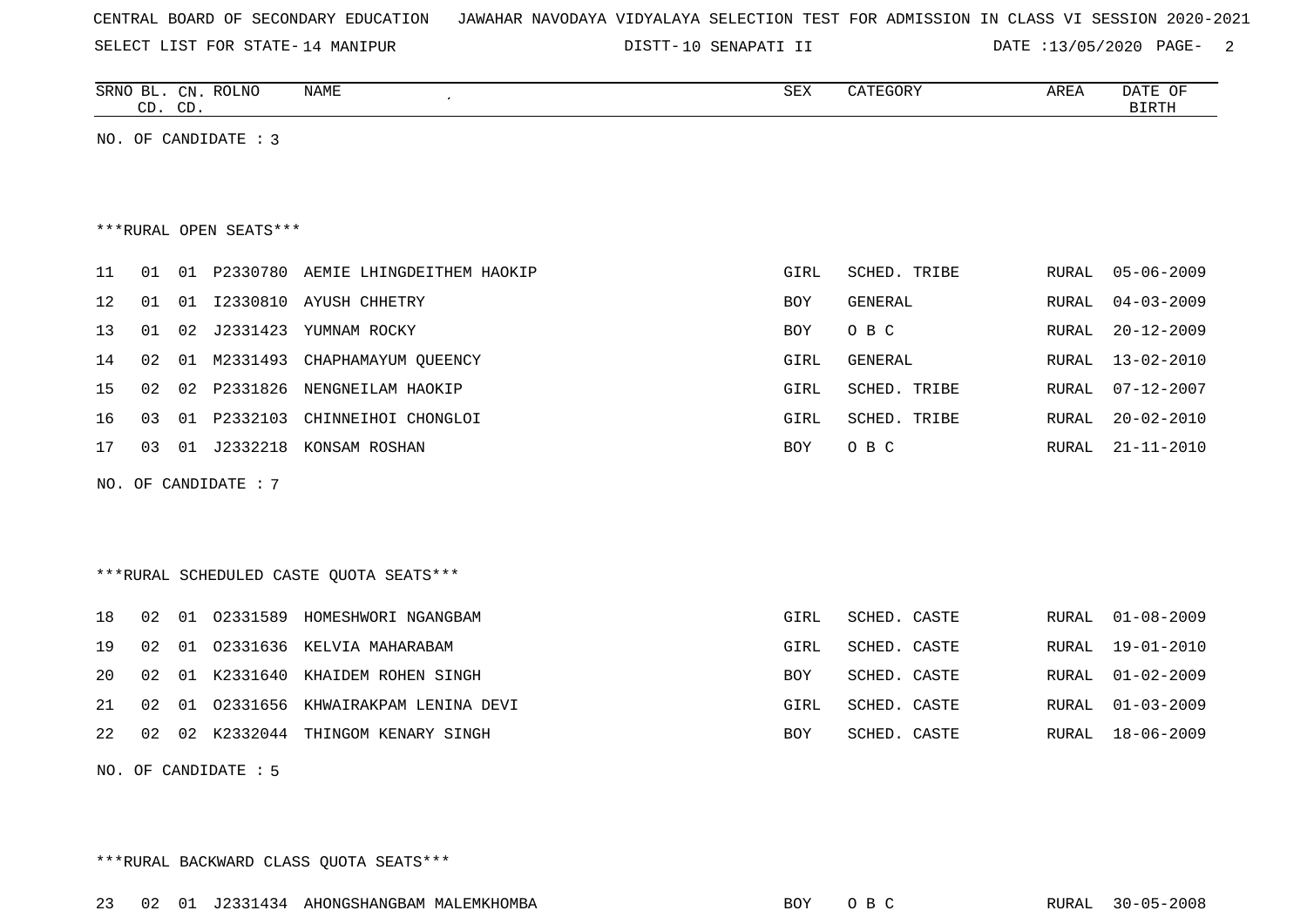|  |  |  |  | CENTRAL BOARD OF SECONDARY EDUCATION – JAWAHAR NAVODAYA VIDYALAYA SELECTION TEST FOR ADMISSION IN CLASS VI SESSION 2020-2021 |  |  |  |  |  |  |  |  |
|--|--|--|--|------------------------------------------------------------------------------------------------------------------------------|--|--|--|--|--|--|--|--|
|--|--|--|--|------------------------------------------------------------------------------------------------------------------------------|--|--|--|--|--|--|--|--|

SELECT LIST FOR STATE- DISTT- 14 MANIPUR

10 SENAPATI II DATE :13/05/2020 PAGE- 2

|           | SRNO BL. CN. ROLNO | NAME | SEX | CATEGORY | AREA | DATE OF      |
|-----------|--------------------|------|-----|----------|------|--------------|
| CD.       | CD.                |      |     |          |      | <b>BIRTH</b> |
| NO.<br>OF | CANDIDATE : 3      |      |     |          |      |              |

#### \*\*\*RURAL OPEN SEATS\*\*\*

| 11 | 01 | 01              |          | P2330780 AEMIE LHINGDEITHEM HAOKIP | GIRL       | SCHED. TRIBE |       | RURAL 05-06-2009 |
|----|----|-----------------|----------|------------------------------------|------------|--------------|-------|------------------|
| 12 | 01 | 01              | I2330810 | AYUSH CHHETRY                      | <b>BOY</b> | GENERAL      | RURAL | 04-03-2009       |
| 13 | 01 | 02 <sub>o</sub> | J2331423 | YUMNAM ROCKY                       | <b>BOY</b> | O B C        | RURAL | 20-12-2009       |
| 14 |    |                 |          | CHAPHAMAYUM OUEENCY                | GIRL       | GENERAL      | RURAL | 13-02-2010       |
| 15 | 02 |                 |          | 02 P2331826 NENGNEILAM HAOKIP      | GIRL       | SCHED. TRIBE | RURAL | 07-12-2007       |
| 16 | 03 | 01              | P2332103 | CHINNEIHOI CHONGLOI                | GIRL       | SCHED. TRIBE | RURAL | 20-02-2010       |
| 17 | 03 | . በ 1           | J2332218 | KONSAM ROSHAN                      | <b>BOY</b> | O B C        | RURAL | 21-11-2010       |
|    |    |                 |          |                                    |            |              |       |                  |

NO. OF CANDIDATE : 7

\*\*\*RURAL SCHEDULED CASTE QUOTA SEATS\*\*\*

|  |  | GIRL                                                                                                                                                                                                     |              |              | RURAL 01-08-2009 |
|--|--|----------------------------------------------------------------------------------------------------------------------------------------------------------------------------------------------------------|--------------|--------------|------------------|
|  |  | GIRL                                                                                                                                                                                                     | SCHED. CASTE |              | RURAL 19-01-2010 |
|  |  | <b>BOY</b>                                                                                                                                                                                               | SCHED. CASTE |              | RURAL 01-02-2009 |
|  |  | GIRL                                                                                                                                                                                                     | SCHED. CASTE |              | RURAL 01-03-2009 |
|  |  | BOY                                                                                                                                                                                                      | SCHED. CASTE |              | RURAL 18-06-2009 |
|  |  | 02 01 02331589 HOMESHWORI NGANGBAM<br>19 02 01 02331636 KELVIA MAHARABAM<br>20 02 01 K2331640 KHAIDEM ROHEN SINGH<br>21 02 01 02331656 KHWAIRAKPAM LENINA DEVI<br>22 02 02 K2332044 THINGOM KENARY SINGH |              | SCHED. CASTE |                  |

NO. OF CANDIDATE : 5

\*\*\*RURAL BACKWARD CLASS QUOTA SEATS\*\*\*

23 02 01 J2331434 AHONGSHANGBAM MALEMKHOMBA BOY O B C RURAL 30-05-2008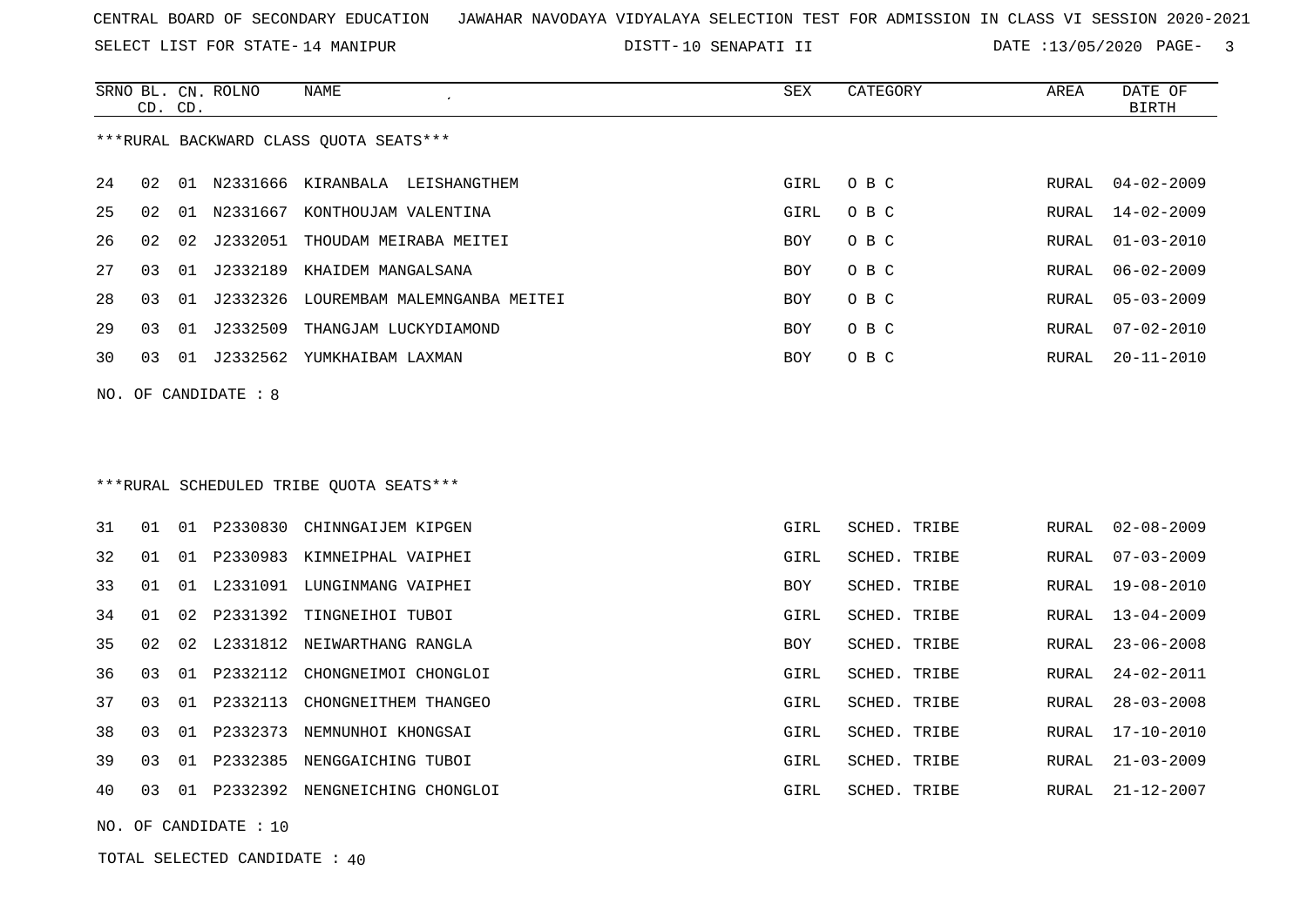SELECT LIST FOR STATE- DISTT- 14 MANIPUR

10 SENAPATI II DATE :13/05/2020 PAGE- 3

|     | CD. CD. |    | SRNO BL. CN. ROLNO | NAME                                   | SEX        | CATEGORY | AREA  | DATE OF<br>BIRTH |
|-----|---------|----|--------------------|----------------------------------------|------------|----------|-------|------------------|
|     |         |    |                    | ***RURAL BACKWARD CLASS OUOTA SEATS*** |            |          |       |                  |
| 24  | 02      | 01 |                    | N2331666 KIRANBALA LEISHANGTHEM        | GIRL       | O B C    |       | RURAL 04-02-2009 |
| 25  | 02      | 01 | N2331667           | KONTHOUJAM VALENTINA                   | GIRL       | O B C    | RURAL | $14 - 02 - 2009$ |
| 26  | 02      | 02 | J2332051           | THOUDAM MEIRABA MEITEI                 | BOY        | O B C    | RURAL | $01 - 03 - 2010$ |
| 27  | 03      | 01 | J2332189           | KHAIDEM MANGALSANA                     | BOY        | O B C    | RURAL | $06 - 02 - 2009$ |
| 28  | 03      | 01 | J2332326           | LOUREMBAM MALEMNGANBA MEITEI           | <b>BOY</b> | O B C    | RURAL | $05 - 03 - 2009$ |
| 29  | 03      | 01 | J2332509           | THANGJAM LUCKYDIAMOND                  | <b>BOY</b> | O B C    | RURAL | $07 - 02 - 2010$ |
| 30  | 03      | 01 | J2332562           | YUMKHAIBAM LAXMAN                      | BOY        | O B C    | RURAL | 20-11-2010       |
| NO. |         |    | OF CANDIDATE : 8   |                                        |            |          |       |                  |

# \*\*\*RURAL SCHEDULED TRIBE QUOTA SEATS\*\*\*

| 31 | 01              | 01    |                | P2330830 CHINNGAIJEM KIPGEN     | GIRL       | SCHED. TRIBE |       | RURAL 02-08-2009 |
|----|-----------------|-------|----------------|---------------------------------|------------|--------------|-------|------------------|
| 32 | 01              |       | 01 P2330983    | KIMNEIPHAL VAIPHEI              | GIRL       | SCHED. TRIBE | RURAL | $07 - 03 - 2009$ |
| 33 |                 |       | 01 01 L2331091 | LUNGINMANG VAIPHEI              | BOY        | SCHED. TRIBE |       | RURAL 19-08-2010 |
| 34 |                 |       |                | 01 02 P2331392 TINGNEIHOI TUBOI | GIRL       | SCHED. TRIBE |       | RURAL 13-04-2009 |
| 35 | 02 <sub>o</sub> |       |                | 02 L2331812 NEIWARTHANG RANGLA  | <b>BOY</b> | SCHED. TRIBE | RURAL | 23-06-2008       |
| 36 | 03              | 01    |                | P2332112 CHONGNEIMOI CHONGLOI   | GIRL       | SCHED. TRIBE |       | RURAL 24-02-2011 |
| 37 | 03              | 01    | P2332113       | CHONGNEITHEM THANGEO            | GIRL       | SCHED, TRIBE | RURAL | $28 - 03 - 2008$ |
| 38 | 03              |       | 01 P2332373    | NEMNUNHOI KHONGSAI              | GIRL       | SCHED, TRIBE |       | RURAL 17-10-2010 |
| 39 | 03              |       | 01 P2332385    | NENGGAICHING TUBOI              | GIRL       | SCHED. TRIBE |       | RURAL 21-03-2009 |
| 40 | 03              | . N 1 | P2332392       | NENGNEICHING CHONGLOI           | GIRL       | SCHED. TRIBE | RURAL | 21-12-2007       |

NO. OF CANDIDATE : 10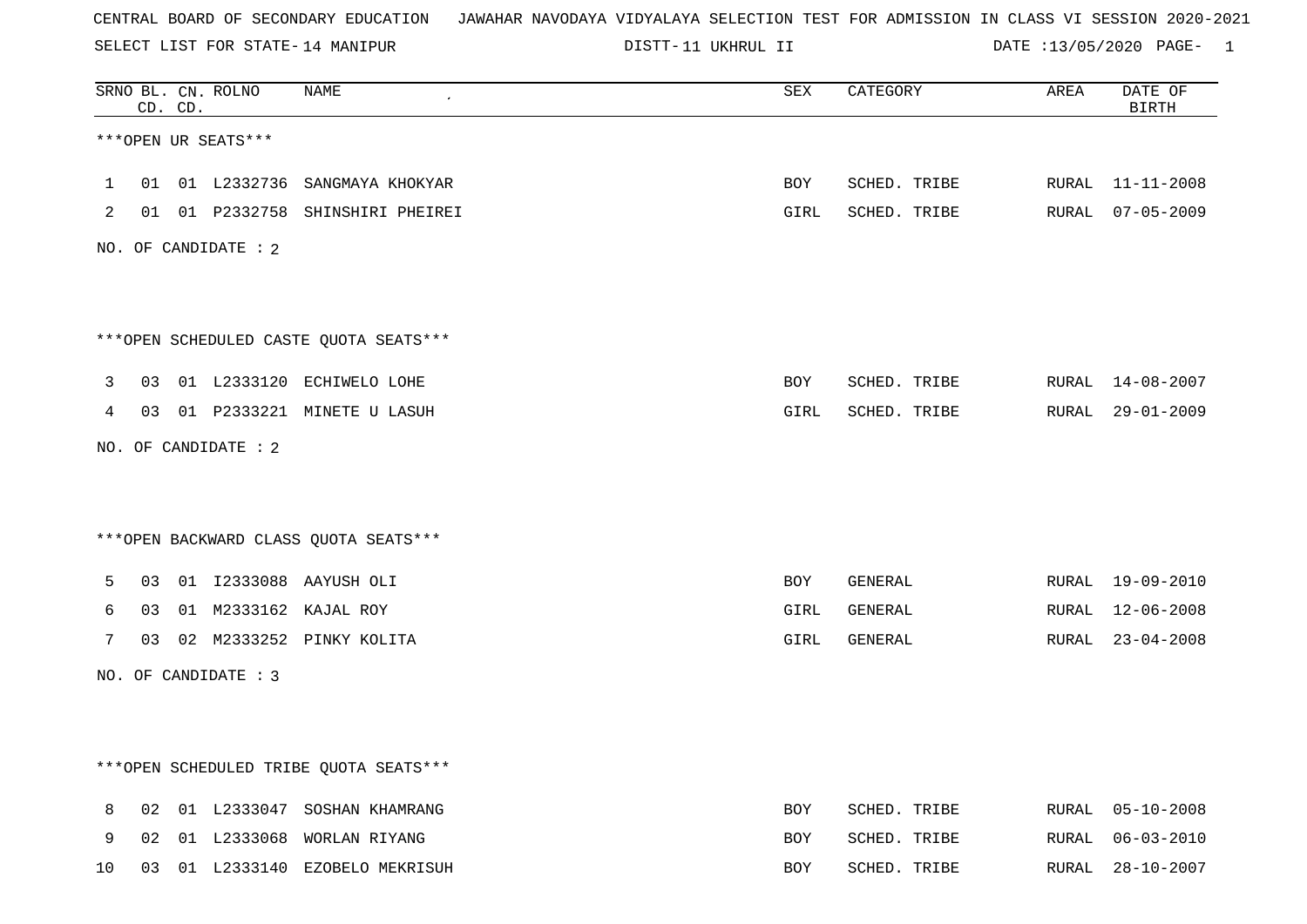SELECT LIST FOR STATE- DISTT- 14 MANIPUR

11 UKHRUL II DATE :13/05/2020 PAGE- 1

|             |    | CD. CD. | SRNO BL. CN. ROLNO   | <b>NAME</b>                            | SEX        | CATEGORY     | AREA  | DATE OF<br><b>BIRTH</b> |
|-------------|----|---------|----------------------|----------------------------------------|------------|--------------|-------|-------------------------|
|             |    |         | ***OPEN UR SEATS***  |                                        |            |              |       |                         |
| $\mathbf 1$ |    |         | 01 01 L2332736       | SANGMAYA KHOKYAR                       | <b>BOY</b> | SCHED. TRIBE | RURAL | $11 - 11 - 2008$        |
| 2           |    |         |                      | 01 01 P2332758 SHINSHIRI PHEIREI       | GIRL       | SCHED. TRIBE |       | RURAL 07-05-2009        |
|             |    |         | NO. OF CANDIDATE : 2 |                                        |            |              |       |                         |
|             |    |         |                      |                                        |            |              |       |                         |
|             |    |         |                      | ***OPEN SCHEDULED CASTE QUOTA SEATS*** |            |              |       |                         |
| 3           |    |         |                      | 03 01 L2333120 ECHIWELO LOHE           | BOY        | SCHED. TRIBE |       | RURAL 14-08-2007        |
| 4           |    |         |                      | 03 01 P2333221 MINETE U LASUH          | GIRL       | SCHED. TRIBE |       | RURAL 29-01-2009        |
|             |    |         | NO. OF CANDIDATE : 2 |                                        |            |              |       |                         |
|             |    |         |                      |                                        |            |              |       |                         |
|             |    |         |                      | *** OPEN BACKWARD CLASS QUOTA SEATS*** |            |              |       |                         |
| 5           | 03 |         |                      | 01 I2333088 AAYUSH OLI                 | BOY        | GENERAL      |       | RURAL 19-09-2010        |
| 6           | 03 |         |                      | 01 M2333162 KAJAL ROY                  | GIRL       | GENERAL      |       | RURAL 12-06-2008        |
| 7           |    |         |                      | 03 02 M2333252 PINKY KOLITA            | GIRL       | GENERAL      |       | RURAL 23-04-2008        |
|             |    |         | NO. OF CANDIDATE : 3 |                                        |            |              |       |                         |
|             |    |         |                      |                                        |            |              |       |                         |
|             |    |         |                      |                                        |            |              |       |                         |
|             |    |         |                      | ***OPEN SCHEDULED TRIBE QUOTA SEATS*** |            |              |       |                         |
| 8           | 02 |         |                      | 01 L2333047 SOSHAN KHAMRANG            | <b>BOY</b> | SCHED. TRIBE |       | RURAL 05-10-2008        |
| 9           | 02 |         |                      | 01 L2333068 WORLAN RIYANG              | <b>BOY</b> | SCHED. TRIBE | RURAL | $06 - 03 - 2010$        |

10 03 01 L2333140 EZOBELO MEKRISUH BOY SCHED. TRIBE RURAL 28-10-2007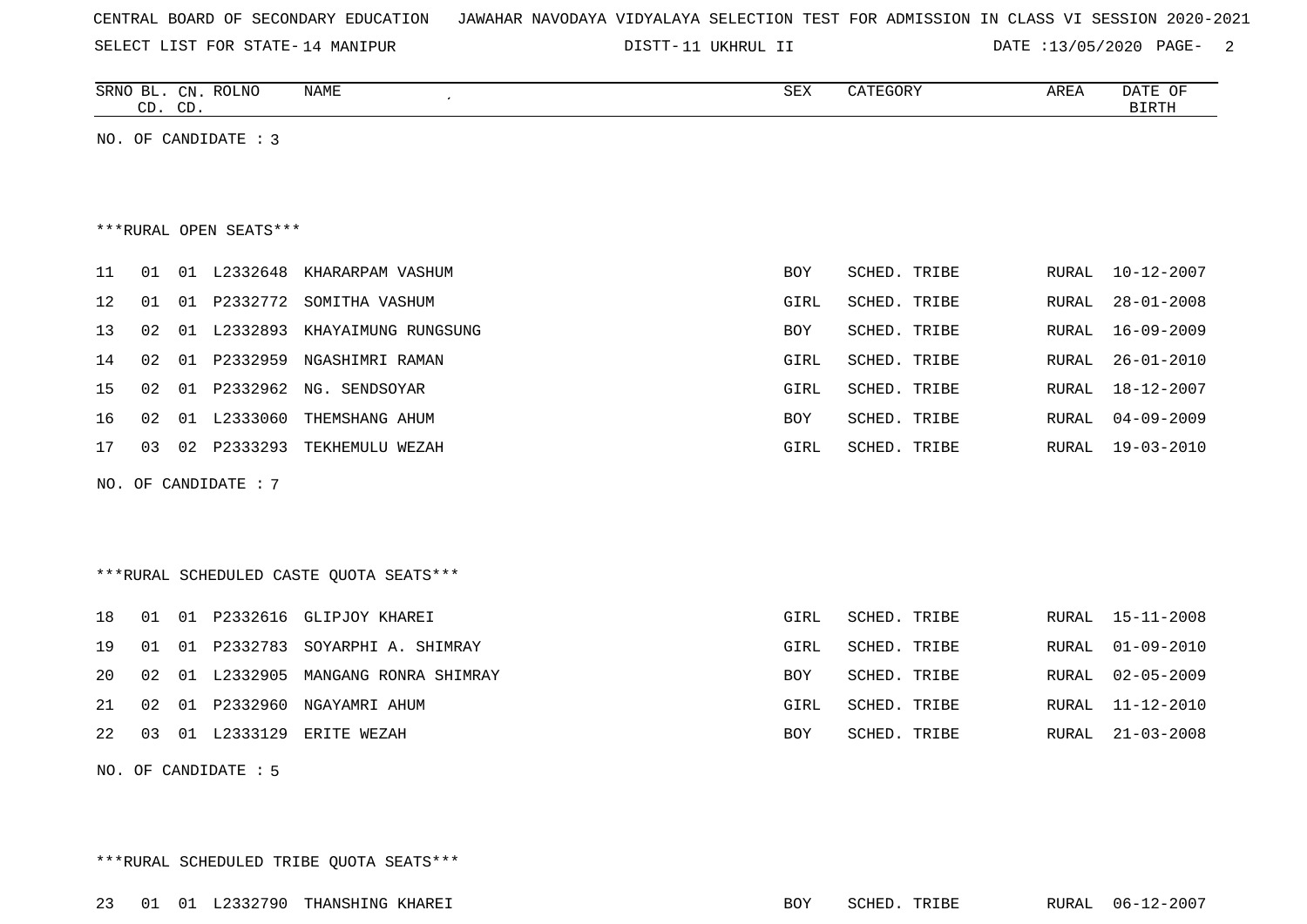|  |  |  |  | CENTRAL BOARD OF SECONDARY EDUCATION – JAWAHAR NAVODAYA VIDYALAYA SELECTION TEST FOR ADMISSION IN CLASS VI SESSION 2020-2021 |  |  |  |  |  |  |  |  |  |  |  |  |  |  |
|--|--|--|--|------------------------------------------------------------------------------------------------------------------------------|--|--|--|--|--|--|--|--|--|--|--|--|--|--|
|--|--|--|--|------------------------------------------------------------------------------------------------------------------------------|--|--|--|--|--|--|--|--|--|--|--|--|--|--|

SELECT LIST FOR STATE- DISTT- 14 MANIPUR

11 UKHRUL II DATE :13/05/2020 PAGE- 2

| SRNO BL. CN. ROLNO<br><b>NAME</b><br>CD. CD.     | <b>SEX</b> | CATEGORY     | AREA         | DATE OF<br><b>BIRTH</b> |
|--------------------------------------------------|------------|--------------|--------------|-------------------------|
| NO. OF CANDIDATE : 3                             |            |              |              |                         |
|                                                  |            |              |              |                         |
|                                                  |            |              |              |                         |
| ***RURAL OPEN SEATS***                           |            |              |              |                         |
| 01 L2332648<br>01<br>KHARARPAM VASHUM<br>11      | BOY        | SCHED. TRIBE | RURAL        | $10 - 12 - 2007$        |
| 12<br>01 P2332772<br>SOMITHA VASHUM<br>01        | GIRL       | SCHED. TRIBE | RURAL        | $28 - 01 - 2008$        |
| 13<br>02<br>01 L2332893<br>KHAYAIMUNG RUNGSUNG   | BOY        | SCHED. TRIBE | <b>RURAL</b> | $16 - 09 - 2009$        |
| 14<br>01 P2332959<br>02<br>NGASHIMRI RAMAN       | GIRL       | SCHED. TRIBE | RURAL        | $26 - 01 - 2010$        |
| 15<br>02<br>01 P2332962<br>NG. SENDSOYAR         | GIRL       | SCHED. TRIBE | RURAL        | $18 - 12 - 2007$        |
| 16<br>01 L2333060<br>02<br>THEMSHANG AHUM        | BOY        | SCHED. TRIBE | RURAL        | $04 - 09 - 2009$        |
| 17<br>03<br>02 P2333293<br>TEKHEMULU WEZAH       | GIRL       | SCHED. TRIBE | RURAL        | $19 - 03 - 2010$        |
| NO. OF CANDIDATE : 7                             |            |              |              |                         |
|                                                  |            |              |              |                         |
|                                                  |            |              |              |                         |
| *** RURAL SCHEDULED CASTE QUOTA SEATS***         |            |              |              |                         |
|                                                  |            |              |              |                         |
| 18<br>01<br>01 P2332616<br>GLIPJOY KHAREI        | GIRL       | SCHED. TRIBE | RURAL        | $15 - 11 - 2008$        |
| 19<br>01 P2332783<br>SOYARPHI A. SHIMRAY<br>01   | GIRL       | SCHED. TRIBE | RURAL        | $01 - 09 - 2010$        |
| 20<br>02<br>01 L2332905<br>MANGANG RONRA SHIMRAY | <b>BOY</b> | SCHED. TRIBE | RURAL        | $02 - 05 - 2009$        |
| 21<br>02<br>01 P2332960<br>NGAYAMRI AHUM         | GIRL       | SCHED. TRIBE | RURAL        | $11 - 12 - 2010$        |
| 22<br>03<br>01 L2333129<br>ERITE WEZAH           | BOY        | SCHED. TRIBE | RURAL        | $21 - 03 - 2008$        |

NO. OF CANDIDATE : 5

\*\*\*RURAL SCHEDULED TRIBE QUOTA SEATS\*\*\*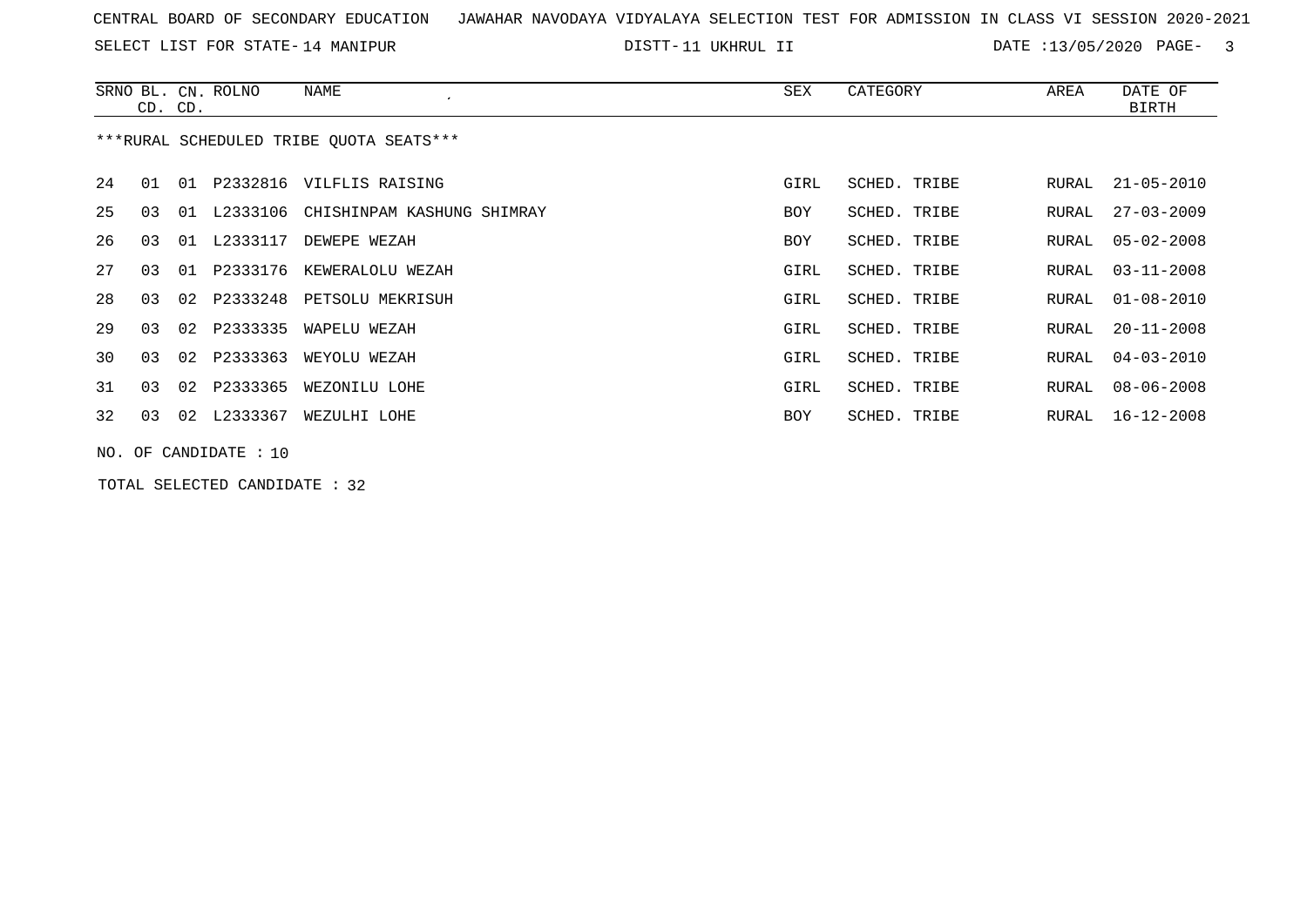SELECT LIST FOR STATE- DISTT- 14 MANIPUR

11 UKHRUL II DATE :13/05/2020 PAGE- 3

|    | CD. CD. |    | SRNO BL. CN. ROLNO      | NAME<br>$\cdot$                         | SEX  | CATEGORY     | AREA  | DATE OF<br>BIRTH |
|----|---------|----|-------------------------|-----------------------------------------|------|--------------|-------|------------------|
|    |         |    |                         | ***RURAL SCHEDULED TRIBE QUOTA SEATS*** |      |              |       |                  |
| 24 | 01      | 01 |                         | P2332816 VILFLIS RAISING                | GIRL | SCHED. TRIBE | RURAL | $21 - 05 - 2010$ |
| 25 | 03      | 01 | L2333106                | CHISHINPAM KASHUNG SHIMRAY              | BOY  | SCHED. TRIBE | RURAL | $27 - 03 - 2009$ |
| 26 | 03      | 01 | L2333117                | DEWEPE WEZAH                            | BOY  | SCHED. TRIBE | RURAL | $05 - 02 - 2008$ |
| 27 | 03      | 01 | P2333176                | KEWERALOLU WEZAH                        | GIRL | SCHED. TRIBE | RURAL | $03 - 11 - 2008$ |
| 28 | 03      | 02 | P2333248                | PETSOLU MEKRISUH                        | GIRL | SCHED. TRIBE | RURAL | $01 - 08 - 2010$ |
| 29 | 03      | 02 | P2333335                | WAPELU WEZAH                            | GIRL | SCHED. TRIBE | RURAL | $20 - 11 - 2008$ |
| 30 | 03      | 02 | P2333363                | WEYOLU WEZAH                            | GIRL | SCHED. TRIBE | RURAL | $04 - 03 - 2010$ |
| 31 | 03      | 02 | P2333365                | WEZONILU LOHE                           | GIRL | SCHED. TRIBE | RURAL | $08 - 06 - 2008$ |
| 32 | 03      | 02 | L2333367                | WEZULHI LOHE                            | BOY  | SCHED. TRIBE | RURAL | $16 - 12 - 2008$ |
|    |         |    | NO. OF CANDIDATE : $10$ |                                         |      |              |       |                  |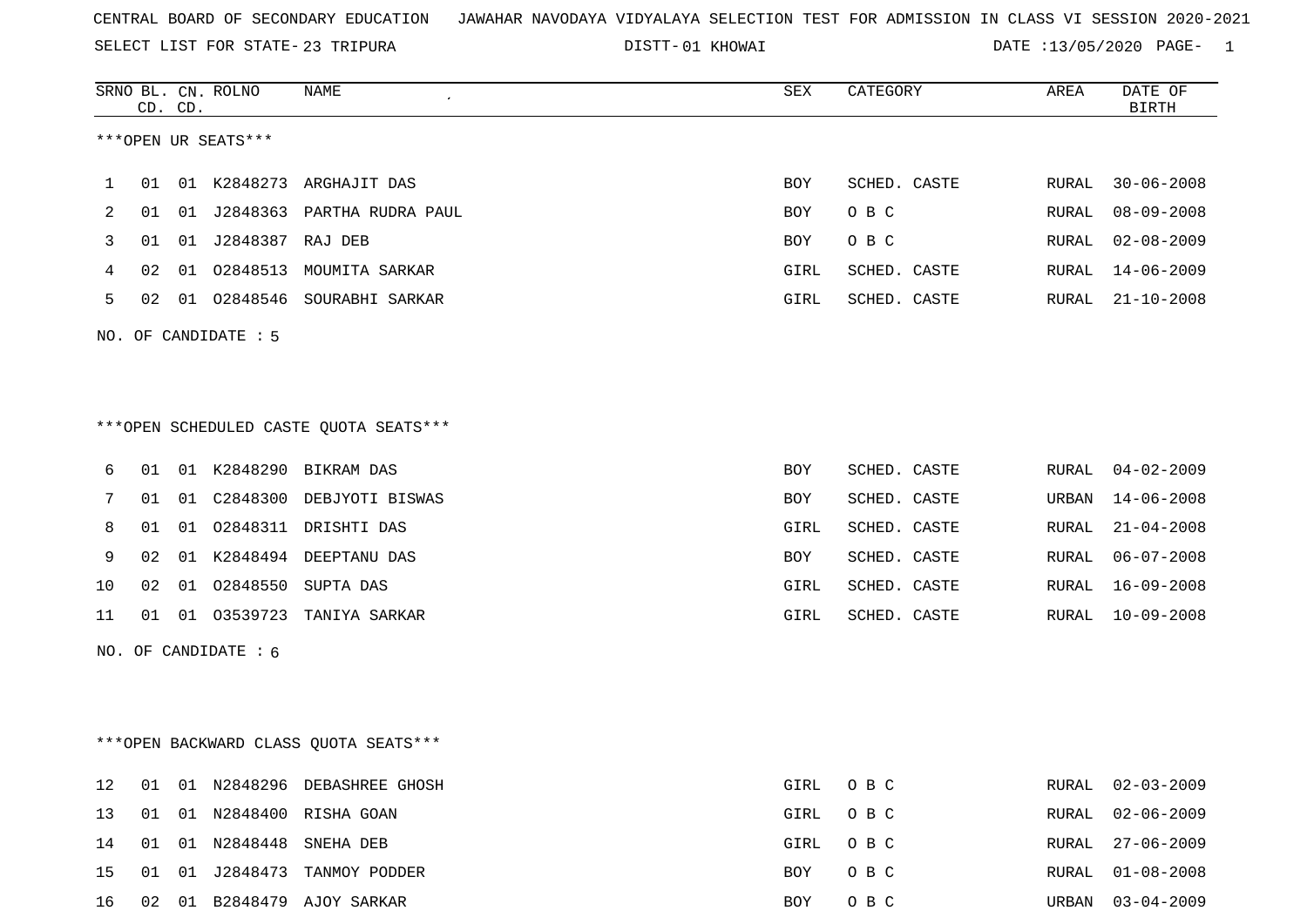SELECT LIST FOR STATE- DISTT- 23 TRIPURA

01 KHOWAI DATE :13/05/2020 PAGE- 1

|             |    | CD. CD. | SRNO BL. CN. ROLNO  | <b>NAME</b><br>$\epsilon$              | SEX        | CATEGORY     | AREA  | DATE OF<br><b>BIRTH</b> |
|-------------|----|---------|---------------------|----------------------------------------|------------|--------------|-------|-------------------------|
|             |    |         | ***OPEN UR SEATS*** |                                        |            |              |       |                         |
| $\mathbf 1$ | 01 |         |                     | 01 K2848273 ARGHAJIT DAS               | <b>BOY</b> | SCHED. CASTE | RURAL | $30 - 06 - 2008$        |
| 2           | 01 | 01      |                     | J2848363 PARTHA RUDRA PAUL             | BOY        | O B C        | RURAL | $08 - 09 - 2008$        |
| 3           | 01 |         | 01 J2848387 RAJ DEB |                                        | BOY        | O B C        | RURAL | $02 - 08 - 2009$        |
| 4           | 02 | 01      |                     | 02848513 MOUMITA SARKAR                | GIRL       | SCHED. CASTE | RURAL | $14 - 06 - 2009$        |
| 5           | 02 |         |                     | 01 02848546 SOURABHI SARKAR            | GIRL       | SCHED. CASTE | RURAL | $21 - 10 - 2008$        |
| NO.         |    |         | OF CANDIDATE : 5    |                                        |            |              |       |                         |
|             |    |         |                     |                                        |            |              |       |                         |
|             |    |         |                     |                                        |            |              |       |                         |
|             |    |         |                     | ***OPEN SCHEDULED CASTE QUOTA SEATS*** |            |              |       |                         |
| 6           | 01 |         |                     | 01 K2848290 BIKRAM DAS                 | BOY        | SCHED. CASTE | RURAL | $04 - 02 - 2009$        |
| 7           | 01 | 01      |                     | C2848300 DEBJYOTI BISWAS               | BOY        | SCHED. CASTE | URBAN | $14 - 06 - 2008$        |
| 8           | 01 | 01      |                     | 02848311 DRISHTI DAS                   | GIRL       | SCHED. CASTE | RURAL | $21 - 04 - 2008$        |
| 9           | 02 | 01      | K2848494            | DEEPTANU DAS                           | BOY        | SCHED. CASTE | RURAL | $06 - 07 - 2008$        |
| 10          | 02 | 01      | 02848550            | SUPTA DAS                              | GIRL       | SCHED. CASTE | RURAL | $16 - 09 - 2008$        |
| 11          | 01 |         |                     | 01 03539723 TANIYA SARKAR              | GIRL       | SCHED. CASTE | RURAL | $10 - 09 - 2008$        |
| NO.         |    |         | OF CANDIDATE : 6    |                                        |            |              |       |                         |
|             |    |         |                     |                                        |            |              |       |                         |
|             |    |         |                     |                                        |            |              |       |                         |

\*\*\*OPEN BACKWARD CLASS QUOTA SEATS\*\*\*

|    |  | 12 01 01 N2848296 DEBASHREE GHOSH |     | GIRL OBC |       | RURAL 02-03-2009 |
|----|--|-----------------------------------|-----|----------|-------|------------------|
|    |  | 13 01 01 N2848400 RISHA GOAN      |     | GIRL OBC |       | RURAL 02-06-2009 |
|    |  | 14 01 01 N2848448 SNEHA DEB       |     | GIRL OBC | RURAL | 27-06-2009       |
|    |  | 15 01 01 J2848473 TANMOY PODDER   | BOY | $O$ B C  |       | RURAL 01-08-2008 |
| 16 |  | 02 01 B2848479 AJOY SARKAR        | BOY | O B C    | URBAN | 03-04-2009       |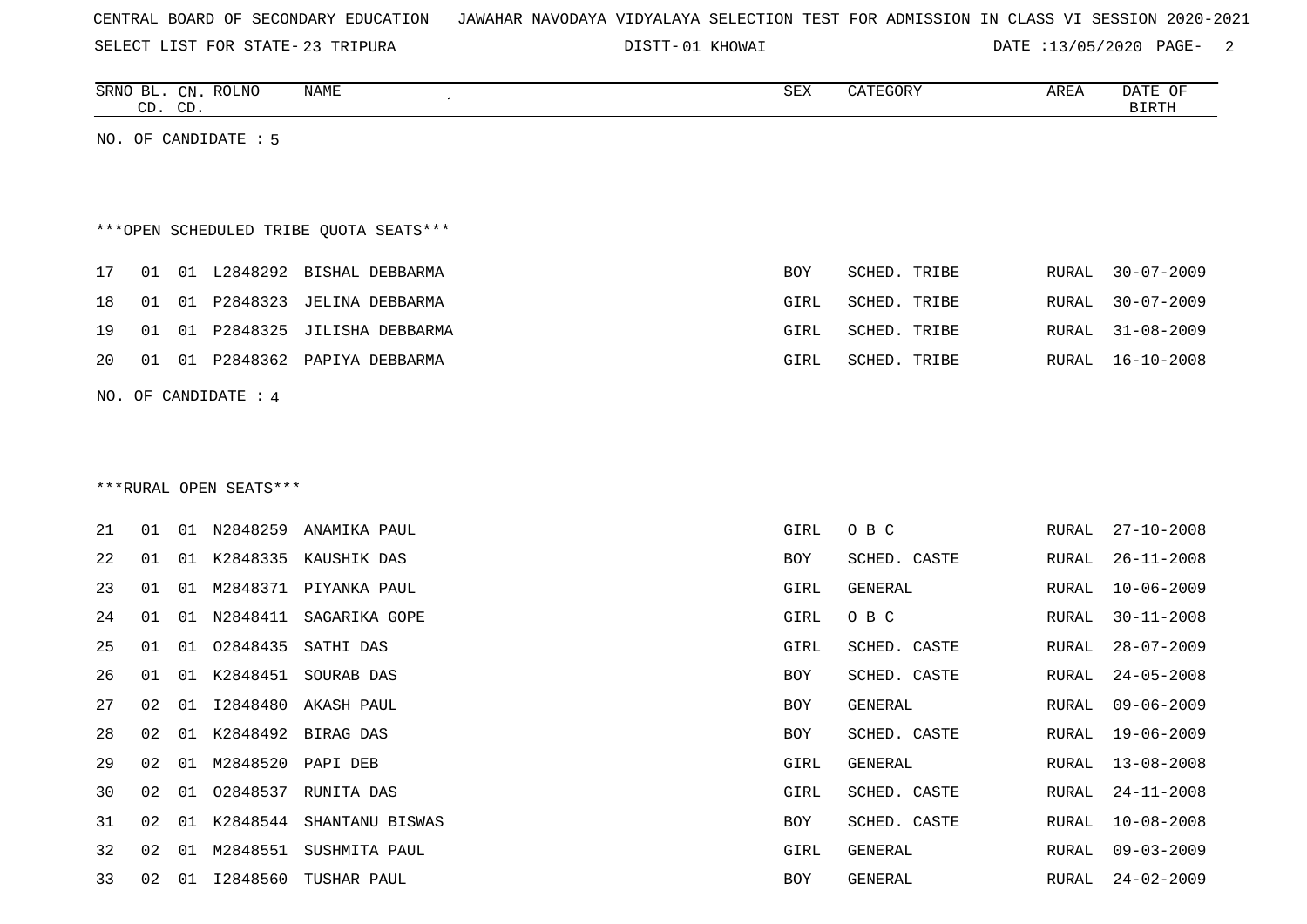| CENTRAL BOARD OF SECONDARY EDUCATION – JAWAHAR NAVODAYA VIDYALAYA SELECTION TEST FOR ADMISSION IN CLASS VI SESSION 2020-2021 |  |  |  |  |  |  |  |
|------------------------------------------------------------------------------------------------------------------------------|--|--|--|--|--|--|--|
|------------------------------------------------------------------------------------------------------------------------------|--|--|--|--|--|--|--|

SELECT LIST FOR STATE- DISTT- 23 TRIPURA

01 KHOWAI DATE :13/05/2020 PAGE- 2

| SRNO<br>NAME<br>CEV<br><b>ROLNO</b><br>: תתר<br>$\sim$ $\sim$<br>$\bigcap_{\tau}$<br>DAIF<br>U™<br>ARLI<br>Δ⊔Δ<br>ີ<br>$\sim$<br>$\sim$<br>$\sim$ |    |     |  |  |  |  |
|---------------------------------------------------------------------------------------------------------------------------------------------------|----|-----|--|--|--|--|
|                                                                                                                                                   |    |     |  |  |  |  |
|                                                                                                                                                   | ىد | ر__ |  |  |  |  |

NO. OF CANDIDATE : 5

# \*\*\*OPEN SCHEDULED TRIBE QUOTA SEATS\*\*\*

|  |  | 17 01 01 L2848292 BISHAL DEBBARMA  | BOY  | SCHED. TRIBE |  | RURAL 30-07-2009 |
|--|--|------------------------------------|------|--------------|--|------------------|
|  |  | 18 01 01 P2848323 JELINA DEBBARMA  | GIRL | SCHED. TRIBE |  | RURAL 30-07-2009 |
|  |  | 19 01 01 P2848325 JILISHA DEBBARMA | GIRL | SCHED. TRIBE |  | RURAL 31-08-2009 |
|  |  | 20 01 01 P2848362 PAPIYA DEBBARMA  | GIRL | SCHED. TRIBE |  | RURAL 16-10-2008 |

NO. OF CANDIDATE : 4

### \*\*\*RURAL OPEN SEATS\*\*\*

| 21 | 01    | O 1 | N2848259 | ANAMIKA PAUL        | GIRL | O B C        | RURAL | $27 - 10 - 2008$ |
|----|-------|-----|----------|---------------------|------|--------------|-------|------------------|
| 22 | 01    | 01  | K2848335 | KAUSHIK DAS         | BOY  | SCHED. CASTE | RURAL | $26 - 11 - 2008$ |
| 23 | 01    | 01  | M2848371 | PIYANKA PAUL        | GIRL | GENERAL      | RURAL | $10 - 06 - 2009$ |
| 24 | 01    | 01  | N2848411 | SAGARIKA GOPE       | GIRL | O B C        | RURAL | $30 - 11 - 2008$ |
| 25 | 01    | 01  | 02848435 | SATHI DAS           | GIRL | SCHED. CASTE | RURAL | $28 - 07 - 2009$ |
| 26 | 01    | O 1 | K2848451 | SOURAB DAS          | BOY  | SCHED. CASTE | RURAL | 24-05-2008       |
| 27 | 02    | 01  |          | I2848480 AKASH PAUL | BOY  | GENERAL      | RURAL | 09-06-2009       |
| 28 | 02    | 01  |          | K2848492 BIRAG DAS  | BOY  | SCHED. CASTE | RURAL | 19-06-2009       |
| 29 | 02    | 01  | M2848520 | PAPI DEB            | GIRL | GENERAL      | RURAL | 13-08-2008       |
| 30 | 02    | 01  | 02848537 | RUNITA DAS          | GIRL | SCHED. CASTE | RURAL | $24 - 11 - 2008$ |
| 31 | 02    | 01  | K2848544 | SHANTANU BISWAS     | BOY  | SCHED. CASTE | RURAL | $10 - 08 - 2008$ |
| 32 | 02    | 01  | M2848551 | SUSHMITA PAUL       | GIRL | GENERAL      | RURAL | $09 - 03 - 2009$ |
| 33 | 02 01 |     | I2848560 | TUSHAR PAUL         | BOY  | GENERAL      |       | RURAL 24-02-2009 |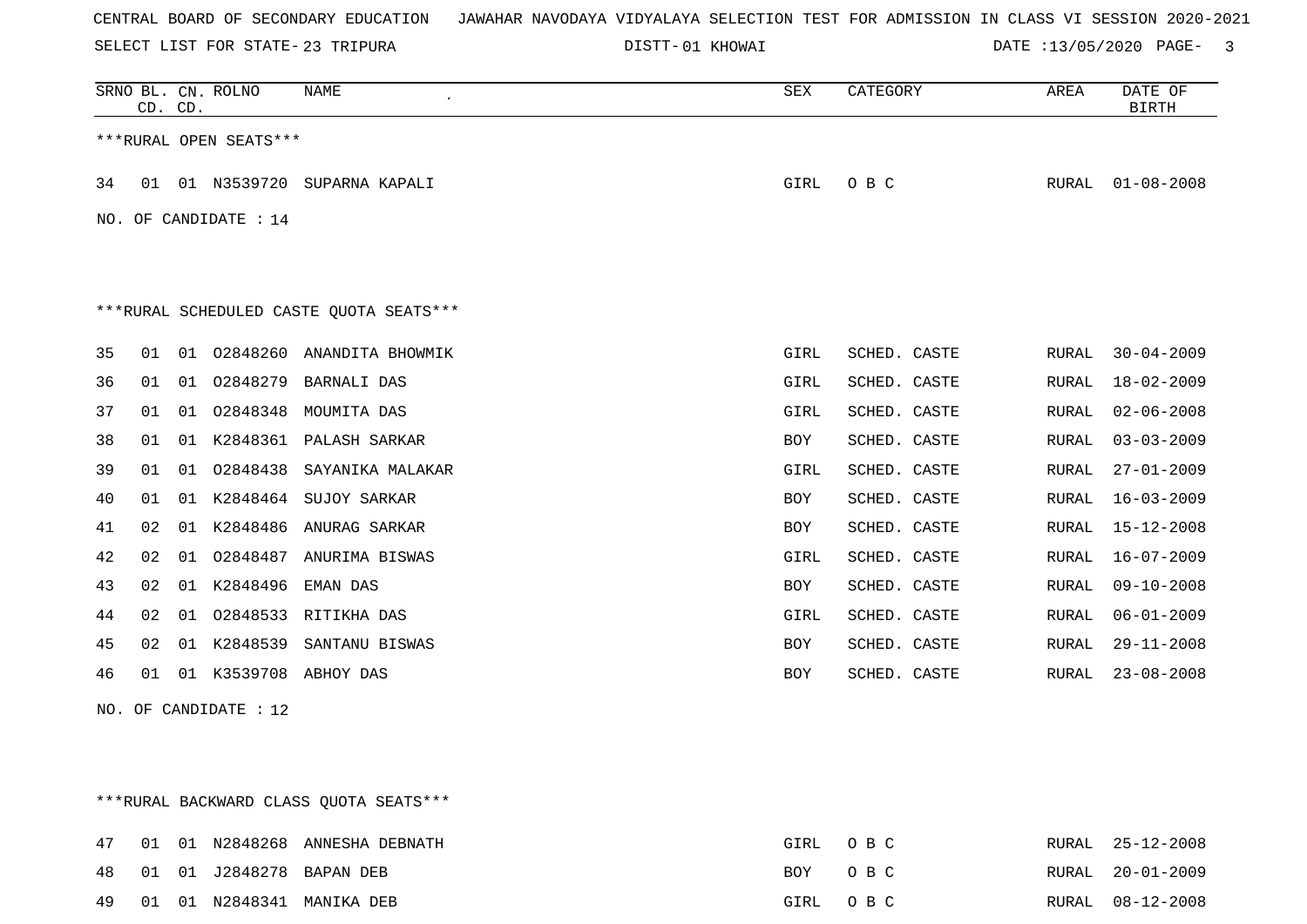SELECT LIST FOR STATE- DISTT- 23 TRIPURA

01 KHOWAI DATE :13/05/2020 PAGE- 3

|    | CD. CD. |    | SRNO BL. CN. ROLNO     | NAME                                    | SEX        | CATEGORY     | AREA  | DATE OF<br><b>BIRTH</b> |
|----|---------|----|------------------------|-----------------------------------------|------------|--------------|-------|-------------------------|
|    |         |    | ***RURAL OPEN SEATS*** |                                         |            |              |       |                         |
| 34 |         |    |                        | 01 01 N3539720 SUPARNA KAPALI           | GIRL       | O B C        | RURAL | $01 - 08 - 2008$        |
|    |         |    | NO. OF CANDIDATE : 14  |                                         |            |              |       |                         |
|    |         |    |                        |                                         |            |              |       |                         |
|    |         |    |                        | ***RURAL SCHEDULED CASTE QUOTA SEATS*** |            |              |       |                         |
| 35 | 01      | 01 | 02848260               | ANANDITA BHOWMIK                        | GIRL       | SCHED. CASTE | RURAL | $30 - 04 - 2009$        |
| 36 | 01      | 01 | 02848279               | <b>BARNALI DAS</b>                      | GIRL       | SCHED. CASTE | RURAL | $18 - 02 - 2009$        |
| 37 | 01      | 01 | 02848348               | MOUMITA DAS                             | GIRL       | SCHED. CASTE | RURAL | $02 - 06 - 2008$        |
| 38 | 01      | 01 | K2848361               | PALASH SARKAR                           | BOY        | SCHED. CASTE | RURAL | $03 - 03 - 2009$        |
| 39 | 01      | 01 | 02848438               | SAYANIKA MALAKAR                        | GIRL       | SCHED. CASTE | RURAL | $27 - 01 - 2009$        |
| 40 | 01      | 01 | K2848464               | SUJOY SARKAR                            | <b>BOY</b> | SCHED. CASTE | RURAL | $16 - 03 - 2009$        |
| 41 | 02      | 01 | K2848486               | ANURAG SARKAR                           | BOY        | SCHED. CASTE | RURAL | $15 - 12 - 2008$        |
| 42 | 02      | 01 | 02848487               | ANURIMA BISWAS                          | GIRL       | SCHED. CASTE | RURAL | $16 - 07 - 2009$        |
| 43 | 02      | 01 | K2848496               | EMAN DAS                                | <b>BOY</b> | SCHED. CASTE | RURAL | $09 - 10 - 2008$        |
| 44 | 02      | 01 |                        | 02848533 RITIKHA DAS                    | GIRL       | SCHED. CASTE | RURAL | $06 - 01 - 2009$        |
| 45 | 02      | 01 | K2848539               | SANTANU BISWAS                          | <b>BOY</b> | SCHED. CASTE | RURAL | $29 - 11 - 2008$        |
| 46 | 01      | 01 |                        | K3539708 ABHOY DAS                      | <b>BOY</b> | SCHED. CASTE | RURAL | $23 - 08 - 2008$        |

NO. OF CANDIDATE : 12

\*\*\*RURAL BACKWARD CLASS QUOTA SEATS\*\*\*

|  |  | 47 01 01 N2848268 ANNESHA DEBNATH | GIRL OBC | RURAL 25-12-2008 |
|--|--|-----------------------------------|----------|------------------|
|  |  | 48 01 01 J2848278 BAPAN DEB       | BOY OBC  | RURAL 20-01-2009 |
|  |  | 49 01 01 N2848341 MANIKA DEB      | GIRL OBC | RURAL 08-12-2008 |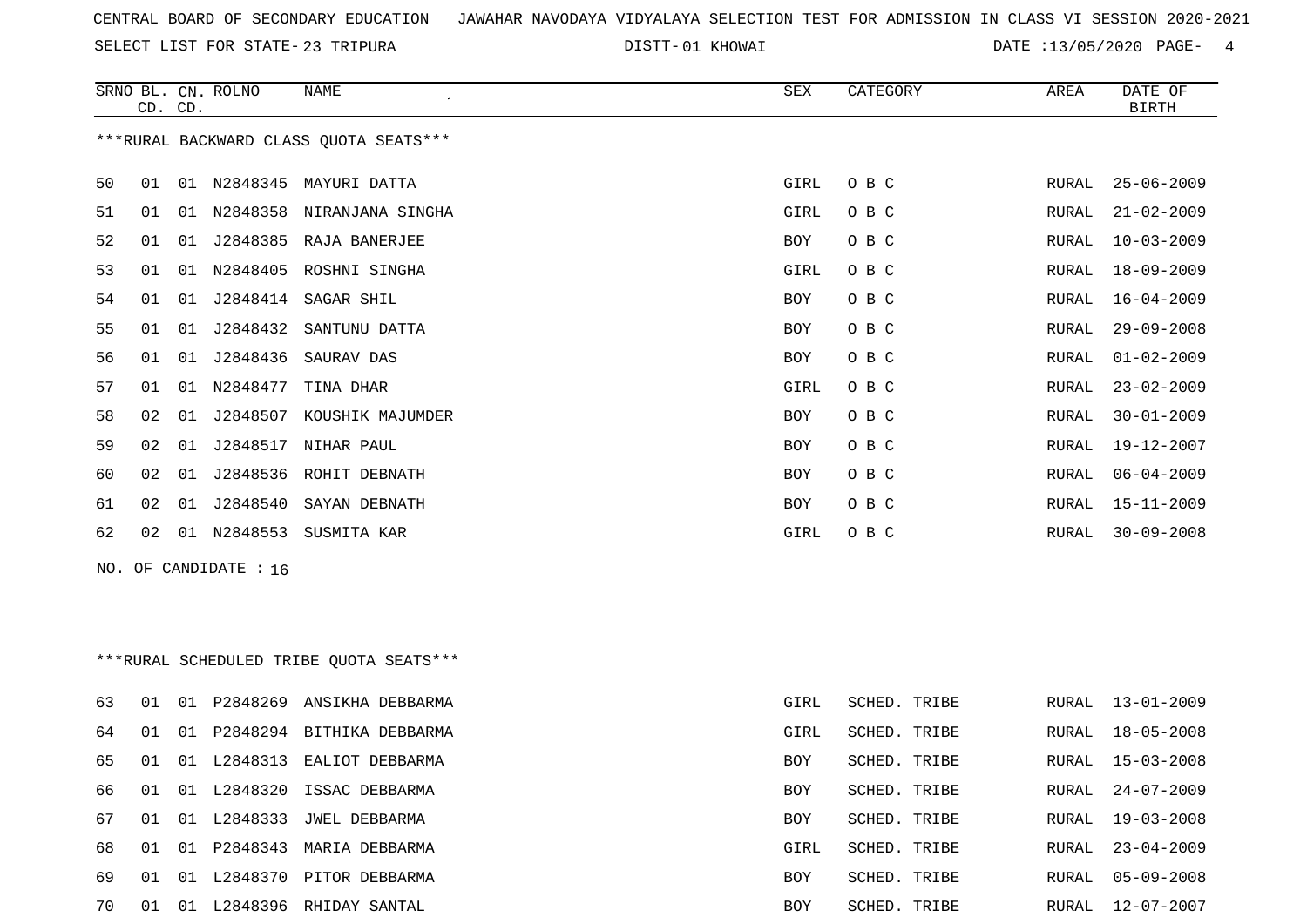SELECT LIST FOR STATE- DISTT- 23 TRIPURA

01 KHOWAI DATE :13/05/2020 PAGE- 4

|    | CD. CD. |    | SRNO BL. CN. ROLNO    | NAME                                     | SEX  | CATEGORY     | AREA  | DATE OF<br><b>BIRTH</b> |
|----|---------|----|-----------------------|------------------------------------------|------|--------------|-------|-------------------------|
|    |         |    |                       | ***RURAL BACKWARD CLASS QUOTA SEATS***   |      |              |       |                         |
| 50 | 01      |    |                       | 01 N2848345 MAYURI DATTA                 | GIRL | O B C        | RURAL | $25 - 06 - 2009$        |
| 51 | 01      |    | 01 N2848358           | NIRANJANA SINGHA                         | GIRL | O B C        | RURAL | $21 - 02 - 2009$        |
| 52 | 01      |    |                       | 01 J2848385 RAJA BANERJEE                | BOY  | O B C        | RURAL | $10 - 03 - 2009$        |
| 53 | 01      |    |                       | 01 N2848405 ROSHNI SINGHA                | GIRL | O B C        | RURAL | $18 - 09 - 2009$        |
| 54 | 01      | 01 |                       | J2848414 SAGAR SHIL                      | BOY  | O B C        | RURAL | 16-04-2009              |
| 55 | 01      |    |                       | 01 J2848432 SANTUNU DATTA                | BOY  | O B C        | RURAL | $29 - 09 - 2008$        |
| 56 | 01      |    | 01 J2848436           | SAURAV DAS                               | BOY  | O B C        | RURAL | $01 - 02 - 2009$        |
| 57 | 01      |    | 01 N2848477           | TINA DHAR                                | GIRL | O B C        | RURAL | $23 - 02 - 2009$        |
| 58 | 02      | 01 |                       | J2848507 KOUSHIK MAJUMDER                | BOY  | O B C        | RURAL | $30 - 01 - 2009$        |
| 59 | 02      | 01 |                       | J2848517 NIHAR PAUL                      | BOY  | O B C        | RURAL | 19-12-2007              |
| 60 | 02      |    |                       | 01 J2848536 ROHIT DEBNATH                | BOY  | O B C        | RURAL | $06 - 04 - 2009$        |
| 61 | 02      | 01 | J2848540              | SAYAN DEBNATH                            | BOY  | O B C        | RURAL | $15 - 11 - 2009$        |
| 62 | 02      |    |                       | 01 N2848553 SUSMITA KAR                  | GIRL | O B C        | RURAL | $30 - 09 - 2008$        |
|    |         |    | NO. OF CANDIDATE : 16 |                                          |      |              |       |                         |
|    |         |    |                       |                                          |      |              |       |                         |
|    |         |    |                       |                                          |      |              |       |                         |
|    |         |    |                       | *** RURAL SCHEDULED TRIBE QUOTA SEATS*** |      |              |       |                         |
| 63 | 01      |    |                       | 01 P2848269 ANSIKHA DEBBARMA             | GIRL | SCHED. TRIBE | RURAL | $13 - 01 - 2009$        |
| 64 | 01      |    |                       | 01 P2848294 BITHIKA DEBBARMA             | GIRL | SCHED. TRIBE | RURAL | $18 - 05 - 2008$        |
| 65 | 01      |    |                       | 01 L2848313 EALIOT DEBBARMA              | BOY  | SCHED. TRIBE | RURAL | $15 - 03 - 2008$        |
| 66 | 01      |    |                       | 01 L2848320 ISSAC DEBBARMA               | BOY  | SCHED. TRIBE | RURAL | 24-07-2009              |
| 67 | 01      |    |                       | 01 L2848333 JWEL DEBBARMA                | BOY  | SCHED. TRIBE | RURAL | 19-03-2008              |
| 68 | 01      |    |                       | 01 P2848343 MARIA DEBBARMA               | GIRL | SCHED. TRIBE | RURAL | $23 - 04 - 2009$        |
| 69 | 01      |    |                       | 01 L2848370 PITOR DEBBARMA               | BOY  | SCHED. TRIBE | RURAL | $05 - 09 - 2008$        |
| 70 |         |    |                       | 01 01 L2848396 RHIDAY SANTAL             | BOY  | SCHED. TRIBE | RURAL | $12 - 07 - 2007$        |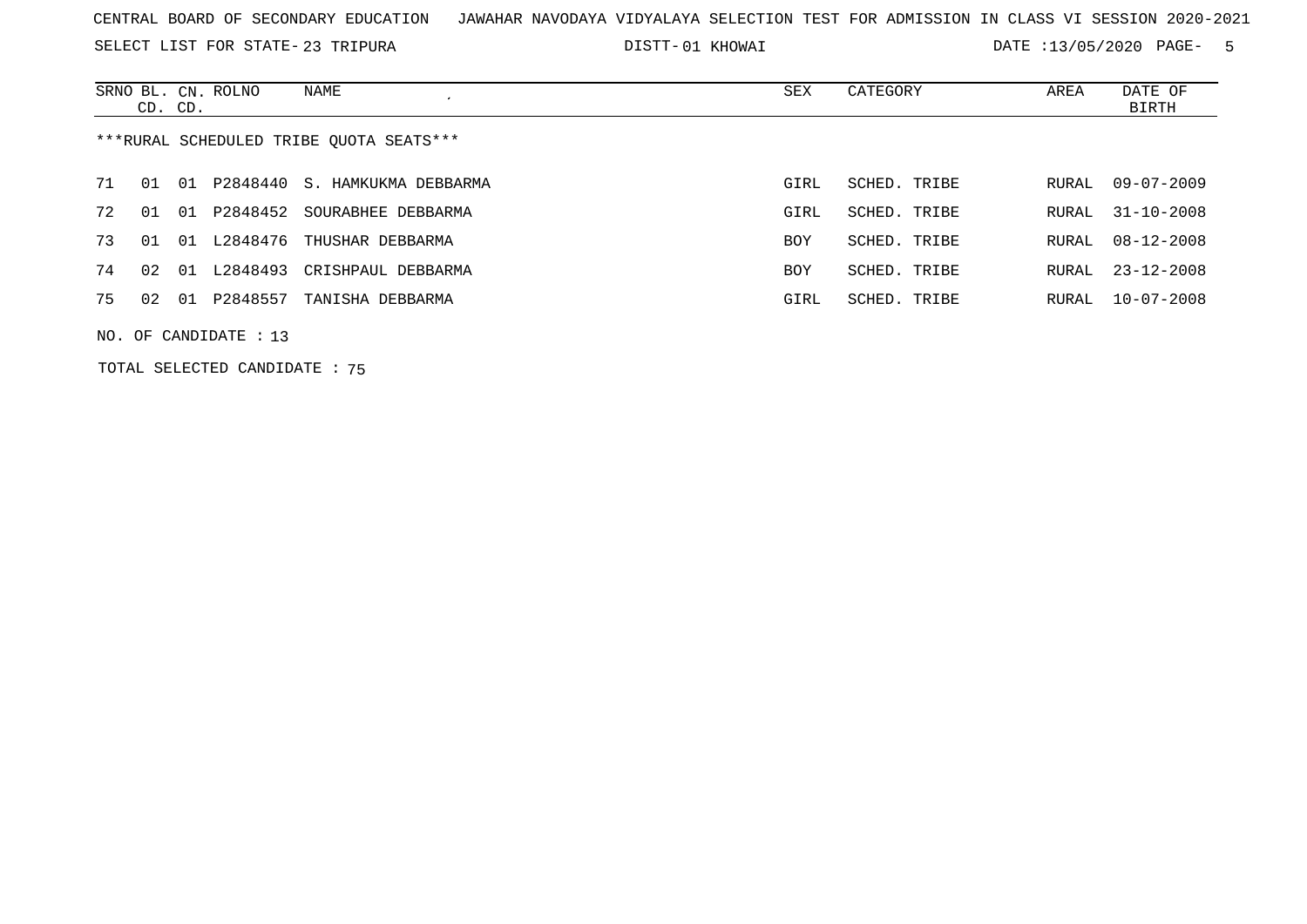SELECT LIST FOR STATE- DISTT- 23 TRIPURA

01 KHOWAI DATE :13/05/2020 PAGE- 5

|                                         | CD. CD. |       | SRNO BL. CN. ROLNO    | NAME                          | SEX        | CATEGORY     | AREA  | DATE OF<br>BIRTH |  |  |
|-----------------------------------------|---------|-------|-----------------------|-------------------------------|------------|--------------|-------|------------------|--|--|
| ***RURAL SCHEDULED TRIBE OUOTA SEATS*** |         |       |                       |                               |            |              |       |                  |  |  |
| 71                                      | O 1     | O 1   |                       | P2848440 S. HAMKUKMA DEBBARMA | GIRL       | SCHED. TRIBE | RURAL | $09 - 07 - 2009$ |  |  |
| 72                                      | 01      | 01    |                       | P2848452 SOURABHEE DEBBARMA   | GIRL       | SCHED. TRIBE | RURAL | $31 - 10 - 2008$ |  |  |
| 73                                      | O 1     | 01    |                       | L2848476 THUSHAR DEBBARMA     | <b>BOY</b> | SCHED. TRIBE | RURAL | $08 - 12 - 2008$ |  |  |
| 74                                      | 02      | . O 1 | L2848493              | CRISHPAUL DEBBARMA            | <b>BOY</b> | SCHED. TRIBE | RURAL | $23 - 12 - 2008$ |  |  |
| 75                                      | 02      | O 1   | P2848557              | TANISHA DEBBARMA              | GIRL       | SCHED. TRIBE | RURAL | $10 - 07 - 2008$ |  |  |
|                                         |         |       | NO. OF CANDIDATE : 13 |                               |            |              |       |                  |  |  |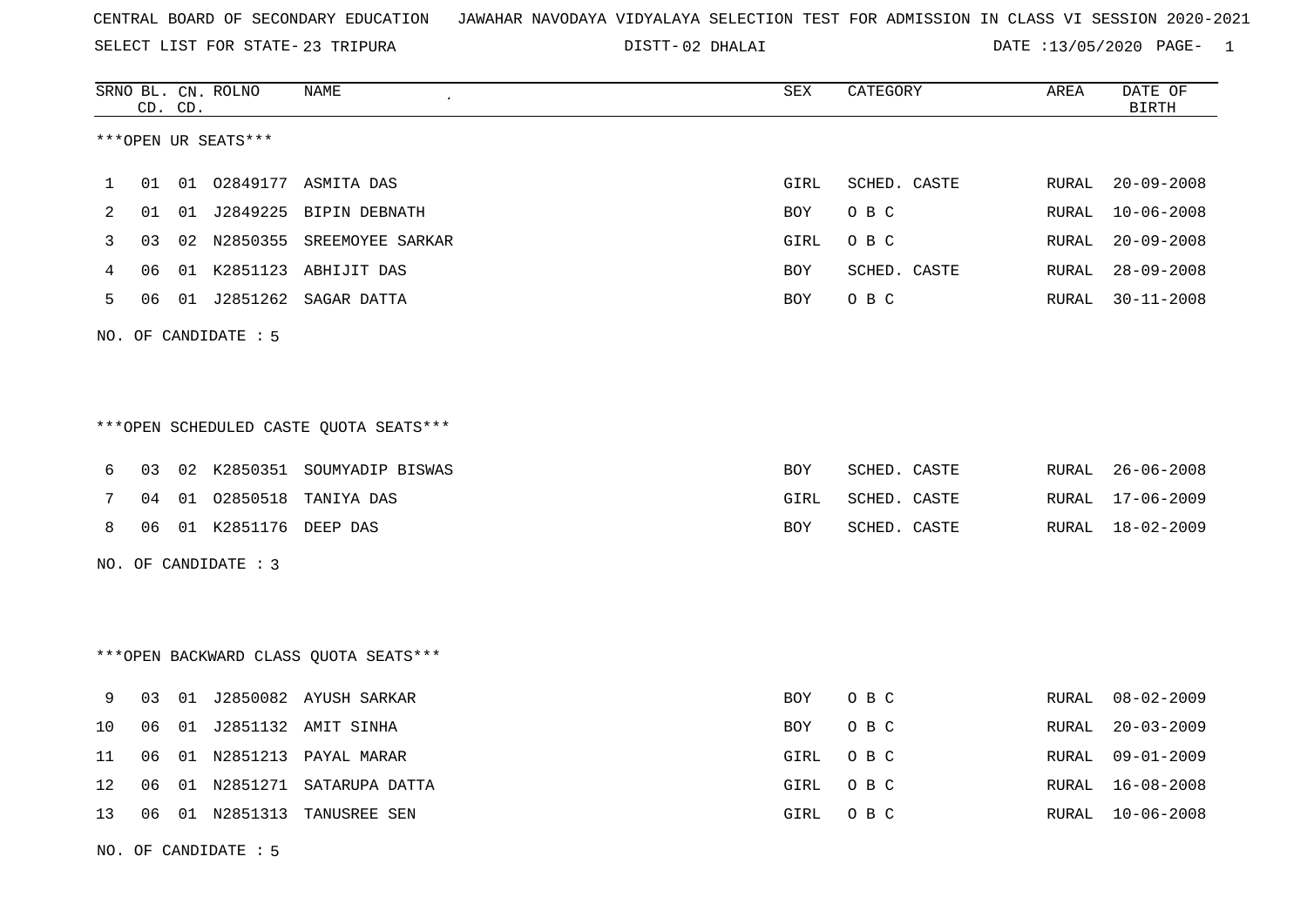SELECT LIST FOR STATE- DISTT- 23 TRIPURA

02 DHALAI DATE :13/05/2020 PAGE- 1

|    |    | CD. CD. | SRNO BL. CN. ROLNO   | <b>NAME</b>                            | <b>SEX</b> | CATEGORY     | AREA  | DATE OF<br><b>BIRTH</b> |
|----|----|---------|----------------------|----------------------------------------|------------|--------------|-------|-------------------------|
|    |    |         | ***OPEN UR SEATS***  |                                        |            |              |       |                         |
| 1  | 01 |         | 01 02849177          | ASMITA DAS                             | GIRL       | SCHED. CASTE | RURAL | $20 - 09 - 2008$        |
| 2  | 01 |         |                      | 01 J2849225 BIPIN DEBNATH              | BOY        | O B C        | RURAL | $10 - 06 - 2008$        |
| 3  | 03 |         |                      | 02 N2850355 SREEMOYEE SARKAR           | GIRL       | O B C        | RURAL | $20 - 09 - 2008$        |
| 4  | 06 |         |                      | 01 K2851123 ABHIJIT DAS                | <b>BOY</b> | SCHED. CASTE | RURAL | $28 - 09 - 2008$        |
| 5  | 06 |         |                      | 01 J2851262 SAGAR DATTA                | BOY        | O B C        | RURAL | $30 - 11 - 2008$        |
|    |    |         | NO. OF CANDIDATE : 5 |                                        |            |              |       |                         |
|    |    |         |                      |                                        |            |              |       |                         |
|    |    |         |                      | ***OPEN SCHEDULED CASTE QUOTA SEATS*** |            |              |       |                         |
| 6  | 03 |         |                      | 02 K2850351 SOUMYADIP BISWAS           | <b>BOY</b> | SCHED. CASTE | RURAL | $26 - 06 - 2008$        |
| 7  | 04 |         | 01 02850518          | TANIYA DAS                             | GIRL       | SCHED. CASTE | RURAL | $17 - 06 - 2009$        |
| 8  | 06 |         | 01 K2851176 DEEP DAS |                                        | <b>BOY</b> | SCHED. CASTE | RURAL | 18-02-2009              |
|    |    |         | NO. OF CANDIDATE : 3 |                                        |            |              |       |                         |
|    |    |         |                      |                                        |            |              |       |                         |
|    |    |         |                      | *** OPEN BACKWARD CLASS QUOTA SEATS*** |            |              |       |                         |
| 9  | 03 |         |                      | 01 J2850082 AYUSH SARKAR               | BOY        | O B C        | RURAL | $08 - 02 - 2009$        |
| 10 | 06 |         |                      | 01 J2851132 AMIT SINHA                 | BOY        | O B C        | RURAL | $20 - 03 - 2009$        |
| 11 | 06 |         |                      | 01 N2851213 PAYAL MARAR                | GIRL       | O B C        | RURAL | $09 - 01 - 2009$        |
| 12 | 06 |         |                      | 01 N2851271 SATARUPA DATTA             | GIRL       | O B C        | RURAL | $16 - 08 - 2008$        |
| 13 |    |         |                      | 06 01 N2851313 TANUSREE SEN            | GIRL       | O B C        |       | RURAL 10-06-2008        |
|    |    |         |                      |                                        |            |              |       |                         |

NO. OF CANDIDATE : 5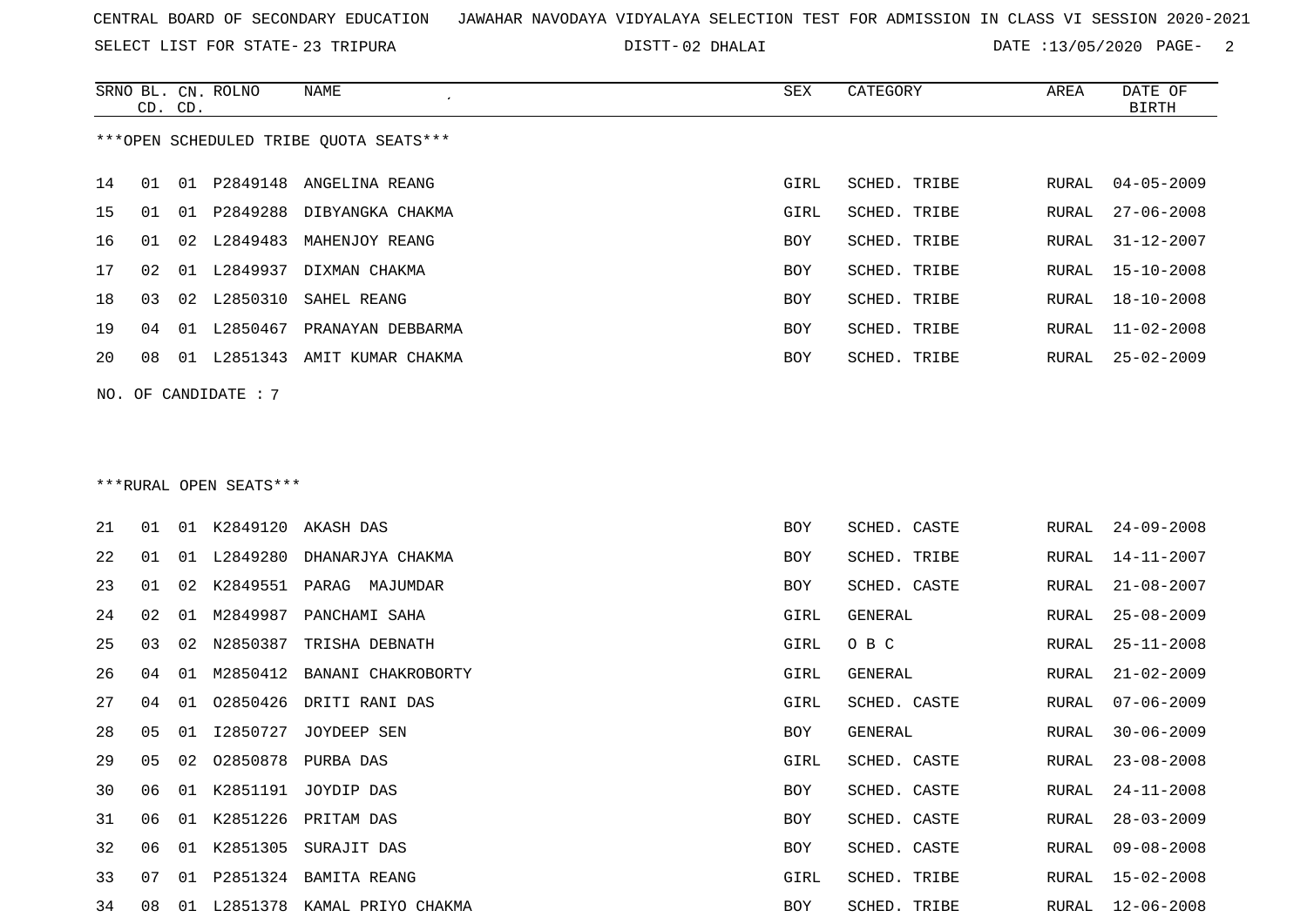SELECT LIST FOR STATE- DISTT- 23 TRIPURA

02 DHALAI DATE :13/05/2020 PAGE- 2

|    |    | CD. CD. | SRNO BL. CN. ROLNO     | NAME                                   | SEX  | CATEGORY     | AREA          | DATE OF<br><b>BIRTH</b> |
|----|----|---------|------------------------|----------------------------------------|------|--------------|---------------|-------------------------|
|    |    |         |                        | ***OPEN SCHEDULED TRIBE QUOTA SEATS*** |      |              |               |                         |
| 14 | 01 |         |                        | 01 P2849148 ANGELINA REANG             | GIRL | SCHED. TRIBE | RURAL         | $04 - 05 - 2009$        |
| 15 | 01 |         | 01 P2849288            | DIBYANGKA CHAKMA                       | GIRL | SCHED. TRIBE | RURAL         | $27 - 06 - 2008$        |
| 16 | 01 | 02      | L2849483               | MAHENJOY REANG                         | BOY  | SCHED. TRIBE | RURAL         | $31 - 12 - 2007$        |
| 17 | 02 | 01      | L2849937               | DIXMAN CHAKMA                          | BOY  | SCHED. TRIBE | RURAL         | $15 - 10 - 2008$        |
| 18 | 03 | 02      | L2850310               | SAHEL REANG                            | BOY  | SCHED. TRIBE | RURAL         | 18-10-2008              |
| 19 | 04 |         |                        | 01 L2850467 PRANAYAN DEBBARMA          | BOY  | SCHED. TRIBE | RURAL         | 11-02-2008              |
| 20 | 08 |         |                        | 01 L2851343 AMIT KUMAR CHAKMA          | BOY  | SCHED. TRIBE | RURAL         | $25 - 02 - 2009$        |
|    |    |         | NO. OF CANDIDATE : 7   |                                        |      |              |               |                         |
|    |    |         |                        |                                        |      |              |               |                         |
|    |    |         | ***RURAL OPEN SEATS*** |                                        |      |              |               |                         |
| 21 | 01 |         |                        | 01 K2849120 AKASH DAS                  | BOY  | SCHED. CASTE | RURAL         | $24 - 09 - 2008$        |
| 22 | 01 |         | 01 L2849280            | DHANARJYA CHAKMA                       | BOY  | SCHED. TRIBE | RURAL         | 14-11-2007              |
| 23 | 01 | 02      | K2849551               | PARAG MAJUMDAR                         | BOY  | SCHED. CASTE | RURAL         | $21 - 08 - 2007$        |
| 24 | 02 | 01      | M2849987               | PANCHAMI SAHA                          | GIRL | GENERAL      | RURAL         | $25 - 08 - 2009$        |
| 25 | 03 | 02      | N2850387               | TRISHA DEBNATH                         | GIRL | O B C        | RURAL         | $25 - 11 - 2008$        |
| 26 | 04 | 01      | M2850412               | BANANI CHAKROBORTY                     | GIRL | GENERAL      | RURAL         | $21 - 02 - 2009$        |
| 27 | 04 | 01      |                        | 02850426 DRITI RANI DAS                | GIRL | SCHED. CASTE | RURAL         | $07 - 06 - 2009$        |
| 28 | 05 | 01      | I2850727               | JOYDEEP SEN                            | BOY  | GENERAL      | ${\tt RURAL}$ | $30 - 06 - 2009$        |
| 29 | 05 |         |                        | 02 02850878 PURBA DAS                  | GIRL | SCHED. CASTE | RURAL         | $23 - 08 - 2008$        |
| 30 | 06 |         |                        | 01 K2851191 JOYDIP DAS                 | BOY  | SCHED. CASTE | RURAL         | $24 - 11 - 2008$        |
| 31 | 06 |         |                        | 01 K2851226 PRITAM DAS                 | BOY  | SCHED. CASTE | RURAL         | $28 - 03 - 2009$        |
| 32 | 06 |         |                        | 01 K2851305 SURAJIT DAS                | BOY  | SCHED. CASTE | RURAL         | $09 - 08 - 2008$        |
| 33 | 07 |         |                        | 01 P2851324 BAMITA REANG               | GIRL | SCHED. TRIBE | RURAL         | 15-02-2008              |
| 34 |    |         |                        | 08 01 L2851378 KAMAL PRIYO CHAKMA      | BOY  | SCHED. TRIBE |               | RURAL 12-06-2008        |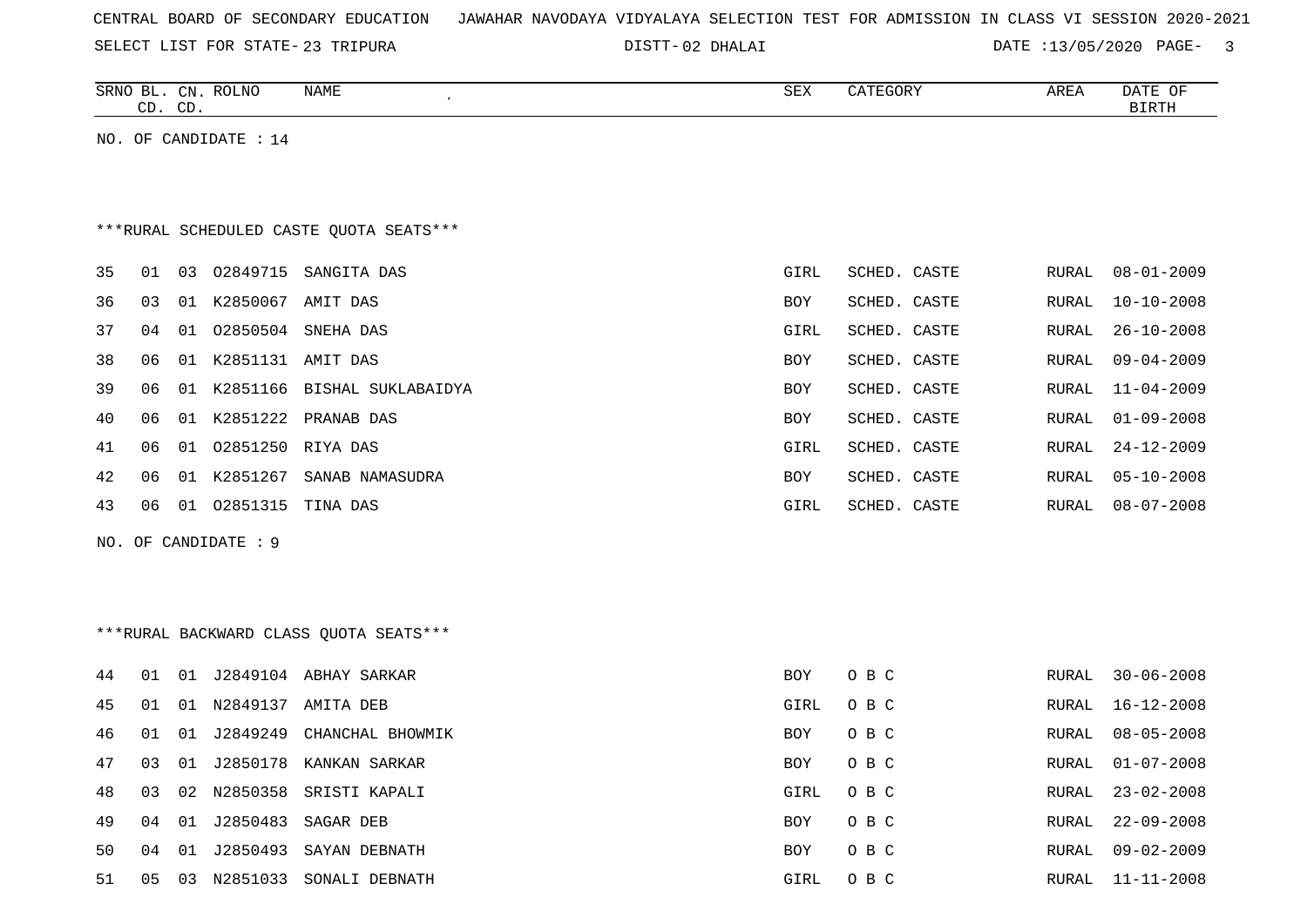| CENTRAL BOARD OF SECONDARY EDUCATION – JAWAHAR NAVODAYA VIDYALAYA SELECTION TEST FOR ADMISSION IN CLASS VI SESSION 2020-2021 |  |  |  |  |  |  |  |  |  |  |  |  |  |  |  |  |  |  |  |
|------------------------------------------------------------------------------------------------------------------------------|--|--|--|--|--|--|--|--|--|--|--|--|--|--|--|--|--|--|--|
|------------------------------------------------------------------------------------------------------------------------------|--|--|--|--|--|--|--|--|--|--|--|--|--|--|--|--|--|--|--|

SELECT LIST FOR STATE- DISTT- 23 TRIPURA

02 DHALAI DATE :13/05/2020 PAGE- 3

| SRNO BL. CN. ROLNO<br>NAME<br>CD. CD.          | SEX        | CATEGORY     | AREA         | DATE OF<br><b>BIRTH</b> |
|------------------------------------------------|------------|--------------|--------------|-------------------------|
| NO. OF CANDIDATE : $14$                        |            |              |              |                         |
| *** RURAL SCHEDULED CASTE QUOTA SEATS***       |            |              |              |                         |
| 35<br>01<br>03 02849715 SANGITA DAS            | GIRL       | SCHED. CASTE | RURAL        | $08 - 01 - 2009$        |
| 36<br>K2850067<br>03<br>01<br>AMIT DAS         | BOY        | SCHED. CASTE | <b>RURAL</b> | $10 - 10 - 2008$        |
| 37<br>04<br>01 02850504<br>SNEHA DAS           | GIRL       | SCHED. CASTE | <b>RURAL</b> | $26 - 10 - 2008$        |
| 38<br>06<br>01<br>K2851131 AMIT DAS            | <b>BOY</b> | SCHED. CASTE | RURAL        | $09 - 04 - 2009$        |
| 39<br>06<br>01<br>K2851166 BISHAL SUKLABAIDYA  | BOY        | SCHED. CASTE | RURAL        | $11 - 04 - 2009$        |
| 40<br>K2851222<br>PRANAB DAS<br>06<br>01       | BOY        | SCHED. CASTE | RURAL        | $01 - 09 - 2008$        |
| 06<br>01 02851250 RIYA DAS<br>41               | GIRL       | SCHED. CASTE | RURAL        | $24 - 12 - 2009$        |
| 42<br>06<br>K2851267<br>SANAB NAMASUDRA<br>01  | BOY        | SCHED. CASTE | RURAL        | $05 - 10 - 2008$        |
| 01 02851315<br>43<br>06<br>TINA DAS            | GIRL       | SCHED. CASTE | RURAL        | $08 - 07 - 2008$        |
| OF CANDIDATE : 9<br>NO.                        |            |              |              |                         |
|                                                |            |              |              |                         |
|                                                |            |              |              |                         |
| *** RURAL BACKWARD CLASS QUOTA SEATS***        |            |              |              |                         |
| 44<br>01<br>01 J2849104 ABHAY SARKAR           | <b>BOY</b> | O B C        | RURAL        | $30 - 06 - 2008$        |
| 45<br>01<br>01 N2849137 AMITA DEB              | GIRL       | O B C        | RURAL        | $16 - 12 - 2008$        |
| 46<br>01<br>J2849249<br>CHANCHAL BHOWMIK<br>01 | <b>BOY</b> | O B C        | RURAL        | $08 - 05 - 2008$        |
| 47<br>J2850178<br>03<br>01<br>KANKAN SARKAR    | <b>BOY</b> | O B C        | RURAL        | $01 - 07 - 2008$        |
| N2850358<br>48<br>03<br>02<br>SRISTI KAPALI    | GIRL       | O B C        | RURAL        | $23 - 02 - 2008$        |

50 04 01 J2850493 SAYAN DEBNATH BOY O B C RURAL 09-02-2009

49 04 01 J2850483 SAGAR DEB BOY O B C RURAL 22-09-2008

51 05 03 N2851033 SONALI DEBNATH GIRL O B C RURAL 11-11-2008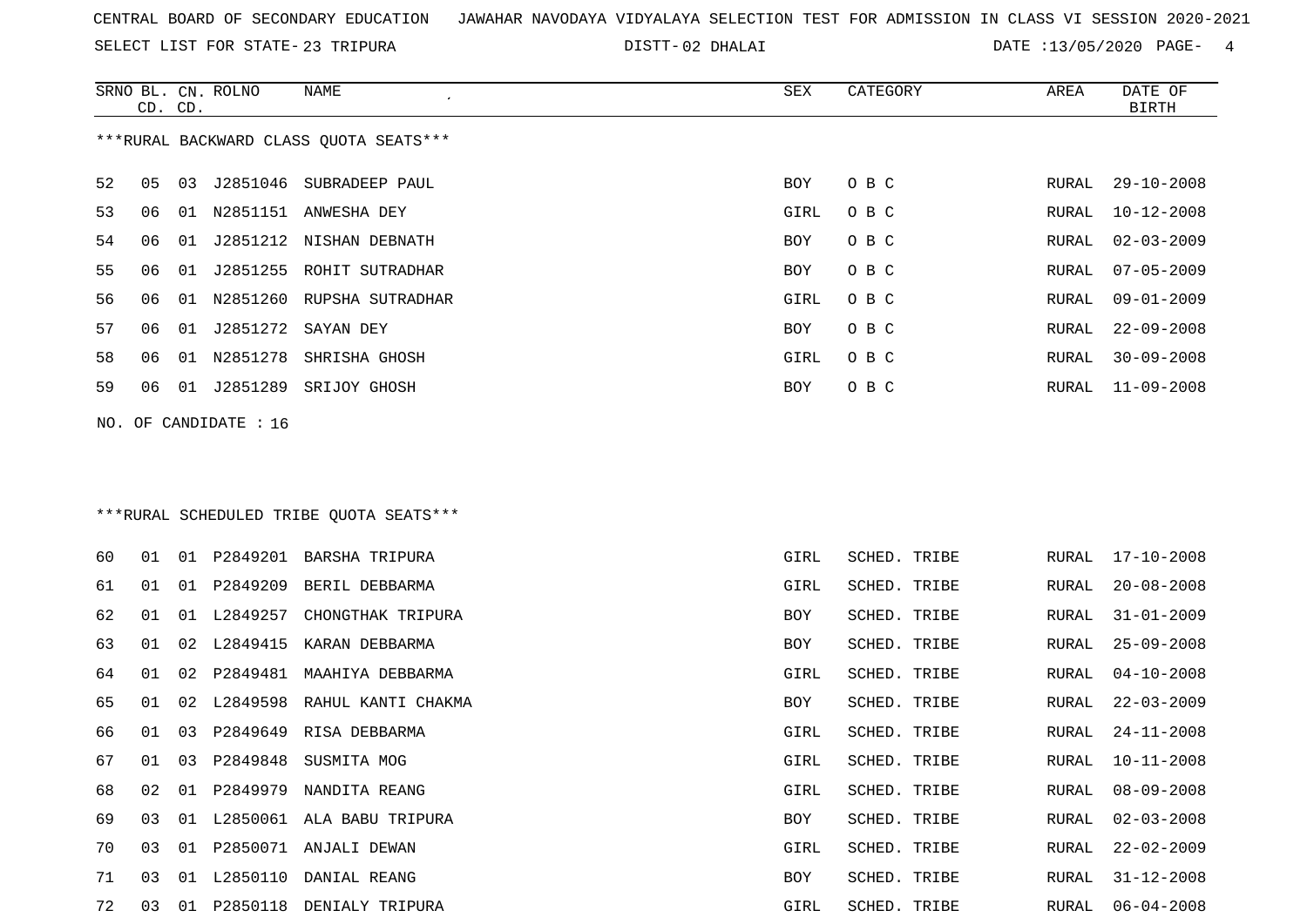SELECT LIST FOR STATE- DISTT- 23 TRIPURA

02 DHALAI DATE :13/05/2020 PAGE- 4

|    | CD. CD. |    | SRNO BL. CN. ROLNO    | NAME                                    | SEX         | CATEGORY     | AREA  | DATE OF<br><b>BIRTH</b> |
|----|---------|----|-----------------------|-----------------------------------------|-------------|--------------|-------|-------------------------|
|    |         |    |                       | ***RURAL BACKWARD CLASS QUOTA SEATS***  |             |              |       |                         |
| 52 | 05      | 03 |                       | J2851046 SUBRADEEP PAUL                 | <b>BOY</b>  | O B C        | RURAL | $29 - 10 - 2008$        |
| 53 | 06      |    |                       | 01 N2851151 ANWESHA DEY                 | GIRL        | O B C        | RURAL | $10 - 12 - 2008$        |
| 54 | 06      | 01 |                       | J2851212 NISHAN DEBNATH                 | BOY         | O B C        | RURAL | $02 - 03 - 2009$        |
| 55 | 06      | 01 |                       | J2851255 ROHIT SUTRADHAR                | BOY         | O B C        | RURAL | $07 - 05 - 2009$        |
| 56 | 06      | 01 |                       | N2851260 RUPSHA SUTRADHAR               | GIRL        | O B C        | RURAL | $09 - 01 - 2009$        |
| 57 | 06      | 01 | J2851272              | SAYAN DEY                               | BOY         | O B C        | RURAL | $22 - 09 - 2008$        |
| 58 | 06      | 01 |                       | N2851278 SHRISHA GHOSH                  | GIRL        | O B C        | RURAL | $30 - 09 - 2008$        |
| 59 | 06      | 01 |                       | J2851289 SRIJOY GHOSH                   | BOY         | O B C        | RURAL | $11 - 09 - 2008$        |
|    |         |    | NO. OF CANDIDATE : 16 |                                         |             |              |       |                         |
|    |         |    |                       | ***RURAL SCHEDULED TRIBE QUOTA SEATS*** |             |              |       |                         |
| 60 | 01      |    |                       | 01 P2849201 BARSHA TRIPURA              | <b>GIRL</b> | SCHED. TRIBE | RURAL | $17 - 10 - 2008$        |
| 61 | 01      | 01 | P2849209              | BERIL DEBBARMA                          | GIRL        | SCHED. TRIBE | RURAL | $20 - 08 - 2008$        |
| 62 | 01      | 01 | L2849257              | CHONGTHAK TRIPURA                       | BOY         | SCHED. TRIBE | RURAL | $31 - 01 - 2009$        |
| 63 | 01      | 02 | L2849415              | KARAN DEBBARMA                          | BOY         | SCHED. TRIBE | RURAL | $25 - 09 - 2008$        |
| 64 | 01      | 02 |                       | P2849481 MAAHIYA DEBBARMA               | GIRL        | SCHED. TRIBE | RURAL | $04 - 10 - 2008$        |
| 65 | 01      | 02 | L2849598              | RAHUL KANTI CHAKMA                      | BOY         | SCHED. TRIBE | RURAL | $22 - 03 - 2009$        |
| 66 | 01      | 03 |                       | P2849649 RISA DEBBARMA                  | GIRL        | SCHED. TRIBE | RURAL | $24 - 11 - 2008$        |
| 67 | 01      | 03 |                       | P2849848 SUSMITA MOG                    | GIRL        | SCHED. TRIBE | RURAL | $10 - 11 - 2008$        |
| 68 | 02      | 01 |                       | P2849979 NANDITA REANG                  | GIRL        | SCHED. TRIBE | RURAL | $08 - 09 - 2008$        |
| 69 | 03      |    |                       | 01 L2850061 ALA BABU TRIPURA            | BOY         | SCHED. TRIBE | RURAL | $02 - 03 - 2008$        |
| 70 | 03      | 01 |                       | P2850071 ANJALI DEWAN                   | GIRL        | SCHED. TRIBE | RURAL | $22 - 02 - 2009$        |
| 71 | 03      |    |                       | 01 L2850110 DANIAL REANG                | BOY         | SCHED. TRIBE | RURAL | $31 - 12 - 2008$        |
| 72 | 03      |    |                       | 01 P2850118 DENIALY TRIPURA             | GIRL        | SCHED. TRIBE | RURAL | $06 - 04 - 2008$        |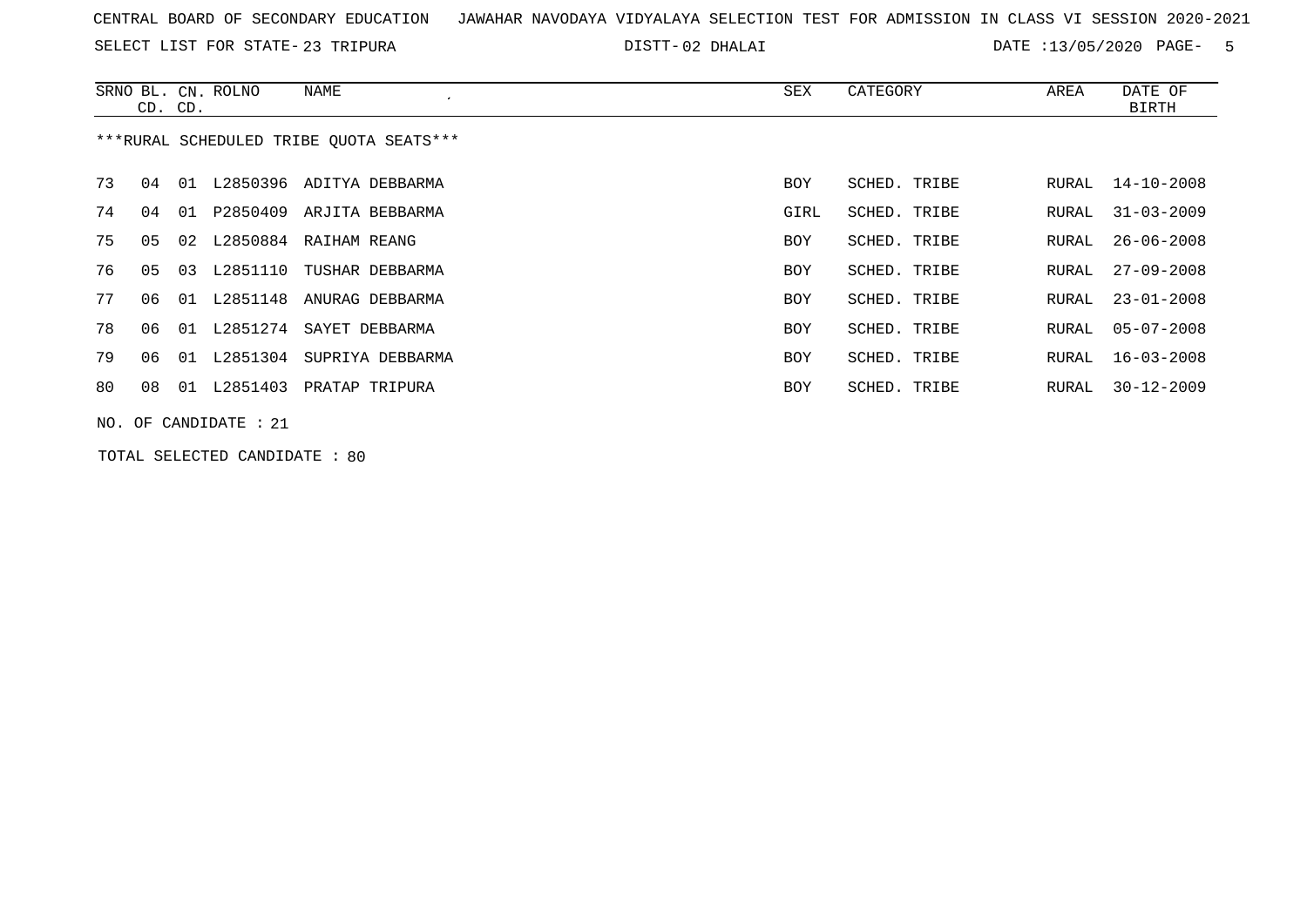SELECT LIST FOR STATE- DISTT- 23 TRIPURA

02 DHALAI DATE :13/05/2020 PAGE- 5

|    | CD. CD. |    | SRNO BL. CN. ROLNO      | NAME                                    | SEX        | CATEGORY     | AREA  | DATE OF<br>BIRTH |
|----|---------|----|-------------------------|-----------------------------------------|------------|--------------|-------|------------------|
|    |         |    |                         | ***RURAL SCHEDULED TRIBE OUOTA SEATS*** |            |              |       |                  |
| 73 | 04      | 01 |                         | L2850396 ADITYA DEBBARMA                | <b>BOY</b> | SCHED. TRIBE | RURAL | 14-10-2008       |
| 74 | 04      | 01 |                         | P2850409 ARJITA BEBBARMA                | GIRL       | SCHED. TRIBE | RURAL | $31 - 03 - 2009$ |
| 75 | 05      | 02 |                         | L2850884 RAIHAM REANG                   | <b>BOY</b> | SCHED. TRIBE | RURAL | $26 - 06 - 2008$ |
| 76 | 05      | 03 | L2851110                | TUSHAR DEBBARMA                         | <b>BOY</b> | SCHED. TRIBE | RURAL | $27 - 09 - 2008$ |
| 77 | 06      | 01 |                         | L2851148 ANURAG DEBBARMA                | <b>BOY</b> | SCHED. TRIBE | RURAL | $23 - 01 - 2008$ |
| 78 | 06      | 01 |                         | L2851274 SAYET DEBBARMA                 | <b>BOY</b> | SCHED. TRIBE | RURAL | $05 - 07 - 2008$ |
| 79 | 06      | 01 |                         | L2851304 SUPRIYA DEBBARMA               | <b>BOY</b> | SCHED. TRIBE | RURAL | $16 - 03 - 2008$ |
| 80 | 08      | 01 |                         | L2851403 PRATAP TRIPURA                 | BOY        | SCHED. TRIBE | RURAL | 30-12-2009       |
|    |         |    | NO. OF CANDIDATE : $21$ |                                         |            |              |       |                  |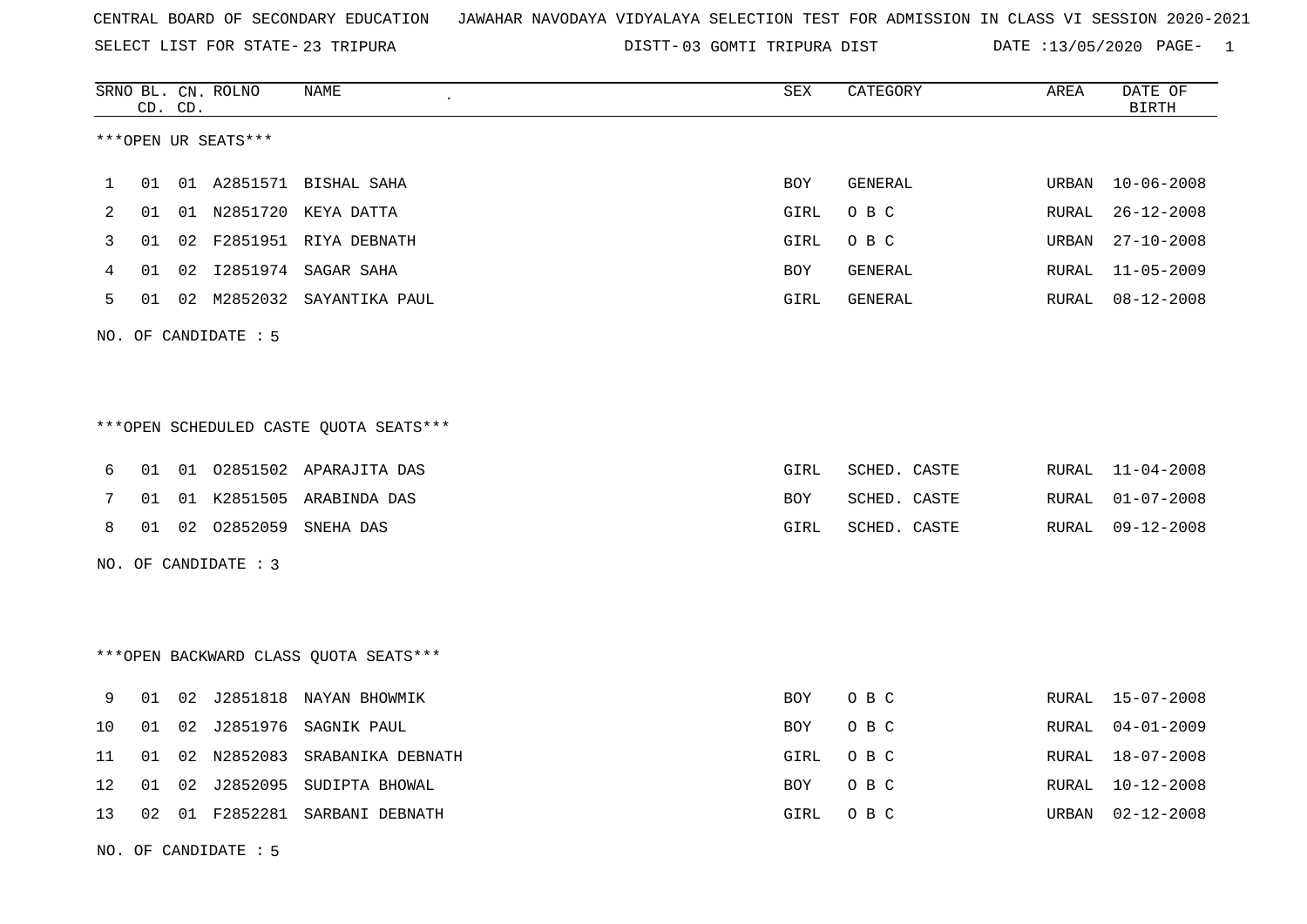SELECT LIST FOR STATE- DISTT- 23 TRIPURA

03 GOMTI TRIPURA DIST DATE :13/05/2020 PAGE- 1

|    |    |          | <b>NAME</b>                                                                                                                         | SEX                                                                                                                                                                                                                                                                      | CATEGORY     | AREA  | DATE OF<br><b>BIRTH</b> |
|----|----|----------|-------------------------------------------------------------------------------------------------------------------------------------|--------------------------------------------------------------------------------------------------------------------------------------------------------------------------------------------------------------------------------------------------------------------------|--------------|-------|-------------------------|
|    |    |          |                                                                                                                                     |                                                                                                                                                                                                                                                                          |              |       |                         |
| 01 |    |          |                                                                                                                                     | <b>BOY</b>                                                                                                                                                                                                                                                               | GENERAL      | URBAN | $10 - 06 - 2008$        |
| 01 |    |          |                                                                                                                                     | GIRL                                                                                                                                                                                                                                                                     | O B C        | RURAL | $26 - 12 - 2008$        |
| 01 | 02 |          |                                                                                                                                     | GIRL                                                                                                                                                                                                                                                                     | O B C        | URBAN | $27 - 10 - 2008$        |
| 01 | 02 |          |                                                                                                                                     | BOY                                                                                                                                                                                                                                                                      | GENERAL      | RURAL | $11 - 05 - 2009$        |
| 01 |    |          | SAYANTIKA PAUL                                                                                                                      | GIRL                                                                                                                                                                                                                                                                     | GENERAL      | RURAL | $08 - 12 - 2008$        |
|    |    |          |                                                                                                                                     |                                                                                                                                                                                                                                                                          |              |       |                         |
|    |    |          |                                                                                                                                     |                                                                                                                                                                                                                                                                          |              |       |                         |
|    |    |          |                                                                                                                                     |                                                                                                                                                                                                                                                                          |              |       |                         |
| 01 | 01 |          |                                                                                                                                     | <b>GIRL</b>                                                                                                                                                                                                                                                              | SCHED. CASTE | RURAL | $11 - 04 - 2008$        |
| 01 | 01 | K2851505 | ARABINDA DAS                                                                                                                        | BOY                                                                                                                                                                                                                                                                      | SCHED. CASTE | RURAL | $01 - 07 - 2008$        |
| 01 |    |          | SNEHA DAS                                                                                                                           | GIRL                                                                                                                                                                                                                                                                     | SCHED. CASTE | RURAL | $09 - 12 - 2008$        |
|    |    |          |                                                                                                                                     |                                                                                                                                                                                                                                                                          |              |       |                         |
|    |    |          |                                                                                                                                     |                                                                                                                                                                                                                                                                          |              |       |                         |
|    |    |          |                                                                                                                                     |                                                                                                                                                                                                                                                                          |              |       |                         |
| 01 | 02 |          |                                                                                                                                     | BOY                                                                                                                                                                                                                                                                      | O B C        | RURAL | $15 - 07 - 2008$        |
| 01 | 02 | J2851976 | SAGNIK PAUL                                                                                                                         | <b>BOY</b>                                                                                                                                                                                                                                                               | O B C        | RURAL | $04 - 01 - 2009$        |
| 01 | 02 |          | SRABANIKA DEBNATH                                                                                                                   | GIRL                                                                                                                                                                                                                                                                     | O B C        | RURAL | $18 - 07 - 2008$        |
| 01 | 02 | J2852095 | SUDIPTA BHOWAL                                                                                                                      | BOY                                                                                                                                                                                                                                                                      | O B C        | RURAL | $10 - 12 - 2008$        |
| 02 |    |          |                                                                                                                                     | GIRL                                                                                                                                                                                                                                                                     | O B C        | URBAN | 02-12-2008              |
|    |    | CD. CD.  | SRNO BL. CN. ROLNO<br>***OPEN UR SEATS***<br>02 M2852032<br>NO. OF CANDIDATE : 5<br>02 02852059<br>NO. OF CANDIDATE : 3<br>N2852083 | 01 A2851571 BISHAL SAHA<br>01 N2851720 KEYA DATTA<br>F2851951 RIYA DEBNATH<br>12851974 SAGAR SAHA<br>***OPEN SCHEDULED CASTE QUOTA SEATS***<br>02851502 APARAJITA DAS<br>*** OPEN BACKWARD CLASS QUOTA SEATS***<br>J2851818 NAYAN BHOWMIK<br>01 F2852281 SARBANI DEBNATH |              |       |                         |

NO. OF CANDIDATE : 5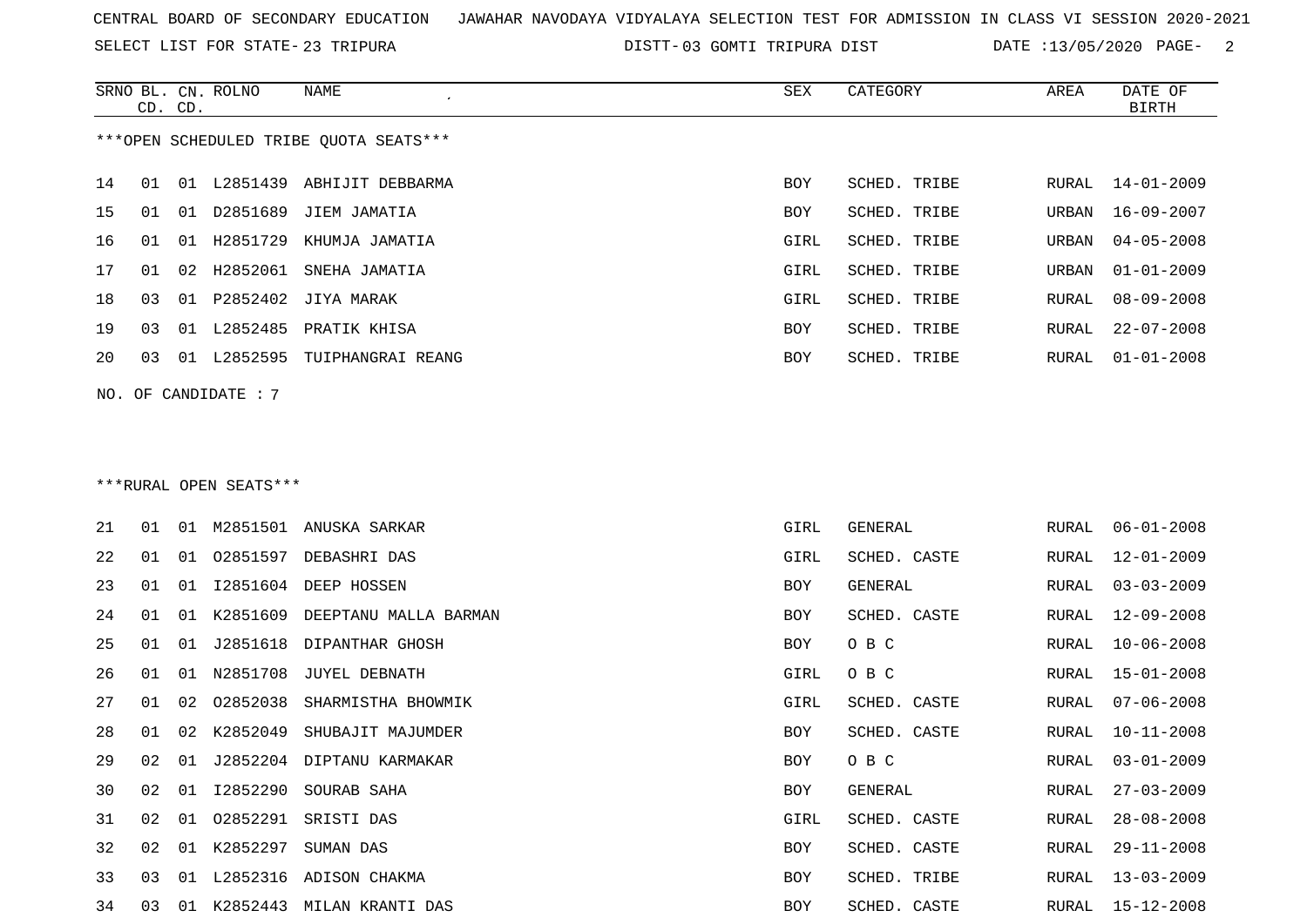SELECT LIST FOR STATE- DISTT- 23 TRIPURA

03 GOMTI TRIPURA DIST DATE :13/05/2020 PAGE- 2

|                                        |                        | CD. CD. | SRNO BL. CN. ROLNO | NAME<br>$\epsilon$           | SEX  | CATEGORY     | AREA  | DATE OF<br><b>BIRTH</b> |  |  |
|----------------------------------------|------------------------|---------|--------------------|------------------------------|------|--------------|-------|-------------------------|--|--|
| ***OPEN SCHEDULED TRIBE QUOTA SEATS*** |                        |         |                    |                              |      |              |       |                         |  |  |
| 14                                     | 01                     |         |                    | 01 L2851439 ABHIJIT DEBBARMA | BOY  | SCHED. TRIBE | RURAL | 14-01-2009              |  |  |
| 15                                     | 01                     | 01      |                    | D2851689 JIEM JAMATIA        | BOY  | SCHED. TRIBE | URBAN | $16 - 09 - 2007$        |  |  |
| 16                                     | 01                     |         | 01 H2851729        | KHUMJA JAMATIA               | GIRL | SCHED. TRIBE | URBAN | $04 - 05 - 2008$        |  |  |
| 17                                     | 01                     | 02      | H2852061           | SNEHA JAMATIA                | GIRL | SCHED. TRIBE | URBAN | $01 - 01 - 2009$        |  |  |
| 18                                     | 03                     |         |                    | 01 P2852402 JIYA MARAK       | GIRL | SCHED. TRIBE | RURAL | $08 - 09 - 2008$        |  |  |
| 19                                     | 03                     |         |                    | 01 L2852485 PRATIK KHISA     | BOY  | SCHED. TRIBE | RURAL | $22 - 07 - 2008$        |  |  |
| 20                                     | 03                     |         | 01 L2852595        | TUIPHANGRAI REANG            | BOY  | SCHED. TRIBE | RURAL | $01 - 01 - 2008$        |  |  |
| NO.                                    |                        |         | OF CANDIDATE : 7   |                              |      |              |       |                         |  |  |
|                                        |                        |         |                    |                              |      |              |       |                         |  |  |
|                                        | ***RURAL OPEN SEATS*** |         |                    |                              |      |              |       |                         |  |  |

| 21 | 01              | 01 |          | M2851501 ANUSKA SARKAR    | GIRL       | GENERAL      | RURAL | 06-01-2008       |
|----|-----------------|----|----------|---------------------------|------------|--------------|-------|------------------|
| 22 | 01              | 01 | 02851597 | DEBASHRI DAS              | GIRL       | SCHED. CASTE | RURAL | 12-01-2009       |
| 23 | 01              | 01 | I2851604 | DEEP HOSSEN               | BOY        | GENERAL      | RURAL | $03 - 03 - 2009$ |
| 24 | 01              | 01 | K2851609 | DEEPTANU MALLA BARMAN     | BOY        | SCHED. CASTE | RURAL | 12-09-2008       |
| 25 | 01              | 01 | J2851618 | DIPANTHAR GHOSH           | BOY        | O B C        | RURAL | $10 - 06 - 2008$ |
| 26 | 01              | 01 | N2851708 | JUYEL DEBNATH             | GIRL       | O B C        | RURAL | 15-01-2008       |
| 27 | 01              | 02 | 02852038 | SHARMISTHA BHOWMIK        | GIRL       | SCHED. CASTE | RURAL | $07 - 06 - 2008$ |
| 28 | 01              | 02 | K2852049 | SHUBAJIT MAJUMDER         | <b>BOY</b> | SCHED. CASTE | RURAL | $10 - 11 - 2008$ |
| 29 | 02              | 01 |          | J2852204 DIPTANU KARMAKAR | BOY        | O B C        | RURAL | $03 - 01 - 2009$ |
| 30 | 02              | 01 | I2852290 | SOURAB SAHA               | BOY        | GENERAL      | RURAL | $27 - 03 - 2009$ |
| 31 | 02 <sub>o</sub> | 01 | 02852291 | SRISTI DAS                | GIRL       | SCHED. CASTE | RURAL | $28 - 08 - 2008$ |
| 32 | 02              | 01 | K2852297 | SUMAN DAS                 | <b>BOY</b> | SCHED. CASTE | RURAL | $29 - 11 - 2008$ |
| 33 | 03              | 01 | L2852316 | ADISON CHAKMA             | BOY        | SCHED. TRIBE | RURAL | $13 - 03 - 2009$ |
| 34 | 03              | 01 | K2852443 | MILAN KRANTI DAS          | BOY        | SCHED. CASTE | RURAL | 15-12-2008       |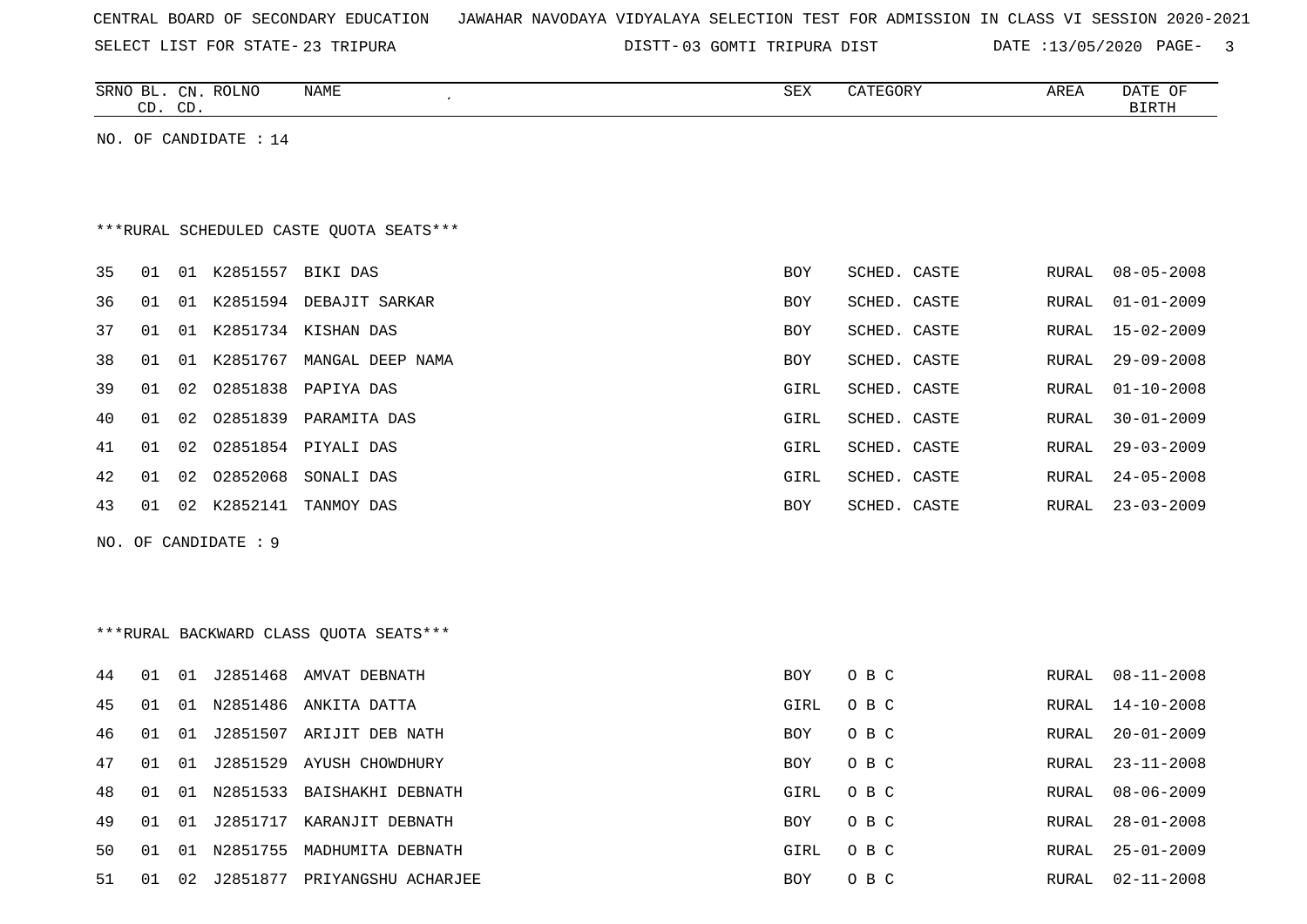| CENTRAL BOARD OF SECONDARY EDUCATION – JAWAHAR NAVODAYA VIDYALAYA SELECTION TEST FOR ADMISSION IN CLASS VI SESSION 2020-2021 |  |  |  |  |
|------------------------------------------------------------------------------------------------------------------------------|--|--|--|--|
|------------------------------------------------------------------------------------------------------------------------------|--|--|--|--|

SELECT LIST FOR STATE- DISTT- 23 TRIPURA

03 GOMTI TRIPURA DIST DATE :13/05/2020 PAGE- 3

|    |    | CD. CD. | SRNO BL. CN. ROLNO      | NAME                                    | ${\tt SEX}$ | CATEGORY     | AREA         | DATE OF<br><b>BIRTH</b> |
|----|----|---------|-------------------------|-----------------------------------------|-------------|--------------|--------------|-------------------------|
|    |    |         | NO. OF CANDIDATE : $14$ |                                         |             |              |              |                         |
|    |    |         |                         |                                         |             |              |              |                         |
|    |    |         |                         |                                         |             |              |              |                         |
|    |    |         |                         | ***RURAL SCHEDULED CASTE OUOTA SEATS*** |             |              |              |                         |
| 35 | 01 |         | 01 K2851557 BIKI DAS    |                                         | BOY         | SCHED. CASTE | RURAL        | $08 - 05 - 2008$        |
| 36 | 01 |         |                         | 01 K2851594 DEBAJIT SARKAR              | <b>BOY</b>  | SCHED. CASTE | <b>RURAL</b> | $01 - 01 - 2009$        |
| 37 | 01 |         |                         | 01 K2851734 KISHAN DAS                  | BOY         | SCHED. CASTE | RURAL        | $15 - 02 - 2009$        |
| 38 | 01 | 01      |                         | K2851767 MANGAL DEEP NAMA               | BOY         | SCHED. CASTE | <b>RURAL</b> | $29 - 09 - 2008$        |
| 39 | 01 | 02      | 02851838                | PAPIYA DAS                              | GIRL        | SCHED. CASTE | <b>RURAL</b> | $01 - 10 - 2008$        |
| 40 | 01 | 02      |                         | 02851839 PARAMITA DAS                   | GIRL        | SCHED. CASTE | <b>RURAL</b> | $30 - 01 - 2009$        |
| 41 | 01 | 02      |                         | 02851854 PIYALI DAS                     | GIRL        | SCHED. CASTE | RURAL        | $29 - 03 - 2009$        |
| 42 | 01 | 02      | 02852068                | SONALI DAS                              | GIRL        | SCHED. CASTE | RURAL        | $24 - 05 - 2008$        |
| 43 | 01 | 02      |                         | K2852141 TANMOY DAS                     | BOY         | SCHED. CASTE | RURAL        | $23 - 03 - 2009$        |
|    |    |         | NO. OF CANDIDATE : 9    |                                         |             |              |              |                         |
|    |    |         |                         |                                         |             |              |              |                         |
|    |    |         |                         |                                         |             |              |              |                         |
|    |    |         |                         | ***RURAL BACKWARD CLASS QUOTA SEATS***  |             |              |              |                         |
| 44 | 01 |         |                         | 01 J2851468 AMVAT DEBNATH               | BOY         | O B C        | RURAL        | $08 - 11 - 2008$        |
| 45 | 01 | 01      |                         | N2851486 ANKITA DATTA                   | GIRL        | O B C        | RURAL        | $14 - 10 - 2008$        |
| 46 | 01 | 01      |                         | J2851507 ARIJIT DEB NATH                | BOY         | O B C        | RURAL        | $20 - 01 - 2009$        |
| 47 | 01 | 01      |                         | J2851529 AYUSH CHOWDHURY                | BOY         | O B C        | RURAL        | $23 - 11 - 2008$        |
| 48 | 01 | 01      |                         | N2851533 BAISHAKHI DEBNATH              | GIRL        | O B C        | RURAL        | $08 - 06 - 2009$        |
| 49 | 01 | 01      |                         | J2851717 KARANJIT DEBNATH               | BOY         | O B C        | RURAL        | $28 - 01 - 2008$        |
| 50 | 01 |         |                         | 01 N2851755 MADHUMITA DEBNATH           | GIRL        | O B C        | RURAL        | $25 - 01 - 2009$        |
| 51 | 01 |         |                         | 02 J2851877 PRIYANGSHU ACHARJEE         | <b>BOY</b>  | O B C        | RURAL        | $02 - 11 - 2008$        |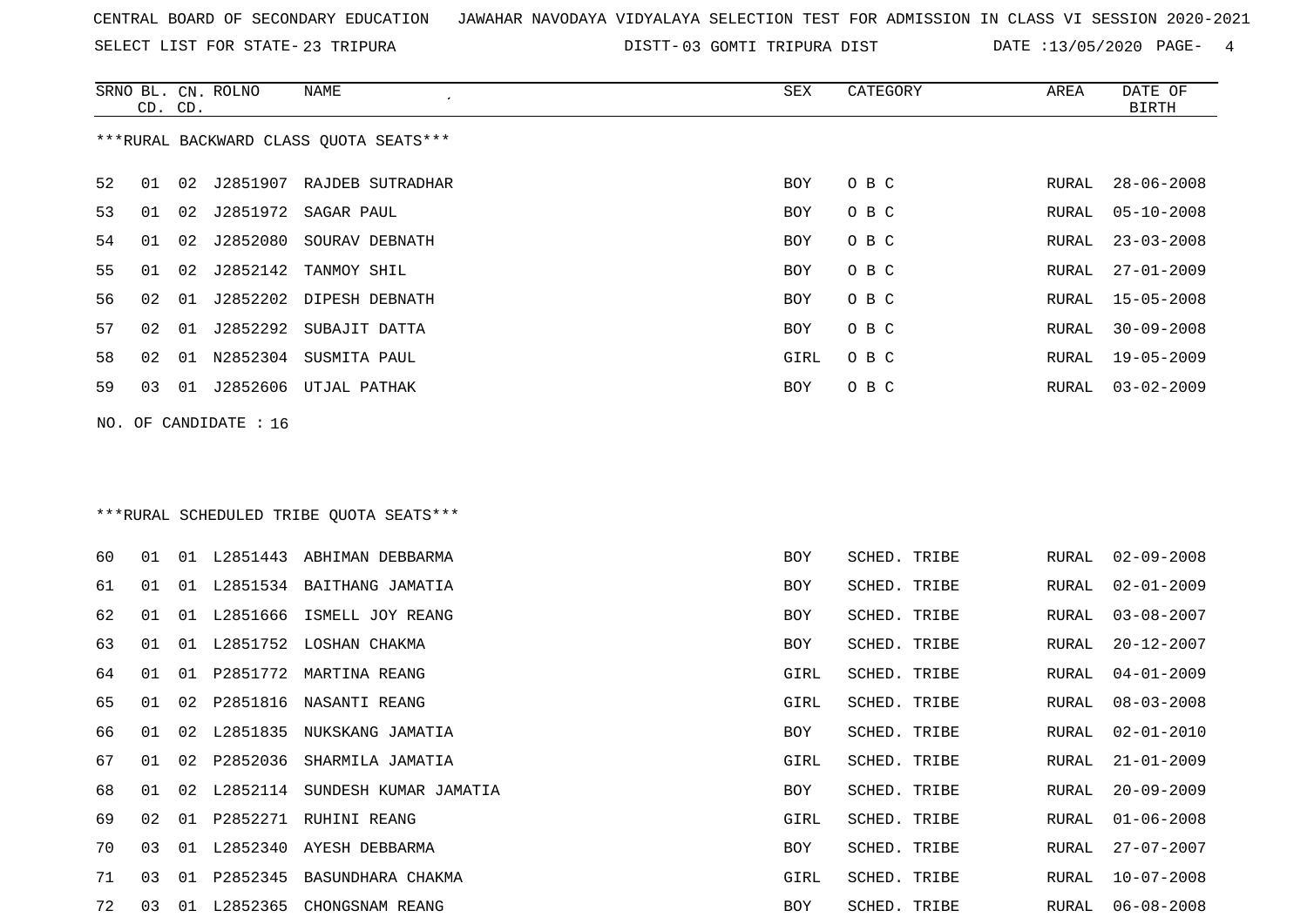SELECT LIST FOR STATE- DISTT- 23 TRIPURA

03 GOMTI TRIPURA DIST DATE :13/05/2020 PAGE- 4

|    | CD. CD. |    | SRNO BL. CN. ROLNO    | NAME                                    | SEX        | CATEGORY     | AREA  | DATE OF<br><b>BIRTH</b> |
|----|---------|----|-----------------------|-----------------------------------------|------------|--------------|-------|-------------------------|
|    |         |    |                       | ***RURAL BACKWARD CLASS QUOTA SEATS***  |            |              |       |                         |
| 52 | 01      |    |                       | 02 J2851907 RAJDEB SUTRADHAR            | BOY        | O B C        | RURAL | $28 - 06 - 2008$        |
| 53 | 01      |    |                       | 02 J2851972 SAGAR PAUL                  | BOY        | O B C        | RURAL | $05 - 10 - 2008$        |
| 54 | 01      | 02 | J2852080              | SOURAV DEBNATH                          | BOY        | O B C        | RURAL | $23 - 03 - 2008$        |
| 55 | 01      | 02 | J2852142              | TANMOY SHIL                             | BOY        | O B C        | RURAL | $27 - 01 - 2009$        |
| 56 | 02      | 01 | J2852202              | DIPESH DEBNATH                          | BOY        | O B C        | RURAL | $15 - 05 - 2008$        |
| 57 | 02      | 01 |                       | J2852292 SUBAJIT DATTA                  | BOY        | O B C        | RURAL | $30 - 09 - 2008$        |
| 58 | 02      | 01 |                       | N2852304 SUSMITA PAUL                   | GIRL       | O B C        | RURAL | $19 - 05 - 2009$        |
| 59 | 03      |    |                       | 01 J2852606 UTJAL PATHAK                | BOY        | O B C        | RURAL | $03 - 02 - 2009$        |
|    |         |    | NO. OF CANDIDATE : 16 |                                         |            |              |       |                         |
|    |         |    |                       |                                         |            |              |       |                         |
|    |         |    |                       |                                         |            |              |       |                         |
|    |         |    |                       | ***RURAL SCHEDULED TRIBE QUOTA SEATS*** |            |              |       |                         |
| 60 | 01      |    |                       | 01 L2851443 ABHIMAN DEBBARMA            | BOY        | SCHED. TRIBE | RURAL | $02 - 09 - 2008$        |
| 61 | 01      | 01 |                       | L2851534 BAITHANG JAMATIA               | <b>BOY</b> | SCHED. TRIBE | RURAL | $02 - 01 - 2009$        |
| 62 | 01      | 01 | L2851666              | ISMELL JOY REANG                        | BOY        | SCHED. TRIBE | RURAL | $03 - 08 - 2007$        |
| 63 | 01      | 01 |                       | L2851752 LOSHAN CHAKMA                  | BOY        | SCHED. TRIBE | RURAL | $20 - 12 - 2007$        |
| 64 | 01      | 01 |                       | P2851772 MARTINA REANG                  | GIRL       | SCHED. TRIBE | RURAL | $04 - 01 - 2009$        |
| 65 | 01      | 02 | P2851816              | NASANTI REANG                           | GIRL       | SCHED. TRIBE | RURAL | $08 - 03 - 2008$        |
| 66 | 01      | 02 |                       | L2851835 NUKSKANG JAMATIA               | BOY        | SCHED. TRIBE | RURAL | $02 - 01 - 2010$        |
| 67 | 01      | 02 | P2852036              | SHARMILA JAMATIA                        | GIRL       | SCHED. TRIBE | RURAL | $21 - 01 - 2009$        |
| 68 | 01      | 02 |                       | L2852114 SUNDESH KUMAR JAMATIA          | BOY        | SCHED. TRIBE | RURAL | $20 - 09 - 2009$        |
| 69 | 02      | 01 |                       | P2852271 RUHINI REANG                   | GIRL       | SCHED. TRIBE | RURAL | $01 - 06 - 2008$        |
| 70 | 03      | 01 |                       | L2852340 AYESH DEBBARMA                 | BOY        | SCHED. TRIBE | RURAL | $27 - 07 - 2007$        |
| 71 | 03      | 01 |                       | P2852345 BASUNDHARA CHAKMA              | GIRL       | SCHED. TRIBE | RURAL | $10 - 07 - 2008$        |
| 72 | 03      |    |                       | 01 L2852365 CHONGSNAM REANG             | BOY        | SCHED. TRIBE | RURAL | $06 - 08 - 2008$        |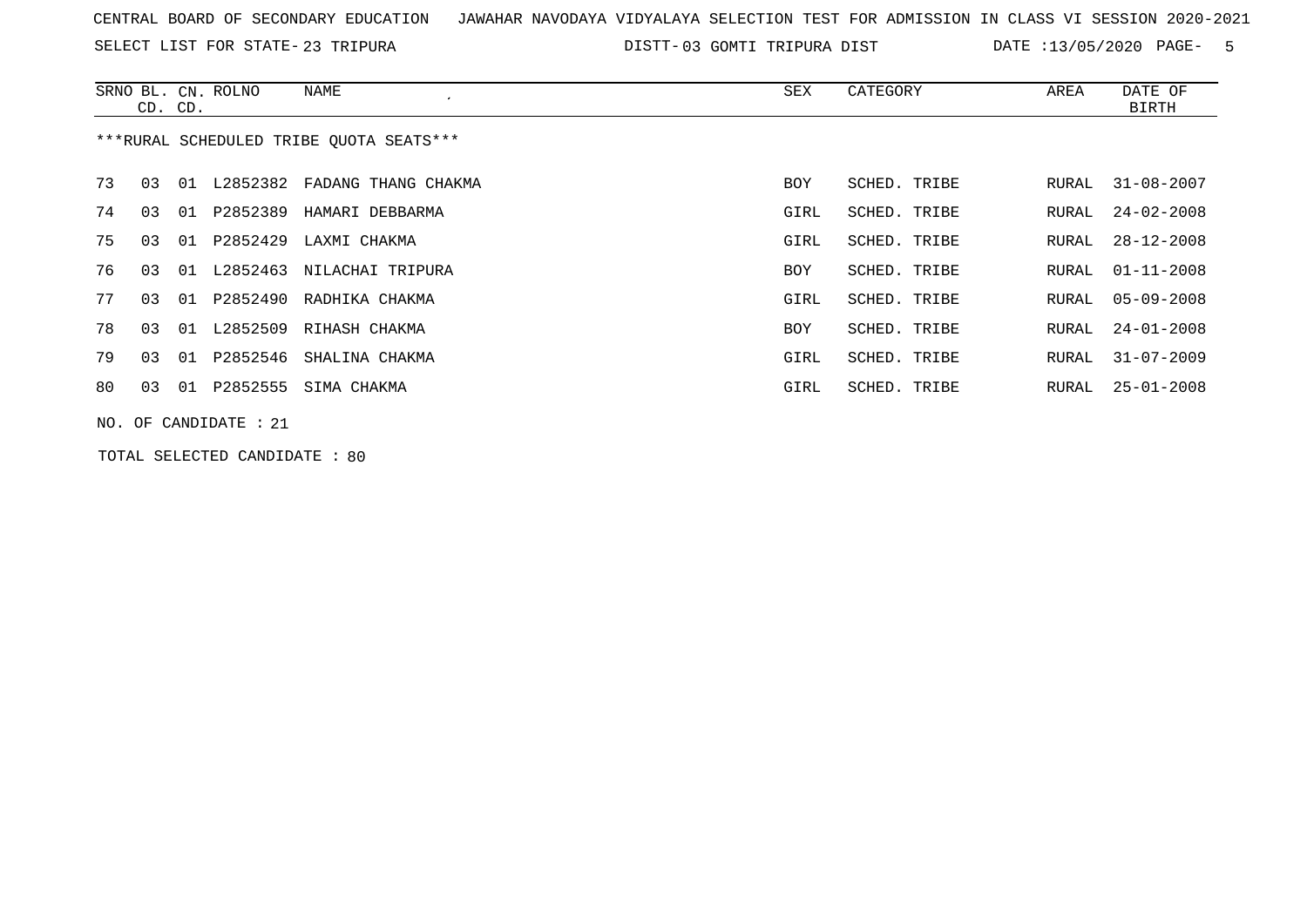SELECT LIST FOR STATE- DISTT- 23 TRIPURA

03 GOMTI TRIPURA DIST DATE :13/05/2020 PAGE- 5

|    | CD. CD.               |    | SRNO BL. CN. ROLNO | NAME                                    | SEX  | CATEGORY     | AREA  | DATE OF<br><b>BIRTH</b> |  |
|----|-----------------------|----|--------------------|-----------------------------------------|------|--------------|-------|-------------------------|--|
|    |                       |    |                    | ***RURAL SCHEDULED TRIBE OUOTA SEATS*** |      |              |       |                         |  |
| 73 | 03                    |    |                    | 01 L2852382 FADANG THANG CHAKMA         | BOY  | SCHED. TRIBE | RURAL | $31 - 08 - 2007$        |  |
| 74 | 03                    | 01 | P2852389           | HAMARI DEBBARMA                         | GIRL | SCHED. TRIBE | RURAL | $24 - 02 - 2008$        |  |
| 75 | 03                    | 01 | P2852429           | LAXMI CHAKMA                            | GIRL | SCHED. TRIBE | RURAL | $28 - 12 - 2008$        |  |
| 76 | 03                    | 01 | L2852463           | NILACHAI TRIPURA                        | BOY  | SCHED. TRIBE | RURAL | $01 - 11 - 2008$        |  |
| 77 | 03                    | 01 |                    | P2852490 RADHIKA CHAKMA                 | GIRL | SCHED. TRIBE | RURAL | $05 - 09 - 2008$        |  |
| 78 | 03                    |    | 01 L2852509        | RIHASH CHAKMA                           | BOY  | SCHED. TRIBE | RURAL | $24 - 01 - 2008$        |  |
| 79 | 03                    | 01 | P2852546           | SHALINA CHAKMA                          | GIRL | SCHED. TRIBE | RURAL | $31 - 07 - 2009$        |  |
| 80 | 03                    |    | 01 P2852555        | SIMA CHAKMA                             | GIRL | SCHED. TRIBE | RURAL | 25-01-2008              |  |
|    | NO. OF CANDIDATE : 21 |    |                    |                                         |      |              |       |                         |  |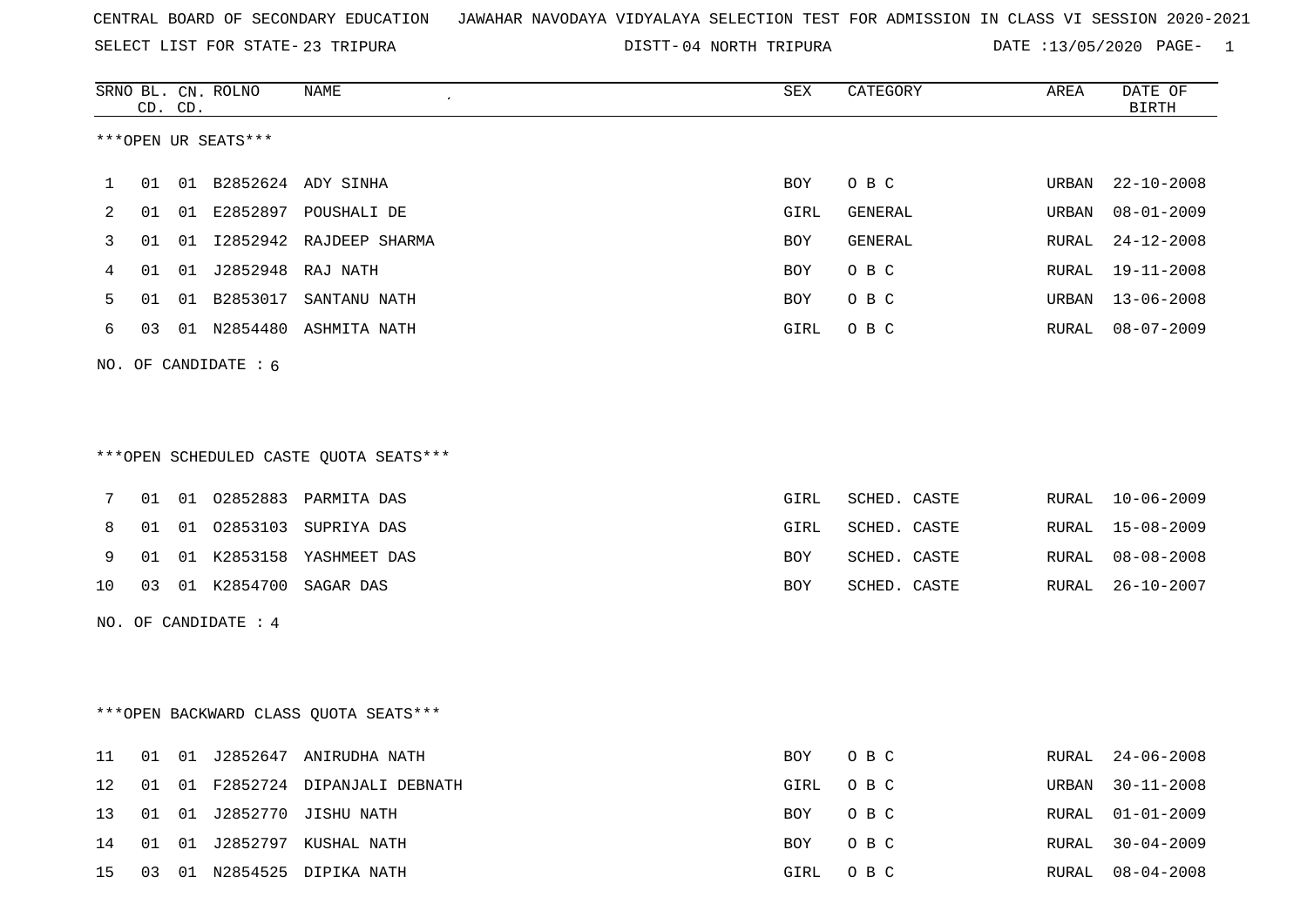SELECT LIST FOR STATE- DISTT- 23 TRIPURA

04 NORTH TRIPURA DATE :13/05/2020 PAGE- 1

|    | CD. CD. |    | SRNO BL. CN. ROLNO     | NAME                                   | <b>SEX</b> | CATEGORY       | AREA  | DATE OF<br><b>BIRTH</b> |
|----|---------|----|------------------------|----------------------------------------|------------|----------------|-------|-------------------------|
|    |         |    | ***OPEN UR SEATS***    |                                        |            |                |       |                         |
| 1  | 01      |    |                        | 01 B2852624 ADY SINHA                  | BOY        | O B C          | URBAN | $22 - 10 - 2008$        |
| 2  | 01      |    |                        | 01 E2852897 POUSHALI DE                | GIRL       | GENERAL        | URBAN | $08 - 01 - 2009$        |
| 3  | 01      | 01 |                        | 12852942 RAJDEEP SHARMA                | <b>BOY</b> | <b>GENERAL</b> | RURAL | $24 - 12 - 2008$        |
| 4  | 01      |    | 01 J2852948 RAJ NATH   |                                        | BOY        | O B C          | RURAL | $19 - 11 - 2008$        |
| 5  | 01      |    | 01 B2853017            | SANTANU NATH                           | BOY        | O B C          | URBAN | $13 - 06 - 2008$        |
| 6  | 03      |    |                        | 01 N2854480 ASHMITA NATH               | GIRL       | O B C          | RURAL | $08 - 07 - 2009$        |
|    |         |    | NO. OF CANDIDATE : $6$ |                                        |            |                |       |                         |
|    |         |    |                        |                                        |            |                |       |                         |
|    |         |    |                        |                                        |            |                |       |                         |
|    |         |    |                        | ***OPEN SCHEDULED CASTE QUOTA SEATS*** |            |                |       |                         |
| 7  | 01      |    |                        | 01 02852883 PARMITA DAS                | GIRL       | SCHED. CASTE   | RURAL | $10 - 06 - 2009$        |
| 8  | 01      |    |                        | 01 02853103 SUPRIYA DAS                | GIRL       | SCHED. CASTE   | RURAL | $15 - 08 - 2009$        |
| 9  | 01      |    |                        | 01 K2853158 YASHMEET DAS               | <b>BOY</b> | SCHED. CASTE   | RURAL | $08 - 08 - 2008$        |
| 10 | 03      |    |                        | 01 K2854700 SAGAR DAS                  | BOY        | SCHED. CASTE   | RURAL | $26 - 10 - 2007$        |
|    |         |    | NO. OF CANDIDATE : $4$ |                                        |            |                |       |                         |
|    |         |    |                        |                                        |            |                |       |                         |
|    |         |    |                        |                                        |            |                |       |                         |
|    |         |    |                        | *** OPEN BACKWARD CLASS QUOTA SEATS*** |            |                |       |                         |
| 11 |         |    |                        | 01 01 J2852647 ANIRUDHA NATH           | BOY        | O B C          |       | RURAL 24-06-2008        |
| 12 | 01      |    |                        | 01 F2852724 DIPANJALI DEBNATH          | GIRL       | O B C          | URBAN | $30 - 11 - 2008$        |
| 13 |         |    |                        | 01 01 J2852770 JISHU NATH              | BOY        | O B C          | RURAL | $01 - 01 - 2009$        |
| 14 |         |    |                        | 01 01 J2852797 KUSHAL NATH             | BOY        | O B C          | RURAL | $30 - 04 - 2009$        |
| 15 |         |    |                        | 03 01 N2854525 DIPIKA NATH             | GIRL       | O B C          | RURAL | $08 - 04 - 2008$        |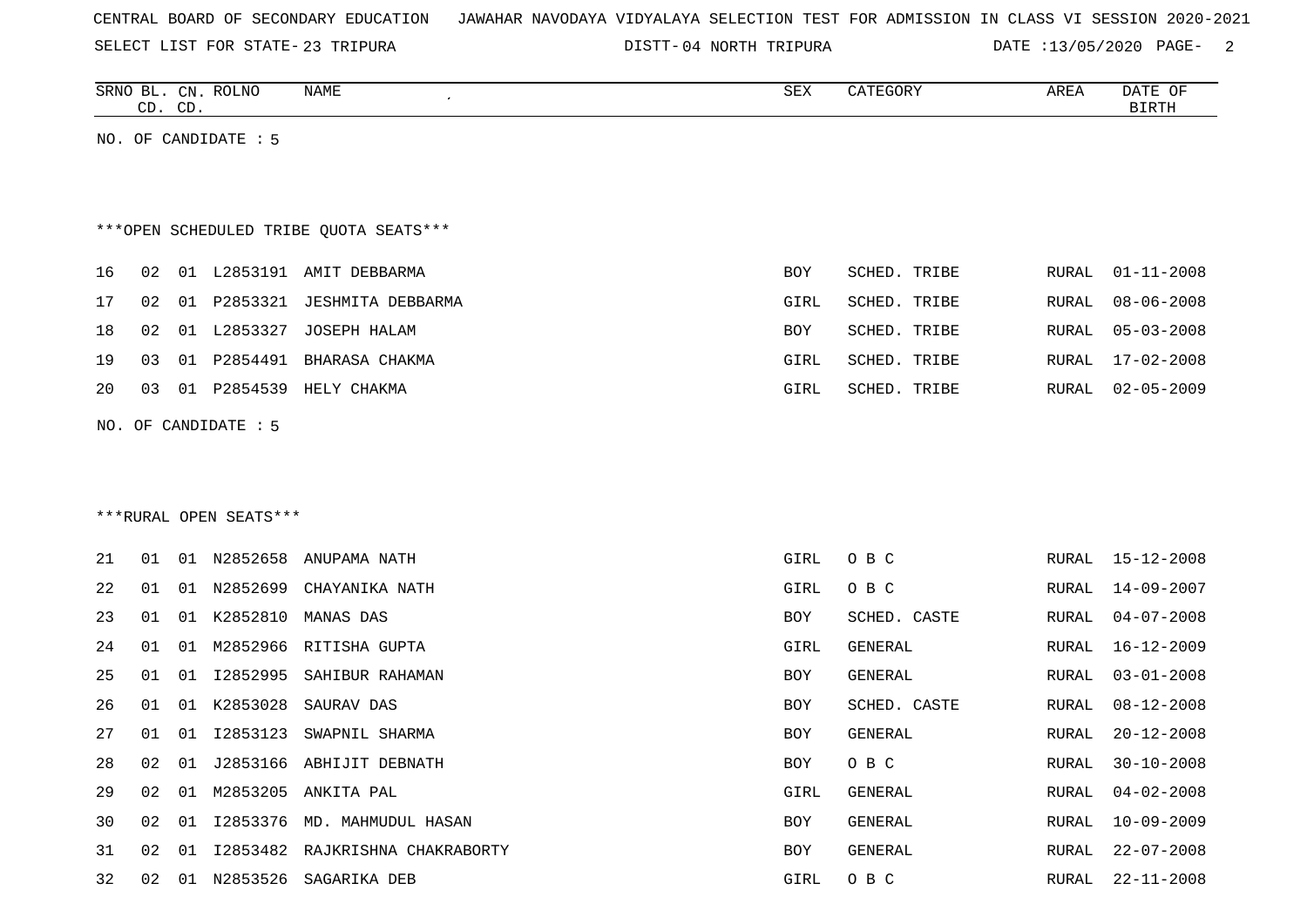SELECT LIST FOR STATE- DISTT- 23 TRIPURA

DISTT-04 NORTH TRIPURA DATE :13/05/2020 PAGE- 2

|    |    | CD. CD. | SRNO BL. CN. ROLNO     | NAME                                   | SEX        | CATEGORY     | AREA  | DATE OF<br>BIRTH |
|----|----|---------|------------------------|----------------------------------------|------------|--------------|-------|------------------|
|    |    |         | NO. OF CANDIDATE : 5   |                                        |            |              |       |                  |
|    |    |         |                        |                                        |            |              |       |                  |
|    |    |         |                        | ***OPEN SCHEDULED TRIBE QUOTA SEATS*** |            |              |       |                  |
| 16 | 02 | 01      | L2853191               | AMIT DEBBARMA                          | <b>BOY</b> | SCHED. TRIBE | RURAL | $01 - 11 - 2008$ |
| 17 | 02 | 01      | P2853321               | JESHMITA DEBBARMA                      | GIRL       | SCHED. TRIBE | RURAL | $08 - 06 - 2008$ |
| 18 | 02 | 01      | L2853327               | JOSEPH HALAM                           | BOY        | SCHED. TRIBE | RURAL | $05 - 03 - 2008$ |
| 19 | 03 | 01      | P2854491               | BHARASA CHAKMA                         | GIRL       | SCHED. TRIBE | RURAL | 17-02-2008       |
| 20 | 03 | 01      | P2854539               | HELY CHAKMA                            | GIRL       | SCHED. TRIBE | RURAL | $02 - 05 - 2009$ |
|    |    |         | NO. OF CANDIDATE $: 5$ |                                        |            |              |       |                  |

#### \*\*\*RURAL OPEN SEATS\*\*\*

| 21 | 01  | O 1   | N2852658 | ANUPAMA NATH           | GIRL       | O B C        | RURAL | 15-12-2008       |
|----|-----|-------|----------|------------------------|------------|--------------|-------|------------------|
| 22 | 01  | O 1   | N2852699 | CHAYANIKA NATH         | GIRL       | O B C        | RURAL | 14-09-2007       |
| 23 | 01  | 01    | K2852810 | MANAS DAS              | BOY        | SCHED. CASTE | RURAL | 04-07-2008       |
| 24 | 01  | O 1   | M2852966 | RITISHA GUPTA          | GIRL       | GENERAL      | RURAL | 16-12-2009       |
| 25 | 01  | O 1   | I2852995 | SAHIBUR RAHAMAN        | BOY        | GENERAL      | RURAL | $03 - 01 - 2008$ |
| 26 | 01  | 01    | K2853028 | SAURAV DAS             | BOY        | SCHED. CASTE | RURAL | 08-12-2008       |
| 27 | O 1 | O 1   | I2853123 | SWAPNIL SHARMA         | BOY        | GENERAL      | RURAL | $20 - 12 - 2008$ |
| 28 | 02  | O 1   | J2853166 | ABHIJIT DEBNATH        | <b>BOY</b> | O B C        | RURAL | $30 - 10 - 2008$ |
| 29 | 02  | O 1   | M2853205 | ANKITA PAL             | GIRL       | GENERAL      | RURAL | $04 - 02 - 2008$ |
| 30 | 02  | 01    | I2853376 | MD. MAHMUDUL HASAN     | BOY        | GENERAL      | RURAL | $10 - 09 - 2009$ |
| 31 | 02  | 01    | I2853482 | RAJKRISHNA CHAKRABORTY | BOY        | GENERAL      | RURAL | $22 - 07 - 2008$ |
| 32 | 02  | . N 1 | N2853526 | SAGARIKA DEB           | GIRL       | O B C        | RURAL | $22 - 11 - 2008$ |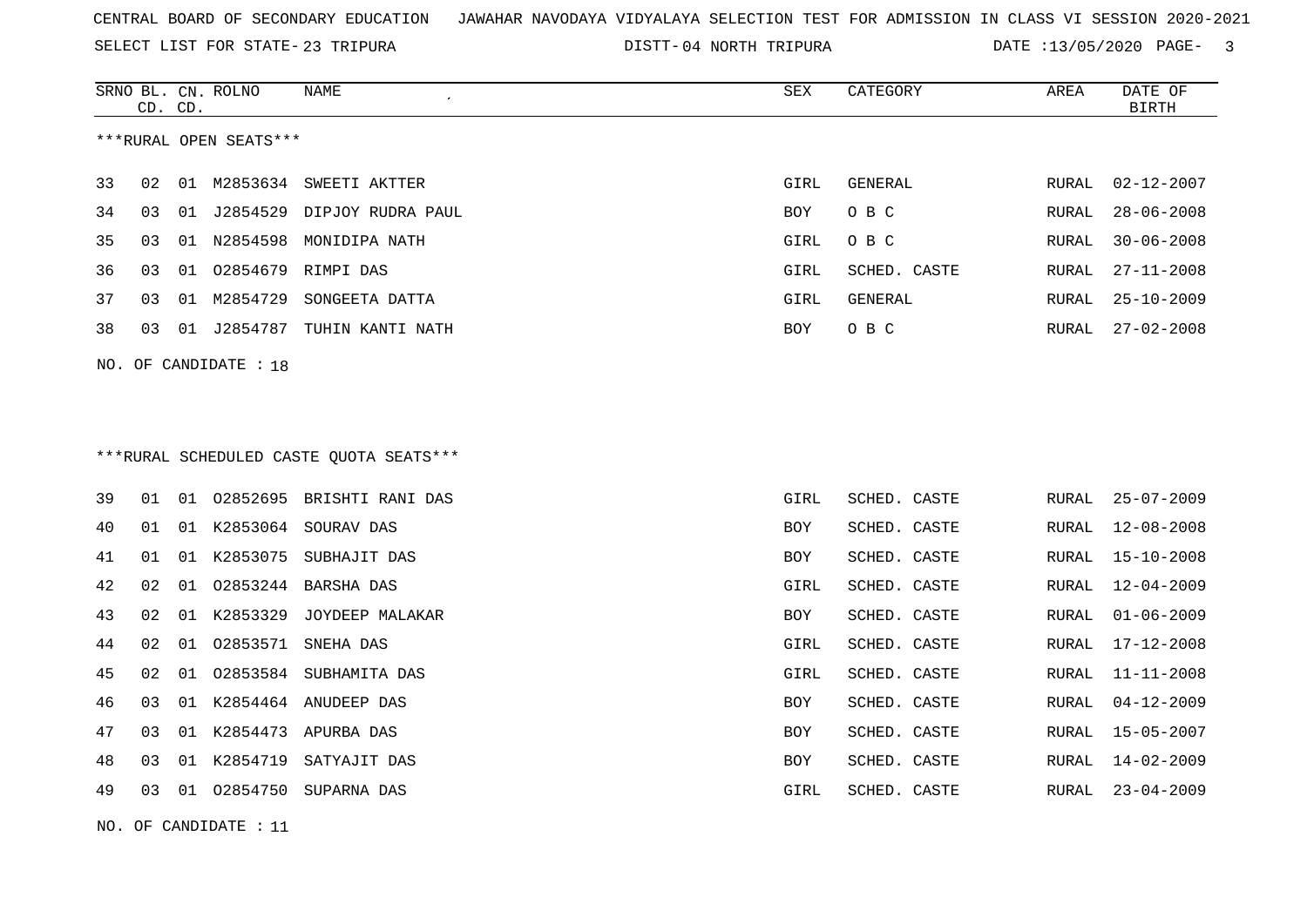SELECT LIST FOR STATE- DISTT- 23 TRIPURA

04 NORTH TRIPURA DATE :13/05/2020 PAGE- 3

|    | CD. CD.               |    | SRNO BL. CN. ROLNO     | NAME                                     | SEX        | CATEGORY     | AREA          | DATE OF<br><b>BIRTH</b> |  |  |
|----|-----------------------|----|------------------------|------------------------------------------|------------|--------------|---------------|-------------------------|--|--|
|    |                       |    | ***RURAL OPEN SEATS*** |                                          |            |              |               |                         |  |  |
| 33 | 02                    |    |                        | 01 M2853634 SWEETI AKTTER                | GIRL       | GENERAL      | RURAL         | $02 - 12 - 2007$        |  |  |
| 34 | 03                    |    |                        | 01 J2854529 DIPJOY RUDRA PAUL            | BOY        | O B C        | RURAL         | $28 - 06 - 2008$        |  |  |
| 35 | 03                    | 01 |                        | N2854598 MONIDIPA NATH                   | GIRL       | O B C        | RURAL         | $30 - 06 - 2008$        |  |  |
| 36 | 03                    |    |                        | 01 02854679 RIMPI DAS                    | GIRL       | SCHED. CASTE | RURAL         | $27 - 11 - 2008$        |  |  |
| 37 | 03                    | 01 | M2854729               | SONGEETA DATTA                           | GIRL       | GENERAL      | RURAL         | $25 - 10 - 2009$        |  |  |
| 38 | 03                    |    |                        | 01 J2854787 TUHIN KANTI NATH             | BOY        | O B C        | RURAL         | $27 - 02 - 2008$        |  |  |
|    |                       |    | NO. OF CANDIDATE : 18  |                                          |            |              |               |                         |  |  |
|    |                       |    |                        |                                          |            |              |               |                         |  |  |
|    |                       |    |                        |                                          |            |              |               |                         |  |  |
|    |                       |    |                        | *** RURAL SCHEDULED CASTE QUOTA SEATS*** |            |              |               |                         |  |  |
| 39 | 01                    |    |                        | 01 02852695 BRISHTI RANI DAS             | GIRL       | SCHED. CASTE | RURAL         | $25 - 07 - 2009$        |  |  |
| 40 | 01                    |    |                        | 01 K2853064 SOURAV DAS                   | BOY        | SCHED. CASTE | RURAL         | $12 - 08 - 2008$        |  |  |
| 41 | 01                    |    |                        | 01 K2853075 SUBHAJIT DAS                 | <b>BOY</b> | SCHED. CASTE | RURAL         | $15 - 10 - 2008$        |  |  |
| 42 | 02                    | 01 |                        | 02853244 BARSHA DAS                      | GIRL       | SCHED. CASTE | <b>RURAL</b>  | $12 - 04 - 2009$        |  |  |
| 43 | 02                    | 01 |                        | K2853329 JOYDEEP MALAKAR                 | <b>BOY</b> | SCHED. CASTE | ${\tt RURAL}$ | $01 - 06 - 2009$        |  |  |
| 44 | 02                    | 01 | 02853571               | SNEHA DAS                                | GIRL       | SCHED. CASTE | RURAL         | 17-12-2008              |  |  |
| 45 | 02                    | 01 |                        | 02853584 SUBHAMITA DAS                   | GIRL       | SCHED. CASTE | RURAL         | $11 - 11 - 2008$        |  |  |
| 46 | 03                    | 01 |                        | K2854464 ANUDEEP DAS                     | <b>BOY</b> | SCHED. CASTE | RURAL         | $04 - 12 - 2009$        |  |  |
| 47 | 03                    |    |                        | 01 K2854473 APURBA DAS                   | <b>BOY</b> | SCHED. CASTE | RURAL         | $15 - 05 - 2007$        |  |  |
| 48 | 03                    |    |                        | 01 K2854719 SATYAJIT DAS                 | BOY        | SCHED. CASTE | RURAL         | 14-02-2009              |  |  |
| 49 | 03                    |    |                        | 01 02854750 SUPARNA DAS                  | GIRL       | SCHED. CASTE | RURAL         | $23 - 04 - 2009$        |  |  |
|    | NO. OF CANDIDATE : 11 |    |                        |                                          |            |              |               |                         |  |  |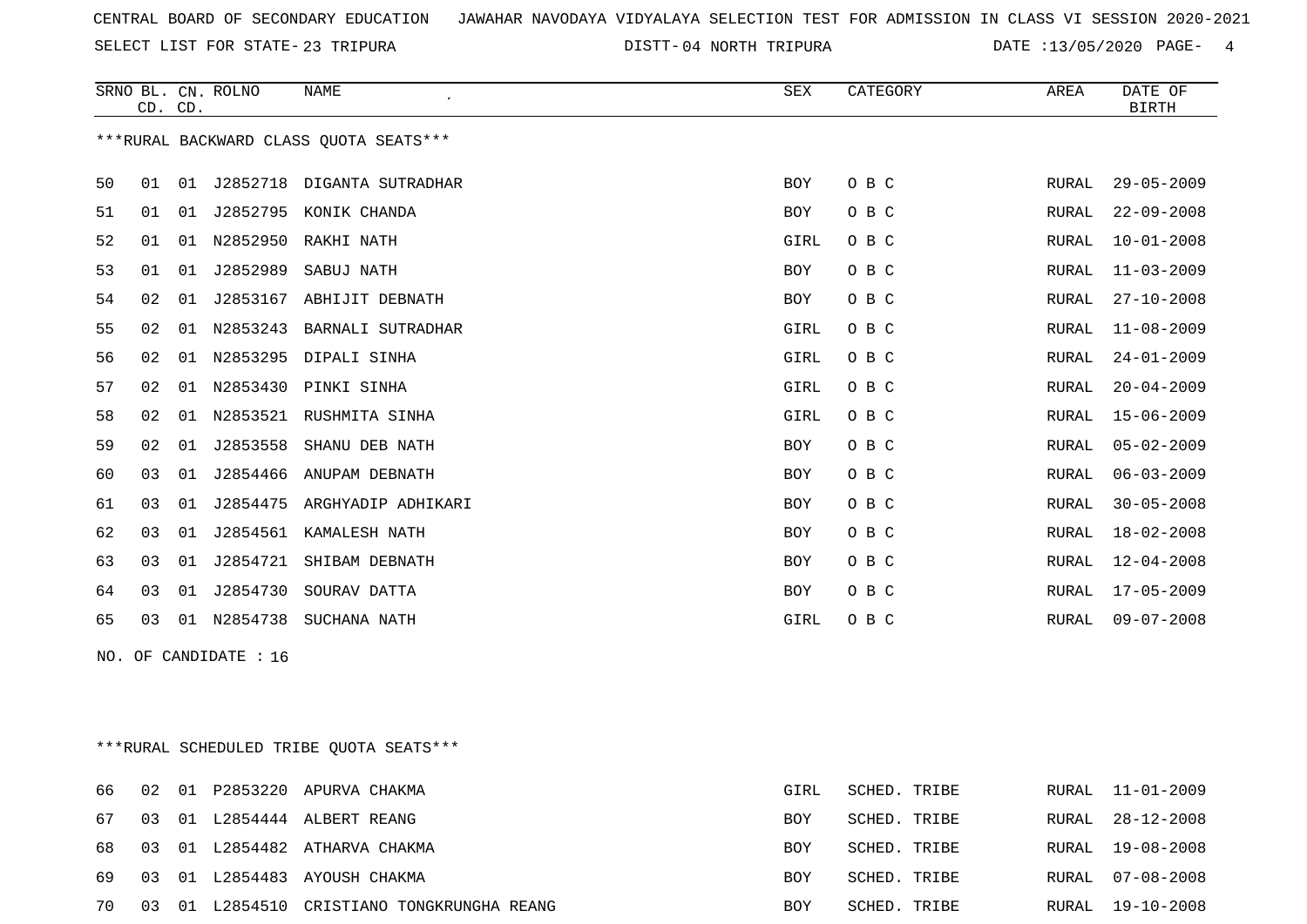SELECT LIST FOR STATE- DISTT- 23 TRIPURA

DISTT-04 NORTH TRIPURA DATE :13/05/2020 PAGE- 4

|    |                         | CD. CD. | SRNO BL. CN. ROLNO | <b>NAME</b>                             | SEX        | CATEGORY | AREA         | DATE OF<br><b>BIRTH</b> |  |
|----|-------------------------|---------|--------------------|-----------------------------------------|------------|----------|--------------|-------------------------|--|
|    |                         |         |                    | *** RURAL BACKWARD CLASS QUOTA SEATS*** |            |          |              |                         |  |
| 50 | 01                      | 01      |                    | J2852718 DIGANTA SUTRADHAR              | BOY        | O B C    | RURAL        | $29 - 05 - 2009$        |  |
| 51 | 01                      | 01      |                    | J2852795 KONIK CHANDA                   | BOY        | O B C    | RURAL        | $22 - 09 - 2008$        |  |
| 52 | 01                      | 01      | N2852950           | RAKHI NATH                              | GIRL       | O B C    | <b>RURAL</b> | $10 - 01 - 2008$        |  |
| 53 | 01                      | 01      | J2852989           | SABUJ NATH                              | <b>BOY</b> | O B C    | RURAL        | $11 - 03 - 2009$        |  |
| 54 | 02                      | 01      | J2853167           | ABHIJIT DEBNATH                         | BOY        | O B C    | RURAL        | $27 - 10 - 2008$        |  |
| 55 | 02                      | 01      | N2853243           | BARNALI SUTRADHAR                       | GIRL       | O B C    | RURAL        | $11 - 08 - 2009$        |  |
| 56 | 02                      | 01      | N2853295           | DIPALI SINHA                            | GIRL       | O B C    | RURAL        | $24 - 01 - 2009$        |  |
| 57 | 02                      |         | 01 N2853430        | PINKI SINHA                             | GIRL       | O B C    | RURAL        | $20 - 04 - 2009$        |  |
| 58 | 02                      | 01      |                    | N2853521 RUSHMITA SINHA                 | GIRL       | O B C    | RURAL        | $15 - 06 - 2009$        |  |
| 59 | 02                      | 01      | J2853558           | SHANU DEB NATH                          | BOY        | O B C    | RURAL        | $05 - 02 - 2009$        |  |
| 60 | 03                      | 01      | J2854466           | ANUPAM DEBNATH                          | <b>BOY</b> | O B C    | RURAL        | $06 - 03 - 2009$        |  |
| 61 | 03                      | 01      | J2854475           | ARGHYADIP ADHIKARI                      | BOY        | O B C    | RURAL        | $30 - 05 - 2008$        |  |
| 62 | 03                      | 01      | J2854561           | KAMALESH NATH                           | BOY        | O B C    | RURAL        | $18 - 02 - 2008$        |  |
| 63 | 03                      | 01      | J2854721           | SHIBAM DEBNATH                          | BOY        | O B C    | RURAL        | $12 - 04 - 2008$        |  |
| 64 | 03                      | 01      | J2854730           | SOURAV DATTA                            | BOY        | O B C    | RURAL        | $17 - 05 - 2009$        |  |
| 65 | 03                      |         |                    | 01 N2854738 SUCHANA NATH                | GIRL       | O B C    | RURAL        | $09 - 07 - 2008$        |  |
|    | NO. OF CANDIDATE : $16$ |         |                    |                                         |            |          |              |                         |  |

\*\*\*RURAL SCHEDULED TRIBE QUOTA SEATS\*\*\*

| 66 | 02 |  | 01 P2853220 APURVA CHAKMA                  | GIRL       | SCHED. TRIBE    |       | RURAL 11-01-2009 |
|----|----|--|--------------------------------------------|------------|-----------------|-------|------------------|
|    |    |  | 67 03 01 L2854444 ALBERT REANG             | <b>BOY</b> | SCHED. TRIBE    |       | RURAL 28-12-2008 |
| 68 | 03 |  | 01 L2854482 ATHARVA CHAKMA                 | BOY        | SCHED. TRIBE    | RURAL | 19-08-2008       |
| 69 | 03 |  | 01 L2854483 AYOUSH CHAKMA                  | BOY        | SCHED. TRIBE    |       | RURAL 07-08-2008 |
| 70 |    |  | 03 01 L2854510 CRISTIANO TONGKRUNGHA REANG | BOY        | SCHED.<br>TRIBE |       | RURAL 19-10-2008 |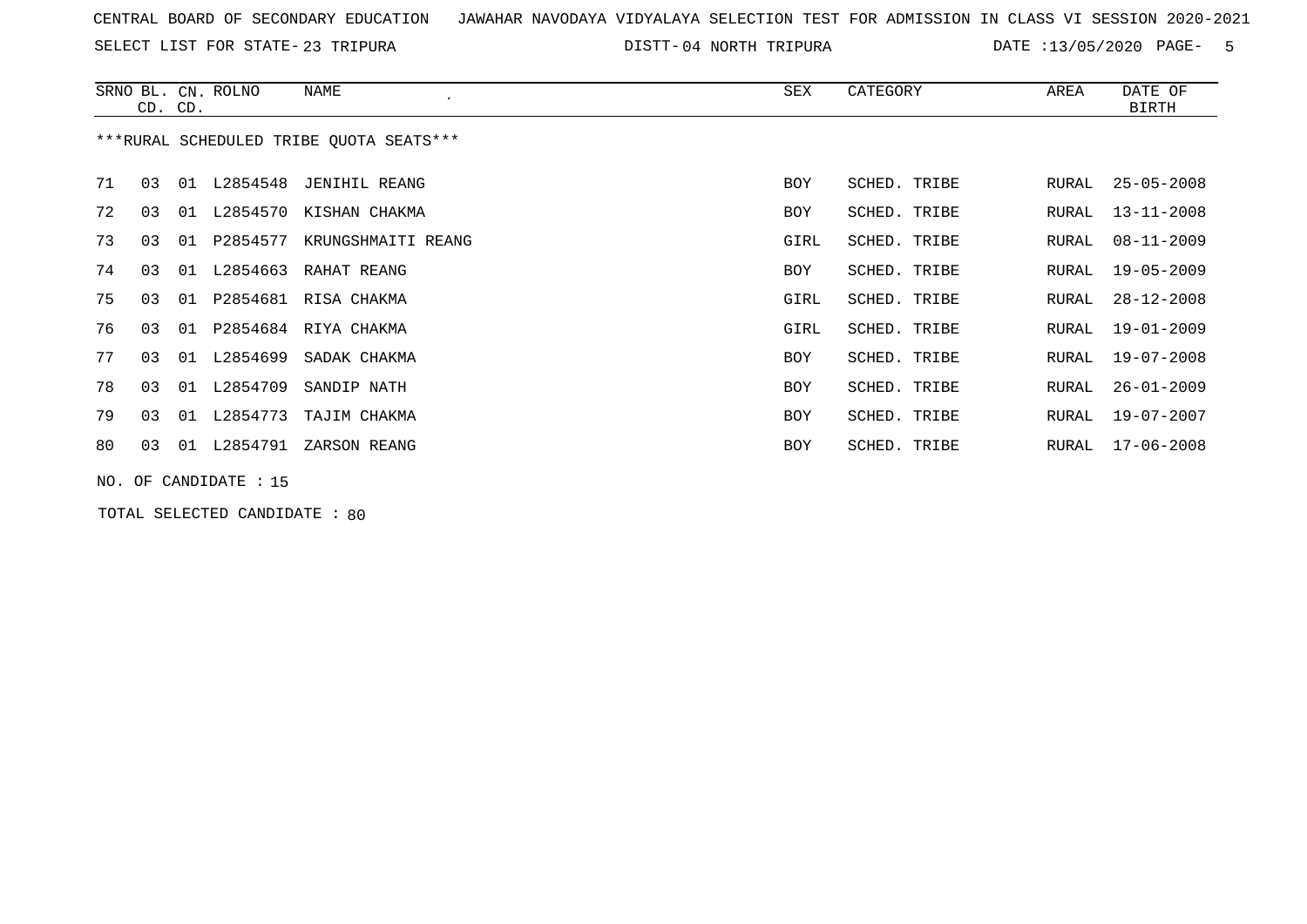SELECT LIST FOR STATE- DISTT- 23 TRIPURA

04 NORTH TRIPURA DATE :13/05/2020 PAGE- 5

|    | SRNO BL.<br>CD. CD.                     |    | CN. ROLNO             | NAME                   | SEX        | CATEGORY     | AREA  | DATE OF<br>BIRTH |  |  |  |  |
|----|-----------------------------------------|----|-----------------------|------------------------|------------|--------------|-------|------------------|--|--|--|--|
|    | ***RURAL SCHEDULED TRIBE QUOTA SEATS*** |    |                       |                        |            |              |       |                  |  |  |  |  |
| 71 | 03                                      | 01 |                       | L2854548 JENIHIL REANG | <b>BOY</b> | SCHED. TRIBE | RURAL | $25 - 05 - 2008$ |  |  |  |  |
| 72 | 03                                      | 01 | L2854570              | KISHAN CHAKMA          | BOY        | SCHED. TRIBE | RURAL | $13 - 11 - 2008$ |  |  |  |  |
| 73 | 03                                      | 01 | P2854577              | KRUNGSHMAITI REANG     | GIRL       | SCHED. TRIBE | RURAL | $08 - 11 - 2009$ |  |  |  |  |
| 74 | 03                                      | 01 | L2854663              | RAHAT REANG            | <b>BOY</b> | SCHED. TRIBE | RURAL | 19-05-2009       |  |  |  |  |
| 75 | 03                                      | 01 | P2854681              | RISA CHAKMA            | GIRL       | SCHED. TRIBE | RURAL | $28 - 12 - 2008$ |  |  |  |  |
| 76 | 03                                      | 01 |                       | P2854684 RIYA CHAKMA   | GIRL       | SCHED. TRIBE | RURAL | 19-01-2009       |  |  |  |  |
| 77 | 03                                      | 01 | L2854699              | SADAK CHAKMA           | <b>BOY</b> | SCHED. TRIBE | RURAL | $19 - 07 - 2008$ |  |  |  |  |
| 78 | 03                                      | 01 | L2854709              | SANDIP NATH            | <b>BOY</b> | SCHED. TRIBE | RURAL | $26 - 01 - 2009$ |  |  |  |  |
| 79 | 03                                      | 01 | L2854773              | TAJIM CHAKMA           | BOY        | SCHED. TRIBE | RURAL | 19-07-2007       |  |  |  |  |
| 80 | 03                                      | 01 | L2854791              | ZARSON REANG           | <b>BOY</b> | SCHED. TRIBE | RURAL | 17-06-2008       |  |  |  |  |
|    |                                         |    | NO. OF CANDIDATE : 15 |                        |            |              |       |                  |  |  |  |  |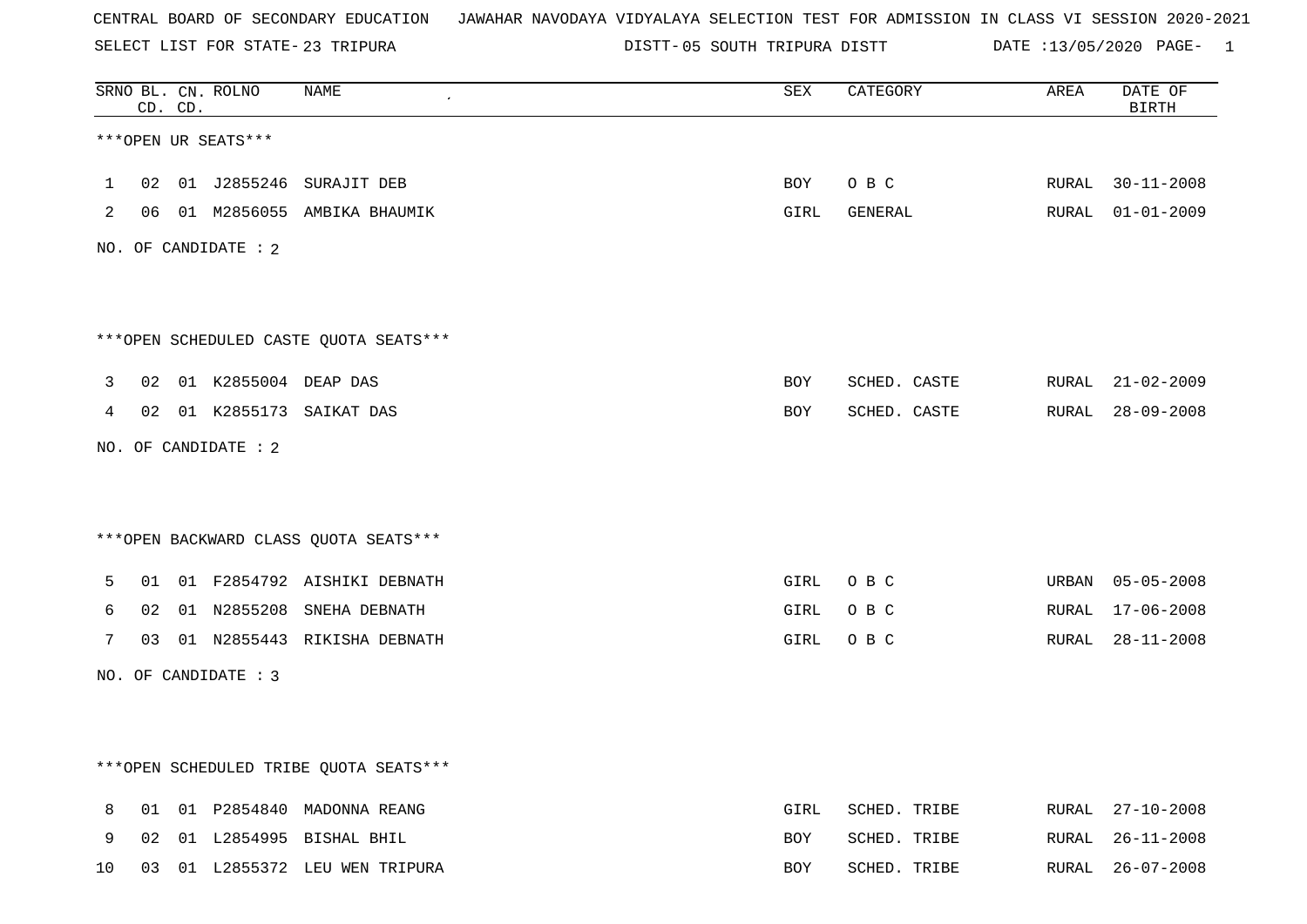SELECT LIST FOR STATE- DISTT- 23 TRIPURA

DISTT-05 SOUTH TRIPURA DISTT DATE :13/05/2020 PAGE- 1

|    |    | CD. CD. | SRNO BL. CN. ROLNO   | NAME                                   | <b>SEX</b> | CATEGORY     | AREA  | DATE OF<br><b>BIRTH</b> |
|----|----|---------|----------------------|----------------------------------------|------------|--------------|-------|-------------------------|
|    |    |         | ***OPEN UR SEATS***  |                                        |            |              |       |                         |
| 1  | 02 |         |                      | 01 J2855246 SURAJIT DEB                | BOY        | O B C        | RURAL | $30 - 11 - 2008$        |
| 2  |    |         |                      | 06 01 M2856055 AMBIKA BHAUMIK          | GIRL       | GENERAL      |       | RURAL 01-01-2009        |
|    |    |         | NO. OF CANDIDATE : 2 |                                        |            |              |       |                         |
|    |    |         |                      |                                        |            |              |       |                         |
|    |    |         |                      | ***OPEN SCHEDULED CASTE QUOTA SEATS*** |            |              |       |                         |
| 3  | 02 |         | 01 K2855004 DEAP DAS |                                        | BOY        | SCHED. CASTE |       | RURAL 21-02-2009        |
| 4  |    |         |                      | 02 01 K2855173 SAIKAT DAS              | BOY        | SCHED. CASTE |       | RURAL 28-09-2008        |
|    |    |         | NO. OF CANDIDATE : 2 |                                        |            |              |       |                         |
|    |    |         |                      |                                        |            |              |       |                         |
|    |    |         |                      | *** OPEN BACKWARD CLASS QUOTA SEATS*** |            |              |       |                         |
| 5  | 01 |         |                      | 01 F2854792 AISHIKI DEBNATH            | GIRL       | O B C        | URBAN | 05-05-2008              |
| 6  | 02 |         | 01 N2855208          | SNEHA DEBNATH                          | GIRL       | O B C        | RURAL | $17 - 06 - 2008$        |
| 7  |    |         |                      | 03 01 N2855443 RIKISHA DEBNATH         | GIRL       | O B C        |       | RURAL 28-11-2008        |
|    |    |         | NO. OF CANDIDATE : 3 |                                        |            |              |       |                         |
|    |    |         |                      |                                        |            |              |       |                         |
|    |    |         |                      | ***OPEN SCHEDULED TRIBE QUOTA SEATS*** |            |              |       |                         |
| 8  |    |         |                      | 01 01 P2854840 MADONNA REANG           | GIRL       | SCHED. TRIBE |       | RURAL 27-10-2008        |
| 9  | 02 |         |                      | 01 L2854995 BISHAL BHIL                | <b>BOY</b> | SCHED. TRIBE | RURAL | $26 - 11 - 2008$        |
| 10 | 03 |         |                      | 01 L2855372 LEU WEN TRIPURA            | <b>BOY</b> | SCHED. TRIBE | RURAL | $26 - 07 - 2008$        |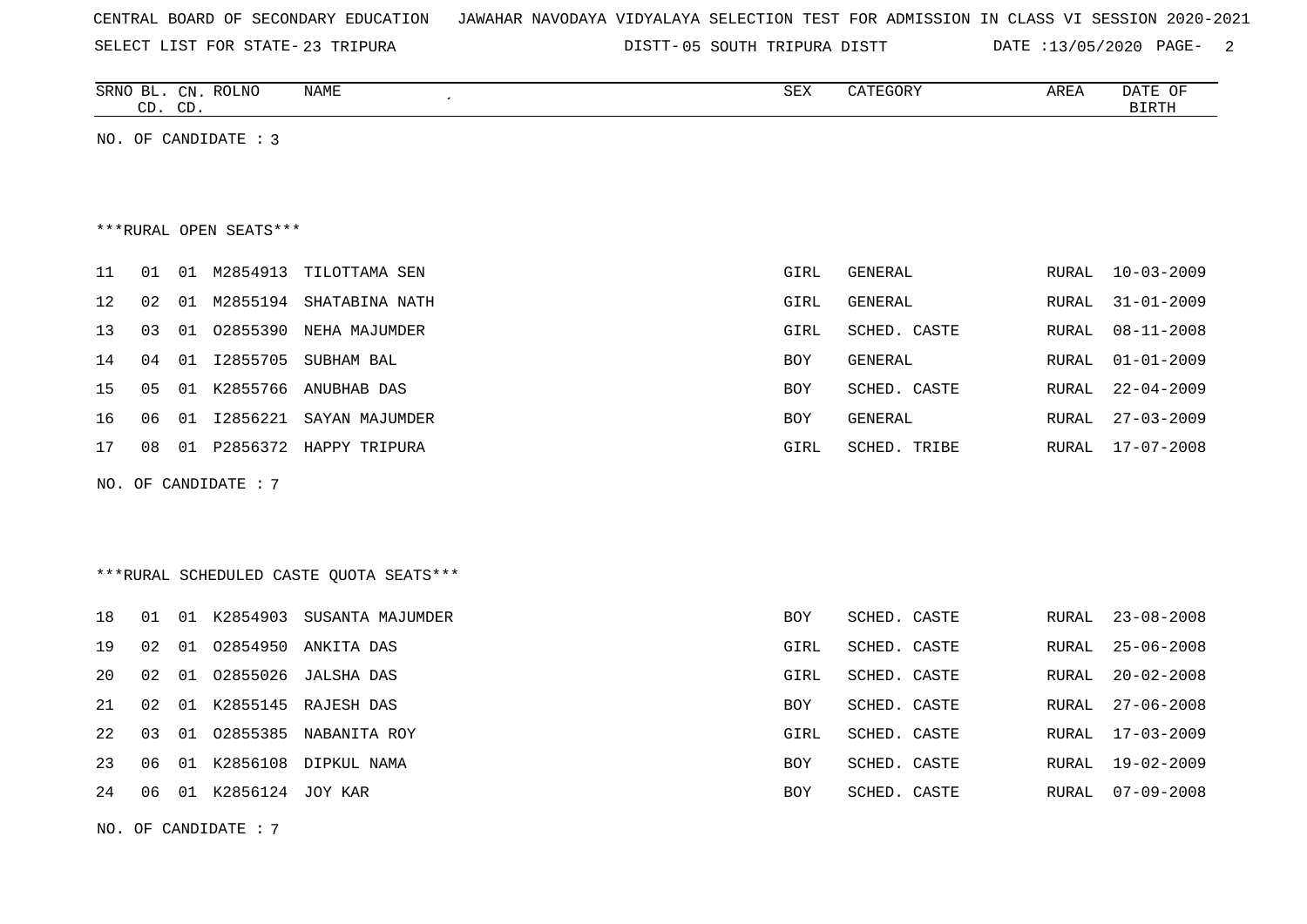| CENTRAL BOARD OF SECONDARY EDUCATION |  |  |  | JAWAHAR NAVODAYA VIDYALAYA SELECTION TEST FOR ADMISSION IN CLASS VI SESSION 2020-2021 |  |  |  |  |  |  |  |  |  |  |  |  |
|--------------------------------------|--|--|--|---------------------------------------------------------------------------------------|--|--|--|--|--|--|--|--|--|--|--|--|
|--------------------------------------|--|--|--|---------------------------------------------------------------------------------------|--|--|--|--|--|--|--|--|--|--|--|--|

SELECT LIST FOR STATE- DISTT- 23 TRIPURA 05 SOUTH TRIPURA DISTT DATE :13/05/2020 PAGE- 2

|    | CD. CD. |    | SRNO BL. CN. ROLNO     | NAME<br>$\epsilon$      | SEX        | CATEGORY     | AREA  | DATE OF<br>BIRTH |
|----|---------|----|------------------------|-------------------------|------------|--------------|-------|------------------|
|    |         |    | NO. OF CANDIDATE : 3   |                         |            |              |       |                  |
|    |         |    |                        |                         |            |              |       |                  |
|    |         |    |                        |                         |            |              |       |                  |
|    |         |    | ***RURAL OPEN SEATS*** |                         |            |              |       |                  |
| 11 | 01      | 01 | M2854913               | TILOTTAMA SEN           | GIRL       | GENERAL      | RURAL | $10 - 03 - 2009$ |
| 12 | 02      | 01 |                        | M2855194 SHATABINA NATH | GIRL       | GENERAL      | RURAL | $31 - 01 - 2009$ |
| 13 | 03      | 01 | 02855390               | NEHA MAJUMDER           | GIRL       | SCHED. CASTE | RURAL | $08 - 11 - 2008$ |
| 14 | 04      | 01 | I2855705               | SUBHAM BAL              | BOY        | GENERAL      | RURAL | $01 - 01 - 2009$ |
| 15 | 05      | 01 | K2855766               | ANUBHAB DAS             | <b>BOY</b> | SCHED. CASTE | RURAL | $22 - 04 - 2009$ |
| 16 | 06      | 01 | I2856221               | SAYAN MAJUMDER          | <b>BOY</b> | GENERAL      | RURAL | $27 - 03 - 2009$ |
| 17 | 08      | 01 |                        | P2856372 HAPPY TRIPURA  | GIRL       | SCHED. TRIBE | RURAL | $17 - 07 - 2008$ |
|    |         |    | NO. OF CANDIDATE : $7$ |                         |            |              |       |                  |
|    |         |    |                        |                         |            |              |       |                  |

\*\*\*RURAL SCHEDULED CASTE QUOTA SEATS\*\*\*

| 18               | 01 | 01    | K2854903         | SUSANTA MAJUMDER     | <b>BOY</b> | SCHED, CASTE | RURAL | 23-08-2008       |
|------------------|----|-------|------------------|----------------------|------------|--------------|-------|------------------|
| 19               | 02 | 01    | 02854950         | ANKITA DAS           | GIRL       | SCHED. CASTE | RURAL | 25-06-2008       |
| 20               | 02 | 01    |                  | 02855026 JALSHA DAS  | GIRL       | SCHED. CASTE | RURAL | $20 - 02 - 2008$ |
| 21               | 02 | 01    |                  | K2855145 RAJESH DAS  | <b>BOY</b> | SCHED. CASTE | RURAL | 27-06-2008       |
| 2.2 <sub>1</sub> | 03 | 01    | 02855385         | NABANITA ROY         | GIRL       | SCHED. CASTE | RURAL | 17-03-2009       |
| 23               | 06 | 01    |                  | K2856108 DIPKUL NAMA | <b>BOY</b> | SCHED, CASTE | RURAL | $19 - 02 - 2009$ |
| 24               | ೧೯ | . N 1 | K2856124 JOY KAR |                      | <b>BOY</b> | SCHED, CASTE | RURAL | $07 - 09 - 2008$ |
|                  |    |       |                  |                      |            |              |       |                  |

NO. OF CANDIDATE : 7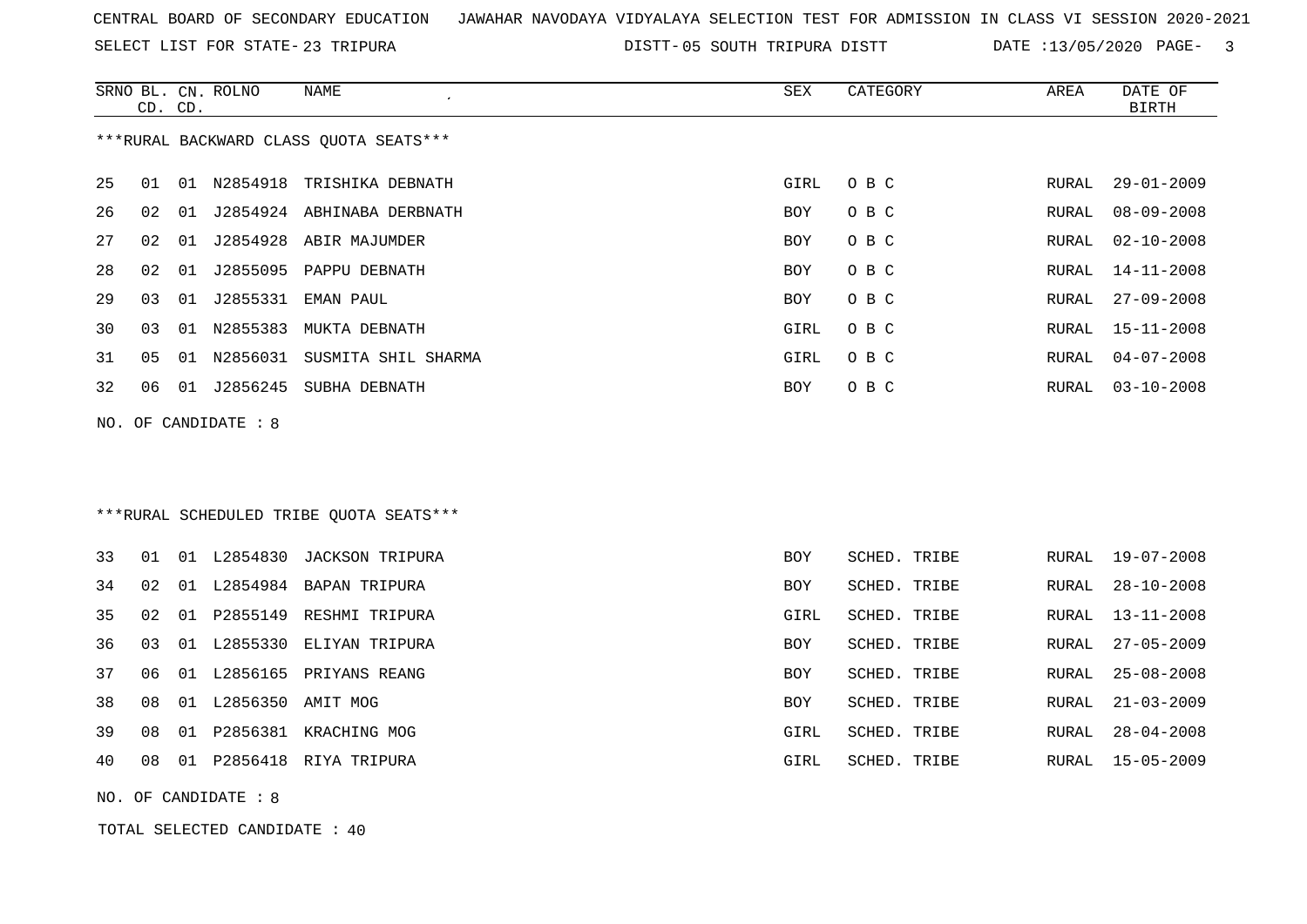SELECT LIST FOR STATE- DISTT- 23 TRIPURA

05 SOUTH TRIPURA DISTT DATE :13/05/2020 PAGE- 3

|    | CD. CD.        |    | SRNO BL. CN. ROLNO   | NAME<br>$\cdot$                         | SEX        | CATEGORY | AREA  | DATE OF<br><b>BIRTH</b> |
|----|----------------|----|----------------------|-----------------------------------------|------------|----------|-------|-------------------------|
|    |                |    |                      | *** RURAL BACKWARD CLASS QUOTA SEATS*** |            |          |       |                         |
| 25 | 01             | 01 |                      | N2854918 TRISHIKA DEBNATH               | GIRL       | O B C    | RURAL | $29 - 01 - 2009$        |
| 26 | 02             | 01 |                      | J2854924 ABHINABA DERBNATH              | BOY        | O B C    | RURAL | $08 - 09 - 2008$        |
| 27 | 02             | 01 |                      | J2854928 ABIR MAJUMDER                  | <b>BOY</b> | O B C    | RURAL | $02 - 10 - 2008$        |
| 28 | 02             | 01 | J2855095             | PAPPU DEBNATH                           | <b>BOY</b> | O B C    | RURAL | $14 - 11 - 2008$        |
| 29 | 03             | 01 | J2855331             | EMAN PAUL                               | <b>BOY</b> | O B C    | RURAL | $27 - 09 - 2008$        |
| 30 | 03             |    | 01 N2855383          | MUKTA DEBNATH                           | GIRL       | O B C    | RURAL | 15-11-2008              |
| 31 | 0 <sub>5</sub> | 01 | N2856031             | SUSMITA SHIL SHARMA                     | GIRL       | O B C    | RURAL | $04 - 07 - 2008$        |
| 32 | 06             |    |                      | 01 J2856245 SUBHA DEBNATH               | BOY        | O B C    | RURAL | $03 - 10 - 2008$        |
|    |                |    | NO. OF CANDIDATE : 8 |                                         |            |          |       |                         |
|    |                |    |                      |                                         |            |          |       |                         |
|    |                |    |                      |                                         |            |          |       |                         |
|    |                |    |                      | ***RURAL SCHEDULED TRIBE QUOTA SEATS*** |            |          |       |                         |

| 33  |       |    |                      | 01 01 L2854830 JACKSON TRIPURA | <b>BOY</b> | SCHED. TRIBE |  | RURAL 19-07-2008 |
|-----|-------|----|----------------------|--------------------------------|------------|--------------|--|------------------|
| 34  | 02    | 01 | L2854984             | BAPAN TRIPURA                  | <b>BOY</b> | SCHED. TRIBE |  | RURAL 28-10-2008 |
| 35  | 02 01 |    |                      | P2855149 RESHMI TRIPURA        | GIRL       | SCHED. TRIBE |  | RURAL 13-11-2008 |
| 36  | 03    |    | 01 L2855330          | ELIYAN TRIPURA                 | <b>BOY</b> | SCHED. TRIBE |  | RURAL 27-05-2009 |
| 37  | 06    |    |                      | 01 L2856165 PRIYANS REANG      | BOY        | SCHED. TRIBE |  | RURAL 25-08-2008 |
| 38  | 08    |    | 01 L2856350          | AMIT MOG                       | <b>BOY</b> | SCHED. TRIBE |  | RURAL 21-03-2009 |
| 39  | 08    | 01 | P2856381             | KRACHING MOG                   | GIRL       | SCHED. TRIBE |  | RURAL 28-04-2008 |
| 4 N | 0.8   | 01 |                      | P2856418 RIYA TRIPURA          | GIRL       | SCHED. TRIBE |  | RURAL 15-05-2009 |
|     |       |    | NO. OF CANDIDATE : 8 |                                |            |              |  |                  |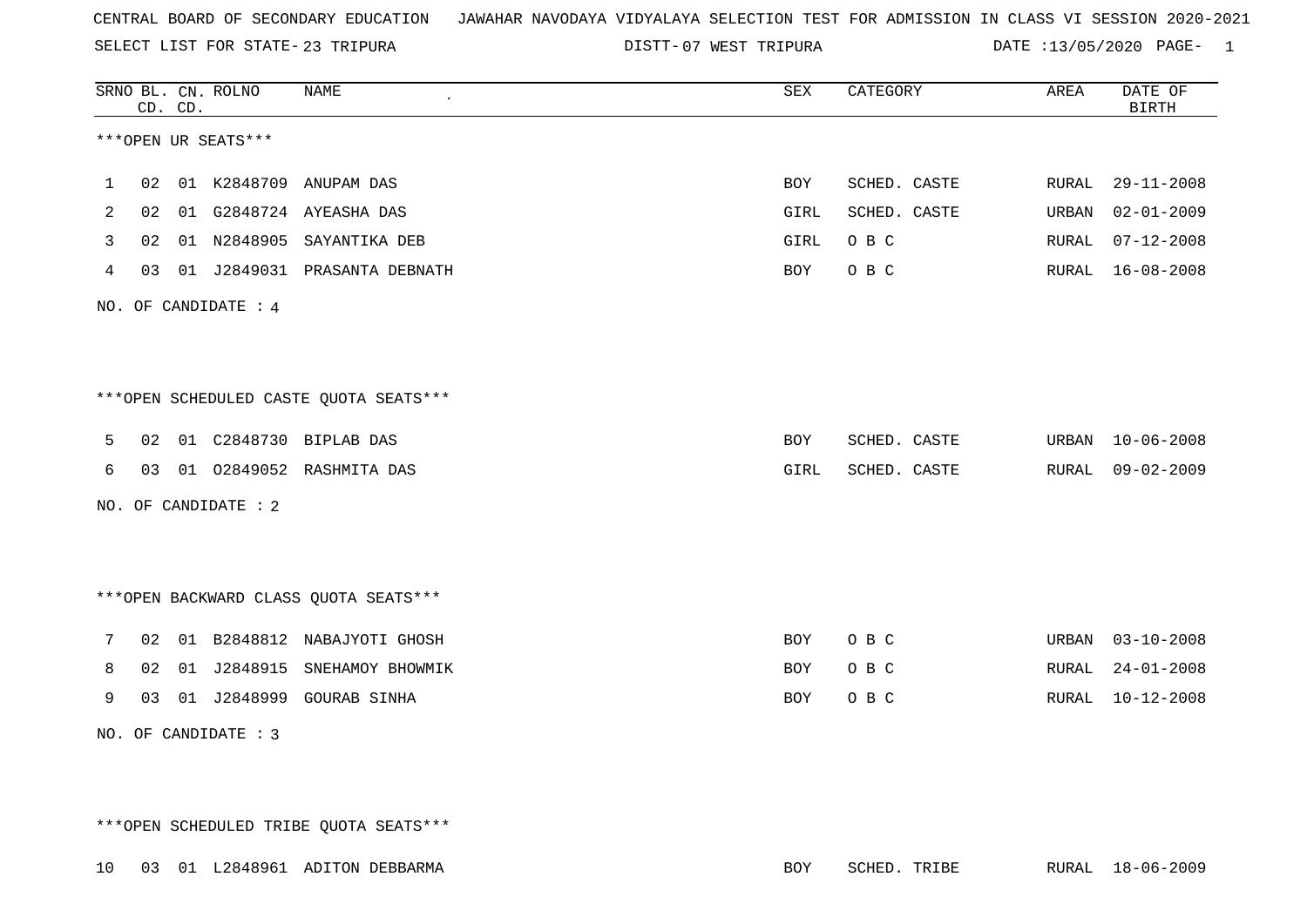SELECT LIST FOR STATE- DISTT- 23 TRIPURA

07 WEST TRIPURA DATE :13/05/2020 PAGE- 1

|              |    | CD. CD. | SRNO BL. CN. ROLNO   | NAME                                   | SEX  | CATEGORY     | AREA  | DATE OF<br>BIRTH |
|--------------|----|---------|----------------------|----------------------------------------|------|--------------|-------|------------------|
|              |    |         | ***OPEN UR SEATS***  |                                        |      |              |       |                  |
| $\mathbf{1}$ |    |         |                      | 02 01 K2848709 ANUPAM DAS              | BOY  | SCHED. CASTE |       | RURAL 29-11-2008 |
| 2            |    |         |                      | 02 01 G2848724 AYEASHA DAS             | GIRL | SCHED. CASTE | URBAN | $02 - 01 - 2009$ |
| 3            |    |         |                      | 02 01 N2848905 SAYANTIKA DEB           | GIRL | O B C        | RURAL | $07 - 12 - 2008$ |
| 4            |    |         |                      | 03 01 J2849031 PRASANTA DEBNATH        | BOY  | O B C        | RURAL | $16 - 08 - 2008$ |
|              |    |         | NO. OF CANDIDATE : 4 |                                        |      |              |       |                  |
|              |    |         |                      |                                        |      |              |       |                  |
|              |    |         |                      | ***OPEN SCHEDULED CASTE QUOTA SEATS*** |      |              |       |                  |
| 5            |    |         |                      | 02 01 C2848730 BIPLAB DAS              | BOY  | SCHED. CASTE | URBAN | $10 - 06 - 2008$ |
| 6            |    |         |                      | 03 01 02849052 RASHMITA DAS            | GIRL | SCHED. CASTE | RURAL | $09 - 02 - 2009$ |
|              |    |         | NO. OF CANDIDATE : 2 |                                        |      |              |       |                  |
|              |    |         |                      |                                        |      |              |       |                  |
|              |    |         |                      | *** OPEN BACKWARD CLASS QUOTA SEATS*** |      |              |       |                  |
| 7            |    |         |                      | 02 01 B2848812 NABAJYOTI GHOSH         | BOY  | O B C        |       | URBAN 03-10-2008 |
| 8            | 02 |         | 01 J2848915          | SNEHAMOY BHOWMIK                       | BOY  | O B C        | RURAL | $24 - 01 - 2008$ |
| 9            |    |         |                      | 03 01 J2848999 GOURAB SINHA            | BOY  | O B C        | RURAL | $10 - 12 - 2008$ |
|              |    |         | NO. OF CANDIDATE : 3 |                                        |      |              |       |                  |
|              |    |         |                      |                                        |      |              |       |                  |

\*\*\*OPEN SCHEDULED TRIBE QUOTA SEATS\*\*\*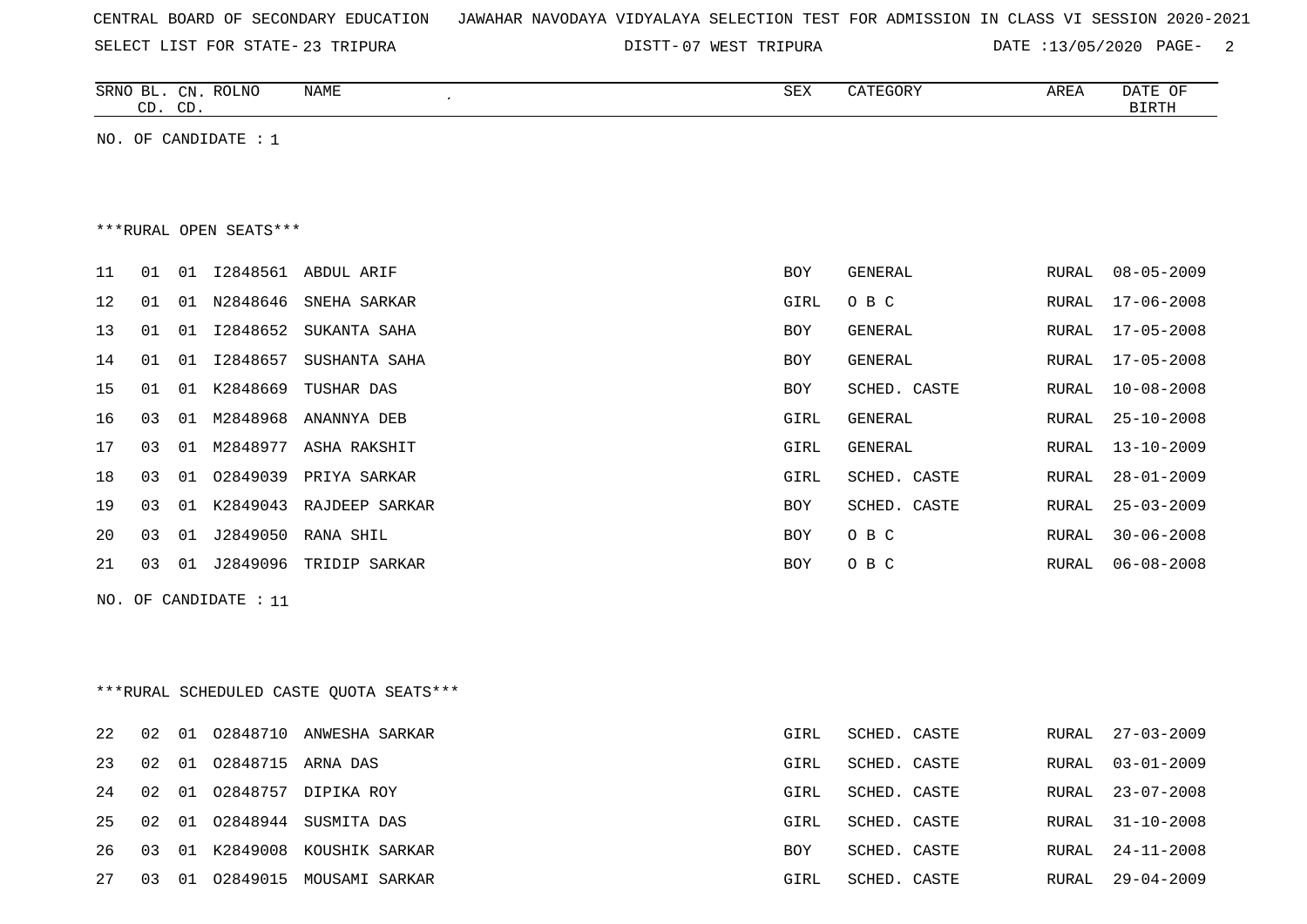| CENTRAL BOARD OF SECONDARY EDUCATION – JAWAHAR NAVODAYA VIDYALAYA SELECTION TEST FOR ADMISSION IN CLASS VI SESSION 2020-2021 |  |  |  |  |  |
|------------------------------------------------------------------------------------------------------------------------------|--|--|--|--|--|
|------------------------------------------------------------------------------------------------------------------------------|--|--|--|--|--|

SELECT LIST FOR STATE- DISTT- 23 TRIPURA

DISTT-07 WEST TRIPURA DATE :13/05/2020 PAGE- 2

|    | CD. CD. | SRNO BL. CN. ROLNO     | NAME                                     | SEX  | CATEGORY     | AREA         | DATE OF<br><b>BIRTH</b> |
|----|---------|------------------------|------------------------------------------|------|--------------|--------------|-------------------------|
|    |         | NO. OF CANDIDATE : 1   |                                          |      |              |              |                         |
|    |         |                        |                                          |      |              |              |                         |
|    |         |                        |                                          |      |              |              |                         |
|    |         | ***RURAL OPEN SEATS*** |                                          |      |              |              |                         |
| 11 | 01      | 01 12848561 ABDUL ARIF |                                          | BOY  | GENERAL      | RURAL        | $08 - 05 - 2009$        |
| 12 | 01      | 01 N2848646            | SNEHA SARKAR                             | GIRL | O B C        | RURAL        | $17 - 06 - 2008$        |
| 13 | 01      | 01<br>I2848652         | SUKANTA SAHA                             | BOY  | GENERAL      | RURAL        | $17 - 05 - 2008$        |
| 14 | 01      | 01<br>I2848657         | SUSHANTA SAHA                            | BOY  | GENERAL      | RURAL        | $17 - 05 - 2008$        |
| 15 | 01      | 01 K2848669            | TUSHAR DAS                               | BOY  | SCHED. CASTE | RURAL        | $10 - 08 - 2008$        |
| 16 | 03      | 01 M2848968            | ANANNYA DEB                              | GIRL | GENERAL      | RURAL        | $25 - 10 - 2008$        |
| 17 | 03      |                        | 01 M2848977 ASHA RAKSHIT                 | GIRL | GENERAL      | RURAL        | $13 - 10 - 2009$        |
| 18 | 03      | 01<br>02849039         | PRIYA SARKAR                             | GIRL | SCHED. CASTE | RURAL        | $28 - 01 - 2009$        |
| 19 | 03      |                        | 01 K2849043 RAJDEEP SARKAR               | BOY  | SCHED. CASTE | RURAL        | $25 - 03 - 2009$        |
| 20 | 03      | 01 J2849050 RANA SHIL  |                                          | BOY  | O B C        | RURAL        | $30 - 06 - 2008$        |
| 21 | 03      |                        | 01 J2849096 TRIDIP SARKAR                | BOY  | O B C        | RURAL        | $06 - 08 - 2008$        |
|    |         | NO. OF CANDIDATE : 11  |                                          |      |              |              |                         |
|    |         |                        |                                          |      |              |              |                         |
|    |         |                        |                                          |      |              |              |                         |
|    |         |                        | *** RURAL SCHEDULED CASTE QUOTA SEATS*** |      |              |              |                         |
| 22 | 02      |                        | 01 02848710 ANWESHA SARKAR               | GIRL | SCHED. CASTE | RURAL        | $27 - 03 - 2009$        |
| 23 | 02      | 01 02848715 ARNA DAS   |                                          | GIRL | SCHED. CASTE | RURAL        | $03 - 01 - 2009$        |
| 24 | 02      | 01                     | 02848757 DIPIKA ROY                      | GIRL | SCHED. CASTE | <b>RURAL</b> | $23 - 07 - 2008$        |
| 25 | 02      |                        | 01 02848944 SUSMITA DAS                  | GIRL | SCHED. CASTE | <b>RURAL</b> | $31 - 10 - 2008$        |

26 03 01 K2849008 KOUSHIK SARKAR BOY SCHED. CASTE RURAL 24-11-2008 27 03 01 O2849015 MOUSAMI SARKAR GIRL SCHED. CASTE RURAL 29-04-2009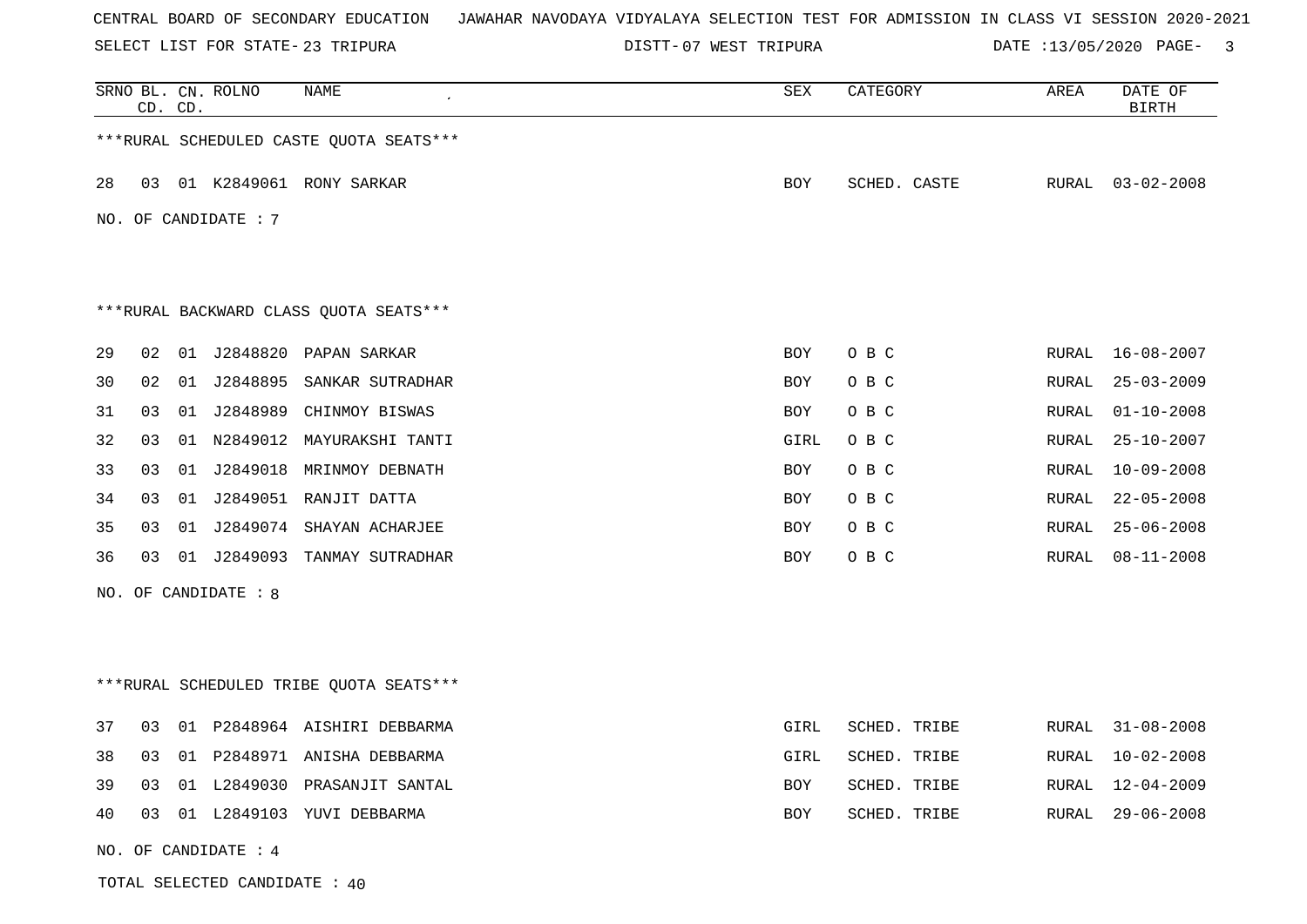## CENTRAL BOARD OF SECONDARY EDUCATION JAWAHAR NAVODAYA VIDYALAYA SELECTION TEST FOR ADMISSION IN CLASS VI SESSION 2020-2021

SELECT LIST FOR STATE- DISTT- 23 TRIPURA

07 WEST TRIPURA DATE :13/05/2020 PAGE- 3

|    | CD. CD. |    | SRNO BL. CN. ROLNO   | <b>NAME</b>                              | <b>SEX</b> | CATEGORY     | AREA  | DATE OF<br><b>BIRTH</b> |
|----|---------|----|----------------------|------------------------------------------|------------|--------------|-------|-------------------------|
|    |         |    |                      | *** RURAL SCHEDULED CASTE QUOTA SEATS*** |            |              |       |                         |
| 28 | 03      |    |                      | 01 K2849061 RONY SARKAR                  | BOY        | SCHED. CASTE |       | RURAL 03-02-2008        |
|    |         |    | NO. OF CANDIDATE : 7 |                                          |            |              |       |                         |
|    |         |    |                      |                                          |            |              |       |                         |
|    |         |    |                      |                                          |            |              |       |                         |
|    |         |    |                      | *** RURAL BACKWARD CLASS QUOTA SEATS***  |            |              |       |                         |
| 29 | 02      |    | 01 J2848820          | PAPAN SARKAR                             | <b>BOY</b> | O B C        | RURAL | 16-08-2007              |
| 30 | 02      |    | 01 J2848895          | SANKAR SUTRADHAR                         | <b>BOY</b> | O B C        | RURAL | $25 - 03 - 2009$        |
| 31 | 03      | 01 | J2848989             | CHINMOY BISWAS                           | BOY        | O B C        | RURAL | $01 - 10 - 2008$        |
| 32 | 03      |    | 01 N2849012          | MAYURAKSHI TANTI                         | GIRL       | O B C        | RURAL | $25 - 10 - 2007$        |
| 33 | 03      |    |                      | 01 J2849018 MRINMOY DEBNATH              | BOY        | O B C        | RURAL | $10 - 09 - 2008$        |
| 34 | 03      |    |                      | 01 J2849051 RANJIT DATTA                 | BOY        | O B C        | RURAL | $22 - 05 - 2008$        |
| 35 | 03      |    |                      | 01 J2849074 SHAYAN ACHARJEE              | BOY        | O B C        | RURAL | 25-06-2008              |
| 36 | 03      |    |                      | 01 J2849093 TANMAY SUTRADHAR             | <b>BOY</b> | O B C        | RURAL | $08 - 11 - 2008$        |
|    |         |    | NO. OF CANDIDATE : 8 |                                          |            |              |       |                         |
|    |         |    |                      |                                          |            |              |       |                         |
|    |         |    |                      |                                          |            |              |       |                         |
|    |         |    |                      | ***RURAL SCHEDULED TRIBE QUOTA SEATS***  |            |              |       |                         |
| 37 | 03      |    |                      | 01 P2848964 AISHIRI DEBBARMA             | GIRL       | SCHED. TRIBE | RURAL | $31 - 08 - 2008$        |
| 38 | 03      |    |                      | 01 P2848971 ANISHA DEBBARMA              | GIRL       | SCHED. TRIBE | RURAL | $10 - 02 - 2008$        |
| 39 | 03      |    |                      | 01 L2849030 PRASANJIT SANTAL             | <b>BOY</b> | SCHED. TRIBE | RURAL | 12-04-2009              |
| 40 | 03      |    |                      | 01 L2849103 YUVI DEBBARMA                | <b>BOY</b> | SCHED. TRIBE | RURAL | 29-06-2008              |
|    |         |    | NO. OF CANDIDATE : 4 |                                          |            |              |       |                         |

TOTAL SELECTED CANDIDATE : 40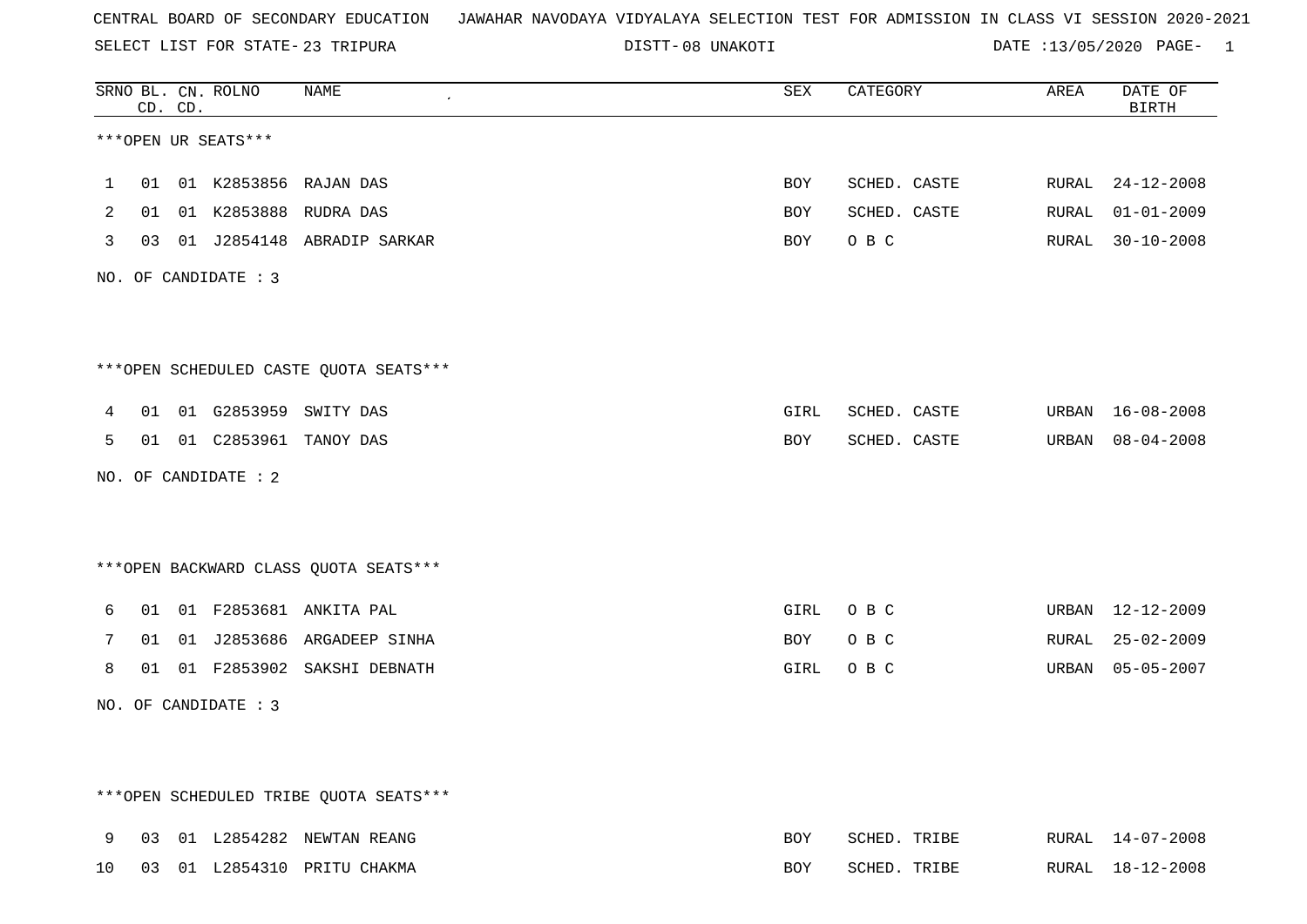CENTRAL BOARD OF SECONDARY EDUCATION JAWAHAR NAVODAYA VIDYALAYA SELECTION TEST FOR ADMISSION IN CLASS VI SESSION 2020-2021

SELECT LIST FOR STATE- DISTT- 23 TRIPURA

08 UNAKOTI DATE :13/05/2020 PAGE- 1

|              | CD. CD. | SRNO BL. CN. ROLNO     | NAME                                   | SEX        | CATEGORY     | AREA  | DATE OF<br>BIRTH |
|--------------|---------|------------------------|----------------------------------------|------------|--------------|-------|------------------|
|              |         | ***OPEN UR SEATS***    |                                        |            |              |       |                  |
| $\mathbf{1}$ |         |                        | 01 01 K2853856 RAJAN DAS               | BOY        | SCHED. CASTE | RURAL | $24 - 12 - 2008$ |
| 2            |         |                        | 01 01 K2853888 RUDRA DAS               | <b>BOY</b> | SCHED. CASTE | RURAL | $01 - 01 - 2009$ |
| 3            |         |                        | 03 01 J2854148 ABRADIP SARKAR          | BOY        | O B C        |       | RURAL 30-10-2008 |
|              |         | NO. OF CANDIDATE : 3   |                                        |            |              |       |                  |
|              |         |                        |                                        |            |              |       |                  |
|              |         |                        | ***OPEN SCHEDULED CASTE QUOTA SEATS*** |            |              |       |                  |
| 4            |         |                        | 01 01 G2853959 SWITY DAS               | GIRL       | SCHED. CASTE |       | URBAN 16-08-2008 |
| 5            |         |                        | 01 01 C2853961 TANOY DAS               | BOY        | SCHED. CASTE |       | URBAN 08-04-2008 |
|              |         | NO. OF CANDIDATE : $2$ |                                        |            |              |       |                  |
|              |         |                        |                                        |            |              |       |                  |
|              |         |                        | *** OPEN BACKWARD CLASS QUOTA SEATS*** |            |              |       |                  |
| 6            |         |                        | 01 01 F2853681 ANKITA PAL              | GIRL       | O B C        |       | URBAN 12-12-2009 |
| 7            |         |                        | 01 01 J2853686 ARGADEEP SINHA          | BOY        | O B C        |       | RURAL 25-02-2009 |
| 8            |         |                        | 01 01 F2853902 SAKSHI DEBNATH          | GIRL       | O B C        | URBAN | $05 - 05 - 2007$ |
|              |         | NO. OF CANDIDATE : 3   |                                        |            |              |       |                  |
|              |         |                        |                                        |            |              |       |                  |
|              |         |                        |                                        |            |              |       |                  |
|              |         |                        | ***OPEN SCHEDULED TRIBE QUOTA SEATS*** |            |              |       |                  |
| 9            |         |                        | 03 01 L2854282 NEWTAN REANG            | BOY        | SCHED. TRIBE |       | RURAL 14-07-2008 |
| 10           |         |                        | 03 01 L2854310 PRITU CHAKMA            | BOY.       | SCHED. TRIBE |       | RURAL 18-12-2008 |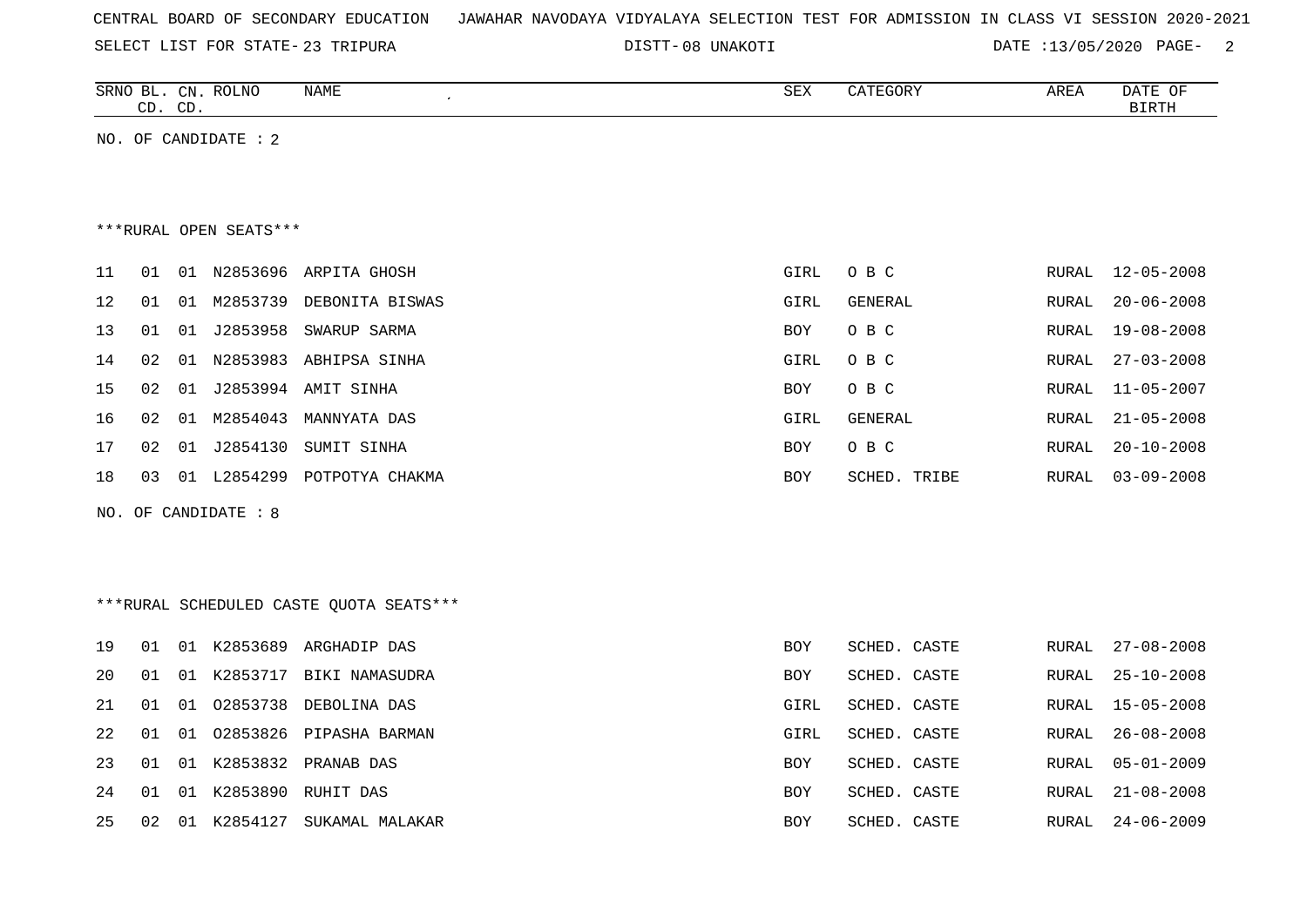| CENTRAL BOARD OF SECONDARY EDUCATION – JAWAHAR NAVODAYA VIDYALAYA SELECTION TEST FOR ADMISSION IN CLASS VI SESSION 2020-2021 |  |  |  |  |  |  |  |  |
|------------------------------------------------------------------------------------------------------------------------------|--|--|--|--|--|--|--|--|
|------------------------------------------------------------------------------------------------------------------------------|--|--|--|--|--|--|--|--|

SELECT LIST FOR STATE- DISTT- 23 TRIPURA

08 UNAKOTI DATE :13/05/2020 PAGE- 2

| SRNO BL. CN. ROLNO<br>CD. CD. |    |  | NAME                   |                                          | CATEGORY   | AREA         | DATE OF<br><b>BIRTH</b> |                  |  |
|-------------------------------|----|--|------------------------|------------------------------------------|------------|--------------|-------------------------|------------------|--|
|                               |    |  | NO. OF CANDIDATE : 2   |                                          |            |              |                         |                  |  |
|                               |    |  |                        |                                          |            |              |                         |                  |  |
|                               |    |  |                        |                                          |            |              |                         |                  |  |
|                               |    |  | ***RURAL OPEN SEATS*** |                                          |            |              |                         |                  |  |
| 11                            | 01 |  |                        | 01 N2853696 ARPITA GHOSH                 | GIRL       | O B C        | RURAL                   | $12 - 05 - 2008$ |  |
| 12                            | 01 |  |                        | 01 M2853739 DEBONITA BISWAS              | GIRL       | GENERAL      | RURAL                   | $20 - 06 - 2008$ |  |
| 13                            | 01 |  | 01 J2853958            | SWARUP SARMA                             | <b>BOY</b> | O B C        | RURAL                   | $19 - 08 - 2008$ |  |
| 14                            | 02 |  |                        | 01 N2853983 ABHIPSA SINHA                | GIRL       | O B C        | RURAL                   | $27 - 03 - 2008$ |  |
| 15                            | 02 |  |                        | 01 J2853994 AMIT SINHA                   | BOY        | O B C        | RURAL                   | $11 - 05 - 2007$ |  |
| 16                            | 02 |  |                        | 01 M2854043 MANNYATA DAS                 | GIRL       | GENERAL      | RURAL                   | $21 - 05 - 2008$ |  |
| 17                            | 02 |  | 01 J2854130            | SUMIT SINHA                              | BOY        | O B C        | RURAL                   | $20 - 10 - 2008$ |  |
| 18                            | 03 |  |                        | 01 L2854299 POTPOTYA CHAKMA              | <b>BOY</b> | SCHED. TRIBE | RURAL                   | $03 - 09 - 2008$ |  |
|                               |    |  | NO. OF CANDIDATE : 8   |                                          |            |              |                         |                  |  |
|                               |    |  |                        |                                          |            |              |                         |                  |  |
|                               |    |  |                        |                                          |            |              |                         |                  |  |
|                               |    |  |                        | *** RURAL SCHEDULED CASTE QUOTA SEATS*** |            |              |                         |                  |  |
| 19                            | 01 |  |                        | 01 K2853689 ARGHADIP DAS                 | <b>BOY</b> | SCHED. CASTE | RURAL                   | $27 - 08 - 2008$ |  |
| 20                            | 01 |  |                        | 01 K2853717 BIKI NAMASUDRA               | <b>BOY</b> | SCHED. CASTE | RURAL                   | $25 - 10 - 2008$ |  |
| 21                            | 01 |  | 01 02853738            | DEBOLINA DAS                             | GIRL       | SCHED. CASTE | <b>RURAL</b>            | $15 - 05 - 2008$ |  |
| 22                            | 01 |  |                        | 01 02853826 PIPASHA BARMAN               | GIRL       | SCHED. CASTE | RURAL                   | $26 - 08 - 2008$ |  |
| 23                            | 01 |  |                        | 01 K2853832 PRANAB DAS                   | BOY        | SCHED. CASTE | RURAL                   | $05 - 01 - 2009$ |  |
| 24                            | 01 |  |                        | 01 K2853890 RUHIT DAS                    | BOY        | SCHED. CASTE | RURAL                   | $21 - 08 - 2008$ |  |
| 25                            | 02 |  | 01 K2854127            | SUKAMAL MALAKAR                          | <b>BOY</b> | SCHED. CASTE | RURAL                   | $24 - 06 - 2009$ |  |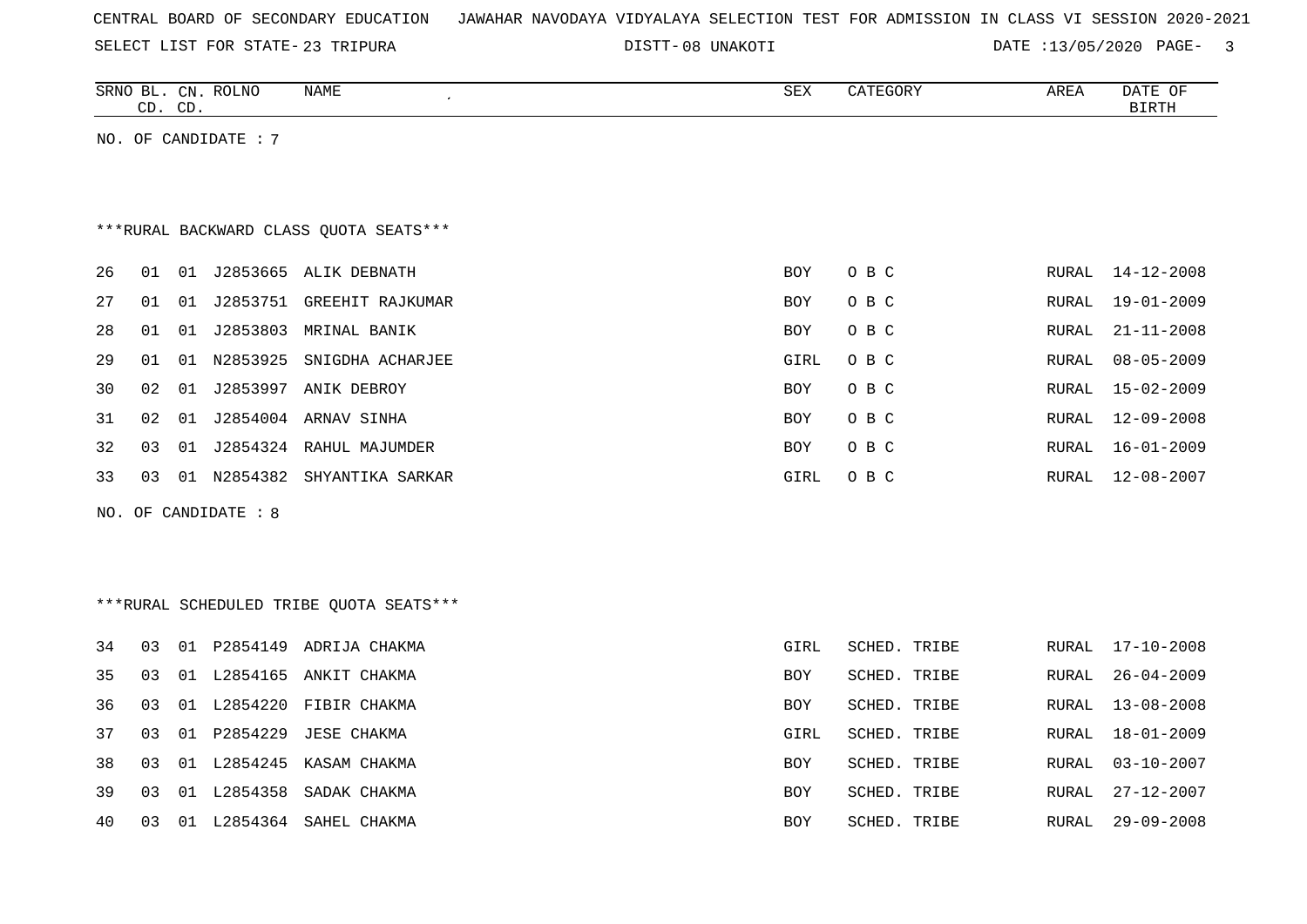|  |  |  | CENTRAL BOARD OF SECONDARY EDUCATION – JAWAHAR NAVODAYA VIDYALAYA SELECTION TEST FOR ADMISSION IN CLASS VI SESSION 2020-2021 |  |  |  |  |  |  |  |  |  |  |  |  |  |  |
|--|--|--|------------------------------------------------------------------------------------------------------------------------------|--|--|--|--|--|--|--|--|--|--|--|--|--|--|
|--|--|--|------------------------------------------------------------------------------------------------------------------------------|--|--|--|--|--|--|--|--|--|--|--|--|--|--|

SELECT LIST FOR STATE- DISTT- 23 TRIPURA

08 UNAKOTI DATE :13/05/2020 PAGE- 3

|    | CD. | CD. | SRNO BL. CN. ROLNO   | NAME                                    | SEX        | CATEGORY     | AREA  | DATE OF<br><b>BIRTH</b> |
|----|-----|-----|----------------------|-----------------------------------------|------------|--------------|-------|-------------------------|
|    |     |     | NO. OF CANDIDATE : 7 |                                         |            |              |       |                         |
|    |     |     |                      |                                         |            |              |       |                         |
|    |     |     |                      |                                         |            |              |       |                         |
|    |     |     |                      | *** RURAL BACKWARD CLASS QUOTA SEATS*** |            |              |       |                         |
| 26 | 01  |     |                      | 01 J2853665 ALIK DEBNATH                | <b>BOY</b> | O B C        | RURAL | 14-12-2008              |
| 27 | 01  |     |                      | 01 J2853751 GREEHIT RAJKUMAR            | BOY        | O B C        | RURAL | $19 - 01 - 2009$        |
| 28 | 01  |     | 01 J2853803          | MRINAL BANIK                            | <b>BOY</b> | O B C        | RURAL | $21 - 11 - 2008$        |
| 29 | 01  |     | 01 N2853925          | SNIGDHA ACHARJEE                        | GIRL       | O B C        | RURAL | $08 - 05 - 2009$        |
| 30 | 02  | 01  |                      | J2853997 ANIK DEBROY                    | <b>BOY</b> | O B C        | RURAL | $15 - 02 - 2009$        |
| 31 | 02  | 01  |                      | J2854004 ARNAV SINHA                    | <b>BOY</b> | O B C        | RURAL | $12 - 09 - 2008$        |
| 32 | 03  | 01  |                      | J2854324 RAHUL MAJUMDER                 | BOY        | O B C        | RURAL | $16 - 01 - 2009$        |
| 33 | 03  |     |                      | 01 N2854382 SHYANTIKA SARKAR            | GIRL       | O B C        | RURAL | 12-08-2007              |
|    |     |     | NO. OF CANDIDATE : 8 |                                         |            |              |       |                         |
|    |     |     |                      |                                         |            |              |       |                         |
|    |     |     |                      |                                         |            |              |       |                         |
|    |     |     |                      | ***RURAL SCHEDULED TRIBE QUOTA SEATS*** |            |              |       |                         |
| 34 | 03  |     |                      | 01 P2854149 ADRIJA CHAKMA               | GIRL       | SCHED. TRIBE | RURAL | $17 - 10 - 2008$        |
| 35 | 03  |     |                      | 01 L2854165 ANKIT CHAKMA                | BOY        | SCHED. TRIBE | RURAL | $26 - 04 - 2009$        |
| 36 | 03  |     | 01 L2854220          | FIBIR CHAKMA                            | BOY        | SCHED. TRIBE | RURAL | $13 - 08 - 2008$        |
| 37 | 03  |     | 01 P2854229          | JESE CHAKMA                             | GIRL       | SCHED. TRIBE | RURAL | $18 - 01 - 2009$        |
| 38 | 03  | 01  | L2854245             | KASAM CHAKMA                            | BOY        | SCHED. TRIBE | RURAL | $03 - 10 - 2007$        |
| 39 | 03  |     | 01 L2854358          | SADAK CHAKMA                            | BOY        | SCHED. TRIBE | RURAL | $27 - 12 - 2007$        |
| 40 | 03  |     |                      | 01 L2854364 SAHEL CHAKMA                | <b>BOY</b> | SCHED. TRIBE | RURAL | $29 - 09 - 2008$        |